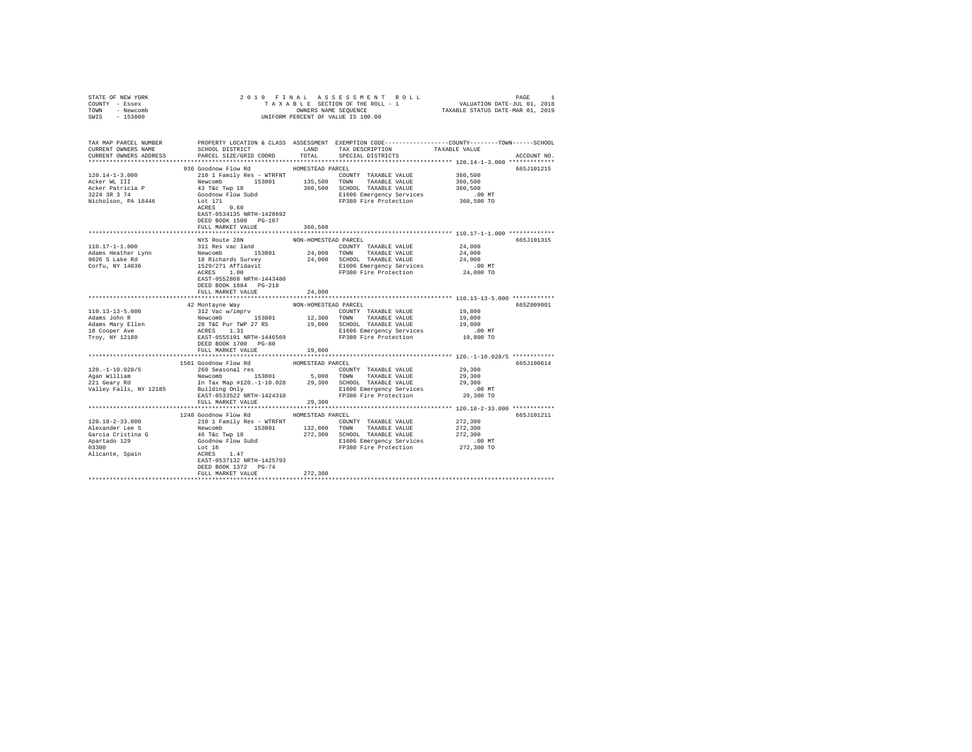| STATE OF NEW YORK                                                                                                                                                                                                                                                                                                                                                                                                                       |                                       |                         |                                                                                                                                                                                                                                                                                                   |                                             |             |  |  |  |
|-----------------------------------------------------------------------------------------------------------------------------------------------------------------------------------------------------------------------------------------------------------------------------------------------------------------------------------------------------------------------------------------------------------------------------------------|---------------------------------------|-------------------------|---------------------------------------------------------------------------------------------------------------------------------------------------------------------------------------------------------------------------------------------------------------------------------------------------|---------------------------------------------|-------------|--|--|--|
| COUNTY - Essex                                                                                                                                                                                                                                                                                                                                                                                                                          |                                       |                         |                                                                                                                                                                                                                                                                                                   |                                             |             |  |  |  |
| TOWN - Newcomb                                                                                                                                                                                                                                                                                                                                                                                                                          |                                       |                         |                                                                                                                                                                                                                                                                                                   |                                             |             |  |  |  |
| SWIS - 153800                                                                                                                                                                                                                                                                                                                                                                                                                           |                                       |                         |                                                                                                                                                                                                                                                                                                   |                                             |             |  |  |  |
|                                                                                                                                                                                                                                                                                                                                                                                                                                         |                                       |                         |                                                                                                                                                                                                                                                                                                   |                                             |             |  |  |  |
|                                                                                                                                                                                                                                                                                                                                                                                                                                         |                                       |                         |                                                                                                                                                                                                                                                                                                   |                                             |             |  |  |  |
| TAX MAP PARCEL NUMBER PROPERTY LOCATION & CLASS ASSESSMENT EXEMPTION CODE--------------COUNTY-------TOWN------SCHOOL                                                                                                                                                                                                                                                                                                                    |                                       |                         |                                                                                                                                                                                                                                                                                                   |                                             |             |  |  |  |
| CURRENT OWNERS NAME                                                                                                                                                                                                                                                                                                                                                                                                                     | SCHOOL DISTRICT                       |                         | LAND TAX DESCRIPTION                                                                                                                                                                                                                                                                              | TAXABLE VALUE                               |             |  |  |  |
| CURRENT OWNERS ADDRESS                                                                                                                                                                                                                                                                                                                                                                                                                  | PARCEL SIZE/GRID COORD                | TOTAL                   | SPECIAL DISTRICTS                                                                                                                                                                                                                                                                                 |                                             | ACCOUNT NO. |  |  |  |
|                                                                                                                                                                                                                                                                                                                                                                                                                                         |                                       |                         |                                                                                                                                                                                                                                                                                                   |                                             |             |  |  |  |
|                                                                                                                                                                                                                                                                                                                                                                                                                                         | 936 Goodnow Flow Rd MOMESTEAD PARCEL  |                         |                                                                                                                                                                                                                                                                                                   |                                             | 665J101215  |  |  |  |
| $120.14 - 1 - 3.000$                                                                                                                                                                                                                                                                                                                                                                                                                    | 210 1 Family Res - WTRFNT             |                         | COUNTY TAXABLE VALUE 360,500                                                                                                                                                                                                                                                                      |                                             |             |  |  |  |
| Acker WL III                                                                                                                                                                                                                                                                                                                                                                                                                            |                                       |                         |                                                                                                                                                                                                                                                                                                   | 360,500                                     |             |  |  |  |
|                                                                                                                                                                                                                                                                                                                                                                                                                                         |                                       |                         |                                                                                                                                                                                                                                                                                                   | 360,500                                     |             |  |  |  |
| Acker Patricia P<br>3224 3R 3 74                                                                                                                                                                                                                                                                                                                                                                                                        |                                       |                         |                                                                                                                                                                                                                                                                                                   |                                             |             |  |  |  |
| Nicholson, PA 18446                                                                                                                                                                                                                                                                                                                                                                                                                     |                                       |                         | Newcomb 153801 135,500 TOWN TAXABLE VALUE<br>43 Tác Twp 18 360,500 SCHOOL TAXABLE VALUE<br>43 Tác Twp 18 360,500 SCHOOL TAXABLE VALUE<br>500dnow Flow Subd<br>171 E1606 Emergency Services<br>50.60 FP380 Fire Protection<br>E1606 Emergency Services 6.00 MT<br>FP380 Fire Protection 360,500 TO |                                             |             |  |  |  |
|                                                                                                                                                                                                                                                                                                                                                                                                                                         |                                       |                         |                                                                                                                                                                                                                                                                                                   |                                             |             |  |  |  |
|                                                                                                                                                                                                                                                                                                                                                                                                                                         | EAST-0534135 NRTH-1428692             |                         |                                                                                                                                                                                                                                                                                                   |                                             |             |  |  |  |
|                                                                                                                                                                                                                                                                                                                                                                                                                                         |                                       |                         |                                                                                                                                                                                                                                                                                                   |                                             |             |  |  |  |
|                                                                                                                                                                                                                                                                                                                                                                                                                                         | DEED BOOK 1500 PG-107                 |                         |                                                                                                                                                                                                                                                                                                   |                                             |             |  |  |  |
|                                                                                                                                                                                                                                                                                                                                                                                                                                         | FULL MARKET VALUE                     | 360,500                 |                                                                                                                                                                                                                                                                                                   |                                             |             |  |  |  |
|                                                                                                                                                                                                                                                                                                                                                                                                                                         |                                       |                         |                                                                                                                                                                                                                                                                                                   |                                             |             |  |  |  |
|                                                                                                                                                                                                                                                                                                                                                                                                                                         | NYS Route 28N                         | NON-HOMESTEAD PARCEL    |                                                                                                                                                                                                                                                                                                   |                                             | 665J101315  |  |  |  |
| 110.17-1-1.000                                                                                                                                                                                                                                                                                                                                                                                                                          | 311 Res vac land                      |                         | COUNTY TAXABLE VALUE                                                                                                                                                                                                                                                                              | 24,000                                      |             |  |  |  |
| Adams Heather Lynn                                                                                                                                                                                                                                                                                                                                                                                                                      |                                       |                         |                                                                                                                                                                                                                                                                                                   |                                             |             |  |  |  |
| 9026 S Lake Rd                                                                                                                                                                                                                                                                                                                                                                                                                          |                                       |                         |                                                                                                                                                                                                                                                                                                   |                                             |             |  |  |  |
| Corfu, NY 14036                                                                                                                                                                                                                                                                                                                                                                                                                         |                                       |                         | 311 Res vac land 53801 24,000 TOWN TAXABLE VALUE 24,000<br>18 Richards Survey 24,000 SOMN TAXABLE VALUE 24,000<br>18 Richards Survey 24,000 SOMN TAXABLE VALUE 24,000<br>1529/271 Afflidavit 24,000 EDEOS Emergency Services<br>24,000 EP3                                                        |                                             |             |  |  |  |
|                                                                                                                                                                                                                                                                                                                                                                                                                                         |                                       |                         |                                                                                                                                                                                                                                                                                                   |                                             |             |  |  |  |
|                                                                                                                                                                                                                                                                                                                                                                                                                                         | EAST-0552868 NRTH-1443480             |                         |                                                                                                                                                                                                                                                                                                   |                                             |             |  |  |  |
|                                                                                                                                                                                                                                                                                                                                                                                                                                         | DEED BOOK 1884 PG-218                 |                         |                                                                                                                                                                                                                                                                                                   |                                             |             |  |  |  |
|                                                                                                                                                                                                                                                                                                                                                                                                                                         | FULL MARKET VALUE                     | 24,000                  |                                                                                                                                                                                                                                                                                                   |                                             |             |  |  |  |
|                                                                                                                                                                                                                                                                                                                                                                                                                                         |                                       | *********************** |                                                                                                                                                                                                                                                                                                   | ************** 110.13-13-5.000 ************ |             |  |  |  |
|                                                                                                                                                                                                                                                                                                                                                                                                                                         | 42 Montayne Way                       | NON-HOMESTEAD PARCEL    |                                                                                                                                                                                                                                                                                                   |                                             | 665Z009001  |  |  |  |
| $110.13 - 13 - 5.000$                                                                                                                                                                                                                                                                                                                                                                                                                   |                                       |                         |                                                                                                                                                                                                                                                                                                   | 19,800                                      |             |  |  |  |
| Adams John R                                                                                                                                                                                                                                                                                                                                                                                                                            |                                       |                         |                                                                                                                                                                                                                                                                                                   | 19,800                                      |             |  |  |  |
|                                                                                                                                                                                                                                                                                                                                                                                                                                         |                                       |                         |                                                                                                                                                                                                                                                                                                   | 19,800                                      |             |  |  |  |
| Adams Mary Ellen<br>18 Cooper Ave                                                                                                                                                                                                                                                                                                                                                                                                       |                                       |                         | 312 Vac w/imprv<br>Newcomb 153801 12,300 TOUNTY TAXABLE VALUE<br>20 T&C Pur TWP 27 RS 19,800 SCHOOL TAXABLE VALUE<br>ACRES 1.31<br>ACRES 15380 ELECTRIC PRESENT PRESENT PRESENT PRESENT PRESENT PRESENT PRESENT PRESENT PRESENT PRESEN                                                            |                                             |             |  |  |  |
|                                                                                                                                                                                                                                                                                                                                                                                                                                         |                                       |                         |                                                                                                                                                                                                                                                                                                   | .00 MT.<br>19,800 TO                        |             |  |  |  |
| Troy, NY 12180                                                                                                                                                                                                                                                                                                                                                                                                                          |                                       |                         | FP380 Fire Protection                                                                                                                                                                                                                                                                             |                                             |             |  |  |  |
|                                                                                                                                                                                                                                                                                                                                                                                                                                         | DEED BOOK 1700 PG-80                  |                         |                                                                                                                                                                                                                                                                                                   |                                             |             |  |  |  |
|                                                                                                                                                                                                                                                                                                                                                                                                                                         | FULL MARKET VALUE                     | 19,800                  |                                                                                                                                                                                                                                                                                                   |                                             |             |  |  |  |
|                                                                                                                                                                                                                                                                                                                                                                                                                                         |                                       |                         |                                                                                                                                                                                                                                                                                                   |                                             |             |  |  |  |
|                                                                                                                                                                                                                                                                                                                                                                                                                                         | 1501 Goodnow Flow Rd MOMESTEAD PARCEL |                         |                                                                                                                                                                                                                                                                                                   |                                             | 665J100614  |  |  |  |
|                                                                                                                                                                                                                                                                                                                                                                                                                                         |                                       |                         |                                                                                                                                                                                                                                                                                                   |                                             |             |  |  |  |
| $\begin{array}{cccccccc} 120\,\texttt{--}1-10.028/5 & 260\,\texttt{Seasm}1\,\texttt{res} & 29,300\\ \texttt{Again} & & & & & & & \\ 224\,\texttt{Neumann} & & & & & & \\ 234\,\texttt{Neumann} & & & & & & \\ 241\,\texttt{Gearm} & & & & & & \\ 241\,\texttt{Gearm} & & & & & & \\ 251\,\texttt{Gearm} & & & & & & \\ 261\,\texttt{Gearm} & & & & & & \\ 271\,\texttt{Gearm} & & & & & & \\ 281\,\texttt{Gearm} & &$                   |                                       |                         |                                                                                                                                                                                                                                                                                                   |                                             |             |  |  |  |
|                                                                                                                                                                                                                                                                                                                                                                                                                                         |                                       |                         |                                                                                                                                                                                                                                                                                                   |                                             |             |  |  |  |
| Valley Falls, NY 12185                                                                                                                                                                                                                                                                                                                                                                                                                  |                                       |                         | Elion and the material of the Markov Christian Communication of the Markov Christian Christian Christian Chris<br>29,300 TO EXST-0533522 NRTH-1424310 PP380 Fire Protection 29,300 TO                                                                                                             |                                             |             |  |  |  |
|                                                                                                                                                                                                                                                                                                                                                                                                                                         |                                       |                         |                                                                                                                                                                                                                                                                                                   |                                             |             |  |  |  |
|                                                                                                                                                                                                                                                                                                                                                                                                                                         | FULL MARKET VALUE                     | 29,300                  |                                                                                                                                                                                                                                                                                                   |                                             |             |  |  |  |
|                                                                                                                                                                                                                                                                                                                                                                                                                                         |                                       |                         |                                                                                                                                                                                                                                                                                                   |                                             |             |  |  |  |
|                                                                                                                                                                                                                                                                                                                                                                                                                                         | 1248 Goodnow Flow Rd HOMESTEAD PARCEL |                         |                                                                                                                                                                                                                                                                                                   |                                             | 665J101211  |  |  |  |
| $120.18 - 2 - 33.000$                                                                                                                                                                                                                                                                                                                                                                                                                   | 210 1 Family Res - WTRFNT             |                         | COUNTY TAXABLE VALUE                                                                                                                                                                                                                                                                              | 272,300                                     |             |  |  |  |
| $\begin{tabular}{l c c c c c} \multicolumn{3}{c}{\textbf{Alexander Lee S}} & \multicolumn{3}{c}{\textbf{Alexander Lee S}} & \multicolumn{3}{c}{\textbf{Newcomb}} & \multicolumn{3}{c}{\textbf{158801}} & \multicolumn{3}{c}{\textbf{1777}} & \multicolumn{3}{c}{\textbf{18801}} & \multicolumn{3}{c}{\textbf{272,300}} & \multicolumn{3}{c}{\textbf{272,300}} & \multicolumn{3}{c}{\textbf{272,300}} & \multicolumn{3}{c}{\textbf{272,$ |                                       |                         |                                                                                                                                                                                                                                                                                                   |                                             |             |  |  |  |
|                                                                                                                                                                                                                                                                                                                                                                                                                                         |                                       |                         |                                                                                                                                                                                                                                                                                                   |                                             |             |  |  |  |
|                                                                                                                                                                                                                                                                                                                                                                                                                                         |                                       |                         |                                                                                                                                                                                                                                                                                                   |                                             |             |  |  |  |
|                                                                                                                                                                                                                                                                                                                                                                                                                                         |                                       |                         |                                                                                                                                                                                                                                                                                                   |                                             |             |  |  |  |
|                                                                                                                                                                                                                                                                                                                                                                                                                                         |                                       |                         |                                                                                                                                                                                                                                                                                                   |                                             |             |  |  |  |
|                                                                                                                                                                                                                                                                                                                                                                                                                                         |                                       |                         |                                                                                                                                                                                                                                                                                                   |                                             |             |  |  |  |
|                                                                                                                                                                                                                                                                                                                                                                                                                                         |                                       |                         |                                                                                                                                                                                                                                                                                                   |                                             |             |  |  |  |
|                                                                                                                                                                                                                                                                                                                                                                                                                                         | DEED BOOK 1372 PG-74                  |                         |                                                                                                                                                                                                                                                                                                   |                                             |             |  |  |  |
|                                                                                                                                                                                                                                                                                                                                                                                                                                         | FULL MARKET VALUE                     | 272,300                 |                                                                                                                                                                                                                                                                                                   |                                             |             |  |  |  |
|                                                                                                                                                                                                                                                                                                                                                                                                                                         |                                       |                         |                                                                                                                                                                                                                                                                                                   |                                             |             |  |  |  |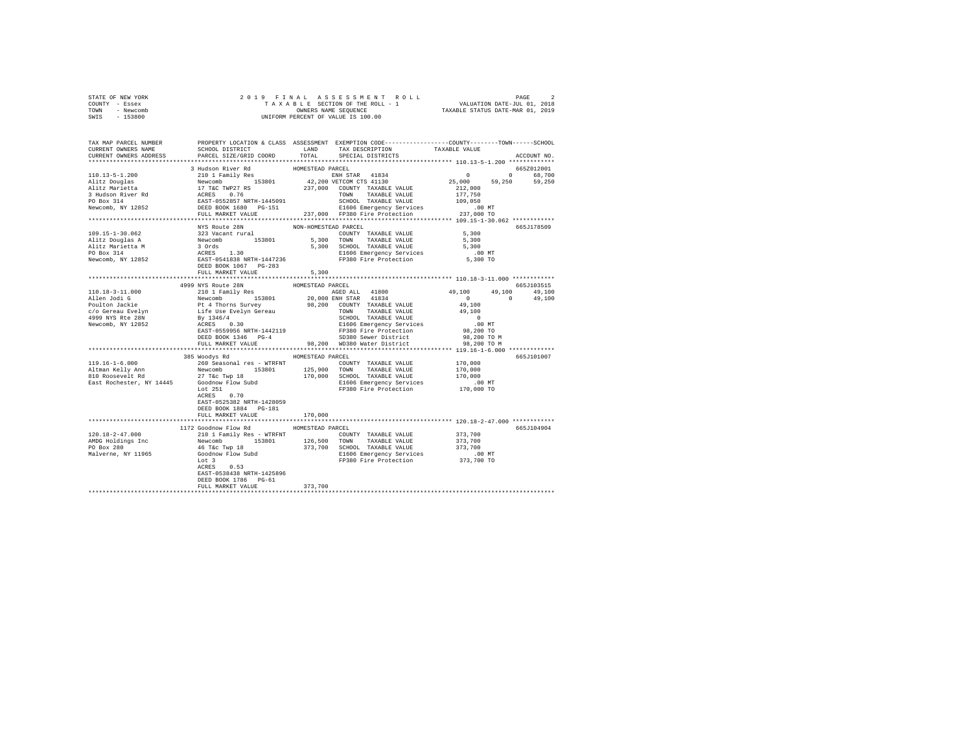| STATE OF NEW YORK | 2019 FINAL ASSESSMENT ROLL         | PAGE                             |
|-------------------|------------------------------------|----------------------------------|
| COUNTY - Essex    | TAXABLE SECTION OF THE ROLL - 1    | VALUATION DATE-JUL 01, 2018      |
| TOWN<br>- Newcomb | OWNERS NAME SEOUENCE               | TAXABLE STATUS DATE-MAR 01, 2019 |
| - 153800<br>SWIS  | UNIFORM PERCENT OF VALUE IS 100.00 |                                  |

| TAX MAP PARCEL NUMBER<br>CURRENT OWNERS NAME                                                                                                                                                                                                         | SCHOOL DISTRICT                |                      | PROPERTY LOCATION & CLASS ASSESSMENT EXEMPTION CODE----------------COUNTY-------TOWN------SCHOOL<br>LAND TAX DESCRIPTION | TAXABLE VALUE                                    |             |
|------------------------------------------------------------------------------------------------------------------------------------------------------------------------------------------------------------------------------------------------------|--------------------------------|----------------------|--------------------------------------------------------------------------------------------------------------------------|--------------------------------------------------|-------------|
| CURRENT OWNERS ADDRESS                                                                                                                                                                                                                               | PARCEL SIZE/GRID COORD         |                      | TOTAL SPECIAL DISTRICTS                                                                                                  |                                                  | ACCOUNT NO. |
|                                                                                                                                                                                                                                                      | 3 Hudson River Rd              | HOMESTEAD PARCEL     |                                                                                                                          |                                                  | 665Z012001  |
|                                                                                                                                                                                                                                                      |                                |                      |                                                                                                                          |                                                  | 0 68,700    |
|                                                                                                                                                                                                                                                      |                                |                      |                                                                                                                          | $25,000$ $59,250$ $59,250$<br>212,000<br>177,750 |             |
|                                                                                                                                                                                                                                                      |                                |                      |                                                                                                                          |                                                  |             |
|                                                                                                                                                                                                                                                      |                                |                      |                                                                                                                          |                                                  |             |
|                                                                                                                                                                                                                                                      |                                |                      |                                                                                                                          |                                                  |             |
|                                                                                                                                                                                                                                                      |                                |                      |                                                                                                                          |                                                  |             |
|                                                                                                                                                                                                                                                      |                                |                      |                                                                                                                          |                                                  |             |
|                                                                                                                                                                                                                                                      |                                |                      |                                                                                                                          |                                                  |             |
|                                                                                                                                                                                                                                                      | NYS Route 28N                  | NON-HOMESTEAD PARCEL |                                                                                                                          |                                                  | 665J178509  |
|                                                                                                                                                                                                                                                      |                                |                      |                                                                                                                          |                                                  |             |
|                                                                                                                                                                                                                                                      |                                |                      |                                                                                                                          |                                                  |             |
|                                                                                                                                                                                                                                                      |                                |                      |                                                                                                                          |                                                  |             |
|                                                                                                                                                                                                                                                      |                                |                      |                                                                                                                          | $.00$ MT                                         |             |
|                                                                                                                                                                                                                                                      |                                |                      |                                                                                                                          | 00 MT.<br>5,300 TO                               |             |
|                                                                                                                                                                                                                                                      |                                |                      |                                                                                                                          |                                                  |             |
|                                                                                                                                                                                                                                                      | FULL MARKET VALUE              | 5,300                |                                                                                                                          |                                                  |             |
|                                                                                                                                                                                                                                                      |                                |                      |                                                                                                                          |                                                  |             |
| 1999 NYS Route 28N<br>1999 NYS Route 28N<br>1999 NYS Route 28N<br>2010 1 Family Res<br>2010 EMI STAR 41834<br>Poulton Jackie<br>2010 EMI STAR 41834<br>Poulton Jackie<br>2010 EMI STAR 41834<br>Poulton Jackie<br>2010 EMI STAR 41834<br>2010 EMI ST |                                |                      |                                                                                                                          |                                                  | 665.T103515 |
|                                                                                                                                                                                                                                                      |                                |                      |                                                                                                                          | $49,100$ $49,100$ $49,100$                       |             |
|                                                                                                                                                                                                                                                      |                                |                      |                                                                                                                          | $\sim$ 0                                         | 49,100      |
|                                                                                                                                                                                                                                                      |                                |                      |                                                                                                                          |                                                  |             |
|                                                                                                                                                                                                                                                      |                                |                      |                                                                                                                          |                                                  |             |
|                                                                                                                                                                                                                                                      |                                |                      |                                                                                                                          |                                                  |             |
|                                                                                                                                                                                                                                                      |                                |                      |                                                                                                                          |                                                  |             |
|                                                                                                                                                                                                                                                      |                                |                      |                                                                                                                          |                                                  |             |
|                                                                                                                                                                                                                                                      |                                |                      |                                                                                                                          |                                                  |             |
|                                                                                                                                                                                                                                                      |                                |                      | FULL MARKET VALUE 98,200 WD380 Water District                                                                            | 98,200 TO M                                      |             |
|                                                                                                                                                                                                                                                      |                                |                      |                                                                                                                          |                                                  |             |
|                                                                                                                                                                                                                                                      | 385 Woodys Rd MOMESTEAD PARCEL |                      |                                                                                                                          |                                                  | 665J101007  |
|                                                                                                                                                                                                                                                      |                                |                      |                                                                                                                          |                                                  |             |
|                                                                                                                                                                                                                                                      |                                |                      |                                                                                                                          |                                                  |             |
|                                                                                                                                                                                                                                                      |                                |                      |                                                                                                                          |                                                  |             |
| $R = 100,000$ $R = 100,000$ $R = 100,000$ $R = 100,000$ $R = 100,000$ $R = 100,000$ $R = 100,000$ $R = 100,000$ $R = 100,000$ $R = 100,000$ $R = 100,000$ $R = 100,000$ $R = 100,000$ $R = 100,000$ $R = 100,000$ $R = 100,000$ $R = 100,000$        |                                |                      |                                                                                                                          |                                                  |             |
|                                                                                                                                                                                                                                                      | ACRES 0.70                     |                      |                                                                                                                          |                                                  |             |
|                                                                                                                                                                                                                                                      |                                |                      |                                                                                                                          |                                                  |             |
|                                                                                                                                                                                                                                                      | EAST-0525382 NRTH-1428059      |                      |                                                                                                                          |                                                  |             |
|                                                                                                                                                                                                                                                      | DEED BOOK 1884 PG-181          |                      |                                                                                                                          |                                                  |             |
|                                                                                                                                                                                                                                                      | FULL MARKET VALUE              | 170,000              |                                                                                                                          |                                                  |             |
|                                                                                                                                                                                                                                                      | 1172 Goodnow Flow Rd           | HOMESTEAD PARCEL     |                                                                                                                          |                                                  | 665J104904  |
|                                                                                                                                                                                                                                                      |                                |                      |                                                                                                                          |                                                  |             |
|                                                                                                                                                                                                                                                      |                                |                      |                                                                                                                          |                                                  |             |
|                                                                                                                                                                                                                                                      |                                |                      |                                                                                                                          |                                                  |             |
|                                                                                                                                                                                                                                                      |                                |                      |                                                                                                                          |                                                  |             |
|                                                                                                                                                                                                                                                      |                                |                      |                                                                                                                          |                                                  |             |
|                                                                                                                                                                                                                                                      |                                |                      |                                                                                                                          |                                                  |             |
|                                                                                                                                                                                                                                                      | EAST-0538438 NRTH-1425896      |                      |                                                                                                                          |                                                  |             |
|                                                                                                                                                                                                                                                      | DEED BOOK 1786 PG-61           |                      |                                                                                                                          |                                                  |             |
|                                                                                                                                                                                                                                                      | FULL MARKET VALUE              | 373,700              |                                                                                                                          |                                                  |             |
|                                                                                                                                                                                                                                                      |                                |                      |                                                                                                                          |                                                  |             |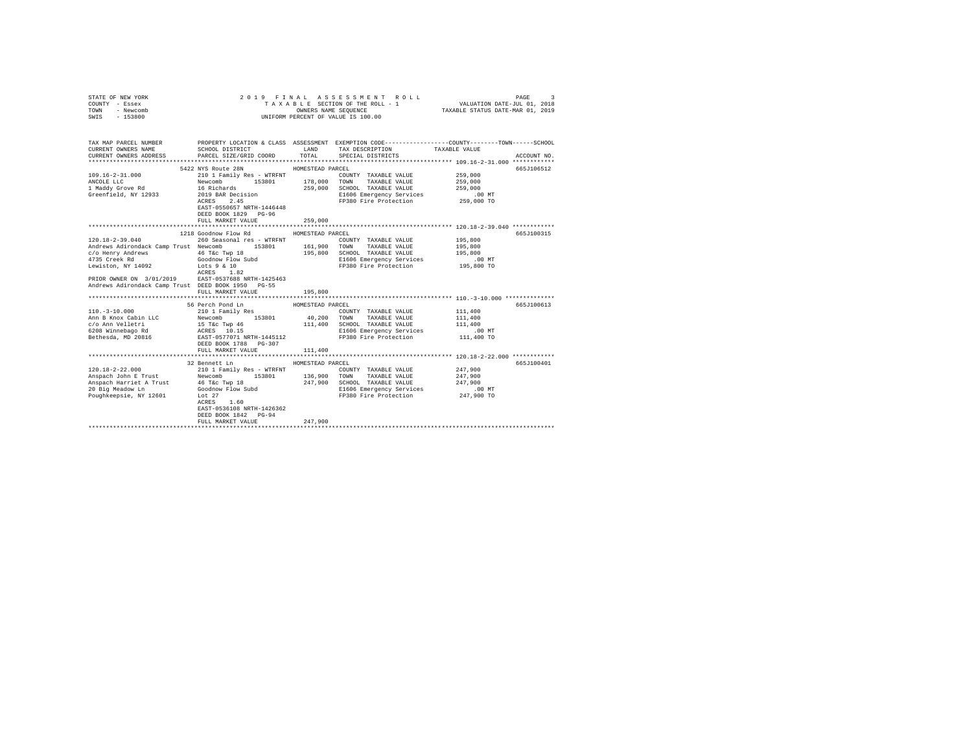| COUNTY - Essex<br>TOWN<br>- Newcomb<br>SWIS<br>$-153800$                                                                                                              | OWNERS NAME SEQUENCE<br>UNIFORM PERCENT OF VALUE IS 100.00                                 |                  | TAXABLE SECTION OF THE ROLL - 1                                               | VALUATION DATE-JUL 01, 2018<br>TAXABLE STATUS DATE-MAR 01, 2019 |             |
|-----------------------------------------------------------------------------------------------------------------------------------------------------------------------|--------------------------------------------------------------------------------------------|------------------|-------------------------------------------------------------------------------|-----------------------------------------------------------------|-------------|
| TAX MAP PARCEL NUMBER PROPERTY LOCATION & CLASS ASSESSMENT EXEMPTION CODE--------------COUNTY-------TOWN------SCHOOL<br>CURRENT OWNERS NAME<br>CURRENT OWNERS ADDRESS | SCHOOL DISTRICT<br>PARCEL SIZE/GRID COORD                                                  | LAND<br>TOTAL    | TAX DESCRIPTION<br>SPECIAL DISTRICTS                                          | TAXABLE VALUE                                                   | ACCOUNT NO. |
|                                                                                                                                                                       | 5422 NYS Route 28N                                                                         | HOMESTEAD PARCEL |                                                                               |                                                                 | 665J106512  |
| 109.16-2-31.000                                                                                                                                                       | 210 1 Family Res - WTRFNT                                                                  |                  | COUNTY TAXABLE VALUE                                                          | 259,000                                                         |             |
| ANCOLE LLC                                                                                                                                                            | 153801                                                                                     | 178,000          | TOWN<br>TAXABLE VALUE                                                         | 259,000                                                         |             |
| ANCOLE LLC<br>1 Maddy Grove Rd                                                                                                                                        | Newcomb<br>16 Richards                                                                     | 259,000          | SCHOOL TAXABLE VALUE                                                          | 259,000                                                         |             |
| Greenfield, NY 12933                                                                                                                                                  | 2019 BAR Decision<br>ACRES 2.45                                                            |                  | E1606 Emergency Services                                                      | 00 MT.<br>259,000 TO                                            |             |
|                                                                                                                                                                       | EAST-0550657 NRTH-1446448<br>DEED BOOK 1829 PG-96<br>FULL MARKET VALUE                     | 259,000          | FP380 Fire Protection                                                         |                                                                 |             |
|                                                                                                                                                                       |                                                                                            |                  |                                                                               |                                                                 |             |
|                                                                                                                                                                       | 1218 Goodnow Flow Rd                                                                       | HOMESTEAD PARCEL |                                                                               |                                                                 | 665J100315  |
| $120.18 - 2 - 39.040$                                                                                                                                                 | 260 Seasonal res - WTRFNT                                                                  |                  | COUNTY TAXABLE VALUE                                                          | 195,800                                                         |             |
| Andrews Adirondack Camp Trust Newcomb 153801                                                                                                                          |                                                                                            | 161,900 TOWN     | TAXABLE VALUE                                                                 | 195,800                                                         |             |
| $c/o$ Henry Andrews $46$ T&c Twp 18                                                                                                                                   |                                                                                            | 195,800          | SCHOOL TAXABLE VALUE                                                          | 195,800                                                         |             |
| 4735 Creek Rd                                                                                                                                                         |                                                                                            |                  | E1606 Emergency Services .00 MT<br>FP380 Fire Protection  195,800 TO          |                                                                 |             |
| Lewiston, NY 14092 Lots 9 & 10                                                                                                                                        | Goodnow Flow Subd<br>Lots 9 & 10<br>ACRES 1.82<br>ACRES 1.82                               |                  |                                                                               |                                                                 |             |
| PRIOR OWNER ON 3/01/2019 EAST-0537688 NRTH-1425463                                                                                                                    |                                                                                            |                  |                                                                               |                                                                 |             |
| Andrews Adirondack Camp Trust DEED BOOK 1950 PG-55                                                                                                                    | FULL MARKET VALUE                                                                          | 195,800          |                                                                               |                                                                 |             |
|                                                                                                                                                                       |                                                                                            |                  |                                                                               |                                                                 |             |
|                                                                                                                                                                       | 56 Perch Pond Ln                                                                           | HOMESTEAD PARCEL |                                                                               |                                                                 | 665J100613  |
| $110. - 3 - 10.000$                                                                                                                                                   | 210 1 Family Res                                                                           |                  | COUNTY TAXABLE VALUE                                                          | 111,400                                                         |             |
| Ann B Knox Cabin LLC<br>c/o Ann Velletri                                                                                                                              | Newcomb 153801 40,200<br>15 Tac Twp 46 111,400<br>ACRES 10.15<br>EAST-0577071 NRTH-1445112 |                  | TOWN<br>TAXABLE VALUE                                                         | 111,400                                                         |             |
|                                                                                                                                                                       |                                                                                            |                  | SCHOOL TAXABLE VALUE                                                          | 111,400                                                         |             |
| 6208 Winnebago Rd<br>Bethesda, MD 20816                                                                                                                               |                                                                                            |                  | E1606 Emergency Services<br>FP380 Fire Protection<br>E1606 Emergency Services | .00 MT                                                          |             |
|                                                                                                                                                                       | DEED BOOK 1788    PG-307                                                                   |                  |                                                                               | 111,400 TO                                                      |             |
|                                                                                                                                                                       | FULL MARKET VALUE                                                                          | 111,400          |                                                                               |                                                                 |             |
|                                                                                                                                                                       |                                                                                            |                  |                                                                               |                                                                 |             |
|                                                                                                                                                                       | 32 Bennett Ln                                                                              | HOMESTEAD PARCEL |                                                                               |                                                                 | 665J100401  |
| $120.18 - 2 - 22.000$                                                                                                                                                 | 210 1 Family Res - WTRFNT                                                                  |                  | COUNTY TAXABLE VALUE                                                          | 247.900                                                         |             |
|                                                                                                                                                                       |                                                                                            | 136,900          | TOWN<br>TAXABLE VALUE                                                         | 247.900                                                         |             |
| 120.18-2-22.000 ---<br>Anspach John E Trust Mewcomb 153801<br>Anspach Harriet A Trust 46 T&c Twp 18<br>20 Ric Meadow Ln Goodnow Flow Subd                             |                                                                                            |                  | 247,900 SCHOOL TAXABLE VALUE<br>E1606 Emergency Services                      | 247.900                                                         |             |
| Poughkeepsie, NY 12601                                                                                                                                                | $_{\text{Lot}}$ 27                                                                         |                  | FP380 Fire Protection                                                         | .00MT<br>247,900 TO                                             |             |
|                                                                                                                                                                       | ACRES<br>1.60                                                                              |                  |                                                                               |                                                                 |             |
|                                                                                                                                                                       | EAST-0536108 NRTH-1426362                                                                  |                  |                                                                               |                                                                 |             |
|                                                                                                                                                                       | DEED BOOK 1842 PG-94                                                                       |                  |                                                                               |                                                                 |             |
|                                                                                                                                                                       | FULL MARKET VALUE<br>***************************                                           | 247,900          |                                                                               |                                                                 |             |
|                                                                                                                                                                       |                                                                                            |                  |                                                                               |                                                                 |             |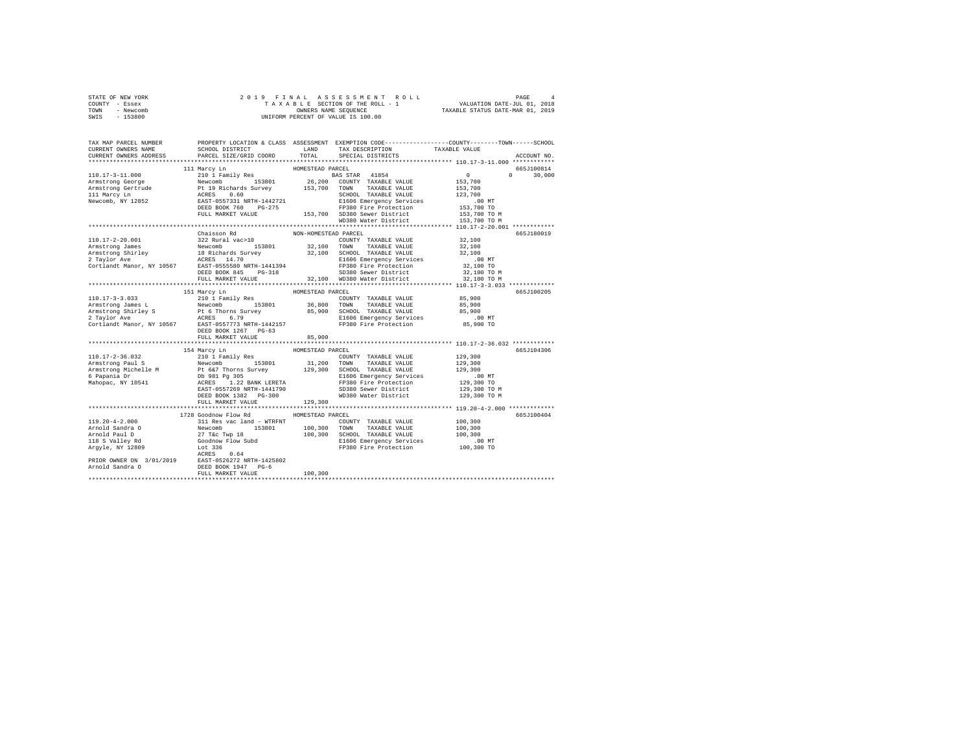| STATE OF NEW YORK | 2019 FINAL ASSESSMENT ROLL         | PAGE                             |
|-------------------|------------------------------------|----------------------------------|
| COUNTY - Essex    | TAXABLE SECTION OF THE ROLL - 1    | VALUATION DATE-JUL 01, 2018      |
| TOWN<br>- Newcomb | OWNERS NAME SEOUENCE               | TAXABLE STATUS DATE-MAR 01, 2019 |
| - 153800<br>SWIS  | UNIFORM PERCENT OF VALUE IS 100.00 |                                  |

| TAX MAP PARCEL NUMBER<br>CURRENT OWNERS NAME | SCHOOL DISTRICT                     LAND        TAX DESCRIPTION                TAXABLE VALUE                                                                                                                                            |                      |                                   | PROPERTY LOCATION & CLASS ASSESSMENT EXEMPTION CODE---------------COUNTY-------TOWN------SCHOOL |
|----------------------------------------------|-----------------------------------------------------------------------------------------------------------------------------------------------------------------------------------------------------------------------------------------|----------------------|-----------------------------------|-------------------------------------------------------------------------------------------------|
| CURRENT OWNERS ADDRESS                       | PARCEL SIZE/GRID COORD                                                                                                                                                                                                                  |                      | TOTAL SPECIAL DISTRICTS           | ACCOUNT NO.                                                                                     |
|                                              |                                                                                                                                                                                                                                         | HOMESTEAD PARCEL     |                                   | 665J100814                                                                                      |
|                                              | 111 Marcy Ln                                                                                                                                                                                                                            |                      |                                   | $0 \t 30,000$                                                                                   |
|                                              |                                                                                                                                                                                                                                         |                      |                                   |                                                                                                 |
|                                              |                                                                                                                                                                                                                                         |                      |                                   |                                                                                                 |
|                                              |                                                                                                                                                                                                                                         |                      |                                   |                                                                                                 |
|                                              |                                                                                                                                                                                                                                         |                      |                                   |                                                                                                 |
|                                              |                                                                                                                                                                                                                                         |                      |                                   |                                                                                                 |
|                                              |                                                                                                                                                                                                                                         |                      |                                   |                                                                                                 |
|                                              |                                                                                                                                                                                                                                         |                      |                                   |                                                                                                 |
|                                              |                                                                                                                                                                                                                                         |                      |                                   |                                                                                                 |
|                                              | Chaisson Rd                                                                                                                                                                                                                             | NON-HOMESTEAD PARCEL |                                   | 665J180019                                                                                      |
|                                              |                                                                                                                                                                                                                                         |                      |                                   |                                                                                                 |
|                                              |                                                                                                                                                                                                                                         |                      |                                   |                                                                                                 |
|                                              |                                                                                                                                                                                                                                         |                      |                                   |                                                                                                 |
|                                              |                                                                                                                                                                                                                                         |                      |                                   |                                                                                                 |
|                                              |                                                                                                                                                                                                                                         |                      |                                   |                                                                                                 |
|                                              |                                                                                                                                                                                                                                         |                      |                                   |                                                                                                 |
|                                              |                                                                                                                                                                                                                                         |                      |                                   |                                                                                                 |
|                                              |                                                                                                                                                                                                                                         |                      |                                   |                                                                                                 |
|                                              | 151 Marcy Ln                                                                                                                                                                                                                            | HOMESTEAD PARCEL     |                                   | 665J100205                                                                                      |
|                                              |                                                                                                                                                                                                                                         |                      |                                   |                                                                                                 |
|                                              |                                                                                                                                                                                                                                         |                      |                                   |                                                                                                 |
|                                              |                                                                                                                                                                                                                                         |                      |                                   |                                                                                                 |
|                                              | 110.17-3-3.033<br>Armstrong James L. 210 1 Family Res (2008) TOWEY TAXABLE VALUE 85,900<br>Armstrong James L. Pewcomb 153801 36,800 TOWN TAXABLE VALUE 85,900<br>2 Taylor Ave RCRES 6.79<br>2 Taylor Ave RCRES 6.79<br>Cortlandt Manor, |                      |                                   |                                                                                                 |
|                                              |                                                                                                                                                                                                                                         |                      |                                   |                                                                                                 |
|                                              |                                                                                                                                                                                                                                         |                      |                                   |                                                                                                 |
|                                              |                                                                                                                                                                                                                                         |                      |                                   |                                                                                                 |
|                                              |                                                                                                                                                                                                                                         |                      |                                   |                                                                                                 |
|                                              | 154 Marcy Ln                                                                                                                                                                                                                            | HOMESTEAD PARCEL     |                                   | 665J104306                                                                                      |
|                                              |                                                                                                                                                                                                                                         |                      |                                   |                                                                                                 |
|                                              |                                                                                                                                                                                                                                         |                      |                                   |                                                                                                 |
|                                              |                                                                                                                                                                                                                                         |                      |                                   |                                                                                                 |
|                                              |                                                                                                                                                                                                                                         |                      |                                   |                                                                                                 |
|                                              |                                                                                                                                                                                                                                         |                      |                                   |                                                                                                 |
|                                              |                                                                                                                                                                                                                                         |                      |                                   |                                                                                                 |
|                                              | DEED BOOK 1382 PG-300                                                                                                                                                                                                                   |                      | WD380 Water District 129,300 TO M |                                                                                                 |
|                                              |                                                                                                                                                                                                                                         |                      |                                   |                                                                                                 |
|                                              |                                                                                                                                                                                                                                         |                      |                                   |                                                                                                 |
|                                              | 1728 Goodnow Flow Rd                                                                                                                                                                                                                    | HOMESTEAD PARCEL     |                                   | 665J100404                                                                                      |
|                                              |                                                                                                                                                                                                                                         |                      |                                   |                                                                                                 |
|                                              |                                                                                                                                                                                                                                         |                      |                                   |                                                                                                 |
|                                              |                                                                                                                                                                                                                                         |                      |                                   |                                                                                                 |
|                                              |                                                                                                                                                                                                                                         |                      |                                   |                                                                                                 |
|                                              |                                                                                                                                                                                                                                         |                      |                                   |                                                                                                 |
|                                              |                                                                                                                                                                                                                                         |                      |                                   |                                                                                                 |
|                                              |                                                                                                                                                                                                                                         |                      |                                   |                                                                                                 |
|                                              |                                                                                                                                                                                                                                         |                      |                                   |                                                                                                 |
|                                              |                                                                                                                                                                                                                                         |                      |                                   |                                                                                                 |
|                                              |                                                                                                                                                                                                                                         |                      |                                   |                                                                                                 |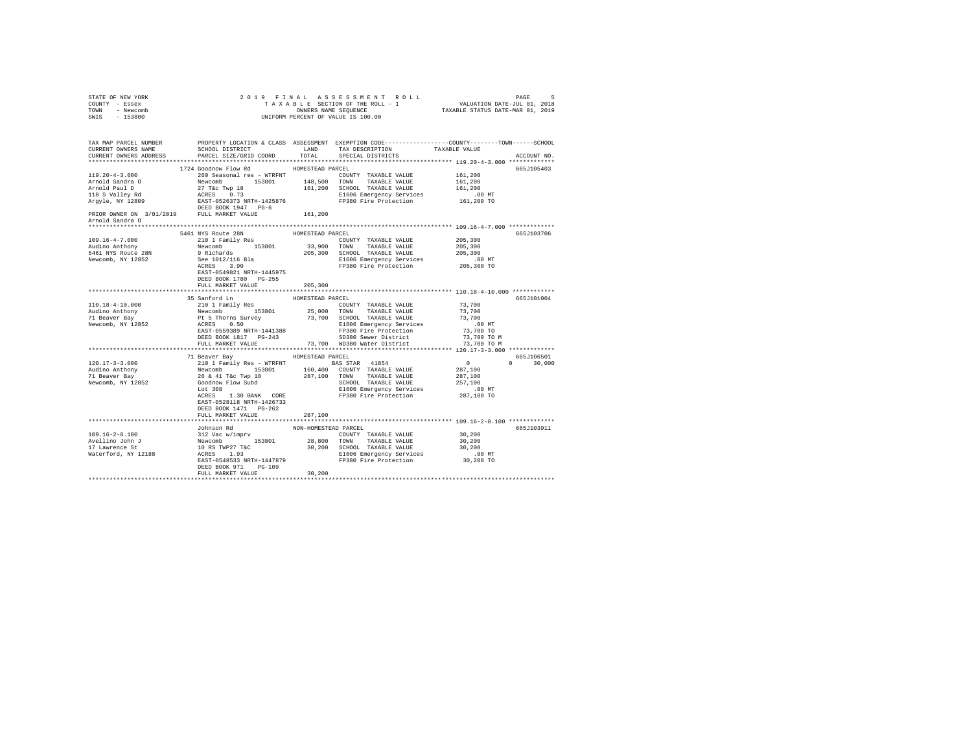| STATE OF NEW YORK<br>COUNTY - Essex<br>TOWN - Newcomb<br>SWIS - 153800                                                                                                                                                                                                                                                                                                                         |                                                                                                                           |                                           | 2019 FINAL ASSESSMENT ROLL<br>9 FINAL ASSESSMENT ROLL (1996) PAGE 5<br>TAXABLE SECTION OF THE ROLL - 1 VALUATION DATE-JUL (1901)<br>TAXABLE STATUS DATE-MAR 01, 2019<br>UNIFORM PERCENT OF VALUE IS 100.00 |                                              |                             |
|------------------------------------------------------------------------------------------------------------------------------------------------------------------------------------------------------------------------------------------------------------------------------------------------------------------------------------------------------------------------------------------------|---------------------------------------------------------------------------------------------------------------------------|-------------------------------------------|------------------------------------------------------------------------------------------------------------------------------------------------------------------------------------------------------------|----------------------------------------------|-----------------------------|
| TAX MAP PARCEL NUMBER                                                                                                                                                                                                                                                                                                                                                                          |                                                                                                                           |                                           | PROPERTY LOCATION & CLASS ASSESSMENT EXEMPTION CODE---------------COUNTY-------TOWN-----SCHOOL                                                                                                             |                                              | ACCOUNT NO.                 |
| $119.20 - 4 - 3.000$                                                                                                                                                                                                                                                                                                                                                                           | 1724 Goodnow Flow Rd MOMESTEAD PARCEL                                                                                     |                                           | 260 Seasonal res - WTRFNT COUNTY TAXABLE VALUE                                                                                                                                                             | 161,200<br>161,200<br>161,200                | 665.7105403                 |
| Arnold Sandra O<br>$109.16 - 4 - 7.000$<br>Audino Anthony<br>5461 NYS Route 28N<br>Newcomb, NY 12852                                                                                                                                                                                                                                                                                           | 5461 NYS Route 28N<br>210 1 Family Res<br>EAST-0549821 NRTH-1445975<br>DEED BOOK 1780 PG-255<br>FULL MARKET VALUE 205,300 | HOMESTEAD PARCEL                          | $\begin{tabular}{llllll} \textbf{COUNTY} & \textbf{TAXABLE} & \textbf{VALUE} & \textbf{205,300} \end{tabular}$                                                                                             |                                              | 665J103706                  |
|                                                                                                                                                                                                                                                                                                                                                                                                | 35 Sanford Ln MOMESTEAD PARCEL                                                                                            |                                           |                                                                                                                                                                                                            |                                              | 665J101004                  |
| $\begin{tabular}{l c c c c c} \multicolumn{3}{c}{\textbf{120.17--3--3.000}} & \multicolumn{3}{c}{\textbf{11}~\textbf{Range}~\textbf{Bay}} & \multicolumn{3}{c}{\textbf{140}~\textbf{Model}~\textbf{Max}~\textbf{EXLSE}} & \multicolumn{3}{c}{\textbf{140}~\textbf{140}~\textbf{M} & \multicolumn{3}{c}{\textbf{140}~\textbf{140}~\textbf{140}~\textbf{140}~\textbf{140}~\textbf{140}~\textbf{$ | 71 Beaver Bay MOMESTEAD PARCEL<br>EAST-0528118 NRTH-1426733<br>DEED BOOK 1471   PG-262                                    |                                           |                                                                                                                                                                                                            | $\overline{0}$                               | 665J106501<br>$0 \t 30,000$ |
|                                                                                                                                                                                                                                                                                                                                                                                                | FULL MARKET VALUE<br>Johnson Rd<br>DEED BOOK 971 PG-109<br>FULL MARKET VALUE                                              | 287,100<br>NON-HOMESTEAD PARCEL<br>30,200 | *******************************                                                                                                                                                                            | *************** 109.16-2-8.100 ************* | 665.T103911                 |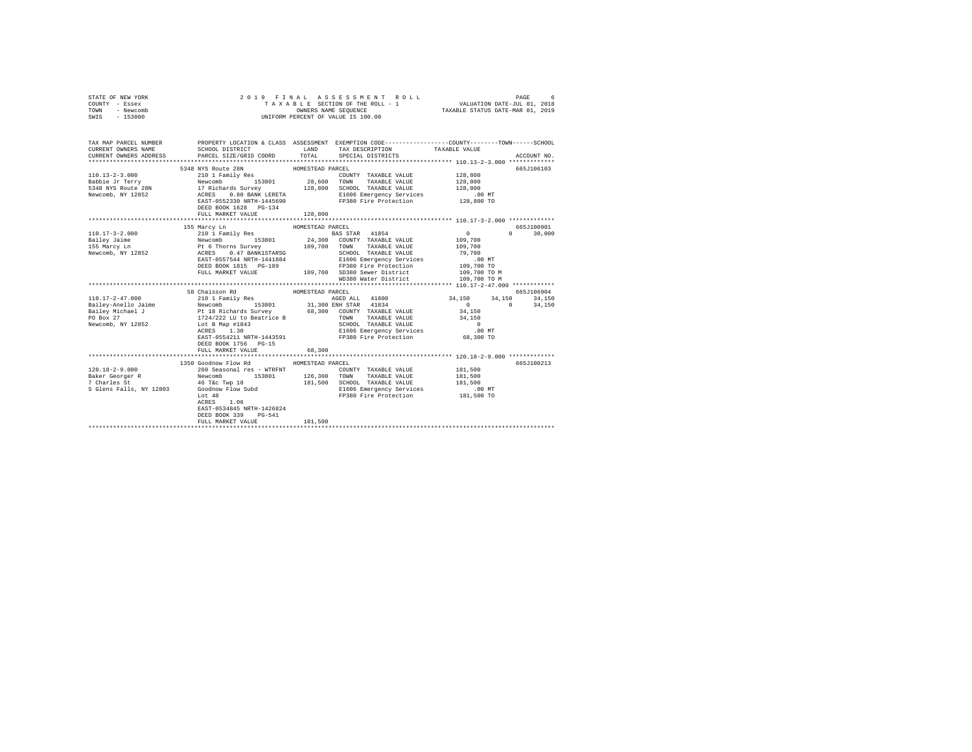| COUNTY - Essex<br>TOWN<br>- Newcomb<br>SWIS - 153800 | UNIFORM PERCENT OF VALUE IS 100.00                               |                                                                                                                                                                                                                                                                                                                                                                                                                                                                                                      |                           |                                                               |       |       |       |       |       |       |       |       |       |                       |                       |                                      |                           |                                                               |                                                   |
|------------------------------------------------------|------------------------------------------------------------------|------------------------------------------------------------------------------------------------------------------------------------------------------------------------------------------------------------------------------------------------------------------------------------------------------------------------------------------------------------------------------------------------------------------------------------------------------------------------------------------------------|---------------------------|---------------------------------------------------------------|-------|-------|-------|-------|-------|-------|-------|-------|-------|-----------------------|-----------------------|--------------------------------------|---------------------------|---------------------------------------------------------------|---------------------------------------------------|
| CURRENT OWNERS NAME<br>CURRENT OWNERS ADDRESS        | PARCEL SIZE/GRID COORD                                           | TAX MAP PARCEL NUMBER PROPERTY LOCATION & CLASS ASSESSMENT EXEMPTION CODE--------------COUNTY-------TOWN------SCHOOL<br>SCHOOL DISTRICT                       LAND        TAX DESCRIPTION                  TAXABLE VALUE<br>TOTAL SPECIAL DISTRICTS                                                                                                                                                                                                                                                  | ACCOUNT NO.               |                                                               |       |       |       |       |       |       |       |       |       |                       |                       |                                      |                           |                                                               |                                                   |
|                                                      | 5348 NYS Route 28N                                               | HOMESTEAD PARCEL                                                                                                                                                                                                                                                                                                                                                                                                                                                                                     | 665J106103                |                                                               |       |       |       |       |       |       |       |       |       |                       |                       |                                      |                           |                                                               |                                                   |
|                                                      |                                                                  |                                                                                                                                                                                                                                                                                                                                                                                                                                                                                                      |                           |                                                               |       |       |       |       |       |       |       |       |       |                       |                       |                                      |                           |                                                               |                                                   |
|                                                      |                                                                  |                                                                                                                                                                                                                                                                                                                                                                                                                                                                                                      |                           |                                                               |       |       |       |       |       |       |       |       |       |                       |                       |                                      |                           |                                                               |                                                   |
|                                                      |                                                                  |                                                                                                                                                                                                                                                                                                                                                                                                                                                                                                      |                           |                                                               |       |       |       |       |       |       |       |       |       |                       |                       |                                      |                           |                                                               |                                                   |
|                                                      |                                                                  |                                                                                                                                                                                                                                                                                                                                                                                                                                                                                                      |                           |                                                               |       |       |       |       |       |       |       |       |       |                       |                       |                                      |                           |                                                               |                                                   |
|                                                      | DEED BOOK 1628 PG-134                                            |                                                                                                                                                                                                                                                                                                                                                                                                                                                                                                      |                           |                                                               |       |       |       |       |       |       |       |       |       |                       |                       |                                      |                           |                                                               |                                                   |
|                                                      | FULL MARKET VALUE                                                | 128,800                                                                                                                                                                                                                                                                                                                                                                                                                                                                                              |                           |                                                               |       |       |       |       |       |       |       |       |       |                       |                       |                                      |                           |                                                               |                                                   |
|                                                      |                                                                  |                                                                                                                                                                                                                                                                                                                                                                                                                                                                                                      |                           |                                                               |       |       |       |       |       |       |       |       |       |                       |                       |                                      |                           |                                                               |                                                   |
|                                                      | 155 Marcy Ln                                                     | HOMESTEAD PARCEL                                                                                                                                                                                                                                                                                                                                                                                                                                                                                     | 665J100901                |                                                               |       |       |       |       |       |       |       |       |       |                       |                       |                                      |                           |                                                               |                                                   |
|                                                      |                                                                  |                                                                                                                                                                                                                                                                                                                                                                                                                                                                                                      | $0 \t30,000$              |                                                               |       |       |       |       |       |       |       |       |       |                       |                       |                                      |                           |                                                               |                                                   |
|                                                      |                                                                  |                                                                                                                                                                                                                                                                                                                                                                                                                                                                                                      |                           |                                                               |       |       |       |       |       |       |       |       |       |                       |                       |                                      |                           |                                                               |                                                   |
|                                                      |                                                                  |                                                                                                                                                                                                                                                                                                                                                                                                                                                                                                      |                           |                                                               |       |       |       |       |       |       |       |       |       |                       |                       |                                      |                           |                                                               |                                                   |
|                                                      |                                                                  |                                                                                                                                                                                                                                                                                                                                                                                                                                                                                                      |                           |                                                               |       |       |       |       |       |       |       |       |       |                       |                       |                                      |                           |                                                               |                                                   |
|                                                      |                                                                  |                                                                                                                                                                                                                                                                                                                                                                                                                                                                                                      |                           |                                                               |       |       |       |       |       |       |       |       |       |                       |                       |                                      |                           |                                                               |                                                   |
|                                                      |                                                                  |                                                                                                                                                                                                                                                                                                                                                                                                                                                                                                      | 109,700 TO M              |                                                               |       |       |       |       |       |       |       |       |       |                       |                       |                                      |                           |                                                               |                                                   |
|                                                      |                                                                  | WD380 Water District 109,700 TO M                                                                                                                                                                                                                                                                                                                                                                                                                                                                    |                           |                                                               |       |       |       |       |       |       |       |       |       |                       |                       |                                      |                           |                                                               |                                                   |
|                                                      |                                                                  |                                                                                                                                                                                                                                                                                                                                                                                                                                                                                                      |                           |                                                               |       |       |       |       |       |       |       |       |       |                       |                       |                                      |                           |                                                               |                                                   |
|                                                      | 58 Chaisson Rd                                                   | HOMESTEAD PARCEL                                                                                                                                                                                                                                                                                                                                                                                                                                                                                     | 665J106904                |                                                               |       |       |       |       |       |       |       |       |       |                       |                       |                                      |                           |                                                               |                                                   |
| 110.17-2-47.000                                      | b8 Chaisson Rd<br>210 1 Family Res                               | AGED ALL 41800                                                                                                                                                                                                                                                                                                                                                                                                                                                                                       |                           |                                                               |       |       |       |       |       |       |       |       |       |                       |                       |                                      |                           |                                                               |                                                   |
|                                                      |                                                                  | $\n\n\nBailley-Anello Jaime\nNeu c\nNeu c\nNeu c\nNeu c\nNeu c\nNeu c\nNeu c\nNeu c\nNeu c\nNeu c\n\n\nBeialley-Anello Jaime\nPE 18 Richards Survey\n68,300 COUNT TAXABLE VALUESPO Box 27\n1724,222 LU to Beatrice B\n68,300 COUNT TAXABLE VALUESNewcomb, NY 12852 LU to Beatrice B$                                                                                                                                                                                                                 | Bailley-Anello Jaime      | Neu c                                                         | Neu c | Neu c | Neu c | Neu c | Neu c | Neu c | Neu c | Neu c | Neu c | Beialley-Anello Jaime | PE 18 Richards Survey | 68,300 COUNT TAXABLE VALUESPO Box 27 | 1724,222 LU to Beatrice B | 68,300 COUNT TAXABLE VALUESNewcomb, NY 12852 LU to Beatrice B | $34,150$ $34,150$ $34,150$ $34,150$<br>0 $34,150$ |
| Bailley-Anello Jaime                                 | Neu c                                                            | Neu c                                                                                                                                                                                                                                                                                                                                                                                                                                                                                                | Neu c                     | Neu c                                                         | Neu c | Neu c | Neu c | Neu c | Neu c | Neu c |       |       |       |                       |                       |                                      |                           |                                                               |                                                   |
| Beialley-Anello Jaime                                | PE 18 Richards Survey                                            | 68,300 COUNT TAXABLE VALUESPO Box 27                                                                                                                                                                                                                                                                                                                                                                                                                                                                 | 1724,222 LU to Beatrice B | 68,300 COUNT TAXABLE VALUESNewcomb, NY 12852 LU to Beatrice B |       |       |       |       |       |       |       |       |       |                       |                       |                                      |                           |                                                               |                                                   |
|                                                      |                                                                  |                                                                                                                                                                                                                                                                                                                                                                                                                                                                                                      | 34,150                    |                                                               |       |       |       |       |       |       |       |       |       |                       |                       |                                      |                           |                                                               |                                                   |
|                                                      |                                                                  |                                                                                                                                                                                                                                                                                                                                                                                                                                                                                                      | 34,150                    |                                                               |       |       |       |       |       |       |       |       |       |                       |                       |                                      |                           |                                                               |                                                   |
|                                                      |                                                                  |                                                                                                                                                                                                                                                                                                                                                                                                                                                                                                      | $\sim$ 0                  |                                                               |       |       |       |       |       |       |       |       |       |                       |                       |                                      |                           |                                                               |                                                   |
|                                                      |                                                                  |                                                                                                                                                                                                                                                                                                                                                                                                                                                                                                      | $.00$ MT                  |                                                               |       |       |       |       |       |       |       |       |       |                       |                       |                                      |                           |                                                               |                                                   |
|                                                      | DEED BOOK 1756 PG-15<br>FULL MARKET VALUE                        | ACRES 1.30 E1606 Emergency Services<br>EAST-0554211 NRTH-1443591 FP380 Fire Protection                                                                                                                                                                                                                                                                                                                                                                                                               | مساب.<br>68,300 TO        |                                                               |       |       |       |       |       |       |       |       |       |                       |                       |                                      |                           |                                                               |                                                   |
|                                                      |                                                                  | 68,300                                                                                                                                                                                                                                                                                                                                                                                                                                                                                               |                           |                                                               |       |       |       |       |       |       |       |       |       |                       |                       |                                      |                           |                                                               |                                                   |
|                                                      | 1350 Goodnow Flow Rd MOMESTEAD PARCEL                            |                                                                                                                                                                                                                                                                                                                                                                                                                                                                                                      | 665J100213                |                                                               |       |       |       |       |       |       |       |       |       |                       |                       |                                      |                           |                                                               |                                                   |
|                                                      |                                                                  |                                                                                                                                                                                                                                                                                                                                                                                                                                                                                                      | 181,500                   |                                                               |       |       |       |       |       |       |       |       |       |                       |                       |                                      |                           |                                                               |                                                   |
|                                                      |                                                                  | $\texttt{BAF} \begin{minipage}{0.93\textwidth} \begin{minipage}{0.93\textwidth} \begin{minipage}{0.93\textwidth} \begin{minipage}{0.93\textwidth} \begin{minipage}{0.93\textwidth} \begin{minipage}{0.93\textwidth} \begin{minipage}{0.93\textwidth} \begin{minipage}{0.93\textwidth} \begin{minipage}{0.93\textwidth} \begin{minipage}{0.93\textwidth} \begin{minipage}{0.93\textwidth} \begin{minipage}{0.93\textwidth} \begin{minipage}{0.93\textwidth} \begin{minipage}{0.93\textwidth} \begin{$ |                           |                                                               |       |       |       |       |       |       |       |       |       |                       |                       |                                      |                           |                                                               |                                                   |
|                                                      |                                                                  |                                                                                                                                                                                                                                                                                                                                                                                                                                                                                                      |                           |                                                               |       |       |       |       |       |       |       |       |       |                       |                       |                                      |                           |                                                               |                                                   |
|                                                      |                                                                  |                                                                                                                                                                                                                                                                                                                                                                                                                                                                                                      |                           |                                                               |       |       |       |       |       |       |       |       |       |                       |                       |                                      |                           |                                                               |                                                   |
|                                                      | S Glens Falls, NY 12803<br>Soodnow Flow Subd<br>Lot 40<br>Lot 40 | E1606 Emergency Services .00 MT<br>FP380 Fire Protection 181,500 TO                                                                                                                                                                                                                                                                                                                                                                                                                                  |                           |                                                               |       |       |       |       |       |       |       |       |       |                       |                       |                                      |                           |                                                               |                                                   |
|                                                      | $ACRES$ 1.06                                                     |                                                                                                                                                                                                                                                                                                                                                                                                                                                                                                      |                           |                                                               |       |       |       |       |       |       |       |       |       |                       |                       |                                      |                           |                                                               |                                                   |
|                                                      | EAST-0534845 NRTH-1426824                                        |                                                                                                                                                                                                                                                                                                                                                                                                                                                                                                      |                           |                                                               |       |       |       |       |       |       |       |       |       |                       |                       |                                      |                           |                                                               |                                                   |
|                                                      | DEED BOOK 339 PG-541                                             |                                                                                                                                                                                                                                                                                                                                                                                                                                                                                                      |                           |                                                               |       |       |       |       |       |       |       |       |       |                       |                       |                                      |                           |                                                               |                                                   |
|                                                      | FULL MARKET VALUE                                                | 181,500                                                                                                                                                                                                                                                                                                                                                                                                                                                                                              |                           |                                                               |       |       |       |       |       |       |       |       |       |                       |                       |                                      |                           |                                                               |                                                   |
|                                                      |                                                                  |                                                                                                                                                                                                                                                                                                                                                                                                                                                                                                      |                           |                                                               |       |       |       |       |       |       |       |       |       |                       |                       |                                      |                           |                                                               |                                                   |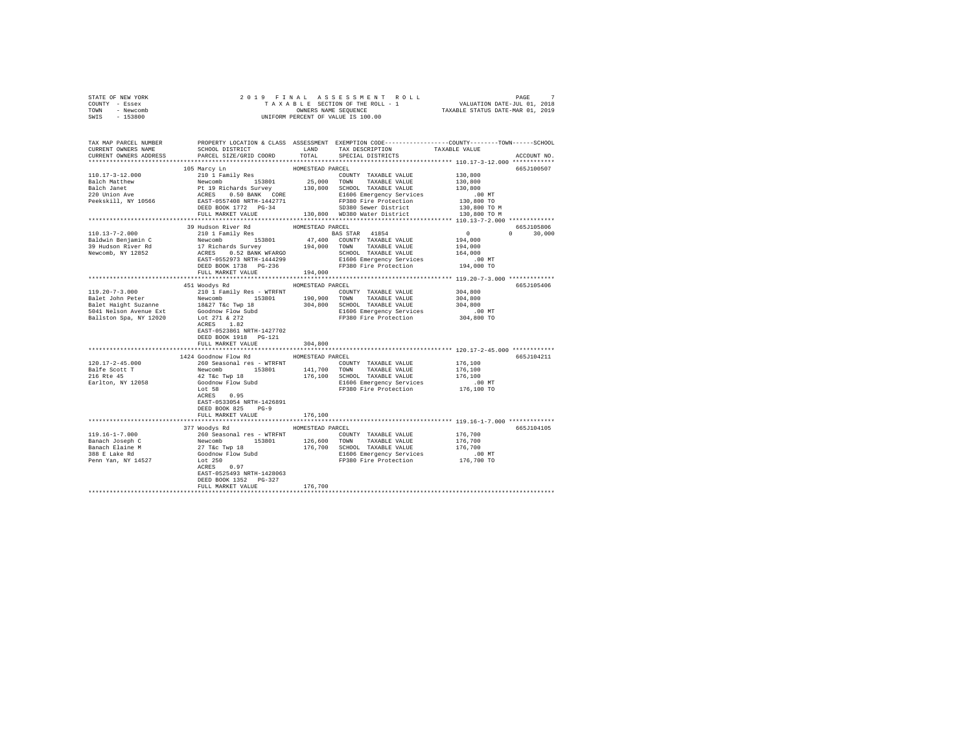| STATE OF NEW YORK<br>COUNTY - Essex                                                                                                                                                             |                                                                                                                                                                                                                                                                                                                                                                                                                                                                                   |                  |                      |                            |               |
|-------------------------------------------------------------------------------------------------------------------------------------------------------------------------------------------------|-----------------------------------------------------------------------------------------------------------------------------------------------------------------------------------------------------------------------------------------------------------------------------------------------------------------------------------------------------------------------------------------------------------------------------------------------------------------------------------|------------------|----------------------|----------------------------|---------------|
| TOWN - Newcomb                                                                                                                                                                                  |                                                                                                                                                                                                                                                                                                                                                                                                                                                                                   |                  |                      |                            |               |
| SWIS - 153800                                                                                                                                                                                   |                                                                                                                                                                                                                                                                                                                                                                                                                                                                                   |                  |                      |                            |               |
|                                                                                                                                                                                                 |                                                                                                                                                                                                                                                                                                                                                                                                                                                                                   |                  |                      |                            |               |
|                                                                                                                                                                                                 |                                                                                                                                                                                                                                                                                                                                                                                                                                                                                   |                  |                      |                            |               |
| TAX MAP PARCEL NUMBER PROPERTY LOCATION & CLASS ASSESSMENT EXEMPTION CODE---------------COUNTY-------TOWN------SCHOOL<br>CURRENT OWNERS NAME SCHOOL DISTRICT LAND TAX DESCRIPTION TAXABLE VALUE |                                                                                                                                                                                                                                                                                                                                                                                                                                                                                   |                  |                      |                            |               |
|                                                                                                                                                                                                 |                                                                                                                                                                                                                                                                                                                                                                                                                                                                                   |                  |                      |                            |               |
| CURRENT OWNERS ADDRESS PARCEL SIZE/GRID COORD TOTAL SPECIAL DISTRICTS                                                                                                                           |                                                                                                                                                                                                                                                                                                                                                                                                                                                                                   |                  |                      |                            | ACCOUNT NO.   |
|                                                                                                                                                                                                 |                                                                                                                                                                                                                                                                                                                                                                                                                                                                                   |                  |                      |                            |               |
|                                                                                                                                                                                                 | 105 Marcy Ln                                                                                                                                                                                                                                                                                                                                                                                                                                                                      | HOMESTEAD PARCEL |                      |                            | 665J100507    |
| 110.17-3-12.000                                                                                                                                                                                 | 105 Marcy Ln<br>210 1 Family Res                                                                                                                                                                                                                                                                                                                                                                                                                                                  |                  | COUNTY TAXABLE VALUE | 130,800                    |               |
|                                                                                                                                                                                                 |                                                                                                                                                                                                                                                                                                                                                                                                                                                                                   |                  |                      | 130,800                    |               |
|                                                                                                                                                                                                 |                                                                                                                                                                                                                                                                                                                                                                                                                                                                                   |                  |                      | 130,800                    |               |
|                                                                                                                                                                                                 |                                                                                                                                                                                                                                                                                                                                                                                                                                                                                   |                  |                      | .00MT                      |               |
|                                                                                                                                                                                                 |                                                                                                                                                                                                                                                                                                                                                                                                                                                                                   |                  |                      | 130,800 TO<br>130,800 TO M |               |
|                                                                                                                                                                                                 |                                                                                                                                                                                                                                                                                                                                                                                                                                                                                   |                  |                      |                            |               |
|                                                                                                                                                                                                 |                                                                                                                                                                                                                                                                                                                                                                                                                                                                                   |                  |                      | 130,800 TO M               |               |
|                                                                                                                                                                                                 |                                                                                                                                                                                                                                                                                                                                                                                                                                                                                   |                  |                      |                            |               |
|                                                                                                                                                                                                 |                                                                                                                                                                                                                                                                                                                                                                                                                                                                                   |                  |                      | $665J105806$<br>0 0 30,000 |               |
| $110.13 - 7 - 2.000$                                                                                                                                                                            |                                                                                                                                                                                                                                                                                                                                                                                                                                                                                   |                  |                      |                            | $0 \t 30,000$ |
| Baldwin Benjamin C<br>39 Hudson River Rd<br>Newcomb, NY 12852                                                                                                                                   |                                                                                                                                                                                                                                                                                                                                                                                                                                                                                   |                  |                      |                            |               |
|                                                                                                                                                                                                 |                                                                                                                                                                                                                                                                                                                                                                                                                                                                                   |                  |                      |                            |               |
|                                                                                                                                                                                                 |                                                                                                                                                                                                                                                                                                                                                                                                                                                                                   |                  |                      |                            |               |
|                                                                                                                                                                                                 | 39 Hudson River Rd<br>2010 1 Family Res 2020 1 However Rd<br>2020 1 Tachards Survey 194,000 200<br>21 Richards Survey 194,000 70WN TAXABLE VALUE 194,000<br>21 Richards Survey 194,000 70WN TAXABLE VALUE 194,000<br>22 RES 0.52 BANK WF                                                                                                                                                                                                                                          |                  |                      |                            |               |
|                                                                                                                                                                                                 |                                                                                                                                                                                                                                                                                                                                                                                                                                                                                   |                  |                      |                            |               |
|                                                                                                                                                                                                 | FULL MARKET VALUE 194,000                                                                                                                                                                                                                                                                                                                                                                                                                                                         |                  |                      |                            |               |
|                                                                                                                                                                                                 |                                                                                                                                                                                                                                                                                                                                                                                                                                                                                   |                  |                      |                            |               |
|                                                                                                                                                                                                 | 451 Woodys Rd MOMESTEAD PARCEL                                                                                                                                                                                                                                                                                                                                                                                                                                                    |                  |                      |                            | 665J105406    |
| 119.20-7-3.000                                                                                                                                                                                  | 210 1 Family Res - WTRFNT COUNTY TAXABLE VALUE                                                                                                                                                                                                                                                                                                                                                                                                                                    |                  |                      | 304,800                    |               |
|                                                                                                                                                                                                 |                                                                                                                                                                                                                                                                                                                                                                                                                                                                                   |                  |                      |                            |               |
|                                                                                                                                                                                                 |                                                                                                                                                                                                                                                                                                                                                                                                                                                                                   |                  |                      |                            |               |
|                                                                                                                                                                                                 |                                                                                                                                                                                                                                                                                                                                                                                                                                                                                   |                  |                      |                            |               |
|                                                                                                                                                                                                 |                                                                                                                                                                                                                                                                                                                                                                                                                                                                                   |                  |                      |                            |               |
|                                                                                                                                                                                                 |                                                                                                                                                                                                                                                                                                                                                                                                                                                                                   |                  |                      |                            |               |
|                                                                                                                                                                                                 | EAST-0523861 NRTH-1427702                                                                                                                                                                                                                                                                                                                                                                                                                                                         |                  |                      |                            |               |
|                                                                                                                                                                                                 | DEED BOOK 1918 PG-121<br>FULL MARKET VALUE                                                                                                                                                                                                                                                                                                                                                                                                                                        |                  |                      |                            |               |
|                                                                                                                                                                                                 |                                                                                                                                                                                                                                                                                                                                                                                                                                                                                   | 304,800          |                      |                            |               |
|                                                                                                                                                                                                 | 1424 Goodnow Flow Rd HOMESTEAD PARCEL                                                                                                                                                                                                                                                                                                                                                                                                                                             |                  |                      |                            | 665J104211    |
| $120.17 - 2 - 45.000$                                                                                                                                                                           |                                                                                                                                                                                                                                                                                                                                                                                                                                                                                   |                  |                      |                            |               |
|                                                                                                                                                                                                 |                                                                                                                                                                                                                                                                                                                                                                                                                                                                                   |                  |                      |                            |               |
| Balfe Scott T<br>216 Rte 45                                                                                                                                                                     |                                                                                                                                                                                                                                                                                                                                                                                                                                                                                   |                  |                      |                            |               |
| Earlton, NY 12058                                                                                                                                                                               | $\begin{tabular}{lcccc} \texttt{14.44}\scriptpace{14.46}\scriptpace{14.46}\scriptpace{14.46}\scriptpace{14.46}\scriptpace{14.46}\scriptstyle{14.46}\scriptstyle{14.46}\scriptstyle{14.46}\scriptstyle{14.46}\scriptstyle{14.46}\scriptstyle{14.46}\scriptstyle{14.46}\scriptstyle{14.46}\scriptstyle{14.46}\scriptstyle{14.46}\scriptstyle{14.46}\scriptstyle{14.46}\scriptstyle{14.46}\scriptstyle{14.46}\scriptstyle{14.46}\scriptstyle{14.46}\scriptstyle{14.46}\scriptstyle{$ |                  |                      |                            |               |
|                                                                                                                                                                                                 |                                                                                                                                                                                                                                                                                                                                                                                                                                                                                   |                  |                      |                            |               |
|                                                                                                                                                                                                 | ACRES 0.95                                                                                                                                                                                                                                                                                                                                                                                                                                                                        |                  |                      |                            |               |
|                                                                                                                                                                                                 | EAST-0533054 NRTH-1426891                                                                                                                                                                                                                                                                                                                                                                                                                                                         |                  |                      |                            |               |
|                                                                                                                                                                                                 | DEED BOOK 825 PG-9                                                                                                                                                                                                                                                                                                                                                                                                                                                                |                  |                      |                            |               |
|                                                                                                                                                                                                 | FULL MARKET VALUE                                                                                                                                                                                                                                                                                                                                                                                                                                                                 | 176,100          |                      |                            |               |
|                                                                                                                                                                                                 |                                                                                                                                                                                                                                                                                                                                                                                                                                                                                   |                  |                      |                            |               |
|                                                                                                                                                                                                 | 377 Woodys Rd MOMESTEAD PARCEL                                                                                                                                                                                                                                                                                                                                                                                                                                                    |                  |                      |                            | 665J104105    |
|                                                                                                                                                                                                 |                                                                                                                                                                                                                                                                                                                                                                                                                                                                                   |                  |                      |                            |               |
|                                                                                                                                                                                                 |                                                                                                                                                                                                                                                                                                                                                                                                                                                                                   |                  |                      |                            |               |
|                                                                                                                                                                                                 |                                                                                                                                                                                                                                                                                                                                                                                                                                                                                   |                  |                      |                            |               |
|                                                                                                                                                                                                 |                                                                                                                                                                                                                                                                                                                                                                                                                                                                                   |                  |                      |                            |               |
|                                                                                                                                                                                                 |                                                                                                                                                                                                                                                                                                                                                                                                                                                                                   |                  |                      |                            |               |
|                                                                                                                                                                                                 |                                                                                                                                                                                                                                                                                                                                                                                                                                                                                   |                  |                      |                            |               |
|                                                                                                                                                                                                 | EAST-0525493 NRTH-1428063                                                                                                                                                                                                                                                                                                                                                                                                                                                         |                  |                      |                            |               |
|                                                                                                                                                                                                 | DEED BOOK 1352 PG-327                                                                                                                                                                                                                                                                                                                                                                                                                                                             |                  |                      |                            |               |
|                                                                                                                                                                                                 | FULL MARKET VALUE                                                                                                                                                                                                                                                                                                                                                                                                                                                                 | 176,700          |                      |                            |               |
|                                                                                                                                                                                                 |                                                                                                                                                                                                                                                                                                                                                                                                                                                                                   |                  |                      |                            |               |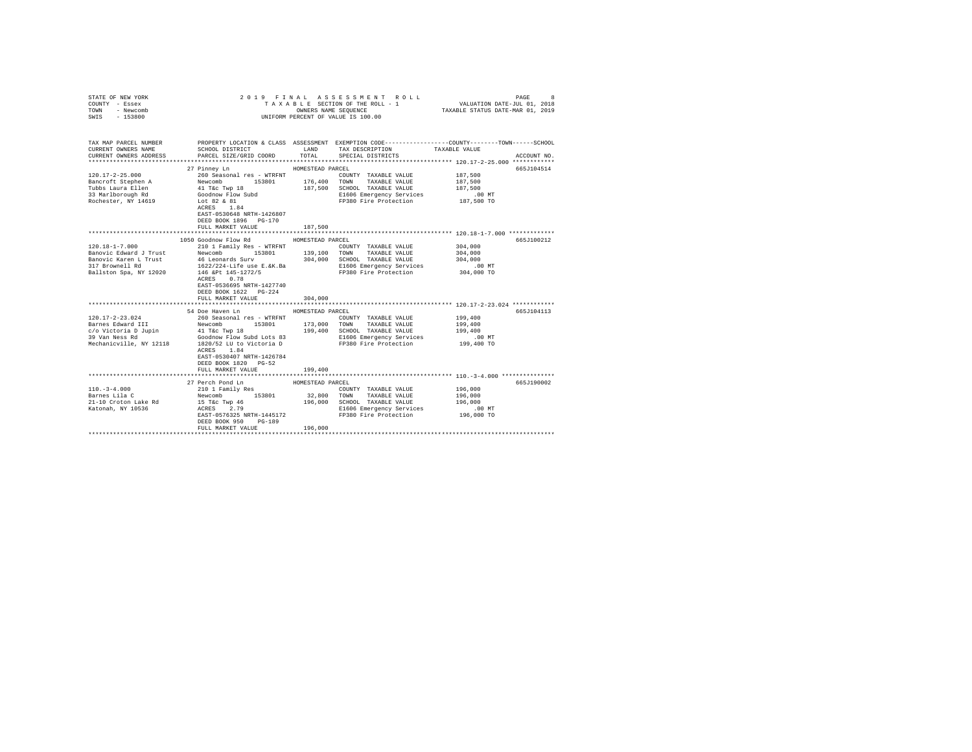| STATE OF NEW YORK<br>COUNTY - Essex<br>TOWN<br>- Newcomb | 2019 FINAL ASSESSMENT ROLL<br>PAGE<br>8<br>TAXABLE SECTION OF THE ROLL - 1 |                  |                                                              |                                                                                                                  |  |
|----------------------------------------------------------|----------------------------------------------------------------------------|------------------|--------------------------------------------------------------|------------------------------------------------------------------------------------------------------------------|--|
| SWIS - 153800                                            |                                                                            |                  | UNIFORM PERCENT OF VALUE IS 100.00                           |                                                                                                                  |  |
| TAX MAP PARCEL NUMBER<br>CURRENT OWNERS NAME             | SCHOOL DISTRICT TAND TAX DESCRIPTION                                       |                  |                                                              | PROPERTY LOCATION & CLASS ASSESSMENT EXEMPTION CODE---------------COUNTY-------TOWN------SCHOOL<br>TAXABLE VALUE |  |
| CURRENT OWNERS ADDRESS                                   | PARCEL SIZE/GRID COORD TOTAL SPECIAL DISTRICTS                             |                  |                                                              | ACCOUNT NO.                                                                                                      |  |
|                                                          | 27 Pinney Ln                                                               | HOMESTEAD PARCEL |                                                              | 665J104514                                                                                                       |  |
|                                                          |                                                                            |                  | COUNTY TAXABLE VALUE                                         | 187,500                                                                                                          |  |
|                                                          |                                                                            |                  |                                                              | 187,500                                                                                                          |  |
|                                                          |                                                                            |                  | 187,500 SCHOOL TAXABLE VALUE                                 | 187,500                                                                                                          |  |
|                                                          |                                                                            |                  |                                                              |                                                                                                                  |  |
| Rochester, NY 14619                                      | Lot 82 & 81                                                                |                  | E1606 Emergency services<br>FP380 Fire Protection 187,500 TO |                                                                                                                  |  |
|                                                          | ACRES 1.84                                                                 |                  |                                                              |                                                                                                                  |  |
|                                                          | EAST-0530648 NRTH-1426807                                                  |                  |                                                              |                                                                                                                  |  |
|                                                          | DEED BOOK 1896 PG-170                                                      |                  |                                                              |                                                                                                                  |  |
|                                                          | FULL MARKET VALUE                                                          | 187,500          |                                                              |                                                                                                                  |  |
|                                                          |                                                                            |                  |                                                              | ********************************** 120.18-1-7.000 **************                                                 |  |
|                                                          | 1050 Goodnow Flow Rd                                                       | HOMESTEAD PARCEL |                                                              | 665J100212                                                                                                       |  |
| $120.18 - 1 - 7.000$                                     | 210 1 Family Res - WTRFNT                                                  |                  | COUNTY TAXABLE VALUE                                         | 304,000                                                                                                          |  |
|                                                          | Banovic Edward J Trust Mewcomb 153801 139,100 TOWN TAXABLE VALUE           |                  |                                                              | 304,000                                                                                                          |  |
| Banovic Karen L Trust<br>317 Brownell Rd                 | 46 Leonards Surv 304,000 SCHOOL TAXABLE VALUE<br>1622/224-Life use E.&K.Ba |                  |                                                              | 304,000                                                                                                          |  |
| Ballston Spa, NY 12020                                   |                                                                            |                  | E1606 Emergency Services<br>FP380 Fire Protection            | .00 MT<br>304,000 TO                                                                                             |  |
|                                                          | 146 &Pt 145-1272/5<br>ACRES 0.78                                           |                  |                                                              |                                                                                                                  |  |
|                                                          | EAST-0536695 NRTH-1427740                                                  |                  |                                                              |                                                                                                                  |  |
|                                                          | DEED BOOK 1622 PG-224                                                      |                  |                                                              |                                                                                                                  |  |
|                                                          | FULL MARKET VALUE                                                          | 304,000          |                                                              |                                                                                                                  |  |
|                                                          |                                                                            |                  |                                                              |                                                                                                                  |  |
|                                                          | 54 Doe Haven Ln                                                            | HOMESTEAD PARCEL |                                                              | 665J104113                                                                                                       |  |
| $120.17 - 2 - 23.024$                                    | 260 Seasonal res - WTRFNT                                                  |                  | COUNTY TAXABLE VALUE                                         | 199,400                                                                                                          |  |
|                                                          |                                                                            |                  |                                                              |                                                                                                                  |  |
|                                                          |                                                                            |                  |                                                              |                                                                                                                  |  |
|                                                          |                                                                            |                  |                                                              |                                                                                                                  |  |
|                                                          |                                                                            |                  |                                                              |                                                                                                                  |  |
|                                                          | ACRES 1.84                                                                 |                  |                                                              |                                                                                                                  |  |
|                                                          | EAST-0530407 NRTH-1426784                                                  |                  |                                                              |                                                                                                                  |  |
|                                                          | DEED BOOK 1820 PG-52                                                       |                  |                                                              |                                                                                                                  |  |
|                                                          | FULL MARKET VALUE                                                          | 199,400          |                                                              |                                                                                                                  |  |
|                                                          |                                                                            |                  |                                                              |                                                                                                                  |  |
|                                                          | 27 Perch Pond Ln                                                           | HOMESTEAD PARCEL |                                                              | 665J190002                                                                                                       |  |
| $110. - 3 - 4.000$                                       | 210 1 Family Res                                                           |                  | COUNTY TAXABLE VALUE                                         | 196,000                                                                                                          |  |
| Barnes Lila C                                            | Newcomb 153801                                                             |                  | 32,800 TOWN TAXABLE VALUE                                    | 196,000                                                                                                          |  |
| 21-10 Croton Lake Rd                                     | 15 T&C Twp 46<br>ACRES 2.79                                                |                  | 196,000 SCHOOL TAXABLE VALUE                                 | 196,000                                                                                                          |  |
| Katonah, NY 10536                                        |                                                                            |                  | E1606 Emergency Services                                     | $.00$ MT                                                                                                         |  |
|                                                          | EAST-0576325 NRTH-1445172                                                  |                  | FP380 Fire Protection                                        | 196,000 TO                                                                                                       |  |
|                                                          | DEED BOOK 950<br>$PG-189$                                                  |                  |                                                              |                                                                                                                  |  |
|                                                          | FULL MARKET VALUE                                                          | 196,000          |                                                              |                                                                                                                  |  |
|                                                          |                                                                            |                  |                                                              |                                                                                                                  |  |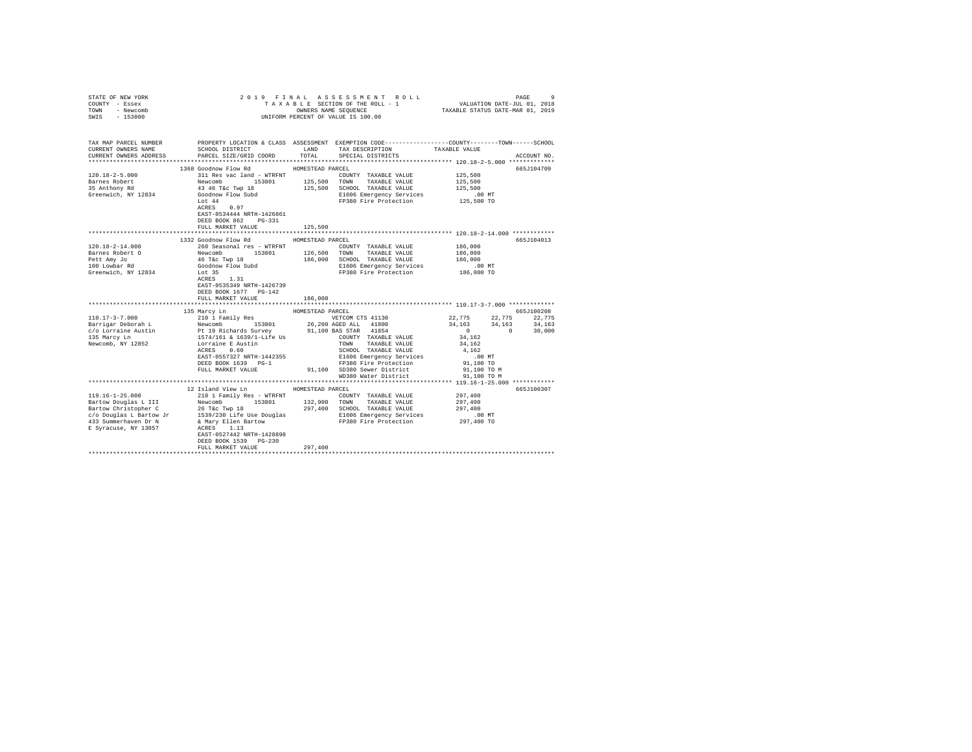| STATE OF NEW YORK<br>COUNTY - Essex<br>TOWN<br>- Newcomb                                                                                                                                                                    | 2019 FINAL<br>TAXABLE SECTION OF THE ROLL - 1<br>OWNERS NAME SEQUENCE |                  |                                                                                                                                          |                    |             |
|-----------------------------------------------------------------------------------------------------------------------------------------------------------------------------------------------------------------------------|-----------------------------------------------------------------------|------------------|------------------------------------------------------------------------------------------------------------------------------------------|--------------------|-------------|
| $-153800$<br>SWIS                                                                                                                                                                                                           |                                                                       |                  | UNIFORM PERCENT OF VALUE IS 100.00                                                                                                       |                    |             |
| TAX MAP PARCEL NUMBER<br>CURRENT OWNERS NAME<br>CURRENT OWNERS ADDRESS                                                                                                                                                      | SCHOOL DISTRICT<br>PARCEL SIZE/GRID COORD                             | LAND<br>TOTAL    | PROPERTY LOCATION & CLASS ASSESSMENT EXEMPTION CODE----------------COUNTY-------TOWN------SCHOOL<br>TAX DESCRIPTION<br>SPECIAL DISTRICTS | TAXABLE VALUE      | ACCOUNT NO. |
|                                                                                                                                                                                                                             |                                                                       |                  |                                                                                                                                          |                    |             |
|                                                                                                                                                                                                                             | 1368 Goodnow Flow Rd                                                  | HOMESTEAD PARCEL |                                                                                                                                          |                    | 665J104709  |
| $120.18 - 2 - 5.000$                                                                                                                                                                                                        | 311 Res vac land - WTRFNT                                             |                  | COUNTY TAXABLE VALUE                                                                                                                     | 125,500            |             |
| Barnes Robert                                                                                                                                                                                                               | Newcomb<br>153801                                                     | 125,500 TOWN     | TAXABLE VALUE                                                                                                                            | 125,500            |             |
| 35 Anthony Rd                                                                                                                                                                                                               | 43 46 T&C Twp 18                                                      |                  | 125,500 SCHOOL TAXABLE VALUE                                                                                                             | 125,500            |             |
| Greenwich, NY 12834                                                                                                                                                                                                         | Goodnow Flow Subd                                                     |                  | E1606 Emergency Services                                                                                                                 | $.00$ MT           |             |
|                                                                                                                                                                                                                             | Lot 44                                                                |                  | FP380 Fire Protection                                                                                                                    | 125,500 TO         |             |
|                                                                                                                                                                                                                             | ACRES 0.97                                                            |                  |                                                                                                                                          |                    |             |
|                                                                                                                                                                                                                             | EAST-0534444 NRTH-1426861                                             |                  |                                                                                                                                          |                    |             |
|                                                                                                                                                                                                                             | DEED BOOK 862 PG-331                                                  |                  |                                                                                                                                          |                    |             |
|                                                                                                                                                                                                                             | FULL MARKET VALUE                                                     | 125,500          |                                                                                                                                          |                    |             |
|                                                                                                                                                                                                                             |                                                                       |                  |                                                                                                                                          |                    |             |
|                                                                                                                                                                                                                             | 1332 Goodnow Flow Rd                                                  | HOMESTEAD PARCEL |                                                                                                                                          |                    | 665J104013  |
| $120.18 - 2 - 14.000$                                                                                                                                                                                                       | 260 Seasonal res - WTRFNT                                             |                  | COUNTY TAXABLE VALUE                                                                                                                     | 186,000            |             |
| Barnes Robert O                                                                                                                                                                                                             | Newcomb 153801                                                        |                  | 126,500 TOWN TAXABLE VALUE                                                                                                               | 186,000<br>186,000 |             |
| Pett Amy Jo<br>100 Lowbar Rd                                                                                                                                                                                                | 46 T&c Twp 18<br>Goodnow Flow Subd                                    | 186,000          | SCHOOL TAXABLE VALUE<br>E1606 Emergency Services                                                                                         | $.00$ MT           |             |
| Greenwich, NY 12834                                                                                                                                                                                                         | Lot 35                                                                |                  | FP380 Fire Protection                                                                                                                    | 186,000 TO         |             |
|                                                                                                                                                                                                                             | ACRES 1.31                                                            |                  |                                                                                                                                          |                    |             |
|                                                                                                                                                                                                                             | EAST-0535349 NRTH-1426739                                             |                  |                                                                                                                                          |                    |             |
|                                                                                                                                                                                                                             | DEED BOOK 1677 PG-142                                                 |                  |                                                                                                                                          |                    |             |
|                                                                                                                                                                                                                             | FULL MARKET VALUE                                                     | 186,000          |                                                                                                                                          |                    |             |
|                                                                                                                                                                                                                             |                                                                       |                  |                                                                                                                                          |                    |             |
|                                                                                                                                                                                                                             | 135 Marcy Ln                                                          | HOMESTEAD PARCEL |                                                                                                                                          |                    | 665J100208  |
| $110.17 - 3 - 7.000$                                                                                                                                                                                                        | 210 1 Family Res                                                      |                  | VETCOM CTS 41130                                                                                                                         | 22,775<br>22,775   | 22,775      |
| Barrigar Deborah L                                                                                                                                                                                                          | Newcomb 153801                                                        |                  | 26,200 AGED ALL 41800                                                                                                                    | 34,163<br>34,163   | 34,163      |
| c/o Lorraine Austin                                                                                                                                                                                                         | Pt 19 Richards Survey 91,100 BA<br>1574/161 & 1639/1-Life Us          |                  | 91,100 BAS STAR 41854                                                                                                                    | 0<br>$\sim$ 0      | 30,000      |
| 135 Marcy Ln                                                                                                                                                                                                                |                                                                       |                  | COUNTY TAXABLE VALUE                                                                                                                     | 34,162             |             |
| Newcomb, NY 12852                                                                                                                                                                                                           | Lorraine E Austin<br>ACRES 0.60                                       |                  | TOWN TAXABLE VALUE                                                                                                                       | 34,162             |             |
|                                                                                                                                                                                                                             |                                                                       |                  | SCHOOL TAXABLE VALUE                                                                                                                     | 4.162              |             |
|                                                                                                                                                                                                                             | EAST-0557327 NRTH-1442355                                             |                  | E1606 Emergency Services                                                                                                                 | $.00$ MT           |             |
|                                                                                                                                                                                                                             | DEED BOOK 1639 PG-1                                                   |                  | FP380 Fire Protection                                                                                                                    | 91,100 TO          |             |
|                                                                                                                                                                                                                             | FULL MARKET VALUE                                                     |                  | 91,100 SD380 Sewer District                                                                                                              | 91,100 TO M        |             |
|                                                                                                                                                                                                                             |                                                                       |                  | WD380 Water District                                                                                                                     | 91,100 TO M        |             |
|                                                                                                                                                                                                                             |                                                                       |                  |                                                                                                                                          |                    |             |
| $119.16 - 1 - 25.000$                                                                                                                                                                                                       | 12 Island View Ln                                                     | HOMESTEAD PARCEL |                                                                                                                                          | 297,400            | 665J100307  |
| Bartow Douglas L III                                                                                                                                                                                                        | 210 1 Family Res - WTRFNT<br>Newcomb<br>153801                        |                  | COUNTY TAXABLE VALUE<br>132,900 TOWN TAXABLE VALUE                                                                                       | 297,400            |             |
|                                                                                                                                                                                                                             |                                                                       |                  | 297.400 SCHOOL TAXABLE VALUE                                                                                                             | 297,400            |             |
| $\begin{tabular}{lllllllllll} \multicolumn{2}{l}{{\tt Bartow Christopher C}} & \multicolumn{2}{l}{26 {\tt Tkc Twp 18}} \\ c/o~Douglas~{\tt L~Bartow~Jr}& \multicolumn{2}{l}{1539/230 ~{\tt Life~Use~Douglas} \end{tabular}$ |                                                                       |                  | E1606 Emergency Services                                                                                                                 | .00MT              |             |
| 433 Summerhaven Dr N                                                                                                                                                                                                        | & Mary Ellen Bartow                                                   |                  | FP380 Fire Protection                                                                                                                    | 297,400 TO         |             |
| E Syracuse, NY 13057                                                                                                                                                                                                        | ACRES 1.13                                                            |                  |                                                                                                                                          |                    |             |
|                                                                                                                                                                                                                             | EAST-0527442 NRTH-1428898                                             |                  |                                                                                                                                          |                    |             |
|                                                                                                                                                                                                                             | DEED BOOK 1539 PG-230                                                 |                  |                                                                                                                                          |                    |             |
|                                                                                                                                                                                                                             | FULL MARKET VALUE                                                     | 297,400          |                                                                                                                                          |                    |             |
|                                                                                                                                                                                                                             |                                                                       |                  |                                                                                                                                          |                    |             |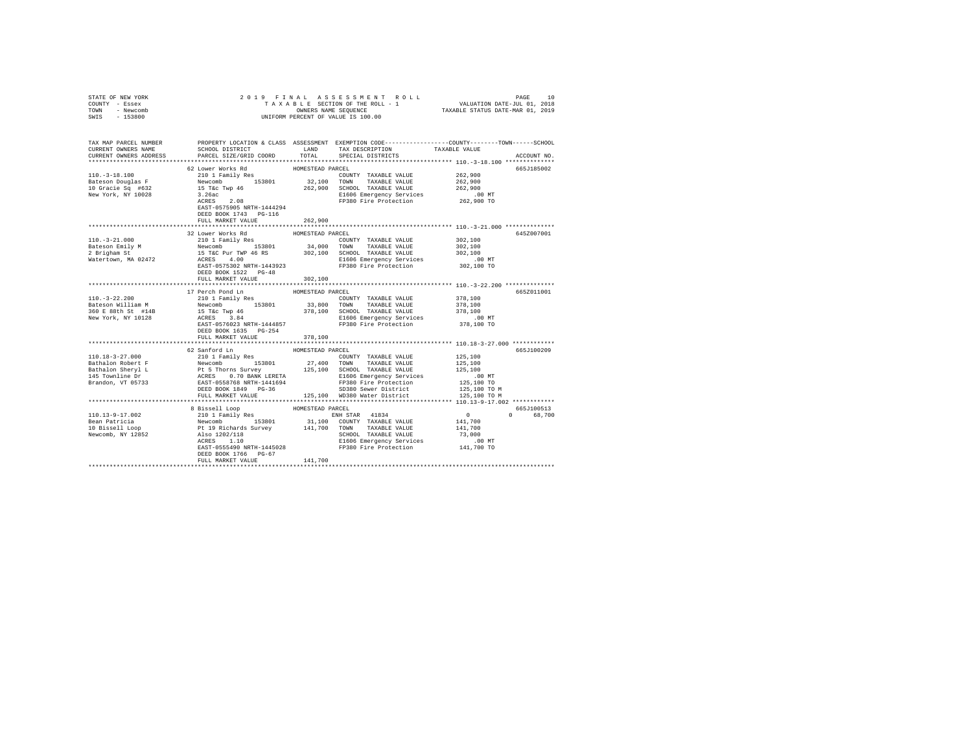| PARCEL SIZE/GRID COORD                                        | TOTAL                                                                               | TAX DESCRIPTION<br>SPECIAL DISTRICTS                                                       | TAXABLE VALUE<br>ACCOUNT NO.                                                                                                                                                                                                                                                                                                                                                                                                                                                                                                                                                                                                                                                                                                                                                                                                                                                                                                                                                                                                                                                                                                                                                                                                                                                                                                                                                                                                                                                                                                                                                                                                                                                                          |          |       |         |        |        |      |         |       |                   |                       |         |      |         |       |                  |                        |         |      |
|---------------------------------------------------------------|-------------------------------------------------------------------------------------|--------------------------------------------------------------------------------------------|-------------------------------------------------------------------------------------------------------------------------------------------------------------------------------------------------------------------------------------------------------------------------------------------------------------------------------------------------------------------------------------------------------------------------------------------------------------------------------------------------------------------------------------------------------------------------------------------------------------------------------------------------------------------------------------------------------------------------------------------------------------------------------------------------------------------------------------------------------------------------------------------------------------------------------------------------------------------------------------------------------------------------------------------------------------------------------------------------------------------------------------------------------------------------------------------------------------------------------------------------------------------------------------------------------------------------------------------------------------------------------------------------------------------------------------------------------------------------------------------------------------------------------------------------------------------------------------------------------------------------------------------------------------------------------------------------------|----------|-------|---------|--------|--------|------|---------|-------|-------------------|-----------------------|---------|------|---------|-------|------------------|------------------------|---------|------|
| 62 Lower Works Rd                                             |                                                                                     |                                                                                            | 665J185002                                                                                                                                                                                                                                                                                                                                                                                                                                                                                                                                                                                                                                                                                                                                                                                                                                                                                                                                                                                                                                                                                                                                                                                                                                                                                                                                                                                                                                                                                                                                                                                                                                                                                            |          |       |         |        |        |      |         |       |                   |                       |         |      |         |       |                  |                        |         |      |
| DEED BOOK 1743 PG-116                                         |                                                                                     | COUNTY TAXABLE VALUE<br>TAXABLE VALUE<br>E1606 Emergency Services<br>FP380 Fire Protection | 262,900<br>262,900<br>262,900<br>$.00$ MT<br>262,900 TO                                                                                                                                                                                                                                                                                                                                                                                                                                                                                                                                                                                                                                                                                                                                                                                                                                                                                                                                                                                                                                                                                                                                                                                                                                                                                                                                                                                                                                                                                                                                                                                                                                               |          |       |         |        |        |      |         |       |                   |                       |         |      |         |       |                  |                        |         |      |
|                                                               |                                                                                     |                                                                                            |                                                                                                                                                                                                                                                                                                                                                                                                                                                                                                                                                                                                                                                                                                                                                                                                                                                                                                                                                                                                                                                                                                                                                                                                                                                                                                                                                                                                                                                                                                                                                                                                                                                                                                       |          |       |         |        |        |      |         |       |                   |                       |         |      |         |       |                  |                        |         |      |
| 32 Lower Works Rd<br>210 1 Family Res                         |                                                                                     | COUNTY TAXABLE VALUE                                                                       | 645Z007001<br>302,100<br>302,100<br>302,100<br>$.00$ MT<br>302,100 TO                                                                                                                                                                                                                                                                                                                                                                                                                                                                                                                                                                                                                                                                                                                                                                                                                                                                                                                                                                                                                                                                                                                                                                                                                                                                                                                                                                                                                                                                                                                                                                                                                                 |          |       |         |        |        |      |         |       |                   |                       |         |      |         |       |                  |                        |         |      |
| FULL MARKET VALUE                                             | 302,100                                                                             |                                                                                            |                                                                                                                                                                                                                                                                                                                                                                                                                                                                                                                                                                                                                                                                                                                                                                                                                                                                                                                                                                                                                                                                                                                                                                                                                                                                                                                                                                                                                                                                                                                                                                                                                                                                                                       |          |       |         |        |        |      |         |       |                   |                       |         |      |         |       |                  |                        |         |      |
| 17 Perch Pond Ln<br>210 1 Family Res<br>DEED BOOK 1635 PG-254 |                                                                                     | COUNTY TAXABLE VALUE                                                                       | 665Z011001<br>378,100<br>378,100<br>378,100<br>.00 MT<br>378,100 TO                                                                                                                                                                                                                                                                                                                                                                                                                                                                                                                                                                                                                                                                                                                                                                                                                                                                                                                                                                                                                                                                                                                                                                                                                                                                                                                                                                                                                                                                                                                                                                                                                                   |          |       |         |        |        |      |         |       |                   |                       |         |      |         |       |                  |                        |         |      |
|                                                               |                                                                                     |                                                                                            |                                                                                                                                                                                                                                                                                                                                                                                                                                                                                                                                                                                                                                                                                                                                                                                                                                                                                                                                                                                                                                                                                                                                                                                                                                                                                                                                                                                                                                                                                                                                                                                                                                                                                                       |          |       |         |        |        |      |         |       |                   |                       |         |      |         |       |                  |                        |         |      |
| 62 Sanford Ln                                                 |                                                                                     |                                                                                            | 665-7100209<br>125,100<br>125,100<br>125,100<br>$.00 \text{ MT}$<br>125,100 TO<br>125,100 TO M<br>125,100 TO M                                                                                                                                                                                                                                                                                                                                                                                                                                                                                                                                                                                                                                                                                                                                                                                                                                                                                                                                                                                                                                                                                                                                                                                                                                                                                                                                                                                                                                                                                                                                                                                        |          |       |         |        |        |      |         |       |                   |                       |         |      |         |       |                  |                        |         |      |
| ****************************                                  |                                                                                     |                                                                                            |                                                                                                                                                                                                                                                                                                                                                                                                                                                                                                                                                                                                                                                                                                                                                                                                                                                                                                                                                                                                                                                                                                                                                                                                                                                                                                                                                                                                                                                                                                                                                                                                                                                                                                       |          |       |         |        |        |      |         |       |                   |                       |         |      |         |       |                  |                        |         |      |
| 8 Bissell Loop<br>DEED BOOK 1766 PG-67<br>FULL MARKET VALUE   | 141,700                                                                             |                                                                                            | 665.7100513<br>0 68,700                                                                                                                                                                                                                                                                                                                                                                                                                                                                                                                                                                                                                                                                                                                                                                                                                                                                                                                                                                                                                                                                                                                                                                                                                                                                                                                                                                                                                                                                                                                                                                                                                                                                               |          |       |         |        |        |      |         |       |                   |                       |         |      |         |       |                  |                        |         |      |
|                                                               | FULL MARKET VALUE<br>DEED BOOK 1522 PG-48<br>FULL MARKET VALUE<br>FULL MARKET VALUE | SCHOOL DISTRICT LAND<br>EAST-0575905 NRTH-1444294<br>262,900<br>378,100                    | 2019 FINAL ASSESSMENT ROL<br>TAXABLE SECTION OF THE ROLL - 1<br>ONNERS NAME SEQUENCE<br>UNIFORM PERCENT OF VALUE IS 100.00<br>TAX MAP PARCEL NUMBER PROPERTY LOCATION & CLASS ASSESSMENT EXEMPTION CODE---------------COUNTY-------TOWN------SCHOOL<br>HOMESTEAD PARCEL<br>$262,900$ SCHOOL TAXABLE VALUE<br>$262,900$ SCHOOL TAXABLE VALUE<br>HOMESTEAD PARCEL<br>$\n\n\nBlackson\nEM1\nNew.com\n153801\n34,000\n700N\nTAXABLE\nYALUE\n\n\n2 Bries){name St}\n15 XC V L T W P 46 RS\n302,100\n500N\nTAXABLE\nYALUE\n\n\n2 Bris){name St}\n15 T C V DUT W P 46 RS\n302,100\nSCHE$<br>HOMESTEAD PARCEL<br>210 1 Family Res 153801 138,800 TOWN TAXABLE VALUE<br>15 Tics Twp 46 168 178,100 SCHOOL TAXABLE VALUE<br>ACRES 3.84 378,100 ECHOOL TAXABLE VALUE<br>RES 3.84 E1606 Emergency Services<br>PRES 1880 Fire Protection<br>HOMESTEAD PARCEL<br>${\small \begin{tabular}{lcccc} 110.18-3-27.000 & & 2510.1018111 & & 10000531EAD & PACKCL\\ \hline \end{tabular}} {\small \begin{tabular}{lcccc} 110.18-3-27.000 & & 251011811 & & 1538011 & & 27,400 & TQNTY & TAXABLE VALUE\\ \hline \end{tabular}} {\small \begin{tabular}{lcccc} 110.18-3-27.000 & & 1510181 & & 1538011 & & 27,400 & TQNTY & TAXABLE VALUE\\ \hline \end{$<br>125,100 WD380 Water District<br>HOMESTEAD PARCEL<br>$\begin{tabular}{c c c c} \hline 110.13-9-17.002 & \hline 81 is 12.002 & \hline 2101 L graph & HOMESTEAD PARCSL & \hline 110.13-9-17.002 & \hline 2101 L graph & \hline 1201 L graph & \hline 1201 L graph & \hline 2101 L graph & \hline 2101 L graph & \hline 2101 L graph & \hline 2101 L graph & \hline 2101 L graph & \hline 211 L graph & \hline 21200 L graph & \hline 21200 L graph & \hline 21200$ | Blackson | EM1   | New.com | 153801 | 34,000 | 700N | TAXABLE | YALUE | 2 Bries){name St} | 15 XC V L T W P 46 RS | 302,100 | 500N | TAXABLE | YALUE | 2 Bris){name St} | 15 T C V DUT W P 46 RS | 302,100 | SCHE |
| Blackson                                                      | EM1                                                                                 | New.com                                                                                    | 153801                                                                                                                                                                                                                                                                                                                                                                                                                                                                                                                                                                                                                                                                                                                                                                                                                                                                                                                                                                                                                                                                                                                                                                                                                                                                                                                                                                                                                                                                                                                                                                                                                                                                                                | 34,000   | 700N  | TAXABLE | YALUE  |        |      |         |       |                   |                       |         |      |         |       |                  |                        |         |      |
| 2 Bries){name St}                                             | 15 XC V L T W P 46 RS                                                               | 302,100                                                                                    | 500N                                                                                                                                                                                                                                                                                                                                                                                                                                                                                                                                                                                                                                                                                                                                                                                                                                                                                                                                                                                                                                                                                                                                                                                                                                                                                                                                                                                                                                                                                                                                                                                                                                                                                                  | TAXABLE  | YALUE |         |        |        |      |         |       |                   |                       |         |      |         |       |                  |                        |         |      |
| 2 Bris){name St}                                              | 15 T C V DUT W P 46 RS                                                              | 302,100                                                                                    | SCHE                                                                                                                                                                                                                                                                                                                                                                                                                                                                                                                                                                                                                                                                                                                                                                                                                                                                                                                                                                                                                                                                                                                                                                                                                                                                                                                                                                                                                                                                                                                                                                                                                                                                                                  |          |       |         |        |        |      |         |       |                   |                       |         |      |         |       |                  |                        |         |      |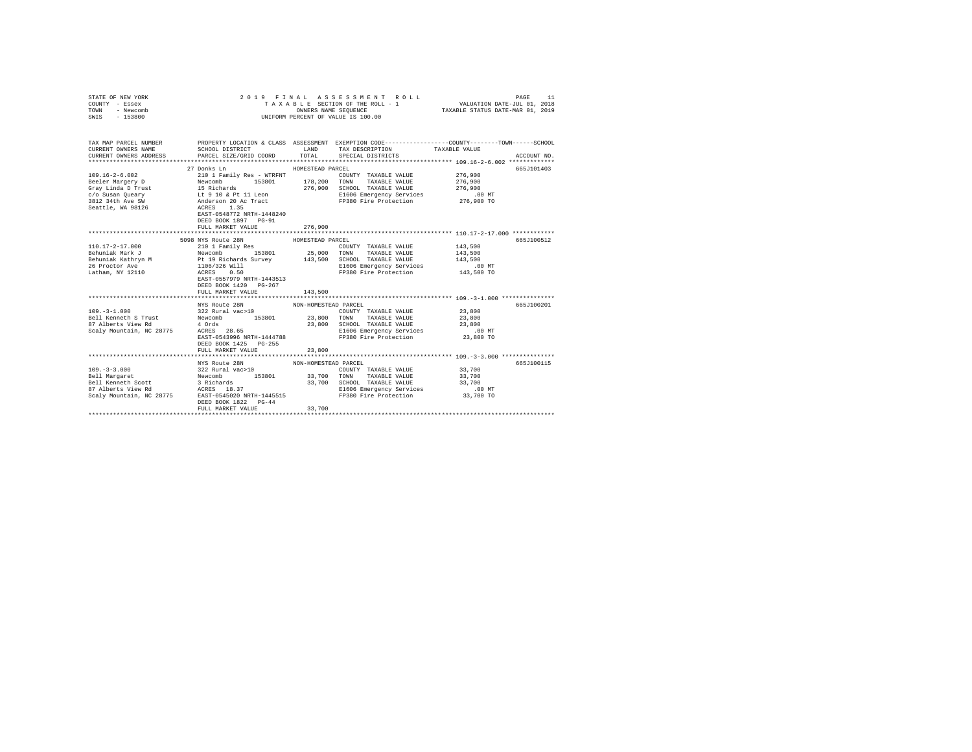| STATE OF NEW YORK<br>COUNTY - Essex<br>TOWN<br>- Newcomb<br>$-153800$<br>SWIS                                         | 2019 FINAL                                                                                                                                               | OWNERS NAME SEQUENCE                               | ASSESSMENT ROLL<br>TAXABLE SECTION OF THE ROLL - 1<br>UNIFORM PERCENT OF VALUE IS 100.00                                                                        | VALUATION DATE-JUL 01, 2018<br>TAXABLE STATUS DATE-MAR 01, 2019 | PAGE<br>11  |
|-----------------------------------------------------------------------------------------------------------------------|----------------------------------------------------------------------------------------------------------------------------------------------------------|----------------------------------------------------|-----------------------------------------------------------------------------------------------------------------------------------------------------------------|-----------------------------------------------------------------|-------------|
| TAX MAP PARCEL NUMBER<br>CURRENT OWNERS NAME<br>CURRENT OWNERS ADDRESS                                                | SCHOOL DISTRICT TAX DESCRIPTION<br>PARCEL SIZE/GRID COORD                                                                                                | TOTAL                                              | PROPERTY LOCATION & CLASS ASSESSMENT EXEMPTION CODE---------------COUNTY-------TOWN------SCHOOL<br>SPECIAL DISTRICTS                                            | TAXABLE VALUE                                                   | ACCOUNT NO. |
| $109.16 - 2 - 6.002$                                                                                                  | 27 Donks Ln<br>210 1 Family Res - WTRFNT<br>EAST-0548772 NRTH-1448240<br>DEED BOOK 1897 PG-91<br>FULL MARKET VALUE                                       | HOMESTEAD PARCEL<br>276,900                        | COUNTY TAXABLE VALUE<br>TAXABLE VALUE<br>276,900 SCHOOL TAXABLE VALUE<br>E1606 Emergency Services<br>FP380 Fire Protection                                      | 276,900<br>276,900<br>276,900<br>$.00$ MT<br>276,900 TO         | 665J101403  |
| 110.17-2-17.000                                                                                                       | 5098 NYS Route 28N<br>210 1 Family Res<br>DEED BOOK 1420 PG-267<br>FULL MARKET VALUE                                                                     | HOMESTEAD PARCEL<br>143,500                        | COUNTY TAXABLE VALUE<br>E1606 Emergency Services<br>FP380 Fire Protection 143,500 TO                                                                            | 143,500<br>143,500<br>143,500<br>.00 MT                         | 665J100512  |
| $109. - 3 - 1.000$<br>Bell Kenneth S Trust<br>Scaly Mountain, NC 28775 4 Ords<br>Scaly Mountain, NC 28775 ACRES 28.65 | NYS Route 28N<br>322 Rural vac>10<br>Newcomb 153801 23,800 TOWN TAXABLE VALUE<br>EAST-0543996 NRTH-1444788<br>DEED BOOK 1425 PG-255<br>FULL MARKET VALUE | NON-HOMESTEAD PARCEL<br>23,800                     | COUNTY TAXABLE VALUE<br>23,800 SCHOOL TAXABLE VALUE<br>E1606 Emergency Services<br>FP380 Fire Protection 23,800 TO                                              | 23,800<br>23,800<br>23,800<br>$.00$ MT                          | 665J100201  |
|                                                                                                                       | NYS Route 28N<br>DEED BOOK 1822 PG-44<br>FULL MARKET VALUE                                                                                               | NON-HOMESTEAD PARCEL<br>33,700<br>**************** | COUNTY TAXABLE VALUE 33,700<br>TOWN TAXABLE VALUE<br>33,700 SCHOOL TAXABLE VALUE<br>E1606 Emergency Services<br>E1606 Emeryency survey<br>FP380 Fire Protection | 33,700<br>33,700<br>$.00$ MT<br>33,700 TO                       | 665J100115  |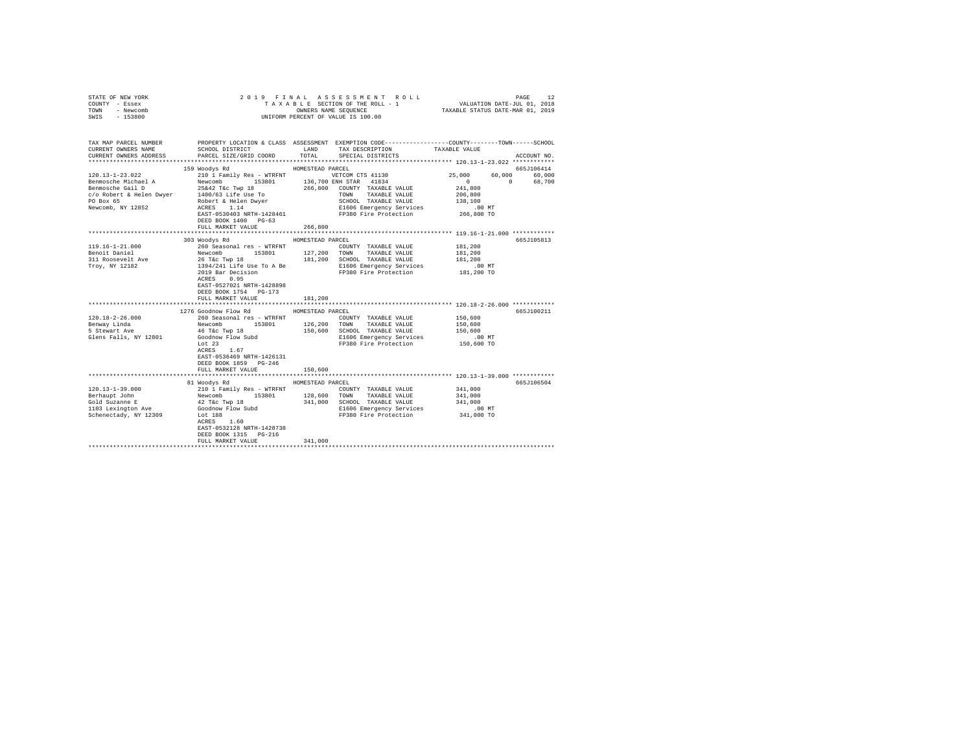| STATE OF NEW YORK<br>COUNTY - Essex<br>TOWN - Newcomb<br>$-153800$<br>SWIS                                                                        |                                                                                                                                                                                                                                                          |                  | 2019 FINAL ASSESSMENT ROLL PAGE 12<br>TAXABLE SECTION OF THE ROLL - 1 VALUATION DATE-JUL 01, 2018<br>OWNERS NAME SEQUENCE TAXABLE STATUS DATE-MAR 01, 2019<br>OWNERS NAME SEQUENCE<br>UNIFORM PERCENT OF VALUE IS 100.00                                   |                                                                  |             |
|---------------------------------------------------------------------------------------------------------------------------------------------------|----------------------------------------------------------------------------------------------------------------------------------------------------------------------------------------------------------------------------------------------------------|------------------|------------------------------------------------------------------------------------------------------------------------------------------------------------------------------------------------------------------------------------------------------------|------------------------------------------------------------------|-------------|
| TAX MAP PARCEL NUMBER<br>CURRENT OWNERS NAME<br>CURRENT OWNERS ADDRESS                                                                            | PARCEL SIZE/GRID COORD                                                                                                                                                                                                                                   |                  | PROPERTY LOCATION & CLASS ASSESSMENT EXEMPTION CODE---------------COUNTY-------TOWN------SCHOOL<br>${\tt SCHOOL\ DISTRICT} \hspace{2.5cm} {\tt LAND} \hspace{2.5cm} {\tt TAX\ DESCRIPTION} \hspace{2.5cm} {\tt TAXABLE\ VALUE}$<br>TOTAL SPECIAL DISTRICTS |                                                                  | ACCOUNT NO. |
|                                                                                                                                                   |                                                                                                                                                                                                                                                          |                  |                                                                                                                                                                                                                                                            |                                                                  |             |
|                                                                                                                                                   | 159 Woodys Rd                                                                                                                                                                                                                                            | HOMESTEAD PARCEL |                                                                                                                                                                                                                                                            |                                                                  | 665J106414  |
| 120.13-1-23.022                                                                                                                                   | 210 1 Family Res - WTRFNT WETCOM CTS 41130                                                                                                                                                                                                               |                  |                                                                                                                                                                                                                                                            | 25,000<br>60,000<br>$\sim$ 0                                     | 60,000      |
|                                                                                                                                                   |                                                                                                                                                                                                                                                          |                  |                                                                                                                                                                                                                                                            | $\sim$ 0<br>241,800                                              | 68,700      |
|                                                                                                                                                   |                                                                                                                                                                                                                                                          |                  | TOWN TAXABLE VALUE                                                                                                                                                                                                                                         | 206,800                                                          |             |
|                                                                                                                                                   |                                                                                                                                                                                                                                                          |                  | SCHOOL TAXABLE VALUE                                                                                                                                                                                                                                       | 138,100                                                          |             |
| expansion of the Bellen Dwyer<br>1400/63 Life Use To<br>1400/63 Life Use To<br>1400/63 Life Use To<br>Reveromb, NY 12852<br>Recent Access<br>1.14 |                                                                                                                                                                                                                                                          |                  | E1606 Emergency Services                                                                                                                                                                                                                                   | . 00 MT                                                          |             |
|                                                                                                                                                   | EAST-0530403 NRTH-1428461                                                                                                                                                                                                                                |                  | FP380 Fire Protection 266,800 TO                                                                                                                                                                                                                           |                                                                  |             |
|                                                                                                                                                   | DEED BOOK 1400 PG-63                                                                                                                                                                                                                                     |                  |                                                                                                                                                                                                                                                            |                                                                  |             |
|                                                                                                                                                   | FULL MARKET VALUE                                                                                                                                                                                                                                        | 266,800          |                                                                                                                                                                                                                                                            |                                                                  |             |
|                                                                                                                                                   |                                                                                                                                                                                                                                                          |                  |                                                                                                                                                                                                                                                            |                                                                  |             |
|                                                                                                                                                   | 303 Woodys Rd                                                                                                                                                                                                                                            | HOMESTEAD PARCEL |                                                                                                                                                                                                                                                            |                                                                  | 665J105813  |
| $119.16 - 1 - 21.000$                                                                                                                             |                                                                                                                                                                                                                                                          |                  |                                                                                                                                                                                                                                                            |                                                                  |             |
| Benoit Daniel                                                                                                                                     |                                                                                                                                                                                                                                                          |                  |                                                                                                                                                                                                                                                            |                                                                  |             |
| 311 Roosevelt Ave                                                                                                                                 |                                                                                                                                                                                                                                                          |                  |                                                                                                                                                                                                                                                            |                                                                  |             |
| Troy, NY 12182                                                                                                                                    |                                                                                                                                                                                                                                                          |                  |                                                                                                                                                                                                                                                            |                                                                  |             |
|                                                                                                                                                   | 260 Seasonal res - WTRFNT COUNTY TAXABLE VALUE 181,200<br>Newcomb 153801 127,200 TOWN TAXABLE VALUE 181,200<br>26 T&c Twp 18<br>26 T&c Twp 18<br>26 T&c Twp 18<br>2019 Bar Decision 181,200 SCHOOL TAXABLE VALUE 181,200 NT<br>2019 Bar De<br>ACRES 0.95 |                  |                                                                                                                                                                                                                                                            |                                                                  |             |
|                                                                                                                                                   | EAST-0527021 NRTH-1428898                                                                                                                                                                                                                                |                  |                                                                                                                                                                                                                                                            |                                                                  |             |
|                                                                                                                                                   | DEED BOOK 1754 PG-173                                                                                                                                                                                                                                    |                  |                                                                                                                                                                                                                                                            |                                                                  |             |
|                                                                                                                                                   | FULL MARKET VALUE                                                                                                                                                                                                                                        | 181,200          |                                                                                                                                                                                                                                                            |                                                                  |             |
|                                                                                                                                                   |                                                                                                                                                                                                                                                          |                  |                                                                                                                                                                                                                                                            |                                                                  |             |
|                                                                                                                                                   | 1276 Goodnow Flow Rd MOMESTEAD PARCEL                                                                                                                                                                                                                    |                  |                                                                                                                                                                                                                                                            |                                                                  | 665J100211  |
| $120.18 - 2 - 26.000$                                                                                                                             | 260 Seasonal res - WTRFNT                                                                                                                                                                                                                                |                  | COUNTY TAXABLE VALUE                                                                                                                                                                                                                                       | 150,600                                                          |             |
| Benway Linda                                                                                                                                      | Newcomb 153801 126,200 TOWN TAXABLE VALUE<br>46 T&c Twp 18 153801 150,600 SCHOOL TAXABLE VALUE                                                                                                                                                           |                  |                                                                                                                                                                                                                                                            | 150,600                                                          |             |
| 5 Stewart Ave                                                                                                                                     |                                                                                                                                                                                                                                                          |                  |                                                                                                                                                                                                                                                            | 150,600                                                          |             |
| Glens Falls, NY 12801                                                                                                                             | Goodnow Flow Subd<br>Lot 23                                                                                                                                                                                                                              |                  | E1606 Emergency Services                                                                                                                                                                                                                                   | $.00$ MT                                                         |             |
|                                                                                                                                                   |                                                                                                                                                                                                                                                          |                  | FP380 Fire Protection 150,600 TO                                                                                                                                                                                                                           |                                                                  |             |
|                                                                                                                                                   | ACRES 1.67                                                                                                                                                                                                                                               |                  |                                                                                                                                                                                                                                                            |                                                                  |             |
|                                                                                                                                                   | EAST-0536469 NRTH-1426131<br>DEED BOOK 1859 PG-246                                                                                                                                                                                                       |                  |                                                                                                                                                                                                                                                            |                                                                  |             |
|                                                                                                                                                   | FULL MARKET VALUE                                                                                                                                                                                                                                        | 150,600          |                                                                                                                                                                                                                                                            |                                                                  |             |
|                                                                                                                                                   |                                                                                                                                                                                                                                                          |                  |                                                                                                                                                                                                                                                            | ********************************** 120.13-1-39.000 ************* |             |
|                                                                                                                                                   | 81 Woodys Rd                                                                                                                                                                                                                                             | HOMESTEAD PARCEL |                                                                                                                                                                                                                                                            |                                                                  | 665J106504  |
| 120.13-1-39.000                                                                                                                                   |                                                                                                                                                                                                                                                          |                  |                                                                                                                                                                                                                                                            | 341,000                                                          |             |
|                                                                                                                                                   |                                                                                                                                                                                                                                                          |                  |                                                                                                                                                                                                                                                            | 341,000                                                          |             |
| Berhaupt John<br>Gold Suzanne E                                                                                                                   |                                                                                                                                                                                                                                                          |                  |                                                                                                                                                                                                                                                            | 341,000                                                          |             |
| 1103 Lexington Ave                                                                                                                                |                                                                                                                                                                                                                                                          |                  | Dum E1606 Emergency Services 6.00 MT<br>FP380 Fire Protection 341,000 TO                                                                                                                                                                                   | .00 MT                                                           |             |
| Schenectady, NY 12309                                                                                                                             | 210013-AM<br>20011 Pamily Res - WTRFNT<br>Newcomb 153801 128,600 TOWNY TAXABLE VALUE<br>42 T&C TWP 18 341,000 SCHOOL TAXABLE VALUE<br>42 T&C TWP 18 341,000 SCHOOL TAXABLE VALUE<br>600dnow Flow Subd E1606 Emergency Services<br>Let 188                |                  |                                                                                                                                                                                                                                                            |                                                                  |             |
|                                                                                                                                                   |                                                                                                                                                                                                                                                          |                  |                                                                                                                                                                                                                                                            |                                                                  |             |
|                                                                                                                                                   | EAST-0532128 NRTH-1428738                                                                                                                                                                                                                                |                  |                                                                                                                                                                                                                                                            |                                                                  |             |
|                                                                                                                                                   | DEED BOOK 1315 PG-216                                                                                                                                                                                                                                    |                  |                                                                                                                                                                                                                                                            |                                                                  |             |
|                                                                                                                                                   | FULL MARKET VALUE                                                                                                                                                                                                                                        | 341,000          |                                                                                                                                                                                                                                                            |                                                                  |             |
|                                                                                                                                                   |                                                                                                                                                                                                                                                          |                  |                                                                                                                                                                                                                                                            |                                                                  |             |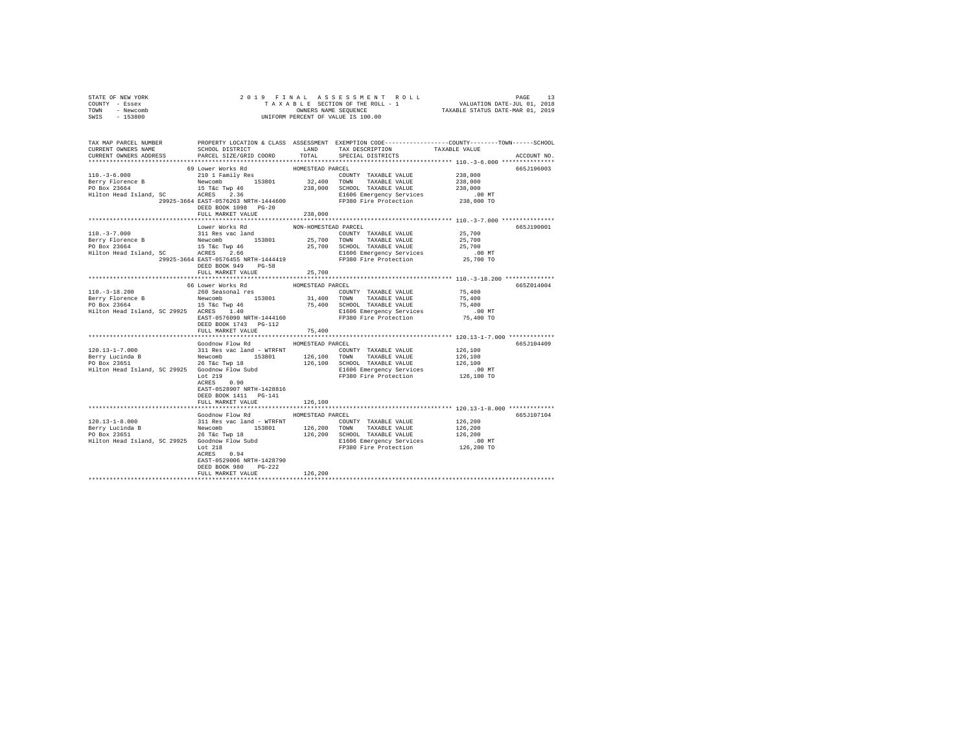| STATE OF NEW YORK<br>COUNTY - Essex                                                                                                                                                                                                                                                                             |                                            |                      |                               |                      |             |
|-----------------------------------------------------------------------------------------------------------------------------------------------------------------------------------------------------------------------------------------------------------------------------------------------------------------|--------------------------------------------|----------------------|-------------------------------|----------------------|-------------|
| TOWN - Newcomb                                                                                                                                                                                                                                                                                                  |                                            |                      |                               |                      |             |
| SWIS - 153800                                                                                                                                                                                                                                                                                                   |                                            |                      |                               |                      |             |
|                                                                                                                                                                                                                                                                                                                 |                                            |                      |                               |                      |             |
|                                                                                                                                                                                                                                                                                                                 |                                            |                      |                               |                      |             |
|                                                                                                                                                                                                                                                                                                                 | SCHOOL DISTRICT LAND                       |                      | TAX DESCRIPTION TAXABLE VALUE |                      |             |
| CURRENT OWNERS ADDRESS                                                                                                                                                                                                                                                                                          | PARCEL SIZE/GRID COORD                     | TOTAL                | SPECIAL DISTRICTS             |                      | ACCOUNT NO. |
|                                                                                                                                                                                                                                                                                                                 |                                            |                      |                               |                      |             |
|                                                                                                                                                                                                                                                                                                                 |                                            |                      | COUNTY TAXABLE VALUE 238,000  |                      | 665J196003  |
|                                                                                                                                                                                                                                                                                                                 |                                            |                      |                               | 238,000              |             |
| 110.-3-6.000<br>Here $\frac{1}{210}$ , $\frac{1}{210}$ , $\frac{1}{210}$ , $\frac{1}{210}$ , $\frac{1}{210}$ , $\frac{1}{210}$ , $\frac{1}{210}$ , $\frac{1}{210}$ , $\frac{1}{210}$ , $\frac{1}{210}$ , $\frac{1}{210}$ , $\frac{1}{210}$ , $\frac{1}{210}$ , $\frac{1}{210}$ , $\frac{1}{210}$ , $\frac{1}{2$ |                                            |                      |                               | 238,000              |             |
|                                                                                                                                                                                                                                                                                                                 |                                            |                      |                               |                      |             |
|                                                                                                                                                                                                                                                                                                                 |                                            |                      |                               | .00 MT<br>238,000 TO |             |
|                                                                                                                                                                                                                                                                                                                 | DEED BOOK 1098 PG-20                       |                      |                               |                      |             |
|                                                                                                                                                                                                                                                                                                                 | FULL MARKET VALUE                          | 238,000              |                               |                      |             |
|                                                                                                                                                                                                                                                                                                                 |                                            |                      |                               |                      |             |
|                                                                                                                                                                                                                                                                                                                 | Lower Works Rd                             | NON-HOMESTEAD PARCEL |                               |                      | 665J190001  |
| $110. - 3 - 7.000$                                                                                                                                                                                                                                                                                              | 311 Res vac land                           |                      | COUNTY TAXABLE VALUE          | 25,700               |             |
|                                                                                                                                                                                                                                                                                                                 |                                            |                      |                               |                      |             |
|                                                                                                                                                                                                                                                                                                                 |                                            |                      |                               |                      |             |
|                                                                                                                                                                                                                                                                                                                 |                                            |                      |                               |                      |             |
|                                                                                                                                                                                                                                                                                                                 | DEED BOOK 949 PG-58                        |                      |                               |                      |             |
|                                                                                                                                                                                                                                                                                                                 | FULL MARKET VALUE 25,700                   |                      |                               |                      |             |
|                                                                                                                                                                                                                                                                                                                 |                                            |                      |                               |                      |             |
|                                                                                                                                                                                                                                                                                                                 | 66 Lower Works Rd                          | HOMESTEAD PARCEL     |                               |                      | 665Z014004  |
| $110. -3 - 18.200$                                                                                                                                                                                                                                                                                              | 260 Seasonal res                           |                      | COUNTY TAXABLE VALUE          | 75,400               |             |
|                                                                                                                                                                                                                                                                                                                 |                                            |                      |                               |                      |             |
|                                                                                                                                                                                                                                                                                                                 |                                            |                      |                               |                      |             |
|                                                                                                                                                                                                                                                                                                                 |                                            |                      |                               |                      |             |
|                                                                                                                                                                                                                                                                                                                 | DEED BOOK 1743    PG-112                   |                      |                               |                      |             |
|                                                                                                                                                                                                                                                                                                                 | FULL MARKET VALUE                          | 75,400               |                               |                      |             |
|                                                                                                                                                                                                                                                                                                                 |                                            |                      |                               |                      |             |
|                                                                                                                                                                                                                                                                                                                 | Goodnow Flow Rd                            | HOMESTEAD PARCEL     |                               |                      | 665J104409  |
|                                                                                                                                                                                                                                                                                                                 |                                            |                      |                               |                      |             |
|                                                                                                                                                                                                                                                                                                                 |                                            |                      |                               |                      |             |
|                                                                                                                                                                                                                                                                                                                 |                                            |                      |                               |                      |             |
|                                                                                                                                                                                                                                                                                                                 |                                            |                      |                               |                      |             |
|                                                                                                                                                                                                                                                                                                                 |                                            |                      |                               |                      |             |
|                                                                                                                                                                                                                                                                                                                 |                                            |                      |                               |                      |             |
|                                                                                                                                                                                                                                                                                                                 | EAST-0528907 NRTH-1428816                  |                      |                               |                      |             |
|                                                                                                                                                                                                                                                                                                                 | DEED BOOK 1411 PG-141<br>FULL MARKET VALUE | 126,100              |                               |                      |             |
|                                                                                                                                                                                                                                                                                                                 |                                            |                      |                               |                      |             |
|                                                                                                                                                                                                                                                                                                                 | Goodnow Flow Rd MOMESTEAD PARCEL           |                      |                               |                      | 665J107104  |
|                                                                                                                                                                                                                                                                                                                 |                                            |                      |                               |                      |             |
| $120.13-1-8.000$ $120.13-1-8.000$ $120.13-1-8.000$ $120.13-1-8.000$ $120.13-1-8.000$ $120.13-1-8.000$ $120.13-1-8.000$ $120.13-1-8.000$ $120.13-1-8.000$ $120.13-1-8.000$ $120.13-1-8.000$ $120.13-1-8.000$ $120.13-1-8.000$                                                                                    |                                            |                      |                               |                      |             |
|                                                                                                                                                                                                                                                                                                                 |                                            |                      |                               |                      |             |
|                                                                                                                                                                                                                                                                                                                 |                                            |                      |                               |                      |             |
|                                                                                                                                                                                                                                                                                                                 |                                            |                      |                               |                      |             |
|                                                                                                                                                                                                                                                                                                                 | ACRES 0.94                                 |                      |                               |                      |             |
|                                                                                                                                                                                                                                                                                                                 | EAST-0529006 NRTH-1428790                  |                      |                               |                      |             |
|                                                                                                                                                                                                                                                                                                                 | DEED BOOK 980 PG-222                       | 126,200              |                               |                      |             |
|                                                                                                                                                                                                                                                                                                                 | FULL MARKET VALUE                          |                      |                               |                      |             |
|                                                                                                                                                                                                                                                                                                                 |                                            |                      |                               |                      |             |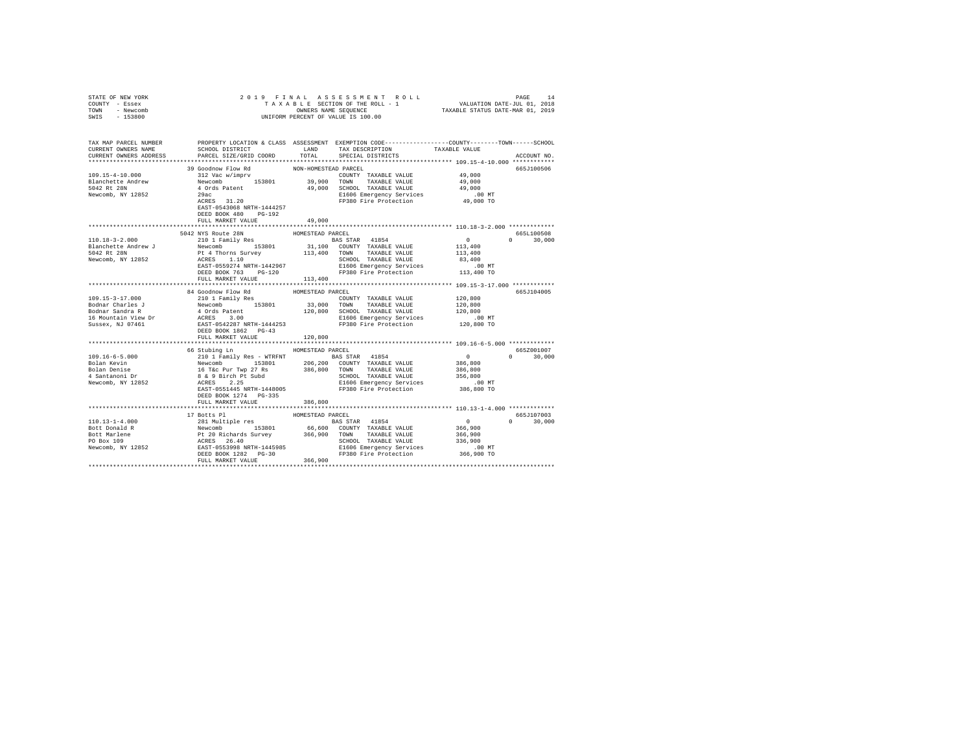| STATE OF NEW YORK<br>COUNTY - Essex<br>TOWN - Newcomb                                                                                                                                                                                                                | 2019 FINAL<br>OWNERS NAME SEQUENCE<br>UNIFORM PERCENT OF VALUE IS 100.00                                                                                                                                                                                                 |                      |                                                                    |                                                                       |                             |
|----------------------------------------------------------------------------------------------------------------------------------------------------------------------------------------------------------------------------------------------------------------------|--------------------------------------------------------------------------------------------------------------------------------------------------------------------------------------------------------------------------------------------------------------------------|----------------------|--------------------------------------------------------------------|-----------------------------------------------------------------------|-----------------------------|
| SWIS<br>$-153800$                                                                                                                                                                                                                                                    |                                                                                                                                                                                                                                                                          |                      |                                                                    |                                                                       |                             |
| TAX MAP PARCEL NUMBER PROPERTY LOCATION & CLASS ASSESSMENT EXEMPTION CODE---------------COUNTY-------TOWN------SCHOOL                                                                                                                                                |                                                                                                                                                                                                                                                                          |                      |                                                                    |                                                                       |                             |
| CURRENT OWNERS NAME                                                                                                                                                                                                                                                  | SCHOOL DISTRICT LAND                                                                                                                                                                                                                                                     |                      | TAX DESCRIPTION TAXABLE VALUE                                      |                                                                       |                             |
| CURRENT OWNERS ADDRESS                                                                                                                                                                                                                                               | PARCEL SIZE/GRID COORD                                                                                                                                                                                                                                                   | TOTAL                | SPECIAL DISTRICTS                                                  |                                                                       | ACCOUNT NO.                 |
|                                                                                                                                                                                                                                                                      | 39 Goodnow Flow Rd                                                                                                                                                                                                                                                       |                      |                                                                    |                                                                       | 665J100506                  |
| 109.15-4-10.000                                                                                                                                                                                                                                                      |                                                                                                                                                                                                                                                                          | NON-HOMESTEAD PARCEL | COUNTY TAXABLE VALUE                                               | 49,000                                                                |                             |
| Blanchette Andrew                                                                                                                                                                                                                                                    |                                                                                                                                                                                                                                                                          |                      | TAXABLE VALUE                                                      |                                                                       |                             |
| 5042 Rt 28N                                                                                                                                                                                                                                                          |                                                                                                                                                                                                                                                                          |                      |                                                                    | 49,000<br>49,000                                                      |                             |
| Newcomb, NY 12852                                                                                                                                                                                                                                                    |                                                                                                                                                                                                                                                                          |                      |                                                                    |                                                                       |                             |
|                                                                                                                                                                                                                                                                      | 39 GOGINV FIOW MG CONTY TAXABLE VALUE<br>Newcomb 153801 39,900 TOMNY TAXABLE VALUE<br>Newcomb 153801 49,000 SCROOL TAXABLE VALUE<br>29ac 1918 1920 1600 SCROOL TAXABLE VALUE<br>29ac 11.20 11606 Emergency Services<br>EAST-0543068 NRTH-1444257<br>DEED BOOK 480 PG-192 |                      | E1606 Emergency Services .00 MT<br>FP380 Fire Protection 49,000 TO |                                                                       |                             |
|                                                                                                                                                                                                                                                                      | FULL MARKET VALUE                                                                                                                                                                                                                                                        | 49,000               |                                                                    |                                                                       |                             |
|                                                                                                                                                                                                                                                                      |                                                                                                                                                                                                                                                                          |                      |                                                                    |                                                                       |                             |
|                                                                                                                                                                                                                                                                      | 5042 NYS Route 28N<br>210 1 Family Res                                                                                                                                                                                                                                   | HOMESTEAD PARCEL     |                                                                    |                                                                       | 665L100508<br>$0 \t 30,000$ |
| 110.18-3-2.000                                                                                                                                                                                                                                                       |                                                                                                                                                                                                                                                                          |                      | <b>BAS STAR</b> 41854                                              | $\sim$ 0                                                              |                             |
|                                                                                                                                                                                                                                                                      |                                                                                                                                                                                                                                                                          |                      |                                                                    |                                                                       |                             |
|                                                                                                                                                                                                                                                                      |                                                                                                                                                                                                                                                                          |                      |                                                                    |                                                                       |                             |
|                                                                                                                                                                                                                                                                      |                                                                                                                                                                                                                                                                          |                      |                                                                    |                                                                       |                             |
| Plancherte. Andrew J<br>Plancherte Andrew J<br>SO42 Rt 28N<br>2612 Rt 28N<br>262 Rt 28N<br>262 Rt 28N<br>262 Rt 28N<br>262 Rt 28N<br>262 Rt 28N<br>262 Rt 28N<br>262 Rt 28N<br>262 Rt 28N<br>262 Rt 28N<br>262 Rt 28N<br>262 Rt 28N<br>262 Rt 28N<br>262 Rt 2        |                                                                                                                                                                                                                                                                          |                      |                                                                    |                                                                       |                             |
|                                                                                                                                                                                                                                                                      | FULL MARKET VALUE                                                                                                                                                                                                                                                        | 113,400              |                                                                    |                                                                       |                             |
|                                                                                                                                                                                                                                                                      |                                                                                                                                                                                                                                                                          |                      |                                                                    |                                                                       |                             |
|                                                                                                                                                                                                                                                                      | 84 Goodnow Flow Rd<br>210 1 Family Res                                                                                                                                                                                                                                   | HOMESTEAD PARCEL     |                                                                    |                                                                       | 665J104005                  |
| 109.15-3-17.000                                                                                                                                                                                                                                                      |                                                                                                                                                                                                                                                                          | 33,000               | COUNTY TAXABLE VALUE 120,800                                       |                                                                       |                             |
|                                                                                                                                                                                                                                                                      |                                                                                                                                                                                                                                                                          |                      |                                                                    |                                                                       |                             |
|                                                                                                                                                                                                                                                                      |                                                                                                                                                                                                                                                                          |                      |                                                                    |                                                                       |                             |
|                                                                                                                                                                                                                                                                      |                                                                                                                                                                                                                                                                          |                      |                                                                    |                                                                       |                             |
|                                                                                                                                                                                                                                                                      |                                                                                                                                                                                                                                                                          |                      |                                                                    |                                                                       |                             |
|                                                                                                                                                                                                                                                                      | FULL MARKET VALUE                                                                                                                                                                                                                                                        | 120,800              |                                                                    |                                                                       |                             |
|                                                                                                                                                                                                                                                                      |                                                                                                                                                                                                                                                                          |                      |                                                                    |                                                                       |                             |
|                                                                                                                                                                                                                                                                      | 66 Stubing Ln                                                                                                                                                                                                                                                            | HOMESTEAD PARCEL     |                                                                    |                                                                       | 6657001007                  |
| $109.16 - 6 - 5.000$                                                                                                                                                                                                                                                 |                                                                                                                                                                                                                                                                          |                      |                                                                    | $\sim$ 0<br>$\begin{smallmatrix}&&0\\3&8&6\\3&8&0&0\end{smallmatrix}$ | $\Omega$<br>30,000          |
| Bolan Kevin                                                                                                                                                                                                                                                          |                                                                                                                                                                                                                                                                          |                      |                                                                    |                                                                       |                             |
| Bolan Denise<br>Bolan Denise<br>4 Santanoni Dr                                                                                                                                                                                                                       | 09 SLOUIS IN RES - WTRENT ROBESTEAD FRAS STAR 41854<br>Newcomb 153801 206,200 COUNTY TAXABLE VALUE<br>16 T&C Pur Twp 27 Rs 386,800 COUNTY TAXABLE VALUE<br>8 & 9 Birch Pt Subd 386,800 TOWN TAXABLE VALUE<br>8 & 9 Birch Pt Subd SCHOOL TA                               |                      |                                                                    |                                                                       |                             |
| Newcomb, $NT$ 12852                                                                                                                                                                                                                                                  |                                                                                                                                                                                                                                                                          |                      |                                                                    |                                                                       |                             |
|                                                                                                                                                                                                                                                                      | EAST-0551445 NRTH-1448005 FP380 Fire Protection                                                                                                                                                                                                                          |                      |                                                                    | 386,800<br>356,800<br>.00 MT<br>386,800 TO                            |                             |
|                                                                                                                                                                                                                                                                      | DEED BOOK 1274 PG-335<br>FULL MARKET VALUE                                                                                                                                                                                                                               | 386,800              |                                                                    |                                                                       |                             |
|                                                                                                                                                                                                                                                                      |                                                                                                                                                                                                                                                                          |                      |                                                                    |                                                                       |                             |
|                                                                                                                                                                                                                                                                      | 17 Botts Pl                                                                                                                                                                                                                                                              | HOMESTEAD PARCEL     |                                                                    |                                                                       | 665J107003                  |
|                                                                                                                                                                                                                                                                      |                                                                                                                                                                                                                                                                          |                      |                                                                    | $\sim$ 0                                                              | $0 \t 30,000$               |
|                                                                                                                                                                                                                                                                      |                                                                                                                                                                                                                                                                          |                      |                                                                    | 366,900                                                               |                             |
|                                                                                                                                                                                                                                                                      |                                                                                                                                                                                                                                                                          |                      |                                                                    | 366,900                                                               |                             |
|                                                                                                                                                                                                                                                                      |                                                                                                                                                                                                                                                                          |                      |                                                                    | 336,900                                                               |                             |
|                                                                                                                                                                                                                                                                      |                                                                                                                                                                                                                                                                          |                      |                                                                    | .00 MT                                                                |                             |
| $\begin{tabular}{l c c c c c} \hline 110.13-1-4.000 & 17.50 \& 17.50 \& 17.50 \& 17.50 \& 17.50 \& 17.50 \& 17.50 \& 17.50 \& 17.50 \& 17.50 \& 17.50 \& 17.50 \& 17.50 \& 17.50 \& 17.50 \& 17.50 \& 17.50 \& 17.50 \& 17.50 \& 17.50 \& 17.50 \& 17.50 \& 17.50 \$ | FULL MARKET VALUE                                                                                                                                                                                                                                                        | 366,900              |                                                                    | 366,900 TO                                                            |                             |
|                                                                                                                                                                                                                                                                      |                                                                                                                                                                                                                                                                          |                      |                                                                    |                                                                       |                             |
|                                                                                                                                                                                                                                                                      |                                                                                                                                                                                                                                                                          |                      |                                                                    |                                                                       |                             |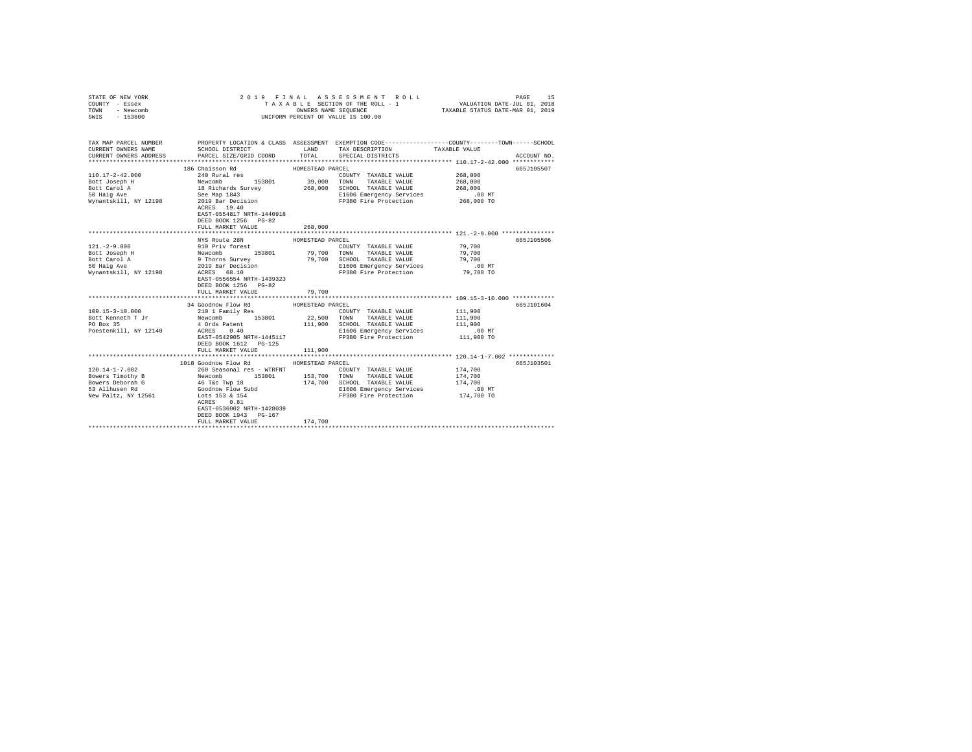| COUNTY - Essex<br>TOWN<br>- Newcomb<br>SWIS<br>$-153800$                                                                                                                                                                                                                                                                                                                                               | UNIFORM PERCENT OF VALUE IS 100.00                                     |                  |                                                                                                                    |                    |             |
|--------------------------------------------------------------------------------------------------------------------------------------------------------------------------------------------------------------------------------------------------------------------------------------------------------------------------------------------------------------------------------------------------------|------------------------------------------------------------------------|------------------|--------------------------------------------------------------------------------------------------------------------|--------------------|-------------|
| TAX MAP PARCEL NUMBER PROPERTY LOCATION & CLASS ASSESSMENT EXEMPTION CODE--------------COUNTY-------TOWN-----SCHOOL<br>CURRENT OWNERS NAME<br>CURRENT OWNERS ADDRESS                                                                                                                                                                                                                                   | SCHOOL DISTRICT TAND TAX DESCRIPTION<br>PARCEL SIZE/GRID COORD         | TOTAL            | SPECIAL DISTRICTS                                                                                                  | TAXABLE VALUE      | ACCOUNT NO. |
|                                                                                                                                                                                                                                                                                                                                                                                                        |                                                                        | HOMESTEAD PARCEL |                                                                                                                    |                    | 665J105507  |
|                                                                                                                                                                                                                                                                                                                                                                                                        |                                                                        |                  | COUNTY TAXABLE VALUE                                                                                               | 268,000            |             |
|                                                                                                                                                                                                                                                                                                                                                                                                        |                                                                        |                  | TAXABLE VALUE                                                                                                      |                    |             |
|                                                                                                                                                                                                                                                                                                                                                                                                        |                                                                        |                  | 39,000 TOWN TAXABLE VALUE<br>268,000 SCHOOL TAXABLE VALUE                                                          | 268,000<br>268,000 |             |
|                                                                                                                                                                                                                                                                                                                                                                                                        |                                                                        |                  | E1606 Emergency Services 6.00 MT<br>FP380 Fire Protection 6.000 TO                                                 |                    |             |
|                                                                                                                                                                                                                                                                                                                                                                                                        | EAST-0554817 NRTH-1440918<br>DEED BOOK 1256 PG-82<br>FULL MARKET VALUE | 268,000          |                                                                                                                    |                    |             |
|                                                                                                                                                                                                                                                                                                                                                                                                        |                                                                        |                  |                                                                                                                    |                    |             |
|                                                                                                                                                                                                                                                                                                                                                                                                        | NYS Route 28N                                                          | HOMESTEAD PARCEL |                                                                                                                    |                    | 665J105506  |
|                                                                                                                                                                                                                                                                                                                                                                                                        |                                                                        |                  | COUNTY TAXABLE VALUE                                                                                               | 79,700             |             |
|                                                                                                                                                                                                                                                                                                                                                                                                        |                                                                        |                  |                                                                                                                    |                    |             |
|                                                                                                                                                                                                                                                                                                                                                                                                        |                                                                        |                  | SCHOOL TAXABLE VALUE                                                                                               |                    |             |
|                                                                                                                                                                                                                                                                                                                                                                                                        |                                                                        |                  | E1606 Emergency Services                                                                                           |                    |             |
|                                                                                                                                                                                                                                                                                                                                                                                                        | EAST-0556554 NRTH-1439323<br>DEED BOOK 1256 PG-82<br>FULL MARKET VALUE | 79,700           | FP380 Fire Protection                                                                                              |                    |             |
|                                                                                                                                                                                                                                                                                                                                                                                                        |                                                                        |                  |                                                                                                                    |                    |             |
|                                                                                                                                                                                                                                                                                                                                                                                                        | 34 Goodnow Flow Rd                                                     | HOMESTEAD PARCEL |                                                                                                                    |                    | 665J101604  |
|                                                                                                                                                                                                                                                                                                                                                                                                        |                                                                        |                  | COUNTY TAXABLE VALUE 111,900                                                                                       |                    |             |
|                                                                                                                                                                                                                                                                                                                                                                                                        |                                                                        |                  | TOWN TAXABLE VALUE                                                                                                 | 111,900            |             |
|                                                                                                                                                                                                                                                                                                                                                                                                        |                                                                        |                  | 111,900 SCHOOL TAXABLE VALUE                                                                                       | 111,900            |             |
|                                                                                                                                                                                                                                                                                                                                                                                                        |                                                                        |                  | ACRES 0.40 E1606 Emergency Services<br>EAST-0542905 NRTH-1445117 FP380 Fire Protection<br>E1606 Emergency Services | .00 MT             |             |
|                                                                                                                                                                                                                                                                                                                                                                                                        | DEED BOOK 1612    PG-125<br>FULL MARKET VALUE                          | 111,900          |                                                                                                                    | 111,900 TO         |             |
|                                                                                                                                                                                                                                                                                                                                                                                                        |                                                                        |                  |                                                                                                                    |                    |             |
|                                                                                                                                                                                                                                                                                                                                                                                                        | 1018 Goodnow Flow Rd MOMESTEAD PARCEL                                  |                  |                                                                                                                    |                    | 665J103501  |
|                                                                                                                                                                                                                                                                                                                                                                                                        | 260 Seasonal res - WTRFNT                                              |                  | COUNTY TAXABLE VALUE                                                                                               | 174,700            |             |
|                                                                                                                                                                                                                                                                                                                                                                                                        | 153801 153,700 TOWN                                                    |                  | TAXABLE VALUE                                                                                                      | 174,700            |             |
|                                                                                                                                                                                                                                                                                                                                                                                                        |                                                                        |                  | 174,700 SCHOOL TAXABLE VALUE                                                                                       | 174,700            |             |
|                                                                                                                                                                                                                                                                                                                                                                                                        |                                                                        |                  | E1606 Emergency Services 6.00 MT<br>FP380 Fire Protection 174,700 TO                                               |                    |             |
| $\begin{tabular}{lllllllllllll} 120.14-1-7.002 & \text{200 Jc} & \text{201 Jc} & \text{153801}\\ \text{Bowers Timothery B} & \text{Newcomb} & \text{153801}\\ \text{Bowers Deboral G} & \text{46 Tac Twp 18} & \\ \text{53 Allhusen Rd} & \text{Goodow Flow Subd} & \\ \text{77.1 n=1+x. NY 12561} & \text{Lots 153} & \text{8.154}\\ \text{77.2 n=1+x. NY 12561} & \text{153} & \text{154} & \text{1$ | EAST-0536002 NRTH-1428039                                              |                  |                                                                                                                    |                    |             |
|                                                                                                                                                                                                                                                                                                                                                                                                        | DEED BOOK 1943 PG-167<br>FULL MARKET VALUE                             | 174,700          |                                                                                                                    |                    |             |
|                                                                                                                                                                                                                                                                                                                                                                                                        |                                                                        |                  |                                                                                                                    |                    |             |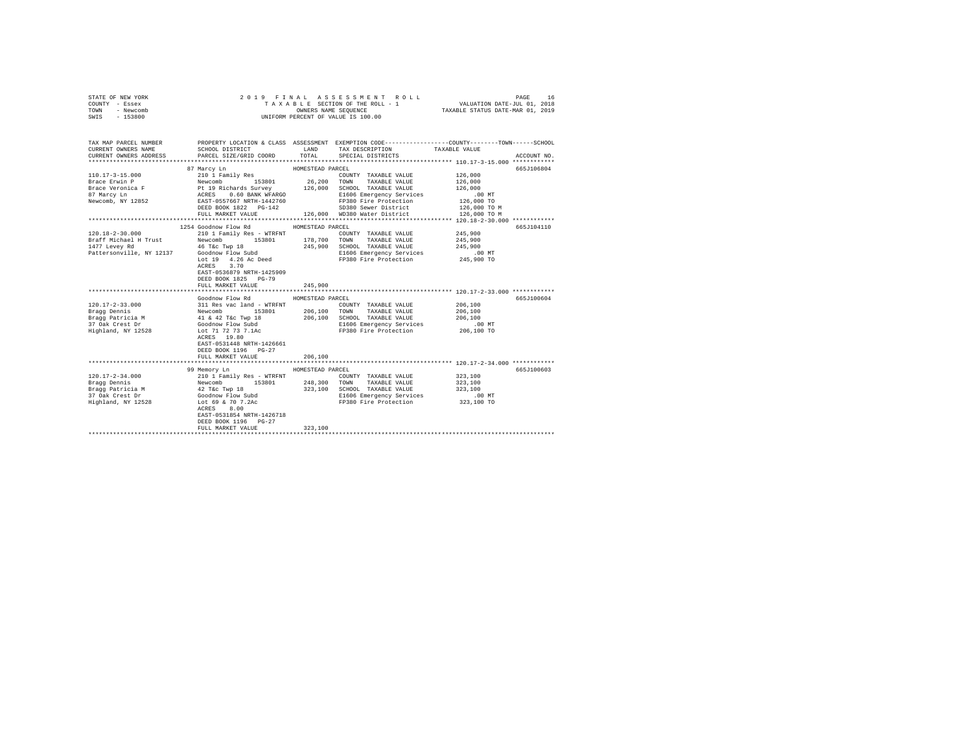| STATE OF NEW YORK | 2019 FINAL ASSESSMENT ROLL         | 16<br>PAGE                       |
|-------------------|------------------------------------|----------------------------------|
| COUNTY - Essex    | TAXABLE SECTION OF THE ROLL - 1    | VALUATION DATE-JUL 01, 2018      |
| TOWN<br>- Newcomb | OWNERS NAME SEOUENCE               | TAXABLE STATUS DATE-MAR 01, 2019 |
| - 153800<br>SWIS  | UNIFORM PERCENT OF VALUE IS 100.00 |                                  |

| TAX MAP PARCEL NUMBER<br>CURRENT OWNERS NAME                                                                                 | SCHOOL DISTRICT                                                                                                                                                                                      | LAND             | PROPERTY LOCATION & CLASS ASSESSMENT EXEMPTION CODE---------------COUNTY-------TOWN-----SCHOOL<br>TAX DESCRIPTION TAXABLE VALUE SPECIAL DISTRICTS<br>TOTAL SPECIAL DISTRICTS                                         |             |
|------------------------------------------------------------------------------------------------------------------------------|------------------------------------------------------------------------------------------------------------------------------------------------------------------------------------------------------|------------------|----------------------------------------------------------------------------------------------------------------------------------------------------------------------------------------------------------------------|-------------|
| CURRENT OWNERS ADDRESS                                                                                                       | PARCEL SIZE/GRID COORD                                                                                                                                                                               |                  |                                                                                                                                                                                                                      | ACCOUNT NO. |
|                                                                                                                              | 87 Marcy Ln                                                                                                                                                                                          | HOMESTEAD PARCEL |                                                                                                                                                                                                                      | 665J106804  |
| $110.17 - 3 - 15.000$                                                                                                        | 210 1 Family Res                                                                                                                                                                                     |                  | COUNTY TAXABLE VALUE 126,000                                                                                                                                                                                         |             |
| Brace Erwin P                                                                                                                | Newcomb 153801 26,200 TOWN TAXABLE VALUE<br>Pt 19 Richards Survey 126,000 SCHOOL TAXABLE VALUE<br>ACRES 0.60 BANK WFARGO BL606 Emergency Services<br>EAST-0557667 NRTH-1442760 FP380 Fire Protection |                  |                                                                                                                                                                                                                      | 126,000     |
| Brace Veronica F                                                                                                             |                                                                                                                                                                                                      |                  |                                                                                                                                                                                                                      | 126,000     |
| 87 Marcy Ln                                                                                                                  |                                                                                                                                                                                                      |                  | E1606 Emergency Services .00 MT<br>FP380 Fire Protection  126,000 TO                                                                                                                                                 |             |
| Newcomb, NY 12852                                                                                                            |                                                                                                                                                                                                      |                  | FP380 Fire Protection                                                                                                                                                                                                |             |
|                                                                                                                              |                                                                                                                                                                                                      |                  |                                                                                                                                                                                                                      |             |
|                                                                                                                              |                                                                                                                                                                                                      |                  | Newcomp, N1 14892<br>BEED BOOK 1822 PO-142 50380 Sewer District 126,000 TO M<br>FULL MARKET VALUE - 126,000 TO MP380 Mater District 128,000 TO M<br>FULL MARKET VALUE - 126,000 TO MP380 Mater District 128,000 TO M |             |
|                                                                                                                              |                                                                                                                                                                                                      |                  |                                                                                                                                                                                                                      |             |
|                                                                                                                              | 1254 Goodnow Flow Rd                                                                                                                                                                                 | HOMESTEAD PARCEL |                                                                                                                                                                                                                      | 665J104110  |
| $120.18 - 2 - 30.000$                                                                                                        |                                                                                                                                                                                                      |                  |                                                                                                                                                                                                                      | 245,900     |
| Braff Michael H Trust                                                                                                        |                                                                                                                                                                                                      |                  |                                                                                                                                                                                                                      | 245,900     |
|                                                                                                                              |                                                                                                                                                                                                      |                  | 245,900 SCHOOL TAXABLE VALUE 245,900<br>E1606 Emergency Services .00 MT                                                                                                                                              |             |
|                                                                                                                              |                                                                                                                                                                                                      |                  | Lot 19 4.26 Ac Deed FP380 Fire Protection 245,900 TO                                                                                                                                                                 |             |
|                                                                                                                              |                                                                                                                                                                                                      |                  |                                                                                                                                                                                                                      |             |
|                                                                                                                              | ACRES 3.70<br>EAST-0536879 NRTH-1425909                                                                                                                                                              |                  |                                                                                                                                                                                                                      |             |
|                                                                                                                              | DEED BOOK 1825 PG-79                                                                                                                                                                                 |                  |                                                                                                                                                                                                                      |             |
|                                                                                                                              | FULL MARKET VALUE                                                                                                                                                                                    | 245,900          |                                                                                                                                                                                                                      |             |
|                                                                                                                              |                                                                                                                                                                                                      |                  |                                                                                                                                                                                                                      |             |
|                                                                                                                              | Goodnow Flow Rd                                                                                                                                                                                      | HOMESTEAD PARCEL |                                                                                                                                                                                                                      | 665J100604  |
| $120.17 - 2 - 33.000$                                                                                                        | 311 Res vac land - WTRFNT                                                                                                                                                                            |                  | COUNTY TAXABLE VALUE                                                                                                                                                                                                 | 206,100     |
| Bragg Dennis                                                                                                                 | 153801 206,100 TOWN                                                                                                                                                                                  |                  | TAXABLE VALUE                                                                                                                                                                                                        | 206,100     |
| Bragg Patricia M<br>37 Oak Crest Dr                                                                                          |                                                                                                                                                                                                      |                  | 206,100 SCHOOL TAXABLE VALUE 206,100<br>E1606 Emergency Services .00 MT                                                                                                                                              |             |
|                                                                                                                              | Newcomb<br>Rewcomb 153801<br>41 & 42 T&c Twp 18<br>Goodnow Flow Subdia                                                                                                                               |                  |                                                                                                                                                                                                                      |             |
| Highland, NY 12528 Lot 71 72 73 7.1Ac                                                                                        |                                                                                                                                                                                                      |                  | FP380 Fire Protection 206,100 TO                                                                                                                                                                                     |             |
|                                                                                                                              | ACRES 19.80                                                                                                                                                                                          |                  |                                                                                                                                                                                                                      |             |
|                                                                                                                              | EAST-0531448 NRTH-1426661                                                                                                                                                                            |                  |                                                                                                                                                                                                                      |             |
|                                                                                                                              | DEED BOOK 1196 PG-27                                                                                                                                                                                 |                  |                                                                                                                                                                                                                      |             |
|                                                                                                                              | FULL MARKET VALUE                                                                                                                                                                                    | 206,100          |                                                                                                                                                                                                                      |             |
|                                                                                                                              |                                                                                                                                                                                                      |                  |                                                                                                                                                                                                                      |             |
|                                                                                                                              | 99 Memory Ln                                                                                                                                                                                         | HOMESTEAD PARCEL |                                                                                                                                                                                                                      | 665J100603  |
| $120.17 - 2 - 34.000$                                                                                                        | 210 1 Family Res - WTRFNT                                                                                                                                                                            |                  | COUNTY TAXABLE VALUE 323,100                                                                                                                                                                                         |             |
| Exagg Dennis<br>Bragg Dennis<br>Bragg Patricia M<br>37 Oak Crest Dr<br>37 Oak Crest Dr<br>37 Oak Crest Dr<br>37 Oak Crest Dr | 153801 248,300 TOWN                                                                                                                                                                                  |                  | TAXABLE VALUE                                                                                                                                                                                                        | 323,100     |
|                                                                                                                              |                                                                                                                                                                                                      |                  | 323,100 SCHOOL TAXABLE VALUE<br>E1606 Emergency Services .00 MT                                                                                                                                                      | 323,100     |
| Highland, NY 12528                                                                                                           |                                                                                                                                                                                                      |                  | FP380 Fire Protection                                                                                                                                                                                                | 323,100 TO  |
|                                                                                                                              | Lot 69 & 70 7.2Ac<br>ACRES 8.00                                                                                                                                                                      |                  |                                                                                                                                                                                                                      |             |
|                                                                                                                              | EAST-0531854 NRTH-1426718                                                                                                                                                                            |                  |                                                                                                                                                                                                                      |             |
|                                                                                                                              | DEED BOOK 1196 PG-27                                                                                                                                                                                 |                  |                                                                                                                                                                                                                      |             |
|                                                                                                                              | FULL MARKET VALUE                                                                                                                                                                                    | 323,100          |                                                                                                                                                                                                                      |             |
|                                                                                                                              |                                                                                                                                                                                                      |                  |                                                                                                                                                                                                                      |             |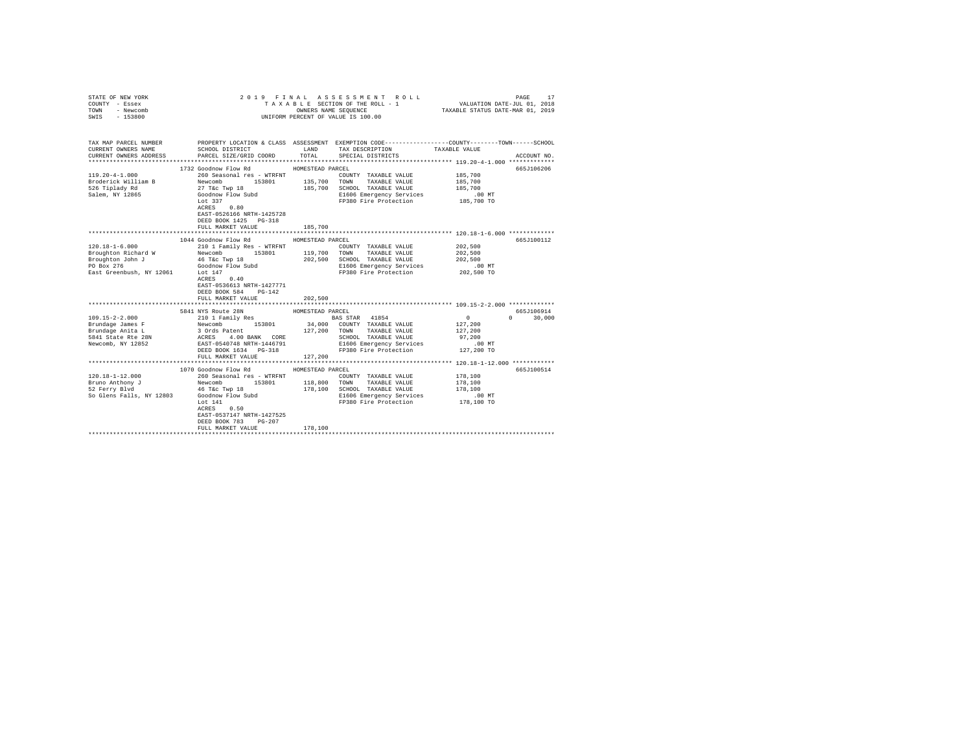| COUNTY - Essex<br>TOWN<br>- Newcomb<br>SWIS<br>$-153800$               |                                                                                                                                             | OWNERS NAME SEQUENCE | TAXABLE SECTION OF THE ROLL - 1<br>UNIFORM PERCENT OF VALUE IS 100.00                          | VALUATION DATE-JUL 01, 2018<br>TAXABLE STATUS DATE-MAR 01, 2019 |                    |
|------------------------------------------------------------------------|---------------------------------------------------------------------------------------------------------------------------------------------|----------------------|------------------------------------------------------------------------------------------------|-----------------------------------------------------------------|--------------------|
| TAX MAP PARCEL NUMBER<br>CURRENT OWNERS NAME<br>CURRENT OWNERS ADDRESS | PROPERTY LOCATION & CLASS ASSESSMENT EXEMPTION CODE---------------COUNTY-------TOWN-----SCHOOL<br>SCHOOL DISTRICT<br>PARCEL SIZE/GRID COORD | LAND<br>TOTAL        | TAX DESCRIPTION<br>SPECIAL DISTRICTS                                                           | TAXABLE VALUE                                                   | ACCOUNT NO.        |
|                                                                        |                                                                                                                                             |                      |                                                                                                |                                                                 |                    |
|                                                                        | 1732 Goodnow Flow Rd                                                                                                                        | HOMESTEAD PARCEL     |                                                                                                |                                                                 | 665J106206         |
| $119.20 - 4 - 1.000$                                                   | 260 Seasonal res - WTRFNT                                                                                                                   |                      | COUNTY TAXABLE VALUE                                                                           | 185,700                                                         |                    |
| Broderick William B                                                    | 153801 135,700                                                                                                                              |                      | TOWN<br>TAXABLE VALUE                                                                          | 185,700                                                         |                    |
| 526 Tiplady Rd                                                         |                                                                                                                                             | 185,700              | SCHOOL TAXABLE VALUE                                                                           | 185,700                                                         |                    |
| Salem, NY 12865                                                        | Newcomb 153801<br>27 T&c Twp 18<br>Goodnow Flow Subd                                                                                        |                      | E1606 Emergency Services                                                                       | .00 MT                                                          |                    |
|                                                                        | Lot 337                                                                                                                                     |                      | FP380 Fire Protection 185,700 TO                                                               |                                                                 |                    |
|                                                                        | 0.80<br>ACRES                                                                                                                               |                      |                                                                                                |                                                                 |                    |
|                                                                        | EAST-0526166 NRTH-1425728                                                                                                                   |                      |                                                                                                |                                                                 |                    |
|                                                                        | DEED BOOK 1425 PG-318                                                                                                                       |                      |                                                                                                |                                                                 |                    |
|                                                                        | FULL MARKET VALUE                                                                                                                           | 185,700              |                                                                                                |                                                                 |                    |
|                                                                        | 1044 Goodnow Flow Rd                                                                                                                        | HOMESTEAD PARCEL     |                                                                                                |                                                                 | 665J100112         |
| $120.18 - 1 - 6.000$                                                   | 210 1 Family Res - WTRFNT                                                                                                                   |                      | COUNTY TAXABLE VALUE                                                                           | 202,500                                                         |                    |
| Broughton Richard W                                                    | Newcomb<br>153801 119,700 TOWN                                                                                                              |                      | TAXABLE VALUE                                                                                  | 202,500                                                         |                    |
|                                                                        |                                                                                                                                             | 202,500              | SCHOOL TAXABLE VALUE                                                                           | 202,500                                                         |                    |
| Broughton John J<br>PO Box 276                                         | 46 T&C Twp 18<br>Goodnow Flow Subd                                                                                                          |                      | E1606 Emergency Services                                                                       | .00 MT                                                          |                    |
| East Greenbush, NY 12061 Lot 147                                       |                                                                                                                                             |                      | FP380 Fire Protection                                                                          | 202,500 TO                                                      |                    |
|                                                                        | 0.40<br>ACRES                                                                                                                               |                      |                                                                                                |                                                                 |                    |
|                                                                        | EAST-0536613 NRTH-1427771                                                                                                                   |                      |                                                                                                |                                                                 |                    |
|                                                                        | DEED BOOK 584<br>$PG-142$                                                                                                                   |                      |                                                                                                |                                                                 |                    |
|                                                                        | FULL MARKET VALUE                                                                                                                           | 202,500              |                                                                                                |                                                                 |                    |
|                                                                        | **************************                                                                                                                  | *************        |                                                                                                | **************************** 109.15-2-2.000 *************       |                    |
|                                                                        | 5841 NYS Route 28N                                                                                                                          | HOMESTEAD PARCEL     |                                                                                                |                                                                 | 665J106914         |
| $109.15 - 2 - 2.000$                                                   |                                                                                                                                             |                      | BAS STAR 41854                                                                                 | $\Omega$                                                        | $\Omega$<br>30,000 |
| Brundage James F                                                       |                                                                                                                                             | 34,000               | COUNTY TAXABLE VALUE                                                                           | 127,200                                                         |                    |
| Brundage Anita L                                                       |                                                                                                                                             | 127,200              | TAXABLE VALUE<br>TOWN                                                                          | 127,200                                                         |                    |
| 5841 State Rte 28N                                                     | 210 1 Family Res<br>Newcomb 153801 34,00<br>3 Ords Patent 127,20<br>RES 4.00 BANK CORE<br>REST-0540748 NRTH-1446791                         |                      | SCHOOL TAXABLE VALUE                                                                           | 97.200                                                          |                    |
| Newcomb, NY 12852                                                      | DEED BOOK 1634 PG-318                                                                                                                       |                      | COLOUS IMANUM VINCE<br>E1606 Emergency Services 127,200 TO<br>FP380 Fire Protection 127,200 TO |                                                                 |                    |
|                                                                        | FULL MARKET VALUE                                                                                                                           | 127,200              |                                                                                                |                                                                 |                    |
|                                                                        |                                                                                                                                             |                      |                                                                                                |                                                                 |                    |
|                                                                        | 1070 Goodnow Flow Rd                                                                                                                        | HOMESTEAD PARCEL     |                                                                                                |                                                                 | 665J100514         |
| $120.18 - 1 - 12.000$                                                  | 260 Seasonal res - WTRFNT                                                                                                                   |                      | COUNTY TAXABLE VALUE                                                                           | 178,100                                                         |                    |
| Bruno Anthony J                                                        | Newcomb<br>153801                                                                                                                           | 118,800 TOWN         | TAXABLE VALUE                                                                                  | 178,100                                                         |                    |
| 52 Ferry Blyd                                                          | 46 T&c Twp 18                                                                                                                               | 178,100              | SCHOOL TAXABLE VALUE                                                                           | 178,100                                                         |                    |
| So Glens Falls, NY 12803                                               | Goodnow Flow Subd                                                                                                                           |                      | E1606 Emergency Services                                                                       | .00 MT                                                          |                    |
|                                                                        | Lot $141$                                                                                                                                   |                      | FP380 Fire Protection                                                                          | 178,100 TO                                                      |                    |
|                                                                        | 0.50<br>ACRES                                                                                                                               |                      |                                                                                                |                                                                 |                    |
|                                                                        | EAST-0537147 NRTH-1427525                                                                                                                   |                      |                                                                                                |                                                                 |                    |
|                                                                        | DEED BOOK 783<br>$PG-207$                                                                                                                   |                      |                                                                                                |                                                                 |                    |
|                                                                        | FULL MARKET VALUE                                                                                                                           | 178,100              |                                                                                                |                                                                 |                    |
|                                                                        |                                                                                                                                             |                      |                                                                                                |                                                                 |                    |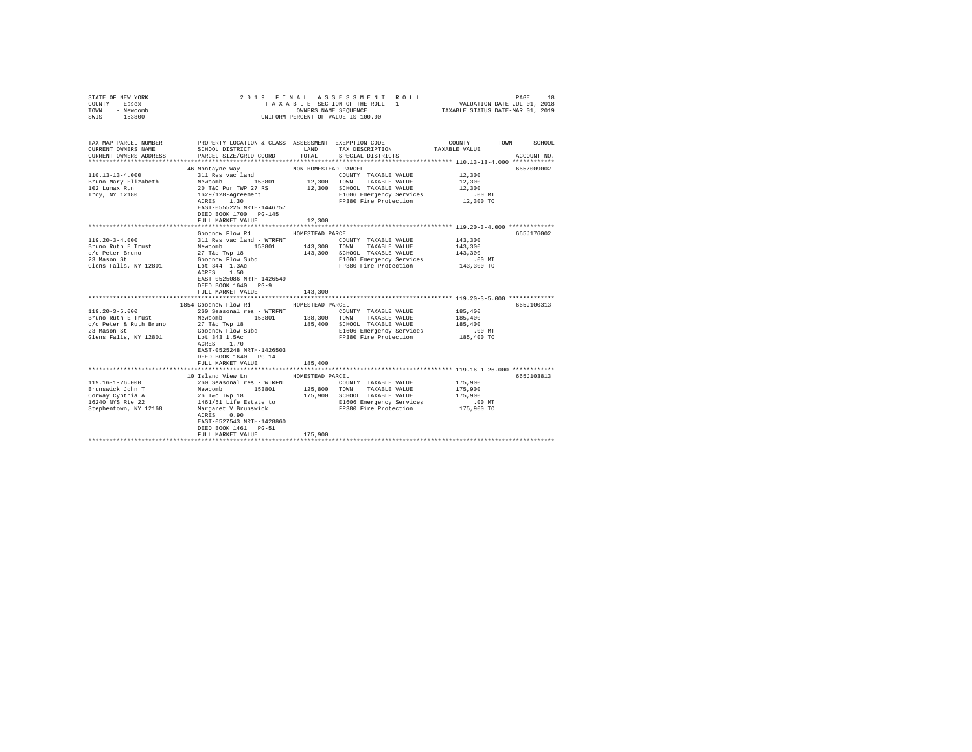| STATE OF NEW YORK<br>COUNTY - Essex                                                                                                                                                                                            |                                                     |                      | 2019 FINAL ASSESSMENT ROLL<br>TAXABLE SECTION OF THE ROLL - 1                                  | VALUATION DATE-JUL 01, 2018                          | PAGE<br>18  |
|--------------------------------------------------------------------------------------------------------------------------------------------------------------------------------------------------------------------------------|-----------------------------------------------------|----------------------|------------------------------------------------------------------------------------------------|------------------------------------------------------|-------------|
| TOWN - Newcomb                                                                                                                                                                                                                 |                                                     |                      | OWNERS NAME SEQUENCE                                                                           | TAXABLE STATUS DATE-MAR 01, 2019                     |             |
| SWIS - 153800                                                                                                                                                                                                                  |                                                     |                      | UNIFORM PERCENT OF VALUE IS 100.00                                                             |                                                      |             |
|                                                                                                                                                                                                                                |                                                     |                      |                                                                                                |                                                      |             |
|                                                                                                                                                                                                                                |                                                     |                      |                                                                                                |                                                      |             |
| TAX MAP PARCEL NUMBER                                                                                                                                                                                                          |                                                     |                      | PROPERTY LOCATION & CLASS ASSESSMENT EXEMPTION CODE---------------COUNTY-------TOWN-----SCHOOL |                                                      |             |
| CURRENT OWNERS NAME                                                                                                                                                                                                            | SCHOOL DISTRICT                                     | LAND                 | TAX DESCRIPTION                                                                                | TAXABLE VALUE                                        |             |
| CURRENT OWNERS ADDRESS                                                                                                                                                                                                         | PARCEL SIZE/GRID COORD                              | TOTAL                | SPECIAL DISTRICTS                                                                              |                                                      | ACCOUNT NO. |
|                                                                                                                                                                                                                                |                                                     |                      |                                                                                                |                                                      |             |
|                                                                                                                                                                                                                                | 46 Montayne Way                                     | NON-HOMESTEAD PARCEL |                                                                                                |                                                      | 665Z009002  |
| $110.13 - 13 - 4.000$                                                                                                                                                                                                          | 311 Res vac land                                    |                      | COUNTY TAXABLE VALUE                                                                           | $12\,,300$                                           |             |
| Bruno Mary Elizabeth                                                                                                                                                                                                           | Newcomb 153801                                      | 12,300 TOWN          | TAXABLE VALUE                                                                                  | 12,300                                               |             |
| 102 Lumax Run<br>Troy, NY 12180                                                                                                                                                                                                | 20 T&C Pur TWP 27 RS                                |                      | 12,300 SCHOOL TAXABLE VALUE                                                                    | 12,300<br>.00MT                                      |             |
|                                                                                                                                                                                                                                | 1629/128-Agreement<br>ACRES 1.30                    |                      | E1606 Emergency Services<br>FP380 Fire Protection                                              | $12,300$ TO                                          |             |
|                                                                                                                                                                                                                                | EAST-0555225 NRTH-1446757                           |                      |                                                                                                |                                                      |             |
|                                                                                                                                                                                                                                | DEED BOOK 1700 PG-145                               |                      |                                                                                                |                                                      |             |
|                                                                                                                                                                                                                                | FULL MARKET VALUE                                   | 12,300               |                                                                                                |                                                      |             |
|                                                                                                                                                                                                                                |                                                     |                      |                                                                                                | *********************** 119.20-3-4.000 ************* |             |
|                                                                                                                                                                                                                                | Goodnow Flow Rd                                     | HOMESTEAD PARCEL     |                                                                                                |                                                      | 665J176002  |
| 119.20-3-4.000                                                                                                                                                                                                                 | 311 Res vac land - WTRFNT                           |                      | COUNTY TAXABLE VALUE                                                                           | 143,300                                              |             |
| Bruno Ruth E Trust                                                                                                                                                                                                             |                                                     |                      | 143,300 TOWN TAXABLE VALUE                                                                     | 143,300                                              |             |
| c/o Peter Bruno                                                                                                                                                                                                                |                                                     |                      | 143,300 SCHOOL TAXABLE VALUE                                                                   | 143,300                                              |             |
| 23 Mason St                                                                                                                                                                                                                    | Newcomb<br>27 T&c Twp 18<br>Goodnow Flow Subd       |                      | E1606 Emergency Services                                                                       | $.00$ MT                                             |             |
| Glens Falls, NY 12801                                                                                                                                                                                                          | Lot 344 1.3Ac                                       |                      | FP380 Fire Protection                                                                          | 143,300 TO                                           |             |
|                                                                                                                                                                                                                                | ACRES 1.50                                          |                      |                                                                                                |                                                      |             |
|                                                                                                                                                                                                                                | EAST-0525086 NRTH-1426549                           |                      |                                                                                                |                                                      |             |
|                                                                                                                                                                                                                                | DEED BOOK 1640 PG-9                                 | 143,300              |                                                                                                |                                                      |             |
|                                                                                                                                                                                                                                | FULL MARKET VALUE                                   |                      |                                                                                                |                                                      |             |
|                                                                                                                                                                                                                                | 1854 Goodnow Flow Rd                                | HOMESTEAD PARCEL     |                                                                                                |                                                      | 665J100313  |
| $119.20 - 3 - 5.000$                                                                                                                                                                                                           |                                                     |                      | COUNTY TAXABLE VALUE                                                                           | 185,400                                              |             |
| Bruno Ruth E Trust                                                                                                                                                                                                             | 260 Seasonal res - WTRFNT<br>Newcomb 153801 138,300 |                      | 138,300 TOWN TAXABLE VALUE                                                                     | 185,400                                              |             |
| c/o Peter & Ruth Bruno 27 T&c Twp 18<br>23 Mason St Goodnow Flow Subd                                                                                                                                                          |                                                     |                      | 185,400 SCHOOL TAXABLE VALUE                                                                   | 185,400                                              |             |
|                                                                                                                                                                                                                                |                                                     |                      | E1606 Emergency Services                                                                       | $.00$ MT                                             |             |
| Glens Falls, NY 12801                                                                                                                                                                                                          | Lot 343 1.5Ac                                       |                      | FP380 Fire Protection                                                                          | 185,400 TO                                           |             |
|                                                                                                                                                                                                                                | ACRES 1.70                                          |                      |                                                                                                |                                                      |             |
|                                                                                                                                                                                                                                | EAST-0525248 NRTH-1426503                           |                      |                                                                                                |                                                      |             |
|                                                                                                                                                                                                                                | DEED BOOK 1640 PG-14                                |                      |                                                                                                |                                                      |             |
|                                                                                                                                                                                                                                | FULL MARKET VALUE                                   | 185,400              |                                                                                                |                                                      |             |
|                                                                                                                                                                                                                                |                                                     |                      |                                                                                                |                                                      |             |
|                                                                                                                                                                                                                                | 10 Island View Ln                                   | HOMESTEAD PARCEL     |                                                                                                |                                                      | 665J103813  |
| $119.16 - 1 - 26.000$                                                                                                                                                                                                          | 260 Seasonal res - WTRFNT                           |                      | COUNTY TAXABLE VALUE                                                                           | 175,900                                              |             |
| Brunswick John T<br>Conway Cynthia A                                                                                                                                                                                           | 153801<br>Newcomb                                   | 125,800              | TOWN TAXABLE VALUE                                                                             | 175.900                                              |             |
|                                                                                                                                                                                                                                |                                                     |                      | 175,900 SCHOOL TAXABLE VALUE                                                                   | 175,900                                              |             |
| STURBANCK JOHN THE REW AND THE STATE OF THE STATE STATE STATE STATE STATE STATE STATE STATE STATE STATE STATE STATE STATE STATE STATE STATE STATE STATE STATE STATE STATE STATE STATE STATE STATE STATE STATE STATE STATE STAT |                                                     |                      | E1606 Emergency Services<br>FP380 Fire Protection 175,900 TO                                   | $.00$ MT                                             |             |
|                                                                                                                                                                                                                                | ACRES 0.90                                          |                      |                                                                                                |                                                      |             |
|                                                                                                                                                                                                                                | EAST-0527543 NRTH-1428860                           |                      |                                                                                                |                                                      |             |
|                                                                                                                                                                                                                                | DEED BOOK 1461 PG-51                                |                      |                                                                                                |                                                      |             |
|                                                                                                                                                                                                                                | FULL MARKET VALUE                                   | 175,900              |                                                                                                |                                                      |             |
|                                                                                                                                                                                                                                |                                                     |                      |                                                                                                |                                                      |             |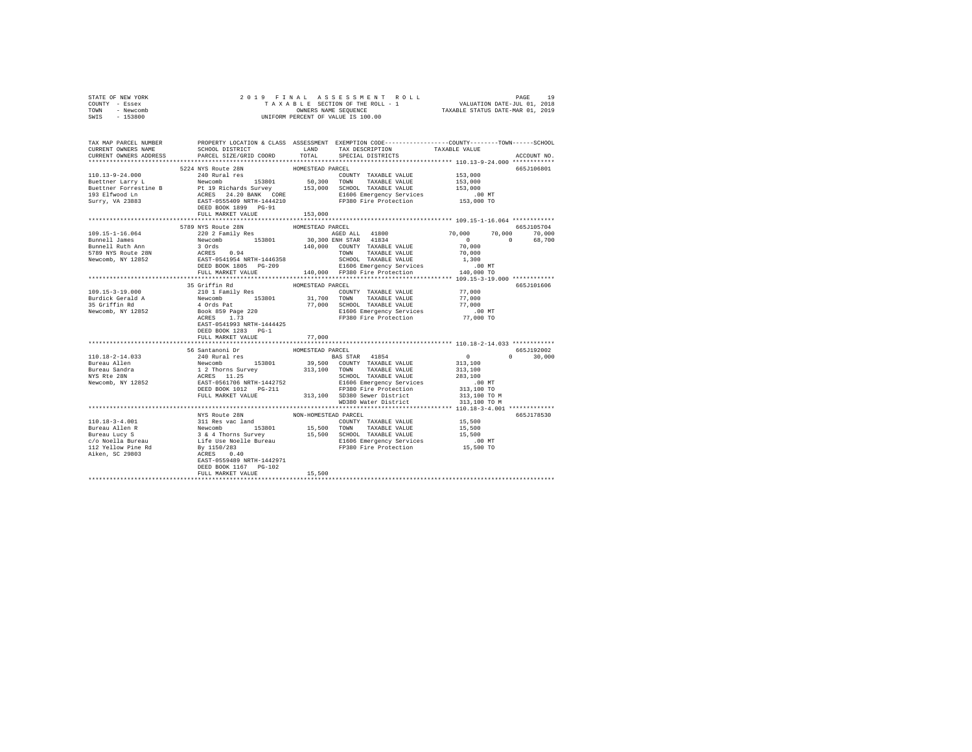| STATE OF NEW YORK                      |                                                                                                                                                                                                                                                                                                                                                                                                         |                  |                                    |                                           |               |
|----------------------------------------|---------------------------------------------------------------------------------------------------------------------------------------------------------------------------------------------------------------------------------------------------------------------------------------------------------------------------------------------------------------------------------------------------------|------------------|------------------------------------|-------------------------------------------|---------------|
| COUNTY - Essex                         |                                                                                                                                                                                                                                                                                                                                                                                                         |                  |                                    |                                           |               |
| TOWN - Newcomb                         |                                                                                                                                                                                                                                                                                                                                                                                                         |                  |                                    |                                           |               |
| SWIS - 153800                          |                                                                                                                                                                                                                                                                                                                                                                                                         |                  |                                    |                                           |               |
|                                        |                                                                                                                                                                                                                                                                                                                                                                                                         |                  |                                    |                                           |               |
|                                        |                                                                                                                                                                                                                                                                                                                                                                                                         |                  |                                    |                                           |               |
|                                        | TAX MAP PARCEL NUMBER THE PROPERTY LOCATION & CLASS ASSESSMENT EXEMPTION CODE--------------COUNTY-------TOWN------SCHOOL                                                                                                                                                                                                                                                                                |                  |                                    |                                           |               |
| CURRENT OWNERS NAME                    | SCHOOL DISTRICT                                                                                                                                                                                                                                                                                                                                                                                         |                  | LAND TAX DESCRIPTION TAXABLE VALUE |                                           |               |
| CURRENT OWNERS ADDRESS                 | PARCEL SIZE/GRID COORD                                                                                                                                                                                                                                                                                                                                                                                  |                  | TOTAL SPECIAL DISTRICTS            |                                           | ACCOUNT NO.   |
|                                        | $[10.13-9-24.000~~5224~{\tt NYS~Rout2~8N}~~{\tt 524~NUS~Rout2~8N}~~{\tt 524~NUS~Rout2~8N}~~{\tt 124~NUS~Rout2~8N}~~{\tt 124~NUS~Rout2~8N}~~{\tt 124~NUS~Rout2~8N}~~{\tt 124~NUS~Rout2~8N}~~{\tt 124~NUS~Rout2~8N}~~{\tt 124~NUS~Rout2~8N}~~{\tt 124~NUS~Rout2~8N}~~{\tt 124~NUS~Rout2~8N}~~{\tt 124$                                                                                                    |                  |                                    |                                           |               |
|                                        |                                                                                                                                                                                                                                                                                                                                                                                                         | HOMESTEAD PARCEL |                                    |                                           | 665J106801    |
|                                        |                                                                                                                                                                                                                                                                                                                                                                                                         |                  | COUNTY TAXABLE VALUE 153,000       |                                           |               |
|                                        |                                                                                                                                                                                                                                                                                                                                                                                                         |                  |                                    | 153,000                                   |               |
|                                        |                                                                                                                                                                                                                                                                                                                                                                                                         |                  |                                    | 153,000                                   |               |
|                                        |                                                                                                                                                                                                                                                                                                                                                                                                         |                  |                                    |                                           |               |
|                                        |                                                                                                                                                                                                                                                                                                                                                                                                         |                  |                                    | .00 MT.<br>153,000 TO                     |               |
|                                        | $\begin{tabular}{lcccc} \texttt{1.011} & 240 Rural res & 200INTY TAXABLE VALUE \\ \texttt{Butether Error} & 1 & 153801 & 50,300 & 70NNN & TAXABLE VALUE \\ \texttt{Butether Forrestine B} & 2 & 19.1 & 153801 & 50,300 & 70NNN & TAXABLE VALUE \\ \texttt{193 Elfwood Ln} & 2 & 2 & 120 RANT & 100 R & 153,000 & 50,000 & TAXABLE VALUE \\ \texttt{193 Elfwood Ln} & 2 & 2 & 120 RINT + 1444210 & 150,$ |                  |                                    |                                           |               |
|                                        | FULL MARKET VALUE                                                                                                                                                                                                                                                                                                                                                                                       | 153,000          |                                    |                                           |               |
|                                        |                                                                                                                                                                                                                                                                                                                                                                                                         |                  |                                    |                                           |               |
|                                        | 5789 NYS Route 28N                                                                                                                                                                                                                                                                                                                                                                                      | HOMESTEAD PARCEL |                                    |                                           | 665J105704    |
| $109.15 - 1 - 16.064$                  | 220 2 Family Res                                                                                                                                                                                                                                                                                                                                                                                        |                  | AGED ALL 41800                     | $70,000$ $70,000$ $10,000$<br>0 $-68,700$ |               |
| Bunnell James                          |                                                                                                                                                                                                                                                                                                                                                                                                         |                  |                                    |                                           |               |
|                                        |                                                                                                                                                                                                                                                                                                                                                                                                         |                  |                                    |                                           |               |
| Bunnell Ruth Ann<br>5789 NYS Route 28N | $\begin{tabular}{l c c c c c} \multicolumn{1}{c}{X1811111} \multicolumn{1}{c}{X1811111} \multicolumn{1}{c}{X1811111} \multicolumn{1}{c}{X1811111} \multicolumn{1}{c}{X1811111} \multicolumn{1}{c}{X1811111} \multicolumn{1}{c}{X18111111} \multicolumn{1}{c}{X1811111} \multicolumn{1}{c}{X1811111} \multicolumn{1}{c}{X1811111} \multicolumn{1}{c}{X181111} \multicolumn$                              |                  |                                    |                                           |               |
| Newcomb, NY 12852                      |                                                                                                                                                                                                                                                                                                                                                                                                         |                  |                                    |                                           |               |
|                                        |                                                                                                                                                                                                                                                                                                                                                                                                         |                  |                                    |                                           |               |
|                                        |                                                                                                                                                                                                                                                                                                                                                                                                         |                  |                                    |                                           |               |
|                                        |                                                                                                                                                                                                                                                                                                                                                                                                         |                  |                                    |                                           |               |
|                                        | 35 Griffin Rd                                                                                                                                                                                                                                                                                                                                                                                           | HOMESTEAD PARCEL |                                    |                                           | 665J101606    |
| 109.15-3-19.000                        |                                                                                                                                                                                                                                                                                                                                                                                                         |                  |                                    | 77,000                                    |               |
|                                        |                                                                                                                                                                                                                                                                                                                                                                                                         |                  |                                    | 77,000                                    |               |
| Burdick Gerald A<br>35 Griffin Rd      |                                                                                                                                                                                                                                                                                                                                                                                                         |                  |                                    | 77,000                                    |               |
|                                        |                                                                                                                                                                                                                                                                                                                                                                                                         |                  |                                    |                                           |               |
| Newcomb, NY 12852                      |                                                                                                                                                                                                                                                                                                                                                                                                         |                  |                                    | $.00$ MT<br>77,000 TO                     |               |
|                                        | EAST-0541993 NRTH-1444425                                                                                                                                                                                                                                                                                                                                                                               |                  |                                    |                                           |               |
|                                        |                                                                                                                                                                                                                                                                                                                                                                                                         |                  |                                    |                                           |               |
|                                        | DEED BOOK 1283 PG-1                                                                                                                                                                                                                                                                                                                                                                                     |                  |                                    |                                           |               |
|                                        | FULL MARKET VALUE                                                                                                                                                                                                                                                                                                                                                                                       | 77,000           |                                    |                                           |               |
|                                        | 110.18-2-14.033<br>10.18-2-14.033<br>36 Santanoni Dr. HOMESTEAD PARAELE INTERNATIONAL BASE STAR 41854<br>BAS STAR 41854<br>240 Rundel Paraele BAS 3901 CONTY TAXABLE VALUE 313,100<br>Bureau Sandra 12 Thorns Survey 313,100 CONTY TAXAB                                                                                                                                                                |                  |                                    |                                           |               |
|                                        |                                                                                                                                                                                                                                                                                                                                                                                                         |                  |                                    |                                           | 665J192002    |
|                                        |                                                                                                                                                                                                                                                                                                                                                                                                         |                  |                                    |                                           | $0 \t 30.000$ |
|                                        |                                                                                                                                                                                                                                                                                                                                                                                                         |                  |                                    |                                           |               |
|                                        |                                                                                                                                                                                                                                                                                                                                                                                                         |                  |                                    |                                           |               |
|                                        |                                                                                                                                                                                                                                                                                                                                                                                                         |                  |                                    |                                           |               |
|                                        |                                                                                                                                                                                                                                                                                                                                                                                                         |                  |                                    |                                           |               |
|                                        |                                                                                                                                                                                                                                                                                                                                                                                                         |                  |                                    |                                           |               |
|                                        |                                                                                                                                                                                                                                                                                                                                                                                                         |                  |                                    | 313,100 TO M                              |               |
|                                        |                                                                                                                                                                                                                                                                                                                                                                                                         |                  | WD380 Water District               | 313,100 TO M                              |               |
|                                        |                                                                                                                                                                                                                                                                                                                                                                                                         |                  |                                    |                                           |               |
|                                        | NYS Route 28N NON-HOMESTEAD PARCEL                                                                                                                                                                                                                                                                                                                                                                      |                  |                                    |                                           | 665J178530    |
|                                        |                                                                                                                                                                                                                                                                                                                                                                                                         |                  |                                    |                                           |               |
|                                        |                                                                                                                                                                                                                                                                                                                                                                                                         |                  |                                    |                                           |               |
|                                        |                                                                                                                                                                                                                                                                                                                                                                                                         |                  |                                    |                                           |               |
|                                        |                                                                                                                                                                                                                                                                                                                                                                                                         |                  |                                    |                                           |               |
|                                        |                                                                                                                                                                                                                                                                                                                                                                                                         |                  |                                    |                                           |               |
|                                        |                                                                                                                                                                                                                                                                                                                                                                                                         |                  |                                    |                                           |               |
|                                        |                                                                                                                                                                                                                                                                                                                                                                                                         |                  |                                    |                                           |               |
|                                        | DEED BOOK 1167 PG-102                                                                                                                                                                                                                                                                                                                                                                                   |                  |                                    |                                           |               |
|                                        | FULL MARKET VALUE                                                                                                                                                                                                                                                                                                                                                                                       | 15,500           |                                    |                                           |               |
|                                        |                                                                                                                                                                                                                                                                                                                                                                                                         |                  |                                    |                                           |               |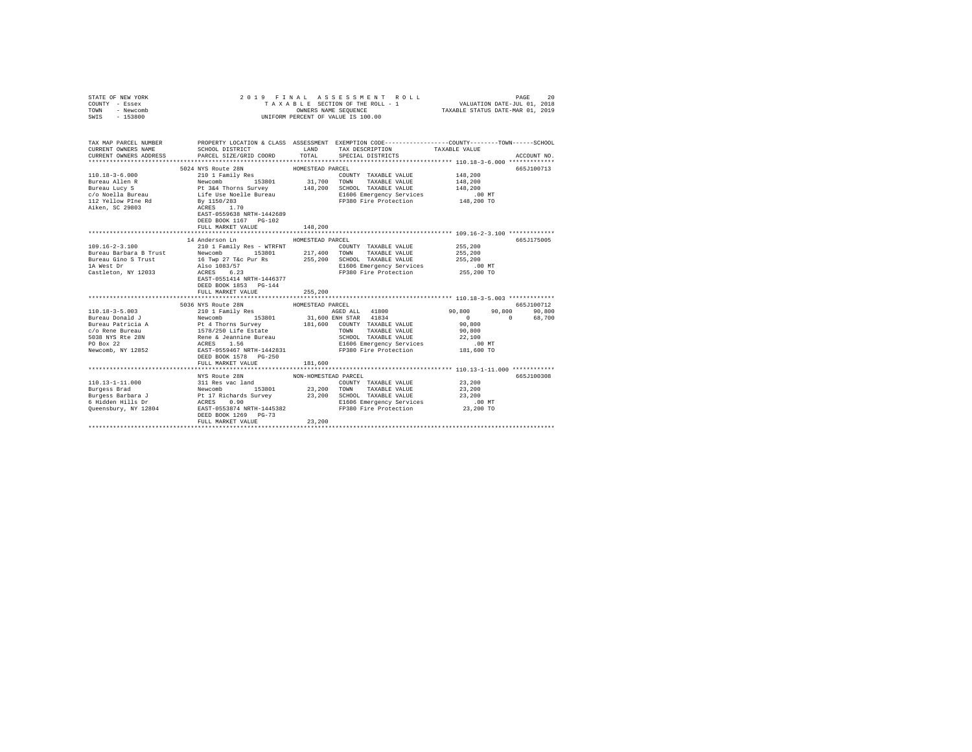| STATE OF NEW YORK<br>COUNTY - Essex<br>TOWN - Newcomb<br>SWIS - 153800                                                                                                                                                                                                                                                                                                                                                                                   |                                                                         |                                | 2019 FINAL ASSESSMENT ROLL<br>UNIFORM PERCENT OF VALUE IS 100.00                                |                                                                  | PAGE<br>20            |
|----------------------------------------------------------------------------------------------------------------------------------------------------------------------------------------------------------------------------------------------------------------------------------------------------------------------------------------------------------------------------------------------------------------------------------------------------------|-------------------------------------------------------------------------|--------------------------------|-------------------------------------------------------------------------------------------------|------------------------------------------------------------------|-----------------------|
| TAX MAP PARCEL NUMBER PROPERTY LOCATION & CLASS ASSESSMENT EXEMPTION CODE---------------COUNTY-------TOWN------SCHOOL<br>CURRENT OWNERS NAME<br>CURRENT OWNERS ADDRESS                                                                                                                                                                                                                                                                                   | SCHOOL DISTRICT LAND<br>PARCEL SIZE/GRID COORD                          | TOTAL                          | TAX DESCRIPTION<br>SPECIAL DISTRICTS                                                            | TAXABLE VALUE                                                    | ACCOUNT NO.           |
|                                                                                                                                                                                                                                                                                                                                                                                                                                                          |                                                                         |                                |                                                                                                 |                                                                  |                       |
|                                                                                                                                                                                                                                                                                                                                                                                                                                                          | DEED BOOK 1167    PG-102                                                |                                |                                                                                                 | 148,200<br>148,200<br>148,200                                    | 665J100713            |
|                                                                                                                                                                                                                                                                                                                                                                                                                                                          | FULL MARKET VALUE                                                       | 148,200                        |                                                                                                 |                                                                  |                       |
|                                                                                                                                                                                                                                                                                                                                                                                                                                                          |                                                                         |                                |                                                                                                 |                                                                  |                       |
|                                                                                                                                                                                                                                                                                                                                                                                                                                                          | 14 Anderson Ln                                                          | HOMESTEAD PARCEL               |                                                                                                 |                                                                  | 665J175005            |
| $\begin{tabular}{l c c c c c} \hline & \multicolumn{3}{c}{5036 NYS Route 28N} & \multicolumn{3}{c}{5036 NYS Route 28N} & \multicolumn{3}{c}{\multicolumn{3}{c}{\multicolumn{3}{c}{\multicolumn{3}{c}{\multicolumn{3}{c}{\multicolumn{3}{c}{\multicolumn{3}{c}{\multicolumn{3}{c}{\multicolumn{3}{c}{\multicolumn{3}{c}{\multicolumn{3}{c}{\multicolumn{3}{c}{\multicolumn{3}{c}{\multicolumn{3}{c}{\multicolumn{3}{c}{\multicolumn{3}{c}{\multicolumn{3$ | EAST-0551414 NRTH-1446377<br>DEED BOOK 1853 PG-144<br>FULL MARKET VALUE | 255,200                        | AGED ALL 41800 90,800 90,800 90,800                                                             | .00 MT<br>255,200 TO<br>$\sim$ 0<br>$\sim$ 0<br>90,800<br>90,800 | 665.7100712<br>68,700 |
|                                                                                                                                                                                                                                                                                                                                                                                                                                                          | FULL MARKET VALUE                                                       | 181,600                        | SCHOOL TAXABLE VALUE<br>E1606 Emergency Services 181,600 MT<br>FP380 Fire Protection 181,600 TO | 22,100                                                           |                       |
|                                                                                                                                                                                                                                                                                                                                                                                                                                                          |                                                                         |                                |                                                                                                 |                                                                  |                       |
|                                                                                                                                                                                                                                                                                                                                                                                                                                                          | NYS Route 28N<br>DEED BOOK 1269 PG-73<br>FULL MARKET VALUE              | NON-HOMESTEAD PARCEL<br>23,200 |                                                                                                 | 23,200<br>23,200<br>23,200<br>$.00$ MT<br>23,200 TO              | 665J100308            |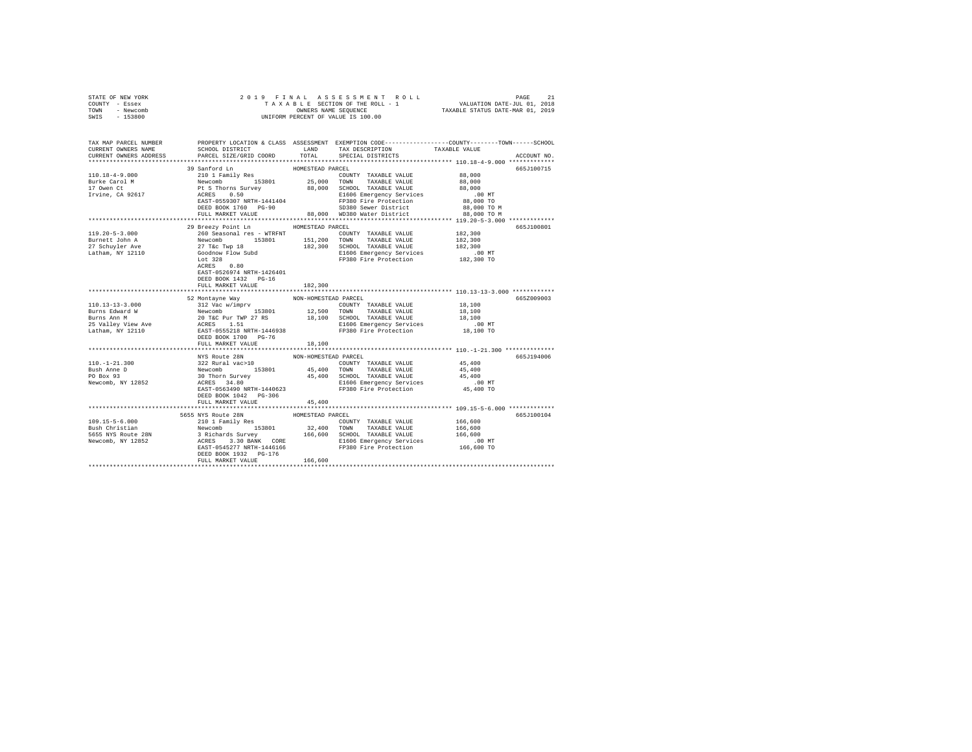| STATE OF NEW YORK | 2019 FINAL ASSESSMENT ROLL         | PAGE                             |
|-------------------|------------------------------------|----------------------------------|
| COUNTY - Essex    | TAXABLE SECTION OF THE ROLL - 1    | VALUATION DATE-JUL 01, 2018      |
| TOWN<br>- Newcomb | OWNERS NAME SEOUENCE               | TAXABLE STATUS DATE-MAR 01, 2019 |
| - 153800<br>SWIS  | UNIFORM PERCENT OF VALUE IS 100.00 |                                  |

| TAX MAP PARCEL NUMBER<br>CURRENT OWNERS NAME                                                                                                                                                                                                                                                                                                                                                                                                                                                             | SCHOOL DISTRICT                                                                                                                                                                                                                                     | LAND                 | TAX DESCRIPTION                                                   | PROPERTY LOCATION & CLASS ASSESSMENT EXEMPTION CODE----------------COUNTY-------TOWN------SCHOOL<br>TAXABLE VALUE |
|----------------------------------------------------------------------------------------------------------------------------------------------------------------------------------------------------------------------------------------------------------------------------------------------------------------------------------------------------------------------------------------------------------------------------------------------------------------------------------------------------------|-----------------------------------------------------------------------------------------------------------------------------------------------------------------------------------------------------------------------------------------------------|----------------------|-------------------------------------------------------------------|-------------------------------------------------------------------------------------------------------------------|
| CURRENT OWNERS ADDRESS                                                                                                                                                                                                                                                                                                                                                                                                                                                                                   | PARCEL SIZE/GRID COORD                                                                                                                                                                                                                              | TOTAL                | SPECIAL DISTRICTS                                                 | ACCOUNT NO.                                                                                                       |
|                                                                                                                                                                                                                                                                                                                                                                                                                                                                                                          | 39 Sanford Ln                                                                                                                                                                                                                                       | HOMESTEAD PARCEL     |                                                                   | 665J100715                                                                                                        |
| 110.18-4-9.000                                                                                                                                                                                                                                                                                                                                                                                                                                                                                           |                                                                                                                                                                                                                                                     |                      | COUNTY TAXABLE VALUE 88,000                                       |                                                                                                                   |
| Burke Carol M                                                                                                                                                                                                                                                                                                                                                                                                                                                                                            | 210 1 Family Res<br>Newcomb 153801 25,000 TOWN TAXABLE VALUE<br>Pt 5 Thorns Survey 88,000 SCHOOL TAXABLE VALUE<br>RCRES 0.50 SCHOOL E1606 Emergency Services                                                                                        |                      |                                                                   | 88,000                                                                                                            |
| 17 Owen Ct                                                                                                                                                                                                                                                                                                                                                                                                                                                                                               |                                                                                                                                                                                                                                                     |                      |                                                                   | 88,000                                                                                                            |
| Irvine, CA 92617                                                                                                                                                                                                                                                                                                                                                                                                                                                                                         | $ACRES$ 0.50<br>$EAST-0559307 NRTH-1441404$                                                                                                                                                                                                         |                      | E1606 Emergency Services<br>FP380 Fire Protection                 | $.00$ MT                                                                                                          |
|                                                                                                                                                                                                                                                                                                                                                                                                                                                                                                          |                                                                                                                                                                                                                                                     |                      |                                                                   | 88,000 TO                                                                                                         |
|                                                                                                                                                                                                                                                                                                                                                                                                                                                                                                          | DEED BOOK 1760 PG-90 SD380 Sewer District 88,000 TO M<br>FULL MARKET VALUE 88,000 WD380 Water District 88,000 TO M                                                                                                                                  |                      |                                                                   |                                                                                                                   |
|                                                                                                                                                                                                                                                                                                                                                                                                                                                                                                          |                                                                                                                                                                                                                                                     |                      |                                                                   |                                                                                                                   |
|                                                                                                                                                                                                                                                                                                                                                                                                                                                                                                          |                                                                                                                                                                                                                                                     |                      |                                                                   | **************** 119.20-5-3.000 *************                                                                     |
| $119.20 - 5 - 3.000$                                                                                                                                                                                                                                                                                                                                                                                                                                                                                     | 29 Breezy Point Ln                                                                                                                                                                                                                                  | HOMESTEAD PARCEL     | COUNTY TAXABLE VALUE 182,300                                      | 665J100801                                                                                                        |
| Burnett John A                                                                                                                                                                                                                                                                                                                                                                                                                                                                                           |                                                                                                                                                                                                                                                     |                      |                                                                   | 182,300                                                                                                           |
| 27 Schuvler Ave                                                                                                                                                                                                                                                                                                                                                                                                                                                                                          |                                                                                                                                                                                                                                                     |                      |                                                                   | 182,300                                                                                                           |
| Latham, NY 12110                                                                                                                                                                                                                                                                                                                                                                                                                                                                                         |                                                                                                                                                                                                                                                     |                      |                                                                   |                                                                                                                   |
|                                                                                                                                                                                                                                                                                                                                                                                                                                                                                                          | 260 Seasonal res - WTRFNT<br>Newcomb 153801 151,200 TOMN TAXABLE VALUE<br>27 Tec Twp 18 182,300 SCHOOL TAXABLE VALUE<br>Coodnow Flow Subd 182,300 SCHOOL TAXABLE VALUE<br>Coodnow Flow Subd 182,300 SCHOOL TAXABLE VALUE<br>coodnow Flow<br>Lot 328 |                      | E1606 Emergency Services<br>FP380 Fire Protection                 | 00 MT.<br>182,300 TO                                                                                              |
|                                                                                                                                                                                                                                                                                                                                                                                                                                                                                                          | $Lot 328$<br>ACRES 0.80                                                                                                                                                                                                                             |                      |                                                                   |                                                                                                                   |
|                                                                                                                                                                                                                                                                                                                                                                                                                                                                                                          | EAST-0526974 NRTH-1426401                                                                                                                                                                                                                           |                      |                                                                   |                                                                                                                   |
|                                                                                                                                                                                                                                                                                                                                                                                                                                                                                                          | DEED BOOK 1432 PG-16                                                                                                                                                                                                                                |                      |                                                                   |                                                                                                                   |
|                                                                                                                                                                                                                                                                                                                                                                                                                                                                                                          | FULL MARKET VALUE                                                                                                                                                                                                                                   | 182,300              |                                                                   |                                                                                                                   |
|                                                                                                                                                                                                                                                                                                                                                                                                                                                                                                          |                                                                                                                                                                                                                                                     |                      |                                                                   | *********************** 110.13-13-3.000 ************                                                              |
| $\begin{tabular}{l c c c c c} \multicolumn{3}{c}{\textbf{10.13--3.000}} & $\times$ \hspace{1.5mm}$ \multicolumn{3}{c}{\textbf{5.12 Vac} Vac} & $\textbf{10.13--3.000}$ & $\times$ \hspace{1.5mm}$ & $100$ \multicolumn{3}{c}{\textbf{5.12 Vac} Vac} & $\textbf{11.13 Vac} & $\textbf{12.15 Vac} \\ \multicolumn{3}{c}{\textbf{B.11 Vac} Vac} & $\textbf{12.15 Vac} & $\textbf{12.15 Vac} & $\textbf{1$                                                                                                   | 52 Montayne Way                                                                                                                                                                                                                                     | NON-HOMESTEAD PARCEL |                                                                   | 665Z009003                                                                                                        |
|                                                                                                                                                                                                                                                                                                                                                                                                                                                                                                          |                                                                                                                                                                                                                                                     |                      | COUNTY TAXABLE VALUE 18,100                                       |                                                                                                                   |
|                                                                                                                                                                                                                                                                                                                                                                                                                                                                                                          |                                                                                                                                                                                                                                                     |                      |                                                                   | 18,100                                                                                                            |
|                                                                                                                                                                                                                                                                                                                                                                                                                                                                                                          |                                                                                                                                                                                                                                                     |                      |                                                                   | 18,100                                                                                                            |
|                                                                                                                                                                                                                                                                                                                                                                                                                                                                                                          |                                                                                                                                                                                                                                                     |                      | E1606 Emergency Services<br>FP380 Fire Protection                 | $.00$ MT                                                                                                          |
|                                                                                                                                                                                                                                                                                                                                                                                                                                                                                                          |                                                                                                                                                                                                                                                     |                      |                                                                   | 18,100 TO                                                                                                         |
|                                                                                                                                                                                                                                                                                                                                                                                                                                                                                                          |                                                                                                                                                                                                                                                     | 18,100               |                                                                   |                                                                                                                   |
|                                                                                                                                                                                                                                                                                                                                                                                                                                                                                                          |                                                                                                                                                                                                                                                     |                      |                                                                   |                                                                                                                   |
|                                                                                                                                                                                                                                                                                                                                                                                                                                                                                                          | NYS Route 28N                                                                                                                                                                                                                                       | NON-HOMESTEAD PARCEL |                                                                   | 665J194006                                                                                                        |
| $110. - 1 - 21.300$                                                                                                                                                                                                                                                                                                                                                                                                                                                                                      |                                                                                                                                                                                                                                                     |                      |                                                                   |                                                                                                                   |
| Bush Anne D                                                                                                                                                                                                                                                                                                                                                                                                                                                                                              |                                                                                                                                                                                                                                                     |                      |                                                                   |                                                                                                                   |
| PO Box 93                                                                                                                                                                                                                                                                                                                                                                                                                                                                                                |                                                                                                                                                                                                                                                     |                      |                                                                   |                                                                                                                   |
| Newcomb, NY 12852                                                                                                                                                                                                                                                                                                                                                                                                                                                                                        | 322 Rural vac>10<br>Newcomb 153801 45,400 TOWNTY TAXABLE VALUE 45,400<br>30 Thorn Survey 45,400 TOWN TAXABLE VALUE 45,400<br>30 Thorn Survey 45,400 SCHOOL TAXABLE VALUE 45,400<br>ACRES 34.80 1606 Emergency Services                              |                      | E1606 Emergency Services 00 MT<br>FP380 Fire Protection 45,400 TO |                                                                                                                   |
|                                                                                                                                                                                                                                                                                                                                                                                                                                                                                                          | EAST-0563490 NRTH-1440623                                                                                                                                                                                                                           |                      |                                                                   |                                                                                                                   |
|                                                                                                                                                                                                                                                                                                                                                                                                                                                                                                          | DEED BOOK 1042    PG-306                                                                                                                                                                                                                            |                      |                                                                   |                                                                                                                   |
|                                                                                                                                                                                                                                                                                                                                                                                                                                                                                                          | FULL MARKET VALUE                                                                                                                                                                                                                                   | 45,400               |                                                                   |                                                                                                                   |
|                                                                                                                                                                                                                                                                                                                                                                                                                                                                                                          |                                                                                                                                                                                                                                                     |                      |                                                                   |                                                                                                                   |
|                                                                                                                                                                                                                                                                                                                                                                                                                                                                                                          | 5655 NYS Route 28N                                                                                                                                                                                                                                  | HOMESTEAD PARCEL     |                                                                   | 665J100104                                                                                                        |
| $\texttt{H09.15-5-6.000}\begin{minipage}{0.99\textwidth}\begin{minipage}{0.99\textwidth}\begin{minipage}{0.99\textwidth}\begin{minipage}{0.99\textwidth}\begin{minipage}{0.99\textwidth}\begin{minipage}{0.99\textwidth}\begin{minipage}{0.99\textwidth}\begin{minipage}{0.99\textwidth}\begin{minipage}{0.99\textwidth}\begin{minipage}{0.99\textwidth}\begin{minipage}{0.99\textwidth}\begin{minipage}{0.99\textwidth}\begin{minipage}{0.99\textwidth}\begin{minipage}{0.99\textwidth}\begin{minipage$ |                                                                                                                                                                                                                                                     |                      |                                                                   |                                                                                                                   |
|                                                                                                                                                                                                                                                                                                                                                                                                                                                                                                          |                                                                                                                                                                                                                                                     |                      |                                                                   |                                                                                                                   |
|                                                                                                                                                                                                                                                                                                                                                                                                                                                                                                          |                                                                                                                                                                                                                                                     |                      |                                                                   |                                                                                                                   |
|                                                                                                                                                                                                                                                                                                                                                                                                                                                                                                          |                                                                                                                                                                                                                                                     |                      |                                                                   |                                                                                                                   |
|                                                                                                                                                                                                                                                                                                                                                                                                                                                                                                          | DEED BOOK 1932 PG-176                                                                                                                                                                                                                               |                      |                                                                   |                                                                                                                   |
|                                                                                                                                                                                                                                                                                                                                                                                                                                                                                                          | FULL MARKET VALUE                                                                                                                                                                                                                                   | 166.600              |                                                                   |                                                                                                                   |
|                                                                                                                                                                                                                                                                                                                                                                                                                                                                                                          |                                                                                                                                                                                                                                                     |                      |                                                                   |                                                                                                                   |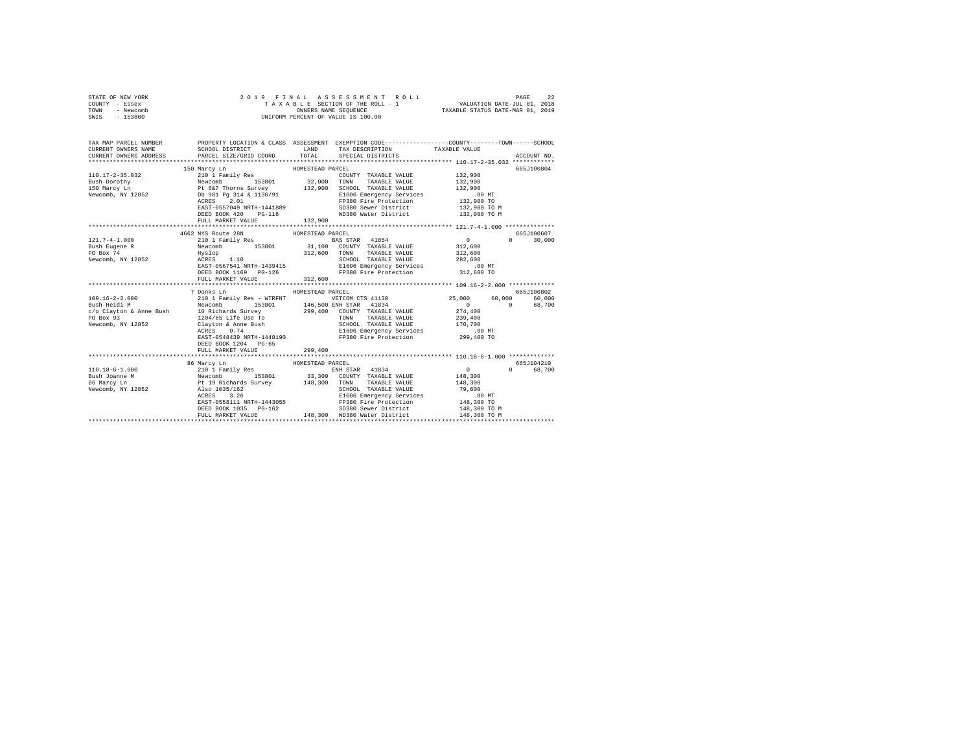| STATE OF NEW YORK<br>COUNTY<br>- Essex<br>- Newcomb<br>TOWN<br>$-153800$<br>SWIS | 2019                                                                                                                                                                                                                      | 22<br>FINAL ASSESSMENT ROLL<br>PAGE<br>TAXABLE SECTION OF THE ROLL - 1<br>VALUATION DATE-JUL 01, 2018<br>OWNERS NAME SEQUENCE<br>TAXABLE STATUS DATE-MAR 01, 2019<br>UNIFORM PERCENT OF VALUE IS 100.00                                                                                                |
|----------------------------------------------------------------------------------|---------------------------------------------------------------------------------------------------------------------------------------------------------------------------------------------------------------------------|--------------------------------------------------------------------------------------------------------------------------------------------------------------------------------------------------------------------------------------------------------------------------------------------------------|
| TAX MAP PARCEL NUMBER<br>CURRENT OWNERS NAME                                     | SCHOOL DISTRICT                                                                                                                                                                                                           | PROPERTY LOCATION & CLASS ASSESSMENT EXEMPTION CODE---------------COUNTY-------TOWN------SCHOOL<br><b>EXAMPLE AND</b><br>TAX DESCRIPTION TAXABLE VALUE<br>CURRENT OWNERS ADDRESS PARCEL SIZE/GRID COORD TOTAL SPECIAL DISTRICTS<br>ACCOUNT NO.                                                         |
| 110.17-2-35.032<br>Bush Dorothy<br>Newcomb, NY 12852                             | 150 Marcy Ln<br>210 1 Family Res<br>Newcomb 153801 32,000<br>150 Marcy Ln Pt 6&7 Thorns Survey 132,900<br>Db 981 Pq 314 & 1136/91<br>ACRES 2.01<br>EAST-0557049 NRTH-1441889<br>DEED BOOK 420 PG-116<br>FULL MARKET VALUE | 665J100804<br>HOMESTEAD PARCEL<br>132,900<br>COUNTY TAXABLE VALUE<br>132,900<br>TOWN<br>TAXABLE VALUE<br>132,900<br>SCHOOL TAXABLE VALUE<br>E1606 Emergency Services<br>.00MT<br>FP380 Fire Protection 132,900 TO<br>SD380 Sewer District 132,900 TO M<br>WD380 Water District 132,900 TO M<br>132,900 |
| $121.7 - 4 - 1.000$<br>Bush Eugene R<br>PO Box 74                                | 4662 NYS Route 28N HOMESTEAD PARCEL<br>210 1 Family Res<br>Newcomb<br>Hyslop                                                                                                                                              | 665J100607<br>$\sim$ 0<br>41854<br>30,000<br>$\Omega$<br>BAS STAR<br>153801 31,100<br>COUNTY<br>312,600<br>TAXABLE VALUE<br>312,600<br>312,600<br>TOWN<br>TAXABLE VALUE                                                                                                                                |

| 141. <i>.</i> . <del>.</del>    | $210$ T raming $NCD$                                      | nun nun<br>ユエロジェ                                                                                         |                                   |            |
|---------------------------------|-----------------------------------------------------------|----------------------------------------------------------------------------------------------------------|-----------------------------------|------------|
| Bush Eugene R                   | Newcomb 153801 31,100                                     | COUNTY TAXABLE VALUE                                                                                     | 312,600                           |            |
| PO Box 74                       | Hyslop                                                    | 312,600<br>TAXABLE VALUE<br>TOWN                                                                         | 312,600                           |            |
| Newcomb, NY 12852               | ACRES 1.10                                                | SCHOOL TAXABLE VALUE                                                                                     | 282,600                           |            |
|                                 | EAST-0567541 NRTH-1439415                                 | E1606 Emergency Services                                                                                 | .00 MT                            |            |
|                                 | DEED BOOK 1169 PG-126                                     | FP380 Fire Protection 312,600 TO                                                                         |                                   |            |
|                                 | FULL MARKET VALUE                                         | 312,600                                                                                                  |                                   |            |
|                                 |                                                           |                                                                                                          |                                   |            |
|                                 | 7 Donks Ln                                                | HOMESTEAD PARCEL                                                                                         |                                   | 665J100802 |
| $109.16 - 2 - 2.000$            |                                                           | 210 1 Family Res - WTRFNT WETCOM CTS 41130                                                               | 25,000 60,000                     | 60,000     |
| Bush Heidi M                    |                                                           | Newcomb 153801 146,500 ENH STAR 41834                                                                    | $\sim$ 0 $\sim$ 0<br>$\mathbf{0}$ | 68,700     |
|                                 |                                                           | c/o Clayton & Anne Bush 10 Richards Survey 299,400 COUNTY TAXABLE VALUE                                  | 274,400                           |            |
| PO Box 93                       | 1204/65 Life Use To                                       | TOWN<br>TAXABLE VALUE                                                                                    | 239,400                           |            |
|                                 | Newcomb, NY 12852 Clayton & Anne Bush                     | SCHOOL TAXABLE VALUE                                                                                     | 170.700                           |            |
|                                 | ACRES 0.74                                                | E1606 Emergency Services                                                                                 | $.00$ MT                          |            |
|                                 | EAST-0548439 NRTH-1448190                                 | FP380 Fire Protection 299,400 TO                                                                         |                                   |            |
|                                 | DEED BOOK 1204 PG-65                                      |                                                                                                          |                                   |            |
|                                 | FULL MARKET VALUE 299,400                                 |                                                                                                          |                                   |            |
|                                 |                                                           |                                                                                                          |                                   |            |
|                                 | 86 Marcy Ln HOMESTEAD PARCEL                              |                                                                                                          |                                   | 665J104210 |
|                                 | 110.18-6-1.000 210 1 Family Res                           | ENH STAR 41834                                                                                           | $\mathbf{0}$<br>$\Omega$          | 68,700     |
|                                 |                                                           | Bush Joanne M                          Newcomb           153801            33,300   COUNTY TAXABLE VALUE | 148,300                           |            |
|                                 | 86 Marcy Ln           Pt 19 Richards Survey       148,300 | TOWN<br>TAXABLE VALUE                                                                                    | 148,300                           |            |
| Newcomb, NY 12852 Also 1035/162 |                                                           | SCHOOL TAXABLE VALUE                                                                                     | 79,600                            |            |
|                                 | ACRES 3.26                                                | E1606 Emergency Services .00 MT                                                                          |                                   |            |
|                                 | EAST-0558111 NRTH-1443055                                 | FP380 Fire Protection 148,300 TO                                                                         |                                   |            |
|                                 | DEED BOOK 1035 PG-162                                     | SD380 Sewer District 148,300 TO M                                                                        |                                   |            |
|                                 | FULL MARKET VALUE                                         | 148,300 WD380 Water District                                                                             | 148,300 TO M                      |            |
|                                 |                                                           |                                                                                                          |                                   |            |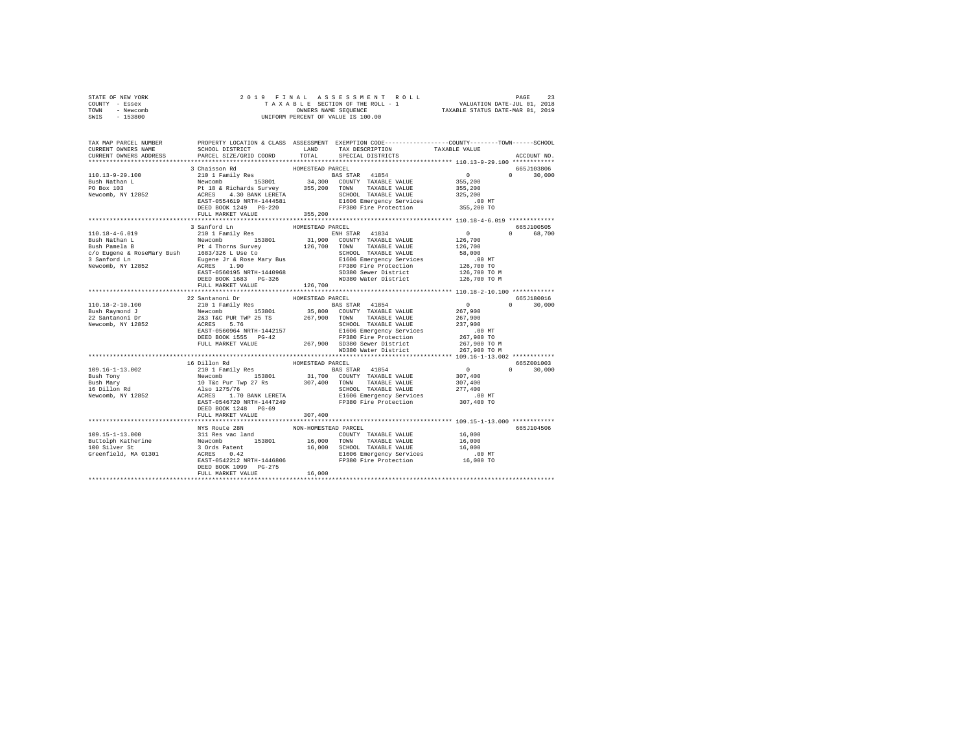| STATE OF NEW YORK |           |                      |  |  |  |  |  |  | 2019 FINAL ASSESSMENT ROLL         |                                  | PAGE |  |
|-------------------|-----------|----------------------|--|--|--|--|--|--|------------------------------------|----------------------------------|------|--|
| COUNTY - Essex    |           |                      |  |  |  |  |  |  | TAXABLE SECTION OF THE ROLL - 1    | VALUATION DATE-JUL 01, 2018      |      |  |
| TOWN              | - Newcomb | OWNERS NAME SEOUENCE |  |  |  |  |  |  |                                    | TAXABLE STATUS DATE-MAR 01, 2019 |      |  |
| SWIS              | - 153800  |                      |  |  |  |  |  |  | UNIFORM PERCENT OF VALUE IS 100.00 |                                  |      |  |

| TAX MAP PARCEL NUMBER<br>CURRENT OWNERS NAME<br>CURRENT OWNERS ADDRESS | SCHOOL DISTRICT<br>PARCEL SIZE/GRID COORD                                                                                                                                                                                                                                                                                                                                                                                            | LAND<br>TOTAL    | TAX DESCRIPTION<br>SPECIAL DISTRICTS | PROPERTY LOCATION & CLASS ASSESSMENT EXEMPTION CODE---------------COUNTY-------TOWN------SCHOOL<br>TAXABLE VALUE<br>ACCOUNT NO. |        |
|------------------------------------------------------------------------|--------------------------------------------------------------------------------------------------------------------------------------------------------------------------------------------------------------------------------------------------------------------------------------------------------------------------------------------------------------------------------------------------------------------------------------|------------------|--------------------------------------|---------------------------------------------------------------------------------------------------------------------------------|--------|
| ************************                                               | ***********************                                                                                                                                                                                                                                                                                                                                                                                                              |                  |                                      |                                                                                                                                 |        |
|                                                                        | 3 Chaisson Rd<br>$\begin{tabular}{l c c c c c} \multicolumn{3}{c c c c} \multicolumn{3}{c c c} \multicolumn{3}{c c c} \multicolumn{3}{c c c} \multicolumn{3}{c c c} \multicolumn{3}{c c c} \multicolumn{3}{c c c} \multicolumn{3}{c c c} \multicolumn{3}{c c c} \multicolumn{3}{c c c} \multicolumn{3}{c c c} \multicolumn{3}{c c c} \multicolumn{3}{c c c} \multicolumn{3}{c c c} \multicolumn{3}{c c c} \multicolumn{$             | HOMESTEAD PARCEL |                                      | 665J103806                                                                                                                      |        |
|                                                                        |                                                                                                                                                                                                                                                                                                                                                                                                                                      |                  |                                      | $\Omega$                                                                                                                        | 30,000 |
|                                                                        |                                                                                                                                                                                                                                                                                                                                                                                                                                      |                  |                                      |                                                                                                                                 |        |
|                                                                        |                                                                                                                                                                                                                                                                                                                                                                                                                                      |                  |                                      |                                                                                                                                 |        |
|                                                                        |                                                                                                                                                                                                                                                                                                                                                                                                                                      |                  |                                      |                                                                                                                                 |        |
|                                                                        |                                                                                                                                                                                                                                                                                                                                                                                                                                      |                  |                                      |                                                                                                                                 |        |
|                                                                        | FULL MARKET VALUE                                                                                                                                                                                                                                                                                                                                                                                                                    | 355, 200         |                                      |                                                                                                                                 |        |
|                                                                        |                                                                                                                                                                                                                                                                                                                                                                                                                                      |                  |                                      |                                                                                                                                 |        |
|                                                                        | 3 Sanford Ln                                                                                                                                                                                                                                                                                                                                                                                                                         | HOMESTEAD PARCEL |                                      | 665J100505                                                                                                                      |        |
| 110.18-4-6.019                                                         | 210 1 Family Res                                                                                                                                                                                                                                                                                                                                                                                                                     |                  | ENH STAR 41834 0                     | 0 68,700                                                                                                                        |        |
|                                                                        |                                                                                                                                                                                                                                                                                                                                                                                                                                      |                  |                                      |                                                                                                                                 |        |
|                                                                        |                                                                                                                                                                                                                                                                                                                                                                                                                                      |                  |                                      |                                                                                                                                 |        |
|                                                                        |                                                                                                                                                                                                                                                                                                                                                                                                                                      |                  |                                      |                                                                                                                                 |        |
|                                                                        |                                                                                                                                                                                                                                                                                                                                                                                                                                      |                  |                                      |                                                                                                                                 |        |
|                                                                        |                                                                                                                                                                                                                                                                                                                                                                                                                                      |                  |                                      |                                                                                                                                 |        |
|                                                                        |                                                                                                                                                                                                                                                                                                                                                                                                                                      |                  |                                      | 126,700 TO M<br>126,700 TO M                                                                                                    |        |
|                                                                        | FULL MARKET VALUE<br>110.18-2-10.100<br>22 Santanoni Dr HOMESTEAD PARCEL<br>110.18-2-10.100<br>22 Santanoni Dr 153801<br>Newcomb Dr 163801<br>26,800 COUNTY TAXABLE VALUE 21<br>28 SERLADING TREAD PART 25 TS 267,900 TONNY TAXABLE VALUE REVAIRS PART 25 2                                                                                                                                                                          | 126,700          |                                      |                                                                                                                                 |        |
|                                                                        |                                                                                                                                                                                                                                                                                                                                                                                                                                      |                  |                                      |                                                                                                                                 |        |
|                                                                        |                                                                                                                                                                                                                                                                                                                                                                                                                                      |                  |                                      | 665J180016<br>$\Omega$                                                                                                          |        |
|                                                                        |                                                                                                                                                                                                                                                                                                                                                                                                                                      |                  |                                      | $\begin{array}{c}0\\267,900\end{array}$                                                                                         | 30,000 |
|                                                                        |                                                                                                                                                                                                                                                                                                                                                                                                                                      |                  |                                      |                                                                                                                                 |        |
|                                                                        |                                                                                                                                                                                                                                                                                                                                                                                                                                      |                  |                                      | 267,900<br>237,900                                                                                                              |        |
|                                                                        |                                                                                                                                                                                                                                                                                                                                                                                                                                      |                  |                                      | .00 MT                                                                                                                          |        |
|                                                                        |                                                                                                                                                                                                                                                                                                                                                                                                                                      |                  |                                      | 267,900 TO                                                                                                                      |        |
|                                                                        |                                                                                                                                                                                                                                                                                                                                                                                                                                      |                  |                                      | 267,900 TO M                                                                                                                    |        |
|                                                                        |                                                                                                                                                                                                                                                                                                                                                                                                                                      |                  |                                      | 267,900 TO M                                                                                                                    |        |
|                                                                        | 16 Dillon Rd                                                                                                                                                                                                                                                                                                                                                                                                                         |                  |                                      | 665Z001003                                                                                                                      |        |
|                                                                        |                                                                                                                                                                                                                                                                                                                                                                                                                                      | HOMESTEAD PARCEL |                                      | $\Omega$                                                                                                                        | 30,000 |
|                                                                        |                                                                                                                                                                                                                                                                                                                                                                                                                                      |                  |                                      | $\begin{array}{cc}\n & & 0 \\  & 307,400\n\end{array}$                                                                          |        |
|                                                                        |                                                                                                                                                                                                                                                                                                                                                                                                                                      |                  |                                      |                                                                                                                                 |        |
|                                                                        |                                                                                                                                                                                                                                                                                                                                                                                                                                      |                  |                                      | 307,400<br>277,400                                                                                                              |        |
|                                                                        |                                                                                                                                                                                                                                                                                                                                                                                                                                      |                  |                                      | $.00$ MT                                                                                                                        |        |
|                                                                        |                                                                                                                                                                                                                                                                                                                                                                                                                                      |                  |                                      | 307,400 TO                                                                                                                      |        |
|                                                                        | DEED BOOK 1248 PG-69                                                                                                                                                                                                                                                                                                                                                                                                                 |                  |                                      |                                                                                                                                 |        |
|                                                                        | FULL MARKET VALUE                                                                                                                                                                                                                                                                                                                                                                                                                    | 307,400          |                                      |                                                                                                                                 |        |
|                                                                        |                                                                                                                                                                                                                                                                                                                                                                                                                                      |                  |                                      | 665J104506                                                                                                                      |        |
| 109.15-1-13.000                                                        | $\begin{tabular}{l c c c c} \hline \texttt{NTS} \texttt{ Route 28N} & \texttt{NON-FIOMESTEAD PARCHZD TAXABLE VALUE} & \texttt{16,000} \\ \hline 311 \texttt{Recs} \texttt{vac land} & \texttt{CNOTWNT TAXABLE VALUE} & \texttt{16,000} \\ \hline 4 \texttt{Occes} & \texttt{314} & \texttt{16,000} & \texttt{TONAT} & \texttt{TXABLE VALUE} & \texttt{16,000} \\ \hline 4 \texttt{CRES} & \texttt{0.42} & \texttt{16,000} & \texttt$ |                  |                                      |                                                                                                                                 |        |
|                                                                        |                                                                                                                                                                                                                                                                                                                                                                                                                                      |                  |                                      |                                                                                                                                 |        |
| Buttolph Katherine<br>100 Silver St                                    |                                                                                                                                                                                                                                                                                                                                                                                                                                      |                  |                                      |                                                                                                                                 |        |
| Greenfield, MA 01301                                                   |                                                                                                                                                                                                                                                                                                                                                                                                                                      |                  |                                      |                                                                                                                                 |        |
|                                                                        |                                                                                                                                                                                                                                                                                                                                                                                                                                      |                  |                                      |                                                                                                                                 |        |
|                                                                        |                                                                                                                                                                                                                                                                                                                                                                                                                                      |                  |                                      |                                                                                                                                 |        |
|                                                                        | FULL MARKET VALUE                                                                                                                                                                                                                                                                                                                                                                                                                    | 16,000           |                                      |                                                                                                                                 |        |
|                                                                        |                                                                                                                                                                                                                                                                                                                                                                                                                                      |                  |                                      |                                                                                                                                 |        |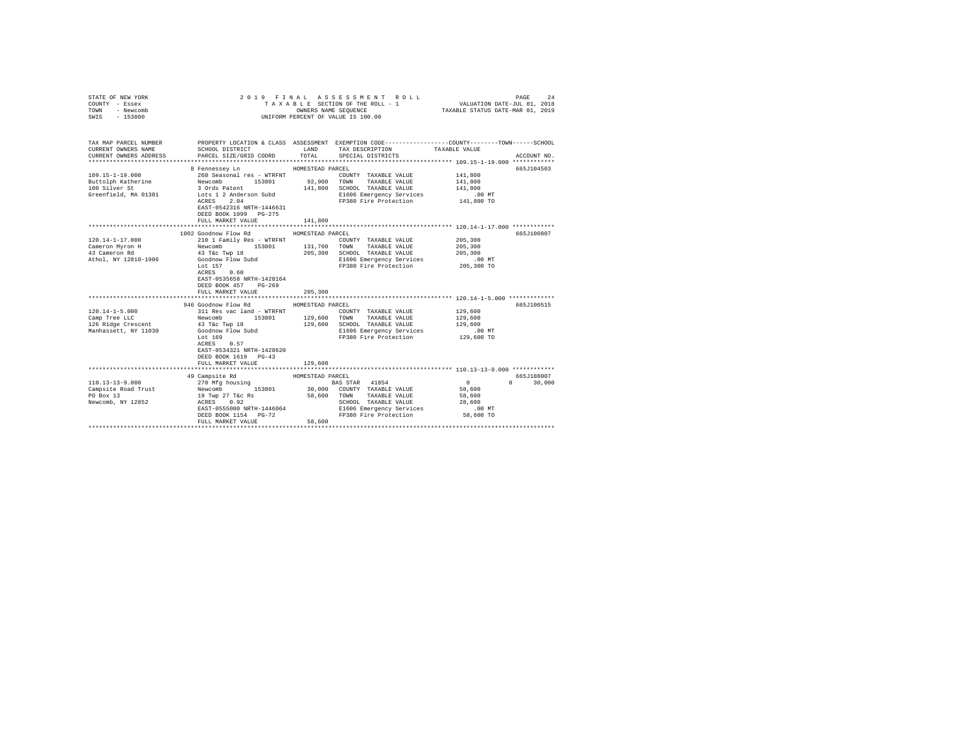| COUNTY - Essex<br>TOWN<br>- Newcomb<br>SWIS<br>$-153800$                                                   |                                                                                                                                                                                                                | TAXABLE SECTION OF THE ROLL - 1<br>OWNERS NAME SEQUENCE<br>UNIFORM PERCENT OF VALUE IS 100.00                                                                                                                                            | VALUATION DATE-JUL 01, 2018<br>TAXABLE STATUS DATE-MAR 01, 2019         |
|------------------------------------------------------------------------------------------------------------|----------------------------------------------------------------------------------------------------------------------------------------------------------------------------------------------------------------|------------------------------------------------------------------------------------------------------------------------------------------------------------------------------------------------------------------------------------------|-------------------------------------------------------------------------|
| TAX MAP PARCEL NUMBER<br>CURRENT OWNERS NAME<br>CURRENT OWNERS ADDRESS                                     | SCHOOL DISTRICT LAND<br>PARCEL SIZE/GRID COORD                                                                                                                                                                 | PROPERTY LOCATION & CLASS ASSESSMENT EXEMPTION CODE-----------------COUNTY-------TOWN-----SCHOOL<br>TAX DESCRIPTION<br>TOTAL<br>SPECIAL DISTRICTS                                                                                        | TAXABLE VALUE<br>ACCOUNT NO.                                            |
| 109.15-1-19.000<br>Buttolph Katherine Mewcomb 153801<br>100 Silver St 30rds Patent<br>Greenfield, MA 01301 | 8 Fennessev Ln<br>260 Seasonal res - WTRFNT<br>Lots 1 2 Anderson Subd<br>2.04<br>ACRES<br>EAST-0542316 NRTH-1446631<br>DEED BOOK 1099 PG-275<br>FULL MARKET VALUE                                              | HOMESTEAD PARCEL<br>COUNTY TAXABLE VALUE<br>92,900<br>TOWN<br>TAXABLE VALUE<br>141,800<br>SCHOOL TAXABLE VALUE<br>E1606 Emergency Services<br>FP380 Fire Protection<br>141,800                                                           | 665J104503<br>141,800<br>141,800<br>141,800<br>$.00$ MT<br>$141,800$ TO |
| $120.14 - 1 - 17.000$<br>Cameron Myron H<br>43 Cameron Rd<br>Athol, NY 12810-1906                          | 1002 Goodnow Flow Rd<br>210 1 Family Res - WTRFNT<br>43 T&C Twp 18<br>Goodnow Flow Subd<br>Lot 157<br>ACRES 0.60<br>EAST-0535658 NRTH-1428164<br>DEED BOOK 457 PG-269                                          | HOMESTEAD PARCEL<br>COUNTY TAXABLE VALUE<br>Newcomb 153801 131,700 TOWN TAXABLE VALUE<br>205,300<br>SCHOOL TAXABLE VALUE<br>E1606 Emergency Services .00 MT<br>FP380 Fire Protection 205,300 TO                                          | 665J100807<br>205,300<br>205,300<br>205,300                             |
| $120.14 - 1 - 5.000$<br>Camp Tree LLC<br>Camp Tree LLC<br>126 Ridge Crescent<br>Manhassett, NY 11030       | FULL MARKET VALUE<br>946 Goodnow Flow Rd<br>311 Res vac land - WTRFNT<br>Newcomb 153801<br>43 T&c Twp 18<br>Goodnow Flow Subd<br>Lot 169<br>0.57<br>ACRES<br>EAST-0534321 NRTH-1428620<br>DEED BOOK 1619 PG-43 | 205,300<br>HOMESTEAD PARCEL<br>COUNTY TAXABLE VALUE<br>129,600<br>TOWN<br>TAXABLE VALUE<br>129,600<br>SCHOOL TAXABLE VALUE<br>E1606 Emergency Services<br>FP380 Fire Protection                                                          | 665J100515<br>129,600<br>129,600<br>129,600<br>$.00$ MT<br>129,600 TO   |
| 110.13-13-9.000<br>Newcomb, NY 12852 ACRES                                                                 | FULL MARKET VALUE<br>49 Campsite Rd<br>270 Mfg housing<br>EAST-0555000 NRTH-1446064<br>DEED BOOK 1154 PG-72<br>FULL MARKET VALUE                                                                               | 129,600<br>HOMESTEAD PARCEL<br><b>BAS STAR</b> 41854<br>30,000 COUNTY TAXABLE VALUE<br>58,600 TOWN TAXABLE VALUE<br>SCHOOL TAXABLE VALUE<br>USER 100 MT<br>E1606 Emergency Services 1606 MT<br>FP380 Fire Protection 58,600 TO<br>58,600 | 665J188007<br>$\sim$ 0<br>$0 \t 30,000$<br>58,600<br>58,600<br>28,600   |

STATE OF NEW YORK 2019 FINAL ASSESSMENT ROLL PAGE 24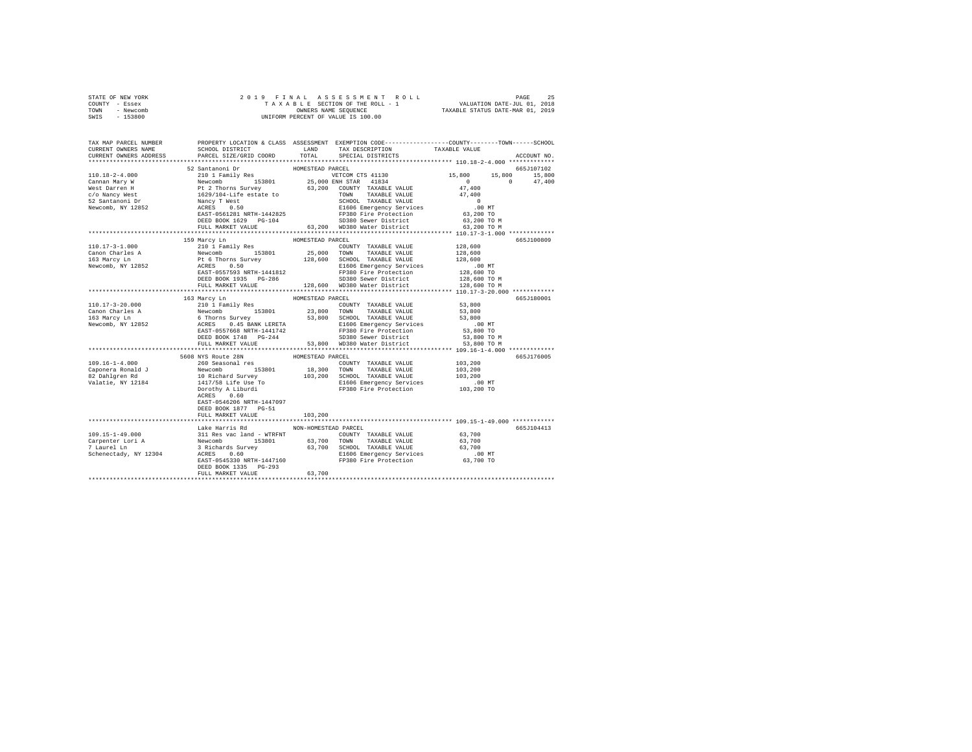|                | STATE OF NEW YORK |                      |  |  |  |  |  |  | 2019 FINAL ASSESSMENT ROLL                                     | PAGE | 25 |
|----------------|-------------------|----------------------|--|--|--|--|--|--|----------------------------------------------------------------|------|----|
| COUNTY - Essex |                   |                      |  |  |  |  |  |  | VALUATION DATE-JUL 01, 2018<br>TAXABLE SECTION OF THE ROLL - 1 |      |    |
| TOWN           | - Newcomb         | OWNERS NAME SEOUENCE |  |  |  |  |  |  | TAXABLE STATUS DATE-MAR 01, 2019                               |      |    |
| SWIS           | - 153800          |                      |  |  |  |  |  |  | UNIFORM PERCENT OF VALUE IS 100.00                             |      |    |

| TAX MAP PARCEL NUMBER<br>CURRENT OWNERS NAME             | SCHOOL DISTRICT                                                                                                                                                                                                                                                                                                                                               | LAND                 | TAX DESCRIPTION                                                                             | PROPERTY LOCATION & CLASS ASSESSMENT EXEMPTION CODE---------------COUNTY-------TOWN------SCHOOL<br>TAXABLE VALUE |             |
|----------------------------------------------------------|---------------------------------------------------------------------------------------------------------------------------------------------------------------------------------------------------------------------------------------------------------------------------------------------------------------------------------------------------------------|----------------------|---------------------------------------------------------------------------------------------|------------------------------------------------------------------------------------------------------------------|-------------|
| CURRENT OWNERS ADDRESS                                   | PARCEL SIZE/GRID COORD                                                                                                                                                                                                                                                                                                                                        |                      | TOTAL SPECIAL DISTRICTS                                                                     |                                                                                                                  | ACCOUNT NO. |
|                                                          | 52 Santanoni Dr                                                                                                                                                                                                                                                                                                                                               | HOMESTEAD PARCEL     |                                                                                             |                                                                                                                  | 665J107102  |
|                                                          |                                                                                                                                                                                                                                                                                                                                                               |                      |                                                                                             | 15,800 15,800 15,800                                                                                             |             |
|                                                          |                                                                                                                                                                                                                                                                                                                                                               |                      |                                                                                             | $\sim$ 0<br>$\sim$ 0 $\sim$                                                                                      | 47,400      |
|                                                          |                                                                                                                                                                                                                                                                                                                                                               |                      | 63,200 COUNTY TAXABLE VALUE                                                                 | 47,400                                                                                                           |             |
|                                                          |                                                                                                                                                                                                                                                                                                                                                               |                      | TOWN TAXABLE VALUE                                                                          | 47,400                                                                                                           |             |
|                                                          |                                                                                                                                                                                                                                                                                                                                                               |                      | SCHOOL TAXABLE VALUE                                                                        | $\sim$ 0                                                                                                         |             |
|                                                          |                                                                                                                                                                                                                                                                                                                                                               |                      |                                                                                             |                                                                                                                  |             |
|                                                          |                                                                                                                                                                                                                                                                                                                                                               |                      | CHOOL AAADED VALUE<br>E1606 Emergency Services 63,200 MT<br>FP380 Fire Protection 63,200 TO |                                                                                                                  |             |
|                                                          | DEED BOOK 1629 PG-104                                                                                                                                                                                                                                                                                                                                         |                      | SD380 Sewer District                                                                        | 63,200 TO M                                                                                                      |             |
|                                                          | FULL MARKET VALUE 63, 200 WD380 Water District 63, 200 TO M                                                                                                                                                                                                                                                                                                   |                      |                                                                                             |                                                                                                                  |             |
|                                                          |                                                                                                                                                                                                                                                                                                                                                               |                      |                                                                                             | **************** 110.17-3-1.000 *************                                                                    |             |
|                                                          | 159 Marcy Ln                                                                                                                                                                                                                                                                                                                                                  | HOMESTEAD PARCEL     |                                                                                             |                                                                                                                  | 665J100809  |
|                                                          |                                                                                                                                                                                                                                                                                                                                                               |                      |                                                                                             | 128,600                                                                                                          |             |
|                                                          |                                                                                                                                                                                                                                                                                                                                                               |                      |                                                                                             | 128,600                                                                                                          |             |
|                                                          |                                                                                                                                                                                                                                                                                                                                                               |                      |                                                                                             | 128,600                                                                                                          |             |
|                                                          |                                                                                                                                                                                                                                                                                                                                                               |                      |                                                                                             |                                                                                                                  |             |
|                                                          |                                                                                                                                                                                                                                                                                                                                                               |                      |                                                                                             |                                                                                                                  |             |
|                                                          |                                                                                                                                                                                                                                                                                                                                                               |                      |                                                                                             | 00 MT<br>128,600 TO<br>128,600 TO M                                                                              |             |
|                                                          | FULL MARKET VALUE                                                                                                                                                                                                                                                                                                                                             |                      | 128,600 WD380 Water District                                                                | 128,600 TO M                                                                                                     |             |
|                                                          |                                                                                                                                                                                                                                                                                                                                                               |                      |                                                                                             |                                                                                                                  |             |
|                                                          | 163 Marcy Ln                                                                                                                                                                                                                                                                                                                                                  | HOMESTEAD PARCEL     |                                                                                             |                                                                                                                  | 665J180001  |
|                                                          |                                                                                                                                                                                                                                                                                                                                                               |                      |                                                                                             |                                                                                                                  |             |
|                                                          |                                                                                                                                                                                                                                                                                                                                                               |                      |                                                                                             | 53,800<br>53,800                                                                                                 |             |
|                                                          | $\begin{tabular}{l c c c c c} \hline 110.17-3-20.000 & \multicolumn{3}{c }{\text{10.17--3-20.000}} & \multicolumn{3}{c }{\text{10.17--3-20.000}} & \multicolumn{3}{c }{\text{10.17--3-20.000}} & \multicolumn{3}{c }{\text{10.17--3-20.000}} & \multicolumn{3}{c }{\text{10.17--3-20.000}} & \multicolumn{3}{c }{\text{10.17--3-20.000}} & \multicolumn{3}{c$ |                      |                                                                                             | 53,800                                                                                                           |             |
|                                                          |                                                                                                                                                                                                                                                                                                                                                               |                      |                                                                                             | .00 MT                                                                                                           |             |
|                                                          |                                                                                                                                                                                                                                                                                                                                                               |                      |                                                                                             | 53,800 TO                                                                                                        |             |
|                                                          |                                                                                                                                                                                                                                                                                                                                                               |                      |                                                                                             |                                                                                                                  |             |
|                                                          |                                                                                                                                                                                                                                                                                                                                                               |                      |                                                                                             |                                                                                                                  |             |
|                                                          |                                                                                                                                                                                                                                                                                                                                                               |                      |                                                                                             |                                                                                                                  |             |
|                                                          | 5608 NYS Route 28N HOMESTEAD PARCEL 260 Seasonal res COUR                                                                                                                                                                                                                                                                                                     |                      |                                                                                             |                                                                                                                  | 665J176005  |
| $109.16 - 1 - 4.000$                                     |                                                                                                                                                                                                                                                                                                                                                               |                      | COUNTY TAXABLE VALUE                                                                        | 103,200                                                                                                          |             |
|                                                          |                                                                                                                                                                                                                                                                                                                                                               |                      |                                                                                             | 103,200                                                                                                          |             |
|                                                          |                                                                                                                                                                                                                                                                                                                                                               |                      | 18,300 TOWN TAXABLE VALUE<br>103,200 SCHOOL TAXABLE VALUE                                   | 103,200<br>103,200                                                                                               |             |
|                                                          |                                                                                                                                                                                                                                                                                                                                                               |                      | E1606 Emergency Services<br>FP380 Fire Protection                                           | 00 MT.<br>103,200 TO                                                                                             |             |
|                                                          | 109.10-1-4.000<br>Caponera Ronald J<br>82 Dahlgren Rd<br>82 Dahlgren Rd<br>10 Richard Survey<br>1117/58 Life Use To<br>Valatie, NY 12184<br>1120/769 Life Use To<br>1217/58 Life Use To                                                                                                                                                                       |                      |                                                                                             |                                                                                                                  |             |
|                                                          | ACRES 0.60                                                                                                                                                                                                                                                                                                                                                    |                      |                                                                                             |                                                                                                                  |             |
|                                                          | EAST-0546206 NRTH-1447097                                                                                                                                                                                                                                                                                                                                     |                      |                                                                                             |                                                                                                                  |             |
|                                                          | DEED BOOK 1877 PG-51                                                                                                                                                                                                                                                                                                                                          |                      |                                                                                             |                                                                                                                  |             |
|                                                          | FULL MARKET VALUE                                                                                                                                                                                                                                                                                                                                             | 103,200              |                                                                                             |                                                                                                                  |             |
|                                                          |                                                                                                                                                                                                                                                                                                                                                               |                      |                                                                                             |                                                                                                                  |             |
|                                                          | Lake Harris Rd                                                                                                                                                                                                                                                                                                                                                | NON-HOMESTEAD PARCEL |                                                                                             |                                                                                                                  | 665J104413  |
| 109.15-1-49.000                                          |                                                                                                                                                                                                                                                                                                                                                               |                      |                                                                                             |                                                                                                                  |             |
|                                                          |                                                                                                                                                                                                                                                                                                                                                               |                      |                                                                                             |                                                                                                                  |             |
| Carpenter Lori A<br>7 Laurel Ln<br>Schenectady, NY 12304 |                                                                                                                                                                                                                                                                                                                                                               |                      |                                                                                             |                                                                                                                  |             |
|                                                          |                                                                                                                                                                                                                                                                                                                                                               |                      |                                                                                             |                                                                                                                  |             |
|                                                          | 4 and a method of the control control of the control of the control of the control of the control of the control of the control of the control of the control of the control of the control of the control of the control of t                                                                                                                                |                      |                                                                                             |                                                                                                                  |             |
|                                                          | DEED BOOK 1335 PG-293                                                                                                                                                                                                                                                                                                                                         |                      |                                                                                             |                                                                                                                  |             |
|                                                          | FULL MARKET VALUE                                                                                                                                                                                                                                                                                                                                             | 63,700               |                                                                                             |                                                                                                                  |             |
|                                                          |                                                                                                                                                                                                                                                                                                                                                               |                      |                                                                                             |                                                                                                                  |             |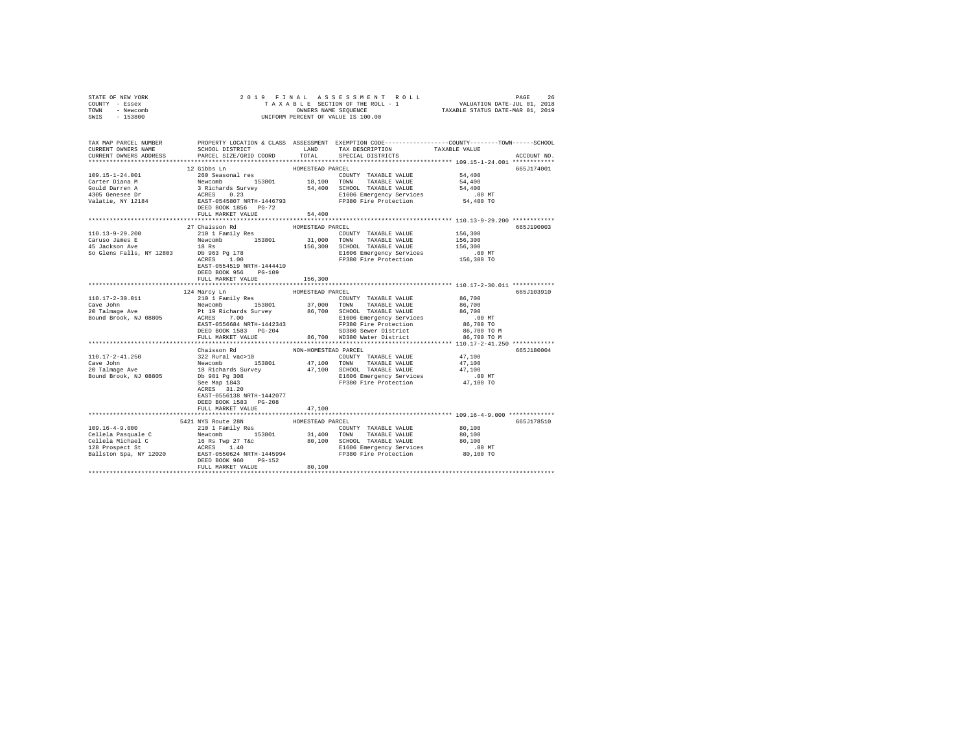| STATE OF NEW YORK<br>COUNTY - Essex<br>TOWN - Newcomb<br>SWIS - 153800                                        |                                                                                                                                                                                                                                                                                                                                                                                                 |                             |                      |                                                                                                                                                                       |
|---------------------------------------------------------------------------------------------------------------|-------------------------------------------------------------------------------------------------------------------------------------------------------------------------------------------------------------------------------------------------------------------------------------------------------------------------------------------------------------------------------------------------|-----------------------------|----------------------|-----------------------------------------------------------------------------------------------------------------------------------------------------------------------|
| CURRENT OWNERS NAME<br>CURRENT OWNERS ADDRESS                                                                 | SCHOOL DISTRICT TAND TAX DESCRIPTION<br>PARCEL SIZE/GRID COORD                                                                                                                                                                                                                                                                                                                                  | TOTAL                       | SPECIAL DISTRICTS    | TAX MAR PARCEL MUMBER PROPERTY LOCATION & CLASS ASSESSMENT EXEMPTION CODE-----------------OUNTY---------------<br>CURPENT ORNERS NAME<br>TAXABLE VALUE<br>ACCOUNT NO. |
| 109.15-1-24.001<br>Corter Diana M<br>Carter Diana M<br>Gould Darren A<br>4305 Genesee Dr<br>Valatie, NY 12184 | 12 Gibbs Ln<br>260 Seasonal res<br>260 Seasonal res<br>Newton 153801 18,100 TOWNT TAXABLE VALUE 54,400<br>37 Richards Survey 54,400 SCHOOL TAXABLE VALUE 54,400<br>37 Richards Survey 54,400 SCHOOL TAXABLE VALUE 54,400<br>ACRES 0.23<br>EXET D545807 NR<br>FULL MARKET VALUE                                                                                                                  | HOMESTEAD PARCEL<br>54,400  |                      | 665J174001                                                                                                                                                            |
| 110.13-9-29.200                                                                                               | 27 Chaisson Rd<br>210 1 Family Res<br>EAST-0554519 NRTH-1444410<br>DEED BOOK 956 PG-109<br>FULL MARKET VALUE                                                                                                                                                                                                                                                                                    | HOMESTEAD PARCEL<br>156,300 | COUNTY TAXABLE VALUE | 665J190003<br>156,300<br>156,300                                                                                                                                      |
|                                                                                                               |                                                                                                                                                                                                                                                                                                                                                                                                 |                             |                      |                                                                                                                                                                       |
|                                                                                                               | $\begin{tabular}{l c c c c c c c} \multicolumn{1}{c c c c} \multicolumn{1}{c c c} \multicolumn{1}{c c c} \multicolumn{1}{c c c} \multicolumn{1}{c c c} \multicolumn{1}{c c c} \multicolumn{1}{c c c} \multicolumn{1}{c c c} \multicolumn{1}{c c c} \multicolumn{1}{c c c} \multicolumn{1}{c c c} \multicolumn{1}{c c c} \multicolumn{1}{c c c} \multicolumn{1}{c c c} \multicolumn{1}{c c c} \$ |                             |                      | 665J103910<br>.00 MT<br>86,700 TO<br>86,700 TO M<br>86,700 TO M                                                                                                       |
|                                                                                                               | Chaisson Rd                                                                                                                                                                                                                                                                                                                                                                                     |                             |                      |                                                                                                                                                                       |
|                                                                                                               | EAST-0556138 NRTH-1442077<br>DEED BOOK 1583 PG-208                                                                                                                                                                                                                                                                                                                                              |                             |                      | 665J180004                                                                                                                                                            |
|                                                                                                               | FULL MARKET VALUE                                                                                                                                                                                                                                                                                                                                                                               | 47.100                      |                      |                                                                                                                                                                       |
|                                                                                                               | 5421 NYS Route 28N<br>DEED BOOK 960 PG-152                                                                                                                                                                                                                                                                                                                                                      | HOMESTEAD PARCEL            |                      | 665J178510                                                                                                                                                            |
|                                                                                                               | FULL MARKET VALUE                                                                                                                                                                                                                                                                                                                                                                               | 80,100                      |                      |                                                                                                                                                                       |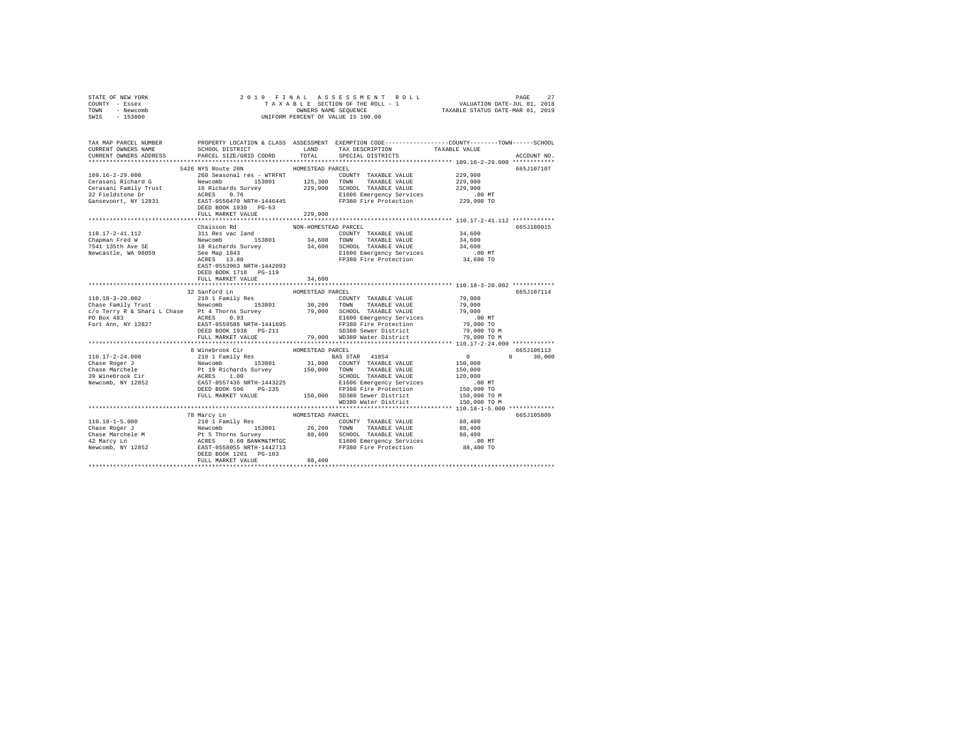| STATE OF NEW YORK                                                                                                                                                                                                                                                                                                                                          |                                   |                      |                                                                                                                                                                                                                                                                                                                                                                     |                                                                                |             |
|------------------------------------------------------------------------------------------------------------------------------------------------------------------------------------------------------------------------------------------------------------------------------------------------------------------------------------------------------------|-----------------------------------|----------------------|---------------------------------------------------------------------------------------------------------------------------------------------------------------------------------------------------------------------------------------------------------------------------------------------------------------------------------------------------------------------|--------------------------------------------------------------------------------|-------------|
| COUNTY - Essex                                                                                                                                                                                                                                                                                                                                             |                                   |                      |                                                                                                                                                                                                                                                                                                                                                                     |                                                                                |             |
| TOWN - Newcomb                                                                                                                                                                                                                                                                                                                                             |                                   |                      | OWNERS NAME SEQUENCE<br>UNIFORM PERCENT OF VALUE IS 100.00                                                                                                                                                                                                                                                                                                          |                                                                                |             |
| SWIS - 153800                                                                                                                                                                                                                                                                                                                                              |                                   |                      |                                                                                                                                                                                                                                                                                                                                                                     |                                                                                |             |
|                                                                                                                                                                                                                                                                                                                                                            |                                   |                      |                                                                                                                                                                                                                                                                                                                                                                     |                                                                                |             |
|                                                                                                                                                                                                                                                                                                                                                            |                                   |                      |                                                                                                                                                                                                                                                                                                                                                                     |                                                                                |             |
| TAX MAP PARCEL NUMBER PROPERTY LOCATION & CLASS ASSESSMENT EXEMPTION CODE--------------COUNTY-------TOWN-----SCHOOL                                                                                                                                                                                                                                        |                                   |                      |                                                                                                                                                                                                                                                                                                                                                                     |                                                                                |             |
| CURRENT OWNERS NAME                                                                                                                                                                                                                                                                                                                                        |                                   |                      | SCHOOL DISTRICT                       LAND        TAX DESCRIPTION                  TAXABLE VALUE                                                                                                                                                                                                                                                                    |                                                                                |             |
| CURRENT OWNERS ADDRESS                                                                                                                                                                                                                                                                                                                                     | PARCEL SIZE/GRID COORD            | TOTAL                | SPECIAL DISTRICTS                                                                                                                                                                                                                                                                                                                                                   |                                                                                | ACCOUNT NO. |
|                                                                                                                                                                                                                                                                                                                                                            |                                   |                      |                                                                                                                                                                                                                                                                                                                                                                     |                                                                                |             |
|                                                                                                                                                                                                                                                                                                                                                            | 5426 NYS Route 28N                | HOMESTEAD PARCEL     |                                                                                                                                                                                                                                                                                                                                                                     |                                                                                | 665J107107  |
| $109.16 - 2 - 29.000$                                                                                                                                                                                                                                                                                                                                      | 260 Seasonal res - WTRFNT         |                      | COUNTY TAXABLE VALUE                                                                                                                                                                                                                                                                                                                                                | 229,900                                                                        |             |
| 109.10-2-29.000<br>Cerasani Rainly Trust a Newcomb 153801 125,300 TOWN TAXABLE VALUE 229,900<br>Cerasani Rainly Trust 16. Nichards Survey 229,900 CHONABLE VALUE 229,900<br>229,900 TOWN TAXABLE VALUE 229,900<br>229,900 TOWN TAXABLE                                                                                                                     |                                   |                      |                                                                                                                                                                                                                                                                                                                                                                     |                                                                                |             |
|                                                                                                                                                                                                                                                                                                                                                            |                                   |                      |                                                                                                                                                                                                                                                                                                                                                                     |                                                                                |             |
|                                                                                                                                                                                                                                                                                                                                                            |                                   |                      |                                                                                                                                                                                                                                                                                                                                                                     |                                                                                |             |
|                                                                                                                                                                                                                                                                                                                                                            |                                   |                      |                                                                                                                                                                                                                                                                                                                                                                     |                                                                                |             |
|                                                                                                                                                                                                                                                                                                                                                            |                                   |                      |                                                                                                                                                                                                                                                                                                                                                                     |                                                                                |             |
|                                                                                                                                                                                                                                                                                                                                                            | FULL MARKET VALUE                 | 229,900              |                                                                                                                                                                                                                                                                                                                                                                     |                                                                                |             |
|                                                                                                                                                                                                                                                                                                                                                            |                                   |                      |                                                                                                                                                                                                                                                                                                                                                                     |                                                                                |             |
|                                                                                                                                                                                                                                                                                                                                                            | Chaisson Rd                       | NON-HOMESTEAD PARCEL |                                                                                                                                                                                                                                                                                                                                                                     |                                                                                | 665J180015  |
| 110.17-2-41.112                                                                                                                                                                                                                                                                                                                                            |                                   |                      | COUNTY TAXABLE VALUE 34,600                                                                                                                                                                                                                                                                                                                                         |                                                                                |             |
| Chapman Fred W                                                                                                                                                                                                                                                                                                                                             |                                   |                      |                                                                                                                                                                                                                                                                                                                                                                     | 34,600                                                                         |             |
| 7541 135th Ave SE<br>Newcastle, WA 98059                                                                                                                                                                                                                                                                                                                   |                                   |                      |                                                                                                                                                                                                                                                                                                                                                                     | 34,600                                                                         |             |
|                                                                                                                                                                                                                                                                                                                                                            |                                   |                      |                                                                                                                                                                                                                                                                                                                                                                     |                                                                                |             |
|                                                                                                                                                                                                                                                                                                                                                            |                                   |                      | FP380 Fire Protection                                                                                                                                                                                                                                                                                                                                               | 00 MT.<br>34,600 TO                                                            |             |
|                                                                                                                                                                                                                                                                                                                                                            | EAST-0553963 NRTH-1442093         |                      |                                                                                                                                                                                                                                                                                                                                                                     |                                                                                |             |
|                                                                                                                                                                                                                                                                                                                                                            | DEED BOOK 1718 PG-119             |                      |                                                                                                                                                                                                                                                                                                                                                                     |                                                                                |             |
|                                                                                                                                                                                                                                                                                                                                                            | FULL MARKET VALUE                 | 34,600               |                                                                                                                                                                                                                                                                                                                                                                     |                                                                                |             |
|                                                                                                                                                                                                                                                                                                                                                            |                                   |                      |                                                                                                                                                                                                                                                                                                                                                                     |                                                                                |             |
|                                                                                                                                                                                                                                                                                                                                                            |                                   | HOMESTEAD PARCEL     |                                                                                                                                                                                                                                                                                                                                                                     |                                                                                | 665J107114  |
| 110.18-3-20.002                                                                                                                                                                                                                                                                                                                                            | 32 Sanford Ln<br>210 1 Family Res |                      | $\begin{tabular}{llllll} \textbf{COUNTY} & \textbf{TAXABLE} & \textbf{VALUE} & \textbf{~~79 \,,000} \\ \end{tabular}$                                                                                                                                                                                                                                               |                                                                                |             |
|                                                                                                                                                                                                                                                                                                                                                            |                                   |                      |                                                                                                                                                                                                                                                                                                                                                                     |                                                                                |             |
|                                                                                                                                                                                                                                                                                                                                                            |                                   |                      |                                                                                                                                                                                                                                                                                                                                                                     |                                                                                |             |
|                                                                                                                                                                                                                                                                                                                                                            |                                   |                      |                                                                                                                                                                                                                                                                                                                                                                     |                                                                                |             |
|                                                                                                                                                                                                                                                                                                                                                            |                                   |                      |                                                                                                                                                                                                                                                                                                                                                                     |                                                                                |             |
|                                                                                                                                                                                                                                                                                                                                                            | DEED BOOK 1938 PG-211             |                      | SD380 Sewer District                                                                                                                                                                                                                                                                                                                                                | 79,000 TO M                                                                    |             |
|                                                                                                                                                                                                                                                                                                                                                            |                                   |                      | FULL MARKET VALUE 79,000 WD380 Water District 79,000 TO M                                                                                                                                                                                                                                                                                                           |                                                                                |             |
|                                                                                                                                                                                                                                                                                                                                                            |                                   |                      |                                                                                                                                                                                                                                                                                                                                                                     |                                                                                |             |
|                                                                                                                                                                                                                                                                                                                                                            | 8 Winebrook Cir                   | HOMESTEAD PARCEL     |                                                                                                                                                                                                                                                                                                                                                                     |                                                                                | 665J106113  |
| $\begin{tabular}{l c c c c} \hline 110.17-2-24.000 & 8 inempty Citer & HOMESTERD PARECEL & 110.17-2-24.000 \\ \hline \end{tabular} \begin{tabular}{l c c c c} \hline 8 inempty Refs & 110138011 & 88081878 & 100853788 & 41854 \\ \hline \end{tabular} \begin{tabular}{l c c c} \hline 110.17-2-24.000 & 8 inempty Refs & 11018 & 138011 & 31,000 & COMNT$ |                                   |                      |                                                                                                                                                                                                                                                                                                                                                                     | $\sim$ 0<br>$\begin{smallmatrix}&&0\\&&150\,,000\end{smallmatrix}$<br>$\Omega$ | 30,000      |
|                                                                                                                                                                                                                                                                                                                                                            |                                   |                      |                                                                                                                                                                                                                                                                                                                                                                     |                                                                                |             |
|                                                                                                                                                                                                                                                                                                                                                            |                                   |                      |                                                                                                                                                                                                                                                                                                                                                                     | 150,000                                                                        |             |
|                                                                                                                                                                                                                                                                                                                                                            |                                   |                      |                                                                                                                                                                                                                                                                                                                                                                     | 120,000                                                                        |             |
|                                                                                                                                                                                                                                                                                                                                                            |                                   |                      |                                                                                                                                                                                                                                                                                                                                                                     | .00 MT                                                                         |             |
|                                                                                                                                                                                                                                                                                                                                                            |                                   |                      |                                                                                                                                                                                                                                                                                                                                                                     | 150,000 TO                                                                     |             |
|                                                                                                                                                                                                                                                                                                                                                            |                                   |                      |                                                                                                                                                                                                                                                                                                                                                                     | 150,000 TO M                                                                   |             |
|                                                                                                                                                                                                                                                                                                                                                            |                                   |                      | WD380 Water District                                                                                                                                                                                                                                                                                                                                                | 150,000 TO M                                                                   |             |
|                                                                                                                                                                                                                                                                                                                                                            |                                   |                      |                                                                                                                                                                                                                                                                                                                                                                     |                                                                                |             |
|                                                                                                                                                                                                                                                                                                                                                            |                                   |                      |                                                                                                                                                                                                                                                                                                                                                                     |                                                                                | 665J105809  |
|                                                                                                                                                                                                                                                                                                                                                            |                                   |                      |                                                                                                                                                                                                                                                                                                                                                                     |                                                                                |             |
|                                                                                                                                                                                                                                                                                                                                                            |                                   |                      |                                                                                                                                                                                                                                                                                                                                                                     |                                                                                |             |
|                                                                                                                                                                                                                                                                                                                                                            |                                   |                      |                                                                                                                                                                                                                                                                                                                                                                     |                                                                                |             |
|                                                                                                                                                                                                                                                                                                                                                            |                                   |                      |                                                                                                                                                                                                                                                                                                                                                                     |                                                                                |             |
|                                                                                                                                                                                                                                                                                                                                                            |                                   |                      |                                                                                                                                                                                                                                                                                                                                                                     |                                                                                |             |
|                                                                                                                                                                                                                                                                                                                                                            |                                   |                      |                                                                                                                                                                                                                                                                                                                                                                     |                                                                                |             |
|                                                                                                                                                                                                                                                                                                                                                            |                                   |                      |                                                                                                                                                                                                                                                                                                                                                                     |                                                                                |             |
|                                                                                                                                                                                                                                                                                                                                                            | FULL MARKET VALUE                 | 88,400               | $\begin{tabular}{l c c c c c} \hline 110.18-1-5.000 & $\cdot$ energy in & \hline & \hline & \hline & \hline & \hline & 210.18-1-5.000 & $\cdot$ energy in \\ \hline & 210.18-1-5.000 & 1.53801 & $26,200$ & TONN & TAKABLE VALUE & 88,400 \\ \hline & 88.400 & 1.53801 & 26,200$ & TONN & TAKABLE VALUE & 88,400 \\ \hline & 42~Marcy Ln & 26,200$ & 88,400$ & SCH$ |                                                                                |             |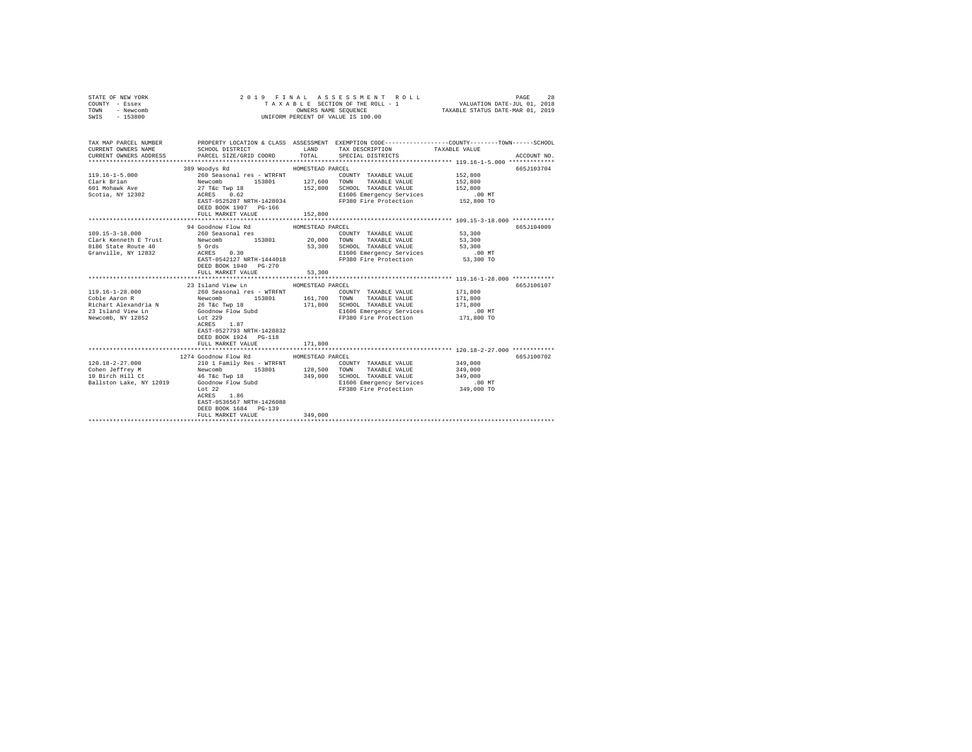| COUNTY - Essex<br>TOWN<br>- Newcomb<br>SWIS<br>$-153800$                                                 |                                                                                                                                                                                                                                           | OWNERS NAME SEQUENCE                                   | TAXABLE SECTION OF THE ROLL - 1<br>UNIFORM PERCENT OF VALUE IS 100.00                                                         | VALUATION DATE-JUL 01, 2018<br>TAXABLE STATUS DATE-MAR 01, 2019 |             |
|----------------------------------------------------------------------------------------------------------|-------------------------------------------------------------------------------------------------------------------------------------------------------------------------------------------------------------------------------------------|--------------------------------------------------------|-------------------------------------------------------------------------------------------------------------------------------|-----------------------------------------------------------------|-------------|
| TAX MAP PARCEL NUMBER<br>CURRENT OWNERS NAME<br>CURRENT OWNERS ADDRESS                                   | PROPERTY LOCATION & CLASS ASSESSMENT EXEMPTION CODE-----------------COUNTY-------TOWN------SCHOOL<br>SCHOOL DISTRICT<br>PARCEL SIZE/GRID COORD                                                                                            | LAND<br>TOTAL                                          | TAX DESCRIPTION<br>SPECIAL DISTRICTS                                                                                          | TAXABLE VALUE                                                   | ACCOUNT NO. |
| $119.16 - 1 - 5.000$<br>Clark Brian<br>601 Mohawk Ave<br>Scotia, NY 12302                                | 389 Woodys Rd<br>260 Seasonal res - WTRFNT<br>Newcomb<br>153801<br>27 T&C Twp 18<br>ACRES 0.62<br>EAST-0525287 NRTH-1428034<br>DEED BOOK 1907 PG-166<br>FULL MARKET VALUE                                                                 | HOMESTEAD PARCEL<br>127,600 TOWN<br>152,800<br>152,800 | COUNTY TAXABLE VALUE<br>TAXABLE VALUE<br>SCHOOL TAXABLE VALUE<br>E1606 Emergency Services<br>FP380 Fire Protection 152,800 TO | 152,800<br>152,800<br>152,800<br>$.00$ MT                       | 665J103704  |
|                                                                                                          |                                                                                                                                                                                                                                           |                                                        |                                                                                                                               |                                                                 |             |
| 109.15-3-18.000<br>Clark Kenneth E Trust<br>8186 State Route 40<br>Granville, NY 12832                   | 94 Goodnow Flow Rd<br>260 Seasonal res<br>Newcomb 153801 20,000 TOWN<br>5 Ords 53,300 SCHOOL<br>$ACRES$ 0.30<br>EAST-0542127 NRTH-1444018<br>DEED BOOK 1940 PG-270<br>FULL MARKET VALUE                                                   | HOMESTEAD PARCEL<br>53,300                             | COUNTY TAXABLE VALUE 53,300<br>TAXABLE VALUE<br>SCHOOL TAXABLE VALUE<br>E1606 Emergency Services<br>FP380 Fire Protection     | 53,300<br>53,300<br>$.00$ MT<br>53,300 TO                       | 665J104009  |
| $119.16 - 1 - 28.000$<br>Coble Aaron R<br>Richart Alexandria N<br>23 Island View Ln<br>Newcomb, NY 12852 | 23 Island View Ln<br>260 Seasonal res - WTRFNT<br>Newcomb 153801 161.700<br>153801 161,700 TOWN<br>26 T&c Twp 18<br>Goodnow Flow Subd<br>Lot 229<br>ACRES 1.87<br>EAST-0527793 NRTH-1428832<br>DEED BOOK 1924 PG-118<br>FULL MARKET VALUE | HOMESTEAD PARCEL<br>171,800<br>171,800                 | COUNTY TAXABLE VALUE<br>TAXABLE VALUE<br>SCHOOL TAXABLE VALUE<br>E1606 Emergency Services<br>FP380 Fire Protection            | 171,800<br>171,800<br>171,800<br>$.00$ MT<br>171,800 TO         | 665J106107  |
|                                                                                                          |                                                                                                                                                                                                                                           |                                                        |                                                                                                                               |                                                                 |             |
| $120.18 - 2 - 27.000$<br>Cohen Jeffrey M<br>10 Birch Hill Ct<br>Ballston Lake, NY 12019                  | 1274 Goodnow Flow Rd<br>210 1 Family Res - WTRFNT<br>Newcomb<br>46 T&c Twp 18<br>153801<br>Goodnow Flow Subd<br>Lot 22<br>1.86<br>ACRES<br>EAST-0536567 NRTH-1426088<br>DEED BOOK 1684 PG-139<br>FULL MARKET VALUE                        | HOMESTEAD PARCEL<br>128,500<br>349,000<br>349,000      | COUNTY TAXABLE VALUE<br>TOWN<br>TAXABLE VALUE<br>SCHOOL TAXABLE VALUE<br>E1606 Emergency Services<br>FP380 Fire Protection    | 349,000<br>349,000<br>349,000<br>$.00$ MT<br>349,000 TO         | 665J100702  |
|                                                                                                          |                                                                                                                                                                                                                                           |                                                        |                                                                                                                               |                                                                 |             |

STATE OF NEW YORK 28 20 19 FINAL ASSESSMENT ROLL CHARGE 28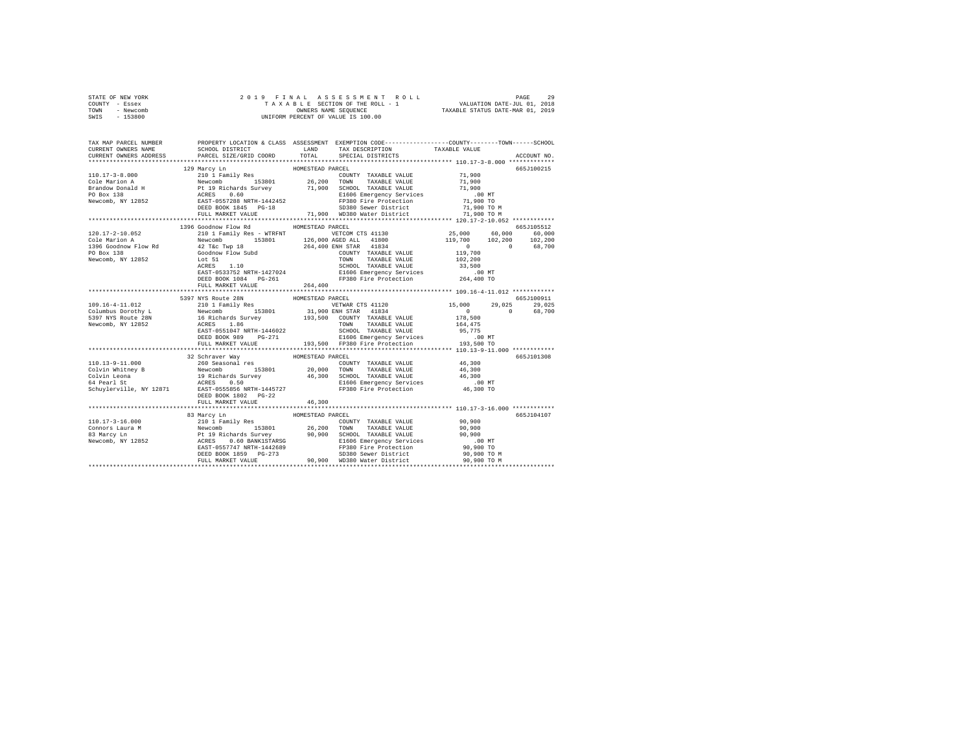| STATE OF NEW YORK |           |                      |  |  |  |  |  |  | 2019 FINAL ASSESSMENT ROLL         |                                  | PAGE                        | 29 |
|-------------------|-----------|----------------------|--|--|--|--|--|--|------------------------------------|----------------------------------|-----------------------------|----|
| COUNTY - Essex    |           |                      |  |  |  |  |  |  | TAXABLE SECTION OF THE ROLL - 1    |                                  | VALUATION DATE-JUL 01, 2018 |    |
| TOWN              | - Newcomb | OWNERS NAME SEOUENCE |  |  |  |  |  |  |                                    | TAXABLE STATUS DATE-MAR 01, 2019 |                             |    |
| SWIS              | - 153800  |                      |  |  |  |  |  |  | UNIFORM PERCENT OF VALUE IS 100.00 |                                  |                             |    |

| TAX MAP PARCEL NUMBER<br>CURRENT OWNERS NAME                                                                                                                                                                                                                                                                                                              | SCHOOL DISTRICT LAND      |                  | PROPERTY LOCATION & CLASS ASSESSMENT EXEMPTION CODE----------------COUNTY-------TOWN------SCHOOL<br>TAX DESCRIPTION | TAXABLE VALUE                                                     |               |
|-----------------------------------------------------------------------------------------------------------------------------------------------------------------------------------------------------------------------------------------------------------------------------------------------------------------------------------------------------------|---------------------------|------------------|---------------------------------------------------------------------------------------------------------------------|-------------------------------------------------------------------|---------------|
| CURRENT OWNERS ADDRESS                                                                                                                                                                                                                                                                                                                                    | PARCEL SIZE/GRID COORD    | TOTAL            | SPECIAL DISTRICTS                                                                                                   |                                                                   | ACCOUNT NO.   |
|                                                                                                                                                                                                                                                                                                                                                           | 129 Marcy Ln              | HOMESTEAD PARCEL |                                                                                                                     |                                                                   | 665.7100215   |
|                                                                                                                                                                                                                                                                                                                                                           |                           |                  |                                                                                                                     |                                                                   |               |
|                                                                                                                                                                                                                                                                                                                                                           |                           |                  |                                                                                                                     |                                                                   |               |
|                                                                                                                                                                                                                                                                                                                                                           |                           |                  |                                                                                                                     |                                                                   |               |
|                                                                                                                                                                                                                                                                                                                                                           |                           |                  |                                                                                                                     |                                                                   |               |
|                                                                                                                                                                                                                                                                                                                                                           |                           |                  |                                                                                                                     |                                                                   |               |
|                                                                                                                                                                                                                                                                                                                                                           |                           |                  |                                                                                                                     |                                                                   |               |
|                                                                                                                                                                                                                                                                                                                                                           |                           |                  |                                                                                                                     |                                                                   |               |
|                                                                                                                                                                                                                                                                                                                                                           |                           |                  |                                                                                                                     |                                                                   | 665J105512    |
|                                                                                                                                                                                                                                                                                                                                                           | 1396 Goodnow Flow Rd      | HOMESTEAD PARCEL |                                                                                                                     | 25,000 60,000 60,000                                              |               |
|                                                                                                                                                                                                                                                                                                                                                           |                           |                  |                                                                                                                     |                                                                   |               |
|                                                                                                                                                                                                                                                                                                                                                           |                           |                  |                                                                                                                     |                                                                   |               |
| $120.17-2-10.052$ $20.17-2-10.052$ $20.022$ $20.026000 \text{V} \text{ Row} \text{ and } 20.0000 \text{ V} \text{ and } 20.0000 \text{ V} \text{ and } 20.0000 \text{ V} \text{ and } 20.0000 \text{ V} \text{ and } 20.0000 \text{ V} \text{ and } 20.0000 \text{ V} \text{ and } 20.0000 \text{ V} \text{ and } 20.0000 \text{ V} \text{ and } 20.0000$ |                           |                  |                                                                                                                     | $119,700$ $102,200$ $102,200$<br>$19,700$ 0 $68,700$<br>$102,200$ |               |
|                                                                                                                                                                                                                                                                                                                                                           |                           |                  |                                                                                                                     |                                                                   |               |
|                                                                                                                                                                                                                                                                                                                                                           |                           |                  |                                                                                                                     |                                                                   |               |
|                                                                                                                                                                                                                                                                                                                                                           |                           |                  |                                                                                                                     |                                                                   |               |
|                                                                                                                                                                                                                                                                                                                                                           | DEED BOOK 1084 PG-261     |                  |                                                                                                                     |                                                                   |               |
|                                                                                                                                                                                                                                                                                                                                                           | FULL MARKET VALUE 264,400 |                  |                                                                                                                     |                                                                   |               |
|                                                                                                                                                                                                                                                                                                                                                           |                           |                  |                                                                                                                     |                                                                   |               |
|                                                                                                                                                                                                                                                                                                                                                           | 5397 NYS Route 28N        | HOMESTEAD PARCEL |                                                                                                                     |                                                                   | 665J100911    |
|                                                                                                                                                                                                                                                                                                                                                           |                           |                  |                                                                                                                     |                                                                   | 29,025 29,025 |
|                                                                                                                                                                                                                                                                                                                                                           |                           |                  |                                                                                                                     |                                                                   | 0 68,700      |
|                                                                                                                                                                                                                                                                                                                                                           |                           |                  |                                                                                                                     |                                                                   |               |
|                                                                                                                                                                                                                                                                                                                                                           |                           |                  |                                                                                                                     |                                                                   |               |
|                                                                                                                                                                                                                                                                                                                                                           |                           |                  |                                                                                                                     |                                                                   |               |
|                                                                                                                                                                                                                                                                                                                                                           |                           |                  |                                                                                                                     |                                                                   |               |
|                                                                                                                                                                                                                                                                                                                                                           |                           |                  |                                                                                                                     |                                                                   |               |
|                                                                                                                                                                                                                                                                                                                                                           | 32 Schraver Way           | HOMESTEAD PARCEL |                                                                                                                     |                                                                   | 665J101308    |
|                                                                                                                                                                                                                                                                                                                                                           |                           |                  |                                                                                                                     |                                                                   |               |
|                                                                                                                                                                                                                                                                                                                                                           |                           |                  |                                                                                                                     |                                                                   |               |
|                                                                                                                                                                                                                                                                                                                                                           |                           |                  |                                                                                                                     |                                                                   |               |
|                                                                                                                                                                                                                                                                                                                                                           |                           |                  | E1606 Emergency Services .00 MT<br>FP380 Fire Protection 46,300 TO                                                  |                                                                   |               |
|                                                                                                                                                                                                                                                                                                                                                           |                           |                  |                                                                                                                     |                                                                   |               |
|                                                                                                                                                                                                                                                                                                                                                           | DEED BOOK 1802 PG-22      |                  |                                                                                                                     |                                                                   |               |
|                                                                                                                                                                                                                                                                                                                                                           | FULL MARKET VALUE         | 46,300           |                                                                                                                     |                                                                   |               |
|                                                                                                                                                                                                                                                                                                                                                           |                           |                  |                                                                                                                     |                                                                   |               |
|                                                                                                                                                                                                                                                                                                                                                           |                           |                  |                                                                                                                     |                                                                   | 665J104107    |
|                                                                                                                                                                                                                                                                                                                                                           |                           |                  |                                                                                                                     |                                                                   |               |
|                                                                                                                                                                                                                                                                                                                                                           |                           |                  |                                                                                                                     |                                                                   |               |
|                                                                                                                                                                                                                                                                                                                                                           |                           |                  |                                                                                                                     |                                                                   |               |
|                                                                                                                                                                                                                                                                                                                                                           |                           |                  |                                                                                                                     |                                                                   |               |
|                                                                                                                                                                                                                                                                                                                                                           |                           |                  |                                                                                                                     |                                                                   |               |
|                                                                                                                                                                                                                                                                                                                                                           |                           |                  |                                                                                                                     |                                                                   |               |
|                                                                                                                                                                                                                                                                                                                                                           |                           |                  |                                                                                                                     |                                                                   |               |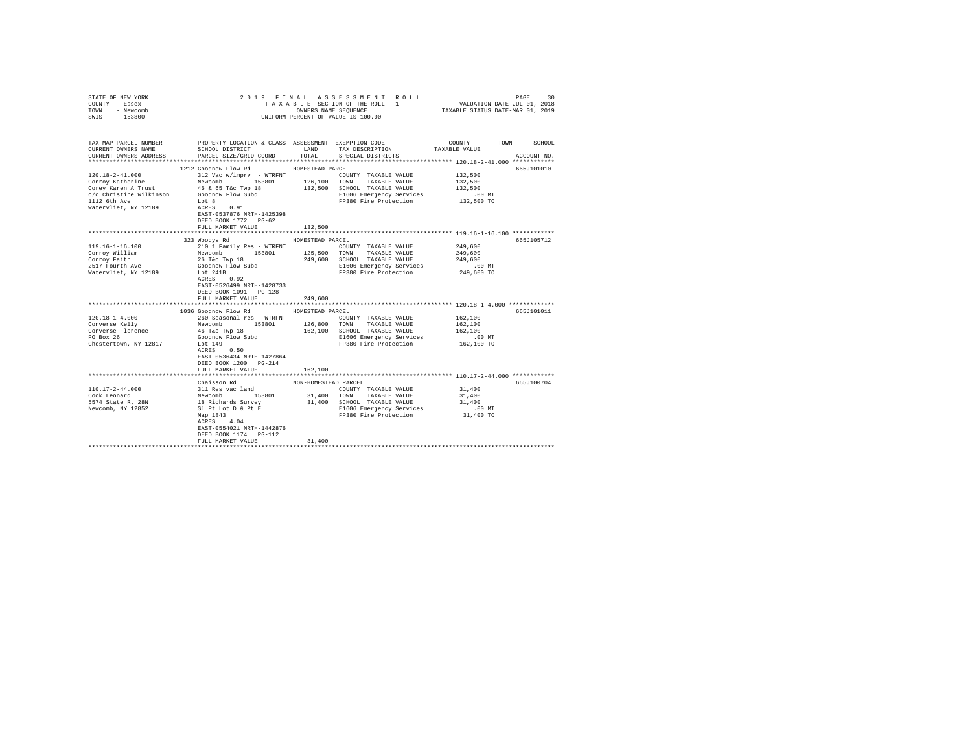| STATE OF NEW YORK<br>COUNTY - Essex<br>TOWN - Newcomb<br>SWIS - 153800                                                                                                                                  | 2019 FINAL ASSESSMENT ROLL<br>PAGE<br>UNIFORM PERCENT OF VALUE IS 100.00                                                                                                                                                                                                                                                                                            |                                                 |                                                                                                                                                                                                                                                                                    |                                                                                                                |                          |  |
|---------------------------------------------------------------------------------------------------------------------------------------------------------------------------------------------------------|---------------------------------------------------------------------------------------------------------------------------------------------------------------------------------------------------------------------------------------------------------------------------------------------------------------------------------------------------------------------|-------------------------------------------------|------------------------------------------------------------------------------------------------------------------------------------------------------------------------------------------------------------------------------------------------------------------------------------|----------------------------------------------------------------------------------------------------------------|--------------------------|--|
| TAX MAP PARCEL NUMBER PROPERTY LOCATION & CLASS ASSESSMENT EXEMPTION CODE--------------COUNTY-------TOWN------SCHOOL<br>CURRENT OWNERS NAME<br>CURRENT OWNERS ADDRESS                                   | SCHOOL DISTRICT<br>PARCEL SIZE/GRID COORD                                                                                                                                                                                                                                                                                                                           | TOTAL                                           | LAND TAX DESCRIPTION<br>SPECIAL DISTRICTS                                                                                                                                                                                                                                          | TAXABLE VALUE                                                                                                  | ACCOUNT NO.              |  |
|                                                                                                                                                                                                         |                                                                                                                                                                                                                                                                                                                                                                     |                                                 |                                                                                                                                                                                                                                                                                    |                                                                                                                |                          |  |
| $120.18 - 2 - 41.000$<br>Conroy Katherine<br>Corey Karen A Trust<br>c/o Christine Wilkinson<br>1112 6th Ave<br>Watervliet, NY 12189                                                                     | 1212 Goodnow Flow Rd<br>312 Vac w/imprv - WTRFNT<br>Newcomb 153801 126,100 TOWN TAXABLE VALUE<br>46 & 65 T&c Twp 18<br>Goodnow Flow Subd<br>Lot 8<br>ACRES 0.91<br>EAST-0537876 NRTH-1425398                                                                                                                                                                        | HOMESTEAD PARCEL                                | COUNTY TAXABLE VALUE<br>132,500 SCHOOL TAXABLE VALUE<br>E1606 Emergency Services<br>FP380 Fire Protection                                                                                                                                                                          | 132,500<br>132,500<br>132,500<br>$.00$ MT<br>132,500 TO                                                        | 665J101010               |  |
|                                                                                                                                                                                                         | DEED BOOK 1772    PG-62<br>FULL MARKET VALUE                                                                                                                                                                                                                                                                                                                        | 132,500                                         |                                                                                                                                                                                                                                                                                    |                                                                                                                |                          |  |
|                                                                                                                                                                                                         |                                                                                                                                                                                                                                                                                                                                                                     |                                                 |                                                                                                                                                                                                                                                                                    |                                                                                                                |                          |  |
| $119.16 - 1 - 16.100$<br>Conroy William<br>Conroy Faith<br>2517 Fourth Ave<br>Watervliet, NY 12189<br>$120.18 - 1 - 4.000$<br>Converse Kelly<br>Converse Florence<br>PO Box 26<br>Chestertown, NY 12817 | 323 Woodys Rd<br>210 1 Family Res - WTRFNT<br>Newcomb<br>26 T&c Twp 18<br>Goodnow Flow Subd<br>Lot 241B<br>ACRES 0.92<br>EAST-0526499 NRTH-1428733<br>DEED BOOK 1091 PG-128<br>FULL MARKET VALUE<br>1036 Goodnow Flow Rd<br>260 Seasonal res - WTRFNT<br>Newcomb 153801<br>46 T&C Twp 18<br>Goodnow Flow Subd<br>Lot 149<br>ACRES 0.50<br>EAST-0536434 NRTH-1427864 | HOMESTEAD PARCEL<br>249,600<br>HOMESTEAD PARCEL | COUNTY TAXABLE VALUE<br>125,500 TOWN TAXABLE VALUE<br>249,600 SCHOOL TAXABLE VALUE<br>E1606 Emergency Services<br>FP380 Fire Protection<br>COUNTY TAXABLE VALUE<br>126,800 TOWN TAXABLE VALUE<br>162.100 SCHOOL TAXABLE VALUE<br>E1606 Emergency Services<br>FP380 Fire Protection | 249,600<br>249,600<br>249,600<br>.00 MT<br>249,600 TO<br>162,100<br>162,100<br>162,100<br>.00 MT<br>162,100 TO | 665J105712<br>665J101011 |  |
|                                                                                                                                                                                                         | DEED BOOK 1200 PG-214<br>FULL MARKET VALUE                                                                                                                                                                                                                                                                                                                          | 162,100                                         |                                                                                                                                                                                                                                                                                    |                                                                                                                |                          |  |
|                                                                                                                                                                                                         | Chaisson Rd                                                                                                                                                                                                                                                                                                                                                         | NON-HOMESTEAD PARCEL                            |                                                                                                                                                                                                                                                                                    |                                                                                                                | 665J100704               |  |
| $110.17 - 2 - 44.000$<br>Cook Leonard<br>5574 State Rt 28N<br>Newcomb, NY 12852                                                                                                                         | 311 Res vac land<br>Newcomb 153801<br>18 Richards Survey<br>Sl Pt Lot D & Pt E<br>Map 1843<br>$\frac{1843}{4.04}$<br>ACRES 4.04<br>EAST-0554021 NRTH-1442876<br>DEED BOOK 1174   PG-112                                                                                                                                                                             |                                                 | COUNTY TAXABLE VALUE<br>31,400 TOWN TAXABLE VALUE<br>31,400 SCHOOL TAXABLE VALUE<br>E1606 Emergency Services<br>FP380 Fire Protection                                                                                                                                              | 31,400<br>31,400<br>31,400<br>$.00$ MT<br>31,400 TO                                                            |                          |  |
|                                                                                                                                                                                                         | FULL MARKET VALUE                                                                                                                                                                                                                                                                                                                                                   | 31,400                                          |                                                                                                                                                                                                                                                                                    |                                                                                                                |                          |  |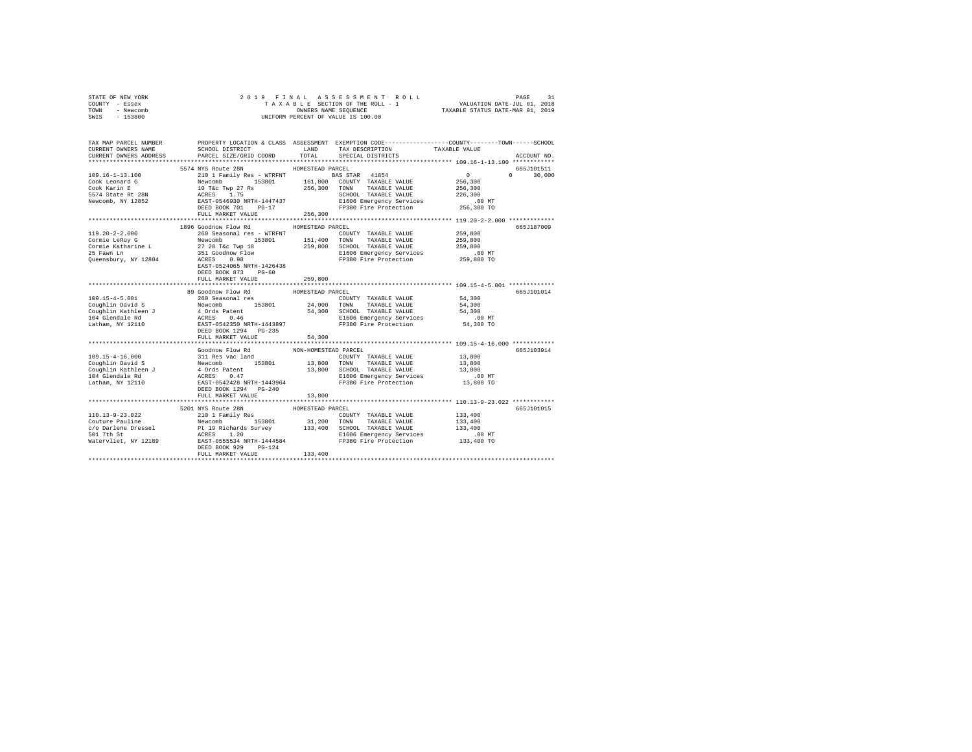| STATE OF NEW YORK | 2019 FINAL ASSESSMENT ROLL         | PAGE                             |
|-------------------|------------------------------------|----------------------------------|
| COUNTY - Essex    | TAXABLE SECTION OF THE ROLL - 1    | VALUATION DATE-JUL 01, 2018      |
| TOWN<br>- Newcomb | OWNERS NAME SEOUENCE               | TAXABLE STATUS DATE-MAR 01, 2019 |
| $-153800$<br>SWIS | UNIFORM PERCENT OF VALUE IS 100.00 |                                  |

| TAX MAP PARCEL NUMBER<br>CURRENT OWNERS NAME | SCHOOL DISTRICT                                                                                                                                                                                                                    |                      | LAND TAX DESCRIPTION TAXABLE VALUE                                                                                     | PROPERTY LOCATION & CLASS ASSESSMENT EXEMPTION CODE---------------COUNTY-------TOWN------SCHOOL |
|----------------------------------------------|------------------------------------------------------------------------------------------------------------------------------------------------------------------------------------------------------------------------------------|----------------------|------------------------------------------------------------------------------------------------------------------------|-------------------------------------------------------------------------------------------------|
| CURRENT OWNERS ADDRESS                       | PARCEL SIZE/GRID COORD                                                                                                                                                                                                             | TOTAL                | SPECIAL DISTRICTS                                                                                                      | ACCOUNT NO.                                                                                     |
|                                              |                                                                                                                                                                                                                                    |                      |                                                                                                                        |                                                                                                 |
|                                              | 5574 NYS Route 28N                                                                                                                                                                                                                 | HOMESTEAD PARCEL     |                                                                                                                        | 665J101511                                                                                      |
|                                              |                                                                                                                                                                                                                                    |                      |                                                                                                                        | $\sim$ 0<br>$\Omega$ and $\Omega$<br>30,000                                                     |
|                                              |                                                                                                                                                                                                                                    |                      |                                                                                                                        | 256,300                                                                                         |
|                                              |                                                                                                                                                                                                                                    |                      |                                                                                                                        | 256,300                                                                                         |
|                                              |                                                                                                                                                                                                                                    |                      |                                                                                                                        | 226,300                                                                                         |
|                                              |                                                                                                                                                                                                                                    |                      | SCHOOL TAXABLE VALUE<br>E1606 Emergency Services<br>Inder Fire Protection                                              | .00 MT                                                                                          |
|                                              |                                                                                                                                                                                                                                    |                      | FP380 Fire Protection                                                                                                  | 256,300 TO                                                                                      |
|                                              | FULL MARKET VALUE                                                                                                                                                                                                                  | 256,300              |                                                                                                                        |                                                                                                 |
|                                              |                                                                                                                                                                                                                                    |                      |                                                                                                                        |                                                                                                 |
|                                              | 1896 Goodnow Flow Rd                                                                                                                                                                                                               | HOMESTEAD PARCEL     |                                                                                                                        | 665J187009                                                                                      |
|                                              |                                                                                                                                                                                                                                    |                      |                                                                                                                        | 259,800                                                                                         |
|                                              |                                                                                                                                                                                                                                    |                      |                                                                                                                        | 259,800                                                                                         |
|                                              |                                                                                                                                                                                                                                    |                      |                                                                                                                        |                                                                                                 |
|                                              |                                                                                                                                                                                                                                    |                      |                                                                                                                        |                                                                                                 |
|                                              |                                                                                                                                                                                                                                    |                      | 259,800 SCHOOL TAXABLE VALUE 259,800<br>259,800 SCHOOL TAXABLE VALUE 259,800 MT<br>E1606 Emergency Services 259,800 TO |                                                                                                 |
|                                              | EAST-0524065 NRTH-1426438                                                                                                                                                                                                          |                      |                                                                                                                        |                                                                                                 |
|                                              | DEED BOOK 873 PG-60                                                                                                                                                                                                                |                      |                                                                                                                        |                                                                                                 |
|                                              | FULL MARKET VALUE                                                                                                                                                                                                                  | 259,800              |                                                                                                                        |                                                                                                 |
|                                              |                                                                                                                                                                                                                                    |                      |                                                                                                                        |                                                                                                 |
|                                              | 89 Goodnow Flow Rd                                                                                                                                                                                                                 | HOMESTEAD PARCEL     |                                                                                                                        | 665J101014                                                                                      |
|                                              |                                                                                                                                                                                                                                    |                      |                                                                                                                        |                                                                                                 |
|                                              |                                                                                                                                                                                                                                    |                      |                                                                                                                        |                                                                                                 |
|                                              |                                                                                                                                                                                                                                    |                      |                                                                                                                        |                                                                                                 |
|                                              |                                                                                                                                                                                                                                    |                      | E1606 Emergency Services 6.00 MT<br>FP380 Fire Protection 54,300 TO                                                    |                                                                                                 |
|                                              |                                                                                                                                                                                                                                    |                      |                                                                                                                        |                                                                                                 |
|                                              | DEED BOOK 1294 PG-235                                                                                                                                                                                                              |                      |                                                                                                                        |                                                                                                 |
|                                              | FULL MARKET VALUE                                                                                                                                                                                                                  | 54,300               |                                                                                                                        |                                                                                                 |
|                                              | **************************                                                                                                                                                                                                         | *************        |                                                                                                                        | ************************ 109.15-4-16.000 ************                                           |
|                                              | Goodnow Flow Rd                                                                                                                                                                                                                    | NON-HOMESTEAD PARCEL |                                                                                                                        | 665J103914                                                                                      |
|                                              |                                                                                                                                                                                                                                    |                      |                                                                                                                        |                                                                                                 |
|                                              |                                                                                                                                                                                                                                    |                      |                                                                                                                        |                                                                                                 |
|                                              |                                                                                                                                                                                                                                    |                      |                                                                                                                        |                                                                                                 |
|                                              |                                                                                                                                                                                                                                    |                      |                                                                                                                        |                                                                                                 |
|                                              |                                                                                                                                                                                                                                    |                      |                                                                                                                        |                                                                                                 |
|                                              |                                                                                                                                                                                                                                    |                      |                                                                                                                        |                                                                                                 |
|                                              | FULL MARKET VALUE                                                                                                                                                                                                                  | 13,800               |                                                                                                                        |                                                                                                 |
|                                              |                                                                                                                                                                                                                                    |                      |                                                                                                                        |                                                                                                 |
|                                              | 5201 NYS Route 28N                                                                                                                                                                                                                 | HOMESTEAD PARCEL     |                                                                                                                        | 665J101015                                                                                      |
|                                              |                                                                                                                                                                                                                                    |                      |                                                                                                                        |                                                                                                 |
|                                              |                                                                                                                                                                                                                                    |                      |                                                                                                                        |                                                                                                 |
|                                              |                                                                                                                                                                                                                                    |                      |                                                                                                                        |                                                                                                 |
|                                              | 110.13-9-23.022<br>COUNTY TAXABLE VALUE PAIR COUNTY TAXABLE VALUE PAIR PAIR OF TAXABLE VALUE PAIR COUNTY TAXABLE VALUE<br>C/O Darlene Dressel Pair Pair Pair (133,400 133,400 TOWN TAXABLE VALUE 133,400 C/O Darlene Dressel Princ |                      |                                                                                                                        |                                                                                                 |
|                                              |                                                                                                                                                                                                                                    |                      |                                                                                                                        |                                                                                                 |
|                                              | DEED BOOK 929 PG-124                                                                                                                                                                                                               |                      |                                                                                                                        |                                                                                                 |
|                                              |                                                                                                                                                                                                                                    | $127$ $133,400$      |                                                                                                                        |                                                                                                 |
|                                              |                                                                                                                                                                                                                                    |                      |                                                                                                                        |                                                                                                 |
|                                              |                                                                                                                                                                                                                                    |                      |                                                                                                                        |                                                                                                 |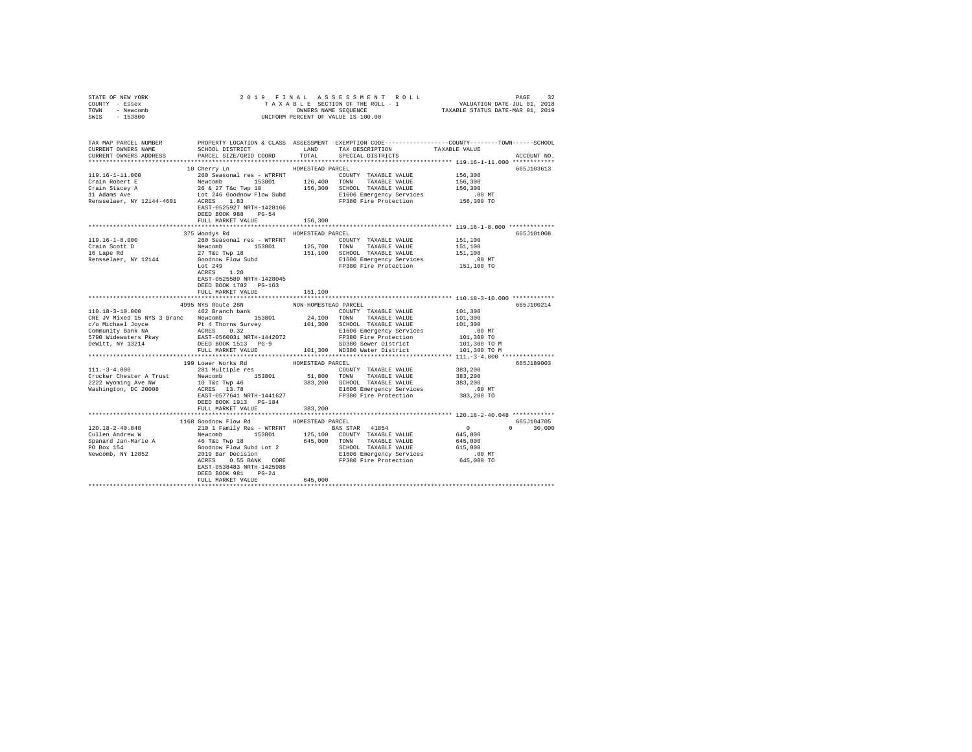| STATE OF NEW YORK                                                                                                                                                                              |                                         |                  |                         |               |
|------------------------------------------------------------------------------------------------------------------------------------------------------------------------------------------------|-----------------------------------------|------------------|-------------------------|---------------|
| COUNTY - Essex                                                                                                                                                                                 |                                         |                  |                         |               |
| TOWN - Newcomb                                                                                                                                                                                 |                                         |                  |                         |               |
| SWIS - 153800                                                                                                                                                                                  |                                         |                  |                         |               |
|                                                                                                                                                                                                |                                         |                  |                         |               |
|                                                                                                                                                                                                |                                         |                  |                         |               |
|                                                                                                                                                                                                |                                         |                  |                         |               |
| TAX MAP PARCEL NUMBER PROPERTY LOCATION & CLASS ASSESSMENT EXEMPTION CODE--------------COUNTY-------TOWN------SCHOOL<br>CURRENT OWNERS NAME SCHOOL DISTRICT LAND TAX DESCRIPTION TAXABLE VALUE |                                         |                  |                         |               |
|                                                                                                                                                                                                |                                         |                  |                         |               |
| CURRENT OWNERS ADDRESS                                                                                                                                                                         | PARCEL SIZE/GRID COORD                  |                  | TOTAL SPECIAL DISTRICTS | ACCOUNT NO.   |
|                                                                                                                                                                                                |                                         |                  |                         |               |
|                                                                                                                                                                                                | 10 Cherry Ln                            | HOMESTEAD PARCEL |                         | 665J103613    |
|                                                                                                                                                                                                |                                         |                  |                         |               |
|                                                                                                                                                                                                |                                         |                  |                         |               |
|                                                                                                                                                                                                |                                         |                  |                         |               |
|                                                                                                                                                                                                |                                         |                  |                         |               |
|                                                                                                                                                                                                |                                         |                  |                         |               |
|                                                                                                                                                                                                | EAST-0525927 NRTH-1428166               |                  |                         |               |
|                                                                                                                                                                                                | DEED BOOK 988 PG-54                     |                  |                         |               |
|                                                                                                                                                                                                | FULL MARKET VALUE                       | 156,300          |                         |               |
|                                                                                                                                                                                                |                                         |                  |                         |               |
|                                                                                                                                                                                                | 375 Woodys Rd HOMESTEAD PARCEL          |                  |                         | 665J101008    |
|                                                                                                                                                                                                |                                         |                  |                         |               |
|                                                                                                                                                                                                |                                         |                  |                         |               |
|                                                                                                                                                                                                |                                         |                  |                         |               |
|                                                                                                                                                                                                |                                         |                  |                         |               |
|                                                                                                                                                                                                |                                         |                  |                         |               |
|                                                                                                                                                                                                |                                         |                  |                         |               |
|                                                                                                                                                                                                | EAST-0525589 NRTH-1428045               |                  |                         |               |
|                                                                                                                                                                                                | DEED BOOK 1782 PG-163                   |                  |                         |               |
|                                                                                                                                                                                                | FULL MARKET VALUE 151.100               |                  |                         |               |
|                                                                                                                                                                                                |                                         |                  |                         |               |
|                                                                                                                                                                                                | 4995 NYS Route 28N NON-HOMESTEAD PARCEL |                  |                         | 665J100214    |
|                                                                                                                                                                                                |                                         |                  |                         |               |
|                                                                                                                                                                                                |                                         |                  |                         |               |
|                                                                                                                                                                                                |                                         |                  |                         |               |
|                                                                                                                                                                                                |                                         |                  |                         |               |
|                                                                                                                                                                                                |                                         |                  |                         |               |
|                                                                                                                                                                                                |                                         |                  |                         |               |
|                                                                                                                                                                                                |                                         |                  |                         |               |
|                                                                                                                                                                                                |                                         |                  |                         |               |
|                                                                                                                                                                                                |                                         |                  |                         | 665J189003    |
|                                                                                                                                                                                                |                                         |                  |                         |               |
|                                                                                                                                                                                                |                                         |                  |                         |               |
|                                                                                                                                                                                                |                                         |                  |                         |               |
|                                                                                                                                                                                                |                                         |                  |                         |               |
|                                                                                                                                                                                                |                                         |                  |                         |               |
|                                                                                                                                                                                                | DEED BOOK 1913 PG-184                   |                  |                         |               |
|                                                                                                                                                                                                | FULL MARKET VALUE                       | 383,200          |                         |               |
|                                                                                                                                                                                                |                                         |                  |                         |               |
|                                                                                                                                                                                                |                                         |                  |                         |               |
|                                                                                                                                                                                                | 1168 Goodnow Flow Rd                    | HOMESTEAD PARCEL |                         | 665J104705    |
|                                                                                                                                                                                                |                                         |                  |                         | $0 \t 30,000$ |
|                                                                                                                                                                                                |                                         |                  |                         |               |
|                                                                                                                                                                                                |                                         |                  |                         |               |
|                                                                                                                                                                                                |                                         |                  |                         |               |
|                                                                                                                                                                                                |                                         |                  |                         |               |
|                                                                                                                                                                                                |                                         |                  |                         |               |
|                                                                                                                                                                                                | EAST-0538483 NRTH-1425988               |                  |                         |               |
|                                                                                                                                                                                                | DEED BOOK 981 PG-24                     |                  |                         |               |
|                                                                                                                                                                                                | FULL MARKET VALUE 645,000               |                  |                         |               |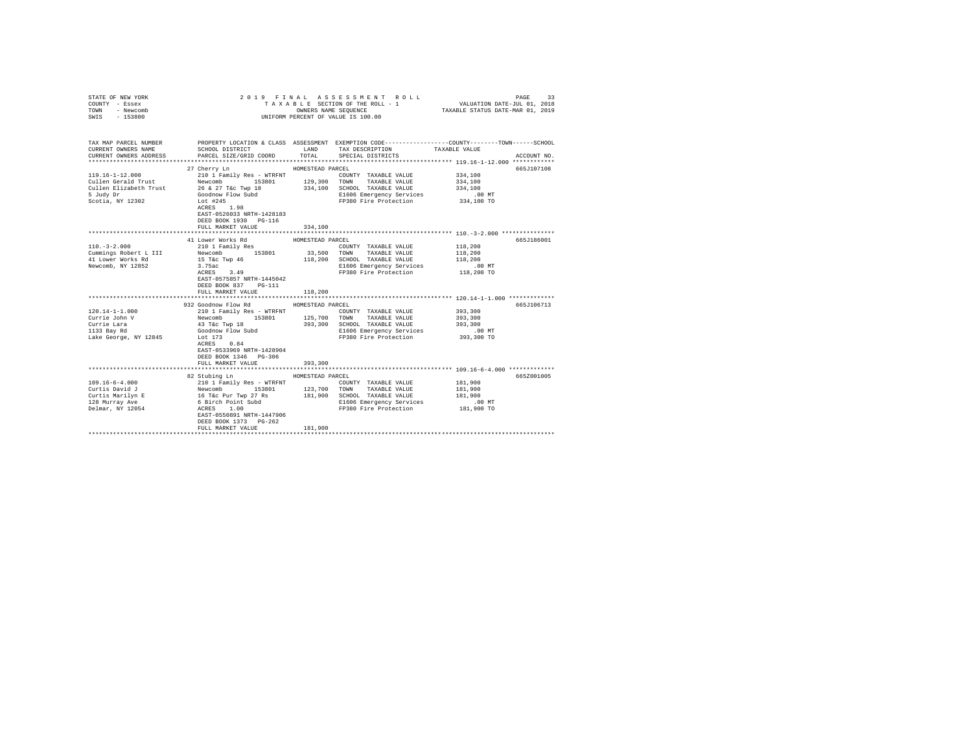| STATE OF NEW YORK<br>COUNTY - Essex<br>TOWN<br>- Newcomb<br>SWIS - 153800                    |                                                                                                                                                                                                                                                                                                                                                                         |                             | 2019 FINAL ASSESSMENT ROLL<br>TAXABLE SECTION OF THE ROLL - 1<br>UNIFORM PERCENT OF VALUE IS 100.00                                | PAGE<br>33<br>VALUATION DATE-JUL 01, 2018<br>OWNERS NAME SEQUENCE TAXABLE STATUS DATE-MAR 01, 2019                                                  |
|----------------------------------------------------------------------------------------------|-------------------------------------------------------------------------------------------------------------------------------------------------------------------------------------------------------------------------------------------------------------------------------------------------------------------------------------------------------------------------|-----------------------------|------------------------------------------------------------------------------------------------------------------------------------|-----------------------------------------------------------------------------------------------------------------------------------------------------|
| CURRENT OWNERS NAME                                                                          | SCHOOL DISTRICT TAND TAX DESCRIPTION<br>CURRENT OWNERS ADDRESS PARCEL SIZE/GRID COORD TOTAL SPECIAL DISTRICTS                                                                                                                                                                                                                                                           |                             |                                                                                                                                    | TAX MAP PARCEL NUMBER PROPERTY LOCATION & CLASS ASSESSMENT EXEMPTION CODE--------------COUNTY-------TOWN-----SCHOOL<br>TAXABLE VALUE<br>ACCOUNT NO. |
| 119.16-1-12.000<br>Cullen Gerald Trust<br>5 Judy Dr<br>Scotia, NY 12302                      | 27 Cherry Ln<br>210 1 Family Res - WTRFNT<br>Newcomb 153801 129,300 TOWN TAXABLE VALUE<br>Cullen Elizabeth Trust $26 \& 27$ T&c Twp 18 $334,100$ SCHOOL TAXABLE VALUE<br>Goodnow Flow Subd<br>Lot #245<br>Lot #245<br>ACRES 1.98<br>EAST-0526033 NRTH-1428183<br>DEED BOOK 1930 PG-116<br>FULL MARKET VALUE                                                             | HOMESTEAD PARCEL<br>334,100 | COUNTY TAXABLE VALUE<br>E1606 Emergency Services .00 MT<br>FP380 Fire Protection 334,100 TO                                        | 665J107108<br>334,100<br>334,100<br>334,100                                                                                                         |
|                                                                                              |                                                                                                                                                                                                                                                                                                                                                                         |                             |                                                                                                                                    |                                                                                                                                                     |
| $110. - 3 - 2.000$<br>Newcomb, NY 12852                                                      | 41 Lower Works Rd<br>210 1 Family Res<br>3.75ac<br>$ACRES$ 3.49<br>EAST-0575857 NRTH-1445042<br>DEED BOOK 837 PG-111<br>FULL MARKET VALUE                                                                                                                                                                                                                               | HOMESTEAD PARCEL<br>118,200 | COUNTY TAXABLE VALUE<br>118,200 SCHOOL TAXABLE VALUE<br>E1606 Emergency Services<br>FP380 Fire Protection                          | 665J186001<br>118,200<br>118,200<br>118,200<br>00 MT.<br>118,200 TO                                                                                 |
|                                                                                              |                                                                                                                                                                                                                                                                                                                                                                         |                             |                                                                                                                                    |                                                                                                                                                     |
| $120.14 - 1 - 1.000$<br>Currie John V<br>Currie Lara<br>1133 Bay Rd<br>Lake George, NY 12845 | 932 Goodnow Flow Rd MOMESTEAD PARCEL<br>43 T&C Twp 18<br>Goodnow Flow Subd<br>Lot 173<br>Lot 173<br>ACRES 0.84<br>EAST-0533969 NRTH-1428904<br>DEED BOOK 1346 PG-306<br>FULL MARKET VALUE                                                                                                                                                                               | 393,300                     | COUNTY TAXABLE VALUE<br>393,300 SCHOOL TAXABLE VALUE<br>E1606 Emergency Services<br>FP380 Fire Protection<br>FP380 Fire Protection | 665J106713<br>393,300<br>393,300<br>393,300<br>.00 MT<br>393,300 TO                                                                                 |
|                                                                                              |                                                                                                                                                                                                                                                                                                                                                                         |                             |                                                                                                                                    |                                                                                                                                                     |
| $109.16 - 6 - 4.000$                                                                         | 82 Stubing Ln<br>210 1 Family Res - WTRFNT<br>Curtis Navid J<br>Curtis Navid J<br>16 16 16 16 18801<br>213,700 TOWN TAXABLE VALUE<br>Curtis Mavilyn E<br>16 16 20 11,900 SCROOL TAXABLE VALUE<br>218 Murray Ave 6 Birch Point Subd<br>2160 Emergency Services<br>218 Murray Ave 6 Birch Poin<br>EAST-0550891 NRTH-1447906<br>DEED BOOK 1373 PG-262<br>FULL MARKET VALUE | HOMESTEAD PARCEL<br>181,900 | COUNTY TAXABLE VALUE<br>E1606 Emergency Services<br>FP380 Fire Protection                                                          | 665Z001005<br>181,900<br>181,900<br>181,900<br>$.00$ MT<br>181,900 TO                                                                               |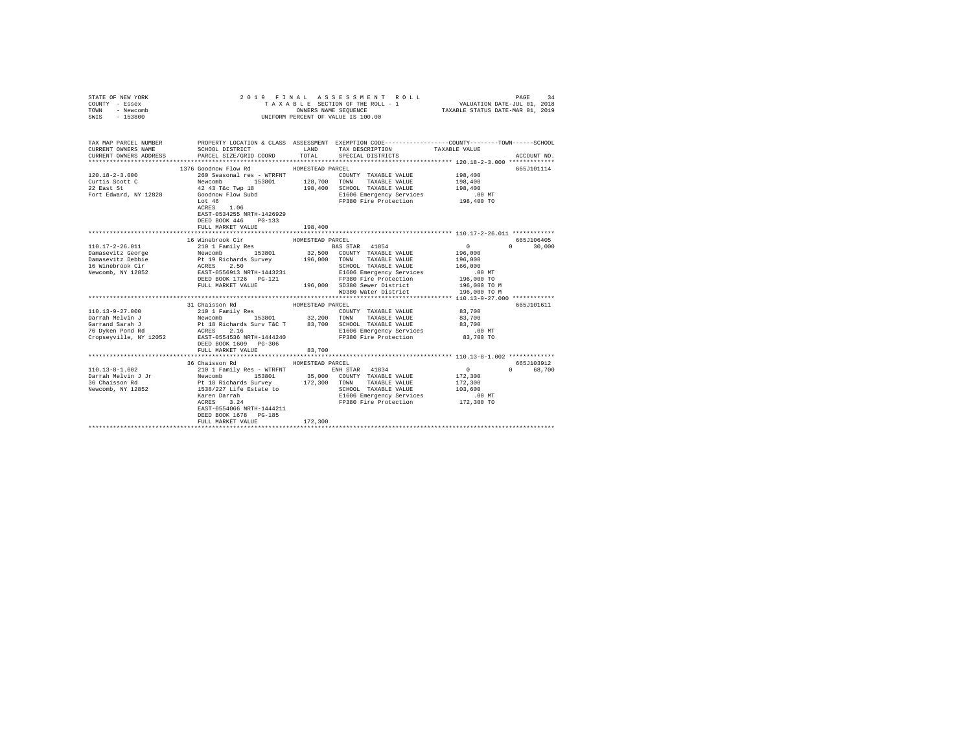| STATE OF NEW YORK<br>COUNTY - Essex<br>TOWN - Newcomb<br>SWIS - 153800                                                                                                                       | 2019 FINAL<br>TAXABLE SECTION OF THE ROLL - 1<br>UNIFORM PERCENT OF VALUE IS 100.00 | PAGE<br>34<br>B L E SECTION OF THE ROLL - 1 VALUATION DATE-JUL 01, 2018<br>OWNERS NAME SEQUENCE TAXABLE STATUS DATE-MAR 01, 2019 |                                  |               |              |
|----------------------------------------------------------------------------------------------------------------------------------------------------------------------------------------------|-------------------------------------------------------------------------------------|----------------------------------------------------------------------------------------------------------------------------------|----------------------------------|---------------|--------------|
| TAX MAP PARCEL NUMBER PROPERTY LOCATION & CLASS ASSESSMENT EXEMPTION CODE--------------COUNTY-------TOWN------SCHOOL<br>CURRENT OWNERS NAME<br>CURRENT OWNERS ADDRESS PARCEL SIZE/GRID COORD | SCHOOL DISTRICT                                                                     | LAND                                                                                                                             | TAX DESCRIPTION                  | TAXABLE VALUE |              |
|                                                                                                                                                                                              |                                                                                     | TOTAL                                                                                                                            | SPECIAL DISTRICTS                |               | ACCOUNT NO.  |
|                                                                                                                                                                                              |                                                                                     |                                                                                                                                  |                                  |               | 665J101114   |
|                                                                                                                                                                                              |                                                                                     |                                                                                                                                  |                                  |               |              |
|                                                                                                                                                                                              |                                                                                     |                                                                                                                                  |                                  |               |              |
|                                                                                                                                                                                              |                                                                                     |                                                                                                                                  |                                  |               |              |
|                                                                                                                                                                                              |                                                                                     |                                                                                                                                  |                                  |               |              |
|                                                                                                                                                                                              |                                                                                     |                                                                                                                                  |                                  |               |              |
|                                                                                                                                                                                              | $ACRES$ 1.06                                                                        |                                                                                                                                  |                                  |               |              |
|                                                                                                                                                                                              | EAST-0534255 NRTH-1426929                                                           |                                                                                                                                  |                                  |               |              |
|                                                                                                                                                                                              | DEED BOOK 446 PG-133                                                                |                                                                                                                                  |                                  |               |              |
|                                                                                                                                                                                              | FULL MARKET VALUE                                                                   | 198,400                                                                                                                          |                                  |               |              |
|                                                                                                                                                                                              |                                                                                     |                                                                                                                                  |                                  |               |              |
|                                                                                                                                                                                              | 16 Winebrook Cir                                                                    | HOMESTEAD PARCEL                                                                                                                 |                                  |               | 665J106405   |
|                                                                                                                                                                                              |                                                                                     |                                                                                                                                  |                                  |               | $0 \t30,000$ |
|                                                                                                                                                                                              |                                                                                     |                                                                                                                                  |                                  |               |              |
|                                                                                                                                                                                              |                                                                                     |                                                                                                                                  |                                  |               |              |
|                                                                                                                                                                                              |                                                                                     |                                                                                                                                  |                                  |               |              |
|                                                                                                                                                                                              |                                                                                     |                                                                                                                                  |                                  |               |              |
|                                                                                                                                                                                              |                                                                                     |                                                                                                                                  |                                  |               |              |
|                                                                                                                                                                                              |                                                                                     |                                                                                                                                  | WD380 Water District             | 196,000 TO M  |              |
|                                                                                                                                                                                              |                                                                                     |                                                                                                                                  |                                  |               |              |
|                                                                                                                                                                                              | 31 Chaisson Rd                                                                      | HOMESTEAD PARCEL                                                                                                                 |                                  |               | 665J101611   |
|                                                                                                                                                                                              |                                                                                     |                                                                                                                                  |                                  |               |              |
|                                                                                                                                                                                              |                                                                                     |                                                                                                                                  |                                  |               |              |
|                                                                                                                                                                                              |                                                                                     |                                                                                                                                  |                                  |               |              |
|                                                                                                                                                                                              |                                                                                     |                                                                                                                                  |                                  |               |              |
|                                                                                                                                                                                              |                                                                                     |                                                                                                                                  |                                  |               |              |
|                                                                                                                                                                                              |                                                                                     | 83,700                                                                                                                           |                                  |               |              |
|                                                                                                                                                                                              | FULL MARKET VALUE                                                                   |                                                                                                                                  |                                  |               |              |
|                                                                                                                                                                                              | 36 Chaisson Rd MOMESTEAD PARCEL                                                     |                                                                                                                                  |                                  |               | 665J103912   |
|                                                                                                                                                                                              |                                                                                     |                                                                                                                                  |                                  | 0 0 68,700    |              |
|                                                                                                                                                                                              |                                                                                     |                                                                                                                                  |                                  | 172,300       |              |
|                                                                                                                                                                                              |                                                                                     |                                                                                                                                  |                                  | 172,300       |              |
|                                                                                                                                                                                              |                                                                                     |                                                                                                                                  |                                  | 103,600       |              |
|                                                                                                                                                                                              | Karen Darrah<br>ACRES 3.24                                                          |                                                                                                                                  |                                  | .00 MT        |              |
|                                                                                                                                                                                              |                                                                                     |                                                                                                                                  | FP380 Fire Protection 172,300 TO |               |              |
|                                                                                                                                                                                              | EAST-0554066 NRTH-1444211                                                           |                                                                                                                                  |                                  |               |              |
|                                                                                                                                                                                              | DEED BOOK 1678 PG-185                                                               |                                                                                                                                  |                                  |               |              |
|                                                                                                                                                                                              | FULL MARKET VALUE                                                                   | 172,300                                                                                                                          |                                  |               |              |
|                                                                                                                                                                                              |                                                                                     |                                                                                                                                  |                                  |               |              |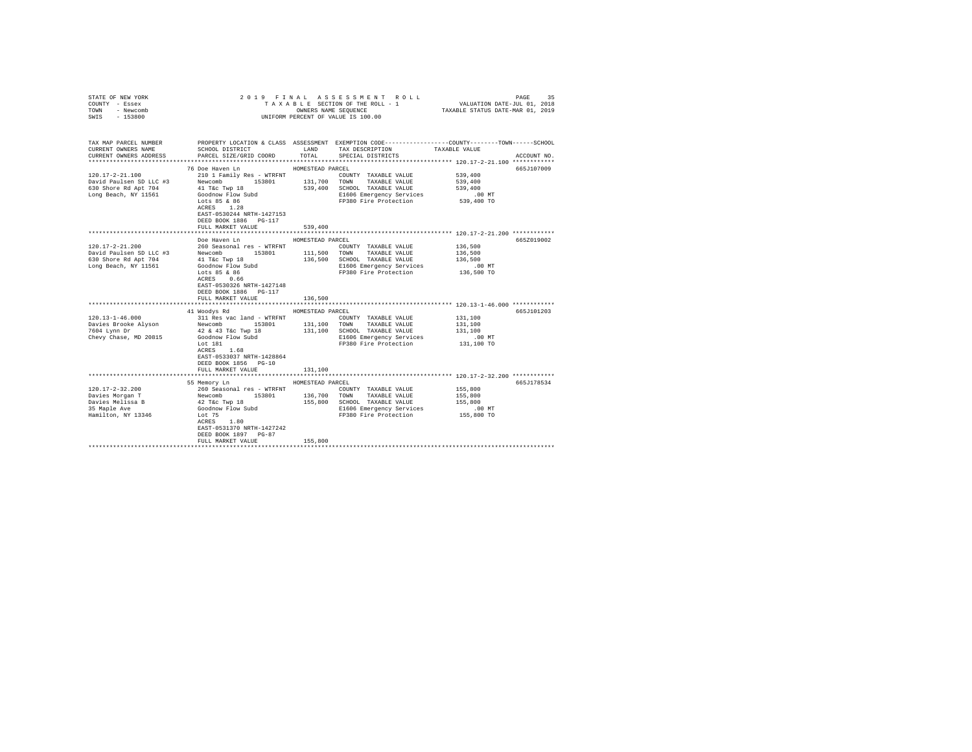| STATE OF NEW YORK<br>COUNTY - Essex          |                                                                                 |                  | 2019 FINAL ASSESSMENT ROLL<br>TAXABLE SECTION OF THE ROLL - 1                                                                    | VALUATION DATE-JUL 01, 2018<br>TAXABLE STATUS DATE-MAR 01, 2019 | 35<br>PAGE  |  |
|----------------------------------------------|---------------------------------------------------------------------------------|------------------|----------------------------------------------------------------------------------------------------------------------------------|-----------------------------------------------------------------|-------------|--|
| - Newcomb<br>TOWN<br>$-153800$<br>SWIS       | OWNERS NAME SEQUENCE<br>UNIFORM PERCENT OF VALUE IS 100.00                      |                  |                                                                                                                                  |                                                                 |             |  |
|                                              |                                                                                 |                  |                                                                                                                                  |                                                                 |             |  |
| TAX MAP PARCEL NUMBER<br>CURRENT OWNERS NAME | SCHOOL DISTRICT LAND                                                            |                  | PROPERTY LOCATION & CLASS ASSESSMENT EXEMPTION CODE---------------COUNTY-------TOWN------SCHOOL<br>TAX DESCRIPTION TAXABLE VALUE |                                                                 |             |  |
| CURRENT OWNERS ADDRESS                       | PARCEL SIZE/GRID COORD                                                          | TOTAL            | SPECIAL DISTRICTS                                                                                                                |                                                                 | ACCOUNT NO. |  |
|                                              | 76 Doe Haven Ln                                                                 | HOMESTEAD PARCEL |                                                                                                                                  |                                                                 | 665J107009  |  |
| 120.17-2-21.100                              | 210 1 Family Res - WTRFNT                                                       |                  | COUNTY TAXABLE VALUE                                                                                                             | 539,400                                                         |             |  |
| David Paulsen SD LLC #3                      | Newcomb                                                                         |                  | 153801 131,700 TOWN TAXABLE VALUE<br>wp 18 539,400 SCHOOL TAXABLE VALUE                                                          | 539,400                                                         |             |  |
| 630 Shore Rd Apt 704                         | 41 T&c Twp 18                                                                   |                  |                                                                                                                                  | 539,400                                                         |             |  |
| Long Beach, NY 11561                         |                                                                                 |                  | E1606 Emergency Services                                                                                                         | $.00$ MT                                                        |             |  |
|                                              | Goodnow Flow Subd<br>Lots 85 & 86                                               |                  | FP380 Fire Protection                                                                                                            | 539,400 TO                                                      |             |  |
|                                              | ACRES 1.28                                                                      |                  |                                                                                                                                  |                                                                 |             |  |
|                                              | EAST-0530244 NRTH-1427153                                                       |                  |                                                                                                                                  |                                                                 |             |  |
|                                              | DEED BOOK 1886 PG-117                                                           |                  |                                                                                                                                  |                                                                 |             |  |
|                                              | FULL MARKET VALUE                                                               | 539,400          |                                                                                                                                  |                                                                 |             |  |
|                                              |                                                                                 |                  |                                                                                                                                  |                                                                 |             |  |
|                                              | Doe Haven Ln                                                                    | HOMESTEAD PARCEL |                                                                                                                                  |                                                                 | 665Z019002  |  |
| $120.17 - 2 - 21.200$                        | 260 Seasonal res - WTRFNT                                                       |                  | COUNTY TAXABLE VALUE                                                                                                             | 136,500                                                         |             |  |
| David Paulsen SD LLC #3                      | Newcomb 153801                                                                  | 111,500          | TOWN TAXABLE VALUE                                                                                                               | 136,500                                                         |             |  |
| 630 Shore Rd Apt 704                         |                                                                                 |                  | 136,500 SCHOOL TAXABLE VALUE                                                                                                     | 136,500<br>$.00$ MT                                             |             |  |
| Long Beach, NY 11561                         |                                                                                 |                  | E1606 Emergency Services<br>FP380 Fire Protection                                                                                | 136,500 TO                                                      |             |  |
|                                              | All T&C Twp 18<br>Goodnow Flow Subd<br>Lots 85 & 86<br>ACRES 0.66<br>ACRES 0.66 |                  |                                                                                                                                  |                                                                 |             |  |
|                                              | EAST-0530326 NRTH-1427148                                                       |                  |                                                                                                                                  |                                                                 |             |  |
|                                              | DEED BOOK 1886 PG-117                                                           |                  |                                                                                                                                  |                                                                 |             |  |
|                                              | FULL MARKET VALUE                                                               | 136,500          |                                                                                                                                  |                                                                 |             |  |
|                                              |                                                                                 |                  |                                                                                                                                  |                                                                 |             |  |
|                                              | 41 Woodys Rd                                                                    | HOMESTEAD PARCEL |                                                                                                                                  |                                                                 | 665J101203  |  |
| $120.13 - 1 - 46.000$                        | 311 Res vac land - WTRFNT                                                       |                  | COUNTY TAXABLE VALUE                                                                                                             | 131,100                                                         |             |  |
| Davies Brooke Alyson                         | Newcomb 153801                                                                  |                  | 131,100 TOWN TAXABLE VALUE                                                                                                       | 131,100                                                         |             |  |
| 7604 Lynn Dr                                 | 42 & 43 T&c Twp 18                                                              |                  | 131,100 SCHOOL TAXABLE VALUE                                                                                                     | 131,100                                                         |             |  |
| Chevy Chase, MD 20815                        | Goodnow Flow Subd                                                               |                  | E1606 Emergency Services                                                                                                         | $.00$ MT                                                        |             |  |
|                                              | Lot 181                                                                         |                  | FP380 Fire Protection                                                                                                            | 131,100 TO                                                      |             |  |
|                                              | ACRES 1.68                                                                      |                  |                                                                                                                                  |                                                                 |             |  |
|                                              | EAST-0533037 NRTH-1428864                                                       |                  |                                                                                                                                  |                                                                 |             |  |
|                                              | DEED BOOK 1856 PG-10                                                            |                  |                                                                                                                                  |                                                                 |             |  |
|                                              | FULL MARKET VALUE                                                               | 131,100          |                                                                                                                                  |                                                                 |             |  |
|                                              |                                                                                 |                  | **************************** 120.17-2-32.200 ************                                                                        |                                                                 |             |  |
|                                              | 55 Memory Ln                                                                    | HOMESTEAD PARCEL |                                                                                                                                  |                                                                 | 665J178534  |  |
| $120.17 - 2 - 32.200$                        | 260 Seasonal res - WTRFNT                                                       |                  | COUNTY TAXABLE VALUE                                                                                                             | 155,800                                                         |             |  |
| Davies Morgan T<br>Davies Melissa B          | Newcomb 153801<br>42 T&c Twp 18                                                 | 136,700          | TOWN TAXABLE VALUE<br>155,800 SCHOOL TAXABLE VALUE                                                                               | 155,800<br>155,800                                              |             |  |
| 35 Maple Ave                                 |                                                                                 |                  | E1606 Emergency Services                                                                                                         | $.00$ MT                                                        |             |  |
| Hamilton, NY 13346                           | Goodnow Flow Subd<br>Lot 75                                                     |                  | FP380 Fire Protection                                                                                                            | 155,800 TO                                                      |             |  |
|                                              | $ACRES$ 1.80                                                                    |                  |                                                                                                                                  |                                                                 |             |  |
|                                              | EAST-0531370 NRTH-1427242                                                       |                  |                                                                                                                                  |                                                                 |             |  |
|                                              | DEED BOOK 1897 PG-87                                                            |                  |                                                                                                                                  |                                                                 |             |  |
|                                              | FULL MARKET VALUE                                                               | 155,800          |                                                                                                                                  |                                                                 |             |  |
|                                              |                                                                                 |                  |                                                                                                                                  |                                                                 |             |  |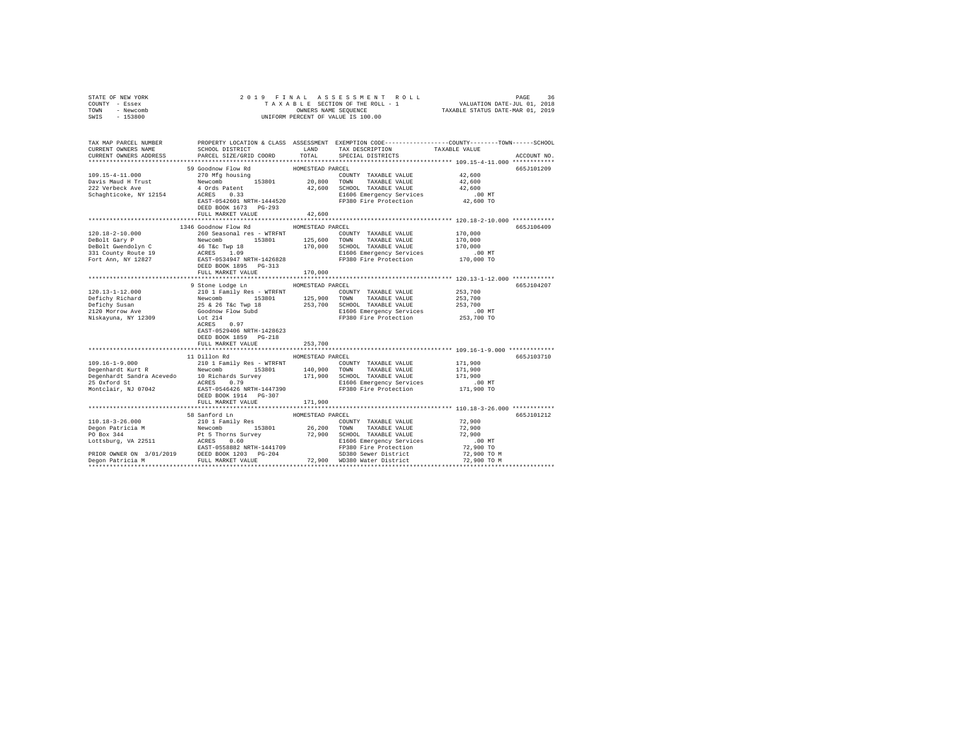| STATE OF NEW YORK                                   |                                                                                                                                                                                                                                                                                                                                                                                                                                                                     |                  |                                                                                                                                                                                                                                                                                                                                                                                                                                                                         |                            |             |  |
|-----------------------------------------------------|---------------------------------------------------------------------------------------------------------------------------------------------------------------------------------------------------------------------------------------------------------------------------------------------------------------------------------------------------------------------------------------------------------------------------------------------------------------------|------------------|-------------------------------------------------------------------------------------------------------------------------------------------------------------------------------------------------------------------------------------------------------------------------------------------------------------------------------------------------------------------------------------------------------------------------------------------------------------------------|----------------------------|-------------|--|
| COUNTY - Essex                                      |                                                                                                                                                                                                                                                                                                                                                                                                                                                                     |                  |                                                                                                                                                                                                                                                                                                                                                                                                                                                                         |                            |             |  |
| TOWN - Newcomb                                      | $\begin{tabular}{lcccccc} 2 & 0 & 1 & 9 & F I\ \texttt{N} & \texttt{R} & \texttt{N} & \texttt{R} & \texttt{N} & \texttt{R} & \texttt{N} & \texttt{R} & \texttt{N} & \texttt{R} & \texttt{R} \\ & & T & \texttt{N} & \texttt{N} & \texttt{R} & \texttt{R} & \texttt{S} & \texttt{S} & \texttt{S} & \texttt{S} & \texttt{S} & \texttt{S} & \texttt{S} & \texttt{S} & \texttt{S} & \texttt{S} & \texttt{S} & \texttt{S} & \text$<br>UNIFORM PERCENT OF VALUE IS 100.00 |                  |                                                                                                                                                                                                                                                                                                                                                                                                                                                                         |                            |             |  |
| SWIS<br>$-153800$                                   |                                                                                                                                                                                                                                                                                                                                                                                                                                                                     |                  |                                                                                                                                                                                                                                                                                                                                                                                                                                                                         |                            |             |  |
|                                                     |                                                                                                                                                                                                                                                                                                                                                                                                                                                                     |                  |                                                                                                                                                                                                                                                                                                                                                                                                                                                                         |                            |             |  |
|                                                     | TAX MAP PARCEL NUMBER PROPERTY LOCATION & CLASS ASSESSMENT EXEMPTION CODE--------------COUNTY-------TOWN------SCHOOL                                                                                                                                                                                                                                                                                                                                                |                  |                                                                                                                                                                                                                                                                                                                                                                                                                                                                         |                            |             |  |
| CURRENT OWNERS NAME                                 | SCHOOL DISTRICT LAND                                                                                                                                                                                                                                                                                                                                                                                                                                                |                  | TAX DESCRIPTION                                                                                                                                                                                                                                                                                                                                                                                                                                                         | TAXABLE VALUE              |             |  |
| CURRENT OWNERS ADDRESS                              | PARCEL SIZE/GRID COORD                                                                                                                                                                                                                                                                                                                                                                                                                                              | TOTAL            | SPECIAL DISTRICTS                                                                                                                                                                                                                                                                                                                                                                                                                                                       |                            | ACCOUNT NO. |  |
|                                                     |                                                                                                                                                                                                                                                                                                                                                                                                                                                                     |                  |                                                                                                                                                                                                                                                                                                                                                                                                                                                                         |                            |             |  |
|                                                     | 59 Goodnow Flow Rd                                                                                                                                                                                                                                                                                                                                                                                                                                                  | HOMESTEAD PARCEL |                                                                                                                                                                                                                                                                                                                                                                                                                                                                         |                            | 665J101209  |  |
| 109.15-4-11.000                                     | 270 Mfg housing                                                                                                                                                                                                                                                                                                                                                                                                                                                     |                  | COUNTY TAXABLE VALUE                                                                                                                                                                                                                                                                                                                                                                                                                                                    | 42,600                     |             |  |
| Davis Maud H Trust<br>222 Verbeck Ave               | Newcomb 153801 20,800 TOWN TAXABLE VALUE<br>4 Ords Patent 42,600 SCHOOL TAXABLE VALUE                                                                                                                                                                                                                                                                                                                                                                               |                  | TAXABLE VALUE                                                                                                                                                                                                                                                                                                                                                                                                                                                           | 42,600                     |             |  |
|                                                     | Are volume and the set of the set of the set of the set of the set of the set of the set of the set of the set of the set of the set of the set of the set of the set of the set of the set of the set of the set of the set o                                                                                                                                                                                                                                      |                  |                                                                                                                                                                                                                                                                                                                                                                                                                                                                         |                            |             |  |
| Schaghticoke, NY 12154                              |                                                                                                                                                                                                                                                                                                                                                                                                                                                                     |                  |                                                                                                                                                                                                                                                                                                                                                                                                                                                                         |                            |             |  |
|                                                     |                                                                                                                                                                                                                                                                                                                                                                                                                                                                     |                  |                                                                                                                                                                                                                                                                                                                                                                                                                                                                         |                            |             |  |
|                                                     |                                                                                                                                                                                                                                                                                                                                                                                                                                                                     |                  |                                                                                                                                                                                                                                                                                                                                                                                                                                                                         |                            |             |  |
|                                                     | FULL MARKET VALUE                                                                                                                                                                                                                                                                                                                                                                                                                                                   | 42,600           |                                                                                                                                                                                                                                                                                                                                                                                                                                                                         |                            |             |  |
|                                                     | 1346 Goodnow Flow Rd                                                                                                                                                                                                                                                                                                                                                                                                                                                | HOMESTEAD PARCEL |                                                                                                                                                                                                                                                                                                                                                                                                                                                                         |                            | 665J106409  |  |
| 120.18-2-10.000                                     | 260 Seasonal res - WTRFNT                                                                                                                                                                                                                                                                                                                                                                                                                                           |                  | COUNTY TAXABLE VALUE                                                                                                                                                                                                                                                                                                                                                                                                                                                    | 170,000                    |             |  |
|                                                     |                                                                                                                                                                                                                                                                                                                                                                                                                                                                     |                  |                                                                                                                                                                                                                                                                                                                                                                                                                                                                         | 170,000                    |             |  |
|                                                     |                                                                                                                                                                                                                                                                                                                                                                                                                                                                     |                  |                                                                                                                                                                                                                                                                                                                                                                                                                                                                         | 170,000                    |             |  |
|                                                     |                                                                                                                                                                                                                                                                                                                                                                                                                                                                     |                  |                                                                                                                                                                                                                                                                                                                                                                                                                                                                         |                            |             |  |
|                                                     | 1401.10-2-10.000 MW MORE 10000 MENTH-1426828<br>1990 MENTH-1426828 1.09<br>170,000 SCHOOL TAXABLE VALUE<br>DEBOL GATY PUBLIC MENTH-1426828<br>2010 MENTH-1426828<br>2010 MENTH-1426828<br>2010 MENTH-1426828<br>2010 MENTH-1426828<br>2010 MEN                                                                                                                                                                                                                      |                  | E1606 Emergency Services .00 MT<br>FP380 Fire Protection 170,000 TO                                                                                                                                                                                                                                                                                                                                                                                                     |                            |             |  |
|                                                     |                                                                                                                                                                                                                                                                                                                                                                                                                                                                     |                  |                                                                                                                                                                                                                                                                                                                                                                                                                                                                         |                            |             |  |
|                                                     | FULL MARKET VALUE                                                                                                                                                                                                                                                                                                                                                                                                                                                   | 170,000          |                                                                                                                                                                                                                                                                                                                                                                                                                                                                         |                            |             |  |
|                                                     |                                                                                                                                                                                                                                                                                                                                                                                                                                                                     |                  |                                                                                                                                                                                                                                                                                                                                                                                                                                                                         |                            |             |  |
|                                                     | 9 Stone Lodge Ln MOMESTEAD PARCEL<br>NOWESTEAD PARCEL POINTY TAXABLE VALUE AND TRIMIN TO THE SEARCH COUNTY TO TAXABLE VALUE THAT A SEARCH THAT A SAMPLE TO SEARCH THAT A SAMPLE OF A SAMPLE OF A SAMPLE OF A SAMPLE OF A SAMPLE THAT A SAMPLE THAT A SAMPLE SAMPLE                                                                                                                                                                                                  |                  |                                                                                                                                                                                                                                                                                                                                                                                                                                                                         |                            | 665J104207  |  |
| 120.13-1-12.000                                     |                                                                                                                                                                                                                                                                                                                                                                                                                                                                     |                  | COUNTY TAXABLE VALUE 253,700                                                                                                                                                                                                                                                                                                                                                                                                                                            |                            |             |  |
|                                                     |                                                                                                                                                                                                                                                                                                                                                                                                                                                                     |                  |                                                                                                                                                                                                                                                                                                                                                                                                                                                                         | 253,700                    |             |  |
| Defichy Richard<br>Defichy Susan<br>2120 Morrow Ave |                                                                                                                                                                                                                                                                                                                                                                                                                                                                     |                  |                                                                                                                                                                                                                                                                                                                                                                                                                                                                         | 253,700                    |             |  |
|                                                     |                                                                                                                                                                                                                                                                                                                                                                                                                                                                     |                  | E1606 Emergency Services 6.00 MT<br>FP380 Fire Protection 6.53,700 TO                                                                                                                                                                                                                                                                                                                                                                                                   |                            |             |  |
| Niskayuna, NY 12309                                 |                                                                                                                                                                                                                                                                                                                                                                                                                                                                     |                  |                                                                                                                                                                                                                                                                                                                                                                                                                                                                         |                            |             |  |
|                                                     | ACRES 0.97                                                                                                                                                                                                                                                                                                                                                                                                                                                          |                  |                                                                                                                                                                                                                                                                                                                                                                                                                                                                         |                            |             |  |
|                                                     | EAST-0529406 NRTH-1428623                                                                                                                                                                                                                                                                                                                                                                                                                                           |                  |                                                                                                                                                                                                                                                                                                                                                                                                                                                                         |                            |             |  |
|                                                     | DEED BOOK 1859 PG-218                                                                                                                                                                                                                                                                                                                                                                                                                                               | 253,700          |                                                                                                                                                                                                                                                                                                                                                                                                                                                                         |                            |             |  |
|                                                     | FULL MARKET VALUE                                                                                                                                                                                                                                                                                                                                                                                                                                                   |                  |                                                                                                                                                                                                                                                                                                                                                                                                                                                                         |                            |             |  |
|                                                     | 11 Dillon Rd                                                                                                                                                                                                                                                                                                                                                                                                                                                        | HOMESTEAD PARCEL |                                                                                                                                                                                                                                                                                                                                                                                                                                                                         |                            | 665J103710  |  |
|                                                     |                                                                                                                                                                                                                                                                                                                                                                                                                                                                     |                  |                                                                                                                                                                                                                                                                                                                                                                                                                                                                         | 171,900                    |             |  |
|                                                     |                                                                                                                                                                                                                                                                                                                                                                                                                                                                     |                  |                                                                                                                                                                                                                                                                                                                                                                                                                                                                         | 171,900                    |             |  |
|                                                     |                                                                                                                                                                                                                                                                                                                                                                                                                                                                     |                  |                                                                                                                                                                                                                                                                                                                                                                                                                                                                         | 171,900                    |             |  |
|                                                     | 109.16-1-9.000<br>2001 Family Res - WTRFNT<br>2001 Family Res - WTRFNT<br>2001 TANABLE VALUE<br>2001 Family Res - WTRFNT<br>2001 TOWN TAXABLE VALUE<br>25 Oxford St<br>25 Oxford St<br>25 Oxford St<br>25 Oxford St<br>25 Oxford St<br>25 Oxford St                                                                                                                                                                                                                 |                  |                                                                                                                                                                                                                                                                                                                                                                                                                                                                         |                            |             |  |
|                                                     |                                                                                                                                                                                                                                                                                                                                                                                                                                                                     |                  |                                                                                                                                                                                                                                                                                                                                                                                                                                                                         | 00 MT.<br>171,900 TO       |             |  |
|                                                     |                                                                                                                                                                                                                                                                                                                                                                                                                                                                     |                  |                                                                                                                                                                                                                                                                                                                                                                                                                                                                         |                            |             |  |
|                                                     | FULL MARKET VALUE 171,900                                                                                                                                                                                                                                                                                                                                                                                                                                           |                  |                                                                                                                                                                                                                                                                                                                                                                                                                                                                         |                            |             |  |
|                                                     |                                                                                                                                                                                                                                                                                                                                                                                                                                                                     |                  |                                                                                                                                                                                                                                                                                                                                                                                                                                                                         |                            |             |  |
|                                                     | 58 Sanford Ln                                                                                                                                                                                                                                                                                                                                                                                                                                                       | HOMESTEAD PARCEL |                                                                                                                                                                                                                                                                                                                                                                                                                                                                         |                            | 665J101212  |  |
|                                                     |                                                                                                                                                                                                                                                                                                                                                                                                                                                                     |                  | $\begin{tabular}{lllllllllll} \multicolumn{2}{c}{\textbf{COUNTY}} & \textbf{TAXABLE VALUE} & & \multicolumn{2}{c}{\textbf{72,900}} \\ \multicolumn{2}{c}{\textbf{TOWN}} & \textbf{TAXABLE VALUE} & & \multicolumn{2}{c}{\textbf{72,900}} \\ \multicolumn{2}{c}{\textbf{TOWN}} & \multicolumn{2}{c}{\textbf{TAXABLE VALUE}} & & \multicolumn{2}{c}{\textbf{72,900}} \\ \multicolumn{2}{c}{\textbf{5.00}} & \multicolumn{2}{c}{\textbf{5.00}} & \multicolumn{2}{c}{\text$ |                            |             |  |
|                                                     |                                                                                                                                                                                                                                                                                                                                                                                                                                                                     |                  |                                                                                                                                                                                                                                                                                                                                                                                                                                                                         |                            |             |  |
|                                                     |                                                                                                                                                                                                                                                                                                                                                                                                                                                                     |                  |                                                                                                                                                                                                                                                                                                                                                                                                                                                                         | 72,900                     |             |  |
|                                                     |                                                                                                                                                                                                                                                                                                                                                                                                                                                                     |                  |                                                                                                                                                                                                                                                                                                                                                                                                                                                                         | $.00$ MT<br>72,900 TO      |             |  |
|                                                     |                                                                                                                                                                                                                                                                                                                                                                                                                                                                     |                  |                                                                                                                                                                                                                                                                                                                                                                                                                                                                         |                            |             |  |
|                                                     | 110.18-3-26.000<br>2010 18 SAMEOTEAD PARCE VALUE PORT TAXABLE VALUE<br>PORT TAXABLE VALUE<br>26.200 TOWN TAXABLE VALUE<br>26.200 TOWN TAXABLE VALUE<br>26.200 TOWN TAXABLE VALUE<br>26.200 TOWN TAXABLE VALUE<br>27.900 SCHOOL TAXABLE VALUE                                                                                                                                                                                                                        |                  |                                                                                                                                                                                                                                                                                                                                                                                                                                                                         | 72,900 TO M<br>72,900 TO M |             |  |
|                                                     |                                                                                                                                                                                                                                                                                                                                                                                                                                                                     |                  |                                                                                                                                                                                                                                                                                                                                                                                                                                                                         |                            |             |  |
|                                                     |                                                                                                                                                                                                                                                                                                                                                                                                                                                                     |                  |                                                                                                                                                                                                                                                                                                                                                                                                                                                                         |                            |             |  |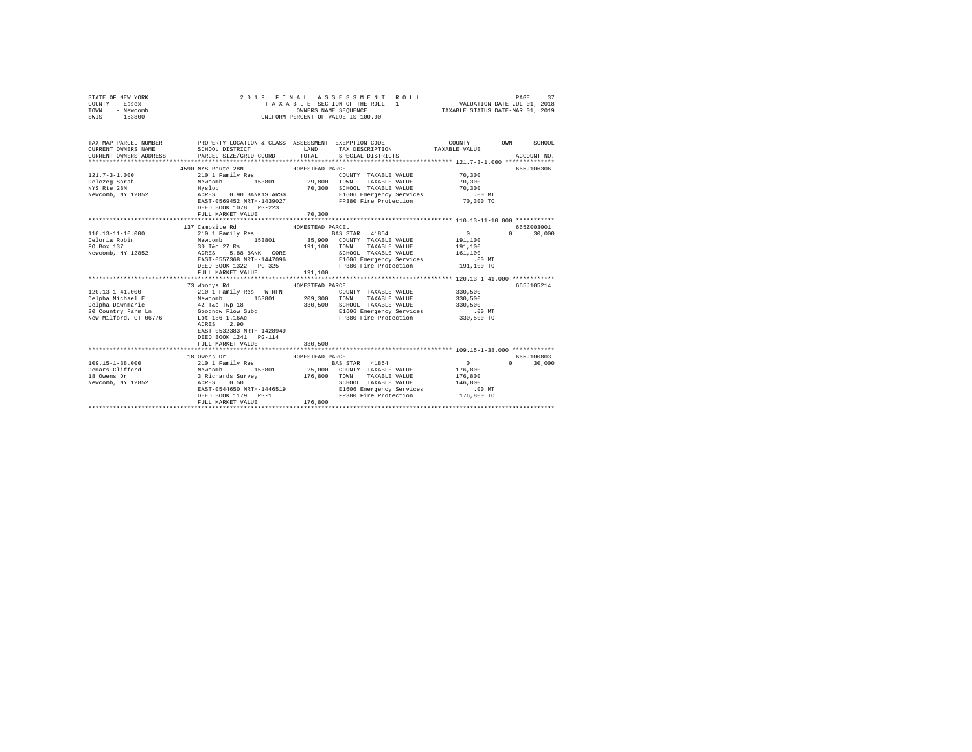| COUNTY - Essex<br>TOWN<br>- Newcomb |                                                                                                                                                                                                          |                  |                                                                                                                        |                                                         |                             |
|-------------------------------------|----------------------------------------------------------------------------------------------------------------------------------------------------------------------------------------------------------|------------------|------------------------------------------------------------------------------------------------------------------------|---------------------------------------------------------|-----------------------------|
| SWIS<br>$-153800$                   |                                                                                                                                                                                                          |                  | UNIFORM PERCENT OF VALUE IS 100.00                                                                                     |                                                         |                             |
|                                     |                                                                                                                                                                                                          |                  |                                                                                                                        |                                                         |                             |
|                                     |                                                                                                                                                                                                          |                  |                                                                                                                        |                                                         |                             |
|                                     |                                                                                                                                                                                                          |                  |                                                                                                                        |                                                         |                             |
| TAX MAP PARCEL NUMBER               |                                                                                                                                                                                                          |                  | PROPERTY LOCATION & CLASS ASSESSMENT EXEMPTION CODE---------------COUNTY-------TOWN------SCHOOL                        |                                                         |                             |
| CURRENT OWNERS NAME                 |                                                                                                                                                                                                          |                  | SCHOOL DISTRICT                        LAND         TAX DESCRIPTION                  TAXABLE VALUE                     |                                                         |                             |
| CURRENT OWNERS ADDRESS              | PARCEL SIZE/GRID COORD TOTAL                                                                                                                                                                             |                  | SPECIAL DISTRICTS                                                                                                      |                                                         | ACCOUNT NO.                 |
|                                     |                                                                                                                                                                                                          |                  |                                                                                                                        |                                                         |                             |
|                                     | 4590 NYS Route 28N                                                                                                                                                                                       | HOMESTEAD PARCEL |                                                                                                                        |                                                         | 665J106306                  |
| $121.7 - 3 - 1.000$                 | 210 1 Family Res                                                                                                                                                                                         |                  | COUNTY TAXABLE VALUE 70,300                                                                                            |                                                         |                             |
|                                     |                                                                                                                                                                                                          |                  |                                                                                                                        |                                                         |                             |
|                                     |                                                                                                                                                                                                          |                  |                                                                                                                        |                                                         |                             |
|                                     |                                                                                                                                                                                                          |                  |                                                                                                                        |                                                         |                             |
|                                     |                                                                                                                                                                                                          |                  | EAST-0569452 NRTH-1439027 PP380 Fire Protection 70,300 TO                                                              |                                                         |                             |
|                                     | DEED BOOK 1078    PG-223                                                                                                                                                                                 |                  |                                                                                                                        |                                                         |                             |
|                                     | FULL MARKET VALUE                                                                                                                                                                                        | 70,300           |                                                                                                                        |                                                         |                             |
|                                     |                                                                                                                                                                                                          |                  |                                                                                                                        |                                                         |                             |
|                                     | 137 Campsite Rd                                                                                                                                                                                          | HOMESTEAD PARCEL |                                                                                                                        |                                                         | 665Z003001                  |
|                                     |                                                                                                                                                                                                          |                  |                                                                                                                        |                                                         | $0 \t 30,000$               |
|                                     |                                                                                                                                                                                                          |                  |                                                                                                                        |                                                         |                             |
|                                     |                                                                                                                                                                                                          |                  |                                                                                                                        |                                                         |                             |
|                                     |                                                                                                                                                                                                          |                  |                                                                                                                        | 161, 100                                                |                             |
|                                     |                                                                                                                                                                                                          |                  | EAST-0557368 NRTH-1447096 1606 Emergency Services 191,100 NT<br>DEED BOOK 1322 PG-325 FP380 Fire Protection 191,100 TO |                                                         |                             |
|                                     |                                                                                                                                                                                                          |                  |                                                                                                                        |                                                         |                             |
|                                     | FULL MARKET VALUE 191,100                                                                                                                                                                                |                  |                                                                                                                        |                                                         |                             |
|                                     |                                                                                                                                                                                                          |                  |                                                                                                                        |                                                         |                             |
|                                     | 73 Woodys Rd                                                                                                                                                                                             | HOMESTEAD PARCEL |                                                                                                                        |                                                         | 665J105214                  |
|                                     |                                                                                                                                                                                                          |                  |                                                                                                                        | 330,500                                                 |                             |
|                                     |                                                                                                                                                                                                          |                  |                                                                                                                        | 330,500                                                 |                             |
|                                     |                                                                                                                                                                                                          |                  | 330,500 SCHOOL TAXABLE VALUE 330,500<br>E1606 Emergency Services .00 MT                                                |                                                         |                             |
|                                     |                                                                                                                                                                                                          |                  |                                                                                                                        |                                                         |                             |
|                                     | New Milford, CT 06776 Lot 186 1.16Ac                                                                                                                                                                     |                  | FP380 Fire Protection 330,500 TO                                                                                       |                                                         |                             |
|                                     | ACRES 2.90                                                                                                                                                                                               |                  |                                                                                                                        |                                                         |                             |
|                                     | EAST-0532383 NRTH-1428949                                                                                                                                                                                |                  |                                                                                                                        |                                                         |                             |
|                                     | DEED BOOK 1241 PG-114                                                                                                                                                                                    |                  |                                                                                                                        |                                                         |                             |
|                                     | FULL MARKET VALUE                                                                                                                                                                                        | 330,500          |                                                                                                                        |                                                         |                             |
|                                     |                                                                                                                                                                                                          |                  |                                                                                                                        |                                                         |                             |
|                                     | 18 Owens Dr                                                                                                                                                                                              | HOMESTEAD PARCEL |                                                                                                                        |                                                         | 665J100803                  |
| $109.15 - 1 - 38.000$               | 210 J Family Res<br>Newcomb 153801 25,000 COUNTY TAXABLE VALUE<br>3 Richards Survey 153801 25,000 COUNTY TAXABLE VALUE<br>3 Richards Survey 176,800 TOWN TAXABLE VALUE<br>ACRES 0.50 CHOOL TAXABLE VALUE |                  |                                                                                                                        | $\begin{smallmatrix}&&0\\&&2\\176,800\end{smallmatrix}$ | $0 \qquad \qquad$<br>30,000 |
| Demars Clifford<br>18 Owens Dr      |                                                                                                                                                                                                          |                  |                                                                                                                        |                                                         |                             |
|                                     |                                                                                                                                                                                                          |                  |                                                                                                                        | 176,800                                                 |                             |
| Newcomb, NY 12852                   | EAST-0544650 NRTH-1446519                                                                                                                                                                                |                  | SCHOOL TAXABLE VALUE<br>E1606 Emergency Services (00 MT<br>- - - - - - - - - - - - - - - - 176,800 TO                  |                                                         |                             |
|                                     | DEED BOOK 1179 PG-1                                                                                                                                                                                      |                  |                                                                                                                        |                                                         |                             |
|                                     | FULL MARKET VALUE                                                                                                                                                                                        | 176,800          |                                                                                                                        |                                                         |                             |
|                                     |                                                                                                                                                                                                          |                  |                                                                                                                        |                                                         |                             |
|                                     |                                                                                                                                                                                                          |                  |                                                                                                                        |                                                         |                             |

STATE OF NEW YORK 2019 FINAL ASSESSMENT ROLL PAGE 37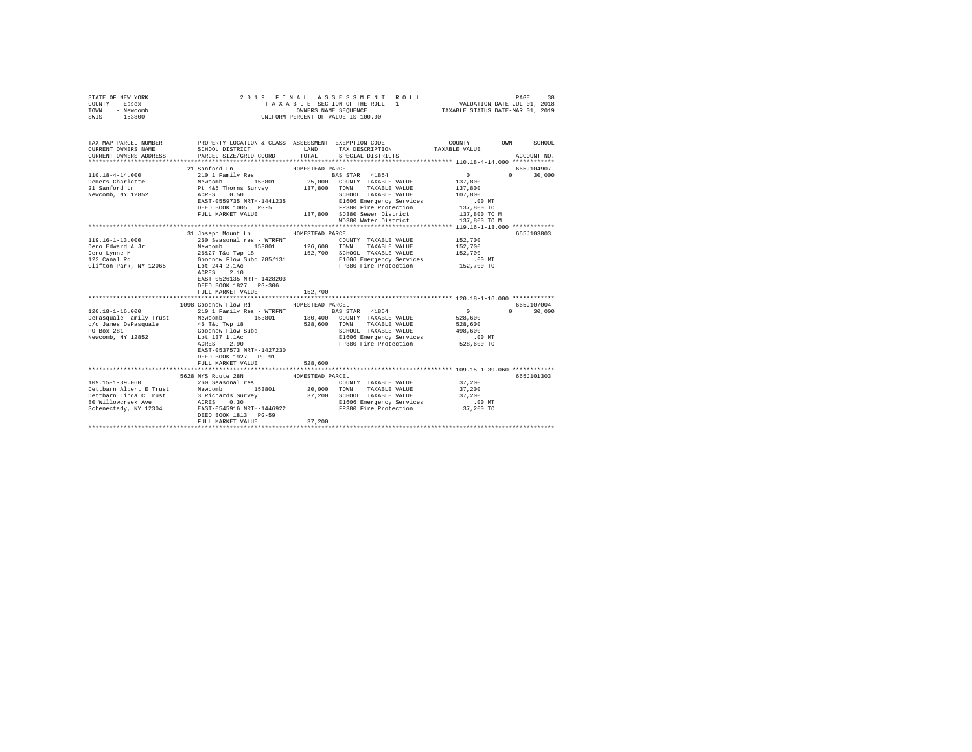| STATE OF NEW YORK<br>COUNTY - Essex<br>TOWN - Newcomb<br>SWIS - 153800 | 2019 FINAL                                                                                                                                                                                                                                                                                                                                                                                                                                                                                                     |                  | A S S E S S M E N T R O L L<br>UNIFORM PERCENT OF VALUE IS 100.00                              |                                                                | PAGE<br>38    |
|------------------------------------------------------------------------|----------------------------------------------------------------------------------------------------------------------------------------------------------------------------------------------------------------------------------------------------------------------------------------------------------------------------------------------------------------------------------------------------------------------------------------------------------------------------------------------------------------|------------------|------------------------------------------------------------------------------------------------|----------------------------------------------------------------|---------------|
| CURRENT OWNERS NAME<br>CURRENT OWNERS ADDRESS                          | TAX MAP PARCEL NUMBER PROPERTY LOCATION & CLASS ASSESSMENT EXEMPTION CODE---------------COUNTY-------TOWN------SCHOOL<br>SCHOOL DISTRICT<br>PARCEL SIZE/GRID COORD                                                                                                                                                                                                                                                                                                                                             |                  | LAND TAX DESCRIPTION<br>TOTAL SPECIAL DISTRICTS                                                | TAXABLE VALUE                                                  | ACCOUNT NO.   |
|                                                                        |                                                                                                                                                                                                                                                                                                                                                                                                                                                                                                                |                  |                                                                                                |                                                                |               |
|                                                                        | 21 Sanford Ln                                                                                                                                                                                                                                                                                                                                                                                                                                                                                                  | HOMESTEAD PARCEL |                                                                                                |                                                                | 665J104907    |
|                                                                        |                                                                                                                                                                                                                                                                                                                                                                                                                                                                                                                |                  |                                                                                                |                                                                | $0 \t 30,000$ |
|                                                                        |                                                                                                                                                                                                                                                                                                                                                                                                                                                                                                                |                  |                                                                                                |                                                                |               |
|                                                                        |                                                                                                                                                                                                                                                                                                                                                                                                                                                                                                                |                  |                                                                                                |                                                                |               |
|                                                                        |                                                                                                                                                                                                                                                                                                                                                                                                                                                                                                                |                  |                                                                                                |                                                                |               |
|                                                                        |                                                                                                                                                                                                                                                                                                                                                                                                                                                                                                                |                  |                                                                                                |                                                                |               |
|                                                                        |                                                                                                                                                                                                                                                                                                                                                                                                                                                                                                                |                  |                                                                                                |                                                                |               |
|                                                                        |                                                                                                                                                                                                                                                                                                                                                                                                                                                                                                                |                  | WD380 Water District                                                                           | 137,800 TO M                                                   |               |
|                                                                        |                                                                                                                                                                                                                                                                                                                                                                                                                                                                                                                |                  |                                                                                                |                                                                |               |
|                                                                        | 31 Joseph Mount Ln HOMESTEAD PARCEL                                                                                                                                                                                                                                                                                                                                                                                                                                                                            |                  |                                                                                                |                                                                | 665J103803    |
| 119.16-1-13.000                                                        | 260 Seasonal res - WTRFNT COUNTY TAXABLE VALUE<br>Newcomb 153801 126,600 TOWN TAXABLE VALUE<br>26627 Tac Twp 18 152,700 SCHOOL TAXABLE VALUE<br>GOOdnow Flow Subd 785/131 151606 Emergency Services                                                                                                                                                                                                                                                                                                            |                  | COUNTY TAXABLE VALUE 152,700                                                                   |                                                                |               |
| Deno Edward A Jr<br>Deno Lynne M<br>123 Canal Rd                       |                                                                                                                                                                                                                                                                                                                                                                                                                                                                                                                |                  |                                                                                                | 152,700                                                        |               |
|                                                                        |                                                                                                                                                                                                                                                                                                                                                                                                                                                                                                                |                  |                                                                                                | 152,700                                                        |               |
|                                                                        |                                                                                                                                                                                                                                                                                                                                                                                                                                                                                                                |                  | E1606 Emergency Services                                                                       | .00MT                                                          |               |
| Clifton Park, NY 12065                                                 | Lot 244 2.1Ac<br>ACRES 2.10<br>EAST-0526135 NRTH-1428203<br>DEED BOOK 1827 PG-306                                                                                                                                                                                                                                                                                                                                                                                                                              |                  | FP380 Fire Protection 152,700 TO                                                               |                                                                |               |
|                                                                        | FULL MARKET VALUE                                                                                                                                                                                                                                                                                                                                                                                                                                                                                              | 152,700          |                                                                                                |                                                                |               |
|                                                                        |                                                                                                                                                                                                                                                                                                                                                                                                                                                                                                                |                  |                                                                                                | ******************************** 120.18-1-16.000 ************* |               |
|                                                                        | 1098 Goodnow Flow Rd                                                                                                                                                                                                                                                                                                                                                                                                                                                                                           | HOMESTEAD PARCEL |                                                                                                |                                                                | 665J107004    |
|                                                                        |                                                                                                                                                                                                                                                                                                                                                                                                                                                                                                                |                  |                                                                                                | $\sim$ 0<br>528,600                                            | $0 \t 30.000$ |
|                                                                        |                                                                                                                                                                                                                                                                                                                                                                                                                                                                                                                |                  |                                                                                                | 528,600                                                        |               |
|                                                                        |                                                                                                                                                                                                                                                                                                                                                                                                                                                                                                                |                  |                                                                                                |                                                                |               |
|                                                                        |                                                                                                                                                                                                                                                                                                                                                                                                                                                                                                                |                  |                                                                                                |                                                                |               |
|                                                                        | $\begin{tabular}{l c c c c c} \hline 120.18-1-16.000 & \multicolumn{3}{c}{\multicolumn{3}{c}{\multicolumn{3}{c}{\multicolumn{3}{c}{\multicolumn{3}{c}{\multicolumn{3}{c}{\multicolumn{3}{c}{\multicolumn{3}{c}{\multicolumn{3}{c}{\multicolumn{3}{c}{\multicolumn{3}{c}{\multicolumn{3}{c}{\multicolumn{3}{c}{\multicolumn{3}{c}{\multicolumn{3}{c}{\multicolumn{3}{c}{\multicolumn{3}{c}{\multicolumn{3}{c}{\multicolumn{3}{c}{\multicolumn{3}{c}{\mult$<br>EAST-0537573 NRTH-1427230<br>DEED BOOK 1927 PG-91 |                  | SCHOOL TAAABDE VALUSE<br>E1606 Emergency Services 1600 Min<br>FP380 Fire Protection 528,600 TO |                                                                |               |
|                                                                        | FULL MARKET VALUE                                                                                                                                                                                                                                                                                                                                                                                                                                                                                              | 528,600          |                                                                                                |                                                                |               |
|                                                                        | 5628 NYS Route 28N                                                                                                                                                                                                                                                                                                                                                                                                                                                                                             | HOMESTEAD PARCEL |                                                                                                |                                                                | 665J101303    |
|                                                                        |                                                                                                                                                                                                                                                                                                                                                                                                                                                                                                                |                  |                                                                                                |                                                                |               |
|                                                                        | FULL MARKET VALUE                                                                                                                                                                                                                                                                                                                                                                                                                                                                                              | 37,200           |                                                                                                |                                                                |               |
|                                                                        |                                                                                                                                                                                                                                                                                                                                                                                                                                                                                                                |                  |                                                                                                |                                                                |               |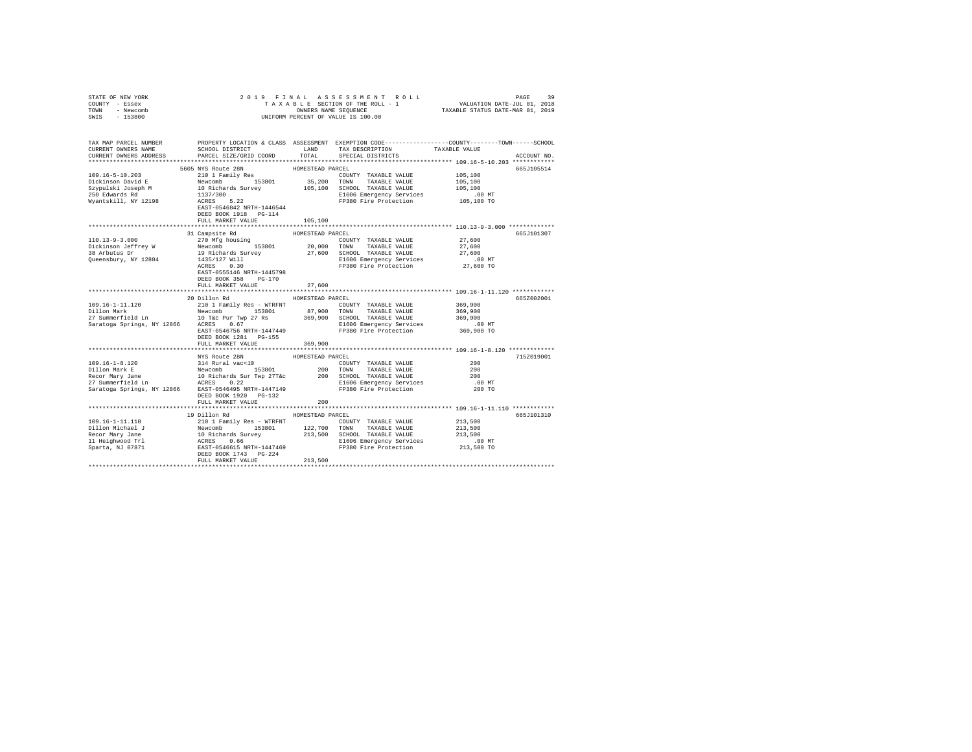| STATE OF NEW YORK<br>COUNTY - Essex<br>TOWN - Newcomb<br>SWIS<br>$-153800$                                                                                                                                                                                                        | 2019 FINAL<br>OWNERS NAME SEQUENCE<br>UNIFORM PERCENT OF VALUE IS 100.00                                                                                                                                                                                          |                  |                                                                                                                             |                    |             |  |  |
|-----------------------------------------------------------------------------------------------------------------------------------------------------------------------------------------------------------------------------------------------------------------------------------|-------------------------------------------------------------------------------------------------------------------------------------------------------------------------------------------------------------------------------------------------------------------|------------------|-----------------------------------------------------------------------------------------------------------------------------|--------------------|-------------|--|--|
|                                                                                                                                                                                                                                                                                   |                                                                                                                                                                                                                                                                   |                  |                                                                                                                             |                    |             |  |  |
| TAX MAP PARCEL NUMBER PROPERTY LOCATION & CLASS ASSESSMENT EXEMPTION CODE---------------COUNTY-------TOWN------SCHOOL                                                                                                                                                             |                                                                                                                                                                                                                                                                   |                  |                                                                                                                             |                    |             |  |  |
| CURRENT OWNERS NAME                                                                                                                                                                                                                                                               | SCHOOL DISTRICT LAND                                                                                                                                                                                                                                              | TOTAL            | TAX DESCRIPTION<br>SPECIAL DISTRICTS                                                                                        | TAXABLE VALUE      | ACCOUNT NO. |  |  |
| CURRENT OWNERS ADDRESS                                                                                                                                                                                                                                                            | PARCEL SIZE/GRID COORD                                                                                                                                                                                                                                            |                  |                                                                                                                             |                    |             |  |  |
|                                                                                                                                                                                                                                                                                   | 5605 NYS Route 28N                                                                                                                                                                                                                                                | HOMESTEAD PARCEL |                                                                                                                             |                    | 665J105514  |  |  |
| $109.16 - 5 - 10.203$                                                                                                                                                                                                                                                             | 3003 NIS ROULE ZON<br>210 1 Family Res                                                                                                                                                                                                                            |                  | COUNTY TAXABLE VALUE                                                                                                        | 105,100            |             |  |  |
|                                                                                                                                                                                                                                                                                   |                                                                                                                                                                                                                                                                   |                  |                                                                                                                             | 105,100            |             |  |  |
|                                                                                                                                                                                                                                                                                   |                                                                                                                                                                                                                                                                   |                  |                                                                                                                             | 105,100            |             |  |  |
| Dickinson David E<br>Szypulski Joseph M<br>250 Edwards Rd                                                                                                                                                                                                                         |                                                                                                                                                                                                                                                                   |                  | E1606 Emergency Services 0.00 MT<br>FP380 Fire Protection 105,100 TO                                                        |                    |             |  |  |
| Wyantskill, NY 12198                                                                                                                                                                                                                                                              | Newcomb 153801 35,200 COWN' TAXABLE VALUE<br>10 Richards Survey 105,100 SCHODL TAXABLE VALUE<br>1137/300 108 Survey 105,100 SCHODL TAXABLE VALUE<br>1137/300 E1606 Emergency Services<br>EXST-0546842 NRTH-1446544 FP380 Fire Protection<br>DEED BOOK 1918 PG-114 |                  |                                                                                                                             |                    |             |  |  |
|                                                                                                                                                                                                                                                                                   | FULL MARKET VALUE                                                                                                                                                                                                                                                 | 105,100          |                                                                                                                             |                    |             |  |  |
|                                                                                                                                                                                                                                                                                   |                                                                                                                                                                                                                                                                   | HOMESTEAD PARCEL |                                                                                                                             |                    | 665J101307  |  |  |
| 110.13-9-3.000                                                                                                                                                                                                                                                                    | 31 Campsite Rd<br>270 Mfg housing                                                                                                                                                                                                                                 |                  | COUNTY TAXABLE VALUE                                                                                                        | 27,600             |             |  |  |
|                                                                                                                                                                                                                                                                                   |                                                                                                                                                                                                                                                                   |                  |                                                                                                                             | 27,600             |             |  |  |
|                                                                                                                                                                                                                                                                                   |                                                                                                                                                                                                                                                                   |                  | 20,000 TOWN TAXABLE VALUE<br>27,600 SCHOOL TAXABLE VALUE<br>TAAADDD<br>TAXABLE VALUE                                        | 27,600             |             |  |  |
| Queensbury, NY 12804                                                                                                                                                                                                                                                              |                                                                                                                                                                                                                                                                   |                  |                                                                                                                             | .00 MT             |             |  |  |
|                                                                                                                                                                                                                                                                                   |                                                                                                                                                                                                                                                                   |                  | 1435/127 Will<br>1435/127 Will <b>El606</b> Emergency Services 0.00 MT<br>RCRES 0.30 <b>PP380</b> Fire Protection 27,600 TO |                    |             |  |  |
|                                                                                                                                                                                                                                                                                   | EAST-0555146 NRTH-1445798<br>DEED BOOK 358 PG-170                                                                                                                                                                                                                 |                  |                                                                                                                             |                    |             |  |  |
|                                                                                                                                                                                                                                                                                   | FULL MARKET VALUE                                                                                                                                                                                                                                                 | 27,600           | ***************************** 109.16-1-11.120 ***********                                                                   |                    |             |  |  |
|                                                                                                                                                                                                                                                                                   | 20 Dillon Rd                                                                                                                                                                                                                                                      | HOMESTEAD PARCEL |                                                                                                                             |                    | 665Z002001  |  |  |
| 109.16-1-11.120                                                                                                                                                                                                                                                                   | 210 1 Family Res - WTRFNT                                                                                                                                                                                                                                         |                  | COUNTY TAXABLE VALUE                                                                                                        | 369,900            |             |  |  |
|                                                                                                                                                                                                                                                                                   |                                                                                                                                                                                                                                                                   |                  |                                                                                                                             |                    |             |  |  |
|                                                                                                                                                                                                                                                                                   |                                                                                                                                                                                                                                                                   |                  |                                                                                                                             | 369,900<br>369,900 |             |  |  |
|                                                                                                                                                                                                                                                                                   |                                                                                                                                                                                                                                                                   |                  | E1606 Emergency Services .00 MT<br>FP380 Fire Protection 369,900 TO                                                         |                    |             |  |  |
|                                                                                                                                                                                                                                                                                   |                                                                                                                                                                                                                                                                   |                  |                                                                                                                             |                    |             |  |  |
|                                                                                                                                                                                                                                                                                   | DEED BOOK 1281   PG-155                                                                                                                                                                                                                                           |                  |                                                                                                                             |                    |             |  |  |
|                                                                                                                                                                                                                                                                                   | FULL MARKET VALUE                                                                                                                                                                                                                                                 | 369,900          |                                                                                                                             |                    |             |  |  |
|                                                                                                                                                                                                                                                                                   | NYS Route 28N                                                                                                                                                                                                                                                     | HOMESTEAD PARCEL |                                                                                                                             |                    | 715Z019001  |  |  |
|                                                                                                                                                                                                                                                                                   |                                                                                                                                                                                                                                                                   |                  | COUNTY TAXABLE VALUE                                                                                                        | 200                |             |  |  |
|                                                                                                                                                                                                                                                                                   |                                                                                                                                                                                                                                                                   |                  |                                                                                                                             | 200                |             |  |  |
|                                                                                                                                                                                                                                                                                   |                                                                                                                                                                                                                                                                   |                  |                                                                                                                             | 200                |             |  |  |
|                                                                                                                                                                                                                                                                                   |                                                                                                                                                                                                                                                                   |                  |                                                                                                                             | .00MT              |             |  |  |
|                                                                                                                                                                                                                                                                                   | DEED BOOK 1920 PG-132                                                                                                                                                                                                                                             |                  |                                                                                                                             | 200 TO             |             |  |  |
|                                                                                                                                                                                                                                                                                   | FULL MARKET VALUE                                                                                                                                                                                                                                                 | 200              |                                                                                                                             |                    |             |  |  |
|                                                                                                                                                                                                                                                                                   | 19 Dillon Rd MOMESTEAD PARCEL                                                                                                                                                                                                                                     |                  |                                                                                                                             |                    | 665J101310  |  |  |
|                                                                                                                                                                                                                                                                                   |                                                                                                                                                                                                                                                                   |                  |                                                                                                                             | 213,500            |             |  |  |
|                                                                                                                                                                                                                                                                                   |                                                                                                                                                                                                                                                                   |                  |                                                                                                                             | 213,500            |             |  |  |
|                                                                                                                                                                                                                                                                                   |                                                                                                                                                                                                                                                                   |                  |                                                                                                                             | 213,500            |             |  |  |
|                                                                                                                                                                                                                                                                                   |                                                                                                                                                                                                                                                                   |                  |                                                                                                                             | $.00$ MT           |             |  |  |
| $\begin{tabular}{l c c c c c} \hline 109.16-1-11.110 & 21011\,mm & 21011\,mm & 21011\,mm & 21011\,mm & 21011\,mm & 21011\,mm & 21011\,mm & 21011\,mm & 21011\,mm & 21011\,mm & 21011\,mm & 21011\,mm & 21011\,mm & 21011\,mm & 21011\,mm & 21011\,mm & 21011\,mm & 21011\,mm & 2$ |                                                                                                                                                                                                                                                                   |                  |                                                                                                                             | 213,500 TO         |             |  |  |
|                                                                                                                                                                                                                                                                                   |                                                                                                                                                                                                                                                                   |                  |                                                                                                                             |                    |             |  |  |
|                                                                                                                                                                                                                                                                                   | FULL MARKET VALUE                                                                                                                                                                                                                                                 | 213,500          |                                                                                                                             |                    |             |  |  |
|                                                                                                                                                                                                                                                                                   |                                                                                                                                                                                                                                                                   |                  |                                                                                                                             |                    |             |  |  |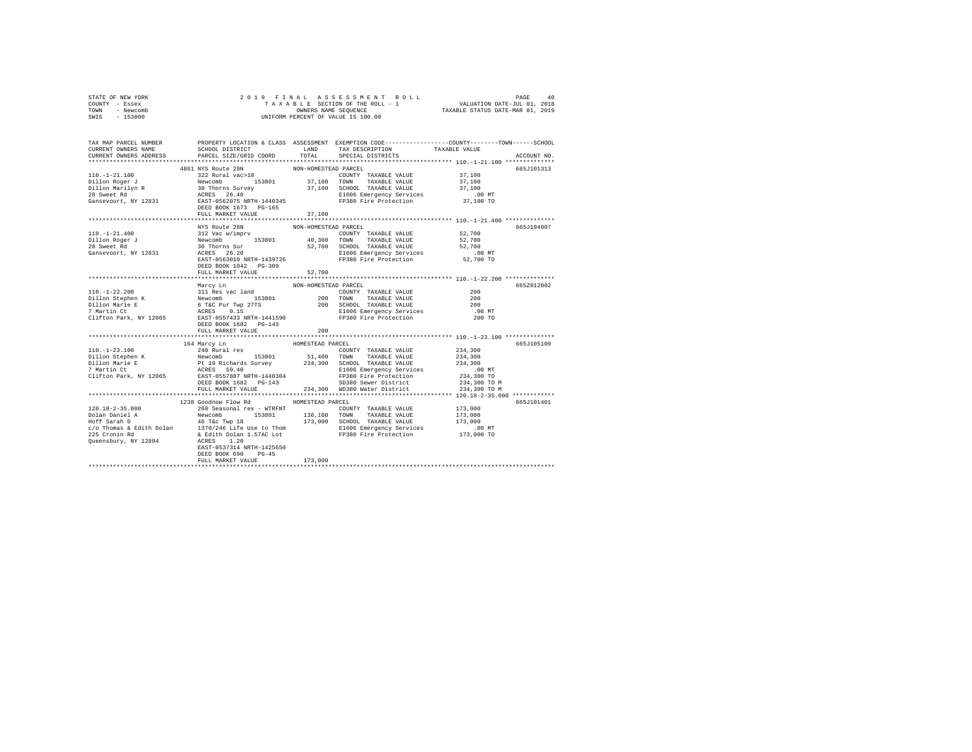| STATE OF NEW YORK<br>COUNTY - Essex<br>TOWN - Newcomb<br>SWIS - 153800                                                                                                                                                                                                                                                                                                                                                  |                                                                                   |                      |                                                                                                                                      |
|-------------------------------------------------------------------------------------------------------------------------------------------------------------------------------------------------------------------------------------------------------------------------------------------------------------------------------------------------------------------------------------------------------------------------|-----------------------------------------------------------------------------------|----------------------|--------------------------------------------------------------------------------------------------------------------------------------|
|                                                                                                                                                                                                                                                                                                                                                                                                                         |                                                                                   |                      | TAX MAP PARCEL NUMBER PROPERTY LOCATION & CLASS ASSESSMENT EXEMPTION CODE---------------COUNTY-------TOWN------SCHOOL<br>ACCOUNT NO. |
|                                                                                                                                                                                                                                                                                                                                                                                                                         |                                                                                   |                      | 665J101313                                                                                                                           |
| $\begin{tabular}{c c c c} \multicolumn{4}{c}{110.-1-21.100} & \multicolumn{4}{c}{4861 NYS Route 28N} & \multicolumn{4}{c}{110.-1-21.100} & \multicolumn{4}{c}{4861 NYS Route 28N} & \multicolumn{4}{c}{NON-HOMHSTRED PARECL} & \multicolumn{4}{c}{COWITY} & \multicolumn{4}{c}{XXABLE VALUB} & 37,100 \\ \hline \multicolumn{4}{c}{Dil1on Roger J} & \multicolumn{4}{c}{32} Rural vac>10 & 153801 & 37$                 |                                                                                   |                      |                                                                                                                                      |
|                                                                                                                                                                                                                                                                                                                                                                                                                         | FULL MARKET VALUE                                                                 | 37,100               |                                                                                                                                      |
|                                                                                                                                                                                                                                                                                                                                                                                                                         |                                                                                   |                      |                                                                                                                                      |
|                                                                                                                                                                                                                                                                                                                                                                                                                         |                                                                                   |                      | 665J194007                                                                                                                           |
| $\begin{tabular}{l c c c c c c} \multicolumn{2}{c}{\textbf{NUS Route 28N}} & \multicolumn{2}{c}{\textbf{NUS Route 28N}} & \multicolumn{2}{c}{\textbf{NOS - HOMESTRAD PARCEL}} & \multicolumn{2}{c}{\textbf{PAC}} & \multicolumn{2}{c}{\textbf{S2,700}} \\ \multicolumn{2}{c}{\textbf{110. -1-21. 400}} & \multicolumn{2}{c}{\textbf{121. 800}} & \multicolumn{2}{c}{\textbf{122. 800}} & \multicolumn{2}{c}{\textbf{1$  | DEED BOOK 1042 PG-309                                                             |                      |                                                                                                                                      |
|                                                                                                                                                                                                                                                                                                                                                                                                                         | FULL MARKET VALUE 52,700                                                          |                      |                                                                                                                                      |
|                                                                                                                                                                                                                                                                                                                                                                                                                         |                                                                                   |                      |                                                                                                                                      |
|                                                                                                                                                                                                                                                                                                                                                                                                                         | Marcy Ln<br>FULL MARKET VALUE 200                                                 | NON-HOMESTEAD PARCEL | 665Z012002                                                                                                                           |
|                                                                                                                                                                                                                                                                                                                                                                                                                         |                                                                                   |                      |                                                                                                                                      |
| $\begin{tabular}{l c c c c c} \multicolumn{1}{c}{\textbf{164}~\textbf{Macy}~\textbf{In}} & \multicolumn{1}{c}{\textbf{164}~\textbf{Macy}~\textbf{In}} & \multicolumn{1}{c}{\textbf{164}~\textbf{Macy}~\textbf{In}} & \multicolumn{1}{c}{\textbf{164}~\textbf{Macy}~\textbf{In}} & \multicolumn{1}{c}{\textbf{164}~\textbf{Macy}~\textbf{In}} & \multicolumn{1}{c}{\textbf{165}~\textbf{M} & \multicolumn{1}{c}{\textbf$ |                                                                                   |                      | 665J105109                                                                                                                           |
|                                                                                                                                                                                                                                                                                                                                                                                                                         |                                                                                   |                      |                                                                                                                                      |
|                                                                                                                                                                                                                                                                                                                                                                                                                         | 1238 Goodnow Flow Rd HOMESTEAD PARCEL<br>DEED BOOK 690 PG-45<br>FULL MARKET VALUE | 173,000              | 665J101401                                                                                                                           |
|                                                                                                                                                                                                                                                                                                                                                                                                                         |                                                                                   |                      |                                                                                                                                      |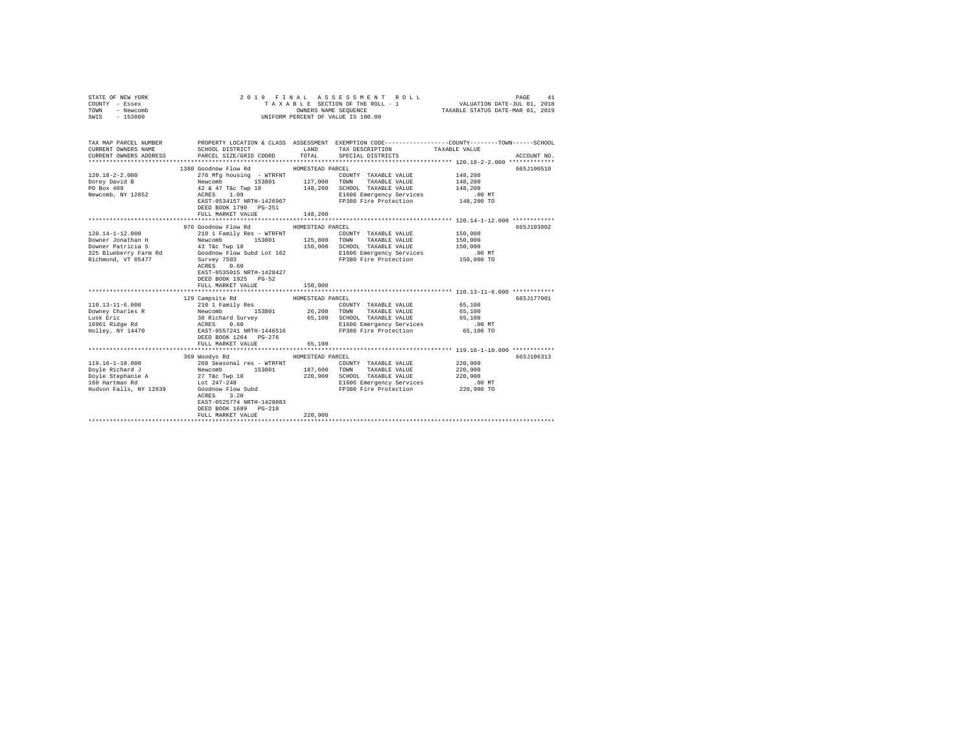| STATE OF NEW YORK<br>COUNTY - Essex<br>TOWN - Newcomb<br>SWIS - 153800                                                                                                                                                                                                                                   |                                                  |                  | 2019 FINAL ASSESSMENT ROLL<br>UNIFORM PERCENT OF VALUE IS 100.00                                                           | VALUATION DATE-JUL 01, 2018 | PAGE<br>41  |
|----------------------------------------------------------------------------------------------------------------------------------------------------------------------------------------------------------------------------------------------------------------------------------------------------------|--------------------------------------------------|------------------|----------------------------------------------------------------------------------------------------------------------------|-----------------------------|-------------|
| TAX MAP PARCEL NUMBER PROPERTY LOCATION & CLASS ASSESSMENT EXEMPTION CODE--------------COUNTY-------TOWN------SCHOOL<br>CURRENT OWNERS NAME<br>CURRENT OWNERS ADDRESS                                                                                                                                    | SCHOOL DISTRICT<br>PARCEL SIZE/GRID COORD        | LAND<br>TOTAL    | TAX DESCRIPTION TAXABLE VALUE<br>SPECIAL DISTRICTS                                                                         |                             | ACCOUNT NO. |
|                                                                                                                                                                                                                                                                                                          |                                                  |                  |                                                                                                                            |                             |             |
|                                                                                                                                                                                                                                                                                                          | 1380 Goodnow Flow Rd                             | HOMESTEAD PARCEL |                                                                                                                            |                             | 665J100510  |
| $120.18 - 2 - 2.000$                                                                                                                                                                                                                                                                                     |                                                  |                  |                                                                                                                            | 148,200                     |             |
| Dorey David B                                                                                                                                                                                                                                                                                            |                                                  |                  |                                                                                                                            | 148,200                     |             |
| PO Box 409                                                                                                                                                                                                                                                                                               |                                                  |                  |                                                                                                                            | 148,200                     |             |
| Newcomb, NY 12852                                                                                                                                                                                                                                                                                        |                                                  |                  |                                                                                                                            |                             |             |
|                                                                                                                                                                                                                                                                                                          | DEED BOOK 1790 PG-251                            |                  |                                                                                                                            |                             |             |
|                                                                                                                                                                                                                                                                                                          | FULL MARKET VALUE                                | 148,200          |                                                                                                                            |                             |             |
|                                                                                                                                                                                                                                                                                                          |                                                  |                  |                                                                                                                            |                             |             |
| $120.14 - 1 - 12.000$                                                                                                                                                                                                                                                                                    | 976 Goodnow Flow Rd<br>210 1 Family Res - WTRFNT | HOMESTEAD PARCEL | COUNTY TAXABLE VALUE                                                                                                       | 150,000                     | 665J103802  |
| Downer Jonathan H                                                                                                                                                                                                                                                                                        | Newcomb 153801 125,800 TOWN TAXABLE VALUE        |                  |                                                                                                                            | 150,000                     |             |
| Downer Patricia S                                                                                                                                                                                                                                                                                        | 43 T&C Twp 18 150,000                            |                  | SCHOOL TAXABLE VALUE                                                                                                       | 150,000                     |             |
|                                                                                                                                                                                                                                                                                                          |                                                  |                  |                                                                                                                            |                             |             |
| 325 Blueberry Farm Rd $325$ Blueberry Farm Rd $325$ Blueberry Farm Boodnow Flow Subd Lot 162                                                                                                                                                                                                             |                                                  |                  | E1606 Emergency Services .00 MT<br>FP380 Fire Protection .000 TO                                                           |                             |             |
|                                                                                                                                                                                                                                                                                                          | $ACRES$ 0.60<br>RCRES 0.60                       |                  |                                                                                                                            |                             |             |
|                                                                                                                                                                                                                                                                                                          | EAST-0535015 NRTH-1428427                        |                  |                                                                                                                            |                             |             |
|                                                                                                                                                                                                                                                                                                          | DEED BOOK 1925 PG-52                             |                  |                                                                                                                            |                             |             |
|                                                                                                                                                                                                                                                                                                          | FULL MARKET VALUE                                | 150,000          |                                                                                                                            |                             |             |
|                                                                                                                                                                                                                                                                                                          | 129 Campsite Rd                                  | HOMESTEAD PARCEL |                                                                                                                            |                             | 665J177001  |
|                                                                                                                                                                                                                                                                                                          |                                                  |                  | COUNTY TAXABLE VALUE 65,100                                                                                                |                             |             |
|                                                                                                                                                                                                                                                                                                          |                                                  |                  |                                                                                                                            | 65,100                      |             |
|                                                                                                                                                                                                                                                                                                          |                                                  |                  |                                                                                                                            | 65,100                      |             |
|                                                                                                                                                                                                                                                                                                          |                                                  |                  |                                                                                                                            | $.00$ MT                    |             |
| $\begin{tabular}{l c c c c c c c} \hline 110.13-11-6.000 & $\quad$ & $210$ I Family Res & $1000$ & $10000$ & $10000$ & $10000$ & $10000$ & $10000$ & $10000$ & $10000$ & $10000$ & $10000$ & $10000$ & $10000$ & $10000$ & $10000$ & $10000$ & $10000$ & $10000$ & $10000$ & $10000$ & $10000$ & $10000$ |                                                  |                  |                                                                                                                            | 65,100 TO                   |             |
|                                                                                                                                                                                                                                                                                                          | DEED BOOK 1264 PG-276                            |                  |                                                                                                                            |                             |             |
|                                                                                                                                                                                                                                                                                                          | FULL MARKET VALUE                                | 65,100           |                                                                                                                            |                             |             |
|                                                                                                                                                                                                                                                                                                          |                                                  |                  |                                                                                                                            |                             |             |
| 119.16-1-10.000                                                                                                                                                                                                                                                                                          | 369 Woodys Rd<br>260 Seasonal res - WTRFNT       | HOMESTEAD PARCEL | COUNTY TAXABLE VALUE                                                                                                       | 220,900                     | 665J106313  |
|                                                                                                                                                                                                                                                                                                          |                                                  | 187,600          | TOWN<br>TAXABLE VALUE                                                                                                      | 220,900                     |             |
|                                                                                                                                                                                                                                                                                                          |                                                  |                  | 220,900 SCHOOL TAXABLE VALUE                                                                                               | 220,900                     |             |
|                                                                                                                                                                                                                                                                                                          |                                                  |                  |                                                                                                                            |                             |             |
|                                                                                                                                                                                                                                                                                                          |                                                  |                  | E1606 Emergency Services .00 MT<br>FP380 Fire Protection 220,900 TO<br>E1606 Emergency Surrection<br>FP380 Fire Protection |                             |             |
|                                                                                                                                                                                                                                                                                                          | ACRES 3.20                                       |                  |                                                                                                                            |                             |             |
|                                                                                                                                                                                                                                                                                                          | EAST-0525774 NRTH-1428083                        |                  |                                                                                                                            |                             |             |
|                                                                                                                                                                                                                                                                                                          | DEED BOOK 1689 PG-218                            |                  |                                                                                                                            |                             |             |
|                                                                                                                                                                                                                                                                                                          | FULL MARKET VALUE                                | 220,900          |                                                                                                                            |                             |             |
|                                                                                                                                                                                                                                                                                                          |                                                  |                  |                                                                                                                            |                             |             |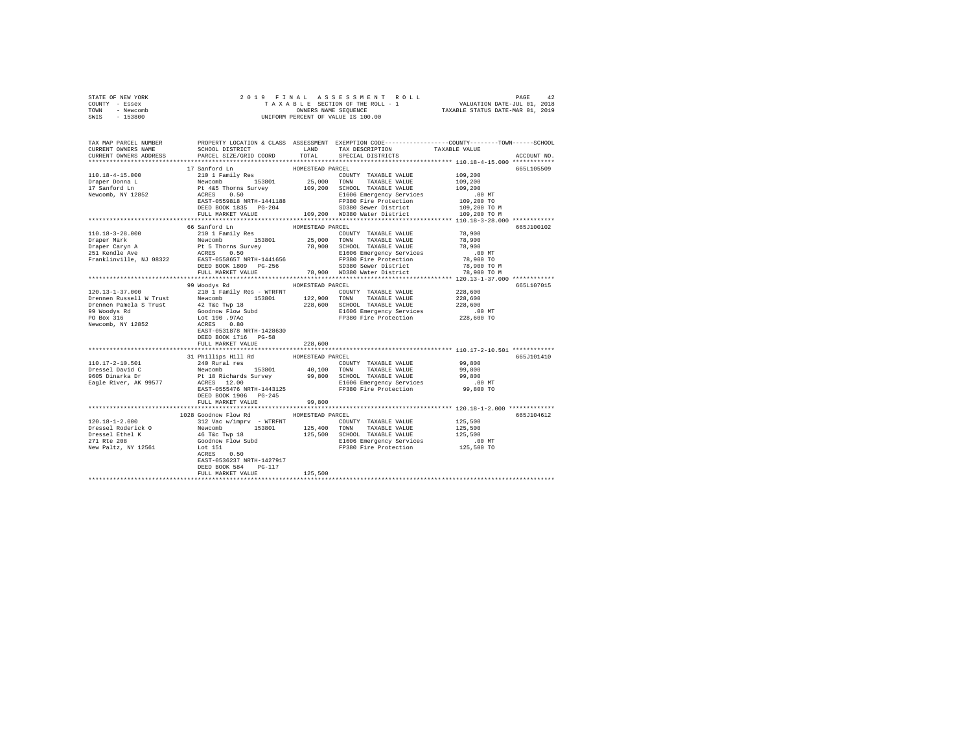| STATE OF NEW YORK | 2019 FINAL ASSESSMENT ROLL         | 42<br>PAGE                       |
|-------------------|------------------------------------|----------------------------------|
| COUNTY - Essex    | TAXABLE SECTION OF THE ROLL - 1    | VALUATION DATE-JUL 01, 2018      |
| TOWN<br>- Newcomb | OWNERS NAME SEOUENCE               | TAXABLE STATUS DATE-MAR 01, 2019 |
| - 153800<br>SWIS  | UNIFORM PERCENT OF VALUE IS 100.00 |                                  |

| TAX MAP PARCEL NUMBER<br>CURRENT OWNERS NAME<br>CURRENT OWNERS ADDRESS | SCHOOL DISTRICT<br>PARCEL SIZE/GRID COORD                                                    | TOTAL            | LAND TAX DESCRIPTION<br>SPECIAL DISTRICTS                                         | PROPERTY LOCATION & CLASS ASSESSMENT EXEMPTION CODE---------------COUNTY-------TOWN-----SCHOOL<br>TAXABLE VALUE<br>ACCOUNT NO. |
|------------------------------------------------------------------------|----------------------------------------------------------------------------------------------|------------------|-----------------------------------------------------------------------------------|--------------------------------------------------------------------------------------------------------------------------------|
| ***********************                                                |                                                                                              |                  |                                                                                   |                                                                                                                                |
|                                                                        | 17 Sanford Ln                                                                                | HOMESTEAD PARCEL | COUNTY TAXABLE VALUE<br>25,000 TOWN TAXABLE VALUE<br>COUNTY TAXABLE VALUE         | 665L105509<br>109,200<br>109,200                                                                                               |
|                                                                        |                                                                                              |                  | 109,200 SCHOOL TAXABLE VALUE<br>E1606 Emergency Services<br>FP380 Fire Protection | 109,200<br>.00 MT<br>109,200 TO                                                                                                |
|                                                                        | DEED BOOK 1835 PG-204 SD380 Sewer District<br>FULL MARKET VALUE 109,200 WD380 Water District |                  |                                                                                   | 109,200 TO M<br>109,200 TO M                                                                                                   |
|                                                                        | 66 Sanford Ln                                                                                | HOMESTEAD PARCEL |                                                                                   | 665J100102                                                                                                                     |
|                                                                        |                                                                                              |                  |                                                                                   |                                                                                                                                |
|                                                                        |                                                                                              |                  |                                                                                   |                                                                                                                                |
|                                                                        |                                                                                              |                  |                                                                                   |                                                                                                                                |
|                                                                        |                                                                                              |                  |                                                                                   |                                                                                                                                |
|                                                                        |                                                                                              |                  |                                                                                   | 665L107015                                                                                                                     |
|                                                                        |                                                                                              |                  |                                                                                   |                                                                                                                                |
|                                                                        | FULL MARKET VALUE                                                                            | 228,600          |                                                                                   |                                                                                                                                |
|                                                                        |                                                                                              |                  |                                                                                   |                                                                                                                                |
|                                                                        | 31 Phillips Hill Rd                                                                          |                  |                                                                                   | 665J101410<br>99,800                                                                                                           |
|                                                                        |                                                                                              |                  |                                                                                   | 99,800<br>99,800                                                                                                               |
|                                                                        | ACRES 12.00<br>EAST-0555476 NRTH-1443125<br>DEED BOOK 1906 PG-245<br>FULL MARKET VALUE       | 99,800           | E1606 Emergency Services 6.00 MT<br>FP380 Fire Protection 99,800 TO               |                                                                                                                                |
|                                                                        |                                                                                              |                  |                                                                                   |                                                                                                                                |
|                                                                        | 1028 Goodnow Flow Rd                                                                         | HOMESTEAD PARCEL |                                                                                   | 665J104612                                                                                                                     |
|                                                                        | EAST-0536237 NRTH-1427917                                                                    |                  |                                                                                   |                                                                                                                                |
|                                                                        | DEED BOOK 584 PG-117<br>FULL MARKET VALUE                                                    | 125,500          |                                                                                   |                                                                                                                                |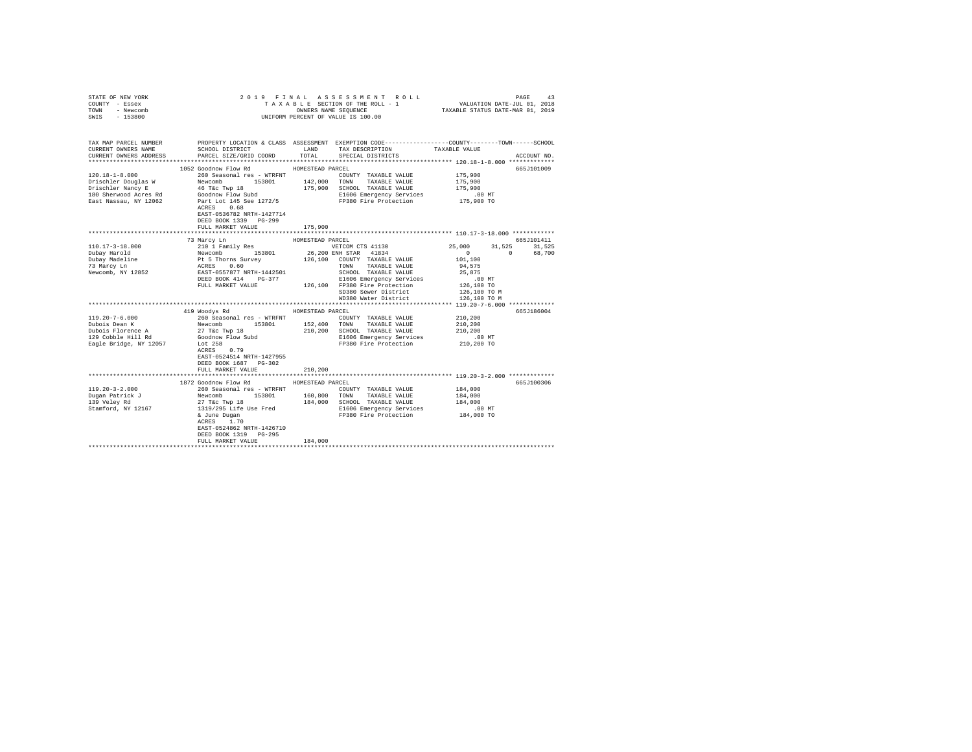| STATE OF NEW YORK<br>COUNTY - Essex<br>- Newcomb<br>TOWN<br>$-153800$<br>SWIS | 2019 FINAL                                                                                                            |                  | UNIFORM PERCENT OF VALUE IS 100.00                                      |                                                                                                |                    |
|-------------------------------------------------------------------------------|-----------------------------------------------------------------------------------------------------------------------|------------------|-------------------------------------------------------------------------|------------------------------------------------------------------------------------------------|--------------------|
| TAX MAP PARCEL NUMBER<br>CURRENT OWNERS NAME<br>CURRENT OWNERS ADDRESS        | SCHOOL DISTRICT<br>PARCEL SIZE/GRID COORD                                                                             | LAND<br>TOTAL    | TAX DESCRIPTION TAXABLE VALUE<br>SPECIAL DISTRICTS                      | PROPERTY LOCATION & CLASS ASSESSMENT EXEMPTION CODE---------------COUNTY-------TOWN-----SCHOOL | ACCOUNT NO.        |
|                                                                               |                                                                                                                       |                  |                                                                         |                                                                                                |                    |
|                                                                               | 1052 Goodnow Flow Rd HOMESTEAD PARCEL                                                                                 |                  |                                                                         |                                                                                                | 665J101009         |
| $120.18 - 1 - 8.000$                                                          | 260 Seasonal res - WTRFNT                                                                                             |                  | COUNTY TAXABLE VALUE                                                    | 175,900                                                                                        |                    |
|                                                                               |                                                                                                                       |                  | 153801 142,000 TOWN TAXABLE VALUE<br>WP 18 175,900 SCHOOL TAXABLE VALUE | 175,900                                                                                        |                    |
|                                                                               |                                                                                                                       |                  |                                                                         | 175,900                                                                                        |                    |
|                                                                               |                                                                                                                       |                  |                                                                         |                                                                                                |                    |
| East Nassau, NY 12062                                                         | ACRES 0.68<br>EAST-0536782 NRTH-1427714<br>DEED BOOK 1339 PG-299                                                      |                  |                                                                         |                                                                                                |                    |
|                                                                               | FULL MARKET VALUE                                                                                                     | 175,900          |                                                                         |                                                                                                |                    |
|                                                                               |                                                                                                                       |                  |                                                                         |                                                                                                |                    |
|                                                                               | 73 Marcy Ln                                                                                                           | HOMESTEAD PARCEL |                                                                         | 31,525                                                                                         | 665J101411         |
| $110.17 - 3 - 18.000$<br>Dubay Harold                                         | 2010 1 Family Res<br>Newcomb<br>Pt 5 Thorns Survey<br>DESS 0.60<br>EAST-0557977 NRTH-1442501<br>DEED BOOK 414 PG-377  |                  | VETCOM CTS 41130<br>26,200 ENH STAR 41834                               | 25,000<br>$\sim$ 0                                                                             | 31,525<br>0 68,700 |
| Dubay Madeline                                                                |                                                                                                                       |                  | 126,100 COUNTY TAXABLE VALUE                                            | 101,100                                                                                        |                    |
| 73 Marcy Ln                                                                   |                                                                                                                       |                  | TOWN TAXABLE VALUE                                                      | 94.575                                                                                         |                    |
| Newcomb, NY 12852                                                             |                                                                                                                       |                  | SCHOOL TAXABLE VALUE                                                    | 25,875                                                                                         |                    |
|                                                                               |                                                                                                                       |                  | E1606 Emergency Services                                                | $.00$ MT                                                                                       |                    |
|                                                                               | FULL MARKET VALUE                                                                                                     |                  | 126,100 FP380 Fire Protection                                           | 126,100 TO                                                                                     |                    |
|                                                                               |                                                                                                                       |                  | SD380 Sewer District                                                    | 126,100 TO M                                                                                   |                    |
|                                                                               |                                                                                                                       |                  | WD380 Water District                                                    | 126,100 TO M                                                                                   |                    |
|                                                                               |                                                                                                                       |                  |                                                                         |                                                                                                |                    |
|                                                                               | 419 Woodys Rd                                                                                                         | HOMESTEAD PARCEL |                                                                         |                                                                                                | 665J186004         |
| $119.20 - 7 - 6.000$<br>Dubois Dean K                                         | 260 Seasonal res - WTRFNT                                                                                             |                  | COUNTY TAXABLE VALUE<br>152,400 TOWN TAXABLE VALUE                      | 210,200<br>210,200                                                                             |                    |
| Dubois Florence A                                                             | Newcomb 153801<br>27 T&c Twp 18                                                                                       |                  | 210,200 SCHOOL TAXABLE VALUE                                            | 210,200                                                                                        |                    |
| 129 Cobble Hill Rd                                                            |                                                                                                                       |                  | E1606 Emergency Services                                                | $.00$ MT                                                                                       |                    |
| Eagle Bridge, NY 12057                                                        |                                                                                                                       |                  | FP380 Fire Protection                                                   | 210,200 TO                                                                                     |                    |
|                                                                               | Goodnow Flow Subd<br>Lot 258<br>ACRES 0.79<br>EAST-0524514 NRTH-1427955<br>DEED BOOK 1687 PG-302<br>FULL MARKET VALUE | 210,200          |                                                                         |                                                                                                |                    |
|                                                                               |                                                                                                                       |                  |                                                                         | **************************** 119.20-3-2.000 *************                                      |                    |
|                                                                               | 1872 Goodnow Flow Rd                                                                                                  | HOMESTEAD PARCEL |                                                                         |                                                                                                | 665J100306         |
| $119.20 - 3 - 2.000$                                                          | 260 Seasonal res - WTRFNT                                                                                             |                  | COUNTY TAXABLE VALUE                                                    | 184,000                                                                                        |                    |
| Dugan Patrick J                                                               | Newcomb 153801<br>27 T&c Twp 18                                                                                       |                  | 160,800 TOWN TAXABLE VALUE                                              | 184,000                                                                                        |                    |
| 139 Veley Rd                                                                  |                                                                                                                       |                  | 184,000 SCHOOL TAXABLE VALUE                                            | 184,000                                                                                        |                    |
| Stamford, NY 12167                                                            | 1319/295 Life Use Fred                                                                                                |                  | E1606 Emergency Services<br>FP380 Fire Protection                       | $.00$ MT                                                                                       |                    |
|                                                                               | & June Dugan<br>ACRES 1.70<br>EAST-0524862 NRTH-1426710<br>DEED BOOK 1319 PG-295                                      |                  |                                                                         | 184,000 TO                                                                                     |                    |
|                                                                               | FULL MARKET VALUE                                                                                                     | 184,000          |                                                                         |                                                                                                |                    |
|                                                                               |                                                                                                                       |                  |                                                                         |                                                                                                |                    |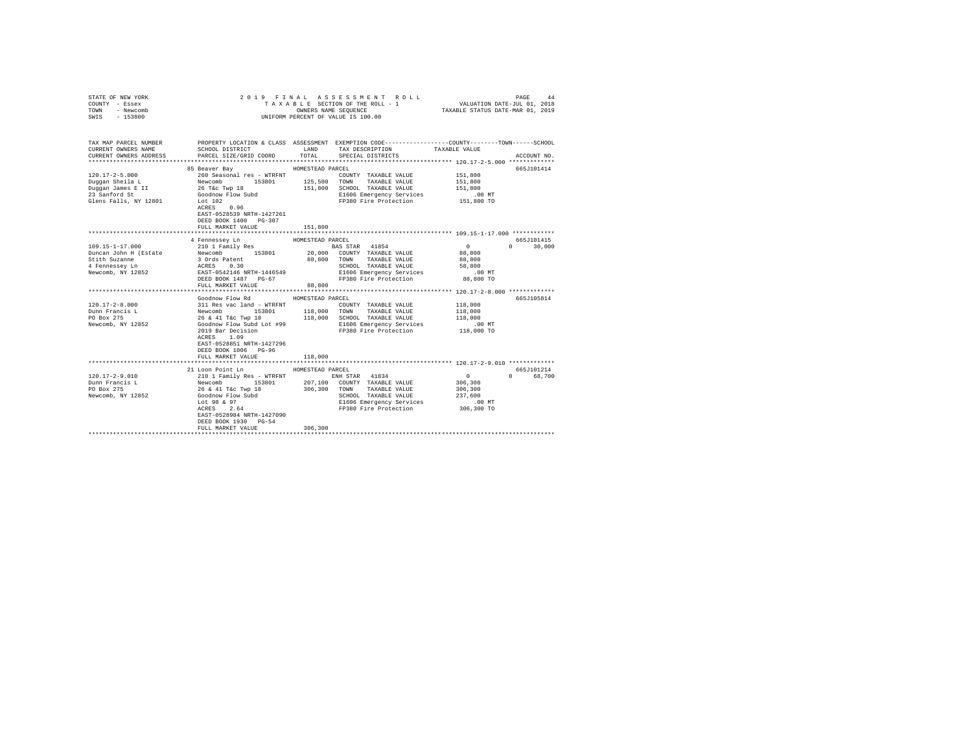| COUNTY - Essex<br>TOWN<br>- Newcomb<br>SWIS - 153800                                                                                         | UNIFORM PERCENT OF VALUE IS 100.00                                                                                                                                                                                                                          | TAXABLE SECTION OF THE ROLL - 1 VALUATION DATE-JUL 01, 2018<br>TAXABLE STATUS DATE-MAR 01, 2019 |                                                                                                        |                            |                    |
|----------------------------------------------------------------------------------------------------------------------------------------------|-------------------------------------------------------------------------------------------------------------------------------------------------------------------------------------------------------------------------------------------------------------|-------------------------------------------------------------------------------------------------|--------------------------------------------------------------------------------------------------------|----------------------------|--------------------|
| TAX MAP PARCEL NUMBER<br>CURRENT OWNERS NAME<br>CURRENT OWNERS ADDRESS                                                                       | PROPERTY LOCATION & CLASS ASSESSMENT EXEMPTION CODE---------------COUNTY-------TOWN-----SCHOOL<br>SCHOOL DISTRICT LAND<br>PARCEL SIZE/GRID COORD                                                                                                            | TOTAL                                                                                           | TAX DESCRIPTION<br>SPECIAL DISTRICTS                                                                   | TAXABLE VALUE              | ACCOUNT NO.        |
|                                                                                                                                              | 85 Beaver Bay                                                                                                                                                                                                                                               | HOMESTEAD PARCEL                                                                                |                                                                                                        |                            | 665J101414         |
| 120.17-2-5.000                                                                                                                               | 260 Seasonal res - WTRFNT<br>260 Sease                                                                                                                                                                                                                      |                                                                                                 | COUNTY TAXABLE VALUE                                                                                   | 151,800                    |                    |
| Duqqan Sheila L                                                                                                                              | 153801 125,500 TOWN                                                                                                                                                                                                                                         |                                                                                                 | TAXABLE VALUE                                                                                          | 151,800                    |                    |
|                                                                                                                                              |                                                                                                                                                                                                                                                             |                                                                                                 | 151,800 SCHOOL TAXABLE VALUE                                                                           | 151,800                    |                    |
| Duggan Jheila Land Memorium (1998)<br>Duggan James E II (26 Tkg Tkp 18<br>23 Sanford St (300 Goodnow Flow Subd Clens Falls, NY 12801 Lot 102 |                                                                                                                                                                                                                                                             |                                                                                                 | E1606 Emergency Services                                                                               | .00 MT                     |                    |
|                                                                                                                                              | ACRES 0.96<br>EAST-0528539 NRTH-1427261<br>DEED BOOK 1400 PG-307                                                                                                                                                                                            |                                                                                                 | FP380 Fire Protection 151,800 TO                                                                       |                            |                    |
|                                                                                                                                              | FULL MARKET VALUE                                                                                                                                                                                                                                           | 151,800                                                                                         |                                                                                                        |                            |                    |
|                                                                                                                                              |                                                                                                                                                                                                                                                             |                                                                                                 |                                                                                                        |                            |                    |
|                                                                                                                                              | 4 Fennessey Ln                                                                                                                                                                                                                                              | HOMESTEAD PARCEL                                                                                |                                                                                                        |                            | 665J101415         |
| 109.15-1-17.000                                                                                                                              |                                                                                                                                                                                                                                                             |                                                                                                 |                                                                                                        | $\sim$ 0                   | $\Omega$<br>30,000 |
| Duncan John H (Estate                                                                                                                        |                                                                                                                                                                                                                                                             |                                                                                                 |                                                                                                        | 88,800<br>88,800           |                    |
| Allen Suzanne<br>4 Fennessey Ln<br>North N                                                                                                   |                                                                                                                                                                                                                                                             |                                                                                                 |                                                                                                        | 58,800                     |                    |
| Newcomb, NY 12852                                                                                                                            |                                                                                                                                                                                                                                                             |                                                                                                 |                                                                                                        | $.00$ MT                   |                    |
|                                                                                                                                              | FRIED SOURISE AND FRIED FOR SIGNAL PARTIES AND RESIDENCE RESPOND TO A SAMPLE VALUE ACCESS 0.30<br>SASSTAR 41854 20,000 COUNTY TAXABLE VALUE ACCESS 0.30<br>BAST-0542146 NRTH-1446549<br>BAST-0542146 NRTH-1446549<br>DEED BOOK 1487 PG<br>FULL MARKET VALUE | 88,800                                                                                          |                                                                                                        | 88,800 TO                  |                    |
|                                                                                                                                              |                                                                                                                                                                                                                                                             |                                                                                                 |                                                                                                        |                            |                    |
|                                                                                                                                              | Goodnow Flow Rd                                                                                                                                                                                                                                             | HOMESTEAD PARCEL                                                                                |                                                                                                        |                            | 665J105814         |
| $120.17 - 2 - 8.000$                                                                                                                         |                                                                                                                                                                                                                                                             |                                                                                                 |                                                                                                        | 118,000                    |                    |
| Dunn Francis L                                                                                                                               |                                                                                                                                                                                                                                                             |                                                                                                 |                                                                                                        | 118,000                    |                    |
| PO Box 275                                                                                                                                   | 311 Res vac land - WTRFNT COUNTY TAXABLE VALUE<br>Newcomb 153801 153801 118,000 TOWN TAXABLE VALUE<br>26 & 41 Tác Twp 18 118,000 SCHOOL TAXABLE VALUE<br>Goodnow Flow Subd Lot #99 11606 Emergency Services                                                 |                                                                                                 | SCHOOL TAXABLE VALUE                                                                                   | 118,000                    |                    |
| Newcomb, NY 12852                                                                                                                            |                                                                                                                                                                                                                                                             |                                                                                                 | E1606 Emergency Services                                                                               | $.00$ MT                   |                    |
|                                                                                                                                              | 2019 Bar Decision<br>ACRES 1.09<br>ACRES 1.09<br>EAST-0528851 NRTH-1427296                                                                                                                                                                                  |                                                                                                 | FP380 Fire Protection 118,000 TO                                                                       |                            |                    |
|                                                                                                                                              | DEED BOOK 1006 PG-96                                                                                                                                                                                                                                        |                                                                                                 |                                                                                                        |                            |                    |
|                                                                                                                                              | FULL MARKET VALUE                                                                                                                                                                                                                                           | 118,000                                                                                         |                                                                                                        |                            |                    |
|                                                                                                                                              |                                                                                                                                                                                                                                                             |                                                                                                 |                                                                                                        |                            |                    |
|                                                                                                                                              | 21 Loon Point Ln                                                                                                                                                                                                                                            | HOMESTEAD PARCEL                                                                                |                                                                                                        |                            | 665J101214         |
| $120.17 - 2 - 9.010$<br>Dunn Francis L                                                                                                       |                                                                                                                                                                                                                                                             |                                                                                                 | ENH STAR 41834<br>153801 207,100 COUNTY TAXABLE VALUE                                                  | $\sim$ 0 $\sim$<br>306,300 | 0 68,700           |
| PO Box 275                                                                                                                                   |                                                                                                                                                                                                                                                             |                                                                                                 |                                                                                                        | 306,300                    |                    |
| Newcomb, NY 12852                                                                                                                            |                                                                                                                                                                                                                                                             |                                                                                                 | 306,300 TOWN TAXABLE VALUE<br>SCHOOL TAXABLE VALUE<br>E1606 Emparatur Counisse<br>SCHOOL TAXABLE VALUE | 237,600                    |                    |
|                                                                                                                                              |                                                                                                                                                                                                                                                             |                                                                                                 | E1606 Emergency Services                                                                               | $.00$ MT                   |                    |
|                                                                                                                                              | 210 1 Family Res - WTRFNT<br>Newcomb 153801 207,100<br>26 & 41 T&c Twp 18<br>306,300<br>Lot 98 & 97<br>ACRES 2.64<br>ACRES 2.64                                                                                                                             |                                                                                                 | FP380 Fire Protection 306,300 TO                                                                       |                            |                    |
|                                                                                                                                              | EAST-0528984 NRTH-1427090                                                                                                                                                                                                                                   |                                                                                                 |                                                                                                        |                            |                    |
|                                                                                                                                              | DEED BOOK 1930 PG-54                                                                                                                                                                                                                                        |                                                                                                 |                                                                                                        |                            |                    |
|                                                                                                                                              | FULL MARKET VALUE                                                                                                                                                                                                                                           | 306,300                                                                                         |                                                                                                        |                            |                    |
|                                                                                                                                              |                                                                                                                                                                                                                                                             |                                                                                                 |                                                                                                        |                            |                    |

STATE OF NEW YORK 2019 FINAL ASSESSMENT ROLL PAGE 44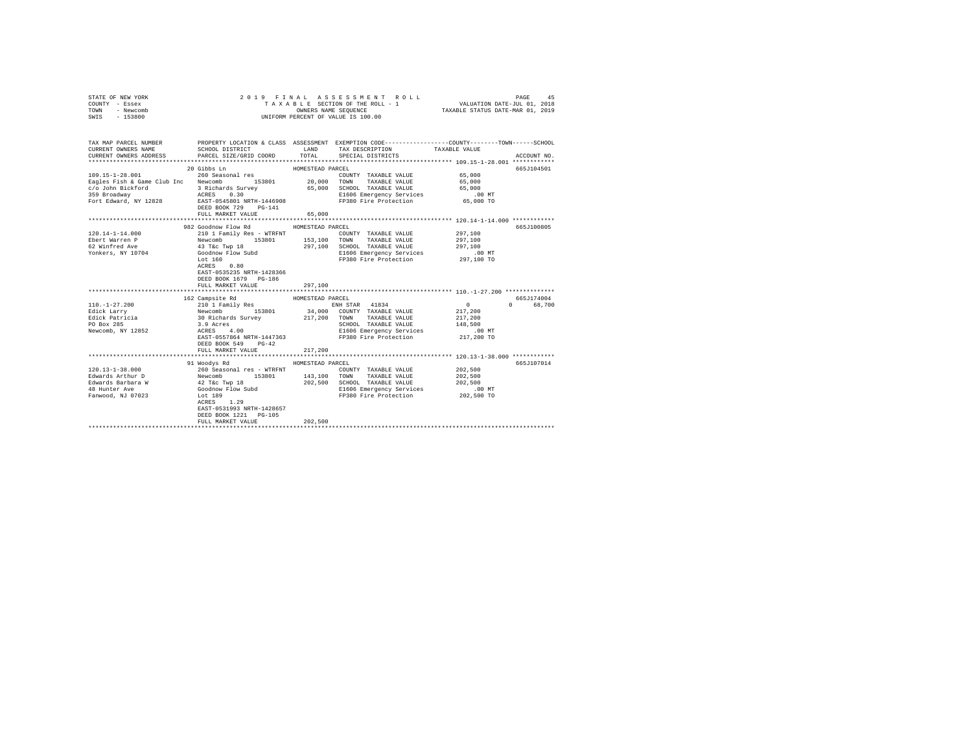| STATE OF NEW YORK |           |  |  |  | 2019 FINAL ASSESSMENT ROLL         |                                  | PAGE                        | 45 |
|-------------------|-----------|--|--|--|------------------------------------|----------------------------------|-----------------------------|----|
| COUNTY - Essex    |           |  |  |  | TAXABLE SECTION OF THE ROLL - 1    |                                  | VALUATION DATE-JUL 01, 2018 |    |
| TOWN              | - Newcomb |  |  |  | OWNERS NAME SEOUENCE               | TAXABLE STATUS DATE-MAR 01, 2019 |                             |    |
| SWIS              | - 153800  |  |  |  | UNIFORM PERCENT OF VALUE IS 100.00 |                                  |                             |    |

| TAX MAP PARCEL NUMBER<br>CURRENT OWNERS NAME<br>CURRENT OWNERS ADDRESS          | SCHOOL DISTRICT<br>PARCEL SIZE/GRID COORD TOTAL SPECIAL DISTRICTS                                                                                    | <b>T.AND</b>                | PROPERTY LOCATION & CLASS ASSESSMENT EXEMPTION CODE----------------COUNTY-------TOWN------SCHOOL<br>TAX DESCRIPTION TAXABLE VALUE                            |                                                                 | ACCOUNT NO.             |
|---------------------------------------------------------------------------------|------------------------------------------------------------------------------------------------------------------------------------------------------|-----------------------------|--------------------------------------------------------------------------------------------------------------------------------------------------------------|-----------------------------------------------------------------|-------------------------|
| $109.15 - 1 - 28.001$<br>Eagles Fish & Game Club Inc Newcomb 153801 20,000 TOWN | 20 Gibbs Ln<br>260 Seasonal res<br>DEED BOOK 729 PG-141<br>FULL MARKET VALUE                                                                         | HOMESTEAD PARCEL<br>65,000  | COUNTY TAXABLE VALUE 65,000<br>TAXABLE VALUE 65,000                                                                                                          | ********************************** 120.14-1-14.000 ************ | 665J104501              |
| $120.14 - 1 - 14.000$                                                           | 982 Goodnow Flow Rd<br>210 1 Family Res - WTRFNT<br>Lot 160<br>ACRES 0.80<br>EAST-0535235 NRTH-1428366<br>DEED BOOK 1679 PG-186<br>FULL MARKET VALUE | HOMESTEAD PARCEL<br>297,100 | COUNTY TAXABLE VALUE 297,100<br>297,100 SCHOOL TAXABLE VALUE 297,100<br>E1606 Emergency Services .00 MT<br>FP380 Fire Protection 297,100 TO                  |                                                                 | 665J100805              |
|                                                                                 |                                                                                                                                                      |                             |                                                                                                                                                              |                                                                 |                         |
| Edick Patricia<br>PO Box 285<br>Newcomb, NY 12852 ACRES                         | $\overline{00}$<br>4.00<br>EAST-0557864 NRTH-1447363<br>DEED BOOK 549 PG-42<br>FULL MARKET VALUE                                                     | 217,200                     | SCHOOL TAXABLE VALUE<br>E1606 Emergency Services<br>FP380 Fire Protection                                                                                    | .00 MT<br>217,200 TO                                            | 665.T174004<br>0 68,700 |
|                                                                                 |                                                                                                                                                      |                             |                                                                                                                                                              |                                                                 |                         |
|                                                                                 | HOMESTEAD PARCEL<br>91 Woodys Rd<br>ACRES 1.29<br>EAST-0531993 NRTH-1428657<br>DEED BOOK 1221 PG-105<br>FULL MARKET VALUE                            | 202.500                     | COUNTY TAXABLE VALUE 202,500<br>TAXABLE VALUE<br>202,500 SCHOOL TAXABLE VALUE 202,500<br>E1606 Emergency Services .00 MT<br>FP380 Fire Protection 202,500 TO | 202,500                                                         | 665J107014              |
|                                                                                 |                                                                                                                                                      |                             |                                                                                                                                                              |                                                                 |                         |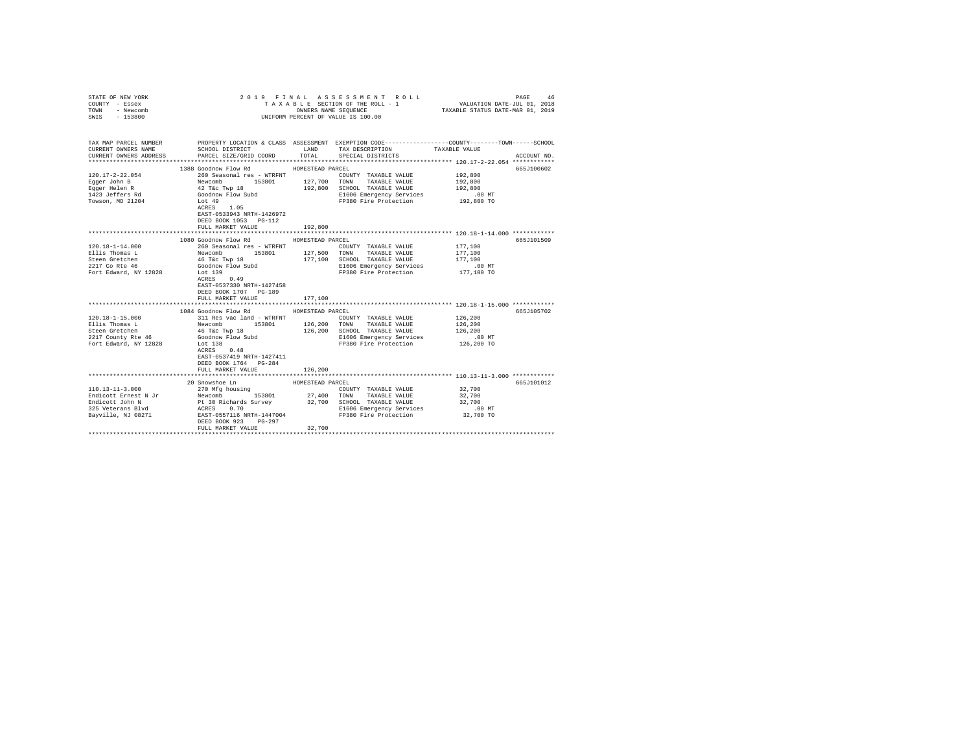| COUNTY - Essex<br>TOWN<br>- Newcomb<br>SWIS - 153800                                                                                                                   | UNIFORM PERCENT OF VALUE IS 100.00                                                                                                                                                                                                                                                                     |                  |                                                                                                                      |                                                               |             |  |
|------------------------------------------------------------------------------------------------------------------------------------------------------------------------|--------------------------------------------------------------------------------------------------------------------------------------------------------------------------------------------------------------------------------------------------------------------------------------------------------|------------------|----------------------------------------------------------------------------------------------------------------------|---------------------------------------------------------------|-------------|--|
| TAX MAP PARCEL NUMBER PROPERTY LOCATION & CLASS ASSESSMENT EXEMPTION CODE---------------COUNTY-------TOWN------SCHOOL<br>CURRENT OWNERS NAME<br>CURRENT OWNERS ADDRESS | SCHOOL DISTRICT TAND TAX DESCRIPTION<br>PARCEL SIZE/GRID COORD                                                                                                                                                                                                                                         | TOTAL            | SPECIAL DISTRICTS                                                                                                    | TAXABLE VALUE                                                 | ACCOUNT NO. |  |
|                                                                                                                                                                        | 1388 Goodnow Flow Rd MOMESTEAD PARCEL                                                                                                                                                                                                                                                                  |                  |                                                                                                                      |                                                               | 665J100602  |  |
| $120.17 - 2 - 22.054$<br>Eqqer John B                                                                                                                                  |                                                                                                                                                                                                                                                                                                        |                  | COUNTY TAXABLE VALUE 192,800                                                                                         | 192,800                                                       |             |  |
| Egger Helen R<br>1423 Jeffers Rd                                                                                                                                       |                                                                                                                                                                                                                                                                                                        |                  | 192,800 SCHOOL TAXABLE VALUE<br>E1606 Emergency Services                                                             | 192,800<br>.00 MT                                             |             |  |
| Towson, MD 21204                                                                                                                                                       | 260 Seasonal res - WTRFNT<br>260 Seasonal res - WTRFNT<br>260 Seasonal res - WTRFNT<br>153801 127,700 TOWN TAXABLE VALUE<br>42 Téc Twp 18<br>40 dodnow Flow Subd<br>192,800 SCHOOL TAXABLE VALUE<br>1606 Emergency Services<br>1.05<br>21606 Eme<br>EAST-0533943 NRTH-1426972<br>DEED BOOK 1053 PG-112 |                  | FP380 Fire Protection 192,800 TO                                                                                     |                                                               |             |  |
|                                                                                                                                                                        | FULL MARKET VALUE                                                                                                                                                                                                                                                                                      | 192,800          |                                                                                                                      |                                                               |             |  |
|                                                                                                                                                                        | 1080 Goodnow Flow Rd                                                                                                                                                                                                                                                                                   | HOMESTEAD PARCEL |                                                                                                                      |                                                               | 665J101509  |  |
| $120.18 - 1 - 14.000$<br>Ellis Thomas L<br>Steen Gretchen<br>2217 Co Rte 46<br>Fort Edward, NY 12828                                                                   | %10 Seasonal res - WTRFNT (COUNTY TAXABLE VALUE Newcomb (153801 127,500 TOWN TAXABLE VALUE 46 T&C TWD 18 (177,100 SCHOOL TAXABLE VALUE (3000000 V Plow Subd<br>Lot 139                                                                                                                                 |                  | COUNTY TAXABLE VALUE<br>177,100 SCHOOL TAXABLE VALUE<br>E1606 Emergency Services<br>FP380 Fire Protection 177,100 TO | 177,100<br>177,100<br>177,100<br>.00MT                        |             |  |
|                                                                                                                                                                        | $ACRES$ 0.49<br>EAST-0537330 NRTH-1427458<br>DEED BOOK 1707 PG-189<br>FULL MARKET VALUE                                                                                                                                                                                                                | 177,100          |                                                                                                                      |                                                               |             |  |
|                                                                                                                                                                        |                                                                                                                                                                                                                                                                                                        |                  |                                                                                                                      | ******************************** 120.18-1-15.000 ************ |             |  |
|                                                                                                                                                                        | 1084 Goodnow Flow Rd                                                                                                                                                                                                                                                                                   | HOMESTEAD PARCEL | COUNTY TAXABLE VALUE                                                                                                 | 126,200                                                       | 665J105702  |  |
|                                                                                                                                                                        |                                                                                                                                                                                                                                                                                                        |                  |                                                                                                                      | 126,200                                                       |             |  |
|                                                                                                                                                                        |                                                                                                                                                                                                                                                                                                        |                  |                                                                                                                      |                                                               |             |  |
|                                                                                                                                                                        |                                                                                                                                                                                                                                                                                                        |                  | $126,200$ TOWN THE VALUE 126,200<br>$126,200$ SCHOOL TAXABLE VALUE 126,200<br>$5200$ The Theorem Services 100 MT     |                                                               |             |  |
| Fort Edward, NY 12828                                                                                                                                                  | Lot 138<br>ACRES 0.48<br>EAST-0537419 NRTH-1427411<br>DEED BOOK 1764 PG-284<br>FULL MARKET VALUE                                                                                                                                                                                                       | 126,200          | FP380 Fire Protection                                                                                                | 126,200 TO                                                    |             |  |
|                                                                                                                                                                        |                                                                                                                                                                                                                                                                                                        |                  |                                                                                                                      |                                                               |             |  |
|                                                                                                                                                                        |                                                                                                                                                                                                                                                                                                        |                  |                                                                                                                      |                                                               | 665J101012  |  |
|                                                                                                                                                                        |                                                                                                                                                                                                                                                                                                        |                  |                                                                                                                      | 32,700<br>32,700<br>32,700                                    |             |  |
|                                                                                                                                                                        | FULL MARKET VALUE                                                                                                                                                                                                                                                                                      | 32,700           | E1606 Emergency Services                                                                                             | $.00$ MT<br>32,700 TO                                         |             |  |
|                                                                                                                                                                        |                                                                                                                                                                                                                                                                                                        |                  |                                                                                                                      |                                                               |             |  |

STATE OF NEW YORK 2 0 1 9 F I N A L A S S E S S M E N T R O L L PAGE 46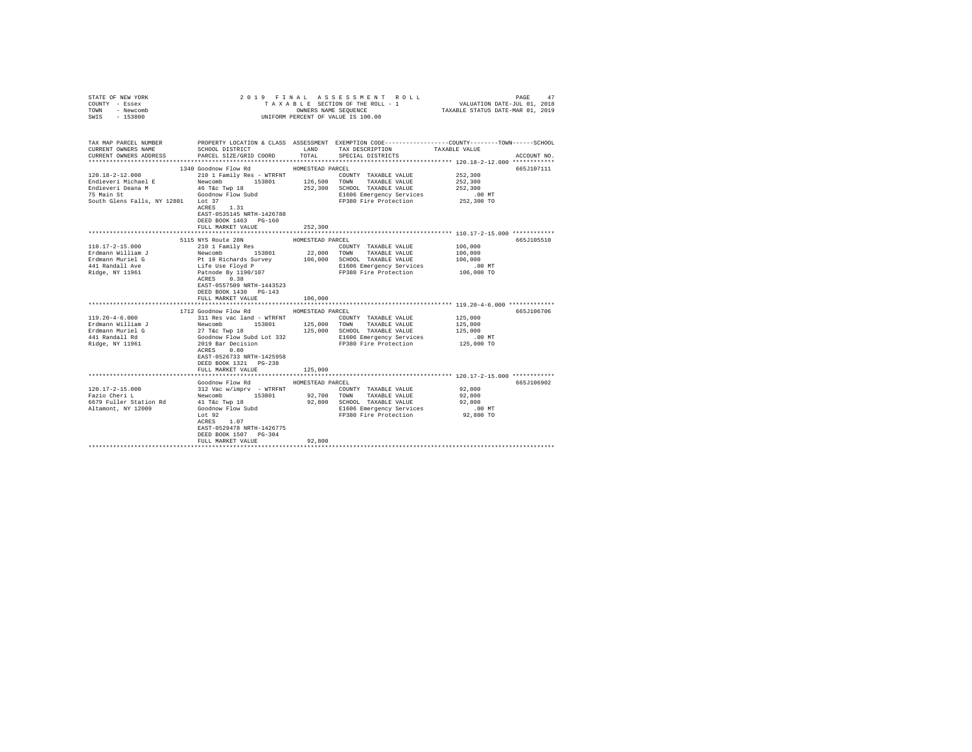| COUNTY - Essex<br>TOWN<br>- Newcomb<br>SWIS - 153800                                                                 |                                                                                                     |                  | TAXABLE SECTION OF THE ROLL - 1 VALUATION DATE-JUL 01, 2018<br>OWNERS NAME SEQUENCE<br>UNIFORM PERCENT OF VALUE IS 100.00                   | TAXABLE STATUS DATE-MAR 01, 2019 |             |
|----------------------------------------------------------------------------------------------------------------------|-----------------------------------------------------------------------------------------------------|------------------|---------------------------------------------------------------------------------------------------------------------------------------------|----------------------------------|-------------|
|                                                                                                                      |                                                                                                     |                  |                                                                                                                                             |                                  |             |
| TAX MAP PARCEL NUMBER PROPERTY LOCATION & CLASS ASSESSMENT EXEMPTION CODE--------------COUNTY-------TOWN------SCHOOL |                                                                                                     |                  |                                                                                                                                             |                                  |             |
| CURRENT OWNERS NAME                                                                                                  | SCHOOL DISTRICT                                                                                     |                  | LAND TAX DESCRIPTION                                                                                                                        | TAXABLE VALUE                    |             |
| CURRENT OWNERS ADDRESS                                                                                               | PARCEL SIZE/GRID COORD                                                                              | TOTAL            | SPECIAL DISTRICTS                                                                                                                           |                                  | ACCOUNT NO. |
|                                                                                                                      |                                                                                                     |                  |                                                                                                                                             |                                  |             |
| $120.18 - 2 - 12.000$                                                                                                | 1340 Goodnow Flow Rd<br>210 1 Family Res - WTRFNT                                                   | HOMESTEAD PARCEL |                                                                                                                                             | 252,300                          | 665J107111  |
| Endieveri Michael E                                                                                                  |                                                                                                     |                  | COUNTY TAXABLE VALUE                                                                                                                        | 252,300                          |             |
| Endieveri Deana M                                                                                                    |                                                                                                     |                  |                                                                                                                                             | 252,300                          |             |
| 75 Main St                                                                                                           |                                                                                                     |                  | E1606 Emergency Services                                                                                                                    | $.00$ MT                         |             |
| South Glens Falls, NY 12801 Lot 37                                                                                   |                                                                                                     |                  | FP380 Fire Protection                                                                                                                       | 252,300 TO                       |             |
|                                                                                                                      | ACRES 1.31                                                                                          |                  |                                                                                                                                             |                                  |             |
|                                                                                                                      | EAST-0535145 NRTH-1426788                                                                           |                  |                                                                                                                                             |                                  |             |
|                                                                                                                      | DEED BOOK 1463 PG-160                                                                               |                  |                                                                                                                                             |                                  |             |
|                                                                                                                      | FULL MARKET VALUE                                                                                   | 252,300          | **************************** 110.17-2-15.000 ************                                                                                   |                                  |             |
|                                                                                                                      | 5115 NYS Route 28N                                                                                  | HOMESTEAD PARCEL |                                                                                                                                             |                                  | 665J105510  |
| 110.17-2-15.000                                                                                                      | 210 1 Family Res                                                                                    |                  | COUNTY TAXABLE VALUE                                                                                                                        | 106,000                          |             |
| Erdmann William J                                                                                                    |                                                                                                     |                  | 22,000 TOWN TAXABLE VALUE                                                                                                                   | 106,000                          |             |
| Erdmann Muriel G                                                                                                     |                                                                                                     |                  | 106,000 SCHOOL TAXABLE VALUE                                                                                                                | 106,000                          |             |
| 441 Randall Ave                                                                                                      |                                                                                                     |                  | E1606 Emergency Services                                                                                                                    | .00 MT                           |             |
| Ridge, NY 11961                                                                                                      | Newcomb<br>153801<br>Pt 19 Richards Survey<br>Life Use Floyd P<br>Patnode By 1190/107<br>arrgs 0.38 |                  | FP380 Fire Protection                                                                                                                       | 106,000 TO                       |             |
|                                                                                                                      | ACRES 0.38                                                                                          |                  |                                                                                                                                             |                                  |             |
|                                                                                                                      | EAST-0557509 NRTH-1443523                                                                           |                  |                                                                                                                                             |                                  |             |
|                                                                                                                      | DEED BOOK 1430 PG-143                                                                               |                  |                                                                                                                                             |                                  |             |
|                                                                                                                      | FULL MARKET VALUE                                                                                   | 106,000          |                                                                                                                                             |                                  |             |
|                                                                                                                      | 1712 Goodnow Flow Rd                                                                                | HOMESTEAD PARCEL |                                                                                                                                             |                                  | 665J106706  |
| $119.20 - 4 - 6.000$                                                                                                 |                                                                                                     |                  | COUNTY TAXABLE VALUE                                                                                                                        | 125,000                          |             |
| Erdmann William J                                                                                                    |                                                                                                     |                  |                                                                                                                                             | 125,000                          |             |
| Erdmann Muriel G                                                                                                     |                                                                                                     |                  |                                                                                                                                             | 125,000                          |             |
| 441 Randall Rd                                                                                                       |                                                                                                     |                  | 27 T&c Twp 18 125,000 SCHOOL TAXABLE VALUE<br>Goodnow Flow Subd Lot 332 11606 Emergency Services<br>2019 Bar Decision PP380 Fire Protection | $.00$ MT                         |             |
| Ridge, NY 11961                                                                                                      |                                                                                                     |                  |                                                                                                                                             | 125,000 TO                       |             |
|                                                                                                                      | ACRES 0.80                                                                                          |                  |                                                                                                                                             |                                  |             |
|                                                                                                                      | EAST-0526733 NRTH-1425958                                                                           |                  |                                                                                                                                             |                                  |             |
|                                                                                                                      | DEED BOOK 1321 PG-238<br>FULL MARKET VALUE                                                          | 125,000          |                                                                                                                                             |                                  |             |
|                                                                                                                      |                                                                                                     |                  |                                                                                                                                             |                                  |             |
|                                                                                                                      | Goodnow Flow Rd                                                                                     | HOMESTEAD PARCEL |                                                                                                                                             |                                  | 665J106902  |
| $120.17 - 2 - 15.000$                                                                                                | 312 Vac w/imprv - WTRFNT                                                                            |                  | COUNTY TAXABLE VALUE                                                                                                                        | 92,800                           |             |
| Fazio Cheri L                                                                                                        | Newcomb 153801                                                                                      |                  | 92,700 TOWN TAXABLE VALUE                                                                                                                   | 92,800                           |             |
| 6679 Fuller Station Rd                                                                                               | 41 T&C Twp 18                                                                                       |                  | 92,800 SCHOOL TAXABLE VALUE                                                                                                                 | 92,800                           |             |
| Altamont, NY 12009                                                                                                   | Goodnow Flow Subd<br>Lot 92                                                                         |                  | E1606 Emergency Services                                                                                                                    | $.00$ MT                         |             |
|                                                                                                                      | Lot 92<br>$ACRES$ 1.07                                                                              |                  | FP380 Fire Protection 92,800 TO                                                                                                             |                                  |             |
|                                                                                                                      | EAST-0529478 NRTH-1426775                                                                           |                  |                                                                                                                                             |                                  |             |
|                                                                                                                      | DEED BOOK 1507 PG-304                                                                               |                  |                                                                                                                                             |                                  |             |
|                                                                                                                      | FULL MARKET VALUE                                                                                   | 92,800           |                                                                                                                                             |                                  |             |
|                                                                                                                      |                                                                                                     |                  |                                                                                                                                             |                                  |             |

STATE OF NEW YORK 2 0 1 9 F I N A L A S S E S S M E N T R O L L PAGE 47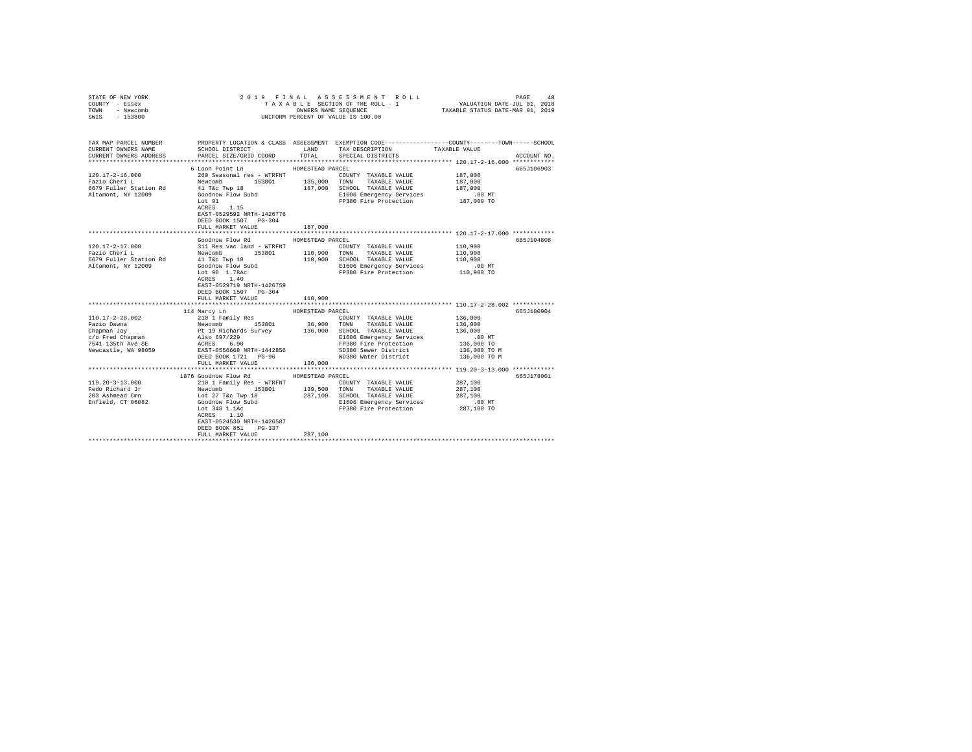| STATE OF NEW YORK<br>COUNTY - Essex<br>TOWN - Newcomb<br>SWIS - 153800 |                                                                                                                  |                  | OWNERS NAME SEQUENCE<br>UNIFORM PERCENT OF VALUE IS 100.00                                                                                                                                                                               | TAXABLE STATUS DATE-MAR 01, 2019 |             |
|------------------------------------------------------------------------|------------------------------------------------------------------------------------------------------------------|------------------|------------------------------------------------------------------------------------------------------------------------------------------------------------------------------------------------------------------------------------------|----------------------------------|-------------|
| TAX MAP PARCEL NUMBER<br>CURRENT OWNERS NAME<br>CURRENT OWNERS ADDRESS | SCHOOL DISTRICT<br>PARCEL SIZE/GRID COORD                                                                        | LAND<br>TOTAL    | PROPERTY LOCATION & CLASS ASSESSMENT EXEMPTION CODE----------------COUNTY-------TOWN------SCHOOL<br>TAX DESCRIPTION<br>SPECIAL DISTRICTS                                                                                                 | TAXABLE VALUE                    | ACCOUNT NO. |
|                                                                        |                                                                                                                  |                  |                                                                                                                                                                                                                                          |                                  |             |
|                                                                        | 6 Loon Point Ln                                                                                                  | HOMESTEAD PARCEL |                                                                                                                                                                                                                                          |                                  | 665J106903  |
| 120.17-2-16.000<br>Fazio Cheri L                                       | 260 Seasonal res - WTRFNT                                                                                        |                  | COUNTY TAXABLE VALUE                                                                                                                                                                                                                     | 187.000                          |             |
|                                                                        | Newcomb 153801 135,000 TOWN                                                                                      |                  | TAXABLE VALUE                                                                                                                                                                                                                            | 187,000                          |             |
| 6679 Fuller Station Rd<br>Altamont, NY 12009                           | 41 T&C Twp 18<br>Goodnow Flow Subd                                                                               |                  | 187,000 SCHOOL TAXABLE VALUE                                                                                                                                                                                                             | 187,000                          |             |
|                                                                        | Lot 91                                                                                                           |                  | E1606 Emergency Services<br>FP380 Fire Protection                                                                                                                                                                                        | 00 MT.<br>187,000 TO             |             |
|                                                                        | ACRES 1.15<br>EAST-0529592 NRTH-1426776<br>DEED BOOK 1507 PG-304<br>FULL MARKET VALUE                            | 187,000          |                                                                                                                                                                                                                                          |                                  |             |
|                                                                        |                                                                                                                  |                  |                                                                                                                                                                                                                                          |                                  |             |
|                                                                        | Goodnow Flow Rd                                                                                                  | HOMESTEAD PARCEL |                                                                                                                                                                                                                                          |                                  | 665J104808  |
|                                                                        |                                                                                                                  |                  | COUNTY TAXABLE VALUE                                                                                                                                                                                                                     | 110,900                          |             |
|                                                                        |                                                                                                                  |                  |                                                                                                                                                                                                                                          | 110,900                          |             |
|                                                                        |                                                                                                                  |                  | 110,900 SCHOOL TAXABLE VALUE 110,900                                                                                                                                                                                                     |                                  |             |
|                                                                        |                                                                                                                  |                  | E1606 Emergency Services                                                                                                                                                                                                                 | .00 MT                           |             |
|                                                                        | Lot 90 $1.78$ AC<br>ACRES 1.40<br>EAST-0529719 NRTH-1426759<br>DEED BOOK 1507 PG-304<br>FULL MARKET VALUE        | 110,900          | FP380 Fire Protection 110,900 TO                                                                                                                                                                                                         |                                  |             |
|                                                                        |                                                                                                                  |                  |                                                                                                                                                                                                                                          |                                  |             |
|                                                                        | 114 Marcy Ln                                                                                                     | HOMESTEAD PARCEL |                                                                                                                                                                                                                                          |                                  | 665J100904  |
| 110.17-2-28.002                                                        | 210 1 Family Res<br>Newcombi<br>Pt 19 Richards Survey<br>Also 697/229<br>ACRES 6.90<br>EAST-0556668 NRTH-1442856 |                  | COUNTY TAXABLE VALUE                                                                                                                                                                                                                     | 136,000                          |             |
| Fazio Dawna                                                            |                                                                                                                  |                  | 36,900 TOWN TAXABLE VALUE<br>136,000 SCHOOL TAXABLE VALUE                                                                                                                                                                                | 136,000<br>136,000               |             |
| Chapman Jay<br>c/o Fred Chapman                                        |                                                                                                                  |                  |                                                                                                                                                                                                                                          |                                  |             |
| C/O Freu Chapman<br>7541 135th Ave SE                                  |                                                                                                                  |                  |                                                                                                                                                                                                                                          |                                  |             |
| Newcastle, WA 98059                                                    |                                                                                                                  |                  | SD380 Sewer District                                                                                                                                                                                                                     |                                  |             |
|                                                                        | DEED BOOK 1721 PG-96                                                                                             |                  | WD380 Water District 136,000 TO M                                                                                                                                                                                                        |                                  |             |
|                                                                        | FULL MARKET VALUE                                                                                                | 136,000          |                                                                                                                                                                                                                                          |                                  |             |
|                                                                        |                                                                                                                  |                  |                                                                                                                                                                                                                                          |                                  |             |
|                                                                        | 1876 Goodnow Flow Rd                                                                                             | HOMESTEAD PARCEL |                                                                                                                                                                                                                                          |                                  | 665J178001  |
| $119.20 - 3 - 13.000$                                                  |                                                                                                                  |                  |                                                                                                                                                                                                                                          | 287,100                          |             |
| Fedo Richard Jr<br>203 Ashmead Cmn                                     |                                                                                                                  |                  |                                                                                                                                                                                                                                          | 287,100                          |             |
| Enfield, CT 06082                                                      |                                                                                                                  |                  |                                                                                                                                                                                                                                          | 287,100                          |             |
|                                                                        |                                                                                                                  |                  | FP380 Fire Protection 287,100 TO                                                                                                                                                                                                         | $.00$ MT                         |             |
|                                                                        | EAST-0524530 NRTH-1426587<br>DEED BOOK 851<br>$PG-337$                                                           |                  | 210 1 Family Res - WTRFNT<br>Newcomb 153801 139,500 TOWNTY TAXABLE VALUE<br>Newcomb 153801 139,500 TOWN TAXABLE VALUE<br>Lot 27 T&C Twp 18 287,100 SCHOOL TAXABLE VALUE<br>COOMON Flow Subd E1606 Emergency Services<br>Lot 3481.1.10 FP |                                  |             |
|                                                                        | FULL MARKET VALUE                                                                                                | 287,100          |                                                                                                                                                                                                                                          |                                  |             |
|                                                                        |                                                                                                                  |                  |                                                                                                                                                                                                                                          |                                  |             |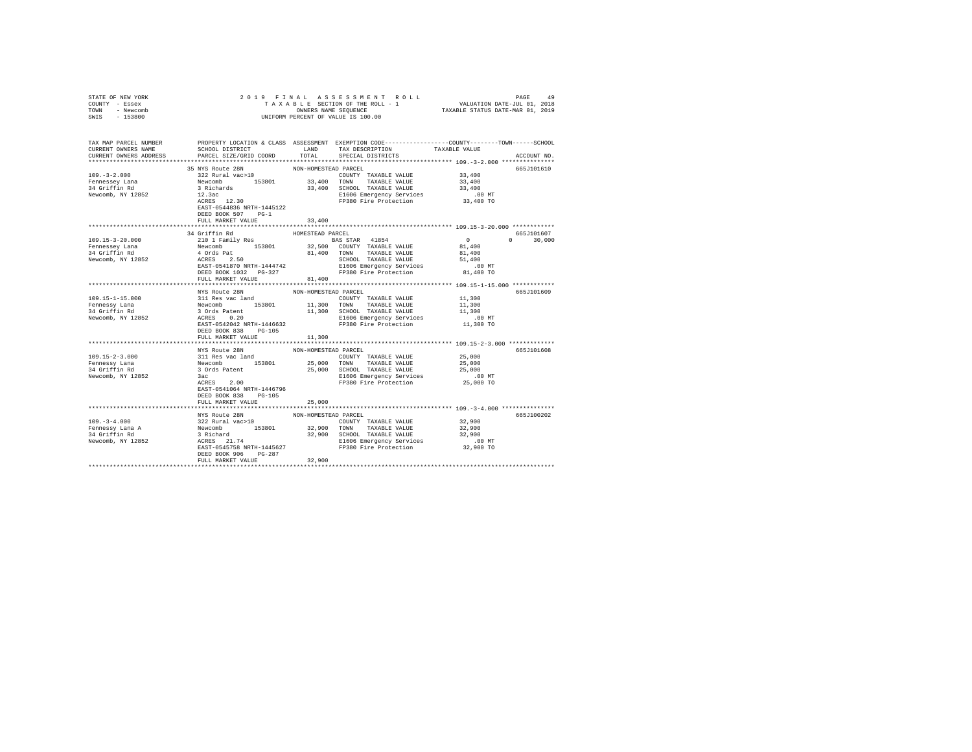| STATE OF NEW YORK<br>COUNTY - Essex<br>TOWN - Newcomb<br>$-153800$<br>SWIS                                                                   | 2019 FINAL<br>OWNERS NAME SEQUENCE<br>UNIFORM PERCENT OF VALUE IS 100.00                                                                                                                     |                      |                                                                                                                                                                                                                                               |                    |               |
|----------------------------------------------------------------------------------------------------------------------------------------------|----------------------------------------------------------------------------------------------------------------------------------------------------------------------------------------------|----------------------|-----------------------------------------------------------------------------------------------------------------------------------------------------------------------------------------------------------------------------------------------|--------------------|---------------|
| TAX MAP PARCEL NUMBER PROPERTY LOCATION & CLASS ASSESSMENT EXEMPTION CODE---------------COUNTY-------TOWN------SCHOOL<br>CURRENT OWNERS NAME | SCHOOL DISTRICT LAND                                                                                                                                                                         |                      | TAX DESCRIPTION                                                                                                                                                                                                                               | TAXABLE VALUE      |               |
| CURRENT OWNERS ADDRESS                                                                                                                       | PARCEL SIZE/GRID COORD                                                                                                                                                                       | TOTAL                | SPECIAL DISTRICTS                                                                                                                                                                                                                             |                    | ACCOUNT NO.   |
|                                                                                                                                              |                                                                                                                                                                                              |                      |                                                                                                                                                                                                                                               |                    |               |
|                                                                                                                                              | 35 NYS Route 28N                                                                                                                                                                             | NON-HOMESTEAD PARCEL |                                                                                                                                                                                                                                               | 33,400             | 665J101610    |
| $109. - 3 - 2.000$                                                                                                                           |                                                                                                                                                                                              | 33,400               | COUNTY TAXABLE VALUE<br>TOWN TAXABLE VALUE                                                                                                                                                                                                    | 33,400             |               |
| Fennessey Lana<br>34 Griffin Rd                                                                                                              |                                                                                                                                                                                              |                      | 33,400 SCHOOL TAXABLE VALUE                                                                                                                                                                                                                   | 33,400             |               |
| Newcomb, NY 12852                                                                                                                            |                                                                                                                                                                                              |                      |                                                                                                                                                                                                                                               | .00MT              |               |
|                                                                                                                                              | 35 NIS KOULE 26N<br>NUN-HUME:<br>322 Rural vac>10<br>Newcomb 153801<br>33,44<br>33.16chards<br>12.3ac<br>ACRES 12.30<br>EAST-0544836 NRTH-1445122<br>DEED BOOK 507 PG-1<br>FULL MARKET VALUE | 33,400               | E1606 Emergency Services<br>FP380 Fire Protection                                                                                                                                                                                             | 33,400 TO          |               |
|                                                                                                                                              |                                                                                                                                                                                              |                      |                                                                                                                                                                                                                                               |                    |               |
|                                                                                                                                              | 34 Griffin Rd                                                                                                                                                                                | HOMESTEAD PARCEL     |                                                                                                                                                                                                                                               |                    | 665J101607    |
| 109.15-3-20.000                                                                                                                              | 210 1 Family Res                                                                                                                                                                             |                      | <b>BAS STAR 41854</b>                                                                                                                                                                                                                         | $\sim$ 0           | $0 \t 30,000$ |
| Fennessey Lana                                                                                                                               |                                                                                                                                                                                              |                      |                                                                                                                                                                                                                                               | 81,400             |               |
| 34 Griffin Rd                                                                                                                                |                                                                                                                                                                                              |                      |                                                                                                                                                                                                                                               | 81,400             |               |
| Newcomb, NY 12852                                                                                                                            |                                                                                                                                                                                              |                      |                                                                                                                                                                                                                                               | 51,400<br>$.00$ MT |               |
|                                                                                                                                              |                                                                                                                                                                                              |                      | Expanding the 153801 32,500 COUNTY TAXABLE VALUE<br>4 Ords Pat 153801 81,400 TOWN TAXABLE VALUE<br>4 ACRES 2.50<br>EAST-0541870 NRTH-1444742 5CHOOL TAXABLE VALUE<br>EAST-0541870 NRTH-144742 2010 E1606 Emergency Services<br>DEED BOOK 1032 | 81,400 TO          |               |
|                                                                                                                                              | FULL MARKET VALUE                                                                                                                                                                            | 81,400               |                                                                                                                                                                                                                                               |                    |               |
|                                                                                                                                              |                                                                                                                                                                                              |                      |                                                                                                                                                                                                                                               |                    |               |
|                                                                                                                                              | NYS Route 28N                                                                                                                                                                                | NON-HOMESTEAD PARCEL |                                                                                                                                                                                                                                               |                    | 665J101609    |
| $109.15 - 1 - 15.000$                                                                                                                        |                                                                                                                                                                                              |                      |                                                                                                                                                                                                                                               | 11,300<br>11,300   |               |
| Fennessy Lana<br>$34$ Griffin Rd                                                                                                             |                                                                                                                                                                                              |                      |                                                                                                                                                                                                                                               | 11,300             |               |
| Newcomb, NY 12852                                                                                                                            |                                                                                                                                                                                              |                      | AND NON-HOREST COUNTY TAXABLE VALUE<br>Newcomb 153801 11,300 TOWN TAXABLE VALUE<br>3 Ords Patent 11,300 SCHOOL TAXABLE VALUE<br>ACRES 0.20 11,300 SCHOOL TAXABLE VALUE<br>ACRES 0.20                                                          | $.00$ MT           |               |
|                                                                                                                                              | EAST-0542042 NRTH-1446632                                                                                                                                                                    |                      | FP380 Fire Protection                                                                                                                                                                                                                         | 11,300 TO          |               |
|                                                                                                                                              | DEED BOOK 838 PG-105                                                                                                                                                                         |                      |                                                                                                                                                                                                                                               |                    |               |
|                                                                                                                                              | FULL MARKET VALUE                                                                                                                                                                            | 11,300               |                                                                                                                                                                                                                                               |                    |               |
|                                                                                                                                              |                                                                                                                                                                                              |                      |                                                                                                                                                                                                                                               |                    |               |
| $109.15 - 2 - 3.000$                                                                                                                         |                                                                                                                                                                                              | NON-HOMESTEAD PARCEL | COUNTY TAXABLE VALUE                                                                                                                                                                                                                          | 25,000             | 665J101608    |
| Fennessy Lana                                                                                                                                |                                                                                                                                                                                              |                      | 25,000 TOWN TAXABLE VALUE                                                                                                                                                                                                                     | 25,000             |               |
| 34 Griffin Rd                                                                                                                                |                                                                                                                                                                                              |                      | 25,000 SCHOOL TAXABLE VALUE                                                                                                                                                                                                                   | 25,000             |               |
| Newcomb, NY 12852                                                                                                                            | $\begin{tabular}{llllll} \texttt{NYS} \texttt{ Route 28N} \\ 311 \texttt{Res vac land} \\ \texttt{Newton} & 153801 & 25,000 \\ 3 \texttt{Ords Patent} & 25,000 \\ \end{tabular}$             |                      | E1606 Emergency Services<br>FP380 Fire Protection                                                                                                                                                                                             | $.00$ MT           |               |
|                                                                                                                                              | ACRES 2.00                                                                                                                                                                                   |                      |                                                                                                                                                                                                                                               | 25,000 TO          |               |
|                                                                                                                                              | EAST-0541064 NRTH-1446796<br>DEED BOOK 838 PG-105                                                                                                                                            |                      |                                                                                                                                                                                                                                               |                    |               |
|                                                                                                                                              | FULL MARKET VALUE                                                                                                                                                                            | 25,000               |                                                                                                                                                                                                                                               |                    |               |
|                                                                                                                                              | NYS Route 28N                                                                                                                                                                                | NON-HOMESTEAD PARCEL |                                                                                                                                                                                                                                               |                    | 665J100202    |
|                                                                                                                                              | 322 Rural vac>10                                                                                                                                                                             |                      | COUNTY TAXABLE VALUE                                                                                                                                                                                                                          | 32,900             |               |
| 109.-3-4.000<br>Fennessy Lana A<br>34 Griffin Rd                                                                                             |                                                                                                                                                                                              |                      |                                                                                                                                                                                                                                               |                    |               |
|                                                                                                                                              |                                                                                                                                                                                              |                      |                                                                                                                                                                                                                                               |                    |               |
| Newcomb, NY 12852                                                                                                                            |                                                                                                                                                                                              |                      |                                                                                                                                                                                                                                               |                    |               |
|                                                                                                                                              | DEED BOOK 906 PG-287                                                                                                                                                                         |                      |                                                                                                                                                                                                                                               |                    |               |
|                                                                                                                                              | FULL MARKET VALUE                                                                                                                                                                            | 32,900               |                                                                                                                                                                                                                                               |                    |               |
|                                                                                                                                              |                                                                                                                                                                                              |                      |                                                                                                                                                                                                                                               |                    |               |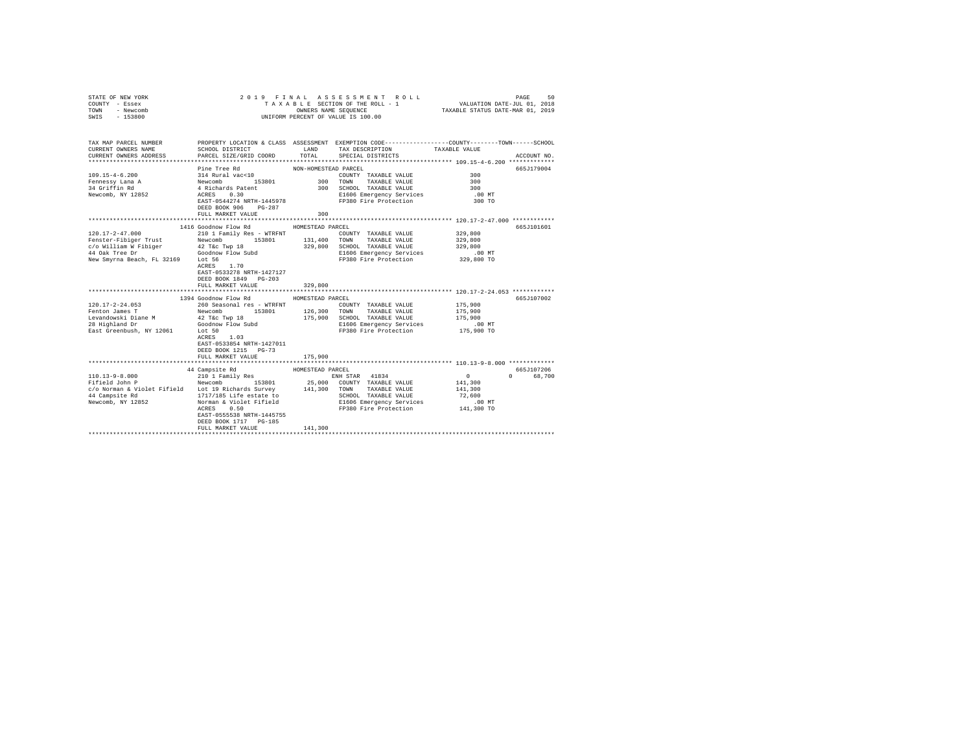| STATE OF NEW YORK<br>COUNTY - Essex<br>TOWN<br>- Newcomb<br>$-153800$<br>SWIS                                                                                                                                                                            |                                                                                                                                                                                                                 |                             | 2019 FINAL ASSESSMENT ROLL<br>TAXABLE SECTION OF THE ROLL - 1<br>OWNERS NAME SEQUENCE<br>UNIFORM PERCENT OF VALUE IS 100.00             | VALUATION DATE-JUL 01, 2018<br>TAXABLE STATUS DATE-MAR 01, 2019    | PAGE<br>50             |
|----------------------------------------------------------------------------------------------------------------------------------------------------------------------------------------------------------------------------------------------------------|-----------------------------------------------------------------------------------------------------------------------------------------------------------------------------------------------------------------|-----------------------------|-----------------------------------------------------------------------------------------------------------------------------------------|--------------------------------------------------------------------|------------------------|
| TAX MAP PARCEL NUMBER<br>CURRENT OWNERS NAME<br>CURRENT OWNERS ADDRESS                                                                                                                                                                                   | SCHOOL DISTRICT LAND<br>PARCEL SIZE/GRID COORD TOTAL                                                                                                                                                            |                             | PROPERTY LOCATION & CLASS ASSESSMENT EXEMPTION CODE---------------COUNTY-------TOWN------SCHOOL<br>TAX DESCRIPTION<br>SPECIAL DISTRICTS | TAXABLE VALUE                                                      | ACCOUNT NO.            |
| $109.15 - 4 - 6.200$<br>Fennessy Lana A<br>34 Griffin Rd<br>Newcomb, NY 12852                                                                                                                                                                            | Pine Tree Rd<br>$314$ Rural vac< $10$<br>314 Rudal Vaction<br>Newcomb 153801<br>4 Richards Patent<br>ACRES 0.30<br>EAST-0544274 NRTH-1445978<br>DEED BOOK 906 PG-287<br>FULL MARKET VALUE                       | NON-HOMESTEAD PARCEL<br>300 | COUNTY TAXABLE VALUE<br>300 TOWN TAXABLE VALUE<br>300 SCHOOL TAXABLE VALUE<br>E1606 Emergency Services<br>FP380 Fire Protection         | 300<br>300<br>300<br>$.00$ MT<br>300 TO                            | 665J179004             |
| 120.17-2-47.000<br>Fenster-Fibiger Trust<br>New Smyrna Beach, FL 32169 Lot 56                                                                                                                                                                            | 1416 Goodnow Flow Rd<br>210 1 Family Res - WTRFNT<br>Newcomb 153801 131,400 TOWN TAXABLE VALUE<br>1.70<br>ACRES<br>EAST-0533278 NRTH-1427127<br>DEED BOOK 1849 PG-203<br>FULL MARKET VALUE                      | HOMESTEAD PARCEL<br>329,800 | COUNTY TAXABLE VALUE<br>329,800 SCHOOL TAXABLE VALUE<br>E1606 Emergency Services<br>FP380 Fire Protection                               | 329,800<br>329,800<br>329,800<br>.00 MT<br>329,800 TO              | 665J101601             |
| $120.17 - 2 - 24.053$<br>Fenton James T<br>Levandowski Diane M<br>28 Highland Dr<br>East Greenbush, NY 12061 Lot 50                                                                                                                                      | 1394 Goodnow Flow Rd<br>260 Seasonal res - WTRFNT<br>153801 126,300<br>Newcomb<br>42 T&C Twp 18<br>Goodnow Flow Subd<br>1.03<br>ACRES<br>EAST-0533854 NRTH-1427011<br>DEED BOOK 1215 PG-73<br>FULL MARKET VALUE | HOMESTEAD PARCEL<br>175,900 | COUNTY TAXABLE VALUE<br>TOWN TAXABLE VALUE<br>175,900 SCHOOL TAXABLE VALUE<br>E1606 Emergency Services<br>FP380 Fire Protection         | 175,900<br>175,900<br>175,900<br>$.00$ MT<br>175,900 TO            | 665J107002             |
| ${\small 110.13-9-8.000 \atop \textbf{Pifield John P} \hspace{1.5cm} \textbf{210.1 Family Res} \hspace{1.5cm} \textbf{153801} }$<br>c/o Norman & Violet Fifield Lot 19 Richards Survey 141,300 TOWN TAXABLE VALUE<br>44 Campsite Rd<br>Newcomb, NY 12852 | 44 Campsite Rd<br>153801<br>1717/185 Life estate to<br>Norman & Violet Fifield<br>0.50<br>ACRES<br>EAST-0555538 NRTH-1445755<br>DEED BOOK 1717 PG-185<br>FULL MARKET VALUE                                      | HOMESTEAD PARCEL<br>141,300 | ENH STAR 41834<br>25,000 COUNTY TAXABLE VALUE<br>SCHOOL TAXABLE VALUE<br>E1606 Emergency Services<br>FP380 Fire Protection              | $\sim$ 0<br>141,300<br>141,300<br>72,600<br>$.00$ MT<br>141,300 TO | 665J107206<br>0 68,700 |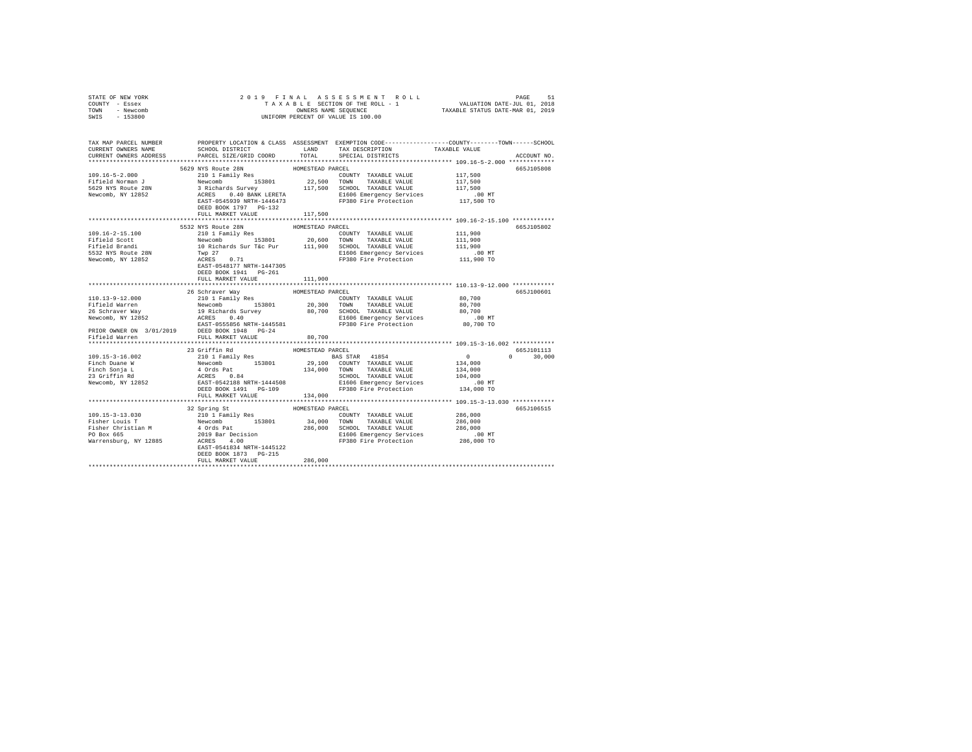| STATE OF NEW YORK<br>COUNTY - Essex<br>TOWN - Newcomb<br>SWIS - 153800                                                                                                                                                                                                                                                                                                                                                                                                                     | 2019 FINAL<br>OWNERS NAME SEQUENCE<br>UNIFORM PERCENT OF VALUE IS 100.00 | 9 19 FINAL ASSESSMENT ROLL<br>TAXABLE SECTION OF THE ROLL - 1 VALUATION DATE-JUL 01, 2018<br>TAXABLE STATUS DATE-NAR 01, 2019 |                                                                                                                                                                                                                                                                                                                                                                                                                                                |                                                                                                            |                             |
|--------------------------------------------------------------------------------------------------------------------------------------------------------------------------------------------------------------------------------------------------------------------------------------------------------------------------------------------------------------------------------------------------------------------------------------------------------------------------------------------|--------------------------------------------------------------------------|-------------------------------------------------------------------------------------------------------------------------------|------------------------------------------------------------------------------------------------------------------------------------------------------------------------------------------------------------------------------------------------------------------------------------------------------------------------------------------------------------------------------------------------------------------------------------------------|------------------------------------------------------------------------------------------------------------|-----------------------------|
| TAX MAP PARCEL NUMBER PROPERTY LOCATION & CLASS ASSESSMENT EXEMPTION CODE--------------COUNTY-------TOWN-----SCHOOL<br>CURRENT OWNERS NAME<br>CURRENT OWNERS ADDRESS                                                                                                                                                                                                                                                                                                                       | SCHOOL DISTRICT LAND<br>PARCEL SIZE/GRID COORD TOTAL                     |                                                                                                                               | TAX DESCRIPTION TAXABLE VALUE<br>SPECIAL DISTRICTS                                                                                                                                                                                                                                                                                                                                                                                             |                                                                                                            | ACCOUNT NO.                 |
| $109.16 - 5 - 2.000$<br>Fifield Norman J<br>5629 NYS Route 28N<br>Newcomb, NY 12852                                                                                                                                                                                                                                                                                                                                                                                                        | FULL MARKET VALUE                                                        | 117,500                                                                                                                       | ${\tt 5629 NYS \texttt{F}C} \underbrace{\tt 5629 NTS \texttt{ F}C} \underbrace{\tt 5629 NTS \texttt{ F}C} \underbrace{\tt 5629 NTS \texttt{ F}C} \underbrace{\tt 5629 NTS \texttt{ F}C} \underbrace{\tt 5629 NTS \texttt{ F}C} \underbrace{\tt 5629 NTS \texttt{ F}C} \underbrace{\tt 5629 NTS \texttt{ F}C} \underbrace{\tt 5620 NTS \texttt{ F}C} \underbrace{\tt 5620 NTS \texttt{ F}C} \underbrace{\tt 5620 NTS \texttt{ F}C} \underbrace$ |                                                                                                            | 665J105808                  |
| 109.16-2-15.100<br>Fifield Scott<br>Fifield Brandi<br>5532 NYS Route 28N<br>1-<br>5532 NYS Route 201.<br>Newcomb, NY 12852                                                                                                                                                                                                                                                                                                                                                                 | 5532 NYS Route 28N<br>DEED BOOK 1941    PG-261                           |                                                                                                                               | COUNTY TAXABLE VALUE 111,900                                                                                                                                                                                                                                                                                                                                                                                                                   | 111,900<br>111,900<br>.00 MT<br>111,900 TO                                                                 | 665J105802                  |
| $\begin{tabular}{l c c c c c} \hline 110.13-9-12.000 & 26 Schraver May & HOMESTRAD PARCH & TAXABLE VALUE & 80,700 \\ \hline 210.13-9-12.000 & 210 I family Res & 1000000 & 0.000000 \\ \hline 26 Schraver may & 19 Richardson & 153801 & 20,300 TOMN & TAXABLE VALUE & 80,700 \\ \hline 26 Schraver Way & 19 Richards Survey & 80,700 SCH OOL TAXABLE VALUE & 80,700 \\ \hline 27.00000 & 26 Schr$<br>PRIOR OWNER ON 3/01/2019<br>DEED BOOK 1948 PG-24<br>Fifield Warren FULL MARKET VALUE | FULL MARKET VALUE                                                        | 111,900<br>80,700                                                                                                             |                                                                                                                                                                                                                                                                                                                                                                                                                                                |                                                                                                            | 665J100601                  |
| $\begin{tabular}{l c c c c c} \hline 109.15-3-16.002 & 23\, \, \text{Grl} \, \text{1D} & 1\, \text{Pmi1p} \, \, \text{Re}} & \text{HOMESTKAL} & \text{MAKCLL} & \text{MASE} \, \text{YALUE} \\ \hline \text{Finch} & \text{Dene W} & \text{Newcomb} & 153801 & 29,100\, \, \text{COMNTY} & \text{TAXABLE VALUE} \\ \text{Finch} & \text{Soph} & \text{Newcomb} & 134,000\, \, \text{TOMNT} & \text$                                                                                        | 23 Griffin Rd<br>FULL MARKET VALUE                                       | HOMESTEAD PARCEL<br>134,000                                                                                                   |                                                                                                                                                                                                                                                                                                                                                                                                                                                | $\sim$ 0<br>$\begin{smallmatrix}&&0\\&&134\end{smallmatrix}$<br>134,000<br>104,000<br>.00 MT<br>134,000 TO | 665J101113<br>$0 \t 30.000$ |
|                                                                                                                                                                                                                                                                                                                                                                                                                                                                                            | DEED BOOK 1873 PG-215<br>FULL MARKET VALUE                               | 286,000                                                                                                                       |                                                                                                                                                                                                                                                                                                                                                                                                                                                |                                                                                                            | 665J106515                  |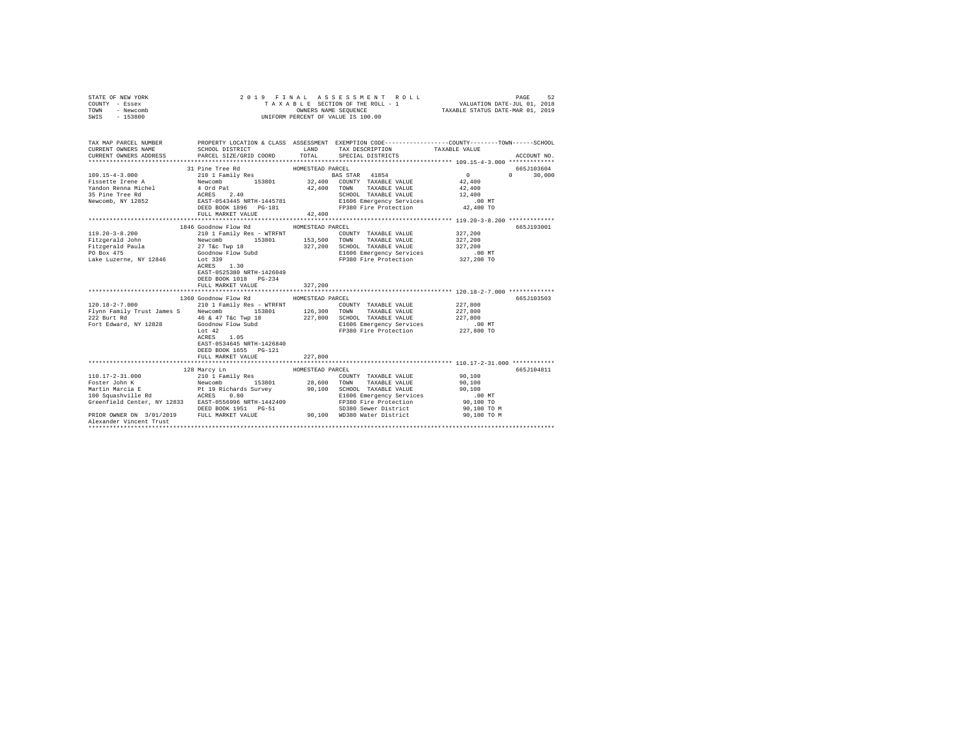| STATE OF NEW YORK<br>COUNTY - Essex<br>TOWN<br>- Newcomb<br>SWIS - 153800                                                                    | 2019 FINAL                                                                                                                                                              |                  | ASSESSMENT ROLL<br>TAXABLE SECTION OF THE ROLL - 1<br>OWNERS NAME SEQUENCE<br>UNIFORM PERCENT OF VALUE IS 100.00 | VALUATION DATE-JUL 01, 2018<br>TAXABLE STATUS DATE-MAR 01, 2019 | PAGE<br>52             |
|----------------------------------------------------------------------------------------------------------------------------------------------|-------------------------------------------------------------------------------------------------------------------------------------------------------------------------|------------------|------------------------------------------------------------------------------------------------------------------|-----------------------------------------------------------------|------------------------|
| TAX MAP PARCEL NUMBER PROPERTY LOCATION & CLASS ASSESSMENT EXEMPTION CODE---------------COUNTY-------TOWN------SCHOOL<br>CURRENT OWNERS NAME | SCHOOL DISTRICT                                                                                                                                                         | LAND             | TAX DESCRIPTION                                                                                                  | TAXABLE VALUE                                                   |                        |
| CURRENT OWNERS ADDRESS                                                                                                                       | PARCEL SIZE/GRID COORD                                                                                                                                                  | TOTAL            | SPECIAL DISTRICTS                                                                                                |                                                                 | ACCOUNT NO.            |
|                                                                                                                                              |                                                                                                                                                                         |                  |                                                                                                                  |                                                                 |                        |
|                                                                                                                                              | 31 Pine Tree Rd                                                                                                                                                         | HOMESTEAD PARCEL |                                                                                                                  |                                                                 | 665J103604             |
| $109.15 - 4 - 3.000$                                                                                                                         | 210 1 Family Res                                                                                                                                                        |                  | BAS STAR 41854                                                                                                   | $\sim$ 0                                                        | $\mathbf{a}$<br>30,000 |
| Fissette Irene A                                                                                                                             |                                                                                                                                                                         |                  |                                                                                                                  | 42,400                                                          |                        |
| Yandon Renna Michel                                                                                                                          | Newcomb 153801 32,400 COUNTY TAXABLE VALUE<br>4 Ord Pat 42,400 TOWN TAXABLE VALUE<br>ACHOSL 2.40 SCHOOL TAXABLE VALUE<br>EXEST-0543445 NRTH-1445781 SHOOL TAXABLE VALUE |                  |                                                                                                                  | 42,400                                                          |                        |
| 35 Pine Tree Rd                                                                                                                              |                                                                                                                                                                         |                  | SCHOOL TAXABLE VALUE                                                                                             | 12,400<br>$.00$ MT                                              |                        |
| Newcomb, NY 12852                                                                                                                            | DEED BOOK 1896 PG-181                                                                                                                                                   |                  | E1606 Emergency Services<br>FP380 Fire Protection 42,400 TO                                                      |                                                                 |                        |
|                                                                                                                                              | FULL MARKET VALUE                                                                                                                                                       | 42,400           |                                                                                                                  |                                                                 |                        |
|                                                                                                                                              |                                                                                                                                                                         |                  |                                                                                                                  |                                                                 |                        |
|                                                                                                                                              | 1846 Goodnow Flow Rd                                                                                                                                                    | HOMESTEAD PARCEL |                                                                                                                  |                                                                 | 665J193001             |
| $119.20 - 3 - 8.200$                                                                                                                         | 210 1 Family Res - WTRFNT                                                                                                                                               |                  | COUNTY TAXABLE VALUE                                                                                             | 327,200                                                         |                        |
| Fitzgerald John                                                                                                                              | 153801<br>Newcomb                                                                                                                                                       |                  | 153,500 TOWN TAXABLE VALUE                                                                                       | 327,200                                                         |                        |
| Fitzgerald Paula                                                                                                                             | 27 T&c Twp 18                                                                                                                                                           |                  | 327,200 SCHOOL TAXABLE VALUE                                                                                     | 327,200                                                         |                        |
| PO Box 475                                                                                                                                   | Goodnow Flow Subd                                                                                                                                                       |                  | E1606 Emergency Services                                                                                         | .00MT                                                           |                        |
| Lake Luzerne, NY 12846                                                                                                                       | Lot 339<br>ACRES 1.30<br>EAST-0525380 NRTH-1426049<br>DEED BOOK 1018 PG-234                                                                                             |                  | FP380 Fire Protection                                                                                            | 327,200 TO                                                      |                        |
|                                                                                                                                              | FULL MARKET VALUE                                                                                                                                                       | 327,200          |                                                                                                                  |                                                                 |                        |
|                                                                                                                                              |                                                                                                                                                                         |                  |                                                                                                                  |                                                                 |                        |
|                                                                                                                                              | 1360 Goodnow Flow Rd MOMESTEAD PARCEL                                                                                                                                   |                  |                                                                                                                  |                                                                 | 665J103503             |
| 120.18-2-7.000                                                                                                                               | 210 1 Family Res - WTRFNT                                                                                                                                               |                  | COUNTY TAXABLE VALUE                                                                                             | 227,800                                                         |                        |
| Flynn Family Trust James S                                                                                                                   | Newcomb<br>153801                                                                                                                                                       |                  |                                                                                                                  | 227,800                                                         |                        |
| 222 Burt Rd                                                                                                                                  | 46 & 47 T&c Twp 18                                                                                                                                                      |                  | 126,300 TOWN TAXABLE VALUE<br>227,800 SCHOOL TAXABLE VALUE                                                       | 227,800                                                         |                        |
| Fort Edward, NY 12828                                                                                                                        | Goodnow Flow Subd                                                                                                                                                       |                  | E1606 Emergency Services                                                                                         | $.00$ MT                                                        |                        |
|                                                                                                                                              | Lot 42<br>1.05<br>ACRES<br>EAST-0534645 NRTH-1426840<br>DEED BOOK 1655 PG-121<br>FULL MARKET VALUE                                                                      | 227,800          | FP380 Fire Protection                                                                                            | 227,800 TO                                                      |                        |
|                                                                                                                                              |                                                                                                                                                                         | *************    | ****************************** 110.17-2-31.000 ************                                                      |                                                                 |                        |
|                                                                                                                                              | 128 Marcy Ln                                                                                                                                                            | HOMESTEAD PARCEL |                                                                                                                  |                                                                 | 665J104811             |
| $110.17 - 2 - 31.000$                                                                                                                        | 210 1 Family Res                                                                                                                                                        |                  | COUNTY TAXABLE VALUE                                                                                             | 90,100                                                          |                        |
| Foster John K                                                                                                                                | Newcomb 153801                                                                                                                                                          |                  | 28,600 TOWN TAXABLE VALUE                                                                                        | 90,100                                                          |                        |
| roster John A<br>Martin Marcia E<br>100 Squashville Rd                                                                                       | Pt 19 Richards Survey                                                                                                                                                   |                  | 90.100 SCHOOL TAXABLE VALUE                                                                                      | 90,100                                                          |                        |
|                                                                                                                                              | ACRES 0.80                                                                                                                                                              |                  | E1606 Emergency Services                                                                                         | $.00$ MT                                                        |                        |
| Greenfield Center, NY 12833 EAST-0556996 NRTH-1442409                                                                                        |                                                                                                                                                                         |                  | FP380 Fire Protection                                                                                            | 90,100 TO                                                       |                        |
|                                                                                                                                              | DEED BOOK 1951 PG-51                                                                                                                                                    |                  | SD380 Sewer District                                                                                             | 90,100 TO M                                                     |                        |
| PRIOR OWNER ON 3/01/2019 FULL MARKET VALUE 90,100 WD380 Water District<br>Alexander Vincent Trust                                            |                                                                                                                                                                         |                  |                                                                                                                  | 90,100 TO M                                                     |                        |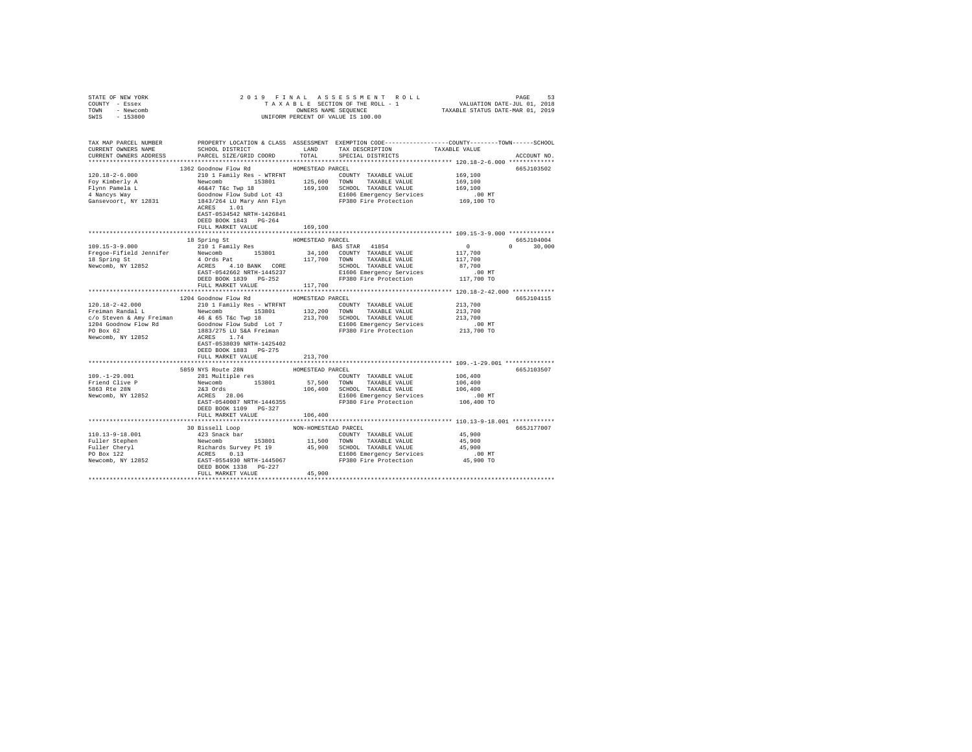| STATE OF NEW YORK                                                        |                                                                                                                                                                                                                                                                                                                                                                                                                      |                  |                                                                               |               |
|--------------------------------------------------------------------------|----------------------------------------------------------------------------------------------------------------------------------------------------------------------------------------------------------------------------------------------------------------------------------------------------------------------------------------------------------------------------------------------------------------------|------------------|-------------------------------------------------------------------------------|---------------|
| COUNTY - Essex                                                           |                                                                                                                                                                                                                                                                                                                                                                                                                      |                  |                                                                               |               |
| TOWN - Newcomb                                                           |                                                                                                                                                                                                                                                                                                                                                                                                                      |                  |                                                                               |               |
| SWIS - 153800                                                            |                                                                                                                                                                                                                                                                                                                                                                                                                      |                  |                                                                               |               |
|                                                                          |                                                                                                                                                                                                                                                                                                                                                                                                                      |                  |                                                                               |               |
|                                                                          |                                                                                                                                                                                                                                                                                                                                                                                                                      |                  |                                                                               |               |
|                                                                          | TAX MAP PARCEL NUMBER PROPERTY LOCATION & CLASS ASSESSMENT EXEMPTION CODE--------------COUNTY-------TOWN------SCHOOL                                                                                                                                                                                                                                                                                                 |                  |                                                                               |               |
| CURRENT OWNERS NAME                                                      |                                                                                                                                                                                                                                                                                                                                                                                                                      |                  | SCHOOL DISTRICT $\hfill$ LAND $\hfill$ TAX DESCRIPTION $\hfill$ TAXABLE VALUE |               |
| CURRENT OWNERS ADDRESS                                                   | PARCEL SIZE/GRID COORD                                                                                                                                                                                                                                                                                                                                                                                               |                  | TOTAL SPECIAL DISTRICTS                                                       | ACCOUNT NO.   |
|                                                                          |                                                                                                                                                                                                                                                                                                                                                                                                                      |                  |                                                                               |               |
|                                                                          | 1362 Goodnow Flow Rd MOMESTEAD PARCEL                                                                                                                                                                                                                                                                                                                                                                                |                  |                                                                               | 665J103502    |
| $120.18 - 2 - 6.000$                                                     |                                                                                                                                                                                                                                                                                                                                                                                                                      |                  |                                                                               |               |
|                                                                          |                                                                                                                                                                                                                                                                                                                                                                                                                      |                  |                                                                               |               |
|                                                                          |                                                                                                                                                                                                                                                                                                                                                                                                                      |                  |                                                                               |               |
|                                                                          |                                                                                                                                                                                                                                                                                                                                                                                                                      |                  |                                                                               |               |
| Foy Kimberly A<br>Flynn Pamela L<br>4 Nancys Way<br>Gansevoort, NY 12831 | NOTE THAN THE PRESS CONTRACT THE CONTRAINING PRESS (2010) ISSUE 169,100<br>Newcomb 153801 125,600 TOWN TAXABLE VALUE 169,100<br>16647 Tec Twp 18 169,100 SCHOOL TAXABLE VALUE 169,100<br>16647/Tec Twp 18 169,100 SCHOOL TAXABLE VAL                                                                                                                                                                                 |                  |                                                                               |               |
|                                                                          |                                                                                                                                                                                                                                                                                                                                                                                                                      |                  |                                                                               |               |
|                                                                          | EAST-0534542 NRTH-1426841                                                                                                                                                                                                                                                                                                                                                                                            |                  |                                                                               |               |
|                                                                          | DEED BOOK 1843 PG-264                                                                                                                                                                                                                                                                                                                                                                                                |                  |                                                                               |               |
|                                                                          | FULL MARKET VALUE                                                                                                                                                                                                                                                                                                                                                                                                    | 169,100          |                                                                               |               |
|                                                                          |                                                                                                                                                                                                                                                                                                                                                                                                                      |                  |                                                                               |               |
|                                                                          | 18 Spring St                                                                                                                                                                                                                                                                                                                                                                                                         | HOMESTEAD PARCEL |                                                                               | 665J104004    |
|                                                                          |                                                                                                                                                                                                                                                                                                                                                                                                                      |                  |                                                                               | $0 \t 30,000$ |
|                                                                          |                                                                                                                                                                                                                                                                                                                                                                                                                      |                  |                                                                               |               |
|                                                                          |                                                                                                                                                                                                                                                                                                                                                                                                                      |                  |                                                                               |               |
|                                                                          |                                                                                                                                                                                                                                                                                                                                                                                                                      |                  |                                                                               |               |
|                                                                          |                                                                                                                                                                                                                                                                                                                                                                                                                      |                  |                                                                               |               |
|                                                                          |                                                                                                                                                                                                                                                                                                                                                                                                                      |                  |                                                                               |               |
|                                                                          |                                                                                                                                                                                                                                                                                                                                                                                                                      |                  |                                                                               |               |
|                                                                          |                                                                                                                                                                                                                                                                                                                                                                                                                      |                  |                                                                               |               |
|                                                                          | 1204 Goodnow Flow Rd HOMESTEAD PARCEL                                                                                                                                                                                                                                                                                                                                                                                |                  |                                                                               |               |
|                                                                          | $\begin{tabular}{l c c c c c} \hline 120.18-2-42.000 & \textit{1404}\footnotesize{\footnotesize{101}~\text{Family}~\text{Res}} & \textit{HURENT} & \textit{COMINTY} & \textit{TXABLE VALUE} & 213,700 \\ \hline \textit{Freiman}~\textit{Randal}~\textit{L} & \textit{Newton} & \textit{153801} & 132,200 & \textit{TONN} & \textit{TXABLE VALUE} & 213,700 \\ \textit{C/O}~\textit{Steven}~\&\textit{Mry}~\textit{$ |                  |                                                                               | 665J104115    |
|                                                                          |                                                                                                                                                                                                                                                                                                                                                                                                                      |                  |                                                                               |               |
|                                                                          |                                                                                                                                                                                                                                                                                                                                                                                                                      |                  |                                                                               |               |
|                                                                          |                                                                                                                                                                                                                                                                                                                                                                                                                      |                  |                                                                               |               |
|                                                                          |                                                                                                                                                                                                                                                                                                                                                                                                                      |                  |                                                                               |               |
|                                                                          |                                                                                                                                                                                                                                                                                                                                                                                                                      |                  |                                                                               |               |
|                                                                          |                                                                                                                                                                                                                                                                                                                                                                                                                      |                  |                                                                               |               |
|                                                                          |                                                                                                                                                                                                                                                                                                                                                                                                                      |                  |                                                                               |               |
|                                                                          | DEED BOOK 1883 PG-275                                                                                                                                                                                                                                                                                                                                                                                                |                  |                                                                               |               |
|                                                                          | FULL MARKET VALUE                                                                                                                                                                                                                                                                                                                                                                                                    | 213,700          |                                                                               |               |
|                                                                          |                                                                                                                                                                                                                                                                                                                                                                                                                      |                  |                                                                               |               |
|                                                                          |                                                                                                                                                                                                                                                                                                                                                                                                                      |                  |                                                                               | 665J103507    |
|                                                                          |                                                                                                                                                                                                                                                                                                                                                                                                                      |                  |                                                                               |               |
|                                                                          |                                                                                                                                                                                                                                                                                                                                                                                                                      |                  |                                                                               |               |
|                                                                          |                                                                                                                                                                                                                                                                                                                                                                                                                      |                  |                                                                               |               |
|                                                                          |                                                                                                                                                                                                                                                                                                                                                                                                                      |                  |                                                                               |               |
|                                                                          |                                                                                                                                                                                                                                                                                                                                                                                                                      |                  |                                                                               |               |
|                                                                          | DEED BOOK 1109 PG-327                                                                                                                                                                                                                                                                                                                                                                                                |                  |                                                                               |               |
|                                                                          | FULL MARKET VALUE                                                                                                                                                                                                                                                                                                                                                                                                    | 106,400          |                                                                               |               |
|                                                                          |                                                                                                                                                                                                                                                                                                                                                                                                                      |                  |                                                                               |               |
|                                                                          |                                                                                                                                                                                                                                                                                                                                                                                                                      |                  |                                                                               | 665J177007    |
|                                                                          |                                                                                                                                                                                                                                                                                                                                                                                                                      |                  |                                                                               |               |
|                                                                          |                                                                                                                                                                                                                                                                                                                                                                                                                      |                  |                                                                               |               |
|                                                                          |                                                                                                                                                                                                                                                                                                                                                                                                                      |                  |                                                                               |               |
|                                                                          |                                                                                                                                                                                                                                                                                                                                                                                                                      |                  |                                                                               |               |
|                                                                          |                                                                                                                                                                                                                                                                                                                                                                                                                      |                  |                                                                               |               |
|                                                                          |                                                                                                                                                                                                                                                                                                                                                                                                                      |                  |                                                                               |               |
|                                                                          |                                                                                                                                                                                                                                                                                                                                                                                                                      |                  |                                                                               |               |
|                                                                          | $\begin{tabular}{l c c c c c} \hline 110.13-9-18.001 & 30 Bissell L loop & \multicolumn{2}{c}{\mbox{\small{10.13--9--18.001}} & 30 Bissell L loop & \multicolumn{2}{c}{\mbox{\small{10.13--9--18.001}} & 423 Snack bar & \multicolumn{2}{c}{\mbox{\small{10.13--9--18}} & 423 Snack bar & \multicolumn{2}{c}{\mbox{\small{10.13--9--18}} & 423 Snack bar & \multicolumn{2}{c}{\mbox{\small{11.500}} & $              |                  |                                                                               |               |
|                                                                          |                                                                                                                                                                                                                                                                                                                                                                                                                      |                  |                                                                               |               |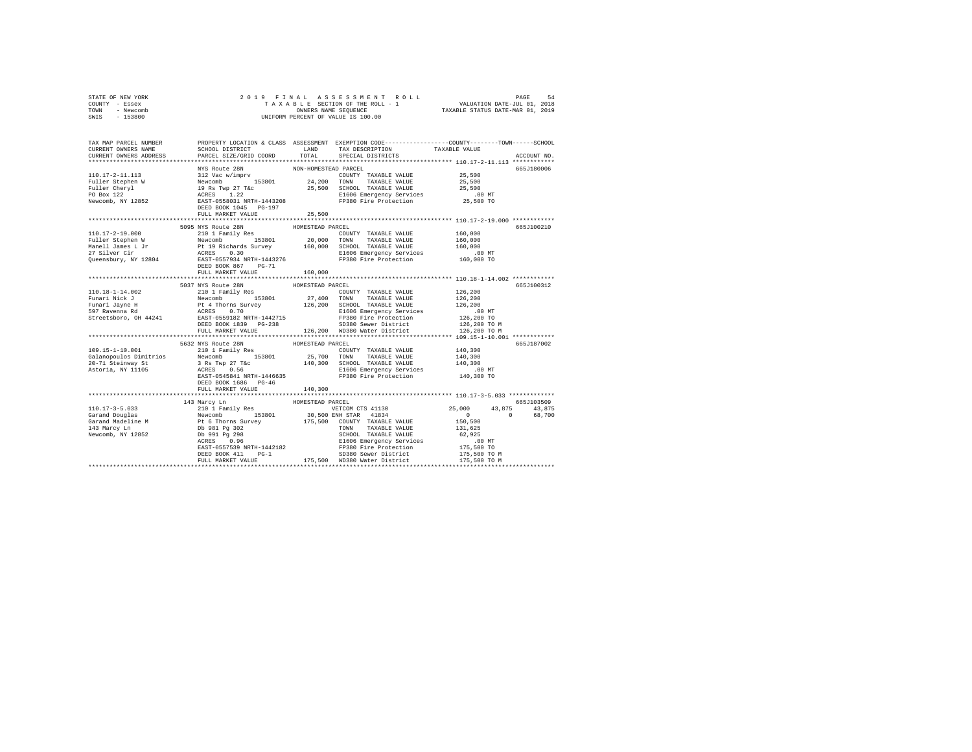| COUNTY<br>- Essex                                                       |                                     | TAXABLE SECTION OF THE ROLL - 1 VALUATION DATE-JUL 01, 2018                                      |        |             |
|-------------------------------------------------------------------------|-------------------------------------|--------------------------------------------------------------------------------------------------|--------|-------------|
| - Newcomb<br>TOWN                                                       |                                     | OWNERS NAME SEQUENCE TAXABLE STATUS DATE-MAR 01, 2019                                            |        |             |
| $-153800$<br>SWIS                                                       |                                     | UNIFORM PERCENT OF VALUE IS 100.00                                                               |        |             |
|                                                                         |                                     |                                                                                                  |        |             |
|                                                                         |                                     |                                                                                                  |        |             |
|                                                                         |                                     |                                                                                                  |        |             |
| TAX MAP PARCEL NUMBER TROPERTY LOCATION & CLASS ASSESSMENT              |                                     | EXEMPTION CODE-----------------COUNTY-------TOWN------SCHOOL                                     |        |             |
| CURRENT OWNERS NAME                                                     |                                     | SCHOOL DISTRICT                      LAND        TAX DESCRIPTION                   TAXABLE VALUE |        |             |
| CURRENT OWNERS ADDRESS 6 PARCEL SIZE/GRID COORD TOTAL SPECIAL DISTRICTS |                                     |                                                                                                  |        | ACCOUNT NO. |
|                                                                         |                                     |                                                                                                  |        |             |
|                                                                         | NYS Route 28N MON-HOMESTEAD PARCEL  |                                                                                                  |        | 665J180006  |
| $110.17 - 2 - 11.113$                                                   | 312 Vac w/imprv                     | COUNTY TAXABLE VALUE                                                                             | 25,500 |             |
| Fuller Stephen W                                                        | Newcomb 153801 24,200               | TOWN<br>TAXABLE VALUE                                                                            | 25,500 |             |
| Fuller Cheryl 19 Rs Twp 27 T&c 25,500                                   |                                     | SCHOOL TAXABLE VALUE 25,500                                                                      |        |             |
| PO Box 122                                                              | ACRES 1.22                          | E1606 Emergency Services .00 MT                                                                  |        |             |
| Newcomb, NY 12852                                                       | EAST-0558031 NRTH-1443208           | FP380 Fire Protection 25,500 TO                                                                  |        |             |
|                                                                         | DEED BOOK 1045 PG-197               |                                                                                                  |        |             |
|                                                                         | FULL MARKET VALUE 25,500            |                                                                                                  |        |             |
|                                                                         |                                     |                                                                                                  |        |             |
|                                                                         | 5095 NYS Route 28N HOMESTEAD PARCEL |                                                                                                  |        | 665J100210  |
| $\cdots$                                                                |                                     |                                                                                                  |        |             |

STATE OF NEW YORK 2019 FINAL ASSESSMENT ROLL PAGE 54

|                        | 5095 NYS Route 28N                              | HOMESTEAD PARCEL                               | 665J100210               |        |
|------------------------|-------------------------------------------------|------------------------------------------------|--------------------------|--------|
| $110.17 - 2 - 19.000$  | 210 1 Family Res                                | COUNTY TAXABLE VALUE                           | 160,000                  |        |
| Fuller Stephen W       | Newcomb<br>153801                               | 20,000<br>TOWN<br>TAXABLE VALUE                | 160,000                  |        |
| Manell James L Jr      | Pt 19 Richards Survey<br>ACRES 0.30             | 160,000<br>SCHOOL TAXABLE VALUE                | 160,000                  |        |
| 27 Silver Cir          |                                                 | E1606 Emergency Services                       | .00 MT                   |        |
| Queensbury, NY 12804   | EAST-0557934 NRTH-1443276                       | FP380 Fire Protection                          | 160,000 TO               |        |
|                        | DEED BOOK 867<br>$PG-71$                        |                                                |                          |        |
|                        | FULL MARKET VALUE                               | 160,000                                        |                          |        |
|                        |                                                 |                                                |                          |        |
|                        | 5037 NYS Route 28N                              | HOMESTEAD PARCEL                               | 665J100312               |        |
| $110.18 - 1 - 14.002$  | 210 1 Family Res                                | COUNTY TAXABLE VALUE                           | 126,200                  |        |
| Funari Nick J          | 153801<br>Newcomb                               | 27,400 TOWN<br>TAXABLE VALUE                   | 126,200                  |        |
|                        | Funari Jayne H B Pt 4 Thorns Survey 126,200     | SCHOOL TAXABLE VALUE                           | 126,200                  |        |
| 597 Ravenna Rd         | <b>ACRES</b><br>0.70                            | E1606 Emergency Services                       | $.00$ MT                 |        |
|                        | Streetsboro, OH 44241 EAST-0559182 NRTH-1442715 | FP380 Fire Protection                          | 126,200 TO               |        |
|                        | DEED BOOK 1839 PG-238                           | SD380 Sewer District                           | 126,200 TO M             |        |
|                        | FULL MARKET VALUE                               | 126.200 WD380 Water District                   | 126,200 TO M             |        |
|                        |                                                 |                                                |                          |        |
|                        | 5632 NYS Route 28N                              | HOMESTEAD PARCEL                               | 665J187002               |        |
| 109.15-1-10.001        | 210 1 Family Res                                | COUNTY TAXABLE VALUE                           | 140,300                  |        |
| Galanopoulos Dimitrios | Newcomb                                         | 153801 25,700 TOWN<br>TAXABLE VALUE 140,300    |                          |        |
| 20-71 Steinway St      | 3 Rs Twp 27 T&c 140,300                         | SCHOOL TAXABLE VALUE                           | 140,300                  |        |
| Astoria, NY 11105      | ACRES 0.56                                      | E1606 Emergency Services                       | .00 MT                   |        |
|                        | EAST-0545841 NRTH-1446635                       | FP380 Fire Protection                          | 140,300 TO               |        |
|                        | DEED BOOK 1686 PG-46                            |                                                |                          |        |
|                        | FULL MARKET VALUE                               | 140,300                                        |                          |        |
|                        |                                                 |                                                |                          |        |
|                        | 143 Marcy Ln                                    | HOMESTEAD PARCEL                               | 665J103509               |        |
| $110.17 - 3 - 5.033$   | 210 1 Family Res                                | VETCOM CTS 41130                               | 25,000 43,875            | 43.875 |
| Garand Douglas         | Newcomb<br>153801                               | 30,500 ENH STAR 41834                          | $\mathbf{0}$<br>$\Omega$ | 68,700 |
|                        |                                                 | Garand Madeline M 175,500 COUNTY TAXABLE VALUE | 150,500                  |        |
| 143 Marcy Ln           | Db 981 Pg 302                                   | TOWN<br>TAXABLE VALUE                          | 131,625                  |        |
| Newcomb, NY 12852      | Db 991 Pa 298                                   | SCHOOL TAXABLE VALUE                           | 62.925                   |        |
|                        | ACRES 0.96                                      | E1606 Emergency Services                       | $.00$ MT                 |        |
|                        | EAST-0557539 NRTH-1442182                       | FP380 Fire Protection                          | 175,500 TO               |        |
|                        | DEED BOOK 411<br>$PG-1$                         | SD380 Sewer District                           | 175,500 TO M             |        |
|                        | FULL MARKET VALUE                               | 175,500 WD380 Water District                   | 175,500 TO M             |        |
|                        | ********************************                |                                                |                          |        |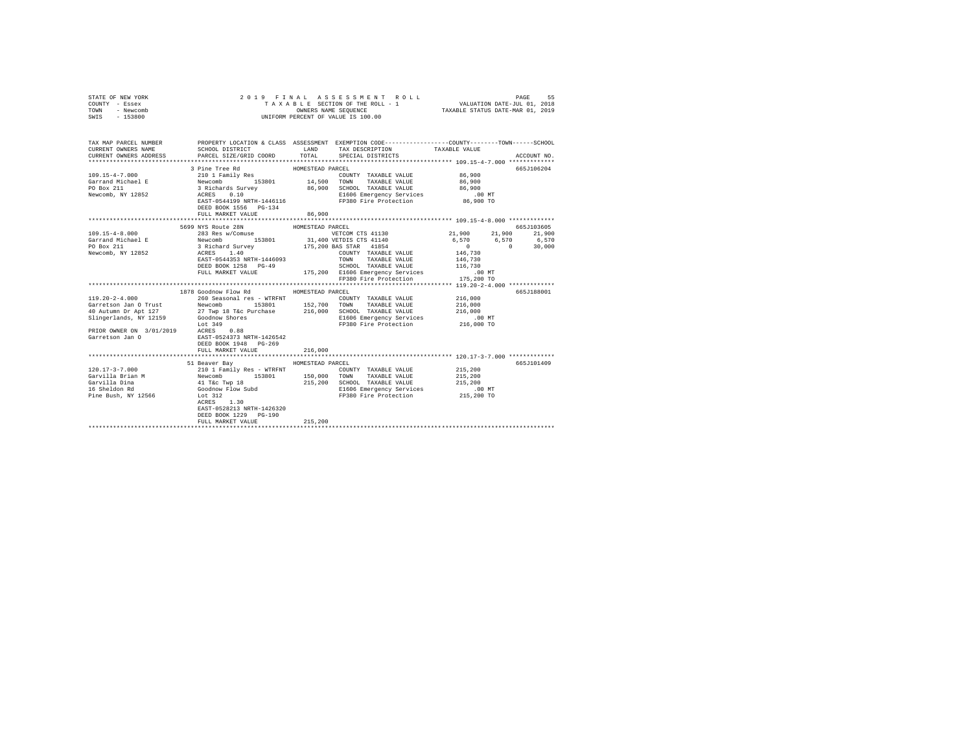| STATE OF NEW YORK<br>COUNTY - Essex<br>TOWN<br>- Newcomb<br>SWIS - 153800                                                                    | 2019 FINAL ASSESSMENT ROLL<br>UNIFORM PERCENT OF VALUE IS 100.00                                                          |                  |                                                                     |               | PAGE<br>55           |
|----------------------------------------------------------------------------------------------------------------------------------------------|---------------------------------------------------------------------------------------------------------------------------|------------------|---------------------------------------------------------------------|---------------|----------------------|
| TAX MAP PARCEL NUMBER PROPERTY LOCATION & CLASS ASSESSMENT EXEMPTION CODE---------------COUNTY-------TOWN------SCHOOL<br>CURRENT OWNERS NAME | SCHOOL DISTRICT                                                                                                           | LAND             | TAX DESCRIPTION                                                     | TAXABLE VALUE |                      |
| CURRENT OWNERS ADDRESS FARCEL SIZE/GRID COORD TOTAL SPECIAL DISTRICTS                                                                        |                                                                                                                           |                  |                                                                     |               | ACCOUNT NO.          |
|                                                                                                                                              |                                                                                                                           |                  |                                                                     |               |                      |
|                                                                                                                                              | 3 Pine Tree Rd                                                                                                            | HOMESTEAD PARCEL |                                                                     |               | 665J106204           |
| $109.15 - 4 - 7.000$                                                                                                                         | 210 1 Family Res                                                                                                          |                  | COUNTY TAXABLE VALUE                                                | 86,900        |                      |
| Garrand Michael E                                                                                                                            | Newcomb 153801 14,500 TOWN<br>3 Richards Survey 86,900 SCHOO<br>ACRES 0.10 B1606 E1606<br>EAST-0544199 NRTH-1446116 FP380 |                  | TAXABLE VALUE                                                       | 86,900        |                      |
| PO Box 211                                                                                                                                   |                                                                                                                           |                  | 86,900 SCHOOL TAXABLE VALUE                                         | 86,900        |                      |
| Newcomb, NY 12852                                                                                                                            |                                                                                                                           |                  | E1606 Emergency Services .00 MT                                     |               |                      |
|                                                                                                                                              |                                                                                                                           |                  | FP380 Fire Protection                                               | 86,900 TO     |                      |
|                                                                                                                                              | DEED BOOK 1556 PG-134                                                                                                     |                  |                                                                     |               |                      |
|                                                                                                                                              | FULL MARKET VALUE                                                                                                         | 86,900           |                                                                     |               |                      |
|                                                                                                                                              | 5699 NYS Route 28N                                                                                                        | HOMESTEAD PARCEL |                                                                     |               | 665J103605           |
| $109.15 - 4 - 8.000$                                                                                                                         | 283 Res w/Comuse                                                                                                          |                  | VETCOM CTS 41130                                                    |               | 21,900 21,900 21,900 |
| Garrand Michael E Newcomb 153801 31,400 VETDIS CTS 41140                                                                                     |                                                                                                                           |                  |                                                                     |               | 6,570 6,570 6,570    |
| PO Box 211                                                                                                                                   | 3 Richard Survey                                                                                                          |                  | 175,200 BAS STAR 41854                                              | $\sim$ 0      | $\sim$ 0<br>30,000   |
| Newcomb, NY 12852                                                                                                                            | ACRES 1.40                                                                                                                |                  | COUNTY TAXABLE VALUE                                                | 146,730       |                      |
|                                                                                                                                              | EAST-0544353 NRTH-1446093                                                                                                 |                  | TOWN TAXABLE VALUE                                                  | 146,730       |                      |
|                                                                                                                                              | DEED BOOK 1258 PG-49                                                                                                      |                  |                                                                     |               |                      |
|                                                                                                                                              | FULL MARKET VALUE                                                                                                         |                  | SCHOOL TAXABLE VALUE 116,730<br>E1606 Emergency Services .00 MT     |               |                      |
|                                                                                                                                              |                                                                                                                           |                  | 175,200 E1606 Emergency Services<br>FP380 Fire Protection           | 175,200 TO    |                      |
|                                                                                                                                              |                                                                                                                           |                  |                                                                     |               |                      |
|                                                                                                                                              | 1878 Goodnow Flow Rd MOMESTEAD PARCEL                                                                                     |                  |                                                                     |               | 665J188001           |
| $119.20 - 2 - 4.000$                                                                                                                         | 260 Seasonal res - WTRFNT                                                                                                 |                  | COUNTY TAXABLE VALUE                                                | 216,000       |                      |
| Garretson Jan O Trust                                                                                                                        | Newcomb 153801 152,700 TOWN                                                                                               |                  | TAXABLE VALUE                                                       | 216,000       |                      |
|                                                                                                                                              |                                                                                                                           |                  |                                                                     | 216,000       |                      |
|                                                                                                                                              |                                                                                                                           |                  | E1606 Emergency Services .00 MT<br>FP380 Fire Protection 216,000 TO |               |                      |
|                                                                                                                                              |                                                                                                                           |                  |                                                                     |               |                      |
|                                                                                                                                              |                                                                                                                           |                  |                                                                     |               |                      |
|                                                                                                                                              | DEED BOOK 1948 PG-269                                                                                                     |                  |                                                                     |               |                      |
|                                                                                                                                              | FULL MARKET VALUE                                                                                                         | 216,000          |                                                                     |               |                      |
|                                                                                                                                              |                                                                                                                           |                  |                                                                     |               |                      |
|                                                                                                                                              | 51 Beaver Bay                                                                                                             | HOMESTEAD PARCEL |                                                                     |               | 665J101409           |
| $120.17 - 3 - 7.000$                                                                                                                         |                                                                                                                           |                  | COUNTY TAXABLE VALUE 215,200                                        |               |                      |
| Garvilla Brian M                                                                                                                             |                                                                                                                           |                  | 153801 150,000 TOWN TAXABLE VALUE                                   | 215,200       |                      |
| Garvilla Dina                                                                                                                                | 210 1 Family Res - WTRFNT<br>Newcomb 153801 150,000<br>41 T&c Twp 18 215,200<br>Goodnow Flow Subd 215,200<br>Lot 312      |                  | 215,200 SCHOOL TAXABLE VALUE<br>E1606 Emergency Services            | 215,200       |                      |
| 16 Sheldon Rd                                                                                                                                |                                                                                                                           |                  | E1606 Emergency Services .00 MT<br>FP380 Fire Protection 215,200 TO |               |                      |
| Pine Bush, NY 12566 Lot 312                                                                                                                  |                                                                                                                           |                  |                                                                     |               |                      |
|                                                                                                                                              | $ACRES$ 1.30                                                                                                              |                  |                                                                     |               |                      |
|                                                                                                                                              | EAST-0528213 NRTH-1426320                                                                                                 |                  |                                                                     |               |                      |
|                                                                                                                                              | DEED BOOK 1229 PG-190                                                                                                     |                  |                                                                     |               |                      |
|                                                                                                                                              | FULL MARKET VALUE                                                                                                         | 215,200          |                                                                     |               |                      |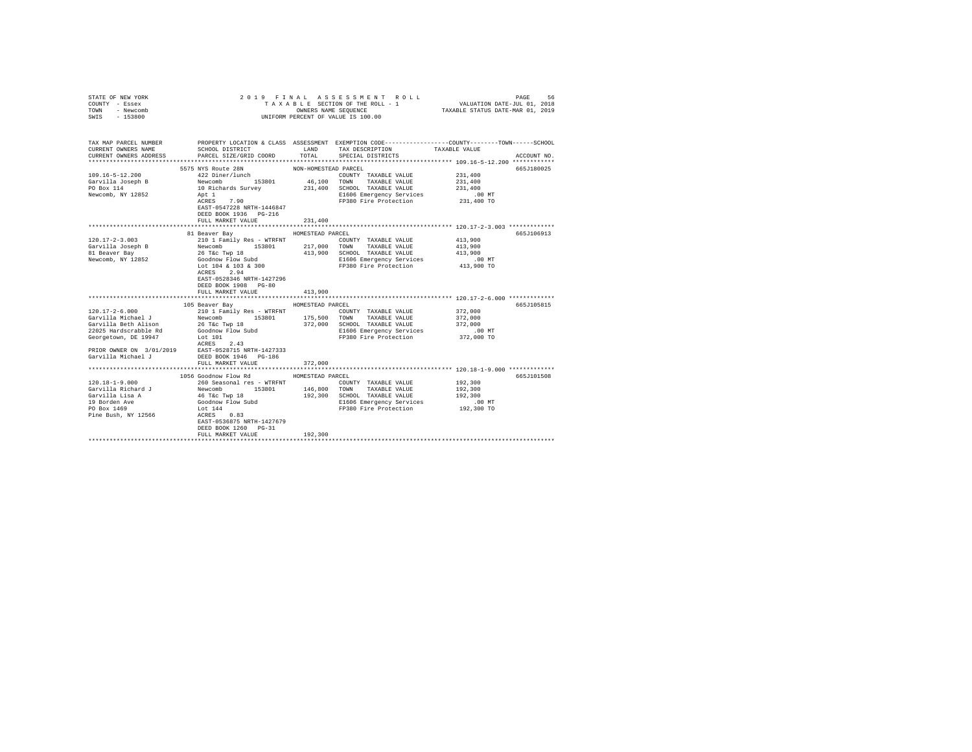| STATE OF NEW YORK<br>COUNTY - Essex<br>TOWN - Newcomb<br>SWIS - 153800                                                                                                | 2019 FINAL ASSESSMENT ROLL<br>PAGE<br>UNIFORM PERCENT OF VALUE IS 100.00                                                                                                                                          |                                        |                                                                                                                                        |                                                                                                                                 |  |  |
|-----------------------------------------------------------------------------------------------------------------------------------------------------------------------|-------------------------------------------------------------------------------------------------------------------------------------------------------------------------------------------------------------------|----------------------------------------|----------------------------------------------------------------------------------------------------------------------------------------|---------------------------------------------------------------------------------------------------------------------------------|--|--|
| TAX MAP PARCEL NUMBER<br>CURRENT OWNERS NAME<br>CURRENT OWNERS ADDRESS                                                                                                | SCHOOL DISTRICT<br>PARCEL SIZE/GRID COORD                                                                                                                                                                         | LAND<br>TOTAL                          | TAX DESCRIPTION<br>SPECIAL DISTRICTS                                                                                                   | PROPERTY LOCATION & CLASS ASSESSMENT EXEMPTION CODE---------------COUNTY-------TOWN------SCHOOL<br>TAXABLE VALUE<br>ACCOUNT NO. |  |  |
| $109.16 - 5 - 12.200$<br>Garvilla Joseph B<br>PO Box 114<br>Newcomb, NY 12852                                                                                         | 5575 NYS Route 28N<br>422 Diner/lunch<br>Newcomb<br>10 Richards Survey<br>Apt 1<br>ACRES 7.90<br>EAST-0547228 NRTH-1446847<br>DEED BOOK 1936 PG-216<br>FULL MARKET VALUE                                          | NON-HOMESTEAD PARCEL<br>231,400        | COUNTY TAXABLE VALUE<br>46,100 TOWN TAXABLE VALUE<br>231,400 SCHOOL TAXABLE VALUE<br>E1606 Emergency Services<br>FP380 Fire Protection | 665.T180025<br>231,400<br>231,400<br>231,400<br>$.00$ MT<br>231,400 TO                                                          |  |  |
| $120.17 - 2 - 3.003$<br>Garvilla Joseph B<br>81 Beaver Bay<br>Newcomb, NY 12852                                                                                       | 81 Beaver Bay<br>210 1 Family Res - WTRFNT<br>Newcomb 153801<br>26 T&c Twp 18<br>Goodnow Flow Subd<br>Lot 104 & 103 & 300<br>ACRES 2.94<br>EAST-0528346 NRTH-1427296<br>DEED BOOK 1908 PG-80<br>FULL MARKET VALUE | HOMESTEAD PARCEL<br>217,000<br>413,900 | COUNTY TAXABLE VALUE<br>TOWN TAXABLE VALUE<br>413,900 SCHOOL TAXABLE VALUE<br>E1606 Emeryency Control<br>FP380 Fire Protection         | 665J106913<br>413,900<br>413,900<br>413,900<br>$.00$ MT<br>413,900 TO                                                           |  |  |
| $120.17 - 2 - 6.000$<br>Garvilla Michael J<br>Garvilla Beth Alison<br>22025 Hardscrabble Rd<br>Georgetown, DE 19947<br>PRIOR OWNER ON 3/01/2019<br>Garvilla Michael J | 105 Beaver Bay<br>210 1 Family Res - WTRFNT<br>Newcomb 153801<br>26 T&c Twp 18<br>Goodnow Flow Subd<br>Lot 101<br>ACRES 2.43<br>EAST-0528715 NRTH-1427333<br>DEED BOOK 1946    PG-186<br>FULL MARKET VALUE        | HOMESTEAD PARCEL<br>175,500<br>372,000 | COUNTY TAXABLE VALUE<br>TOWN TAXABLE VALUE<br>372,000 SCHOOL TAXABLE VALUE<br>E1606 Emergency Services<br>FP380 Fire Protection        | 665J105815<br>372,000<br>372,000<br>372,000<br>$.00$ MT<br>372,000 TO                                                           |  |  |
| $120.18 - 1 - 9.000$<br>Garvilla Richard J<br>Garvilla Lisa A<br>19 Borden Ave<br>PO Box 1469<br>Pine Bush, NY 12566                                                  | 1056 Goodnow Flow Rd<br>260 Seasonal res - WTRFNT<br>Newcomb 153801 146,800<br>46 T&c Twp 18 192,300<br>Goodnow Flow Subd<br>Lot 144<br>ACRES 0.83                                                                | HOMESTEAD PARCEL                       | COUNTY TAXABLE VALUE<br>TOWN TAXABLE VALUE<br>192,300 SCHOOL TAXABLE VALUE<br>E1606 Emergency Services<br>FP380 Fire Protection        | 665-7101508<br>192,300<br>192,300<br>192,300<br>$.00$ MT<br>192,300 TO                                                          |  |  |
|                                                                                                                                                                       | EAST-0536875 NRTH-1427679<br>DEED BOOK 1260 PG-31<br>FULL MARKET VALUE                                                                                                                                            | 192,300                                |                                                                                                                                        |                                                                                                                                 |  |  |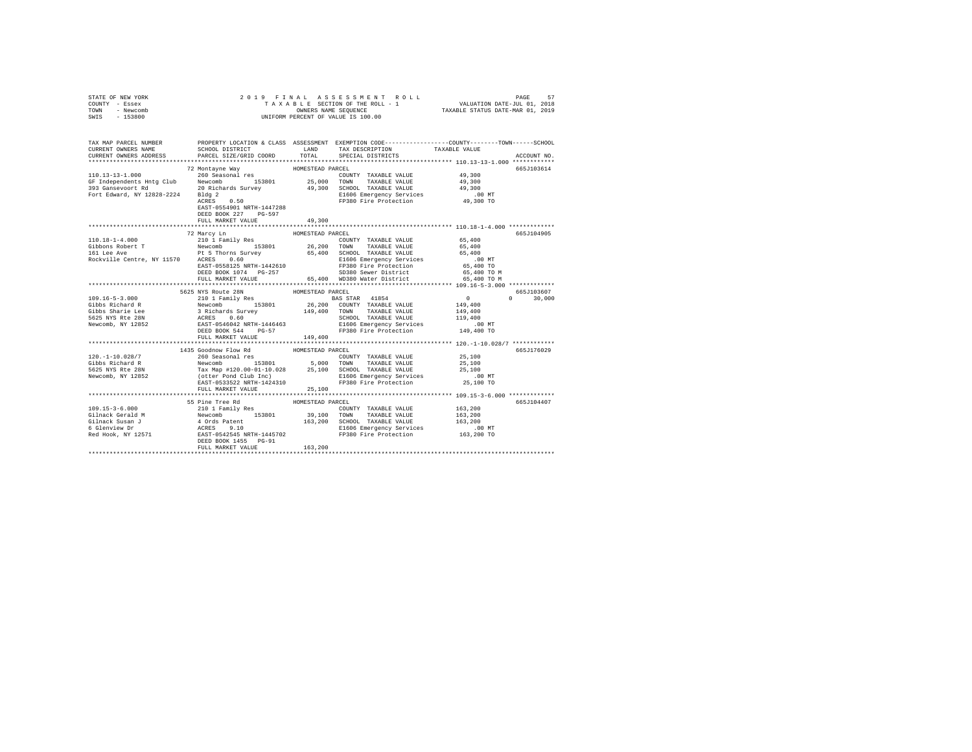|      | STATE OF NEW YORK |  | 2019 FINAL ASSESSMENT ROLL         |  | PAGE                        | 57 |
|------|-------------------|--|------------------------------------|--|-----------------------------|----|
|      | COUNTY - Essex    |  | TAXABLE SECTION OF THE ROLL - 1    |  | VALUATION DATE-JUL 01, 2018 |    |
| TOWN | - Newcomb         |  | TAXABLE STATUS DATE-MAR 01, 2019   |  |                             |    |
| SWIS | $-153800$         |  | UNIFORM PERCENT OF VALUE IS 100.00 |  |                             |    |

| TAX MAP PARCEL NUMBER<br>CURRENT OWNERS NAME<br>CURRENT OWNERS ADDRESS | SCHOOL DISTRICT<br>PARCEL SIZE/GRID COORD                                                                                                                   |                             | LAND TAX DESCRIPTION TAXABLE VALUE<br>TOTAL SPECIAL DISTRICTS                     | PROPERTY LOCATION & CLASS ASSESSMENT EXEMPTION CODE---------------COUNTY-------TOWN------SCHOOL<br>ACCOUNT NO. |
|------------------------------------------------------------------------|-------------------------------------------------------------------------------------------------------------------------------------------------------------|-----------------------------|-----------------------------------------------------------------------------------|----------------------------------------------------------------------------------------------------------------|
|                                                                        | Bldg  2<br>ACRES         0 .50<br>EAST-0554901 NRTH-1447288<br>DEED BOOK 227 PG-597                                                                         |                             | FP380 Fire Protection 49,300 TO                                                   | 665J103614<br>49,300<br>49,300<br>49,300<br>$.00$ MT                                                           |
|                                                                        | FULL MARKET VALUE                                                                                                                                           | 49,300                      |                                                                                   |                                                                                                                |
|                                                                        | 72 Marcy Ln<br>ELEOS METH-1442610<br>ELEOS Emergency Services 1.00 NT<br>EAST-0558125 NRTH-1442610 FP380 Fire Protection 65,400 TO<br>DEED BOOK 1074 PG-257 | HOMESTEAD PARCEL            | SD380 Sewer District<br>FULL MARKET VALUE 65,400 WD380 Water District 65,400 TO M | 665.T104905<br>65,400 TO M                                                                                     |
|                                                                        | 5625 NYS Route 28N                                                                                                                                          | HOMESTEAD PARCEL            |                                                                                   | 665J103607                                                                                                     |
|                                                                        | FULL MARKET VALUE 149,400                                                                                                                                   |                             |                                                                                   | $0 \t 30,000$<br>$.00$ MT<br>149,400 TO                                                                        |
|                                                                        | 1435 Goodnow Flow Rd                                                                                                                                        | HOMESTEAD PARCEL            |                                                                                   | 665J176029                                                                                                     |
|                                                                        |                                                                                                                                                             |                             |                                                                                   |                                                                                                                |
|                                                                        | FULL MARKET VALUE                                                                                                                                           | 25,100                      |                                                                                   |                                                                                                                |
|                                                                        | 55 Pine Tree Rd<br>FULL MARKET VALUE                                                                                                                        | HOMESTEAD PARCEL<br>163,200 |                                                                                   | 665J104407                                                                                                     |
|                                                                        |                                                                                                                                                             |                             |                                                                                   |                                                                                                                |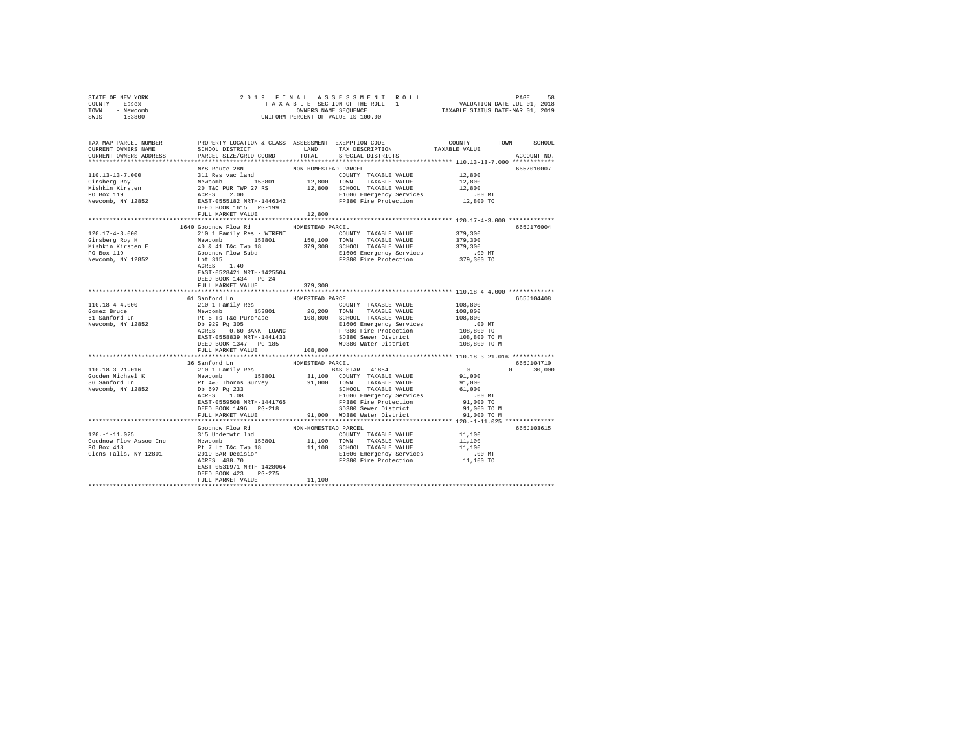| STATE OF NEW YORK | 2019 FINAL ASSESSMENT ROLL         | 58<br>PAGE                       |
|-------------------|------------------------------------|----------------------------------|
| COUNTY - Essex    | TAXABLE SECTION OF THE ROLL - 1    | VALUATION DATE-JUL 01, 2018      |
| TOWN<br>- Newcomb | OWNERS NAME SEOUENCE               | TAXABLE STATUS DATE-MAR 01, 2019 |
| $-153800$<br>SWIS | UNIFORM PERCENT OF VALUE IS 100.00 |                                  |

| TAX MAP PARCEL NUMBER<br>CURRENT OWNERS NAME                                                                                                                                                                                                                           | SCHOOL DISTRICT                                                                                                                        |                      | LAND TAX DESCRIPTION                                                                                                                                                                                                                   | PROPERTY LOCATION & CLASS ASSESSMENT EXEMPTION CODE----------------COUNTY-------TOWN------SCHOOL<br>TAXABLE VALUE |  |
|------------------------------------------------------------------------------------------------------------------------------------------------------------------------------------------------------------------------------------------------------------------------|----------------------------------------------------------------------------------------------------------------------------------------|----------------------|----------------------------------------------------------------------------------------------------------------------------------------------------------------------------------------------------------------------------------------|-------------------------------------------------------------------------------------------------------------------|--|
| CURRENT OWNERS ADDRESS                                                                                                                                                                                                                                                 | PARCEL SIZE/GRID COORD                                                                                                                 |                      | TOTAL SPECIAL DISTRICTS                                                                                                                                                                                                                | ACCOUNT NO.                                                                                                       |  |
|                                                                                                                                                                                                                                                                        | NYS Route 28N                                                                                                                          | NON-HOMESTEAD PARCEL |                                                                                                                                                                                                                                        | 6652010007                                                                                                        |  |
| 110.13-13-7.000                                                                                                                                                                                                                                                        |                                                                                                                                        |                      |                                                                                                                                                                                                                                        | 12,800                                                                                                            |  |
|                                                                                                                                                                                                                                                                        |                                                                                                                                        |                      |                                                                                                                                                                                                                                        |                                                                                                                   |  |
| Ginsberg Roy                                                                                                                                                                                                                                                           |                                                                                                                                        |                      |                                                                                                                                                                                                                                        | 12,800<br>12,800                                                                                                  |  |
| Mishkin Kirsten<br>PO Box 119                                                                                                                                                                                                                                          |                                                                                                                                        |                      |                                                                                                                                                                                                                                        | $.00$ MT                                                                                                          |  |
| Newcomb, NY 12852                                                                                                                                                                                                                                                      |                                                                                                                                        |                      | E1606 Emergency Services<br>FP380 Fire Protection                                                                                                                                                                                      | 12,800 TO                                                                                                         |  |
|                                                                                                                                                                                                                                                                        |                                                                                                                                        |                      |                                                                                                                                                                                                                                        |                                                                                                                   |  |
|                                                                                                                                                                                                                                                                        | FULL MARKET VALUE                                                                                                                      | 12,800               |                                                                                                                                                                                                                                        |                                                                                                                   |  |
|                                                                                                                                                                                                                                                                        | 1640 Goodnow Flow Rd                                                                                                                   | HOMESTEAD PARCEL     |                                                                                                                                                                                                                                        | 665J176004                                                                                                        |  |
| $\begin{tabular}{l c c c c c c c c} \hline 120.17-4-3.000 & -0.00000 & -0.00000 & -0.000000 & -0.000000 & -0.000000 & -0.000000 & -0.000000 & -0.000000 & 0.000000 & 0.000000 & 0.000000 & 0.000000 & 0.000000 & 0.000000 & 0.000000 & 0.000000 & 0.000000 & 0.000000$ |                                                                                                                                        |                      |                                                                                                                                                                                                                                        | 379,300                                                                                                           |  |
|                                                                                                                                                                                                                                                                        |                                                                                                                                        |                      |                                                                                                                                                                                                                                        | 379,300                                                                                                           |  |
|                                                                                                                                                                                                                                                                        |                                                                                                                                        |                      |                                                                                                                                                                                                                                        |                                                                                                                   |  |
|                                                                                                                                                                                                                                                                        |                                                                                                                                        |                      |                                                                                                                                                                                                                                        |                                                                                                                   |  |
|                                                                                                                                                                                                                                                                        |                                                                                                                                        |                      |                                                                                                                                                                                                                                        | 379,300<br>.00 MT<br>379,300 TO                                                                                   |  |
|                                                                                                                                                                                                                                                                        | ACRES 1.40                                                                                                                             |                      |                                                                                                                                                                                                                                        |                                                                                                                   |  |
|                                                                                                                                                                                                                                                                        | EAST-0528421 NRTH-1425504                                                                                                              |                      |                                                                                                                                                                                                                                        |                                                                                                                   |  |
|                                                                                                                                                                                                                                                                        | DEED BOOK 1434 PG-24                                                                                                                   |                      |                                                                                                                                                                                                                                        |                                                                                                                   |  |
|                                                                                                                                                                                                                                                                        | FULL MARKET VALUE                                                                                                                      | 379,300              |                                                                                                                                                                                                                                        |                                                                                                                   |  |
|                                                                                                                                                                                                                                                                        |                                                                                                                                        |                      |                                                                                                                                                                                                                                        |                                                                                                                   |  |
|                                                                                                                                                                                                                                                                        | 61 Sanford Ln                                                                                                                          | HOMESTEAD PARCEL     |                                                                                                                                                                                                                                        | 665J104408                                                                                                        |  |
| $110.18 - 4 - 4.000$                                                                                                                                                                                                                                                   |                                                                                                                                        |                      | COUNTY TAXABLE VALUE 108,800                                                                                                                                                                                                           |                                                                                                                   |  |
| Gomez Bruce                                                                                                                                                                                                                                                            |                                                                                                                                        |                      |                                                                                                                                                                                                                                        | 108,800                                                                                                           |  |
| 61 Sanford Ln                                                                                                                                                                                                                                                          |                                                                                                                                        |                      |                                                                                                                                                                                                                                        | 108,800                                                                                                           |  |
| Newcomb, NY 12852                                                                                                                                                                                                                                                      |                                                                                                                                        |                      | 210 1 Family Res 2001 MY TAXABLE VALUE<br>Newcomb 153801 26,200 TOWN TAXABLE VALUE<br>Pt 5 Ts Tic Purchase 108,800 SCHOOL TAXABLE VALUE<br>Pt 5 Ts Tic Purchase 108,800 SCHOOL TAXABLE VALUE<br>Db 929 Pg 305 11:00 FP380 Pre Protecti | $.00$ MT                                                                                                          |  |
|                                                                                                                                                                                                                                                                        |                                                                                                                                        |                      | FP380 Fire Protection<br>SD380 Sewer District                                                                                                                                                                                          |                                                                                                                   |  |
|                                                                                                                                                                                                                                                                        | EAST-0558839 NRTH-1441433                                                                                                              |                      |                                                                                                                                                                                                                                        | 108,800 TO<br>108,800 TO M                                                                                        |  |
|                                                                                                                                                                                                                                                                        | DEED BOOK 1347 PG-185                                                                                                                  |                      | WD380 Water District                                                                                                                                                                                                                   | 108,800 TO M                                                                                                      |  |
|                                                                                                                                                                                                                                                                        | FULL MARKET VALUE 108,800                                                                                                              |                      |                                                                                                                                                                                                                                        |                                                                                                                   |  |
|                                                                                                                                                                                                                                                                        |                                                                                                                                        |                      |                                                                                                                                                                                                                                        |                                                                                                                   |  |
|                                                                                                                                                                                                                                                                        | 36 Sanford Ln                                                                                                                          | HOMESTEAD PARCEL     |                                                                                                                                                                                                                                        | 665J104710                                                                                                        |  |
| 110.18-3-21.016                                                                                                                                                                                                                                                        |                                                                                                                                        |                      |                                                                                                                                                                                                                                        | $\begin{smallmatrix}&&0\\&&91\,,000\end{smallmatrix}$<br>$0 \t 30.000$                                            |  |
| Gooden Michael K<br>36 Sanford Ln                                                                                                                                                                                                                                      |                                                                                                                                        |                      |                                                                                                                                                                                                                                        |                                                                                                                   |  |
|                                                                                                                                                                                                                                                                        |                                                                                                                                        |                      |                                                                                                                                                                                                                                        | 91,000                                                                                                            |  |
| Newcomb, NY 12852                                                                                                                                                                                                                                                      |                                                                                                                                        |                      | SCHOOL TAXABLE VALUE                                                                                                                                                                                                                   | 61,000                                                                                                            |  |
|                                                                                                                                                                                                                                                                        |                                                                                                                                        |                      | E1606 Emergency Services                                                                                                                                                                                                               | $.00$ MT                                                                                                          |  |
|                                                                                                                                                                                                                                                                        |                                                                                                                                        |                      |                                                                                                                                                                                                                                        | 91,000 TO                                                                                                         |  |
|                                                                                                                                                                                                                                                                        | DEED BOOK 1496 PG-218                                                                                                                  |                      | EAST-0559508 NRTH-1441765<br>DEED BOOK 1496 PG-218 SD380 Sewer District                                                                                                                                                                | 91,000 TO M                                                                                                       |  |
|                                                                                                                                                                                                                                                                        | FULL MARKET VALUE                                                                                                                      |                      | 91,000 WD380 Water District                                                                                                                                                                                                            | 91,000 TO M                                                                                                       |  |
|                                                                                                                                                                                                                                                                        |                                                                                                                                        |                      |                                                                                                                                                                                                                                        |                                                                                                                   |  |
|                                                                                                                                                                                                                                                                        | Goodnow Flow Rd                                                                                                                        | NON-HOMESTEAD PARCEL |                                                                                                                                                                                                                                        | 665J103615                                                                                                        |  |
| $120. - 1 - 11.025$                                                                                                                                                                                                                                                    | 315 Underwtr 1nd                                                                                                                       |                      | COUNTY TAXABLE VALUE                                                                                                                                                                                                                   | $11,100$<br>$11,100$                                                                                              |  |
| Goodnow Flow Assoc Inc                                                                                                                                                                                                                                                 | 315 UNIGENCE IN THE COUNTY TRAABLE VALUE<br>Newcomb 153801 11,100 TOWN TRAABLE VALUE<br>Pt 7 Lt T&c Twp 18 11,100 SCHOOL TAXABLE VALUE |                      |                                                                                                                                                                                                                                        |                                                                                                                   |  |
| PO Box 418                                                                                                                                                                                                                                                             |                                                                                                                                        |                      |                                                                                                                                                                                                                                        | 11,100                                                                                                            |  |
| Glens Falls, NY 12801                                                                                                                                                                                                                                                  |                                                                                                                                        |                      |                                                                                                                                                                                                                                        | .00 MT.<br>11,100 TO                                                                                              |  |
|                                                                                                                                                                                                                                                                        |                                                                                                                                        |                      | Pt 7 Lt Tac Twp 18<br>2019 BAR Decision 11,100 SCHOOL TAXABLE VALUE<br>2019 BAR Decision B1606 Emergency Services<br>ACRES 488.70                                                                                                      |                                                                                                                   |  |
|                                                                                                                                                                                                                                                                        | EAST-0531971 NRTH-1428064                                                                                                              |                      |                                                                                                                                                                                                                                        |                                                                                                                   |  |
|                                                                                                                                                                                                                                                                        | DEED BOOK 423 PG-275                                                                                                                   |                      |                                                                                                                                                                                                                                        |                                                                                                                   |  |
|                                                                                                                                                                                                                                                                        | FULL MARKET VALUE                                                                                                                      | 11,100               |                                                                                                                                                                                                                                        |                                                                                                                   |  |
|                                                                                                                                                                                                                                                                        |                                                                                                                                        |                      |                                                                                                                                                                                                                                        |                                                                                                                   |  |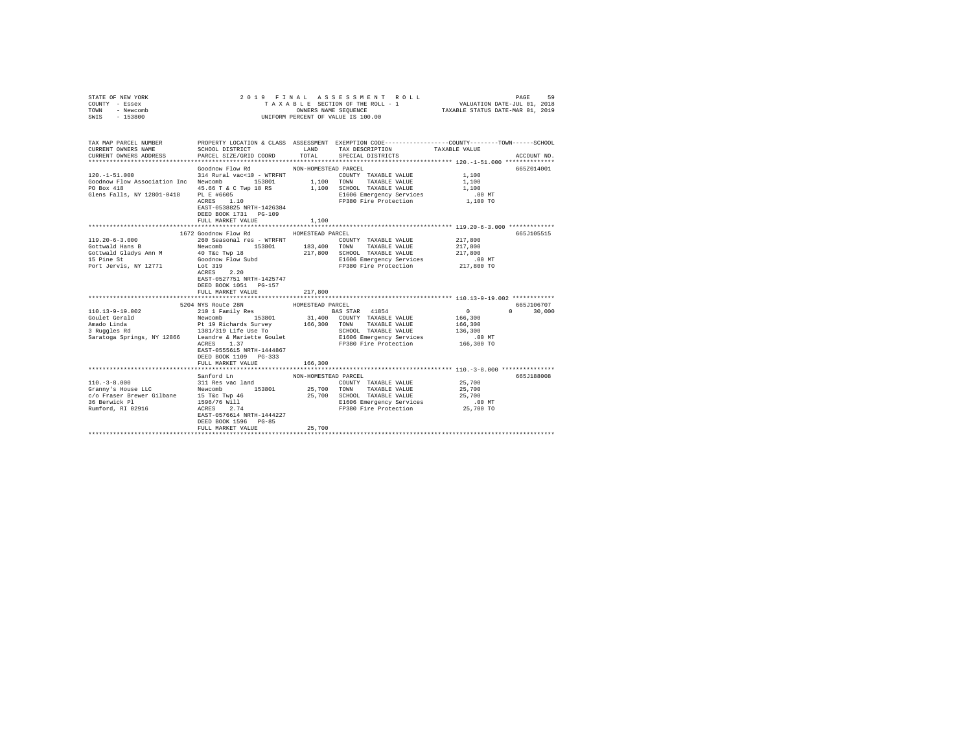| STATE OF NEW YORK<br>COUNTY - Essex<br>TOWN<br>- Newcomb<br>SWIS - 153800                                                                                                                                                                                  |                                                    |                      | 2019 FINAL ASSESSMENT ROLL<br>TAXABLE SECTION OF THE ROLL - 1<br>UNIFORM PERCENT OF VALUE IS 100.00 | PAGE                  | 59            |
|------------------------------------------------------------------------------------------------------------------------------------------------------------------------------------------------------------------------------------------------------------|----------------------------------------------------|----------------------|-----------------------------------------------------------------------------------------------------|-----------------------|---------------|
|                                                                                                                                                                                                                                                            |                                                    |                      |                                                                                                     |                       |               |
| TAX MAP PARCEL NUMBER PROPERTY LOCATION & CLASS ASSESSMENT EXEMPTION CODE---------------COUNTY-------TOWN------SCHOOL<br>CURRENT OWNERS NAME                                                                                                               | SCHOOL DISTRICT LAND                               |                      | TAX DESCRIPTION                                                                                     | TAXABLE VALUE         |               |
| CURRENT OWNERS ADDRESS                                                                                                                                                                                                                                     | PARCEL SIZE/GRID COORD TOTAL                       |                      | SPECIAL DISTRICTS                                                                                   |                       | ACCOUNT NO.   |
|                                                                                                                                                                                                                                                            | Goodnow Flow Rd MON-HOMESTEAD PARCEL               |                      |                                                                                                     |                       | 665Z014001    |
| $120. -1 - 51.000$                                                                                                                                                                                                                                         | 314 Rural vac<10 - WTRFNT                          |                      | COUNTY TAXABLE VALUE 1,100                                                                          |                       |               |
| Goodnow Flow Association Inc Newcomb 153801 1,100 TOWN TAXABLE VALUE                                                                                                                                                                                       |                                                    |                      |                                                                                                     | 1,100                 |               |
| PO Box 418                                                                                                                                                                                                                                                 |                                                    |                      | $45.66$ T & C Twp 18 RS $1,100$ SCHOOL TAXABLE VALUE                                                | 1,100                 |               |
| Glens Falls, NY 12801-0418 PL E #6605                                                                                                                                                                                                                      | PL E #6605<br>ACRES 1.10                           |                      | E1606 Emergency Services 6 00 MT<br>FP380 Fire Protection 1,100 TO                                  |                       |               |
|                                                                                                                                                                                                                                                            | EAST-0538825 NRTH-1426384<br>DEED BOOK 1731 PG-109 |                      |                                                                                                     |                       |               |
|                                                                                                                                                                                                                                                            | FULL MARKET VALUE                                  | 1,100                |                                                                                                     |                       |               |
|                                                                                                                                                                                                                                                            |                                                    |                      |                                                                                                     |                       |               |
|                                                                                                                                                                                                                                                            | 1672 Goodnow Flow Rd                               | HOMESTEAD PARCEL     |                                                                                                     |                       | 665J105515    |
| $119.20 - 6 - 3.000$                                                                                                                                                                                                                                       | 260 Seasonal res - WTRFNT                          |                      | COUNTY TAXABLE VALUE                                                                                | 217,800               |               |
| According to the second term in the compact of the second of the second of the second of the second of the second of the second of the second of the second of the second of the second of the second of the second of the sec                             |                                                    |                      |                                                                                                     | 217,800<br>217,800    |               |
|                                                                                                                                                                                                                                                            |                                                    |                      |                                                                                                     |                       |               |
| Port Jervis, NY 12771 Lot 319                                                                                                                                                                                                                              |                                                    |                      | E1606 Emergency Services .00 MT<br>FP380 Fire Protection 217,800 TO                                 |                       |               |
|                                                                                                                                                                                                                                                            | ACRES 2.20                                         |                      |                                                                                                     |                       |               |
|                                                                                                                                                                                                                                                            | EAST-0527751 NRTH-1425747                          |                      |                                                                                                     |                       |               |
|                                                                                                                                                                                                                                                            | DEED BOOK 1051 PG-157                              |                      |                                                                                                     |                       |               |
|                                                                                                                                                                                                                                                            | FULL MARKET VALUE                                  | 217,800              |                                                                                                     |                       |               |
|                                                                                                                                                                                                                                                            | 5204 NYS Route 28N                                 | HOMESTEAD PARCEL     |                                                                                                     |                       | 665J106707    |
| 110.13-9-19.002                                                                                                                                                                                                                                            | 210 1 Family Res                                   |                      | <b>BAS STAR</b> 41854                                                                               | $\sim$ 0              | $0 \t 30.000$ |
|                                                                                                                                                                                                                                                            |                                                    |                      |                                                                                                     | 166,300               |               |
|                                                                                                                                                                                                                                                            |                                                    |                      |                                                                                                     | 166,300               |               |
|                                                                                                                                                                                                                                                            |                                                    |                      | SCHOOL TAXABLE VALUE                                                                                | 136,300               |               |
|                                                                                                                                                                                                                                                            |                                                    |                      | E1606 Emergency Services                                                                            | $.00$ MT              |               |
|                                                                                                                                                                                                                                                            | ACRES 1.37                                         |                      | FP380 Fire Protection 166,300 TO                                                                    |                       |               |
|                                                                                                                                                                                                                                                            | EAST-0555615 NRTH-1444867<br>DEED BOOK 1109 PG-333 |                      |                                                                                                     |                       |               |
|                                                                                                                                                                                                                                                            | FULL MARKET VALUE                                  | 166,300              |                                                                                                     |                       |               |
|                                                                                                                                                                                                                                                            |                                                    |                      |                                                                                                     |                       |               |
|                                                                                                                                                                                                                                                            | Sanford Ln                                         | NON-HOMESTEAD PARCEL |                                                                                                     |                       | 665J188008    |
|                                                                                                                                                                                                                                                            |                                                    |                      | COUNTY TAXABLE VALUE                                                                                | 25,700                |               |
|                                                                                                                                                                                                                                                            |                                                    |                      | 25,700 TOWN TAXABLE VALUE                                                                           | 25,700                |               |
|                                                                                                                                                                                                                                                            |                                                    |                      | 25,700 SCHOOL TAXABLE VALUE                                                                         | 25,700                |               |
|                                                                                                                                                                                                                                                            |                                                    |                      | E1606 Emergency Services<br>FP380 Fire Protection                                                   | $.00$ MT<br>25,700 TO |               |
| 110.-3-8.000<br>Grampy's House LLC<br>C/O Fraser Brewer Gilbane<br>26 Grampy 46<br>26 Berwick Pl<br>26 Berwick Pl<br>26 Berwick Pl<br>26 Berwick Pl<br>26 Berwick Pl<br>26 Berwick Pl<br>26 Berwick Pl<br>26 Berwick Pl<br>26 Berwick Pl<br>27 Berges<br>2 | EAST-0576614 NRTH-1444227                          |                      |                                                                                                     |                       |               |
|                                                                                                                                                                                                                                                            | DEED BOOK 1596 PG-85                               |                      |                                                                                                     |                       |               |
|                                                                                                                                                                                                                                                            | FULL MARKET VALUE                                  | 25,700               |                                                                                                     |                       |               |
|                                                                                                                                                                                                                                                            |                                                    |                      |                                                                                                     |                       |               |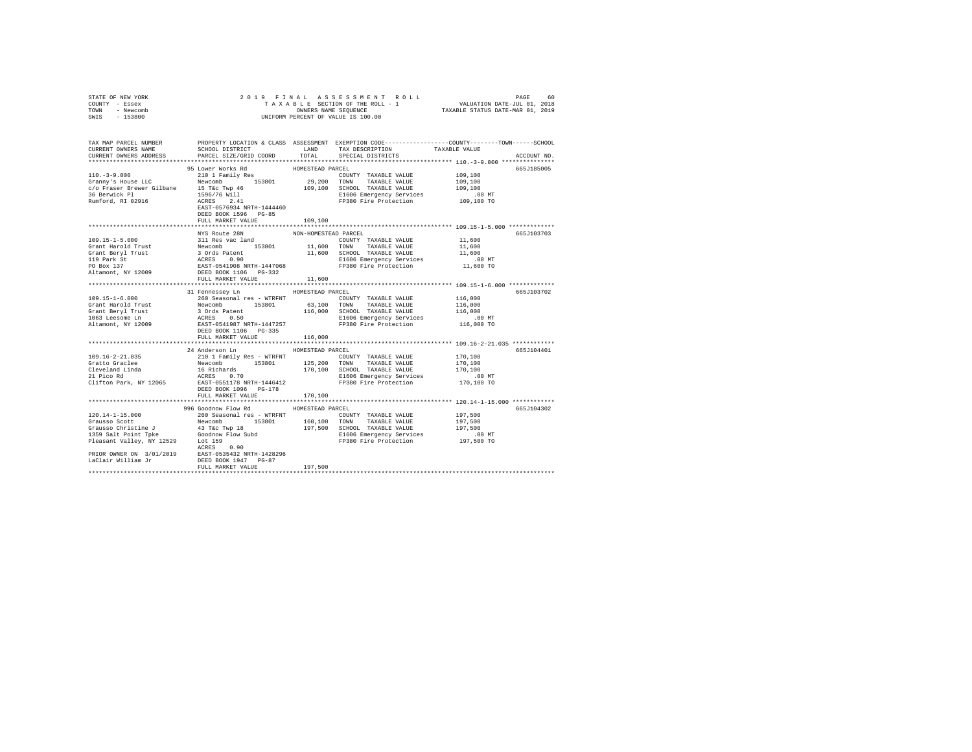| STATE OF NEW YORK      |                                                                                                                                                                                                                                       |                      |                                                                     |                                                     |             |
|------------------------|---------------------------------------------------------------------------------------------------------------------------------------------------------------------------------------------------------------------------------------|----------------------|---------------------------------------------------------------------|-----------------------------------------------------|-------------|
| COUNTY - Essex         |                                                                                                                                                                                                                                       |                      |                                                                     |                                                     |             |
| TOWN - Newcomb         |                                                                                                                                                                                                                                       |                      |                                                                     |                                                     |             |
| SWIS - 153800          |                                                                                                                                                                                                                                       |                      |                                                                     |                                                     |             |
|                        |                                                                                                                                                                                                                                       |                      |                                                                     |                                                     |             |
|                        |                                                                                                                                                                                                                                       |                      |                                                                     |                                                     |             |
|                        |                                                                                                                                                                                                                                       |                      |                                                                     |                                                     |             |
|                        | TAX MAP PARCEL NUMBER PROPERTY LOCATION & CLASS ASSESSMENT EXEMPTION CODE--------------COUNTY-------TOWN------SCHOOL<br>CURRENT OWNERS NAME SCHOOL DISTRICT LAND TAX DESCRIPTION TAXARLE VALUE                                        |                      |                                                                     |                                                     |             |
|                        |                                                                                                                                                                                                                                       |                      |                                                                     |                                                     |             |
| CURRENT OWNERS ADDRESS | PARCEL SIZE/GRID COORD                                                                                                                                                                                                                | TOTAL                | SPECIAL DISTRICTS                                                   |                                                     | ACCOUNT NO. |
|                        |                                                                                                                                                                                                                                       |                      |                                                                     |                                                     |             |
|                        | 95 Lower Works Rd                                                                                                                                                                                                                     | HOMESTEAD PARCEL     |                                                                     |                                                     | 665J185005  |
|                        |                                                                                                                                                                                                                                       |                      |                                                                     | 109,100                                             |             |
|                        |                                                                                                                                                                                                                                       |                      |                                                                     | 109,100                                             |             |
|                        |                                                                                                                                                                                                                                       |                      |                                                                     | 109,100                                             |             |
|                        |                                                                                                                                                                                                                                       |                      | E1606 Emergency Services .00 MT<br>FP380 Fire Protection 109,100 TO |                                                     |             |
|                        |                                                                                                                                                                                                                                       |                      |                                                                     |                                                     |             |
|                        |                                                                                                                                                                                                                                       |                      |                                                                     |                                                     |             |
|                        |                                                                                                                                                                                                                                       |                      |                                                                     |                                                     |             |
|                        | 110.-3-9.000<br>2010 Family Res Franchi 2010 I Family Res Revenue LC Revenue LC Newton<br>COUNTY TAXABLE VALUE CONTY TAXABLE VALUE OF TWORE LC Newton<br>29,200 TONN TAXABLE VALUE 2560 FOR SERVICE PRESS 2.41<br>29,200 SCHOOL TAXAB |                      |                                                                     |                                                     |             |
|                        |                                                                                                                                                                                                                                       |                      |                                                                     |                                                     |             |
|                        | NYS Route 28N                                                                                                                                                                                                                         | NON-HOMESTEAD PARCEL |                                                                     |                                                     | 665J103703  |
|                        |                                                                                                                                                                                                                                       |                      | $\text{COUNTY}$ TAXABLE VALUE $11,600$                              |                                                     |             |
|                        |                                                                                                                                                                                                                                       |                      |                                                                     | 11,600                                              |             |
|                        |                                                                                                                                                                                                                                       |                      |                                                                     | 11,600                                              |             |
|                        |                                                                                                                                                                                                                                       |                      |                                                                     |                                                     |             |
|                        |                                                                                                                                                                                                                                       |                      |                                                                     | 00 MT.<br>11,600 TO                                 |             |
|                        |                                                                                                                                                                                                                                       |                      |                                                                     |                                                     |             |
|                        |                                                                                                                                                                                                                                       |                      |                                                                     |                                                     |             |
|                        |                                                                                                                                                                                                                                       |                      |                                                                     |                                                     |             |
|                        | 31 Fennessey Ln                                                                                                                                                                                                                       | HOMESTEAD PARCEL     |                                                                     |                                                     | 665J103702  |
|                        |                                                                                                                                                                                                                                       |                      |                                                                     |                                                     |             |
|                        |                                                                                                                                                                                                                                       |                      |                                                                     |                                                     |             |
|                        |                                                                                                                                                                                                                                       |                      |                                                                     |                                                     |             |
|                        |                                                                                                                                                                                                                                       |                      |                                                                     |                                                     |             |
|                        |                                                                                                                                                                                                                                       |                      |                                                                     |                                                     |             |
|                        |                                                                                                                                                                                                                                       |                      |                                                                     |                                                     |             |
|                        |                                                                                                                                                                                                                                       |                      |                                                                     |                                                     |             |
|                        | FULL MARKET VALUE                                                                                                                                                                                                                     | 116,000              |                                                                     |                                                     |             |
|                        |                                                                                                                                                                                                                                       |                      |                                                                     |                                                     |             |
|                        | 24 Anderson Ln                                                                                                                                                                                                                        | HOMESTEAD PARCEL     |                                                                     |                                                     | 665J104401  |
|                        |                                                                                                                                                                                                                                       |                      |                                                                     |                                                     |             |
|                        |                                                                                                                                                                                                                                       |                      |                                                                     |                                                     |             |
|                        |                                                                                                                                                                                                                                       |                      |                                                                     |                                                     |             |
|                        |                                                                                                                                                                                                                                       |                      |                                                                     |                                                     |             |
|                        |                                                                                                                                                                                                                                       |                      |                                                                     |                                                     |             |
|                        |                                                                                                                                                                                                                                       |                      |                                                                     |                                                     |             |
|                        | FULL MARKET VALUE 170,100                                                                                                                                                                                                             |                      |                                                                     |                                                     |             |
|                        |                                                                                                                                                                                                                                       |                      |                                                                     | ********************** 120.14-1-15.000 ************ |             |
|                        | 996 Goodnow Flow Rd MOMESTEAD PARCEL                                                                                                                                                                                                  |                      |                                                                     |                                                     | 665J104302  |
|                        |                                                                                                                                                                                                                                       |                      |                                                                     |                                                     |             |
|                        |                                                                                                                                                                                                                                       |                      |                                                                     |                                                     |             |
|                        |                                                                                                                                                                                                                                       |                      |                                                                     |                                                     |             |
|                        |                                                                                                                                                                                                                                       |                      |                                                                     |                                                     |             |
|                        |                                                                                                                                                                                                                                       |                      |                                                                     |                                                     |             |
|                        |                                                                                                                                                                                                                                       |                      |                                                                     |                                                     |             |
|                        |                                                                                                                                                                                                                                       |                      |                                                                     |                                                     |             |
|                        |                                                                                                                                                                                                                                       |                      |                                                                     |                                                     |             |
|                        | 120.14-1-15.000 996 Coolon Flow Rd HOMESTEAD PAREL VALUE 120.14-1-15.000 996 Coolon Flow Rd HOMESTEAD PAREL COUNTY TAXABLE VALUE 197,500<br>Grausso Scott Newtomb 153801 160,100 TOWN TAXABLE VALUE 197,500<br>Grausso Christine      |                      |                                                                     |                                                     |             |
|                        |                                                                                                                                                                                                                                       |                      |                                                                     |                                                     |             |
|                        |                                                                                                                                                                                                                                       |                      |                                                                     |                                                     |             |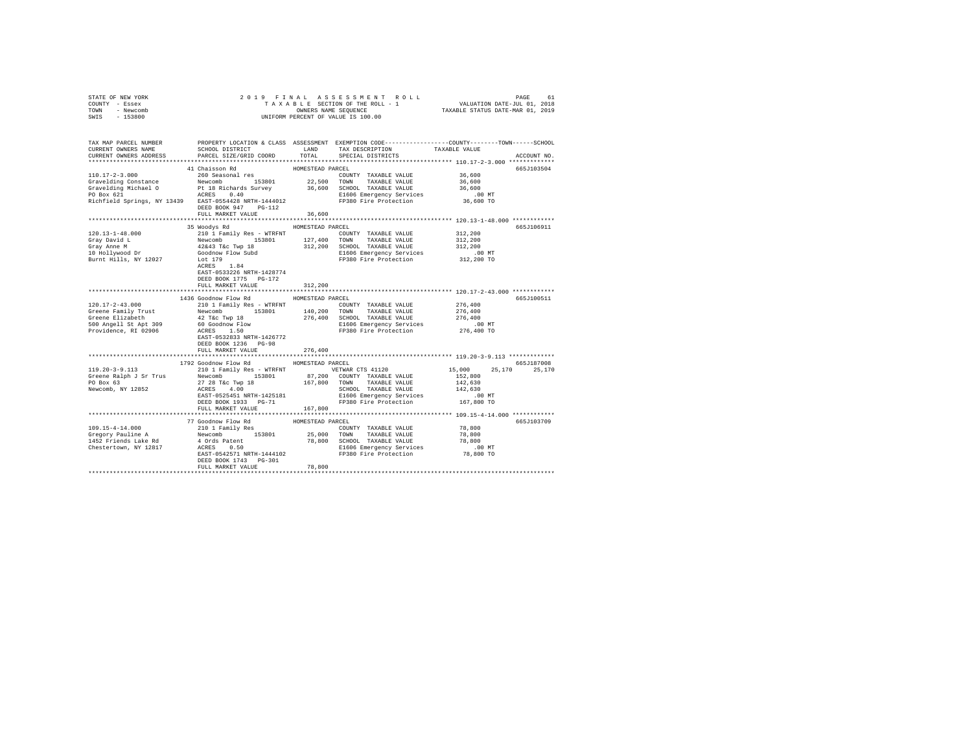| STATE OF NEW YORK      |                           | 2019 FINAL ASSESSMENT ROLL         | 61<br>PAGE                                                   |
|------------------------|---------------------------|------------------------------------|--------------------------------------------------------------|
| COUNTY<br>- Essex      |                           | TAXABLE SECTION OF THE ROLL - 1    | VALUATION DATE-JUL 01, 2018                                  |
| - Newcomb<br>TOWN      |                           | OWNERS NAME SEQUENCE               | TAXABLE STATUS DATE-MAR 01, 2019                             |
| $-153800$<br>SWIS      |                           | UNIFORM PERCENT OF VALUE IS 100.00 |                                                              |
|                        |                           |                                    |                                                              |
|                        |                           |                                    |                                                              |
|                        |                           |                                    |                                                              |
| TAX MAP PARCEL NUMBER  | PROPERTY LOCATION & CLASS | ASSESSMENT                         | EXEMPTION CODE-----------------COUNTY-------TOWN------SCHOOL |
| CURRENT OWNERS NAME    | SCHOOL DISTRICT           | TAX DESCRIPTION<br>LAND            | TAXABLE VALUE                                                |
| CURRENT OWNERS ADDRESS | PARCEL SIZE/GRID COORD    | TOTAL<br>SPECIAL DISTRICTS         | ACCOUNT NO.                                                  |
|                        |                           |                                    | *************                                                |
|                        | 41 Chaisson Rd            | HOMESTEAD PARCEL                   | 665.T103504                                                  |
| $110.17 - 2 - 3.000$   | 260 Seasonal res          | COUNTY<br>TAXABLE VALUE            | 36,600                                                       |
| Gravelding Constance   | 153801<br>Newcomb         | 22,500<br>TOWN<br>TAXABLE VALUE    | 36,600                                                       |
| Gravelding Michael O   | Pt 18 Richards Survey     | 36,600<br>SCHOOL<br>TAXABLE VALUE  | 36,600                                                       |
| DO BAY 621             | 0.۸ ∩ סיספרא              | FIERE FRAMMARAU CAMILLAR           | 00M                                                          |

| PO Box 621<br>Richfield Springs, NY 13439 EAST-0554428 NRTH-1444012                                               | 0.40<br>ACRES<br>DEED BOOK 947<br>$PG-112$<br>FULL MARKET VALUE                                                                                                                                                        | E1606 Emergency Services<br>FP380 Fire Protection 36,600 TO<br>36,600                                                                                                                                  | .00 MT                                                                                                       |  |
|-------------------------------------------------------------------------------------------------------------------|------------------------------------------------------------------------------------------------------------------------------------------------------------------------------------------------------------------------|--------------------------------------------------------------------------------------------------------------------------------------------------------------------------------------------------------|--------------------------------------------------------------------------------------------------------------|--|
| $120.13 - 1 - 48.000$<br>Gray David L<br>Gray Anne M<br>10 Hollywood Dr<br>Burnt Hills, NY 12027                  | 35 Woodys Rd<br>210 1 Family Res - WTRFNT<br>Newcomb<br>153801<br>42&43 T&c Twp 18 312,200<br>Goodnow Flow Subd<br>Lot 179<br>ACRES<br>1.84<br>EAST-0533226 NRTH-1428774<br>DEED BOOK 1775 PG-172<br>FULL MARKET VALUE | HOMESTEAD PARCEL<br>COUNTY TAXABLE VALUE<br>127,400<br>TOWN<br>TAXABLE VALUE<br>SCHOOL TAXABLE VALUE<br>E1606 Emergency Services<br>FP380 Fire Protection<br>312,200                                   | 665.7106911<br>312,200<br>312,200<br>312,200<br>$.00$ MT<br>312,200 TO                                       |  |
| $120.17 - 2 - 43.000$<br>Greene Family Trust<br>Greene Elizabeth<br>500 Angell St Apt 309<br>Providence, RI 02906 | 1436 Goodnow Flow Rd<br>210 1 Family Res - WTRFNT<br>Newcomb<br>153801<br>42 T&c Twp 18<br>60 Goodnow Flow<br>ACRES 1.50<br>EAST-0532833 NRTH-1426772<br>DEED BOOK 1236 PG-98<br>FULL MARKET VALUE                     | HOMESTEAD PARCEL<br>COUNTY TAXABLE VALUE<br>140,200<br>TOWN<br>TAXABLE VALUE<br>276,400<br>SCHOOL TAXABLE VALUE<br>E1606 Emergency Services<br>FP380 Fire Protection<br>276,400                        | 665J100511<br>276,400<br>276,400<br>276,400<br>$.00$ MT<br>276,400 TO                                        |  |
| $119.20 - 3 - 9.113$<br>Greene Ralph J Sr Trus<br>PO Box 63<br>Newcomb, NY 12852                                  | 1792 Goodnow Flow Rd<br>Newcomb 153801<br>27 28 T&c Twp 18 167,800 TOWN<br>ACRES 4.00<br>EAST-0525451 NRTH-1425181<br>DEED BOOK 1933 PG-71<br>FULL MARKET VALUE                                                        | HOMESTEAD PARCEL<br>210 1 Family Res - WTRFNT WETWAR CTS 41120<br>87,200 COUNTY TAXABLE VALUE<br>TAXABLE VALUE<br>SCHOOL TAXABLE VALUE<br>E1606 Emergency Services<br>FP380 Fire Protection<br>167,800 | 665.7187008<br>15,000<br>25,170<br>25,170<br>152,800<br>142,630<br>142,630<br>$.00 \text{ MT}$<br>167,800 TO |  |
| $109.15 - 4 - 14.000$<br>Gregory Pauline A<br>1452 Friends Lake Rd<br>Chestertown, NY 12817                       | 77 Goodnow Flow Rd<br>210 1 Family Res<br>Newcomb 153801 25,000<br>4 Ords Patent<br>0.50<br>ACRES<br>EAST-0542571 NRTH-1444102<br>DEED BOOK 1743 PG-301<br>FULL MARKET VALUE                                           | HOMESTEAD PARCEL<br>COUNTY TAXABLE VALUE<br>25,000 TOWN<br>TAXABLE VALUE<br>78,800<br>SCHOOL TAXABLE VALUE<br>E1606 Emergency Services<br>FP380 Fire Protection<br>78,800                              | 665J103709<br>78,800<br>78,800<br>78,800<br>.00MT<br>78,800 TO                                               |  |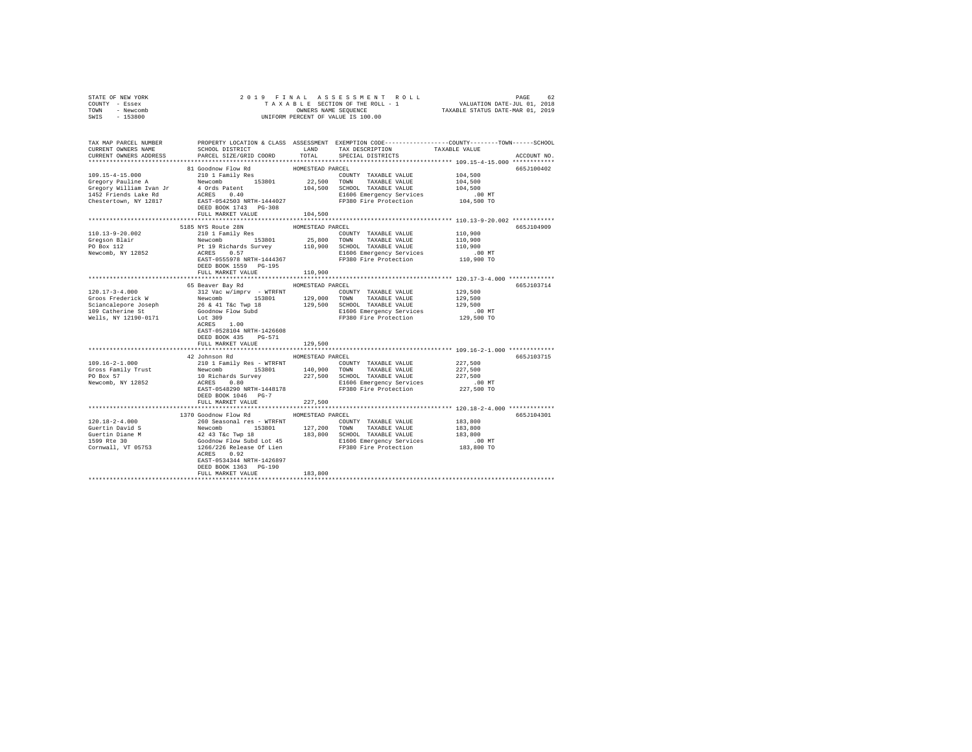| STATE OF NEW YORK                                    |                                                                                                                                                                                                                                        |                  |                                                                                                 |                      |             |
|------------------------------------------------------|----------------------------------------------------------------------------------------------------------------------------------------------------------------------------------------------------------------------------------------|------------------|-------------------------------------------------------------------------------------------------|----------------------|-------------|
| COUNTY - Essex                                       |                                                                                                                                                                                                                                        |                  |                                                                                                 |                      |             |
| TOWN - Newcomb                                       |                                                                                                                                                                                                                                        |                  |                                                                                                 |                      |             |
| SWIS - 153800                                        |                                                                                                                                                                                                                                        |                  |                                                                                                 |                      |             |
|                                                      |                                                                                                                                                                                                                                        |                  |                                                                                                 |                      |             |
|                                                      |                                                                                                                                                                                                                                        |                  |                                                                                                 |                      |             |
| TAX MAP PARCEL NUMBER                                |                                                                                                                                                                                                                                        |                  | PROPERTY LOCATION & CLASS ASSESSMENT EXEMPTION CODE---------------COUNTY-------TOWN------SCHOOL |                      |             |
| CURRENT OWNERS NAME                                  | SCHOOL DISTRICT                                                                                                                                                                                                                        | LAND             | TAX DESCRIPTION                                                                                 | TAXABLE VALUE        |             |
| CURRENT OWNERS ADDRESS                               | PARCEL SIZE/GRID COORD                                                                                                                                                                                                                 | TOTAL            | SPECIAL DISTRICTS                                                                               |                      | ACCOUNT NO. |
|                                                      |                                                                                                                                                                                                                                        |                  |                                                                                                 |                      |             |
|                                                      | 81 Goodnow Flow Rd                                                                                                                                                                                                                     | HOMESTEAD PARCEL |                                                                                                 |                      | 665J100402  |
|                                                      | 210 1 Family Res                                                                                                                                                                                                                       |                  | COUNTY TAXABLE VALUE                                                                            | 104,500              |             |
|                                                      |                                                                                                                                                                                                                                        |                  |                                                                                                 | 104,500              |             |
|                                                      |                                                                                                                                                                                                                                        |                  |                                                                                                 | 104,500              |             |
|                                                      |                                                                                                                                                                                                                                        |                  |                                                                                                 | .00 MT<br>104,500 TO |             |
|                                                      |                                                                                                                                                                                                                                        |                  |                                                                                                 |                      |             |
|                                                      | DEED BOOK 1743 PG-308                                                                                                                                                                                                                  |                  |                                                                                                 |                      |             |
|                                                      | FULL MARKET VALUE                                                                                                                                                                                                                      | 104,500          |                                                                                                 |                      |             |
|                                                      |                                                                                                                                                                                                                                        |                  |                                                                                                 |                      |             |
|                                                      | 5185 NYS Route 28N                                                                                                                                                                                                                     | HOMESTEAD PARCEL |                                                                                                 |                      | 665J104909  |
| 110.13-9-20.002                                      | 210 1 Family Res                                                                                                                                                                                                                       |                  | COUNTY TAXABLE VALUE                                                                            | 110,900              |             |
|                                                      |                                                                                                                                                                                                                                        |                  | 25,800 TOWN TAXABLE VALUE                                                                       | 110,900              |             |
|                                                      |                                                                                                                                                                                                                                        |                  |                                                                                                 | 110,900              |             |
| Gregson Blair<br>PO Box 112<br>Newcomb, NY 12852     | Newcomb 153801 25,800 TOWN TAXABLE VALUE<br>Pt 19 Richards Survey 110,900 SCHOOL TAXABLE VALUE<br>ACRES 0.57                                                                                                                           |                  |                                                                                                 | .00 MT               |             |
|                                                      | EAST-0555978 NRTH-1444367                                                                                                                                                                                                              |                  | E1606 Emergency Services<br>FP380 Fire Protection                                               | 110,900 TO           |             |
|                                                      | DEED BOOK 1559 PG-195                                                                                                                                                                                                                  |                  |                                                                                                 |                      |             |
|                                                      | FULL MARKET VALUE                                                                                                                                                                                                                      | 110,900          |                                                                                                 |                      |             |
|                                                      |                                                                                                                                                                                                                                        |                  |                                                                                                 |                      |             |
|                                                      | 65 Beaver Bay Rd MOMESTEAD PARCEL                                                                                                                                                                                                      |                  |                                                                                                 |                      | 665J103714  |
| $120.17 - 3 - 4.000$                                 | 312 Vac w/imprv - WTRFNT                                                                                                                                                                                                               |                  | COUNTY TAXABLE VALUE                                                                            | 129,500              |             |
|                                                      |                                                                                                                                                                                                                                        |                  |                                                                                                 | 129,500              |             |
|                                                      |                                                                                                                                                                                                                                        |                  |                                                                                                 | 129,500              |             |
|                                                      |                                                                                                                                                                                                                                        |                  |                                                                                                 | .00 MT               |             |
| Wells, NY 12190-0171                                 | Let 309                                                                                                                                                                                                                                |                  | E1606 Emergency Services<br>FP380 Fire Protection                                               | 129,500 TO           |             |
|                                                      | ACRES 1.00                                                                                                                                                                                                                             |                  |                                                                                                 |                      |             |
|                                                      | EAST-0528104 NRTH-1426608                                                                                                                                                                                                              |                  |                                                                                                 |                      |             |
|                                                      | DEED BOOK 435 PG-571                                                                                                                                                                                                                   |                  |                                                                                                 |                      |             |
|                                                      | FULL MARKET VALUE                                                                                                                                                                                                                      | 129,500          |                                                                                                 |                      |             |
|                                                      |                                                                                                                                                                                                                                        | **************   | ********************************* 109.16-2-1.000 *************                                  |                      |             |
|                                                      | 42 Johnson Rd                                                                                                                                                                                                                          | HOMESTEAD PARCEL |                                                                                                 |                      | 665J103715  |
| $109.16 - 2 - 1.000$                                 | 210 1 Family Res - WTRFNT                                                                                                                                                                                                              |                  | COUNTY TAXABLE VALUE                                                                            | 227,500              |             |
|                                                      |                                                                                                                                                                                                                                        |                  |                                                                                                 | 227,500              |             |
| Gross Family Trust<br>PO Box 57<br>Newcomb, NY 12852 | Newcomb 193801 140,900 TONN TRAABLE VALUE<br>10 Richards Survey 227,500 SCHOOL TRAABLE VALUE<br>227,500 SCHOOL TRAABLE VALUE<br>227,500 E1606 Emergency Services                                                                       |                  |                                                                                                 | 227,500              |             |
|                                                      |                                                                                                                                                                                                                                        |                  |                                                                                                 |                      |             |
|                                                      | EAST-0548290 NRTH-1448178                                                                                                                                                                                                              |                  | E1606 Emergency Services<br>FP380 Fire Protection                                               | 00 MT.<br>227,500 TO |             |
|                                                      | DEED BOOK 1046 PG-7                                                                                                                                                                                                                    |                  |                                                                                                 |                      |             |
|                                                      | FULL MARKET VALUE                                                                                                                                                                                                                      | 227,500          |                                                                                                 |                      |             |
|                                                      |                                                                                                                                                                                                                                        |                  |                                                                                                 |                      |             |
|                                                      | 1370 Goodnow Flow Rd MOMESTEAD PARCEL                                                                                                                                                                                                  |                  |                                                                                                 |                      | 665J104301  |
| $120.18 - 2 - 4.000$                                 | 260 Seasonal res - WTRFNT                                                                                                                                                                                                              |                  | COUNTY TAXABLE VALUE                                                                            | 183,800              |             |
|                                                      | Newcomb 153801 127,200 TOWN TAXABLE VALUE 183,800<br>42 43 Tac Tay 18 183,800 SCHOOL TAXABLE VALUE 183,800<br>42 43 Tac Tay 183,800 SCHOOL TAXABLE VALUE 183,800<br>42 43 Tac SCHOOL TAXABLE VALUE 183,800 NT<br>1266/226 Release Of L |                  |                                                                                                 |                      |             |
| Guertin David S<br>Guertin Diane M                   |                                                                                                                                                                                                                                        |                  |                                                                                                 |                      |             |
| 1599 Rte 30                                          |                                                                                                                                                                                                                                        |                  |                                                                                                 |                      |             |
| Cornwall, VT 05753                                   |                                                                                                                                                                                                                                        |                  |                                                                                                 |                      |             |
|                                                      | ACRES 0.92                                                                                                                                                                                                                             |                  |                                                                                                 |                      |             |
|                                                      | EAST-0534344 NRTH-1426897                                                                                                                                                                                                              |                  |                                                                                                 |                      |             |
|                                                      | DEED BOOK 1363 PG-190                                                                                                                                                                                                                  |                  |                                                                                                 |                      |             |
|                                                      | FULL MARKET VALUE                                                                                                                                                                                                                      | 183,800          |                                                                                                 |                      |             |
|                                                      |                                                                                                                                                                                                                                        |                  |                                                                                                 |                      |             |
|                                                      |                                                                                                                                                                                                                                        |                  |                                                                                                 |                      |             |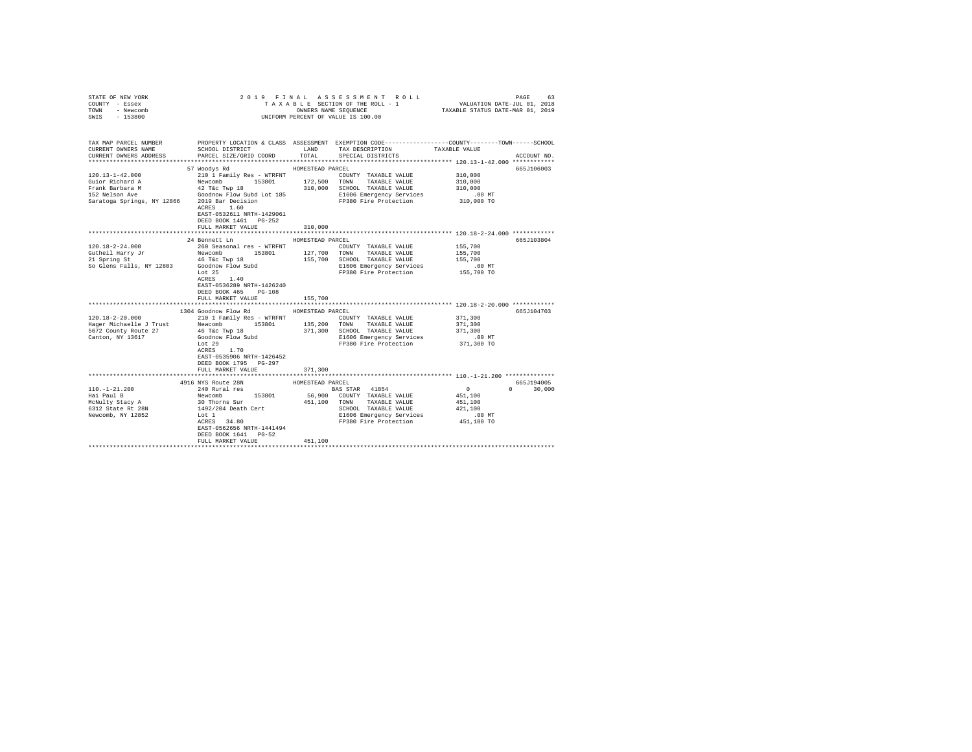| STATE OF NEW YORK<br>COUNTY - Essex<br>TOWN - Newcomb<br>$-153800$<br>SWIS |                                                                                                                                                            |                  | UNIFORM PERCENT OF VALUE IS 100.00                                                                                                            |                                                                                                                |
|----------------------------------------------------------------------------|------------------------------------------------------------------------------------------------------------------------------------------------------------|------------------|-----------------------------------------------------------------------------------------------------------------------------------------------|----------------------------------------------------------------------------------------------------------------|
| TAX MAP PARCEL NUMBER<br>CURRENT OWNERS NAME<br>CURRENT OWNERS ADDRESS     | SCHOOL DISTRICT<br>PARCEL SIZE/GRID COORD                                                                                                                  | LAND<br>TOTAL    | TAX DESCRIPTION TAXABLE VALUE<br>SPECIAL DISTRICTS                                                                                            | PROPERTY LOCATION & CLASS ASSESSMENT EXEMPTION CODE---------------COUNTY-------TOWN------SCHOOL<br>ACCOUNT NO. |
|                                                                            |                                                                                                                                                            |                  |                                                                                                                                               |                                                                                                                |
|                                                                            | 57 Woodys Rd                                                                                                                                               | HOMESTEAD PARCEL |                                                                                                                                               | 665J106003                                                                                                     |
| 120.13-1-42.000                                                            | 210 1 Family Res - WTRFNT                                                                                                                                  |                  | COUNTY TAXABLE VALUE                                                                                                                          | 310,000                                                                                                        |
| Guior Richard A                                                            |                                                                                                                                                            |                  | Newcomb 153801 172,500 TOWN TAXABLE VALUE<br>42 T&c Twp 18 310,000 SCHOOL TAXABLE VALUE<br>Goodnow Flow Subd Lot 185 E1606 Emergency Services | 310,000                                                                                                        |
| Frank Barbara M                                                            |                                                                                                                                                            |                  |                                                                                                                                               | 310,000                                                                                                        |
| 152 Nelson Ave                                                             |                                                                                                                                                            |                  |                                                                                                                                               | $.00$ MT                                                                                                       |
| Saratoga Springs, NY 12866 2019 Bar Decision                               | ACRES 1.60<br>EAST-0532611 NRTH-1429061<br>DEED BOOK 1461    PG-252                                                                                        |                  | FP380 Fire Protection 310,000 TO                                                                                                              |                                                                                                                |
|                                                                            | FULL MARKET VALUE                                                                                                                                          | 310,000          |                                                                                                                                               |                                                                                                                |
|                                                                            |                                                                                                                                                            |                  |                                                                                                                                               |                                                                                                                |
|                                                                            | 24 Bennett Ln                                                                                                                                              | HOMESTEAD PARCEL |                                                                                                                                               | 665J103804                                                                                                     |
| $120.18 - 2 - 24.000$                                                      | 260 Seasonal res - WTRFNT                                                                                                                                  |                  | COUNTY TAXABLE VALUE                                                                                                                          | 155,700                                                                                                        |
| Gutheil Harry Jr<br>21 Spring St                                           | Newcomb 153801 127,700 TOWN TAXABLE VALUE                                                                                                                  |                  |                                                                                                                                               | 155,700                                                                                                        |
|                                                                            |                                                                                                                                                            |                  | 155,700 SCHOOL TAXABLE VALUE                                                                                                                  | 155,700                                                                                                        |
|                                                                            |                                                                                                                                                            |                  | E1606 Emergency Services<br>FP380 Fire Protection                                                                                             | $.00$ MT                                                                                                       |
|                                                                            | Lot 25<br>$\verb ACRES  = \verb 1 , \verb 40 $<br>EAST-0536289 NRTH-1426240<br>DEED BOOK 465 PG-108                                                        |                  |                                                                                                                                               | 155,700 TO                                                                                                     |
|                                                                            | FULL MARKET VALUE                                                                                                                                          | 155,700          |                                                                                                                                               |                                                                                                                |
|                                                                            |                                                                                                                                                            |                  |                                                                                                                                               |                                                                                                                |
|                                                                            | 1304 Goodnow Flow Rd MOMESTEAD PARCEL                                                                                                                      |                  |                                                                                                                                               | 665J104703                                                                                                     |
| $120.18 - 2 - 20.000$                                                      | 210 1 Family Res - WTRFNT                                                                                                                                  |                  | COUNTY TAXABLE VALUE                                                                                                                          | 371,300                                                                                                        |
| Hager Michaelle J Trust Mewcomb 153801 135,200 TOWN TAXABLE VALUE          |                                                                                                                                                            |                  |                                                                                                                                               | 371,300                                                                                                        |
| 5672 County Route 27                                                       | 46 T&c Twp 18                                                                                                                                              |                  | 371,300 SCHOOL TAXABLE VALUE                                                                                                                  | 371,300                                                                                                        |
| Canton, NY 13617                                                           | Goodnow Flow Subd<br>Lot 29                                                                                                                                |                  | E1606 Emergency Services<br>FP380 Fire Protection                                                                                             | $.00$ MT<br>371,300 TO                                                                                         |
|                                                                            | ACRES 1.70<br>EAST-0535906 NRTH-1426452<br>DEED BOOK 1795 PG-297<br>FULL MARKET VALUE                                                                      | 371,300          |                                                                                                                                               |                                                                                                                |
|                                                                            |                                                                                                                                                            | ***************  |                                                                                                                                               |                                                                                                                |
|                                                                            | 4916 NYS Route 28N                                                                                                                                         | HOMESTEAD PARCEL |                                                                                                                                               | 665J194005                                                                                                     |
| $110. - 1 - 21.200$                                                        | 240 Rural res                                                                                                                                              |                  | <b>BAS STAR</b> 41854                                                                                                                         | $0 \t 30,000$<br>$\sim$ 0                                                                                      |
|                                                                            |                                                                                                                                                            |                  | 56,900 COUNTY TAXABLE VALUE                                                                                                                   | 451,100                                                                                                        |
| Hai Paul B<br>McNulty Stacy A                                              |                                                                                                                                                            |                  | 451,100 TOWN TAXABLE VALUE                                                                                                                    | 451,100                                                                                                        |
| 6312 State Rt 28N                                                          |                                                                                                                                                            |                  | SCHOOL TAXABLE VALUE                                                                                                                          | 421,100                                                                                                        |
| Newcomb, NY 12852                                                          |                                                                                                                                                            |                  | E1606 Emergency Services                                                                                                                      | .00 MT                                                                                                         |
|                                                                            | Newcomb 153801 56,900<br>30 Thorns Sur 451,100<br>1492/204 Death Cert 451,100<br>Lot 1<br>ACRES 34.80<br>EAST-0562656 NRTH-1441494<br>DEED BOOK 1641 PG-52 |                  | FP380 Fire Protection                                                                                                                         | 451,100 TO                                                                                                     |
|                                                                            | FULL MARKET VALUE                                                                                                                                          | 451,100          |                                                                                                                                               |                                                                                                                |
|                                                                            |                                                                                                                                                            |                  |                                                                                                                                               |                                                                                                                |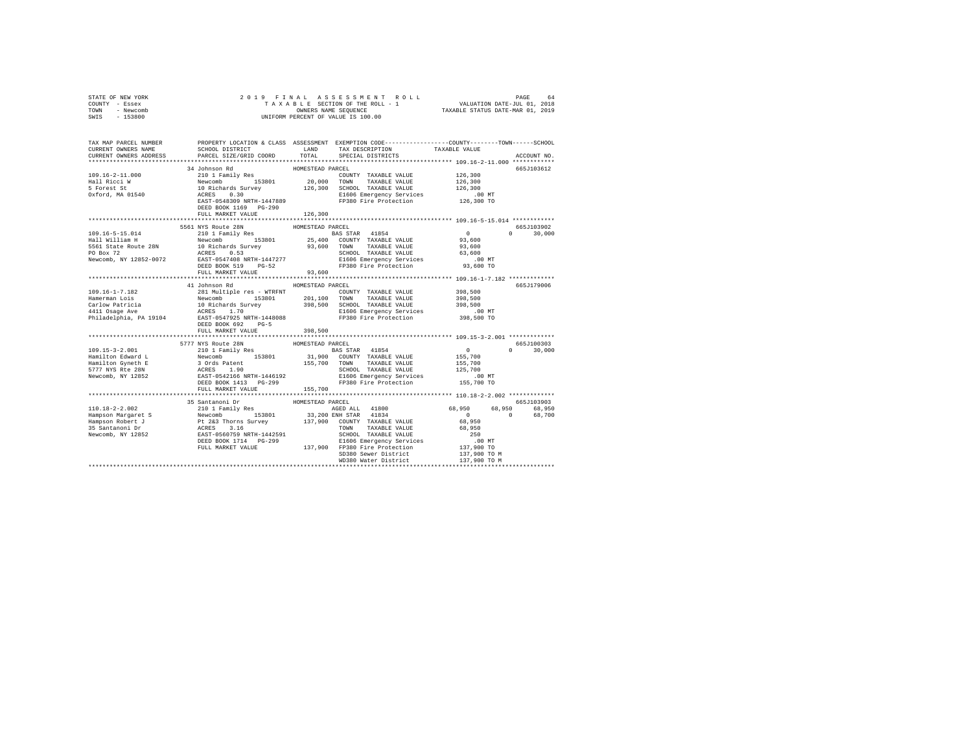| STATE OF NEW YORK<br>COUNTY - Essex<br>TOWN - Newcomb<br>SWIS - 153800                                                                                                                                                                                          |                                   |                  |                                                                                                   |                             |
|-----------------------------------------------------------------------------------------------------------------------------------------------------------------------------------------------------------------------------------------------------------------|-----------------------------------|------------------|---------------------------------------------------------------------------------------------------|-----------------------------|
| TAX MAP PARCEL NUMBER PROPERTY LOCATION & CLASS ASSESSMENT EXEMPTION CODE---------------COUNTY--------TOWN-----SCHOOL<br>CURRENT OWNERS NAME                                                                                                                    |                                   |                  | SCHOOL DISTRICT LAND TAX DESCRIPTION TAXABLE VALUE PARCEL SIZE/GRID COORD TOTAL SPECIAL DISTRICTS |                             |
| CURRENT OWNERS ADDRESS                                                                                                                                                                                                                                          |                                   |                  |                                                                                                   | ACCOUNT NO.                 |
|                                                                                                                                                                                                                                                                 |                                   | HOMESTEAD PARCEL |                                                                                                   | 665J103612                  |
|                                                                                                                                                                                                                                                                 | 34 Johnson Rd                     |                  |                                                                                                   |                             |
|                                                                                                                                                                                                                                                                 |                                   |                  |                                                                                                   |                             |
|                                                                                                                                                                                                                                                                 |                                   |                  |                                                                                                   |                             |
|                                                                                                                                                                                                                                                                 |                                   |                  |                                                                                                   |                             |
|                                                                                                                                                                                                                                                                 | DEED BOOK 1169 PG-290             |                  |                                                                                                   |                             |
|                                                                                                                                                                                                                                                                 | FULL MARKET VALUE                 | 126,300          |                                                                                                   |                             |
| 3011 120115 -51.51 117 12051 -551 178 2012 1 Family Res 101 1 12011 12011 12012 12012 12012 12012 12012 12012 12012 12012 12012 12012 12012 12012 12012 12012 12012 12012 12012 12012 12012 12012 12012 12012 12012 12012 1201                                  |                                   |                  |                                                                                                   | 665J103902                  |
|                                                                                                                                                                                                                                                                 |                                   |                  |                                                                                                   | $0 \t 30.000$               |
|                                                                                                                                                                                                                                                                 |                                   |                  |                                                                                                   |                             |
|                                                                                                                                                                                                                                                                 |                                   |                  |                                                                                                   |                             |
|                                                                                                                                                                                                                                                                 |                                   |                  |                                                                                                   |                             |
|                                                                                                                                                                                                                                                                 |                                   |                  |                                                                                                   |                             |
|                                                                                                                                                                                                                                                                 |                                   |                  |                                                                                                   |                             |
|                                                                                                                                                                                                                                                                 |                                   |                  |                                                                                                   |                             |
|                                                                                                                                                                                                                                                                 |                                   |                  |                                                                                                   |                             |
|                                                                                                                                                                                                                                                                 | HOMESTEAD PARCEL<br>41 Johnson Rd |                  |                                                                                                   | 665J179006                  |
|                                                                                                                                                                                                                                                                 |                                   |                  |                                                                                                   |                             |
|                                                                                                                                                                                                                                                                 |                                   |                  |                                                                                                   |                             |
|                                                                                                                                                                                                                                                                 |                                   |                  |                                                                                                   |                             |
|                                                                                                                                                                                                                                                                 | DEED BOOK 692 PG-5                |                  |                                                                                                   |                             |
|                                                                                                                                                                                                                                                                 | FULL MARKET VALUE 398,500         |                  |                                                                                                   |                             |
|                                                                                                                                                                                                                                                                 |                                   |                  |                                                                                                   |                             |
|                                                                                                                                                                                                                                                                 |                                   |                  |                                                                                                   | 665J100303<br>$0 \t 30,000$ |
|                                                                                                                                                                                                                                                                 |                                   |                  |                                                                                                   |                             |
|                                                                                                                                                                                                                                                                 |                                   |                  |                                                                                                   |                             |
|                                                                                                                                                                                                                                                                 |                                   |                  |                                                                                                   |                             |
|                                                                                                                                                                                                                                                                 |                                   |                  |                                                                                                   |                             |
|                                                                                                                                                                                                                                                                 |                                   |                  |                                                                                                   |                             |
| 109.15-3-2.001<br>109.15-3-2.001<br>109.15-3-2.001<br>107.17 NYS Route 28N HOMESTEAD PARCEL<br>Hamilton Gward L Newcomb 153801<br>153801<br>155,700<br>155,700<br>155,700<br>155,700<br>155,700<br>169.1920<br>169.1920<br>169.1920<br>169.1920<br>169.1920<br> |                                   |                  |                                                                                                   |                             |
|                                                                                                                                                                                                                                                                 |                                   |                  |                                                                                                   |                             |
|                                                                                                                                                                                                                                                                 |                                   |                  |                                                                                                   |                             |
|                                                                                                                                                                                                                                                                 |                                   |                  |                                                                                                   |                             |
|                                                                                                                                                                                                                                                                 |                                   |                  |                                                                                                   |                             |
|                                                                                                                                                                                                                                                                 |                                   |                  |                                                                                                   |                             |
|                                                                                                                                                                                                                                                                 |                                   |                  |                                                                                                   |                             |
|                                                                                                                                                                                                                                                                 |                                   |                  |                                                                                                   |                             |
|                                                                                                                                                                                                                                                                 |                                   |                  |                                                                                                   |                             |
| 110.18-2-2.002<br>101.18-2-2.002<br>101.18-2-2.002<br>101.18-2-2.002<br>101.18-2-2.002<br>101.18-2-2.002<br>101.18-2-2.002<br>101.18-2-2.002<br>101.18-2-2.002<br>101.18-2-2.002<br>101.18-2-2.002<br>101.18-2-2.002<br>101.18-2-2.002<br>101.18-2-2.002        |                                   |                  |                                                                                                   |                             |
|                                                                                                                                                                                                                                                                 |                                   |                  |                                                                                                   |                             |
|                                                                                                                                                                                                                                                                 |                                   |                  |                                                                                                   |                             |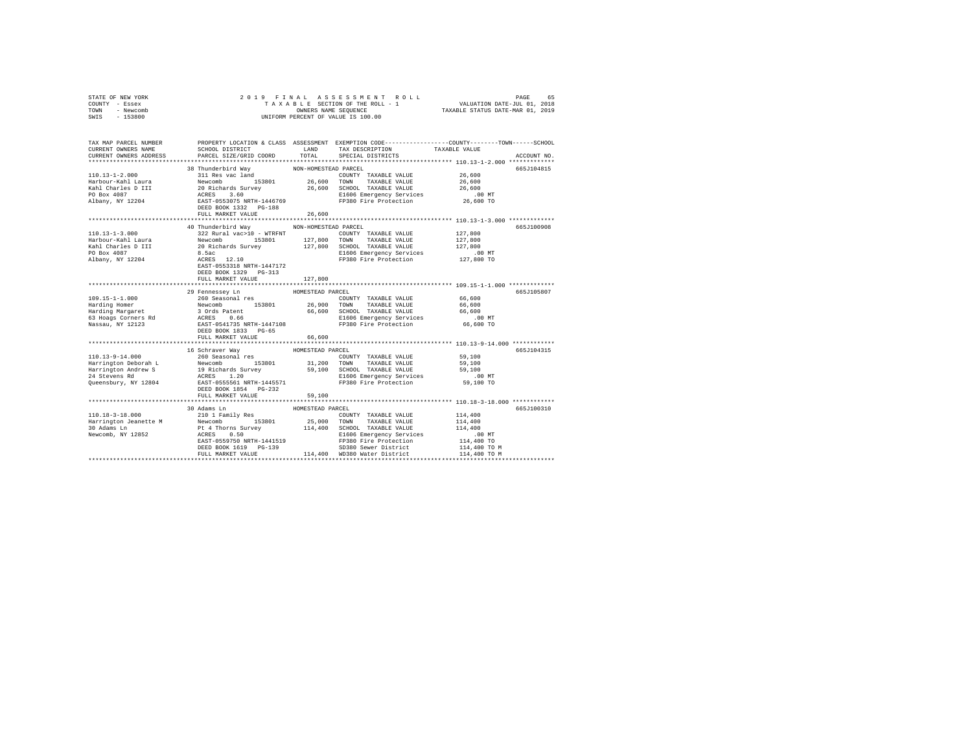| STATE OF NEW YORK<br>- Essex<br>COUNTY<br>- Newcomb<br>TOWN<br>$-153800$<br>SWTS |                                                                              | 2019 FINAL ASSESSMENT ROLL<br>TAXABLE SECTION OF THE ROLL - 1<br>OWNERS NAME SEOUENCE<br>INIFORM PERCENT OF VALUE IS 100.00 | 65<br>PAGE<br>VALUATION DATE-JUL 01, 2018<br>TAXABLE STATUS DATE-MAR 01, 2019                                 |
|----------------------------------------------------------------------------------|------------------------------------------------------------------------------|-----------------------------------------------------------------------------------------------------------------------------|---------------------------------------------------------------------------------------------------------------|
| TAX MAP PARCEL NUMBER<br>CURRENT OWNERS NAME<br>CURRENT OWNERS ADDRESS           | PROPERTY LOCATION & CLASS<br>SCHOOL DISTRICT<br>PARCEL SIZE/GRID COORD TOTAL | ASSESSMENT<br>LAND<br>TAX DESCRIPTION<br>SPECIAL DISTRICTS                                                                  | EXEMPTION CODE-----------------COUNTY-------TOWN------SCHOOL<br>TAXABLE VALUE<br>ACCOUNT NO.<br>************* |
| $110.13 - 1 - 2.000$                                                             | 38 Thunderbird Way<br>311 Res vac land                                       | NON-HOMESTEAD PARCEL<br>TAXABLE VALUE<br>COUNTY                                                                             | 665.7104815<br>26,600                                                                                         |

|                              |                                                    |                    |                                                                             | -------                              |            |
|------------------------------|----------------------------------------------------|--------------------|-----------------------------------------------------------------------------|--------------------------------------|------------|
| Harbour-Kahl Laura Newcomb   |                                                    | 153801 26,600 TOWN | TAXABLE VALUE                                                               | 26,600                               |            |
|                              |                                                    |                    |                                                                             |                                      |            |
|                              |                                                    |                    |                                                                             |                                      |            |
|                              |                                                    |                    |                                                                             |                                      |            |
|                              | DEED BOOK 1332    PG-188                           |                    |                                                                             |                                      |            |
|                              | FULL MARKET VALUE                                  | 26,600             |                                                                             |                                      |            |
|                              |                                                    |                    |                                                                             |                                      |            |
|                              | 40 Thunderbird Way MON-HOMESTEAD PARCEL            |                    |                                                                             |                                      | 665J100908 |
| 110.13-1-3.000               | 322 Rural vac>10 - WTRFNT                          |                    | COUNTY TAXABLE VALUE 127,800                                                |                                      |            |
|                              |                                                    |                    |                                                                             |                                      |            |
|                              |                                                    |                    | Kahl Charles D III 30 Richards Survey 3127,800 SCHOOL TAXABLE VALUE 327,800 |                                      |            |
| PO Box 4087                  |                                                    |                    |                                                                             |                                      |            |
| Albany, NY 12204             | 8.5ac<br>ACRES 12.10                               |                    | E1606 Emergency Services .00 MT<br>FP380 Fire Protection  127,800 TO        |                                      |            |
|                              | EAST-0553318 NRTH-1447172                          |                    |                                                                             |                                      |            |
|                              | DEED BOOK 1329 PG-313                              |                    |                                                                             |                                      |            |
|                              | FULL MARKET VALUE                                  | 127,800            |                                                                             |                                      |            |
|                              |                                                    |                    |                                                                             |                                      |            |
|                              | 29 Fennessey Ln HOMESTEAD PARCEL                   |                    |                                                                             |                                      | 665J105807 |
|                              |                                                    |                    |                                                                             |                                      |            |
|                              |                                                    |                    |                                                                             |                                      |            |
|                              |                                                    |                    |                                                                             |                                      |            |
|                              |                                                    |                    |                                                                             |                                      |            |
|                              |                                                    |                    |                                                                             |                                      |            |
|                              |                                                    |                    |                                                                             |                                      |            |
|                              | DEED BOOK 1833 PG-65                               |                    |                                                                             |                                      |            |
|                              | FULL MARKET VALUE                                  | 66,600             |                                                                             |                                      |            |
|                              |                                                    |                    |                                                                             |                                      |            |
|                              | 16 Schraver Way MOMESTEAD PARCEL                   |                    |                                                                             |                                      | 665J104315 |
|                              |                                                    |                    |                                                                             |                                      |            |
|                              |                                                    |                    |                                                                             |                                      |            |
|                              |                                                    |                    |                                                                             |                                      |            |
|                              |                                                    |                    |                                                                             |                                      |            |
|                              |                                                    |                    | FP380 Fire Protection                                                       |                                      |            |
|                              | DEED BOOK 1854 PG-232                              |                    |                                                                             |                                      |            |
|                              |                                                    |                    |                                                                             |                                      |            |
|                              |                                                    |                    |                                                                             |                                      |            |
|                              | 30 Adams Ln                                        | HOMESTEAD PARCEL   |                                                                             |                                      | 665J100310 |
| 110.18-3-18.000              | 210 1 Family Res                                   |                    | COUNTY TAXABLE VALUE 114,400                                                |                                      |            |
|                              |                                                    |                    |                                                                             | 114,400                              |            |
|                              |                                                    |                    |                                                                             | 114,400                              |            |
| Newcomb, NY 12852 ACRES 0.50 |                                                    |                    | E1606 Emergency Services                                                    |                                      |            |
|                              |                                                    |                    | FP380 Fire Protection<br>SD380 Sewer District                               | .00 MT<br>114,400 TO<br>114,400 TO M |            |
|                              | EAST-0559750 NRTH-1441519<br>DEED BOOK 1619 PG-139 |                    | SD380 Sewer District                                                        |                                      |            |
|                              | FULL MARKET VALUE                                  |                    | 114,400 WD380 Water District                                                | 114,400 TO M                         |            |
|                              |                                                    |                    |                                                                             |                                      |            |
|                              |                                                    |                    |                                                                             |                                      |            |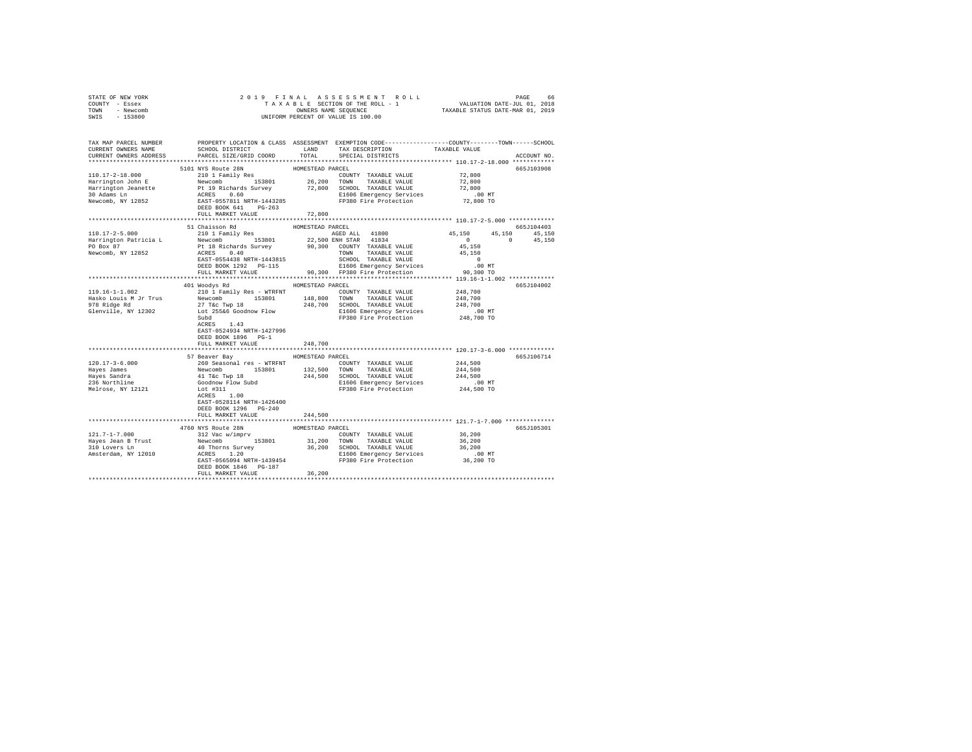| STATE OF NEW YORK<br>COUNTY - Essex                               |                                                                                                                                                                                                                                                                                                                                                                                                                    |                  |                               |                                                                                                                  |             |  |  |  |
|-------------------------------------------------------------------|--------------------------------------------------------------------------------------------------------------------------------------------------------------------------------------------------------------------------------------------------------------------------------------------------------------------------------------------------------------------------------------------------------------------|------------------|-------------------------------|------------------------------------------------------------------------------------------------------------------|-------------|--|--|--|
| TOWN - Newcomb                                                    |                                                                                                                                                                                                                                                                                                                                                                                                                    |                  |                               |                                                                                                                  |             |  |  |  |
| SWIS - 153800                                                     |                                                                                                                                                                                                                                                                                                                                                                                                                    |                  |                               |                                                                                                                  |             |  |  |  |
|                                                                   |                                                                                                                                                                                                                                                                                                                                                                                                                    |                  |                               |                                                                                                                  |             |  |  |  |
|                                                                   | TAX MAP PARCEL NUMBER THE PROPERTY LOCATION & CLASS ASSESSMENT EXEMPTION CODE-------------COUNTY-------TOWN-----SCHOOL                                                                                                                                                                                                                                                                                             |                  |                               |                                                                                                                  |             |  |  |  |
| CURRENT OWNERS NAME                                               | SCHOOL DISTRICT LAND                                                                                                                                                                                                                                                                                                                                                                                               |                  | TAX DESCRIPTION TAXABLE VALUE |                                                                                                                  |             |  |  |  |
| CURRENT OWNERS ADDRESS                                            | PARCEL SIZE/GRID COORD                                                                                                                                                                                                                                                                                                                                                                                             | TOTAL            | SPECIAL DISTRICTS             |                                                                                                                  | ACCOUNT NO. |  |  |  |
|                                                                   |                                                                                                                                                                                                                                                                                                                                                                                                                    |                  |                               |                                                                                                                  |             |  |  |  |
|                                                                   |                                                                                                                                                                                                                                                                                                                                                                                                                    |                  |                               |                                                                                                                  | 665J103908  |  |  |  |
|                                                                   |                                                                                                                                                                                                                                                                                                                                                                                                                    |                  |                               |                                                                                                                  |             |  |  |  |
|                                                                   |                                                                                                                                                                                                                                                                                                                                                                                                                    |                  |                               |                                                                                                                  |             |  |  |  |
|                                                                   |                                                                                                                                                                                                                                                                                                                                                                                                                    |                  |                               |                                                                                                                  |             |  |  |  |
|                                                                   |                                                                                                                                                                                                                                                                                                                                                                                                                    |                  |                               |                                                                                                                  |             |  |  |  |
|                                                                   |                                                                                                                                                                                                                                                                                                                                                                                                                    |                  |                               |                                                                                                                  |             |  |  |  |
|                                                                   |                                                                                                                                                                                                                                                                                                                                                                                                                    |                  |                               |                                                                                                                  |             |  |  |  |
|                                                                   |                                                                                                                                                                                                                                                                                                                                                                                                                    |                  |                               |                                                                                                                  |             |  |  |  |
|                                                                   | 51 Chaisson Rd                                                                                                                                                                                                                                                                                                                                                                                                     |                  |                               |                                                                                                                  |             |  |  |  |
| $110.17 - 2 - 5.000$                                              | 210 1 Family Res AGED ALL 41800                                                                                                                                                                                                                                                                                                                                                                                    | HOMESTEAD PARCEL |                               |                                                                                                                  | 665J104403  |  |  |  |
|                                                                   |                                                                                                                                                                                                                                                                                                                                                                                                                    |                  |                               | $\begin{array}{cccc} 45,150 & \quad & 45,150 & \quad & 45,150 \\ & & 0 & \quad & 0 & \quad & 45,150 \end{array}$ |             |  |  |  |
|                                                                   |                                                                                                                                                                                                                                                                                                                                                                                                                    |                  |                               |                                                                                                                  |             |  |  |  |
|                                                                   |                                                                                                                                                                                                                                                                                                                                                                                                                    |                  |                               |                                                                                                                  |             |  |  |  |
|                                                                   |                                                                                                                                                                                                                                                                                                                                                                                                                    |                  |                               |                                                                                                                  |             |  |  |  |
|                                                                   |                                                                                                                                                                                                                                                                                                                                                                                                                    |                  |                               |                                                                                                                  |             |  |  |  |
|                                                                   |                                                                                                                                                                                                                                                                                                                                                                                                                    |                  |                               |                                                                                                                  |             |  |  |  |
|                                                                   |                                                                                                                                                                                                                                                                                                                                                                                                                    |                  |                               |                                                                                                                  |             |  |  |  |
|                                                                   | 401 Woodys Rd MOMESTEAD PARCEL                                                                                                                                                                                                                                                                                                                                                                                     |                  |                               |                                                                                                                  | 665J104002  |  |  |  |
|                                                                   | $\begin{tabular}{c c c c c c} \hline 119.16-1-1.002 & \hline $248.700$ & \hline $240$ & \hline $240$ & \hline $240$ & \hline $240$ & \hline $240$ & \hline $240$ & \hline $240$ & \hline $240$ & \hline $240$ & \hline $240$ & \hline $240$ & \hline $240$ & \hline $240$ & \hline $240$ & \hline $240$ & \hline $240$ & \hline $240$ & \hline $248.700$ & \hline $$                                               |                  |                               |                                                                                                                  |             |  |  |  |
|                                                                   |                                                                                                                                                                                                                                                                                                                                                                                                                    |                  |                               |                                                                                                                  |             |  |  |  |
|                                                                   |                                                                                                                                                                                                                                                                                                                                                                                                                    |                  |                               |                                                                                                                  |             |  |  |  |
|                                                                   |                                                                                                                                                                                                                                                                                                                                                                                                                    |                  |                               |                                                                                                                  |             |  |  |  |
|                                                                   |                                                                                                                                                                                                                                                                                                                                                                                                                    |                  |                               |                                                                                                                  |             |  |  |  |
|                                                                   | $ACRES$ 1.43                                                                                                                                                                                                                                                                                                                                                                                                       |                  |                               |                                                                                                                  |             |  |  |  |
|                                                                   | EAST-0524934 NRTH-1427996                                                                                                                                                                                                                                                                                                                                                                                          |                  |                               |                                                                                                                  |             |  |  |  |
|                                                                   | DEED BOOK 1896 PG-1                                                                                                                                                                                                                                                                                                                                                                                                |                  |                               |                                                                                                                  |             |  |  |  |
|                                                                   | FULL MARKET VALUE                                                                                                                                                                                                                                                                                                                                                                                                  | 248,700          |                               |                                                                                                                  |             |  |  |  |
|                                                                   |                                                                                                                                                                                                                                                                                                                                                                                                                    |                  |                               | ****************************** 120.17-3-6.000 *************                                                      |             |  |  |  |
|                                                                   | 57 Beaver Bay MOMESTEAD PARCEL                                                                                                                                                                                                                                                                                                                                                                                     |                  |                               |                                                                                                                  | 665J106714  |  |  |  |
| $120.17 - 3 - 6.000$                                              |                                                                                                                                                                                                                                                                                                                                                                                                                    |                  |                               |                                                                                                                  |             |  |  |  |
| Hayes James                                                       |                                                                                                                                                                                                                                                                                                                                                                                                                    |                  |                               |                                                                                                                  |             |  |  |  |
|                                                                   |                                                                                                                                                                                                                                                                                                                                                                                                                    |                  |                               | 244,500<br>244,500<br>244,500<br>244,500 MT                                                                      |             |  |  |  |
|                                                                   |                                                                                                                                                                                                                                                                                                                                                                                                                    |                  |                               |                                                                                                                  |             |  |  |  |
| Hayes James<br>Hayes Sandra<br>236 Northline<br>Melrose, NY 12121 | % exert say 1988<br>260 Seasonal res – WTRFNT (CONTY TAXABLE VALUE Newcomb 153801 132,500 TONN TAXABLE VALUE Newcomb 153801 124,500 TONN TAXABLE VALUE 41 TE Twp 18<br>44,500 SCHOOL TAXABLE VALUE Goodhow Flow Subd 14,500 SCHOOL                                                                                                                                                                                 |                  |                               |                                                                                                                  |             |  |  |  |
|                                                                   |                                                                                                                                                                                                                                                                                                                                                                                                                    |                  |                               |                                                                                                                  |             |  |  |  |
|                                                                   | EAST-0528114 NRTH-1426400                                                                                                                                                                                                                                                                                                                                                                                          |                  |                               |                                                                                                                  |             |  |  |  |
|                                                                   | DEED BOOK 1296 PG-240                                                                                                                                                                                                                                                                                                                                                                                              |                  |                               |                                                                                                                  |             |  |  |  |
|                                                                   | FULL MARKET VALUE                                                                                                                                                                                                                                                                                                                                                                                                  | 244,500          |                               |                                                                                                                  |             |  |  |  |
|                                                                   |                                                                                                                                                                                                                                                                                                                                                                                                                    |                  |                               |                                                                                                                  | 665J105301  |  |  |  |
|                                                                   | ${\footnotesize \begin{tabular}{l c c c c c} \textbf{310} & \textbf{4760} & \textbf{NYS} \textbf{ RUC} & \textbf{HOMESTF} & \textbf{HOMESTF} & \textbf{PARCEL} \\ \textbf{121.7--7.000} & \textbf{4760} & \textbf{NYS} \textbf{ RUC} & \textbf{312} & \textbf{C} & \textbf{C} & \textbf{C} & \textbf{MNT} & \textbf{TXXABLE} & \textbf{VALUE} \\ \textbf{18298} & \textbf{50} & \textbf{B} & \textbf{312} & \text$ |                  | COUNTY TAXABLE VALUE 36,200   |                                                                                                                  |             |  |  |  |
|                                                                   |                                                                                                                                                                                                                                                                                                                                                                                                                    |                  |                               | 36,200                                                                                                           |             |  |  |  |
|                                                                   |                                                                                                                                                                                                                                                                                                                                                                                                                    |                  |                               | 36,200                                                                                                           |             |  |  |  |
|                                                                   |                                                                                                                                                                                                                                                                                                                                                                                                                    |                  |                               |                                                                                                                  |             |  |  |  |
|                                                                   |                                                                                                                                                                                                                                                                                                                                                                                                                    |                  |                               | .00 MT<br>36,200 TO                                                                                              |             |  |  |  |
|                                                                   | DEED BOOK 1846 PG-187                                                                                                                                                                                                                                                                                                                                                                                              |                  |                               |                                                                                                                  |             |  |  |  |
|                                                                   | FULL MARKET VALUE                                                                                                                                                                                                                                                                                                                                                                                                  | 36,200           |                               |                                                                                                                  |             |  |  |  |
|                                                                   |                                                                                                                                                                                                                                                                                                                                                                                                                    |                  |                               |                                                                                                                  |             |  |  |  |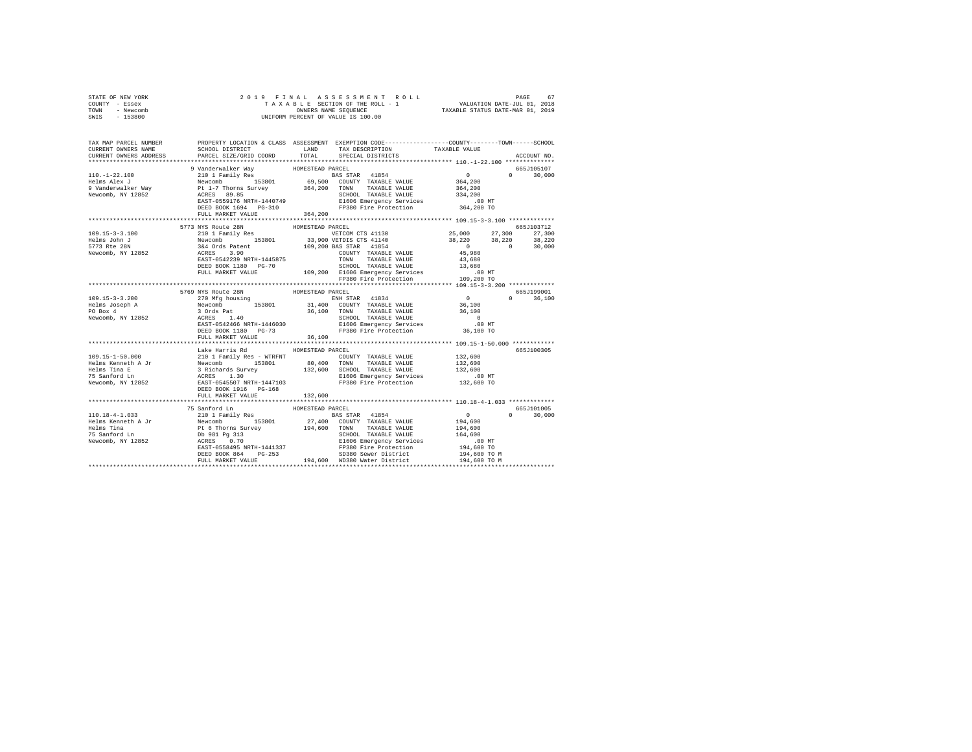|                | STATE OF NEW YORK |  |  | 2019 FINAL ASSESSMENT ROLL         |                                  | PAGE                        | 67 |
|----------------|-------------------|--|--|------------------------------------|----------------------------------|-----------------------------|----|
| COUNTY - Essex |                   |  |  | TAXABLE SECTION OF THE ROLL - 1    |                                  | VALUATION DATE-JUL 01, 2018 |    |
| TOWN           | - Newcomb         |  |  | OWNERS NAME SEOUENCE               | TAXABLE STATUS DATE-MAR 01, 2019 |                             |    |
| SWIS           | - 153800          |  |  | UNIFORM PERCENT OF VALUE IS 100.00 |                                  |                             |    |

| TAX MAP PARCEL NUMBER<br>CURRENT OWNERS NAME                                                                                                                                                                                                        | SCHOOL DISTRICT TAND TAX DESCRIPTION |                  | PROPERTY LOCATION & CLASS ASSESSMENT EXEMPTION CODE---------------COUNTY-------TOWN------SCHOOL | TAXABLE VALUE |               |
|-----------------------------------------------------------------------------------------------------------------------------------------------------------------------------------------------------------------------------------------------------|--------------------------------------|------------------|-------------------------------------------------------------------------------------------------|---------------|---------------|
| CURRENT OWNERS ADDRESS                                                                                                                                                                                                                              | PARCEL SIZE/GRID COORD               | TOTAL            | SPECIAL DISTRICTS                                                                               |               | ACCOUNT NO.   |
| 9 Vanderwalker Way<br>10.-1-22.100 9 Vanderwalker Way<br>Helms Alex J and Temily Res<br>Helms Alex J and Telms Survey<br>9 Vanderwalker Way<br>9 Vanderwalker Way<br>Pewcomb, NY 12852<br>89.8555559176<br>Newcomb, NY 12852<br>89.855585659176<br> |                                      |                  |                                                                                                 |               | 665J105107    |
|                                                                                                                                                                                                                                                     |                                      |                  |                                                                                                 |               | $0 \t 30,000$ |
|                                                                                                                                                                                                                                                     |                                      |                  |                                                                                                 |               |               |
|                                                                                                                                                                                                                                                     |                                      |                  |                                                                                                 |               |               |
|                                                                                                                                                                                                                                                     |                                      |                  |                                                                                                 |               |               |
|                                                                                                                                                                                                                                                     |                                      |                  |                                                                                                 |               |               |
|                                                                                                                                                                                                                                                     |                                      |                  |                                                                                                 |               |               |
|                                                                                                                                                                                                                                                     | FULL MARKET VALUE 364,200            |                  |                                                                                                 |               |               |
|                                                                                                                                                                                                                                                     |                                      |                  |                                                                                                 |               |               |
|                                                                                                                                                                                                                                                     |                                      |                  |                                                                                                 |               |               |
|                                                                                                                                                                                                                                                     |                                      |                  |                                                                                                 |               |               |
|                                                                                                                                                                                                                                                     |                                      |                  |                                                                                                 |               |               |
|                                                                                                                                                                                                                                                     |                                      |                  |                                                                                                 |               |               |
|                                                                                                                                                                                                                                                     |                                      |                  |                                                                                                 |               |               |
|                                                                                                                                                                                                                                                     |                                      |                  |                                                                                                 |               |               |
|                                                                                                                                                                                                                                                     |                                      |                  |                                                                                                 |               |               |
|                                                                                                                                                                                                                                                     |                                      |                  |                                                                                                 |               |               |
|                                                                                                                                                                                                                                                     |                                      |                  |                                                                                                 |               |               |
| 3773 NYS Route 28N<br>109.15-3-3.100<br>161 18 210 18 173 NYS Route 28N<br>161 18 20 18,220<br>161 18 20 18,220<br>161 18 20 18,220<br>19,200 BAS STATH-1445875<br>20 20 20 20 20 20 20,000<br>19,200 BASTATH-145875<br>20 20 20 20 20 20 20,000    |                                      |                  |                                                                                                 |               |               |
|                                                                                                                                                                                                                                                     | 5769 NYS Route 28N                   | HOMESTEAD PARCEL |                                                                                                 |               | 665J199001    |
|                                                                                                                                                                                                                                                     |                                      |                  |                                                                                                 | $\Omega$      | 36,100        |
|                                                                                                                                                                                                                                                     |                                      |                  |                                                                                                 |               |               |
|                                                                                                                                                                                                                                                     |                                      |                  |                                                                                                 |               |               |
|                                                                                                                                                                                                                                                     |                                      |                  |                                                                                                 |               |               |
|                                                                                                                                                                                                                                                     |                                      |                  |                                                                                                 |               |               |
|                                                                                                                                                                                                                                                     |                                      |                  |                                                                                                 |               |               |
|                                                                                                                                                                                                                                                     | FULL MARKET VALUE                    | 36,100           |                                                                                                 |               |               |
|                                                                                                                                                                                                                                                     |                                      |                  |                                                                                                 |               |               |
|                                                                                                                                                                                                                                                     | Lake Harris Rd                       | HOMESTEAD PARCEL |                                                                                                 |               | 665J100305    |
|                                                                                                                                                                                                                                                     |                                      |                  |                                                                                                 |               |               |
|                                                                                                                                                                                                                                                     |                                      |                  |                                                                                                 |               |               |
|                                                                                                                                                                                                                                                     |                                      |                  |                                                                                                 |               |               |
|                                                                                                                                                                                                                                                     |                                      |                  |                                                                                                 |               |               |
|                                                                                                                                                                                                                                                     |                                      |                  |                                                                                                 |               |               |
|                                                                                                                                                                                                                                                     | FULL MARKET VALUE                    | 132,600          |                                                                                                 |               |               |
|                                                                                                                                                                                                                                                     |                                      |                  |                                                                                                 |               |               |
|                                                                                                                                                                                                                                                     |                                      |                  |                                                                                                 |               | 665J101005    |
|                                                                                                                                                                                                                                                     |                                      |                  |                                                                                                 |               | $0 \t 30,000$ |
|                                                                                                                                                                                                                                                     |                                      |                  |                                                                                                 |               |               |
|                                                                                                                                                                                                                                                     |                                      |                  |                                                                                                 |               |               |
|                                                                                                                                                                                                                                                     |                                      |                  |                                                                                                 |               |               |
|                                                                                                                                                                                                                                                     |                                      |                  |                                                                                                 |               |               |
|                                                                                                                                                                                                                                                     |                                      |                  |                                                                                                 |               |               |
|                                                                                                                                                                                                                                                     |                                      |                  |                                                                                                 |               |               |
|                                                                                                                                                                                                                                                     |                                      |                  |                                                                                                 |               |               |
|                                                                                                                                                                                                                                                     |                                      |                  |                                                                                                 |               |               |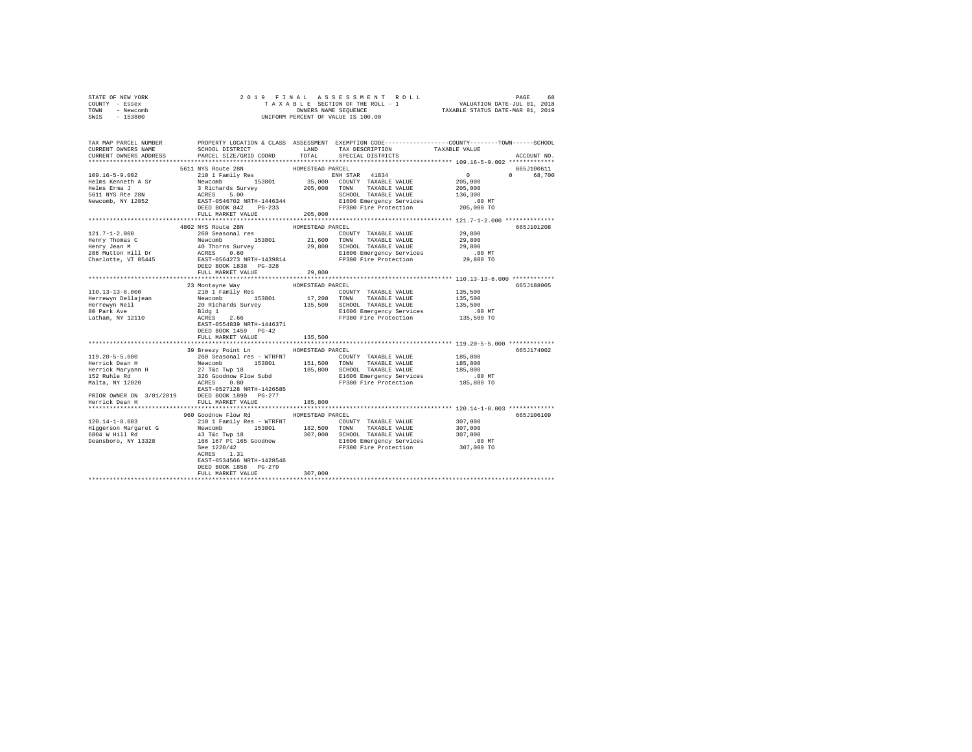| STATE OF NEW YORK      |                                                                                                                                                                                                                                                                                                                                                                                                                               |                  |                                    |                |             |  |  |  |
|------------------------|-------------------------------------------------------------------------------------------------------------------------------------------------------------------------------------------------------------------------------------------------------------------------------------------------------------------------------------------------------------------------------------------------------------------------------|------------------|------------------------------------|----------------|-------------|--|--|--|
| COUNTY - Essex         |                                                                                                                                                                                                                                                                                                                                                                                                                               |                  |                                    |                |             |  |  |  |
| TOWN - Newcomb         |                                                                                                                                                                                                                                                                                                                                                                                                                               |                  |                                    |                |             |  |  |  |
| SWIS - 153800          |                                                                                                                                                                                                                                                                                                                                                                                                                               |                  |                                    |                |             |  |  |  |
|                        |                                                                                                                                                                                                                                                                                                                                                                                                                               |                  |                                    |                |             |  |  |  |
|                        | TAX MAP PARCEL NUMBER PROPERTY LOCATION & CLASS ASSESSMENT EXEMPTION CODE--------------COUNTY-------TOWN-----SCHOOL                                                                                                                                                                                                                                                                                                           |                  |                                    |                |             |  |  |  |
| CURRENT OWNERS NAME    | SCHOOL DISTRICT                                                                                                                                                                                                                                                                                                                                                                                                               |                  | LAND TAX DESCRIPTION TAXABLE VALUE |                |             |  |  |  |
| CURRENT OWNERS ADDRESS | PARCEL SIZE/GRID COORD                                                                                                                                                                                                                                                                                                                                                                                                        | TOTAL            | SPECIAL DISTRICTS                  |                | ACCOUNT NO. |  |  |  |
|                        |                                                                                                                                                                                                                                                                                                                                                                                                                               |                  |                                    |                |             |  |  |  |
|                        |                                                                                                                                                                                                                                                                                                                                                                                                                               | HOMESTEAD PARCEL |                                    |                | 665J100611  |  |  |  |
|                        | 5611 NYS Route 28N<br>210 1 Family Res                                                                                                                                                                                                                                                                                                                                                                                        |                  |                                    |                | 0 68,700    |  |  |  |
|                        |                                                                                                                                                                                                                                                                                                                                                                                                                               |                  |                                    | $0$<br>205,000 |             |  |  |  |
|                        |                                                                                                                                                                                                                                                                                                                                                                                                                               |                  |                                    | 205,000        |             |  |  |  |
|                        |                                                                                                                                                                                                                                                                                                                                                                                                                               |                  |                                    | 136,300        |             |  |  |  |
|                        |                                                                                                                                                                                                                                                                                                                                                                                                                               |                  |                                    | .00 MT         |             |  |  |  |
|                        |                                                                                                                                                                                                                                                                                                                                                                                                                               |                  |                                    | 205,000 TO     |             |  |  |  |
|                        | FULL MARKET VALUE                                                                                                                                                                                                                                                                                                                                                                                                             | 205,000          |                                    |                |             |  |  |  |
|                        |                                                                                                                                                                                                                                                                                                                                                                                                                               |                  |                                    |                |             |  |  |  |
|                        | 4802 NYS Route 28N                                                                                                                                                                                                                                                                                                                                                                                                            | HOMESTEAD PARCEL |                                    |                | 665J101208  |  |  |  |
| $121.7 - 1 - 2.000$    | 260 Seasonal res                                                                                                                                                                                                                                                                                                                                                                                                              |                  | COUNTY TAXABLE VALUE               | 29,800         |             |  |  |  |
|                        |                                                                                                                                                                                                                                                                                                                                                                                                                               |                  |                                    | 29,800         |             |  |  |  |
|                        |                                                                                                                                                                                                                                                                                                                                                                                                                               |                  |                                    | 29,800         |             |  |  |  |
|                        | $\begin{tabular}{l c c c c c c c c} \hline $1$-error $1$ & $10000000$ & $10000000$ & $10000000$ & $10000000$ & $10000000$ \\ \hline \hline \multicolumn{3}{l}{H} & 1000000 & $10000000$ & $10000000$ & $10000000$ & $10000000$ & $10000000$ & $1000000$ & $1000000$ & $1000000$ & $1000000$ & $1000000$                                                                                                                       |                  |                                    | .00MT          |             |  |  |  |
|                        |                                                                                                                                                                                                                                                                                                                                                                                                                               |                  |                                    | 29,800 TO      |             |  |  |  |
|                        |                                                                                                                                                                                                                                                                                                                                                                                                                               |                  |                                    |                |             |  |  |  |
|                        | FULL MARKET VALUE                                                                                                                                                                                                                                                                                                                                                                                                             | 29,800           |                                    |                |             |  |  |  |
|                        |                                                                                                                                                                                                                                                                                                                                                                                                                               |                  |                                    |                |             |  |  |  |
|                        | 23 Montayne Way                                                                                                                                                                                                                                                                                                                                                                                                               |                  |                                    |                | 665J188005  |  |  |  |
|                        |                                                                                                                                                                                                                                                                                                                                                                                                                               |                  |                                    | 135,500        |             |  |  |  |
|                        |                                                                                                                                                                                                                                                                                                                                                                                                                               |                  |                                    | 135,500        |             |  |  |  |
|                        |                                                                                                                                                                                                                                                                                                                                                                                                                               |                  |                                    | 135,500        |             |  |  |  |
|                        |                                                                                                                                                                                                                                                                                                                                                                                                                               |                  | E1606 Emergency Services           | .00 MT         |             |  |  |  |
|                        |                                                                                                                                                                                                                                                                                                                                                                                                                               |                  | FP380 Fire Protection              | 135,500 TO     |             |  |  |  |
|                        |                                                                                                                                                                                                                                                                                                                                                                                                                               |                  |                                    |                |             |  |  |  |
|                        |                                                                                                                                                                                                                                                                                                                                                                                                                               |                  |                                    |                |             |  |  |  |
|                        | $\begin{tabular}{l c c c c c} \multicolumn{3}{c c c} \multicolumn{3}{c c c} \multicolumn{3}{c c c} \multicolumn{3}{c c c} \multicolumn{3}{c c c} \multicolumn{3}{c c c} \multicolumn{3}{c c c} \multicolumn{3}{c c c} \multicolumn{3}{c c c} \multicolumn{3}{c c c} \multicolumn{3}{c c c} \multicolumn{3}{c c c} \multicolumn{3}{c c c} \multicolumn{3}{c c c} \multicolumn{3}{c c c} \multicolumn{3}{$<br>FULL MARKET VALUE | 135,500          |                                    |                |             |  |  |  |
|                        |                                                                                                                                                                                                                                                                                                                                                                                                                               |                  |                                    |                |             |  |  |  |
|                        | 39 Breezy Point Ln HOMESTEAD PARCEL                                                                                                                                                                                                                                                                                                                                                                                           |                  |                                    |                | 665J174002  |  |  |  |
| $119.20 - 5 - 5.000$   | 260 Seasonal res - WTRFNT                                                                                                                                                                                                                                                                                                                                                                                                     |                  | COUNTY TAXABLE VALUE               | 185,800        |             |  |  |  |
|                        |                                                                                                                                                                                                                                                                                                                                                                                                                               |                  |                                    | 185,800        |             |  |  |  |
|                        |                                                                                                                                                                                                                                                                                                                                                                                                                               |                  |                                    | 185,800        |             |  |  |  |
|                        |                                                                                                                                                                                                                                                                                                                                                                                                                               |                  |                                    | .00 MT         |             |  |  |  |
|                        |                                                                                                                                                                                                                                                                                                                                                                                                                               |                  |                                    | 185,800 TO     |             |  |  |  |
|                        |                                                                                                                                                                                                                                                                                                                                                                                                                               |                  |                                    |                |             |  |  |  |
|                        | 197.407-5-1000<br>Herrick Dean H $^{20}$ C Seasonal Fest (197.600 1000117<br>Herrick Dean H $^{27}$ Tack Two 1980<br>1980 1000011 TAXABLE VALUE Herrick Maryan H $^{27}$ Tack Two<br>$^{28}$ Codon 1985,800 SCROD TAXABLE VALUE HSE (197.600<br>1                                                                                                                                                                             |                  |                                    |                |             |  |  |  |
|                        |                                                                                                                                                                                                                                                                                                                                                                                                                               |                  |                                    |                |             |  |  |  |
|                        |                                                                                                                                                                                                                                                                                                                                                                                                                               |                  |                                    |                |             |  |  |  |
|                        | 960 Goodnow Flow Rd HOMESTEAD PARCEL                                                                                                                                                                                                                                                                                                                                                                                          |                  |                                    |                | 665J106109  |  |  |  |
|                        |                                                                                                                                                                                                                                                                                                                                                                                                                               |                  |                                    |                |             |  |  |  |
|                        |                                                                                                                                                                                                                                                                                                                                                                                                                               |                  |                                    |                |             |  |  |  |
|                        |                                                                                                                                                                                                                                                                                                                                                                                                                               |                  |                                    |                |             |  |  |  |
|                        |                                                                                                                                                                                                                                                                                                                                                                                                                               |                  |                                    |                |             |  |  |  |
|                        |                                                                                                                                                                                                                                                                                                                                                                                                                               |                  |                                    |                |             |  |  |  |
|                        |                                                                                                                                                                                                                                                                                                                                                                                                                               |                  |                                    |                |             |  |  |  |
|                        |                                                                                                                                                                                                                                                                                                                                                                                                                               |                  |                                    |                |             |  |  |  |
|                        | DEED BOOK 1858 PG-270                                                                                                                                                                                                                                                                                                                                                                                                         |                  |                                    |                |             |  |  |  |
|                        | FULL MARKET VALUE                                                                                                                                                                                                                                                                                                                                                                                                             | 307,000          |                                    |                |             |  |  |  |
|                        |                                                                                                                                                                                                                                                                                                                                                                                                                               |                  |                                    |                |             |  |  |  |
|                        |                                                                                                                                                                                                                                                                                                                                                                                                                               |                  |                                    |                |             |  |  |  |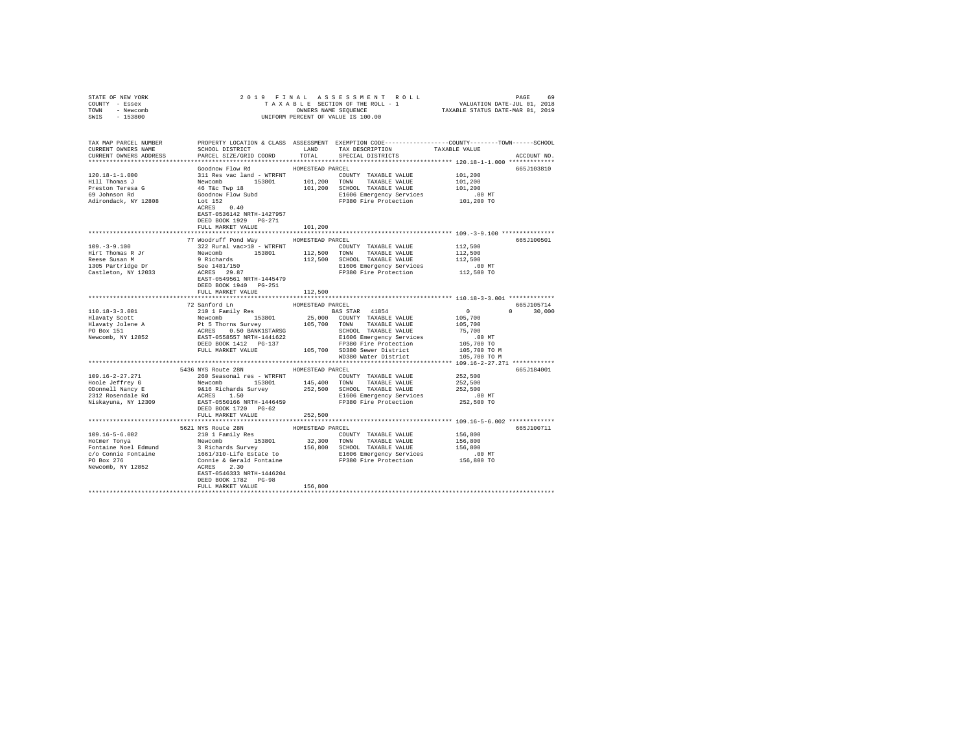| STATE OF NEW YORK                                                                                                                                                                                                                                                                                                                                                                                                           |                                                |                  |                                                                      |                                                                                                                                                                                                |  |  |  |  |
|-----------------------------------------------------------------------------------------------------------------------------------------------------------------------------------------------------------------------------------------------------------------------------------------------------------------------------------------------------------------------------------------------------------------------------|------------------------------------------------|------------------|----------------------------------------------------------------------|------------------------------------------------------------------------------------------------------------------------------------------------------------------------------------------------|--|--|--|--|
| COUNTY - Essex                                                                                                                                                                                                                                                                                                                                                                                                              |                                                |                  |                                                                      |                                                                                                                                                                                                |  |  |  |  |
| TOWN - Newcomb                                                                                                                                                                                                                                                                                                                                                                                                              |                                                |                  |                                                                      |                                                                                                                                                                                                |  |  |  |  |
| SWIS - 153800                                                                                                                                                                                                                                                                                                                                                                                                               |                                                |                  |                                                                      |                                                                                                                                                                                                |  |  |  |  |
|                                                                                                                                                                                                                                                                                                                                                                                                                             |                                                |                  |                                                                      |                                                                                                                                                                                                |  |  |  |  |
|                                                                                                                                                                                                                                                                                                                                                                                                                             |                                                |                  |                                                                      |                                                                                                                                                                                                |  |  |  |  |
|                                                                                                                                                                                                                                                                                                                                                                                                                             |                                                |                  |                                                                      | TAX MAP PARCEL NUMBER PROPERTY LOCATION & CLASS ASSESSMENT EXEMPTION CODE--------------COUNTY-------TOWN------SCHOOL<br>CURRENT OWNERS NAME SCHOOL DISTRICT LAND TAX DESCRIPTION TAXABLE VALUE |  |  |  |  |
|                                                                                                                                                                                                                                                                                                                                                                                                                             |                                                |                  |                                                                      |                                                                                                                                                                                                |  |  |  |  |
| CURRENT OWNERS ADDRESS PARCEL SIZE/GRID COORD TOTAL SPECIAL DISTRICTS                                                                                                                                                                                                                                                                                                                                                       |                                                |                  |                                                                      | ACCOUNT NO.                                                                                                                                                                                    |  |  |  |  |
|                                                                                                                                                                                                                                                                                                                                                                                                                             |                                                |                  |                                                                      |                                                                                                                                                                                                |  |  |  |  |
|                                                                                                                                                                                                                                                                                                                                                                                                                             | Goodnow Flow Rd MOMESTEAD PARCEL               |                  |                                                                      | 665J103810                                                                                                                                                                                     |  |  |  |  |
| 120.18-1-1.000                                                                                                                                                                                                                                                                                                                                                                                                              | 311 Res vac land - WTRFNT COUNTY TAXABLE VALUE |                  |                                                                      | 101,200                                                                                                                                                                                        |  |  |  |  |
|                                                                                                                                                                                                                                                                                                                                                                                                                             |                                                |                  |                                                                      | 101,200                                                                                                                                                                                        |  |  |  |  |
|                                                                                                                                                                                                                                                                                                                                                                                                                             |                                                |                  |                                                                      | 101,200                                                                                                                                                                                        |  |  |  |  |
|                                                                                                                                                                                                                                                                                                                                                                                                                             |                                                |                  |                                                                      | .00 MT                                                                                                                                                                                         |  |  |  |  |
|                                                                                                                                                                                                                                                                                                                                                                                                                             |                                                |                  | FP380 Fire Protection                                                | 101,200 TO                                                                                                                                                                                     |  |  |  |  |
|                                                                                                                                                                                                                                                                                                                                                                                                                             |                                                |                  |                                                                      |                                                                                                                                                                                                |  |  |  |  |
|                                                                                                                                                                                                                                                                                                                                                                                                                             | EAST-0536142 NRTH-1427957                      |                  |                                                                      |                                                                                                                                                                                                |  |  |  |  |
|                                                                                                                                                                                                                                                                                                                                                                                                                             | DEED BOOK 1929 PG-271                          |                  |                                                                      |                                                                                                                                                                                                |  |  |  |  |
|                                                                                                                                                                                                                                                                                                                                                                                                                             | FULL MARKET VALUE                              | 101,200          |                                                                      |                                                                                                                                                                                                |  |  |  |  |
|                                                                                                                                                                                                                                                                                                                                                                                                                             |                                                |                  |                                                                      |                                                                                                                                                                                                |  |  |  |  |
|                                                                                                                                                                                                                                                                                                                                                                                                                             | 77 Woodruff Pond Way HOMESTEAD PARCEL          |                  |                                                                      | 665J100501                                                                                                                                                                                     |  |  |  |  |
|                                                                                                                                                                                                                                                                                                                                                                                                                             |                                                |                  |                                                                      |                                                                                                                                                                                                |  |  |  |  |
|                                                                                                                                                                                                                                                                                                                                                                                                                             |                                                |                  | COUNTY TAXABLE VALUE                                                 | 112,500<br>112,500                                                                                                                                                                             |  |  |  |  |
| $[109. -3-9.100$ $[109. -3-9.100$ $[129. -3-9.100$ $[129. -3-9.100$ $[129. -3-9.100$ $[129. -3-9.100$ $[129. -3-9.100$ $[129. -3-9.100$ $[129. -3-9.100$ $[129. -3-9.100$ $[129. -3-9.100$ $[129. -3-9.100$ $[129. -3-9.100$ $[129. -3-9.10$                                                                                                                                                                                |                                                |                  |                                                                      | 112,500                                                                                                                                                                                        |  |  |  |  |
|                                                                                                                                                                                                                                                                                                                                                                                                                             |                                                |                  |                                                                      |                                                                                                                                                                                                |  |  |  |  |
|                                                                                                                                                                                                                                                                                                                                                                                                                             |                                                |                  | E1606 Emergency Services .00 MT<br>FP380 Fire Protection  112,500 TO |                                                                                                                                                                                                |  |  |  |  |
|                                                                                                                                                                                                                                                                                                                                                                                                                             |                                                |                  |                                                                      |                                                                                                                                                                                                |  |  |  |  |
|                                                                                                                                                                                                                                                                                                                                                                                                                             |                                                |                  |                                                                      |                                                                                                                                                                                                |  |  |  |  |
|                                                                                                                                                                                                                                                                                                                                                                                                                             |                                                |                  |                                                                      |                                                                                                                                                                                                |  |  |  |  |
|                                                                                                                                                                                                                                                                                                                                                                                                                             | FULL MARKET VALUE                              | 112,500          |                                                                      |                                                                                                                                                                                                |  |  |  |  |
|                                                                                                                                                                                                                                                                                                                                                                                                                             |                                                |                  |                                                                      |                                                                                                                                                                                                |  |  |  |  |
|                                                                                                                                                                                                                                                                                                                                                                                                                             | 72 Sanford Ln<br>210 1 Family Res              | HOMESTEAD PARCEL |                                                                      | 665J105714                                                                                                                                                                                     |  |  |  |  |
|                                                                                                                                                                                                                                                                                                                                                                                                                             |                                                |                  |                                                                      | $0 \t 30.000$                                                                                                                                                                                  |  |  |  |  |
|                                                                                                                                                                                                                                                                                                                                                                                                                             |                                                |                  |                                                                      |                                                                                                                                                                                                |  |  |  |  |
|                                                                                                                                                                                                                                                                                                                                                                                                                             |                                                |                  |                                                                      |                                                                                                                                                                                                |  |  |  |  |
|                                                                                                                                                                                                                                                                                                                                                                                                                             |                                                |                  |                                                                      |                                                                                                                                                                                                |  |  |  |  |
|                                                                                                                                                                                                                                                                                                                                                                                                                             |                                                |                  |                                                                      |                                                                                                                                                                                                |  |  |  |  |
|                                                                                                                                                                                                                                                                                                                                                                                                                             |                                                |                  |                                                                      |                                                                                                                                                                                                |  |  |  |  |
|                                                                                                                                                                                                                                                                                                                                                                                                                             |                                                |                  |                                                                      |                                                                                                                                                                                                |  |  |  |  |
|                                                                                                                                                                                                                                                                                                                                                                                                                             |                                                |                  | WD380 Water District                                                 | 105,700 TO M                                                                                                                                                                                   |  |  |  |  |
|                                                                                                                                                                                                                                                                                                                                                                                                                             |                                                |                  |                                                                      |                                                                                                                                                                                                |  |  |  |  |
|                                                                                                                                                                                                                                                                                                                                                                                                                             | 5436 NYS Route 28N HOMESTEAD PARCEL            |                  |                                                                      | 665J184001                                                                                                                                                                                     |  |  |  |  |
| 109.16-2-27.271                                                                                                                                                                                                                                                                                                                                                                                                             |                                                |                  | 260 Seasonal res - WTRFNT COUNTY TAXABLE VALUE 252,500               |                                                                                                                                                                                                |  |  |  |  |
|                                                                                                                                                                                                                                                                                                                                                                                                                             |                                                |                  |                                                                      |                                                                                                                                                                                                |  |  |  |  |
|                                                                                                                                                                                                                                                                                                                                                                                                                             |                                                |                  |                                                                      |                                                                                                                                                                                                |  |  |  |  |
| A CONTRAINE TREE 252,500<br>252,500<br>252,500<br>252,500<br>252,500<br>272,500<br>27312 Rosendale Rd<br>273,500<br>27380<br>27380<br>27380<br>27380<br>27412 Rosendale Rd<br>275,500<br>275,500<br>275,500<br>275,500<br>275,500<br>275,500<br>275,500<br>275,500<br>                                                                                                                                                      |                                                |                  |                                                                      |                                                                                                                                                                                                |  |  |  |  |
|                                                                                                                                                                                                                                                                                                                                                                                                                             |                                                |                  |                                                                      |                                                                                                                                                                                                |  |  |  |  |
|                                                                                                                                                                                                                                                                                                                                                                                                                             | DEED BOOK 1720 PG-62                           |                  |                                                                      |                                                                                                                                                                                                |  |  |  |  |
|                                                                                                                                                                                                                                                                                                                                                                                                                             | FULL MARKET VALUE                              | 252,500          |                                                                      |                                                                                                                                                                                                |  |  |  |  |
|                                                                                                                                                                                                                                                                                                                                                                                                                             |                                                |                  |                                                                      |                                                                                                                                                                                                |  |  |  |  |
|                                                                                                                                                                                                                                                                                                                                                                                                                             |                                                |                  |                                                                      | 665J100711                                                                                                                                                                                     |  |  |  |  |
|                                                                                                                                                                                                                                                                                                                                                                                                                             |                                                |                  |                                                                      |                                                                                                                                                                                                |  |  |  |  |
|                                                                                                                                                                                                                                                                                                                                                                                                                             |                                                |                  |                                                                      |                                                                                                                                                                                                |  |  |  |  |
|                                                                                                                                                                                                                                                                                                                                                                                                                             |                                                |                  |                                                                      |                                                                                                                                                                                                |  |  |  |  |
|                                                                                                                                                                                                                                                                                                                                                                                                                             |                                                |                  |                                                                      |                                                                                                                                                                                                |  |  |  |  |
|                                                                                                                                                                                                                                                                                                                                                                                                                             |                                                |                  |                                                                      |                                                                                                                                                                                                |  |  |  |  |
|                                                                                                                                                                                                                                                                                                                                                                                                                             |                                                |                  |                                                                      |                                                                                                                                                                                                |  |  |  |  |
|                                                                                                                                                                                                                                                                                                                                                                                                                             |                                                |                  |                                                                      |                                                                                                                                                                                                |  |  |  |  |
|                                                                                                                                                                                                                                                                                                                                                                                                                             |                                                |                  |                                                                      |                                                                                                                                                                                                |  |  |  |  |
|                                                                                                                                                                                                                                                                                                                                                                                                                             |                                                |                  |                                                                      |                                                                                                                                                                                                |  |  |  |  |
| $\begin{tabular}{l c c c c c c} \hline \multicolumn{4}{c}{\textbf{H}o} & \multicolumn{4}{c}{\textbf{H}o} & \multicolumn{4}{c}{\textbf{H}o} & \multicolumn{4}{c}{\textbf{H}o} & \multicolumn{4}{c}{\textbf{H}o} & \multicolumn{4}{c}{\textbf{H}o} & \multicolumn{4}{c}{\textbf{H}o} & \multicolumn{4}{c}{\textbf{H}o} & \multicolumn{4}{c}{\textbf{H}o} & \multicolumn{4}{c}{\textbf{H}o} & \multicolumn{4}{c}{\textbf{H}o}$ |                                                |                  |                                                                      |                                                                                                                                                                                                |  |  |  |  |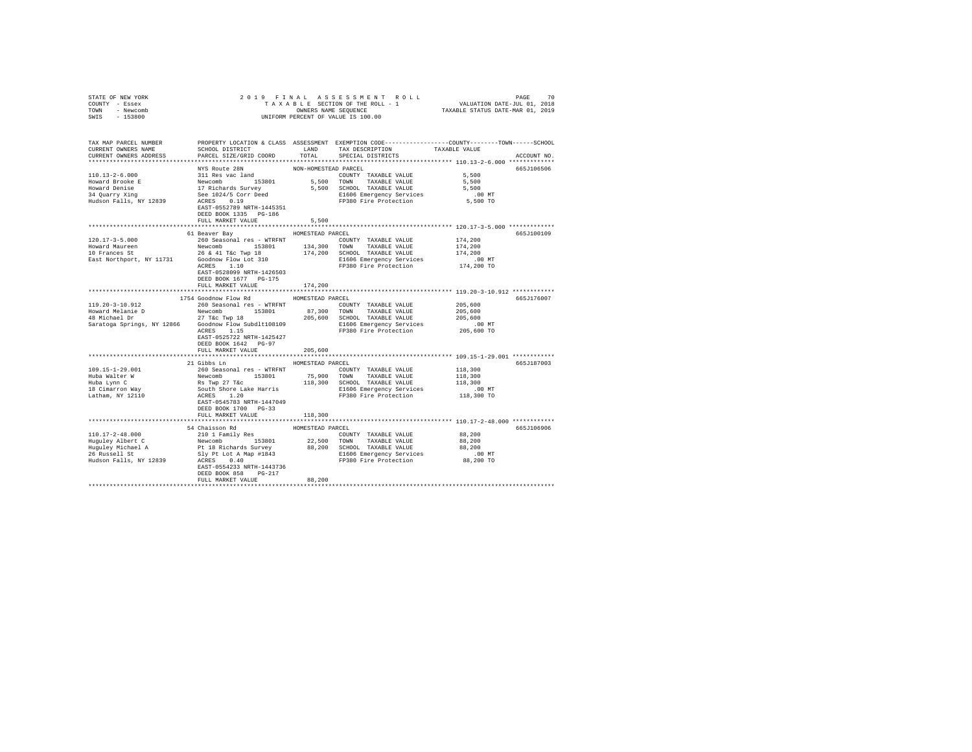| STATE OF NEW YORK                                                                                                   |                                                                                             |                      |                                                                                                                                                                                                                                      |                      |             |
|---------------------------------------------------------------------------------------------------------------------|---------------------------------------------------------------------------------------------|----------------------|--------------------------------------------------------------------------------------------------------------------------------------------------------------------------------------------------------------------------------------|----------------------|-------------|
| COUNTY - Essex                                                                                                      |                                                                                             |                      |                                                                                                                                                                                                                                      |                      |             |
| TOWN - Newcomb                                                                                                      |                                                                                             |                      |                                                                                                                                                                                                                                      |                      |             |
| SWIS - 153800                                                                                                       |                                                                                             |                      |                                                                                                                                                                                                                                      |                      |             |
|                                                                                                                     |                                                                                             |                      |                                                                                                                                                                                                                                      |                      |             |
|                                                                                                                     |                                                                                             |                      |                                                                                                                                                                                                                                      |                      |             |
|                                                                                                                     |                                                                                             |                      |                                                                                                                                                                                                                                      |                      |             |
| TAX MAP PARCEL NUMBER PROPERTY LOCATION & CLASS ASSESSMENT EXEMPTION CODE--------------COUNTY-------TOWN-----SCHOOL |                                                                                             |                      |                                                                                                                                                                                                                                      |                      |             |
| CURRENT OWNERS NAME                                                                                                 | SCHOOL DISTRICT                                                                             |                      | LAND TAX DESCRIPTION                                                                                                                                                                                                                 | TAXABLE VALUE        |             |
| CURRENT OWNERS ADDRESS                                                                                              | PARCEL SIZE/GRID COORD                                                                      | TOTAL                | SPECIAL DISTRICTS                                                                                                                                                                                                                    |                      | ACCOUNT NO. |
|                                                                                                                     |                                                                                             |                      |                                                                                                                                                                                                                                      |                      |             |
|                                                                                                                     | NYS Route 28N                                                                               | NON-HOMESTEAD PARCEL |                                                                                                                                                                                                                                      |                      | 665J106506  |
| $110.13 - 2 - 6.000$                                                                                                | 311 Res vac land                                                                            |                      | COUNTY TAXABLE VALUE                                                                                                                                                                                                                 | 5,500                |             |
| Howard Brooke E                                                                                                     |                                                                                             |                      | 5,500 TOWN TAXABLE VALUE                                                                                                                                                                                                             | 5,500                |             |
|                                                                                                                     |                                                                                             |                      | 5,500 SCHOOL TAXABLE VALUE                                                                                                                                                                                                           | 5,500                |             |
| Howard Denise<br>34 Quarry Xing                                                                                     |                                                                                             |                      |                                                                                                                                                                                                                                      |                      |             |
| Hudson Falls, NY 12839                                                                                              | Mewcomb<br>153801<br>17 Richards Survey<br>See 1024/5 Corr Deed<br>ACRES<br>1.19<br>1.14501 |                      | E1606 Emergency Services 6.00 MT<br>FP380 Fire Protection 5,500 TO                                                                                                                                                                   |                      |             |
|                                                                                                                     | EAST-0552789 NRTH-1445351                                                                   |                      |                                                                                                                                                                                                                                      |                      |             |
|                                                                                                                     | DEED BOOK 1335 PG-186                                                                       |                      |                                                                                                                                                                                                                                      |                      |             |
|                                                                                                                     |                                                                                             | 5,500                |                                                                                                                                                                                                                                      |                      |             |
|                                                                                                                     | FULL MARKET VALUE                                                                           |                      |                                                                                                                                                                                                                                      |                      |             |
|                                                                                                                     |                                                                                             |                      |                                                                                                                                                                                                                                      |                      |             |
|                                                                                                                     | 61 Beaver Bay MOMESTEAD PARCEL                                                              |                      |                                                                                                                                                                                                                                      |                      | 665J100109  |
| $120.17 - 3 - 5.000$                                                                                                | 260 Seasonal res - WTRFNT                                                                   |                      | COUNTY TAXABLE VALUE                                                                                                                                                                                                                 | 174,200              |             |
|                                                                                                                     |                                                                                             |                      |                                                                                                                                                                                                                                      | 174,200              |             |
|                                                                                                                     |                                                                                             |                      |                                                                                                                                                                                                                                      | 174,200              |             |
|                                                                                                                     |                                                                                             |                      | E1606 Emergency Services                                                                                                                                                                                                             | .00 MT<br>174,200 TO |             |
|                                                                                                                     |                                                                                             |                      | FP380 Fire Protection                                                                                                                                                                                                                |                      |             |
|                                                                                                                     | EAST-0528099 NRTH-1426503                                                                   |                      |                                                                                                                                                                                                                                      |                      |             |
|                                                                                                                     | DEED BOOK 1677 PG-175                                                                       |                      |                                                                                                                                                                                                                                      |                      |             |
|                                                                                                                     | FULL MARKET VALUE                                                                           | 174,200              |                                                                                                                                                                                                                                      |                      |             |
|                                                                                                                     |                                                                                             |                      |                                                                                                                                                                                                                                      |                      |             |
|                                                                                                                     | 1754 Goodnow Flow Rd                                                                        | HOMESTEAD PARCEL     |                                                                                                                                                                                                                                      |                      | 665J176007  |
| 119.20-3-10.912                                                                                                     | 260 Seasonal res - WTRFNT                                                                   |                      | COUNTY TAXABLE VALUE                                                                                                                                                                                                                 | 205,600              |             |
|                                                                                                                     |                                                                                             |                      |                                                                                                                                                                                                                                      | 205,600              |             |
|                                                                                                                     |                                                                                             |                      |                                                                                                                                                                                                                                      | 205,600              |             |
|                                                                                                                     |                                                                                             |                      |                                                                                                                                                                                                                                      | .00 MT               |             |
|                                                                                                                     | ACRES 1.15                                                                                  |                      | FP380 Fire Protection                                                                                                                                                                                                                | 205,600 TO           |             |
|                                                                                                                     | EAST-0525722 NRTH-1425427                                                                   |                      |                                                                                                                                                                                                                                      |                      |             |
|                                                                                                                     |                                                                                             |                      |                                                                                                                                                                                                                                      |                      |             |
|                                                                                                                     | DEED BOOK 1642 PG-97                                                                        |                      |                                                                                                                                                                                                                                      |                      |             |
|                                                                                                                     | FULL MARKET VALUE                                                                           | 205,600              |                                                                                                                                                                                                                                      |                      |             |
|                                                                                                                     | 21 Gibbs Ln HOMESTEAD PARCEL                                                                |                      |                                                                                                                                                                                                                                      |                      |             |
|                                                                                                                     |                                                                                             |                      |                                                                                                                                                                                                                                      |                      | 665J187003  |
| 109.15-1-29.001                                                                                                     | 260 Seasonal res - WTRFNT               COUNTY TAXABLE VALUE                                |                      |                                                                                                                                                                                                                                      | 118,300              |             |
| Huba Walter W                                                                                                       |                                                                                             |                      |                                                                                                                                                                                                                                      | 118,300              |             |
| Huba Lynn C                                                                                                         |                                                                                             |                      | New Jean-Marine 153801 75,900 TOWN TAXABLE VALUE RS TWP 27 TACHER 118,300 TOWN TAXABLE VALUE RS TWP 21.20<br>RS TWP 2012 120 118,300 SCHOOL TAXABLE VALUE SOULD RESS 11.20<br>SOULD RESS 11.20<br>RAST-0545783 NRTH-1447049 FP380 Fi | 118,300              |             |
|                                                                                                                     |                                                                                             |                      |                                                                                                                                                                                                                                      | $.00$ MT             |             |
| Huba Lyin v<br>18 Cimarron Way<br>Latham, NY 12110                                                                  |                                                                                             |                      |                                                                                                                                                                                                                                      | 118,300 TO           |             |
|                                                                                                                     |                                                                                             |                      |                                                                                                                                                                                                                                      |                      |             |
|                                                                                                                     | DEED BOOK 1700 PG-33                                                                        |                      |                                                                                                                                                                                                                                      |                      |             |
|                                                                                                                     | FULL MARKET VALUE                                                                           | 118,300              |                                                                                                                                                                                                                                      |                      |             |
|                                                                                                                     |                                                                                             |                      |                                                                                                                                                                                                                                      |                      |             |
|                                                                                                                     | 54 Chaisson Rd<br>210 1 Family Res                                                          | HOMESTEAD PARCEL     |                                                                                                                                                                                                                                      |                      | 665J106906  |
| 110.17-2-48.000                                                                                                     |                                                                                             |                      | COUNTY TAXABLE VALUE                                                                                                                                                                                                                 | 88,200               |             |
| Huguley Albert C                                                                                                    |                                                                                             |                      |                                                                                                                                                                                                                                      | 88,200               |             |
|                                                                                                                     |                                                                                             |                      |                                                                                                                                                                                                                                      | 88,200               |             |
| nuguiey Aibert C<br>Huguley Michael A<br>26 Russell St                                                              |                                                                                             |                      | Newcomb 153801 22,500 TOWN TAXABLE VALUE<br>Pt 18 Richards Survey 88,200 SCHOOL TAXABLE VALUE<br>SLY Pt Lot A Map #1843 E1606 Emergency Services<br>ACRES 0.40 PD380 Fire Protection<br>PD380 Fire Protection                        | $.00$ MT             |             |
| Hudson Falls, NY 12839                                                                                              |                                                                                             |                      |                                                                                                                                                                                                                                      | 88,200 TO            |             |
|                                                                                                                     | EAST-0554233 NRTH-1443736                                                                   |                      |                                                                                                                                                                                                                                      |                      |             |
|                                                                                                                     | DEED BOOK 858 PG-217                                                                        |                      |                                                                                                                                                                                                                                      |                      |             |
|                                                                                                                     | FULL MARKET VALUE                                                                           | 88,200               |                                                                                                                                                                                                                                      |                      |             |
|                                                                                                                     |                                                                                             |                      |                                                                                                                                                                                                                                      |                      |             |
|                                                                                                                     |                                                                                             |                      |                                                                                                                                                                                                                                      |                      |             |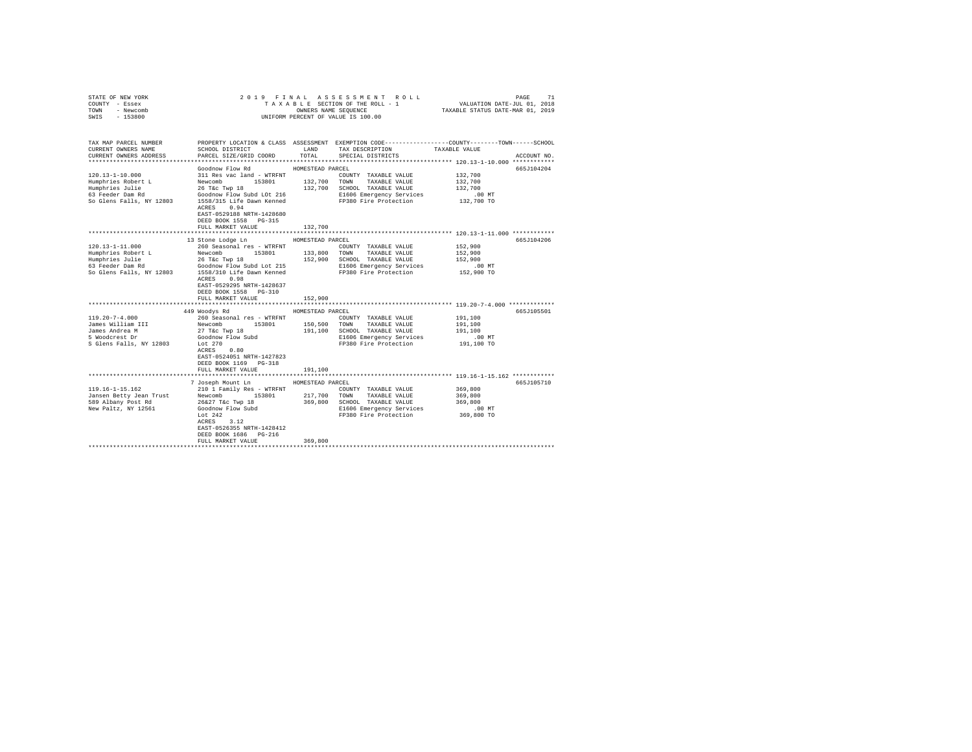| STATE OF NEW YORK          |                           |                  | 2019 FINAL ASSESSMENT ROLL                                                                            |                                                                 | 71<br>PAGE  |
|----------------------------|---------------------------|------------------|-------------------------------------------------------------------------------------------------------|-----------------------------------------------------------------|-------------|
| COUNTY - Essex             |                           |                  | TAXABLE SECTION OF THE ROLL - 1                                                                       | VALUATION DATE-JUL 01, 2018<br>TAXABLE STATUS DATE-MAR 01, 2019 |             |
| TOWN<br>- Newcomb          |                           |                  | OWNERS NAME SEQUENCE                                                                                  |                                                                 |             |
| $-153800$<br>SWIS          |                           |                  | UNIFORM PERCENT OF VALUE IS 100.00                                                                    |                                                                 |             |
|                            |                           |                  |                                                                                                       |                                                                 |             |
|                            |                           |                  |                                                                                                       |                                                                 |             |
| TAX MAP PARCEL NUMBER      |                           |                  | PROPERTY LOCATION & CLASS ASSESSMENT EXEMPTION CODE---------------COUNTY-------TOWN------SCHOOL       |                                                                 |             |
| CURRENT OWNERS NAME        | SCHOOL DISTRICT           | LAND             | TAX DESCRIPTION TAXABLE VALUE                                                                         |                                                                 |             |
| CURRENT OWNERS ADDRESS     | PARCEL SIZE/GRID COORD    | TOTAL            | SPECIAL DISTRICTS                                                                                     |                                                                 | ACCOUNT NO. |
|                            |                           |                  |                                                                                                       |                                                                 |             |
|                            | Goodnow Flow Rd           | HOMESTEAD PARCEL |                                                                                                       |                                                                 | 665J104204  |
| 120.13-1-10.000            | 311 Res vac land - WTRFNT |                  | COUNTY TAXABLE VALUE                                                                                  | 132,700                                                         |             |
| Humphries Robert L         | 153801                    | 132,700          | TOWN TAXABLE VALUE                                                                                    | 132,700                                                         |             |
| Humphries Julie            | Newcomb<br>26 T&c Twp 18  |                  | 132,700 SCHOOL TAXABLE VALUE                                                                          | 132,700                                                         |             |
| 63 Feeder Dam Rd           | Goodnow Flow Subd LOt 216 |                  | E1606 Emergency Services                                                                              | $.00$ MT                                                        |             |
| So Glens Falls, NY 12803   |                           |                  | 1558/315 Life Dawn Kenned PP380 Fire Protection                                                       | 132,700 TO                                                      |             |
|                            | ACRES 0.94                |                  |                                                                                                       |                                                                 |             |
|                            | EAST-0529188 NRTH-1428680 |                  |                                                                                                       |                                                                 |             |
|                            | DEED BOOK 1558 PG-315     |                  |                                                                                                       |                                                                 |             |
|                            | FULL MARKET VALUE         | 132,700          |                                                                                                       |                                                                 |             |
|                            |                           |                  |                                                                                                       |                                                                 |             |
|                            | 13 Stone Lodge Ln         | HOMESTEAD PARCEL |                                                                                                       |                                                                 | 665J104206  |
| $120.13 - 1 - 11.000$      | 260 Seasonal res - WTRFNT |                  | COUNTY TAXABLE VALUE                                                                                  | 152,900                                                         |             |
| Humphries Robert L         | Newcomb<br>153801         | 133,800          | TOWN TAXABLE VALUE                                                                                    | 152,900                                                         |             |
| Humphries Julie            | 26 T&C Twp 18             |                  | 152,900 SCHOOL TAXABLE VALUE                                                                          | 152,900                                                         |             |
| 63 Feeder Dam Rd           |                           |                  | Goodnow Flow Subd Lot 215 E1606 Emergency Services<br>1558/310 Life Dawn Kenned FP380 Fire Protection | $.00$ MT                                                        |             |
| So Glens Falls, NY 12803   |                           |                  |                                                                                                       | 152,900 TO                                                      |             |
|                            | ACRES 0.98                |                  |                                                                                                       |                                                                 |             |
|                            | EAST-0529295 NRTH-1428637 |                  |                                                                                                       |                                                                 |             |
|                            | DEED BOOK 1558 PG-310     |                  |                                                                                                       |                                                                 |             |
|                            | FULL MARKET VALUE         | 152,900          |                                                                                                       |                                                                 |             |
|                            |                           |                  |                                                                                                       |                                                                 |             |
|                            | 449 Woodys Rd             | HOMESTEAD PARCEL |                                                                                                       |                                                                 | 665J105501  |
| $119.20 - 7 - 4.000$       | 260 Seasonal res - WTRFNT |                  | COUNTY TAXABLE VALUE                                                                                  | 191,100                                                         |             |
| James William III          | 153801<br>Newcomb         |                  | 150,500 TOWN TAXABLE VALUE                                                                            | 191,100                                                         |             |
| James Andrea M             | 27 T&c Twp 18             |                  | 191.100 SCHOOL TAXABLE VALUE                                                                          | 191,100                                                         |             |
| 5 Woodcrest Dr             | Goodnow Flow Subd         |                  | E1606 Emergency Services                                                                              | $.00$ MT                                                        |             |
| S Glens Falls, NY 12803    | Lot $270$                 |                  | FP380 Fire Protection                                                                                 | 191,100 TO                                                      |             |
|                            | ACRES 0.80                |                  |                                                                                                       |                                                                 |             |
|                            | EAST-0524051 NRTH-1427823 |                  |                                                                                                       |                                                                 |             |
|                            | DEED BOOK 1169 PG-318     |                  |                                                                                                       |                                                                 |             |
|                            | FULL MARKET VALUE         | 191,100          |                                                                                                       |                                                                 |             |
| ************************** |                           |                  | *************************** 119.16-1-15.162 ************                                              |                                                                 |             |
|                            | 7 Joseph Mount Ln         | HOMESTEAD PARCEL |                                                                                                       |                                                                 | 665J105710  |
| $119.16 - 1 - 15.162$      | 210 1 Family Res - WTRFNT |                  | COUNTY TAXABLE VALUE                                                                                  | 369,800                                                         |             |
| Jansen Betty Jean Trust    | Newcomb<br>153801         | 217,700          | TOWN TAXABLE VALUE                                                                                    | 369,800                                                         |             |
| 589 Albany Post Rd         | 26&27 T&c Twp 18          |                  | 369,800 SCHOOL TAXABLE VALUE                                                                          | 369,800                                                         |             |
| New Paltz, NY 12561        | Goodnow Flow Subd         |                  | E1606 Emergency Services                                                                              | $.00$ MT                                                        |             |
|                            | Lot $242$                 |                  | FP380 Fire Protection                                                                                 | 369,800 TO                                                      |             |
|                            | ACRES 3.12                |                  |                                                                                                       |                                                                 |             |
|                            | EAST-0526355 NRTH-1428412 |                  |                                                                                                       |                                                                 |             |
|                            | DEED BOOK 1686 PG-216     |                  |                                                                                                       |                                                                 |             |
|                            | FULL MARKET VALUE         | 369,800          |                                                                                                       |                                                                 |             |
|                            |                           |                  |                                                                                                       |                                                                 |             |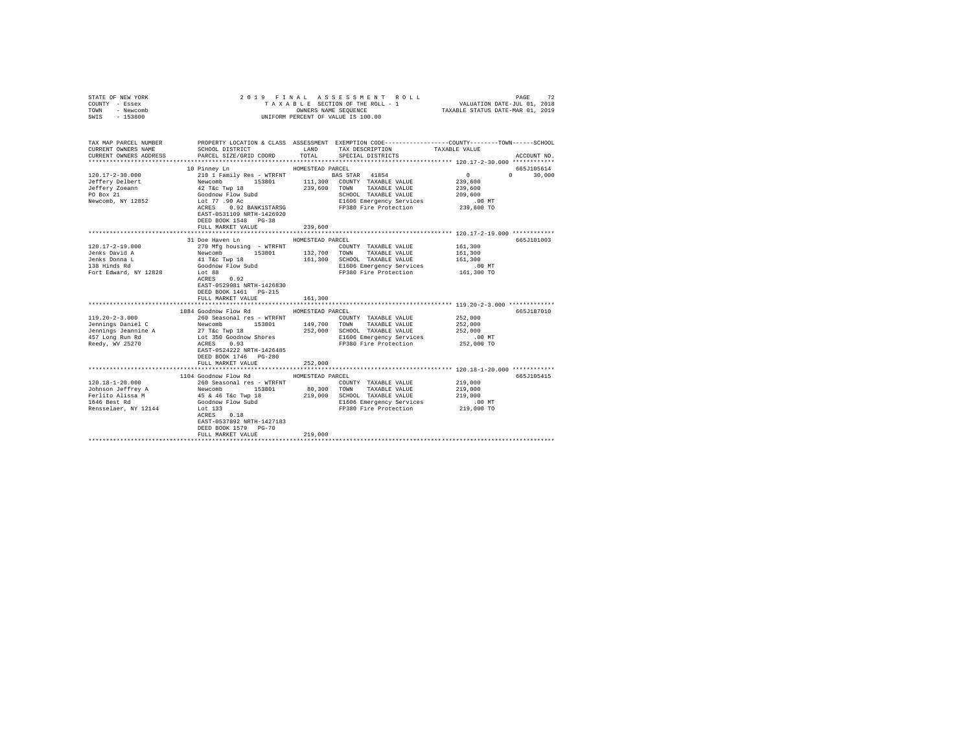| STATE OF NEW YORK                                                                                                                                                                                                                                                                                                                                                                                |                                                                                                                                                                                                                                                                                                                               |                  |                                                                                                 |               |               |
|--------------------------------------------------------------------------------------------------------------------------------------------------------------------------------------------------------------------------------------------------------------------------------------------------------------------------------------------------------------------------------------------------|-------------------------------------------------------------------------------------------------------------------------------------------------------------------------------------------------------------------------------------------------------------------------------------------------------------------------------|------------------|-------------------------------------------------------------------------------------------------|---------------|---------------|
| COUNTY - Essex                                                                                                                                                                                                                                                                                                                                                                                   |                                                                                                                                                                                                                                                                                                                               |                  |                                                                                                 |               |               |
| TOWN - Newcomb                                                                                                                                                                                                                                                                                                                                                                                   |                                                                                                                                                                                                                                                                                                                               |                  |                                                                                                 |               |               |
| SWIS - 153800                                                                                                                                                                                                                                                                                                                                                                                    |                                                                                                                                                                                                                                                                                                                               |                  | UNIFORM PERCENT OF VALUE IS 100.00                                                              |               |               |
|                                                                                                                                                                                                                                                                                                                                                                                                  |                                                                                                                                                                                                                                                                                                                               |                  |                                                                                                 |               |               |
|                                                                                                                                                                                                                                                                                                                                                                                                  |                                                                                                                                                                                                                                                                                                                               |                  |                                                                                                 |               |               |
| TAX MAP PARCEL NUMBER                                                                                                                                                                                                                                                                                                                                                                            |                                                                                                                                                                                                                                                                                                                               |                  | PROPERTY LOCATION & CLASS ASSESSMENT EXEMPTION CODE---------------COUNTY-------TOWN------SCHOOL |               |               |
| CURRENT OWNERS NAME                                                                                                                                                                                                                                                                                                                                                                              | SCHOOL DISTRICT                                                                                                                                                                                                                                                                                                               | LAND             | TAX DESCRIPTION                                                                                 | TAXABLE VALUE |               |
| CURRENT OWNERS ADDRESS                                                                                                                                                                                                                                                                                                                                                                           | PARCEL SIZE/GRID COORD                                                                                                                                                                                                                                                                                                        | TOTAL            | SPECIAL DISTRICTS                                                                               |               | ACCOUNT NO.   |
|                                                                                                                                                                                                                                                                                                                                                                                                  |                                                                                                                                                                                                                                                                                                                               |                  |                                                                                                 |               |               |
|                                                                                                                                                                                                                                                                                                                                                                                                  | 10 Pinney Ln                                                                                                                                                                                                                                                                                                                  | HOMESTEAD PARCEL |                                                                                                 |               | 665J105614    |
| $120.17 - 2 - 30.000$                                                                                                                                                                                                                                                                                                                                                                            | 210 1 Family Res - WTRFNT<br>210 1 Family Res - WTRFNT<br>229,600 TONNY TAXABLE VALUE<br>42 T&c Twp 18<br>239,600 TONN 7AXABLE VALUE<br>239,600 TONN 7AXABLE VALUE<br>239,600 TONN 7AXABLE VALUE<br>LOC 77 .90 AC ALUERTING FIELD E1606 Emer                                                                                  |                  |                                                                                                 | $\sim$ 0      | $0 \t 30,000$ |
| Jeffery Delbert                                                                                                                                                                                                                                                                                                                                                                                  |                                                                                                                                                                                                                                                                                                                               |                  |                                                                                                 | 239,600       |               |
| Jeffery Zoeann                                                                                                                                                                                                                                                                                                                                                                                   |                                                                                                                                                                                                                                                                                                                               |                  |                                                                                                 | 239,600       |               |
| PO Box 21                                                                                                                                                                                                                                                                                                                                                                                        |                                                                                                                                                                                                                                                                                                                               |                  |                                                                                                 |               |               |
| Newcomb, NY 12852                                                                                                                                                                                                                                                                                                                                                                                |                                                                                                                                                                                                                                                                                                                               |                  |                                                                                                 |               |               |
|                                                                                                                                                                                                                                                                                                                                                                                                  | ACRES 0.92 BANK1STARSG                                                                                                                                                                                                                                                                                                        |                  |                                                                                                 |               |               |
|                                                                                                                                                                                                                                                                                                                                                                                                  | EAST-0531109 NRTH-1426920                                                                                                                                                                                                                                                                                                     |                  |                                                                                                 |               |               |
|                                                                                                                                                                                                                                                                                                                                                                                                  | DEED BOOK 1548 PG-38                                                                                                                                                                                                                                                                                                          |                  | SCHOOL TAXABLE VALULE<br>EL606 Emergency Services 100 Min<br>FP380 Fire Protection 239,600 TO   |               |               |
|                                                                                                                                                                                                                                                                                                                                                                                                  | FULL MARKET VALUE                                                                                                                                                                                                                                                                                                             | 239,600          |                                                                                                 |               |               |
|                                                                                                                                                                                                                                                                                                                                                                                                  |                                                                                                                                                                                                                                                                                                                               |                  |                                                                                                 |               |               |
|                                                                                                                                                                                                                                                                                                                                                                                                  | 31 Doe Haven Ln                                                                                                                                                                                                                                                                                                               | HOMESTEAD PARCEL |                                                                                                 |               | 665J101003    |
| 120.17-2-19.000                                                                                                                                                                                                                                                                                                                                                                                  |                                                                                                                                                                                                                                                                                                                               |                  | COUNTY TAXABLE VALUE 161,300                                                                    |               |               |
| Jenks David A                                                                                                                                                                                                                                                                                                                                                                                    |                                                                                                                                                                                                                                                                                                                               |                  |                                                                                                 | 161,300       |               |
|                                                                                                                                                                                                                                                                                                                                                                                                  |                                                                                                                                                                                                                                                                                                                               |                  |                                                                                                 |               |               |
| Jenks Donna L<br>138 Hinds Rd                                                                                                                                                                                                                                                                                                                                                                    |                                                                                                                                                                                                                                                                                                                               |                  | 161,300 SCHOOL TAXABLE VALUE 161,300<br>E1606 Emergency Services .00 MT                         |               |               |
| Fort Edward, NY 12828                                                                                                                                                                                                                                                                                                                                                                            | 270 Mfg housing - WTRFNT $\begin{array}{l} \text{COUNTY} \end{array}$ TAXABLE VALUE Newcomb $\begin{array}{l} \text{COUNTY} \end{array}$ TAXABLE VALUE Newcomb $\begin{array}{l} \text{153801} \end{array}$ 132,700 TONN TAXABLE VALUE 41 T&C Twp 18 $\begin{array}{l} \text{161,300} \end{array}$ EC005 EMGOLD TAX<br>Lot 88 |                  | FP380 Fire Protection 161,300 TO                                                                |               |               |
|                                                                                                                                                                                                                                                                                                                                                                                                  | ACRES 0.92                                                                                                                                                                                                                                                                                                                    |                  |                                                                                                 |               |               |
|                                                                                                                                                                                                                                                                                                                                                                                                  | EAST-0529981 NRTH-1426830                                                                                                                                                                                                                                                                                                     |                  |                                                                                                 |               |               |
|                                                                                                                                                                                                                                                                                                                                                                                                  | DEED BOOK 1461    PG-215                                                                                                                                                                                                                                                                                                      |                  |                                                                                                 |               |               |
|                                                                                                                                                                                                                                                                                                                                                                                                  |                                                                                                                                                                                                                                                                                                                               | 161,300          |                                                                                                 |               |               |
|                                                                                                                                                                                                                                                                                                                                                                                                  | FULL MARKET VALUE                                                                                                                                                                                                                                                                                                             |                  |                                                                                                 |               |               |
|                                                                                                                                                                                                                                                                                                                                                                                                  | 1884 Goodnow Flow Rd                                                                                                                                                                                                                                                                                                          | HOMESTEAD PARCEL |                                                                                                 |               | 665J187010    |
| $119.20 - 2 - 3.000$                                                                                                                                                                                                                                                                                                                                                                             | 260 Seasonal res - WTRFNT                                                                                                                                                                                                                                                                                                     |                  | COUNTY TAXABLE VALUE                                                                            | 252,000       |               |
|                                                                                                                                                                                                                                                                                                                                                                                                  |                                                                                                                                                                                                                                                                                                                               |                  |                                                                                                 | 252,000       |               |
|                                                                                                                                                                                                                                                                                                                                                                                                  |                                                                                                                                                                                                                                                                                                                               |                  |                                                                                                 | 252,000       |               |
|                                                                                                                                                                                                                                                                                                                                                                                                  |                                                                                                                                                                                                                                                                                                                               |                  |                                                                                                 | $.00$ MT      |               |
|                                                                                                                                                                                                                                                                                                                                                                                                  |                                                                                                                                                                                                                                                                                                                               |                  | E1606 Emergency Services<br>FP380 Fire Protection                                               | 252,000 TO    |               |
| $\begin{tabular}{l c c c c c c c c} \multicolumn{1}{c}{\textbf{149, 700}} & \multicolumn{1}{c}{\textbf{149, 700}} & \multicolumn{1}{c}{\textbf{149, 700}} & \multicolumn{1}{c}{\textbf{149, 700}} & \multicolumn{1}{c}{\textbf{149, 700}} & \multicolumn{1}{c}{\textbf{149, 700}} & \multicolumn{1}{c}{\textbf{149, 700}} & \multicolumn{1}{c}{\textbf{149, 700}} & \multicolumn{1}{c}{\textbf{$ |                                                                                                                                                                                                                                                                                                                               |                  |                                                                                                 |               |               |
|                                                                                                                                                                                                                                                                                                                                                                                                  | DEED BOOK 1746 PG-280                                                                                                                                                                                                                                                                                                         |                  |                                                                                                 |               |               |
|                                                                                                                                                                                                                                                                                                                                                                                                  | FULL MARKET VALUE                                                                                                                                                                                                                                                                                                             | 252,000          |                                                                                                 |               |               |
|                                                                                                                                                                                                                                                                                                                                                                                                  |                                                                                                                                                                                                                                                                                                                               |                  |                                                                                                 |               |               |
|                                                                                                                                                                                                                                                                                                                                                                                                  | 1104 Goodnow Flow Rd MOMESTEAD PARCEL                                                                                                                                                                                                                                                                                         |                  |                                                                                                 |               | 665J105415    |
|                                                                                                                                                                                                                                                                                                                                                                                                  |                                                                                                                                                                                                                                                                                                                               |                  |                                                                                                 | 219,000       |               |
|                                                                                                                                                                                                                                                                                                                                                                                                  |                                                                                                                                                                                                                                                                                                                               |                  |                                                                                                 | 219,000       |               |
| 120.18-1-20.000<br>Tohnson Jeffrey A 260 Seasonal res – WTRFNT<br>TOMINS TO COUNTY TAXABLE VALUE<br>Terlito Alissa M 1584 (5 The Pape 18 219,000 SCHOOL TAXABLE VALUE<br>1646 Best Rd Goodnow Flow Subd 219,000 SCHOOL TAXABLE VALUE<br>                                                                                                                                                         |                                                                                                                                                                                                                                                                                                                               |                  |                                                                                                 | 219,000       |               |
|                                                                                                                                                                                                                                                                                                                                                                                                  |                                                                                                                                                                                                                                                                                                                               |                  |                                                                                                 |               |               |
|                                                                                                                                                                                                                                                                                                                                                                                                  |                                                                                                                                                                                                                                                                                                                               |                  | E1606 Emergency Services 30 00 MT<br>FP380 Fire Protection 219,000 TO                           |               |               |
|                                                                                                                                                                                                                                                                                                                                                                                                  |                                                                                                                                                                                                                                                                                                                               |                  |                                                                                                 |               |               |
|                                                                                                                                                                                                                                                                                                                                                                                                  | EAST-0537892 NRTH-1427183                                                                                                                                                                                                                                                                                                     |                  |                                                                                                 |               |               |
|                                                                                                                                                                                                                                                                                                                                                                                                  | DEED BOOK 1579 PG-70                                                                                                                                                                                                                                                                                                          |                  |                                                                                                 |               |               |
|                                                                                                                                                                                                                                                                                                                                                                                                  | FULL MARKET VALUE                                                                                                                                                                                                                                                                                                             | 219,000          |                                                                                                 |               |               |
|                                                                                                                                                                                                                                                                                                                                                                                                  |                                                                                                                                                                                                                                                                                                                               |                  |                                                                                                 |               |               |
|                                                                                                                                                                                                                                                                                                                                                                                                  |                                                                                                                                                                                                                                                                                                                               |                  |                                                                                                 |               |               |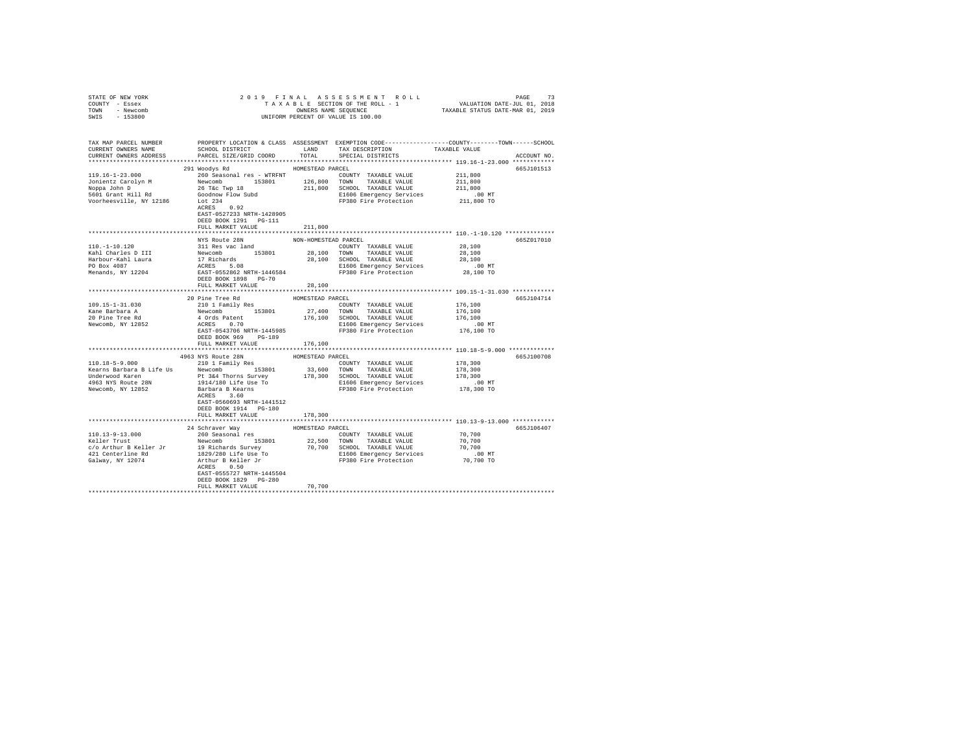| STATE OF NEW YORK                                                                                                                                                                                                                                                                                                                                                                                        |                           |                  |                                                                          |                               |             |
|----------------------------------------------------------------------------------------------------------------------------------------------------------------------------------------------------------------------------------------------------------------------------------------------------------------------------------------------------------------------------------------------------------|---------------------------|------------------|--------------------------------------------------------------------------|-------------------------------|-------------|
| COUNTY - Essex                                                                                                                                                                                                                                                                                                                                                                                           |                           |                  |                                                                          |                               |             |
| TOWN - Newcomb                                                                                                                                                                                                                                                                                                                                                                                           |                           |                  |                                                                          |                               |             |
| SWIS - 153800                                                                                                                                                                                                                                                                                                                                                                                            |                           |                  |                                                                          |                               |             |
|                                                                                                                                                                                                                                                                                                                                                                                                          |                           |                  |                                                                          |                               |             |
|                                                                                                                                                                                                                                                                                                                                                                                                          |                           |                  |                                                                          |                               |             |
| TAX MAP PARCEL NUMBER PROPERTY LOCATION & CLASS ASSESSMENT EXEMPTION CODE---------------COUNTY-------TOWN------SCHOOL<br>CURRENT OWNERS NAME SCHOOL DISTRICT LAND TAX DESCRIPTION TAXABLE VALUE                                                                                                                                                                                                          |                           |                  |                                                                          |                               |             |
|                                                                                                                                                                                                                                                                                                                                                                                                          |                           |                  |                                                                          |                               |             |
| CURRENT OWNERS ADDRESS PARCEL SIZE/GRID COORD TOTAL SPECIAL DISTRICTS                                                                                                                                                                                                                                                                                                                                    |                           |                  |                                                                          |                               | ACCOUNT NO. |
|                                                                                                                                                                                                                                                                                                                                                                                                          |                           |                  |                                                                          |                               |             |
|                                                                                                                                                                                                                                                                                                                                                                                                          | 291 Woodys Rd             | HOMESTEAD PARCEL |                                                                          |                               | 665J101513  |
|                                                                                                                                                                                                                                                                                                                                                                                                          |                           |                  |                                                                          | 211,800                       |             |
|                                                                                                                                                                                                                                                                                                                                                                                                          |                           |                  |                                                                          | 211,800                       |             |
|                                                                                                                                                                                                                                                                                                                                                                                                          |                           |                  |                                                                          | $211,800$<br>.00 MT           |             |
|                                                                                                                                                                                                                                                                                                                                                                                                          |                           |                  |                                                                          |                               |             |
|                                                                                                                                                                                                                                                                                                                                                                                                          |                           |                  | FP380 Fire Protection 211,800 TO                                         |                               |             |
|                                                                                                                                                                                                                                                                                                                                                                                                          |                           |                  |                                                                          |                               |             |
|                                                                                                                                                                                                                                                                                                                                                                                                          |                           |                  |                                                                          |                               |             |
|                                                                                                                                                                                                                                                                                                                                                                                                          | DEED BOOK 1291    PG-111  |                  |                                                                          |                               |             |
|                                                                                                                                                                                                                                                                                                                                                                                                          | FULL MARKET VALUE         | 211,800          |                                                                          |                               |             |
|                                                                                                                                                                                                                                                                                                                                                                                                          |                           |                  |                                                                          |                               |             |
|                                                                                                                                                                                                                                                                                                                                                                                                          |                           |                  |                                                                          |                               | 665Z017010  |
|                                                                                                                                                                                                                                                                                                                                                                                                          |                           |                  |                                                                          |                               |             |
|                                                                                                                                                                                                                                                                                                                                                                                                          |                           |                  |                                                                          |                               |             |
|                                                                                                                                                                                                                                                                                                                                                                                                          |                           |                  |                                                                          |                               |             |
|                                                                                                                                                                                                                                                                                                                                                                                                          |                           |                  |                                                                          |                               |             |
|                                                                                                                                                                                                                                                                                                                                                                                                          |                           |                  |                                                                          |                               |             |
|                                                                                                                                                                                                                                                                                                                                                                                                          |                           |                  |                                                                          |                               |             |
|                                                                                                                                                                                                                                                                                                                                                                                                          | FULL MARKET VALUE         | 28,100           |                                                                          |                               |             |
|                                                                                                                                                                                                                                                                                                                                                                                                          |                           |                  |                                                                          |                               |             |
|                                                                                                                                                                                                                                                                                                                                                                                                          | 20 Pine Tree Rd           | HOMESTEAD PARCEL |                                                                          |                               | 665J104714  |
| 109.15-1-31.030                                                                                                                                                                                                                                                                                                                                                                                          |                           |                  |                                                                          | 176,100<br>176,100<br>176,100 |             |
| 109.15-1-31.030<br>Kane Barbara A<br>20 Pine Tree Rd<br>Newcomb, NY 12852                                                                                                                                                                                                                                                                                                                                |                           |                  |                                                                          |                               |             |
|                                                                                                                                                                                                                                                                                                                                                                                                          |                           |                  |                                                                          |                               |             |
|                                                                                                                                                                                                                                                                                                                                                                                                          |                           |                  | E1606 Emergency Services                                                 | $.00$ MT                      |             |
|                                                                                                                                                                                                                                                                                                                                                                                                          | EAST-0543706 NRTH-1445985 |                  | FP380 Fire Protection 176,100 TO                                         |                               |             |
|                                                                                                                                                                                                                                                                                                                                                                                                          | DEED BOOK 969 PG-189      |                  |                                                                          |                               |             |
|                                                                                                                                                                                                                                                                                                                                                                                                          | FULL MARKET VALUE 176,100 |                  |                                                                          |                               |             |
|                                                                                                                                                                                                                                                                                                                                                                                                          |                           |                  |                                                                          |                               |             |
| $\begin{array}{cccc} \texttt{4963 NYS} \texttt{Route 28N} & \texttt{HOMESTBAD PARCEL} \\ \texttt{110.18-5-9.000} & \texttt{210 1 Family Res} & \texttt{COMISTBAD} \texttt{PARCEL} \\ \end{array} \vspace{-0.5em}$                                                                                                                                                                                        |                           |                  |                                                                          |                               | 665J100708  |
|                                                                                                                                                                                                                                                                                                                                                                                                          |                           |                  |                                                                          |                               |             |
|                                                                                                                                                                                                                                                                                                                                                                                                          |                           |                  |                                                                          | 178,300<br>178,300<br>178,300 |             |
|                                                                                                                                                                                                                                                                                                                                                                                                          |                           |                  |                                                                          |                               |             |
|                                                                                                                                                                                                                                                                                                                                                                                                          |                           |                  |                                                                          |                               |             |
| A CONSTRUCTED A SERVICE IS A SERVICE IN A SERVICE OF THE SERVICE OF THE SAMPLE VALUE TO A SERVICE THE SERVICE OF THE SAMPLE VALUE OF SAMPLE VALUE OF SAMPLE VALUE OF SAMPLE VALUE OF SAMPLE VALUE OF SAMPLE VALUE OF SAMPLE OF                                                                                                                                                                           |                           |                  | D MT E1606 Emergency Services .00 MT<br>FP380 Fire Protection 178,300 TO |                               |             |
|                                                                                                                                                                                                                                                                                                                                                                                                          |                           |                  |                                                                          |                               |             |
|                                                                                                                                                                                                                                                                                                                                                                                                          | EAST-0560693 NRTH-1441512 |                  |                                                                          |                               |             |
|                                                                                                                                                                                                                                                                                                                                                                                                          | DEED BOOK 1914 PG-180     |                  |                                                                          |                               |             |
|                                                                                                                                                                                                                                                                                                                                                                                                          | FULL MARKET VALUE         | 178,300          |                                                                          |                               |             |
|                                                                                                                                                                                                                                                                                                                                                                                                          |                           |                  |                                                                          |                               |             |
|                                                                                                                                                                                                                                                                                                                                                                                                          |                           |                  |                                                                          |                               | 665J106407  |
| $\begin{tabular}{l c c c c c} \multicolumn{3}{c c c} \multicolumn{3}{c c c} \multicolumn{3}{c c c} \multicolumn{3}{c c c} \multicolumn{3}{c c c} \multicolumn{3}{c c c} \multicolumn{3}{c c c} \multicolumn{3}{c c c} \multicolumn{3}{c c c} \multicolumn{3}{c c c} \multicolumn{3}{c c c} \multicolumn{3}{c c c} \multicolumn{3}{c c c} \multicolumn{3}{c c c} \multicolumn{3}{c c c} \multicolumn{3}{$ |                           |                  |                                                                          |                               |             |
|                                                                                                                                                                                                                                                                                                                                                                                                          |                           |                  |                                                                          |                               |             |
|                                                                                                                                                                                                                                                                                                                                                                                                          |                           |                  |                                                                          |                               |             |
|                                                                                                                                                                                                                                                                                                                                                                                                          |                           |                  |                                                                          |                               |             |
|                                                                                                                                                                                                                                                                                                                                                                                                          |                           |                  |                                                                          |                               |             |
|                                                                                                                                                                                                                                                                                                                                                                                                          | ACRES 0.50                |                  |                                                                          |                               |             |
|                                                                                                                                                                                                                                                                                                                                                                                                          | EAST-0555727 NRTH-1445504 |                  |                                                                          |                               |             |
|                                                                                                                                                                                                                                                                                                                                                                                                          | DEED BOOK 1829 PG-280     |                  |                                                                          |                               |             |
|                                                                                                                                                                                                                                                                                                                                                                                                          | FULL MARKET VALUE         | 70,700           |                                                                          |                               |             |
|                                                                                                                                                                                                                                                                                                                                                                                                          |                           |                  |                                                                          |                               |             |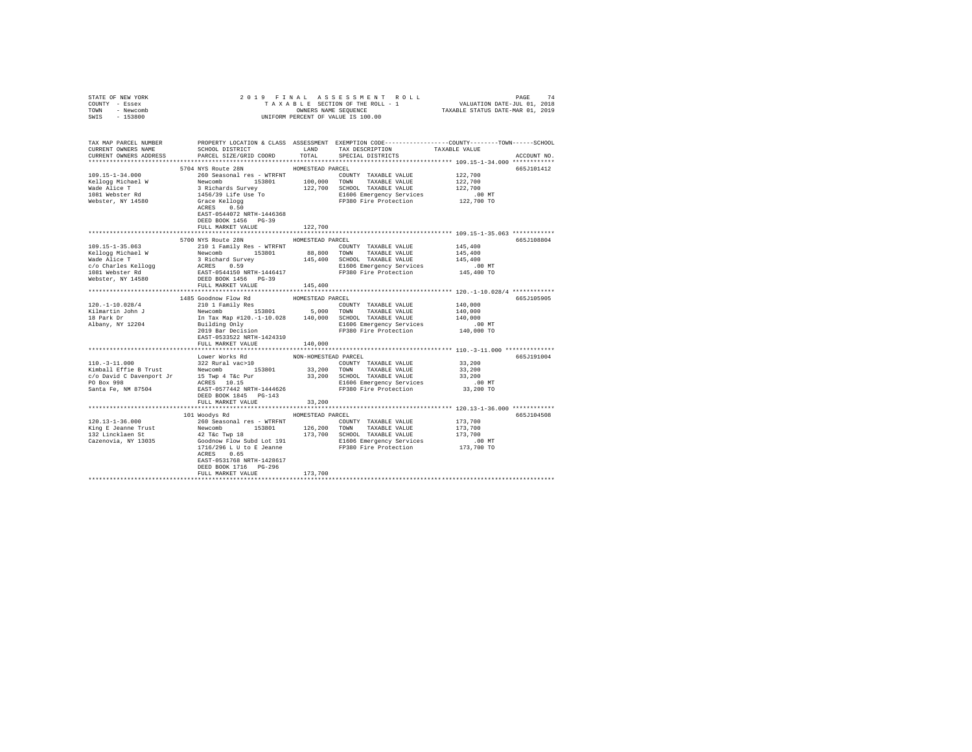| STATE OF NEW YORK                                    |                                                                                                                                                                                                                                                                                                                                                                                                                                            |                      |                                                                                                                                                                                             |                    |             |
|------------------------------------------------------|--------------------------------------------------------------------------------------------------------------------------------------------------------------------------------------------------------------------------------------------------------------------------------------------------------------------------------------------------------------------------------------------------------------------------------------------|----------------------|---------------------------------------------------------------------------------------------------------------------------------------------------------------------------------------------|--------------------|-------------|
| COUNTY - Essex                                       |                                                                                                                                                                                                                                                                                                                                                                                                                                            |                      |                                                                                                                                                                                             |                    |             |
| TOWN - Newcomb                                       |                                                                                                                                                                                                                                                                                                                                                                                                                                            |                      |                                                                                                                                                                                             |                    |             |
| SWIS - 153800                                        |                                                                                                                                                                                                                                                                                                                                                                                                                                            |                      |                                                                                                                                                                                             |                    |             |
|                                                      |                                                                                                                                                                                                                                                                                                                                                                                                                                            |                      |                                                                                                                                                                                             |                    |             |
|                                                      |                                                                                                                                                                                                                                                                                                                                                                                                                                            |                      |                                                                                                                                                                                             |                    |             |
|                                                      | TAX MAP PARCEL NUMBER PROPERTY LOCATION & CLASS ASSESSMENT EXEMPTION CODE--------------COUNTY-------TOWN------SCHOOL                                                                                                                                                                                                                                                                                                                       |                      |                                                                                                                                                                                             |                    |             |
| CURRENT OWNERS NAME                                  | SCHOOL DISTRICT LAND                                                                                                                                                                                                                                                                                                                                                                                                                       |                      | TAX DESCRIPTION TAXABLE VALUE                                                                                                                                                               |                    |             |
| CURRENT OWNERS ADDRESS                               | PARCEL SIZE/GRID COORD                                                                                                                                                                                                                                                                                                                                                                                                                     | TOTAL                | SPECIAL DISTRICTS                                                                                                                                                                           |                    | ACCOUNT NO. |
|                                                      |                                                                                                                                                                                                                                                                                                                                                                                                                                            |                      |                                                                                                                                                                                             |                    |             |
|                                                      | 5704 NYS Route 28N                                                                                                                                                                                                                                                                                                                                                                                                                         | HOMESTEAD PARCEL     |                                                                                                                                                                                             |                    | 665J101412  |
| $109.15 - 1 - 34.000$                                | 260 Seasonal res - WTRFNT                                                                                                                                                                                                                                                                                                                                                                                                                  |                      | COUNTY TAXABLE VALUE 122,700                                                                                                                                                                |                    |             |
| Kellogg Michael W<br>Wade Alice T                    |                                                                                                                                                                                                                                                                                                                                                                                                                                            |                      |                                                                                                                                                                                             | 122,700<br>122,700 |             |
|                                                      |                                                                                                                                                                                                                                                                                                                                                                                                                                            |                      |                                                                                                                                                                                             |                    |             |
| 1081 Webster Rd<br>Webster, NY 14580                 |                                                                                                                                                                                                                                                                                                                                                                                                                                            |                      | D MT E1606 Emergency Services 6.00 MT<br>FP380 Fire Protection 122,700 TO                                                                                                                   |                    |             |
|                                                      | Newcomb<br>Newcomb<br>19801 100,000 TOWN<br>122,700 SCHOOL TAXABLE VALUE<br>1456/39 Life Use To<br>122,700 SCHOOL TAXABLE VALUE<br>Crace Kellogs<br>FP380 Fire Protection<br>RCRES 0.50 FP380 Fire Protection                                                                                                                                                                                                                              |                      |                                                                                                                                                                                             |                    |             |
|                                                      | EAST-0544072 NRTH-1446368                                                                                                                                                                                                                                                                                                                                                                                                                  |                      |                                                                                                                                                                                             |                    |             |
|                                                      | DEED BOOK 1456 PG-39                                                                                                                                                                                                                                                                                                                                                                                                                       |                      |                                                                                                                                                                                             |                    |             |
|                                                      | FULL MARKET VALUE                                                                                                                                                                                                                                                                                                                                                                                                                          | 122,700              |                                                                                                                                                                                             |                    |             |
|                                                      |                                                                                                                                                                                                                                                                                                                                                                                                                                            |                      |                                                                                                                                                                                             |                    |             |
|                                                      | 5700 NYS Route 28N                                                                                                                                                                                                                                                                                                                                                                                                                         | HOMESTEAD PARCEL     |                                                                                                                                                                                             |                    | 665J108804  |
| 109.15-1-35.063<br>Kellogg Michael W<br>Wade Alice T | 210 1 Family Res - WTRFNT                                                                                                                                                                                                                                                                                                                                                                                                                  |                      | COUNTY TAXABLE VALUE                                                                                                                                                                        | 145,400            |             |
|                                                      |                                                                                                                                                                                                                                                                                                                                                                                                                                            |                      |                                                                                                                                                                                             |                    |             |
|                                                      |                                                                                                                                                                                                                                                                                                                                                                                                                                            |                      |                                                                                                                                                                                             |                    |             |
|                                                      | $\begin{tabular}{l c c c c c} \multicolumn{1}{c}{\textbf{K} = 10099} & \multicolumn{1}{c}{\textbf{K} = 10099} & \multicolumn{1}{c}{\textbf{K} = 10099} & \multicolumn{1}{c}{\textbf{K} = 10099} & \multicolumn{1}{c}{\textbf{K} = 10099} & \multicolumn{1}{c}{\textbf{K} = 10099} & \multicolumn{1}{c}{\textbf{K} = 10099} & \multicolumn{1}{c}{\textbf{K} = 10099} & \multicolumn{1}{c}{\$                                                |                      |                                                                                                                                                                                             |                    |             |
|                                                      |                                                                                                                                                                                                                                                                                                                                                                                                                                            |                      |                                                                                                                                                                                             |                    |             |
|                                                      |                                                                                                                                                                                                                                                                                                                                                                                                                                            |                      |                                                                                                                                                                                             |                    |             |
|                                                      |                                                                                                                                                                                                                                                                                                                                                                                                                                            |                      |                                                                                                                                                                                             |                    |             |
|                                                      |                                                                                                                                                                                                                                                                                                                                                                                                                                            |                      |                                                                                                                                                                                             |                    |             |
|                                                      |                                                                                                                                                                                                                                                                                                                                                                                                                                            |                      |                                                                                                                                                                                             |                    | 665J105905  |
|                                                      |                                                                                                                                                                                                                                                                                                                                                                                                                                            |                      | $\begin{tabular}{lllllll} \multicolumn{2}{l}{{\text{COUNTY}}} & \multicolumn{2}{l}{\text{TAXABLE}} & \multicolumn{2}{l}{\text{VALUE}} & & \multicolumn{2}{l}{\text{140,000}} \end{tabular}$ |                    |             |
|                                                      |                                                                                                                                                                                                                                                                                                                                                                                                                                            |                      |                                                                                                                                                                                             | 140,000            |             |
|                                                      |                                                                                                                                                                                                                                                                                                                                                                                                                                            |                      |                                                                                                                                                                                             | 140,000            |             |
|                                                      |                                                                                                                                                                                                                                                                                                                                                                                                                                            |                      |                                                                                                                                                                                             | .00 MT             |             |
|                                                      |                                                                                                                                                                                                                                                                                                                                                                                                                                            |                      |                                                                                                                                                                                             | 140,000 TO         |             |
|                                                      | EAST-0533522 NRTH-1424310                                                                                                                                                                                                                                                                                                                                                                                                                  |                      |                                                                                                                                                                                             |                    |             |
|                                                      | FULL MARKET VALUE                                                                                                                                                                                                                                                                                                                                                                                                                          | 140,000              |                                                                                                                                                                                             |                    |             |
|                                                      |                                                                                                                                                                                                                                                                                                                                                                                                                                            |                      |                                                                                                                                                                                             |                    |             |
|                                                      | Lower Works Rd                                                                                                                                                                                                                                                                                                                                                                                                                             | NON-HOMESTEAD PARCEL |                                                                                                                                                                                             |                    | 665J191004  |
| $110, -3 - 11, 000$                                  |                                                                                                                                                                                                                                                                                                                                                                                                                                            |                      |                                                                                                                                                                                             | 33,200             |             |
|                                                      |                                                                                                                                                                                                                                                                                                                                                                                                                                            |                      |                                                                                                                                                                                             |                    |             |
|                                                      | $\begin{tabular}{lcccc} $\texttt{x} & \texttt{x} & \texttt{x} & \texttt{x} & \texttt{x} & \texttt{C} & \texttt{C} & \texttt{C} & \texttt{C} & \texttt{C} & \texttt{C} & \texttt{D} & \texttt{D} & \texttt{D} & \texttt{D} & \texttt{D} & \texttt{D} & \texttt{D} & \texttt{D} & \texttt{D} & \texttt{D} & \texttt{D} & \texttt{D} & \texttt{D} & \texttt{D} & \texttt{D} & \texttt{D} & \texttt{D} & \texttt{D} & \texttt{D} & \texttt{D}$ |                      |                                                                                                                                                                                             |                    |             |
|                                                      |                                                                                                                                                                                                                                                                                                                                                                                                                                            |                      |                                                                                                                                                                                             |                    |             |
|                                                      |                                                                                                                                                                                                                                                                                                                                                                                                                                            |                      |                                                                                                                                                                                             |                    |             |
|                                                      |                                                                                                                                                                                                                                                                                                                                                                                                                                            |                      |                                                                                                                                                                                             |                    |             |
|                                                      | FULL MARKET VALUE                                                                                                                                                                                                                                                                                                                                                                                                                          | 33,200               |                                                                                                                                                                                             |                    |             |
|                                                      |                                                                                                                                                                                                                                                                                                                                                                                                                                            |                      |                                                                                                                                                                                             |                    |             |
|                                                      | 101 Woodys Rd MOMESTEAD PARCEL                                                                                                                                                                                                                                                                                                                                                                                                             |                      |                                                                                                                                                                                             |                    | 665J104508  |
|                                                      |                                                                                                                                                                                                                                                                                                                                                                                                                                            |                      |                                                                                                                                                                                             |                    |             |
|                                                      |                                                                                                                                                                                                                                                                                                                                                                                                                                            |                      |                                                                                                                                                                                             |                    |             |
|                                                      |                                                                                                                                                                                                                                                                                                                                                                                                                                            |                      |                                                                                                                                                                                             |                    |             |
|                                                      |                                                                                                                                                                                                                                                                                                                                                                                                                                            |                      |                                                                                                                                                                                             |                    |             |
|                                                      | ACRES 0.65                                                                                                                                                                                                                                                                                                                                                                                                                                 |                      |                                                                                                                                                                                             |                    |             |
|                                                      | EAST-0531768 NRTH-1428617                                                                                                                                                                                                                                                                                                                                                                                                                  |                      |                                                                                                                                                                                             |                    |             |
|                                                      | DEED BOOK 1716 PG-296                                                                                                                                                                                                                                                                                                                                                                                                                      |                      |                                                                                                                                                                                             |                    |             |
|                                                      | FULL MARKET VALUE                                                                                                                                                                                                                                                                                                                                                                                                                          | 173,700              |                                                                                                                                                                                             |                    |             |
|                                                      |                                                                                                                                                                                                                                                                                                                                                                                                                                            |                      |                                                                                                                                                                                             |                    |             |
|                                                      |                                                                                                                                                                                                                                                                                                                                                                                                                                            |                      |                                                                                                                                                                                             |                    |             |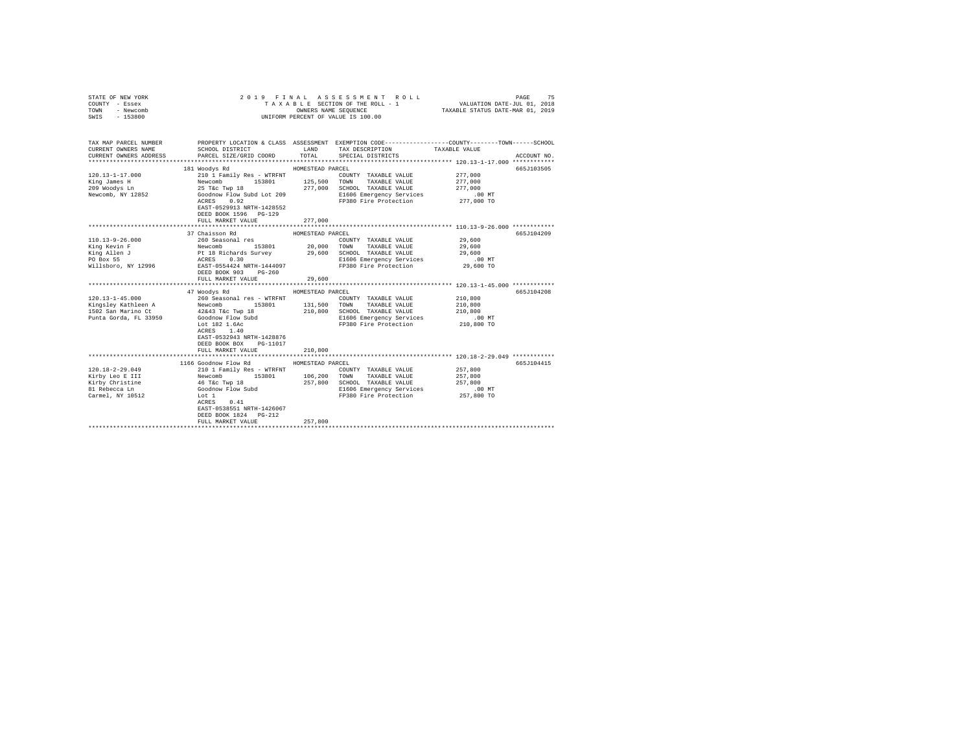| STATE OF NEW YORK<br>COUNTY - Essex<br>TOWN<br>- Newcomb<br>SWIS - 153800 | 2019 FINAL ASSESSMENT ROLL<br>TAXABLE SECTION OF THE ROLL - 1<br>UNIFORM PERCENT OF VALUE IS 100.00                 | VALUATION DATE-JUL 01, 2018<br>TAXABLE STATUS DATE-MAR 01, 2019 | 75<br>PAGE                                                  |                        |             |
|---------------------------------------------------------------------------|---------------------------------------------------------------------------------------------------------------------|-----------------------------------------------------------------|-------------------------------------------------------------|------------------------|-------------|
| TAX MAP PARCEL NUMBER<br>CURRENT OWNERS NAME                              | PROPERTY LOCATION & CLASS ASSESSMENT EXEMPTION CODE----------------COUNTY--------TOWN-----SCHOOL<br>SCHOOL DISTRICT | LAND                                                            | TAX DESCRIPTION                                             | TAXABLE VALUE          |             |
| CURRENT OWNERS ADDRESS                                                    | PARCEL SIZE/GRID COORD                                                                                              | TOTAL                                                           | SPECIAL DISTRICTS                                           |                        | ACCOUNT NO. |
|                                                                           |                                                                                                                     |                                                                 |                                                             |                        |             |
|                                                                           | 181 Woodys Rd                                                                                                       | HOMESTEAD PARCEL                                                |                                                             |                        | 665J103505  |
| $120.13 - 1 - 17.000$                                                     | 210 1 Family Res - WTRFNT                                                                                           |                                                                 | COUNTY TAXABLE VALUE                                        | 277,000                |             |
| King James H                                                              | Newcomb 153801 125,500<br>25 T&c Twp 18 277,000                                                                     |                                                                 | TOWN TAXABLE VALUE                                          | 277,000                |             |
| 209 Woodys Ln                                                             |                                                                                                                     |                                                                 | 277,000 SCHOOL TAXABLE VALUE                                | 277,000                |             |
| Newcomb, NY 12852                                                         | Goodnow Flow Subd Lot 209<br>ACRES 0.92                                                                             |                                                                 | E1606 Emergency Services<br>FP380 Fire Protection           | $.00$ MT<br>277,000 TO |             |
|                                                                           | EAST-0529913 NRTH-1428552<br>DEED BOOK 1596 PG-129                                                                  |                                                                 |                                                             |                        |             |
|                                                                           | FULL MARKET VALUE                                                                                                   | 277,000                                                         |                                                             |                        |             |
|                                                                           |                                                                                                                     |                                                                 |                                                             |                        |             |
|                                                                           | 37 Chaisson Rd                                                                                                      |                                                                 |                                                             |                        | 665J104209  |
| 110.13-9-26.000                                                           |                                                                                                                     |                                                                 |                                                             | 29,600                 |             |
| King Kevin F                                                              |                                                                                                                     |                                                                 |                                                             | 29,600                 |             |
| King Allen J                                                              |                                                                                                                     |                                                                 |                                                             | 29,600                 |             |
| PO Box 55                                                                 |                                                                                                                     |                                                                 |                                                             | $.00$ MT               |             |
| Willsboro, NY 12996                                                       | ACRES 0.30<br>EAST-0554424 NRTH-1444097<br>DEED BOOK 903 PG-260                                                     |                                                                 | FP380 Fire Protection                                       | 29,600 TO              |             |
|                                                                           | FULL MARKET VALUE                                                                                                   | 29,600                                                          |                                                             |                        |             |
|                                                                           |                                                                                                                     |                                                                 |                                                             |                        |             |
|                                                                           | 47 Woodys Rd                                                                                                        | HOMESTEAD PARCEL                                                |                                                             |                        | 665J104208  |
| $120.13 - 1 - 45.000$                                                     |                                                                                                                     |                                                                 |                                                             | 210,800                |             |
| Kingsley Kathleen A<br>1502 San Marino Ct                                 | 42&43 T&c Twp 18                                                                                                    | 210,800                                                         |                                                             | 210,800<br>210,800     |             |
| Punta Gorda, FL 33950                                                     | Goodnow Flow Subd                                                                                                   |                                                                 | SCHOOL TAXABLE VALUE<br>E1606 Emergency Services            | $.00$ MT               |             |
|                                                                           | Lot 182 1.6Ac                                                                                                       |                                                                 | FP380 Fire Protection                                       | 210,800 TO             |             |
|                                                                           | ACRES 1.40                                                                                                          |                                                                 |                                                             |                        |             |
|                                                                           | EAST-0532943 NRTH-1428876                                                                                           |                                                                 |                                                             |                        |             |
|                                                                           | DEED BOOK BOX PG-11017                                                                                              |                                                                 |                                                             |                        |             |
|                                                                           | FULL MARKET VALUE                                                                                                   | 210,800                                                         |                                                             |                        |             |
|                                                                           |                                                                                                                     |                                                                 | ****************************** 120.18-2-29.049 ************ |                        |             |
|                                                                           | 1166 Goodnow Flow Rd                                                                                                | HOMESTEAD PARCEL                                                |                                                             |                        | 665J104415  |
| 120.18-2-29.049                                                           | 210 1 Family Res - WTRFNT                                                                                           |                                                                 | COUNTY TAXABLE VALUE                                        | 257,800                |             |
| Kirby Leo E III                                                           | Newcomb 153801 106,200 TOWN TAXABLE VALUE                                                                           |                                                                 |                                                             | 257,800                |             |
| Kirby Christine                                                           | 46 T&C Twp 18<br>Goodnow Flow Subd                                                                                  | 257,800                                                         | SCHOOL TAXABLE VALUE                                        | 257,800                |             |
| 81 Rebecca Ln                                                             |                                                                                                                     |                                                                 | E1606 Emergency Services                                    | .00 MT                 |             |
| Carmel, NY 10512                                                          | Lot 1                                                                                                               |                                                                 | FP380 Fire Protection                                       | 257,800 TO             |             |
|                                                                           | ACRES 0.41                                                                                                          |                                                                 |                                                             |                        |             |
|                                                                           | EAST-0538551 NRTH-1426067                                                                                           |                                                                 |                                                             |                        |             |
|                                                                           | DEED BOOK 1824 PG-212                                                                                               |                                                                 |                                                             |                        |             |
|                                                                           | FULL MARKET VALUE<br>*******************************                                                                | 257,800                                                         |                                                             |                        |             |
|                                                                           |                                                                                                                     |                                                                 |                                                             |                        |             |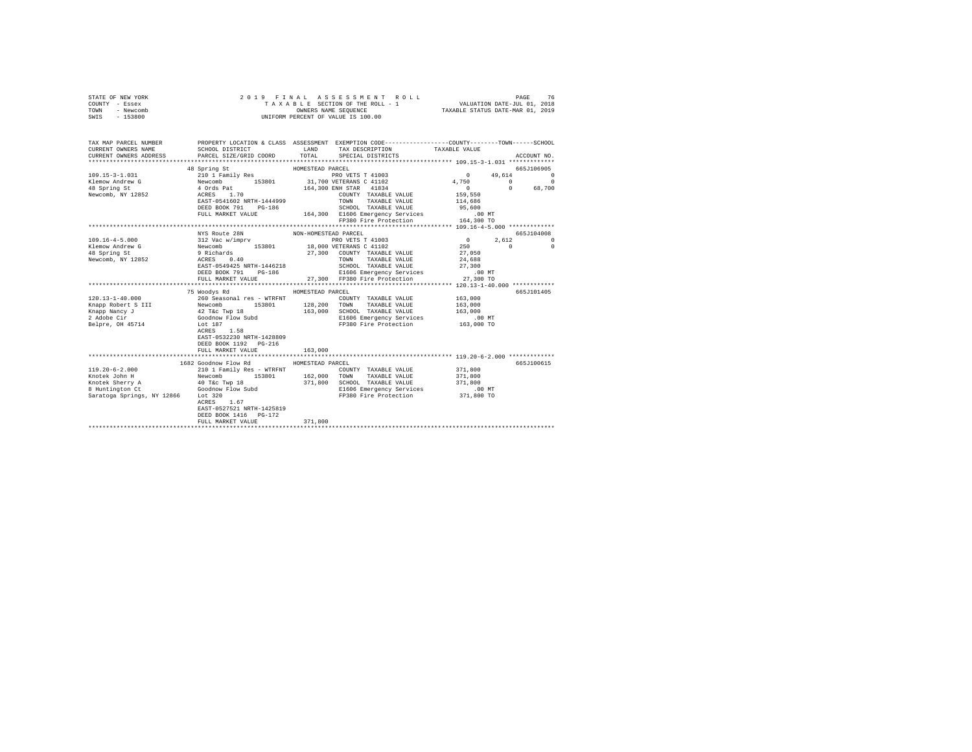| TAX MAP PARCEL NUMBER PROPERTY LOCATION & CLASS ASSESSMENT EXEMPTION CODE--------------COUNTY-------TOWN------SCHOOL<br>TAXABLE VALUE<br>CURRENT OWNERS NAME<br>SCHOOL DISTRICT<br>LAND TAX DESCRIPTION<br>CURRENT OWNERS ADDRESS<br>TOTAL SPECIAL DISTRICTS<br>PARCEL SIZE/GRID COORD<br>ACCOUNT NO.<br>$\begin{array}{c} 0 \\ 159,550 \\ 114,686 \end{array}$<br>EAST-0541602 NRTH-1444999<br>TOWN TAXABLE VALUE<br>DEED BOOK 791 PG-186<br>FULL MARKET VALUE 164,300 E1606 Emergency Services 00 MT<br>FP380 Fire Protection 164,300 TO<br>NYS Route 28N<br>665J104008<br>$109.16 - 4 - 5.000$<br>2,612<br>$\Omega$<br>$\sim$ 0<br>Klemow Andrew G<br>48 Spring St<br>Newcomb, NY 12852<br>$\Omega$<br>$\begin{tabular}{lllllllllllll} \texttt{ACRES} & 0.40 & \texttt{TOWM} & \texttt{TAXABLE VALUE} & 24,688 \\ \texttt{EAST}-0549425 NRTH-1446218 & \texttt{SCHODL} & \texttt{TAXABLE VALUE} & 27,300 \\ \texttt{DEED BOK} & \texttt{POI} & \texttt{PC-186} & \texttt{E1606 Emergency Services} & 0.0 M \\ \texttt{PEUL MARKET VALUE} & 27,300 & \texttt{FP380 Fire Protection} & 27,300 T \\ \end{tabular}$<br>HOMESTEAD PARCEL<br>75 Woodys Rd<br>665J101405<br>120.13-1-40.000<br>163,000<br>COUNTY TAXABLE VALUE<br>Knapp Robert S III<br>Knapp Nancy J<br>2 Adobe Cir<br>163,000<br>163,000 SCHOOL TAXABLE VALUE<br>E1606 Emergency Services<br>FP380 Fire Protection<br>163,000<br>.00 MT<br>FP380 Fire Protection 163,000 TO<br>Belpre, OH 45714<br>Lot 187<br>ACRES 1.58<br>EAST-0532230 NRTH-1428809<br>DEED BOOK 1192 PG-216<br>163,000<br>FULL MARKET VALUE<br>1682 Goodnow Flow Rd MOMESTEAD PARCEL<br>665J100615<br>210 1 Family Res - WTRFNT<br>$119.20 - 6 - 2.000$<br>COUNTY TAXABLE VALUE | STATE OF NEW YORK<br>COUNTY - Essex<br>TOWN<br>- Newcomb<br>SWIS - 153800 | 2019 FINAL ASSESSMENT ROLL<br>UNIFORM PERCENT OF VALUE IS 100.00 |  | PAGE<br>76<br>TAXABLE SECTION OF THE ROLL - 1 VALUATION DATE-JUL 01, 2018 |  |
|------------------------------------------------------------------------------------------------------------------------------------------------------------------------------------------------------------------------------------------------------------------------------------------------------------------------------------------------------------------------------------------------------------------------------------------------------------------------------------------------------------------------------------------------------------------------------------------------------------------------------------------------------------------------------------------------------------------------------------------------------------------------------------------------------------------------------------------------------------------------------------------------------------------------------------------------------------------------------------------------------------------------------------------------------------------------------------------------------------------------------------------------------------------------------------------------------------------------------------------------------------------------------------------------------------------------------------------------------------------------------------------------------------------------------------------------------------------------------------------------------------------------------------------------------------------------------------------------------------------------------------------------------------------------------------------------------------------|---------------------------------------------------------------------------|------------------------------------------------------------------|--|---------------------------------------------------------------------------|--|
|                                                                                                                                                                                                                                                                                                                                                                                                                                                                                                                                                                                                                                                                                                                                                                                                                                                                                                                                                                                                                                                                                                                                                                                                                                                                                                                                                                                                                                                                                                                                                                                                                                                                                                                  |                                                                           |                                                                  |  |                                                                           |  |
|                                                                                                                                                                                                                                                                                                                                                                                                                                                                                                                                                                                                                                                                                                                                                                                                                                                                                                                                                                                                                                                                                                                                                                                                                                                                                                                                                                                                                                                                                                                                                                                                                                                                                                                  |                                                                           |                                                                  |  |                                                                           |  |
|                                                                                                                                                                                                                                                                                                                                                                                                                                                                                                                                                                                                                                                                                                                                                                                                                                                                                                                                                                                                                                                                                                                                                                                                                                                                                                                                                                                                                                                                                                                                                                                                                                                                                                                  |                                                                           |                                                                  |  |                                                                           |  |
|                                                                                                                                                                                                                                                                                                                                                                                                                                                                                                                                                                                                                                                                                                                                                                                                                                                                                                                                                                                                                                                                                                                                                                                                                                                                                                                                                                                                                                                                                                                                                                                                                                                                                                                  |                                                                           |                                                                  |  |                                                                           |  |
|                                                                                                                                                                                                                                                                                                                                                                                                                                                                                                                                                                                                                                                                                                                                                                                                                                                                                                                                                                                                                                                                                                                                                                                                                                                                                                                                                                                                                                                                                                                                                                                                                                                                                                                  |                                                                           |                                                                  |  |                                                                           |  |
|                                                                                                                                                                                                                                                                                                                                                                                                                                                                                                                                                                                                                                                                                                                                                                                                                                                                                                                                                                                                                                                                                                                                                                                                                                                                                                                                                                                                                                                                                                                                                                                                                                                                                                                  |                                                                           |                                                                  |  |                                                                           |  |
|                                                                                                                                                                                                                                                                                                                                                                                                                                                                                                                                                                                                                                                                                                                                                                                                                                                                                                                                                                                                                                                                                                                                                                                                                                                                                                                                                                                                                                                                                                                                                                                                                                                                                                                  |                                                                           |                                                                  |  |                                                                           |  |
|                                                                                                                                                                                                                                                                                                                                                                                                                                                                                                                                                                                                                                                                                                                                                                                                                                                                                                                                                                                                                                                                                                                                                                                                                                                                                                                                                                                                                                                                                                                                                                                                                                                                                                                  |                                                                           |                                                                  |  |                                                                           |  |
|                                                                                                                                                                                                                                                                                                                                                                                                                                                                                                                                                                                                                                                                                                                                                                                                                                                                                                                                                                                                                                                                                                                                                                                                                                                                                                                                                                                                                                                                                                                                                                                                                                                                                                                  |                                                                           |                                                                  |  |                                                                           |  |
|                                                                                                                                                                                                                                                                                                                                                                                                                                                                                                                                                                                                                                                                                                                                                                                                                                                                                                                                                                                                                                                                                                                                                                                                                                                                                                                                                                                                                                                                                                                                                                                                                                                                                                                  |                                                                           |                                                                  |  |                                                                           |  |
|                                                                                                                                                                                                                                                                                                                                                                                                                                                                                                                                                                                                                                                                                                                                                                                                                                                                                                                                                                                                                                                                                                                                                                                                                                                                                                                                                                                                                                                                                                                                                                                                                                                                                                                  |                                                                           |                                                                  |  |                                                                           |  |
|                                                                                                                                                                                                                                                                                                                                                                                                                                                                                                                                                                                                                                                                                                                                                                                                                                                                                                                                                                                                                                                                                                                                                                                                                                                                                                                                                                                                                                                                                                                                                                                                                                                                                                                  |                                                                           |                                                                  |  |                                                                           |  |
|                                                                                                                                                                                                                                                                                                                                                                                                                                                                                                                                                                                                                                                                                                                                                                                                                                                                                                                                                                                                                                                                                                                                                                                                                                                                                                                                                                                                                                                                                                                                                                                                                                                                                                                  |                                                                           |                                                                  |  |                                                                           |  |
|                                                                                                                                                                                                                                                                                                                                                                                                                                                                                                                                                                                                                                                                                                                                                                                                                                                                                                                                                                                                                                                                                                                                                                                                                                                                                                                                                                                                                                                                                                                                                                                                                                                                                                                  |                                                                           |                                                                  |  |                                                                           |  |
|                                                                                                                                                                                                                                                                                                                                                                                                                                                                                                                                                                                                                                                                                                                                                                                                                                                                                                                                                                                                                                                                                                                                                                                                                                                                                                                                                                                                                                                                                                                                                                                                                                                                                                                  |                                                                           |                                                                  |  |                                                                           |  |
|                                                                                                                                                                                                                                                                                                                                                                                                                                                                                                                                                                                                                                                                                                                                                                                                                                                                                                                                                                                                                                                                                                                                                                                                                                                                                                                                                                                                                                                                                                                                                                                                                                                                                                                  |                                                                           |                                                                  |  |                                                                           |  |
|                                                                                                                                                                                                                                                                                                                                                                                                                                                                                                                                                                                                                                                                                                                                                                                                                                                                                                                                                                                                                                                                                                                                                                                                                                                                                                                                                                                                                                                                                                                                                                                                                                                                                                                  |                                                                           |                                                                  |  |                                                                           |  |
|                                                                                                                                                                                                                                                                                                                                                                                                                                                                                                                                                                                                                                                                                                                                                                                                                                                                                                                                                                                                                                                                                                                                                                                                                                                                                                                                                                                                                                                                                                                                                                                                                                                                                                                  |                                                                           |                                                                  |  |                                                                           |  |
|                                                                                                                                                                                                                                                                                                                                                                                                                                                                                                                                                                                                                                                                                                                                                                                                                                                                                                                                                                                                                                                                                                                                                                                                                                                                                                                                                                                                                                                                                                                                                                                                                                                                                                                  |                                                                           |                                                                  |  |                                                                           |  |
|                                                                                                                                                                                                                                                                                                                                                                                                                                                                                                                                                                                                                                                                                                                                                                                                                                                                                                                                                                                                                                                                                                                                                                                                                                                                                                                                                                                                                                                                                                                                                                                                                                                                                                                  |                                                                           |                                                                  |  |                                                                           |  |
|                                                                                                                                                                                                                                                                                                                                                                                                                                                                                                                                                                                                                                                                                                                                                                                                                                                                                                                                                                                                                                                                                                                                                                                                                                                                                                                                                                                                                                                                                                                                                                                                                                                                                                                  |                                                                           |                                                                  |  |                                                                           |  |
|                                                                                                                                                                                                                                                                                                                                                                                                                                                                                                                                                                                                                                                                                                                                                                                                                                                                                                                                                                                                                                                                                                                                                                                                                                                                                                                                                                                                                                                                                                                                                                                                                                                                                                                  |                                                                           |                                                                  |  |                                                                           |  |
|                                                                                                                                                                                                                                                                                                                                                                                                                                                                                                                                                                                                                                                                                                                                                                                                                                                                                                                                                                                                                                                                                                                                                                                                                                                                                                                                                                                                                                                                                                                                                                                                                                                                                                                  |                                                                           |                                                                  |  |                                                                           |  |
|                                                                                                                                                                                                                                                                                                                                                                                                                                                                                                                                                                                                                                                                                                                                                                                                                                                                                                                                                                                                                                                                                                                                                                                                                                                                                                                                                                                                                                                                                                                                                                                                                                                                                                                  |                                                                           |                                                                  |  |                                                                           |  |
|                                                                                                                                                                                                                                                                                                                                                                                                                                                                                                                                                                                                                                                                                                                                                                                                                                                                                                                                                                                                                                                                                                                                                                                                                                                                                                                                                                                                                                                                                                                                                                                                                                                                                                                  |                                                                           |                                                                  |  |                                                                           |  |
|                                                                                                                                                                                                                                                                                                                                                                                                                                                                                                                                                                                                                                                                                                                                                                                                                                                                                                                                                                                                                                                                                                                                                                                                                                                                                                                                                                                                                                                                                                                                                                                                                                                                                                                  |                                                                           |                                                                  |  |                                                                           |  |
|                                                                                                                                                                                                                                                                                                                                                                                                                                                                                                                                                                                                                                                                                                                                                                                                                                                                                                                                                                                                                                                                                                                                                                                                                                                                                                                                                                                                                                                                                                                                                                                                                                                                                                                  |                                                                           |                                                                  |  |                                                                           |  |
|                                                                                                                                                                                                                                                                                                                                                                                                                                                                                                                                                                                                                                                                                                                                                                                                                                                                                                                                                                                                                                                                                                                                                                                                                                                                                                                                                                                                                                                                                                                                                                                                                                                                                                                  |                                                                           |                                                                  |  |                                                                           |  |
|                                                                                                                                                                                                                                                                                                                                                                                                                                                                                                                                                                                                                                                                                                                                                                                                                                                                                                                                                                                                                                                                                                                                                                                                                                                                                                                                                                                                                                                                                                                                                                                                                                                                                                                  |                                                                           |                                                                  |  |                                                                           |  |
|                                                                                                                                                                                                                                                                                                                                                                                                                                                                                                                                                                                                                                                                                                                                                                                                                                                                                                                                                                                                                                                                                                                                                                                                                                                                                                                                                                                                                                                                                                                                                                                                                                                                                                                  |                                                                           |                                                                  |  |                                                                           |  |
|                                                                                                                                                                                                                                                                                                                                                                                                                                                                                                                                                                                                                                                                                                                                                                                                                                                                                                                                                                                                                                                                                                                                                                                                                                                                                                                                                                                                                                                                                                                                                                                                                                                                                                                  |                                                                           |                                                                  |  |                                                                           |  |
|                                                                                                                                                                                                                                                                                                                                                                                                                                                                                                                                                                                                                                                                                                                                                                                                                                                                                                                                                                                                                                                                                                                                                                                                                                                                                                                                                                                                                                                                                                                                                                                                                                                                                                                  |                                                                           |                                                                  |  |                                                                           |  |
|                                                                                                                                                                                                                                                                                                                                                                                                                                                                                                                                                                                                                                                                                                                                                                                                                                                                                                                                                                                                                                                                                                                                                                                                                                                                                                                                                                                                                                                                                                                                                                                                                                                                                                                  |                                                                           |                                                                  |  | 371,800<br>371,800                                                        |  |
| Knotek John H                                                                                                                                                                                                                                                                                                                                                                                                                                                                                                                                                                                                                                                                                                                                                                                                                                                                                                                                                                                                                                                                                                                                                                                                                                                                                                                                                                                                                                                                                                                                                                                                                                                                                                    |                                                                           |                                                                  |  |                                                                           |  |
| 371,800 SCHOOL TAXABLE VALUE<br>E1606 Emergency Services<br>SCHOOL TAXABLE VALUE 371,800<br>E1606 Emergency Services .00 MT<br>FP380 Fire Protection 371,800 TO<br>Knotek Sherry A                                                                                                                                                                                                                                                                                                                                                                                                                                                                                                                                                                                                                                                                                                                                                                                                                                                                                                                                                                                                                                                                                                                                                                                                                                                                                                                                                                                                                                                                                                                               |                                                                           |                                                                  |  |                                                                           |  |
| 8 Huntington Ct                                                                                                                                                                                                                                                                                                                                                                                                                                                                                                                                                                                                                                                                                                                                                                                                                                                                                                                                                                                                                                                                                                                                                                                                                                                                                                                                                                                                                                                                                                                                                                                                                                                                                                  |                                                                           |                                                                  |  |                                                                           |  |
| Saratoga Springs, NY 12866 Lot 320                                                                                                                                                                                                                                                                                                                                                                                                                                                                                                                                                                                                                                                                                                                                                                                                                                                                                                                                                                                                                                                                                                                                                                                                                                                                                                                                                                                                                                                                                                                                                                                                                                                                               |                                                                           |                                                                  |  |                                                                           |  |
| ACRES 1.67                                                                                                                                                                                                                                                                                                                                                                                                                                                                                                                                                                                                                                                                                                                                                                                                                                                                                                                                                                                                                                                                                                                                                                                                                                                                                                                                                                                                                                                                                                                                                                                                                                                                                                       |                                                                           |                                                                  |  |                                                                           |  |
| EAST-0527521 NRTH-1425819                                                                                                                                                                                                                                                                                                                                                                                                                                                                                                                                                                                                                                                                                                                                                                                                                                                                                                                                                                                                                                                                                                                                                                                                                                                                                                                                                                                                                                                                                                                                                                                                                                                                                        |                                                                           |                                                                  |  |                                                                           |  |
| DEED BOOK 1416 PG-172<br>371,800<br>FULL MARKET VALUE                                                                                                                                                                                                                                                                                                                                                                                                                                                                                                                                                                                                                                                                                                                                                                                                                                                                                                                                                                                                                                                                                                                                                                                                                                                                                                                                                                                                                                                                                                                                                                                                                                                            |                                                                           |                                                                  |  |                                                                           |  |
|                                                                                                                                                                                                                                                                                                                                                                                                                                                                                                                                                                                                                                                                                                                                                                                                                                                                                                                                                                                                                                                                                                                                                                                                                                                                                                                                                                                                                                                                                                                                                                                                                                                                                                                  |                                                                           |                                                                  |  |                                                                           |  |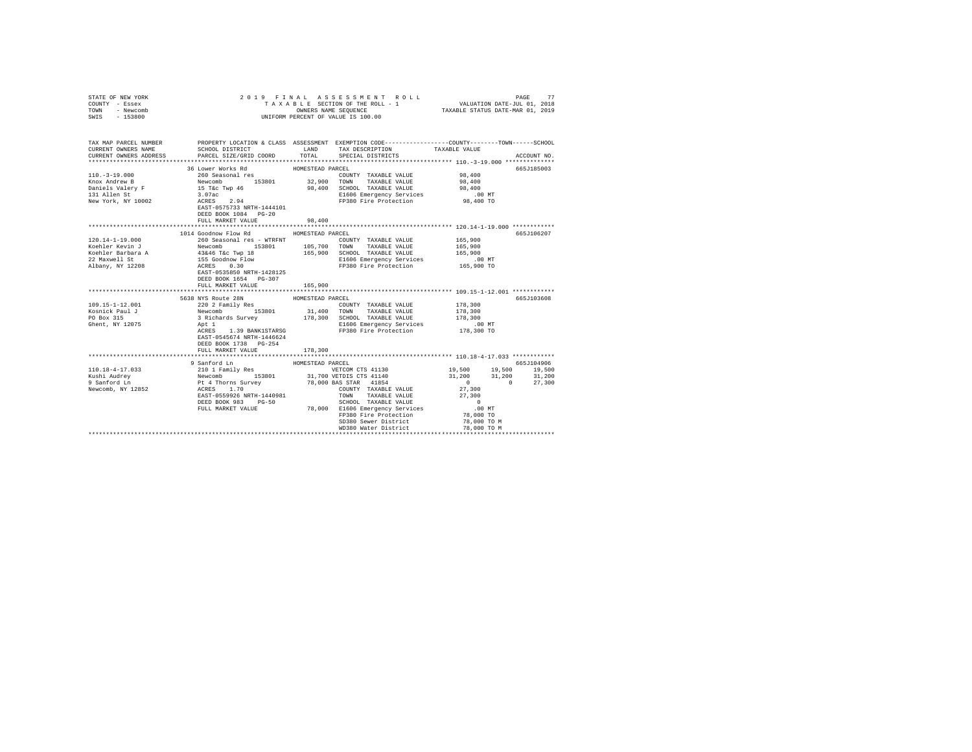| STATE OF NEW YORK<br>COUNTY - Essex<br>TOWN - Newcomb<br>SWIS - 153800                                                                                                                                                                                                                                                                                                                                                             |                                                                                                                                                                                                                      |                             | PAGE 77 ROLL PAGE 3 S NE NT ROLL PAGE 77<br>TA XABLE SECTION OF THE ROLL - 1 VALUATION DATE-JUL 01, 2018<br>ONNERS NAME SEQUENCE 7AXABLE STATUS DATE-MAR 01, 2019<br>UNIFORM PERCENT OF VALUE IS 100.00                                                                                                                                                                                                                                                                                                                                              |                                                                                                                                                                |             |
|------------------------------------------------------------------------------------------------------------------------------------------------------------------------------------------------------------------------------------------------------------------------------------------------------------------------------------------------------------------------------------------------------------------------------------|----------------------------------------------------------------------------------------------------------------------------------------------------------------------------------------------------------------------|-----------------------------|------------------------------------------------------------------------------------------------------------------------------------------------------------------------------------------------------------------------------------------------------------------------------------------------------------------------------------------------------------------------------------------------------------------------------------------------------------------------------------------------------------------------------------------------------|----------------------------------------------------------------------------------------------------------------------------------------------------------------|-------------|
| TAX MAP PARCEL NUMBER PROPERTY LOCATION & CLASS ASSESSMENT EXEMPTION CODE---------------COUNTY-------TOWN------SCHOOL<br>CURRENT OWNERS NAME<br>CURRENT OWNERS ADDRESS 6 PARCEL SIZE/GRID COORD 6 TOTAL SPECIAL DISTRICTS                                                                                                                                                                                                          | SCHOOL DISTRICT TAND TAX DESCRIPTION                                                                                                                                                                                 |                             |                                                                                                                                                                                                                                                                                                                                                                                                                                                                                                                                                      | TAXABLE VALUE                                                                                                                                                  | ACCOUNT NO. |
| $\begin{tabular}{l c c c c c} \multicolumn{3}{c}{110.-3-19.000} & \multicolumn{3}{c}{36 Lower Works Red} & \multicolumn{3}{c}{HOMESTEAD PARCEL} & \multicolumn{3}{c}{PARCEL} \\ & \multicolumn{3}{c}{260} & \multicolumn{3}{c}{360} & \multicolumn{3}{c}{360} & \multicolumn{3}{c}{360} & \multicolumn{3}{c}{360} & \multicolumn{3}{c}{360} & \multicolumn{3}{c}{360} & \multicolumn{3}{c}{360} & \multicolumn{3}{c}{360} & \mult$ | DEED BOOK 1084 PG-20<br>FULL MARKET VALUE                                                                                                                                                                            | 98,400                      | COUNTY TAXABLE VALUE 98,400<br>E1606 Emergency Services .00 MT<br>FP380 Fire Protection 98,400 TO                                                                                                                                                                                                                                                                                                                                                                                                                                                    | 98,400<br>98,400                                                                                                                                               | 665J185003  |
|                                                                                                                                                                                                                                                                                                                                                                                                                                    | 1014 Goodnow Flow Rd<br>DEED BOOK 1654 PG-307<br>FULL MARKET VALUE                                                                                                                                                   | HOMESTEAD PARCEL<br>165,900 |                                                                                                                                                                                                                                                                                                                                                                                                                                                                                                                                                      |                                                                                                                                                                | 665J106207  |
| 109.15-1-12.001<br>Kosnick Paul J<br>PO Box 315<br>Ghent, NY 12075                                                                                                                                                                                                                                                                                                                                                                 | 5638 NYS Route 28N<br>220 2 Family Res<br>Newcomb 153801<br>3 Richards Survey<br>Apt 1<br>ngu 1<br>ACRES 1.39 BANK1STARSG<br>Fact CLALSCA<br>EAST-0545674 NRTH-1446624<br>DEED BOOK 1738 PG-254<br>FULL MARKET VALUE | HOMESTEAD PARCEL<br>178,300 | $\begin{tabular}{lllllll} \multicolumn{2}{c}{\multicolumn{2}{c}{\textbf{C} & \multicolumn{2}{c}{\textbf{C} & \multicolumn{2}{c}{\textbf{C} & \multicolumn{2}{c}{\textbf{C} & \multicolumn{2}{c}{\textbf{C} & \multicolumn{2}{c}{\textbf{C} & \multicolumn{2}{c}{\textbf{C} & \multicolumn{2}{c}{\textbf{C} & \multicolumn{2}{c}{\textbf{C} & \multicolumn{2}{c}{\textbf{C} & \multicolumn{2}{c}{\textbf{C} & \multicolumn{2}{c}{\textbf{C} & \multicolumn{2}{c$<br>178,300 SCHOOL TAXABLE VALUE<br>E1606 Emergency Services<br>FP380 Fire Protection | 178,300<br>178,300<br>178,300<br>.00 MT<br>178,300 TO                                                                                                          | 665J103608  |
|                                                                                                                                                                                                                                                                                                                                                                                                                                    | 9 Sanford Ln<br>DEED BOOK 983 PG-50<br>FULL MARKET VALUE                                                                                                                                                             | HOMESTEAD PARCEL            | ********************************** 110.18-4-17.033 ************<br>31,700 VETDIS CTS 41140<br>SCHOOL TAXABLE VALUE<br>78,000 E1606 Emergency Services<br>FP380 Fire Protection<br>SD380 Sewer District<br>WD380 Water District                                                                                                                                                                                                                                                                                                                       | 19,500 19,500 19,500<br>$31,200$ $31,200$ $31,200$<br>$0 \t 0 \t 27,300$<br>27,300<br>27,300<br>$\sim$ 0<br>.00MT<br>$78,000$ TO<br>78,000 ТО М<br>78,000 ТО М | 665J104906  |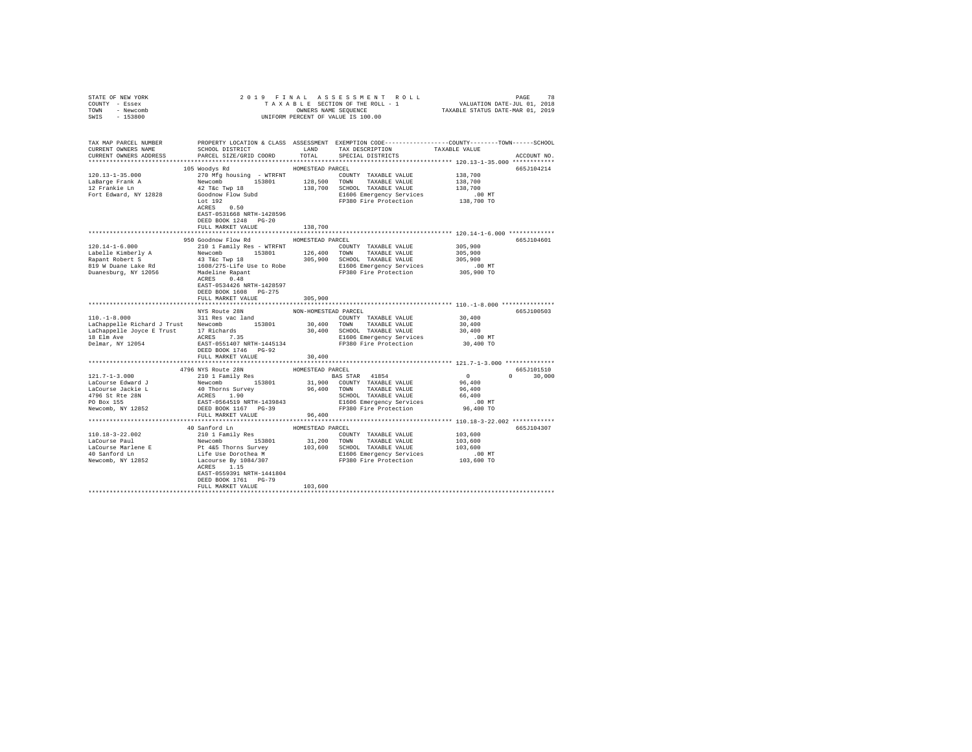| STATE OF NEW YORK                                                                                                                                                                                                                                                                                                                                                                                                                                                                                                                                                              |                                                                                                |                      |                             |                         |               |
|--------------------------------------------------------------------------------------------------------------------------------------------------------------------------------------------------------------------------------------------------------------------------------------------------------------------------------------------------------------------------------------------------------------------------------------------------------------------------------------------------------------------------------------------------------------------------------|------------------------------------------------------------------------------------------------|----------------------|-----------------------------|-------------------------|---------------|
| COUNTY - Essex                                                                                                                                                                                                                                                                                                                                                                                                                                                                                                                                                                 |                                                                                                |                      |                             |                         |               |
| TOWN - Newcomb                                                                                                                                                                                                                                                                                                                                                                                                                                                                                                                                                                 |                                                                                                |                      |                             |                         |               |
| SWIS - 153800                                                                                                                                                                                                                                                                                                                                                                                                                                                                                                                                                                  |                                                                                                |                      |                             |                         |               |
|                                                                                                                                                                                                                                                                                                                                                                                                                                                                                                                                                                                |                                                                                                |                      |                             |                         |               |
|                                                                                                                                                                                                                                                                                                                                                                                                                                                                                                                                                                                |                                                                                                |                      |                             |                         |               |
| TAX MAP PARCEL NUMBER     PROPERTY LOCATION & CLASS ASSESSMENT EXEMPTION CODE--------------COUNTY-------TOWN------SCHOOL DISTRICT     LAND   TAX DESCRIPTION     TAXABLE VALUE                                                                                                                                                                                                                                                                                                                                                                                                 |                                                                                                |                      |                             |                         |               |
|                                                                                                                                                                                                                                                                                                                                                                                                                                                                                                                                                                                |                                                                                                |                      |                             |                         |               |
| CURRENT OWNERS ADDRESS PARCEL SIZE/GRID COORD                                                                                                                                                                                                                                                                                                                                                                                                                                                                                                                                  |                                                                                                |                      | TOTAL SPECIAL DISTRICTS     |                         | ACCOUNT NO.   |
|                                                                                                                                                                                                                                                                                                                                                                                                                                                                                                                                                                                |                                                                                                |                      |                             |                         |               |
|                                                                                                                                                                                                                                                                                                                                                                                                                                                                                                                                                                                | 105 Woodys Rd                                                                                  | HOMESTEAD PARCEL     |                             |                         | 665J104214    |
| $120.13 - 1 - 35.000$                                                                                                                                                                                                                                                                                                                                                                                                                                                                                                                                                          | 270 Mfg housing - WTRFNT COUNTY TAXABLE VALUE                                                  |                      |                             | 138,700                 |               |
| LaBarge Frank A<br>12 Frankie Ln                                                                                                                                                                                                                                                                                                                                                                                                                                                                                                                                               |                                                                                                |                      |                             | 138,700                 |               |
|                                                                                                                                                                                                                                                                                                                                                                                                                                                                                                                                                                                | 42 T&C Twp 18<br>42 T&C Twp 18<br>Goodnow Flow Subd<br>Lot 192<br>ACRES 0.50                   |                      |                             | 138,700                 |               |
| Fort Edward, NY 12828                                                                                                                                                                                                                                                                                                                                                                                                                                                                                                                                                          |                                                                                                |                      |                             | 00 MT.<br>138,700 TO    |               |
|                                                                                                                                                                                                                                                                                                                                                                                                                                                                                                                                                                                |                                                                                                |                      |                             |                         |               |
|                                                                                                                                                                                                                                                                                                                                                                                                                                                                                                                                                                                |                                                                                                |                      |                             |                         |               |
|                                                                                                                                                                                                                                                                                                                                                                                                                                                                                                                                                                                | EAST-0531668 NRTH-1428596                                                                      |                      |                             |                         |               |
|                                                                                                                                                                                                                                                                                                                                                                                                                                                                                                                                                                                | DEED BOOK 1248 PG-20                                                                           |                      |                             |                         |               |
|                                                                                                                                                                                                                                                                                                                                                                                                                                                                                                                                                                                | FULL MARKET VALUE                                                                              | 138,700              |                             |                         |               |
|                                                                                                                                                                                                                                                                                                                                                                                                                                                                                                                                                                                |                                                                                                |                      |                             |                         |               |
|                                                                                                                                                                                                                                                                                                                                                                                                                                                                                                                                                                                | 950 Goodnow Flow Rd MOMESTEAD PARCEL                                                           |                      |                             |                         | 665J104601    |
|                                                                                                                                                                                                                                                                                                                                                                                                                                                                                                                                                                                |                                                                                                |                      |                             |                         |               |
|                                                                                                                                                                                                                                                                                                                                                                                                                                                                                                                                                                                |                                                                                                |                      |                             |                         |               |
|                                                                                                                                                                                                                                                                                                                                                                                                                                                                                                                                                                                |                                                                                                |                      |                             |                         |               |
|                                                                                                                                                                                                                                                                                                                                                                                                                                                                                                                                                                                |                                                                                                |                      |                             |                         |               |
| $\begin{tabular}{l c c c c c c c c} \hline $120.14-1-6.000 & $100$ & $100$ & $100$ & $100$ & $100$ & $100$ & $100$ & $100$ & $100$ & $100$ & $100$ & $100$ & $100$ & $100$ & $100$ & $100$ & $100$ & $100$ & $100$ & $100$ & $100$ & $100$ & $100$ & $100$ & $100$ & $100$ & $100$ & $100$ & $100$ & $10$                                                                                                                                                                                                                                                                      |                                                                                                |                      |                             |                         |               |
|                                                                                                                                                                                                                                                                                                                                                                                                                                                                                                                                                                                |                                                                                                |                      |                             |                         |               |
|                                                                                                                                                                                                                                                                                                                                                                                                                                                                                                                                                                                | EAST-0534426 NRTH-1428597                                                                      |                      |                             |                         |               |
|                                                                                                                                                                                                                                                                                                                                                                                                                                                                                                                                                                                | DEED BOOK 1608 PG-275                                                                          |                      |                             |                         |               |
|                                                                                                                                                                                                                                                                                                                                                                                                                                                                                                                                                                                | FULL MARKET VALUE                                                                              | 305,900              |                             |                         |               |
|                                                                                                                                                                                                                                                                                                                                                                                                                                                                                                                                                                                |                                                                                                |                      |                             |                         |               |
|                                                                                                                                                                                                                                                                                                                                                                                                                                                                                                                                                                                | NYS Route 28N                                                                                  | NON-HOMESTEAD PARCEL |                             |                         | 665J100503    |
| $110, -1 - 8, 000$                                                                                                                                                                                                                                                                                                                                                                                                                                                                                                                                                             | 311 Res vac land                                                                               |                      | COUNTY TAXABLE VALUE 30,400 |                         |               |
|                                                                                                                                                                                                                                                                                                                                                                                                                                                                                                                                                                                |                                                                                                |                      |                             | 30,400                  |               |
| $\mbox{LaChappelle Richard J Trust} \begin{tabular}{lcccc} \texttt{LaChappelle Richard J Trust} \end{tabular} \begin{tabular}{lcccc} \texttt{LaChappelle Richard J Trust} \end{tabular} \begin{tabular}{lcccc} \texttt{LaChappelle Joyce E Trust} \end{tabular} \begin{tabular}{lcccc} \texttt{LaChappelle Joyce E Trust} \end{tabular} \begin{tabular}{lcccc} \texttt{ACRhappelle Joyce E Trust} \end{tabular} \end{tabular} \begin{tabular}{lcccc} \texttt{ACRhappelle Joyce E Trust} \end{tabular} \end{tabular} \begin{tabular}{lcccc} \texttt{ACRhappelle Joyce E Trust}$ |                                                                                                |                      |                             | 30,400                  |               |
|                                                                                                                                                                                                                                                                                                                                                                                                                                                                                                                                                                                |                                                                                                |                      |                             |                         |               |
| 18 Elm Ave<br>Delmar, NY 12054                                                                                                                                                                                                                                                                                                                                                                                                                                                                                                                                                 | ACRES 7.35<br>EAST-0551407 NRTH-1445134<br>PRESSIGNET RESOLUTE PROPERTY SETTING THE PRODUCTION |                      |                             | .00 MT<br>30,400 TO     |               |
|                                                                                                                                                                                                                                                                                                                                                                                                                                                                                                                                                                                | DEED BOOK 1746 PG-92                                                                           |                      |                             |                         |               |
|                                                                                                                                                                                                                                                                                                                                                                                                                                                                                                                                                                                | FULL MARKET VALUE                                                                              | 30,400               |                             |                         |               |
|                                                                                                                                                                                                                                                                                                                                                                                                                                                                                                                                                                                |                                                                                                |                      |                             |                         |               |
|                                                                                                                                                                                                                                                                                                                                                                                                                                                                                                                                                                                | 4796 NYS Route 28N<br>210 1 Family Res                                                         | HOMESTEAD PARCEL     |                             |                         | 665J101510    |
|                                                                                                                                                                                                                                                                                                                                                                                                                                                                                                                                                                                |                                                                                                |                      |                             |                         | $0 \t 30,000$ |
|                                                                                                                                                                                                                                                                                                                                                                                                                                                                                                                                                                                |                                                                                                |                      |                             |                         |               |
|                                                                                                                                                                                                                                                                                                                                                                                                                                                                                                                                                                                |                                                                                                |                      |                             | $0$<br>96,400<br>96,400 |               |
|                                                                                                                                                                                                                                                                                                                                                                                                                                                                                                                                                                                |                                                                                                |                      |                             | 66,400                  |               |
|                                                                                                                                                                                                                                                                                                                                                                                                                                                                                                                                                                                |                                                                                                |                      |                             | $.00$ MT                |               |
|                                                                                                                                                                                                                                                                                                                                                                                                                                                                                                                                                                                |                                                                                                |                      |                             | 96,400 TO               |               |
|                                                                                                                                                                                                                                                                                                                                                                                                                                                                                                                                                                                | FULL MARKET VALUE                                                                              | 96,400               |                             |                         |               |
|                                                                                                                                                                                                                                                                                                                                                                                                                                                                                                                                                                                |                                                                                                |                      |                             |                         |               |
|                                                                                                                                                                                                                                                                                                                                                                                                                                                                                                                                                                                | 40 Sanford Ln                                                                                  | HOMESTEAD PARCEL     |                             |                         | 665J104307    |
|                                                                                                                                                                                                                                                                                                                                                                                                                                                                                                                                                                                | 210 1 Family Res                                                                               |                      |                             |                         |               |
|                                                                                                                                                                                                                                                                                                                                                                                                                                                                                                                                                                                |                                                                                                |                      |                             |                         |               |
|                                                                                                                                                                                                                                                                                                                                                                                                                                                                                                                                                                                |                                                                                                |                      |                             |                         |               |
|                                                                                                                                                                                                                                                                                                                                                                                                                                                                                                                                                                                |                                                                                                |                      |                             |                         |               |
|                                                                                                                                                                                                                                                                                                                                                                                                                                                                                                                                                                                |                                                                                                |                      |                             |                         |               |
|                                                                                                                                                                                                                                                                                                                                                                                                                                                                                                                                                                                | ACRES 1.15                                                                                     |                      |                             |                         |               |
|                                                                                                                                                                                                                                                                                                                                                                                                                                                                                                                                                                                | EAST-0559391 NRTH-1441804                                                                      |                      |                             |                         |               |
|                                                                                                                                                                                                                                                                                                                                                                                                                                                                                                                                                                                | DEED BOOK 1761    PG-79                                                                        |                      |                             |                         |               |
|                                                                                                                                                                                                                                                                                                                                                                                                                                                                                                                                                                                | FULL MARKET VALUE                                                                              | 103,600              |                             |                         |               |
|                                                                                                                                                                                                                                                                                                                                                                                                                                                                                                                                                                                |                                                                                                |                      |                             |                         |               |
|                                                                                                                                                                                                                                                                                                                                                                                                                                                                                                                                                                                |                                                                                                |                      |                             |                         |               |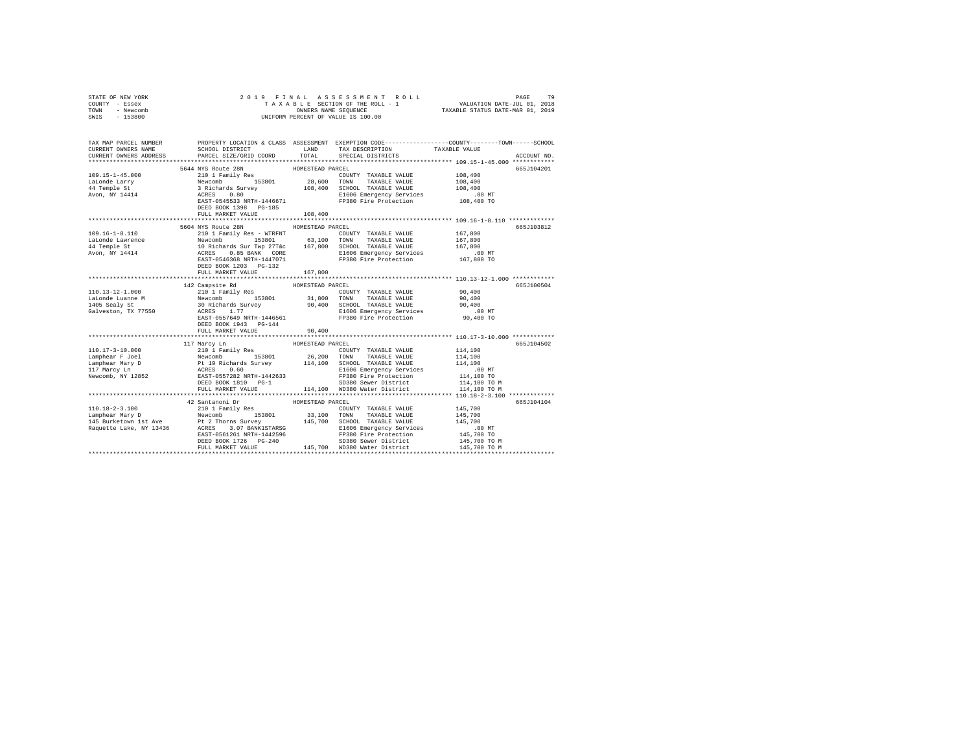| STATE OF NEW YORK                                                                                                                                                                                                                                                                                                                                                                          | 2019 FINAL                                 |                  |                                                                                                                                                                                                                  |                                                                                                 |  |
|--------------------------------------------------------------------------------------------------------------------------------------------------------------------------------------------------------------------------------------------------------------------------------------------------------------------------------------------------------------------------------------------|--------------------------------------------|------------------|------------------------------------------------------------------------------------------------------------------------------------------------------------------------------------------------------------------|-------------------------------------------------------------------------------------------------|--|
| COUNTY - Essex                                                                                                                                                                                                                                                                                                                                                                             |                                            |                  |                                                                                                                                                                                                                  |                                                                                                 |  |
| TOWN - Newcomb                                                                                                                                                                                                                                                                                                                                                                             |                                            |                  |                                                                                                                                                                                                                  |                                                                                                 |  |
| SWIS - 153800                                                                                                                                                                                                                                                                                                                                                                              |                                            |                  |                                                                                                                                                                                                                  |                                                                                                 |  |
|                                                                                                                                                                                                                                                                                                                                                                                            |                                            |                  |                                                                                                                                                                                                                  |                                                                                                 |  |
|                                                                                                                                                                                                                                                                                                                                                                                            |                                            |                  |                                                                                                                                                                                                                  |                                                                                                 |  |
| TAX MAP PARCEL NUMBER                                                                                                                                                                                                                                                                                                                                                                      |                                            |                  |                                                                                                                                                                                                                  | PROPERTY LOCATION & CLASS ASSESSMENT EXEMPTION CODE---------------COUNTY-------TOWN------SCHOOL |  |
| CURRENT OWNERS NAME                                                                                                                                                                                                                                                                                                                                                                        |                                            |                  | SCHOOL DISTRICT $\hfill\textsc{LAND}$ TAX DESCRIPTION $\hfill\textsc{TAXABLE}$ VALUE                                                                                                                             |                                                                                                 |  |
| CURRENT OWNERS ADDRESS                                                                                                                                                                                                                                                                                                                                                                     | PARCEL SIZE/GRID COORD                     | TOTAL            | SPECIAL DISTRICTS                                                                                                                                                                                                | ACCOUNT NO.                                                                                     |  |
|                                                                                                                                                                                                                                                                                                                                                                                            |                                            |                  |                                                                                                                                                                                                                  |                                                                                                 |  |
|                                                                                                                                                                                                                                                                                                                                                                                            |                                            |                  |                                                                                                                                                                                                                  | 665J104201                                                                                      |  |
|                                                                                                                                                                                                                                                                                                                                                                                            |                                            |                  |                                                                                                                                                                                                                  | 108,400                                                                                         |  |
|                                                                                                                                                                                                                                                                                                                                                                                            |                                            |                  |                                                                                                                                                                                                                  | 108,400                                                                                         |  |
|                                                                                                                                                                                                                                                                                                                                                                                            |                                            |                  |                                                                                                                                                                                                                  | 108,400                                                                                         |  |
|                                                                                                                                                                                                                                                                                                                                                                                            |                                            |                  |                                                                                                                                                                                                                  | .00 MT                                                                                          |  |
|                                                                                                                                                                                                                                                                                                                                                                                            |                                            |                  |                                                                                                                                                                                                                  | 108,400 TO                                                                                      |  |
|                                                                                                                                                                                                                                                                                                                                                                                            | DEED BOOK 1398 PG-185                      |                  |                                                                                                                                                                                                                  |                                                                                                 |  |
|                                                                                                                                                                                                                                                                                                                                                                                            | FULL MARKET VALUE                          | 108,400          |                                                                                                                                                                                                                  |                                                                                                 |  |
|                                                                                                                                                                                                                                                                                                                                                                                            |                                            |                  |                                                                                                                                                                                                                  |                                                                                                 |  |
|                                                                                                                                                                                                                                                                                                                                                                                            | 5604 NYS Route 28N HOMESTEAD PARCEL        |                  |                                                                                                                                                                                                                  | 665J103812                                                                                      |  |
| $109.16 - 1 - 8.110$                                                                                                                                                                                                                                                                                                                                                                       | 210 1 Family Res - WTRFNT                  |                  | COUNTY TAXABLE VALUE                                                                                                                                                                                             | 167,800                                                                                         |  |
|                                                                                                                                                                                                                                                                                                                                                                                            |                                            |                  |                                                                                                                                                                                                                  | 167,800                                                                                         |  |
| LaLonde Lawrence<br>44 Temple St                                                                                                                                                                                                                                                                                                                                                           |                                            |                  |                                                                                                                                                                                                                  | 167,800                                                                                         |  |
| Avon, NY 14414                                                                                                                                                                                                                                                                                                                                                                             |                                            |                  | Newcomb 153801 63,100 TOWN TAXABLE VALUE<br>10 Richards Sur Twp 27Tac 167,800 SCHOOL TAXABLE VALUE<br>20 REES 0.08 RATH CORE 1606 EMPITY SCHOOL TAXABLE VALUE<br>20 REES 0.08 RETT-1447071 FP380 Fire Protection | .00 MT                                                                                          |  |
|                                                                                                                                                                                                                                                                                                                                                                                            |                                            |                  |                                                                                                                                                                                                                  | 167,800 TO                                                                                      |  |
|                                                                                                                                                                                                                                                                                                                                                                                            | DEED BOOK 1203 PG-132                      |                  |                                                                                                                                                                                                                  |                                                                                                 |  |
|                                                                                                                                                                                                                                                                                                                                                                                            | FULL MARKET VALUE                          | 167,800          |                                                                                                                                                                                                                  |                                                                                                 |  |
|                                                                                                                                                                                                                                                                                                                                                                                            |                                            |                  |                                                                                                                                                                                                                  |                                                                                                 |  |
|                                                                                                                                                                                                                                                                                                                                                                                            |                                            |                  |                                                                                                                                                                                                                  |                                                                                                 |  |
|                                                                                                                                                                                                                                                                                                                                                                                            |                                            | HOMESTEAD PARCEL |                                                                                                                                                                                                                  | 665J100504                                                                                      |  |
| 110.13-12-1.000                                                                                                                                                                                                                                                                                                                                                                            | 142 Campsite Rd                            |                  |                                                                                                                                                                                                                  | 90.400                                                                                          |  |
|                                                                                                                                                                                                                                                                                                                                                                                            |                                            |                  |                                                                                                                                                                                                                  | 90,400                                                                                          |  |
| LaLonde Luanne M<br>1405 Sealy St                                                                                                                                                                                                                                                                                                                                                          |                                            |                  |                                                                                                                                                                                                                  | 90,400                                                                                          |  |
| Galveston, TX 77550                                                                                                                                                                                                                                                                                                                                                                        |                                            |                  |                                                                                                                                                                                                                  | $.00$ MT                                                                                        |  |
|                                                                                                                                                                                                                                                                                                                                                                                            |                                            |                  |                                                                                                                                                                                                                  | 90,400 TO                                                                                       |  |
|                                                                                                                                                                                                                                                                                                                                                                                            | DEED BOOK 1943 PG-144                      |                  |                                                                                                                                                                                                                  |                                                                                                 |  |
|                                                                                                                                                                                                                                                                                                                                                                                            | FULL MARKET VALUE                          | 90,400           |                                                                                                                                                                                                                  |                                                                                                 |  |
|                                                                                                                                                                                                                                                                                                                                                                                            |                                            |                  |                                                                                                                                                                                                                  |                                                                                                 |  |
|                                                                                                                                                                                                                                                                                                                                                                                            | 117 Marcy Ln                               | HOMESTEAD PARCEL |                                                                                                                                                                                                                  | 665J104502                                                                                      |  |
|                                                                                                                                                                                                                                                                                                                                                                                            |                                            |                  |                                                                                                                                                                                                                  | 114,100                                                                                         |  |
|                                                                                                                                                                                                                                                                                                                                                                                            |                                            |                  |                                                                                                                                                                                                                  | 114,100                                                                                         |  |
|                                                                                                                                                                                                                                                                                                                                                                                            |                                            |                  |                                                                                                                                                                                                                  | 114,100                                                                                         |  |
|                                                                                                                                                                                                                                                                                                                                                                                            |                                            |                  |                                                                                                                                                                                                                  | $.00$ MT                                                                                        |  |
|                                                                                                                                                                                                                                                                                                                                                                                            |                                            |                  |                                                                                                                                                                                                                  | 114,100 TO                                                                                      |  |
|                                                                                                                                                                                                                                                                                                                                                                                            |                                            |                  | SD380 Sewer District                                                                                                                                                                                             | 114,100 TO M                                                                                    |  |
| $\begin{tabular}{l c c c c c} \hline 110.17-3-10.000 & 117~\text{Marcy}~\text{Ln}$ & 26,200~\text{TOUNTY}~\text{TAXABLE VALUE} \\ \hline Lapphear~\text{Year}~\text{2}~\text{New}~\text{2}~\text{New}~\text{2}~\text{MeV}~\text{OMN}~\text{2}~\text{MAILE VALUE} \\ \hline Lapphear~\text{Mary}~\text{D} & \text{New}~\text{2}~\text{MeV}~\text{2}~\text{MeV}~\text{2}~\text{MeV}~\text{2$ | FULL MARKET VALUE                          |                  | 114,100 WD380 Water District                                                                                                                                                                                     | 114,100 TO M                                                                                    |  |
|                                                                                                                                                                                                                                                                                                                                                                                            |                                            |                  |                                                                                                                                                                                                                  |                                                                                                 |  |
|                                                                                                                                                                                                                                                                                                                                                                                            | 42 Santanoni Dr $$\tt HOMESTEAD\,\, PARC.$ |                  |                                                                                                                                                                                                                  | 665J104104                                                                                      |  |
| 110.18-2-3.100                                                                                                                                                                                                                                                                                                                                                                             | 210 1 Family Res                           |                  | COUNTY TAXABLE VALUE                                                                                                                                                                                             | 145,700                                                                                         |  |
|                                                                                                                                                                                                                                                                                                                                                                                            |                                            |                  |                                                                                                                                                                                                                  |                                                                                                 |  |
|                                                                                                                                                                                                                                                                                                                                                                                            |                                            |                  |                                                                                                                                                                                                                  |                                                                                                 |  |
|                                                                                                                                                                                                                                                                                                                                                                                            |                                            |                  |                                                                                                                                                                                                                  |                                                                                                 |  |
|                                                                                                                                                                                                                                                                                                                                                                                            |                                            |                  |                                                                                                                                                                                                                  |                                                                                                 |  |
| $\begin{tabular}{l c c c c c} \hline L101.10-7-3.100 & $240$ & $140$ & $140$ & $140$ & $140$ & $140$ & $140$ & $140$ & $140$ & $140$ & $140$ & $140$ & $140$ & $140$ & $140$ & $140$ & $140$ & $140$ & $140$ & $140$ & $140$ & $140$ & $140$ & $140$ & $140$ & $140$ & $140$ & $140$ & $140$ & $140$ & $14$                                                                                |                                            |                  |                                                                                                                                                                                                                  |                                                                                                 |  |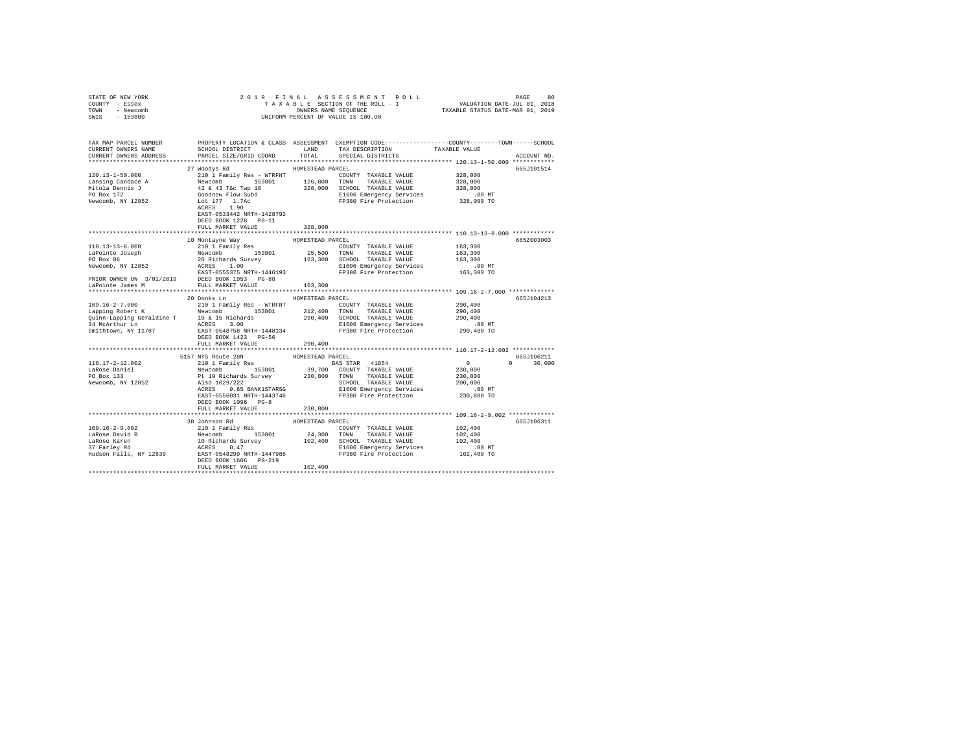| STATE OF NEW YORK                                                                                                                                                                                                                                                 |                           |                  |                                                                                                                            |                      |               |
|-------------------------------------------------------------------------------------------------------------------------------------------------------------------------------------------------------------------------------------------------------------------|---------------------------|------------------|----------------------------------------------------------------------------------------------------------------------------|----------------------|---------------|
| COUNTY - Essex                                                                                                                                                                                                                                                    |                           |                  |                                                                                                                            |                      |               |
| TOWN - Newcomb                                                                                                                                                                                                                                                    |                           |                  |                                                                                                                            |                      |               |
| SWIS - 153800                                                                                                                                                                                                                                                     |                           |                  | OWNERS NAME SEQUENCE<br>UNIFORM PERCENT OF VALUE IS 100.00                                                                 |                      |               |
|                                                                                                                                                                                                                                                                   |                           |                  |                                                                                                                            |                      |               |
|                                                                                                                                                                                                                                                                   |                           |                  |                                                                                                                            |                      |               |
|                                                                                                                                                                                                                                                                   |                           |                  |                                                                                                                            |                      |               |
| TAX MAP PARCEL NUMBER PROPERTY LOCATION & CLASS ASSESSMENT EXEMPTION CODE-------------COUNTY-------TOWN-----SCHOOL                                                                                                                                                |                           |                  |                                                                                                                            |                      |               |
| CURRENT OWNERS NAME                                                                                                                                                                                                                                               | SCHOOL DISTRICT LAND      |                  | TAX DESCRIPTION                                                                                                            | TAXABLE VALUE        |               |
| CURRENT OWNERS ADDRESS                                                                                                                                                                                                                                            | PARCEL SIZE/GRID COORD    | TOTAL            | SPECIAL DISTRICTS                                                                                                          |                      | ACCOUNT NO.   |
|                                                                                                                                                                                                                                                                   |                           |                  |                                                                                                                            |                      |               |
|                                                                                                                                                                                                                                                                   | 27 Woodys Rd              | HOMESTEAD PARCEL |                                                                                                                            |                      | 665J101514    |
|                                                                                                                                                                                                                                                                   |                           |                  |                                                                                                                            | 328,000              |               |
|                                                                                                                                                                                                                                                                   |                           |                  |                                                                                                                            | 328,000              |               |
|                                                                                                                                                                                                                                                                   |                           |                  |                                                                                                                            |                      |               |
|                                                                                                                                                                                                                                                                   |                           |                  |                                                                                                                            | 328,000<br>.00 MT    |               |
|                                                                                                                                                                                                                                                                   |                           |                  | E1606 Emergency Services<br>FP380 Fire Protection                                                                          | 328,000 TO           |               |
|                                                                                                                                                                                                                                                                   |                           |                  |                                                                                                                            |                      |               |
|                                                                                                                                                                                                                                                                   | ACRES 1.90                |                  |                                                                                                                            |                      |               |
|                                                                                                                                                                                                                                                                   | EAST-0533442 NRTH-1428792 |                  |                                                                                                                            |                      |               |
|                                                                                                                                                                                                                                                                   | DEED BOOK 1228 PG-11      |                  |                                                                                                                            |                      |               |
|                                                                                                                                                                                                                                                                   | FULL MARKET VALUE         | 328,000          |                                                                                                                            |                      |               |
|                                                                                                                                                                                                                                                                   |                           |                  |                                                                                                                            |                      |               |
|                                                                                                                                                                                                                                                                   |                           |                  |                                                                                                                            |                      | 665Z003003    |
|                                                                                                                                                                                                                                                                   |                           |                  |                                                                                                                            | 163,300              |               |
|                                                                                                                                                                                                                                                                   |                           |                  | TOWN TAXABLE VALUE<br>SCHOOL TAXABLE VALUE 163,300<br>SL606 Emergency Services 163,300<br>FP380 Fire Protection 163,300 TO |                      |               |
|                                                                                                                                                                                                                                                                   |                           |                  |                                                                                                                            |                      |               |
|                                                                                                                                                                                                                                                                   |                           |                  |                                                                                                                            |                      |               |
|                                                                                                                                                                                                                                                                   |                           |                  |                                                                                                                            |                      |               |
| PRIOR OWNER ON 3/01/2019<br>LaPointe James M<br>FULL MARKET VALUE PG-88                                                                                                                                                                                           |                           |                  |                                                                                                                            |                      |               |
|                                                                                                                                                                                                                                                                   |                           | 163,300          |                                                                                                                            |                      |               |
|                                                                                                                                                                                                                                                                   |                           |                  |                                                                                                                            |                      |               |
|                                                                                                                                                                                                                                                                   | 20 Donks Ln               | HOMESTEAD PARCEL |                                                                                                                            |                      | 665J104213    |
| $109.16 - 2 - 7.000$                                                                                                                                                                                                                                              | 210 1 Family Res - WTRFNT |                  | COUNTY TAXABLE VALUE                                                                                                       | 290,400              |               |
|                                                                                                                                                                                                                                                                   |                           |                  |                                                                                                                            | 290,400              |               |
|                                                                                                                                                                                                                                                                   |                           |                  |                                                                                                                            | 290,400              |               |
|                                                                                                                                                                                                                                                                   |                           |                  |                                                                                                                            | $.00$ MT             |               |
| Smithtown, NY 11787                                                                                                                                                                                                                                               |                           |                  | EAST-0548758 NRTH-1448134 PP380 Fire Protection 290,400 TO                                                                 |                      |               |
|                                                                                                                                                                                                                                                                   | DEED BOOK 1423 PG-56      |                  |                                                                                                                            |                      |               |
|                                                                                                                                                                                                                                                                   | FULL MARKET VALUE         |                  |                                                                                                                            |                      |               |
|                                                                                                                                                                                                                                                                   |                           | 290,400          |                                                                                                                            |                      |               |
|                                                                                                                                                                                                                                                                   |                           |                  |                                                                                                                            |                      |               |
|                                                                                                                                                                                                                                                                   |                           |                  |                                                                                                                            |                      | 665J106211    |
| 110.17-2-12.002                                                                                                                                                                                                                                                   |                           |                  |                                                                                                                            | $\sim$ 0             | $0 \t 30.000$ |
| LaRose Daniel<br>PO Box 133                                                                                                                                                                                                                                       |                           |                  |                                                                                                                            | 230,800              |               |
|                                                                                                                                                                                                                                                                   |                           |                  |                                                                                                                            | 230,800<br>200,800   |               |
| Newcomb, NY 12852                                                                                                                                                                                                                                                 |                           |                  | SCHOOL TAXABLE VALUE                                                                                                       |                      |               |
|                                                                                                                                                                                                                                                                   |                           |                  | E1606 Emergency Services .00 MT<br>FP380 Fire Protection 230,800 TO                                                        |                      |               |
|                                                                                                                                                                                                                                                                   | EAST-0556031 NRTH-1443746 |                  |                                                                                                                            |                      |               |
|                                                                                                                                                                                                                                                                   | DEED BOOK 1096 PG-8       |                  |                                                                                                                            |                      |               |
|                                                                                                                                                                                                                                                                   | FULL MARKET VALUE         | 230,800          |                                                                                                                            |                      |               |
|                                                                                                                                                                                                                                                                   |                           |                  |                                                                                                                            |                      |               |
|                                                                                                                                                                                                                                                                   | 38 Johnson Rd             | HOMESTEAD PARCEL |                                                                                                                            |                      | 665J106311    |
| $\begin{tabular}{l c c c c c c c c} \hline 109.16-2-9.002 & 2001150m & 1001180m & 1000180m & 1000180m & 100180m & 100180m & 100180m & 10180m & 10180m & 10180m & 10180m & 10180m & 10180m & 10180m & 10180m & 10180m & 10180m & 10180m & 10180m & 10180m & 10180$ |                           |                  |                                                                                                                            | 102,400              |               |
|                                                                                                                                                                                                                                                                   |                           |                  |                                                                                                                            | 102,400              |               |
|                                                                                                                                                                                                                                                                   |                           |                  |                                                                                                                            | 102,400              |               |
|                                                                                                                                                                                                                                                                   |                           |                  |                                                                                                                            |                      |               |
|                                                                                                                                                                                                                                                                   |                           |                  |                                                                                                                            | 00 MT.<br>102,400 TO |               |
|                                                                                                                                                                                                                                                                   | DEED BOOK 1606 PG-219     |                  |                                                                                                                            |                      |               |
|                                                                                                                                                                                                                                                                   | FULL MARKET VALUE         | 102,400          |                                                                                                                            |                      |               |
|                                                                                                                                                                                                                                                                   |                           |                  |                                                                                                                            |                      |               |
|                                                                                                                                                                                                                                                                   |                           |                  |                                                                                                                            |                      |               |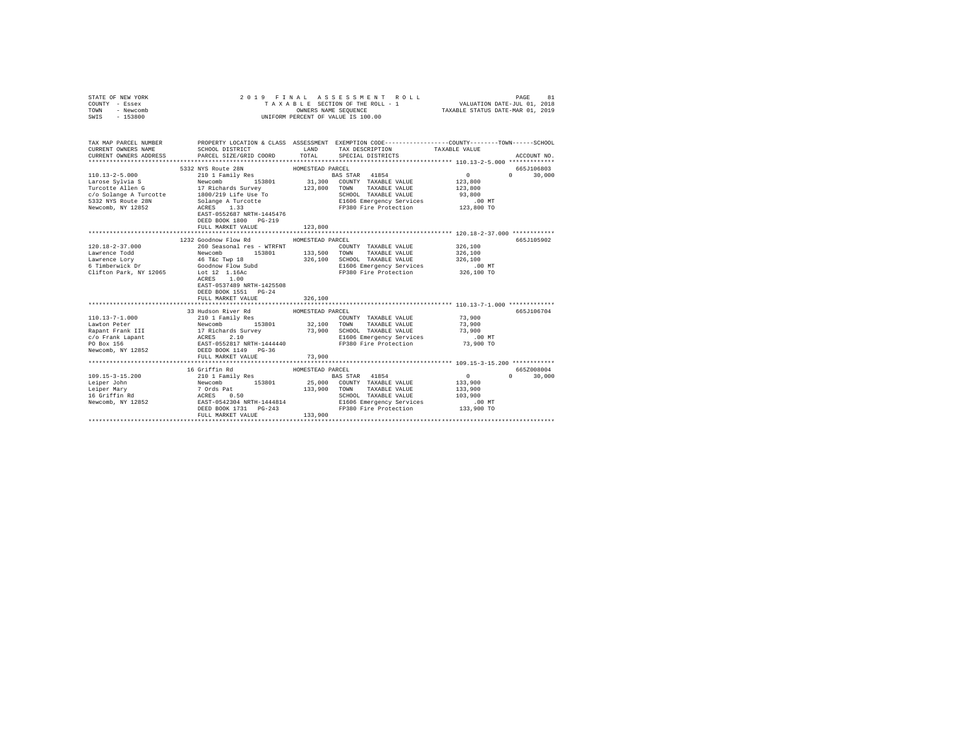| STATE OF NEW YORK<br>COUNTY - Essex<br>TOWN<br>- Newcomb<br>SWIS - 153800                                          | 2019 FINAL                                                                                                                                                                                                                                                                                                               | ASSESSMENT ROLL<br>TAXABLE SECTION OF THE ROLL - 1<br>OWNERS NAME SEQUENCE<br>UNIFORM PERCENT OF VALUE IS 100.00                                                                                                | PAGE<br>81<br>VALUATION DATE-JUL 01, 2018<br>TAXABLE STATUS DATE-MAR 01, 2019                   |
|--------------------------------------------------------------------------------------------------------------------|--------------------------------------------------------------------------------------------------------------------------------------------------------------------------------------------------------------------------------------------------------------------------------------------------------------------------|-----------------------------------------------------------------------------------------------------------------------------------------------------------------------------------------------------------------|-------------------------------------------------------------------------------------------------|
| CURRENT OWNERS NAME<br>CURRENT OWNERS ADDRESS                                                                      | SCHOOL DISTRICT<br>PARCEL SIZE/GRID COORD                                                                                                                                                                                                                                                                                | TAX MAP PARCEL NUMBER THE PROPERTY LOCATION & CLASS ASSESSMENT EXEMPTION CODE--------------COUNTY-------TOWN------SCHOOL<br>LAND<br>TAX DESCRIPTION<br>TOTAL<br>SPECIAL DISTRICTS                               | TAXABLE VALUE<br>ACCOUNT NO.                                                                    |
|                                                                                                                    | 5332 NYS Route 28N<br>110.13-2-5.000<br>Larose Sylvia S<br>Larose Sylvia S<br>Turcotte Allen G<br>Turcotte Allen G<br>Corporate a Turcotte<br>Corporate Sylvia Solange A Turcotte<br>S322 NYS Route 28N<br>Newcomb, NY 12852<br>Newcomb, NY 12852<br>MCRES 1.33<br>NGRES 2<br>DEED BOOK 1800 PG-219<br>FULL MARKET VALUE | HOMESTEAD PARCEL<br>BAS STAR 41854<br>31,300 COUNTY TAXABLE VALUE<br>123,800 TOWN TAXABLE VALUE<br>SCHOOL TAXABLE VALUE<br>SCHOOL TAXABLE VALUE<br>E1606 Emergency Services<br>FP380 Fire Protection<br>123,800 | 665J106803<br>0<br>$\Omega$<br>30,000<br>123,800<br>123,800<br>93,800<br>$.00$ MT<br>123,800 TO |
|                                                                                                                    |                                                                                                                                                                                                                                                                                                                          |                                                                                                                                                                                                                 |                                                                                                 |
| $120.18 - 2 - 37.000$<br>Lawrence Todd<br>Lawrence Lory<br>6 Timberwick Dr<br>Clifton Park, NY 12065 Lot 12 1.16Ac | 1232 Goodnow Flow Rd<br>ACRES 1.00<br>EAST-0537489 NRTH-1425508<br>DEED BOOK 1551 PG-24<br>FULL MARKET VALUE                                                                                                                                                                                                             | HOMESTEAD PARCEL<br>COUNTY TAXABLE VALUE<br>TAXABLE VALUE<br>SCHOOL TAXABLE VALUE<br>E1606 Emergency Services<br>FP380 Fire Protection 326,100 TO<br>326,100                                                    | 665J105902<br>326,100<br>326,100<br>326,100<br>$.00$ MT                                         |
| $110.13 - 7 - 1.000$<br>Newcomb, NY 12852                                                                          | 33 Hudson River Rd<br>210 1 Family Res<br>FULL MARKET VALUE                                                                                                                                                                                                                                                              | HOMESTEAD PARCEL<br>COUNTY TAXABLE VALUE<br>32,100 TOWN<br>TAXABLE VALUE<br>73,900<br>SCHOOL TAXABLE VALUE<br>E1606 Emergency Services<br>FP380 Fire Protection<br>73,900                                       | 665J106704<br>73,900<br>73,900<br>73,900<br>$.00$ MT<br>73,900 TO                               |
| $109.15 - 3 - 15.200$<br>Leiper John<br>Leiper Mary<br>Leiper maig<br>16 Griffin Rd<br>Newcomb, NY 12852           | 16 Griffin Rd<br>210 1 Family Res<br>Newcomb 153801<br>7 Ords Pat<br>ACRSS 0.50<br>EAST-0542304 NRTH-1444814<br>DEED BOOK 1731 PG-243<br>FULL MARKET VALUE                                                                                                                                                               | HOMESTEAD PARCEL<br>BAS STAR 41854<br>25,000 COUNTY TAXABLE VALUE<br>133,900 TOWN<br>TAXABLE VALUE<br>SCHOOL TAXABLE VALUE<br>E1606 Emergency Services<br>FP380 Fire Protection 133,900 TO<br>133,900           | 665Z008004<br>$\sim$ 0<br>$\mathbf{0}$<br>30,000<br>133,900<br>133,900<br>103,900<br>$.00$ MT   |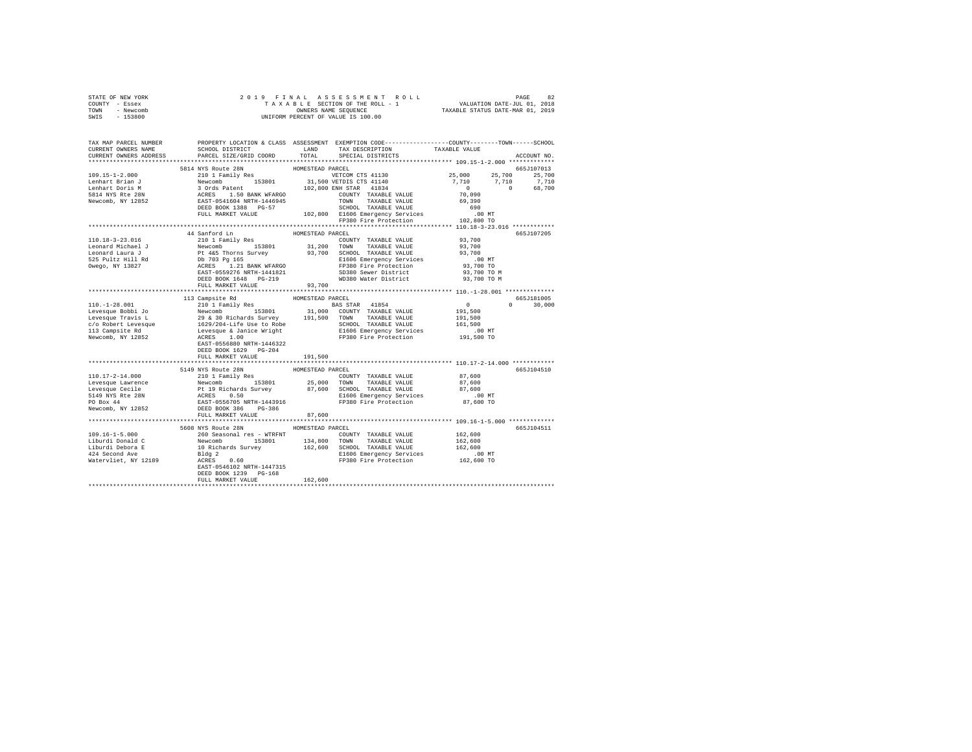| STATE OF NEW YORK | 2019 FINAL ASSESSMENT ROLL         | 82<br>PAGE                       |
|-------------------|------------------------------------|----------------------------------|
| COUNTY - Essex    | TAXABLE SECTION OF THE ROLL - 1    | VALUATION DATE-JUL 01, 2018      |
| TOWN<br>- Newcomb | OWNERS NAME SEOUENCE               | TAXABLE STATUS DATE-MAR 01, 2019 |
| $-153800$<br>SWIS | UNIFORM PERCENT OF VALUE IS 100.00 |                                  |

| TAX MAP PARCEL NUMBER<br>CURRENT OWNERS NAME                                                                                                                                                                                     | PROPERTY LOCATION & CLASS ASSESSMENT EXEMPTION CODE---------------COUNTY-------TOWN------SCHOOL<br>SCHOOL DISTRICT                                                                                                                       | LAND             | TAX DESCRIPTION                                                                                                                                                                            | TAXABLE VALUE                                                                                                                  |               |
|----------------------------------------------------------------------------------------------------------------------------------------------------------------------------------------------------------------------------------|------------------------------------------------------------------------------------------------------------------------------------------------------------------------------------------------------------------------------------------|------------------|--------------------------------------------------------------------------------------------------------------------------------------------------------------------------------------------|--------------------------------------------------------------------------------------------------------------------------------|---------------|
| CURRENT OWNERS ADDRESS                                                                                                                                                                                                           | PARCEL SIZE/GRID COORD                                                                                                                                                                                                                   |                  | TOTAL SPECIAL DISTRICTS                                                                                                                                                                    |                                                                                                                                | ACCOUNT NO.   |
|                                                                                                                                                                                                                                  |                                                                                                                                                                                                                                          |                  |                                                                                                                                                                                            |                                                                                                                                |               |
|                                                                                                                                                                                                                                  | 5814 NYS Route 28N                                                                                                                                                                                                                       | HOMESTEAD PARCEL |                                                                                                                                                                                            |                                                                                                                                | 665J107013    |
|                                                                                                                                                                                                                                  |                                                                                                                                                                                                                                          |                  |                                                                                                                                                                                            | 25,000 25,700 25,700                                                                                                           |               |
|                                                                                                                                                                                                                                  |                                                                                                                                                                                                                                          |                  |                                                                                                                                                                                            | $\begin{array}{cccc} 7 \,, 710 & \quad & 7 \,, 710 & \quad & 7 \,, 710 \\ \, & 0 & \quad & 0 & \quad & 68 \,, 700 \end{array}$ |               |
|                                                                                                                                                                                                                                  |                                                                                                                                                                                                                                          |                  |                                                                                                                                                                                            |                                                                                                                                |               |
|                                                                                                                                                                                                                                  |                                                                                                                                                                                                                                          |                  |                                                                                                                                                                                            |                                                                                                                                |               |
|                                                                                                                                                                                                                                  |                                                                                                                                                                                                                                          |                  |                                                                                                                                                                                            |                                                                                                                                |               |
|                                                                                                                                                                                                                                  |                                                                                                                                                                                                                                          |                  |                                                                                                                                                                                            |                                                                                                                                |               |
|                                                                                                                                                                                                                                  |                                                                                                                                                                                                                                          |                  |                                                                                                                                                                                            |                                                                                                                                |               |
|                                                                                                                                                                                                                                  |                                                                                                                                                                                                                                          |                  |                                                                                                                                                                                            |                                                                                                                                |               |
|                                                                                                                                                                                                                                  |                                                                                                                                                                                                                                          |                  |                                                                                                                                                                                            |                                                                                                                                |               |
|                                                                                                                                                                                                                                  | 44 Sanford Ln                                                                                                                                                                                                                            | HOMESTEAD PARCEL |                                                                                                                                                                                            |                                                                                                                                | 665J107205    |
| 110.18-3-23.016                                                                                                                                                                                                                  | 210 1 Family Res                                                                                                                                                                                                                         |                  | COUNTY TAXABLE VALUE 93,700                                                                                                                                                                |                                                                                                                                |               |
|                                                                                                                                                                                                                                  |                                                                                                                                                                                                                                          |                  |                                                                                                                                                                                            | 93,700                                                                                                                         |               |
|                                                                                                                                                                                                                                  |                                                                                                                                                                                                                                          |                  |                                                                                                                                                                                            | 93,700                                                                                                                         |               |
|                                                                                                                                                                                                                                  |                                                                                                                                                                                                                                          |                  |                                                                                                                                                                                            | $.00$ MT                                                                                                                       |               |
| 1979-1970 - 1980 - 1980 - 1980 - 1980 - 1980 - 1980 - 1980 - 1980 - 1980 - 1980 - 1980 - 1980 - 1980 - 1980 - 1<br>1980 - 1980 - 1980 - 1980 - 1980 - 1980 - 1980 - 1980 - 1980 - 1980 - 1980 - 1980 - 1980 - 1980 - 1980 - 1980 |                                                                                                                                                                                                                                          |                  |                                                                                                                                                                                            |                                                                                                                                |               |
|                                                                                                                                                                                                                                  |                                                                                                                                                                                                                                          |                  |                                                                                                                                                                                            | 93,700 TO<br>93,700 TO M                                                                                                       |               |
|                                                                                                                                                                                                                                  | DEED BOOK 1648 PG-219                                                                                                                                                                                                                    |                  | WD380 Water District 93,700 TO M                                                                                                                                                           |                                                                                                                                |               |
|                                                                                                                                                                                                                                  | FULL MARKET VALUE 93,700                                                                                                                                                                                                                 |                  |                                                                                                                                                                                            |                                                                                                                                |               |
|                                                                                                                                                                                                                                  |                                                                                                                                                                                                                                          |                  |                                                                                                                                                                                            |                                                                                                                                |               |
|                                                                                                                                                                                                                                  | 113 Campsite Rd                                                                                                                                                                                                                          | HOMESTEAD PARCEL |                                                                                                                                                                                            |                                                                                                                                | 665J181005    |
|                                                                                                                                                                                                                                  |                                                                                                                                                                                                                                          |                  |                                                                                                                                                                                            | $\sim$ 0 $\sim$                                                                                                                | $0 \t 30,000$ |
|                                                                                                                                                                                                                                  |                                                                                                                                                                                                                                          |                  |                                                                                                                                                                                            | 191,500                                                                                                                        |               |
|                                                                                                                                                                                                                                  |                                                                                                                                                                                                                                          |                  |                                                                                                                                                                                            | 191,500                                                                                                                        |               |
|                                                                                                                                                                                                                                  |                                                                                                                                                                                                                                          |                  |                                                                                                                                                                                            | 151,500<br>161,500                                                                                                             |               |
|                                                                                                                                                                                                                                  |                                                                                                                                                                                                                                          |                  |                                                                                                                                                                                            |                                                                                                                                |               |
|                                                                                                                                                                                                                                  |                                                                                                                                                                                                                                          |                  |                                                                                                                                                                                            | 00 MT.<br>191,500 TO                                                                                                           |               |
|                                                                                                                                                                                                                                  |                                                                                                                                                                                                                                          |                  |                                                                                                                                                                                            |                                                                                                                                |               |
|                                                                                                                                                                                                                                  | EAST-0556880 NRTH-1446322                                                                                                                                                                                                                |                  |                                                                                                                                                                                            |                                                                                                                                |               |
|                                                                                                                                                                                                                                  | DEED BOOK 1629 PG-204                                                                                                                                                                                                                    |                  |                                                                                                                                                                                            |                                                                                                                                |               |
|                                                                                                                                                                                                                                  | FULL MARKET VALUE                                                                                                                                                                                                                        | 191,500          |                                                                                                                                                                                            |                                                                                                                                |               |
|                                                                                                                                                                                                                                  |                                                                                                                                                                                                                                          |                  |                                                                                                                                                                                            |                                                                                                                                |               |
|                                                                                                                                                                                                                                  | 5149 NYS Route 28N                                                                                                                                                                                                                       | HOMESTEAD PARCEL |                                                                                                                                                                                            |                                                                                                                                | 665J104510    |
|                                                                                                                                                                                                                                  |                                                                                                                                                                                                                                          |                  |                                                                                                                                                                                            |                                                                                                                                |               |
|                                                                                                                                                                                                                                  |                                                                                                                                                                                                                                          |                  |                                                                                                                                                                                            |                                                                                                                                |               |
|                                                                                                                                                                                                                                  |                                                                                                                                                                                                                                          |                  |                                                                                                                                                                                            |                                                                                                                                |               |
|                                                                                                                                                                                                                                  |                                                                                                                                                                                                                                          |                  |                                                                                                                                                                                            |                                                                                                                                |               |
|                                                                                                                                                                                                                                  |                                                                                                                                                                                                                                          |                  |                                                                                                                                                                                            |                                                                                                                                |               |
|                                                                                                                                                                                                                                  |                                                                                                                                                                                                                                          |                  |                                                                                                                                                                                            |                                                                                                                                |               |
|                                                                                                                                                                                                                                  | FULL MARKET VALUE                                                                                                                                                                                                                        | 87,600           |                                                                                                                                                                                            |                                                                                                                                |               |
|                                                                                                                                                                                                                                  |                                                                                                                                                                                                                                          |                  |                                                                                                                                                                                            |                                                                                                                                |               |
|                                                                                                                                                                                                                                  | 5608 NYS Route 28N                                                                                                                                                                                                                       | HOMESTEAD PARCEL |                                                                                                                                                                                            |                                                                                                                                | 665J104511    |
| $109.16 - 1 - 5.000$                                                                                                                                                                                                             |                                                                                                                                                                                                                                          |                  |                                                                                                                                                                                            |                                                                                                                                |               |
| Liburdi Donald C                                                                                                                                                                                                                 |                                                                                                                                                                                                                                          |                  | $\begin{tabular}{llllll} \multicolumn{2}{c}{\textbf{COUNTY}} & \textbf{TAXABLE VALUE} & & 162,600 \\ \multicolumn{2}{c}{\textbf{TOWN}} & \textbf{TAXABLE VALUE} & & 162,600 \end{tabular}$ |                                                                                                                                |               |
| Liburdi Debora E                                                                                                                                                                                                                 |                                                                                                                                                                                                                                          |                  |                                                                                                                                                                                            |                                                                                                                                |               |
| 424 Second Ave                                                                                                                                                                                                                   | NOW CONFIDENT HOMESTEAD PACEL COUNTY TAXABLE VALUE<br>Newcomb 153801 134,800 TOWN TAXABLE VALUE<br>Newcomb 153801 134,800 TOWN TAXABLE VALUE<br>10 Richards Survey 162,600 SCHOOL TAXABLE VALUE<br>10 Richards Survey 1647315<br>ACRES 0 |                  |                                                                                                                                                                                            | 162,600<br>.00 MT<br>162,600 TO                                                                                                |               |
| Watervliet, NY 12189                                                                                                                                                                                                             |                                                                                                                                                                                                                                          |                  |                                                                                                                                                                                            |                                                                                                                                |               |
|                                                                                                                                                                                                                                  |                                                                                                                                                                                                                                          |                  |                                                                                                                                                                                            |                                                                                                                                |               |
|                                                                                                                                                                                                                                  | DEED BOOK 1239 PG-168                                                                                                                                                                                                                    |                  |                                                                                                                                                                                            |                                                                                                                                |               |
|                                                                                                                                                                                                                                  | FULL MARKET VALUE                                                                                                                                                                                                                        | 162,600          |                                                                                                                                                                                            |                                                                                                                                |               |
|                                                                                                                                                                                                                                  |                                                                                                                                                                                                                                          |                  |                                                                                                                                                                                            |                                                                                                                                |               |
|                                                                                                                                                                                                                                  |                                                                                                                                                                                                                                          |                  |                                                                                                                                                                                            |                                                                                                                                |               |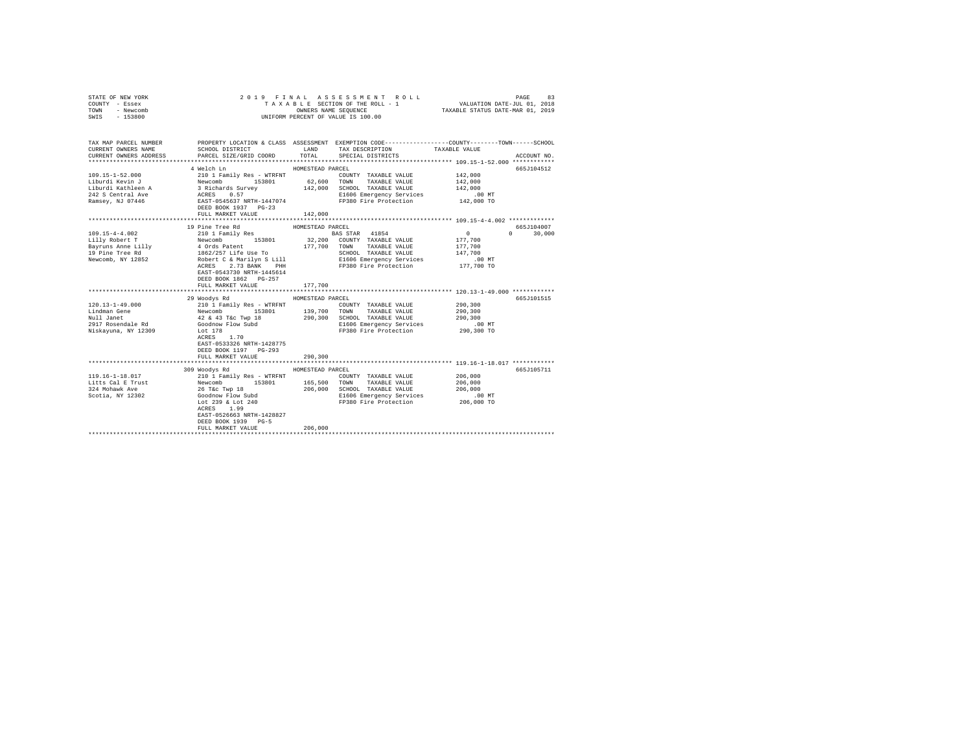| STATE OF NEW YORK<br>COUNTY - Essex<br>TOWN<br>- Newcomb                   |                                                                                                                                                                                                                                                                                                             |                  | 2019 FINAL ASSESSMENT ROLL<br>TAXABLE SECTION OF THE ROLL - 1                                                                                                          | VALUATION DATE-JUL 01, 2018<br>TAXABLE STATUS DATE-MAR 01, 2019 | PAGE<br>83                       |
|----------------------------------------------------------------------------|-------------------------------------------------------------------------------------------------------------------------------------------------------------------------------------------------------------------------------------------------------------------------------------------------------------|------------------|------------------------------------------------------------------------------------------------------------------------------------------------------------------------|-----------------------------------------------------------------|----------------------------------|
| SWIS - 153800                                                              |                                                                                                                                                                                                                                                                                                             |                  | OWNERS NAME SEQUENCE<br>UNIFORM PERCENT OF VALUE IS 100.00                                                                                                             |                                                                 |                                  |
| CURRENT OWNERS NAME<br>CURRENT OWNERS ADDRESS                              | TAX MAP PARCEL NUMBER PROPERTY LOCATION & CLASS ASSESSMENT EXEMPTION CODE---------------COUNTY-------TOWN------SCHOOL<br>SCHOOL DISTRICT LAND<br>PARCEL SIZE/GRID COORD TOTAL                                                                                                                               |                  | TAX DESCRIPTION<br>SPECIAL DISTRICTS                                                                                                                                   | TAXABLE VALUE                                                   | ACCOUNT NO.                      |
|                                                                            |                                                                                                                                                                                                                                                                                                             |                  |                                                                                                                                                                        |                                                                 |                                  |
|                                                                            | 4 Welch Ln                                                                                                                                                                                                                                                                                                  | HOMESTEAD PARCEL |                                                                                                                                                                        |                                                                 | 665J104512                       |
| 109.15-1-52.000                                                            | 210 1 Family Res - WTRFNT<br>$\begin{tabular}{l c c c c c c c c} \hline L1Durd1 & Rovion1 & Rovconl & 153801 & 62,600 & 70000 & 700000 & 7000000 & 70000000 & 70000000 & 70000000 & 70000000 & 70000000 & 7000000 & 7000000 & 7000000 & 7000000 & 7000000 & 7000000 & 7000000 & 7000000 & 7000000 & 70000$  |                  | COUNTY TAXABLE VALUE<br>E1606 Emergency Services 0.00 MT<br>FP380 Fire Protection 142,000 TO                                                                           | 142,000<br>142,000<br>142,000                                   |                                  |
|                                                                            | FULL MARKET VALUE                                                                                                                                                                                                                                                                                           | 142,000          |                                                                                                                                                                        |                                                                 |                                  |
|                                                                            |                                                                                                                                                                                                                                                                                                             |                  |                                                                                                                                                                        |                                                                 |                                  |
| $109.15 - 4 - 4.002$                                                       | 19 Pine Tree Rd<br>210 1 Family Res<br>Newcomb 153801 32,200 COUNTY TAXABLE VALUE                                                                                                                                                                                                                           | HOMESTEAD PARCEL |                                                                                                                                                                        | $\sim$ 0                                                        | 665J104007<br>$\Omega$<br>30,000 |
| Lilly Robert T                                                             | Bayruns Anne Lilly and the Statent of Tomas Anne Lilly and the Staten of Tomas Report of Tomas Report of New York Report of Marilyn Staten Staten Staten Staten Staten Staten Staten Staten Staten Staten Staten Staten Staten<br>ACRES 2.73 BANK PHH<br>EAST-0543730 NRTH-1445614<br>DEED BOOK 1862 PG-257 |                  | 177,700 TOWN TAXABLE VALUE<br>SCHOOL TAXABLE VALUE<br>E1606 Emergency Services<br>FP380 Fire Protection                                                                | 177,700<br>177,700<br>147,700<br>$.00$ MT<br>177,700 TO         |                                  |
|                                                                            | FULL MARKET VALUE                                                                                                                                                                                                                                                                                           | 177,700          |                                                                                                                                                                        |                                                                 |                                  |
| $120.13 - 1 - 49.000$                                                      | 29 Woodys Rd<br>210 1 Family Res - WTRFNT                                                                                                                                                                                                                                                                   | HOMESTEAD PARCEL | COUNTY TAXABLE VALUE                                                                                                                                                   | 290,300                                                         | 665J101515                       |
| Lindman Gene<br>Null Janet<br>2917 Rosendale Rd<br>Niskayuna, NY 12309     | Goodnow Flow Subd<br>Lot 178<br>ACRES 1.70<br>EAST-0533326 NRTH-1428775                                                                                                                                                                                                                                     |                  | E1606 Emergency Services<br>FP380 Fire Protection                                                                                                                      | 290,300<br>290,300<br>$.00$ MT<br>290,300 TO                    |                                  |
|                                                                            | DEED BOOK 1197 PG-293<br>FULL MARKET VALUE                                                                                                                                                                                                                                                                  | 290,300          |                                                                                                                                                                        |                                                                 |                                  |
|                                                                            |                                                                                                                                                                                                                                                                                                             |                  |                                                                                                                                                                        |                                                                 |                                  |
| 119.16-1-18.017<br>Litts Cal E Trust<br>324 Mohawk Ave<br>Scotia, NY 12302 | 309 Woodys Rd<br>210 1 Family Res - WTRFNT<br>Newcomb 153801<br>26 Tkc Twp 18<br>Goodnow Flow Subd<br>Lot 239 & Lot 240<br>arFFS 199<br>ACRES 1.99<br>EAST-0526663 NRTH-1428827<br>DEED BOOK 1939 PG-5                                                                                                      | HOMESTEAD PARCEL | COUNTY TAXABLE VALUE<br>153801   165,500   TOWN   TAXABLE VALUE<br>206,000 SCHOOL TAXABLE VALUE<br>El606 Emergency Services .00 MT<br>FP380 Fire Protection 206,000 TO | 206,000<br>206,000<br>206,000                                   | 665J105711                       |
|                                                                            | FULL MARKET VALUE                                                                                                                                                                                                                                                                                           | 206,000          |                                                                                                                                                                        |                                                                 |                                  |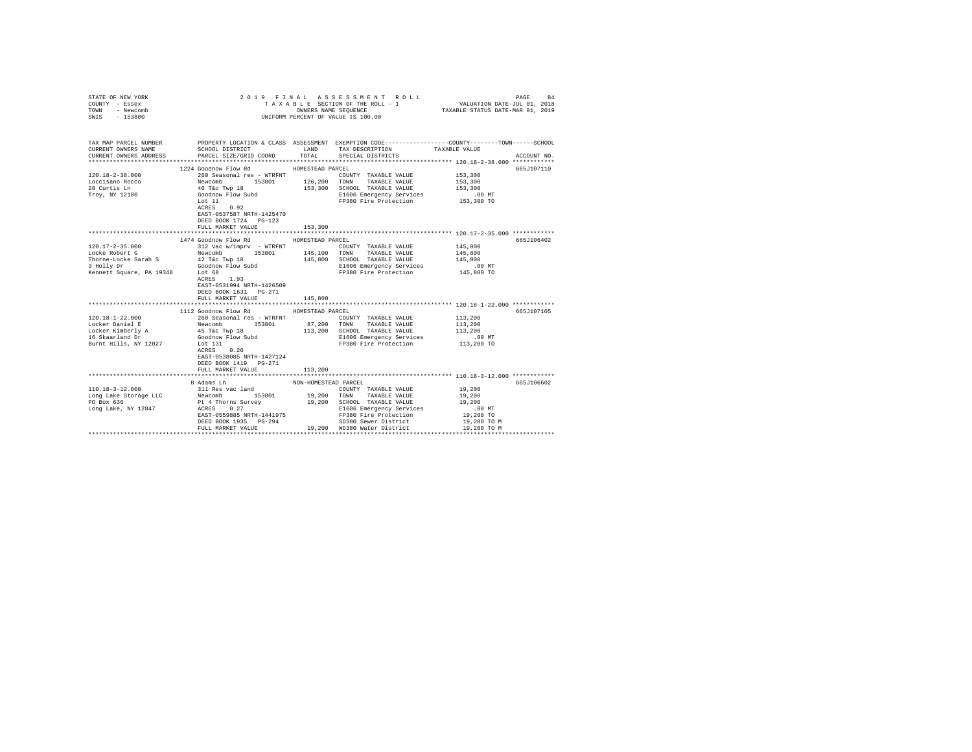| STATE OF NEW YORK<br>COUNTY - Essex<br>TOWN - Newcomb |                                                                                                                                                              |                      | 2019 FINAL ASSESSMENT ROLL<br>3 L E SECTION OF THE ROLL - 1 VALUATION DATE-JUL 01, 2018<br>OWNERS NAME SEQUENCE TAXABLE STATUS DATE-MAR 01, 2019<br>TAXABLE SECTION OF THE ROLL - 1 |                                                             | PAGE<br>84  |
|-------------------------------------------------------|--------------------------------------------------------------------------------------------------------------------------------------------------------------|----------------------|-------------------------------------------------------------------------------------------------------------------------------------------------------------------------------------|-------------------------------------------------------------|-------------|
| SWIS - 153800                                         |                                                                                                                                                              |                      | UNIFORM PERCENT OF VALUE IS 100.00                                                                                                                                                  |                                                             |             |
| CURRENT OWNERS NAME                                   | TAX MAP PARCEL NUMBER PROPERTY LOCATION & CLASS ASSESSMENT EXEMPTION CODE--------------COUNTY-------TOWN------SCHOOL<br>SCHOOL DISTRICT TAND TAX DESCRIPTION |                      |                                                                                                                                                                                     | TAXABLE VALUE                                               |             |
| CURRENT OWNERS ADDRESS                                | PARCEL SIZE/GRID COORD TOTAL SPECIAL DISTRICTS                                                                                                               |                      |                                                                                                                                                                                     |                                                             | ACCOUNT NO. |
|                                                       | 1224 Goodnow Flow Rd                                                                                                                                         | HOMESTEAD PARCEL     |                                                                                                                                                                                     |                                                             | 665J107110  |
| $120.18 - 2 - 38.000$                                 | 260 Seasonal res - WTRFNT                                                                                                                                    |                      | COUNTY TAXABLE VALUE                                                                                                                                                                | 153,300                                                     |             |
| Loccisano Rocco                                       |                                                                                                                                                              |                      |                                                                                                                                                                                     | 153,300                                                     |             |
| 28 Curtis Ln                                          | Newcomb ---- --- 153801 126,200 TOWN TAXABLE VALUE<br>46 Tác Twp 18 153,300 5CHOOL TAXABLE VALUE<br>GOOdhow Flow Subdi 153,300 E1506 Emergency Services      |                      |                                                                                                                                                                                     | 153,300                                                     |             |
| Troy, NY 12180                                        |                                                                                                                                                              |                      | E1606 Emergency Services                                                                                                                                                            | $.00$ MT                                                    |             |
|                                                       | Lot 11                                                                                                                                                       |                      | FP380 Fire Protection 153,300 TO                                                                                                                                                    |                                                             |             |
|                                                       | ACRES 0.92                                                                                                                                                   |                      |                                                                                                                                                                                     |                                                             |             |
|                                                       | EAST-0537587 NRTH-1425470                                                                                                                                    |                      |                                                                                                                                                                                     |                                                             |             |
|                                                       | DEED BOOK 1724 PG-123                                                                                                                                        |                      |                                                                                                                                                                                     |                                                             |             |
|                                                       | FULL MARKET VALUE                                                                                                                                            | 153,300              |                                                                                                                                                                                     |                                                             |             |
|                                                       |                                                                                                                                                              |                      |                                                                                                                                                                                     | ****************************** 120.17-2-35.000 ************ |             |
|                                                       | 1474 Goodnow Flow Rd                                                                                                                                         | HOMESTEAD PARCEL     |                                                                                                                                                                                     |                                                             | 665J106402  |
| $120.17 - 2 - 35.000$<br>Locke Robert G               | 312 Vac w/imprv - WTRFNT<br>Newcomb 153801 145,100 TOWN TAXABLE VALUE                                                                                        |                      | COUNTY TAXABLE VALUE                                                                                                                                                                | 145,800                                                     |             |
|                                                       |                                                                                                                                                              |                      | 145,800 SCHOOL TAXABLE VALUE                                                                                                                                                        | 145,800<br>145,800                                          |             |
| Thorne-Locke Sarah S<br>3 Holly Dr                    | 42 T&c Twp 18<br>Goodnow Flow Subd                                                                                                                           |                      | E1606 Emergency Services                                                                                                                                                            | .00 MT                                                      |             |
| Kennett Square, PA 19348 Lot 68                       |                                                                                                                                                              |                      | FP380 Fire Protection                                                                                                                                                               | 145,800 TO                                                  |             |
|                                                       | ACRES 1.93                                                                                                                                                   |                      |                                                                                                                                                                                     |                                                             |             |
|                                                       | EAST-0531994 NRTH-1426509                                                                                                                                    |                      |                                                                                                                                                                                     |                                                             |             |
|                                                       | DEED BOOK 1631 PG-271                                                                                                                                        |                      |                                                                                                                                                                                     |                                                             |             |
|                                                       | FULL MARKET VALUE                                                                                                                                            | 145,800              |                                                                                                                                                                                     |                                                             |             |
|                                                       |                                                                                                                                                              |                      |                                                                                                                                                                                     |                                                             |             |
|                                                       | 1112 Goodnow Flow Rd MOMESTEAD PARCEL                                                                                                                        |                      |                                                                                                                                                                                     |                                                             | 665J107105  |
| $120.18 - 1 - 22.000$                                 | 260 Seasonal res - WTRFNT                                                                                                                                    |                      | COUNTY TAXABLE VALUE                                                                                                                                                                | 113,200                                                     |             |
| Locker Daniel E                                       | Newcomb 153801<br>45 T&c Twp 18                                                                                                                              |                      | 87,200 TOWN TAXABLE VALUE<br>113,200 SCHOOL TAXABLE VALUE                                                                                                                           | 113,200                                                     |             |
| Locker Kimberly A                                     |                                                                                                                                                              |                      |                                                                                                                                                                                     | 113,200                                                     |             |
| 16 Skaarland Dr                                       | Goodnow Flow Subd                                                                                                                                            |                      | E1606 Emergency Services                                                                                                                                                            | $.00$ MT                                                    |             |
| Burnt Hills, NY 12027                                 | Lot 131                                                                                                                                                      |                      | FP380 Fire Protection 113,200 TO                                                                                                                                                    |                                                             |             |
|                                                       | ACRES 0.20                                                                                                                                                   |                      |                                                                                                                                                                                     |                                                             |             |
|                                                       | EAST-0538085 NRTH-1427124                                                                                                                                    |                      |                                                                                                                                                                                     |                                                             |             |
|                                                       | DEED BOOK 1419    PG-271                                                                                                                                     |                      |                                                                                                                                                                                     |                                                             |             |
|                                                       | FULL MARKET VALUE                                                                                                                                            | 113,200              |                                                                                                                                                                                     |                                                             |             |
|                                                       |                                                                                                                                                              |                      |                                                                                                                                                                                     |                                                             |             |
| $110.18 - 3 - 12.000$                                 | 8 Adams Ln                                                                                                                                                   | NON-HOMESTEAD PARCEL | COUNTY TAXABLE VALUE                                                                                                                                                                | 19,200                                                      | 665J106602  |
|                                                       | 311 Res vac land<br>Newcomb 153801                                                                                                                           |                      | 19,200 TOWN TAXABLE VALUE                                                                                                                                                           | 19,200                                                      |             |
| Long Lake Storage LLC<br>PO Box 636                   |                                                                                                                                                              |                      |                                                                                                                                                                                     | 19,200                                                      |             |
| Long Lake, NY 12847                                   | Pt 4 Thorns Survey 19,200 SCHOOL TAXABLE VALUE<br>ACRES 0.27                                                                                                 |                      | E1606 Emergency Services                                                                                                                                                            | $.00$ MT                                                    |             |
|                                                       |                                                                                                                                                              |                      | FP380 Fire Protection                                                                                                                                                               | 19,200 TO                                                   |             |
|                                                       | EAST-0559885 NRTH-1441975<br>DEED BOOK 1935 PG-294                                                                                                           |                      | SD380 Sewer District                                                                                                                                                                | 19,200 TO M                                                 |             |
|                                                       | FULL MARKET VALUE                                                                                                                                            |                      | 19,200 WD380 Water District                                                                                                                                                         | 19,200 TO M                                                 |             |
|                                                       |                                                                                                                                                              |                      |                                                                                                                                                                                     |                                                             |             |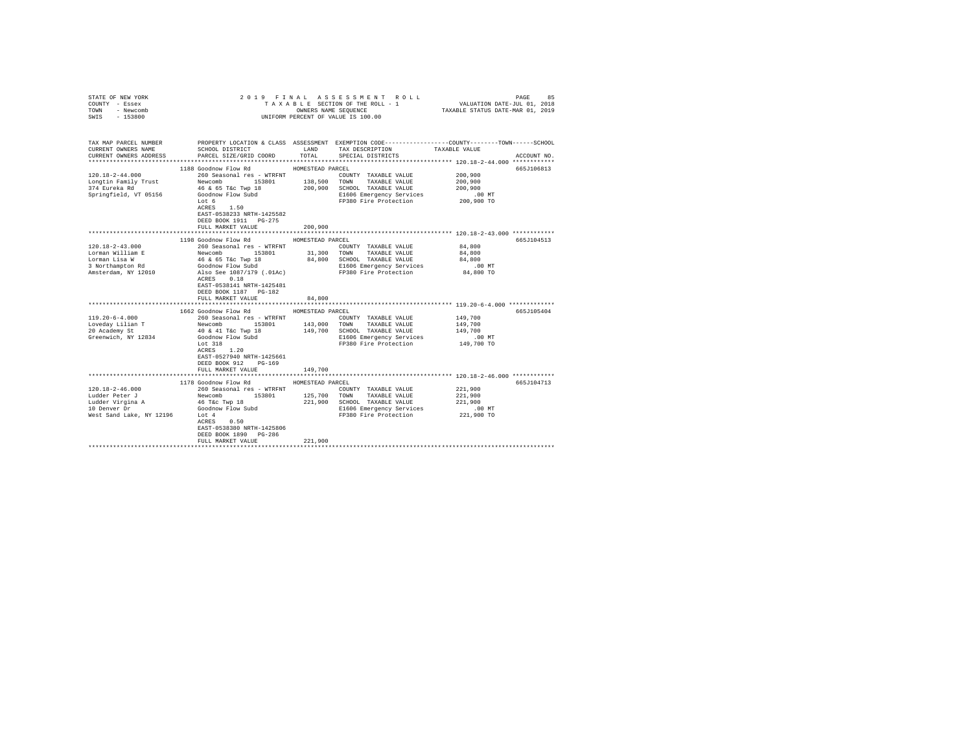| TAXABLE SECTION OF THE ROLL - 1 VALUATION DATE-JUL 01, 2018<br>COUNTY - Essex<br>TAXABLE STATUS DATE-MAR 01, 2019<br>OWNERS NAME SEQUENCE<br>TOWN - Newcomb<br>SWIS - 153800<br>UNIFORM PERCENT OF VALUE IS 100.00                                                                                                                                                                                                                                                                                                                                                                                                                                                                                                                                                                                                                                                                                                                                                                                      |                           |
|---------------------------------------------------------------------------------------------------------------------------------------------------------------------------------------------------------------------------------------------------------------------------------------------------------------------------------------------------------------------------------------------------------------------------------------------------------------------------------------------------------------------------------------------------------------------------------------------------------------------------------------------------------------------------------------------------------------------------------------------------------------------------------------------------------------------------------------------------------------------------------------------------------------------------------------------------------------------------------------------------------|---------------------------|
| TAX MAP PARCEL NUMBER PROPERTY LOCATION & CLASS ASSESSMENT EXEMPTION CODE--------------COUNTY-------TOWN-----SCHOOL<br>SCHOOL DISTRICT<br>LAND TAX DESCRIPTION<br>CURRENT OWNERS NAME<br>TAXABLE VALUE<br>TOTAL<br>CURRENT OWNERS ADDRESS<br>PARCEL SIZE/GRID COORD<br>SPECIAL DISTRICTS                                                                                                                                                                                                                                                                                                                                                                                                                                                                                                                                                                                                                                                                                                                | ACCOUNT NO.               |
| 1188 Goodnow Flow Rd<br>HOMESTEAD PARCEL<br>$120.18 - 2 - 44.000$<br>260 Seasonal res - WTRFNT<br>200,900<br>COUNTY TAXABLE VALUE<br>Longtin Family Trust<br>200,900<br>374 Eureka Rd<br>200,900<br>Springfield, VT 05156<br>Goodnow Flow Subd<br>E1606 Emergency Services<br>$.00$ MT<br>FP380 Fire Protection<br>Lot 6<br>200,900 TO<br>ACRES 1.50<br>EAST-0538233 NRTH-1425582<br>DEED BOOK 1911    PG-275<br>200,900<br>FULL MARKET VALUE                                                                                                                                                                                                                                                                                                                                                                                                                                                                                                                                                           | 665J106813                |
| **************************** 120.18-2-43.000 ************                                                                                                                                                                                                                                                                                                                                                                                                                                                                                                                                                                                                                                                                                                                                                                                                                                                                                                                                               |                           |
| 1198 Goodnow Flow Rd HOMESTEAD PARCEL<br>$120.18 - 2 - 43.000$<br>260 Seasonal res - WTRFNT<br>84,800<br>COUNTY TAXABLE VALUE<br>Newcomb 153801 31,300 TOWN TAXABLE VALUE<br>Lorman William E<br>84,800<br>46 & 65 T&c Twp 18<br>84,800 SCHOOL TAXABLE VALUE<br>Lorman Lisa W<br>84,800<br>Goodnow Flow Subd<br>Also See 1087/179 (.01Ac)<br>3 Northampton Rd<br>E1606 Emergency Services<br>$.00$ MT<br>84,800 TO<br>FP380 Fire Protection<br>Amsterdam, NY 12010<br>ACRES 0.18<br>EAST-0538141 NRTH-1425481<br>DEED BOOK 1187 PG-182<br>84,800<br>FULL MARKET VALUE<br>1662 Goodnow Flow Rd<br>HOMESTEAD PARCEL<br>$119.20 - 6 - 4.000$<br>149,700<br>COUNTY TAXABLE VALUE<br>Loveday Lilian T<br>20 Academy St<br>149,700<br>40 & 41 T&c Twp 18<br>149,700 SCHOOL TAXABLE VALUE<br>149,700<br>Greenwich, NY 12834<br>Goodnow Flow Subd<br>E1606 Emergency Services<br>.00 MT<br>Lot 318<br>149,700 TO<br>FP380 Fire Protection<br>ACRES 1.20<br>EAST-0527940 NRTH-1425661<br>DEED BOOK 912<br>PG-169 | 665J104513<br>665.T105404 |
| FULL MARKET VALUE<br>149,700                                                                                                                                                                                                                                                                                                                                                                                                                                                                                                                                                                                                                                                                                                                                                                                                                                                                                                                                                                            |                           |
| 1178 Goodnow Flow Rd<br>HOMESTEAD PARCEL<br>$120.18 - 2 - 46.000$<br>260 Seasonal res - WTRFNT<br>221,900<br>COUNTY TAXABLE VALUE<br>125,700<br>Newcomb 153801<br>Ludder Peter J<br>TOWN TAXABLE VALUE<br>221,900<br>46 T&C Twp 18<br>Ludder Virgina A<br>221,900 SCHOOL TAXABLE VALUE<br>221,900<br>Goodnow Flow Subd<br>Lot 4<br>ACRES 0.50<br>10 Denver Dr<br>E1606 Emergency Services<br>$.00$ MT<br>FP380 Fire Protection 221,900 TO<br>West Sand Lake, NY 12196 Lot 4<br>EAST-0538380 NRTH-1425806<br>DEED BOOK 1890 PG-286                                                                                                                                                                                                                                                                                                                                                                                                                                                                       | 665J104713                |
| 221,900<br>FULL MARKET VALUE                                                                                                                                                                                                                                                                                                                                                                                                                                                                                                                                                                                                                                                                                                                                                                                                                                                                                                                                                                            |                           |

STATE OF NEW YORK 2 0 1 9 F I N A L A S S E S S M E N T R O L L PAGE 85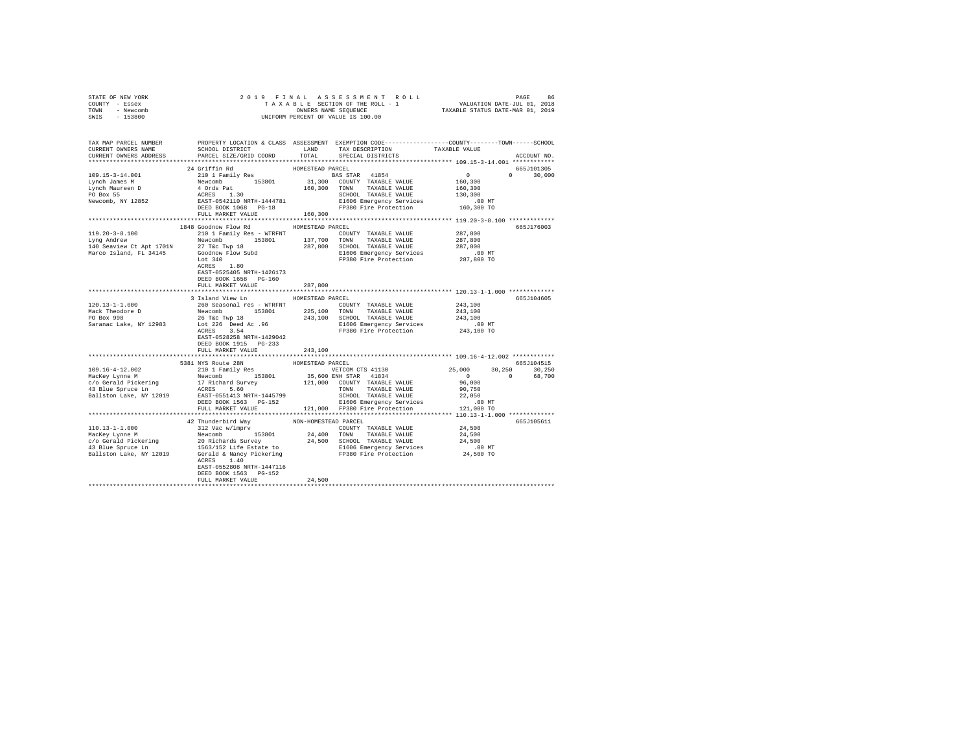|                | STATE OF NEW YORK |  |  |  |                                    |  | 2019 FINAL ASSESSMENT ROLL |                                  | PAGE | 86 |
|----------------|-------------------|--|--|--|------------------------------------|--|----------------------------|----------------------------------|------|----|
| COUNTY - Essex |                   |  |  |  | TAXABLE SECTION OF THE ROLL - 1    |  |                            | VALUATION DATE-JUL 01, 2018      |      |    |
| TOWN           | - Newcomb         |  |  |  | OWNERS NAME SEOUENCE               |  |                            | TAXABLE STATUS DATE-MAR 01, 2019 |      |    |
| SWIS           | $-153800$         |  |  |  | UNIFORM PERCENT OF VALUE IS 100.00 |  |                            |                                  |      |    |
|                |                   |  |  |  |                                    |  |                            |                                  |      |    |

| TAX MAP PARCEL NUMBER                                                                                                                                                                                                                                                                                                                                                                                             |                                                    |                                    | PROPERTY LOCATION & CLASS ASSESSMENT EXEMPTION CODE---------------COUNTY-------TOWN-----SCHOOL                                                                                                                                                                                                                                                                                                                                                                                             |                                                    |               |
|-------------------------------------------------------------------------------------------------------------------------------------------------------------------------------------------------------------------------------------------------------------------------------------------------------------------------------------------------------------------------------------------------------------------|----------------------------------------------------|------------------------------------|--------------------------------------------------------------------------------------------------------------------------------------------------------------------------------------------------------------------------------------------------------------------------------------------------------------------------------------------------------------------------------------------------------------------------------------------------------------------------------------------|----------------------------------------------------|---------------|
| CURRENT OWNERS NAME                                                                                                                                                                                                                                                                                                                                                                                               | SCHOOL DISTRICT                                    | LAND                               | $\begin{tabular}{ll} \multicolumn{2}{c}{\multicolumn{2}{c}{\textbf{Cov}}}{\multicolumn{2}{c}{\textbf{Cov}}}{\multicolumn{2}{c}{\textbf{Cov}}}{\multicolumn{2}{c}{\textbf{Cov}}}{\textbf{Cov}}}{\textbf{Cov}}}{\textbf{Cov}}\\ \multicolumn{2}{c}{\textbf{SPECIAL DISTRICTS}} & \multicolumn{2}{c}{\textbf{TAXABLE VALUE}}\\ \multicolumn{2}{c}{\textbf{SPECIAL DISTRICTS}} & \multicolumn{2}{c}{\textbf{TAXABLE VALUE}}\\ \multicolumn{2}{c}{\textbf{SPECIAL DISTRICTS}} & \multicolumn{2$ |                                                    |               |
| CURRENT OWNERS ADDRESS PARCEL SIZE/GRID COORD TOTAL                                                                                                                                                                                                                                                                                                                                                               |                                                    |                                    |                                                                                                                                                                                                                                                                                                                                                                                                                                                                                            |                                                    | ACCOUNT NO.   |
|                                                                                                                                                                                                                                                                                                                                                                                                                   |                                                    |                                    |                                                                                                                                                                                                                                                                                                                                                                                                                                                                                            | ******************* 109.15-3-14.001 ************   |               |
|                                                                                                                                                                                                                                                                                                                                                                                                                   | 24 Griffin Rd                                      | HOMESTEAD PARCEL                   |                                                                                                                                                                                                                                                                                                                                                                                                                                                                                            |                                                    | 665J101305    |
|                                                                                                                                                                                                                                                                                                                                                                                                                   |                                                    |                                    |                                                                                                                                                                                                                                                                                                                                                                                                                                                                                            |                                                    | $0 \t 30,000$ |
|                                                                                                                                                                                                                                                                                                                                                                                                                   |                                                    |                                    |                                                                                                                                                                                                                                                                                                                                                                                                                                                                                            |                                                    |               |
|                                                                                                                                                                                                                                                                                                                                                                                                                   |                                                    |                                    |                                                                                                                                                                                                                                                                                                                                                                                                                                                                                            |                                                    |               |
|                                                                                                                                                                                                                                                                                                                                                                                                                   |                                                    |                                    |                                                                                                                                                                                                                                                                                                                                                                                                                                                                                            |                                                    |               |
|                                                                                                                                                                                                                                                                                                                                                                                                                   |                                                    |                                    |                                                                                                                                                                                                                                                                                                                                                                                                                                                                                            |                                                    |               |
|                                                                                                                                                                                                                                                                                                                                                                                                                   |                                                    |                                    |                                                                                                                                                                                                                                                                                                                                                                                                                                                                                            |                                                    |               |
|                                                                                                                                                                                                                                                                                                                                                                                                                   |                                                    |                                    |                                                                                                                                                                                                                                                                                                                                                                                                                                                                                            |                                                    |               |
|                                                                                                                                                                                                                                                                                                                                                                                                                   | FULL MARKET VALUE<br>****************************  | 160,300<br>*********************** |                                                                                                                                                                                                                                                                                                                                                                                                                                                                                            |                                                    |               |
|                                                                                                                                                                                                                                                                                                                                                                                                                   |                                                    |                                    |                                                                                                                                                                                                                                                                                                                                                                                                                                                                                            | ******************* 119.20-3-8.100 ************    |               |
|                                                                                                                                                                                                                                                                                                                                                                                                                   | 1848 Goodnow Flow Rd                               | HOMESTEAD PARCEL                   |                                                                                                                                                                                                                                                                                                                                                                                                                                                                                            |                                                    | 665J176003    |
|                                                                                                                                                                                                                                                                                                                                                                                                                   |                                                    |                                    |                                                                                                                                                                                                                                                                                                                                                                                                                                                                                            |                                                    |               |
|                                                                                                                                                                                                                                                                                                                                                                                                                   |                                                    |                                    |                                                                                                                                                                                                                                                                                                                                                                                                                                                                                            |                                                    |               |
|                                                                                                                                                                                                                                                                                                                                                                                                                   |                                                    |                                    |                                                                                                                                                                                                                                                                                                                                                                                                                                                                                            |                                                    |               |
|                                                                                                                                                                                                                                                                                                                                                                                                                   |                                                    |                                    |                                                                                                                                                                                                                                                                                                                                                                                                                                                                                            |                                                    |               |
| $10.20-3-8.100$ 2010 I Family Res - WTRFNT<br>2010 I Family Res - WTRFNT<br>2010 I Family Res - WTRFNT<br>2020 137,700 TOWNT TAXABLE VALUE<br>2021 137,700 TOWN TAXABLE VALUE<br>2021 137,700 TOWN TAXABLE VALUE<br>2021,800 2021,800 SCH                                                                                                                                                                         |                                                    |                                    |                                                                                                                                                                                                                                                                                                                                                                                                                                                                                            |                                                    |               |
|                                                                                                                                                                                                                                                                                                                                                                                                                   |                                                    |                                    |                                                                                                                                                                                                                                                                                                                                                                                                                                                                                            |                                                    |               |
|                                                                                                                                                                                                                                                                                                                                                                                                                   |                                                    |                                    |                                                                                                                                                                                                                                                                                                                                                                                                                                                                                            |                                                    |               |
|                                                                                                                                                                                                                                                                                                                                                                                                                   | EAST-0525405 NRTH-1426173<br>DEED BOOK 1658 PG-160 |                                    |                                                                                                                                                                                                                                                                                                                                                                                                                                                                                            |                                                    |               |
|                                                                                                                                                                                                                                                                                                                                                                                                                   | FULL MARKET VALUE                                  | 287,800                            |                                                                                                                                                                                                                                                                                                                                                                                                                                                                                            |                                                    |               |
|                                                                                                                                                                                                                                                                                                                                                                                                                   |                                                    |                                    |                                                                                                                                                                                                                                                                                                                                                                                                                                                                                            |                                                    |               |
|                                                                                                                                                                                                                                                                                                                                                                                                                   | 3 Island View Ln                                   | HOMESTEAD PARCEL                   |                                                                                                                                                                                                                                                                                                                                                                                                                                                                                            |                                                    | 665J104605    |
|                                                                                                                                                                                                                                                                                                                                                                                                                   |                                                    |                                    |                                                                                                                                                                                                                                                                                                                                                                                                                                                                                            |                                                    |               |
|                                                                                                                                                                                                                                                                                                                                                                                                                   |                                                    |                                    |                                                                                                                                                                                                                                                                                                                                                                                                                                                                                            |                                                    |               |
|                                                                                                                                                                                                                                                                                                                                                                                                                   |                                                    |                                    |                                                                                                                                                                                                                                                                                                                                                                                                                                                                                            |                                                    |               |
|                                                                                                                                                                                                                                                                                                                                                                                                                   |                                                    |                                    |                                                                                                                                                                                                                                                                                                                                                                                                                                                                                            |                                                    |               |
|                                                                                                                                                                                                                                                                                                                                                                                                                   |                                                    |                                    |                                                                                                                                                                                                                                                                                                                                                                                                                                                                                            |                                                    |               |
|                                                                                                                                                                                                                                                                                                                                                                                                                   | EAST-0528258 NRTH-1429042                          |                                    |                                                                                                                                                                                                                                                                                                                                                                                                                                                                                            |                                                    |               |
|                                                                                                                                                                                                                                                                                                                                                                                                                   | DEED BOOK 1915 PG-233                              |                                    |                                                                                                                                                                                                                                                                                                                                                                                                                                                                                            |                                                    |               |
|                                                                                                                                                                                                                                                                                                                                                                                                                   |                                                    |                                    |                                                                                                                                                                                                                                                                                                                                                                                                                                                                                            |                                                    |               |
|                                                                                                                                                                                                                                                                                                                                                                                                                   |                                                    |                                    |                                                                                                                                                                                                                                                                                                                                                                                                                                                                                            |                                                    |               |
| 103.1678 -4-12.002<br>108.1678 -4-12.002 -4-12.002 -4-12.002 -4-12.002 -4-12.002 -4-12.002 -4-12.002 -4-12.002 -4-12.002 -4-12.002 -4-12.002 -4-12.002 -4-12.002 -4-12.002 -4-12.002 -4-12.002 -4-12.002 -4-12.002 -4-12.002 -4-                                                                                                                                                                                  |                                                    |                                    |                                                                                                                                                                                                                                                                                                                                                                                                                                                                                            |                                                    | 665J104515    |
|                                                                                                                                                                                                                                                                                                                                                                                                                   |                                                    |                                    |                                                                                                                                                                                                                                                                                                                                                                                                                                                                                            |                                                    |               |
|                                                                                                                                                                                                                                                                                                                                                                                                                   |                                                    |                                    |                                                                                                                                                                                                                                                                                                                                                                                                                                                                                            | $25,000$ $30,250$ $30,250$<br>0 0 68,700<br>96,000 |               |
|                                                                                                                                                                                                                                                                                                                                                                                                                   |                                                    |                                    |                                                                                                                                                                                                                                                                                                                                                                                                                                                                                            |                                                    |               |
|                                                                                                                                                                                                                                                                                                                                                                                                                   |                                                    |                                    |                                                                                                                                                                                                                                                                                                                                                                                                                                                                                            |                                                    |               |
|                                                                                                                                                                                                                                                                                                                                                                                                                   |                                                    |                                    |                                                                                                                                                                                                                                                                                                                                                                                                                                                                                            |                                                    |               |
|                                                                                                                                                                                                                                                                                                                                                                                                                   |                                                    |                                    |                                                                                                                                                                                                                                                                                                                                                                                                                                                                                            |                                                    |               |
|                                                                                                                                                                                                                                                                                                                                                                                                                   |                                                    |                                    |                                                                                                                                                                                                                                                                                                                                                                                                                                                                                            |                                                    |               |
|                                                                                                                                                                                                                                                                                                                                                                                                                   |                                                    |                                    |                                                                                                                                                                                                                                                                                                                                                                                                                                                                                            |                                                    |               |
|                                                                                                                                                                                                                                                                                                                                                                                                                   |                                                    |                                    |                                                                                                                                                                                                                                                                                                                                                                                                                                                                                            |                                                    |               |
|                                                                                                                                                                                                                                                                                                                                                                                                                   |                                                    |                                    |                                                                                                                                                                                                                                                                                                                                                                                                                                                                                            |                                                    | 665J105611    |
|                                                                                                                                                                                                                                                                                                                                                                                                                   |                                                    |                                    |                                                                                                                                                                                                                                                                                                                                                                                                                                                                                            |                                                    |               |
|                                                                                                                                                                                                                                                                                                                                                                                                                   |                                                    |                                    |                                                                                                                                                                                                                                                                                                                                                                                                                                                                                            |                                                    |               |
|                                                                                                                                                                                                                                                                                                                                                                                                                   |                                                    |                                    |                                                                                                                                                                                                                                                                                                                                                                                                                                                                                            |                                                    |               |
| $\begin{tabular}{l c c c c c} \multicolumn{1}{c}{\textbf{10.13--1--1.000}} & \multicolumn{1}{c}{\textbf{42}}{\textbf{T}}\textbf{u}m\textbf{m}e\textbf{r}\textbf{b}^2\textbf{r}\textbf{b}^2\textbf{r}} & \multicolumn{1}{c}{\textbf{NN-HOMESTRAD PARCH}} & \multicolumn{1}{c}{\textbf{PACEL}} & \multicolumn{1}{c}{\textbf{110.13--1--1.000}} & \multicolumn{1}{c}{\textbf{42}}{\textbf{W}}\textbf{w}\textbf{c}^2$ |                                                    |                                    |                                                                                                                                                                                                                                                                                                                                                                                                                                                                                            |                                                    |               |
|                                                                                                                                                                                                                                                                                                                                                                                                                   |                                                    |                                    |                                                                                                                                                                                                                                                                                                                                                                                                                                                                                            |                                                    |               |
|                                                                                                                                                                                                                                                                                                                                                                                                                   | ACRES 1.40                                         |                                    |                                                                                                                                                                                                                                                                                                                                                                                                                                                                                            |                                                    |               |
|                                                                                                                                                                                                                                                                                                                                                                                                                   | EAST-0552808 NRTH-1447116                          |                                    |                                                                                                                                                                                                                                                                                                                                                                                                                                                                                            |                                                    |               |
|                                                                                                                                                                                                                                                                                                                                                                                                                   |                                                    |                                    |                                                                                                                                                                                                                                                                                                                                                                                                                                                                                            |                                                    |               |
|                                                                                                                                                                                                                                                                                                                                                                                                                   | DEED BOOK 1563 PG-152<br>FULL MARKET VALUE         | 24,500                             |                                                                                                                                                                                                                                                                                                                                                                                                                                                                                            |                                                    |               |
|                                                                                                                                                                                                                                                                                                                                                                                                                   |                                                    |                                    |                                                                                                                                                                                                                                                                                                                                                                                                                                                                                            |                                                    |               |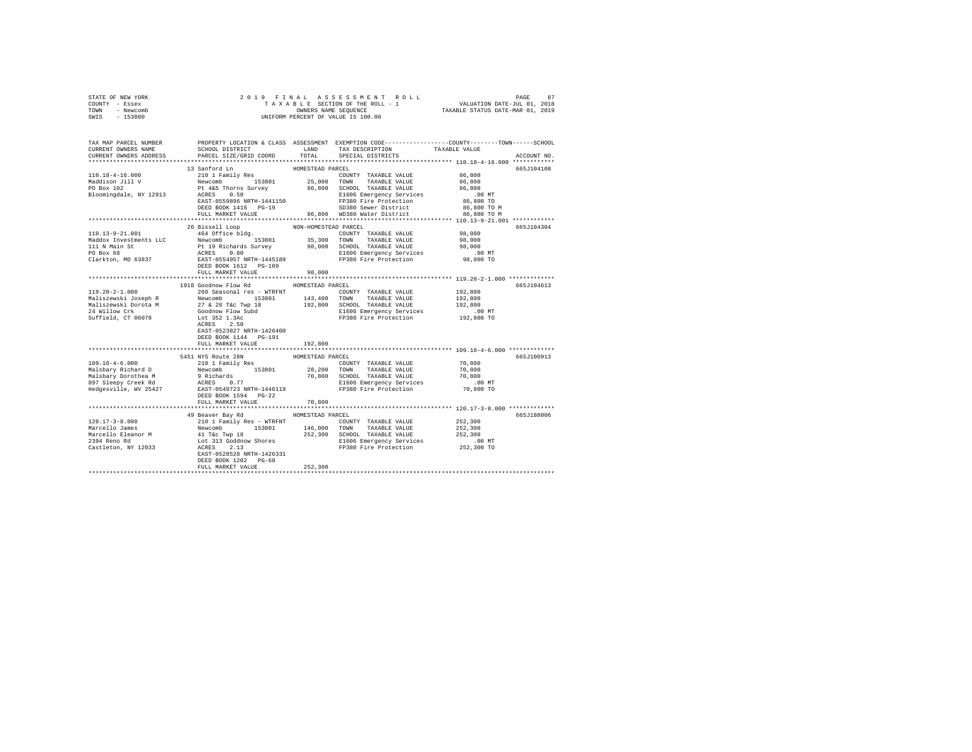| TOWN - Newcomb<br>SWIS - 153800               |                                                                                                                                                                                                                                  |                            | OWNERS NAME SEQUENCE TAXABLE STATUS DATE-MAR 01, 2019<br>UNIFORM PERCENT OF VALUE IS 100.00 |                                                        |             |
|-----------------------------------------------|----------------------------------------------------------------------------------------------------------------------------------------------------------------------------------------------------------------------------------|----------------------------|---------------------------------------------------------------------------------------------|--------------------------------------------------------|-------------|
|                                               | TAX MAP PARCEL NUMBER PROPERTY LOCATION & CLASS ASSESSMENT EXEMPTION CODE--------------COUNTY-------TOWN------SCHOOL                                                                                                             |                            |                                                                                             |                                                        |             |
| CURRENT OWNERS NAME<br>CURRENT OWNERS ADDRESS | SCHOOL DISTRICT<br>PARCEL SIZE/GRID COORD                                                                                                                                                                                        | LAND<br>TOTAL              | TAX DESCRIPTION<br>SPECIAL DISTRICTS                                                        | TAXABLE VALUE                                          | ACCOUNT NO. |
|                                               |                                                                                                                                                                                                                                  |                            |                                                                                             |                                                        |             |
| 110.18-4-16.000                               | 13 Sanford Ln                                                                                                                                                                                                                    | HOMESTEAD PARCEL           |                                                                                             | 86,800                                                 | 665J104108  |
|                                               |                                                                                                                                                                                                                                  |                            |                                                                                             | 86,800                                                 |             |
| Maddison Jill V<br>PO Box 102                 |                                                                                                                                                                                                                                  |                            |                                                                                             | 86,800                                                 |             |
| Bloomingdale, NY 12913                        |                                                                                                                                                                                                                                  |                            |                                                                                             | .00 MT                                                 |             |
|                                               |                                                                                                                                                                                                                                  |                            |                                                                                             | 86,800 TO                                              |             |
|                                               | DEED BOOK 1416 PG-19<br>FULL MARKET VALUE                                                                                                                                                                                        |                            |                                                                                             | 86,800 TO M                                            |             |
|                                               |                                                                                                                                                                                                                                  |                            | 86,800 WD380 Water District                                                                 | 86,800 TO M                                            |             |
|                                               |                                                                                                                                                                                                                                  |                            |                                                                                             |                                                        |             |
| 110.13-9-21.001                               | 26 Bissell Loop<br>464 Office bldg.                                                                                                                                                                                              | NON-HOMESTEAD PARCEL       |                                                                                             |                                                        | 665.7104304 |
|                                               |                                                                                                                                                                                                                                  |                            | COUNTY TAXABLE VALUE 98,000                                                                 | 98,000                                                 |             |
|                                               |                                                                                                                                                                                                                                  |                            |                                                                                             |                                                        |             |
|                                               |                                                                                                                                                                                                                                  |                            |                                                                                             | 98,000<br>00 MT.<br>98,000 TO                          |             |
|                                               |                                                                                                                                                                                                                                  |                            |                                                                                             |                                                        |             |
|                                               | And The Magnus (Magnus 153801 153801 153801 171 NATABLE VALUE 111 N Main Structure of the Pt 19 Richards Survey 98,000 50000 173XABLE VALUE 111 N Main Structure Pt 19 Richards Survey 98,000 50000 173XABLE VALUE PO Box 68<br> |                            |                                                                                             |                                                        |             |
|                                               | FULL MARKET VALUE                                                                                                                                                                                                                | 98,000                     |                                                                                             |                                                        |             |
|                                               |                                                                                                                                                                                                                                  | ************************** |                                                                                             | ********************* 119.20-2-1.000 *************     |             |
| $119.20 - 2 - 1.000$                          | 1918 Goodnow Flow Rd<br>260 Seasonal res - WTRFNT                                                                                                                                                                                | HOMESTEAD PARCEL           | COUNTY TAXABLE VALUE 192,800                                                                |                                                        | 665J104613  |
|                                               |                                                                                                                                                                                                                                  |                            |                                                                                             | 192,800                                                |             |
|                                               |                                                                                                                                                                                                                                  |                            |                                                                                             | 192,800                                                |             |
|                                               |                                                                                                                                                                                                                                  |                            |                                                                                             |                                                        |             |
|                                               |                                                                                                                                                                                                                                  |                            |                                                                                             | 00 MT.<br>192,800 TO                                   |             |
|                                               |                                                                                                                                                                                                                                  |                            |                                                                                             |                                                        |             |
|                                               | EAST-0523827 NRTH-1426400                                                                                                                                                                                                        |                            |                                                                                             |                                                        |             |
|                                               | DEED BOOK 1144 PG-191                                                                                                                                                                                                            |                            |                                                                                             |                                                        |             |
|                                               | FULL MARKET VALUE<br>****************************                                                                                                                                                                                | 192,800<br>*************   |                                                                                             | ************************* 109.16-4-6.000 ************* |             |
|                                               | 5451 NYS Route 28N                                                                                                                                                                                                               | HOMESTEAD PARCEL           |                                                                                             |                                                        | 665J100913  |
|                                               |                                                                                                                                                                                                                                  |                            |                                                                                             |                                                        |             |
|                                               |                                                                                                                                                                                                                                  |                            |                                                                                             |                                                        |             |
|                                               |                                                                                                                                                                                                                                  |                            |                                                                                             |                                                        |             |
|                                               |                                                                                                                                                                                                                                  |                            |                                                                                             |                                                        |             |
|                                               |                                                                                                                                                                                                                                  |                            |                                                                                             |                                                        |             |
|                                               | DEED BOOK 1594 PG-22                                                                                                                                                                                                             |                            |                                                                                             |                                                        |             |
|                                               | FULL MARKET VALUE                                                                                                                                                                                                                | 70,800                     |                                                                                             |                                                        |             |
|                                               | 49 Beaver Bay Rd                                                                                                                                                                                                                 | HOMESTEAD PARCEL           |                                                                                             |                                                        | 665J188006  |
|                                               |                                                                                                                                                                                                                                  |                            |                                                                                             |                                                        |             |
|                                               |                                                                                                                                                                                                                                  |                            |                                                                                             |                                                        |             |
|                                               |                                                                                                                                                                                                                                  |                            |                                                                                             |                                                        |             |
|                                               |                                                                                                                                                                                                                                  |                            |                                                                                             |                                                        |             |
|                                               |                                                                                                                                                                                                                                  |                            |                                                                                             |                                                        |             |
|                                               |                                                                                                                                                                                                                                  |                            |                                                                                             |                                                        |             |
|                                               | FULL MARKET VALUE                                                                                                                                                                                                                | 252,300                    |                                                                                             |                                                        |             |
|                                               |                                                                                                                                                                                                                                  |                            |                                                                                             |                                                        |             |
|                                               |                                                                                                                                                                                                                                  |                            |                                                                                             |                                                        |             |

STATE OF NEW YORK STATES OF LINAL AS SESS SOMENT ROLL I SASES AND PAGE 87<br>COUNTY – Essex Sasex Talka Talkale SECTION OF THE ROLL – 1 VALUATION DATE-JUL 01, 2018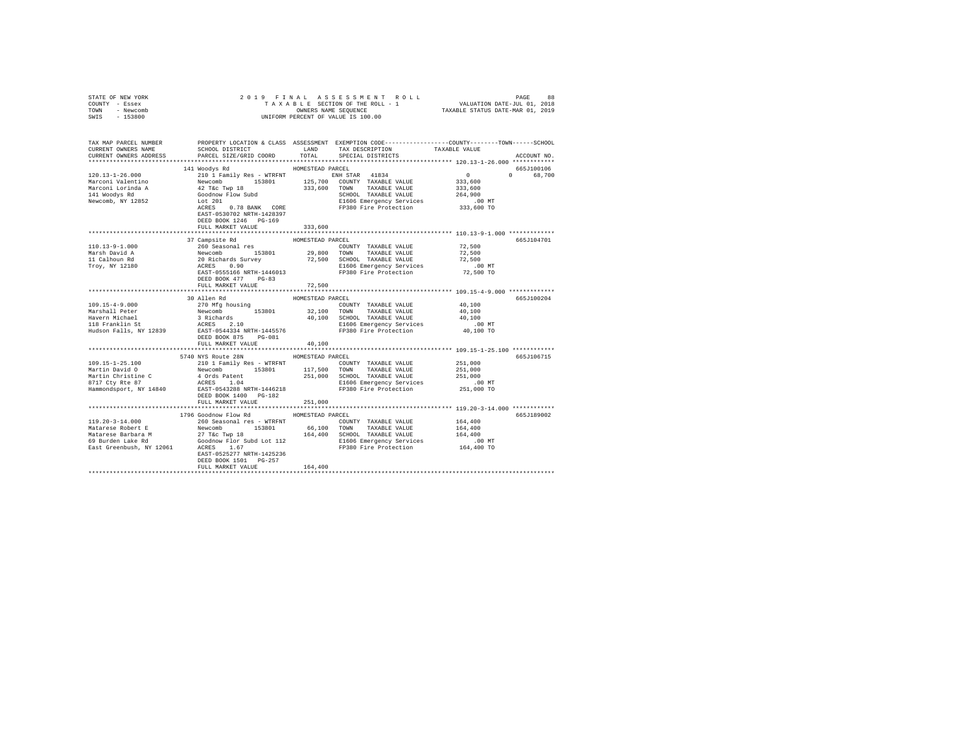| STATE OF NEW YORK<br>COUNTY - Essex                                             | 2019 FINAL                                                                                                                                                                                                                   | PAGE 88 בSA BRIT ROLL PAGE 88 בPAGE 86 בPAR A SSESSMENT ROLL<br>TAXABLE SECTION OF THE ROLL - 1 VALUATION DATE-JUL 01, 2018<br>OWNERS NAME SEQUENCE 7TAXABLE STATUS DATE-NAR 01, 2019                           |                      |
|---------------------------------------------------------------------------------|------------------------------------------------------------------------------------------------------------------------------------------------------------------------------------------------------------------------------|-----------------------------------------------------------------------------------------------------------------------------------------------------------------------------------------------------------------|----------------------|
| TOWN - Newcomb                                                                  |                                                                                                                                                                                                                              | OWNERS NAME SEQUENCE                                                                                                                                                                                            |                      |
| $-153800$<br>SWIS                                                               |                                                                                                                                                                                                                              | UNIFORM PERCENT OF VALUE IS 100.00                                                                                                                                                                              |                      |
|                                                                                 |                                                                                                                                                                                                                              |                                                                                                                                                                                                                 |                      |
|                                                                                 |                                                                                                                                                                                                                              |                                                                                                                                                                                                                 |                      |
|                                                                                 |                                                                                                                                                                                                                              | TAX MAP PARCEL NUMBER PROPERTY LOCATION & CLASS ASSESSMENT EXEMPTION CODE--------------COUNTY-------TOWN------SCHOOL                                                                                            |                      |
| CURRENT OWNERS NAME                                                             | SCHOOL DISTRICT LAND                                                                                                                                                                                                         | TAX DESCRIPTION                                                                                                                                                                                                 | TAXABLE VALUE        |
| CURRENT OWNERS ADDRESS                                                          | PARCEL SIZE/GRID COORD                                                                                                                                                                                                       | TOTAL<br>SPECIAL DISTRICTS                                                                                                                                                                                      | ACCOUNT NO.          |
|                                                                                 |                                                                                                                                                                                                                              |                                                                                                                                                                                                                 |                      |
|                                                                                 | 141 Woodys Rd                                                                                                                                                                                                                | HOMESTEAD PARCEL                                                                                                                                                                                                | 665J100106           |
| $120.13 - 1 - 26.000$                                                           |                                                                                                                                                                                                                              | 210 1 Family Res - WTRFNT NENH STAR 41834                                                                                                                                                                       | $\sim$ 0<br>0 68,700 |
| Marconi Valentino                                                               |                                                                                                                                                                                                                              |                                                                                                                                                                                                                 | 333,600              |
| Marconi Lorinda A                                                               |                                                                                                                                                                                                                              |                                                                                                                                                                                                                 | 333,600              |
| 141 Woodys Rd                                                                   |                                                                                                                                                                                                                              |                                                                                                                                                                                                                 | 264,900              |
| Newcomb, NY 12852                                                               |                                                                                                                                                                                                                              | E1606 Emergency Services                                                                                                                                                                                        | .00 MT               |
|                                                                                 | ACRES 0.78 BANK CORE                                                                                                                                                                                                         | FP380 Fire Protection 333,600 TO                                                                                                                                                                                |                      |
|                                                                                 | EAST-0530702 NRTH-1428397                                                                                                                                                                                                    |                                                                                                                                                                                                                 |                      |
|                                                                                 | DEED BOOK 1246 PG-169                                                                                                                                                                                                        |                                                                                                                                                                                                                 |                      |
|                                                                                 | FULL MARKET VALUE                                                                                                                                                                                                            | 333,600                                                                                                                                                                                                         |                      |
|                                                                                 |                                                                                                                                                                                                                              |                                                                                                                                                                                                                 |                      |
|                                                                                 | 37 Campsite Rd                                                                                                                                                                                                               | HOMESTEAD PARCEL                                                                                                                                                                                                | 665J104701           |
| 110.13-9-1.000                                                                  | 260 Seasonal res                                                                                                                                                                                                             | COUNTY TAXABLE VALUE                                                                                                                                                                                            | 72,500               |
| Marsh David A                                                                   |                                                                                                                                                                                                                              |                                                                                                                                                                                                                 | 72,500<br>72,500     |
| 11 Calhoun Rd<br>Troy, NY 12180                                                 |                                                                                                                                                                                                                              | Newcomb 153801 29,800 TOWN TAXABLE VALUE<br>20 Richards Survey 72,500 SCHOOL TAXABLE VALUE<br>ACRES 0.90 1606 Energency Services<br>BAST-0555166 NRTH-1446013 PP380 Fire Protection<br>E1606 Emergency Services | $.00$ MT             |
|                                                                                 |                                                                                                                                                                                                                              | FP380 Fire Protection                                                                                                                                                                                           | 72,500 TO            |
|                                                                                 | DEED BOOK 477 PG-83                                                                                                                                                                                                          |                                                                                                                                                                                                                 |                      |
|                                                                                 | FULL MARKET VALUE                                                                                                                                                                                                            | 72,500                                                                                                                                                                                                          |                      |
|                                                                                 |                                                                                                                                                                                                                              |                                                                                                                                                                                                                 |                      |
|                                                                                 | 30 Allen Rd                                                                                                                                                                                                                  | HOMESTEAD PARCEL                                                                                                                                                                                                | 665J100204           |
| $109.15 - 4 - 9.000$                                                            | 270 Mfg housing                                                                                                                                                                                                              | COUNTY TAXABLE VALUE                                                                                                                                                                                            | 40,100               |
| Marshall Peter                                                                  |                                                                                                                                                                                                                              |                                                                                                                                                                                                                 | 40,100               |
| Havern Michael                                                                  |                                                                                                                                                                                                                              |                                                                                                                                                                                                                 |                      |
|                                                                                 |                                                                                                                                                                                                                              |                                                                                                                                                                                                                 | 40,100               |
| Havern Michael<br>118 Franklin St                                               |                                                                                                                                                                                                                              | Newcomb 153801 32,100 TOWN TAXABLE VALUE<br>3 Richards 19 40,100 SCHOOL TAXABLE VALUE<br>3 RCRES 2.10 1160 ECROL REGION ROBERT ACRES<br>E1606 Emergency Services                                                | $.00$ MT             |
|                                                                                 |                                                                                                                                                                                                                              | Hudson Falls, NY 12839 BAST-0544334 NRTH-1445576 FP380 Fire Protection                                                                                                                                          | 40,100 TO            |
|                                                                                 | DEED BOOK 875 PG-081                                                                                                                                                                                                         |                                                                                                                                                                                                                 |                      |
|                                                                                 | FULL MARKET VALUE                                                                                                                                                                                                            | 40,100                                                                                                                                                                                                          |                      |
|                                                                                 |                                                                                                                                                                                                                              |                                                                                                                                                                                                                 |                      |
|                                                                                 | 5740 NYS Route 28N                                                                                                                                                                                                           | HOMESTEAD PARCEL                                                                                                                                                                                                | 665J106715           |
| 109.15-1-25.100                                                                 | 210 1 Family Res - WTRFNT                                                                                                                                                                                                    | COUNTY TAXABLE VALUE                                                                                                                                                                                            | 251,000              |
| Martin David O                                                                  | Newcomb 153801                                                                                                                                                                                                               | 117,500 TOWN<br>TAXABLE VALUE                                                                                                                                                                                   | 251,000              |
|                                                                                 |                                                                                                                                                                                                                              | 251,000 SCHOOL TAXABLE VALUE                                                                                                                                                                                    | 251,000              |
|                                                                                 | 4 Ords Patent<br>ACRES 1.04                                                                                                                                                                                                  | E1606 Emergency Services                                                                                                                                                                                        | .00 MT               |
| Martin Christine C<br>8717 Cty Rte 87<br>Hammondscare<br>Hammondsport, NY 14840 | EAST-0543288 NRTH-1446218                                                                                                                                                                                                    | FP380 Fire Protection                                                                                                                                                                                           | 251,000 TO           |
|                                                                                 | DEED BOOK 1400 PG-182                                                                                                                                                                                                        |                                                                                                                                                                                                                 |                      |
|                                                                                 | FULL MARKET VALUE                                                                                                                                                                                                            | 251,000                                                                                                                                                                                                         |                      |
|                                                                                 |                                                                                                                                                                                                                              |                                                                                                                                                                                                                 |                      |
| $119.20 - 3 - 14.000$                                                           | 1796 Goodnow Flow Rd                                                                                                                                                                                                         | HOMESTEAD PARCEL                                                                                                                                                                                                | 665J189002           |
|                                                                                 | 260 Seasonal res - WTRFNT                                                                                                                                                                                                    | COUNTY TAXABLE VALUE<br>66,100 TOWN TAXABLE VALUE                                                                                                                                                               | 164,400<br>164,400   |
|                                                                                 |                                                                                                                                                                                                                              | 164,400 SCHOOL TAXABLE VALUE                                                                                                                                                                                    | 164,400              |
|                                                                                 |                                                                                                                                                                                                                              |                                                                                                                                                                                                                 |                      |
|                                                                                 |                                                                                                                                                                                                                              |                                                                                                                                                                                                                 |                      |
|                                                                                 | Matarese Robert E<br>Matarese Barbara M<br>Matarese Barbara M<br>69 Burden Lake Rd<br>69 Burden Lake Rd<br>Coodnow Flor Subd Lot 112<br>East Greenbush, NY 12061<br>ACRES<br>2167 - 1167 - 1167<br>EAST-0525277 NRTH-1425236 | E1606 Emergency Services .00 MT<br>FP380 Fire Protection 164,400 TO                                                                                                                                             |                      |
|                                                                                 | DEED BOOK 1501 PG-257                                                                                                                                                                                                        |                                                                                                                                                                                                                 |                      |
|                                                                                 | FULL MARKET VALUE                                                                                                                                                                                                            | 164,400                                                                                                                                                                                                         |                      |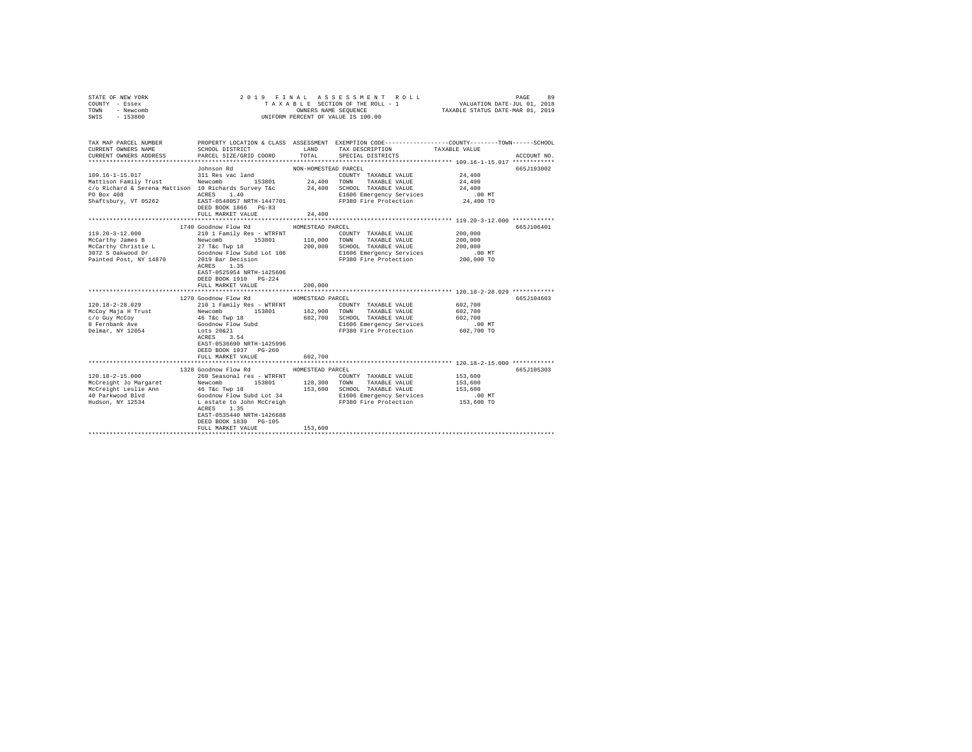| STATE OF NEW YORK<br>COUNTY - Essex<br>TOWN - Newcomb<br>SWIS - 153800                                                                                                            |                                                                                                                                                                                                                                                                     |                                        | 2019 FINAL ASSESSMENT ROLL<br>TAXABLE SECTION OF THE ROLL - 1<br>OWNERS NAME SEQUENCE<br>UNIFORM PERCENT OF VALUE IS 100.00        | VALUATION DATE-JUL 01, 2018<br>TAXABLE STATUS DATE-MAR 01, 2019 | 89<br>PAGE                |
|-----------------------------------------------------------------------------------------------------------------------------------------------------------------------------------|---------------------------------------------------------------------------------------------------------------------------------------------------------------------------------------------------------------------------------------------------------------------|----------------------------------------|------------------------------------------------------------------------------------------------------------------------------------|-----------------------------------------------------------------|---------------------------|
| TAX MAP PARCEL NUMBER<br>CURRENT OWNERS NAME<br>CURRENT OWNERS ADDRESS                                                                                                            | SCHOOL DISTRICT TAND TAX DESCRIPTION<br>PARCEL SIZE/GRID COORD<br>Johnson Rd                                                                                                                                                                                        | TOTAL<br>NON-HOMESTEAD PARCEL          | PROPERTY LOCATION & CLASS ASSESSMENT EXEMPTION CODE----------------COUNTY-------TOWN------SCHOOL<br>SPECIAL DISTRICTS              | TAXABLE VALUE                                                   | ACCOUNT NO.<br>665J193002 |
| 109.16-1-15.017<br>Mattison Family Trust Newcomb 153801<br>c/o Richard & Serena Mattison 10 Richards Survey T&c 34,400 SCHOOL TAXABLE VALUE<br>PO Box 408<br>Shaftsbury, VT 05262 | 311 Res vac land<br>ACRES 1.40<br>EAST-0548057 NRTH-1447701<br>DEED BOOK 1866 PG-83<br>FULL MARKET VALUE                                                                                                                                                            | 24,400 TOWN<br>24,400                  | COUNTY TAXABLE VALUE<br>TAXABLE VALUE<br>E1606 Emergency Services<br>FP380 Fire Protection                                         | 24,400<br>24,400<br>24,400<br>$.00$ MT<br>24,400 TO             |                           |
|                                                                                                                                                                                   |                                                                                                                                                                                                                                                                     |                                        |                                                                                                                                    |                                                                 |                           |
| $119.20 - 3 - 12.000$<br>McCarthy James B<br>McCarthy Christie L<br>3072 S Oakwood Dr<br>Painted Post, NY 14870                                                                   | 1740 Goodnow Flow Rd<br>210 1 Family Res - WTRFNT<br>153801<br>Newcomb<br>27 T&C Twp 18<br>Goodnow Flow Subd Lot 106<br>2019 Bar Decision<br>ACRES 1.35<br>EAST-0525954 NRTH-1425606<br>DEED BOOK 1910 PG-224<br>FULL MARKET VALUE                                  | HOMESTEAD PARCEL<br>200,000<br>200,000 | COUNTY TAXABLE VALUE<br>110,000 TOWN TAXABLE VALUE<br>SCHOOL TAXABLE VALUE<br>E1606 Emergency Services<br>FP380 Fire Protection    | 200,000<br>200,000<br>200,000<br>$.00$ MT<br>200,000 TO         | 665J106401                |
|                                                                                                                                                                                   | 1270 Goodnow Flow Rd                                                                                                                                                                                                                                                | HOMESTEAD PARCEL                       |                                                                                                                                    |                                                                 | 665J104603                |
| $120.18 - 2 - 28.029$<br>McCoy Maja H Trust<br>c/o Guy McCoy<br>8 Fernbank Ave<br>Delmar, NY 12054                                                                                | 210 1 Family Res - WTRFNT<br>Newcomb 153801<br>46 T&C Twp 18<br>Goodnow Flow Subd<br>Lots 20&21<br>ACRES 3.54<br>EAST-0536690 NRTH-1425996<br>DEED BOOK 1937 PG-260<br>FULL MARKET VALUE                                                                            | 162,900 TOWN<br>602,700                | COUNTY TAXABLE VALUE<br>TAXABLE VALUE<br>602,700 SCHOOL TAXABLE VALUE<br>E1606 Emergency Services<br>FP380 Fire Protection         | 602,700<br>602,700<br>602,700<br>$.00$ MT<br>602,700 TO         |                           |
|                                                                                                                                                                                   |                                                                                                                                                                                                                                                                     |                                        |                                                                                                                                    |                                                                 |                           |
| $120.18 - 2 - 15.000$<br>McCreight Jo Margaret<br>McCreight Leslie Ann<br>40 Parkwood Blyd<br>Hudson, NY 12534                                                                    | 1328 Goodnow Flow Rd<br>260 Seasonal res - WTRFNT<br>Newcomb 153801<br>46 T&C Twp 18<br>Goodnow Flow Subd Lot 34<br>L estate to John McCreigh<br>ACRES 1.35<br>EAST-0535440 NRTH-1426688<br>DEED BOOK 1830 PG-105<br>FULL MARKET VALUE<br>************************* | HOMESTEAD PARCEL<br>128,300<br>153,600 | COUNTY TAXABLE VALUE<br>TOWN<br>TAXABLE VALUE<br>153,600 SCHOOL TAXABLE VALUE<br>E1606 Emergency Services<br>FP380 Fire Protection | 153,600<br>153,600<br>153,600<br>$.00$ MT<br>153,600 TO         | 665J105303                |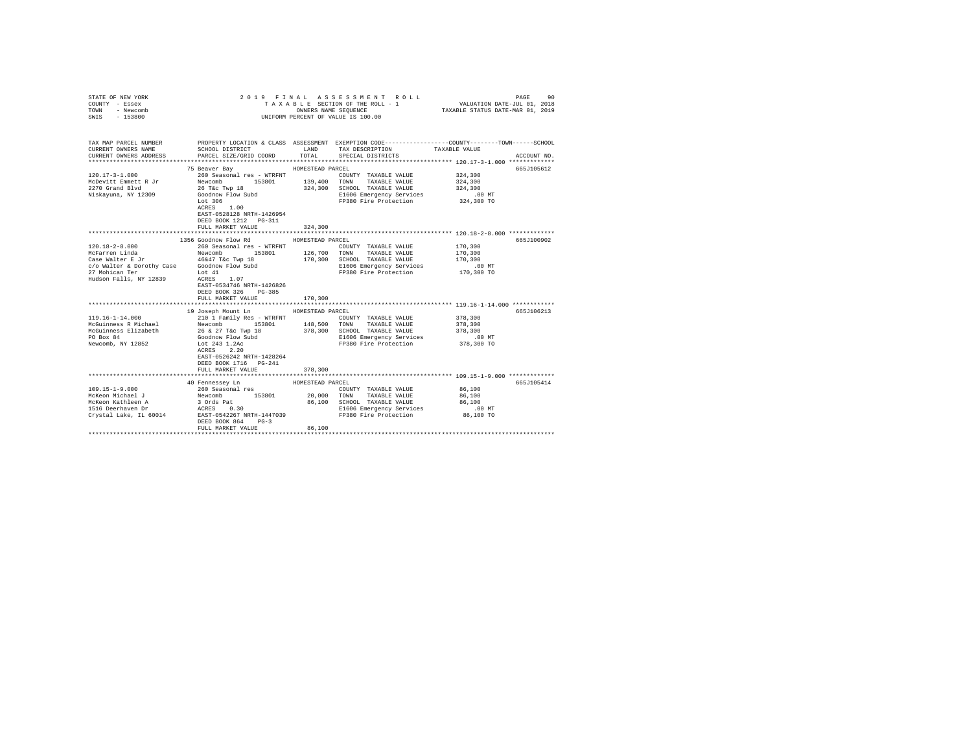| STATE OF NEW YORK<br>COUNTY - Essex<br>TOWN<br>- Newcomb<br>$-153800$<br>SWIS |                                             |                  | 2019 FINAL ASSESSMENT ROLL<br>TAXABLE SECTION OF THE ROLL - 1<br>OWNERS NAME SEQUENCE<br>UNIFORM PERCENT OF VALUE IS 100.00 | PAGE<br>90<br>VALUATION DATE-JUL 01, 2018<br>TAXABLE STATUS DATE-MAR 01, 2019                                    |
|-------------------------------------------------------------------------------|---------------------------------------------|------------------|-----------------------------------------------------------------------------------------------------------------------------|------------------------------------------------------------------------------------------------------------------|
|                                                                               |                                             |                  |                                                                                                                             |                                                                                                                  |
| TAX MAP PARCEL NUMBER<br>CURRENT OWNERS NAME                                  | SCHOOL DISTRICT                             | LAND             | TAX DESCRIPTION                                                                                                             | PROPERTY LOCATION & CLASS ASSESSMENT EXEMPTION CODE---------------COUNTY-------TOWN------SCHOOL<br>TAXABLE VALUE |
| CURRENT OWNERS ADDRESS                                                        | PARCEL SIZE/GRID COORD                      | TOTAL            | SPECIAL DISTRICTS                                                                                                           | ACCOUNT NO.                                                                                                      |
|                                                                               | 75 Beaver Bay                               | HOMESTEAD PARCEL |                                                                                                                             | 665J105612                                                                                                       |
| $120.17 - 3 - 1.000$                                                          | 260 Seasonal res - WTRFNT                   |                  | COUNTY TAXABLE VALUE                                                                                                        | 324,300                                                                                                          |
| McDevitt Emmett R Jr                                                          | Newcomb 153801                              | 139,400          | TOWN TAXABLE VALUE                                                                                                          | 324,300                                                                                                          |
| 2270 Grand Blvd                                                               | 26 T&c Twp 18                               | 324,300          | SCHOOL TAXABLE VALUE                                                                                                        | 324,300                                                                                                          |
| Niskayuna, NY 12309                                                           | Goodnow Flow Subd                           |                  | E1606 Emergency Services                                                                                                    | $.00$ MT                                                                                                         |
|                                                                               | Lot 306                                     |                  | FP380 Fire Protection                                                                                                       | 324,300 TO                                                                                                       |
|                                                                               | ACRES 1.00                                  |                  |                                                                                                                             |                                                                                                                  |
|                                                                               | EAST-0528128 NRTH-1426954                   |                  |                                                                                                                             |                                                                                                                  |
|                                                                               | DEED BOOK 1212 PG-311                       |                  |                                                                                                                             |                                                                                                                  |
|                                                                               | FULL MARKET VALUE                           | 324,300          |                                                                                                                             |                                                                                                                  |
|                                                                               | 1356 Goodnow Flow Rd                        | HOMESTEAD PARCEL |                                                                                                                             | 665J100902                                                                                                       |
| $120.18 - 2 - 8.000$                                                          | 260 Seasonal res - WTRFNT                   |                  | COUNTY TAXABLE VALUE                                                                                                        | 170,300                                                                                                          |
| McFarren Linda                                                                | Newcomb 153801                              |                  | 126,700 TOWN TAXABLE VALUE                                                                                                  | 170,300                                                                                                          |
| Case Walter E Jr                                                              | 46&47 T&c Twp 18                            |                  | 170,300 SCHOOL TAXABLE VALUE                                                                                                | 170,300                                                                                                          |
|                                                                               | c/o Walter & Dorothy Case Goodnow Flow Subd |                  | E1606 Emergency Services                                                                                                    | $.00$ MT                                                                                                         |
| 27 Mohican Ter                                                                | Lot 41                                      |                  | FP380 Fire Protection                                                                                                       | 170,300 TO                                                                                                       |
| Hudson Falls, NY 12839                                                        | ACRES 1.07                                  |                  |                                                                                                                             |                                                                                                                  |
|                                                                               | EAST-0534746 NRTH-1426826                   |                  |                                                                                                                             |                                                                                                                  |
|                                                                               | DEED BOOK 326<br>PG-385                     |                  |                                                                                                                             |                                                                                                                  |
|                                                                               | FULL MARKET VALUE                           | 170,300          |                                                                                                                             |                                                                                                                  |
|                                                                               |                                             |                  |                                                                                                                             |                                                                                                                  |
|                                                                               | 19 Joseph Mount Ln HOMESTEAD PARCEL         |                  |                                                                                                                             | 665J106213                                                                                                       |
| 119.16-1-14.000                                                               | 210 1 Family Res - WTRFNT                   |                  | COUNTY TAXABLE VALUE                                                                                                        | 378,300                                                                                                          |
| McGuinness R Michael                                                          | Newcomb 153801                              | 148,500          | TOWN TAXABLE VALUE                                                                                                          | 378,300                                                                                                          |
| McGuinness Elizabeth                                                          | 26 & 27 T&c Twp 18                          | 378,300          | SCHOOL TAXABLE VALUE                                                                                                        | 378,300                                                                                                          |
| PO Box 84                                                                     | Goodnow Flow Subd                           |                  | E1606 Emergency Services                                                                                                    | $.00$ MT                                                                                                         |
| Newcomb, NY 12852                                                             | Lot 243 1.2Ac                               |                  | FP380 Fire Protection                                                                                                       | 378,300 TO                                                                                                       |
|                                                                               | ACRES 2.20<br>EAST-0526242 NRTH-1428264     |                  |                                                                                                                             |                                                                                                                  |
|                                                                               | DEED BOOK 1716 PG-241                       |                  |                                                                                                                             |                                                                                                                  |
|                                                                               | FULL MARKET VALUE                           | 378,300          |                                                                                                                             |                                                                                                                  |
|                                                                               |                                             |                  |                                                                                                                             |                                                                                                                  |
|                                                                               | 40 Fennessey Ln                             | HOMESTEAD PARCEL |                                                                                                                             | 665J105414                                                                                                       |
| $109.15 - 1 - 9.000$                                                          | 260 Seasonal res                            |                  | COUNTY TAXABLE VALUE                                                                                                        | 86,100                                                                                                           |
| McKeon Michael J                                                              | Newcomb 153801                              | 20,000           | TOWN<br>TAXABLE VALUE                                                                                                       | 86,100                                                                                                           |
| McKeon Kathleen A<br>1516 Deerhaven Dr                                        | 3 Ords Pat                                  | 86,100           | SCHOOL TAXABLE VALUE                                                                                                        | 86,100                                                                                                           |
|                                                                               | ACRES 0.30                                  |                  | E1606 Emergency Services                                                                                                    | $.00$ MT                                                                                                         |
| Crystal Lake, IL 60014                                                        | EAST-0542267 NRTH-1447039                   |                  | FP380 Fire Protection                                                                                                       | 86,100 TO                                                                                                        |
|                                                                               | DEED BOOK 864<br>$PG-3$                     |                  |                                                                                                                             |                                                                                                                  |
|                                                                               | FULL MARKET VALUE                           | 86,100           |                                                                                                                             |                                                                                                                  |
|                                                                               |                                             |                  |                                                                                                                             |                                                                                                                  |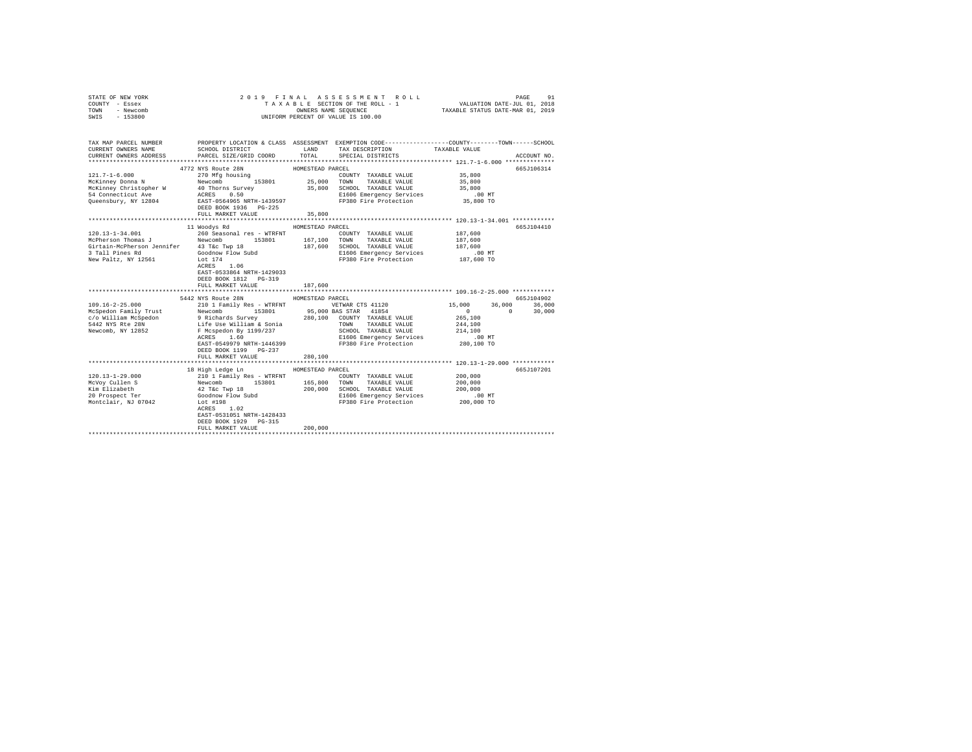| STATE OF NEW YORK<br>COUNTY - Essex<br>TOWN<br>- Newcomb<br>$-153800$<br>SWIS                                                                                                                                                                                                                                                                                                                                                                                                                              |                                                                                                                                                                                                                                                                                                                                                                                                                                         |                  | 2019 FINAL ASSESSMENT ROLL<br>3 L E SECTION OF THE ROLL - 1 VALUATION DATE-JUL 01, 2018<br>OWNERS NAME SEQUENCE TAXABLE STATUS DATE-MAR 01, 2019<br>TAXABLE SECTION OF THE ROLL - 1<br>UNIFORM PERCENT OF VALUE IS 100.00 |                            | PAGE<br>91    |
|------------------------------------------------------------------------------------------------------------------------------------------------------------------------------------------------------------------------------------------------------------------------------------------------------------------------------------------------------------------------------------------------------------------------------------------------------------------------------------------------------------|-----------------------------------------------------------------------------------------------------------------------------------------------------------------------------------------------------------------------------------------------------------------------------------------------------------------------------------------------------------------------------------------------------------------------------------------|------------------|---------------------------------------------------------------------------------------------------------------------------------------------------------------------------------------------------------------------------|----------------------------|---------------|
|                                                                                                                                                                                                                                                                                                                                                                                                                                                                                                            |                                                                                                                                                                                                                                                                                                                                                                                                                                         |                  |                                                                                                                                                                                                                           |                            |               |
| TAX MAP PARCEL NUMBER PROPERTY LOCATION & CLASS ASSESSMENT EXEMPTION CODE--------------COUNTY-------TOWN------SCHOOL<br>CURRENT OWNERS NAME                                                                                                                                                                                                                                                                                                                                                                | SCHOOL DISTRICT TAND TAX DESCRIPTION                                                                                                                                                                                                                                                                                                                                                                                                    |                  |                                                                                                                                                                                                                           | TAXABLE VALUE              |               |
| CURRENT OWNERS ADDRESS                                                                                                                                                                                                                                                                                                                                                                                                                                                                                     | PARCEL SIZE/GRID COORD TOTAL SPECIAL DISTRICTS                                                                                                                                                                                                                                                                                                                                                                                          |                  |                                                                                                                                                                                                                           |                            | ACCOUNT NO.   |
|                                                                                                                                                                                                                                                                                                                                                                                                                                                                                                            | 4772 NYS Route 28N                                                                                                                                                                                                                                                                                                                                                                                                                      | HOMESTEAD PARCEL |                                                                                                                                                                                                                           |                            | 665J106314    |
| $121.7 - 1 - 6.000$                                                                                                                                                                                                                                                                                                                                                                                                                                                                                        | $270$ Mfg housing<br>Newcast                                                                                                                                                                                                                                                                                                                                                                                                            |                  | COUNTY TAXABLE VALUE 35,800                                                                                                                                                                                               |                            |               |
|                                                                                                                                                                                                                                                                                                                                                                                                                                                                                                            |                                                                                                                                                                                                                                                                                                                                                                                                                                         |                  |                                                                                                                                                                                                                           | 35,800                     |               |
|                                                                                                                                                                                                                                                                                                                                                                                                                                                                                                            |                                                                                                                                                                                                                                                                                                                                                                                                                                         |                  |                                                                                                                                                                                                                           | 35,800                     |               |
|                                                                                                                                                                                                                                                                                                                                                                                                                                                                                                            |                                                                                                                                                                                                                                                                                                                                                                                                                                         |                  |                                                                                                                                                                                                                           |                            |               |
| McKinney Donna N<br>McKinney Obna N<br>McKinney Christopher W + 40 Thorns Survey 35,800 SOWN TAXABLE VALUE<br>MCKinney Christopher W + 40 Thorns Survey 35,800 SCHOOL TAXABLE VALUE<br>54 Connecticut Ave ACRES 0.50 B1606 Emergency S                                                                                                                                                                                                                                                                     |                                                                                                                                                                                                                                                                                                                                                                                                                                         |                  | E1606 Emergency Services .00 MT<br>FP380 Fire Protection 35,800 TO                                                                                                                                                        |                            |               |
|                                                                                                                                                                                                                                                                                                                                                                                                                                                                                                            | FULL MARKET VALUE                                                                                                                                                                                                                                                                                                                                                                                                                       | 35,800           |                                                                                                                                                                                                                           |                            |               |
|                                                                                                                                                                                                                                                                                                                                                                                                                                                                                                            |                                                                                                                                                                                                                                                                                                                                                                                                                                         |                  |                                                                                                                                                                                                                           |                            |               |
|                                                                                                                                                                                                                                                                                                                                                                                                                                                                                                            | 11 Woodys Rd                                                                                                                                                                                                                                                                                                                                                                                                                            | HOMESTEAD PARCEL |                                                                                                                                                                                                                           |                            | 665J104410    |
| $\texttt{120.13--34.001}\begin{minipage}{0.9\textwidth} \begin{minipage}{0.9\textwidth} \begin{minipage}{0.9\textwidth} \begin{minipage}{0.9\textwidth} \begin{minipage}{0.9\textwidth} \begin{minipage}{0.9\textwidth} \begin{minipage}{0.9\textwidth} \begin{minipage}{0.9\textwidth} \begin{minipage}{0.9\textwidth} \begin{minipage}{0.9\textwidth} \begin{minipage}{0.9\textwidth} \begin{minipage}{0.9\textwidth} \begin{minipage}{0.9\textwidth} \begin{minipage}{0.9\textwidth} \begin{minipage}{$ |                                                                                                                                                                                                                                                                                                                                                                                                                                         |                  | COUNTY TAXABLE VALUE                                                                                                                                                                                                      | 187,600                    |               |
|                                                                                                                                                                                                                                                                                                                                                                                                                                                                                                            |                                                                                                                                                                                                                                                                                                                                                                                                                                         |                  |                                                                                                                                                                                                                           | 187,600                    |               |
| Girtain-McPherson Jennifer 43 T&C Twp 18<br>3 Tall Pines Rd Goodnow Flow Subd                                                                                                                                                                                                                                                                                                                                                                                                                              |                                                                                                                                                                                                                                                                                                                                                                                                                                         |                  | 187,600 SCHOOL TAXABLE VALUE<br>E1606 Emergency Services                                                                                                                                                                  | 187,600<br>.00 MT          |               |
| New Paltz, NY 12561                                                                                                                                                                                                                                                                                                                                                                                                                                                                                        | Lot 174                                                                                                                                                                                                                                                                                                                                                                                                                                 |                  | FP380 Fire Protection                                                                                                                                                                                                     | 187,600 TO                 |               |
|                                                                                                                                                                                                                                                                                                                                                                                                                                                                                                            | ACRES 1.06<br>EAST-0533864 NRTH-1429033<br>DEED BOOK 1812    PG-319<br>FULL MARKET VALUE                                                                                                                                                                                                                                                                                                                                                | 187,600          |                                                                                                                                                                                                                           |                            |               |
|                                                                                                                                                                                                                                                                                                                                                                                                                                                                                                            |                                                                                                                                                                                                                                                                                                                                                                                                                                         |                  |                                                                                                                                                                                                                           |                            |               |
|                                                                                                                                                                                                                                                                                                                                                                                                                                                                                                            | 5442 NYS Route 28N                                                                                                                                                                                                                                                                                                                                                                                                                      | HOMESTEAD PARCEL |                                                                                                                                                                                                                           |                            | 665J104902    |
| $\begin{tabular}{l c c c c c c c c} \hline 109.16-2-25.000 & 210.125 & 101.25 & 101.25 & 101.25 & 101.25 & 101.25 & 101.25 & 101.25 & 101.25 & 101.25 & 101.25 & 101.25 & 101.25 & 101.25 & 101.25 & 101.25 & 101.25 & 101.25 & 101.25 & 101.25 & 101.25 & 101.25$                                                                                                                                                                                                                                         |                                                                                                                                                                                                                                                                                                                                                                                                                                         |                  |                                                                                                                                                                                                                           | 15,000                     | 36,000 36,000 |
|                                                                                                                                                                                                                                                                                                                                                                                                                                                                                                            |                                                                                                                                                                                                                                                                                                                                                                                                                                         |                  |                                                                                                                                                                                                                           | $\sim$ 0 $\sim$<br>265,100 | $0 \t 30.000$ |
|                                                                                                                                                                                                                                                                                                                                                                                                                                                                                                            |                                                                                                                                                                                                                                                                                                                                                                                                                                         |                  |                                                                                                                                                                                                                           | 244,100                    |               |
|                                                                                                                                                                                                                                                                                                                                                                                                                                                                                                            |                                                                                                                                                                                                                                                                                                                                                                                                                                         |                  | SCHOOL TAXABLE VALUE                                                                                                                                                                                                      | 214,100                    |               |
|                                                                                                                                                                                                                                                                                                                                                                                                                                                                                                            | ACRES 1.60                                                                                                                                                                                                                                                                                                                                                                                                                              |                  | E1606 Emergency Services                                                                                                                                                                                                  | $.00$ MT                   |               |
|                                                                                                                                                                                                                                                                                                                                                                                                                                                                                                            | EAST-0549979 NRTH-1446399                                                                                                                                                                                                                                                                                                                                                                                                               |                  | FP380 Fire Protection 280,100 TO                                                                                                                                                                                          |                            |               |
|                                                                                                                                                                                                                                                                                                                                                                                                                                                                                                            | DEED BOOK 1199 PG-237                                                                                                                                                                                                                                                                                                                                                                                                                   |                  |                                                                                                                                                                                                                           |                            |               |
|                                                                                                                                                                                                                                                                                                                                                                                                                                                                                                            | FULL MARKET VALUE                                                                                                                                                                                                                                                                                                                                                                                                                       | 280,100          |                                                                                                                                                                                                                           |                            |               |
|                                                                                                                                                                                                                                                                                                                                                                                                                                                                                                            | 18 High Ledge Ln                                                                                                                                                                                                                                                                                                                                                                                                                        | HOMESTEAD PARCEL |                                                                                                                                                                                                                           |                            | 665J107201    |
| $120.13 - 1 - 29.000$                                                                                                                                                                                                                                                                                                                                                                                                                                                                                      |                                                                                                                                                                                                                                                                                                                                                                                                                                         |                  | COUNTY TAXABLE VALUE                                                                                                                                                                                                      | 200,000                    |               |
| McVoy Cullen S                                                                                                                                                                                                                                                                                                                                                                                                                                                                                             |                                                                                                                                                                                                                                                                                                                                                                                                                                         |                  | TOWN TAXABLE VALUE                                                                                                                                                                                                        | 200,000                    |               |
| Kim Elizabeth<br>20 Prospect Ter                                                                                                                                                                                                                                                                                                                                                                                                                                                                           |                                                                                                                                                                                                                                                                                                                                                                                                                                         |                  | 200,000 SCHOOL TAXABLE VALUE                                                                                                                                                                                              |                            |               |
|                                                                                                                                                                                                                                                                                                                                                                                                                                                                                                            |                                                                                                                                                                                                                                                                                                                                                                                                                                         |                  |                                                                                                                                                                                                                           |                            |               |
| Montclair, NJ 07042                                                                                                                                                                                                                                                                                                                                                                                                                                                                                        | $\begin{tabular}{lllllllllll} \multicolumn{2}{c}{210} & $\mathbf{I} = \mathbf{r} \text{sin} \mathbf{1} \text{y} $ & $\mathbf{Re} s$ & $\mathbf{w} \text{TRFNT}$ \\ & $10$ & $\mathbf{I} = \mathbf{F} \text{sin} \mathbf{1} \text{y} $ & $153801$ & $165,800$ \\ & $42$ & $\mathbf{T} \text{dc} $ & $\mathbf{T} \text{yp}$ & $18$ & $200,000$ \\ & $60 \text{cm} \text{w} $ & $\mathbf{F} \text{low} $ & $3 \text{ubd}$ & $$<br>Lot #198 |                  |                                                                                                                                                                                                                           |                            |               |
|                                                                                                                                                                                                                                                                                                                                                                                                                                                                                                            | $\verb ACRES  = 1.02$                                                                                                                                                                                                                                                                                                                                                                                                                   |                  |                                                                                                                                                                                                                           |                            |               |
|                                                                                                                                                                                                                                                                                                                                                                                                                                                                                                            | EAST-0531051 NRTH-1428433                                                                                                                                                                                                                                                                                                                                                                                                               |                  |                                                                                                                                                                                                                           |                            |               |
|                                                                                                                                                                                                                                                                                                                                                                                                                                                                                                            | DEED BOOK 1929 PG-315                                                                                                                                                                                                                                                                                                                                                                                                                   |                  |                                                                                                                                                                                                                           |                            |               |
|                                                                                                                                                                                                                                                                                                                                                                                                                                                                                                            | FULL MARKET VALUE<br>*****************************                                                                                                                                                                                                                                                                                                                                                                                      | 200,000          |                                                                                                                                                                                                                           |                            |               |
|                                                                                                                                                                                                                                                                                                                                                                                                                                                                                                            |                                                                                                                                                                                                                                                                                                                                                                                                                                         |                  |                                                                                                                                                                                                                           |                            |               |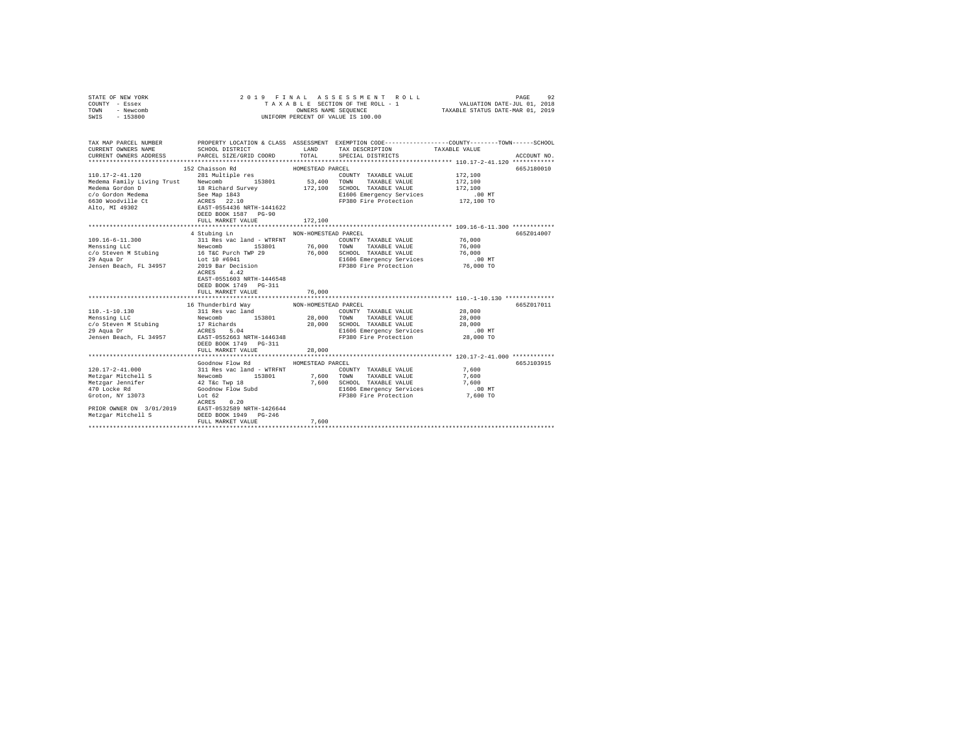| COUNTY - Essex<br>TOWN<br>- Newcomb<br>SWIS<br>$-153800$                                                                                                                                                                                       | OWNERS NAME SEQUENCE<br>UNIFORM PERCENT OF VALUE IS 100.00     |                  |                                                                           |                     |             |
|------------------------------------------------------------------------------------------------------------------------------------------------------------------------------------------------------------------------------------------------|----------------------------------------------------------------|------------------|---------------------------------------------------------------------------|---------------------|-------------|
| TAX MAP PARCEL NUMBER PROPERTY LOCATION & CLASS ASSESSMENT EXEMPTION CODE---------------COUNTY-------TOWN------SCHOOL<br>CURRENT OWNERS NAME<br>CURRENT OWNERS ADDRESS                                                                         | SCHOOL DISTRICT TAND TAX DESCRIPTION<br>PARCEL SIZE/GRID COORD | TOTAL            | SPECIAL DISTRICTS                                                         | TAXABLE VALUE       | ACCOUNT NO. |
|                                                                                                                                                                                                                                                | 152 Chaisson Rd                                                | HOMESTEAD PARCEL |                                                                           |                     | 665J180010  |
| 110.17-2-41.120                                                                                                                                                                                                                                | 281 Multiple res                                               |                  | COUNTY TAXABLE VALUE                                                      | 172,100             |             |
|                                                                                                                                                                                                                                                |                                                                |                  | TAXABLE VALUE                                                             | 172,100             |             |
|                                                                                                                                                                                                                                                |                                                                |                  |                                                                           | 172,100             |             |
|                                                                                                                                                                                                                                                |                                                                |                  | E1606 Emergency Services 6 172,100 MT<br>FP380 Fire Protection 172,100 TO |                     |             |
|                                                                                                                                                                                                                                                |                                                                |                  |                                                                           |                     |             |
|                                                                                                                                                                                                                                                | FULL MARKET VALUE                                              | 172,100          |                                                                           |                     |             |
|                                                                                                                                                                                                                                                |                                                                |                  |                                                                           |                     |             |
|                                                                                                                                                                                                                                                | 4 Stubing Ln MON-HOMESTEAD PARCEL                              |                  |                                                                           |                     | 665Z014007  |
|                                                                                                                                                                                                                                                |                                                                |                  |                                                                           |                     |             |
|                                                                                                                                                                                                                                                |                                                                |                  |                                                                           |                     |             |
|                                                                                                                                                                                                                                                |                                                                |                  |                                                                           |                     |             |
|                                                                                                                                                                                                                                                |                                                                |                  |                                                                           |                     |             |
|                                                                                                                                                                                                                                                | EAST-0551603 NRTH-1446548<br>DEED BOOK 1749    PG-311          |                  |                                                                           |                     |             |
|                                                                                                                                                                                                                                                | FULL MARKET VALUE                                              | 76,000           |                                                                           |                     |             |
|                                                                                                                                                                                                                                                | 16 Thunderbird Way MON-HOMESTEAD PARCEL                        |                  |                                                                           |                     | 665Z017011  |
|                                                                                                                                                                                                                                                |                                                                |                  | COUNTY TAXABLE VALUE 28,000                                               |                     |             |
|                                                                                                                                                                                                                                                |                                                                |                  |                                                                           | 28,000              |             |
|                                                                                                                                                                                                                                                |                                                                |                  |                                                                           | 28,000              |             |
|                                                                                                                                                                                                                                                |                                                                |                  |                                                                           |                     |             |
| $\begin{tabular}{c c c c c} \hline 110,-1-10.130 & 111\&12.10\&10.10\&111\&12.10\&10.10\&111\&12.10\&12.10\&13.10\&14.10\&15.10\&16.10\&17.10\&18.10\&19.10\&10.10\&10.10\&10.10\&10.10\&10.10\&10.10\&10.10\&10.10\&10.10\&10.10\&10.10\&10.$ |                                                                |                  |                                                                           | 00 MT.<br>28,000 TO |             |
|                                                                                                                                                                                                                                                |                                                                |                  |                                                                           |                     |             |
|                                                                                                                                                                                                                                                | FULL MARKET VALUE                                              | 28,000           |                                                                           |                     |             |
|                                                                                                                                                                                                                                                |                                                                |                  |                                                                           |                     |             |
|                                                                                                                                                                                                                                                | Goodnow Flow Rd                                                | HOMESTEAD PARCEL |                                                                           |                     | 665J103915  |
| $120.17 - 2 - 41.000$                                                                                                                                                                                                                          | 311 Res vac land - WTRFNT                                      |                  | COUNTY TAXABLE VALUE                                                      | 7,600               |             |
|                                                                                                                                                                                                                                                |                                                                |                  |                                                                           |                     |             |
|                                                                                                                                                                                                                                                |                                                                |                  |                                                                           |                     |             |
|                                                                                                                                                                                                                                                |                                                                |                  |                                                                           |                     |             |
|                                                                                                                                                                                                                                                |                                                                |                  |                                                                           |                     |             |
|                                                                                                                                                                                                                                                |                                                                |                  |                                                                           |                     |             |
| $\begin{tabular}{lcccc} \texttt{RCRES} & 0.20 \\ \texttt{PRIOR} & \texttt{ONER ON} & 3/01/2019 \\ \texttt{Metzgar Mitchell S} & \texttt{EBB-DOOK} & 1949 & PG-246 \\ \end{tabular}$                                                            |                                                                |                  |                                                                           |                     |             |
|                                                                                                                                                                                                                                                | FULL MARKET VALUE                                              | 7.600            |                                                                           |                     |             |
|                                                                                                                                                                                                                                                |                                                                |                  |                                                                           |                     |             |

STATE OF NEW YORK 2 0 1 9 F I N A L A S S E S S M E N T R O L L PAGE 92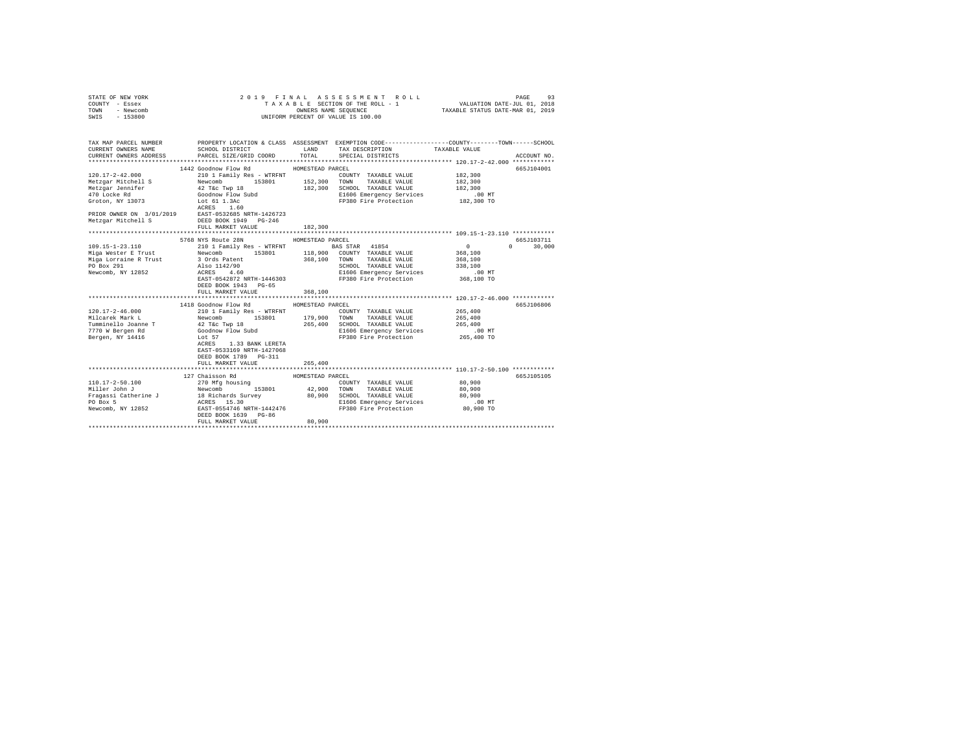| STATE OF NEW YORK<br>COUNTY - Essex<br>TOWN<br>- Newcomb<br>SWIS - 153800                                            | 2019 FINAL                                        |                             | ASSESSMENT ROLL<br>TAXABLE SECTION OF THE ROLL - 1<br>UNIFORM PERCENT OF VALUE IS 100.00                    |                                                 | PAGE<br>93    |
|----------------------------------------------------------------------------------------------------------------------|---------------------------------------------------|-----------------------------|-------------------------------------------------------------------------------------------------------------|-------------------------------------------------|---------------|
|                                                                                                                      |                                                   |                             |                                                                                                             |                                                 |               |
| TAX MAP PARCEL NUMBER PROPERTY LOCATION & CLASS ASSESSMENT EXEMPTION CODE--------------COUNTY-------TOWN------SCHOOL |                                                   |                             |                                                                                                             |                                                 |               |
| CURRENT OWNERS NAME                                                                                                  | SCHOOL DISTRICT TAND TAX DESCRIPTION              |                             |                                                                                                             | TAXABLE VALUE                                   |               |
| CURRENT OWNERS ADDRESS PARCEL SIZE/GRID COORD                                                                        |                                                   | TOTAL                       | SPECIAL DISTRICTS                                                                                           |                                                 | ACCOUNT NO.   |
|                                                                                                                      |                                                   |                             |                                                                                                             |                                                 |               |
| $120.17 - 2 - 42.000$                                                                                                | 1442 Goodnow Flow Rd                              | HOMESTEAD PARCEL            |                                                                                                             | 182,300                                         | 665J104001    |
|                                                                                                                      | 210 1 Family Res - WTRFNT                         |                             | COUNTY TAXABLE VALUE                                                                                        | 182,300                                         |               |
|                                                                                                                      |                                                   |                             |                                                                                                             | 182,300                                         |               |
|                                                                                                                      |                                                   |                             |                                                                                                             |                                                 |               |
|                                                                                                                      |                                                   |                             | E1606 Emergency Services 6 182,300 MT<br>FP380 Fire Protection 182,300 TO                                   |                                                 |               |
|                                                                                                                      |                                                   |                             |                                                                                                             |                                                 |               |
|                                                                                                                      |                                                   |                             |                                                                                                             |                                                 |               |
|                                                                                                                      |                                                   |                             |                                                                                                             |                                                 |               |
|                                                                                                                      | FULL MARKET VALUE                                 | 182,300                     |                                                                                                             |                                                 |               |
|                                                                                                                      |                                                   |                             |                                                                                                             |                                                 |               |
|                                                                                                                      | 5768 NYS Route 28N                                | HOMESTEAD PARCEL            |                                                                                                             |                                                 | 665J103711    |
|                                                                                                                      |                                                   |                             |                                                                                                             | $\sim$ 0                                        | $0 \t 30,000$ |
|                                                                                                                      |                                                   |                             |                                                                                                             | 368,100<br>368,100                              |               |
|                                                                                                                      |                                                   |                             |                                                                                                             |                                                 |               |
|                                                                                                                      |                                                   |                             |                                                                                                             |                                                 |               |
|                                                                                                                      |                                                   |                             |                                                                                                             |                                                 |               |
|                                                                                                                      |                                                   |                             | CHOOL TAXABLE VALUE<br>SCHOOL TAXABLE VALUE<br>E1606 Emergency Services<br>FP380 Fire Protection 368,100 TO |                                                 |               |
|                                                                                                                      | DEED BOOK 1943 PG-65                              |                             |                                                                                                             |                                                 |               |
|                                                                                                                      | FULL MARKET VALUE<br>**************************** | 368,100<br>**************** |                                                                                                             | ****************** 120.17-2-46.000 ************ |               |
|                                                                                                                      | 1418 Goodnow Flow Rd                              | HOMESTEAD PARCEL            |                                                                                                             |                                                 | 665J106806    |
|                                                                                                                      |                                                   |                             | COUNTY TAXABLE VALUE                                                                                        | 265,400                                         |               |
|                                                                                                                      |                                                   |                             |                                                                                                             | 265,400                                         |               |
|                                                                                                                      |                                                   |                             |                                                                                                             | 265,400                                         |               |
|                                                                                                                      |                                                   |                             | 265,400 SCHOOL TAXABLE VALUE<br>E1606 Emergency Services                                                    | .00 MT                                          |               |
|                                                                                                                      |                                                   |                             | FP380 Fire Protection                                                                                       | 265,400 TO                                      |               |
|                                                                                                                      | ACRES 1.33 BANK LERETA                            |                             |                                                                                                             |                                                 |               |
|                                                                                                                      | EAST-0533169 NRTH-1427068                         |                             |                                                                                                             |                                                 |               |
|                                                                                                                      | DEED BOOK 1789    PG-311                          |                             |                                                                                                             |                                                 |               |
|                                                                                                                      | FULL MARKET VALUE                                 | 265,400                     |                                                                                                             |                                                 |               |
|                                                                                                                      |                                                   |                             |                                                                                                             |                                                 |               |
|                                                                                                                      | 127 Chaisson Rd                                   | HOMESTEAD PARCEL            |                                                                                                             |                                                 | 665J105105    |
|                                                                                                                      |                                                   |                             |                                                                                                             | 80.900                                          |               |
|                                                                                                                      |                                                   |                             |                                                                                                             | 80,900                                          |               |
|                                                                                                                      |                                                   |                             |                                                                                                             | 80,900<br>$.00$ MT                              |               |
|                                                                                                                      |                                                   |                             |                                                                                                             |                                                 |               |
|                                                                                                                      |                                                   |                             |                                                                                                             | 80,900 TO                                       |               |
|                                                                                                                      | FULL MARKET VALUE                                 | 80,900                      |                                                                                                             |                                                 |               |
|                                                                                                                      |                                                   |                             |                                                                                                             |                                                 |               |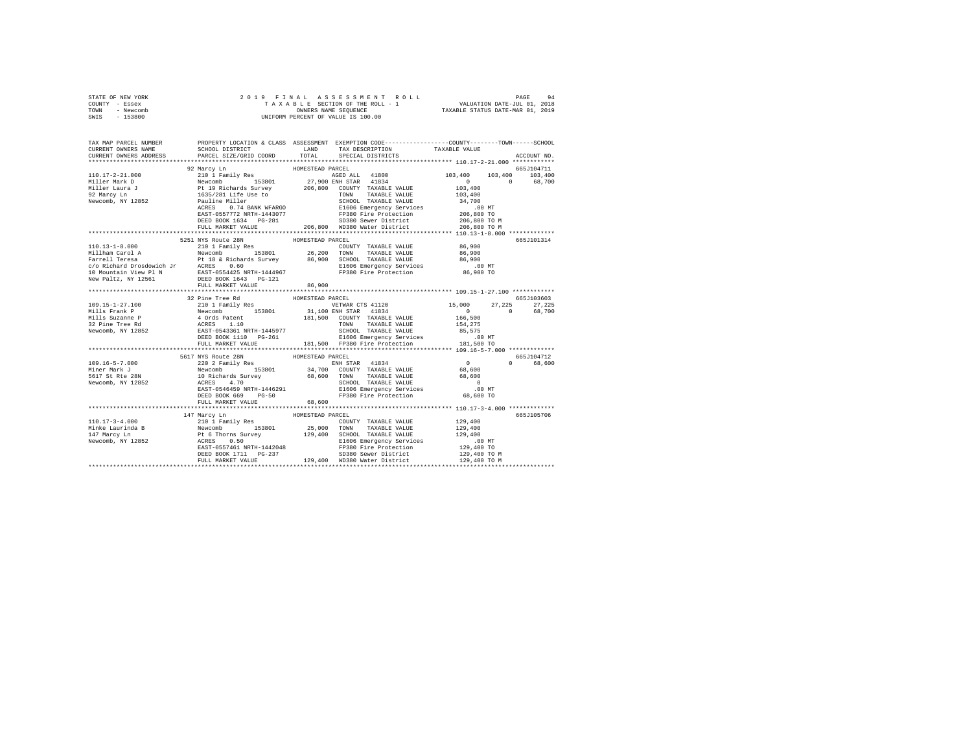| STATE OF NEW YORK<br>COUNTY - Essex<br>TOWN - Newcomb<br>SWIS - 153800                                                                                                                                                                                                                                                                                                                             |                          |                  |  |             |  |
|----------------------------------------------------------------------------------------------------------------------------------------------------------------------------------------------------------------------------------------------------------------------------------------------------------------------------------------------------------------------------------------------------|--------------------------|------------------|--|-------------|--|
| TAX MAP PARCEL NUMBER PROPERTY LOCATION & CLASS ASSESSMENT EXEMPTION CODE--------------COUNTY-------TOWN-----SCHOOL<br>CURRENT OWNERS NAME                                                                                                                                                                                                                                                         |                          |                  |  |             |  |
| CURRENT OWNERS ADDRESS                                                                                                                                                                                                                                                                                                                                                                             |                          |                  |  | ACCOUNT NO. |  |
|                                                                                                                                                                                                                                                                                                                                                                                                    |                          |                  |  |             |  |
|                                                                                                                                                                                                                                                                                                                                                                                                    |                          |                  |  |             |  |
|                                                                                                                                                                                                                                                                                                                                                                                                    |                          |                  |  |             |  |
|                                                                                                                                                                                                                                                                                                                                                                                                    |                          |                  |  |             |  |
|                                                                                                                                                                                                                                                                                                                                                                                                    |                          |                  |  |             |  |
|                                                                                                                                                                                                                                                                                                                                                                                                    |                          |                  |  |             |  |
|                                                                                                                                                                                                                                                                                                                                                                                                    |                          |                  |  |             |  |
|                                                                                                                                                                                                                                                                                                                                                                                                    |                          |                  |  |             |  |
|                                                                                                                                                                                                                                                                                                                                                                                                    |                          |                  |  |             |  |
|                                                                                                                                                                                                                                                                                                                                                                                                    |                          |                  |  |             |  |
|                                                                                                                                                                                                                                                                                                                                                                                                    |                          |                  |  |             |  |
|                                                                                                                                                                                                                                                                                                                                                                                                    | 5251 NYS Route 28N       | HOMESTEAD PARCEL |  | 665J101314  |  |
|                                                                                                                                                                                                                                                                                                                                                                                                    |                          |                  |  |             |  |
|                                                                                                                                                                                                                                                                                                                                                                                                    |                          |                  |  |             |  |
|                                                                                                                                                                                                                                                                                                                                                                                                    |                          |                  |  |             |  |
|                                                                                                                                                                                                                                                                                                                                                                                                    |                          |                  |  |             |  |
|                                                                                                                                                                                                                                                                                                                                                                                                    |                          |                  |  |             |  |
|                                                                                                                                                                                                                                                                                                                                                                                                    |                          |                  |  |             |  |
|                                                                                                                                                                                                                                                                                                                                                                                                    |                          |                  |  |             |  |
|                                                                                                                                                                                                                                                                                                                                                                                                    |                          |                  |  |             |  |
|                                                                                                                                                                                                                                                                                                                                                                                                    |                          |                  |  |             |  |
|                                                                                                                                                                                                                                                                                                                                                                                                    |                          |                  |  |             |  |
|                                                                                                                                                                                                                                                                                                                                                                                                    |                          |                  |  |             |  |
|                                                                                                                                                                                                                                                                                                                                                                                                    |                          |                  |  |             |  |
|                                                                                                                                                                                                                                                                                                                                                                                                    |                          |                  |  |             |  |
|                                                                                                                                                                                                                                                                                                                                                                                                    |                          |                  |  |             |  |
|                                                                                                                                                                                                                                                                                                                                                                                                    |                          |                  |  |             |  |
|                                                                                                                                                                                                                                                                                                                                                                                                    |                          |                  |  |             |  |
|                                                                                                                                                                                                                                                                                                                                                                                                    |                          |                  |  |             |  |
|                                                                                                                                                                                                                                                                                                                                                                                                    |                          |                  |  | 0 68,600    |  |
|                                                                                                                                                                                                                                                                                                                                                                                                    |                          |                  |  |             |  |
|                                                                                                                                                                                                                                                                                                                                                                                                    |                          |                  |  |             |  |
|                                                                                                                                                                                                                                                                                                                                                                                                    |                          |                  |  |             |  |
|                                                                                                                                                                                                                                                                                                                                                                                                    |                          |                  |  |             |  |
|                                                                                                                                                                                                                                                                                                                                                                                                    |                          |                  |  |             |  |
|                                                                                                                                                                                                                                                                                                                                                                                                    | FULL MARKET VALUE 68,600 |                  |  |             |  |
|                                                                                                                                                                                                                                                                                                                                                                                                    |                          |                  |  |             |  |
|                                                                                                                                                                                                                                                                                                                                                                                                    | 147 Marcy Ln             | HOMESTEAD PARCEL |  | 665J105706  |  |
|                                                                                                                                                                                                                                                                                                                                                                                                    |                          |                  |  |             |  |
|                                                                                                                                                                                                                                                                                                                                                                                                    |                          |                  |  |             |  |
|                                                                                                                                                                                                                                                                                                                                                                                                    |                          |                  |  |             |  |
|                                                                                                                                                                                                                                                                                                                                                                                                    |                          |                  |  |             |  |
|                                                                                                                                                                                                                                                                                                                                                                                                    |                          |                  |  |             |  |
|                                                                                                                                                                                                                                                                                                                                                                                                    |                          |                  |  |             |  |
| $\begin{tabular}{l c c c c c} \hline 110.17-3-4.000 & 147\ &\text{Marcy Im} & \text{HOMESTE} & \text{HOMESTE} & \text{DARALE VALUE} & 129,400 \\ \hline & 210 1\ &\text{Family Res} & \text{COMITY TAXABLE VALUE} & 129,400 \\ \hline \end{tabular} \hline \\ \hline 147\ &\text{Marcy Im} & \text{P4m} & 153801 & 25,000\ &\text{TOMN TAXABLE VALUE} & 129,400 \\ \hline \end{tabular} \hline \\$ |                          |                  |  |             |  |
|                                                                                                                                                                                                                                                                                                                                                                                                    |                          |                  |  |             |  |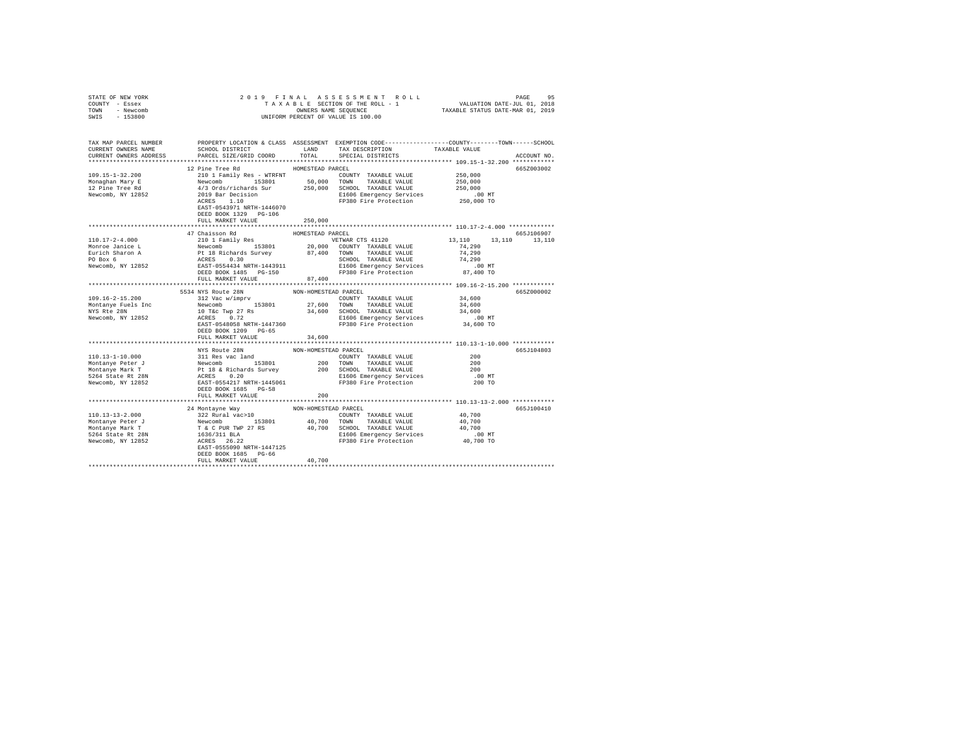| STATE OF NEW YORK<br>COUNTY - Essex<br>TOWN - Newcomb<br>SWIS - 153800                                                                                                                                                                                                                                                                                                                                                                                   |                                                    |                      | PAGE 95 PLIN A LA SSESSMENT ROLL PAGE 95 PAGE 97 PAGE 97 PAGE 97 PLIN 2018<br>TA XA BLE SECTION OF THE ROLL - 1 WALUATION DATE-JUL 01, 2019<br>OWNERS NAME SEQUENCE 97 TAXABLE STATUS DATE-MAR 01, 2019<br>OWNERS NAME SEQUENCE<br>UNIFORM PERCENT OF VALUE IS 100.00 |               |                 |
|----------------------------------------------------------------------------------------------------------------------------------------------------------------------------------------------------------------------------------------------------------------------------------------------------------------------------------------------------------------------------------------------------------------------------------------------------------|----------------------------------------------------|----------------------|-----------------------------------------------------------------------------------------------------------------------------------------------------------------------------------------------------------------------------------------------------------------------|---------------|-----------------|
| TAX MAP PARCEL NUMBER PROPERTY LOCATION & CLASS ASSESSMENT EXEMPTION CODE---------------COUNTY-------TOWN------SCHOOL                                                                                                                                                                                                                                                                                                                                    | SCHOOL DISTRICT LAND                               |                      | TAX DESCRIPTION                                                                                                                                                                                                                                                       |               |                 |
| CURRENT OWNERS NAME<br>CURRENT OWNERS ADDRESS                                                                                                                                                                                                                                                                                                                                                                                                            | PARCEL SIZE/GRID COORD TOTAL                       |                      | SPECIAL DISTRICTS                                                                                                                                                                                                                                                     | TAXABLE VALUE | ACCOUNT NO.     |
|                                                                                                                                                                                                                                                                                                                                                                                                                                                          |                                                    |                      |                                                                                                                                                                                                                                                                       |               |                 |
|                                                                                                                                                                                                                                                                                                                                                                                                                                                          | 12 Pine Tree Rd                                    | HOMESTEAD PARCEL     |                                                                                                                                                                                                                                                                       |               | 665Z003002      |
|                                                                                                                                                                                                                                                                                                                                                                                                                                                          |                                                    |                      |                                                                                                                                                                                                                                                                       |               |                 |
|                                                                                                                                                                                                                                                                                                                                                                                                                                                          |                                                    |                      |                                                                                                                                                                                                                                                                       |               |                 |
|                                                                                                                                                                                                                                                                                                                                                                                                                                                          |                                                    |                      |                                                                                                                                                                                                                                                                       |               |                 |
|                                                                                                                                                                                                                                                                                                                                                                                                                                                          | EAST-0543971 NRTH-1446070<br>DEED BOOK 1329 PG-106 |                      |                                                                                                                                                                                                                                                                       |               |                 |
|                                                                                                                                                                                                                                                                                                                                                                                                                                                          | FULL MARKET VALUE                                  | 250,000              |                                                                                                                                                                                                                                                                       |               |                 |
|                                                                                                                                                                                                                                                                                                                                                                                                                                                          | 47 Chaisson Rd                                     | HOMESTEAD PARCEL     |                                                                                                                                                                                                                                                                       |               | 665J106907      |
| $110.17 - 2 - 4.000$                                                                                                                                                                                                                                                                                                                                                                                                                                     | 210 1 Family Res                                   |                      | VETWAR CTS 41120                                                                                                                                                                                                                                                      | 13,110        | 13,110   13,110 |
| A CONTROL AND MONOGRAPHY CONSULTER TRANSPORT OF 1989 1991<br>NATION COUNTY TAXABLE VALUE TO 1991<br>EUTICAL PRESS (1992) 20,000 COUNTY TAXABLE VALUE 74,290<br>FO BOX 6 ACRES (1993) 20,000 COUNTY TAXABLE VALUE 74,290<br>PO BOX 6 AC                                                                                                                                                                                                                   |                                                    |                      |                                                                                                                                                                                                                                                                       |               |                 |
|                                                                                                                                                                                                                                                                                                                                                                                                                                                          |                                                    |                      |                                                                                                                                                                                                                                                                       |               |                 |
|                                                                                                                                                                                                                                                                                                                                                                                                                                                          |                                                    |                      |                                                                                                                                                                                                                                                                       |               |                 |
|                                                                                                                                                                                                                                                                                                                                                                                                                                                          |                                                    |                      |                                                                                                                                                                                                                                                                       |               |                 |
|                                                                                                                                                                                                                                                                                                                                                                                                                                                          | FULL MARKET VALUE                                  | 87,400               |                                                                                                                                                                                                                                                                       |               |                 |
|                                                                                                                                                                                                                                                                                                                                                                                                                                                          |                                                    |                      |                                                                                                                                                                                                                                                                       |               |                 |
|                                                                                                                                                                                                                                                                                                                                                                                                                                                          |                                                    |                      |                                                                                                                                                                                                                                                                       |               | 665Z000002      |
| $109.16 - 2 - 15.200$                                                                                                                                                                                                                                                                                                                                                                                                                                    |                                                    |                      |                                                                                                                                                                                                                                                                       |               |                 |
|                                                                                                                                                                                                                                                                                                                                                                                                                                                          |                                                    |                      |                                                                                                                                                                                                                                                                       |               |                 |
| Montanye Fuels Inc<br>NYS Rte 28N<br>Newcomb, NY 12852                                                                                                                                                                                                                                                                                                                                                                                                   |                                                    |                      |                                                                                                                                                                                                                                                                       |               |                 |
|                                                                                                                                                                                                                                                                                                                                                                                                                                                          | EAST-0548058 NRTH-1447360                          |                      | FP380 Fire Protection                                                                                                                                                                                                                                                 | 34,600 TO     |                 |
|                                                                                                                                                                                                                                                                                                                                                                                                                                                          | DEED BOOK 1209 PG-65                               |                      |                                                                                                                                                                                                                                                                       |               |                 |
|                                                                                                                                                                                                                                                                                                                                                                                                                                                          | FULL MARKET VALUE                                  | 34,600               |                                                                                                                                                                                                                                                                       |               |                 |
|                                                                                                                                                                                                                                                                                                                                                                                                                                                          |                                                    |                      |                                                                                                                                                                                                                                                                       |               |                 |
|                                                                                                                                                                                                                                                                                                                                                                                                                                                          | NYS Route 28N                                      | NON-HOMESTEAD PARCEL |                                                                                                                                                                                                                                                                       | 200           | 665.7104803     |
|                                                                                                                                                                                                                                                                                                                                                                                                                                                          |                                                    |                      | COUNTY TAXABLE VALUE                                                                                                                                                                                                                                                  | 200           |                 |
|                                                                                                                                                                                                                                                                                                                                                                                                                                                          |                                                    |                      |                                                                                                                                                                                                                                                                       | 200           |                 |
|                                                                                                                                                                                                                                                                                                                                                                                                                                                          |                                                    |                      |                                                                                                                                                                                                                                                                       | $.00$ MT      |                 |
| $\begin{tabular}{l c c c c c} \hline 110.13-1-10.000 & 311\hspace{0.2cm} \textbf{Keo} & 100\hspace{0.2cm} \textbf{N} & 100\hspace{0.2cm} \textbf{W} & 100\hspace{0.2cm} \textbf{W} & 100\hspace{0.2cm} \textbf{W} & 100\hspace{0.2cm} \textbf{W} & 100\hspace{0.2cm} \textbf{W} & 100\hspace{0.2cm} \textbf{W} & 100\hspace{0.2cm} \textbf{W} & $                                                                                                        | DEED BOOK 1685 PG-58                               |                      |                                                                                                                                                                                                                                                                       | 200 TO        |                 |
|                                                                                                                                                                                                                                                                                                                                                                                                                                                          | FULL MARKET VALUE                                  | 200                  |                                                                                                                                                                                                                                                                       |               |                 |
|                                                                                                                                                                                                                                                                                                                                                                                                                                                          |                                                    |                      |                                                                                                                                                                                                                                                                       |               |                 |
|                                                                                                                                                                                                                                                                                                                                                                                                                                                          | 24 Montayne Way                                    | NON-HOMESTEAD PARCEL |                                                                                                                                                                                                                                                                       | 40,700        | 665-7100410     |
|                                                                                                                                                                                                                                                                                                                                                                                                                                                          |                                                    |                      |                                                                                                                                                                                                                                                                       | 40,700        |                 |
|                                                                                                                                                                                                                                                                                                                                                                                                                                                          |                                                    |                      |                                                                                                                                                                                                                                                                       | 40,700        |                 |
|                                                                                                                                                                                                                                                                                                                                                                                                                                                          |                                                    |                      |                                                                                                                                                                                                                                                                       | .00 MT        |                 |
| $\begin{tabular}{l c c c c c} \multicolumn{3}{c}{\textbf{10.13--13--2.000}} & \multicolumn{3}{c}{\textbf{22 Rural vac} & \multicolumn{3}{c}{\textbf{23.2 Rural vac} & \multicolumn{3}{c}{\textbf{24.2 Rural vac} & \multicolumn{3}{c}{\textbf{25.2 Rural vac} & \multicolumn{3}{c}{\textbf{26.2 Rural vac} & \multicolumn{3}{c}{\textbf{27.2 RICAL DE VALILE VALUE} \\ \multicolumn{3}{c}{\textbf{Montanye Peter }T}$ & \multicolumn{3}{c}{\textbf{28.2$ |                                                    |                      |                                                                                                                                                                                                                                                                       |               |                 |
|                                                                                                                                                                                                                                                                                                                                                                                                                                                          |                                                    |                      |                                                                                                                                                                                                                                                                       |               |                 |
|                                                                                                                                                                                                                                                                                                                                                                                                                                                          | DEED BOOK 1685 PG-66<br>FULL MARKET VALUE          | 40,700               |                                                                                                                                                                                                                                                                       |               |                 |
|                                                                                                                                                                                                                                                                                                                                                                                                                                                          |                                                    |                      |                                                                                                                                                                                                                                                                       |               |                 |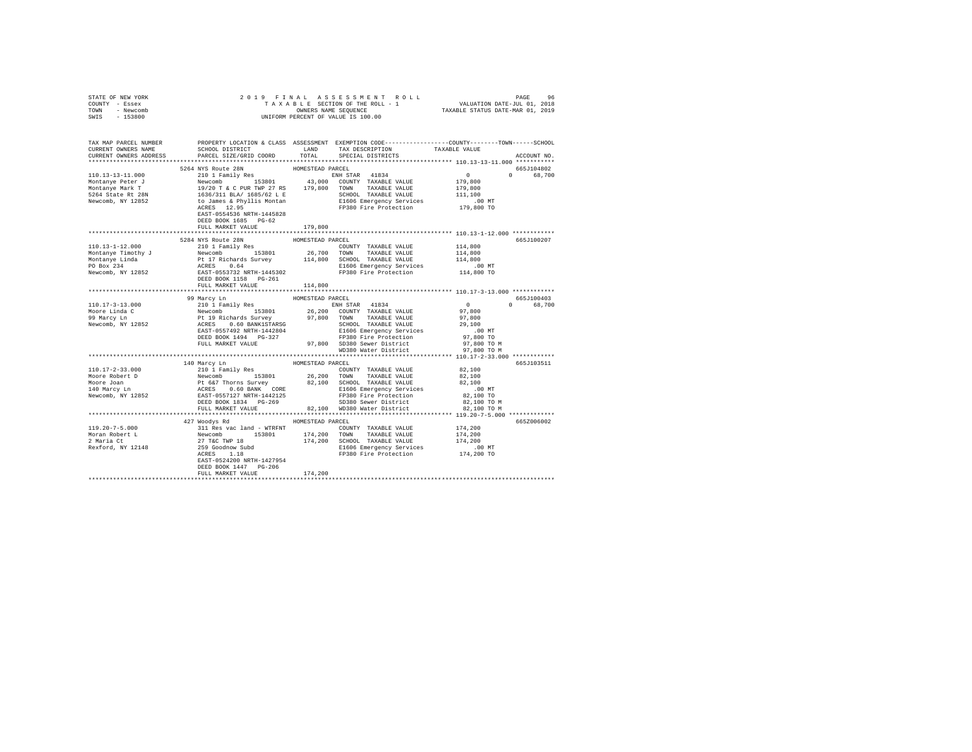| STATE OF NEW YORK      |                                |                  |                                                                                                                                                                                                                                                                                                                                                                                                                                                        |                                                                                                                      |
|------------------------|--------------------------------|------------------|--------------------------------------------------------------------------------------------------------------------------------------------------------------------------------------------------------------------------------------------------------------------------------------------------------------------------------------------------------------------------------------------------------------------------------------------------------|----------------------------------------------------------------------------------------------------------------------|
| COUNTY - Essex         |                                |                  |                                                                                                                                                                                                                                                                                                                                                                                                                                                        |                                                                                                                      |
| TOWN - Newcomb         |                                |                  |                                                                                                                                                                                                                                                                                                                                                                                                                                                        |                                                                                                                      |
| SWIS - 153800          |                                |                  |                                                                                                                                                                                                                                                                                                                                                                                                                                                        |                                                                                                                      |
|                        |                                |                  |                                                                                                                                                                                                                                                                                                                                                                                                                                                        |                                                                                                                      |
|                        |                                |                  |                                                                                                                                                                                                                                                                                                                                                                                                                                                        |                                                                                                                      |
|                        |                                |                  |                                                                                                                                                                                                                                                                                                                                                                                                                                                        | TAX MAP PARCEL NUMBER PROPERTY LOCATION & CLASS ASSESSMENT EXEMPTION CODE--------------COUNTY-------TOWN------SCHOOL |
| CURRENT OWNERS NAME    |                                |                  | SCHOOL DISTRICT $\hfill\textsc{LAND}$ TAX DESCRIPTION TAXABLE VALUE                                                                                                                                                                                                                                                                                                                                                                                    |                                                                                                                      |
| CURRENT OWNERS ADDRESS | PARCEL SIZE/GRID COORD         |                  | TOTAL SPECIAL DISTRICTS                                                                                                                                                                                                                                                                                                                                                                                                                                | ACCOUNT NO.                                                                                                          |
|                        |                                |                  |                                                                                                                                                                                                                                                                                                                                                                                                                                                        |                                                                                                                      |
|                        |                                |                  |                                                                                                                                                                                                                                                                                                                                                                                                                                                        | 665J104802                                                                                                           |
|                        |                                |                  |                                                                                                                                                                                                                                                                                                                                                                                                                                                        |                                                                                                                      |
|                        |                                |                  |                                                                                                                                                                                                                                                                                                                                                                                                                                                        |                                                                                                                      |
|                        |                                |                  |                                                                                                                                                                                                                                                                                                                                                                                                                                                        | $\begin{array}{cccc} & 0 & & 0 & 68,700 \\ 179,800 & & & 68,700 \\ 179,800 & & & & \end{array}$                      |
|                        |                                |                  |                                                                                                                                                                                                                                                                                                                                                                                                                                                        |                                                                                                                      |
|                        |                                |                  |                                                                                                                                                                                                                                                                                                                                                                                                                                                        |                                                                                                                      |
|                        |                                |                  |                                                                                                                                                                                                                                                                                                                                                                                                                                                        |                                                                                                                      |
|                        | EAST-0554536 NRTH-1445828      |                  |                                                                                                                                                                                                                                                                                                                                                                                                                                                        |                                                                                                                      |
|                        | DEED BOOK 1685 PG-62           |                  |                                                                                                                                                                                                                                                                                                                                                                                                                                                        |                                                                                                                      |
|                        | FULL MARKET VALUE              | 179,800          |                                                                                                                                                                                                                                                                                                                                                                                                                                                        |                                                                                                                      |
|                        |                                |                  |                                                                                                                                                                                                                                                                                                                                                                                                                                                        |                                                                                                                      |
|                        | 5284 NYS Route 28N             | HOMESTEAD PARCEL |                                                                                                                                                                                                                                                                                                                                                                                                                                                        |                                                                                                                      |
|                        |                                |                  |                                                                                                                                                                                                                                                                                                                                                                                                                                                        | 665J100207                                                                                                           |
|                        | 210 1 Family Res               |                  | $\begin{tabular}{lllllllllll} \multicolumn{2}{c}{\textbf{COUNTY}} & \textbf{TAXABLE VALUE} & & & 114,800 \\ \multicolumn{2}{c}{\textbf{TOWN}} & \textbf{TAXABLE VALUE} & & 114,800 \\ \multicolumn{2}{c}{\textbf{TOWN}} & \textbf{TAXABLE VALUE} & & 114,800 \\ \multicolumn{2}{c}{\textbf{TOWN}} & \textbf{TAXABLE VALUE} & & 114,800 \\ \multicolumn{2}{c}{\textbf{TOWN}} & \textbf{TAXABLE VALUE} & & 114,800 \\ \multicolumn{2}{c}{\textbf{TOWN}}$ |                                                                                                                      |
|                        |                                |                  |                                                                                                                                                                                                                                                                                                                                                                                                                                                        |                                                                                                                      |
|                        |                                |                  |                                                                                                                                                                                                                                                                                                                                                                                                                                                        |                                                                                                                      |
|                        |                                |                  |                                                                                                                                                                                                                                                                                                                                                                                                                                                        |                                                                                                                      |
|                        |                                |                  |                                                                                                                                                                                                                                                                                                                                                                                                                                                        |                                                                                                                      |
|                        |                                |                  |                                                                                                                                                                                                                                                                                                                                                                                                                                                        |                                                                                                                      |
|                        |                                |                  |                                                                                                                                                                                                                                                                                                                                                                                                                                                        |                                                                                                                      |
|                        |                                |                  |                                                                                                                                                                                                                                                                                                                                                                                                                                                        |                                                                                                                      |
|                        |                                |                  |                                                                                                                                                                                                                                                                                                                                                                                                                                                        |                                                                                                                      |
|                        |                                |                  |                                                                                                                                                                                                                                                                                                                                                                                                                                                        | 665J100403                                                                                                           |
|                        |                                |                  |                                                                                                                                                                                                                                                                                                                                                                                                                                                        | 0 68,700                                                                                                             |
|                        |                                |                  |                                                                                                                                                                                                                                                                                                                                                                                                                                                        |                                                                                                                      |
|                        |                                |                  |                                                                                                                                                                                                                                                                                                                                                                                                                                                        |                                                                                                                      |
|                        |                                |                  |                                                                                                                                                                                                                                                                                                                                                                                                                                                        |                                                                                                                      |
|                        |                                |                  |                                                                                                                                                                                                                                                                                                                                                                                                                                                        |                                                                                                                      |
|                        |                                |                  |                                                                                                                                                                                                                                                                                                                                                                                                                                                        |                                                                                                                      |
|                        |                                |                  |                                                                                                                                                                                                                                                                                                                                                                                                                                                        |                                                                                                                      |
|                        |                                |                  |                                                                                                                                                                                                                                                                                                                                                                                                                                                        |                                                                                                                      |
|                        |                                |                  |                                                                                                                                                                                                                                                                                                                                                                                                                                                        |                                                                                                                      |
|                        |                                |                  |                                                                                                                                                                                                                                                                                                                                                                                                                                                        | 665J103511                                                                                                           |
|                        |                                |                  |                                                                                                                                                                                                                                                                                                                                                                                                                                                        |                                                                                                                      |
|                        |                                |                  |                                                                                                                                                                                                                                                                                                                                                                                                                                                        |                                                                                                                      |
|                        |                                |                  |                                                                                                                                                                                                                                                                                                                                                                                                                                                        |                                                                                                                      |
|                        |                                |                  |                                                                                                                                                                                                                                                                                                                                                                                                                                                        |                                                                                                                      |
|                        |                                |                  |                                                                                                                                                                                                                                                                                                                                                                                                                                                        |                                                                                                                      |
|                        |                                |                  |                                                                                                                                                                                                                                                                                                                                                                                                                                                        |                                                                                                                      |
|                        |                                |                  |                                                                                                                                                                                                                                                                                                                                                                                                                                                        |                                                                                                                      |
|                        |                                |                  |                                                                                                                                                                                                                                                                                                                                                                                                                                                        |                                                                                                                      |
|                        | 427 Woodys Rd MOMESTEAD PARCEL |                  |                                                                                                                                                                                                                                                                                                                                                                                                                                                        | 665Z006002                                                                                                           |
|                        |                                |                  |                                                                                                                                                                                                                                                                                                                                                                                                                                                        |                                                                                                                      |
|                        |                                |                  |                                                                                                                                                                                                                                                                                                                                                                                                                                                        |                                                                                                                      |
|                        |                                |                  |                                                                                                                                                                                                                                                                                                                                                                                                                                                        |                                                                                                                      |
|                        |                                |                  |                                                                                                                                                                                                                                                                                                                                                                                                                                                        |                                                                                                                      |
|                        |                                |                  |                                                                                                                                                                                                                                                                                                                                                                                                                                                        |                                                                                                                      |
|                        |                                |                  |                                                                                                                                                                                                                                                                                                                                                                                                                                                        |                                                                                                                      |
|                        | DEED BOOK 1447 PG-206          |                  |                                                                                                                                                                                                                                                                                                                                                                                                                                                        |                                                                                                                      |
|                        | FULL MARKET VALUE              | 174,200          |                                                                                                                                                                                                                                                                                                                                                                                                                                                        |                                                                                                                      |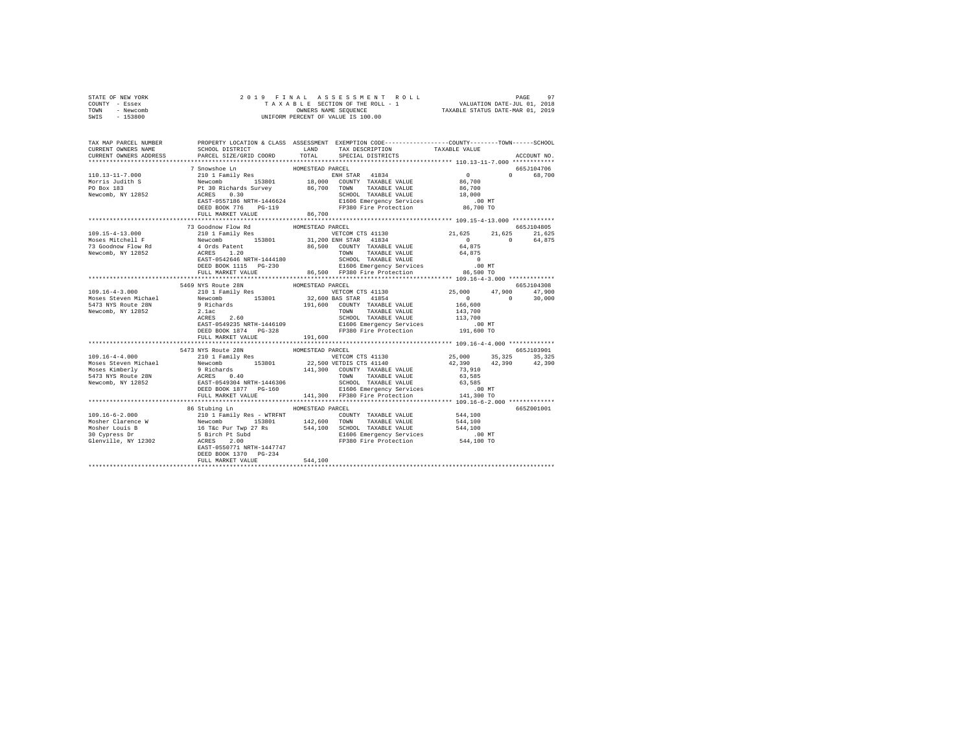|      | STATE OF NEW YORK | 2019 FINAL ASSESSMENT ROLL         | PAGE                             | 97 |
|------|-------------------|------------------------------------|----------------------------------|----|
|      | COUNTY - Essex    | TAXABLE SECTION OF THE ROLL - 1    | VALUATION DATE-JUL 01, 2018      |    |
| TOWN | - Newcomb         | OWNERS NAME SEOUENCE               | TAXABLE STATUS DATE-MAR 01, 2019 |    |
| SWIS | - 153800          | UNIFORM PERCENT OF VALUE IS 100.00 |                                  |    |

| TAX MAP PARCEL NUMBER<br>CURRENT OWNERS NAME                                                                                                                                                                                                                                                                                                                                                                         |                                           | LAND             | PROPERTY LOCATION & CLASS ASSESSMENT EXEMPTION CODE----------------COUNTY-------TOWN------SCHOOL<br>TAX DESCRIPTION TAXABLE VALUE |          |               |
|----------------------------------------------------------------------------------------------------------------------------------------------------------------------------------------------------------------------------------------------------------------------------------------------------------------------------------------------------------------------------------------------------------------------|-------------------------------------------|------------------|-----------------------------------------------------------------------------------------------------------------------------------|----------|---------------|
| CURRENT OWNERS ADDRESS                                                                                                                                                                                                                                                                                                                                                                                               | SCHOOL DISTRICT<br>PARCEL SIZE/GRID COORD |                  | TOTAL SPECIAL DISTRICTS                                                                                                           |          | ACCOUNT NO.   |
|                                                                                                                                                                                                                                                                                                                                                                                                                      |                                           |                  |                                                                                                                                   |          |               |
|                                                                                                                                                                                                                                                                                                                                                                                                                      | 7 Snowshoe Ln                             | HOMESTEAD PARCEL |                                                                                                                                   |          | 665J104706    |
|                                                                                                                                                                                                                                                                                                                                                                                                                      |                                           |                  |                                                                                                                                   | $\Omega$ | 68,700        |
|                                                                                                                                                                                                                                                                                                                                                                                                                      |                                           |                  |                                                                                                                                   |          |               |
|                                                                                                                                                                                                                                                                                                                                                                                                                      |                                           |                  |                                                                                                                                   |          |               |
|                                                                                                                                                                                                                                                                                                                                                                                                                      |                                           |                  |                                                                                                                                   |          |               |
|                                                                                                                                                                                                                                                                                                                                                                                                                      |                                           |                  |                                                                                                                                   |          |               |
|                                                                                                                                                                                                                                                                                                                                                                                                                      | FULL MARKET VALUE 86,700                  |                  |                                                                                                                                   |          |               |
|                                                                                                                                                                                                                                                                                                                                                                                                                      |                                           |                  |                                                                                                                                   |          |               |
|                                                                                                                                                                                                                                                                                                                                                                                                                      | 73 Goodnow Flow Rd MOMESTEAD PARCEL       |                  |                                                                                                                                   |          | 665J104805    |
|                                                                                                                                                                                                                                                                                                                                                                                                                      |                                           |                  | VETCOM CTS 41130 21,625 21,625                                                                                                    |          | 21,625        |
|                                                                                                                                                                                                                                                                                                                                                                                                                      |                                           |                  |                                                                                                                                   | 64,875   |               |
|                                                                                                                                                                                                                                                                                                                                                                                                                      |                                           |                  |                                                                                                                                   |          |               |
|                                                                                                                                                                                                                                                                                                                                                                                                                      |                                           |                  |                                                                                                                                   |          |               |
|                                                                                                                                                                                                                                                                                                                                                                                                                      |                                           |                  |                                                                                                                                   |          |               |
|                                                                                                                                                                                                                                                                                                                                                                                                                      |                                           |                  |                                                                                                                                   |          |               |
| $\begin{tabular}{cccc} 109.15-4-13.000 & 73\, \text{codomow Flow Ed} & \text{HOMESTEMV ATCAL} & \text{KUMESTEMV ATCAL} & \text{21,625} & 21 \\ 109.15-4-13.000 & 71\, \text{G3} & 210\, 11\, \text{Family Res} & \text{VETCOM CTS 41130} & 21,625 & 21 \\ \text{Mosees Mitchell F} & \text{Newton} & 153801 & 31,200\, \text{EMH STAR} & 41834 & 64,875 \\ 73\, \text$                                               |                                           |                  |                                                                                                                                   |          |               |
|                                                                                                                                                                                                                                                                                                                                                                                                                      |                                           |                  |                                                                                                                                   |          |               |
|                                                                                                                                                                                                                                                                                                                                                                                                                      |                                           |                  |                                                                                                                                   |          | 665J104308    |
|                                                                                                                                                                                                                                                                                                                                                                                                                      |                                           |                  | VETCOM CTS 41130 25,000 47,900 47,900                                                                                             |          |               |
|                                                                                                                                                                                                                                                                                                                                                                                                                      |                                           |                  |                                                                                                                                   |          | $0 \t 30,000$ |
|                                                                                                                                                                                                                                                                                                                                                                                                                      |                                           |                  |                                                                                                                                   |          |               |
|                                                                                                                                                                                                                                                                                                                                                                                                                      |                                           |                  |                                                                                                                                   |          |               |
|                                                                                                                                                                                                                                                                                                                                                                                                                      |                                           |                  |                                                                                                                                   |          |               |
|                                                                                                                                                                                                                                                                                                                                                                                                                      |                                           |                  |                                                                                                                                   |          |               |
|                                                                                                                                                                                                                                                                                                                                                                                                                      | FULL MARKET VALUE                         | 191,600          |                                                                                                                                   |          |               |
|                                                                                                                                                                                                                                                                                                                                                                                                                      |                                           |                  |                                                                                                                                   |          |               |
|                                                                                                                                                                                                                                                                                                                                                                                                                      | 5473 NYS Route 28N                        | HOMESTEAD PARCEL |                                                                                                                                   |          | 665J103901    |
|                                                                                                                                                                                                                                                                                                                                                                                                                      |                                           |                  |                                                                                                                                   |          |               |
|                                                                                                                                                                                                                                                                                                                                                                                                                      |                                           |                  |                                                                                                                                   |          |               |
|                                                                                                                                                                                                                                                                                                                                                                                                                      |                                           |                  |                                                                                                                                   |          |               |
|                                                                                                                                                                                                                                                                                                                                                                                                                      |                                           |                  |                                                                                                                                   |          |               |
|                                                                                                                                                                                                                                                                                                                                                                                                                      |                                           |                  |                                                                                                                                   |          |               |
|                                                                                                                                                                                                                                                                                                                                                                                                                      |                                           |                  |                                                                                                                                   |          |               |
| $\begin{tabular}{cccccc} \texttt{109.16-4-4.000} & \texttt{5473 F8 NUS TED} & \texttt{HOMESTERD} & \texttt{HOMESTERD} & \texttt{HOMESTERD} & \texttt{WCHC} & \texttt{1130} & \texttt{25,000} & \texttt{35,325} \\ \texttt{Moses Steven Michael} & \texttt{Newcomb} & \texttt{153801} & \texttt{22,500 VETDTS CTS 41140} & \texttt{23,000} & \texttt{35,325} \\ \texttt{Moses Steven Michael} & \texttt{Newcomb} & \$ |                                           |                  |                                                                                                                                   |          |               |
|                                                                                                                                                                                                                                                                                                                                                                                                                      |                                           |                  |                                                                                                                                   |          |               |
|                                                                                                                                                                                                                                                                                                                                                                                                                      | 86 Stubing Ln                             | HOMESTEAD PARCEL |                                                                                                                                   |          | 665Z001001    |
|                                                                                                                                                                                                                                                                                                                                                                                                                      |                                           |                  |                                                                                                                                   |          |               |
|                                                                                                                                                                                                                                                                                                                                                                                                                      |                                           |                  |                                                                                                                                   |          |               |
|                                                                                                                                                                                                                                                                                                                                                                                                                      |                                           |                  |                                                                                                                                   |          |               |
|                                                                                                                                                                                                                                                                                                                                                                                                                      |                                           |                  |                                                                                                                                   |          |               |
|                                                                                                                                                                                                                                                                                                                                                                                                                      |                                           |                  |                                                                                                                                   |          |               |
|                                                                                                                                                                                                                                                                                                                                                                                                                      | DEED BOOK 1370 PG-234                     |                  |                                                                                                                                   |          |               |
|                                                                                                                                                                                                                                                                                                                                                                                                                      | FULL MARKET VALUE                         | 544,100          |                                                                                                                                   |          |               |
|                                                                                                                                                                                                                                                                                                                                                                                                                      |                                           |                  |                                                                                                                                   |          |               |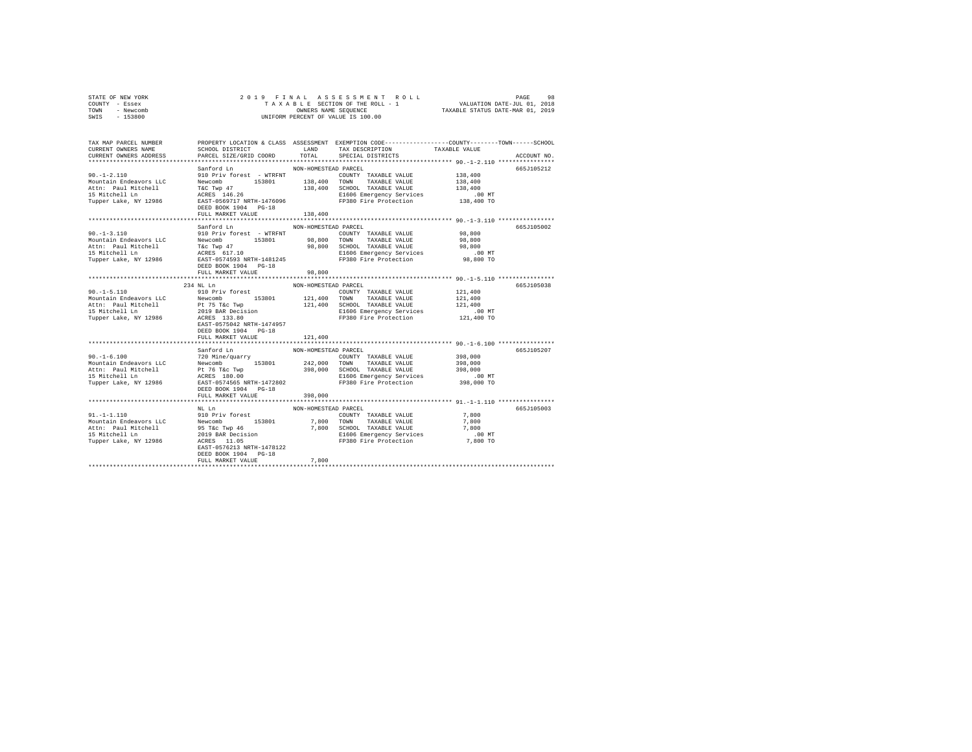| COUNTY - Essex<br>TOWN - Newcomb<br>SWIS - 153800                                                                                                                                                                                                            |                                                                                                                                                                                        |                                 | UNIFORM PERCENT OF VALUE IS 100.00                                                                                                                                                                  |                                                       |             |
|--------------------------------------------------------------------------------------------------------------------------------------------------------------------------------------------------------------------------------------------------------------|----------------------------------------------------------------------------------------------------------------------------------------------------------------------------------------|---------------------------------|-----------------------------------------------------------------------------------------------------------------------------------------------------------------------------------------------------|-------------------------------------------------------|-------------|
| TAX MAP PARCEL NUMBER PROPERTY LOCATION & CLASS ASSESSMENT EXEMPTION CODE--------------COUNTY-------TOWN-----SCHOOL<br>CURRENT OWNERS NAME<br>CURRENT OWNERS ADDRESS                                                                                         | SCHOOL DISTRICT TAND TAX DESCRIPTION<br>PARCEL SIZE/GRID COORD                                                                                                                         | TOTAL                           | SPECIAL DISTRICTS                                                                                                                                                                                   | TAXABLE VALUE                                         | ACCOUNT NO. |
| $90. -1 - 2.110$<br>Nountain Endeavors LLC Newcomb 19801 138,400 TOWN TAXABLE VALUE 138,400<br>Mountain Endeavors LLC Twee 13801 138,400 TOWN TAXABLE VALUE 138,400<br>138.400 IS Nitchell Ln TaC Twp 47<br>138,400 IS Nichell Ln ACRES 146.26 138,400 E     | Sanford Ln<br>910 Priv forest - WTRFNT COUNTY TAXABLE VALUE<br>FULL MARKET VALUE                                                                                                       | NON-HOMESTEAD PARCEL<br>138,400 |                                                                                                                                                                                                     | 138,400                                               | 665J105212  |
|                                                                                                                                                                                                                                                              |                                                                                                                                                                                        |                                 |                                                                                                                                                                                                     |                                                       |             |
| $90. -1 - 3.110$<br>Mountain Endeavors LLC Newcomb 193801 98,800 TOWN TAXABLE VALUE 98,800<br>193801 98,800 TOWN TAXABLE VALUE 98,800<br>193801 98,800 TOWN TAXABLE VALUE 98,800<br>198.00 TOWN TAXABLE VALUE 98,800<br>198.00 TOWN TAXABLE VALUE 98,800<br> | Sanford Ln<br>910 Priv forest - WTRFNT<br>DEED BOOK 1904 PG-18<br>FULL MARKET VALUE                                                                                                    | NON-HOMESTEAD PARCEL<br>98,800  | COUNTY TAXABLE VALUE                                                                                                                                                                                | 98,800                                                | 665J105002  |
|                                                                                                                                                                                                                                                              |                                                                                                                                                                                        |                                 |                                                                                                                                                                                                     |                                                       |             |
|                                                                                                                                                                                                                                                              | 234 NL Ln                                                                                                                                                                              | NON-HOMESTEAD PARCEL            |                                                                                                                                                                                                     |                                                       | 665J105038  |
| $90. -1 - 5.110$<br>Mountain Endeavors LLC Newcomb 153801<br>15 Mitchell In Pt 75 Tec Twp 15 15 Mitchell In 2019 BAR Decision<br>15 Mitchell In 2019 BAR Decision<br>19 MacRES 133.80                                                                        | 910 Priv forest<br>EAST-0575042 NRTH-1474957<br>DEED BOOK 1904 PG-18<br>FULL MARKET VALUE                                                                                              | 121,400 TOWN<br>121,400         | COUNTY TAXABLE VALUE<br>TAXABLE VALUE<br>121,400 SCHOOL TAXABLE VALUE<br>E1606 Emergency Services<br>FP380 Fire Protection                                                                          | 121,400<br>121,400<br>121,400<br>.00 MT<br>121,400 TO |             |
|                                                                                                                                                                                                                                                              |                                                                                                                                                                                        | ************                    | ***************************** 90.-1-6.100 *****************                                                                                                                                         |                                                       |             |
| $90. -1 - 6.100$<br>Mountain Endeavors LLC<br>Attn: Paul Mitchell<br>15 Mitchell Ln<br>Tupper Lake, NY 12986                                                                                                                                                 | Sanford Ln<br>720 Mine/quarry<br>Newcomb<br>153801 242,000<br>Pt 76 Tac Twp<br>ACRES 180.00<br>RAGRIS 180.00<br>EAST-0574565 NRTH-1472802<br>DEED BOOK 1904 PG-18<br>FULL MARKET VALUE | NON-HOMESTEAD PARCEL<br>398,000 | COUNTY TAXABLE VALUE<br>242,000 TOWN TAXABLE VALUE<br>398,000 SCHOOL TAXABLE VALUE<br>E1606 Emergency Services .00 MT<br>FP380 Fire Protection 398,000 TO                                           | 398,000<br>398,000<br>398,000                         | 665J105207  |
|                                                                                                                                                                                                                                                              |                                                                                                                                                                                        |                                 |                                                                                                                                                                                                     |                                                       |             |
| $91. -1 - 1.110$<br>Mountain Endeavors LLC<br>Attn: Paul Mitchell<br>15 Mitchell Ln<br>Tupper Lake, NY 12986                                                                                                                                                 | NT. T.n<br>910 Priv forest<br>EAST-0576213 NRTH-1478122<br>DEED BOOK 1904 PG-18                                                                                                        | NON-HOMESTEAD PARCEL            | COUNTY TAXABLE VALUE<br>Newcomb 153801 7,800 TOWN TAXABLE VALUE<br>95 T&C TWP 46 7,800 SCHOOL TAXABLE VALUE<br>2019 BAR Decision 1600 E1606 Emergency Services<br>ACRES 11.05 FP380 Fire Protection | 7,800<br>7,800<br>7,800<br>$.00$ MT<br>7,800 TO       | 665J105003  |
|                                                                                                                                                                                                                                                              | FULL MARKET VALUE                                                                                                                                                                      | 7,800                           |                                                                                                                                                                                                     |                                                       |             |
|                                                                                                                                                                                                                                                              |                                                                                                                                                                                        |                                 |                                                                                                                                                                                                     |                                                       |             |

STATE OF NEW YORK 2019 FINAL ASSESSMENT ROLL PAGE 98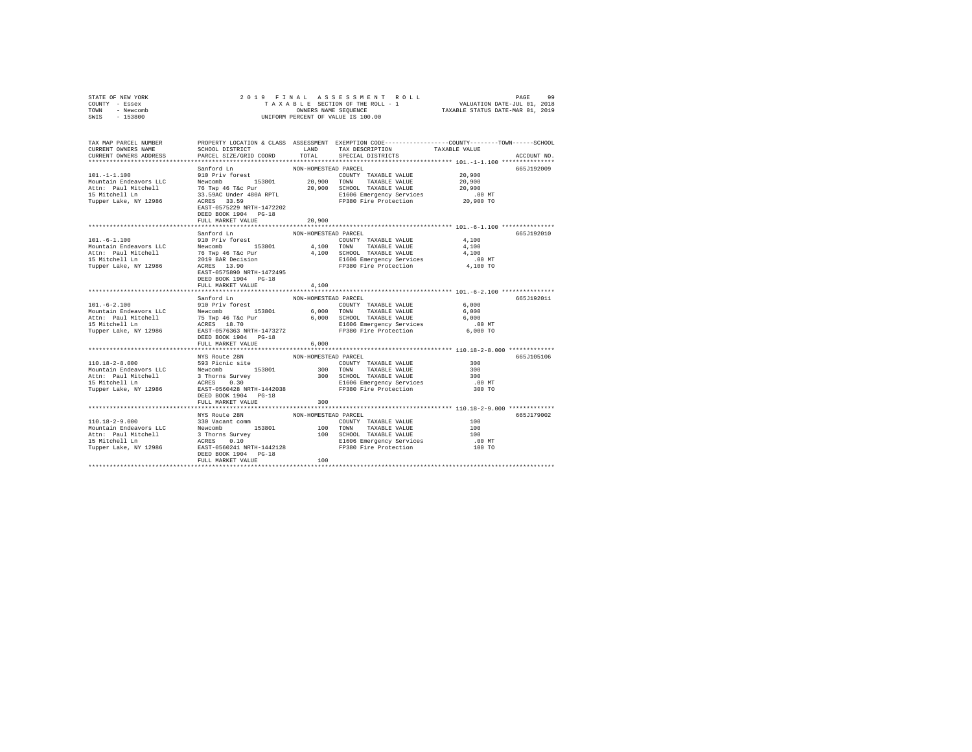|      | STATE OF NEW YORK | 2019 FINAL ASSESSMENT ROLL         | 99<br>PAGE                       |  |
|------|-------------------|------------------------------------|----------------------------------|--|
|      | COUNTY - Essex    | TAXABLE SECTION OF THE ROLL - 1    | VALUATION DATE-JUL 01, 2018      |  |
| TOWN | - Newcomb         | OWNERS NAME SEOUENCE               | TAXABLE STATUS DATE-MAR 01, 2019 |  |
| SWIS | - 153800          | UNIFORM PERCENT OF VALUE IS 100.00 |                                  |  |

| TAX MAP PARCEL NUMBER<br>CURRENT OWNERS NAME<br>CURRENT OWNERS ADDRESS                                                                                                                                                                                                                                                                                                                                                                                                                                                                                                                                                                                                                                                                                | SCHOOL DISTRICT LAND<br>PARCEL SIZE/GRID COORD                             | TOTAL                         | PROPERTY LOCATION & CLASS ASSESSMENT EXEMPTION CODE---------------COUNTY-------TOWN-----SCHOOL<br>TAX DESCRIPTION TAXABLE VALUE<br>SPECIAL DISTRICTS |                                         | ACCOUNT NO. |
|-------------------------------------------------------------------------------------------------------------------------------------------------------------------------------------------------------------------------------------------------------------------------------------------------------------------------------------------------------------------------------------------------------------------------------------------------------------------------------------------------------------------------------------------------------------------------------------------------------------------------------------------------------------------------------------------------------------------------------------------------------|----------------------------------------------------------------------------|-------------------------------|------------------------------------------------------------------------------------------------------------------------------------------------------|-----------------------------------------|-------------|
| 101.-1-1.100<br>101.-1-1.100<br>1010 Priv forest Newton 153801<br>20,900 TOWN TAXABLE VALUE<br>16 TWP 46 Tac Pur 20,900 TOWN TAXABLE VALUE<br>15 Mitchell Ln 76 TWP 46 Tac Pur 20,900 SCHOOL TAXABLE VALUE<br>15 Michell Ln 31.59AC Un                                                                                                                                                                                                                                                                                                                                                                                                                                                                                                                |                                                                            | NON-HOMESTEAD PARCEL          | COUNTY TAXABLE VALUE 20,900<br>E1606 Emergency Services .00 MT<br>FP380 Fire Protection 20,900 TO                                                    | 20,900<br>20,900                        | 665J192009  |
|                                                                                                                                                                                                                                                                                                                                                                                                                                                                                                                                                                                                                                                                                                                                                       | EAST-0575229 NRTH-1472202<br>DEED BOOK 1904 PG-18<br>FULL MARKET VALUE     | 20,900                        |                                                                                                                                                      |                                         |             |
| $101. - 6 - 1.100$                                                                                                                                                                                                                                                                                                                                                                                                                                                                                                                                                                                                                                                                                                                                    | Sanford Ln<br>910 Priv forest<br>DEED BOOK 1904 PG-18<br>FULL MARKET VALUE | NON-HOMESTEAD PARCEL<br>4,100 | COUNTY TAXABLE VALUE                                                                                                                                 | 4,100                                   | 665J192010  |
| $\texttt{101.-6-2.100} \begin{minipage}{0.9\textwidth} \begin{minipage}{0.9\textwidth} \begin{minipage}{0.9\textwidth} \begin{minipage}{0.9\textwidth} \begin{minipage}{0.9\textwidth} \begin{minipage}{0.9\textwidth} \begin{minipage}{0.9\textwidth} \begin{minipage}{0.9\textwidth} \begin{minipage}{0.9\textwidth} \begin{minipage}{0.9\textwidth} \begin{minipage}{0.9\textwidth} \begin{minipage}{0.9\textwidth} \begin{minipage}{0.9\textwidth} \begin{minipage}{0.9\textwidth} \begin{minipage}{0$<br>MODILATION AND RESULT AND THE CONDUCTED AND SCHOOL TAXABLE VALUE 6,000<br>15 Mitchell Ln ACRES 18.70 MCHOL 2000 SCHOOL TAXABLE VALUE 6,000<br>15 Mitchell Ln ACRES 18.70 MTH-1473272<br>Tupper Lake, NY 12986 EXST-0576363 NRTH-1473272 | Sanford Ln<br>FULL MARKET VALUE                                            | NON-HOMESTEAD PARCEL<br>6,000 |                                                                                                                                                      | 6,000<br>6,000                          | 665.T192011 |
|                                                                                                                                                                                                                                                                                                                                                                                                                                                                                                                                                                                                                                                                                                                                                       | NYS Route 28N<br>DEED BOOK 1904 PG-18<br>FULL MARKET VALUE                 | NON-HOMESTEAD PARCEL<br>300   |                                                                                                                                                      | 300<br>300<br>300<br>$.00$ MT<br>300 TO | 665J105106  |
| $\begin{tabular}{l c c c c c} \multicolumn{3}{c}{\textbf{110.18--2-9.000}} & \multicolumn{3}{c}{\textbf{NYS} & \textbf{Boule 2BN}} & \multicolumn{3}{c}{\textbf{NON-HOMESTERAD PARET}} & \multicolumn{3}{c}{\textbf{PROE}} & \multicolumn{3}{c}{\textbf{100}} & \multicolumn{3}{c}{\textbf{300} & \textbf{XQOMIC}} & \multicolumn{3}{c}{\textbf{100} & \textbf{100} & \textbf{100} & \textbf{100} & \textbf{100} & \textbf$                                                                                                                                                                                                                                                                                                                           | DEED BOOK 1904 PG-18<br>FULL MARKET VALUE                                  | 100                           |                                                                                                                                                      |                                         | 665J179002  |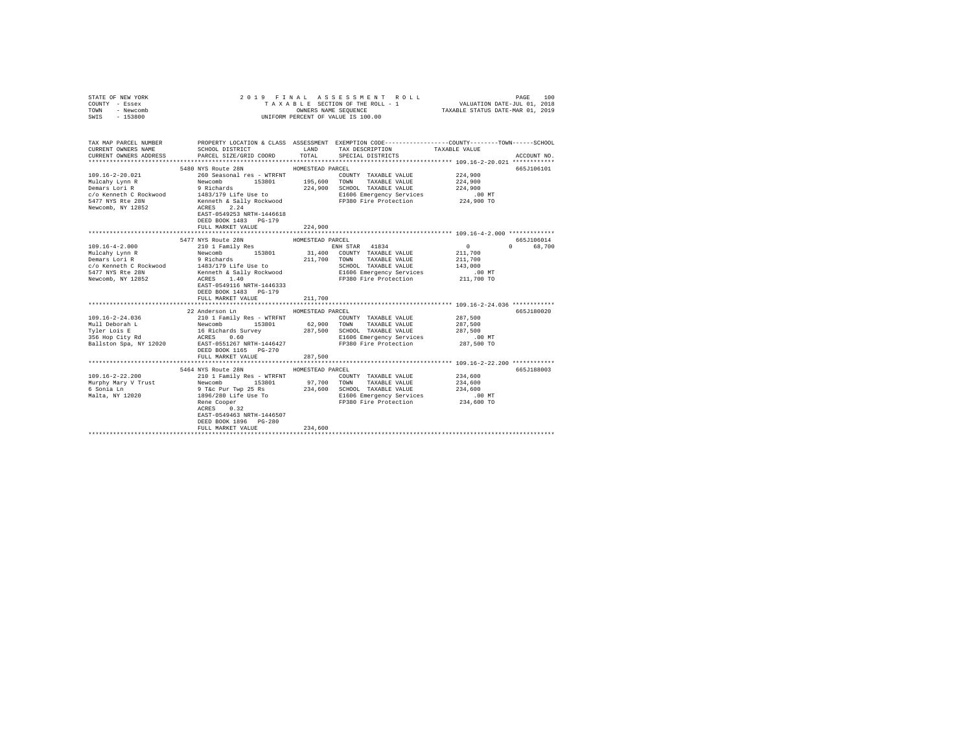| COUNTY - Essex<br>TOWN<br>- Newcomb<br>SWIS - 153800 | ONNERS NAME SEQUENCE                                                                                                                                                                  |                                                            |                                                   |                                                            |                        |
|------------------------------------------------------|---------------------------------------------------------------------------------------------------------------------------------------------------------------------------------------|------------------------------------------------------------|---------------------------------------------------|------------------------------------------------------------|------------------------|
| CURRENT OWNERS NAME<br>CURRENT OWNERS ADDRESS        | TAX MAP PARCEL NUMBER PROPERTY LOCATION & CLASS ASSESSMENT EXEMPTION CODE--------------COUNTY-------TOWN-----SCHOOL<br>SCHOOL DISTRICT TAND TAX DESCRIPTION<br>PARCEL SIZE/GRID COORD | TOTAL                                                      | SPECIAL DISTRICTS                                 | TAXABLE VALUE                                              | ACCOUNT NO.            |
|                                                      | 5480 NYS Route 28N                                                                                                                                                                    | HOMESTEAD PARCEL                                           |                                                   |                                                            | 665J106101             |
|                                                      |                                                                                                                                                                                       |                                                            |                                                   |                                                            |                        |
|                                                      | DEED BOOK 1483 PG-179<br>FULL MARKET VALUE                                                                                                                                            | 224,900                                                    |                                                   |                                                            |                        |
|                                                      | 5477 NYS Route 28N                                                                                                                                                                    |                                                            |                                                   |                                                            | 665J106014             |
|                                                      | DEED BOOK 1483 PG-179<br>FULL MARKET VALUE<br>22 Anderson Ln<br>FULL MARKET VALUE                                                                                                     | HOMESTEAD PARCEL<br>211,700<br>HOMESTEAD PARCEL<br>287,500 |                                                   | ***************************** 109.16-2-24.036 ************ | 0 68,700<br>665J180020 |
|                                                      |                                                                                                                                                                                       |                                                            |                                                   |                                                            |                        |
|                                                      | 5464 NYS Route 28N HOMESTEAD PARCEL<br>EREN COOPET USE TO<br>Rene Cooper<br>ACRES 0.32<br>EREN ALASSION<br>EAST-0549463 NRTH-1446507<br>DEED BOOK 1896 PG-280<br>FULL MARKET VALUE    | 234,600                                                    | E1606 Emergency services<br>FP380 Fire Protection | 234,600 TO                                                 | 665J188003             |

STATE OF NEW YORK 2019 FINAL ASSESSMENT ROLL PAGE 100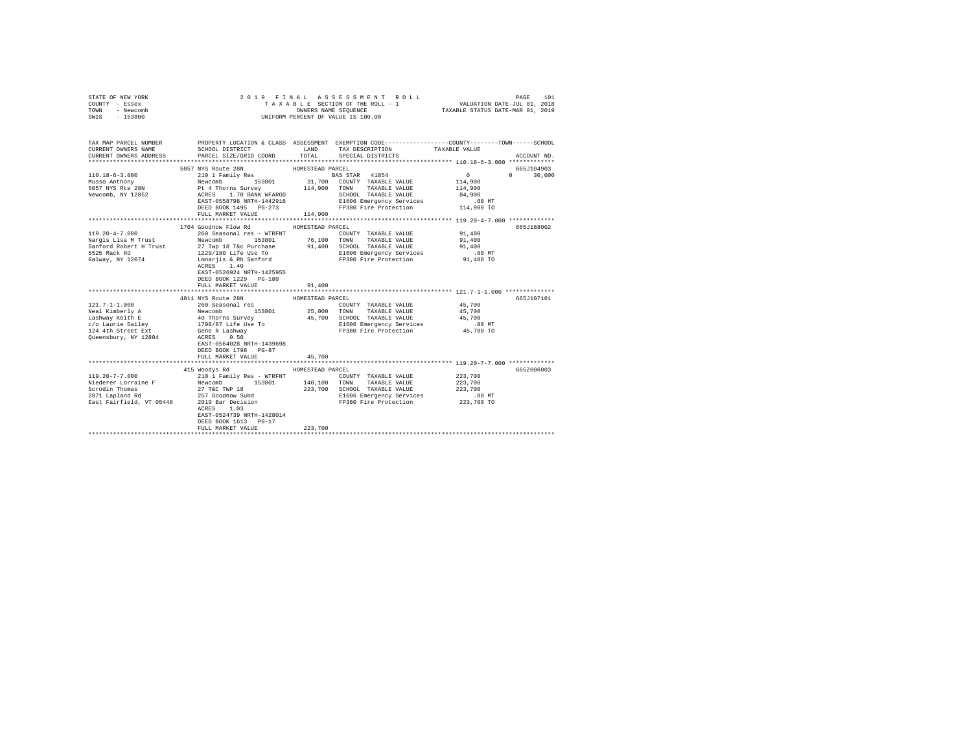| STATE OF NEW YORK<br>COUNTY - Essex<br>TOWN - Newcomb<br>SWIS - 153800         |                                                                                                                                                                                                                                        |                            | 2019 FINAL ASSESSMENT ROLL<br>TAXABLE SECTION OF THE ROLL - 1 VALUATION DATE-JUL 01, 2018<br>OWNERS NAME SEQUENCE TAXABLE STATUS DATE-MAR 01, 2019<br>UNIFORM PERCENT OF VALUE IS 100.00 |                                                                            | PAGE<br>101              |
|--------------------------------------------------------------------------------|----------------------------------------------------------------------------------------------------------------------------------------------------------------------------------------------------------------------------------------|----------------------------|------------------------------------------------------------------------------------------------------------------------------------------------------------------------------------------|----------------------------------------------------------------------------|--------------------------|
| CURRENT OWNERS NAME                                                            | TAX MAP PARCEL NUMBER PROPERTY LOCATION & CLASS ASSESSMENT EXEMPTION CODE--------------COUNTY-------TOWN-----SCHOOL<br>SCHOOL DISTRICT TAND TAX DESCRIPTION<br>CURRENT OWNERS ADDRESS PARCEL SIZE/GRID COORD TOTAL SPECIAL DISTRICTS   |                            |                                                                                                                                                                                          | TAXABLE VALUE                                                              | ACCOUNT NO.              |
|                                                                                |                                                                                                                                                                                                                                        |                            |                                                                                                                                                                                          |                                                                            | 665J104903               |
| $110.18 - 6 - 3.000$<br>Musso Anthony<br>5057 NYS Rte 28N<br>Newcomb, NY 12852 | 1999 - AMESTEAD PARCEL (1997)<br>2010 - ESSA (1997) - AMESTEAD PARCEL (1998 - 2010 - 2011 - 2019 - 2014)<br>21,700 - COUNTY TAXABLE VALUE PL 4 Thorns Survey - 214,900 - TOWN TAXABLE VALUE ACRES<br>2010 - ACRES 1,700 - 2013<br>2010 |                            |                                                                                                                                                                                          | $\sim$ 0<br>114,900<br>114,900<br>84,900<br>$.00 \text{ MT}$<br>114,900 TO | $0 \t 30,000$            |
|                                                                                |                                                                                                                                                                                                                                        |                            |                                                                                                                                                                                          |                                                                            |                          |
| $119.20 - 4 - 7.000$<br>Nargis Lisa M Trust<br>Galway, NY 12074                | 1704 Goodnow Flow Rd MOMESTEAD PARCEL<br>Sanford Robert H Trust 27 Twp 18 T&c Purchase<br>5525 Mack Rd 1229/180 Life Use To<br>EAST-0526924 NRTH-1425955<br>DEED BOOK 1229 PG-180<br>FULL MARKET VALUE<br>4811 NYS Route 28N           | 91,400<br>HOMESTEAD PARCEL | COUNTY TAXABLE VALUE<br>91,400 SCHOOL TAXABLE VALUE<br>FP380 Fire Protection                                                                                                             | 91,400<br>91,400<br>91,400<br>.00 MT<br>91,400 TO                          | 665J188002<br>665J107101 |
|                                                                                | EAST-0564028 NRTH-1439698<br>DEED BOOK 1798 PG-87<br>FULL MARKET VALUE                                                                                                                                                                 | 45,700                     |                                                                                                                                                                                          | 45,700<br>45,700<br>45,700<br>.00 MT.<br>45,700 TO                         |                          |
|                                                                                | 415 Woodys Rd                                                                                                                                                                                                                          | HOMESTEAD PARCEL           |                                                                                                                                                                                          |                                                                            | 665Z006003               |
|                                                                                | ACRES 1.03<br>EAST-0524739 NRTH-1428014<br>DEED BOOK 1613 PG-17<br>FULL MARKET VALUE                                                                                                                                                   | 223,700                    |                                                                                                                                                                                          |                                                                            |                          |
|                                                                                |                                                                                                                                                                                                                                        |                            |                                                                                                                                                                                          |                                                                            |                          |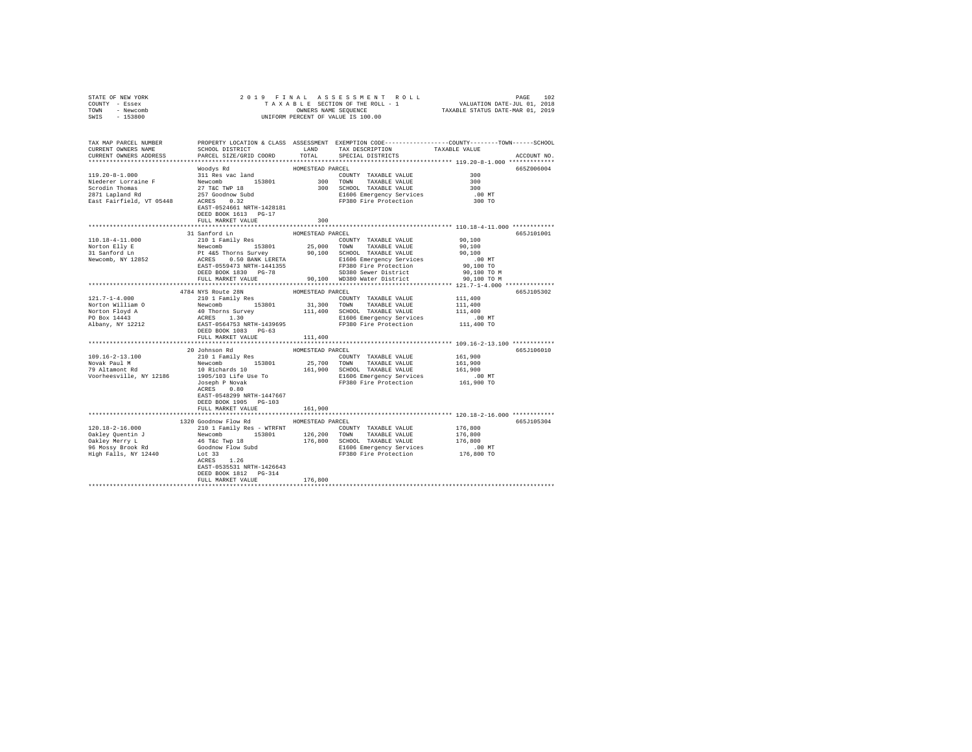| STATE OF NEW YORK                                                                                                                                                                                                                                                                                                                                                                                                                            |                           |                  |                                                   |            |
|----------------------------------------------------------------------------------------------------------------------------------------------------------------------------------------------------------------------------------------------------------------------------------------------------------------------------------------------------------------------------------------------------------------------------------------------|---------------------------|------------------|---------------------------------------------------|------------|
| COUNTY - Essex                                                                                                                                                                                                                                                                                                                                                                                                                               |                           |                  |                                                   |            |
| TOWN - Newcomb                                                                                                                                                                                                                                                                                                                                                                                                                               |                           |                  |                                                   |            |
| SWIS - 153800                                                                                                                                                                                                                                                                                                                                                                                                                                |                           |                  |                                                   |            |
|                                                                                                                                                                                                                                                                                                                                                                                                                                              |                           |                  |                                                   |            |
|                                                                                                                                                                                                                                                                                                                                                                                                                                              |                           |                  |                                                   |            |
|                                                                                                                                                                                                                                                                                                                                                                                                                                              |                           |                  |                                                   |            |
|                                                                                                                                                                                                                                                                                                                                                                                                                                              |                           |                  |                                                   |            |
|                                                                                                                                                                                                                                                                                                                                                                                                                                              |                           |                  |                                                   |            |
|                                                                                                                                                                                                                                                                                                                                                                                                                                              |                           |                  |                                                   |            |
|                                                                                                                                                                                                                                                                                                                                                                                                                                              |                           |                  |                                                   |            |
|                                                                                                                                                                                                                                                                                                                                                                                                                                              |                           |                  |                                                   |            |
|                                                                                                                                                                                                                                                                                                                                                                                                                                              | Woodys Rd                 | HOMESTEAD PARCEL |                                                   | 665Z006004 |
|                                                                                                                                                                                                                                                                                                                                                                                                                                              |                           |                  |                                                   |            |
|                                                                                                                                                                                                                                                                                                                                                                                                                                              |                           |                  |                                                   |            |
|                                                                                                                                                                                                                                                                                                                                                                                                                                              |                           |                  |                                                   |            |
|                                                                                                                                                                                                                                                                                                                                                                                                                                              |                           |                  |                                                   |            |
|                                                                                                                                                                                                                                                                                                                                                                                                                                              |                           |                  |                                                   |            |
|                                                                                                                                                                                                                                                                                                                                                                                                                                              |                           |                  |                                                   |            |
|                                                                                                                                                                                                                                                                                                                                                                                                                                              | DEED BOOK 1613 PG-17      |                  |                                                   |            |
|                                                                                                                                                                                                                                                                                                                                                                                                                                              | FULL MARKET VALUE         | 300              |                                                   |            |
|                                                                                                                                                                                                                                                                                                                                                                                                                                              |                           |                  |                                                   |            |
|                                                                                                                                                                                                                                                                                                                                                                                                                                              |                           |                  |                                                   |            |
|                                                                                                                                                                                                                                                                                                                                                                                                                                              | 31 Sanford Ln             | HOMESTEAD PARCEL |                                                   | 665J101001 |
|                                                                                                                                                                                                                                                                                                                                                                                                                                              |                           |                  |                                                   |            |
|                                                                                                                                                                                                                                                                                                                                                                                                                                              |                           |                  |                                                   |            |
|                                                                                                                                                                                                                                                                                                                                                                                                                                              |                           |                  |                                                   |            |
|                                                                                                                                                                                                                                                                                                                                                                                                                                              |                           |                  |                                                   |            |
|                                                                                                                                                                                                                                                                                                                                                                                                                                              |                           |                  |                                                   |            |
|                                                                                                                                                                                                                                                                                                                                                                                                                                              |                           |                  |                                                   |            |
|                                                                                                                                                                                                                                                                                                                                                                                                                                              |                           |                  |                                                   |            |
|                                                                                                                                                                                                                                                                                                                                                                                                                                              |                           |                  |                                                   |            |
|                                                                                                                                                                                                                                                                                                                                                                                                                                              |                           |                  |                                                   | 665J105302 |
| $\begin{tabular}{c c c c c} \multicolumn{1}{c}{\textbf{0.8cm}} \multicolumn{1}{c}{\textbf{0.8cm}} \multicolumn{1}{c}{\textbf{0.8cm}} \multicolumn{1}{c}{\textbf{0.8cm}} \multicolumn{1}{c}{\textbf{0.8cm}} \multicolumn{1}{c}{\textbf{0.8cm}} \multicolumn{1}{c}{\textbf{0.8cm}} \multicolumn{1}{c}{\textbf{0.8cm}} \multicolumn{1}{c}{\textbf{0.8cm}} \multicolumn{1}{c}{\textbf{0.8cm}} \multicolumn{1}{c}{\textbf{0.8cm}} \multicolumn{1$ |                           |                  |                                                   |            |
|                                                                                                                                                                                                                                                                                                                                                                                                                                              |                           |                  |                                                   |            |
|                                                                                                                                                                                                                                                                                                                                                                                                                                              |                           |                  |                                                   |            |
|                                                                                                                                                                                                                                                                                                                                                                                                                                              |                           |                  |                                                   |            |
|                                                                                                                                                                                                                                                                                                                                                                                                                                              |                           |                  |                                                   |            |
|                                                                                                                                                                                                                                                                                                                                                                                                                                              |                           |                  |                                                   |            |
|                                                                                                                                                                                                                                                                                                                                                                                                                                              |                           |                  |                                                   |            |
|                                                                                                                                                                                                                                                                                                                                                                                                                                              |                           |                  |                                                   |            |
|                                                                                                                                                                                                                                                                                                                                                                                                                                              |                           |                  | ******************** 109.16-2-13.100 ************ |            |
|                                                                                                                                                                                                                                                                                                                                                                                                                                              |                           |                  |                                                   | 665J106010 |
|                                                                                                                                                                                                                                                                                                                                                                                                                                              |                           |                  |                                                   |            |
|                                                                                                                                                                                                                                                                                                                                                                                                                                              |                           |                  |                                                   |            |
|                                                                                                                                                                                                                                                                                                                                                                                                                                              |                           |                  |                                                   |            |
|                                                                                                                                                                                                                                                                                                                                                                                                                                              |                           |                  |                                                   |            |
|                                                                                                                                                                                                                                                                                                                                                                                                                                              |                           |                  |                                                   |            |
|                                                                                                                                                                                                                                                                                                                                                                                                                                              |                           |                  |                                                   |            |
|                                                                                                                                                                                                                                                                                                                                                                                                                                              |                           |                  |                                                   |            |
|                                                                                                                                                                                                                                                                                                                                                                                                                                              | EAST-0548299 NRTH-1447667 |                  |                                                   |            |
|                                                                                                                                                                                                                                                                                                                                                                                                                                              | DEED BOOK 1905 PG-103     |                  |                                                   |            |
|                                                                                                                                                                                                                                                                                                                                                                                                                                              | FULL MARKET VALUE         | 161,900          |                                                   |            |
|                                                                                                                                                                                                                                                                                                                                                                                                                                              |                           |                  |                                                   |            |
|                                                                                                                                                                                                                                                                                                                                                                                                                                              | 1320 Goodnow Flow Rd      | HOMESTEAD PARCEL |                                                   | 665J105304 |
|                                                                                                                                                                                                                                                                                                                                                                                                                                              |                           |                  |                                                   |            |
|                                                                                                                                                                                                                                                                                                                                                                                                                                              |                           |                  |                                                   |            |
|                                                                                                                                                                                                                                                                                                                                                                                                                                              |                           |                  |                                                   |            |
|                                                                                                                                                                                                                                                                                                                                                                                                                                              |                           |                  |                                                   |            |
|                                                                                                                                                                                                                                                                                                                                                                                                                                              |                           |                  |                                                   |            |
|                                                                                                                                                                                                                                                                                                                                                                                                                                              |                           |                  |                                                   |            |
|                                                                                                                                                                                                                                                                                                                                                                                                                                              |                           |                  |                                                   |            |
|                                                                                                                                                                                                                                                                                                                                                                                                                                              | EAST-0535531 NRTH-1426643 |                  |                                                   |            |
|                                                                                                                                                                                                                                                                                                                                                                                                                                              | DEED BOOK 1812 PG-314     |                  |                                                   |            |
|                                                                                                                                                                                                                                                                                                                                                                                                                                              | FULL MARKET VALUE         | 176,800          |                                                   |            |
|                                                                                                                                                                                                                                                                                                                                                                                                                                              |                           |                  |                                                   |            |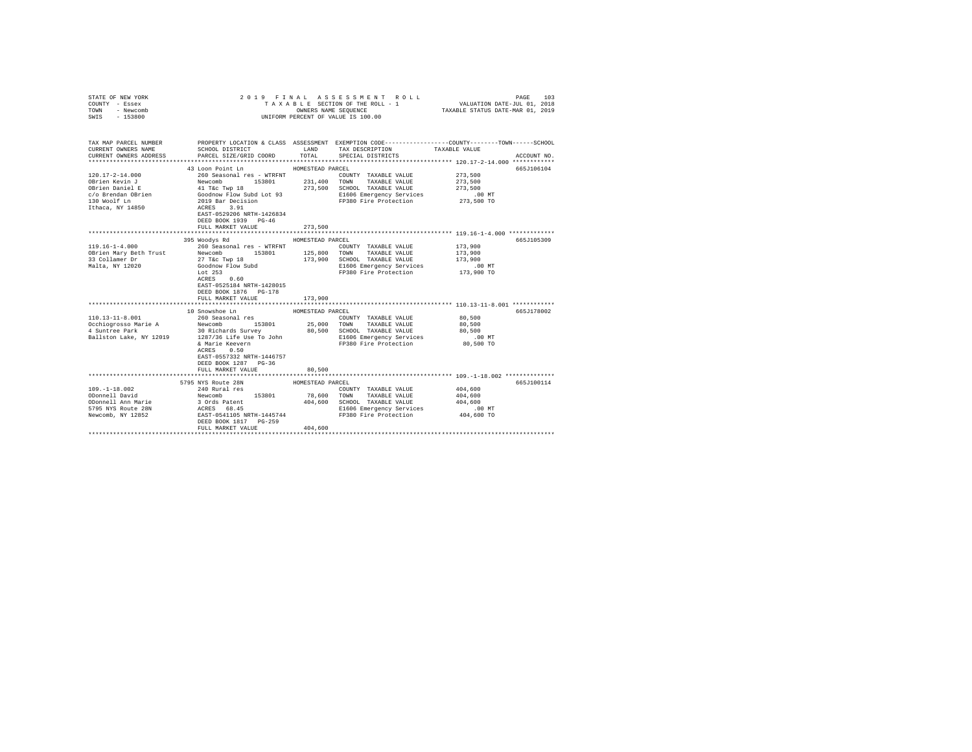| STATE OF NEW YORK<br>COUNTY - Essex<br>TOWN<br>- Newcomb |                                                                                                                                                                                                                                                                        |                  | 2019 FINAL ASSESSMENT ROLL<br>TAXABLE SECTION OF THE ROLL - 1<br>OWNERS NAME SEQUENCE | PAGE<br>103<br>VALUATION DATE-JUL 01, 2018<br>TAXABLE STATUS DATE-MAR 01, 2019                                   |
|----------------------------------------------------------|------------------------------------------------------------------------------------------------------------------------------------------------------------------------------------------------------------------------------------------------------------------------|------------------|---------------------------------------------------------------------------------------|------------------------------------------------------------------------------------------------------------------|
| $-153800$<br>SWIS                                        |                                                                                                                                                                                                                                                                        |                  | UNIFORM PERCENT OF VALUE IS 100.00                                                    |                                                                                                                  |
| TAX MAP PARCEL NUMBER<br>CURRENT OWNERS NAME             | SCHOOL DISTRICT TAND TAX DESCRIPTION                                                                                                                                                                                                                                   |                  |                                                                                       | PROPERTY LOCATION & CLASS ASSESSMENT EXEMPTION CODE---------------COUNTY-------TOWN------SCHOOL<br>TAXABLE VALUE |
| CURRENT OWNERS ADDRESS                                   | PARCEL SIZE/GRID COORD                                                                                                                                                                                                                                                 | TOTAL            | SPECIAL DISTRICTS                                                                     | ACCOUNT NO.                                                                                                      |
|                                                          | 43 Loon Point Ln                                                                                                                                                                                                                                                       | HOMESTEAD PARCEL |                                                                                       | 665J106104                                                                                                       |
| $120.17 - 2 - 14.000$                                    | 260 Seasonal res - WTRFNT                                                                                                                                                                                                                                              |                  | COUNTY TAXABLE VALUE                                                                  | 273,500                                                                                                          |
| OBrien Kevin J                                           | Newcomb 153801                                                                                                                                                                                                                                                         |                  | 231,400 TOWN TAXABLE VALUE                                                            | 273,500                                                                                                          |
| OBrien Daniel E                                          | 41 T&C Twp 18                                                                                                                                                                                                                                                          |                  | 273,500 SCHOOL TAXABLE VALUE                                                          | 273,500                                                                                                          |
| c/o Brendan OBrien                                       |                                                                                                                                                                                                                                                                        |                  | E1606 Emergency Services                                                              | $.00$ MT                                                                                                         |
| 130 Woolf Ln                                             |                                                                                                                                                                                                                                                                        |                  | FP380 Fire Protection 273,500 TO                                                      |                                                                                                                  |
| Ithaca, NY 14850                                         | 41 Tat Tay 10<br>Goodnow Flow Subd Lot 93<br>2019 Bar Decision<br>ACRES 3.91                                                                                                                                                                                           |                  |                                                                                       |                                                                                                                  |
|                                                          | EAST-0529206 NRTH-1426834                                                                                                                                                                                                                                              |                  |                                                                                       |                                                                                                                  |
|                                                          | DEED BOOK 1939 PG-46                                                                                                                                                                                                                                                   |                  |                                                                                       |                                                                                                                  |
|                                                          | FULL MARKET VALUE                                                                                                                                                                                                                                                      | 273,500          |                                                                                       |                                                                                                                  |
|                                                          |                                                                                                                                                                                                                                                                        |                  |                                                                                       | ********************************* 119.16-1-4.000 **************                                                  |
|                                                          | 395 Woodys Rd                                                                                                                                                                                                                                                          | HOMESTEAD PARCEL |                                                                                       | 665J105309                                                                                                       |
| $119.16 - 1 - 4.000$<br>OBrien Mary Beth Trust           | 260 Seasonal res - WTRFNT<br>Newcomb 153801                                                                                                                                                                                                                            |                  | COUNTY TAXABLE VALUE<br>125,800 TOWN TAXABLE VALUE                                    | 173,900<br>173,900                                                                                               |
| 33 Collamer Dr                                           | 27 T&c Twp 18                                                                                                                                                                                                                                                          |                  | 173,900 SCHOOL TAXABLE VALUE                                                          | 173,900                                                                                                          |
| Malta, NY 12020                                          | Goodnow Flow Subd                                                                                                                                                                                                                                                      |                  | E1606 Emergency Services                                                              | $.00$ MT                                                                                                         |
|                                                          | Lot 253                                                                                                                                                                                                                                                                |                  | FP380 Fire Protection                                                                 | 173,900 TO                                                                                                       |
|                                                          | ACRES 0.60                                                                                                                                                                                                                                                             |                  |                                                                                       |                                                                                                                  |
|                                                          | EAST-0525184 NRTH-1428015                                                                                                                                                                                                                                              |                  |                                                                                       |                                                                                                                  |
|                                                          | DEED BOOK 1876 PG-178                                                                                                                                                                                                                                                  |                  |                                                                                       |                                                                                                                  |
|                                                          | FULL MARKET VALUE                                                                                                                                                                                                                                                      | 173,900          |                                                                                       |                                                                                                                  |
|                                                          |                                                                                                                                                                                                                                                                        |                  |                                                                                       |                                                                                                                  |
|                                                          | 10 Snowshoe Ln                                                                                                                                                                                                                                                         | HOMESTEAD PARCEL |                                                                                       | 665J178002                                                                                                       |
| 110.13-11-8.001                                          | 260 Seasonal res                                                                                                                                                                                                                                                       |                  | COUNTY TAXABLE VALUE                                                                  | 80,500                                                                                                           |
| Occhiogrosso Marie A                                     | Newcomb 153801                                                                                                                                                                                                                                                         | 25,000           | TOWN TAXABLE VALUE                                                                    | 80,500                                                                                                           |
| 4 Suntree Park                                           | 30 Richards Survey                                                                                                                                                                                                                                                     |                  | 80.500 SCHOOL TAXABLE VALUE                                                           | 80,500                                                                                                           |
| Ballston Lake, NY 12019                                  | 1287/36 Life Use To John                                                                                                                                                                                                                                               |                  | E1606 Emergency Services<br>FP380 Fire Protection                                     | $.00$ MT<br>80,500 TO                                                                                            |
|                                                          | & Marie Keevern<br>ACRES 0.50                                                                                                                                                                                                                                          |                  |                                                                                       |                                                                                                                  |
|                                                          | EAST-0557332 NRTH-1446757                                                                                                                                                                                                                                              |                  |                                                                                       |                                                                                                                  |
|                                                          | DEED BOOK 1287 PG-36                                                                                                                                                                                                                                                   |                  |                                                                                       |                                                                                                                  |
|                                                          | FULL MARKET VALUE                                                                                                                                                                                                                                                      | 80,500           |                                                                                       |                                                                                                                  |
|                                                          |                                                                                                                                                                                                                                                                        |                  |                                                                                       |                                                                                                                  |
|                                                          |                                                                                                                                                                                                                                                                        | HOMESTEAD PARCEL |                                                                                       | 665J100114                                                                                                       |
| $109. - 1 - 18.002$                                      | 5795 NYS Route 28N<br>240 Rural Pes<br>260 Revicemb<br>3 Ords Patent<br>3 Ords Patent<br>3 Cors Patent<br>262 RPS<br>264 RPS<br>264 RPS<br>264 RPS<br>264 RPS<br>264 RPS<br>264 RPS<br>264 RPS<br>264 RPS<br>264 RPS<br>264 RPS<br>264 RPS<br>264 RPS<br>264 RPS<br>26 |                  | COUNTY TAXABLE VALUE                                                                  | 404,600                                                                                                          |
| ODonnell David                                           |                                                                                                                                                                                                                                                                        | 78,600           | TOWN TAXABLE VALUE                                                                    | 404,600                                                                                                          |
| ODonnell Ann Marie                                       |                                                                                                                                                                                                                                                                        |                  | 404,600 SCHOOL TAXABLE VALUE                                                          | 404,600                                                                                                          |
| 5795 NYS Route 28N                                       |                                                                                                                                                                                                                                                                        |                  | E1606 Emergency Services                                                              | $.00$ MT                                                                                                         |
| Newcomb, NY 12852                                        |                                                                                                                                                                                                                                                                        |                  | FP380 Fire Protection                                                                 | 404,600 TO                                                                                                       |
|                                                          | DEED BOOK 1817 PG-259                                                                                                                                                                                                                                                  |                  |                                                                                       |                                                                                                                  |
|                                                          | FULL MARKET VALUE                                                                                                                                                                                                                                                      | 404,600          |                                                                                       |                                                                                                                  |
|                                                          |                                                                                                                                                                                                                                                                        |                  |                                                                                       |                                                                                                                  |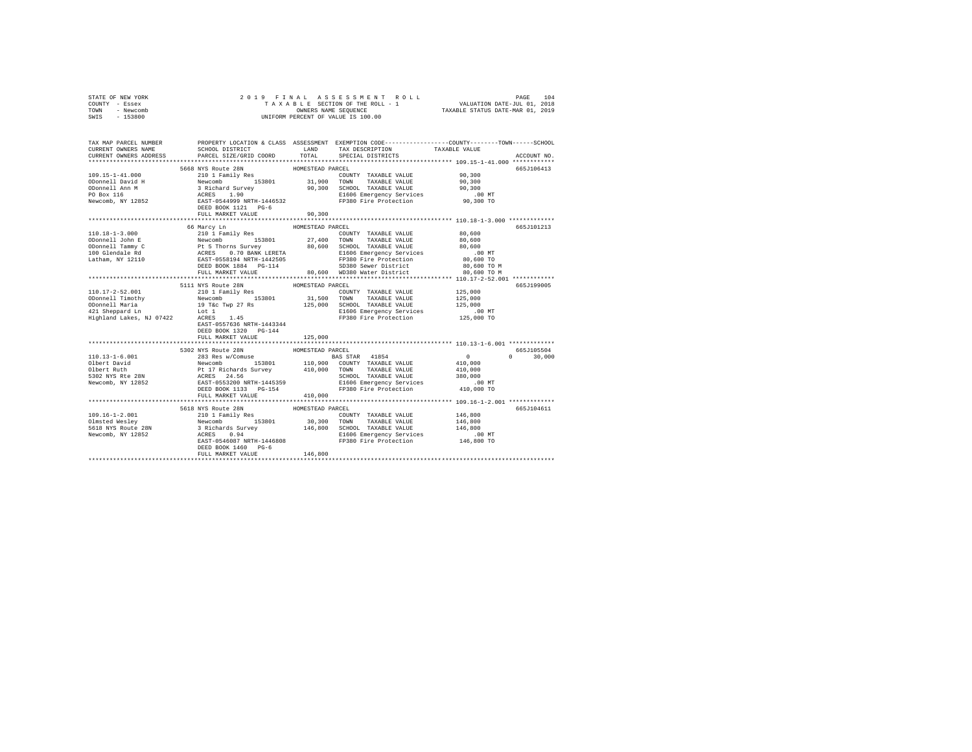| STATE OF NEW YORK<br>COUNTY - Essex | 2019 FINAL                                                                                                                                                                                                                           |                  |                                                                                             |                                                                                                |  |
|-------------------------------------|--------------------------------------------------------------------------------------------------------------------------------------------------------------------------------------------------------------------------------------|------------------|---------------------------------------------------------------------------------------------|------------------------------------------------------------------------------------------------|--|
| TOWN<br>- Newcomb                   |                                                                                                                                                                                                                                      |                  |                                                                                             |                                                                                                |  |
| SWIS<br>$-153800$                   |                                                                                                                                                                                                                                      |                  |                                                                                             |                                                                                                |  |
|                                     |                                                                                                                                                                                                                                      |                  |                                                                                             |                                                                                                |  |
|                                     |                                                                                                                                                                                                                                      |                  |                                                                                             |                                                                                                |  |
|                                     |                                                                                                                                                                                                                                      |                  |                                                                                             |                                                                                                |  |
| TAX MAP PARCEL NUMBER               |                                                                                                                                                                                                                                      |                  |                                                                                             | PROPERTY LOCATION & CLASS ASSESSMENT EXEMPTION CODE---------------COUNTY-------TOWN-----SCHOOL |  |
| CURRENT OWNERS NAME                 | SCHOOL DISTRICT TAND TAX DESCRIPTION<br>PARCEL SIZE/GRID COORD TOTAL SPECIAL DISTRICTS                                                                                                                                               |                  |                                                                                             | TAXABLE VALUE                                                                                  |  |
| CURRENT OWNERS ADDRESS              |                                                                                                                                                                                                                                      |                  |                                                                                             | ACCOUNT NO.                                                                                    |  |
|                                     |                                                                                                                                                                                                                                      |                  |                                                                                             |                                                                                                |  |
|                                     |                                                                                                                                                                                                                                      |                  |                                                                                             | 665J106413                                                                                     |  |
|                                     |                                                                                                                                                                                                                                      |                  | COUNTY TAXABLE VALUE 90,300                                                                 |                                                                                                |  |
|                                     |                                                                                                                                                                                                                                      |                  |                                                                                             | 90.300                                                                                         |  |
|                                     |                                                                                                                                                                                                                                      |                  |                                                                                             | 90,300                                                                                         |  |
|                                     |                                                                                                                                                                                                                                      |                  |                                                                                             | $.00$ MT                                                                                       |  |
|                                     |                                                                                                                                                                                                                                      |                  |                                                                                             | 90,300 TO                                                                                      |  |
|                                     |                                                                                                                                                                                                                                      |                  |                                                                                             |                                                                                                |  |
|                                     | FULL MARKET VALUE                                                                                                                                                                                                                    | 90,300           |                                                                                             |                                                                                                |  |
|                                     |                                                                                                                                                                                                                                      |                  |                                                                                             |                                                                                                |  |
|                                     | 66 Marcy Ln                                                                                                                                                                                                                          | HOMESTEAD PARCEL |                                                                                             | 665J101213                                                                                     |  |
|                                     |                                                                                                                                                                                                                                      |                  |                                                                                             | 80,600                                                                                         |  |
|                                     |                                                                                                                                                                                                                                      |                  |                                                                                             | 80,600                                                                                         |  |
|                                     |                                                                                                                                                                                                                                      |                  |                                                                                             | 80,600                                                                                         |  |
|                                     |                                                                                                                                                                                                                                      |                  |                                                                                             | $.00$ MT                                                                                       |  |
|                                     |                                                                                                                                                                                                                                      |                  |                                                                                             | 80,600 TO                                                                                      |  |
|                                     |                                                                                                                                                                                                                                      |                  | DEED BOOK 1884 PG-114 SD380 Sewer District<br>FULL MARKET VALUE 80,600 WD380 Water District | 80,600 TO M                                                                                    |  |
|                                     |                                                                                                                                                                                                                                      |                  |                                                                                             | 80,600 TO M                                                                                    |  |
|                                     |                                                                                                                                                                                                                                      |                  |                                                                                             |                                                                                                |  |
|                                     | 5111 NYS Route 28N                                                                                                                                                                                                                   | HOMESTEAD PARCEL |                                                                                             | 665J199005                                                                                     |  |
| 110.17-2-52.001                     | 210 1 Family Res                                                                                                                                                                                                                     |                  | COUNTY TAXABLE VALUE                                                                        | 125,000                                                                                        |  |
|                                     |                                                                                                                                                                                                                                      |                  | $31,500$ TOWN TAXABLE VALUE 125,000 SCHOOL TAXABLE VALUE<br>TOWN TAXABLE VALUE              | 125,000                                                                                        |  |
|                                     |                                                                                                                                                                                                                                      |                  |                                                                                             | 125,000                                                                                        |  |
|                                     | 1991 - Alexander Mercember 1991 - 1992<br>1990 - 1992 - 1994 - 1994 - 1994 - 1994 - 1994 - 1994 - 1994 - 1994 - 1994 - 1994 - 1994 - 1994 - 1994 - 1994<br>1991 - 1994 - 1994 - 1994 - 1994 - 1994 - 1994 - 1994 - 1994 - 1994 - 199 |                  | E1606 Emergency Services .00 MT<br>FP380 Fire Protection .00 TO                             |                                                                                                |  |
|                                     |                                                                                                                                                                                                                                      |                  |                                                                                             |                                                                                                |  |
|                                     | EAST-0557636 NRTH-1443344                                                                                                                                                                                                            |                  |                                                                                             |                                                                                                |  |
|                                     | DEED BOOK 1320 PG-144                                                                                                                                                                                                                |                  |                                                                                             |                                                                                                |  |
|                                     | FULL MARKET VALUE 125,000                                                                                                                                                                                                            |                  |                                                                                             |                                                                                                |  |
|                                     |                                                                                                                                                                                                                                      |                  |                                                                                             |                                                                                                |  |
|                                     |                                                                                                                                                                                                                                      |                  |                                                                                             | 665J105504                                                                                     |  |
|                                     |                                                                                                                                                                                                                                      |                  |                                                                                             | $0 \t 30,000$                                                                                  |  |
|                                     |                                                                                                                                                                                                                                      |                  |                                                                                             |                                                                                                |  |
|                                     |                                                                                                                                                                                                                                      |                  |                                                                                             |                                                                                                |  |
|                                     |                                                                                                                                                                                                                                      |                  |                                                                                             |                                                                                                |  |
|                                     |                                                                                                                                                                                                                                      |                  |                                                                                             |                                                                                                |  |
|                                     |                                                                                                                                                                                                                                      |                  |                                                                                             |                                                                                                |  |
|                                     | FULL MARKET VALUE                                                                                                                                                                                                                    | 410,000          |                                                                                             |                                                                                                |  |
|                                     |                                                                                                                                                                                                                                      |                  |                                                                                             |                                                                                                |  |
|                                     | 5618 NYS Route 28N                                                                                                                                                                                                                   | HOMESTEAD PARCEL |                                                                                             | 665J104611                                                                                     |  |
|                                     |                                                                                                                                                                                                                                      |                  |                                                                                             | 146,800                                                                                        |  |
|                                     |                                                                                                                                                                                                                                      |                  |                                                                                             | 146,800                                                                                        |  |
|                                     |                                                                                                                                                                                                                                      |                  |                                                                                             | 146,800                                                                                        |  |
|                                     |                                                                                                                                                                                                                                      |                  |                                                                                             | $.00$ MT                                                                                       |  |
|                                     |                                                                                                                                                                                                                                      |                  |                                                                                             | 146,800 TO                                                                                     |  |
|                                     |                                                                                                                                                                                                                                      |                  |                                                                                             |                                                                                                |  |
|                                     | FULL MARKET VALUE                                                                                                                                                                                                                    | 146,800          |                                                                                             |                                                                                                |  |
|                                     |                                                                                                                                                                                                                                      |                  |                                                                                             |                                                                                                |  |
|                                     |                                                                                                                                                                                                                                      |                  |                                                                                             |                                                                                                |  |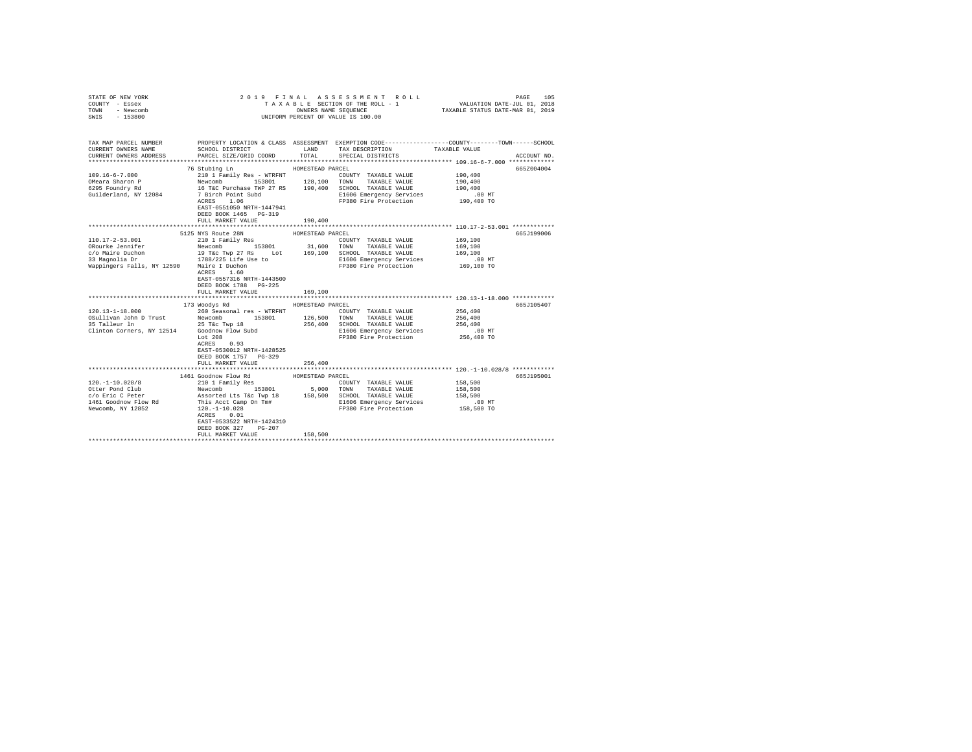| COUNTY - Essex<br>TOWN<br>- Newcomb<br>$-153800$<br>SWIS                                                                                                                                                                       |                                                                                                  | OWNERS NAME SEQUENCE | TAXABLE SECTION OF THE ROLL - 1<br>UNIFORM PERCENT OF VALUE IS 100.00 | VALUATION DATE-JUL 01, 2018<br>TAXABLE STATUS DATE-MAR 01, 2019 |             |
|--------------------------------------------------------------------------------------------------------------------------------------------------------------------------------------------------------------------------------|--------------------------------------------------------------------------------------------------|----------------------|-----------------------------------------------------------------------|-----------------------------------------------------------------|-------------|
| TAX MAP PARCEL NUMBER PROPERTY LOCATION & CLASS ASSESSMENT EXEMPTION CODE--------------COUNTY-------TOWN-----SCHOOL<br>CURRENT OWNERS NAME<br>CURRENT OWNERS ADDRESS                                                           | SCHOOL DISTRICT<br>PARCEL SIZE/GRID COORD                                                        | TOTAL                | LAND TAX DESCRIPTION<br>SPECIAL DISTRICTS                             | TAXABLE VALUE                                                   | ACCOUNT NO. |
|                                                                                                                                                                                                                                |                                                                                                  |                      |                                                                       |                                                                 |             |
|                                                                                                                                                                                                                                | 76 Stubing Ln                                                                                    | HOMESTEAD PARCEL     |                                                                       |                                                                 | 665Z004004  |
| $109.16 - 6 - 7.000$                                                                                                                                                                                                           |                                                                                                  |                      |                                                                       | 190,400                                                         |             |
| OMeara Sharon P                                                                                                                                                                                                                |                                                                                                  |                      |                                                                       | 190,400                                                         |             |
| 6295 Foundry Rd                                                                                                                                                                                                                |                                                                                                  |                      |                                                                       | 190,400                                                         |             |
| Guilderland, NY 12084                                                                                                                                                                                                          | 7 Birch Point Subd<br>ACRES 1.06                                                                 |                      | E1606 Emergency Services                                              | .00 MT                                                          |             |
|                                                                                                                                                                                                                                | EAST-0551050 NRTH-1447941<br>DEED BOOK 1465 PG-319                                               |                      | FP380 Fire Protection                                                 | 190,400 TO                                                      |             |
|                                                                                                                                                                                                                                | FULL MARKET VALUE                                                                                | 190,400              |                                                                       |                                                                 |             |
|                                                                                                                                                                                                                                |                                                                                                  |                      |                                                                       |                                                                 |             |
|                                                                                                                                                                                                                                | 5125 NYS Route 28N                                                                               | HOMESTEAD PARCEL     |                                                                       |                                                                 | 665J199006  |
|                                                                                                                                                                                                                                |                                                                                                  |                      |                                                                       | 169,100                                                         |             |
|                                                                                                                                                                                                                                |                                                                                                  |                      |                                                                       | 169,100                                                         |             |
|                                                                                                                                                                                                                                |                                                                                                  |                      |                                                                       | 169,100                                                         |             |
|                                                                                                                                                                                                                                |                                                                                                  |                      | E1606 Emergency Services<br>FP380 Fire Protection                     | $.00$ MT                                                        |             |
| Wappingers Falls, NY 12590 Maire I Duchon<br>ACRES 1.60                                                                                                                                                                        |                                                                                                  |                      |                                                                       | 169,100 TO                                                      |             |
|                                                                                                                                                                                                                                | ACRES 1.60<br>EAST-0557316 NRTH-1443500<br>DEED BOOK 1788 PG-225<br>FULL MARKET VALUE            | 169,100              |                                                                       |                                                                 |             |
|                                                                                                                                                                                                                                |                                                                                                  |                      |                                                                       |                                                                 |             |
|                                                                                                                                                                                                                                | 173 Woodys Rd                                                                                    | HOMESTEAD PARCEL     |                                                                       |                                                                 | 665J105407  |
| $120.13 - 1 - 18.000$                                                                                                                                                                                                          | 260 Seasonal res - WTRFNT                                                                        |                      | COUNTY TAXABLE VALUE                                                  | 256,400                                                         |             |
| OSULLIVAN JOHN D Trust Rewcomb 158801 126,500 TOWN TAXABLE VALUE AS TALLOUS AND DETERTION OF THE SEAL OF THE CONTRACT STATE OF CONTRACT CONTRACT CONTRACT CONTRACT CONTRACT CONTRACT CONTRACT CONTRACT CONTRACT CONTRACT CONTR |                                                                                                  |                      |                                                                       | 256,400                                                         |             |
|                                                                                                                                                                                                                                |                                                                                                  |                      |                                                                       | 256,400                                                         |             |
|                                                                                                                                                                                                                                |                                                                                                  |                      | E1606 Emergency Services<br>FP380 Fire Protection                     | $.00$ MT                                                        |             |
|                                                                                                                                                                                                                                | Lot 208<br>ACRES 0.93<br>EAST-0530012 NRTH-1428525<br>DEED BOOK 1757 PG-329<br>FULL MARKET VALUE | 256,400              |                                                                       | 256,400 TO                                                      |             |
|                                                                                                                                                                                                                                |                                                                                                  |                      |                                                                       |                                                                 |             |
|                                                                                                                                                                                                                                | 1461 Goodnow Flow Rd                                                                             | HOMESTEAD PARCEL     |                                                                       |                                                                 | 665J195001  |
|                                                                                                                                                                                                                                |                                                                                                  |                      | COUNTY TAXABLE VALUE                                                  | 158,500                                                         |             |
|                                                                                                                                                                                                                                |                                                                                                  |                      |                                                                       | 158,500                                                         |             |
|                                                                                                                                                                                                                                |                                                                                                  |                      |                                                                       | 158,500                                                         |             |
|                                                                                                                                                                                                                                |                                                                                                  |                      | E1606 Emergency Services                                              | .00 MT                                                          |             |
|                                                                                                                                                                                                                                | EAST-0533522 NRTH-1424310<br>DEED BOOK 327 PG-207                                                |                      | FP380 Fire Protection 158,500 TO                                      |                                                                 |             |
|                                                                                                                                                                                                                                | FULL MARKET VALUE                                                                                | 158,500              |                                                                       |                                                                 |             |
|                                                                                                                                                                                                                                |                                                                                                  |                      |                                                                       |                                                                 |             |

STATE OF NEW YORK 2019 FINAL ASSESSMENT ROLL PAGE 105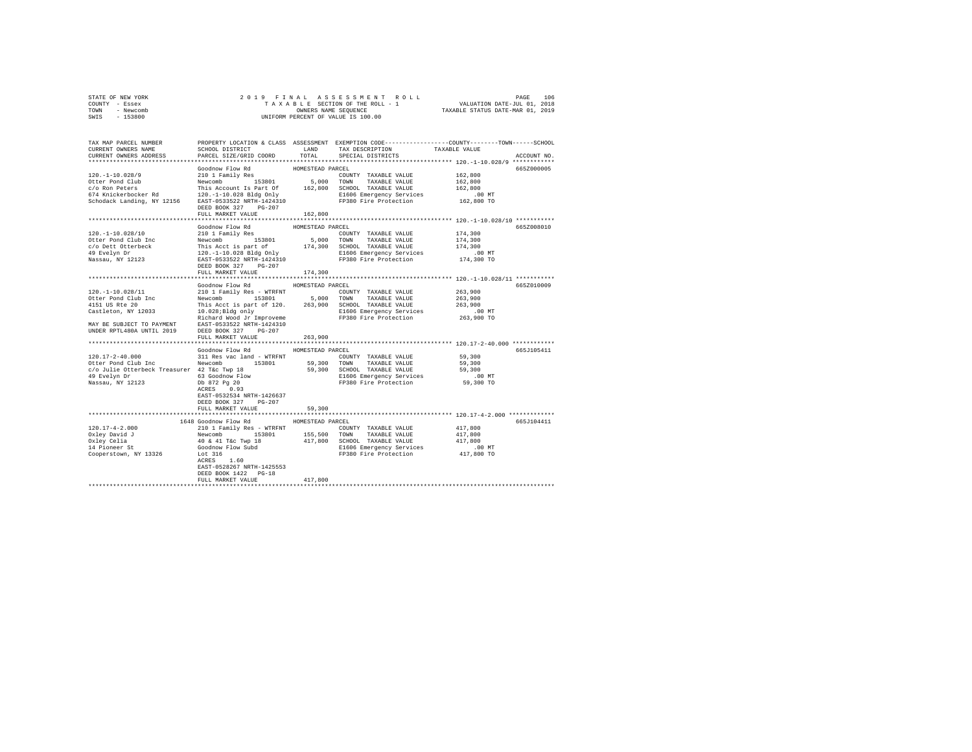| STATE OF NEW YORK | 2019 FINAL ASSESSMENT ROLL         | 106<br>PAGE                      |
|-------------------|------------------------------------|----------------------------------|
| COUNTY - Essex    | TAXABLE SECTION OF THE ROLL - 1    | VALUATION DATE-JUL 01, 2018      |
| TOWN<br>- Newcomb | OWNERS NAME SEOUENCE               | TAXABLE STATUS DATE-MAR 01, 2019 |
| - 153800<br>SWIS  | UNIFORM PERCENT OF VALUE IS 100.00 |                                  |

| TAX MAP PARCEL NUMBER<br>CURRENT OWNERS NAME                                                                                                                                                                                                 | SCHOOL DISTRICT                                                                                                          | <b>T.AND</b>     | PROPERTY LOCATION & CLASS ASSESSMENT EXEMPTION CODE---------------COUNTY-------TOWN-----SCHOOL<br>TAX DESCRIPTION | TAXABLE VALUE                                       |             |
|----------------------------------------------------------------------------------------------------------------------------------------------------------------------------------------------------------------------------------------------|--------------------------------------------------------------------------------------------------------------------------|------------------|-------------------------------------------------------------------------------------------------------------------|-----------------------------------------------------|-------------|
| CURRENT OWNERS ADDRESS                                                                                                                                                                                                                       | PARCEL SIZE/GRID COORD                                                                                                   | TOTAL            | SPECIAL DISTRICTS                                                                                                 |                                                     | ACCOUNT NO. |
|                                                                                                                                                                                                                                              |                                                                                                                          |                  |                                                                                                                   |                                                     |             |
|                                                                                                                                                                                                                                              | Goodnow Flow Rd                                                                                                          | HOMESTEAD PARCEL |                                                                                                                   |                                                     | 665Z000005  |
| 120. -1-10.028/9                                                                                                                                                                                                                             |                                                                                                                          |                  | COUNTY TAXABLE VALUE                                                                                              | 162,800                                             |             |
| Otter Pond Club                                                                                                                                                                                                                              |                                                                                                                          |                  |                                                                                                                   | 162,800                                             |             |
| c/o Ron Peters                                                                                                                                                                                                                               | This Account Is Part Of                                                                                                  |                  | 162,800 SCHOOL TAXABLE VALUE                                                                                      | 162,800                                             |             |
|                                                                                                                                                                                                                                              |                                                                                                                          |                  | E1606 Emergency Services                                                                                          | .00 MT                                              |             |
| $\frac{120 \times 100}{120}$ and $\frac{120 - 1 - 100}{120}$ Bldg Only<br>Schodack Landing, NY 12156 EAST-0533522 NRTH-1424310                                                                                                               |                                                                                                                          |                  | FP380 Fire Protection                                                                                             | 162,800 TO                                          |             |
|                                                                                                                                                                                                                                              | DEED BOOK 327 PG-207                                                                                                     |                  |                                                                                                                   |                                                     |             |
|                                                                                                                                                                                                                                              | FULL MARKET VALUE                                                                                                        | 162,800          |                                                                                                                   |                                                     |             |
|                                                                                                                                                                                                                                              |                                                                                                                          |                  |                                                                                                                   |                                                     |             |
|                                                                                                                                                                                                                                              | Goodnow Flow Rd                                                                                                          | HOMESTEAD PARCEL |                                                                                                                   |                                                     | 665Z008010  |
| 120. -1-10.028/10                                                                                                                                                                                                                            | Goodnow FiOW Rd<br>210 1 Family Res                                                                                      |                  | COUNTY TAXABLE VALUE                                                                                              | 174,300                                             |             |
| Otter Pond Club Inc                                                                                                                                                                                                                          | Newcomb 153801 5,000 TOWN TAXABLE VALUE                                                                                  |                  |                                                                                                                   | 174,300                                             |             |
|                                                                                                                                                                                                                                              |                                                                                                                          |                  |                                                                                                                   |                                                     |             |
| ocer Found Club and This Acct is part of the SCHOOL TAXABLE VALUE (174,300)<br>CO Dett Otterbeck This Acct is part of 174,300 SCHOOL TAXABLE VALUE (174,300)<br>Nassau, NY 12123 18257-0533522 NRTH-1424310 FP380 Fire Protection 17         |                                                                                                                          |                  |                                                                                                                   | . 00 MT                                             |             |
|                                                                                                                                                                                                                                              |                                                                                                                          |                  |                                                                                                                   | 174,300 TO                                          |             |
|                                                                                                                                                                                                                                              | DEED BOOK 327 PG-207                                                                                                     |                  |                                                                                                                   |                                                     |             |
|                                                                                                                                                                                                                                              | FULL MARKET VALUE                                                                                                        | 174,300          |                                                                                                                   |                                                     |             |
|                                                                                                                                                                                                                                              |                                                                                                                          |                  |                                                                                                                   | ************************ 120.-1-10.028/11 ********* |             |
|                                                                                                                                                                                                                                              | Goodnow Flow Rd MOMESTEAD PARCEL                                                                                         |                  |                                                                                                                   |                                                     | 665Z010009  |
| 120. -1-10.028/11                                                                                                                                                                                                                            | 210 1 Family Res - WTRFNT                                                                                                |                  | COUNTY TAXABLE VALUE                                                                                              | 263,900                                             |             |
| Otter Pond Club Inc                                                                                                                                                                                                                          |                                                                                                                          |                  |                                                                                                                   | 263,900                                             |             |
| 4151 US Rte 20                                                                                                                                                                                                                               | Newcomb<br>This Aco<br>Newcomb 153801 5,000 TOWN TAXABLE VALUE<br>This Acct is part of 120. 263,900 SCHOOL TAXABLE VALUE |                  |                                                                                                                   | 263,900                                             |             |
| Castleton, NY 12033                                                                                                                                                                                                                          | 10.028; Bldg only                                                                                                        |                  | E1606 Emergency Services                                                                                          | .00 MT                                              |             |
|                                                                                                                                                                                                                                              | Richard Wood Jr Improveme                                                                                                |                  | 00 MT. ELbub Emergency Services<br>FP380 Fire Protection 263,900 TO                                               |                                                     |             |
| MAY BE SUBJECT TO PAYMENT                                                                                                                                                                                                                    | EAST-0533522 NRTH-1424310                                                                                                |                  |                                                                                                                   |                                                     |             |
|                                                                                                                                                                                                                                              |                                                                                                                          |                  |                                                                                                                   |                                                     |             |
| UNDER RPTL480A UNTIL 2019                                                                                                                                                                                                                    | DEED BOOK 327 PG-207                                                                                                     |                  |                                                                                                                   |                                                     |             |
|                                                                                                                                                                                                                                              | FULL MARKET VALUE                                                                                                        | 263,900          |                                                                                                                   |                                                     |             |
|                                                                                                                                                                                                                                              | Goodnow Flow Rd MOMESTEAD PARCEL                                                                                         |                  |                                                                                                                   |                                                     | 665J105411  |
| $120.17 - 2 - 40.000$                                                                                                                                                                                                                        | 311 Res vac land - WTRFNT                                                                                                |                  | COUNTY TAXABLE VALUE                                                                                              | 59,300                                              |             |
|                                                                                                                                                                                                                                              |                                                                                                                          |                  |                                                                                                                   |                                                     |             |
| 1991.<br>26 Octobrillie Otterbeck Treasurer 42 Tkc Twp 18<br>26 Octobrillie Otterbeck Treasurer 42 Tkc Twp 18<br>26 Octobrillie 1992<br>26 Octobrillie 1600 Mars 20<br>26 Octobrillie 1600 Mars 20<br>26 Octobrillie 1600 Mars 20<br>26 Mass |                                                                                                                          |                  |                                                                                                                   | 59,300                                              |             |
|                                                                                                                                                                                                                                              |                                                                                                                          |                  |                                                                                                                   | 59,300                                              |             |
|                                                                                                                                                                                                                                              |                                                                                                                          |                  | E1606 Emergency Services .00 MT<br>FP380 Fire Protection 59,300 TO                                                |                                                     |             |
|                                                                                                                                                                                                                                              | dD Inc<br>erbeck Treasurer 42 T&C Iwp 10<br>63 Goodnow Flow<br>Db 872 Pg 20                                              |                  |                                                                                                                   |                                                     |             |
|                                                                                                                                                                                                                                              | ACRES 0.93                                                                                                               |                  |                                                                                                                   |                                                     |             |
|                                                                                                                                                                                                                                              | EAST-0532534 NRTH-1426637                                                                                                |                  |                                                                                                                   |                                                     |             |
|                                                                                                                                                                                                                                              | DEED BOOK 327 PG-207                                                                                                     |                  |                                                                                                                   |                                                     |             |
|                                                                                                                                                                                                                                              | FULL MARKET VALUE                                                                                                        | 59,300           |                                                                                                                   |                                                     |             |
|                                                                                                                                                                                                                                              |                                                                                                                          |                  |                                                                                                                   |                                                     |             |
|                                                                                                                                                                                                                                              | 1648 Goodnow Flow Rd                                                                                                     | HOMESTEAD PARCEL |                                                                                                                   |                                                     | 665J104411  |
| $120.17 - 4 - 2.000$                                                                                                                                                                                                                         | 210 1 Family Res - WTRFNT                                                                                                |                  | COUNTY TAXABLE VALUE                                                                                              | 417,800                                             |             |
| Oxley David J                                                                                                                                                                                                                                |                                                                                                                          |                  |                                                                                                                   | 417,800                                             |             |
| Oxley Celia<br>14 Pioneer St                                                                                                                                                                                                                 |                                                                                                                          |                  |                                                                                                                   | 417,800                                             |             |
|                                                                                                                                                                                                                                              |                                                                                                                          |                  | E1606 Emergency Services<br>F1606 Emergency Services<br>F2380 Fire Protection 417,800 TO                          |                                                     |             |
| Cooperstown, NY 13326                                                                                                                                                                                                                        | Lot 316                                                                                                                  |                  |                                                                                                                   |                                                     |             |
|                                                                                                                                                                                                                                              |                                                                                                                          |                  |                                                                                                                   |                                                     |             |
|                                                                                                                                                                                                                                              | EAST-0528267 NRTH-1425553                                                                                                |                  |                                                                                                                   |                                                     |             |
|                                                                                                                                                                                                                                              | DEED BOOK 1422 PG-18                                                                                                     |                  |                                                                                                                   |                                                     |             |
|                                                                                                                                                                                                                                              | FULL MARKET VALUE                                                                                                        | 417,800          |                                                                                                                   |                                                     |             |
|                                                                                                                                                                                                                                              |                                                                                                                          |                  |                                                                                                                   |                                                     |             |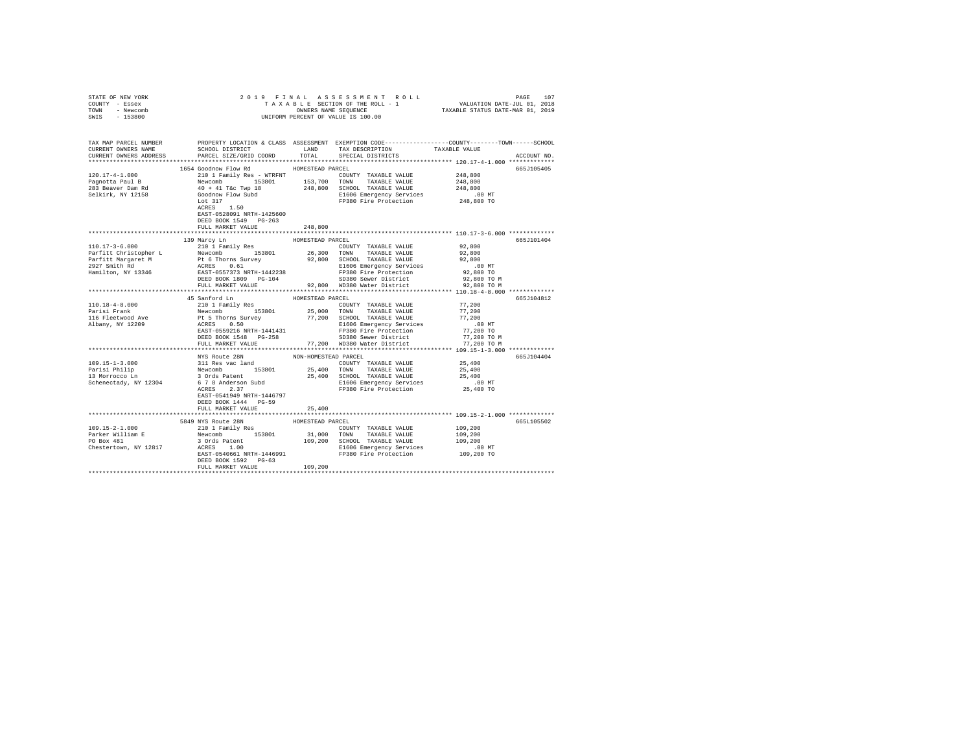| STATE OF NEW YORK                                                                                                                                                                                                                                                            |                                       |                  |                                                                                                                                                                                                                                            |                          |             |        |      |      |      |      |      |      |      |      |      |      |      |      |      |  |  |  |  |  |
|------------------------------------------------------------------------------------------------------------------------------------------------------------------------------------------------------------------------------------------------------------------------------|---------------------------------------|------------------|--------------------------------------------------------------------------------------------------------------------------------------------------------------------------------------------------------------------------------------------|--------------------------|-------------|--------|------|------|------|------|------|------|------|------|------|------|------|------|------|--|--|--|--|--|
| COUNTY - Essex                                                                                                                                                                                                                                                               |                                       |                  |                                                                                                                                                                                                                                            |                          |             |        |      |      |      |      |      |      |      |      |      |      |      |      |      |  |  |  |  |  |
| TOWN - Newcomb                                                                                                                                                                                                                                                               |                                       |                  |                                                                                                                                                                                                                                            |                          |             |        |      |      |      |      |      |      |      |      |      |      |      |      |      |  |  |  |  |  |
| SWIS - 153800                                                                                                                                                                                                                                                                |                                       |                  |                                                                                                                                                                                                                                            |                          |             |        |      |      |      |      |      |      |      |      |      |      |      |      |      |  |  |  |  |  |
|                                                                                                                                                                                                                                                                              |                                       |                  |                                                                                                                                                                                                                                            |                          |             |        |      |      |      |      |      |      |      |      |      |      |      |      |      |  |  |  |  |  |
|                                                                                                                                                                                                                                                                              |                                       |                  |                                                                                                                                                                                                                                            |                          |             |        |      |      |      |      |      |      |      |      |      |      |      |      |      |  |  |  |  |  |
|                                                                                                                                                                                                                                                                              |                                       |                  |                                                                                                                                                                                                                                            |                          |             |        |      |      |      |      |      |      |      |      |      |      |      |      |      |  |  |  |  |  |
| TAX MAP PARCEL NUMBER PROPERTY LOCATION & CLASS ASSESSMENT EXEMPTION CODE--------------COUNTY-------TOWN------SCHOOL<br>CURRENT OWNERS NAME SCHOOL DISTRICT LAND TAX DESCRIPTION TAVARER VALUE                                                                               |                                       |                  |                                                                                                                                                                                                                                            |                          |             |        |      |      |      |      |      |      |      |      |      |      |      |      |      |  |  |  |  |  |
|                                                                                                                                                                                                                                                                              |                                       |                  |                                                                                                                                                                                                                                            |                          |             |        |      |      |      |      |      |      |      |      |      |      |      |      |      |  |  |  |  |  |
| CURRENT OWNERS ADDRESS                                                                                                                                                                                                                                                       | PARCEL SIZE/GRID COORD TOTAL          |                  | SPECIAL DISTRICTS                                                                                                                                                                                                                          |                          | ACCOUNT NO. |        |      |      |      |      |      |      |      |      |      |      |      |      |      |  |  |  |  |  |
|                                                                                                                                                                                                                                                                              |                                       |                  |                                                                                                                                                                                                                                            |                          |             |        |      |      |      |      |      |      |      |      |      |      |      |      |      |  |  |  |  |  |
|                                                                                                                                                                                                                                                                              | 1654 Goodnow Flow Rd MOMESTEAD PARCEL |                  |                                                                                                                                                                                                                                            |                          | 665J105405  |        |      |      |      |      |      |      |      |      |      |      |      |      |      |  |  |  |  |  |
|                                                                                                                                                                                                                                                                              |                                       |                  |                                                                                                                                                                                                                                            |                          |             |        |      |      |      |      |      |      |      |      |      |      |      |      |      |  |  |  |  |  |
|                                                                                                                                                                                                                                                                              |                                       |                  |                                                                                                                                                                                                                                            |                          |             |        |      |      |      |      |      |      |      |      |      |      |      |      |      |  |  |  |  |  |
|                                                                                                                                                                                                                                                                              |                                       |                  |                                                                                                                                                                                                                                            |                          |             |        |      |      |      |      |      |      |      |      |      |      |      |      |      |  |  |  |  |  |
|                                                                                                                                                                                                                                                                              |                                       |                  |                                                                                                                                                                                                                                            |                          |             |        |      |      |      |      |      |      |      |      |      |      |      |      |      |  |  |  |  |  |
|                                                                                                                                                                                                                                                                              |                                       |                  |                                                                                                                                                                                                                                            |                          |             |        |      |      |      |      |      |      |      |      |      |      |      |      |      |  |  |  |  |  |
| $\begin{tabular}{l c c c c c c c c} \hline 120.17-4-1.000 & 100.00000\ & 100.00000\ & 100.00000\ & 100.00000\ & 100.00000\ & 100.00000\ & 100.00000\ & 100.00000\ & 100.00000\ & 100.00000\ & 100.00000\ & 100.00000\ & 100.00000\ & 100.00000\ & 100.0000$                  |                                       |                  |                                                                                                                                                                                                                                            |                          |             |        |      |      |      |      |      |      |      |      |      |      |      |      |      |  |  |  |  |  |
|                                                                                                                                                                                                                                                                              |                                       |                  |                                                                                                                                                                                                                                            |                          |             |        |      |      |      |      |      |      |      |      |      |      |      |      |      |  |  |  |  |  |
|                                                                                                                                                                                                                                                                              | EAST-0528091 NRTH-1425600             |                  |                                                                                                                                                                                                                                            |                          |             |        |      |      |      |      |      |      |      |      |      |      |      |      |      |  |  |  |  |  |
|                                                                                                                                                                                                                                                                              | DEED BOOK 1549 PG-263                 |                  |                                                                                                                                                                                                                                            |                          |             |        |      |      |      |      |      |      |      |      |      |      |      |      |      |  |  |  |  |  |
|                                                                                                                                                                                                                                                                              | FULL MARKET VALUE                     | 248,800          |                                                                                                                                                                                                                                            |                          |             |        |      |      |      |      |      |      |      |      |      |      |      |      |      |  |  |  |  |  |
|                                                                                                                                                                                                                                                                              |                                       |                  |                                                                                                                                                                                                                                            |                          |             |        |      |      |      |      |      |      |      |      |      |      |      |      |      |  |  |  |  |  |
|                                                                                                                                                                                                                                                                              | 139 Marcy Ln                          | HOMESTEAD PARCEL |                                                                                                                                                                                                                                            |                          | 665J101404  |        |      |      |      |      |      |      |      |      |      |      |      |      |      |  |  |  |  |  |
| $\n\n\n10.17-3-6.000\n139\n10.17\n20.800\n10.17\n\n\n20.101\n2011\n2011\n2011\n2011\n2011\n2011\n2011\n2011\n2011\n2011\n2011\n2011\n2011\n$                                                                                                                                 | 10.17-3-6.000                         | 139              | 10.17                                                                                                                                                                                                                                      | 20.800                   | 10.17       | 20.101 | 2011 | 2011 | 2011 | 2011 | 2011 | 2011 | 2011 | 2011 | 2011 | 2011 | 2011 | 2011 | 2011 |  |  |  |  |  |
| 10.17-3-6.000                                                                                                                                                                                                                                                                | 139                                   | 10.17            | 20.800                                                                                                                                                                                                                                     | 10.17                    |             |        |      |      |      |      |      |      |      |      |      |      |      |      |      |  |  |  |  |  |
| 20.101                                                                                                                                                                                                                                                                       | 2011                                  | 2011             | 2011                                                                                                                                                                                                                                       | 2011                     | 2011        | 2011   | 2011 | 2011 | 2011 | 2011 | 2011 | 2011 | 2011 |      |      |      |      |      |      |  |  |  |  |  |
|                                                                                                                                                                                                                                                                              |                                       |                  |                                                                                                                                                                                                                                            |                          |             |        |      |      |      |      |      |      |      |      |      |      |      |      |      |  |  |  |  |  |
|                                                                                                                                                                                                                                                                              |                                       |                  |                                                                                                                                                                                                                                            |                          |             |        |      |      |      |      |      |      |      |      |      |      |      |      |      |  |  |  |  |  |
|                                                                                                                                                                                                                                                                              |                                       |                  |                                                                                                                                                                                                                                            |                          |             |        |      |      |      |      |      |      |      |      |      |      |      |      |      |  |  |  |  |  |
|                                                                                                                                                                                                                                                                              |                                       |                  |                                                                                                                                                                                                                                            |                          |             |        |      |      |      |      |      |      |      |      |      |      |      |      |      |  |  |  |  |  |
|                                                                                                                                                                                                                                                                              |                                       |                  |                                                                                                                                                                                                                                            |                          |             |        |      |      |      |      |      |      |      |      |      |      |      |      |      |  |  |  |  |  |
|                                                                                                                                                                                                                                                                              |                                       |                  |                                                                                                                                                                                                                                            |                          |             |        |      |      |      |      |      |      |      |      |      |      |      |      |      |  |  |  |  |  |
|                                                                                                                                                                                                                                                                              |                                       |                  |                                                                                                                                                                                                                                            |                          |             |        |      |      |      |      |      |      |      |      |      |      |      |      |      |  |  |  |  |  |
|                                                                                                                                                                                                                                                                              | 45 Sanford Ln                         | HOMESTEAD PARCEL |                                                                                                                                                                                                                                            |                          | 665J104812  |        |      |      |      |      |      |      |      |      |      |      |      |      |      |  |  |  |  |  |
| 110.18-4-8.000<br>Parisi Frank<br>116 Fleetwood Ave<br>Albany, NY 12209                                                                                                                                                                                                      |                                       |                  | 49 SAINTON LINE HOMESTEAD PARCEL TRANSLE VALUE 77,200<br>25,000 TOWN TAXABLE VALUE 77,200<br>25,000 TOWN TAXABLE VALUE 77,200<br>25,000 TOWN TAXABLE VALUE 77,200<br>25,000 TOWN TAXABLE VALUE 777,200<br>25.57 -0559216 NRTH-1441431<br>2 |                          |             |        |      |      |      |      |      |      |      |      |      |      |      |      |      |  |  |  |  |  |
|                                                                                                                                                                                                                                                                              |                                       |                  |                                                                                                                                                                                                                                            |                          |             |        |      |      |      |      |      |      |      |      |      |      |      |      |      |  |  |  |  |  |
|                                                                                                                                                                                                                                                                              |                                       |                  |                                                                                                                                                                                                                                            |                          |             |        |      |      |      |      |      |      |      |      |      |      |      |      |      |  |  |  |  |  |
|                                                                                                                                                                                                                                                                              |                                       |                  |                                                                                                                                                                                                                                            |                          |             |        |      |      |      |      |      |      |      |      |      |      |      |      |      |  |  |  |  |  |
|                                                                                                                                                                                                                                                                              |                                       |                  |                                                                                                                                                                                                                                            | $.00$ MT                 |             |        |      |      |      |      |      |      |      |      |      |      |      |      |      |  |  |  |  |  |
|                                                                                                                                                                                                                                                                              |                                       |                  |                                                                                                                                                                                                                                            | 77,200 TO<br>77,200 TO M |             |        |      |      |      |      |      |      |      |      |      |      |      |      |      |  |  |  |  |  |
|                                                                                                                                                                                                                                                                              |                                       |                  |                                                                                                                                                                                                                                            |                          |             |        |      |      |      |      |      |      |      |      |      |      |      |      |      |  |  |  |  |  |
|                                                                                                                                                                                                                                                                              |                                       |                  |                                                                                                                                                                                                                                            | 77,200 TO M              |             |        |      |      |      |      |      |      |      |      |      |      |      |      |      |  |  |  |  |  |
|                                                                                                                                                                                                                                                                              |                                       |                  |                                                                                                                                                                                                                                            |                          |             |        |      |      |      |      |      |      |      |      |      |      |      |      |      |  |  |  |  |  |
|                                                                                                                                                                                                                                                                              |                                       |                  |                                                                                                                                                                                                                                            |                          | 665J104404  |        |      |      |      |      |      |      |      |      |      |      |      |      |      |  |  |  |  |  |
| MYS ROLE 28N NON-HOMESTEAD PARCEL<br>109.15–1–3.000<br>25,400<br>27.400<br>27.400<br>27.400<br>28.400<br>27.400<br>28.400<br>28.400<br>28.400<br>28.400<br>28.400<br>28.400<br>28.400<br>28.400<br>28.400<br>28.400<br>28.400<br>28.400<br>28.400<br>28.400<br>28.400<br>28. |                                       |                  |                                                                                                                                                                                                                                            |                          |             |        |      |      |      |      |      |      |      |      |      |      |      |      |      |  |  |  |  |  |
|                                                                                                                                                                                                                                                                              |                                       |                  |                                                                                                                                                                                                                                            |                          |             |        |      |      |      |      |      |      |      |      |      |      |      |      |      |  |  |  |  |  |
|                                                                                                                                                                                                                                                                              |                                       |                  |                                                                                                                                                                                                                                            |                          |             |        |      |      |      |      |      |      |      |      |      |      |      |      |      |  |  |  |  |  |
|                                                                                                                                                                                                                                                                              |                                       |                  |                                                                                                                                                                                                                                            |                          |             |        |      |      |      |      |      |      |      |      |      |      |      |      |      |  |  |  |  |  |
|                                                                                                                                                                                                                                                                              |                                       |                  |                                                                                                                                                                                                                                            |                          |             |        |      |      |      |      |      |      |      |      |      |      |      |      |      |  |  |  |  |  |
|                                                                                                                                                                                                                                                                              |                                       |                  |                                                                                                                                                                                                                                            |                          |             |        |      |      |      |      |      |      |      |      |      |      |      |      |      |  |  |  |  |  |
|                                                                                                                                                                                                                                                                              | DEED BOOK 1444 PG-59                  |                  |                                                                                                                                                                                                                                            |                          |             |        |      |      |      |      |      |      |      |      |      |      |      |      |      |  |  |  |  |  |
|                                                                                                                                                                                                                                                                              | FULL MARKET VALUE                     | 25,400           |                                                                                                                                                                                                                                            |                          |             |        |      |      |      |      |      |      |      |      |      |      |      |      |      |  |  |  |  |  |
|                                                                                                                                                                                                                                                                              |                                       |                  |                                                                                                                                                                                                                                            |                          |             |        |      |      |      |      |      |      |      |      |      |      |      |      |      |  |  |  |  |  |
|                                                                                                                                                                                                                                                                              |                                       | HOMESTEAD PARCEL |                                                                                                                                                                                                                                            |                          | 665L105502  |        |      |      |      |      |      |      |      |      |      |      |      |      |      |  |  |  |  |  |
|                                                                                                                                                                                                                                                                              |                                       |                  |                                                                                                                                                                                                                                            |                          |             |        |      |      |      |      |      |      |      |      |      |      |      |      |      |  |  |  |  |  |
|                                                                                                                                                                                                                                                                              |                                       |                  |                                                                                                                                                                                                                                            |                          |             |        |      |      |      |      |      |      |      |      |      |      |      |      |      |  |  |  |  |  |
|                                                                                                                                                                                                                                                                              |                                       |                  |                                                                                                                                                                                                                                            |                          |             |        |      |      |      |      |      |      |      |      |      |      |      |      |      |  |  |  |  |  |
|                                                                                                                                                                                                                                                                              |                                       |                  |                                                                                                                                                                                                                                            |                          |             |        |      |      |      |      |      |      |      |      |      |      |      |      |      |  |  |  |  |  |
|                                                                                                                                                                                                                                                                              |                                       |                  |                                                                                                                                                                                                                                            |                          |             |        |      |      |      |      |      |      |      |      |      |      |      |      |      |  |  |  |  |  |
|                                                                                                                                                                                                                                                                              |                                       |                  |                                                                                                                                                                                                                                            |                          |             |        |      |      |      |      |      |      |      |      |      |      |      |      |      |  |  |  |  |  |
|                                                                                                                                                                                                                                                                              | DEED BOOK 1592 PG-63                  |                  |                                                                                                                                                                                                                                            |                          |             |        |      |      |      |      |      |      |      |      |      |      |      |      |      |  |  |  |  |  |
|                                                                                                                                                                                                                                                                              | FULL MARKET VALUE 109,200             |                  |                                                                                                                                                                                                                                            |                          |             |        |      |      |      |      |      |      |      |      |      |      |      |      |      |  |  |  |  |  |
|                                                                                                                                                                                                                                                                              |                                       |                  |                                                                                                                                                                                                                                            |                          |             |        |      |      |      |      |      |      |      |      |      |      |      |      |      |  |  |  |  |  |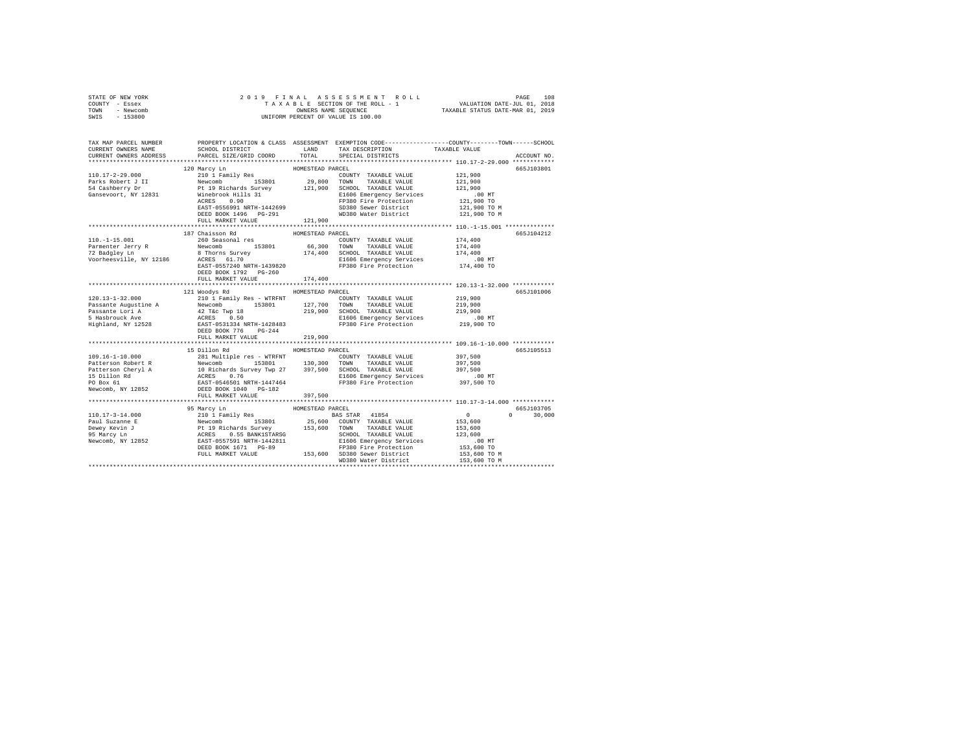| STATE OF NEW YORK<br>COUNTY - Essex<br>TOWN<br>- Newcomb<br>SWIS<br>$-153800$                                                                                                                                                                        | 2019 FINAL<br>OWNERS NAME SEQUENCE<br>UNIFORM PERCENT OF VALUE IS 100.00 |                  |                                                                                                                                                                                                                                          |                              |                              |
|------------------------------------------------------------------------------------------------------------------------------------------------------------------------------------------------------------------------------------------------------|--------------------------------------------------------------------------|------------------|------------------------------------------------------------------------------------------------------------------------------------------------------------------------------------------------------------------------------------------|------------------------------|------------------------------|
| TAX MAP PARCEL NUMBER PROPERTY LOCATION & CLASS ASSESSMENT EXEMPTION CODE---------------COUNTY-------TOWN------SCHOOL                                                                                                                                |                                                                          |                  |                                                                                                                                                                                                                                          |                              |                              |
| CURRENT OWNERS NAME                                                                                                                                                                                                                                  | SCHOOL DISTRICT LAND                                                     |                  | TAX DESCRIPTION                                                                                                                                                                                                                          | TAXABLE VALUE                |                              |
| CURRENT OWNERS ADDRESS                                                                                                                                                                                                                               | PARCEL SIZE/GRID COORD                                                   | TOTAL            | SPECIAL DISTRICTS                                                                                                                                                                                                                        |                              | ACCOUNT NO.                  |
|                                                                                                                                                                                                                                                      | 120 Marcy Ln                                                             | HOMESTEAD PARCEL |                                                                                                                                                                                                                                          |                              | 665J103801                   |
| $110.17 - 2 - 29.000$                                                                                                                                                                                                                                |                                                                          |                  |                                                                                                                                                                                                                                          | 121,900                      |                              |
| Parks Robert J II<br>54 Cashberry Dr                                                                                                                                                                                                                 |                                                                          |                  |                                                                                                                                                                                                                                          | 121,900                      |                              |
|                                                                                                                                                                                                                                                      |                                                                          |                  |                                                                                                                                                                                                                                          | 121,900                      |                              |
| Gansevoort, NY 12831                                                                                                                                                                                                                                 |                                                                          |                  | E1606 Emergency Services                                                                                                                                                                                                                 | $.00$ MT                     |                              |
|                                                                                                                                                                                                                                                      |                                                                          |                  |                                                                                                                                                                                                                                          | 121,900 TO<br>121,900 TO M   |                              |
|                                                                                                                                                                                                                                                      |                                                                          |                  | WD380 Water District                                                                                                                                                                                                                     | 121,900 TO M                 |                              |
|                                                                                                                                                                                                                                                      |                                                                          |                  | 210 1 Family Res<br>Newcomb 153801 29,800 TOWN TAXABLE VALUE<br>Pt 19 Richards Survey 121,900 SCHOOL TAXABLE VALUE<br>Windows Hills 31 1606 Emergency Services<br>ACRES 0.90 17930 Fire Protection<br>REST-0556991 NRTH-1442699 5D380 Se |                              |                              |
|                                                                                                                                                                                                                                                      |                                                                          |                  |                                                                                                                                                                                                                                          |                              |                              |
|                                                                                                                                                                                                                                                      | 187 Chaisson Rd                                                          | HOMESTEAD PARCEL |                                                                                                                                                                                                                                          |                              | 665J104212                   |
| $110.-1-15.001$                                                                                                                                                                                                                                      | 260 Seasonal res                                                         |                  | COUNTY TAXABLE VALUE                                                                                                                                                                                                                     | 174,400                      |                              |
|                                                                                                                                                                                                                                                      |                                                                          |                  |                                                                                                                                                                                                                                          | 174,400                      |                              |
| Farmenter Jerry R<br>Parmenter Jerry R<br>Parmenter Jerry R<br>Parmenter Jerry R<br>Parmenter Jerry R<br>Parmenter Jerry R<br>Parmenter Jerry R<br>Parmenter Jerry R<br>Parmenter Jerry R<br>Parmenter Jerry R<br>Parmenter Jerry R<br>Parmenter Jer |                                                                          |                  |                                                                                                                                                                                                                                          | 174,400                      |                              |
|                                                                                                                                                                                                                                                      |                                                                          |                  |                                                                                                                                                                                                                                          | $.00$ MT<br>174,400 TO       |                              |
|                                                                                                                                                                                                                                                      | DEED BOOK 1792 PG-260                                                    |                  |                                                                                                                                                                                                                                          |                              |                              |
|                                                                                                                                                                                                                                                      | FULL MARKET VALUE                                                        | 174,400          |                                                                                                                                                                                                                                          |                              |                              |
|                                                                                                                                                                                                                                                      |                                                                          |                  |                                                                                                                                                                                                                                          |                              |                              |
|                                                                                                                                                                                                                                                      | 121 Woodys Rd                                                            | HOMESTEAD PARCEL |                                                                                                                                                                                                                                          |                              | 665J101006                   |
| $120.13 - 1 - 32.000$                                                                                                                                                                                                                                | 210 1 Family Res - WTRFNT                                                |                  | COUNTY TAXABLE VALUE                                                                                                                                                                                                                     | 219,900                      |                              |
|                                                                                                                                                                                                                                                      |                                                                          |                  |                                                                                                                                                                                                                                          | 219,900<br>219,900           |                              |
|                                                                                                                                                                                                                                                      |                                                                          |                  |                                                                                                                                                                                                                                          | .00 MT                       |                              |
|                                                                                                                                                                                                                                                      |                                                                          |                  |                                                                                                                                                                                                                                          | 219,900 TO                   |                              |
|                                                                                                                                                                                                                                                      | DEED BOOK 776 PG-244                                                     |                  |                                                                                                                                                                                                                                          |                              |                              |
|                                                                                                                                                                                                                                                      | FULL MARKET VALUE                                                        | 219,900          |                                                                                                                                                                                                                                          |                              |                              |
|                                                                                                                                                                                                                                                      |                                                                          |                  |                                                                                                                                                                                                                                          |                              |                              |
|                                                                                                                                                                                                                                                      | 15 Dillon Rd                                                             | HOMESTEAD PARCEL |                                                                                                                                                                                                                                          |                              | 665J105513                   |
|                                                                                                                                                                                                                                                      |                                                                          |                  |                                                                                                                                                                                                                                          | 397,500<br>397,500           |                              |
|                                                                                                                                                                                                                                                      |                                                                          |                  |                                                                                                                                                                                                                                          | 397,500                      |                              |
|                                                                                                                                                                                                                                                      |                                                                          |                  |                                                                                                                                                                                                                                          | $.00$ MT                     |                              |
|                                                                                                                                                                                                                                                      |                                                                          |                  |                                                                                                                                                                                                                                          | 397,500 TO                   |                              |
|                                                                                                                                                                                                                                                      |                                                                          |                  |                                                                                                                                                                                                                                          |                              |                              |
|                                                                                                                                                                                                                                                      | FULL MARKET VALUE                                                        | 397,500          |                                                                                                                                                                                                                                          |                              |                              |
|                                                                                                                                                                                                                                                      |                                                                          | ***************  | ********************************* 110.17-3-14.000 ************                                                                                                                                                                           |                              |                              |
|                                                                                                                                                                                                                                                      | 95 Marcy Ln                                                              | HOMESTEAD PARCEL |                                                                                                                                                                                                                                          | $\sim$ 0                     | 665.7103705<br>$0 \t 30.000$ |
|                                                                                                                                                                                                                                                      |                                                                          |                  |                                                                                                                                                                                                                                          | 153,600                      |                              |
|                                                                                                                                                                                                                                                      |                                                                          |                  |                                                                                                                                                                                                                                          | 153,600                      |                              |
|                                                                                                                                                                                                                                                      |                                                                          |                  |                                                                                                                                                                                                                                          | 123,600                      |                              |
|                                                                                                                                                                                                                                                      |                                                                          |                  |                                                                                                                                                                                                                                          | $.00$ MT                     |                              |
|                                                                                                                                                                                                                                                      |                                                                          |                  |                                                                                                                                                                                                                                          | 153,600 TO                   |                              |
| $[10.17-3-14.000$ 95 Marcy Line 110.17-3-14.000<br>Paul Suzanne E Rewcomb 153801 25,600 COUNTY TAXABLE VALUE<br>Pewey Revin J FRICHARTS SUPPRESS 153801 25,600 COUNTY TAXABLE VALUE<br>PEWEY REVIN TAXABLE VALUE<br>PS Marcy Ln ACRES                |                                                                          |                  | WD380 Water District                                                                                                                                                                                                                     | 153,600 TO M<br>153,600 TO M |                              |
|                                                                                                                                                                                                                                                      |                                                                          |                  |                                                                                                                                                                                                                                          |                              |                              |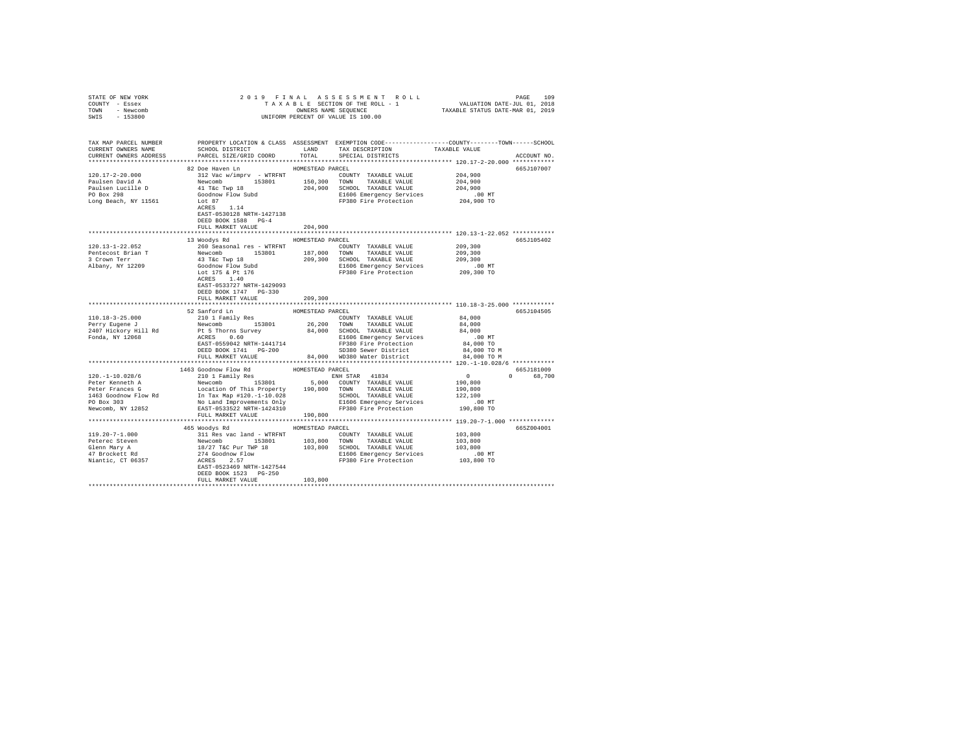| STATE OF NEW YORK                                                                                                                                                                                                                                                     |                                                                                                                                                                                                                                         |                    |                                                                                                                                                                                              |                                                     |             |
|-----------------------------------------------------------------------------------------------------------------------------------------------------------------------------------------------------------------------------------------------------------------------|-----------------------------------------------------------------------------------------------------------------------------------------------------------------------------------------------------------------------------------------|--------------------|----------------------------------------------------------------------------------------------------------------------------------------------------------------------------------------------|-----------------------------------------------------|-------------|
| COUNTY - Essex                                                                                                                                                                                                                                                        |                                                                                                                                                                                                                                         |                    |                                                                                                                                                                                              |                                                     |             |
| TOWN - Newcomb                                                                                                                                                                                                                                                        |                                                                                                                                                                                                                                         |                    |                                                                                                                                                                                              |                                                     |             |
| SWIS - 153800                                                                                                                                                                                                                                                         |                                                                                                                                                                                                                                         |                    |                                                                                                                                                                                              |                                                     |             |
|                                                                                                                                                                                                                                                                       |                                                                                                                                                                                                                                         |                    |                                                                                                                                                                                              |                                                     |             |
|                                                                                                                                                                                                                                                                       |                                                                                                                                                                                                                                         |                    |                                                                                                                                                                                              |                                                     |             |
|                                                                                                                                                                                                                                                                       |                                                                                                                                                                                                                                         |                    |                                                                                                                                                                                              |                                                     |             |
| TAX MAP PARCEL NUMBER PROPERTY LOCATION & CLASS ASSESSMENT EXEMPTION CODE---------------COUNTY-------TOWN------SCHOOL<br>CURRENT OWNERS NAME SCHOOL DISTRICT LAND TAX DESCRIPTION TAXABLE VALUE                                                                       |                                                                                                                                                                                                                                         |                    | SCHOOL DISTRICT                     LAND        TAX DESCRIPTION                  TAXABLE VALUE                                                                                               |                                                     |             |
| CURRENT OWNERS ADDRESS                                                                                                                                                                                                                                                | PARCEL SIZE/GRID COORD                                                                                                                                                                                                                  | TOTAL              | SPECIAL DISTRICTS                                                                                                                                                                            |                                                     |             |
|                                                                                                                                                                                                                                                                       |                                                                                                                                                                                                                                         |                    |                                                                                                                                                                                              |                                                     | ACCOUNT NO. |
|                                                                                                                                                                                                                                                                       |                                                                                                                                                                                                                                         | HOMESTEAD PARCEL   |                                                                                                                                                                                              |                                                     | 665J107007  |
| 120.17-2-20.000                                                                                                                                                                                                                                                       | 82 Doe Haven Ln                                                                                                                                                                                                                         |                    |                                                                                                                                                                                              |                                                     |             |
|                                                                                                                                                                                                                                                                       |                                                                                                                                                                                                                                         |                    |                                                                                                                                                                                              |                                                     |             |
| Paulsen David A<br>Paulsen Lucille D                                                                                                                                                                                                                                  |                                                                                                                                                                                                                                         |                    |                                                                                                                                                                                              |                                                     |             |
| Paulsen Lucille D<br>PO Box 298                                                                                                                                                                                                                                       |                                                                                                                                                                                                                                         |                    |                                                                                                                                                                                              |                                                     |             |
| Long Beach, NY 11561                                                                                                                                                                                                                                                  |                                                                                                                                                                                                                                         |                    |                                                                                                                                                                                              |                                                     |             |
|                                                                                                                                                                                                                                                                       |                                                                                                                                                                                                                                         |                    |                                                                                                                                                                                              |                                                     |             |
|                                                                                                                                                                                                                                                                       | EAST-0530128 NRTH-1427138                                                                                                                                                                                                               |                    |                                                                                                                                                                                              |                                                     |             |
|                                                                                                                                                                                                                                                                       | DEED BOOK 1588 PG-4                                                                                                                                                                                                                     |                    |                                                                                                                                                                                              |                                                     |             |
|                                                                                                                                                                                                                                                                       | FULL MARKET VALUE                                                                                                                                                                                                                       | 204,900            |                                                                                                                                                                                              |                                                     |             |
|                                                                                                                                                                                                                                                                       |                                                                                                                                                                                                                                         | ****************** |                                                                                                                                                                                              | ********************** 120.13-1-22.052 ************ |             |
|                                                                                                                                                                                                                                                                       | 13 Woodys Rd MOMESTEAD PARCEL                                                                                                                                                                                                           |                    |                                                                                                                                                                                              |                                                     | 665J105402  |
| $120.13 - 1 - 22.052$                                                                                                                                                                                                                                                 | 260 Seasonal res - WTRFNT                                                                                                                                                                                                               |                    | COUNTY TAXABLE VALUE                                                                                                                                                                         | 209,300                                             |             |
|                                                                                                                                                                                                                                                                       |                                                                                                                                                                                                                                         |                    |                                                                                                                                                                                              |                                                     |             |
|                                                                                                                                                                                                                                                                       |                                                                                                                                                                                                                                         |                    |                                                                                                                                                                                              |                                                     |             |
|                                                                                                                                                                                                                                                                       |                                                                                                                                                                                                                                         |                    |                                                                                                                                                                                              |                                                     |             |
| Pentecost Brian T<br>Pentecost Brian T<br>209,300<br>3 Crown Terr 1918 (1919)<br>209,300<br>209,300<br>209,300<br>209,300<br>209,300<br>209,300<br>209,300<br>209,300<br>209,300<br>209,300<br>209,300<br>209,300<br>209,300<br>209,300<br>209,300<br>209,300<br>209, |                                                                                                                                                                                                                                         |                    |                                                                                                                                                                                              |                                                     |             |
|                                                                                                                                                                                                                                                                       |                                                                                                                                                                                                                                         |                    |                                                                                                                                                                                              |                                                     |             |
|                                                                                                                                                                                                                                                                       | EAST-0533727 NRTH-1429093                                                                                                                                                                                                               |                    |                                                                                                                                                                                              |                                                     |             |
|                                                                                                                                                                                                                                                                       | DEED BOOK 1747 PG-330                                                                                                                                                                                                                   |                    |                                                                                                                                                                                              |                                                     |             |
|                                                                                                                                                                                                                                                                       | FULL MARKET VALUE                                                                                                                                                                                                                       | 209,300            |                                                                                                                                                                                              |                                                     |             |
|                                                                                                                                                                                                                                                                       |                                                                                                                                                                                                                                         |                    |                                                                                                                                                                                              |                                                     |             |
|                                                                                                                                                                                                                                                                       | 52 Sanford Ln                                                                                                                                                                                                                           | HOMESTEAD PARCEL   |                                                                                                                                                                                              |                                                     | 665J104505  |
|                                                                                                                                                                                                                                                                       | 210 1 Family Res                                                                                                                                                                                                                        |                    |                                                                                                                                                                                              |                                                     |             |
|                                                                                                                                                                                                                                                                       | $\begin{tabular}{lcccccc} 210 & 1 & Family & Res & & & \text{COUNTY} & TAXABLE & VALUE \\ Newcomb & 153801 & 26,200 & Town & TAXABLE & VALUE \\ \end{tabular}$                                                                          |                    | $\begin{tabular}{lllllllllll} \multicolumn{3}{c}{\text{COUNTY}} & \text{TAXABLE VALUE} & & & 84,000 \\ \multicolumn{3}{c}{\text{TOWN}} & \text{TAXABLE VALUE} & & & 84,000 \\ \end{tabular}$ |                                                     |             |
| 110.18-3-25.000<br>Perry Eugene J<br>2407 Hickory Hill Rd<br>Fonda, NY 12068                                                                                                                                                                                          |                                                                                                                                                                                                                                         |                    |                                                                                                                                                                                              |                                                     |             |
|                                                                                                                                                                                                                                                                       |                                                                                                                                                                                                                                         |                    |                                                                                                                                                                                              |                                                     |             |
|                                                                                                                                                                                                                                                                       |                                                                                                                                                                                                                                         |                    |                                                                                                                                                                                              |                                                     |             |
|                                                                                                                                                                                                                                                                       |                                                                                                                                                                                                                                         |                    |                                                                                                                                                                                              |                                                     |             |
|                                                                                                                                                                                                                                                                       | PL STRONG SUIVEY 1999<br>ALOID SCHOOL TAXABLE VALUE 1999<br>ACRES 0.60 MT<br>ERSE DOOR DE PL STRONG SUIVEY SERVICE PONCE PONCE POOL DES 2000 TO ME<br>ERSE BOOK 1741 PG-2000 SDB2 Serve plastrict 194,000 TO M<br>PER BOOK 1741 PG-2000 |                    |                                                                                                                                                                                              |                                                     |             |
|                                                                                                                                                                                                                                                                       |                                                                                                                                                                                                                                         |                    |                                                                                                                                                                                              |                                                     |             |
|                                                                                                                                                                                                                                                                       | 1463 Goodnow Flow Rd                                                                                                                                                                                                                    | HOMESTEAD PARCEL   |                                                                                                                                                                                              |                                                     | 665J181009  |
| $[100.1-10.028/6$ $[100.1-10.028/6$$ $[100.1-10.028/6$$ $[100.1-10.028/6$$ $[100.1-10.028/6$$ $[100.1-10.028/6$$ $[100.1-10.028/6$$ $[100.1-10.028/6$$ $[100.1-10.028/6$$ $[100.1-10.028/6$$ $[100.1-10.028/6$$ $[100.1-10.02$                                        | 210 1 Family Res                                                                                                                                                                                                                        |                    |                                                                                                                                                                                              | $\begin{array}{c} 0 \\ 190,800 \end{array}$         | 0 68,700    |
|                                                                                                                                                                                                                                                                       |                                                                                                                                                                                                                                         |                    |                                                                                                                                                                                              |                                                     |             |
|                                                                                                                                                                                                                                                                       |                                                                                                                                                                                                                                         |                    |                                                                                                                                                                                              |                                                     |             |
|                                                                                                                                                                                                                                                                       |                                                                                                                                                                                                                                         |                    |                                                                                                                                                                                              |                                                     |             |
|                                                                                                                                                                                                                                                                       |                                                                                                                                                                                                                                         |                    |                                                                                                                                                                                              |                                                     |             |
|                                                                                                                                                                                                                                                                       |                                                                                                                                                                                                                                         |                    |                                                                                                                                                                                              |                                                     |             |
|                                                                                                                                                                                                                                                                       | FULL MARKET VALUE 190,800                                                                                                                                                                                                               |                    |                                                                                                                                                                                              |                                                     |             |
|                                                                                                                                                                                                                                                                       |                                                                                                                                                                                                                                         |                    |                                                                                                                                                                                              |                                                     |             |
|                                                                                                                                                                                                                                                                       | 465 Woodys Rd MOMESTEAD PARCEL                                                                                                                                                                                                          |                    |                                                                                                                                                                                              |                                                     | 665Z004001  |
|                                                                                                                                                                                                                                                                       |                                                                                                                                                                                                                                         |                    |                                                                                                                                                                                              |                                                     |             |
|                                                                                                                                                                                                                                                                       |                                                                                                                                                                                                                                         |                    |                                                                                                                                                                                              |                                                     |             |
|                                                                                                                                                                                                                                                                       |                                                                                                                                                                                                                                         |                    |                                                                                                                                                                                              |                                                     |             |
|                                                                                                                                                                                                                                                                       |                                                                                                                                                                                                                                         |                    |                                                                                                                                                                                              |                                                     |             |
|                                                                                                                                                                                                                                                                       |                                                                                                                                                                                                                                         |                    |                                                                                                                                                                                              |                                                     |             |
|                                                                                                                                                                                                                                                                       |                                                                                                                                                                                                                                         |                    |                                                                                                                                                                                              |                                                     |             |
|                                                                                                                                                                                                                                                                       | DEED BOOK 1523 PG-250                                                                                                                                                                                                                   |                    |                                                                                                                                                                                              |                                                     |             |
|                                                                                                                                                                                                                                                                       | FULL MARKET VALUE                                                                                                                                                                                                                       | 103,800            |                                                                                                                                                                                              |                                                     |             |
|                                                                                                                                                                                                                                                                       |                                                                                                                                                                                                                                         |                    |                                                                                                                                                                                              |                                                     |             |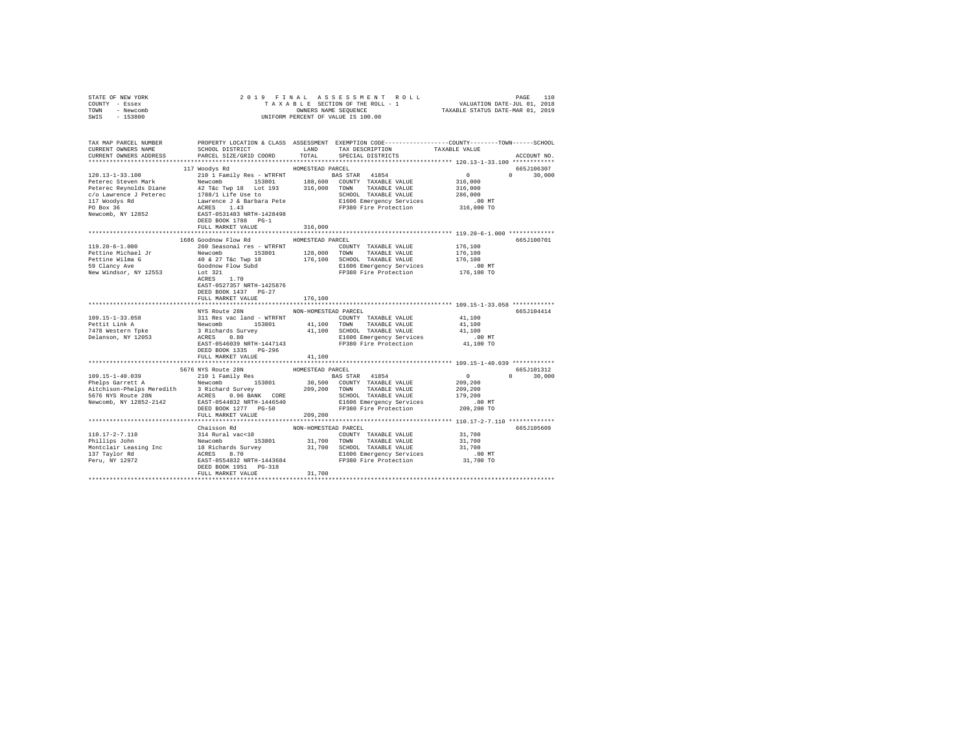| STATE OF NEW YORK                                                                                                                                                                                                                       |                                    |                  |                                                                      |                                                                                                                                                                                                                                                                                               |               |
|-----------------------------------------------------------------------------------------------------------------------------------------------------------------------------------------------------------------------------------------|------------------------------------|------------------|----------------------------------------------------------------------|-----------------------------------------------------------------------------------------------------------------------------------------------------------------------------------------------------------------------------------------------------------------------------------------------|---------------|
| COUNTY - Essex                                                                                                                                                                                                                          |                                    |                  |                                                                      |                                                                                                                                                                                                                                                                                               |               |
| TOWN - Newcomb                                                                                                                                                                                                                          |                                    |                  |                                                                      |                                                                                                                                                                                                                                                                                               |               |
| SWIS - 153800                                                                                                                                                                                                                           |                                    |                  |                                                                      |                                                                                                                                                                                                                                                                                               |               |
|                                                                                                                                                                                                                                         |                                    |                  |                                                                      |                                                                                                                                                                                                                                                                                               |               |
|                                                                                                                                                                                                                                         |                                    |                  |                                                                      |                                                                                                                                                                                                                                                                                               |               |
| TAX MAP PARCEL NUMBER THE PROPERTY LOCATION & CLASS ASSESSMENT EXEMPTION CODE-------------COUNTY-------TOWN------SCHOOL                                                                                                                 |                                    |                  |                                                                      |                                                                                                                                                                                                                                                                                               |               |
| CURRENT OWNERS NAME                                                                                                                                                                                                                     | SCHOOL DISTRICT                    |                  | LAND TAX DESCRIPTION TAXABLE VALUE                                   |                                                                                                                                                                                                                                                                                               |               |
| CURRENT OWNERS ADDRESS                                                                                                                                                                                                                  | PARCEL SIZE/GRID COORD             | TOTAL            | SPECIAL DISTRICTS                                                    |                                                                                                                                                                                                                                                                                               | ACCOUNT NO.   |
|                                                                                                                                                                                                                                         |                                    |                  |                                                                      |                                                                                                                                                                                                                                                                                               |               |
|                                                                                                                                                                                                                                         |                                    |                  |                                                                      |                                                                                                                                                                                                                                                                                               | 665J106307    |
|                                                                                                                                                                                                                                         |                                    |                  |                                                                      | $\sim$ 0 $\sim$ 0 $\sim$ 0 $\sim$ 0 $\sim$ 0 $\sim$ 0 $\sim$ 0 $\sim$ 0 $\sim$ 0 $\sim$ 0 $\sim$ 0 $\sim$ 0 $\sim$ 0 $\sim$ 0 $\sim$ 0 $\sim$ 0 $\sim$ 0 $\sim$ 0 $\sim$ 0 $\sim$ 0 $\sim$ 0 $\sim$ 0 $\sim$ 0 $\sim$ 0 $\sim$ 0 $\sim$ 0 $\sim$ 0 $\sim$ 0 $\sim$ 0 $\sim$ 0 $\sim$ 0 $\sim$ |               |
|                                                                                                                                                                                                                                         |                                    |                  |                                                                      |                                                                                                                                                                                                                                                                                               | $0 \t 30.000$ |
|                                                                                                                                                                                                                                         |                                    |                  |                                                                      |                                                                                                                                                                                                                                                                                               |               |
|                                                                                                                                                                                                                                         |                                    |                  |                                                                      |                                                                                                                                                                                                                                                                                               |               |
|                                                                                                                                                                                                                                         |                                    |                  |                                                                      |                                                                                                                                                                                                                                                                                               |               |
|                                                                                                                                                                                                                                         |                                    |                  |                                                                      |                                                                                                                                                                                                                                                                                               |               |
|                                                                                                                                                                                                                                         |                                    |                  |                                                                      |                                                                                                                                                                                                                                                                                               |               |
|                                                                                                                                                                                                                                         |                                    |                  |                                                                      |                                                                                                                                                                                                                                                                                               |               |
|                                                                                                                                                                                                                                         | DEED BOOK 1788 PG-1                |                  |                                                                      |                                                                                                                                                                                                                                                                                               |               |
|                                                                                                                                                                                                                                         | FULL MARKET VALUE 316,000          |                  |                                                                      |                                                                                                                                                                                                                                                                                               |               |
|                                                                                                                                                                                                                                         |                                    |                  |                                                                      |                                                                                                                                                                                                                                                                                               |               |
|                                                                                                                                                                                                                                         | 1686 Goodnow Flow Rd               | HOMESTEAD PARCEL |                                                                      |                                                                                                                                                                                                                                                                                               | 665J100701    |
|                                                                                                                                                                                                                                         |                                    |                  |                                                                      |                                                                                                                                                                                                                                                                                               |               |
| 119.20-6-1.000                                                                                                                                                                                                                          | 260 Seasonal res - WTRFNT          |                  | COUNTY TAXABLE VALUE                                                 | 176,100                                                                                                                                                                                                                                                                                       |               |
|                                                                                                                                                                                                                                         |                                    |                  |                                                                      | 176,100                                                                                                                                                                                                                                                                                       |               |
|                                                                                                                                                                                                                                         |                                    |                  |                                                                      | 176,100                                                                                                                                                                                                                                                                                       |               |
| Pettine Michael Jr<br>Newcomb 153801 128,000 TONN TAXABLE VALUE<br>Pettine Wilma G 40 & 27 T&c Twp 18 176,100 SCHOOL TAXABLE VALUE<br>59 Clancy Ave Goodhow Flow Subd F176,100 SCHOOL TAXABLE VALUE<br>New Windsor, NY 12553 1.70<br>AC |                                    |                  | E1606 Emergency Services 6.00 MT<br>FP380 Fire Protection 176,100 TO |                                                                                                                                                                                                                                                                                               |               |
|                                                                                                                                                                                                                                         |                                    |                  |                                                                      |                                                                                                                                                                                                                                                                                               |               |
|                                                                                                                                                                                                                                         |                                    |                  |                                                                      |                                                                                                                                                                                                                                                                                               |               |
|                                                                                                                                                                                                                                         | EAST-0527357 NRTH-1425876          |                  |                                                                      |                                                                                                                                                                                                                                                                                               |               |
|                                                                                                                                                                                                                                         | DEED BOOK 1437 PG-27               |                  |                                                                      |                                                                                                                                                                                                                                                                                               |               |
|                                                                                                                                                                                                                                         | FULL MARKET VALUE                  | 176,100          |                                                                      |                                                                                                                                                                                                                                                                                               |               |
|                                                                                                                                                                                                                                         |                                    |                  |                                                                      |                                                                                                                                                                                                                                                                                               |               |
|                                                                                                                                                                                                                                         | NYS Route 28N NON-HOMESTEAD PARCEL |                  |                                                                      |                                                                                                                                                                                                                                                                                               | 665J104414    |
|                                                                                                                                                                                                                                         |                                    |                  |                                                                      | 41,100                                                                                                                                                                                                                                                                                        |               |
|                                                                                                                                                                                                                                         |                                    |                  |                                                                      | 41,100                                                                                                                                                                                                                                                                                        |               |
|                                                                                                                                                                                                                                         |                                    |                  |                                                                      | 41,100                                                                                                                                                                                                                                                                                        |               |
|                                                                                                                                                                                                                                         |                                    |                  |                                                                      |                                                                                                                                                                                                                                                                                               |               |
|                                                                                                                                                                                                                                         |                                    |                  |                                                                      | .00 MT                                                                                                                                                                                                                                                                                        |               |
|                                                                                                                                                                                                                                         |                                    |                  |                                                                      | 41,100 TO                                                                                                                                                                                                                                                                                     |               |
|                                                                                                                                                                                                                                         | DEED BOOK 1335 PG-296              |                  |                                                                      |                                                                                                                                                                                                                                                                                               |               |
|                                                                                                                                                                                                                                         | FULL MARKET VALUE                  | 41,100           |                                                                      |                                                                                                                                                                                                                                                                                               |               |
|                                                                                                                                                                                                                                         |                                    |                  |                                                                      |                                                                                                                                                                                                                                                                                               |               |
|                                                                                                                                                                                                                                         |                                    |                  |                                                                      |                                                                                                                                                                                                                                                                                               | 665J101312    |
|                                                                                                                                                                                                                                         |                                    |                  |                                                                      | $\sim$ 0                                                                                                                                                                                                                                                                                      | $0 \t 30,000$ |
|                                                                                                                                                                                                                                         |                                    |                  |                                                                      | 209,200                                                                                                                                                                                                                                                                                       |               |
|                                                                                                                                                                                                                                         |                                    |                  |                                                                      | 209,200                                                                                                                                                                                                                                                                                       |               |
|                                                                                                                                                                                                                                         |                                    |                  |                                                                      | 179,200                                                                                                                                                                                                                                                                                       |               |
|                                                                                                                                                                                                                                         |                                    |                  |                                                                      | .00MT                                                                                                                                                                                                                                                                                         |               |
|                                                                                                                                                                                                                                         |                                    |                  |                                                                      |                                                                                                                                                                                                                                                                                               |               |
|                                                                                                                                                                                                                                         |                                    |                  |                                                                      | 209,200 TO                                                                                                                                                                                                                                                                                    |               |
|                                                                                                                                                                                                                                         | FULL MARKET VALUE                  | 209,200          |                                                                      |                                                                                                                                                                                                                                                                                               |               |
|                                                                                                                                                                                                                                         |                                    |                  |                                                                      |                                                                                                                                                                                                                                                                                               |               |
|                                                                                                                                                                                                                                         |                                    |                  |                                                                      |                                                                                                                                                                                                                                                                                               | 665J105609    |
|                                                                                                                                                                                                                                         |                                    |                  | COUNTY TAXABLE VALUE 31,700                                          |                                                                                                                                                                                                                                                                                               |               |
|                                                                                                                                                                                                                                         |                                    |                  |                                                                      | 31,700                                                                                                                                                                                                                                                                                        |               |
|                                                                                                                                                                                                                                         |                                    |                  |                                                                      | 31,700                                                                                                                                                                                                                                                                                        |               |
|                                                                                                                                                                                                                                         |                                    |                  |                                                                      |                                                                                                                                                                                                                                                                                               |               |
|                                                                                                                                                                                                                                         |                                    |                  |                                                                      | 00 MT.<br>31,700 TO                                                                                                                                                                                                                                                                           |               |
|                                                                                                                                                                                                                                         |                                    |                  |                                                                      |                                                                                                                                                                                                                                                                                               |               |
|                                                                                                                                                                                                                                         | FULL MARKET VALUE                  | 31,700           |                                                                      |                                                                                                                                                                                                                                                                                               |               |
|                                                                                                                                                                                                                                         |                                    |                  |                                                                      |                                                                                                                                                                                                                                                                                               |               |
|                                                                                                                                                                                                                                         |                                    |                  |                                                                      |                                                                                                                                                                                                                                                                                               |               |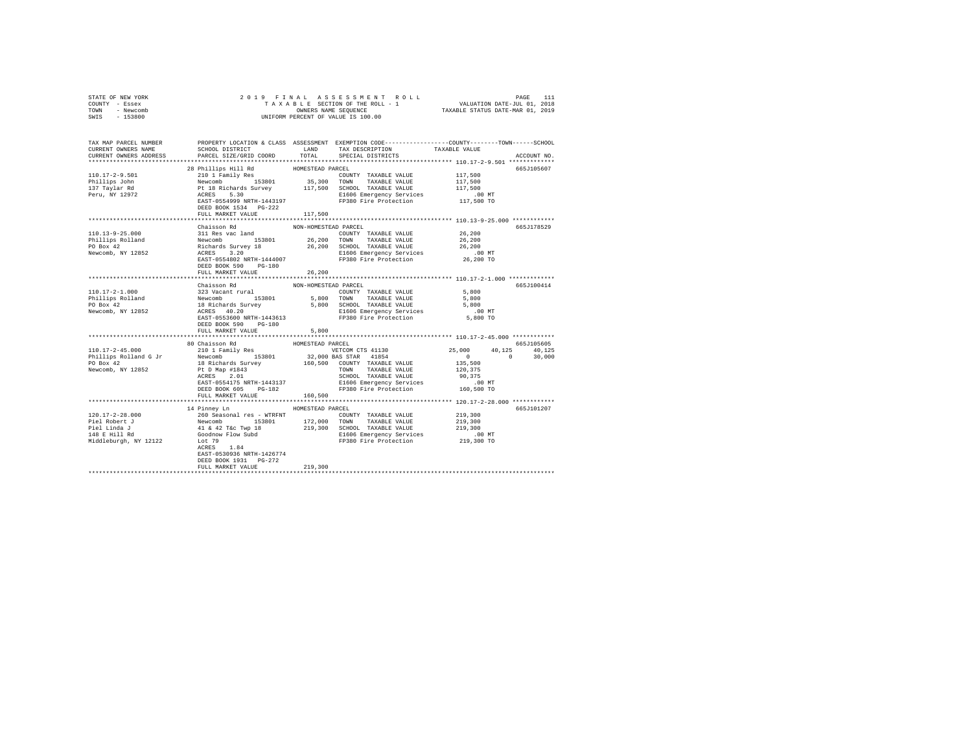| STATE OF NEW YORK<br>COUNTY - Essex                                                                                                                                                                                                                                                                                                                                                                                  |                                      |                      |                   |                                     |             |
|----------------------------------------------------------------------------------------------------------------------------------------------------------------------------------------------------------------------------------------------------------------------------------------------------------------------------------------------------------------------------------------------------------------------|--------------------------------------|----------------------|-------------------|-------------------------------------|-------------|
| TOWN - Newcomb                                                                                                                                                                                                                                                                                                                                                                                                       |                                      |                      |                   |                                     |             |
| SWIS - 153800                                                                                                                                                                                                                                                                                                                                                                                                        |                                      |                      |                   |                                     |             |
|                                                                                                                                                                                                                                                                                                                                                                                                                      |                                      |                      |                   |                                     |             |
|                                                                                                                                                                                                                                                                                                                                                                                                                      |                                      |                      |                   |                                     |             |
|                                                                                                                                                                                                                                                                                                                                                                                                                      |                                      |                      |                   |                                     |             |
| TAX MAP PARCEL NUMBER     PROPERTY LOCATION & CLASS ASSESSMENT EXEMPTION CODE--------------COUNTY-------TOWN------SCHOOL<br>CURRENT OWNERS NAME     SCHOOL DISTRICT     LAND   TAX DESCRIPTION     TAXABLE VALUE                                                                                                                                                                                                     |                                      |                      |                   |                                     |             |
|                                                                                                                                                                                                                                                                                                                                                                                                                      |                                      |                      |                   |                                     |             |
| CURRENT OWNERS ADDRESS PARCEL SIZE/GRID COORD                                                                                                                                                                                                                                                                                                                                                                        |                                      | TOTAL                | SPECIAL DISTRICTS |                                     | ACCOUNT NO. |
|                                                                                                                                                                                                                                                                                                                                                                                                                      |                                      |                      |                   |                                     |             |
|                                                                                                                                                                                                                                                                                                                                                                                                                      | 28 Phillips Hill Rd HOMESTEAD PARCEL |                      |                   |                                     | 665J105607  |
|                                                                                                                                                                                                                                                                                                                                                                                                                      |                                      |                      |                   |                                     |             |
|                                                                                                                                                                                                                                                                                                                                                                                                                      |                                      |                      |                   |                                     |             |
|                                                                                                                                                                                                                                                                                                                                                                                                                      |                                      |                      |                   |                                     |             |
|                                                                                                                                                                                                                                                                                                                                                                                                                      |                                      |                      |                   |                                     |             |
|                                                                                                                                                                                                                                                                                                                                                                                                                      | DEED BOOK 1534 PG-222                |                      |                   |                                     |             |
|                                                                                                                                                                                                                                                                                                                                                                                                                      | FULL MARKET VALUE 117,500            |                      |                   |                                     |             |
|                                                                                                                                                                                                                                                                                                                                                                                                                      |                                      |                      |                   |                                     |             |
|                                                                                                                                                                                                                                                                                                                                                                                                                      | Chaisson Rd                          | NON-HOMESTEAD PARCEL |                   |                                     | 665J178529  |
| 110.13-9-25.000 $\text{311}$ Res vac land<br>26,200 $\text{POUNRT}$ TAXABLE VALUE 26,200<br>PD Box 42 Revoromb 153801 26,200 TOWN TAXABLE VALUE 26,200<br>PD Box 42 Rechards Survey 18 26,200 SCHOOL TAXABLE VALUE 26,200<br>Revoromb, NY 1285                                                                                                                                                                       |                                      |                      |                   |                                     |             |
|                                                                                                                                                                                                                                                                                                                                                                                                                      |                                      |                      |                   |                                     |             |
|                                                                                                                                                                                                                                                                                                                                                                                                                      |                                      |                      |                   |                                     |             |
|                                                                                                                                                                                                                                                                                                                                                                                                                      |                                      |                      |                   |                                     |             |
|                                                                                                                                                                                                                                                                                                                                                                                                                      |                                      |                      |                   |                                     |             |
|                                                                                                                                                                                                                                                                                                                                                                                                                      |                                      |                      |                   |                                     |             |
|                                                                                                                                                                                                                                                                                                                                                                                                                      | FULL MARKET VALUE                    | 26,200               |                   |                                     |             |
|                                                                                                                                                                                                                                                                                                                                                                                                                      |                                      |                      |                   |                                     |             |
|                                                                                                                                                                                                                                                                                                                                                                                                                      |                                      |                      |                   |                                     | 665J100414  |
|                                                                                                                                                                                                                                                                                                                                                                                                                      |                                      |                      |                   |                                     |             |
|                                                                                                                                                                                                                                                                                                                                                                                                                      |                                      |                      |                   |                                     |             |
| $[101.17-2-1.000] \begin{tabular}{c c c c c} \multicolumn{1}{c c c} \multicolumn{1}{c c c} \multicolumn{1}{c c} \multicolumn{1}{c c} \multicolumn{1}{c c} \multicolumn{1}{c c} \multicolumn{1}{c c} \multicolumn{1}{c c} \multicolumn{1}{c c} \multicolumn{1}{c c} \multicolumn{1}{c c} \multicolumn{1}{c c} \multicolumn{1}{c c} \multicolumn{1}{c c} \multicolumn{1}{c c} \multicolumn{1}{c c} \multicolumn{1}{c $ |                                      |                      |                   |                                     |             |
|                                                                                                                                                                                                                                                                                                                                                                                                                      |                                      |                      |                   |                                     |             |
|                                                                                                                                                                                                                                                                                                                                                                                                                      |                                      |                      |                   |                                     |             |
|                                                                                                                                                                                                                                                                                                                                                                                                                      | DEED BOOK 590 PG-180                 |                      |                   |                                     |             |
|                                                                                                                                                                                                                                                                                                                                                                                                                      | FULL MARKET VALUE                    | 5,800                |                   |                                     |             |
|                                                                                                                                                                                                                                                                                                                                                                                                                      |                                      |                      |                   |                                     |             |
| 110.17-2-45.<br>10.11 Paily Res (20.11 Faily Res (20.11 Faily Res (20.11 Faily Res (20.11 Faily Res (20.11 Faily Res (20.11 Faily Res (20.11 Faily Res (20.11 Faily Res (20.11 Faily Res (20.11 Faily Res (20.11 Faily Res (20.1                                                                                                                                                                                     |                                      |                      |                   |                                     | 665J105605  |
|                                                                                                                                                                                                                                                                                                                                                                                                                      |                                      |                      |                   | $25,000$ $40,125$ $40,125$ $40,125$ |             |
|                                                                                                                                                                                                                                                                                                                                                                                                                      |                                      |                      |                   | $135,500$<br>120,375<br>120,375     |             |
|                                                                                                                                                                                                                                                                                                                                                                                                                      |                                      |                      |                   |                                     |             |
|                                                                                                                                                                                                                                                                                                                                                                                                                      |                                      |                      |                   |                                     |             |
|                                                                                                                                                                                                                                                                                                                                                                                                                      |                                      |                      |                   |                                     |             |
|                                                                                                                                                                                                                                                                                                                                                                                                                      |                                      |                      |                   |                                     |             |
|                                                                                                                                                                                                                                                                                                                                                                                                                      |                                      |                      |                   |                                     |             |
|                                                                                                                                                                                                                                                                                                                                                                                                                      |                                      |                      |                   |                                     |             |
|                                                                                                                                                                                                                                                                                                                                                                                                                      |                                      |                      |                   |                                     |             |
|                                                                                                                                                                                                                                                                                                                                                                                                                      | 14 Pinney Ln<br>HOMESTEAD PARCEL     |                      |                   |                                     | 665J101207  |
|                                                                                                                                                                                                                                                                                                                                                                                                                      |                                      |                      |                   |                                     |             |
|                                                                                                                                                                                                                                                                                                                                                                                                                      |                                      |                      |                   |                                     |             |
|                                                                                                                                                                                                                                                                                                                                                                                                                      |                                      |                      |                   |                                     |             |
|                                                                                                                                                                                                                                                                                                                                                                                                                      |                                      |                      |                   |                                     |             |
|                                                                                                                                                                                                                                                                                                                                                                                                                      |                                      |                      |                   |                                     |             |
|                                                                                                                                                                                                                                                                                                                                                                                                                      |                                      |                      |                   |                                     |             |
|                                                                                                                                                                                                                                                                                                                                                                                                                      | EAST-0530936 NRTH-1426774            |                      |                   |                                     |             |
|                                                                                                                                                                                                                                                                                                                                                                                                                      | DEED BOOK 1931 PG-272                |                      |                   |                                     |             |
|                                                                                                                                                                                                                                                                                                                                                                                                                      | FULL MARKET VALUE                    | 219,300              |                   |                                     |             |
|                                                                                                                                                                                                                                                                                                                                                                                                                      |                                      |                      |                   |                                     |             |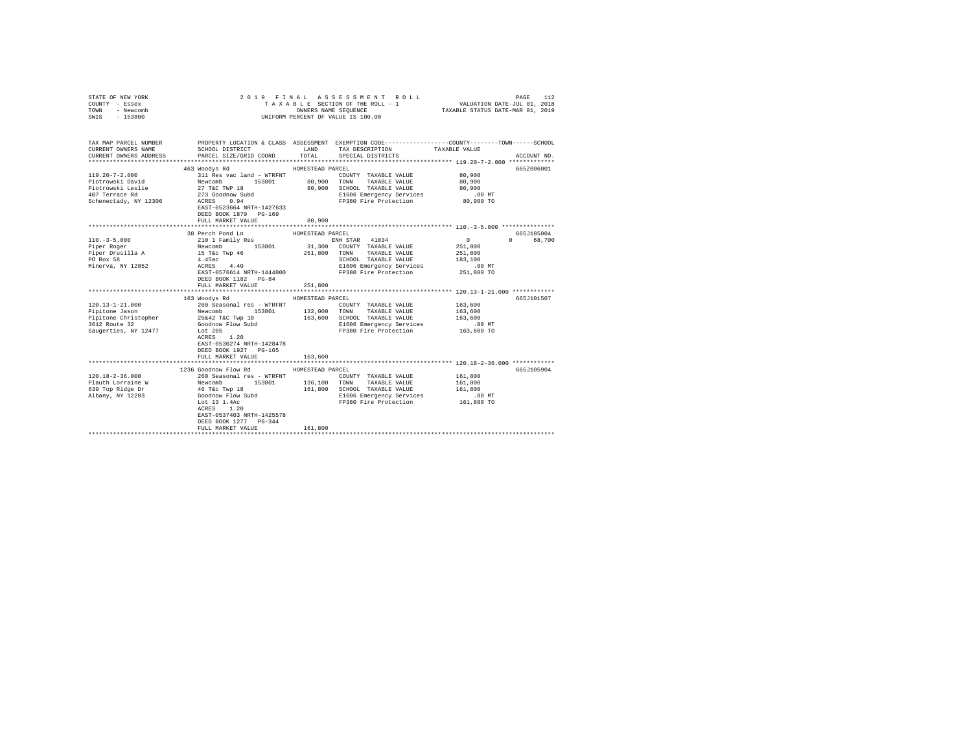| STATE OF NEW YORK<br>COUNTY - Essex<br>TOWN<br>- Newcomb<br>$-153800$<br>SWIS                            |                                                                                                                                                                                                                                       |                                        | 2019 FINAL ASSESSMENT ROLL<br>TAXABLE SECTION OF THE ROLL - 1<br>OWNERS NAME SEQUENCE<br>UNIFORM PERCENT OF VALUE IS 100.00                              | VALUATION DATE-JUL 01, 2018<br>TAXABLE STATUS DATE-MAR 01, 2019     | PAGE<br>112            |
|----------------------------------------------------------------------------------------------------------|---------------------------------------------------------------------------------------------------------------------------------------------------------------------------------------------------------------------------------------|----------------------------------------|----------------------------------------------------------------------------------------------------------------------------------------------------------|---------------------------------------------------------------------|------------------------|
| TAX MAP PARCEL NUMBER<br>CURRENT OWNERS NAME<br>CURRENT OWNERS ADDRESS                                   | SCHOOL DISTRICT LAND<br>PARCEL SIZE/GRID COORD TOTAL                                                                                                                                                                                  |                                        | PROPERTY LOCATION & CLASS ASSESSMENT EXEMPTION CODE---------------COUNTY-------TOWN------SCHOOL<br>TAX DESCRIPTION<br>SPECIAL DISTRICTS                  | TAXABLE VALUE                                                       | ACCOUNT NO.            |
| $119.20 - 7 - 2.000$<br>Piotrowski David<br>Piotrowski Leslie<br>407 Terrace Rd<br>Schenectady, NY 12306 | 463 Woodys Rd<br>311 Res vac land - WTRFNT<br>Newcomb 153801<br>27 T&C TWP 18<br>273 Goodnow Subd<br>Across 0.94<br>ACRES 0.94<br>EAST-0523664 NRTH-1427633<br>DEED BOOK 1879 PG-169<br>FULL MARKET VALUE                             | HOMESTEAD PARCEL<br>80,900             | COUNTY TAXABLE VALUE<br>80,900 TOWN TAXABLE VALUE<br>80,900 SCHOOL TAXABLE VALUE<br>E1606 Emergency Services<br>FP380 Fire Protection                    | 80,900<br>80,900<br>80,900<br>$.00$ MT<br>80,900 TO                 | 665Z006001             |
| $110. -3 - 5.000$<br>Piper Roger<br>Piper Drusilla A<br>PO Box 58<br>Minerva, NY 12852                   | 38 Perch Pond Ln<br>210 1 Family Res<br>Newcomb 153801<br>15 T&C Twp 46<br>4.45ac<br>ACRES 4.40<br>EAST-0576614 NRTH-1444800<br>DEED BOOK 1182 PG-84<br>FULL MARKET VALUE                                                             | HOMESTEAD PARCEL<br>251,800            | ENH STAR 41834<br>31,300 COUNTY TAXABLE VALUE<br>251,800 TOWN TAXABLE VALUE<br>SCHOOL TAXABLE VALUE<br>E1606 Emergency Services<br>FP380 Fire Protection | $\sim$ 0<br>251,800<br>251,800<br>183,100<br>$.00$ MT<br>251,800 TO | 665J185004<br>0 68,700 |
| $120.13 - 1 - 21.000$<br>Pipitone Jason<br>Pipitone Christopher<br>3612 Route 32<br>Saugerties, NY 12477 | 163 Woodys Rd<br>260 Seasonal res - WTRFNT<br>Newcomb 153801 132,000<br>25&42 T&C Twp 18 163,600<br>Goodnow Flow Subd<br>Lot 205<br>ACRES 1.20<br>EAST-0530274 NRTH-1428478<br>DEED BOOK 1927 PG-165<br>FULL MARKET VALUE             | HOMESTEAD PARCEL<br>163,600            | COUNTY TAXABLE VALUE<br>TOWN TAXABLE VALUE<br>163,600 SCHOOL TAXABLE VALUE<br>E1606 Emergency Services<br>FP380 Fire Protection                          | 163,600<br>163,600<br>163,600<br>$.00$ MT<br>163,600 TO             | 665J101507             |
| $120.18 - 2 - 36.000$<br>Plauth Lorraine W<br>639 Top Ridge Dr<br>Albany, NY 12203                       | 1236 Goodnow Flow Rd<br>260 Seasonal res - WTRFNT<br>153801<br>Newcomb<br>46 T&c Twp 18<br>Goodnow Flow Subd<br>Lot 13 1.4Ac<br>Lot 13 1.4Ac<br>ACRES 1.20<br>EAST-0537403 NRTH-1425578<br>DEED BOOK 1277 PG-344<br>FULL MARKET VALUE | HOMESTEAD PARCEL<br>136,100<br>161,800 | COUNTY TAXABLE VALUE<br>TOWN TAXABLE VALUE<br>161,800 SCHOOL TAXABLE VALUE<br>E1606 Emergency Services<br>FP380 Fire Protection 161,800 TO               | 161,800<br>161,800<br>161,800<br>$.00$ MT                           | 665J105904             |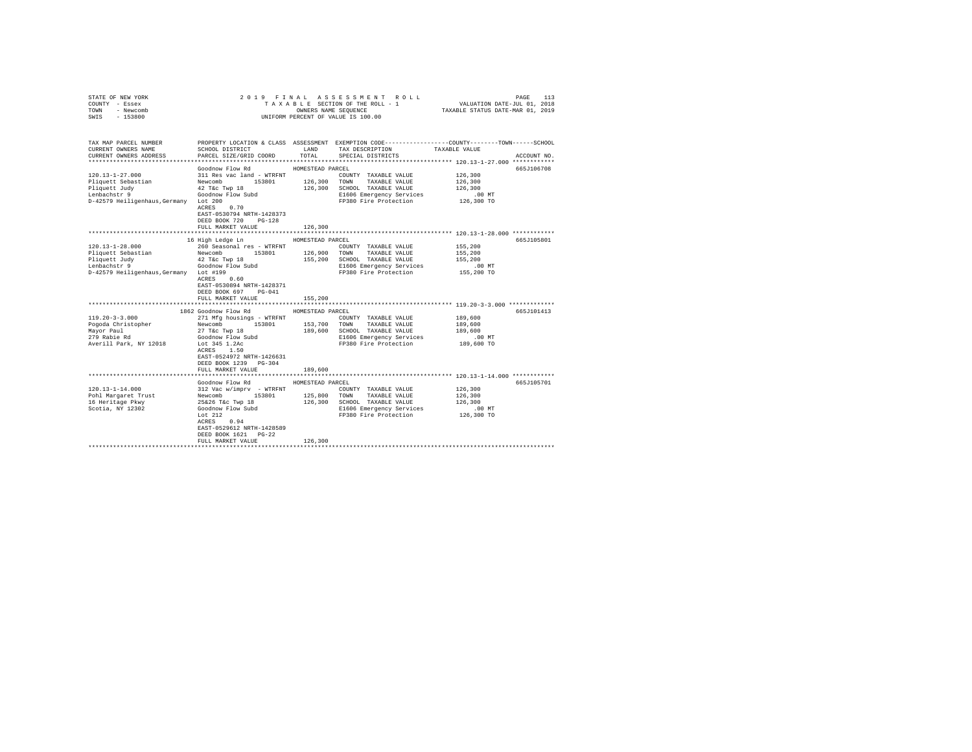| STATE OF NEW YORK                      |                                            |                  | 2019 FINAL ASSESSMENT ROLL                                                                      |                                                                 | PAGE<br>113 |
|----------------------------------------|--------------------------------------------|------------------|-------------------------------------------------------------------------------------------------|-----------------------------------------------------------------|-------------|
| COUNTY - Essex                         |                                            |                  | TAXABLE SECTION OF THE ROLL - 1                                                                 | VALUATION DATE-JUL 01, 2018<br>TAXABLE STATUS DATE-MAR 01, 2019 |             |
| TOWN<br>- Newcomb                      |                                            |                  | OWNERS NAME SEQUENCE                                                                            |                                                                 |             |
| $-153800$<br>SWIS                      |                                            |                  | UNIFORM PERCENT OF VALUE IS 100.00                                                              |                                                                 |             |
|                                        |                                            |                  |                                                                                                 |                                                                 |             |
|                                        |                                            |                  |                                                                                                 |                                                                 |             |
|                                        |                                            |                  |                                                                                                 |                                                                 |             |
| TAX MAP PARCEL NUMBER                  |                                            |                  | PROPERTY LOCATION & CLASS ASSESSMENT EXEMPTION CODE---------------COUNTY-------TOWN------SCHOOL |                                                                 |             |
| CURRENT OWNERS NAME                    | <b>EXAMPLE AND LAND</b><br>SCHOOL DISTRICT |                  | TAX DESCRIPTION TAXABLE VALUE                                                                   |                                                                 |             |
| CURRENT OWNERS ADDRESS                 | PARCEL SIZE/GRID COORD                     | TOTAL            | SPECIAL DISTRICTS                                                                               |                                                                 | ACCOUNT NO. |
|                                        |                                            |                  |                                                                                                 |                                                                 |             |
|                                        | Goodnow Flow Rd                            | HOMESTEAD PARCEL |                                                                                                 |                                                                 | 665J106708  |
| 120.13-1-27.000                        | 311 Res vac land - WTRFNT                  |                  | COUNTY TAXABLE VALUE                                                                            | 126,300                                                         |             |
| Pliquett Sebastian                     | Newcomb                                    |                  | 153801   126,300   TOWN   TAXABLE VALUE                                                         | 126,300                                                         |             |
| Pliquett Judy                          | $42$ T&c Twp $18$                          |                  | 126,300 SCHOOL TAXABLE VALUE                                                                    | 126,300                                                         |             |
| Lenbachstr 9                           | Goodnow Flow Subd                          |                  | E1606 Emergency Services                                                                        | $.00$ MT                                                        |             |
| D-42579 Heiligenhaus, Germany Lot 200  | ACRES 0.70                                 |                  | FP380 Fire Protection                                                                           | 126,300 TO                                                      |             |
|                                        |                                            |                  |                                                                                                 |                                                                 |             |
|                                        | EAST-0530794 NRTH-1428373                  |                  |                                                                                                 |                                                                 |             |
|                                        | DEED BOOK 720<br>$PG-128$                  |                  |                                                                                                 |                                                                 |             |
|                                        | FULL MARKET VALUE                          | 126,300          |                                                                                                 |                                                                 |             |
|                                        |                                            |                  |                                                                                                 |                                                                 |             |
|                                        | 16 High Ledge Ln                           | HOMESTEAD PARCEL |                                                                                                 |                                                                 | 665J105801  |
| $120.13 - 1 - 28.000$                  | 260 Seasonal res - WTRFNT                  |                  | COUNTY TAXABLE VALUE                                                                            | 155,200                                                         |             |
| Pliquett Sebastian                     | Newcomb 153801 126,900                     |                  | TOWN TAXABLE VALUE                                                                              | 155,200                                                         |             |
| Pliquett Judy<br>Lenbachstr 9          | 42 T&c Twp 18<br>Goodnow Flow Subd         |                  | 155,200 SCHOOL TAXABLE VALUE                                                                    | 155,200                                                         |             |
|                                        |                                            |                  | E1606 Emergency Services                                                                        | $.00$ MT                                                        |             |
| D-42579 Heiligenhaus, Germany Lot #199 | $ACRES$ 0.60                               |                  | FP380 Fire Protection                                                                           | 155,200 TO                                                      |             |
|                                        |                                            |                  |                                                                                                 |                                                                 |             |
|                                        | EAST-0530894 NRTH-1428371                  |                  |                                                                                                 |                                                                 |             |
|                                        | DEED BOOK 697 PG-041                       |                  |                                                                                                 |                                                                 |             |
|                                        | FULL MARKET VALUE                          | 155,200          |                                                                                                 |                                                                 |             |
|                                        | 1862 Goodnow Flow Rd                       | HOMESTEAD PARCEL |                                                                                                 |                                                                 | 665J101413  |
| $119.20 - 3 - 3.000$                   | 271 Mfg housings - WTRFNT                  |                  | COUNTY TAXABLE VALUE                                                                            | 189,600                                                         |             |
|                                        | 153801                                     |                  |                                                                                                 |                                                                 |             |
| Pogoda Christopher                     | Newcomb                                    |                  | 153,700 TOWN TAXABLE VALUE                                                                      | 189,600                                                         |             |
| Mavor Paul                             | 27 T&c Twp 18                              |                  | 189,600 SCHOOL TAXABLE VALUE                                                                    | 189,600                                                         |             |
| 279 Rabie Rd                           | Goodnow Flow Subd<br>Lot 345 1.2Ac         |                  | E1606 Emergency Services<br>FP380 Fire Protection                                               | $.00$ MT<br>189,600 TO                                          |             |
| Averill Park, NY 12018                 | ACRES 1.50                                 |                  |                                                                                                 |                                                                 |             |
|                                        | EAST-0524972 NRTH-1426631                  |                  |                                                                                                 |                                                                 |             |
|                                        | DEED BOOK 1239 PG-304                      |                  |                                                                                                 |                                                                 |             |
|                                        | FULL MARKET VALUE                          |                  |                                                                                                 |                                                                 |             |
|                                        |                                            | 189,600          |                                                                                                 | **************************** 120.13-1-14.000 ************       |             |
|                                        | Goodnow Flow Rd                            | HOMESTEAD PARCEL |                                                                                                 |                                                                 | 665J105701  |
| $120.13 - 1 - 14.000$                  | 312 Vac w/imprv - WTRFNT                   |                  | COUNTY TAXABLE VALUE                                                                            | 126,300                                                         |             |
| Pohl Margaret Trust                    | 153801                                     | 125,800          | TOWN TAXABLE VALUE                                                                              | 126,300                                                         |             |
| 16 Heritage Pkwy                       | Newcomb 153801<br>25&26 T&c Twp 18         |                  | 126,300 SCHOOL TAXABLE VALUE                                                                    | 126,300                                                         |             |
| Scotia, NY 12302                       |                                            |                  | E1606 Emergency Services                                                                        | $.00$ MT                                                        |             |
|                                        | Goodnow Flow Subd<br>Lot $212$             |                  | FP380 Fire Protection                                                                           | 126,300 TO                                                      |             |
|                                        | $ACRES$ 0.94                               |                  |                                                                                                 |                                                                 |             |
|                                        | EAST-0529612 NRTH-1428589                  |                  |                                                                                                 |                                                                 |             |
|                                        | DEED BOOK 1621 PG-22                       |                  |                                                                                                 |                                                                 |             |
|                                        | FULL MARKET VALUE                          | 126,300          |                                                                                                 |                                                                 |             |
|                                        |                                            |                  |                                                                                                 |                                                                 |             |
|                                        |                                            |                  |                                                                                                 |                                                                 |             |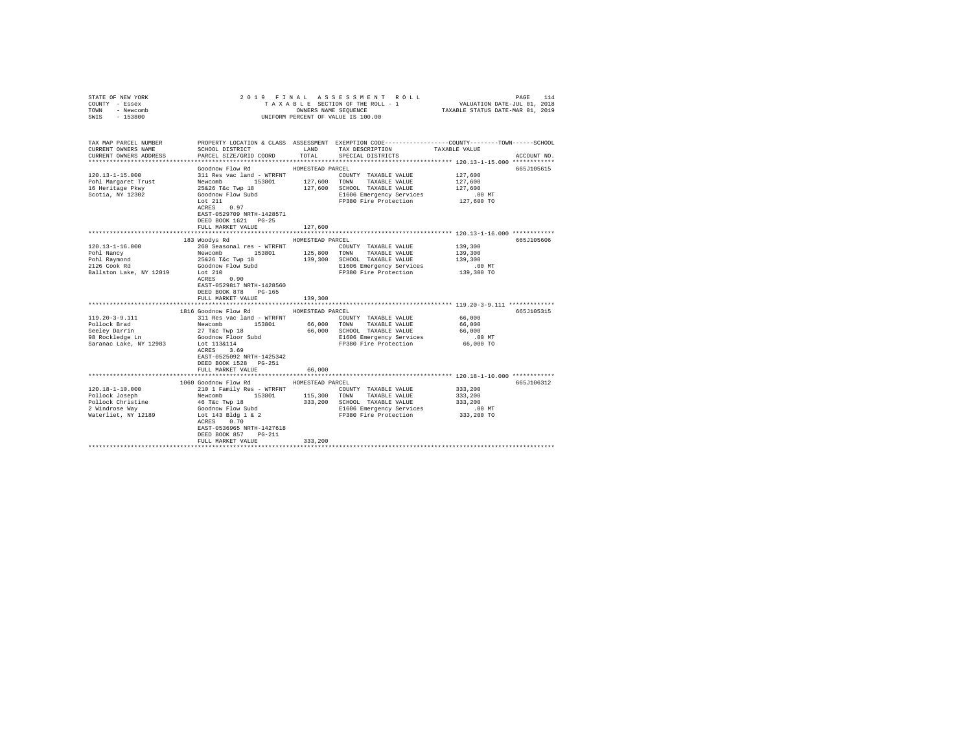| COUNTY - Essex<br>TOWN - Newcomb<br>SWIS - 153800                                                                                                                         |                                                                                                                                                                                                                                                                                                                                                                                      |                                                 | UNIFORM PERCENT OF VALUE IS 100.00                                                                                                                                                                                                |                                                                                       |                          |  |  |  |
|---------------------------------------------------------------------------------------------------------------------------------------------------------------------------|--------------------------------------------------------------------------------------------------------------------------------------------------------------------------------------------------------------------------------------------------------------------------------------------------------------------------------------------------------------------------------------|-------------------------------------------------|-----------------------------------------------------------------------------------------------------------------------------------------------------------------------------------------------------------------------------------|---------------------------------------------------------------------------------------|--------------------------|--|--|--|
| TAX MAP PARCEL NUMBER THE PROPERTY LOCATION & CLASS ASSESSMENT EXEMPTION CODE--------------COUNTY-------TOWN------SCHOOL<br>CURRENT OWNERS NAME<br>CURRENT OWNERS ADDRESS | SCHOOL DISTRICT<br>PARCEL SIZE/GRID COORD                                                                                                                                                                                                                                                                                                                                            | TOTAL                                           | LAND TAX DESCRIPTION<br>SPECIAL DISTRICTS                                                                                                                                                                                         | TAXABLE VALUE                                                                         | ACCOUNT NO.              |  |  |  |
| $120.13 - 1 - 15.000$<br>Pohl Margaret Trust<br>16 Heritage Pkwy<br>Scotia, NY 12302                                                                                      | Goodnow Flow Rd<br>311 Res vac land - WTRFNT<br>Newcomb 153801 127,600 TOWN TAXABLE VALUE<br>Newcomb 153801 127,600 SCHOOL TAXABLE VALUE<br>Goodnow Flow Subd 127,600 SCHOOL TAXABLE VALUE<br>Coodnow Flow Subd 1560 Emergency Services<br>Lot 211 FP380 Fi<br>Lot 211<br>ACRES 0.97<br>EAST-0529709 NRTH-1428571<br>DEED BOOK 1621   PG-25<br>FULL MARKET VALUE                     | HOMESTEAD PARCEL<br>127,600                     | E1606 Emergency Services<br>FP380 Fire Protection                                                                                                                                                                                 | 127,600<br>127,600<br>127,600<br>$.00$ MT<br>127,600 TO                               | 665J105615               |  |  |  |
|                                                                                                                                                                           |                                                                                                                                                                                                                                                                                                                                                                                      |                                                 |                                                                                                                                                                                                                                   | ************************* 120.13-1-16.000 ************                                |                          |  |  |  |
| $120.13 - 1 - 16.000$<br>Pohl Nancy<br>Pohl Raymond<br>2126 Cook Rd<br>Ballston Lake, NY 12019<br>119.20-3-9.111<br>Pollock Brad<br>Seeley Darrin<br>98 Rockledge Ln      | 183 Woodys Rd<br>260 Seasonal res - WTRFNT<br>Newcomb 153801<br>25&26 T&c Twp 18<br>Goodnow Flow Subd<br>Lot 210<br>ACRES 0.90<br>EAST-0529817 NRTH-1428560<br>DEED BOOK 878 PG-165<br>FULL MARKET VALUE<br>1816 Goodnow Flow Rd<br>311 Res vac land - WTRFNT COUNTY TAXABLE VALUE<br>Newcomb 153801 66,000 TOWN TAXABLE VALUE<br>27 T&c Twp 18<br>Goodnow Floor Subd<br>Lot 113&114 | HOMESTEAD PARCEL<br>139,300<br>HOMESTEAD PARCEL | COUNTY TAXABLE VALUE<br>125,800 TOWN TAXABLE VALUE<br>139,300 SCHOOL TAXABLE VALUE<br>E1606 Emergency Services<br>FP380 Fire Protection<br>COUNTY TAXABLE VALUE 66,000<br>66,000 SCHOOL TAXABLE VALUE<br>E1606 Emergency Services | 139,300<br>139,300<br>139,300<br>.00 MT<br>139,300 TO<br>66,000<br>66,000<br>$.00$ MT | 665J105606<br>665J105315 |  |  |  |
| Saranac Lake, NY 12983                                                                                                                                                    | ACRES 3.69<br>EAST-0525092 NRTH-1425342<br>DEED BOOK 1528 PG-251<br>FULL MARKET VALUE                                                                                                                                                                                                                                                                                                | 66,000                                          | FP380 Fire Protection                                                                                                                                                                                                             | 66,000 TO                                                                             |                          |  |  |  |
|                                                                                                                                                                           | 1060 Goodnow Flow Rd                                                                                                                                                                                                                                                                                                                                                                 | HOMESTEAD PARCEL                                |                                                                                                                                                                                                                                   |                                                                                       | 665J106312               |  |  |  |
| 120.18-1-10.000<br>Pollock Joseph<br>Pollock Christine<br>2 Windrose Wav<br>Waterliet, NY 12189                                                                           | 210 1 Family Res - WTRFNT<br>Newcomb 153801<br>46 T&C Twp 18<br>Goodnow Flow Subd<br>Lot 143 Bldg 1 & 2<br>ACRES 0.70<br>EAST-0536965 NRTH-1427618<br>DEED BOOK 857 PG-211                                                                                                                                                                                                           |                                                 | COUNTY TAXABLE VALUE<br>115,300 TOWN TAXABLE VALUE<br>333,200 SCHOOL TAXABLE VALUE<br>E1606 Emergency Services<br>FP380 Fire Protection 333,200 TO                                                                                | 333,200<br>333,200<br>333,200<br>$.00$ MT                                             |                          |  |  |  |
|                                                                                                                                                                           | FULL MARKET VALUE                                                                                                                                                                                                                                                                                                                                                                    | 333,200                                         |                                                                                                                                                                                                                                   |                                                                                       |                          |  |  |  |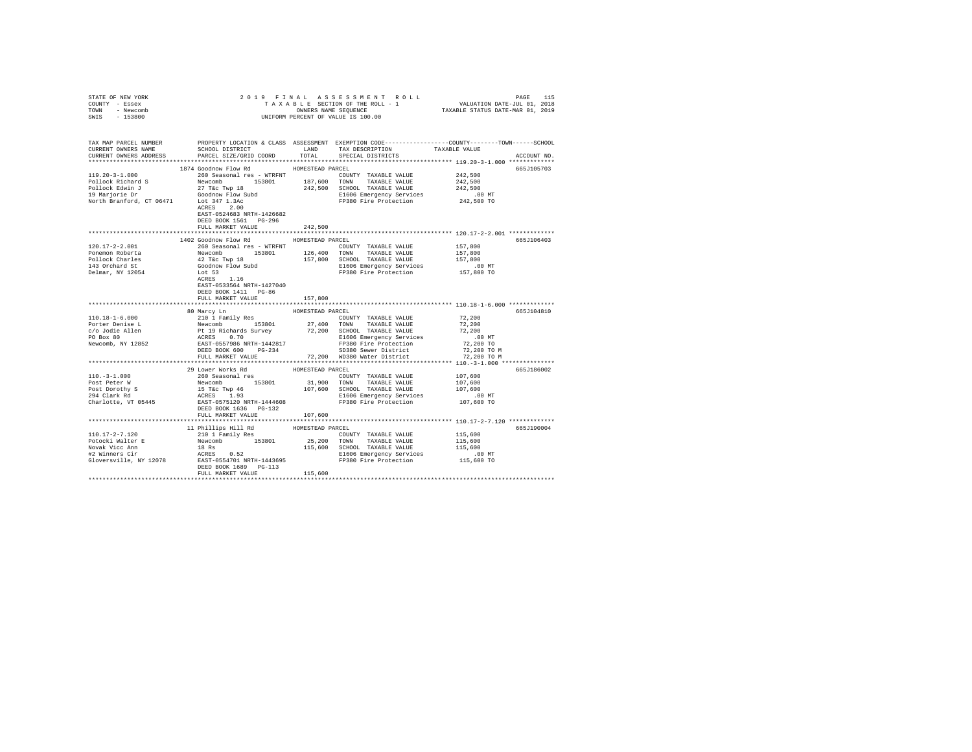| STATE OF NEW YORK                                                                                                                                                                                                                                                                                                                                                                                                                                                                          |                                                                                                                                                                                                                                            |                  |                                                                      |                      |             |
|--------------------------------------------------------------------------------------------------------------------------------------------------------------------------------------------------------------------------------------------------------------------------------------------------------------------------------------------------------------------------------------------------------------------------------------------------------------------------------------------|--------------------------------------------------------------------------------------------------------------------------------------------------------------------------------------------------------------------------------------------|------------------|----------------------------------------------------------------------|----------------------|-------------|
| COUNTY - Essex                                                                                                                                                                                                                                                                                                                                                                                                                                                                             |                                                                                                                                                                                                                                            |                  |                                                                      |                      |             |
| TOWN - Newcomb                                                                                                                                                                                                                                                                                                                                                                                                                                                                             |                                                                                                                                                                                                                                            |                  |                                                                      |                      |             |
| SWIS - 153800                                                                                                                                                                                                                                                                                                                                                                                                                                                                              |                                                                                                                                                                                                                                            |                  |                                                                      |                      |             |
|                                                                                                                                                                                                                                                                                                                                                                                                                                                                                            |                                                                                                                                                                                                                                            |                  |                                                                      |                      |             |
|                                                                                                                                                                                                                                                                                                                                                                                                                                                                                            |                                                                                                                                                                                                                                            |                  |                                                                      |                      |             |
|                                                                                                                                                                                                                                                                                                                                                                                                                                                                                            | TAX MAP PARCEL NUMBER PROPERTY LOCATION & CLASS ASSESSMENT EXEMPTION CODE--------------COUNTY-------TOWN-----SCHOOL                                                                                                                        |                  |                                                                      |                      |             |
| CURRENT OWNERS NAME                                                                                                                                                                                                                                                                                                                                                                                                                                                                        | SCHOOL DISTRICT LAND                                                                                                                                                                                                                       |                  | TAX DESCRIPTION TAXABLE VALUE                                        |                      |             |
| CURRENT OWNERS ADDRESS                                                                                                                                                                                                                                                                                                                                                                                                                                                                     | PARCEL SIZE/GRID COORD                                                                                                                                                                                                                     | TOTAL            | SPECIAL DISTRICTS                                                    |                      | ACCOUNT NO. |
|                                                                                                                                                                                                                                                                                                                                                                                                                                                                                            |                                                                                                                                                                                                                                            |                  |                                                                      |                      |             |
|                                                                                                                                                                                                                                                                                                                                                                                                                                                                                            | 1874 Goodnow Flow Rd                                                                                                                                                                                                                       | HOMESTEAD PARCEL |                                                                      |                      | 665J105703  |
| $119.20 - 3 - 1.000$                                                                                                                                                                                                                                                                                                                                                                                                                                                                       | 260 Seasonal res - WTRFNT                                                                                                                                                                                                                  |                  | COUNTY TAXABLE VALUE 242,500                                         |                      |             |
|                                                                                                                                                                                                                                                                                                                                                                                                                                                                                            |                                                                                                                                                                                                                                            |                  |                                                                      | 242,500              |             |
|                                                                                                                                                                                                                                                                                                                                                                                                                                                                                            |                                                                                                                                                                                                                                            |                  |                                                                      |                      |             |
|                                                                                                                                                                                                                                                                                                                                                                                                                                                                                            |                                                                                                                                                                                                                                            |                  |                                                                      | 242,500              |             |
|                                                                                                                                                                                                                                                                                                                                                                                                                                                                                            |                                                                                                                                                                                                                                            |                  | E1606 Emergency Services .00 MT<br>FP380 Fire Protection 242,500 TO  |                      |             |
| $\begin{tabular}{l c c c c c c c c} \multicolumn{1}{c}{\textbf{187.60}} & \multicolumn{1}{c}{\textbf{187.60}} & \multicolumn{1}{c}{\textbf{187.60}} & \multicolumn{1}{c}{\textbf{187.60}} & \multicolumn{1}{c}{\textbf{187.60}} & \multicolumn{1}{c}{\textbf{187.60}} & \multicolumn{1}{c}{\textbf{187.60}} & \multicolumn{1}{c}{\textbf{187.60}} & \multicolumn{1}{c}{\textbf{187.60}} & \multicolumn{1}{c$                                                                               |                                                                                                                                                                                                                                            |                  |                                                                      |                      |             |
|                                                                                                                                                                                                                                                                                                                                                                                                                                                                                            | ACRES 2.00                                                                                                                                                                                                                                 |                  |                                                                      |                      |             |
|                                                                                                                                                                                                                                                                                                                                                                                                                                                                                            | EAST-0524683 NRTH-1426682                                                                                                                                                                                                                  |                  |                                                                      |                      |             |
|                                                                                                                                                                                                                                                                                                                                                                                                                                                                                            | DEED BOOK 1561 PG-296                                                                                                                                                                                                                      |                  |                                                                      |                      |             |
|                                                                                                                                                                                                                                                                                                                                                                                                                                                                                            | FULL MARKET VALUE                                                                                                                                                                                                                          | 242,500          |                                                                      |                      |             |
|                                                                                                                                                                                                                                                                                                                                                                                                                                                                                            |                                                                                                                                                                                                                                            |                  |                                                                      |                      |             |
|                                                                                                                                                                                                                                                                                                                                                                                                                                                                                            | 1402 Goodnow Flow Rd                                                                                                                                                                                                                       | HOMESTEAD PARCEL |                                                                      |                      | 665J106403  |
| 120.17-2-2.001                                                                                                                                                                                                                                                                                                                                                                                                                                                                             | 260 Seasonal res - WTRFNT                                                                                                                                                                                                                  |                  | COUNTY TAXABLE VALUE                                                 | 157,800              |             |
| Ponemon Roberta                                                                                                                                                                                                                                                                                                                                                                                                                                                                            |                                                                                                                                                                                                                                            |                  |                                                                      | 157,800              |             |
|                                                                                                                                                                                                                                                                                                                                                                                                                                                                                            |                                                                                                                                                                                                                                            |                  | 157,800 SCHOOL TAXABLE VALUE                                         | 157,800              |             |
| Pollock Charles<br>143 Orchard St                                                                                                                                                                                                                                                                                                                                                                                                                                                          | -volument and the matrix<br>Newcomb 153801 126,400 TONN TAXABLE VALUE<br>42 Tác Twp 18 157,800 SCHOOL TAXABLE VALUE<br>600dnow Flow Subd 157,800 SCHOOL TAXABLE VALUE<br>1606 Emergency Services<br>1.16 FP380 Fire Protection<br>ACRES 1. |                  |                                                                      |                      |             |
|                                                                                                                                                                                                                                                                                                                                                                                                                                                                                            |                                                                                                                                                                                                                                            |                  | E1606 Emergency Services 6.00 MT<br>FP380 Fire Protection 157,800 TO |                      |             |
| Delmar, NY 12054                                                                                                                                                                                                                                                                                                                                                                                                                                                                           |                                                                                                                                                                                                                                            |                  |                                                                      |                      |             |
|                                                                                                                                                                                                                                                                                                                                                                                                                                                                                            |                                                                                                                                                                                                                                            |                  |                                                                      |                      |             |
|                                                                                                                                                                                                                                                                                                                                                                                                                                                                                            | EAST-0533564 NRTH-1427040                                                                                                                                                                                                                  |                  |                                                                      |                      |             |
|                                                                                                                                                                                                                                                                                                                                                                                                                                                                                            | DEED BOOK 1411 PG-86                                                                                                                                                                                                                       |                  |                                                                      |                      |             |
|                                                                                                                                                                                                                                                                                                                                                                                                                                                                                            | FULL MARKET VALUE                                                                                                                                                                                                                          | 157,800          |                                                                      |                      |             |
|                                                                                                                                                                                                                                                                                                                                                                                                                                                                                            |                                                                                                                                                                                                                                            |                  |                                                                      |                      |             |
|                                                                                                                                                                                                                                                                                                                                                                                                                                                                                            | 80 Marcy Ln                                                                                                                                                                                                                                | HOMESTEAD PARCEL |                                                                      |                      | 665J104810  |
|                                                                                                                                                                                                                                                                                                                                                                                                                                                                                            |                                                                                                                                                                                                                                            |                  |                                                                      | 72,200               |             |
|                                                                                                                                                                                                                                                                                                                                                                                                                                                                                            |                                                                                                                                                                                                                                            |                  |                                                                      | 72,200               |             |
|                                                                                                                                                                                                                                                                                                                                                                                                                                                                                            |                                                                                                                                                                                                                                            |                  |                                                                      | 72,200               |             |
|                                                                                                                                                                                                                                                                                                                                                                                                                                                                                            |                                                                                                                                                                                                                                            |                  |                                                                      | $.00$ MT             |             |
|                                                                                                                                                                                                                                                                                                                                                                                                                                                                                            |                                                                                                                                                                                                                                            |                  |                                                                      | 72,200 TO            |             |
|                                                                                                                                                                                                                                                                                                                                                                                                                                                                                            |                                                                                                                                                                                                                                            |                  |                                                                      | 72,200 TO M          |             |
|                                                                                                                                                                                                                                                                                                                                                                                                                                                                                            |                                                                                                                                                                                                                                            |                  |                                                                      |                      |             |
|                                                                                                                                                                                                                                                                                                                                                                                                                                                                                            |                                                                                                                                                                                                                                            |                  |                                                                      | 72,200 TO M          |             |
|                                                                                                                                                                                                                                                                                                                                                                                                                                                                                            |                                                                                                                                                                                                                                            |                  |                                                                      |                      |             |
|                                                                                                                                                                                                                                                                                                                                                                                                                                                                                            | 29 Lower Works Rd                                                                                                                                                                                                                          | HOMESTEAD PARCEL |                                                                      |                      | 665J186002  |
|                                                                                                                                                                                                                                                                                                                                                                                                                                                                                            |                                                                                                                                                                                                                                            |                  |                                                                      |                      |             |
|                                                                                                                                                                                                                                                                                                                                                                                                                                                                                            |                                                                                                                                                                                                                                            |                  |                                                                      |                      |             |
| $\text{Post} \xspace = \text{Poisson} \xspace \begin{array}{c} \text{Poisson} \\ \text{101.}-3-1.000 \\ \text{Post} \xspace = \text{Poisson} \xspace \end{array} \xspace \begin{array}{c} \text{Poisson} \\ \text{102.0} \\ \text{New} \xspace = \text{Poisson} \xspace \end{array} \xspace \begin{array}{c} \text{Roisson} \\ \text{11.0} \\ \text{12.0} \\ \text{New} \xspace = \text{Poisson} \xspace \end{array} \xspace \begin{array}{c} \text{Roisson} \\ \text{11.0} \\ \text{12.0$ |                                                                                                                                                                                                                                            |                  |                                                                      |                      |             |
|                                                                                                                                                                                                                                                                                                                                                                                                                                                                                            |                                                                                                                                                                                                                                            |                  |                                                                      |                      |             |
|                                                                                                                                                                                                                                                                                                                                                                                                                                                                                            |                                                                                                                                                                                                                                            |                  |                                                                      |                      |             |
|                                                                                                                                                                                                                                                                                                                                                                                                                                                                                            | DEED BOOK 1636 PG-132                                                                                                                                                                                                                      |                  |                                                                      |                      |             |
|                                                                                                                                                                                                                                                                                                                                                                                                                                                                                            | FULL MARKET VALUE                                                                                                                                                                                                                          | 107,600          |                                                                      |                      |             |
|                                                                                                                                                                                                                                                                                                                                                                                                                                                                                            |                                                                                                                                                                                                                                            |                  |                                                                      |                      |             |
|                                                                                                                                                                                                                                                                                                                                                                                                                                                                                            |                                                                                                                                                                                                                                            |                  |                                                                      |                      |             |
| $[10.17-2-7.120 \t\t 11 \t 10.17-2-7.120 \t\t 10.17-2-7.120 \t\t 11 \t 10.17-2-7.120 \t\t 10.12 \t 10.12 \t 10.12 \t 10.12 \t 10.12 \t 10.12 \t 10.12 \t 10.12 \t 10.12 \t 10.12 \t 10.12 \t 10.12 \t 10.12 \t 10.12 \t 10.12 \t 10.12 \t 10.12 \t 10.12$                                                                                                                                                                                                                                  |                                                                                                                                                                                                                                            |                  |                                                                      |                      | 665J190004  |
|                                                                                                                                                                                                                                                                                                                                                                                                                                                                                            |                                                                                                                                                                                                                                            |                  |                                                                      | 115,600              |             |
|                                                                                                                                                                                                                                                                                                                                                                                                                                                                                            |                                                                                                                                                                                                                                            |                  |                                                                      | 115,600              |             |
|                                                                                                                                                                                                                                                                                                                                                                                                                                                                                            |                                                                                                                                                                                                                                            |                  |                                                                      | 115,600              |             |
|                                                                                                                                                                                                                                                                                                                                                                                                                                                                                            |                                                                                                                                                                                                                                            |                  |                                                                      | 00 MT.<br>115,600 TO |             |
|                                                                                                                                                                                                                                                                                                                                                                                                                                                                                            |                                                                                                                                                                                                                                            |                  |                                                                      |                      |             |
|                                                                                                                                                                                                                                                                                                                                                                                                                                                                                            |                                                                                                                                                                                                                                            |                  |                                                                      |                      |             |
|                                                                                                                                                                                                                                                                                                                                                                                                                                                                                            | FULL MARKET VALUE                                                                                                                                                                                                                          | 115,600          |                                                                      |                      |             |
|                                                                                                                                                                                                                                                                                                                                                                                                                                                                                            |                                                                                                                                                                                                                                            |                  |                                                                      |                      |             |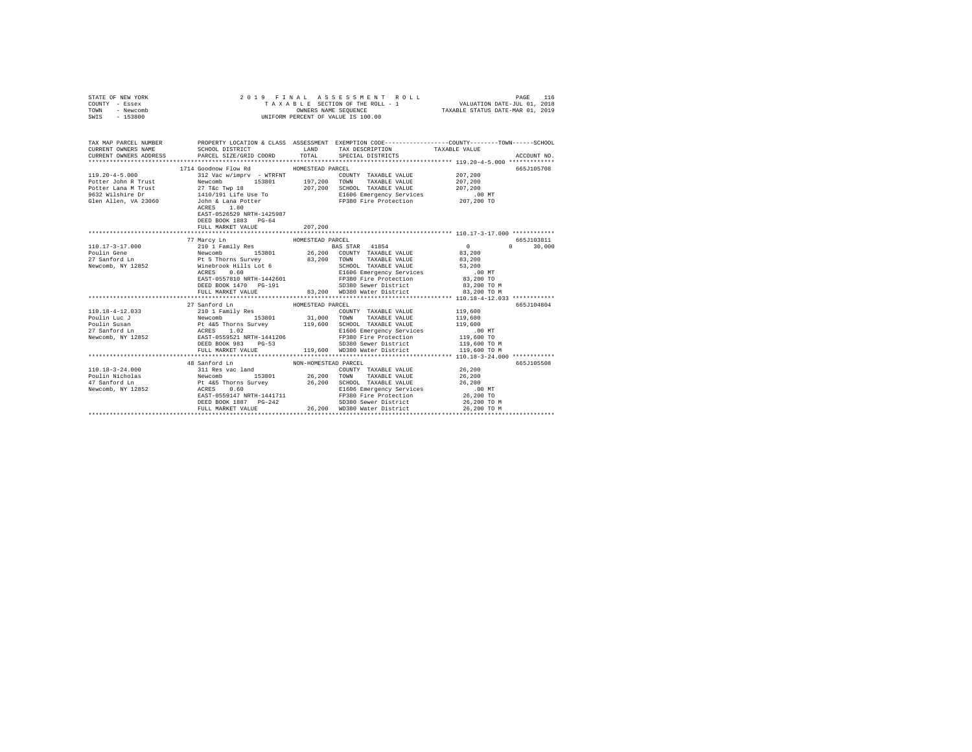| STATE OF NEW YORK<br>COUNTY - Essex<br>TOWN - Newcomb<br>SWIS - 153800 | 2019 FINAL                                                                                                   | ASSESSMENT ROLL<br>T A X A B L E SECTION OF THE ROLL - 1<br>OWNERS NAME SEQUENCE<br>UNIFORM PERCENT OF VALUE IS 100.00                                                                                                                                                                                                                                          | PAGE 116<br>VALUATION DATE-JUL 01, 2018<br>TAXABLE STATUS DATE-MAR 01, 2019                                                           |
|------------------------------------------------------------------------|--------------------------------------------------------------------------------------------------------------|-----------------------------------------------------------------------------------------------------------------------------------------------------------------------------------------------------------------------------------------------------------------------------------------------------------------------------------------------------------------|---------------------------------------------------------------------------------------------------------------------------------------|
| CURRENT OWNERS NAME<br>CURRENT OWNERS ADDRESS                          | PARCEL SIZE/GRID COORD TOTAL                                                                                 | TAX MAP PARCEL NUMBER PROPERTY LOCATION & CLASS ASSESSMENT EXEMPTION CODE--------------COUNTY-------TOWN------SCHOOL<br>SCHOOL DISTRICT TAND TAX DESCRIPTION<br>SPECIAL DISTRICTS                                                                                                                                                                               | TAXABLE VALUE<br>ACCOUNT NO.                                                                                                          |
|                                                                        | 1714 Goodnow Flow Rd<br>ACRES 1.80<br>EAST-0526529 NRTH-1425987<br>DEED BOOK 1883 PG-64<br>FULL MARKET VALUE | HOMESTEAD PARCEL<br>COUNTY TAXABLE VALUE 207,200<br>E1606 Emergency Services<br>FP380 Fire Protection<br>207,200                                                                                                                                                                                                                                                | 665J105708<br>207,200<br>207,200<br>.00 MT<br>207,200 TO                                                                              |
| 110.17-3-17.000<br>Poulin Gene<br>27 Sanford Ln<br>Newcomb, NY 12852   | DEED BOOK 1470 PG-191<br>FULL MARKET VALUE                                                                   | 83,200 WD380 Water District                                                                                                                                                                                                                                                                                                                                     | 665J103811<br>$\sim$ 0 $\sim$ 0<br>$0 \t 30,000$<br>83,200<br>83,200<br>53,200<br>$.00$ MT<br>83,200 TO<br>83,200 TO M<br>83,200 TO M |
|                                                                        | 27 Sanford Ln                                                                                                | HOMESTEAD PARCEL<br>$\begin{tabular}{l c c c c c} \hline 110.18-4-12.033 & 2010118cm & 201018cm & 201018cm & 20108cm & 20108cm & 20108cm & 20108cm & 20108cm & 20108cm & 20108cm & 20108cm & 20108cm & 20108cm & 20108cm & 20108cm & 20108cm & 20108cm & 20108cm & 20108cm & 20108cm & 20108cm & 20108cm & 2$<br>FULL MARKET VALUE 119,600 WD380 Water District | 665J104804<br>119,600<br>119,600<br>119,600<br>.00 MT<br>119,600 TO<br>119,600 TO M<br>119,600 TO M                                   |
|                                                                        | 48 Sanford Ln                                                                                                | NON-HOMESTEAD PARCEL<br>EAST-USSS-FR WARE FOR SERVICE SERVICE SERVICE SERVICE SERVICE SERVICE SERVICE SERVICE SERVICE SERVICE SERVICE SERVICE SERVICE SERVICE SERVICE SERVICE SERVICE SERVICE SERVICE SERVICE SERVICE SERVICE SERVICE SERVICE SERVICE<br>SD380 Sewer District                                                                                   | 665J105508<br>26,200 TO M                                                                                                             |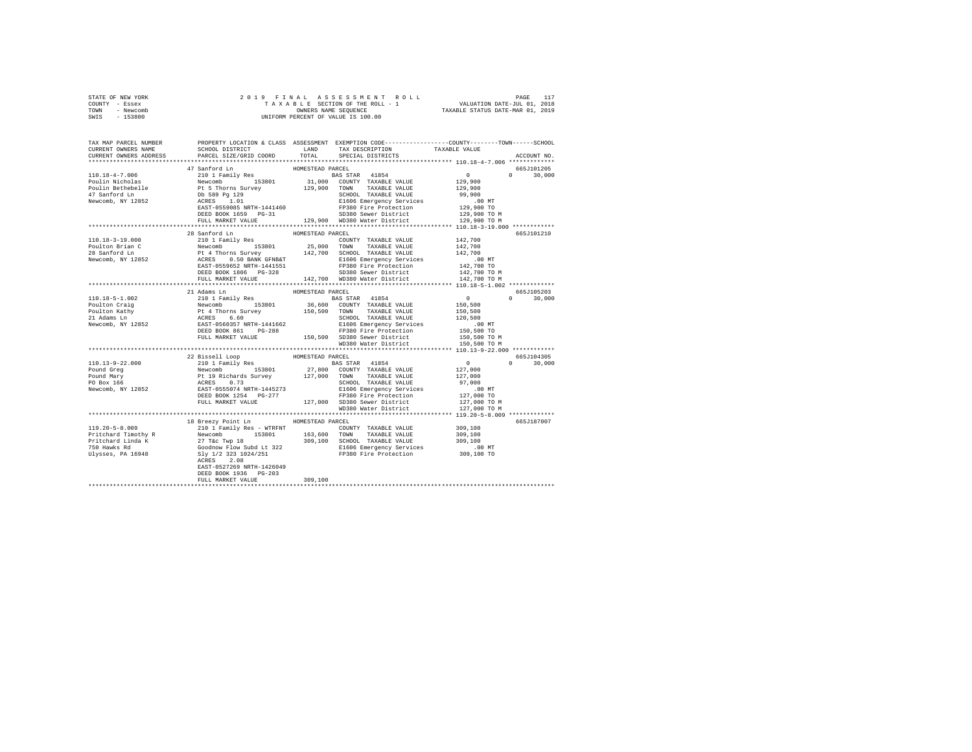|                | STATE OF NEW YORK |  |  |  |  | 2019 FINAL ASSESSMENT ROLL                                     | PAGE | 117 |
|----------------|-------------------|--|--|--|--|----------------------------------------------------------------|------|-----|
| COUNTY - Essex |                   |  |  |  |  | VALUATION DATE-JUL 01, 2018<br>TAXABLE SECTION OF THE ROLL - 1 |      |     |
| TOWN           | - Newcomb         |  |  |  |  | TAXABLE STATUS DATE-MAR 01, 2019<br>OWNERS NAME SEOUENCE       |      |     |
| SWIS           | $-153800$         |  |  |  |  | UNIFORM PERCENT OF VALUE IS 100.00                             |      |     |

| TAX MAP PARCEL NUMBER<br>CURRENT OWNERS NAME                                                                                                                                                                                                                                                                                                                                                                       | PROPERTY LOCATION & CLASS ASSESSMENT EXEMPTION CODE----------------COUNTY-------TOWN-----SCHOOL<br>SCHOOL DISTRICT |                  | LAND TAX DESCRIPTION                                                                                                                                                                           | TAXABLE VALUE                        |                             |
|--------------------------------------------------------------------------------------------------------------------------------------------------------------------------------------------------------------------------------------------------------------------------------------------------------------------------------------------------------------------------------------------------------------------|--------------------------------------------------------------------------------------------------------------------|------------------|------------------------------------------------------------------------------------------------------------------------------------------------------------------------------------------------|--------------------------------------|-----------------------------|
| CURRENT OWNERS ADDRESS                                                                                                                                                                                                                                                                                                                                                                                             | PARCEL SIZE/GRID COORD                                                                                             |                  | TOTAL SPECIAL DISTRICTS                                                                                                                                                                        |                                      | ACCOUNT NO.                 |
|                                                                                                                                                                                                                                                                                                                                                                                                                    |                                                                                                                    |                  |                                                                                                                                                                                                |                                      |                             |
|                                                                                                                                                                                                                                                                                                                                                                                                                    | 47 Sanford Ln                                                                                                      | HOMESTEAD PARCEL |                                                                                                                                                                                                |                                      | 665J101205                  |
| $\begin{tabular}{l c c c c c} \hline 110.18-4-7.006 & \multicolumn{3}{c}{210.118}\begin{tabular}{l c c c} \multicolumn{3}{c}{\textbf{210.118}\begin{tabular}{l c c c} \multicolumn{3}{c}{\textbf{210.118}\begin{tabular}{l c c} \multicolumn{3}{c}{\textbf{210.118}\begin{tabular}{l c} \multicolumn{3}{c}{\textbf{210.118}\begin{tabular}{l c} \multicolumn{3}{c}{\textbf{210.128}\begin{tabular}{l$              |                                                                                                                    |                  |                                                                                                                                                                                                | $\mathbf{0}$                         | $0 \qquad \qquad$<br>30,000 |
|                                                                                                                                                                                                                                                                                                                                                                                                                    |                                                                                                                    |                  |                                                                                                                                                                                                |                                      |                             |
|                                                                                                                                                                                                                                                                                                                                                                                                                    |                                                                                                                    |                  |                                                                                                                                                                                                | 129,900<br>129,900                   |                             |
|                                                                                                                                                                                                                                                                                                                                                                                                                    |                                                                                                                    |                  |                                                                                                                                                                                                |                                      |                             |
|                                                                                                                                                                                                                                                                                                                                                                                                                    |                                                                                                                    |                  |                                                                                                                                                                                                | 99,900                               |                             |
|                                                                                                                                                                                                                                                                                                                                                                                                                    |                                                                                                                    |                  |                                                                                                                                                                                                |                                      |                             |
|                                                                                                                                                                                                                                                                                                                                                                                                                    |                                                                                                                    |                  |                                                                                                                                                                                                |                                      |                             |
|                                                                                                                                                                                                                                                                                                                                                                                                                    | DEED BOOK 1659 PG-31                                                                                               |                  |                                                                                                                                                                                                |                                      |                             |
|                                                                                                                                                                                                                                                                                                                                                                                                                    | FULL MARKET VALUE                                                                                                  |                  | E1606 Emergency Services<br>FI606 Emergency Services<br>FI606 Emergency Services<br>SD380 Sewer District<br>129,900 TO MD380 Water District<br>129,900 TO MD380 Water District<br>129,900 TO M |                                      |                             |
|                                                                                                                                                                                                                                                                                                                                                                                                                    |                                                                                                                    |                  |                                                                                                                                                                                                |                                      |                             |
|                                                                                                                                                                                                                                                                                                                                                                                                                    | 28 Sanford Ln                                                                                                      | HOMESTEAD PARCEL |                                                                                                                                                                                                |                                      | 665J101210                  |
| 110.18-3-19.000                                                                                                                                                                                                                                                                                                                                                                                                    | 210 1 Family Res                                                                                                   |                  | COUNTY TAXABLE VALUE 142,700                                                                                                                                                                   |                                      |                             |
|                                                                                                                                                                                                                                                                                                                                                                                                                    |                                                                                                                    |                  |                                                                                                                                                                                                |                                      |                             |
| Poulton Brian C<br>28 Sanford Ln                                                                                                                                                                                                                                                                                                                                                                                   |                                                                                                                    |                  |                                                                                                                                                                                                | 142,700<br>142,700                   |                             |
| Newcomb, NY 12852                                                                                                                                                                                                                                                                                                                                                                                                  |                                                                                                                    |                  |                                                                                                                                                                                                | .00 MT                               |                             |
|                                                                                                                                                                                                                                                                                                                                                                                                                    |                                                                                                                    |                  |                                                                                                                                                                                                |                                      |                             |
|                                                                                                                                                                                                                                                                                                                                                                                                                    |                                                                                                                    |                  |                                                                                                                                                                                                | 00 MT.<br>142,700 TO<br>142,700 TO M |                             |
|                                                                                                                                                                                                                                                                                                                                                                                                                    |                                                                                                                    |                  |                                                                                                                                                                                                |                                      |                             |
|                                                                                                                                                                                                                                                                                                                                                                                                                    | FULL MARKET VALUE                                                                                                  |                  | 142.700 WD380 Water District                                                                                                                                                                   | 142,700 TO M                         |                             |
|                                                                                                                                                                                                                                                                                                                                                                                                                    |                                                                                                                    |                  |                                                                                                                                                                                                |                                      |                             |
|                                                                                                                                                                                                                                                                                                                                                                                                                    | 21 Adams Ln                                                                                                        | HOMESTEAD PARCEL |                                                                                                                                                                                                |                                      | 665J105203                  |
|                                                                                                                                                                                                                                                                                                                                                                                                                    |                                                                                                                    |                  | BAS STAR 41854 0<br>36,600 COUNTY TAXABLE VALUE 150,500                                                                                                                                        |                                      | $0 \t 30.000$               |
|                                                                                                                                                                                                                                                                                                                                                                                                                    |                                                                                                                    |                  |                                                                                                                                                                                                |                                      |                             |
|                                                                                                                                                                                                                                                                                                                                                                                                                    |                                                                                                                    |                  |                                                                                                                                                                                                | 150,500                              |                             |
|                                                                                                                                                                                                                                                                                                                                                                                                                    |                                                                                                                    |                  | SCHOOL TAXABLE VALUE 120,500                                                                                                                                                                   |                                      |                             |
|                                                                                                                                                                                                                                                                                                                                                                                                                    |                                                                                                                    |                  |                                                                                                                                                                                                | .00 MT                               |                             |
|                                                                                                                                                                                                                                                                                                                                                                                                                    | DEED BOOK 861 PG-288<br>FIGURE PROCESSES PG-288<br>FULL MARKET VALUE 150,500 SD380 Sewer District                  |                  |                                                                                                                                                                                                | 150,500 TO<br>150,500 TO M           |                             |
|                                                                                                                                                                                                                                                                                                                                                                                                                    |                                                                                                                    |                  |                                                                                                                                                                                                |                                      |                             |
|                                                                                                                                                                                                                                                                                                                                                                                                                    |                                                                                                                    |                  | WD380 Water District                                                                                                                                                                           | 150,500 TO M                         |                             |
|                                                                                                                                                                                                                                                                                                                                                                                                                    |                                                                                                                    |                  |                                                                                                                                                                                                |                                      |                             |
|                                                                                                                                                                                                                                                                                                                                                                                                                    | 22 Bissell Loop                                                                                                    | HOMESTEAD PARCEL |                                                                                                                                                                                                |                                      | 665J104305                  |
|                                                                                                                                                                                                                                                                                                                                                                                                                    |                                                                                                                    |                  |                                                                                                                                                                                                |                                      | $0 \t 30,000$               |
|                                                                                                                                                                                                                                                                                                                                                                                                                    |                                                                                                                    |                  |                                                                                                                                                                                                |                                      |                             |
|                                                                                                                                                                                                                                                                                                                                                                                                                    |                                                                                                                    |                  |                                                                                                                                                                                                |                                      |                             |
|                                                                                                                                                                                                                                                                                                                                                                                                                    |                                                                                                                    |                  |                                                                                                                                                                                                |                                      |                             |
|                                                                                                                                                                                                                                                                                                                                                                                                                    |                                                                                                                    |                  |                                                                                                                                                                                                |                                      |                             |
|                                                                                                                                                                                                                                                                                                                                                                                                                    |                                                                                                                    |                  |                                                                                                                                                                                                |                                      |                             |
|                                                                                                                                                                                                                                                                                                                                                                                                                    |                                                                                                                    |                  |                                                                                                                                                                                                |                                      |                             |
|                                                                                                                                                                                                                                                                                                                                                                                                                    |                                                                                                                    |                  |                                                                                                                                                                                                |                                      |                             |
| $\begin{tabular}{c c c c} \hline 110.13-9-22.000 & 221\text{ is small Loop} & \text{HOMESTERD PARETL} & \text{ROS STERP} & \text{RAS STAR} & 41\text{B}54 & 0 \\ \hline \text{Pound Reg} & \text{Newton} & 153\text{B}01 & 27,000 & \text{COMINT TARABLE VALUE} & 127,000 \\ \text{Pound Marg} & \text{Newton} & 153\text{B}01 & 27,000 & \text{COMNT TARABLE VALUE} & 127,000 \\ \text{PO Box 166} & \text{ACRES$ |                                                                                                                    |                  |                                                                                                                                                                                                |                                      |                             |
|                                                                                                                                                                                                                                                                                                                                                                                                                    |                                                                                                                    |                  |                                                                                                                                                                                                |                                      |                             |
|                                                                                                                                                                                                                                                                                                                                                                                                                    | 18 Breezy Point Ln MOMESTEAD PARCEL                                                                                |                  |                                                                                                                                                                                                |                                      | 665J187007                  |
|                                                                                                                                                                                                                                                                                                                                                                                                                    |                                                                                                                    |                  |                                                                                                                                                                                                |                                      |                             |
|                                                                                                                                                                                                                                                                                                                                                                                                                    |                                                                                                                    |                  |                                                                                                                                                                                                |                                      |                             |
|                                                                                                                                                                                                                                                                                                                                                                                                                    |                                                                                                                    |                  |                                                                                                                                                                                                |                                      |                             |
|                                                                                                                                                                                                                                                                                                                                                                                                                    |                                                                                                                    |                  |                                                                                                                                                                                                |                                      |                             |
|                                                                                                                                                                                                                                                                                                                                                                                                                    |                                                                                                                    |                  |                                                                                                                                                                                                |                                      |                             |
|                                                                                                                                                                                                                                                                                                                                                                                                                    |                                                                                                                    |                  |                                                                                                                                                                                                |                                      |                             |
|                                                                                                                                                                                                                                                                                                                                                                                                                    | EAST-0527269 NRTH-1426049                                                                                          |                  |                                                                                                                                                                                                |                                      |                             |
|                                                                                                                                                                                                                                                                                                                                                                                                                    | DEED BOOK 1936 PG-203                                                                                              |                  |                                                                                                                                                                                                |                                      |                             |
|                                                                                                                                                                                                                                                                                                                                                                                                                    | FULL MARKET VALUE                                                                                                  | 309,100          |                                                                                                                                                                                                |                                      |                             |
|                                                                                                                                                                                                                                                                                                                                                                                                                    |                                                                                                                    |                  |                                                                                                                                                                                                |                                      |                             |
|                                                                                                                                                                                                                                                                                                                                                                                                                    |                                                                                                                    |                  |                                                                                                                                                                                                |                                      |                             |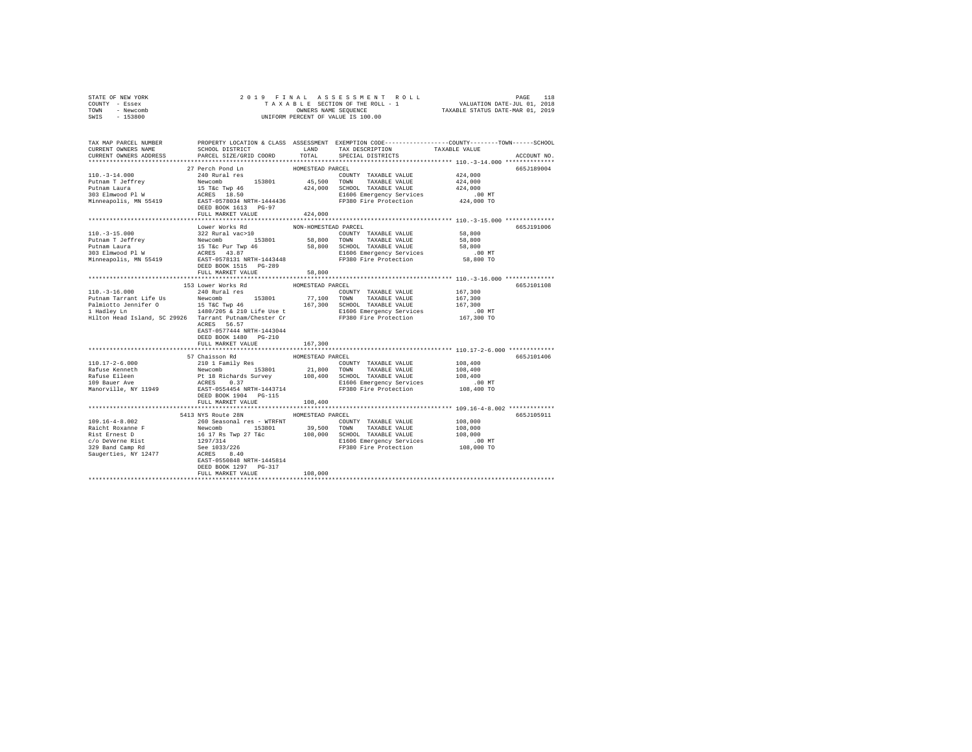| STATE OF NEW YORK                                                                                                                                                                                                                                                     |                                     |                      |                                                                 |                                                           |             |
|-----------------------------------------------------------------------------------------------------------------------------------------------------------------------------------------------------------------------------------------------------------------------|-------------------------------------|----------------------|-----------------------------------------------------------------|-----------------------------------------------------------|-------------|
| COUNTY - Essex                                                                                                                                                                                                                                                        |                                     |                      |                                                                 |                                                           |             |
| TOWN - Newcomb                                                                                                                                                                                                                                                        |                                     |                      |                                                                 |                                                           |             |
| SWIS - 153800                                                                                                                                                                                                                                                         |                                     |                      |                                                                 |                                                           |             |
|                                                                                                                                                                                                                                                                       |                                     |                      |                                                                 |                                                           |             |
|                                                                                                                                                                                                                                                                       |                                     |                      |                                                                 |                                                           |             |
| TAX MAP PARCEL NUMBER PROPERTY LOCATION & CLASS ASSESSMENT EXEMPTION CODE--------------COUNTY-------TOWN------SCHOOL                                                                                                                                                  |                                     |                      |                                                                 |                                                           |             |
| CURRENT OWNERS NAME                                                                                                                                                                                                                                                   | SCHOOL DISTRICT                     | LAND                 | TAX DESCRIPTION                                                 | TAXABLE VALUE                                             |             |
| CURRENT OWNERS ADDRESS                                                                                                                                                                                                                                                | PARCEL SIZE/GRID COORD              | TOTAL                | SPECIAL DISTRICTS                                               |                                                           | ACCOUNT NO. |
|                                                                                                                                                                                                                                                                       |                                     |                      |                                                                 |                                                           |             |
|                                                                                                                                                                                                                                                                       | 27 Perch Pond Ln                    | HOMESTEAD PARCEL     |                                                                 |                                                           | 665J189004  |
| $110, -3 - 14, 000$                                                                                                                                                                                                                                                   | 240 Rural res                       |                      | COUNTY TAXABLE VALUE                                            | 424,000                                                   |             |
| $\begin{tabular}{l c c c c c} \hline 110.-3-14.000 & 240 & 0.0001 & 0.0001 & 0.0001 & 0.0001 & 0.0001 & 0.0001 & 0.0001 & 0.0001 & 0.0001 & 0.0001 & 0.0001 & 0.0001 & 0.0001 & 0.0001 & 0.0001 & 0.0001 & 0.0001 & 0.0001 & 0.0001 & 0.0001 & 0.0001 & 0.0001 & 0.0$ |                                     |                      |                                                                 | 424,000                                                   |             |
|                                                                                                                                                                                                                                                                       |                                     |                      |                                                                 | 424,000                                                   |             |
|                                                                                                                                                                                                                                                                       |                                     |                      |                                                                 | 00 MT.<br>424,000 TO                                      |             |
|                                                                                                                                                                                                                                                                       |                                     |                      |                                                                 |                                                           |             |
|                                                                                                                                                                                                                                                                       | DEED BOOK 1613 PG-97                |                      |                                                                 |                                                           |             |
|                                                                                                                                                                                                                                                                       | FULL MARKET VALUE                   | 424,000              |                                                                 |                                                           |             |
|                                                                                                                                                                                                                                                                       |                                     |                      |                                                                 |                                                           |             |
|                                                                                                                                                                                                                                                                       | Lower Works Rd                      | NON-HOMESTEAD PARCEL |                                                                 |                                                           | 665J191006  |
| $110. -3 - 15.000$                                                                                                                                                                                                                                                    | 322 Rural vac>10                    |                      | COUNTY TAXABLE VALUE                                            | 58,800                                                    |             |
| Putnam Laura - The Technology - Alexandre - 2022 - Alexandre - 2022 - 203 - 204 - 204 - 204 - 204 - 204 - 204 - 204 - 204 - 204 - 204 - 204 - 204 - 204 - 204 - 204 - 204 - 204 - 204 - 204 - 204 - 204 - 204 - 204 - 204 - 20                                        |                                     |                      |                                                                 | 58,800                                                    |             |
|                                                                                                                                                                                                                                                                       |                                     |                      |                                                                 | 58,800                                                    |             |
|                                                                                                                                                                                                                                                                       |                                     |                      |                                                                 | .00 MT                                                    |             |
|                                                                                                                                                                                                                                                                       |                                     |                      |                                                                 | 58,800 TO                                                 |             |
|                                                                                                                                                                                                                                                                       | DEED BOOK 1515 PG-289               |                      |                                                                 |                                                           |             |
|                                                                                                                                                                                                                                                                       | FULL MARKET VALUE                   | 58,800               |                                                                 |                                                           |             |
|                                                                                                                                                                                                                                                                       |                                     |                      |                                                                 |                                                           |             |
|                                                                                                                                                                                                                                                                       | 153 Lower Works Rd                  | HOMESTEAD PARCEL     |                                                                 |                                                           | 665J101108  |
| $110.-3-16.000$                                                                                                                                                                                                                                                       | 240 Rural res                       |                      | COUNTY TAXABLE VALUE                                            | 167,300                                                   |             |
|                                                                                                                                                                                                                                                                       |                                     |                      |                                                                 |                                                           |             |
|                                                                                                                                                                                                                                                                       |                                     |                      |                                                                 |                                                           |             |
|                                                                                                                                                                                                                                                                       |                                     |                      |                                                                 |                                                           |             |
|                                                                                                                                                                                                                                                                       |                                     |                      |                                                                 |                                                           |             |
|                                                                                                                                                                                                                                                                       | ACRES 56.57                         |                      |                                                                 |                                                           |             |
|                                                                                                                                                                                                                                                                       | EAST-0577444 NRTH-1443044           |                      |                                                                 |                                                           |             |
|                                                                                                                                                                                                                                                                       | DEED BOOK 1480 PG-210               |                      |                                                                 |                                                           |             |
|                                                                                                                                                                                                                                                                       | FULL MARKET VALUE                   | 167,300              |                                                                 |                                                           |             |
|                                                                                                                                                                                                                                                                       |                                     | **************       |                                                                 | ***************************** 110.17-2-6.000 ************ |             |
|                                                                                                                                                                                                                                                                       | 57 Chaisson Rd                      | HOMESTEAD PARCEL     |                                                                 |                                                           | 665J101406  |
| $110.17 - 2 - 6.000$                                                                                                                                                                                                                                                  |                                     |                      |                                                                 | 108,400                                                   |             |
|                                                                                                                                                                                                                                                                       |                                     |                      |                                                                 | 108,400                                                   |             |
|                                                                                                                                                                                                                                                                       |                                     |                      |                                                                 | 108,400                                                   |             |
|                                                                                                                                                                                                                                                                       |                                     |                      |                                                                 |                                                           |             |
|                                                                                                                                                                                                                                                                       |                                     |                      | E1606 Emergency Services .00 MT<br>FP380 Fire Protection .00 MT |                                                           |             |
| Fafuse Kenneth<br>Rafuse Eileen<br>Rafuse Eileen<br>109 Bauer Ave<br>Manorville, NY 11949                                                                                                                                                                             | DEED BOOK 1904 PG-115               |                      |                                                                 |                                                           |             |
|                                                                                                                                                                                                                                                                       | FULL MARKET VALUE                   | 108,400              |                                                                 |                                                           |             |
|                                                                                                                                                                                                                                                                       |                                     |                      |                                                                 |                                                           |             |
|                                                                                                                                                                                                                                                                       | 5413 NYS Route 28N HOMESTEAD PARCEL |                      |                                                                 |                                                           | 665J105911  |
| $109.16 - 4 - 8.002$                                                                                                                                                                                                                                                  | 260 Seasonal res - WTRFNT           |                      | COUNTY TAXABLE VALUE                                            | 108,000                                                   |             |
|                                                                                                                                                                                                                                                                       |                                     |                      |                                                                 |                                                           |             |
|                                                                                                                                                                                                                                                                       |                                     |                      |                                                                 |                                                           |             |
|                                                                                                                                                                                                                                                                       |                                     |                      |                                                                 |                                                           |             |
|                                                                                                                                                                                                                                                                       |                                     |                      |                                                                 |                                                           |             |
|                                                                                                                                                                                                                                                                       |                                     |                      |                                                                 |                                                           |             |
|                                                                                                                                                                                                                                                                       |                                     |                      |                                                                 |                                                           |             |
|                                                                                                                                                                                                                                                                       | DEED BOOK 1297 PG-317               |                      |                                                                 |                                                           |             |
|                                                                                                                                                                                                                                                                       | FULL MARKET VALUE                   | 108,000              |                                                                 |                                                           |             |
|                                                                                                                                                                                                                                                                       |                                     |                      |                                                                 |                                                           |             |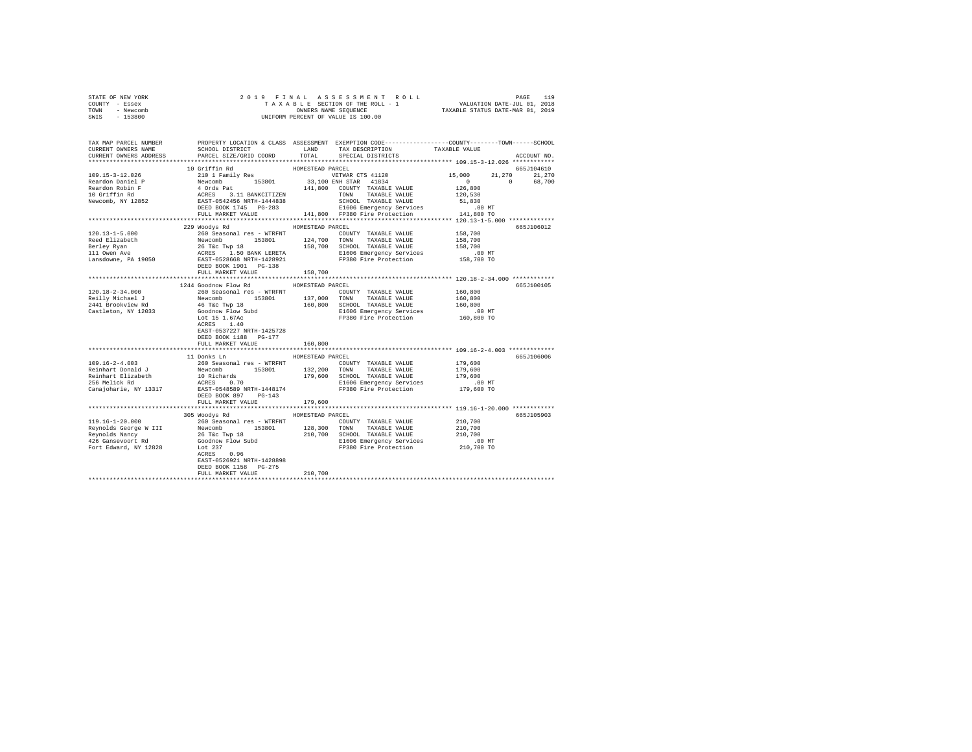|                | STATE OF NEW YORK |  |  | 2019 FINAL ASSESSMENT ROLL         |                                  | PAGE | 119 |
|----------------|-------------------|--|--|------------------------------------|----------------------------------|------|-----|
| COUNTY - Essex |                   |  |  | TAXABLE SECTION OF THE ROLL - 1    | VALUATION DATE-JUL 01, 2018      |      |     |
| TOWN           | - Newcomb         |  |  | OWNERS NAME SEOUENCE               | TAXABLE STATUS DATE-MAR 01, 2019 |      |     |
| SWIS           | $-153800$         |  |  | UNIFORM PERCENT OF VALUE IS 100.00 |                                  |      |     |
|                |                   |  |  |                                    |                                  |      |     |

| TAX MAP PARCEL NUMBER |                                                                                                                                                                                                                                                                                                                                                                                             |                  |                              | PROPERTY LOCATION & CLASS ASSESSMENT EXEMPTION CODE-----------------COUNTY-------TOWN-----SCHOOL |
|-----------------------|---------------------------------------------------------------------------------------------------------------------------------------------------------------------------------------------------------------------------------------------------------------------------------------------------------------------------------------------------------------------------------------------|------------------|------------------------------|--------------------------------------------------------------------------------------------------|
|                       |                                                                                                                                                                                                                                                                                                                                                                                             |                  |                              |                                                                                                  |
|                       | $\begin{tabular}{lllllllll} \texttt{CURERENT} & & & & & & & & & \texttt{LAND} & & \texttt{TAX} \texttt{DESCRIPTION} & & & \texttt{TAXABLE VALUE} \\ & & & & & \texttt{PRECS} & & & \texttt{PRECLAL} \texttt{DISTRICTS} & & & \texttt{PRECEIAL VALUE} \\ & & & & & \texttt{PRECEAL} \texttt{DISTRICTS} & & & \texttt{PSTRICTS} & & \texttt{SPECTAL} \texttt{DISTRICTS} & & \\ \end{tabular}$ |                  |                              | ACCOUNT NO.                                                                                      |
|                       |                                                                                                                                                                                                                                                                                                                                                                                             |                  |                              | ******************* 109.15-3-12.026 ************                                                 |
|                       | 10 Griffin Rd                                                                                                                                                                                                                                                                                                                                                                               | HOMESTEAD PARCEL |                              | 665J104610                                                                                       |
|                       |                                                                                                                                                                                                                                                                                                                                                                                             |                  |                              | 21,270 21,270                                                                                    |
|                       |                                                                                                                                                                                                                                                                                                                                                                                             |                  |                              | 0 68,700                                                                                         |
|                       |                                                                                                                                                                                                                                                                                                                                                                                             |                  |                              |                                                                                                  |
|                       |                                                                                                                                                                                                                                                                                                                                                                                             |                  |                              |                                                                                                  |
|                       |                                                                                                                                                                                                                                                                                                                                                                                             |                  |                              |                                                                                                  |
|                       |                                                                                                                                                                                                                                                                                                                                                                                             |                  |                              |                                                                                                  |
|                       |                                                                                                                                                                                                                                                                                                                                                                                             |                  |                              |                                                                                                  |
|                       |                                                                                                                                                                                                                                                                                                                                                                                             |                  |                              |                                                                                                  |
|                       | 229 Woodys Rd                                                                                                                                                                                                                                                                                                                                                                               | HOMESTEAD PARCEL |                              | 665J106012                                                                                       |
|                       |                                                                                                                                                                                                                                                                                                                                                                                             |                  |                              |                                                                                                  |
|                       |                                                                                                                                                                                                                                                                                                                                                                                             |                  |                              |                                                                                                  |
|                       |                                                                                                                                                                                                                                                                                                                                                                                             |                  |                              |                                                                                                  |
|                       |                                                                                                                                                                                                                                                                                                                                                                                             |                  |                              |                                                                                                  |
|                       |                                                                                                                                                                                                                                                                                                                                                                                             |                  |                              |                                                                                                  |
|                       |                                                                                                                                                                                                                                                                                                                                                                                             |                  |                              |                                                                                                  |
|                       |                                                                                                                                                                                                                                                                                                                                                                                             |                  |                              |                                                                                                  |
|                       |                                                                                                                                                                                                                                                                                                                                                                                             |                  |                              |                                                                                                  |
|                       | 1244 Goodnow Flow Rd MOMESTEAD PARCEL                                                                                                                                                                                                                                                                                                                                                       |                  |                              | 665J100105                                                                                       |
|                       |                                                                                                                                                                                                                                                                                                                                                                                             |                  |                              |                                                                                                  |
|                       |                                                                                                                                                                                                                                                                                                                                                                                             |                  |                              |                                                                                                  |
|                       |                                                                                                                                                                                                                                                                                                                                                                                             |                  |                              |                                                                                                  |
|                       |                                                                                                                                                                                                                                                                                                                                                                                             |                  |                              |                                                                                                  |
|                       |                                                                                                                                                                                                                                                                                                                                                                                             |                  |                              |                                                                                                  |
|                       |                                                                                                                                                                                                                                                                                                                                                                                             |                  |                              |                                                                                                  |
|                       | EAST-0537227 NRTH-1425728                                                                                                                                                                                                                                                                                                                                                                   |                  |                              |                                                                                                  |
|                       | DEED BOOK 1188 PG-177                                                                                                                                                                                                                                                                                                                                                                       |                  |                              |                                                                                                  |
|                       | FULL MARKET VALUE                                                                                                                                                                                                                                                                                                                                                                           | 160,800          |                              |                                                                                                  |
|                       |                                                                                                                                                                                                                                                                                                                                                                                             |                  |                              |                                                                                                  |
|                       | 11 Donks Ln                                                                                                                                                                                                                                                                                                                                                                                 | HOMESTEAD PARCEL |                              | 665J106006                                                                                       |
| $109.16 - 2 - 4.003$  |                                                                                                                                                                                                                                                                                                                                                                                             |                  | COUNTY TAXABLE VALUE 179,600 |                                                                                                  |
|                       |                                                                                                                                                                                                                                                                                                                                                                                             |                  |                              |                                                                                                  |
|                       |                                                                                                                                                                                                                                                                                                                                                                                             |                  |                              |                                                                                                  |
|                       |                                                                                                                                                                                                                                                                                                                                                                                             |                  |                              |                                                                                                  |
|                       |                                                                                                                                                                                                                                                                                                                                                                                             |                  |                              |                                                                                                  |
|                       |                                                                                                                                                                                                                                                                                                                                                                                             |                  |                              |                                                                                                  |
|                       | FULL MARKET VALUE 179,600                                                                                                                                                                                                                                                                                                                                                                   |                  |                              |                                                                                                  |
|                       |                                                                                                                                                                                                                                                                                                                                                                                             |                  |                              |                                                                                                  |
|                       | 305 Woodys Rd                                                                                                                                                                                                                                                                                                                                                                               | HOMESTEAD PARCEL |                              | 665J105903                                                                                       |
|                       |                                                                                                                                                                                                                                                                                                                                                                                             |                  |                              |                                                                                                  |
|                       |                                                                                                                                                                                                                                                                                                                                                                                             |                  |                              |                                                                                                  |
|                       |                                                                                                                                                                                                                                                                                                                                                                                             |                  |                              |                                                                                                  |
|                       |                                                                                                                                                                                                                                                                                                                                                                                             |                  |                              |                                                                                                  |
|                       |                                                                                                                                                                                                                                                                                                                                                                                             |                  |                              |                                                                                                  |
|                       | 119.16-1-20.000<br>119.16-1-20.000<br>Reynolds George W III 260 Seasonal res - WTRFNT COUNTY TAXABLE VALUE<br>Reynolds George W III Newcomb 153801 128,300 TOWN TAXABLE VALUE 210,700<br>Reynolds Mancy 26 Tec Twp 18 210,700 SCHOOL                                                                                                                                                        |                  |                              |                                                                                                  |
|                       | EAST-0526921 NRTH-1428898                                                                                                                                                                                                                                                                                                                                                                   |                  |                              |                                                                                                  |
|                       | DEED BOOK 1158 PG-275                                                                                                                                                                                                                                                                                                                                                                       |                  |                              |                                                                                                  |
|                       | FULL MARKET VALUE                                                                                                                                                                                                                                                                                                                                                                           | 210,700          |                              |                                                                                                  |
|                       |                                                                                                                                                                                                                                                                                                                                                                                             |                  |                              |                                                                                                  |
|                       |                                                                                                                                                                                                                                                                                                                                                                                             |                  |                              |                                                                                                  |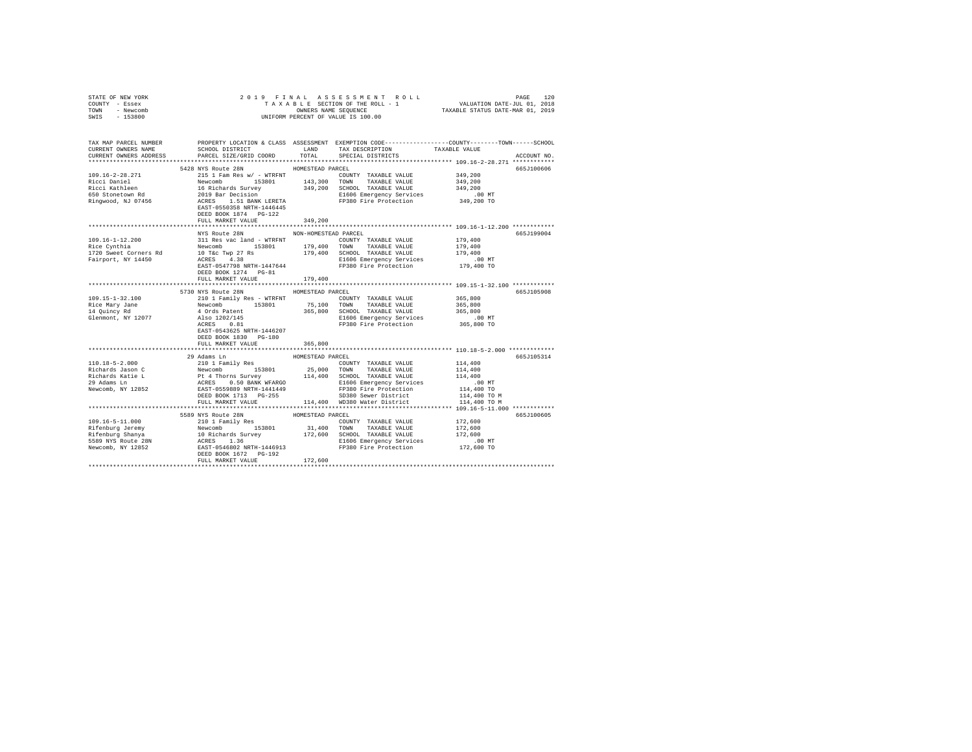| STATE OF NEW YORK                                                                                                     |                                     |                  |                                                                                                            |                      |             |  |
|-----------------------------------------------------------------------------------------------------------------------|-------------------------------------|------------------|------------------------------------------------------------------------------------------------------------|----------------------|-------------|--|
| COUNTY - Essex<br>TOWN - Newcomb                                                                                      |                                     |                  |                                                                                                            |                      |             |  |
| SWIS - 153800                                                                                                         |                                     |                  |                                                                                                            |                      |             |  |
|                                                                                                                       |                                     |                  |                                                                                                            |                      |             |  |
|                                                                                                                       |                                     |                  |                                                                                                            |                      |             |  |
| TAX MAP PARCEL NUMBER PROPERTY LOCATION & CLASS ASSESSMENT EXEMPTION CODE---------------COUNTY-------TOWN------SCHOOL |                                     |                  |                                                                                                            |                      |             |  |
| CURRENT OWNERS NAME                                                                                                   |                                     |                  | PROPERTY LOCATION & CHASS ASSOCIATES HOME CONTRIGENT CARD TAXABLE VALUE SCHOOL DISTRICT LAND TAXABLE VALUE |                      |             |  |
| CURRENT OWNERS ADDRESS                                                                                                | PARCEL SIZE/GRID COORD TOTAL        |                  | SPECIAL DISTRICTS                                                                                          |                      | ACCOUNT NO. |  |
|                                                                                                                       |                                     |                  |                                                                                                            |                      |             |  |
|                                                                                                                       | 5428 NYS Route 28N                  | HOMESTEAD PARCEL |                                                                                                            |                      | 665J100606  |  |
|                                                                                                                       |                                     |                  |                                                                                                            |                      |             |  |
|                                                                                                                       |                                     |                  |                                                                                                            |                      |             |  |
|                                                                                                                       |                                     |                  |                                                                                                            |                      |             |  |
|                                                                                                                       |                                     |                  |                                                                                                            |                      |             |  |
|                                                                                                                       |                                     |                  |                                                                                                            |                      |             |  |
|                                                                                                                       |                                     |                  |                                                                                                            |                      |             |  |
|                                                                                                                       | DEED BOOK 1874 PG-122               |                  |                                                                                                            |                      |             |  |
|                                                                                                                       | FULL MARKET VALUE                   | 349,200          |                                                                                                            |                      |             |  |
|                                                                                                                       |                                     |                  |                                                                                                            |                      |             |  |
|                                                                                                                       | NYS Route 28N NON-HOMESTEAD PARCEL  |                  |                                                                                                            |                      | 665J199004  |  |
|                                                                                                                       |                                     |                  |                                                                                                            |                      |             |  |
|                                                                                                                       |                                     |                  |                                                                                                            |                      |             |  |
|                                                                                                                       |                                     |                  |                                                                                                            |                      |             |  |
|                                                                                                                       |                                     |                  |                                                                                                            |                      |             |  |
|                                                                                                                       |                                     |                  |                                                                                                            |                      |             |  |
|                                                                                                                       | FULL MARKET VALUE                   |                  |                                                                                                            |                      |             |  |
|                                                                                                                       |                                     | 179,400          |                                                                                                            |                      |             |  |
|                                                                                                                       | 5730 NYS Route 28N HOMESTEAD PARCEL |                  |                                                                                                            |                      | 665J105908  |  |
|                                                                                                                       |                                     |                  |                                                                                                            |                      |             |  |
|                                                                                                                       |                                     |                  |                                                                                                            |                      |             |  |
|                                                                                                                       |                                     |                  |                                                                                                            |                      |             |  |
|                                                                                                                       |                                     |                  |                                                                                                            |                      |             |  |
|                                                                                                                       |                                     |                  |                                                                                                            |                      |             |  |
|                                                                                                                       | EAST-0543625 NRTH-1446207           |                  |                                                                                                            |                      |             |  |
|                                                                                                                       | DEED BOOK 1830 PG-180               |                  |                                                                                                            |                      |             |  |
|                                                                                                                       | FULL MARKET VALUE                   | 365,800          |                                                                                                            |                      |             |  |
|                                                                                                                       |                                     |                  |                                                                                                            |                      |             |  |
|                                                                                                                       | 29 Adams Ln                         | HOMESTEAD PARCEL |                                                                                                            |                      | 665J105314  |  |
|                                                                                                                       |                                     |                  | COUNTY TAXABLE VALUE 114,400                                                                               |                      |             |  |
|                                                                                                                       |                                     |                  |                                                                                                            | 114,400              |             |  |
|                                                                                                                       |                                     |                  |                                                                                                            | 114,400              |             |  |
|                                                                                                                       |                                     |                  |                                                                                                            | 00 MT.<br>114,400 TO |             |  |
|                                                                                                                       |                                     |                  |                                                                                                            |                      |             |  |
|                                                                                                                       |                                     |                  |                                                                                                            | 114,400 TO M         |             |  |
|                                                                                                                       |                                     |                  | FULL MARKET VALUE 114,400 WD380 Water District                                                             | 114,400 TO M         |             |  |
|                                                                                                                       |                                     |                  |                                                                                                            |                      |             |  |
|                                                                                                                       | 5589 NYS Route 28N                  | HOMESTEAD PARCEL |                                                                                                            |                      | 665J100605  |  |
|                                                                                                                       |                                     |                  |                                                                                                            |                      |             |  |
|                                                                                                                       |                                     |                  |                                                                                                            |                      |             |  |
|                                                                                                                       |                                     |                  |                                                                                                            |                      |             |  |
|                                                                                                                       |                                     |                  |                                                                                                            |                      |             |  |
|                                                                                                                       |                                     |                  |                                                                                                            |                      |             |  |
|                                                                                                                       | FULL MARKET VALUE 172,600           |                  |                                                                                                            |                      |             |  |
|                                                                                                                       |                                     |                  |                                                                                                            |                      |             |  |
|                                                                                                                       |                                     |                  |                                                                                                            |                      |             |  |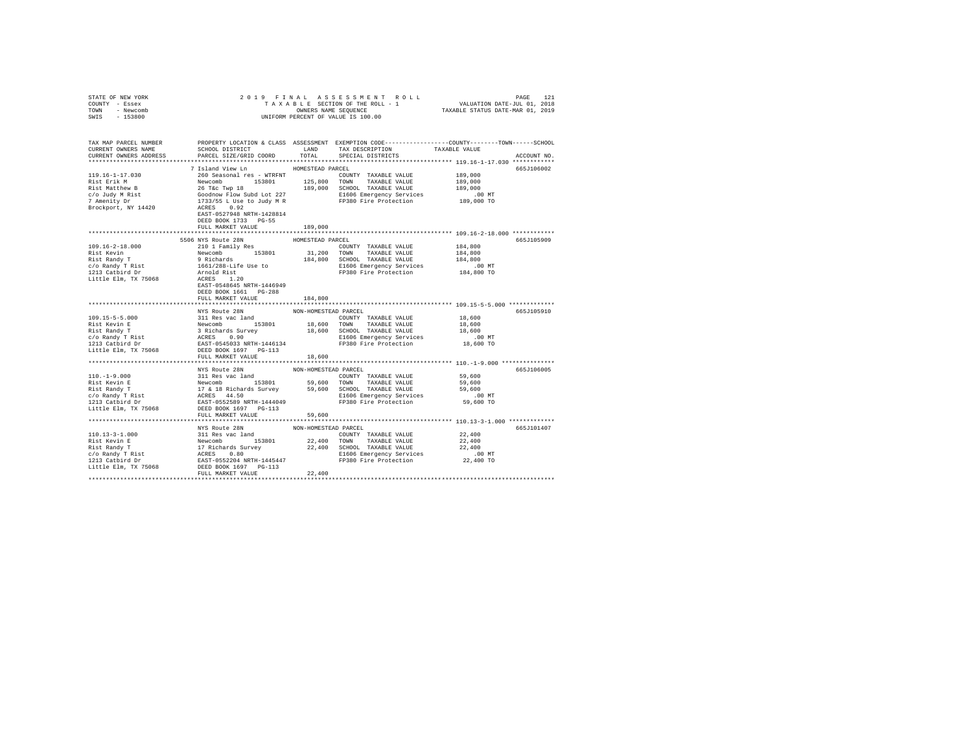| STATE OF NEW YORK                                                                                                                                                                                                                                                                                                                                                                                                                                 |                                    |                  |                                                                               |                               |             |  |
|---------------------------------------------------------------------------------------------------------------------------------------------------------------------------------------------------------------------------------------------------------------------------------------------------------------------------------------------------------------------------------------------------------------------------------------------------|------------------------------------|------------------|-------------------------------------------------------------------------------|-------------------------------|-------------|--|
| COUNTY - Essex                                                                                                                                                                                                                                                                                                                                                                                                                                    |                                    |                  |                                                                               |                               |             |  |
| TOWN - Newcomb                                                                                                                                                                                                                                                                                                                                                                                                                                    |                                    |                  |                                                                               |                               |             |  |
| SWIS - 153800                                                                                                                                                                                                                                                                                                                                                                                                                                     |                                    |                  |                                                                               |                               |             |  |
|                                                                                                                                                                                                                                                                                                                                                                                                                                                   |                                    |                  |                                                                               |                               |             |  |
|                                                                                                                                                                                                                                                                                                                                                                                                                                                   |                                    |                  |                                                                               |                               |             |  |
|                                                                                                                                                                                                                                                                                                                                                                                                                                                   |                                    |                  |                                                                               |                               |             |  |
|                                                                                                                                                                                                                                                                                                                                                                                                                                                   |                                    |                  | SCHOOL DISTRICT $\hfill$ LAND $\hfill$ TAX DESCRIPTION $\hfill$ TAXABLE VALUE |                               |             |  |
| CURRENT OWNERS ADDRESS                                                                                                                                                                                                                                                                                                                                                                                                                            | PARCEL SIZE/GRID COORD             | TOTAL            | SPECIAL DISTRICTS                                                             |                               | ACCOUNT NO. |  |
|                                                                                                                                                                                                                                                                                                                                                                                                                                                   |                                    |                  |                                                                               |                               |             |  |
|                                                                                                                                                                                                                                                                                                                                                                                                                                                   | 7 Island View Ln                   | HOMESTEAD PARCEL |                                                                               |                               | 665J106002  |  |
|                                                                                                                                                                                                                                                                                                                                                                                                                                                   |                                    |                  |                                                                               |                               |             |  |
|                                                                                                                                                                                                                                                                                                                                                                                                                                                   |                                    |                  |                                                                               |                               |             |  |
|                                                                                                                                                                                                                                                                                                                                                                                                                                                   |                                    |                  |                                                                               |                               |             |  |
|                                                                                                                                                                                                                                                                                                                                                                                                                                                   |                                    |                  |                                                                               |                               |             |  |
|                                                                                                                                                                                                                                                                                                                                                                                                                                                   |                                    |                  |                                                                               |                               |             |  |
|                                                                                                                                                                                                                                                                                                                                                                                                                                                   |                                    |                  |                                                                               |                               |             |  |
|                                                                                                                                                                                                                                                                                                                                                                                                                                                   |                                    |                  |                                                                               |                               |             |  |
|                                                                                                                                                                                                                                                                                                                                                                                                                                                   | DEED BOOK 1733 PG-55               |                  |                                                                               |                               |             |  |
|                                                                                                                                                                                                                                                                                                                                                                                                                                                   | FULL MARKET VALUE                  |                  |                                                                               |                               |             |  |
|                                                                                                                                                                                                                                                                                                                                                                                                                                                   |                                    | 189,000          |                                                                               |                               |             |  |
|                                                                                                                                                                                                                                                                                                                                                                                                                                                   |                                    |                  |                                                                               |                               |             |  |
|                                                                                                                                                                                                                                                                                                                                                                                                                                                   | 5506 NYS Route 28N                 | HOMESTEAD PARCEL |                                                                               |                               | 665J105909  |  |
|                                                                                                                                                                                                                                                                                                                                                                                                                                                   |                                    |                  |                                                                               |                               |             |  |
|                                                                                                                                                                                                                                                                                                                                                                                                                                                   |                                    |                  |                                                                               |                               |             |  |
|                                                                                                                                                                                                                                                                                                                                                                                                                                                   |                                    |                  |                                                                               | 184,800<br>184,800<br>184,800 |             |  |
|                                                                                                                                                                                                                                                                                                                                                                                                                                                   |                                    |                  |                                                                               |                               |             |  |
|                                                                                                                                                                                                                                                                                                                                                                                                                                                   |                                    |                  |                                                                               |                               |             |  |
|                                                                                                                                                                                                                                                                                                                                                                                                                                                   |                                    |                  |                                                                               |                               |             |  |
|                                                                                                                                                                                                                                                                                                                                                                                                                                                   |                                    |                  |                                                                               |                               |             |  |
|                                                                                                                                                                                                                                                                                                                                                                                                                                                   |                                    |                  |                                                                               |                               |             |  |
|                                                                                                                                                                                                                                                                                                                                                                                                                                                   | FULL MARKET VALUE 184.800          |                  |                                                                               |                               |             |  |
|                                                                                                                                                                                                                                                                                                                                                                                                                                                   |                                    |                  |                                                                               |                               |             |  |
|                                                                                                                                                                                                                                                                                                                                                                                                                                                   | NYS Route 28N NON-HOMESTEAD PARCEL |                  |                                                                               |                               | 665J105910  |  |
|                                                                                                                                                                                                                                                                                                                                                                                                                                                   |                                    |                  |                                                                               |                               |             |  |
|                                                                                                                                                                                                                                                                                                                                                                                                                                                   |                                    |                  |                                                                               |                               |             |  |
|                                                                                                                                                                                                                                                                                                                                                                                                                                                   |                                    |                  |                                                                               |                               |             |  |
|                                                                                                                                                                                                                                                                                                                                                                                                                                                   |                                    |                  |                                                                               |                               |             |  |
|                                                                                                                                                                                                                                                                                                                                                                                                                                                   |                                    |                  |                                                                               |                               |             |  |
|                                                                                                                                                                                                                                                                                                                                                                                                                                                   |                                    |                  |                                                                               |                               |             |  |
|                                                                                                                                                                                                                                                                                                                                                                                                                                                   | FULL MARKET VALUE                  | 18,600           |                                                                               |                               |             |  |
|                                                                                                                                                                                                                                                                                                                                                                                                                                                   |                                    |                  |                                                                               |                               |             |  |
| $\begin{tabular}{c c c c c} \hline 110.-1-9.000 & \text{NYS Rule 28N} & \text{NON-HOMESTARD PAREEL} & \text{2000} & \text{NOS TANABLE VALUE} & \text{311 Res vac land} & \text{2000} & \text{311 Res vac land} & \text{2000} & \text{312 Res vac land} & \text{2000} & \text{312 Res vac land} & \text{2000} & \text{312 Res vac land} & \text{2000} & \text{312 Res vac land} & \text{2000} & \text{312 Res vac land} & \text{312 Res vac land}$ |                                    |                  |                                                                               |                               | 665J106005  |  |
|                                                                                                                                                                                                                                                                                                                                                                                                                                                   |                                    |                  |                                                                               |                               |             |  |
|                                                                                                                                                                                                                                                                                                                                                                                                                                                   |                                    |                  |                                                                               |                               |             |  |
|                                                                                                                                                                                                                                                                                                                                                                                                                                                   |                                    |                  |                                                                               |                               |             |  |
|                                                                                                                                                                                                                                                                                                                                                                                                                                                   |                                    |                  |                                                                               |                               |             |  |
|                                                                                                                                                                                                                                                                                                                                                                                                                                                   |                                    |                  |                                                                               |                               |             |  |
|                                                                                                                                                                                                                                                                                                                                                                                                                                                   |                                    |                  |                                                                               |                               |             |  |
|                                                                                                                                                                                                                                                                                                                                                                                                                                                   | FULL MARKET VALUE                  | 59,600           |                                                                               |                               |             |  |
|                                                                                                                                                                                                                                                                                                                                                                                                                                                   |                                    |                  |                                                                               |                               |             |  |
|                                                                                                                                                                                                                                                                                                                                                                                                                                                   |                                    |                  |                                                                               |                               | 665J101407  |  |
|                                                                                                                                                                                                                                                                                                                                                                                                                                                   |                                    |                  |                                                                               |                               |             |  |
|                                                                                                                                                                                                                                                                                                                                                                                                                                                   |                                    |                  |                                                                               |                               |             |  |
|                                                                                                                                                                                                                                                                                                                                                                                                                                                   |                                    |                  |                                                                               |                               |             |  |
|                                                                                                                                                                                                                                                                                                                                                                                                                                                   |                                    |                  |                                                                               |                               |             |  |
|                                                                                                                                                                                                                                                                                                                                                                                                                                                   |                                    |                  |                                                                               |                               |             |  |
|                                                                                                                                                                                                                                                                                                                                                                                                                                                   |                                    |                  |                                                                               |                               |             |  |
|                                                                                                                                                                                                                                                                                                                                                                                                                                                   |                                    |                  |                                                                               |                               |             |  |
|                                                                                                                                                                                                                                                                                                                                                                                                                                                   |                                    |                  |                                                                               |                               |             |  |
|                                                                                                                                                                                                                                                                                                                                                                                                                                                   |                                    |                  |                                                                               |                               |             |  |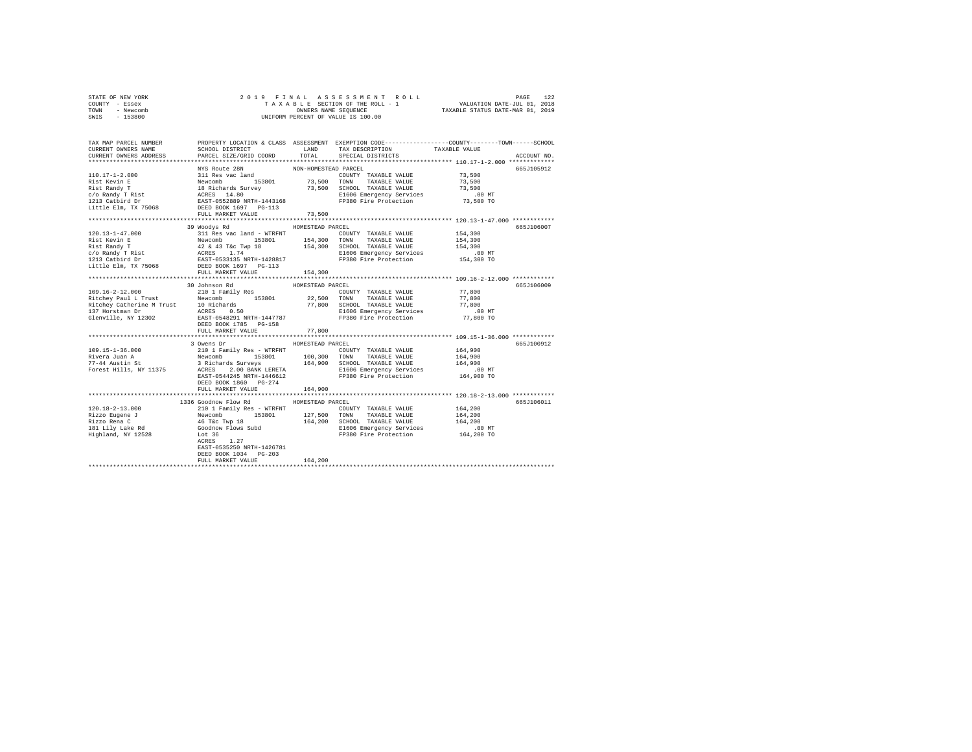|      | STATE OF NEW YORK |  | 2019 FINAL ASSESSMENT ROLL         |                                  | PAGE                        | 122 |
|------|-------------------|--|------------------------------------|----------------------------------|-----------------------------|-----|
|      | COUNTY - Essex    |  | TAXABLE SECTION OF THE ROLL - 1    |                                  | VALUATION DATE-JUL 01, 2018 |     |
| TOWN | - Newcomb         |  | OWNERS NAME SEOUENCE               | TAXABLE STATUS DATE-MAR 01, 2019 |                             |     |
| SWIS | $-153800$         |  | UNIFORM PERCENT OF VALUE IS 100.00 |                                  |                             |     |

| TAX MAP PARCEL NUMBER<br>CURRENT OWNERS NAME                                                                                                                                                                                                                                                                                                                                                                               | SCHOOL DISTRICT                       | LAND             | TAX DESCRIPTION                                                                                                                | PROPERTY LOCATION & CLASS ASSESSMENT EXEMPTION CODE----------------COUNTY-------TOWN------SCHOOL<br>TAXABLE VALUE |
|----------------------------------------------------------------------------------------------------------------------------------------------------------------------------------------------------------------------------------------------------------------------------------------------------------------------------------------------------------------------------------------------------------------------------|---------------------------------------|------------------|--------------------------------------------------------------------------------------------------------------------------------|-------------------------------------------------------------------------------------------------------------------|
| CURRENT OWNERS ADDRESS                                                                                                                                                                                                                                                                                                                                                                                                     | PARCEL SIZE/GRID COORD                | TOTAL            | SPECIAL DISTRICTS                                                                                                              | ACCOUNT NO.                                                                                                       |
|                                                                                                                                                                                                                                                                                                                                                                                                                            |                                       |                  |                                                                                                                                | 665J105912                                                                                                        |
|                                                                                                                                                                                                                                                                                                                                                                                                                            |                                       |                  |                                                                                                                                |                                                                                                                   |
|                                                                                                                                                                                                                                                                                                                                                                                                                            |                                       |                  |                                                                                                                                |                                                                                                                   |
|                                                                                                                                                                                                                                                                                                                                                                                                                            |                                       |                  |                                                                                                                                |                                                                                                                   |
|                                                                                                                                                                                                                                                                                                                                                                                                                            |                                       |                  |                                                                                                                                |                                                                                                                   |
|                                                                                                                                                                                                                                                                                                                                                                                                                            |                                       |                  |                                                                                                                                |                                                                                                                   |
|                                                                                                                                                                                                                                                                                                                                                                                                                            |                                       |                  |                                                                                                                                |                                                                                                                   |
|                                                                                                                                                                                                                                                                                                                                                                                                                            | FULL MARKET VALUE                     | 73,500           |                                                                                                                                |                                                                                                                   |
|                                                                                                                                                                                                                                                                                                                                                                                                                            |                                       |                  |                                                                                                                                |                                                                                                                   |
| $\begin{tabular}{l c c c c c} \multicolumn{3}{c}{\textbf{120.13--1--47.000}} & \multicolumn{3}{c}{\textbf{54.12.13--1--47.000}} & \multicolumn{3}{c}{\textbf{55.12.13--1--47.000}} & \multicolumn{3}{c}{\textbf{56.13--1--47.000}} & \multicolumn{3}{c}{\textbf{57.13--1--47.000}} & \multicolumn{3}{c}{\textbf{58.13--1--1}} & \multicolumn{3}{c}{\textbf{59.13--1--1}} & \mult$                                          | 39 Woodys Rd                          | HOMESTEAD PARCEL |                                                                                                                                | 665J106007                                                                                                        |
|                                                                                                                                                                                                                                                                                                                                                                                                                            |                                       |                  | COUNTY TAXABLE VALUE 154,300                                                                                                   |                                                                                                                   |
|                                                                                                                                                                                                                                                                                                                                                                                                                            |                                       |                  |                                                                                                                                | 154,300<br>154,300                                                                                                |
|                                                                                                                                                                                                                                                                                                                                                                                                                            |                                       |                  |                                                                                                                                |                                                                                                                   |
|                                                                                                                                                                                                                                                                                                                                                                                                                            |                                       |                  |                                                                                                                                | 00 MT.<br>154,300 TO                                                                                              |
|                                                                                                                                                                                                                                                                                                                                                                                                                            |                                       |                  |                                                                                                                                |                                                                                                                   |
|                                                                                                                                                                                                                                                                                                                                                                                                                            |                                       |                  |                                                                                                                                |                                                                                                                   |
|                                                                                                                                                                                                                                                                                                                                                                                                                            | FULL MARKET VALUE                     | 154,300          |                                                                                                                                |                                                                                                                   |
|                                                                                                                                                                                                                                                                                                                                                                                                                            |                                       |                  |                                                                                                                                |                                                                                                                   |
|                                                                                                                                                                                                                                                                                                                                                                                                                            | 30 Johnson Rd                         | HOMESTEAD PARCEL |                                                                                                                                | 665J106009                                                                                                        |
| 109.16-2-12.000                                                                                                                                                                                                                                                                                                                                                                                                            | 210 1 Family Res                      |                  | COUNTY TAXABLE VALUE                                                                                                           | 77,800                                                                                                            |
| 109.10-2-12.000<br>Richey Paul L Trust and Mewcomb 153801 22,500 TOWN TAXABLE VALUE<br>Richey Paul L Trust 10 Richards 153801 77,800 SCHOOL TAXABLE VALUE<br>Richey Paul L Trust 10 Richards 157<br>137 Horstman Dr ACRES 0.50<br>Glenvi                                                                                                                                                                                   |                                       |                  | 70000 TAXABLE VALUE 77,800<br>19900 TAXABLE VALUE 77,800<br>E1606 Emergency Services 77,800<br>FP380 Fire Protection 77,800 TO |                                                                                                                   |
|                                                                                                                                                                                                                                                                                                                                                                                                                            |                                       |                  |                                                                                                                                |                                                                                                                   |
|                                                                                                                                                                                                                                                                                                                                                                                                                            |                                       |                  |                                                                                                                                |                                                                                                                   |
|                                                                                                                                                                                                                                                                                                                                                                                                                            |                                       |                  |                                                                                                                                |                                                                                                                   |
|                                                                                                                                                                                                                                                                                                                                                                                                                            | FULL MARKET VALUE                     | 77,800           |                                                                                                                                |                                                                                                                   |
|                                                                                                                                                                                                                                                                                                                                                                                                                            |                                       |                  |                                                                                                                                |                                                                                                                   |
|                                                                                                                                                                                                                                                                                                                                                                                                                            | 3 Owens Dr                            | HOMESTEAD PARCEL |                                                                                                                                | 665J100912                                                                                                        |
|                                                                                                                                                                                                                                                                                                                                                                                                                            |                                       |                  |                                                                                                                                | 164,900                                                                                                           |
|                                                                                                                                                                                                                                                                                                                                                                                                                            |                                       |                  |                                                                                                                                | 164,900                                                                                                           |
|                                                                                                                                                                                                                                                                                                                                                                                                                            |                                       |                  |                                                                                                                                | 164,900                                                                                                           |
|                                                                                                                                                                                                                                                                                                                                                                                                                            |                                       |                  |                                                                                                                                | .00 MT                                                                                                            |
|                                                                                                                                                                                                                                                                                                                                                                                                                            |                                       |                  |                                                                                                                                | 164,900 TO                                                                                                        |
|                                                                                                                                                                                                                                                                                                                                                                                                                            | DEED BOOK 1860 PG-274                 |                  |                                                                                                                                |                                                                                                                   |
|                                                                                                                                                                                                                                                                                                                                                                                                                            | FULL MARKET VALUE                     | 164,900          |                                                                                                                                |                                                                                                                   |
|                                                                                                                                                                                                                                                                                                                                                                                                                            |                                       |                  |                                                                                                                                |                                                                                                                   |
|                                                                                                                                                                                                                                                                                                                                                                                                                            | 1336 Goodnow Flow Rd HOMESTEAD PARCEL |                  |                                                                                                                                | 665J106011                                                                                                        |
|                                                                                                                                                                                                                                                                                                                                                                                                                            |                                       |                  | COUNTY TAXABLE VALUE                                                                                                           | 164,200<br>164,200                                                                                                |
|                                                                                                                                                                                                                                                                                                                                                                                                                            |                                       |                  | 153801 127,500 TOWN TAXABLE VALUE                                                                                              |                                                                                                                   |
|                                                                                                                                                                                                                                                                                                                                                                                                                            |                                       |                  | 164,200 SCHOOL TAXABLE VALUE<br>E1606 Emergency Services                                                                       |                                                                                                                   |
|                                                                                                                                                                                                                                                                                                                                                                                                                            |                                       |                  |                                                                                                                                |                                                                                                                   |
| $\begin{tabular}{l c c c c c} \multicolumn{4}{c c }{\textbf{120.18}-2-13.000} & \multicolumn{4}{c }{\textbf{2101 Family Res - WTRENT}} & \multicolumn{4}{c }{\textbf{120.18}\--\hspace{-8pt}1201} & \multicolumn{4}{c }{\textbf{2101 Family Res - WTRENT}} & \multicolumn{4}{c }{\textbf{127}} \\ \multicolumn{4}{c }{\textbf{Rizzo Rena C}} & \multicolumn{4}{c }{\textbf{140} & \textbf{153801}} & \multicolumn{4}{c }{$ |                                       |                  | FP380 Fire Protection                                                                                                          | 164,200<br>00 MT.<br>164,200 TO                                                                                   |
|                                                                                                                                                                                                                                                                                                                                                                                                                            |                                       |                  |                                                                                                                                |                                                                                                                   |
|                                                                                                                                                                                                                                                                                                                                                                                                                            | EAST-0535250 NRTH-1426781             |                  |                                                                                                                                |                                                                                                                   |
|                                                                                                                                                                                                                                                                                                                                                                                                                            | DEED BOOK 1034 PG-203                 |                  |                                                                                                                                |                                                                                                                   |
|                                                                                                                                                                                                                                                                                                                                                                                                                            | FULL MARKET VALUE                     | 164,200          |                                                                                                                                |                                                                                                                   |
|                                                                                                                                                                                                                                                                                                                                                                                                                            |                                       |                  |                                                                                                                                |                                                                                                                   |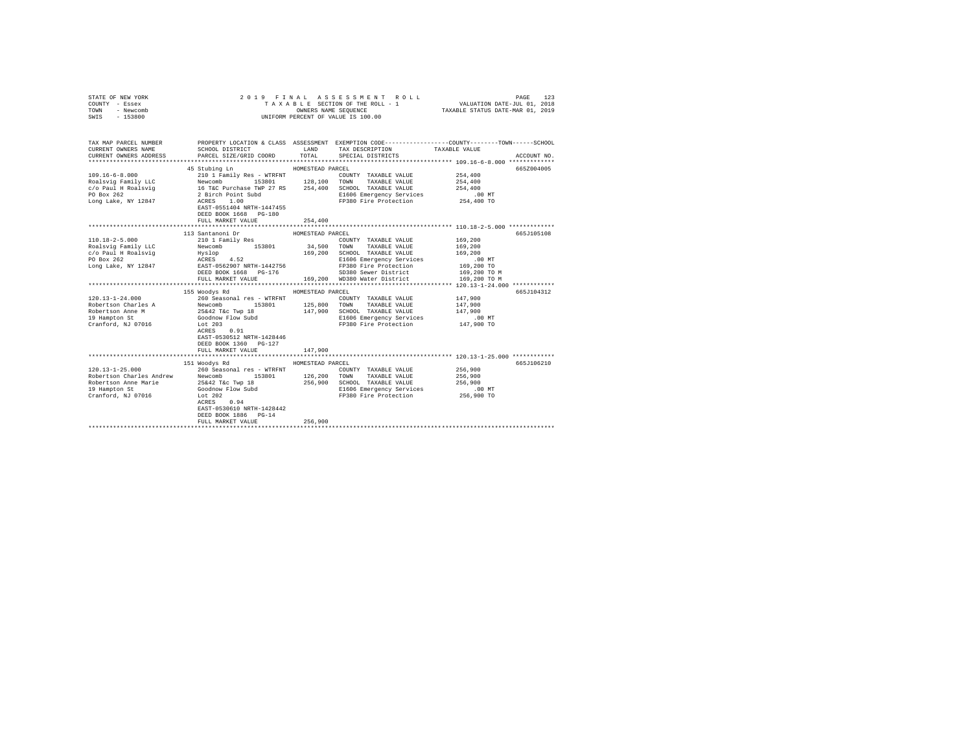| TAX MAP PARCEL NUMBER PROPERTY LOCATION & CLASS ASSESSMENT EXEMPTION CODE---------------COUNTY-------TOWN------SCHOOL<br>SCHOOL DISTRICT<br>LAND TAX DESCRIPTION<br>TAXABLE VALUE<br>CURRENT OWNERS NAME<br>CURRENT OWNERS ADDRESS<br>$_{\tt TOTAL}$<br>PARCEL SIZE/GRID COORD<br>SPECIAL DISTRICTS<br>ACCOUNT NO.<br>45 Stubing Ln<br>HOMESTEAD PARCEL<br>665Z004005<br>$109.16 - 6 - 8.000$<br>210 1 Family Res - WTRFNT<br>254,400<br>COUNTY TAXABLE VALUE<br>Xevel Family Res - With Nicolas Newcomb<br>16 TeC Durchase TWP 27 RS<br>28 Street Partners Technology 27 RS<br>28 Street Partners - 27 RS<br>28 Street Point Subditum RS<br>28 Street Protection<br>28 Street Protection<br>28 Street Protec<br>Roalsvig Family LLC<br>254,400<br>c/o Paul H Roalsvig<br>254,400<br>PO Box 262<br>E1606 Emergency Services<br>FP380 Fire Protection<br>$.00$ MT<br>254,400 TO<br>Long Lake, NY 12847<br>EAST-0551404 NRTH-1447455<br>DEED BOOK 1668 PG-180<br>FULL MARKET VALUE<br>254,400<br>113 Santanoni Dr<br>665J105108<br>HOMESTEAD PARCEL<br>210 1 Family Res<br>$110.18 - 2 - 5.000$<br>169,200<br>COUNTY TAXABLE VALUE<br>34,500 TOWN TAXABLE VALUE<br>Newcomb 153801<br>Roalsvig Family LLC<br>169,200<br>169,200<br>E1606 Emergency Services<br>.00 MT<br>169,200 TO<br>169,200 TO M<br>FULL MARKET VALUE<br>169,200 WD380 Water District<br>169,200 TO M<br>155 Woodys Rd<br>HOMESTEAD PARCEL<br>665J104312<br>$120.13 - 1 - 24.000$<br>260 Seasonal res - WTRFNT<br>Newcomb 153801 125,800 TOWN TAXABLE VALUE<br>Newcomb 153801 125,800 TOWN TAXABLE VALUE<br>25642 T4C Twp 18 147,900 SCROOL TAXABLE VALUE<br>COOdnow Flow Subd 147,900 E1606 Emergency Services<br>Lot 203<br>147,900<br>COUNTY TAXABLE VALUE<br>Robertson Charles A<br>147,900<br>Robertson Anne M<br>147,900 SCHOOL TAXABLE VALUE<br>147.900<br>E1606 Emergency Services<br>FP380 Fires B<br>.00 MT<br>19 Hampton St<br>FP380 Fire Protection<br>147,900 TO<br>Cranford, NJ 07016<br>Lot 203<br>ACRES 0.91<br>EAST-0530512 NRTH-1428446<br>DEED BOOK 1360 PG-127<br>FULL MARKET VALUE<br>147,900<br>HOMESTEAD PARCEL<br>665J106210<br>260 Seasonal res - WTRFNT<br>256,900<br>COUNTY TAXABLE VALUE<br>153801 126,200 TOWN TAXABLE VALUE<br>256,900<br>256,900 SCHOOL TAXABLE VALUE<br>256,900<br>E1606 Emergency Services<br>.00 MT<br>256,900 TO<br>FP380 Fire Protection<br>ACRES 0.94<br>EAST-0530610 NRTH-1428442<br>DEED BOOK 1886 PG-14<br>256,900<br>FULL MARKET VALUE<br>******************************* | STATE OF NEW YORK<br>COUNTY - Essex<br>TOWN<br>- Newcomb<br>SWIS - 153800 |  | 2019 FINAL ASSESSMENT ROLL<br>TAXABLE SECTION OF THE ROLL - 1<br>OWNERS NAME SEQUENCE<br>UNIFORM PERCENT OF VALUE IS 100.00 | VALUATION DATE-JUL 01, 2018<br>TAXABLE STATUS DATE-MAR 01, 2019 | PAGE<br>123 |
|----------------------------------------------------------------------------------------------------------------------------------------------------------------------------------------------------------------------------------------------------------------------------------------------------------------------------------------------------------------------------------------------------------------------------------------------------------------------------------------------------------------------------------------------------------------------------------------------------------------------------------------------------------------------------------------------------------------------------------------------------------------------------------------------------------------------------------------------------------------------------------------------------------------------------------------------------------------------------------------------------------------------------------------------------------------------------------------------------------------------------------------------------------------------------------------------------------------------------------------------------------------------------------------------------------------------------------------------------------------------------------------------------------------------------------------------------------------------------------------------------------------------------------------------------------------------------------------------------------------------------------------------------------------------------------------------------------------------------------------------------------------------------------------------------------------------------------------------------------------------------------------------------------------------------------------------------------------------------------------------------------------------------------------------------------------------------------------------------------------------------------------------------------------------------------------------------------------------------------------------------------------------------------------------------------------------------------------------------------------------------------------------------------------------------------------------------------------------------------------------------|---------------------------------------------------------------------------|--|-----------------------------------------------------------------------------------------------------------------------------|-----------------------------------------------------------------|-------------|
|                                                                                                                                                                                                                                                                                                                                                                                                                                                                                                                                                                                                                                                                                                                                                                                                                                                                                                                                                                                                                                                                                                                                                                                                                                                                                                                                                                                                                                                                                                                                                                                                                                                                                                                                                                                                                                                                                                                                                                                                                                                                                                                                                                                                                                                                                                                                                                                                                                                                                                    |                                                                           |  |                                                                                                                             |                                                                 |             |
|                                                                                                                                                                                                                                                                                                                                                                                                                                                                                                                                                                                                                                                                                                                                                                                                                                                                                                                                                                                                                                                                                                                                                                                                                                                                                                                                                                                                                                                                                                                                                                                                                                                                                                                                                                                                                                                                                                                                                                                                                                                                                                                                                                                                                                                                                                                                                                                                                                                                                                    |                                                                           |  |                                                                                                                             |                                                                 |             |
|                                                                                                                                                                                                                                                                                                                                                                                                                                                                                                                                                                                                                                                                                                                                                                                                                                                                                                                                                                                                                                                                                                                                                                                                                                                                                                                                                                                                                                                                                                                                                                                                                                                                                                                                                                                                                                                                                                                                                                                                                                                                                                                                                                                                                                                                                                                                                                                                                                                                                                    |                                                                           |  |                                                                                                                             |                                                                 |             |
|                                                                                                                                                                                                                                                                                                                                                                                                                                                                                                                                                                                                                                                                                                                                                                                                                                                                                                                                                                                                                                                                                                                                                                                                                                                                                                                                                                                                                                                                                                                                                                                                                                                                                                                                                                                                                                                                                                                                                                                                                                                                                                                                                                                                                                                                                                                                                                                                                                                                                                    |                                                                           |  |                                                                                                                             |                                                                 |             |
|                                                                                                                                                                                                                                                                                                                                                                                                                                                                                                                                                                                                                                                                                                                                                                                                                                                                                                                                                                                                                                                                                                                                                                                                                                                                                                                                                                                                                                                                                                                                                                                                                                                                                                                                                                                                                                                                                                                                                                                                                                                                                                                                                                                                                                                                                                                                                                                                                                                                                                    |                                                                           |  |                                                                                                                             |                                                                 |             |
|                                                                                                                                                                                                                                                                                                                                                                                                                                                                                                                                                                                                                                                                                                                                                                                                                                                                                                                                                                                                                                                                                                                                                                                                                                                                                                                                                                                                                                                                                                                                                                                                                                                                                                                                                                                                                                                                                                                                                                                                                                                                                                                                                                                                                                                                                                                                                                                                                                                                                                    |                                                                           |  |                                                                                                                             |                                                                 |             |
|                                                                                                                                                                                                                                                                                                                                                                                                                                                                                                                                                                                                                                                                                                                                                                                                                                                                                                                                                                                                                                                                                                                                                                                                                                                                                                                                                                                                                                                                                                                                                                                                                                                                                                                                                                                                                                                                                                                                                                                                                                                                                                                                                                                                                                                                                                                                                                                                                                                                                                    |                                                                           |  |                                                                                                                             |                                                                 |             |
|                                                                                                                                                                                                                                                                                                                                                                                                                                                                                                                                                                                                                                                                                                                                                                                                                                                                                                                                                                                                                                                                                                                                                                                                                                                                                                                                                                                                                                                                                                                                                                                                                                                                                                                                                                                                                                                                                                                                                                                                                                                                                                                                                                                                                                                                                                                                                                                                                                                                                                    |                                                                           |  |                                                                                                                             |                                                                 |             |
|                                                                                                                                                                                                                                                                                                                                                                                                                                                                                                                                                                                                                                                                                                                                                                                                                                                                                                                                                                                                                                                                                                                                                                                                                                                                                                                                                                                                                                                                                                                                                                                                                                                                                                                                                                                                                                                                                                                                                                                                                                                                                                                                                                                                                                                                                                                                                                                                                                                                                                    |                                                                           |  |                                                                                                                             |                                                                 |             |
|                                                                                                                                                                                                                                                                                                                                                                                                                                                                                                                                                                                                                                                                                                                                                                                                                                                                                                                                                                                                                                                                                                                                                                                                                                                                                                                                                                                                                                                                                                                                                                                                                                                                                                                                                                                                                                                                                                                                                                                                                                                                                                                                                                                                                                                                                                                                                                                                                                                                                                    |                                                                           |  |                                                                                                                             |                                                                 |             |
|                                                                                                                                                                                                                                                                                                                                                                                                                                                                                                                                                                                                                                                                                                                                                                                                                                                                                                                                                                                                                                                                                                                                                                                                                                                                                                                                                                                                                                                                                                                                                                                                                                                                                                                                                                                                                                                                                                                                                                                                                                                                                                                                                                                                                                                                                                                                                                                                                                                                                                    |                                                                           |  |                                                                                                                             |                                                                 |             |
|                                                                                                                                                                                                                                                                                                                                                                                                                                                                                                                                                                                                                                                                                                                                                                                                                                                                                                                                                                                                                                                                                                                                                                                                                                                                                                                                                                                                                                                                                                                                                                                                                                                                                                                                                                                                                                                                                                                                                                                                                                                                                                                                                                                                                                                                                                                                                                                                                                                                                                    |                                                                           |  |                                                                                                                             |                                                                 |             |
|                                                                                                                                                                                                                                                                                                                                                                                                                                                                                                                                                                                                                                                                                                                                                                                                                                                                                                                                                                                                                                                                                                                                                                                                                                                                                                                                                                                                                                                                                                                                                                                                                                                                                                                                                                                                                                                                                                                                                                                                                                                                                                                                                                                                                                                                                                                                                                                                                                                                                                    |                                                                           |  |                                                                                                                             |                                                                 |             |
|                                                                                                                                                                                                                                                                                                                                                                                                                                                                                                                                                                                                                                                                                                                                                                                                                                                                                                                                                                                                                                                                                                                                                                                                                                                                                                                                                                                                                                                                                                                                                                                                                                                                                                                                                                                                                                                                                                                                                                                                                                                                                                                                                                                                                                                                                                                                                                                                                                                                                                    |                                                                           |  |                                                                                                                             |                                                                 |             |
|                                                                                                                                                                                                                                                                                                                                                                                                                                                                                                                                                                                                                                                                                                                                                                                                                                                                                                                                                                                                                                                                                                                                                                                                                                                                                                                                                                                                                                                                                                                                                                                                                                                                                                                                                                                                                                                                                                                                                                                                                                                                                                                                                                                                                                                                                                                                                                                                                                                                                                    |                                                                           |  |                                                                                                                             |                                                                 |             |
|                                                                                                                                                                                                                                                                                                                                                                                                                                                                                                                                                                                                                                                                                                                                                                                                                                                                                                                                                                                                                                                                                                                                                                                                                                                                                                                                                                                                                                                                                                                                                                                                                                                                                                                                                                                                                                                                                                                                                                                                                                                                                                                                                                                                                                                                                                                                                                                                                                                                                                    |                                                                           |  |                                                                                                                             |                                                                 |             |
|                                                                                                                                                                                                                                                                                                                                                                                                                                                                                                                                                                                                                                                                                                                                                                                                                                                                                                                                                                                                                                                                                                                                                                                                                                                                                                                                                                                                                                                                                                                                                                                                                                                                                                                                                                                                                                                                                                                                                                                                                                                                                                                                                                                                                                                                                                                                                                                                                                                                                                    |                                                                           |  |                                                                                                                             |                                                                 |             |
|                                                                                                                                                                                                                                                                                                                                                                                                                                                                                                                                                                                                                                                                                                                                                                                                                                                                                                                                                                                                                                                                                                                                                                                                                                                                                                                                                                                                                                                                                                                                                                                                                                                                                                                                                                                                                                                                                                                                                                                                                                                                                                                                                                                                                                                                                                                                                                                                                                                                                                    |                                                                           |  |                                                                                                                             |                                                                 |             |
|                                                                                                                                                                                                                                                                                                                                                                                                                                                                                                                                                                                                                                                                                                                                                                                                                                                                                                                                                                                                                                                                                                                                                                                                                                                                                                                                                                                                                                                                                                                                                                                                                                                                                                                                                                                                                                                                                                                                                                                                                                                                                                                                                                                                                                                                                                                                                                                                                                                                                                    |                                                                           |  |                                                                                                                             |                                                                 |             |
|                                                                                                                                                                                                                                                                                                                                                                                                                                                                                                                                                                                                                                                                                                                                                                                                                                                                                                                                                                                                                                                                                                                                                                                                                                                                                                                                                                                                                                                                                                                                                                                                                                                                                                                                                                                                                                                                                                                                                                                                                                                                                                                                                                                                                                                                                                                                                                                                                                                                                                    |                                                                           |  |                                                                                                                             |                                                                 |             |
|                                                                                                                                                                                                                                                                                                                                                                                                                                                                                                                                                                                                                                                                                                                                                                                                                                                                                                                                                                                                                                                                                                                                                                                                                                                                                                                                                                                                                                                                                                                                                                                                                                                                                                                                                                                                                                                                                                                                                                                                                                                                                                                                                                                                                                                                                                                                                                                                                                                                                                    |                                                                           |  |                                                                                                                             |                                                                 |             |
|                                                                                                                                                                                                                                                                                                                                                                                                                                                                                                                                                                                                                                                                                                                                                                                                                                                                                                                                                                                                                                                                                                                                                                                                                                                                                                                                                                                                                                                                                                                                                                                                                                                                                                                                                                                                                                                                                                                                                                                                                                                                                                                                                                                                                                                                                                                                                                                                                                                                                                    |                                                                           |  |                                                                                                                             |                                                                 |             |
|                                                                                                                                                                                                                                                                                                                                                                                                                                                                                                                                                                                                                                                                                                                                                                                                                                                                                                                                                                                                                                                                                                                                                                                                                                                                                                                                                                                                                                                                                                                                                                                                                                                                                                                                                                                                                                                                                                                                                                                                                                                                                                                                                                                                                                                                                                                                                                                                                                                                                                    |                                                                           |  |                                                                                                                             |                                                                 |             |
|                                                                                                                                                                                                                                                                                                                                                                                                                                                                                                                                                                                                                                                                                                                                                                                                                                                                                                                                                                                                                                                                                                                                                                                                                                                                                                                                                                                                                                                                                                                                                                                                                                                                                                                                                                                                                                                                                                                                                                                                                                                                                                                                                                                                                                                                                                                                                                                                                                                                                                    |                                                                           |  |                                                                                                                             |                                                                 |             |
|                                                                                                                                                                                                                                                                                                                                                                                                                                                                                                                                                                                                                                                                                                                                                                                                                                                                                                                                                                                                                                                                                                                                                                                                                                                                                                                                                                                                                                                                                                                                                                                                                                                                                                                                                                                                                                                                                                                                                                                                                                                                                                                                                                                                                                                                                                                                                                                                                                                                                                    |                                                                           |  |                                                                                                                             |                                                                 |             |
|                                                                                                                                                                                                                                                                                                                                                                                                                                                                                                                                                                                                                                                                                                                                                                                                                                                                                                                                                                                                                                                                                                                                                                                                                                                                                                                                                                                                                                                                                                                                                                                                                                                                                                                                                                                                                                                                                                                                                                                                                                                                                                                                                                                                                                                                                                                                                                                                                                                                                                    |                                                                           |  |                                                                                                                             |                                                                 |             |
|                                                                                                                                                                                                                                                                                                                                                                                                                                                                                                                                                                                                                                                                                                                                                                                                                                                                                                                                                                                                                                                                                                                                                                                                                                                                                                                                                                                                                                                                                                                                                                                                                                                                                                                                                                                                                                                                                                                                                                                                                                                                                                                                                                                                                                                                                                                                                                                                                                                                                                    |                                                                           |  |                                                                                                                             |                                                                 |             |
|                                                                                                                                                                                                                                                                                                                                                                                                                                                                                                                                                                                                                                                                                                                                                                                                                                                                                                                                                                                                                                                                                                                                                                                                                                                                                                                                                                                                                                                                                                                                                                                                                                                                                                                                                                                                                                                                                                                                                                                                                                                                                                                                                                                                                                                                                                                                                                                                                                                                                                    |                                                                           |  |                                                                                                                             |                                                                 |             |
|                                                                                                                                                                                                                                                                                                                                                                                                                                                                                                                                                                                                                                                                                                                                                                                                                                                                                                                                                                                                                                                                                                                                                                                                                                                                                                                                                                                                                                                                                                                                                                                                                                                                                                                                                                                                                                                                                                                                                                                                                                                                                                                                                                                                                                                                                                                                                                                                                                                                                                    |                                                                           |  |                                                                                                                             |                                                                 |             |
|                                                                                                                                                                                                                                                                                                                                                                                                                                                                                                                                                                                                                                                                                                                                                                                                                                                                                                                                                                                                                                                                                                                                                                                                                                                                                                                                                                                                                                                                                                                                                                                                                                                                                                                                                                                                                                                                                                                                                                                                                                                                                                                                                                                                                                                                                                                                                                                                                                                                                                    |                                                                           |  |                                                                                                                             |                                                                 |             |
|                                                                                                                                                                                                                                                                                                                                                                                                                                                                                                                                                                                                                                                                                                                                                                                                                                                                                                                                                                                                                                                                                                                                                                                                                                                                                                                                                                                                                                                                                                                                                                                                                                                                                                                                                                                                                                                                                                                                                                                                                                                                                                                                                                                                                                                                                                                                                                                                                                                                                                    |                                                                           |  |                                                                                                                             |                                                                 |             |
|                                                                                                                                                                                                                                                                                                                                                                                                                                                                                                                                                                                                                                                                                                                                                                                                                                                                                                                                                                                                                                                                                                                                                                                                                                                                                                                                                                                                                                                                                                                                                                                                                                                                                                                                                                                                                                                                                                                                                                                                                                                                                                                                                                                                                                                                                                                                                                                                                                                                                                    |                                                                           |  |                                                                                                                             |                                                                 |             |
|                                                                                                                                                                                                                                                                                                                                                                                                                                                                                                                                                                                                                                                                                                                                                                                                                                                                                                                                                                                                                                                                                                                                                                                                                                                                                                                                                                                                                                                                                                                                                                                                                                                                                                                                                                                                                                                                                                                                                                                                                                                                                                                                                                                                                                                                                                                                                                                                                                                                                                    |                                                                           |  |                                                                                                                             |                                                                 |             |
|                                                                                                                                                                                                                                                                                                                                                                                                                                                                                                                                                                                                                                                                                                                                                                                                                                                                                                                                                                                                                                                                                                                                                                                                                                                                                                                                                                                                                                                                                                                                                                                                                                                                                                                                                                                                                                                                                                                                                                                                                                                                                                                                                                                                                                                                                                                                                                                                                                                                                                    |                                                                           |  |                                                                                                                             |                                                                 |             |
|                                                                                                                                                                                                                                                                                                                                                                                                                                                                                                                                                                                                                                                                                                                                                                                                                                                                                                                                                                                                                                                                                                                                                                                                                                                                                                                                                                                                                                                                                                                                                                                                                                                                                                                                                                                                                                                                                                                                                                                                                                                                                                                                                                                                                                                                                                                                                                                                                                                                                                    |                                                                           |  |                                                                                                                             |                                                                 |             |
|                                                                                                                                                                                                                                                                                                                                                                                                                                                                                                                                                                                                                                                                                                                                                                                                                                                                                                                                                                                                                                                                                                                                                                                                                                                                                                                                                                                                                                                                                                                                                                                                                                                                                                                                                                                                                                                                                                                                                                                                                                                                                                                                                                                                                                                                                                                                                                                                                                                                                                    |                                                                           |  |                                                                                                                             |                                                                 |             |
|                                                                                                                                                                                                                                                                                                                                                                                                                                                                                                                                                                                                                                                                                                                                                                                                                                                                                                                                                                                                                                                                                                                                                                                                                                                                                                                                                                                                                                                                                                                                                                                                                                                                                                                                                                                                                                                                                                                                                                                                                                                                                                                                                                                                                                                                                                                                                                                                                                                                                                    |                                                                           |  |                                                                                                                             |                                                                 |             |
|                                                                                                                                                                                                                                                                                                                                                                                                                                                                                                                                                                                                                                                                                                                                                                                                                                                                                                                                                                                                                                                                                                                                                                                                                                                                                                                                                                                                                                                                                                                                                                                                                                                                                                                                                                                                                                                                                                                                                                                                                                                                                                                                                                                                                                                                                                                                                                                                                                                                                                    |                                                                           |  |                                                                                                                             |                                                                 |             |
|                                                                                                                                                                                                                                                                                                                                                                                                                                                                                                                                                                                                                                                                                                                                                                                                                                                                                                                                                                                                                                                                                                                                                                                                                                                                                                                                                                                                                                                                                                                                                                                                                                                                                                                                                                                                                                                                                                                                                                                                                                                                                                                                                                                                                                                                                                                                                                                                                                                                                                    |                                                                           |  |                                                                                                                             |                                                                 |             |
|                                                                                                                                                                                                                                                                                                                                                                                                                                                                                                                                                                                                                                                                                                                                                                                                                                                                                                                                                                                                                                                                                                                                                                                                                                                                                                                                                                                                                                                                                                                                                                                                                                                                                                                                                                                                                                                                                                                                                                                                                                                                                                                                                                                                                                                                                                                                                                                                                                                                                                    |                                                                           |  |                                                                                                                             |                                                                 |             |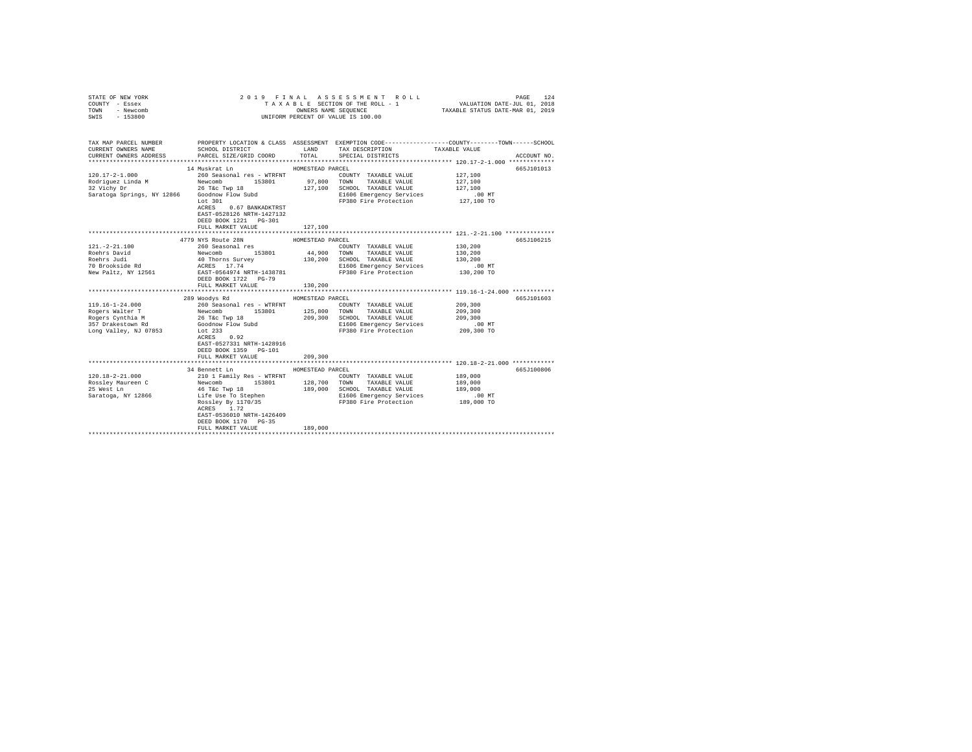| STATE OF NEW YORK<br>COUNTY - Essex<br>TOWN<br>- Newcomb<br>SWIS - 153800                                                                                                                                                                                                                                                                                 |                                                                                                                                                                                                                                                                                                              |                  | 2019 FINAL ASSESSMENT ROLL<br>TAXABLE SECTION OF THE ROLL - 1<br>UNIFORM PERCENT OF VALUE IS 100.00                                                                                                                                            | 124<br>PAGE<br>3 L E SECTION OF THE ROLL - 1 VALUATION DATE-JUL 01, 2018<br>OWNERS NAME SEQUENCE TAXABLE STATUS DATE-MAR 01, 2019     |
|-----------------------------------------------------------------------------------------------------------------------------------------------------------------------------------------------------------------------------------------------------------------------------------------------------------------------------------------------------------|--------------------------------------------------------------------------------------------------------------------------------------------------------------------------------------------------------------------------------------------------------------------------------------------------------------|------------------|------------------------------------------------------------------------------------------------------------------------------------------------------------------------------------------------------------------------------------------------|---------------------------------------------------------------------------------------------------------------------------------------|
| CURRENT OWNERS NAME                                                                                                                                                                                                                                                                                                                                       | SCHOOL DISTRICT TAND TAX DESCRIPTION                                                                                                                                                                                                                                                                         |                  |                                                                                                                                                                                                                                                | TAX MAP PARCEL NUMBER PROPERTY LOCATION & CLASS ASSESSMENT EXEMPTION CODE--------------COUNTY-------TOWN------SCHOOL<br>TAXABLE VALUE |
| CURRENT OWNERS ADDRESS PARCEL SIZE/GRID COORD TOTAL                                                                                                                                                                                                                                                                                                       |                                                                                                                                                                                                                                                                                                              |                  | SPECIAL DISTRICTS                                                                                                                                                                                                                              | ACCOUNT NO.                                                                                                                           |
|                                                                                                                                                                                                                                                                                                                                                           | 14 Muskrat Ln                                                                                                                                                                                                                                                                                                | HOMESTEAD PARCEL |                                                                                                                                                                                                                                                | 665J101013                                                                                                                            |
| $120.17 - 2 - 1.000$<br>$\begin{array}{cccccccccc} \texttt{Rodriguez Linda M} & \texttt{Newcomb} & 153801 & 97,800 & \texttt{TONN} & \texttt{TAXABLE VALUE} \\ 32 \text{ Vichy Dr} & 26 \text{ Téc Twp} & 18 & 127,100 & \texttt{SCHOOL} & \texttt{TAXABLE VALUE} \end{array}$<br>32 vieny pr<br>Saratoga Springs, NY 12866 Goodnow Flow Subd<br>Tort 301 | 260 Seasonal res - WTRFNT<br>ACRES 0.67 BANKADKTRST<br>EAST-0528126 NRTH-1427132                                                                                                                                                                                                                             |                  | COUNTY TAXABLE VALUE 127,100<br>E1606 Emergency Services 100 MT<br>FP380 Fire Protection 127,100 TO                                                                                                                                            | 127,100<br>127,100                                                                                                                    |
|                                                                                                                                                                                                                                                                                                                                                           | DEED BOOK 1221 PG-301<br>FULL MARKET VALUE                                                                                                                                                                                                                                                                   | 127,100          |                                                                                                                                                                                                                                                |                                                                                                                                       |
|                                                                                                                                                                                                                                                                                                                                                           | 4779 NYS Route 28N                                                                                                                                                                                                                                                                                           | HOMESTEAD PARCEL |                                                                                                                                                                                                                                                | 665J106215                                                                                                                            |
| $121. - 2 - 21.100$<br>121.-2-21.100<br>Roehrs David<br>Roehrs Judi<br>Roenis Juur<br>70 Brookside Rd<br>New Paltz, NY 12561                                                                                                                                                                                                                              | 260 Seasonal res<br>Newcomb 153801 44,900 COUNT TAXABLE VALUE<br>40 TOWN TAXABLE VALUE<br>40 TOWN TAXABLE VALUE<br>40 TOWN TAXABLE VALUE<br>40 ACRES 17.74 11606 Emergency Services<br>RAST-0564974 NRTH-1438781 FP380 Fire Protection<br>FP380 Fire Protection<br>DEED BOOK 1722 PG-79<br>FULL MARKET VALUE | 130,200          | COUNTY TAXABLE VALUE<br>130,200 SCHOOL TAXABLE VALUE<br>E1606 Emergency Services<br>FP380 Fire Protection                                                                                                                                      | 130,200<br>130,200<br>130,200<br>.00 MT.<br>130,200 TO                                                                                |
|                                                                                                                                                                                                                                                                                                                                                           | 289 Woodys Rd                                                                                                                                                                                                                                                                                                | HOMESTEAD PARCEL |                                                                                                                                                                                                                                                | 665J101603                                                                                                                            |
|                                                                                                                                                                                                                                                                                                                                                           | EAST-0527331 NRTH-1428916<br>DEED BOOK 1359 PG-101                                                                                                                                                                                                                                                           |                  | 209,300 SCHOOL TAXABLE VALUE<br>E1606 Emergency Services<br>FP380 Fire Protection                                                                                                                                                              | 209,300<br>209,300<br>209,300<br>$.00 \text{ MT}$<br>209,300 TO                                                                       |
|                                                                                                                                                                                                                                                                                                                                                           | FULL MARKET VALUE                                                                                                                                                                                                                                                                                            | 209,300          |                                                                                                                                                                                                                                                |                                                                                                                                       |
| $120.18 - 2 - 21.000$<br>Rossley Maureen C<br>25 West Ln<br>Saratoga, NY 12866                                                                                                                                                                                                                                                                            | 34 Bennett Ln<br>ACRES 1.72<br>EAST-0536010 NRTH-1426409<br>DEED BOOK 1170 PG-35                                                                                                                                                                                                                             | HOMESTEAD PARCEL | 91 Bender and Taylor (2000)<br>210 1 Family Res - WTRFNT (2000)<br>210 1 Family Res - WTRFNT (2000)<br>218,700 TOWN TAXABLE VALUE 189,000<br>46 Téc Twp 18<br>46 Téc Twp 18<br>21606 Emergency Services<br>21606 Emergency Services<br>21606 E | 665J100806                                                                                                                            |
|                                                                                                                                                                                                                                                                                                                                                           | FULL MARKET VALUE                                                                                                                                                                                                                                                                                            | 189,000          |                                                                                                                                                                                                                                                |                                                                                                                                       |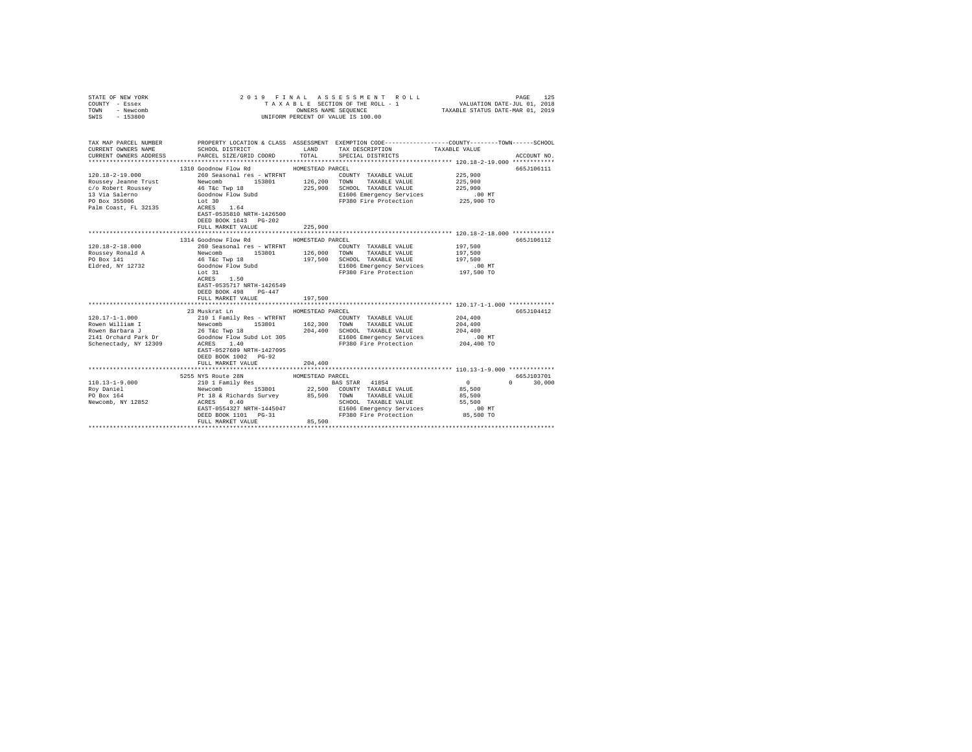| COUNTY - Essex<br>TOWN<br>- Newcomb<br>SWIS<br>$-153800$ | UNIFORM PERCENT OF VALUE IS 100.00                                                             |                                                                                                                                                                                                                                                                                          |                              |
|----------------------------------------------------------|------------------------------------------------------------------------------------------------|------------------------------------------------------------------------------------------------------------------------------------------------------------------------------------------------------------------------------------------------------------------------------------------|------------------------------|
| CURRENT OWNERS NAME<br>CURRENT OWNERS ADDRESS            | PARCEL SIZE/GRID COORD                                                                         | TAX MAP PARCEL NUMBER PROPERTY LOCATION & CLASS ASSESSMENT EXEMPTION CODE---------------COUNTY-------TOWN------SCHOOL<br>SCHOOL DISTRICT TAND TAX DESCRIPTION<br>SPECIAL DISTRICTS<br>TOTAL                                                                                              | TAXABLE VALUE<br>ACCOUNT NO. |
|                                                          | 1310 Goodnow Flow Rd                                                                           | HOMESTEAD PARCEL                                                                                                                                                                                                                                                                         | 665J106111                   |
| 120.18-2-19.000                                          | 260 Seasonal res - WTRFNT                                                                      | COUNTY TAXABLE VALUE                                                                                                                                                                                                                                                                     | 225,900                      |
|                                                          |                                                                                                | $153801 \qquad \qquad 126,200 \qquad \qquad {\small TONN} \qquad \qquad {\small TAXABLE\ VALUE} \qquad \qquad 225,900 \qquad \qquad {\small SCH OOL} \qquad {\small TAXABLE\ VALUE}$<br>TAXABLE VALUE                                                                                    | 225,900                      |
|                                                          |                                                                                                |                                                                                                                                                                                                                                                                                          | 225,900                      |
|                                                          |                                                                                                | El606 Emergency Services .00 MT<br>FP380 Fire Protection 225,900 TO                                                                                                                                                                                                                      |                              |
|                                                          | DEED BOOK 1643 PG-202<br>FULL MARKET VALUE                                                     | 225,900                                                                                                                                                                                                                                                                                  |                              |
|                                                          |                                                                                                |                                                                                                                                                                                                                                                                                          |                              |
|                                                          | 1314 Goodnow Flow Rd                                                                           | HOMESTEAD PARCEL                                                                                                                                                                                                                                                                         | 665J106112                   |
| $120.18 - 2 - 18.000$                                    | 260 Seasonal res - WTRFNT                                                                      | COUNTY TAXABLE VALUE                                                                                                                                                                                                                                                                     | 197.500                      |
|                                                          |                                                                                                | 153801 126,000 TOWN<br>TAXABLE VALUE                                                                                                                                                                                                                                                     | 197,500                      |
|                                                          |                                                                                                | 197,500 SCHOOL TAXABLE VALUE                                                                                                                                                                                                                                                             | 197,500                      |
|                                                          |                                                                                                | E1606 Emergency Services<br>FP380 Fire Protection                                                                                                                                                                                                                                        | 00 MT.<br>197,500 TO         |
|                                                          | Lot 31<br>ACRES 1.50<br>EAST-0535717 NRTH-1426549<br>DEED BOOK 498 PG-447<br>FULL MARKET VALUE | 197,500                                                                                                                                                                                                                                                                                  |                              |
|                                                          |                                                                                                |                                                                                                                                                                                                                                                                                          | 665J104412                   |
| $120.17 - 1 - 1.000$                                     | 23 Muskrat Ln<br>210 1 Family Res - WTRFNT                                                     | HOMESTEAD PARCEL<br>COUNTY TAXABLE VALUE                                                                                                                                                                                                                                                 | 204,400                      |
| Rowen William I                                          | Newcomb 153801 162,300 TOWN                                                                    | TAXABLE VALUE                                                                                                                                                                                                                                                                            | 204,400                      |
|                                                          |                                                                                                | SCHOOL TAXABLE VALUE                                                                                                                                                                                                                                                                     | 204,400                      |
|                                                          |                                                                                                | E1606 Emergency Services                                                                                                                                                                                                                                                                 | .00 MT                       |
|                                                          |                                                                                                | FP380 Fire Protection                                                                                                                                                                                                                                                                    | 204,400 TO                   |
|                                                          | EAST-0527689 NRTH-1427095<br>DEED BOOK 1002 PG-92<br>FULL MARKET VALUE                         | 204,400                                                                                                                                                                                                                                                                                  |                              |
|                                                          |                                                                                                |                                                                                                                                                                                                                                                                                          |                              |
|                                                          | 5255 NYS Route 28N                                                                             | HOMESTEAD PARCEL                                                                                                                                                                                                                                                                         | 665J103701                   |
|                                                          |                                                                                                |                                                                                                                                                                                                                                                                                          | $0 \t 30,000$                |
|                                                          |                                                                                                |                                                                                                                                                                                                                                                                                          |                              |
|                                                          |                                                                                                |                                                                                                                                                                                                                                                                                          |                              |
|                                                          |                                                                                                |                                                                                                                                                                                                                                                                                          |                              |
|                                                          |                                                                                                |                                                                                                                                                                                                                                                                                          |                              |
|                                                          |                                                                                                | $\begin{tabular}{l c c c c c} \hline 110.13-1-9.000 & 5255 MW & HOMESJERM & HOMESJERM & HOMESJERM & RAGS & 0 & 153001 & 172011180 & 153001 & 153001 & 153001 & 153001 & 153001 & 153001 & 153001 & 153001 & 15301 & 22,500 & 000000 & 153001 & 153001 & 22,500 & 000000 & 153001 & 1530$ |                              |
|                                                          | FULL MARKET VALUE                                                                              | 85,500                                                                                                                                                                                                                                                                                   |                              |
|                                                          |                                                                                                |                                                                                                                                                                                                                                                                                          |                              |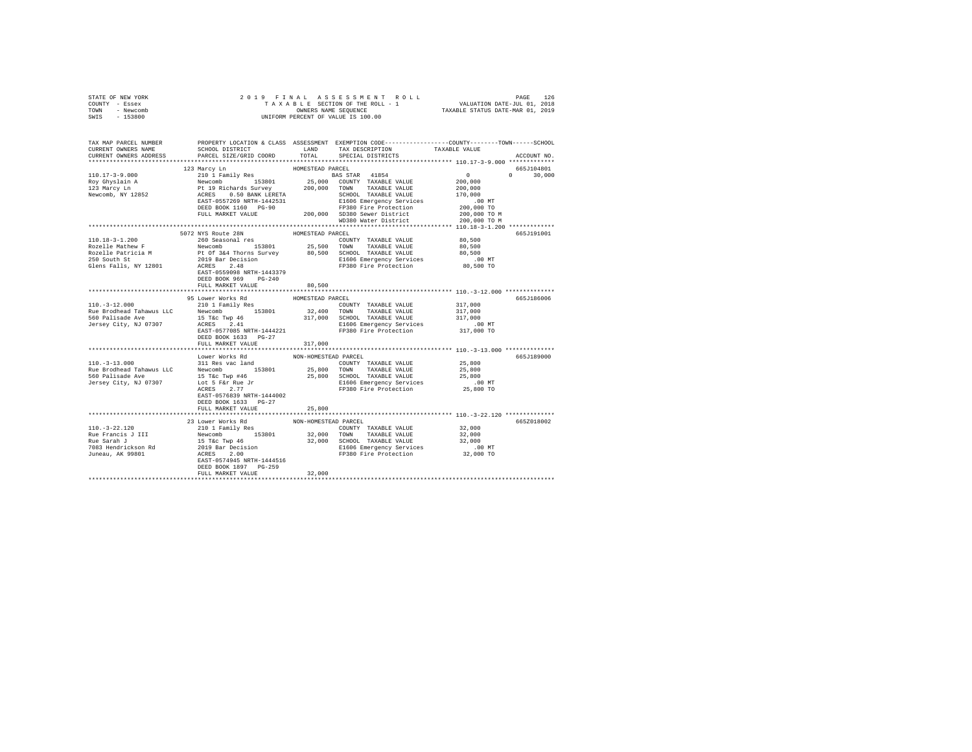| STATE OF NEW YORK      |                                                                                                                                                                                                                                                                                                                                                                                                  |                      |                                                                               |                                                          |               |
|------------------------|--------------------------------------------------------------------------------------------------------------------------------------------------------------------------------------------------------------------------------------------------------------------------------------------------------------------------------------------------------------------------------------------------|----------------------|-------------------------------------------------------------------------------|----------------------------------------------------------|---------------|
| COUNTY - Essex         |                                                                                                                                                                                                                                                                                                                                                                                                  |                      |                                                                               |                                                          |               |
| TOWN - Newcomb         |                                                                                                                                                                                                                                                                                                                                                                                                  |                      |                                                                               |                                                          |               |
| SWIS - 153800          |                                                                                                                                                                                                                                                                                                                                                                                                  |                      |                                                                               |                                                          |               |
|                        |                                                                                                                                                                                                                                                                                                                                                                                                  |                      |                                                                               |                                                          |               |
|                        |                                                                                                                                                                                                                                                                                                                                                                                                  |                      |                                                                               |                                                          |               |
|                        | TAX MAP PARCEL NUMBER PROPERTY LOCATION & CLASS ASSESSMENT EXEMPTION CODE--------------COUNTY-------TOWN-----SCHOOL                                                                                                                                                                                                                                                                              |                      |                                                                               |                                                          |               |
| CURRENT OWNERS NAME    |                                                                                                                                                                                                                                                                                                                                                                                                  |                      | SCHOOL DISTRICT $\hfill$ LAND $\hfill$ TAX DESCRIPTION $\hfill$ TAXABLE VALUE |                                                          |               |
| CURRENT OWNERS ADDRESS | PARCEL SIZE/GRID COORD                                                                                                                                                                                                                                                                                                                                                                           | TOTAL                | SPECIAL DISTRICTS                                                             |                                                          | ACCOUNT NO.   |
|                        |                                                                                                                                                                                                                                                                                                                                                                                                  |                      |                                                                               |                                                          |               |
|                        | 123 Marcy Ln                                                                                                                                                                                                                                                                                                                                                                                     | HOMESTEAD PARCEL     |                                                                               |                                                          | 665J104801    |
|                        |                                                                                                                                                                                                                                                                                                                                                                                                  |                      |                                                                               |                                                          | $0 \t 30.000$ |
|                        |                                                                                                                                                                                                                                                                                                                                                                                                  |                      |                                                                               |                                                          |               |
|                        | $\begin{tabular}{l c c c c c} \hline 110.17-3-9.000 & 123\hspace{0.05cm} {\it MOMESTERD}~{\it MOMESTERD}~{\it MOMESTERD}~{\it MOMESTERD}~{\it MOMESTERD}~{\it MOMESTERD}~{\it MOMESTERD}~{\it MOMESTERD}~{\it MOMESTERD}~{\it MOMESTERD}~{\it MOMESTERD}~{\it MOMESTERD}~{\it MOMESTERD}~{\it MOMESTERD}~{\it MOMESTERD}~{\it MOMESTERD}~{\it MOMESTERD}~{\it MOMESTERD}~{\it MOMESTERD$         |                      |                                                                               |                                                          |               |
|                        |                                                                                                                                                                                                                                                                                                                                                                                                  |                      |                                                                               |                                                          |               |
|                        |                                                                                                                                                                                                                                                                                                                                                                                                  |                      |                                                                               |                                                          |               |
|                        |                                                                                                                                                                                                                                                                                                                                                                                                  |                      |                                                                               |                                                          |               |
|                        |                                                                                                                                                                                                                                                                                                                                                                                                  |                      |                                                                               |                                                          |               |
|                        |                                                                                                                                                                                                                                                                                                                                                                                                  |                      | WD380 Water District                                                          | 200,000 TO M                                             |               |
|                        |                                                                                                                                                                                                                                                                                                                                                                                                  |                      |                                                                               |                                                          |               |
|                        | 5072 NYS Route 28N                                                                                                                                                                                                                                                                                                                                                                               | HOMESTEAD PARCEL     |                                                                               |                                                          | 665J191001    |
| 110.18-3-1.200         | 260 Seasonal res                                                                                                                                                                                                                                                                                                                                                                                 |                      | COUNTY TAXABLE VALUE                                                          | 80,500                                                   |               |
|                        |                                                                                                                                                                                                                                                                                                                                                                                                  |                      |                                                                               |                                                          |               |
|                        |                                                                                                                                                                                                                                                                                                                                                                                                  |                      |                                                                               |                                                          |               |
|                        | Rozelle Mathew P<br>From The Mewcomb 153801 25,500 TOWN TAXABLE VALUE 80,500<br>Rozelle Mathew P<br>Rozelle Mathew P<br>260 SCHOD RATE: 2019 Bar Decision 80,500 SCHOD TAXABLE VALUE<br>260 SCHOD ROCKS 2.48<br>260 SUM SCHOB REST 2.48<br>                                                                                                                                                      |                      |                                                                               |                                                          |               |
|                        |                                                                                                                                                                                                                                                                                                                                                                                                  |                      |                                                                               | 00 MT.<br>80,500 TO                                      |               |
|                        |                                                                                                                                                                                                                                                                                                                                                                                                  |                      |                                                                               |                                                          |               |
|                        |                                                                                                                                                                                                                                                                                                                                                                                                  |                      |                                                                               |                                                          |               |
|                        | DEED BOOK 969 PG-240                                                                                                                                                                                                                                                                                                                                                                             |                      |                                                                               |                                                          |               |
|                        | FULL MARKET VALUE                                                                                                                                                                                                                                                                                                                                                                                | 80,500               |                                                                               |                                                          |               |
|                        |                                                                                                                                                                                                                                                                                                                                                                                                  |                      |                                                                               |                                                          |               |
|                        | MONESTEAD PARCEL 10.000 1560 MM POWESTEAD PARCEL 10.000 1 1 Family Res (210 1 Family Res (200 1 Tamily Res (200 1 Tamily Res (200 1 Tamily Res (200 1 Tamily Res (200 1 Tamily Res (200 1 Tamily Res (200 1 Tamily Res (200 1                                                                                                                                                                    |                      |                                                                               |                                                          | 665J186006    |
|                        |                                                                                                                                                                                                                                                                                                                                                                                                  |                      |                                                                               |                                                          |               |
|                        |                                                                                                                                                                                                                                                                                                                                                                                                  |                      |                                                                               |                                                          |               |
|                        |                                                                                                                                                                                                                                                                                                                                                                                                  |                      |                                                                               |                                                          |               |
|                        |                                                                                                                                                                                                                                                                                                                                                                                                  |                      |                                                                               |                                                          |               |
|                        |                                                                                                                                                                                                                                                                                                                                                                                                  |                      |                                                                               |                                                          |               |
|                        | DEED BOOK 1633 PG-27                                                                                                                                                                                                                                                                                                                                                                             |                      |                                                                               |                                                          |               |
|                        | FULL MARKET VALUE                                                                                                                                                                                                                                                                                                                                                                                | 317,000              |                                                                               |                                                          |               |
|                        | *************************                                                                                                                                                                                                                                                                                                                                                                        | *******************  |                                                                               | *************************** 110.-3-13.000 ************** |               |
|                        | Lower Works Rd                                                                                                                                                                                                                                                                                                                                                                                   | NON-HOMESTEAD PARCEL |                                                                               |                                                          | 665J189000    |
|                        |                                                                                                                                                                                                                                                                                                                                                                                                  |                      |                                                                               | 25,800                                                   |               |
|                        |                                                                                                                                                                                                                                                                                                                                                                                                  |                      |                                                                               |                                                          |               |
|                        |                                                                                                                                                                                                                                                                                                                                                                                                  |                      |                                                                               |                                                          |               |
|                        |                                                                                                                                                                                                                                                                                                                                                                                                  |                      |                                                                               | 00 MT.<br>25,800 TO                                      |               |
|                        |                                                                                                                                                                                                                                                                                                                                                                                                  |                      |                                                                               |                                                          |               |
|                        | EAST-0576839 NRTH-1444002                                                                                                                                                                                                                                                                                                                                                                        |                      |                                                                               |                                                          |               |
|                        | DEED BOOK 1633 PG-27                                                                                                                                                                                                                                                                                                                                                                             |                      |                                                                               |                                                          |               |
|                        | FULL MARKET VALUE                                                                                                                                                                                                                                                                                                                                                                                | 25,800               |                                                                               |                                                          |               |
|                        |                                                                                                                                                                                                                                                                                                                                                                                                  |                      |                                                                               |                                                          |               |
|                        |                                                                                                                                                                                                                                                                                                                                                                                                  |                      |                                                                               |                                                          | 665Z018002    |
|                        | $\begin{tabular}{c c c c} \hline 110.-3-22.120 & 23 Lower Works Red & NON-HOMESTATION-1010--3-22.120 & 23 Lower Works Red & NON-HOMESTATION-1010--3-22.120 & 23-000\nRue Francis J III & Newwww. 153801 & 32,000 TOMM TAXABLE VALUE & 32,000\nRue Sarah J & 15 Tec Type 46 & 32,000 TOMM XABLE VALUE & 32,000\n7083 Hendrickson Rd & 2019 Bar Decision & 32,000 TAXABLE VALUE & .00 MT\nJuneau,$ |                      |                                                                               |                                                          |               |
|                        |                                                                                                                                                                                                                                                                                                                                                                                                  |                      |                                                                               |                                                          |               |
|                        |                                                                                                                                                                                                                                                                                                                                                                                                  |                      |                                                                               |                                                          |               |
|                        |                                                                                                                                                                                                                                                                                                                                                                                                  |                      |                                                                               |                                                          |               |
|                        |                                                                                                                                                                                                                                                                                                                                                                                                  |                      |                                                                               |                                                          |               |
|                        |                                                                                                                                                                                                                                                                                                                                                                                                  |                      |                                                                               |                                                          |               |
|                        | DEED BOOK 1897 PG-259                                                                                                                                                                                                                                                                                                                                                                            |                      |                                                                               |                                                          |               |
|                        | FULL MARKET VALUE                                                                                                                                                                                                                                                                                                                                                                                | 32,000               |                                                                               |                                                          |               |
|                        |                                                                                                                                                                                                                                                                                                                                                                                                  |                      |                                                                               |                                                          |               |
|                        |                                                                                                                                                                                                                                                                                                                                                                                                  |                      |                                                                               |                                                          |               |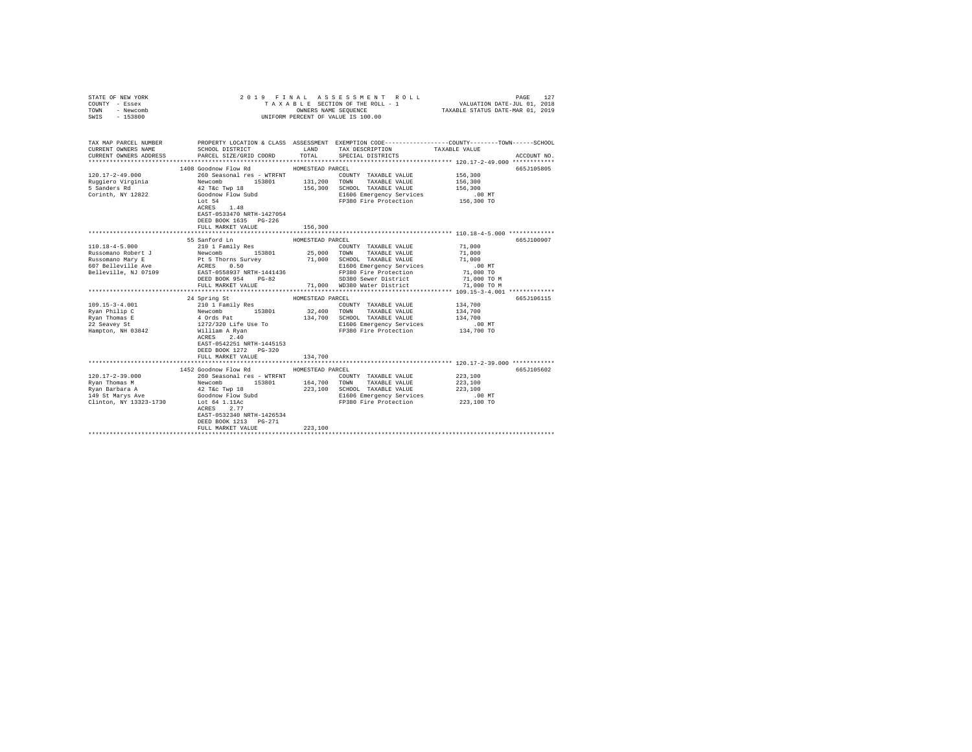| COUNTY - Essex<br>TOWN<br>- Newcomb<br>SWIS<br>$-153800$ | UNIFORM PERCENT OF VALUE IS 100.00                                                                                                                                                                                                                                                                                                                                                                                                                                                |                  |                                                                                       |                                                              |             |
|----------------------------------------------------------|-----------------------------------------------------------------------------------------------------------------------------------------------------------------------------------------------------------------------------------------------------------------------------------------------------------------------------------------------------------------------------------------------------------------------------------------------------------------------------------|------------------|---------------------------------------------------------------------------------------|--------------------------------------------------------------|-------------|
| CURRENT OWNERS NAME<br>CURRENT OWNERS ADDRESS            | TAX MAP PARCEL NUMBER PROPERTY LOCATION & CLASS ASSESSMENT EXEMPTION CODE---------------COUNTY-------TOWN------SCHOOL<br>SCHOOL DISTRICT TAND TAX DESCRIPTION<br>PARCEL SIZE/GRID COORD                                                                                                                                                                                                                                                                                           | TOTAL            | SPECIAL DISTRICTS                                                                     | TAXABLE VALUE                                                | ACCOUNT NO. |
|                                                          | 1408 Goodnow Flow Rd MOMESTEAD PARCEL                                                                                                                                                                                                                                                                                                                                                                                                                                             |                  |                                                                                       |                                                              | 665J105805  |
| $120.17 - 2 - 49.000$                                    |                                                                                                                                                                                                                                                                                                                                                                                                                                                                                   |                  | COUNTY TAXABLE VALUE 156,300                                                          |                                                              |             |
|                                                          | $\begin{tabular}{llllll} 260 \textbf{Seasonal} res & \textbf{WTRENT} & \textbf{COUNTY} \\ {\small \textbf{Newcomb} & 153801 & 131,200 & \textbf{TOWN} \\ \end{tabular}$                                                                                                                                                                                                                                                                                                           |                  | TAXABLE VALUE                                                                         | 156,300                                                      |             |
| Ruggiero Virginia<br>5 Sanders Rd                        |                                                                                                                                                                                                                                                                                                                                                                                                                                                                                   |                  |                                                                                       | 156,300                                                      |             |
| Corinth, NY 12822                                        | 260 Seasonal res - WTRFNT<br>Newcomb<br>42 T&c Twp 18<br>Goodnow Flow Subd<br>500                                                                                                                                                                                                                                                                                                                                                                                                 |                  | 156,300 SCHOOL TAXABLE VALUE<br>E1606 Emergency Services                              | .00 MT                                                       |             |
|                                                          | Lot 54                                                                                                                                                                                                                                                                                                                                                                                                                                                                            |                  | FP380 Fire Protection 156,300 TO                                                      |                                                              |             |
|                                                          | $ACRES$ 1.48<br>EAST-0533470 NRTH-1427054<br>DEED BOOK 1635 PG-226                                                                                                                                                                                                                                                                                                                                                                                                                |                  |                                                                                       |                                                              |             |
|                                                          | FULL MARKET VALUE                                                                                                                                                                                                                                                                                                                                                                                                                                                                 | 156,300          |                                                                                       |                                                              |             |
|                                                          | 55 Sanford Ln                                                                                                                                                                                                                                                                                                                                                                                                                                                                     | HOMESTEAD PARCEL |                                                                                       |                                                              | 665J100907  |
|                                                          | $Russomano Robert J \underbrace{\hspace{0.3cm}}_{210 \text{ 11 ramily Res}} \underbrace{\hspace{0.3cm}}_{220 \text{ 11 ramily Res}} \underbrace{\hspace{0.3cm}}_{23801} \underbrace{\hspace{0.3cm}}_{25,000} \underbrace{\hspace{0.3cm}}_{25000} \underbrace{\hspace{0.3cm}}_{TRXABLE VALUE} \underbrace{\hspace{0.3cm}}_{RAIBLE VALUE} \underbrace{\hspace{0.3cm}}_{RLUE} \underbrace{\hspace{0.3cm}}_{RLUE} \underbrace{\hspace{0.3cm}}_{RLUE} \underbrace{\hspace{0.3cm}}_{RL$ |                  |                                                                                       | 71,000                                                       |             |
|                                                          |                                                                                                                                                                                                                                                                                                                                                                                                                                                                                   |                  |                                                                                       | 71,000                                                       |             |
|                                                          |                                                                                                                                                                                                                                                                                                                                                                                                                                                                                   |                  |                                                                                       | 71,000                                                       |             |
|                                                          |                                                                                                                                                                                                                                                                                                                                                                                                                                                                                   |                  |                                                                                       | $.00$ MT                                                     |             |
|                                                          |                                                                                                                                                                                                                                                                                                                                                                                                                                                                                   |                  |                                                                                       | 71,000 TO<br>71,000 TO M                                     |             |
|                                                          |                                                                                                                                                                                                                                                                                                                                                                                                                                                                                   |                  | SD380 Sewer District                                                                  |                                                              |             |
|                                                          | FULL MARKET VALUE                                                                                                                                                                                                                                                                                                                                                                                                                                                                 |                  | 71,000 WD380 Water District                                                           | 71,000 TO M                                                  |             |
|                                                          |                                                                                                                                                                                                                                                                                                                                                                                                                                                                                   |                  |                                                                                       |                                                              |             |
|                                                          | 24 Spring St                                                                                                                                                                                                                                                                                                                                                                                                                                                                      | HOMESTEAD PARCEL |                                                                                       |                                                              | 665J106115  |
| $109.15 - 3 - 4.001$                                     |                                                                                                                                                                                                                                                                                                                                                                                                                                                                                   |                  | COUNTY TAXABLE VALUE                                                                  | 134,700                                                      |             |
|                                                          |                                                                                                                                                                                                                                                                                                                                                                                                                                                                                   | 134,700          | 32,400 TOWN TAXABLE VALUE                                                             | 134,700                                                      |             |
| Ryan Philip C<br>Ryan Thomas E<br>22 Seavey St           |                                                                                                                                                                                                                                                                                                                                                                                                                                                                                   |                  | SCHOOL TAXABLE VALUE                                                                  | 134,700<br>.00MT                                             |             |
| Hampton, NH 03842                                        |                                                                                                                                                                                                                                                                                                                                                                                                                                                                                   |                  | E1606 Emergency Services<br>FP380 Fire Protection<br>FP380 Fire Protection 134,700 TO |                                                              |             |
|                                                          | 24 Spring-St<br>210 1 Family Res<br>Newcomb 153801<br>4 Ords Pat<br>1272/320 Life Use To<br>William A Ryan<br>ACRES 2.40<br>EAST-0542251 NRTH-1445153<br>DEED BOOK 1272 PG-320<br>FULL MARKET VALUE                                                                                                                                                                                                                                                                               | 134,700          |                                                                                       |                                                              |             |
|                                                          |                                                                                                                                                                                                                                                                                                                                                                                                                                                                                   |                  |                                                                                       | ******************************* 120.17-2-39.000 ************ |             |
|                                                          | 1452 Goodnow Flow Rd MOMESTEAD PARCEL                                                                                                                                                                                                                                                                                                                                                                                                                                             |                  |                                                                                       |                                                              | 665J105602  |
| $120.17 - 2 - 39.000$                                    | 260 Seasonal res - WTRFNT                                                                                                                                                                                                                                                                                                                                                                                                                                                         |                  | COUNTY TAXABLE VALUE                                                                  | 223,100                                                      |             |
| Ryan Thomas M                                            |                                                                                                                                                                                                                                                                                                                                                                                                                                                                                   |                  |                                                                                       | 223,100                                                      |             |
| Ryan Barbara A<br>149 St Marys Ave                       |                                                                                                                                                                                                                                                                                                                                                                                                                                                                                   |                  | SCHOOL TAXABLE VALUE                                                                  | 223,100                                                      |             |
| Clinton, NY 13323-1730                                   |                                                                                                                                                                                                                                                                                                                                                                                                                                                                                   |                  | E1606 Emergency Services<br>FP380 Fire Protection                                     | .00 MT<br>223,100 TO                                         |             |
|                                                          | EAST-0532340 NRTH-1426534<br>DEED BOOK 1213 PG-271                                                                                                                                                                                                                                                                                                                                                                                                                                |                  |                                                                                       |                                                              |             |
|                                                          | FULL MARKET VALUE                                                                                                                                                                                                                                                                                                                                                                                                                                                                 | 223,100          |                                                                                       |                                                              |             |
|                                                          |                                                                                                                                                                                                                                                                                                                                                                                                                                                                                   |                  |                                                                                       |                                                              |             |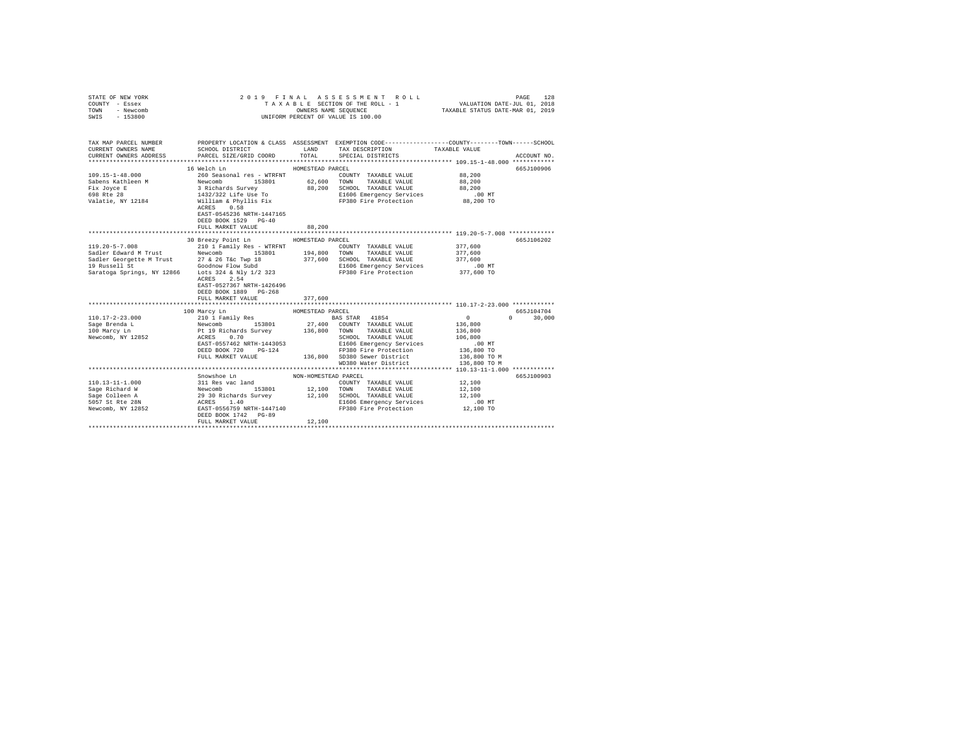| STATE OF NEW YORK<br>COUNTY - Essex<br>TOWN - Newcomb<br>SWIS - 153800 | 2019 FINAL                                                                                                                                                                                                                                                                                                                                                                                                                                                                                                                |                      | ASSESSMENT ROLL<br>TAXABLE SECTION OF THE ROLL - 1<br>OWNERS NAME SEQUENCE<br>UNIFORM PERCENT OF VALUE IS 100.00 | VALUATION DATE-JUL 01, 2018<br>TAXABLE STATUS DATE-MAR 01, 2019 | 128<br>PAGE   |
|------------------------------------------------------------------------|---------------------------------------------------------------------------------------------------------------------------------------------------------------------------------------------------------------------------------------------------------------------------------------------------------------------------------------------------------------------------------------------------------------------------------------------------------------------------------------------------------------------------|----------------------|------------------------------------------------------------------------------------------------------------------|-----------------------------------------------------------------|---------------|
| CURRENT OWNERS NAME                                                    | TAX MAP PARCEL NUMBER PROPERTY LOCATION & CLASS ASSESSMENT EXEMPTION CODE---------------COUNTY-------TOWN------SCHOOL<br>SCHOOL DISTRICT TAND TAX DESCRIPTION                                                                                                                                                                                                                                                                                                                                                             |                      |                                                                                                                  | TAXABLE VALUE                                                   |               |
|                                                                        | CURRENT OWNERS ADDRESS PARCEL SIZE/GRID COORD                                                                                                                                                                                                                                                                                                                                                                                                                                                                             | TOTAL                | SPECIAL DISTRICTS                                                                                                |                                                                 | ACCOUNT NO.   |
|                                                                        |                                                                                                                                                                                                                                                                                                                                                                                                                                                                                                                           |                      |                                                                                                                  |                                                                 |               |
|                                                                        | 16 Welch Ln                                                                                                                                                                                                                                                                                                                                                                                                                                                                                                               | HOMESTEAD PARCEL     |                                                                                                                  |                                                                 | 665J100906    |
|                                                                        |                                                                                                                                                                                                                                                                                                                                                                                                                                                                                                                           |                      |                                                                                                                  | 88,200                                                          |               |
|                                                                        |                                                                                                                                                                                                                                                                                                                                                                                                                                                                                                                           |                      |                                                                                                                  | 88,200                                                          |               |
|                                                                        |                                                                                                                                                                                                                                                                                                                                                                                                                                                                                                                           |                      |                                                                                                                  | 88,200                                                          |               |
|                                                                        |                                                                                                                                                                                                                                                                                                                                                                                                                                                                                                                           |                      |                                                                                                                  | 00 MT.<br>88,200 TO                                             |               |
|                                                                        | EAST-0545236 NRTH-1447165<br>DEED BOOK 1529 PG-40                                                                                                                                                                                                                                                                                                                                                                                                                                                                         |                      |                                                                                                                  |                                                                 |               |
|                                                                        | FULL MARKET VALUE                                                                                                                                                                                                                                                                                                                                                                                                                                                                                                         | 88,200               |                                                                                                                  |                                                                 |               |
|                                                                        | 30 Breezy Point Ln                                                                                                                                                                                                                                                                                                                                                                                                                                                                                                        | HOMESTEAD PARCEL     |                                                                                                                  |                                                                 | 665J106202    |
|                                                                        |                                                                                                                                                                                                                                                                                                                                                                                                                                                                                                                           |                      |                                                                                                                  | 377,600                                                         |               |
|                                                                        |                                                                                                                                                                                                                                                                                                                                                                                                                                                                                                                           |                      |                                                                                                                  | 377,600                                                         |               |
|                                                                        |                                                                                                                                                                                                                                                                                                                                                                                                                                                                                                                           |                      |                                                                                                                  | 377,600                                                         |               |
|                                                                        |                                                                                                                                                                                                                                                                                                                                                                                                                                                                                                                           |                      |                                                                                                                  |                                                                 |               |
|                                                                        | $\begin{tabular}{l c c c c c c c} \hline 119.20-5-7.008 & 210-11 small y Res & \texttt{MTFENT} & \texttt{1000NTY} & \texttt{TAXABLE VALUE} \\ \hline Sadler Edward M Trust & \texttt{Newcomb} & 153801 & 194,800 & \texttt{TXABLE VALUE} \\ \hline Sadler Georgette M Trust & \texttt{27 & 26 T} & 1998 & 377,600 & \texttt{SCHODL} & \texttt{TXABLE VALUE} \\ \hline 19 \texttt{Ruseell St} & \texttt{Goodnow Flowubd} & \text$<br>ACRES 2.54<br>EAST-0527367 NRTH-1426496<br>DEED BOOK 1889 PG-268<br>FULL MARKET VALUE | 377,600              | E1606 Emergency Services 6.00 MT<br>FP380 Fire Protection 377,600 TO                                             |                                                                 |               |
|                                                                        |                                                                                                                                                                                                                                                                                                                                                                                                                                                                                                                           |                      |                                                                                                                  |                                                                 |               |
|                                                                        | 100 Marcy Ln                                                                                                                                                                                                                                                                                                                                                                                                                                                                                                              | HOMESTEAD PARCEL     |                                                                                                                  |                                                                 | 665.T104704   |
| $110.17 - 2 - 23.000$                                                  |                                                                                                                                                                                                                                                                                                                                                                                                                                                                                                                           |                      | BAS STAR 41854                                                                                                   | $\sim$ 0                                                        | $0 \t 30,000$ |
| Sage Brenda L<br>100 Marcy Ln                                          |                                                                                                                                                                                                                                                                                                                                                                                                                                                                                                                           |                      |                                                                                                                  | 136,800                                                         |               |
|                                                                        |                                                                                                                                                                                                                                                                                                                                                                                                                                                                                                                           |                      |                                                                                                                  | 136,800                                                         |               |
| Newcomb, NY 12852                                                      |                                                                                                                                                                                                                                                                                                                                                                                                                                                                                                                           |                      | SCHOOL TAXABLE VALUE                                                                                             | 106,800                                                         |               |
|                                                                        | EAST-0557462 NRTH-1443053                                                                                                                                                                                                                                                                                                                                                                                                                                                                                                 |                      | E1606 Emergency Services                                                                                         | .00 MT<br>136,800 TO                                            |               |
|                                                                        | DEED BOOK 720 PG-124                                                                                                                                                                                                                                                                                                                                                                                                                                                                                                      |                      | FP380 Fire Protection                                                                                            |                                                                 |               |
|                                                                        |                                                                                                                                                                                                                                                                                                                                                                                                                                                                                                                           |                      | FULL MARKET VALUE 136,800 SD380 Sewer District 136,800 TO M<br>WD380 Water District                              | 136,800 TO M                                                    |               |
|                                                                        |                                                                                                                                                                                                                                                                                                                                                                                                                                                                                                                           |                      |                                                                                                                  |                                                                 |               |
|                                                                        | Snowshoe Ln                                                                                                                                                                                                                                                                                                                                                                                                                                                                                                               | NON-HOMESTEAD PARCEL |                                                                                                                  |                                                                 | 665J100903    |
|                                                                        |                                                                                                                                                                                                                                                                                                                                                                                                                                                                                                                           |                      | COUNTY TAXABLE VALUE                                                                                             | 12,100                                                          |               |
|                                                                        |                                                                                                                                                                                                                                                                                                                                                                                                                                                                                                                           |                      |                                                                                                                  | 12,100                                                          |               |
|                                                                        |                                                                                                                                                                                                                                                                                                                                                                                                                                                                                                                           |                      | 12,100 SCHOOL TAXABLE VALUE                                                                                      | 12,100                                                          |               |
|                                                                        |                                                                                                                                                                                                                                                                                                                                                                                                                                                                                                                           |                      |                                                                                                                  | .00 MT                                                          |               |
|                                                                        | DEED BOOK 1742 PG-89                                                                                                                                                                                                                                                                                                                                                                                                                                                                                                      |                      | E1606 Emergency Services<br>FP380 Fire Protection                                                                | 12,100 TO                                                       |               |
|                                                                        | FULL MARKET VALUE                                                                                                                                                                                                                                                                                                                                                                                                                                                                                                         | 12,100               |                                                                                                                  |                                                                 |               |
|                                                                        |                                                                                                                                                                                                                                                                                                                                                                                                                                                                                                                           |                      |                                                                                                                  |                                                                 |               |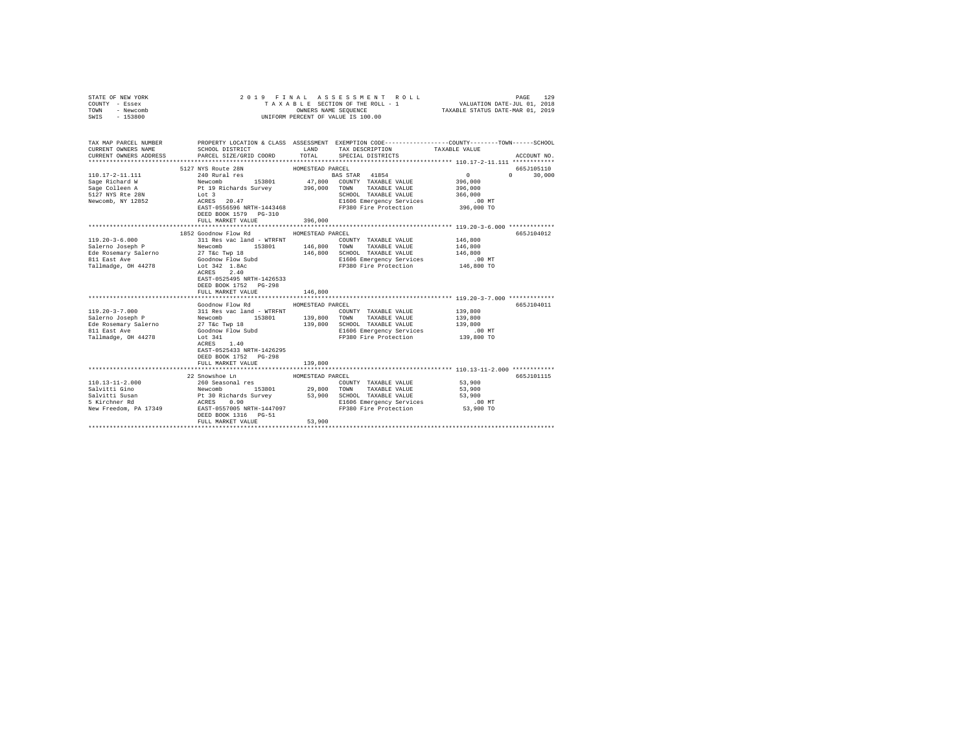| STATE OF NEW YORK<br>COUNTY - Essex<br>- Newcomb<br>TOWN<br>SWIS - 153800                                                                                                        |                                                                                                                                                                                    |                             | 2019 FINAL ASSESSMENT ROLL<br>UNIFORM PERCENT OF VALUE IS 100.00                                                                                              | 129<br>PAGE                                                                               |
|----------------------------------------------------------------------------------------------------------------------------------------------------------------------------------|------------------------------------------------------------------------------------------------------------------------------------------------------------------------------------|-----------------------------|---------------------------------------------------------------------------------------------------------------------------------------------------------------|-------------------------------------------------------------------------------------------|
| CURRENT OWNERS NAME<br>CURRENT OWNERS ADDRESS                                                                                                                                    | SCHOOL DISTRICT LAND<br>PARCEL SIZE/GRID COORD                                                                                                                                     | TOTAL                       | TAX MAP PARCEL NUMBER PROPERTY LOCATION & CLASS ASSESSMENT EXEMPTION CODE---------------COUNTY-------TOWN------SCHOOL<br>TAX DESCRIPTION<br>SPECIAL DISTRICTS | TAXABLE VALUE<br>ACCOUNT NO.                                                              |
| Newcomb, NY 12852                                                                                                                                                                | 5127 NYS Route 28N<br>Lot 3<br>ACRES 20.47<br>EAST-0556596 NRTH-1443468<br>DEED BOOK 1579 PG-310<br>FULL MARKET VALUE                                                              | 396,000                     | E1606 Emergency Services<br>FP380 Fire Protection                                                                                                             | 665J105110<br>0<br>396,000<br>396,000<br>$0 \t 30.000$<br>366,000<br>.00 MT<br>396,000 TO |
| $119.20 - 3 - 6.000$                                                                                                                                                             | 1852 Goodnow Flow Rd<br>311 Res vac land - WTRFNT<br>ACRES 2.40<br>EAST-0525495 NRTH-1426533<br>DEED BOOK 1752 PG-298<br>FULL MARKET VALUE                                         | HOMESTEAD PARCEL<br>146,800 | COUNTY TAXABLE VALUE<br>TOWN TAXABLE VALUE<br>146,800 SCHOOL TAXABLE VALUE<br>E1606 Emergency Services<br>FP380 Fire Protection                               | 665J104012<br>146,800<br>146,800<br>146,800<br>00 MT.<br>146,800 TO                       |
| $119.20 - 3 - 7.000$<br>Salerno Joseph P<br>Salerno Joseph Physics (2019)<br>Ede Rosemary Salerno 27 T&C Twp 18<br>811 East Ave Goodnow Flow Subd<br>Tallmadge, 0H 44278 Lot 341 | Goodnow Flow Rd<br>311 Res vac land - WTRFNT<br>Newcomb 153801 139,800 TOWN TAXABLE VALUE<br>ACRES 1.40<br>EAST-0525433 NRTH-1426295<br>DEED BOOK 1752 PG-298<br>FULL MARKET VALUE | HOMESTEAD PARCEL<br>139,800 | COUNTY TAXABLE VALUE 139,800<br>139,800 SCHOOL TAXABLE VALUE<br>E1606 Emergency Services<br>FP380 Fire Protection 139,800 TO                                  | 665J104011<br>139,800<br>139,800<br>.00 MT                                                |
|                                                                                                                                                                                  | 22 Snowshoe Ln<br>DEED BOOK 1316 PG-51<br>FULL MARKET VALUE                                                                                                                        | HOMESTEAD PARCEL<br>53,900  |                                                                                                                                                               | 665J101115<br>53,900<br>53,900<br>53,900<br>$.00$ MT<br>53,900 TO                         |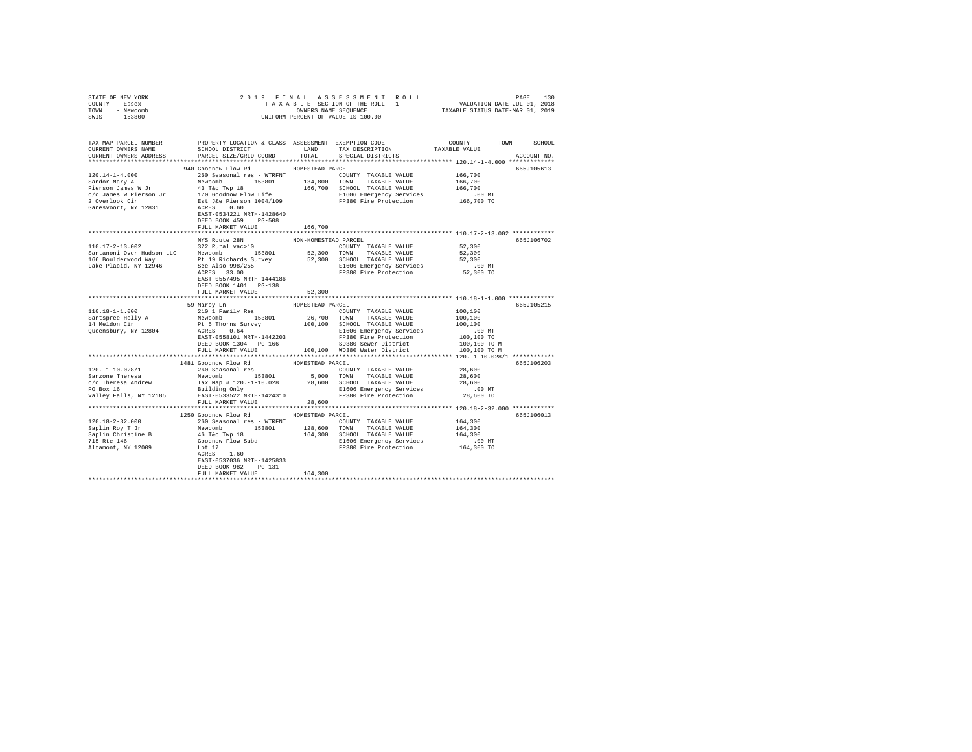| STATE OF NEW YORK                                                     |                                                                                         |                      |                                                                                                                                                                                                                                           |                                                  |             |
|-----------------------------------------------------------------------|-----------------------------------------------------------------------------------------|----------------------|-------------------------------------------------------------------------------------------------------------------------------------------------------------------------------------------------------------------------------------------|--------------------------------------------------|-------------|
| COUNTY - Essex                                                        |                                                                                         |                      |                                                                                                                                                                                                                                           |                                                  |             |
| TOWN - Newcomb                                                        |                                                                                         |                      |                                                                                                                                                                                                                                           |                                                  |             |
| SWIS - 153800                                                         |                                                                                         |                      |                                                                                                                                                                                                                                           |                                                  |             |
|                                                                       |                                                                                         |                      |                                                                                                                                                                                                                                           |                                                  |             |
|                                                                       |                                                                                         |                      |                                                                                                                                                                                                                                           |                                                  |             |
|                                                                       |                                                                                         |                      |                                                                                                                                                                                                                                           |                                                  |             |
|                                                                       |                                                                                         |                      | LAND TAX DESCRIPTION                                                                                                                                                                                                                      |                                                  |             |
| CURRENT OWNERS ADDRESS                                                | PARCEL SIZE/GRID COORD                                                                  | TOTAL                | SPECIAL DISTRICTS                                                                                                                                                                                                                         |                                                  | ACCOUNT NO. |
|                                                                       |                                                                                         |                      |                                                                                                                                                                                                                                           |                                                  |             |
|                                                                       | 940 Goodnow Flow Rd MOMESTEAD PARCEL                                                    |                      |                                                                                                                                                                                                                                           |                                                  | 665J105613  |
| $120.14 - 1 - 4.000$                                                  | 260 Seasonal res - WTRFNT                                                               |                      | COUNTY TAXABLE VALUE 166,700                                                                                                                                                                                                              |                                                  |             |
|                                                                       |                                                                                         |                      |                                                                                                                                                                                                                                           |                                                  |             |
| Sandor Mary A                                                         | Newcomb 153801 134,800 TOWN TAXABLE VALUE<br>43 T&c Twp 18 166,700 SCHOOL TAXABLE VALUE |                      |                                                                                                                                                                                                                                           | 166,700                                          |             |
| Pierson James W Jr                                                    |                                                                                         |                      |                                                                                                                                                                                                                                           | 166,700                                          |             |
| $\frac{1}{2}$ o James Weierson Jr $\frac{1}{2}$ 170 Godnow Flow Life  |                                                                                         |                      | 170 Goodnow Flow Life <b>Example 2016</b> E1606 Emergency Services 200 MT<br>Est J&e Pierson 1004/109 <b>EF</b> FR380 Fire Protection 166,700 TO                                                                                          |                                                  |             |
| 2 Overlook Cir                                                        |                                                                                         |                      |                                                                                                                                                                                                                                           |                                                  |             |
| Ganesvoort, NY 12831                                                  | ACRES 0.60                                                                              |                      |                                                                                                                                                                                                                                           |                                                  |             |
|                                                                       | EAST-0534221 NRTH-1428640                                                               |                      |                                                                                                                                                                                                                                           |                                                  |             |
|                                                                       | DEED BOOK 459 PG-508                                                                    |                      |                                                                                                                                                                                                                                           |                                                  |             |
|                                                                       | FULL MARKET VALUE                                                                       | 166,700              |                                                                                                                                                                                                                                           |                                                  |             |
|                                                                       |                                                                                         |                      |                                                                                                                                                                                                                                           |                                                  |             |
|                                                                       | NYS Route 28N                                                                           | NON-HOMESTEAD PARCEL |                                                                                                                                                                                                                                           |                                                  | 665J106702  |
|                                                                       |                                                                                         |                      |                                                                                                                                                                                                                                           |                                                  |             |
|                                                                       |                                                                                         |                      |                                                                                                                                                                                                                                           |                                                  |             |
|                                                                       |                                                                                         |                      |                                                                                                                                                                                                                                           |                                                  |             |
|                                                                       |                                                                                         |                      |                                                                                                                                                                                                                                           |                                                  |             |
|                                                                       |                                                                                         |                      |                                                                                                                                                                                                                                           |                                                  |             |
|                                                                       |                                                                                         |                      |                                                                                                                                                                                                                                           |                                                  |             |
|                                                                       | EAST-0557495 NRTH-1444186                                                               |                      |                                                                                                                                                                                                                                           |                                                  |             |
|                                                                       | DEED BOOK 1401 PG-138                                                                   |                      |                                                                                                                                                                                                                                           |                                                  |             |
|                                                                       | FULL MARKET VALUE                                                                       | 52,300               |                                                                                                                                                                                                                                           |                                                  |             |
|                                                                       |                                                                                         | *****************    |                                                                                                                                                                                                                                           | ******************* 110.18-1-1.000 ************* |             |
|                                                                       | 59 Marcy Ln                                                                             | HOMESTEAD PARCEL     |                                                                                                                                                                                                                                           |                                                  | 665J105215  |
| $110.18 - 1 - 1.000$                                                  | 210 1 Family Res                                                                        |                      | COUNTY TAXABLE VALUE                                                                                                                                                                                                                      | 100,100                                          |             |
|                                                                       |                                                                                         |                      |                                                                                                                                                                                                                                           | 100,100                                          |             |
| Santspree Holly A<br>14 Meldon Cir                                    |                                                                                         |                      |                                                                                                                                                                                                                                           | 100,100                                          |             |
| Queensbury, NY 12804                                                  |                                                                                         |                      | E1606 Emergency Services<br>FP380 Fire Protection<br>SD380 Sewer District<br>Protection                                                                                                                                                   | .00MT                                            |             |
|                                                                       | EAST-0558101 NRTH-1442203                                                               |                      |                                                                                                                                                                                                                                           | 100,100 TO                                       |             |
|                                                                       | DEED BOOK 1304 PG-166                                                                   |                      |                                                                                                                                                                                                                                           | 100,100 TO M                                     |             |
|                                                                       |                                                                                         |                      | FULL MARKET VALUE 100,100 WD380 Water District                                                                                                                                                                                            | 100,100 TO M                                     |             |
|                                                                       |                                                                                         |                      |                                                                                                                                                                                                                                           |                                                  |             |
|                                                                       | 1481 Goodnow Flow Rd HOMESTEAD PARCEL                                                   |                      |                                                                                                                                                                                                                                           |                                                  | 665J106203  |
| 120. -1-10.028/1                                                      | 260 Seasonal res                                                                        |                      | COUNTY TAXABLE VALUE                                                                                                                                                                                                                      | 28,600                                           |             |
|                                                                       |                                                                                         |                      |                                                                                                                                                                                                                                           |                                                  |             |
| 120.-1-10.028/1<br>Sanzone Theresa<br>c/o Theresa Andrew<br>PO Box 16 |                                                                                         |                      | 260 Seasonal res = 0.000 NOVILL AGAILE VALUE 1990<br>Tax Map # 120.-1-10.028 28,600 SCHOOL TAXABLE VALUE 28,600<br>Building Only 28,600 SCHOOL TAXABLE VALUE 28,600<br>BISO6 Emergency Services .00 MT<br>BAST-0533522 NRTH-1424310 PP380 |                                                  |             |
|                                                                       |                                                                                         |                      |                                                                                                                                                                                                                                           |                                                  |             |
|                                                                       |                                                                                         |                      |                                                                                                                                                                                                                                           |                                                  |             |
| Valley Falls, NY 12185                                                |                                                                                         |                      |                                                                                                                                                                                                                                           |                                                  |             |
|                                                                       | FULL MARKET VALUE                                                                       | 28,600               |                                                                                                                                                                                                                                           |                                                  |             |
|                                                                       |                                                                                         |                      |                                                                                                                                                                                                                                           |                                                  |             |
|                                                                       | 1250 Goodnow Flow Rd HOMESTEAD PARCEL                                                   |                      |                                                                                                                                                                                                                                           |                                                  | 665J106013  |
| 120.18-2-32.000                                                       | 260 Seasonal res - WTRFNT                                                               |                      | COUNTY TAXABLE VALUE                                                                                                                                                                                                                      | 164,300                                          |             |
| Saplin Roy T Jr<br>Saplin Christine B                                 |                                                                                         |                      |                                                                                                                                                                                                                                           |                                                  |             |
|                                                                       |                                                                                         |                      |                                                                                                                                                                                                                                           |                                                  |             |
| 715 Rte 146                                                           |                                                                                         |                      |                                                                                                                                                                                                                                           |                                                  |             |
| Altamont, NY 12009                                                    |                                                                                         |                      |                                                                                                                                                                                                                                           |                                                  |             |
|                                                                       |                                                                                         |                      |                                                                                                                                                                                                                                           |                                                  |             |
|                                                                       | EAST-0537036 NRTH-1425833                                                               |                      |                                                                                                                                                                                                                                           |                                                  |             |
|                                                                       | DEED BOOK 982 PG-131                                                                    |                      |                                                                                                                                                                                                                                           |                                                  |             |
|                                                                       | FULL MARKET VALUE                                                                       | 164,300              |                                                                                                                                                                                                                                           |                                                  |             |
|                                                                       |                                                                                         |                      |                                                                                                                                                                                                                                           |                                                  |             |
|                                                                       |                                                                                         |                      |                                                                                                                                                                                                                                           |                                                  |             |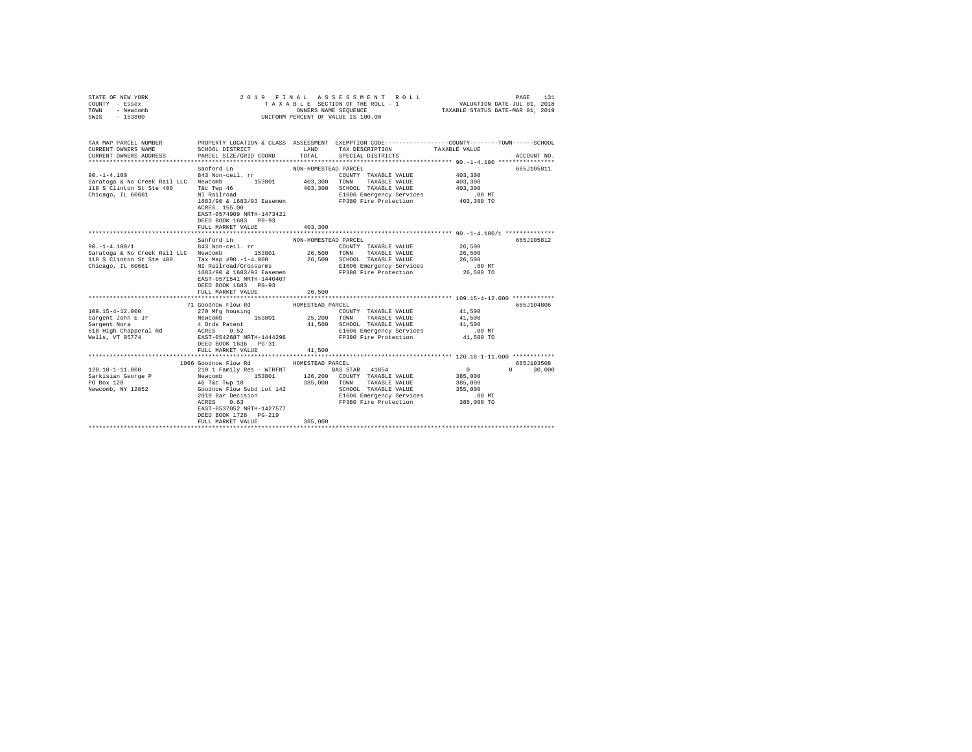| STATE OF NEW YORK |           |  |  | 2019 FINAL ASSESSMENT ROLL         |                                  | PAGE                        | 131 |
|-------------------|-----------|--|--|------------------------------------|----------------------------------|-----------------------------|-----|
| COUNTY - Essex    |           |  |  | TAXABLE SECTION OF THE ROLL - 1    |                                  | VALUATION DATE-JUL 01, 2018 |     |
| TOWN              | - Newcomb |  |  | OWNERS NAME SEOUENCE               | TAXABLE STATUS DATE-MAR 01, 2019 |                             |     |
| SWIS              | - 153800  |  |  | UNIFORM PERCENT OF VALUE IS 100.00 |                                  |                             |     |

| TAX MAP PARCEL NUMBER                                                                                                                                                                                                                                                                                                                                                                                                                                                               |                                                                                                      |                                      |                                                                                                                                                                                                | PROPERTY LOCATION & CLASS ASSESSMENT EXEMPTION CODE-----------------COUNTY-------TOWN-----SCHOOL |        |
|-------------------------------------------------------------------------------------------------------------------------------------------------------------------------------------------------------------------------------------------------------------------------------------------------------------------------------------------------------------------------------------------------------------------------------------------------------------------------------------|------------------------------------------------------------------------------------------------------|--------------------------------------|------------------------------------------------------------------------------------------------------------------------------------------------------------------------------------------------|--------------------------------------------------------------------------------------------------|--------|
| yu.-1-4.100 843 Non-ceil.rr COUNT<br>Saratoga & No Creek Rail LLC Newcomb 153801 403,300 TOWN<br>118 S Clinton St Ste 400 T&C Twp 46<br>Chicago, IL 60661 N1 Railroad                                                                                                                                                                                                                                                                                                               | Sanford Ln<br>ACRES 155.00<br>EAST-0574909 NRTH-1473421<br>DEED BOOK 1683 PG-93<br>FULL MARKET VALUE | NON-HOMESTEAD PARCEL<br>403,300      | COUNTY TAXABLE VALUE 403,300<br>TAXABLE VALUE 403,300<br>403,300 SCHOOL TAXABLE VALUE 403,300<br>E1606 Emergency Services .00 MT<br>1683/90 & 1683/93 Easemen FP380 Fire Protection 403,300 TO | 665J105811                                                                                       |        |
| $\begin{array}{cccccc} 90.-1-4.100/1 & 843&\text{Non-cei1. rr & \text{COUNTY TAXABLE VALUE} & 26,500 \\ Saratoga & \text{No Creek Rai1 LLC} & \text{Newton} & 153801 & 26,500 & \text{TOMN} & \text{TAXABLE VALUE} & 26,500 \\ \end{array}$<br>118 S Clinton St Ste 400 Tax Map #90.-1-4.000 26,500 SCHOOL TAXABLE VALUE 26,500 26,500<br>Chicago, IL 60661 11 Railroad/Crossarms 2.00 E1606 Emergency Services (200 MT<br>1683/90 & 1683/93 Easemen F9380 Fire Protection 26,500 T | Sanford Ln<br>EAST-0571541 NRTH-1440407<br>DEED BOOK 1683 PG-93                                      | NON-HOMESTEAD PARCEL                 |                                                                                                                                                                                                | 665J105812                                                                                       |        |
| 109.15-4-12.000<br>$\texttt{Sargent John E Jr} \begin{tabular}{lcccc} \texttt{Sayent} & \texttt{Newcomb} & \texttt{S3801} & \texttt{25,200} & \texttt{TONN} & \texttt{TXABLE VALUE} & \texttt{41,500} \\ \texttt{Sargent Nova} & \texttt{40\texttt{rds} } \texttt{Patternt} & \texttt{41,500} & \texttt{SCHOOL} & \texttt{TXABLE VALUE} & \texttt{41,500} \\ \end{tabular}$                                                                                                         | FULL MARKET VALUE<br>71 Goodnow Flow Rd<br>270 Mfg housing<br>FULL MARKET VALUE                      | 26,500<br>HOMESTEAD PARCEL<br>41,500 | COUNTY TAXABLE VALUE 41,500<br>E1606 Emergency Services .00 MT<br>FP380 Fire Protection                                                                                                        | 665J104806<br>41,500 TO                                                                          |        |
|                                                                                                                                                                                                                                                                                                                                                                                                                                                                                     | DEED BOOK 1728 PG-219<br>FULL MARKET VALUE                                                           | 385,000                              |                                                                                                                                                                                                | 665J103508<br>$0 \qquad \qquad$                                                                  | 30,000 |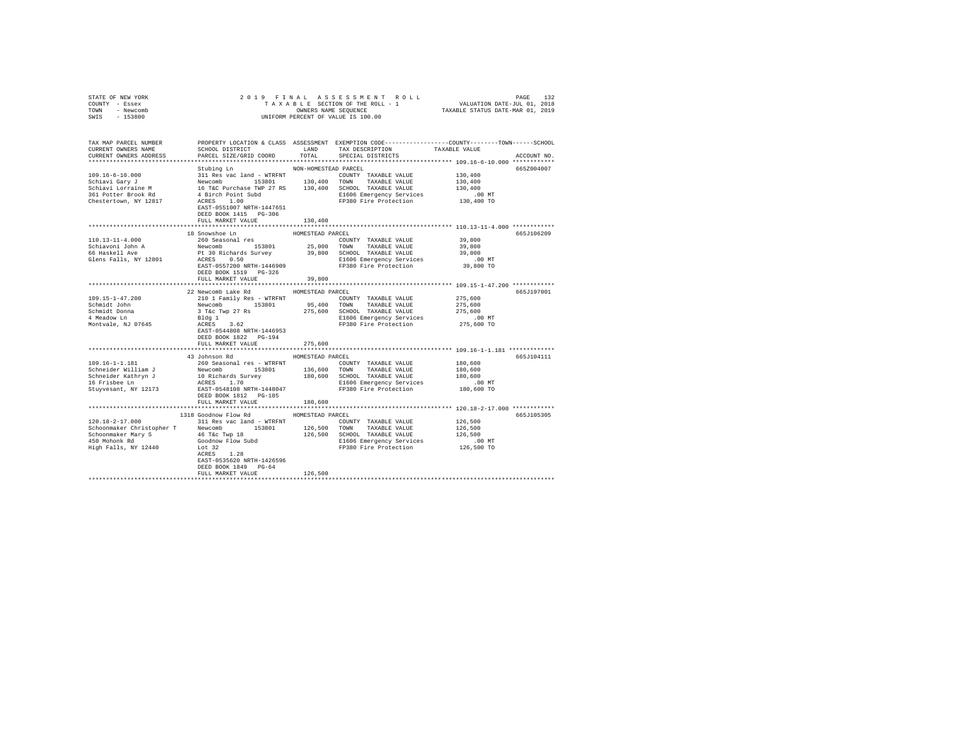| STATE OF NEW YORK                                                                                                                                                                                                                       |                                                                                                                                                                                                                                        |                      |                                                                                                               |                       |             |  |
|-----------------------------------------------------------------------------------------------------------------------------------------------------------------------------------------------------------------------------------------|----------------------------------------------------------------------------------------------------------------------------------------------------------------------------------------------------------------------------------------|----------------------|---------------------------------------------------------------------------------------------------------------|-----------------------|-------------|--|
| COUNTY - Essex                                                                                                                                                                                                                          |                                                                                                                                                                                                                                        |                      |                                                                                                               |                       |             |  |
| TOWN - Newcomb                                                                                                                                                                                                                          |                                                                                                                                                                                                                                        |                      |                                                                                                               |                       |             |  |
| $SWTS = 153800$                                                                                                                                                                                                                         |                                                                                                                                                                                                                                        |                      |                                                                                                               |                       |             |  |
|                                                                                                                                                                                                                                         |                                                                                                                                                                                                                                        |                      |                                                                                                               |                       |             |  |
|                                                                                                                                                                                                                                         |                                                                                                                                                                                                                                        |                      |                                                                                                               |                       |             |  |
| TAX MAP PARCEL NUMBER                                                                                                                                                                                                                   |                                                                                                                                                                                                                                        |                      | PROPERTY LOCATION & CLASS ASSESSMENT EXEMPTION CODE---------------COUNTY-------TOWN------SCHOOL               |                       |             |  |
| CURRENT OWNERS NAME                                                                                                                                                                                                                     | SCHOOL DISTRICT                                                                                                                                                                                                                        | LAND                 | TAX DESCRIPTION                                                                                               | TAXABLE VALUE         |             |  |
| CURRENT OWNERS ADDRESS                                                                                                                                                                                                                  | PARCEL SIZE/GRID COORD                                                                                                                                                                                                                 | TOTAL                | SPECIAL DISTRICTS                                                                                             |                       | ACCOUNT NO. |  |
|                                                                                                                                                                                                                                         |                                                                                                                                                                                                                                        |                      |                                                                                                               |                       |             |  |
|                                                                                                                                                                                                                                         | Stubing Ln                                                                                                                                                                                                                             | NON-HOMESTEAD PARCEL |                                                                                                               |                       | 665Z004007  |  |
| 109.16-6-10.000                                                                                                                                                                                                                         |                                                                                                                                                                                                                                        |                      |                                                                                                               | 130,400               |             |  |
| Schiavi Gary J                                                                                                                                                                                                                          |                                                                                                                                                                                                                                        |                      |                                                                                                               | 130,400               |             |  |
|                                                                                                                                                                                                                                         |                                                                                                                                                                                                                                        |                      |                                                                                                               | 130,400               |             |  |
| Schiavi Lorraine M<br>361 Potter Brook Rd                                                                                                                                                                                               |                                                                                                                                                                                                                                        |                      | E1606 Emergency Services                                                                                      |                       |             |  |
| Chestertown, NY 12817                                                                                                                                                                                                                   | NOTES THE READ ON THE STAND CONTY TAXABLE VALUE<br>NEW COMB TO THE READ OF THE READ OF THE READ OF THE READ ON TAXABLE VALUE<br>16 TAC Purchase TWP 27 RS 130,400 SCHOOL TAXABLE VALUE<br>4 Birch Point Subd 810 2010<br>21606 Emergen |                      | FP380 Fire Protection                                                                                         | .00 MT.<br>130,400 TO |             |  |
|                                                                                                                                                                                                                                         | EAST-0551007 NRTH-1447651                                                                                                                                                                                                              |                      |                                                                                                               |                       |             |  |
|                                                                                                                                                                                                                                         | DEED BOOK 1415 PG-306                                                                                                                                                                                                                  |                      |                                                                                                               |                       |             |  |
|                                                                                                                                                                                                                                         | FULL MARKET VALUE                                                                                                                                                                                                                      | 130,400              |                                                                                                               |                       |             |  |
|                                                                                                                                                                                                                                         |                                                                                                                                                                                                                                        |                      |                                                                                                               |                       |             |  |
|                                                                                                                                                                                                                                         | 18 Snowshoe Ln                                                                                                                                                                                                                         | HOMESTEAD PARCEL     |                                                                                                               |                       | 665-1106209 |  |
| 110.13-11-4.000                                                                                                                                                                                                                         | 26 Seasonal res<br>260 Seasonal res<br>Newcomb 153801 25,000<br>Pt 30 Richards Survey 39,800<br>ACRES 0.50<br>EAST-0557200 NRTH-1446909                                                                                                |                      | COUNTY TAXABLE VALUE                                                                                          | 39,800                |             |  |
|                                                                                                                                                                                                                                         |                                                                                                                                                                                                                                        |                      |                                                                                                               |                       |             |  |
| Schiavoni John A<br>66 Haskell Ave                                                                                                                                                                                                      |                                                                                                                                                                                                                                        |                      | 25,000 TOWN TAXABLE VALUE<br>39,800 SCHOOL TAXABLE VALUE                                                      | 39,800<br>39,800      |             |  |
| Glens Falls, NY 12801                                                                                                                                                                                                                   |                                                                                                                                                                                                                                        |                      |                                                                                                               |                       |             |  |
|                                                                                                                                                                                                                                         |                                                                                                                                                                                                                                        |                      | E1606 Emergency Services .00 MT<br>FP380 Fire Protection 39,800 TO                                            |                       |             |  |
|                                                                                                                                                                                                                                         | DEED BOOK 1519 PG-326                                                                                                                                                                                                                  |                      |                                                                                                               |                       |             |  |
|                                                                                                                                                                                                                                         | FULL MARKET VALUE                                                                                                                                                                                                                      | 39,800               |                                                                                                               |                       |             |  |
|                                                                                                                                                                                                                                         | ********************************                                                                                                                                                                                                       |                      |                                                                                                               |                       |             |  |
|                                                                                                                                                                                                                                         | 22 Newcomb Lake Rd                                                                                                                                                                                                                     | HOMESTEAD PARCEL     |                                                                                                               |                       | 665J197001  |  |
| $109.15 - 1 - 47.200$                                                                                                                                                                                                                   | 210 1 Family Res - WTRFNT                                                                                                                                                                                                              |                      | COUNTY TAXABLE VALUE                                                                                          | 275,600               |             |  |
| Schmidt John                                                                                                                                                                                                                            | Newcomb 153801 95,400 TOWN TAXABLE VALUE                                                                                                                                                                                               |                      |                                                                                                               | 275,600               |             |  |
|                                                                                                                                                                                                                                         |                                                                                                                                                                                                                                        |                      |                                                                                                               | 275,600               |             |  |
| Schmidt Donna<br>4 Meadow Ln                                                                                                                                                                                                            | 3 T&c Twp 27 Rs<br>Bldg 1<br>ACRES 3.62                                                                                                                                                                                                |                      | 275,600 SCHOOL TAXABLE VALUE<br>E1606 Emergency Services<br>FP380 Fire Protection<br>E1606 Emergency Services | .00 MT                |             |  |
| Montvale, NJ 07645                                                                                                                                                                                                                      |                                                                                                                                                                                                                                        |                      | FP380 Fire Protection 275,600 TO                                                                              |                       |             |  |
|                                                                                                                                                                                                                                         | EAST-0544808 NRTH-1446953                                                                                                                                                                                                              |                      |                                                                                                               |                       |             |  |
|                                                                                                                                                                                                                                         | DEED BOOK 1822 PG-194                                                                                                                                                                                                                  |                      |                                                                                                               |                       |             |  |
|                                                                                                                                                                                                                                         | FULL MARKET VALUE                                                                                                                                                                                                                      | 275,600              |                                                                                                               |                       |             |  |
|                                                                                                                                                                                                                                         |                                                                                                                                                                                                                                        | **************       | **************************** 109.16-1-1.181 ************                                                      |                       |             |  |
|                                                                                                                                                                                                                                         | 43 Johnson Rd                                                                                                                                                                                                                          | HOMESTEAD PARCEL     |                                                                                                               |                       | 665J104111  |  |
| 109.16-1-1.181                                                                                                                                                                                                                          | 260 Seasonal res - WTRFNT                                                                                                                                                                                                              |                      | COUNTY TAXABLE VALUE                                                                                          | 180,600               |             |  |
|                                                                                                                                                                                                                                         |                                                                                                                                                                                                                                        |                      |                                                                                                               | 180,600               |             |  |
| Schneider William J<br>Schneider Kathryn J<br>16 Frisbee Ln                                                                                                                                                                             | Newcomb 153801 136,600 TOWN TAXABLE VALUE<br>10 Richards Survey 180,600 SCHOOL TAXABLE VALUE<br>ACRES 1.70                                                                                                                             |                      |                                                                                                               | 180,600               |             |  |
|                                                                                                                                                                                                                                         |                                                                                                                                                                                                                                        |                      |                                                                                                               |                       |             |  |
|                                                                                                                                                                                                                                         | EAST-0548108 NRTH-1448047                                                                                                                                                                                                              |                      | FP380 Fire Protection                                                                                         | 00 MT.<br>180,600 TO  |             |  |
| Stuyvesant, NY 12173                                                                                                                                                                                                                    |                                                                                                                                                                                                                                        |                      |                                                                                                               |                       |             |  |
|                                                                                                                                                                                                                                         | DEED BOOK 1812 PG-185                                                                                                                                                                                                                  |                      |                                                                                                               |                       |             |  |
|                                                                                                                                                                                                                                         | FULL MARKET VALUE                                                                                                                                                                                                                      | 180,600              |                                                                                                               |                       |             |  |
|                                                                                                                                                                                                                                         |                                                                                                                                                                                                                                        |                      |                                                                                                               |                       |             |  |
|                                                                                                                                                                                                                                         | 1318 Goodnow Flow Rd                                                                                                                                                                                                                   | HOMESTEAD PARCEL     |                                                                                                               |                       | 665J105305  |  |
|                                                                                                                                                                                                                                         | 120.18-2-17.000 311 Res vac land - WTRFNT                                                                                                                                                                                              |                      | COUNTY TAXABLE VALUE                                                                                          | 126,500               |             |  |
| Christopher Transformaliser Christopher Transformaliser Christopher Transformaliser Christopher Transformaliser<br>Schoolmaker Mary S<br>Schoolmaker Mary S<br>46 Tsc Twp 18<br>126,500 SCHOOL TAXABLE VALUE 126,500<br>45 Tele Transfo |                                                                                                                                                                                                                                        |                      |                                                                                                               |                       |             |  |
|                                                                                                                                                                                                                                         |                                                                                                                                                                                                                                        |                      |                                                                                                               |                       |             |  |
|                                                                                                                                                                                                                                         |                                                                                                                                                                                                                                        |                      |                                                                                                               |                       |             |  |
|                                                                                                                                                                                                                                         |                                                                                                                                                                                                                                        |                      |                                                                                                               |                       |             |  |
|                                                                                                                                                                                                                                         | ACRES 1.28                                                                                                                                                                                                                             |                      |                                                                                                               |                       |             |  |
|                                                                                                                                                                                                                                         | EAST-0535620 NRTH-1426596                                                                                                                                                                                                              |                      |                                                                                                               |                       |             |  |
|                                                                                                                                                                                                                                         | DEED BOOK 1849 PG-64                                                                                                                                                                                                                   |                      |                                                                                                               |                       |             |  |
|                                                                                                                                                                                                                                         | FULL MARKET VALUE                                                                                                                                                                                                                      | 126,500              |                                                                                                               |                       |             |  |
|                                                                                                                                                                                                                                         |                                                                                                                                                                                                                                        |                      |                                                                                                               |                       |             |  |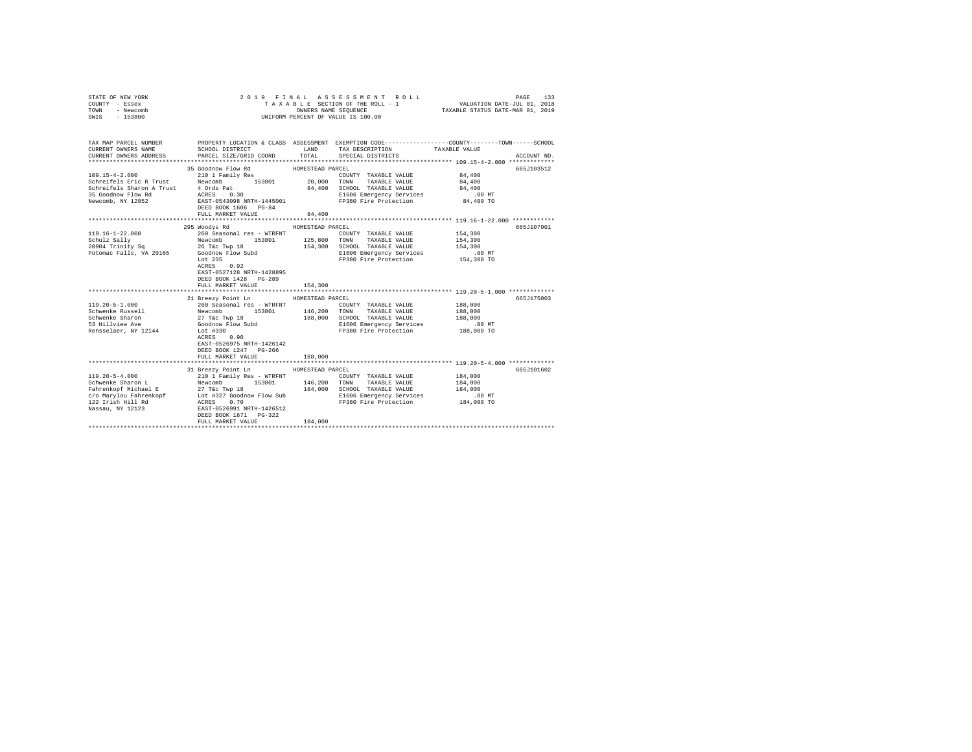| STATE OF NEW YORK<br>COUNTY - Essex<br>TOWN<br>- Newcomb<br>$-153800$<br>SWIS                                                        | 2019 FINAL                                                                                                                                                    | OWNERS NAME SEOUENCE                   | ASSESSMENT ROLL<br>TAXABLE SECTION OF THE ROLL - 1<br>UNIFORM PERCENT OF VALUE IS 100.00                                                | PAGE<br>VALUATION DATE-JUL 01, 2018<br>TAXABLE STATUS DATE-MAR 01, 2019 | 133         |
|--------------------------------------------------------------------------------------------------------------------------------------|---------------------------------------------------------------------------------------------------------------------------------------------------------------|----------------------------------------|-----------------------------------------------------------------------------------------------------------------------------------------|-------------------------------------------------------------------------|-------------|
| TAX MAP PARCEL NUMBER<br>CURRENT OWNERS NAME<br>CURRENT OWNERS ADDRESS                                                               | SCHOOL DISTRICT<br>PARCEL SIZE/GRID COORD                                                                                                                     | LAND<br>TOTAL                          | PROPERTY LOCATION & CLASS ASSESSMENT EXEMPTION CODE---------------COUNTY-------TOWN------SCHOOL<br>TAX DESCRIPTION<br>SPECIAL DISTRICTS | TAXABLE VALUE                                                           | ACCOUNT NO. |
|                                                                                                                                      |                                                                                                                                                               |                                        |                                                                                                                                         |                                                                         |             |
| $109.15 - 4 - 2.000$                                                                                                                 | 35 Goodnow Flow Rd<br>210 1 Family Res                                                                                                                        | HOMESTEAD PARCEL                       | COUNTY TAXABLE VALUE                                                                                                                    | 84,400                                                                  | 665J103512  |
| Schreifels Eric R Trust<br>Schreifels Sharon A Trust 4 Ords Pat<br>35 Goodnow Flow Rd                                                | Newcomb 153801 20,000<br>4 Ords Pat<br>ACRES 0.30                                                                                                             | 84,400                                 | TAXABLE VALUE<br>TOWN<br>SCHOOL TAXABLE VALUE<br>E1606 Emergency Services                                                               | 84,400<br>84,400<br>.00 MT                                              |             |
| Newcomb, NY 12852                                                                                                                    | EAST-0543098 NRTH-1445001<br>DEED BOOK 1606 PG-84                                                                                                             |                                        | FP380 Fire Protection                                                                                                                   | 84,400 TO                                                               |             |
|                                                                                                                                      | FULL MARKET VALUE                                                                                                                                             | 84,400                                 |                                                                                                                                         |                                                                         |             |
|                                                                                                                                      |                                                                                                                                                               |                                        |                                                                                                                                         |                                                                         |             |
| 119.16-1-22.000                                                                                                                      | 295 Woodys Rd<br>260 Seasonal res - WTRFNT                                                                                                                    | HOMESTEAD PARCEL                       | COUNTY TAXABLE VALUE                                                                                                                    | 154,300                                                                 | 665J107001  |
| Schulz Sally                                                                                                                         | Newcomb<br>26 T&c Twp 18<br>153801                                                                                                                            | 125,800                                | TOWN<br>TAXABLE VALUE                                                                                                                   | 154,300                                                                 |             |
| 20904 Trinity Sq                                                                                                                     |                                                                                                                                                               | 154,300                                | SCHOOL TAXABLE VALUE                                                                                                                    | 154,300                                                                 |             |
| Potomac Falls, VA 20165 Goodnow Flow Subd                                                                                            |                                                                                                                                                               |                                        | E1606 Emergency Services                                                                                                                | $.00$ MT                                                                |             |
|                                                                                                                                      | T-of: 235<br>0.92<br>ACRES<br>EAST-0527128 NRTH-1428895<br>DEED BOOK 1428 PG-289                                                                              |                                        | FP380 Fire Protection                                                                                                                   | 154,300 TO                                                              |             |
|                                                                                                                                      | FULL MARKET VALUE                                                                                                                                             | 154,300                                |                                                                                                                                         |                                                                         |             |
|                                                                                                                                      |                                                                                                                                                               |                                        |                                                                                                                                         |                                                                         |             |
| $119.20 - 5 - 1.000$                                                                                                                 | 21 Breezy Point Ln<br>260 Seasonal res - WTRFNT                                                                                                               | HOMESTEAD PARCEL                       |                                                                                                                                         |                                                                         | 665J175003  |
| Schwenke Russell                                                                                                                     | Newcomb<br>153801                                                                                                                                             | 146,200                                | COUNTY TAXABLE VALUE<br>TOWN<br>TAXABLE VALUE                                                                                           | 188,000<br>188,000                                                      |             |
| Schwenke Sharon                                                                                                                      | 27 T&c Twp 18                                                                                                                                                 | 188,000                                | SCHOOL TAXABLE VALUE                                                                                                                    | 188,000                                                                 |             |
| 53 Hillview Ave                                                                                                                      | Goodnow Flow Subd                                                                                                                                             |                                        | E1606 Emergency Services                                                                                                                | $.00$ MT                                                                |             |
| Rensselaer, NY 12144                                                                                                                 | Lot #330<br>ACRES 0.90<br>EAST-0526975 NRTH-1426142<br>DEED BOOK 1247 PG-266                                                                                  |                                        | FP380 Fire Protection                                                                                                                   | 188,000 TO                                                              |             |
|                                                                                                                                      | FULL MARKET VALUE                                                                                                                                             | 188,000                                |                                                                                                                                         |                                                                         |             |
|                                                                                                                                      |                                                                                                                                                               |                                        |                                                                                                                                         | *********************************** 119.20-5-4.000 *************        |             |
| $119.20 - 5 - 4.000$<br>Schwenke Sharon L<br>Fahrenkopf Michael E<br>c/o Marylou Fahrenkopf<br>122 Irish Hill Rd<br>Nassau, NY 12123 | 31 Breezy Point Ln<br>210 1 Family Res - WTRFNT<br>Newcomb<br>153801<br>27 T&c Twp 18<br>Lot #327 Goodnow Flow Sub<br>ACRES 0.70<br>EAST-0526991 NRTH-1426512 | HOMESTEAD PARCEL<br>146,200<br>184,000 | COUNTY TAXABLE VALUE<br>TAXABLE VALUE<br>TOWN<br>SCHOOL TAXABLE VALUE<br>E1606 Emergency Services<br>FP380 Fire Protection              | 184,000<br>184,000<br>184,000<br>$.00$ MT<br>184,000 TO                 | 665J101602  |
|                                                                                                                                      | DEED BOOK 1671 PG-322<br>FULL MARKET VALUE                                                                                                                    | 184,000                                |                                                                                                                                         |                                                                         |             |
|                                                                                                                                      |                                                                                                                                                               |                                        |                                                                                                                                         |                                                                         |             |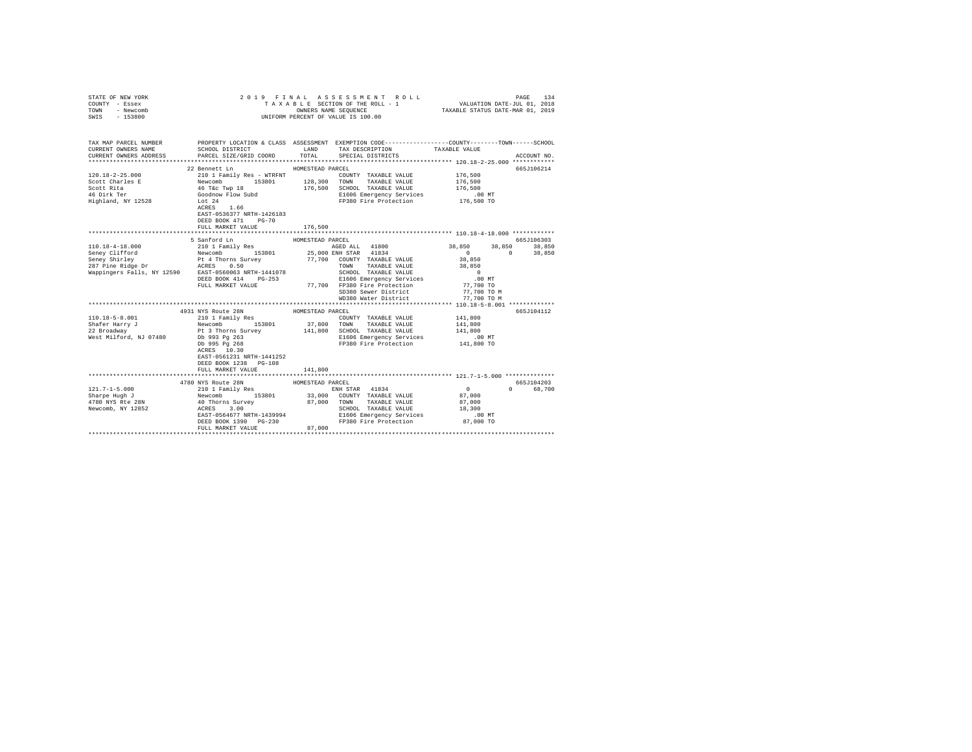| STATE OF NEW YORK             |                                                                                                                                                                                                                                                      |                  | 2019 FINAL ASSESSMENT ROLL                                                                      |                       |                  |
|-------------------------------|------------------------------------------------------------------------------------------------------------------------------------------------------------------------------------------------------------------------------------------------------|------------------|-------------------------------------------------------------------------------------------------|-----------------------|------------------|
| COUNTY - Essex                |                                                                                                                                                                                                                                                      |                  |                                                                                                 |                       |                  |
| TOWN<br>- Newcomb             |                                                                                                                                                                                                                                                      |                  |                                                                                                 |                       |                  |
| SWIS - 153800                 |                                                                                                                                                                                                                                                      |                  | UNIFORM PERCENT OF VALUE IS 100.00                                                              |                       |                  |
|                               |                                                                                                                                                                                                                                                      |                  |                                                                                                 |                       |                  |
|                               |                                                                                                                                                                                                                                                      |                  |                                                                                                 |                       |                  |
|                               |                                                                                                                                                                                                                                                      |                  |                                                                                                 |                       |                  |
| TAX MAP PARCEL NUMBER         |                                                                                                                                                                                                                                                      |                  | PROPERTY LOCATION & CLASS ASSESSMENT EXEMPTION CODE---------------COUNTY-------TOWN------SCHOOL |                       |                  |
| CURRENT OWNERS NAME           | SCHOOL DISTRICT TAND TAX DESCRIPTION                                                                                                                                                                                                                 |                  |                                                                                                 | TAXABLE VALUE         |                  |
| CURRENT OWNERS ADDRESS        | PARCEL SIZE/GRID COORD TOTAL                                                                                                                                                                                                                         |                  | SPECIAL DISTRICTS                                                                               |                       | ACCOUNT NO.      |
|                               |                                                                                                                                                                                                                                                      |                  |                                                                                                 |                       |                  |
|                               | 22 Bennett Ln                                                                                                                                                                                                                                        | HOMESTEAD PARCEL |                                                                                                 |                       | 665J106214       |
| $120.18 - 2 - 25.000$         | 210 1 Family Res - WTRFNT                                                                                                                                                                                                                            |                  | COUNTY TAXABLE VALUE 176,500                                                                    |                       |                  |
| Scott Charles E               | Newcomb 153801 128,300 TOWN TAXABLE VALUE 46 T&C TWP 18 176,500 SCHOOL TAXABLE VALUE                                                                                                                                                                 |                  |                                                                                                 | 176,500               |                  |
| Scott Rita                    |                                                                                                                                                                                                                                                      |                  |                                                                                                 | 176,500               |                  |
| 46 Dirk Ter                   | Goodnow Flow Subd                                                                                                                                                                                                                                    |                  |                                                                                                 |                       |                  |
| Highland, NY 12528            | Lot 24                                                                                                                                                                                                                                               |                  | E1606 Emergency services<br>FP380 Fire Protection 176,500 TO                                    |                       |                  |
|                               | ACRES 1.66                                                                                                                                                                                                                                           |                  |                                                                                                 |                       |                  |
|                               | EAST-0536377 NRTH-1426183                                                                                                                                                                                                                            |                  |                                                                                                 |                       |                  |
|                               | DEED BOOK 471 PG-70                                                                                                                                                                                                                                  |                  |                                                                                                 |                       |                  |
|                               | FULL MARKET VALUE                                                                                                                                                                                                                                    | 176,500          |                                                                                                 |                       |                  |
|                               | ******************************                                                                                                                                                                                                                       |                  |                                                                                                 |                       |                  |
|                               | 5 Sanford Ln                                                                                                                                                                                                                                         | HOMESTEAD PARCEL |                                                                                                 |                       | 665J106303       |
| 110.18-4-18.000               | 210 1 Family Res                                                                                                                                                                                                                                     |                  | AGED ALL 41800<br>25,000 ENH STAR 41834                                                         | 38,850<br>0<br>38,850 | 38,850<br>38.850 |
|                               | Exercise of the Mewcomb<br>Seney Clifford<br>287 Pine Ridge Dr<br>287 Pine Ridge Dr<br>287 Pine Ridge Dr<br>287 Pine Ridge Dr<br>287 Pine Ridge Dr<br>287 Pine Ridge Dr<br>287 Pine Ridge Dr<br>287 Pine Ridge Dr<br>287 Pine Ridge Dr<br>287 Pine R |                  |                                                                                                 | $\sim$ 0              |                  |
|                               |                                                                                                                                                                                                                                                      |                  | 77,700 COUNTY TAXABLE VALUE                                                                     | 38,850                |                  |
|                               |                                                                                                                                                                                                                                                      |                  | TOWN TAXABLE VALUE                                                                              | 38,850                |                  |
|                               |                                                                                                                                                                                                                                                      |                  | SCHOOL TAXABLE VALUE                                                                            | $\sim$ 0              |                  |
|                               | DEED BOOK 414 PG-253                                                                                                                                                                                                                                 |                  | E1606 Emergency Services                                                                        | $.00$ MT              |                  |
|                               | FULL MARKET VALUE                                                                                                                                                                                                                                    |                  | 77,700 FP380 Fire Protection                                                                    | 77,700 TO             |                  |
|                               |                                                                                                                                                                                                                                                      |                  | SD380 Sewer District                                                                            | 77,700 TO M           |                  |
|                               |                                                                                                                                                                                                                                                      |                  | WD380 Water District                                                                            | 77,700 TO M           |                  |
|                               |                                                                                                                                                                                                                                                      |                  |                                                                                                 |                       |                  |
|                               | 4931 NYS Route 28N                                                                                                                                                                                                                                   | HOMESTEAD PARCEL |                                                                                                 |                       | 665J104112       |
| $110.18 - 5 - 8.001$          | 210 1 Family Res                                                                                                                                                                                                                                     |                  | COUNTY TAXABLE VALUE                                                                            | 141,800               |                  |
|                               | Newcomb 153801                                                                                                                                                                                                                                       |                  | 37,800 TOWN TAXABLE VALUE                                                                       | 141,800               |                  |
| Shafer Harry J<br>22 Broadway | Pt 3 Thorns Survey                                                                                                                                                                                                                                   | 141,800          | SCHOOL TAXABLE VALUE                                                                            | 141,800               |                  |
| West Milford, NJ 07480        | Db 993 Pg 263<br>Db 995 Pg 268                                                                                                                                                                                                                       |                  | E1606 Emergency Services                                                                        | $.00$ MT              |                  |
|                               |                                                                                                                                                                                                                                                      |                  | FP380 Fire Protection 141,800 TO                                                                |                       |                  |
|                               | ACRES 10.30                                                                                                                                                                                                                                          |                  |                                                                                                 |                       |                  |
|                               | EAST-0561231 NRTH-1441252                                                                                                                                                                                                                            |                  |                                                                                                 |                       |                  |
|                               | DEED BOOK 1238 PG-108                                                                                                                                                                                                                                |                  |                                                                                                 |                       |                  |
|                               | FULL MARKET VALUE                                                                                                                                                                                                                                    | 141,800          |                                                                                                 |                       |                  |
|                               |                                                                                                                                                                                                                                                      |                  |                                                                                                 |                       |                  |
|                               | 4780 NYS Route 28N                                                                                                                                                                                                                                   | HOMESTEAD PARCEL |                                                                                                 |                       | 665J104203       |
| $121.7 - 1 - 5.000$           |                                                                                                                                                                                                                                                      |                  | ENH STAR 41834                                                                                  | $\sim$ 0<br>$\Omega$  | 68,700           |
| Sharpe Hugh J                 | 210 1 Family Res<br>Newcomb 153801<br>40 Thorns Survey<br>ACRES 3.00                                                                                                                                                                                 | 33,000           | COUNTY TAXABLE VALUE                                                                            | 87,000                |                  |
| 4780 NYS Rte 28N              |                                                                                                                                                                                                                                                      |                  | 87,000 TOWN TAXABLE VALUE                                                                       | 87,000                |                  |
| Newcomb, NY 12852             |                                                                                                                                                                                                                                                      |                  | SCHOOL TAXABLE VALUE                                                                            | 18,300                |                  |
|                               | EAST-0564677 NRTH-1439994                                                                                                                                                                                                                            |                  |                                                                                                 |                       |                  |
|                               | DEED BOOK 1390 PG-230                                                                                                                                                                                                                                |                  | E1606 Emergency Services 6.00 MT<br>FP380 Fire Protection 87,000 TO                             |                       |                  |
|                               | FULL MARKET VALUE                                                                                                                                                                                                                                    | 87,000           |                                                                                                 |                       |                  |
|                               |                                                                                                                                                                                                                                                      |                  |                                                                                                 |                       |                  |
|                               |                                                                                                                                                                                                                                                      |                  |                                                                                                 |                       |                  |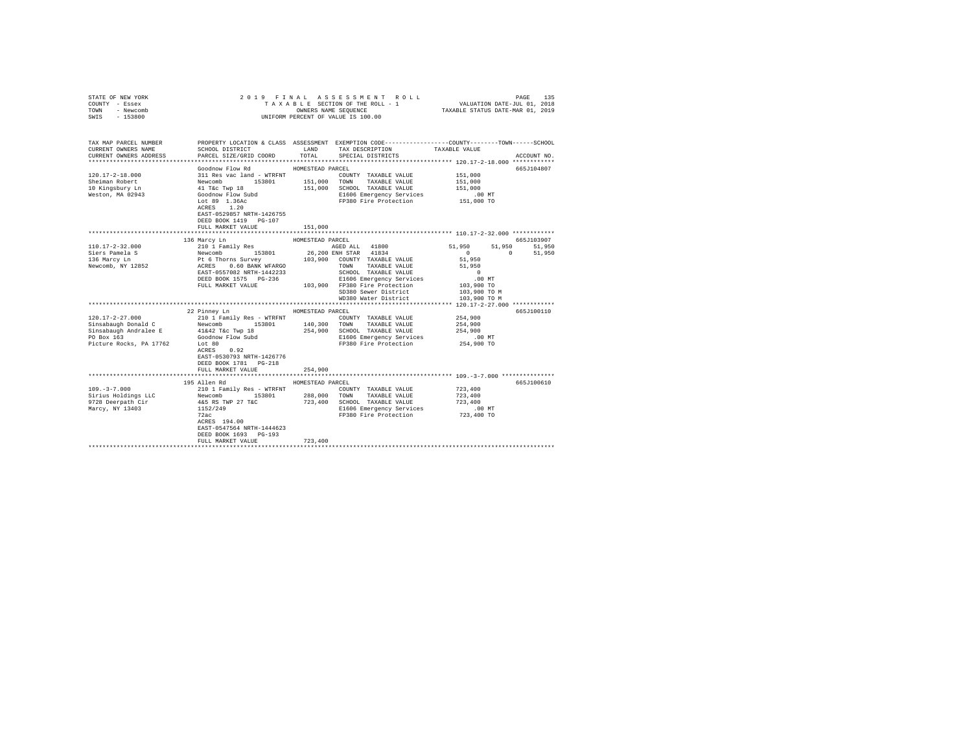| STATE OF NEW YORK<br>COUNTY - Essex<br>- Newcomb<br>TOWN<br>$-153800$<br>SWIS |                                                                                                                    |                  | PAGE 135 בDAGE 135 A S S & S S M E N T R O L L PROFETIU 101, 2018<br>T A X A B L E SECTION OF THE ROLL - 1 WALUATION DATE-JUL 101, 2019<br>OWNERS NAME SEQUENCE TAXABLE STATUS DATE-MAR 01, 2019<br>UNIFORM PERCENT OF VALUE IS 100.00 |                               |                      |
|-------------------------------------------------------------------------------|--------------------------------------------------------------------------------------------------------------------|------------------|----------------------------------------------------------------------------------------------------------------------------------------------------------------------------------------------------------------------------------------|-------------------------------|----------------------|
| TAX MAP PARCEL NUMBER<br>CURRENT OWNERS NAME                                  | PROPERTY LOCATION & CLASS ASSESSMENT EXEMPTION CODE---------------COUNTY-------TOWN------SCHOOL<br>SCHOOL DISTRICT | LAND             | TAX DESCRIPTION TAXABLE VALUE                                                                                                                                                                                                          |                               |                      |
| CURRENT OWNERS ADDRESS                                                        | PARCEL SIZE/GRID COORD                                                                                             | TOTAL            | SPECIAL DISTRICTS                                                                                                                                                                                                                      |                               | ACCOUNT NO.          |
|                                                                               |                                                                                                                    |                  |                                                                                                                                                                                                                                        |                               |                      |
| 120.17-2-18.000                                                               | Goodnow Flow Rd<br>311 Res vac land - WTRFNT                                                                       | HOMESTEAD PARCEL | COUNTY TAXABLE VALUE                                                                                                                                                                                                                   | 151,000                       | 665J104807           |
| Sheiman Robert                                                                |                                                                                                                    |                  | 153801   151,000   TOWN   TAXABLE VALUE                                                                                                                                                                                                | 151,000                       |                      |
| 10 Kingsbury Ln                                                               | Newcomb<br>41 T&c Twp 18                                                                                           |                  | 151,000 SCHOOL TAXABLE VALUE                                                                                                                                                                                                           | 151,000                       |                      |
| Weston, MA 02943                                                              | Goodnow Flow Subd                                                                                                  |                  | E1606 Emergency Services                                                                                                                                                                                                               | $.00$ MT                      |                      |
|                                                                               | Lot 89 $1.36AC$                                                                                                    |                  | FP380 Fire Protection                                                                                                                                                                                                                  | 151,000 TO                    |                      |
|                                                                               | ACRES 1.20                                                                                                         |                  |                                                                                                                                                                                                                                        |                               |                      |
|                                                                               | EAST-0529857 NRTH-1426755                                                                                          |                  |                                                                                                                                                                                                                                        |                               |                      |
|                                                                               | DEED BOOK 1419 PG-107                                                                                              |                  |                                                                                                                                                                                                                                        |                               |                      |
|                                                                               | FULL MARKET VALUE                                                                                                  | 151,000          |                                                                                                                                                                                                                                        |                               |                      |
|                                                                               |                                                                                                                    |                  |                                                                                                                                                                                                                                        |                               |                      |
| $110.17 - 2 - 32.000$                                                         | 136 Marcy Ln                                                                                                       | HOMESTEAD PARCEL | AGED ALL 41800                                                                                                                                                                                                                         | 51,950<br>51,950              | 665J103907<br>51,950 |
| Siers Pamela S                                                                | 210 1 Family Res                                                                                                   |                  |                                                                                                                                                                                                                                        | $\sim$ 0<br>$\sim$ 0 $\sim$ 0 | 51,950               |
| 136 Marcy Ln                                                                  |                                                                                                                    |                  | 26,200 ENH STAR 41834<br>103,900 COUNTY TAXABLE VALUE                                                                                                                                                                                  | 51,950                        |                      |
| Newcomb, NY 12852                                                             | Newcomb 153801 26,<br>Pt 6 Thorns Survey 103,<br>ACRES 0.60 BANK WFARGO                                            |                  | TOWN TAXABLE VALUE                                                                                                                                                                                                                     | 51,950                        |                      |
|                                                                               | EAST-0557082 NRTH-1442233                                                                                          |                  | SCHOOL TAXABLE VALUE                                                                                                                                                                                                                   | $\sim$ 0                      |                      |
|                                                                               | DEED BOOK 1575 PG-236                                                                                              |                  | E1606 Emergency Services                                                                                                                                                                                                               | $.00$ MT                      |                      |
|                                                                               | FULL MARKET VALUE                                                                                                  |                  | 103,900 FP380 Fire Protection                                                                                                                                                                                                          | 103,900 TO                    |                      |
|                                                                               |                                                                                                                    |                  | SD380 Sewer District                                                                                                                                                                                                                   | 103,900 TO M                  |                      |
|                                                                               |                                                                                                                    |                  | WD380 Water District                                                                                                                                                                                                                   | 103,900 TO M                  |                      |
|                                                                               |                                                                                                                    |                  |                                                                                                                                                                                                                                        |                               |                      |
|                                                                               | 22 Pinney Ln                                                                                                       | HOMESTEAD PARCEL |                                                                                                                                                                                                                                        |                               | 665J100110           |
| $120.17 - 2 - 27.000$                                                         | 210 1 Family Res - WTRFNT<br>Newcomb 153801                                                                        |                  | COUNTY TAXABLE VALUE                                                                                                                                                                                                                   | 254,900                       |                      |
| Sinsabaugh Donald C<br>Sinsabaugh Andralee E                                  |                                                                                                                    |                  | 140,300 TOWN TAXABLE VALUE<br>254,900 SCHOOL TAXABLE VALUE                                                                                                                                                                             | 254,900<br>254,900            |                      |
| PO Box 163                                                                    | 41&42 T&c Twp 18<br>Goodnow Flow Subd                                                                              |                  | E1606 Emergency Services                                                                                                                                                                                                               | $.00$ MT                      |                      |
| Picture Rocks, PA 17762                                                       | Lot 80                                                                                                             |                  | FP380 Fire Protection                                                                                                                                                                                                                  | 254,900 TO                    |                      |
|                                                                               | ACRES 0.92                                                                                                         |                  |                                                                                                                                                                                                                                        |                               |                      |
|                                                                               | EAST-0530793 NRTH-1426776                                                                                          |                  |                                                                                                                                                                                                                                        |                               |                      |
|                                                                               | DEED BOOK 1781 PG-218                                                                                              |                  |                                                                                                                                                                                                                                        |                               |                      |
|                                                                               | FULL MARKET VALUE                                                                                                  | 254,900          |                                                                                                                                                                                                                                        |                               |                      |
|                                                                               |                                                                                                                    |                  |                                                                                                                                                                                                                                        |                               |                      |
|                                                                               | 195 Allen Rd                                                                                                       | HOMESTEAD PARCEL |                                                                                                                                                                                                                                        |                               | 665J100610           |
| $109. - 3 - 7.000$                                                            | 210 1 Family Res - WTRFNT                                                                                          |                  | COUNTY TAXABLE VALUE                                                                                                                                                                                                                   | 723,400                       |                      |
| Sirius Holdings LLC<br>9728 Deerpath Cir                                      | Newcomb 153801                                                                                                     |                  | 288,000 TOWN TAXABLE VALUE<br>723,400 SCHOOL TAXABLE VALUE                                                                                                                                                                             | 723,400<br>723,400            |                      |
| Marcy, NY 13403                                                               | 4&5 RS TWP 27 T&C                                                                                                  |                  | E1606 Emergency Services                                                                                                                                                                                                               | $.00$ MT                      |                      |
|                                                                               | $\frac{1152}{2220}$<br>72ac                                                                                        |                  | FP380 Fire Protection                                                                                                                                                                                                                  | 723,400 TO                    |                      |
|                                                                               | $ACRES$ 194.00                                                                                                     |                  |                                                                                                                                                                                                                                        |                               |                      |
|                                                                               | EAST-0547564 NRTH-1444623                                                                                          |                  |                                                                                                                                                                                                                                        |                               |                      |
|                                                                               | DEED BOOK 1693 PG-193                                                                                              |                  |                                                                                                                                                                                                                                        |                               |                      |
|                                                                               | FULL MARKET VALUE                                                                                                  | 723,400          |                                                                                                                                                                                                                                        |                               |                      |
|                                                                               |                                                                                                                    |                  |                                                                                                                                                                                                                                        |                               |                      |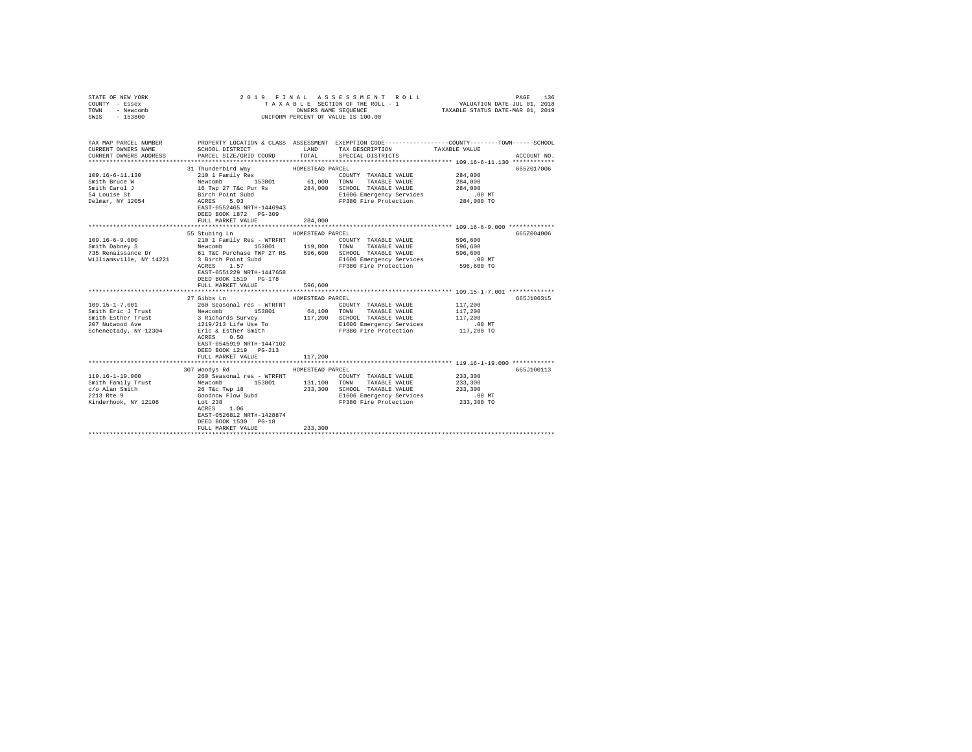| COUNTY - Essex<br>TOWN<br>- Newcomb<br>SWIS<br>$-153800$               |                                                                                                                                                                                                                                                                                                                                                                                                   | OWNERS NAME SEQUENCE | TAXABLE SECTION OF THE ROLL - 1 VALUATION DATE-JUL 01, 2018<br>UNIFORM PERCENT OF VALUE IS 100.00                                       | TAXABLE STATUS DATE-MAR 01, 2019 |             |
|------------------------------------------------------------------------|---------------------------------------------------------------------------------------------------------------------------------------------------------------------------------------------------------------------------------------------------------------------------------------------------------------------------------------------------------------------------------------------------|----------------------|-----------------------------------------------------------------------------------------------------------------------------------------|----------------------------------|-------------|
| TAX MAP PARCEL NUMBER<br>CURRENT OWNERS NAME<br>CURRENT OWNERS ADDRESS | SCHOOL DISTRICT<br>PARCEL SIZE/GRID COORD                                                                                                                                                                                                                                                                                                                                                         | LAND<br>TOTAL        | PROPERTY LOCATION & CLASS ASSESSMENT EXEMPTION CODE---------------COUNTY-------TOWN------SCHOOL<br>TAX DESCRIPTION<br>SPECIAL DISTRICTS | TAXABLE VALUE                    | ACCOUNT NO. |
|                                                                        | 31 Thunderbird Wav                                                                                                                                                                                                                                                                                                                                                                                | HOMESTEAD PARCEL     |                                                                                                                                         |                                  | 665Z017006  |
| $109.16 - 6 - 11.130$                                                  | 210 1 Family Res                                                                                                                                                                                                                                                                                                                                                                                  | 61,000               | COUNTY TAXABLE VALUE                                                                                                                    | 284,000                          |             |
| Smith Bruce W                                                          |                                                                                                                                                                                                                                                                                                                                                                                                   |                      | TOWN<br>TAXABLE VALUE                                                                                                                   | 284,000                          |             |
| Smith Carol J                                                          |                                                                                                                                                                                                                                                                                                                                                                                                   |                      | SCHOOL TAXABLE VALUE                                                                                                                    | 284,000                          |             |
| 54 Louise St                                                           | Newcomb 153801 61,000<br>16 Twp 27 Tac Pur Rs 284,000<br>Birch Point Subd<br>ACRES 5.03                                                                                                                                                                                                                                                                                                           |                      | E1606 Emergency Services                                                                                                                | .00 MT                           |             |
| Delmar, NY 12054                                                       |                                                                                                                                                                                                                                                                                                                                                                                                   |                      | FP380 Fire Protection 284,000 TO                                                                                                        |                                  |             |
|                                                                        | EAST-0552465 NRTH-1446943                                                                                                                                                                                                                                                                                                                                                                         |                      |                                                                                                                                         |                                  |             |
|                                                                        | DEED BOOK 1872 PG-309                                                                                                                                                                                                                                                                                                                                                                             |                      |                                                                                                                                         |                                  |             |
|                                                                        | FULL MARKET VALUE                                                                                                                                                                                                                                                                                                                                                                                 | 284,000              |                                                                                                                                         |                                  |             |
|                                                                        | 55 Stubing Ln                                                                                                                                                                                                                                                                                                                                                                                     | HOMESTEAD PARCEL     |                                                                                                                                         |                                  | 665Z004006  |
| $109.16 - 6 - 9.000$                                                   | 210 1 Family Res - WTRFNT                                                                                                                                                                                                                                                                                                                                                                         |                      | COUNTY TAXABLE VALUE                                                                                                                    | 596,600                          |             |
|                                                                        |                                                                                                                                                                                                                                                                                                                                                                                                   |                      | TOWN<br>TAXABLE VALUE                                                                                                                   | 596,600                          |             |
|                                                                        | Smith Dabney S<br>T35 Renaissance Dr<br>T46 Purchase TWP 27 RS<br>T46 Purchase TWP 27 RS<br>S96,600                                                                                                                                                                                                                                                                                               |                      | SCHOOL TAXABLE VALUE                                                                                                                    | 596,600                          |             |
|                                                                        | Williamsville, NY 14221 3 Birch Point Subd<br>ACRES 1.57                                                                                                                                                                                                                                                                                                                                          |                      | E1606 Emergency Services                                                                                                                | $.00$ MT                         |             |
|                                                                        | ACRES 1.57<br>EAST-0551229 NRTH-1447658<br>DEED BOOK 1519 PG-178<br>FULL MARKET VALUE                                                                                                                                                                                                                                                                                                             | 596,600              | FP380 Fire Protection                                                                                                                   | 596,600 TO                       |             |
|                                                                        |                                                                                                                                                                                                                                                                                                                                                                                                   |                      |                                                                                                                                         |                                  |             |
|                                                                        | 27 Gibbs Ln                                                                                                                                                                                                                                                                                                                                                                                       | HOMESTEAD PARCEL     |                                                                                                                                         |                                  | 665J106315  |
|                                                                        |                                                                                                                                                                                                                                                                                                                                                                                                   |                      | COUNTY TAXABLE VALUE                                                                                                                    | 117,200                          |             |
|                                                                        |                                                                                                                                                                                                                                                                                                                                                                                                   |                      | 153801 64,100 TOWN TAXABLE VALUE                                                                                                        | 117,200                          |             |
|                                                                        |                                                                                                                                                                                                                                                                                                                                                                                                   | 117,200              | SCHOOL TAXABLE VALUE                                                                                                                    | 117,200                          |             |
|                                                                        | $\begin{tabular}{lllllllllll} \texttt{109.15--1-7.001} & \texttt{260} \texttt{Seasonal res - WTRFNT} & \texttt{33801} & \texttt{64,10} \\ \texttt{Smith Brief or Trust} & \texttt{Newcomb} & \texttt{153801} & \texttt{64,10} \\ \texttt{Smith Isther Trust} & \texttt{3 Richards Survey} & \texttt{117,20} \\ \texttt{207} \texttt{Nutwood Ave} & \texttt{1219/213 Life Use To} & \end{tabular}$ |                      | E1606 Emergency Services                                                                                                                | $.00$ MT                         |             |
| Schenectady, NY 12304                                                  | Eric & Esther Smith<br>ACRES 0.50<br>EAST-0545919 NRTH-1447102<br>DEED BOOK 1219 PG-213                                                                                                                                                                                                                                                                                                           |                      | FP380 Fire Protection 117,200 TO                                                                                                        |                                  |             |
|                                                                        | FULL MARKET VALUE                                                                                                                                                                                                                                                                                                                                                                                 | 117,200              |                                                                                                                                         |                                  |             |
|                                                                        |                                                                                                                                                                                                                                                                                                                                                                                                   |                      | **************************************119.16-1-19.000***************************                                                        |                                  |             |
|                                                                        | 307 Woodys Rd                                                                                                                                                                                                                                                                                                                                                                                     | HOMESTEAD PARCEL     |                                                                                                                                         |                                  | 665J100113  |
| $119.16 - 1 - 19.000$                                                  | 260 Seasonal res - WTRFNT                                                                                                                                                                                                                                                                                                                                                                         |                      | COUNTY TAXABLE VALUE                                                                                                                    | 233,300                          |             |
| Smith Family Trust                                                     | Newcomb<br>153801                                                                                                                                                                                                                                                                                                                                                                                 | 131,100 TOWN         | TAXABLE VALUE                                                                                                                           | 233,300                          |             |
| c/o Alan Smith                                                         | 26 T&C Twp 18<br>Goodnow Flow Subd                                                                                                                                                                                                                                                                                                                                                                | 233,300              | SCHOOL TAXABLE VALUE                                                                                                                    | 233,300                          |             |
| 2213 Rte 9                                                             |                                                                                                                                                                                                                                                                                                                                                                                                   |                      | E1606 Emergency Services                                                                                                                | .00 MT                           |             |
| Kinderhook, NY 12106                                                   | Lot 238<br>ACRES 1.06<br>EAST-0526812 NRTH-1428874<br>DEED BOOK 1530 PG-18                                                                                                                                                                                                                                                                                                                        |                      | FP380 Fire Protection                                                                                                                   | 233,300 TO                       |             |
|                                                                        | FULL MARKET VALUE                                                                                                                                                                                                                                                                                                                                                                                 | 233,300              |                                                                                                                                         |                                  |             |
|                                                                        |                                                                                                                                                                                                                                                                                                                                                                                                   |                      |                                                                                                                                         |                                  |             |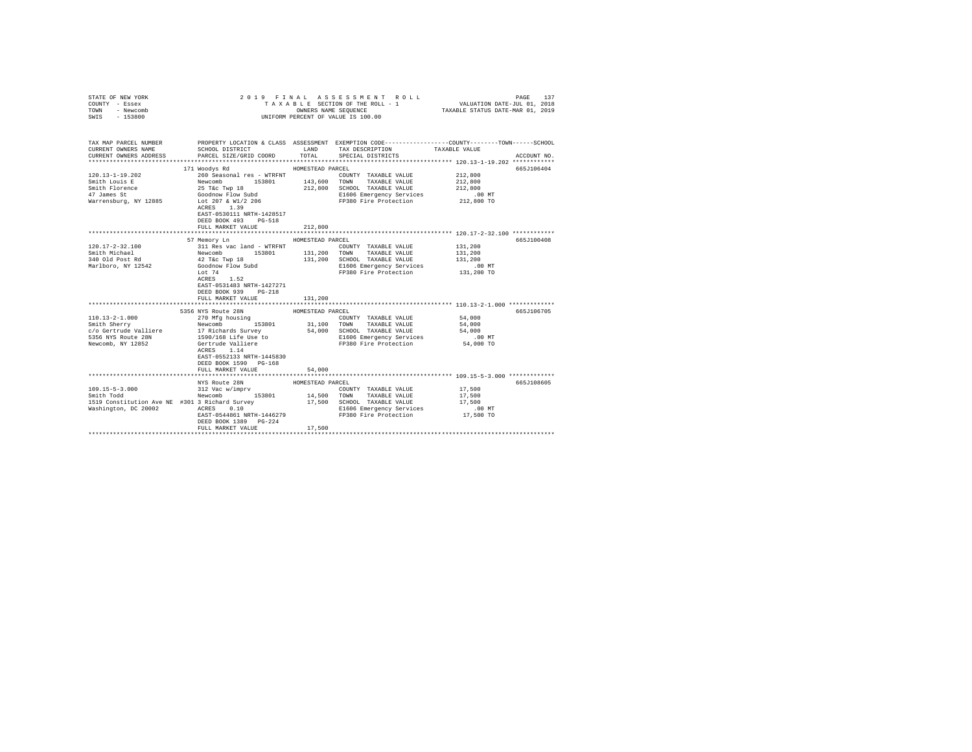| STATE OF NEW YORK<br>COUNTY - Essex    |                                                                                                                                                                                                                                |                  | 2019 FINAL ASSESSMENT ROLL<br>TAXABLE SECTION OF THE ROLL - 1 | PAGE<br>137<br>3 L E SECTION OF THE ROLL - 1<br>VALUATION DATE-JUL 01, 2018<br>TAXABLE STATUS DATE-MAR 01, 2019 |  |
|----------------------------------------|--------------------------------------------------------------------------------------------------------------------------------------------------------------------------------------------------------------------------------|------------------|---------------------------------------------------------------|-----------------------------------------------------------------------------------------------------------------|--|
| TOWN<br>- Newcomb<br>$-153800$<br>SWIS |                                                                                                                                                                                                                                |                  | UNIFORM PERCENT OF VALUE IS 100.00                            |                                                                                                                 |  |
|                                        |                                                                                                                                                                                                                                |                  |                                                               |                                                                                                                 |  |
|                                        |                                                                                                                                                                                                                                |                  |                                                               |                                                                                                                 |  |
| TAX MAP PARCEL NUMBER                  |                                                                                                                                                                                                                                |                  |                                                               | PROPERTY LOCATION & CLASS ASSESSMENT EXEMPTION CODE---------------COUNTY-------TOWN------SCHOOL                 |  |
| CURRENT OWNERS NAME                    | SCHOOL DISTRICT TAND TAX DESCRIPTION                                                                                                                                                                                           |                  |                                                               | TAXABLE VALUE                                                                                                   |  |
| CURRENT OWNERS ADDRESS                 | PARCEL SIZE/GRID COORD TOTAL                                                                                                                                                                                                   |                  | SPECIAL DISTRICTS                                             | ACCOUNT NO.                                                                                                     |  |
|                                        |                                                                                                                                                                                                                                |                  |                                                               |                                                                                                                 |  |
|                                        | 171 Woodys Rd                                                                                                                                                                                                                  | HOMESTEAD PARCEL |                                                               | 665J106404                                                                                                      |  |
| $120.13 - 1 - 19.202$<br>Smith Louis E | 260 Seasonal res - WTRFNT<br>Newcomb 153801                                                                                                                                                                                    |                  | COUNTY TAXABLE VALUE                                          | 212,800                                                                                                         |  |
|                                        | Smith Louis $\frac{1}{25}$ The Twp 18<br>47 James St 212,8<br>47 James St 21285<br>Warrensburg, NY 12885<br>Lot 207 & W1/2 206<br>The 1 20<br>Narrensburg, NY 12885<br>Lot 207 & W1/2 206                                      |                  | 143,600 TOWN TAXABLE VALUE<br>212,800 SCHOOL TAXABLE VALUE    | 212,800<br>212,800                                                                                              |  |
|                                        |                                                                                                                                                                                                                                |                  | E1606 Emergency Services                                      | $.00$ MT                                                                                                        |  |
|                                        |                                                                                                                                                                                                                                |                  | FP380 Fire Protection 212,800 TO                              |                                                                                                                 |  |
|                                        | ACRES 1.39                                                                                                                                                                                                                     |                  |                                                               |                                                                                                                 |  |
|                                        | EAST-0530111 NRTH-1428517                                                                                                                                                                                                      |                  |                                                               |                                                                                                                 |  |
|                                        | DEED BOOK 493 PG-518                                                                                                                                                                                                           |                  |                                                               |                                                                                                                 |  |
|                                        | FULL MARKET VALUE                                                                                                                                                                                                              | 212,800          |                                                               |                                                                                                                 |  |
|                                        |                                                                                                                                                                                                                                |                  |                                                               | ********************************* 120.17-2-32.100 ************                                                  |  |
|                                        | 57 Memory Ln                                                                                                                                                                                                                   | HOMESTEAD PARCEL |                                                               | 665J100408                                                                                                      |  |
| $120.17 - 2 - 32.100$                  | 311 Res vac land - WTRFNT                                                                                                                                                                                                      |                  | COUNTY TAXABLE VALUE                                          | 131,200                                                                                                         |  |
| Smith Michael                          | Sir Res vac Tand - Wike:<br>Newcomb 153801<br>42 T&c Twp 18                                                                                                                                                                    |                  | 131,200 TOWN TAXABLE VALUE                                    | 131,200                                                                                                         |  |
| 340 Old Post Rd<br>Marlboro, NY 12542  | Goodnow Flow Subd                                                                                                                                                                                                              |                  | 131,200 SCHOOL TAXABLE VALUE<br>E1606 Emergency Services      | 131,200<br>.00MT                                                                                                |  |
|                                        | Lot 74                                                                                                                                                                                                                         |                  | FP380 Fire Protection                                         | 131,200 TO                                                                                                      |  |
|                                        | ACRES 1.52                                                                                                                                                                                                                     |                  |                                                               |                                                                                                                 |  |
|                                        | EAST-0531483 NRTH-1427271                                                                                                                                                                                                      |                  |                                                               |                                                                                                                 |  |
|                                        | DEED BOOK 939 PG-218                                                                                                                                                                                                           |                  |                                                               |                                                                                                                 |  |
|                                        | FULL MARKET VALUE                                                                                                                                                                                                              | 131,200          |                                                               |                                                                                                                 |  |
|                                        |                                                                                                                                                                                                                                |                  |                                                               |                                                                                                                 |  |
|                                        | 5356 NYS Route 28N                                                                                                                                                                                                             | HOMESTEAD PARCEL |                                                               | 665J106705                                                                                                      |  |
| $110.13 - 2 - 1.000$                   | 270 Mfg housing                                                                                                                                                                                                                |                  | COUNTY TAXABLE VALUE                                          | 54,000                                                                                                          |  |
| Smith Sherry                           | Newcomb 153801                                                                                                                                                                                                                 |                  | 31,100 TOWN TAXABLE VALUE                                     | 54,000                                                                                                          |  |
|                                        | enter and the control of the control of the control of the control of the control of the control of the control of the control of the control of the control of the control of the control of the control of the control of th |                  | 54,000 SCHOOL TAXABLE VALUE                                   | 54,000                                                                                                          |  |
| 5356 NYS Route 28N                     | 1590/168 Life Use to<br>Gertrude Valliere                                                                                                                                                                                      |                  | E1606 Emergency Services<br>FP380 Fire Protection 54,000 TO   | $.00$ MT                                                                                                        |  |
| Newcomb, NY 12852                      | ACRES 1.14                                                                                                                                                                                                                     |                  |                                                               |                                                                                                                 |  |
|                                        | EAST-0552133 NRTH-1445830                                                                                                                                                                                                      |                  |                                                               |                                                                                                                 |  |
|                                        | DEED BOOK 1590 PG-168                                                                                                                                                                                                          |                  |                                                               |                                                                                                                 |  |
|                                        | FULL MARKET VALUE                                                                                                                                                                                                              | 54,000           |                                                               |                                                                                                                 |  |
|                                        |                                                                                                                                                                                                                                |                  |                                                               |                                                                                                                 |  |
|                                        | NYS Route 28N                                                                                                                                                                                                                  | HOMESTEAD PARCEL |                                                               | 665J108605                                                                                                      |  |
| 109.15-5-3.000<br>Smith Todd           | 312 Vac w/imprv                                                                                                                                                                                                                |                  | COUNTY TAXABLE VALUE                                          | 17,500                                                                                                          |  |
|                                        | Newcomb 153801                                                                                                                                                                                                                 |                  | 14,500 TOWN TAXABLE VALUE                                     | 17,500                                                                                                          |  |
|                                        | 1519 Constitution Ave NE #301 3 Richard Survey<br>Machineter, DC 30003, 20055, 0.10                                                                                                                                            |                  | 17,500 SCHOOL TAXABLE VALUE                                   | 17,500                                                                                                          |  |
| Washington, DC 20002                   | ACRES 0.10                                                                                                                                                                                                                     |                  | E1606 Emergency Services                                      | $.00$ MT                                                                                                        |  |
|                                        | EAST-0544861 NRTH-1446279<br>DEED BOOK 1389 PG-224                                                                                                                                                                             |                  | FP380 Fire Protection                                         | 17,500 TO                                                                                                       |  |
|                                        | FULL MARKET VALUE                                                                                                                                                                                                              | 17,500           |                                                               |                                                                                                                 |  |
|                                        |                                                                                                                                                                                                                                |                  |                                                               |                                                                                                                 |  |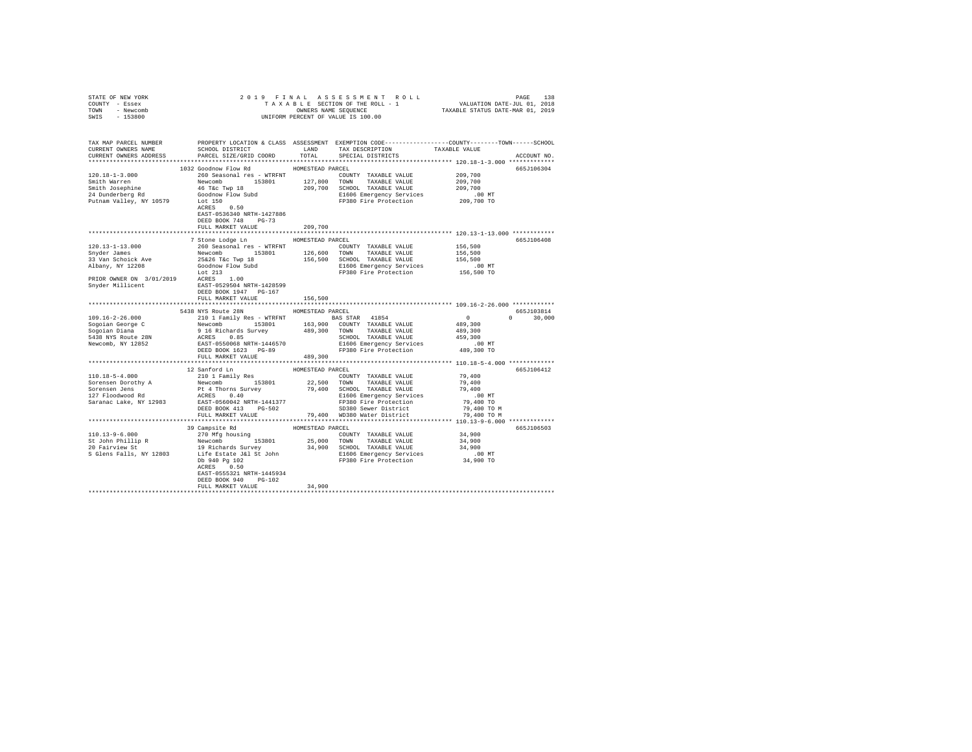| STATE OF NEW YORK                                                                                                                                                                                                                                                                                                                                                                    |                                       |         |                                                                                                                                                                                                 |  |
|--------------------------------------------------------------------------------------------------------------------------------------------------------------------------------------------------------------------------------------------------------------------------------------------------------------------------------------------------------------------------------------|---------------------------------------|---------|-------------------------------------------------------------------------------------------------------------------------------------------------------------------------------------------------|--|
| COUNTY - Essex                                                                                                                                                                                                                                                                                                                                                                       |                                       |         |                                                                                                                                                                                                 |  |
| TOWN - Newcomb                                                                                                                                                                                                                                                                                                                                                                       |                                       |         |                                                                                                                                                                                                 |  |
| SWIS - 153800                                                                                                                                                                                                                                                                                                                                                                        |                                       |         |                                                                                                                                                                                                 |  |
|                                                                                                                                                                                                                                                                                                                                                                                      |                                       |         |                                                                                                                                                                                                 |  |
|                                                                                                                                                                                                                                                                                                                                                                                      |                                       |         |                                                                                                                                                                                                 |  |
|                                                                                                                                                                                                                                                                                                                                                                                      |                                       |         | TAX MAP PARCEL NUMBER PROPERTY LOCATION & CLASS ASSESSMENT EXEMPTION CODE---------------COUNTY-------TOWN------SCHOOL<br>CURRENT OWNERS NAME SCHOOL DISTRICT LAND TAX DESCRIPTION TAXABLE VALUE |  |
|                                                                                                                                                                                                                                                                                                                                                                                      |                                       |         |                                                                                                                                                                                                 |  |
| CURRENT OWNERS ADDRESS . PARCEL SIZE/GRID COORD . TOTAL SPECIAL DISTRICTS                                                                                                                                                                                                                                                                                                            |                                       |         | ACCOUNT NO.                                                                                                                                                                                     |  |
|                                                                                                                                                                                                                                                                                                                                                                                      |                                       |         |                                                                                                                                                                                                 |  |
|                                                                                                                                                                                                                                                                                                                                                                                      | 1032 Goodnow Flow Rd HOMESTEAD PARCEL |         | 665J106304                                                                                                                                                                                      |  |
|                                                                                                                                                                                                                                                                                                                                                                                      |                                       |         |                                                                                                                                                                                                 |  |
|                                                                                                                                                                                                                                                                                                                                                                                      |                                       |         |                                                                                                                                                                                                 |  |
|                                                                                                                                                                                                                                                                                                                                                                                      |                                       |         |                                                                                                                                                                                                 |  |
|                                                                                                                                                                                                                                                                                                                                                                                      |                                       |         |                                                                                                                                                                                                 |  |
|                                                                                                                                                                                                                                                                                                                                                                                      |                                       |         |                                                                                                                                                                                                 |  |
|                                                                                                                                                                                                                                                                                                                                                                                      |                                       |         |                                                                                                                                                                                                 |  |
|                                                                                                                                                                                                                                                                                                                                                                                      | EAST-0536340 NRTH-1427886             |         |                                                                                                                                                                                                 |  |
|                                                                                                                                                                                                                                                                                                                                                                                      | DEED BOOK 748 PG-73                   |         |                                                                                                                                                                                                 |  |
|                                                                                                                                                                                                                                                                                                                                                                                      | FULL MARKET VALUE                     | 209,700 |                                                                                                                                                                                                 |  |
|                                                                                                                                                                                                                                                                                                                                                                                      |                                       |         |                                                                                                                                                                                                 |  |
|                                                                                                                                                                                                                                                                                                                                                                                      | 7 Stone Lodge Ln MOMESTEAD PARCEL     |         | 665J106408                                                                                                                                                                                      |  |
|                                                                                                                                                                                                                                                                                                                                                                                      |                                       |         |                                                                                                                                                                                                 |  |
|                                                                                                                                                                                                                                                                                                                                                                                      |                                       |         |                                                                                                                                                                                                 |  |
|                                                                                                                                                                                                                                                                                                                                                                                      |                                       |         |                                                                                                                                                                                                 |  |
|                                                                                                                                                                                                                                                                                                                                                                                      |                                       |         |                                                                                                                                                                                                 |  |
|                                                                                                                                                                                                                                                                                                                                                                                      |                                       |         |                                                                                                                                                                                                 |  |
|                                                                                                                                                                                                                                                                                                                                                                                      |                                       |         |                                                                                                                                                                                                 |  |
|                                                                                                                                                                                                                                                                                                                                                                                      |                                       |         |                                                                                                                                                                                                 |  |
|                                                                                                                                                                                                                                                                                                                                                                                      |                                       |         |                                                                                                                                                                                                 |  |
|                                                                                                                                                                                                                                                                                                                                                                                      | FULL MARKET VALUE                     | 156,500 |                                                                                                                                                                                                 |  |
|                                                                                                                                                                                                                                                                                                                                                                                      |                                       |         |                                                                                                                                                                                                 |  |
|                                                                                                                                                                                                                                                                                                                                                                                      | 5438 NYS Route 28N HOMESTEAD PARCEL   |         | $6651103814$<br>$0$<br>$489,300$<br>$0$<br>$0$<br>$30,000$                                                                                                                                      |  |
|                                                                                                                                                                                                                                                                                                                                                                                      |                                       |         | $0 \t 30,000$                                                                                                                                                                                   |  |
|                                                                                                                                                                                                                                                                                                                                                                                      |                                       |         |                                                                                                                                                                                                 |  |
|                                                                                                                                                                                                                                                                                                                                                                                      |                                       |         |                                                                                                                                                                                                 |  |
|                                                                                                                                                                                                                                                                                                                                                                                      |                                       |         |                                                                                                                                                                                                 |  |
|                                                                                                                                                                                                                                                                                                                                                                                      |                                       |         |                                                                                                                                                                                                 |  |
|                                                                                                                                                                                                                                                                                                                                                                                      |                                       |         |                                                                                                                                                                                                 |  |
|                                                                                                                                                                                                                                                                                                                                                                                      |                                       |         |                                                                                                                                                                                                 |  |
|                                                                                                                                                                                                                                                                                                                                                                                      |                                       |         |                                                                                                                                                                                                 |  |
|                                                                                                                                                                                                                                                                                                                                                                                      |                                       |         | 665J106412                                                                                                                                                                                      |  |
|                                                                                                                                                                                                                                                                                                                                                                                      |                                       |         |                                                                                                                                                                                                 |  |
|                                                                                                                                                                                                                                                                                                                                                                                      |                                       |         |                                                                                                                                                                                                 |  |
|                                                                                                                                                                                                                                                                                                                                                                                      |                                       |         |                                                                                                                                                                                                 |  |
|                                                                                                                                                                                                                                                                                                                                                                                      |                                       |         |                                                                                                                                                                                                 |  |
|                                                                                                                                                                                                                                                                                                                                                                                      |                                       |         |                                                                                                                                                                                                 |  |
|                                                                                                                                                                                                                                                                                                                                                                                      |                                       |         |                                                                                                                                                                                                 |  |
|                                                                                                                                                                                                                                                                                                                                                                                      |                                       |         |                                                                                                                                                                                                 |  |
|                                                                                                                                                                                                                                                                                                                                                                                      |                                       |         |                                                                                                                                                                                                 |  |
|                                                                                                                                                                                                                                                                                                                                                                                      |                                       |         | 665J106503                                                                                                                                                                                      |  |
|                                                                                                                                                                                                                                                                                                                                                                                      |                                       |         |                                                                                                                                                                                                 |  |
| $\begin{tabular}{c c c c c c c c c} & 39 \text{ Campsize Rd} & 39 \text{ Campsize Rd} & \text{HOMESTEAD PARCHAD PARCHAD PARCHAD PACHCED} & 34,900 & 34,900 & 1011110 & 13-9+6.0 & 270 \text{ Mfg housing} \\ & 270 \text{ Mfg housing} & 25,000 & 25,000 & TANABLE VALUE & 34,900 & 34,900 & 153801 & 25,000 & TANABLE VALUE & 34,900 & 34,900 & 153801 & 25,000 & TANABLE VALUE & $ |                                       |         |                                                                                                                                                                                                 |  |
|                                                                                                                                                                                                                                                                                                                                                                                      |                                       |         |                                                                                                                                                                                                 |  |
|                                                                                                                                                                                                                                                                                                                                                                                      |                                       |         |                                                                                                                                                                                                 |  |
|                                                                                                                                                                                                                                                                                                                                                                                      |                                       |         |                                                                                                                                                                                                 |  |
|                                                                                                                                                                                                                                                                                                                                                                                      |                                       |         |                                                                                                                                                                                                 |  |
|                                                                                                                                                                                                                                                                                                                                                                                      | EAST-0555321 NRTH-1445934             |         |                                                                                                                                                                                                 |  |
|                                                                                                                                                                                                                                                                                                                                                                                      | DEED BOOK 940 PG-102                  |         |                                                                                                                                                                                                 |  |
|                                                                                                                                                                                                                                                                                                                                                                                      | FULL MARKET VALUE                     | 34,900  |                                                                                                                                                                                                 |  |
|                                                                                                                                                                                                                                                                                                                                                                                      |                                       |         |                                                                                                                                                                                                 |  |
|                                                                                                                                                                                                                                                                                                                                                                                      |                                       |         |                                                                                                                                                                                                 |  |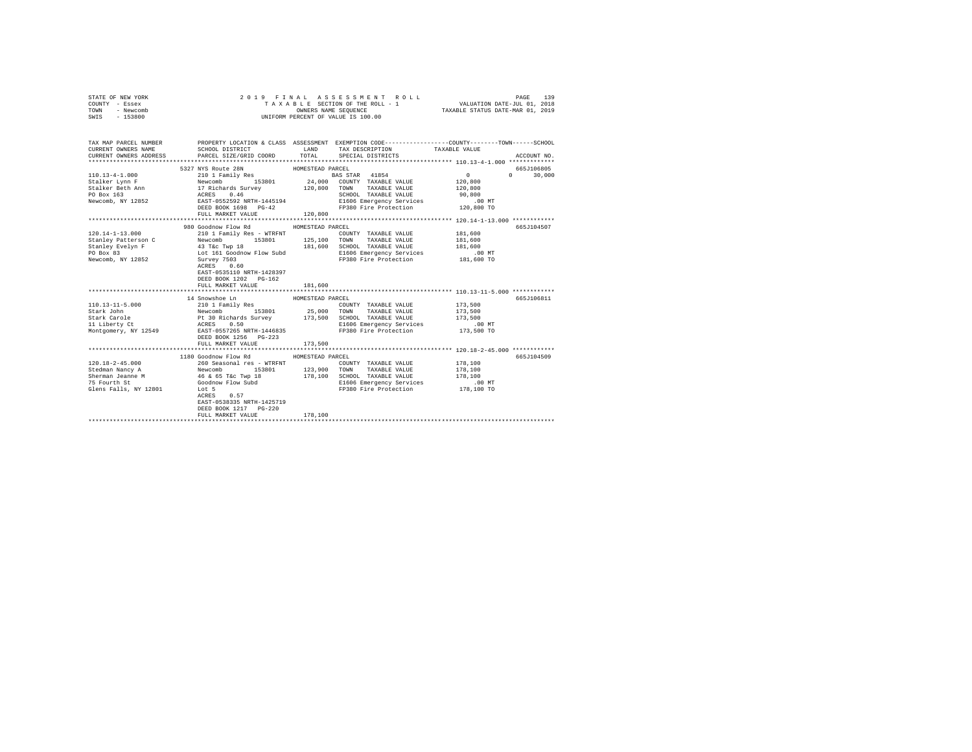| STATE OF NEW YORK<br>COUNTY - Essex<br>TOWN<br>- Newcomb<br>SWIS - 153800                                                  | 2019 FINAL                                                                                                                                                                                                                                                           | ASSESSMENT ROLL<br>T A X A B L E SECTION OF THE ROLL - 1<br>OWNERS NAME SEQUENCE<br>UNIFORM PERCENT OF VALUE IS 100.00                                                                                                                                                                                                                               | PAGE<br>139<br>VALUATION DATE-JUL 01, 2018<br>TAXABLE STATUS DATE-MAR 01, 2019 |
|----------------------------------------------------------------------------------------------------------------------------|----------------------------------------------------------------------------------------------------------------------------------------------------------------------------------------------------------------------------------------------------------------------|------------------------------------------------------------------------------------------------------------------------------------------------------------------------------------------------------------------------------------------------------------------------------------------------------------------------------------------------------|--------------------------------------------------------------------------------|
| CURRENT OWNERS NAME<br>CURRENT OWNERS ADDRESS                                                                              | SCHOOL DISTRICT<br>PARCEL SIZE/GRID COORD                                                                                                                                                                                                                            | TAX MAP PARCEL NUMBER PROPERTY LOCATION & CLASS ASSESSMENT EXEMPTION CODE--------------COUNTY-------TOWN------SCHOOL<br>LAND<br>TAX DESCRIPTION TAXABLE VALUE<br>TOTAL<br>SPECIAL DISTRICTS                                                                                                                                                          | ACCOUNT NO.                                                                    |
|                                                                                                                            | 5327 NYS Route 28N<br>FULL MARKET VALUE                                                                                                                                                                                                                              | HOMESTEAD PARCEL<br>120,800                                                                                                                                                                                                                                                                                                                          | 665J106805<br>$0 \t 30,000$                                                    |
| $120.14 - 1 - 13.000$<br>Stanley Patterson C<br>Stanley Evelyn F<br>PO Box 83<br>Newcomb, NY 12852                         | 980 Goodnow Flow Rd<br>210 1 Family Res - WTRFNT<br>Newcomb 153801 125,100 TOWN<br>43 TAC TWP 18 181,600 SCHOOL<br>Lot 161 Goodnow Flow Subd E1606 E<br>Survey 7503 FP380 F<br>ACRES 0.60<br>EAST-0535110 NRTH-1428397<br>DEED BOOK 1202 PG-162<br>FULL MARKET VALUE | HOMESTEAD PARCEL<br>COUNTY TAXABLE VALUE<br>TAXABLE VALUE<br>SCHOOL TAXABLE VALUE<br>E1606 Emergency Services .00 MT<br>FP380 Fire Protection .01.600 TO<br>181,600                                                                                                                                                                                  | 665J104507<br>181,600<br>181,600<br>181,600                                    |
| 110.13-11-5.000<br>Stark John<br>Stark Carole<br>Stark Carole<br>11 Liberty Ct<br>Montgomery, NY 12549                     | 14 Snowshoe Ln<br>DEED BOOK 1256   PG-223<br>FULL MARKET VALUE                                                                                                                                                                                                       | HOMESTEAD PARCEL<br>210 1 Family Res 153801 25,000 TOWNY TAXABLE VALUE<br>Newcomb that is 153801 25,000 TOWN TAXABLE VALUE<br>PE 30 Richards Survey 173,500 SCHOOL TAXABLE VALUE<br>ACRES 0.500 20100 ENGLE PROPERTION RAST-0557265 NRTH-1446835 20100 P<br>E1606 Emergency Services<br>E1606 Emergency Services<br>FP380 Fire Protection<br>173,500 | 665J106811<br>173,500<br>173,500<br>173,500<br>$.00$ MT<br>173,500 TO          |
| $120.18 - 2 - 45.000$<br>Stedman Nancy A<br>Stedman Nancy A<br>16 & 65 T&c Twp 18<br>75 Fourth St<br>Glens Falls, NY 12801 | 1180 Goodnow Flow Rd MOMESTEAD PARCEL<br>260 Seasonal res - WTRFNT<br>153801 123,900<br>Goodnow Flow Subd<br>Lot 5<br>ACRES 0.57<br>EAST-0538335 NRTH-1425719<br>DEED BOOK 1217 PG-220<br>FULL MARKET VALUE                                                          | COUNTY TAXABLE VALUE<br>TOWN<br>TAXABLE VALUE<br>178,100 SCHOOL TAXABLE VALUE<br>E1606 Emergency Services<br>FP380 Fire Protection<br>178,100                                                                                                                                                                                                        | 665J104509<br>178,100<br>178,100<br>178,100<br>.00 MT.<br>178,100 TO           |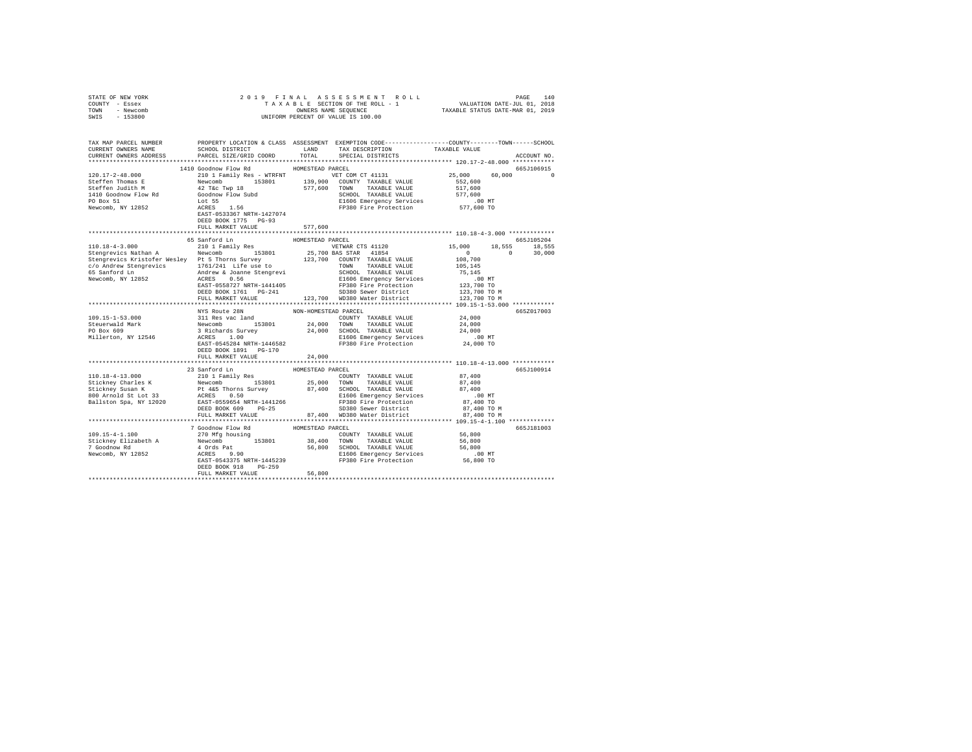| STATE OF NEW YORK                                                                                                                                                                                                                            |                                       |                  |                                                                                                                                                                                                                                                                                                                                                                                                                            |             |
|----------------------------------------------------------------------------------------------------------------------------------------------------------------------------------------------------------------------------------------------|---------------------------------------|------------------|----------------------------------------------------------------------------------------------------------------------------------------------------------------------------------------------------------------------------------------------------------------------------------------------------------------------------------------------------------------------------------------------------------------------------|-------------|
| COUNTY - Essex                                                                                                                                                                                                                               |                                       |                  |                                                                                                                                                                                                                                                                                                                                                                                                                            |             |
| TOWN - Newcomb                                                                                                                                                                                                                               |                                       |                  |                                                                                                                                                                                                                                                                                                                                                                                                                            |             |
| SWIS - 153800                                                                                                                                                                                                                                |                                       |                  |                                                                                                                                                                                                                                                                                                                                                                                                                            |             |
|                                                                                                                                                                                                                                              |                                       |                  |                                                                                                                                                                                                                                                                                                                                                                                                                            |             |
|                                                                                                                                                                                                                                              |                                       |                  |                                                                                                                                                                                                                                                                                                                                                                                                                            |             |
|                                                                                                                                                                                                                                              |                                       |                  |                                                                                                                                                                                                                                                                                                                                                                                                                            |             |
| TAX MAP PARCEL NUMBER     PROPERTY LOCATION & CLASS ASSESSMENT EXEMPTION CODE--------------COUNTY-------TOWN------SCHOOL DISTRICT     LAND   TAX DESCRIPTION     TAXABLE VALUE                                                               |                                       |                  | ${\small \begin{tabular}{lcccccc} \texttt{GCHOOL} & \texttt{DISTRICT} & \texttt{LAND} & \texttt{TAND} & \texttt{TAND} & \texttt{P11} & \texttt{P2} & \texttt{P2} & \texttt{P3} & \texttt{P4} & \texttt{P4} & \texttt{P5} & \texttt{P5} & \texttt{P6} & \texttt{P6} & \texttt{P6} & \texttt{P6} & \texttt{P6} & \texttt{P6} & \texttt{P6} & \texttt{P6} & \texttt{P6} & \texttt{P6} & \texttt{P6} & \texttt{P6} & \texttt{$ |             |
| CURRENT OWNERS ADDRESS                                                                                                                                                                                                                       |                                       |                  |                                                                                                                                                                                                                                                                                                                                                                                                                            | ACCOUNT NO. |
|                                                                                                                                                                                                                                              |                                       |                  |                                                                                                                                                                                                                                                                                                                                                                                                                            |             |
|                                                                                                                                                                                                                                              | 1410 Goodnow Flow Rd MOMESTEAD PARCEL |                  |                                                                                                                                                                                                                                                                                                                                                                                                                            | 665J106915  |
|                                                                                                                                                                                                                                              |                                       |                  |                                                                                                                                                                                                                                                                                                                                                                                                                            | $60,000$ 0  |
|                                                                                                                                                                                                                                              |                                       |                  |                                                                                                                                                                                                                                                                                                                                                                                                                            |             |
|                                                                                                                                                                                                                                              |                                       |                  |                                                                                                                                                                                                                                                                                                                                                                                                                            |             |
|                                                                                                                                                                                                                                              |                                       |                  |                                                                                                                                                                                                                                                                                                                                                                                                                            |             |
|                                                                                                                                                                                                                                              |                                       |                  |                                                                                                                                                                                                                                                                                                                                                                                                                            |             |
|                                                                                                                                                                                                                                              |                                       |                  |                                                                                                                                                                                                                                                                                                                                                                                                                            |             |
|                                                                                                                                                                                                                                              |                                       |                  |                                                                                                                                                                                                                                                                                                                                                                                                                            |             |
|                                                                                                                                                                                                                                              |                                       |                  |                                                                                                                                                                                                                                                                                                                                                                                                                            |             |
|                                                                                                                                                                                                                                              | DEED BOOK 1775 PG-93                  |                  |                                                                                                                                                                                                                                                                                                                                                                                                                            |             |
|                                                                                                                                                                                                                                              | FULL MARKET VALUE                     | 577,600          |                                                                                                                                                                                                                                                                                                                                                                                                                            |             |
|                                                                                                                                                                                                                                              |                                       |                  |                                                                                                                                                                                                                                                                                                                                                                                                                            |             |
|                                                                                                                                                                                                                                              | 65 Sanford Ln                         | HOMESTEAD PARCEL |                                                                                                                                                                                                                                                                                                                                                                                                                            | 665J105204  |
|                                                                                                                                                                                                                                              |                                       |                  |                                                                                                                                                                                                                                                                                                                                                                                                                            |             |
|                                                                                                                                                                                                                                              |                                       |                  |                                                                                                                                                                                                                                                                                                                                                                                                                            |             |
|                                                                                                                                                                                                                                              |                                       |                  |                                                                                                                                                                                                                                                                                                                                                                                                                            |             |
|                                                                                                                                                                                                                                              |                                       |                  |                                                                                                                                                                                                                                                                                                                                                                                                                            |             |
|                                                                                                                                                                                                                                              |                                       |                  |                                                                                                                                                                                                                                                                                                                                                                                                                            |             |
|                                                                                                                                                                                                                                              |                                       |                  |                                                                                                                                                                                                                                                                                                                                                                                                                            |             |
|                                                                                                                                                                                                                                              |                                       |                  |                                                                                                                                                                                                                                                                                                                                                                                                                            |             |
|                                                                                                                                                                                                                                              |                                       |                  |                                                                                                                                                                                                                                                                                                                                                                                                                            |             |
|                                                                                                                                                                                                                                              |                                       |                  |                                                                                                                                                                                                                                                                                                                                                                                                                            |             |
|                                                                                                                                                                                                                                              |                                       |                  |                                                                                                                                                                                                                                                                                                                                                                                                                            |             |
|                                                                                                                                                                                                                                              |                                       |                  |                                                                                                                                                                                                                                                                                                                                                                                                                            |             |
|                                                                                                                                                                                                                                              | NYS Route 28N NON-HOMESTEAD PARCEL    |                  |                                                                                                                                                                                                                                                                                                                                                                                                                            | 665Z017003  |
|                                                                                                                                                                                                                                              |                                       |                  |                                                                                                                                                                                                                                                                                                                                                                                                                            |             |
|                                                                                                                                                                                                                                              |                                       |                  |                                                                                                                                                                                                                                                                                                                                                                                                                            |             |
|                                                                                                                                                                                                                                              |                                       |                  |                                                                                                                                                                                                                                                                                                                                                                                                                            |             |
|                                                                                                                                                                                                                                              |                                       |                  |                                                                                                                                                                                                                                                                                                                                                                                                                            |             |
|                                                                                                                                                                                                                                              |                                       |                  |                                                                                                                                                                                                                                                                                                                                                                                                                            |             |
|                                                                                                                                                                                                                                              |                                       |                  |                                                                                                                                                                                                                                                                                                                                                                                                                            |             |
|                                                                                                                                                                                                                                              | FULL MARKET VALUE                     | 24,000           |                                                                                                                                                                                                                                                                                                                                                                                                                            |             |
|                                                                                                                                                                                                                                              |                                       |                  |                                                                                                                                                                                                                                                                                                                                                                                                                            |             |
|                                                                                                                                                                                                                                              |                                       |                  |                                                                                                                                                                                                                                                                                                                                                                                                                            |             |
|                                                                                                                                                                                                                                              | 23 Sanford Ln                         | HOMESTEAD PARCEL |                                                                                                                                                                                                                                                                                                                                                                                                                            | 665J100914  |
|                                                                                                                                                                                                                                              |                                       |                  |                                                                                                                                                                                                                                                                                                                                                                                                                            |             |
|                                                                                                                                                                                                                                              |                                       |                  |                                                                                                                                                                                                                                                                                                                                                                                                                            |             |
|                                                                                                                                                                                                                                              |                                       |                  |                                                                                                                                                                                                                                                                                                                                                                                                                            |             |
|                                                                                                                                                                                                                                              |                                       |                  |                                                                                                                                                                                                                                                                                                                                                                                                                            |             |
|                                                                                                                                                                                                                                              |                                       |                  |                                                                                                                                                                                                                                                                                                                                                                                                                            |             |
|                                                                                                                                                                                                                                              |                                       |                  |                                                                                                                                                                                                                                                                                                                                                                                                                            |             |
|                                                                                                                                                                                                                                              |                                       |                  |                                                                                                                                                                                                                                                                                                                                                                                                                            |             |
|                                                                                                                                                                                                                                              |                                       |                  |                                                                                                                                                                                                                                                                                                                                                                                                                            |             |
|                                                                                                                                                                                                                                              |                                       |                  |                                                                                                                                                                                                                                                                                                                                                                                                                            | 665J181003  |
|                                                                                                                                                                                                                                              | 7 Goodnow Flow Rd<br>270 Mfg housing  |                  |                                                                                                                                                                                                                                                                                                                                                                                                                            |             |
|                                                                                                                                                                                                                                              |                                       |                  |                                                                                                                                                                                                                                                                                                                                                                                                                            |             |
|                                                                                                                                                                                                                                              |                                       |                  |                                                                                                                                                                                                                                                                                                                                                                                                                            |             |
|                                                                                                                                                                                                                                              |                                       |                  |                                                                                                                                                                                                                                                                                                                                                                                                                            |             |
|                                                                                                                                                                                                                                              |                                       |                  |                                                                                                                                                                                                                                                                                                                                                                                                                            |             |
|                                                                                                                                                                                                                                              |                                       |                  |                                                                                                                                                                                                                                                                                                                                                                                                                            |             |
| Now SILE AND 100 200 MFg housing<br>Stickney Blizabeth A Newcomb 270 MFg housing<br>7 Goodnow Rd 4 Ords Pat 56,800<br>7 Goodnow Rd 4 Ords Pat 56,800<br>7 Goodnow Rd 4 Ords Pat 56,800<br>200 EXPL 2013 2013<br>200 EXPL 2013 2013<br>200 EX |                                       |                  |                                                                                                                                                                                                                                                                                                                                                                                                                            |             |
|                                                                                                                                                                                                                                              |                                       |                  |                                                                                                                                                                                                                                                                                                                                                                                                                            |             |
|                                                                                                                                                                                                                                              |                                       |                  |                                                                                                                                                                                                                                                                                                                                                                                                                            |             |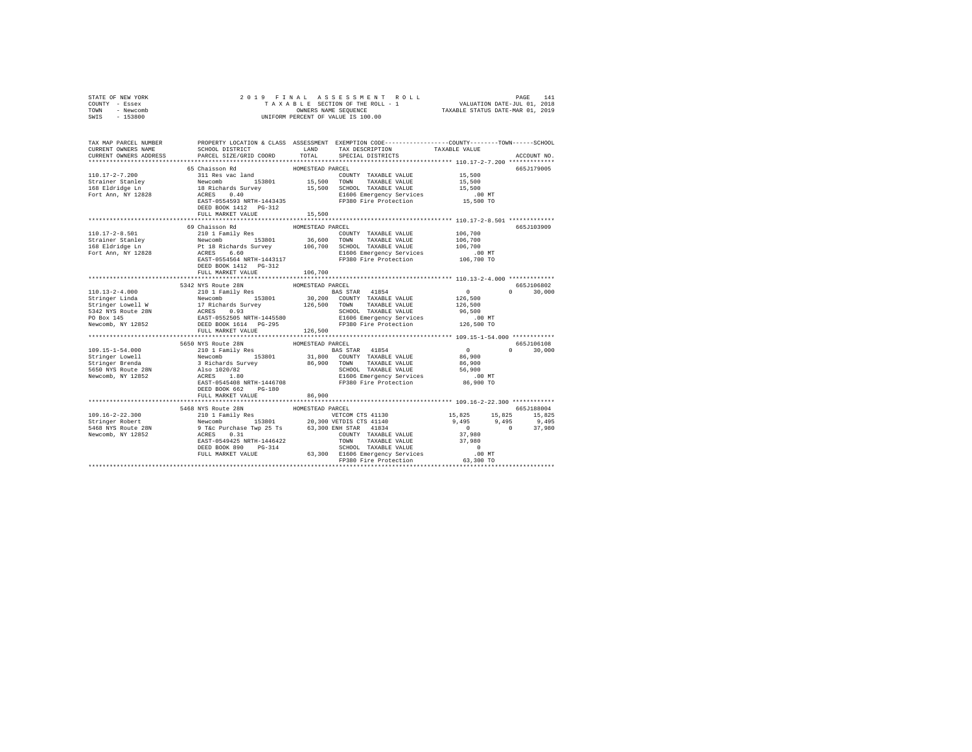| STATE OF NEW YORK<br>COUNTY - Essex                                                                                                                                                                                                                              |                                           |                  |                                                                 |               |
|------------------------------------------------------------------------------------------------------------------------------------------------------------------------------------------------------------------------------------------------------------------|-------------------------------------------|------------------|-----------------------------------------------------------------|---------------|
| TOWN - Newcomb<br>SWIS - 153800                                                                                                                                                                                                                                  |                                           |                  |                                                                 |               |
|                                                                                                                                                                                                                                                                  |                                           |                  |                                                                 |               |
| TAX MAP PARCEL NUMBER PROPERTY LOCATION & CLASS ASSESSMENT EXEMPTION CODE--------------COUNTY-------TOWN------SCHOOL                                                                                                                                             |                                           |                  |                                                                 |               |
| CURRENT OWNERS NAME                                                                                                                                                                                                                                              |                                           |                  |                                                                 |               |
| CURRENT OWNERS ADDRESS                                                                                                                                                                                                                                           |                                           |                  |                                                                 | ACCOUNT NO.   |
|                                                                                                                                                                                                                                                                  |                                           |                  |                                                                 |               |
|                                                                                                                                                                                                                                                                  | 65 Chaisson Rd                            | HOMESTEAD PARCEL |                                                                 | 665J179005    |
|                                                                                                                                                                                                                                                                  |                                           |                  |                                                                 |               |
|                                                                                                                                                                                                                                                                  |                                           |                  |                                                                 |               |
|                                                                                                                                                                                                                                                                  |                                           |                  |                                                                 |               |
|                                                                                                                                                                                                                                                                  |                                           |                  |                                                                 |               |
|                                                                                                                                                                                                                                                                  | DEED BOOK 1412 PG-312                     |                  |                                                                 |               |
|                                                                                                                                                                                                                                                                  | FULL MARKET VALUE                         | 15,500           |                                                                 |               |
|                                                                                                                                                                                                                                                                  | 69 Chaisson Rd                            | HOMESTEAD PARCEL |                                                                 | 665J103909    |
|                                                                                                                                                                                                                                                                  |                                           |                  |                                                                 |               |
|                                                                                                                                                                                                                                                                  |                                           |                  |                                                                 |               |
|                                                                                                                                                                                                                                                                  |                                           |                  |                                                                 |               |
|                                                                                                                                                                                                                                                                  |                                           |                  |                                                                 |               |
|                                                                                                                                                                                                                                                                  |                                           |                  |                                                                 |               |
|                                                                                                                                                                                                                                                                  | DEED BOOK 1412    PG-312                  |                  |                                                                 |               |
|                                                                                                                                                                                                                                                                  | FULL MARKET VALUE 106,700                 |                  |                                                                 |               |
|                                                                                                                                                                                                                                                                  | 5342 NYS Route 28N                        | HOMESTEAD PARCEL |                                                                 | 665J106802    |
|                                                                                                                                                                                                                                                                  |                                           |                  |                                                                 | $0 \t 30,000$ |
|                                                                                                                                                                                                                                                                  |                                           |                  |                                                                 |               |
|                                                                                                                                                                                                                                                                  |                                           |                  |                                                                 |               |
|                                                                                                                                                                                                                                                                  |                                           |                  |                                                                 |               |
|                                                                                                                                                                                                                                                                  |                                           |                  |                                                                 |               |
|                                                                                                                                                                                                                                                                  |                                           |                  |                                                                 |               |
|                                                                                                                                                                                                                                                                  | FULL MARKET VALUE 126,500                 |                  |                                                                 |               |
| 109.15-1-54.000<br>199.15-1-54.000<br>199.15-1-54.000<br>S650 NYS Route 28N<br>210 1 Family Res<br>22N<br>210 1 Family Res<br>22N<br>22N<br>22N<br>22N<br>22N<br>22N<br>31,800 COUNTY TAXABLE VALUE<br>23N<br>23N<br>238.01 231,800 COUNTY TAXABLE VALUE<br>26,9 |                                           |                  |                                                                 | 665J106108    |
|                                                                                                                                                                                                                                                                  |                                           |                  |                                                                 | $0 \t 30,000$ |
|                                                                                                                                                                                                                                                                  |                                           |                  |                                                                 |               |
|                                                                                                                                                                                                                                                                  |                                           |                  |                                                                 |               |
|                                                                                                                                                                                                                                                                  |                                           |                  |                                                                 |               |
|                                                                                                                                                                                                                                                                  |                                           |                  |                                                                 |               |
|                                                                                                                                                                                                                                                                  |                                           |                  |                                                                 |               |
|                                                                                                                                                                                                                                                                  | DEED BOOK 662 PG-180<br>FULL MARKET VALUE | 86,900           |                                                                 |               |
|                                                                                                                                                                                                                                                                  |                                           | *************    | ********************************** 109.16-2-22.300 ************ |               |
|                                                                                                                                                                                                                                                                  |                                           |                  |                                                                 |               |
|                                                                                                                                                                                                                                                                  |                                           |                  |                                                                 |               |
|                                                                                                                                                                                                                                                                  |                                           |                  |                                                                 |               |
|                                                                                                                                                                                                                                                                  |                                           |                  |                                                                 |               |
|                                                                                                                                                                                                                                                                  |                                           |                  |                                                                 |               |
|                                                                                                                                                                                                                                                                  |                                           |                  |                                                                 |               |
|                                                                                                                                                                                                                                                                  |                                           |                  |                                                                 |               |
|                                                                                                                                                                                                                                                                  |                                           |                  |                                                                 |               |
|                                                                                                                                                                                                                                                                  |                                           |                  |                                                                 |               |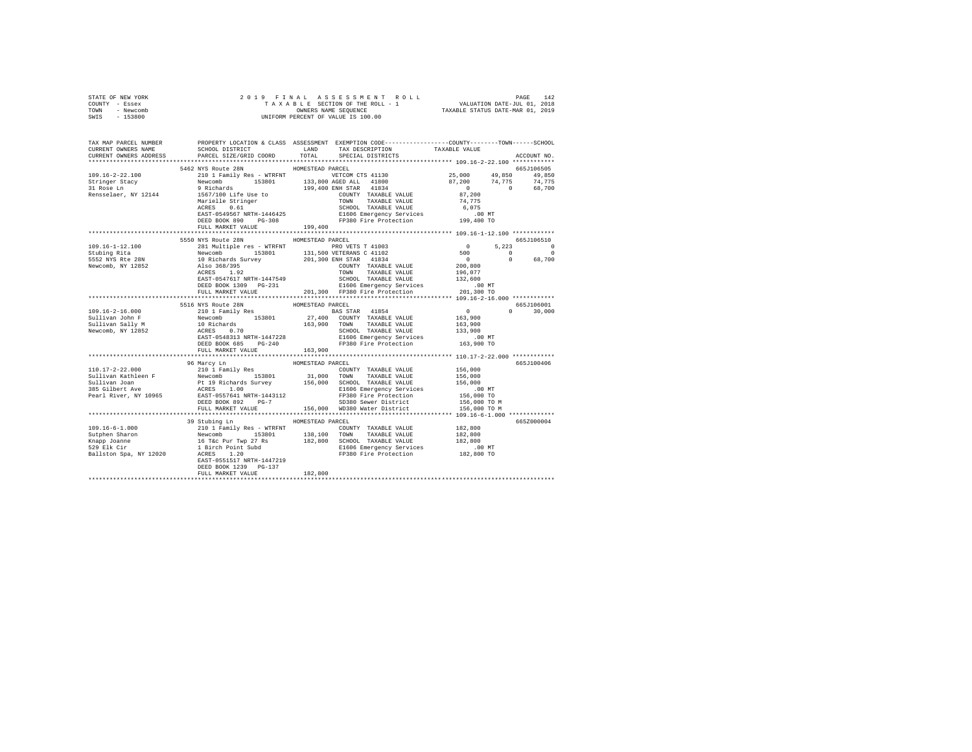| STATE OF NEW YORK                                        |                                                                                                                                                                                                                                                                                                                                                                                                                                                                         |         |  |            |               |
|----------------------------------------------------------|-------------------------------------------------------------------------------------------------------------------------------------------------------------------------------------------------------------------------------------------------------------------------------------------------------------------------------------------------------------------------------------------------------------------------------------------------------------------------|---------|--|------------|---------------|
| COUNTY - Essex<br>TOWN - Newcomb                         |                                                                                                                                                                                                                                                                                                                                                                                                                                                                         |         |  |            |               |
| SWIS - 153800                                            | $\begin{tabular}{ccccc} 2 & 0 & 1 & 9 & F & I & N & A & L & S & S & E & S & S & M & E & N & T & R & O & L & L & P \end{tabular} \begin{tabular}{ccccc} PAGE & 142 \\ T & A & X & A & B & S & E & C & D & C & L & L & V \end{tabular} \begin{tabular}{ccccc} PAGE & 142 \\ \hline T & A & X & A & B & S & C & C & D & L & V \end{tabular} \begin{tabular}{ccccc} 14 \\ \hline \multicolumn{2}{c}{} & \multicolumn{2}{c}{} & \multicolumn{2}{c}{} & \multicolumn{2}{c}{}$ |         |  |            |               |
|                                                          |                                                                                                                                                                                                                                                                                                                                                                                                                                                                         |         |  |            |               |
|                                                          |                                                                                                                                                                                                                                                                                                                                                                                                                                                                         |         |  |            |               |
|                                                          |                                                                                                                                                                                                                                                                                                                                                                                                                                                                         |         |  |            |               |
|                                                          |                                                                                                                                                                                                                                                                                                                                                                                                                                                                         |         |  |            |               |
|                                                          |                                                                                                                                                                                                                                                                                                                                                                                                                                                                         |         |  |            |               |
|                                                          | 5462 NYS Route 28N HOMESTEAD PARCEL                                                                                                                                                                                                                                                                                                                                                                                                                                     |         |  | 665J106505 |               |
|                                                          |                                                                                                                                                                                                                                                                                                                                                                                                                                                                         |         |  |            |               |
|                                                          |                                                                                                                                                                                                                                                                                                                                                                                                                                                                         |         |  |            |               |
|                                                          |                                                                                                                                                                                                                                                                                                                                                                                                                                                                         |         |  |            |               |
|                                                          |                                                                                                                                                                                                                                                                                                                                                                                                                                                                         |         |  |            |               |
|                                                          |                                                                                                                                                                                                                                                                                                                                                                                                                                                                         |         |  |            |               |
|                                                          |                                                                                                                                                                                                                                                                                                                                                                                                                                                                         |         |  |            |               |
|                                                          |                                                                                                                                                                                                                                                                                                                                                                                                                                                                         |         |  |            |               |
|                                                          |                                                                                                                                                                                                                                                                                                                                                                                                                                                                         |         |  |            |               |
|                                                          |                                                                                                                                                                                                                                                                                                                                                                                                                                                                         |         |  |            |               |
|                                                          |                                                                                                                                                                                                                                                                                                                                                                                                                                                                         |         |  |            |               |
|                                                          | 5550 NYS Route 28N HOMESTEAD PARCEL                                                                                                                                                                                                                                                                                                                                                                                                                                     |         |  | 665J106510 |               |
|                                                          |                                                                                                                                                                                                                                                                                                                                                                                                                                                                         |         |  |            |               |
|                                                          |                                                                                                                                                                                                                                                                                                                                                                                                                                                                         |         |  |            |               |
|                                                          |                                                                                                                                                                                                                                                                                                                                                                                                                                                                         |         |  |            |               |
|                                                          |                                                                                                                                                                                                                                                                                                                                                                                                                                                                         |         |  |            |               |
|                                                          |                                                                                                                                                                                                                                                                                                                                                                                                                                                                         |         |  |            |               |
|                                                          |                                                                                                                                                                                                                                                                                                                                                                                                                                                                         |         |  |            |               |
|                                                          |                                                                                                                                                                                                                                                                                                                                                                                                                                                                         |         |  |            |               |
|                                                          |                                                                                                                                                                                                                                                                                                                                                                                                                                                                         |         |  |            |               |
|                                                          |                                                                                                                                                                                                                                                                                                                                                                                                                                                                         |         |  |            |               |
|                                                          |                                                                                                                                                                                                                                                                                                                                                                                                                                                                         |         |  |            |               |
| $109.16 - 2 - 16.000$                                    |                                                                                                                                                                                                                                                                                                                                                                                                                                                                         |         |  |            | $0 \t 30.000$ |
|                                                          |                                                                                                                                                                                                                                                                                                                                                                                                                                                                         |         |  |            |               |
| Sullivan John F<br>Sullivan Sally M<br>Newcomb, NY 12852 |                                                                                                                                                                                                                                                                                                                                                                                                                                                                         |         |  |            |               |
|                                                          |                                                                                                                                                                                                                                                                                                                                                                                                                                                                         |         |  |            |               |
|                                                          |                                                                                                                                                                                                                                                                                                                                                                                                                                                                         |         |  |            |               |
|                                                          |                                                                                                                                                                                                                                                                                                                                                                                                                                                                         |         |  |            |               |
|                                                          | FULL MARKET VALUE 163.900                                                                                                                                                                                                                                                                                                                                                                                                                                               |         |  |            |               |
|                                                          |                                                                                                                                                                                                                                                                                                                                                                                                                                                                         |         |  |            |               |
|                                                          | 96 Marcy Ln HOMESTEAD PARCEL                                                                                                                                                                                                                                                                                                                                                                                                                                            |         |  |            | 665J100406    |
|                                                          | $[10.17-2-22.000$ 96 Marcy Lin + HOMESTEAD PARCE VALUE (15,000<br>Sullivan Kathleen F Newcomb 153801 31,000 TOWN TAXABLE VALUE 156,000<br>Sullivan Kathleen F Newcomb 153801 31,000 TOWN TAXABLE VALUE 156,000<br>SULLIVAN TOWN TAX                                                                                                                                                                                                                                     |         |  |            |               |
|                                                          |                                                                                                                                                                                                                                                                                                                                                                                                                                                                         |         |  |            |               |
|                                                          |                                                                                                                                                                                                                                                                                                                                                                                                                                                                         |         |  |            |               |
|                                                          |                                                                                                                                                                                                                                                                                                                                                                                                                                                                         |         |  |            |               |
|                                                          |                                                                                                                                                                                                                                                                                                                                                                                                                                                                         |         |  |            |               |
|                                                          |                                                                                                                                                                                                                                                                                                                                                                                                                                                                         |         |  |            |               |
|                                                          |                                                                                                                                                                                                                                                                                                                                                                                                                                                                         |         |  |            |               |
|                                                          |                                                                                                                                                                                                                                                                                                                                                                                                                                                                         |         |  |            |               |
|                                                          | 39 Stubing Ln MOMESTEAD PARCEL                                                                                                                                                                                                                                                                                                                                                                                                                                          |         |  |            | 665Z000004    |
|                                                          |                                                                                                                                                                                                                                                                                                                                                                                                                                                                         |         |  |            |               |
|                                                          |                                                                                                                                                                                                                                                                                                                                                                                                                                                                         |         |  |            |               |
|                                                          |                                                                                                                                                                                                                                                                                                                                                                                                                                                                         |         |  |            |               |
|                                                          |                                                                                                                                                                                                                                                                                                                                                                                                                                                                         |         |  |            |               |
|                                                          |                                                                                                                                                                                                                                                                                                                                                                                                                                                                         |         |  |            |               |
|                                                          |                                                                                                                                                                                                                                                                                                                                                                                                                                                                         |         |  |            |               |
|                                                          |                                                                                                                                                                                                                                                                                                                                                                                                                                                                         |         |  |            |               |
|                                                          | DEED BOOK 1239 PG-137                                                                                                                                                                                                                                                                                                                                                                                                                                                   | 182,800 |  |            |               |
|                                                          | FULL MARKET VALUE                                                                                                                                                                                                                                                                                                                                                                                                                                                       |         |  |            |               |
|                                                          |                                                                                                                                                                                                                                                                                                                                                                                                                                                                         |         |  |            |               |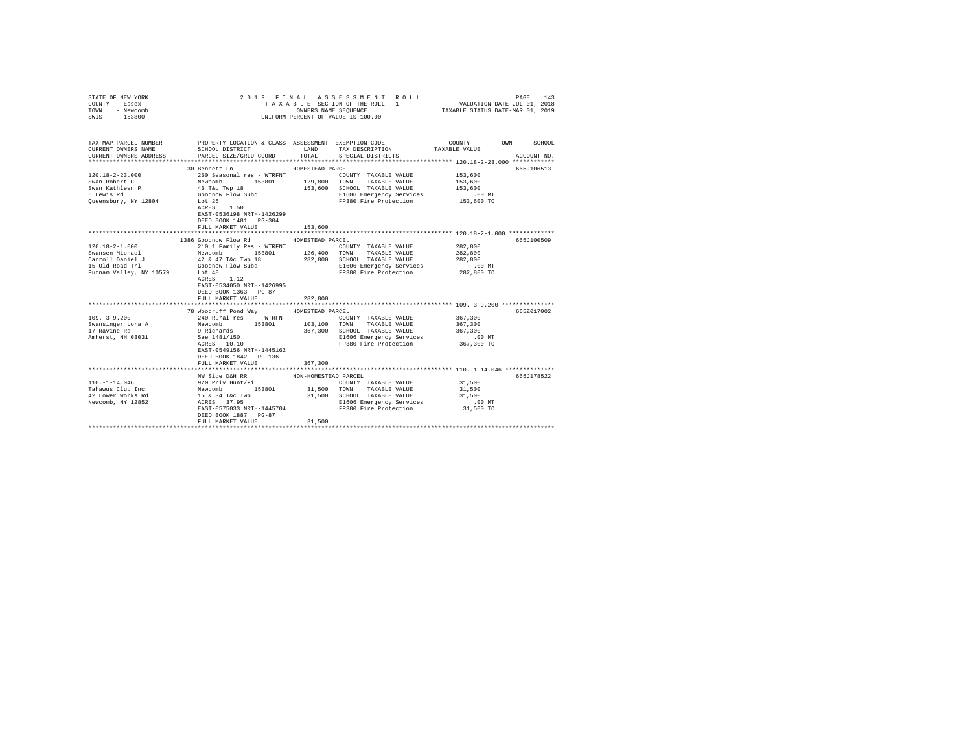| STATE OF NEW YORK<br>COUNTY - Essex<br>TOWN - Newcomb<br>SWIS - 153800                                                                                                                                                                                                                                                                                                                                                                | 2019 FINAL ASSESSMENT ROLL<br>TAXABLE SECTION OF THE ROLL - 1<br>UNIFORM PERCENT OF VALUE IS 100.00                                                               | 143<br>PAGE<br>VALUATION DATE-JUL 01, 2018<br>TAXABLE STATUS DATE-MAR 01, 2019 |                                                   |                                                                                                                                        |  |
|---------------------------------------------------------------------------------------------------------------------------------------------------------------------------------------------------------------------------------------------------------------------------------------------------------------------------------------------------------------------------------------------------------------------------------------|-------------------------------------------------------------------------------------------------------------------------------------------------------------------|--------------------------------------------------------------------------------|---------------------------------------------------|----------------------------------------------------------------------------------------------------------------------------------------|--|
| CURRENT OWNERS NAME                                                                                                                                                                                                                                                                                                                                                                                                                   | SCHOOL DISTRICT                                                                                                                                                   | LAND                                                                           | TAX DESCRIPTION                                   | TAX MAP PARCEL NUMBER PROPERTY LOCATION & CLASS ASSESSMENT EXEMPTION CODE---------------COUNTY-------TOWN------SCHOOL<br>TAXABLE VALUE |  |
| CURRENT OWNERS ADDRESS                                                                                                                                                                                                                                                                                                                                                                                                                | PARCEL SIZE/GRID COORD                                                                                                                                            | TOTAL                                                                          | SPECIAL DISTRICTS                                 | ACCOUNT NO.                                                                                                                            |  |
|                                                                                                                                                                                                                                                                                                                                                                                                                                       |                                                                                                                                                                   |                                                                                |                                                   |                                                                                                                                        |  |
|                                                                                                                                                                                                                                                                                                                                                                                                                                       | 30 Bennett Ln                                                                                                                                                     | HOMESTEAD PARCEL                                                               |                                                   | 665J106513                                                                                                                             |  |
| $120.18 - 2 - 23.000$                                                                                                                                                                                                                                                                                                                                                                                                                 |                                                                                                                                                                   |                                                                                | COUNTY TAXABLE VALUE                              | 153,600                                                                                                                                |  |
| Swan Robert C                                                                                                                                                                                                                                                                                                                                                                                                                         | 153801 129,800                                                                                                                                                    |                                                                                | TOWN TAXABLE VALUE                                | 153,600                                                                                                                                |  |
| Swan Kathleen P<br>6 Lewis Rd                                                                                                                                                                                                                                                                                                                                                                                                         |                                                                                                                                                                   |                                                                                | 153,600 SCHOOL TAXABLE VALUE                      | 153,600<br>$.00$ MT                                                                                                                    |  |
| Queensbury, NY 12804                                                                                                                                                                                                                                                                                                                                                                                                                  | 260 Seasonal res - WTRFNT<br>Newcomb 153801<br>46 TaC Twp 18<br>Goodnow Flow Subd Lot 26                                                                          |                                                                                | E1606 Emergency Services<br>FP380 Fire Protection | 153,600 TO                                                                                                                             |  |
|                                                                                                                                                                                                                                                                                                                                                                                                                                       | ACRES 1.50<br>EAST-0536198 NRTH-1426299<br>DEED BOOK 1481    PG-304                                                                                               |                                                                                |                                                   |                                                                                                                                        |  |
|                                                                                                                                                                                                                                                                                                                                                                                                                                       | FULL MARKET VALUE                                                                                                                                                 | 153,600                                                                        |                                                   |                                                                                                                                        |  |
|                                                                                                                                                                                                                                                                                                                                                                                                                                       | 1386 Goodnow Flow Rd                                                                                                                                              |                                                                                |                                                   | 665J100509                                                                                                                             |  |
| $[100.18-2-1.000] \begin{tabular}{lcccc} \multicolumn{2}{c}{\textbf{100}} & \multicolumn{2}{c}{\textbf{101}} & \multicolumn{2}{c}{\textbf{102}} & \multicolumn{2}{c}{\textbf{102}} & \multicolumn{2}{c}{\textbf{103}} & \multicolumn{2}{c}{\textbf{104}} & \multicolumn{2}{c}{\textbf{105}} & \multicolumn{2}{c}{\textbf{106}} & \multicolumn{2}{c}{\textbf{108}} & \multicolumn{2}{c}{\textbf{109}} & \multicolumn{2}{c}{\textbf{10$ |                                                                                                                                                                   |                                                                                |                                                   | 282,800                                                                                                                                |  |
|                                                                                                                                                                                                                                                                                                                                                                                                                                       |                                                                                                                                                                   |                                                                                |                                                   | 282,800                                                                                                                                |  |
|                                                                                                                                                                                                                                                                                                                                                                                                                                       |                                                                                                                                                                   |                                                                                |                                                   | 282,800                                                                                                                                |  |
| 15 Old Road Trl                                                                                                                                                                                                                                                                                                                                                                                                                       | Goodnow Flow Subd                                                                                                                                                 |                                                                                | E1606 Emergency Services                          | $.00$ MT                                                                                                                               |  |
| Putnam Valley, NY 10579                                                                                                                                                                                                                                                                                                                                                                                                               | Lot 48<br>$ACRES$ 1.12<br>EAST-0534050 NRTH-1426995<br>DEED BOOK 1363 PG-87<br>FULL MARKET VALUE                                                                  | 282,800                                                                        | FP380 Fire Protection                             | 282,800 TO                                                                                                                             |  |
|                                                                                                                                                                                                                                                                                                                                                                                                                                       |                                                                                                                                                                   |                                                                                |                                                   |                                                                                                                                        |  |
|                                                                                                                                                                                                                                                                                                                                                                                                                                       | 78 Woodruff Pond Way                                                                                                                                              | HOMESTEAD PARCEL                                                               |                                                   | 665Z017002                                                                                                                             |  |
| $109. -3 - 9.200$                                                                                                                                                                                                                                                                                                                                                                                                                     | 240 Rural res - WTRFNT                                                                                                                                            |                                                                                | COUNTY TAXABLE VALUE                              | 367,300                                                                                                                                |  |
| Swansinger Lora A<br>17 Ravine Rd                                                                                                                                                                                                                                                                                                                                                                                                     |                                                                                                                                                                   |                                                                                |                                                   | 367,300                                                                                                                                |  |
|                                                                                                                                                                                                                                                                                                                                                                                                                                       |                                                                                                                                                                   |                                                                                | 367,300 SCHOOL TAXABLE VALUE                      | 367,300                                                                                                                                |  |
| Amherst, NH 03031                                                                                                                                                                                                                                                                                                                                                                                                                     | Newcomb 153801 103,100 TOWN TAXABLE VALUE<br>9 Richards 367,300 SCHOOL TAXABLE VALUE<br>See 1481/150 168 Energency Services<br>ACRES 10.10 168 Energency Services |                                                                                | E1606 Emergency Services                          | .00 MT                                                                                                                                 |  |
|                                                                                                                                                                                                                                                                                                                                                                                                                                       | EAST-0549156 NRTH-1445162<br>DEED BOOK 1842   PG-136<br>FULL MARKET VALUE                                                                                         | 367,300                                                                        | FP380 Fire Protection                             | 367,300 TO                                                                                                                             |  |
|                                                                                                                                                                                                                                                                                                                                                                                                                                       |                                                                                                                                                                   |                                                                                |                                                   |                                                                                                                                        |  |
|                                                                                                                                                                                                                                                                                                                                                                                                                                       | NW Side D&H RR                                                                                                                                                    | NON-HOMESTEAD PARCEL                                                           |                                                   | 665J178522                                                                                                                             |  |
|                                                                                                                                                                                                                                                                                                                                                                                                                                       |                                                                                                                                                                   |                                                                                |                                                   | 31,500                                                                                                                                 |  |
|                                                                                                                                                                                                                                                                                                                                                                                                                                       |                                                                                                                                                                   |                                                                                |                                                   | 31,500                                                                                                                                 |  |
|                                                                                                                                                                                                                                                                                                                                                                                                                                       |                                                                                                                                                                   |                                                                                |                                                   | 31,500                                                                                                                                 |  |
|                                                                                                                                                                                                                                                                                                                                                                                                                                       |                                                                                                                                                                   |                                                                                | E1606 Emergency Services                          | $.00$ MT                                                                                                                               |  |
|                                                                                                                                                                                                                                                                                                                                                                                                                                       | EAST-0575033 NRTH-1445704<br>DEED BOOK 1887 PG-87<br>FULL MARKET VALUE                                                                                            | 31,500                                                                         | FP380 Fire Protection                             | 31,500 TO                                                                                                                              |  |
|                                                                                                                                                                                                                                                                                                                                                                                                                                       | ****************************                                                                                                                                      | ****************                                                               |                                                   |                                                                                                                                        |  |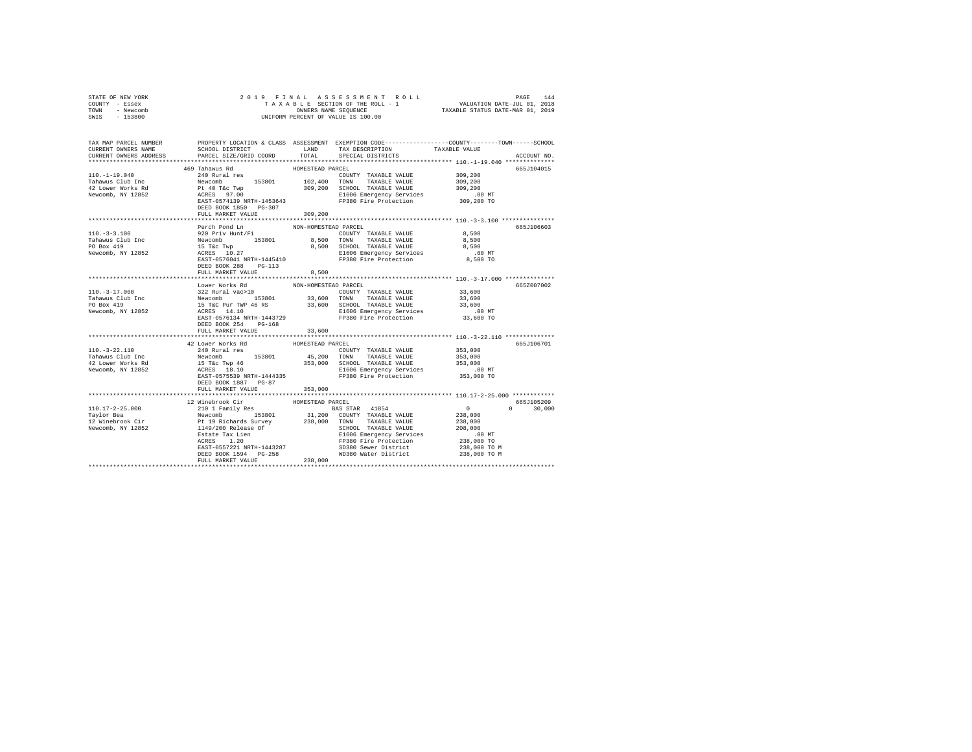| STATE OF NEW YORK<br>COUNTY - Essex<br>TOWN - Newcomb<br>$-153800$<br>SWIS                                                                                                                                                                                                                                                                                                                                                                   | OWNERS NAME SEQUENCE<br>UNIFORM PERCENT OF VALUE IS 100.00                                                                                                                                                           |                      |                                                                                                                                                                                                                                  |                            |              |
|----------------------------------------------------------------------------------------------------------------------------------------------------------------------------------------------------------------------------------------------------------------------------------------------------------------------------------------------------------------------------------------------------------------------------------------------|----------------------------------------------------------------------------------------------------------------------------------------------------------------------------------------------------------------------|----------------------|----------------------------------------------------------------------------------------------------------------------------------------------------------------------------------------------------------------------------------|----------------------------|--------------|
|                                                                                                                                                                                                                                                                                                                                                                                                                                              |                                                                                                                                                                                                                      |                      |                                                                                                                                                                                                                                  |                            |              |
| TAX MAP PARCEL NUMBER PROPERTY LOCATION & CLASS ASSESSMENT EXEMPTION CODE---------------COUNTY-------TOWN------SCHOOL                                                                                                                                                                                                                                                                                                                        |                                                                                                                                                                                                                      |                      |                                                                                                                                                                                                                                  |                            |              |
| CURRENT OWNERS NAME                                                                                                                                                                                                                                                                                                                                                                                                                          | SCHOOL DISTRICT LAND                                                                                                                                                                                                 |                      | TAX DESCRIPTION                                                                                                                                                                                                                  | TAXABLE VALUE              |              |
| CURRENT OWNERS ADDRESS                                                                                                                                                                                                                                                                                                                                                                                                                       | PARCEL SIZE/GRID COORD                                                                                                                                                                                               | TOTAL                | SPECIAL DISTRICTS                                                                                                                                                                                                                |                            | ACCOUNT NO.  |
|                                                                                                                                                                                                                                                                                                                                                                                                                                              | 469 Tahawus Rd                                                                                                                                                                                                       | HOMESTEAD PARCEL     |                                                                                                                                                                                                                                  |                            | 665J104015   |
| $110. - 1 - 19.040$                                                                                                                                                                                                                                                                                                                                                                                                                          | 240 Rural res                                                                                                                                                                                                        |                      | COUNTY TAXABLE VALUE                                                                                                                                                                                                             | 309,200                    |              |
| Tahawus Club Inc                                                                                                                                                                                                                                                                                                                                                                                                                             | COUNTY TAXABLE VALUE<br>Newcomb 153801 102,400 TOWN TAXABLE VALUE<br>Pt 40 T&C Twp 309,200 SCHOOL TAXABLE VALUE<br>ACEES 97.00<br>RESOLE ENSURANCE ENGLASS PRESENT RESOLUTION                                        |                      | TAXABLE VALUE                                                                                                                                                                                                                    |                            |              |
| 42 Lower Works Rd                                                                                                                                                                                                                                                                                                                                                                                                                            |                                                                                                                                                                                                                      |                      |                                                                                                                                                                                                                                  | 309,200<br>309,200         |              |
| Newcomb, NY 12852                                                                                                                                                                                                                                                                                                                                                                                                                            |                                                                                                                                                                                                                      |                      |                                                                                                                                                                                                                                  |                            |              |
|                                                                                                                                                                                                                                                                                                                                                                                                                                              |                                                                                                                                                                                                                      |                      | E1606 Emergency Services 100 MT<br>EXT-0574139 NRTH-1453643 FP380 Fire Protection 309,200 TO                                                                                                                                     |                            |              |
|                                                                                                                                                                                                                                                                                                                                                                                                                                              | DEED BOOK 1850 PG-307                                                                                                                                                                                                |                      |                                                                                                                                                                                                                                  |                            |              |
|                                                                                                                                                                                                                                                                                                                                                                                                                                              | FULL MARKET VALUE                                                                                                                                                                                                    | 309,200              |                                                                                                                                                                                                                                  |                            |              |
|                                                                                                                                                                                                                                                                                                                                                                                                                                              |                                                                                                                                                                                                                      |                      |                                                                                                                                                                                                                                  |                            |              |
| $110. -3 -3.100$                                                                                                                                                                                                                                                                                                                                                                                                                             | Perch Pond Ln                                                                                                                                                                                                        | NON-HOMESTEAD PARCEL | COUNTY TAXABLE VALUE 8.500                                                                                                                                                                                                       |                            | 665J106603   |
|                                                                                                                                                                                                                                                                                                                                                                                                                                              | 920 Priv Hunt/Fi                                                                                                                                                                                                     |                      |                                                                                                                                                                                                                                  | 8,500                      |              |
|                                                                                                                                                                                                                                                                                                                                                                                                                                              |                                                                                                                                                                                                                      |                      | 8,500 SCHOOL TAXABLE VALUE                                                                                                                                                                                                       | 8,500                      |              |
| Tahawus Club Inc<br>PO Box 419<br>Newcomb, NY 12852                                                                                                                                                                                                                                                                                                                                                                                          |                                                                                                                                                                                                                      |                      | E1606 Emergency Services                                                                                                                                                                                                         | $.00$ MT                   |              |
|                                                                                                                                                                                                                                                                                                                                                                                                                                              | Newcomb 153801 8,500 TOWN TAXABLE VALUE<br>15 Tec Twp 8,500 SCHOOL TAXABLE VALUE<br>15 Tec Twp 8,500 SCHOOL TAXABLE VALUE<br>ACRES 10.27 E1606 Emergency Services<br>EAST-0576041 NRTH-1445410 FP380 Fire Protection |                      | FP380 Fire Protection                                                                                                                                                                                                            | 8,500 TO                   |              |
|                                                                                                                                                                                                                                                                                                                                                                                                                                              | DEED BOOK 288 PG-113                                                                                                                                                                                                 |                      |                                                                                                                                                                                                                                  |                            |              |
|                                                                                                                                                                                                                                                                                                                                                                                                                                              | FULL MARKET VALUE                                                                                                                                                                                                    | 8,500                |                                                                                                                                                                                                                                  |                            |              |
|                                                                                                                                                                                                                                                                                                                                                                                                                                              |                                                                                                                                                                                                                      |                      |                                                                                                                                                                                                                                  |                            |              |
|                                                                                                                                                                                                                                                                                                                                                                                                                                              | Lower Works Rd                                                                                                                                                                                                       | NON-HOMESTEAD PARCEL |                                                                                                                                                                                                                                  |                            | 665Z007002   |
|                                                                                                                                                                                                                                                                                                                                                                                                                                              | 322 Rural vac>10                                                                                                                                                                                                     |                      | COUNTY TAXABLE VALUE 33,600                                                                                                                                                                                                      |                            |              |
| 110.-3-17.000<br>Tahawus Club Inc<br>PO Box 419                                                                                                                                                                                                                                                                                                                                                                                              |                                                                                                                                                                                                                      |                      |                                                                                                                                                                                                                                  | 33,600<br>33,600           |              |
| Newcomb, NY 12852                                                                                                                                                                                                                                                                                                                                                                                                                            |                                                                                                                                                                                                                      |                      |                                                                                                                                                                                                                                  |                            |              |
|                                                                                                                                                                                                                                                                                                                                                                                                                                              |                                                                                                                                                                                                                      |                      |                                                                                                                                                                                                                                  | 00 MT.<br>33,600 TO        |              |
|                                                                                                                                                                                                                                                                                                                                                                                                                                              | DEED BOOK 254 PG-168                                                                                                                                                                                                 |                      |                                                                                                                                                                                                                                  |                            |              |
|                                                                                                                                                                                                                                                                                                                                                                                                                                              | FULL MARKET VALUE                                                                                                                                                                                                    | 33,600               |                                                                                                                                                                                                                                  |                            |              |
|                                                                                                                                                                                                                                                                                                                                                                                                                                              |                                                                                                                                                                                                                      |                      |                                                                                                                                                                                                                                  |                            |              |
|                                                                                                                                                                                                                                                                                                                                                                                                                                              | 42 Lower Works Rd                                                                                                                                                                                                    | HOMESTEAD PARCEL     |                                                                                                                                                                                                                                  |                            | 665J106701   |
| $110.-3-22.110$                                                                                                                                                                                                                                                                                                                                                                                                                              | 240 Rural res                                                                                                                                                                                                        |                      | COUNTY TAXABLE VALUE                                                                                                                                                                                                             | 353,000                    |              |
| $110.-5-2210$<br>Tahawus Club Inc                                                                                                                                                                                                                                                                                                                                                                                                            |                                                                                                                                                                                                                      |                      |                                                                                                                                                                                                                                  |                            |              |
| 42 Lower Works Rd                                                                                                                                                                                                                                                                                                                                                                                                                            |                                                                                                                                                                                                                      |                      |                                                                                                                                                                                                                                  |                            |              |
| Newcomb, NY 12852                                                                                                                                                                                                                                                                                                                                                                                                                            |                                                                                                                                                                                                                      |                      | 2 19 10 153801 153801 165 100011 17AXBLE VALUE 353,000<br>15 16 176 176 1853,000 18781 17AXBLE VALUE 353,000<br>15 176 176 1853,000 18781 17AXBLE VALUE 353,000<br>1606 201795539 NRTH-1444335 179380 Fire Protection 353,000 10 |                            |              |
|                                                                                                                                                                                                                                                                                                                                                                                                                                              | DEED BOOK 1887 PG-87                                                                                                                                                                                                 |                      |                                                                                                                                                                                                                                  |                            |              |
|                                                                                                                                                                                                                                                                                                                                                                                                                                              | FULL MARKET VALUE                                                                                                                                                                                                    | 353,000              |                                                                                                                                                                                                                                  |                            |              |
|                                                                                                                                                                                                                                                                                                                                                                                                                                              |                                                                                                                                                                                                                      |                      |                                                                                                                                                                                                                                  |                            |              |
|                                                                                                                                                                                                                                                                                                                                                                                                                                              | 12 Winebrook Cir                                                                                                                                                                                                     |                      |                                                                                                                                                                                                                                  |                            | 665J105209   |
|                                                                                                                                                                                                                                                                                                                                                                                                                                              |                                                                                                                                                                                                                      |                      |                                                                                                                                                                                                                                  | $\mathbf{0}$               | $0 \t30,000$ |
|                                                                                                                                                                                                                                                                                                                                                                                                                                              |                                                                                                                                                                                                                      |                      |                                                                                                                                                                                                                                  | 238,000                    |              |
| $\begin{tabular}{l c c c c c} \multicolumn{1}{c}{\textbf{12} $\text{Winebroox} $\text{cur}$} & \multicolumn{1}{c}{\textbf{21} $\text{Winebroox} $\text{cur}$} & \multicolumn{1}{c}{\textbf{22} $\text{H0} $1$ $200$} & \multicolumn{1}{c}{\textbf{23} $\text{B},000$} & \multicolumn{1}{c}{\textbf{24} $\text{H0}$} \\ \multicolumn{1}{c}{\textbf{12} $\text{Winebrook} $\text{cir}$} & \multicolumn{1}{c}{\textbf{23} $\text{H0}$} & \mult$ |                                                                                                                                                                                                                      |                      |                                                                                                                                                                                                                                  | 238,000                    |              |
|                                                                                                                                                                                                                                                                                                                                                                                                                                              |                                                                                                                                                                                                                      |                      |                                                                                                                                                                                                                                  | 208,000                    |              |
|                                                                                                                                                                                                                                                                                                                                                                                                                                              |                                                                                                                                                                                                                      |                      |                                                                                                                                                                                                                                  | .00MT                      |              |
|                                                                                                                                                                                                                                                                                                                                                                                                                                              |                                                                                                                                                                                                                      |                      |                                                                                                                                                                                                                                  | 238,000 TO<br>238,000 TO M |              |
|                                                                                                                                                                                                                                                                                                                                                                                                                                              |                                                                                                                                                                                                                      |                      |                                                                                                                                                                                                                                  | 238,000 TO M               |              |
|                                                                                                                                                                                                                                                                                                                                                                                                                                              |                                                                                                                                                                                                                      |                      |                                                                                                                                                                                                                                  |                            |              |
|                                                                                                                                                                                                                                                                                                                                                                                                                                              |                                                                                                                                                                                                                      |                      |                                                                                                                                                                                                                                  |                            |              |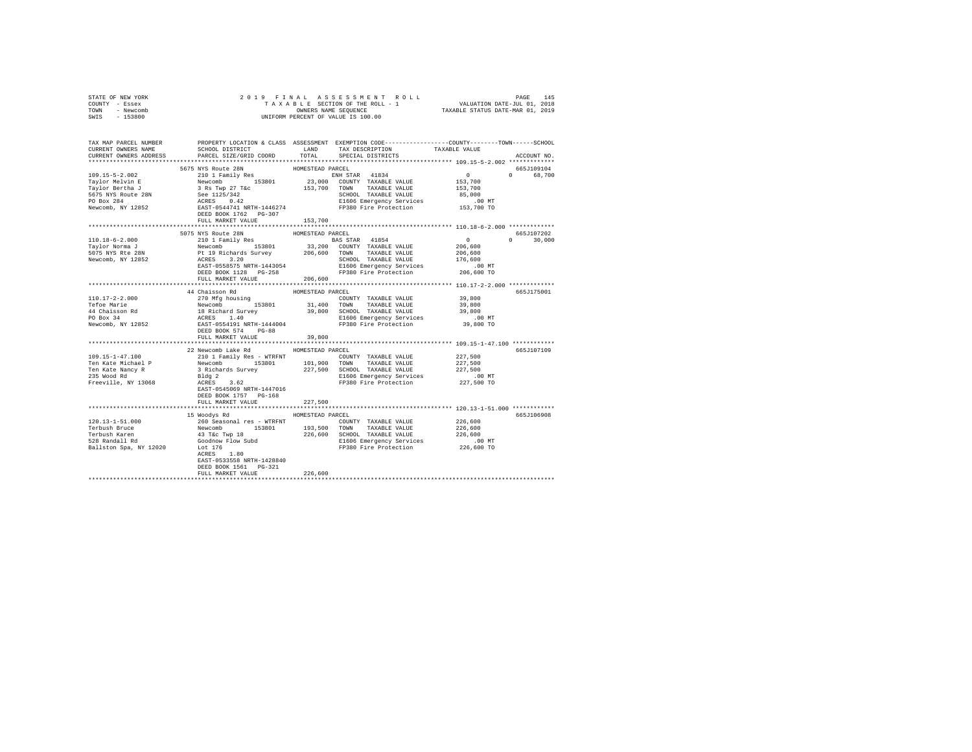| STATE OF NEW YORK                  |                                                                                                                                                                                                                                                                                                                                                                                                                   |                  |                              |                                                        |               |  |  |
|------------------------------------|-------------------------------------------------------------------------------------------------------------------------------------------------------------------------------------------------------------------------------------------------------------------------------------------------------------------------------------------------------------------------------------------------------------------|------------------|------------------------------|--------------------------------------------------------|---------------|--|--|
| COUNTY - Essex                     |                                                                                                                                                                                                                                                                                                                                                                                                                   |                  |                              |                                                        |               |  |  |
| TOWN - Newcomb                     |                                                                                                                                                                                                                                                                                                                                                                                                                   |                  |                              |                                                        |               |  |  |
| SWIS - 153800                      |                                                                                                                                                                                                                                                                                                                                                                                                                   |                  |                              |                                                        |               |  |  |
|                                    |                                                                                                                                                                                                                                                                                                                                                                                                                   |                  |                              |                                                        |               |  |  |
|                                    |                                                                                                                                                                                                                                                                                                                                                                                                                   |                  |                              |                                                        |               |  |  |
|                                    |                                                                                                                                                                                                                                                                                                                                                                                                                   |                  |                              |                                                        |               |  |  |
|                                    |                                                                                                                                                                                                                                                                                                                                                                                                                   |                  |                              |                                                        |               |  |  |
| CURRENT OWNERS ADDRESS             | PARCEL SIZE/GRID COORD                                                                                                                                                                                                                                                                                                                                                                                            | TOTAL            | SPECIAL DISTRICTS            |                                                        | ACCOUNT NO.   |  |  |
|                                    |                                                                                                                                                                                                                                                                                                                                                                                                                   |                  |                              |                                                        |               |  |  |
|                                    | $\begin{tabular}{l c c c c c} \multicolumn{3}{c}{\textbf{10.17} \multicolumn{3}{c}{\textbf{11.17} \multicolumn{3}{c}{\textbf{12.17} \multicolumn{3}{c}{\textbf{12.17} \multicolumn{3}{c}{\textbf{12.17} \multicolumn{3}{c}{\textbf{12.17} \multicolumn{3}{c}{\textbf{12.17} \multicolumn{3}{c}{\textbf{12.17} \multicolumn{3}{c}{\textbf{12.17} \multicolumn{3}{c}{\textbf{12.17} \multicolumn{3}{c}{\textbf$     |                  |                              |                                                        | 665J109104    |  |  |
|                                    |                                                                                                                                                                                                                                                                                                                                                                                                                   |                  |                              | $\begin{array}{c} 0 \\ 153,700 \end{array}$            | 0 68.700      |  |  |
|                                    |                                                                                                                                                                                                                                                                                                                                                                                                                   |                  |                              |                                                        |               |  |  |
|                                    |                                                                                                                                                                                                                                                                                                                                                                                                                   |                  |                              | 153,700                                                |               |  |  |
|                                    |                                                                                                                                                                                                                                                                                                                                                                                                                   |                  |                              | 85,000                                                 |               |  |  |
|                                    |                                                                                                                                                                                                                                                                                                                                                                                                                   |                  |                              | $.00$ MT                                               |               |  |  |
|                                    |                                                                                                                                                                                                                                                                                                                                                                                                                   |                  |                              | 153,700 TO                                             |               |  |  |
|                                    |                                                                                                                                                                                                                                                                                                                                                                                                                   |                  |                              |                                                        |               |  |  |
|                                    |                                                                                                                                                                                                                                                                                                                                                                                                                   |                  |                              |                                                        |               |  |  |
|                                    |                                                                                                                                                                                                                                                                                                                                                                                                                   |                  |                              |                                                        |               |  |  |
|                                    | 5075 NYS Route 28N                                                                                                                                                                                                                                                                                                                                                                                                | HOMESTEAD PARCEL |                              | 665.7107202                                            |               |  |  |
| 110.18-6-2.000                     | 210 1 Family Res                                                                                                                                                                                                                                                                                                                                                                                                  |                  | BAS STAR 41854               | $\sim$ 0<br>$0$<br>$206,600$<br>$206,600$<br>$176,600$ | $0 \t 30,000$ |  |  |
|                                    |                                                                                                                                                                                                                                                                                                                                                                                                                   |                  |                              |                                                        |               |  |  |
| Taylor Norma J<br>5075 NYS Rte 28N | $\begin{tabular}{l c c c c c} \multicolumn{1}{c}{\textbf{206,600}} & \multicolumn{1}{c}{\textbf{53801}} & \multicolumn{1}{c}{\textbf{33,200}} & \multicolumn{1}{c}{\textbf{53801}} & \multicolumn{1}{c}{\textbf{53801}} & \multicolumn{1}{c}{\textbf{53801}} & \multicolumn{1}{c}{\textbf{53801}} & \multicolumn{1}{c}{\textbf{53801}} & \multicolumn{1}{c}{\textbf{53801}} & \multicolumn{1}{c}{\textbf{53801}}$ |                  |                              |                                                        |               |  |  |
| Newcomb, NY 12852                  |                                                                                                                                                                                                                                                                                                                                                                                                                   |                  |                              |                                                        |               |  |  |
|                                    |                                                                                                                                                                                                                                                                                                                                                                                                                   |                  |                              |                                                        |               |  |  |
|                                    |                                                                                                                                                                                                                                                                                                                                                                                                                   |                  |                              |                                                        |               |  |  |
|                                    |                                                                                                                                                                                                                                                                                                                                                                                                                   |                  |                              |                                                        |               |  |  |
|                                    |                                                                                                                                                                                                                                                                                                                                                                                                                   |                  |                              | *********************** 110.17-2-2.000 *************   |               |  |  |
|                                    | 44 Chaisson Rd                                                                                                                                                                                                                                                                                                                                                                                                    |                  |                              |                                                        | 665J175001    |  |  |
|                                    | $\begin{tabular}{l c c c c c} \hline 110.17-2-2.000 & $\color{red}4$-th\times1008$ & $\color{red}4$-th\times1008$ & $\color{red}4$-th\times108$ & $\color{red}4$-th\times108$ & $\color{red}4$-th\times108$ & $\color{red}4$-th\times108$ & $\color{red}4$-th\times108$ & $\color{red}4$-th\times108$ & $\color{red}4$-th\times108$ & $\color{red}4$-th\times108$ & $\color{red}4$-th\times108$ & $\color{red}$   | HOMESTEAD PARCEL |                              |                                                        |               |  |  |
|                                    |                                                                                                                                                                                                                                                                                                                                                                                                                   |                  |                              |                                                        |               |  |  |
|                                    |                                                                                                                                                                                                                                                                                                                                                                                                                   |                  |                              |                                                        |               |  |  |
|                                    |                                                                                                                                                                                                                                                                                                                                                                                                                   |                  |                              |                                                        |               |  |  |
|                                    |                                                                                                                                                                                                                                                                                                                                                                                                                   |                  |                              |                                                        |               |  |  |
|                                    |                                                                                                                                                                                                                                                                                                                                                                                                                   |                  |                              |                                                        |               |  |  |
|                                    | DEED BOOK 574 PG-88                                                                                                                                                                                                                                                                                                                                                                                               |                  |                              |                                                        |               |  |  |
|                                    | FULL MARKET VALUE                                                                                                                                                                                                                                                                                                                                                                                                 | 39,800           |                              |                                                        |               |  |  |
|                                    |                                                                                                                                                                                                                                                                                                                                                                                                                   |                  |                              |                                                        |               |  |  |
|                                    | 22 Newcomb Lake Rd MOMESTEAD PARCEL                                                                                                                                                                                                                                                                                                                                                                               |                  |                              |                                                        | 665J107109    |  |  |
| $109.15 - 1 - 47.100$              | 210 1 Family Res - WTRFNT                                                                                                                                                                                                                                                                                                                                                                                         |                  | COUNTY TAXABLE VALUE 227,500 |                                                        |               |  |  |
|                                    |                                                                                                                                                                                                                                                                                                                                                                                                                   |                  |                              | 227,500                                                |               |  |  |
|                                    |                                                                                                                                                                                                                                                                                                                                                                                                                   |                  |                              | 227,500                                                |               |  |  |
|                                    |                                                                                                                                                                                                                                                                                                                                                                                                                   |                  |                              | $.00$ MT                                               |               |  |  |
|                                    | Ten Kate Michael P<br>Ten Kate Michael P<br>Ten Kate Michael P<br>Ten Kate Michael P<br>Ten Kate Michael P<br>227,500 SOMON TAXABLE VALUE<br>Ten Kate Michael P<br>3 Richards Survey<br>227,500 SOMON TAXABLE VALUE<br>Freeville, NY 13068<br>RATE                                                                                                                                                                |                  |                              | 227,500 TO                                             |               |  |  |
|                                    |                                                                                                                                                                                                                                                                                                                                                                                                                   |                  |                              |                                                        |               |  |  |
|                                    | DEED BOOK 1757 PG-168                                                                                                                                                                                                                                                                                                                                                                                             |                  |                              |                                                        |               |  |  |
|                                    | FULL MARKET VALUE                                                                                                                                                                                                                                                                                                                                                                                                 | 227,500          |                              |                                                        |               |  |  |
|                                    |                                                                                                                                                                                                                                                                                                                                                                                                                   |                  |                              |                                                        |               |  |  |
|                                    | 15 Woodys Rd MOMESTEAD PARCEL                                                                                                                                                                                                                                                                                                                                                                                     |                  |                              |                                                        | 665J106908    |  |  |
|                                    |                                                                                                                                                                                                                                                                                                                                                                                                                   |                  |                              |                                                        |               |  |  |
|                                    |                                                                                                                                                                                                                                                                                                                                                                                                                   |                  |                              |                                                        |               |  |  |
|                                    |                                                                                                                                                                                                                                                                                                                                                                                                                   |                  |                              |                                                        |               |  |  |
|                                    |                                                                                                                                                                                                                                                                                                                                                                                                                   |                  |                              |                                                        |               |  |  |
|                                    |                                                                                                                                                                                                                                                                                                                                                                                                                   |                  |                              |                                                        |               |  |  |
|                                    | ACRES 1.80                                                                                                                                                                                                                                                                                                                                                                                                        |                  |                              |                                                        |               |  |  |
|                                    | EAST-0533558 NRTH-1428840                                                                                                                                                                                                                                                                                                                                                                                         |                  |                              |                                                        |               |  |  |
|                                    | DEED BOOK 1561 PG-321                                                                                                                                                                                                                                                                                                                                                                                             |                  |                              |                                                        |               |  |  |
|                                    | FULL MARKET VALUE                                                                                                                                                                                                                                                                                                                                                                                                 | 226,600          |                              |                                                        |               |  |  |
|                                    |                                                                                                                                                                                                                                                                                                                                                                                                                   |                  |                              |                                                        |               |  |  |
|                                    |                                                                                                                                                                                                                                                                                                                                                                                                                   |                  |                              |                                                        |               |  |  |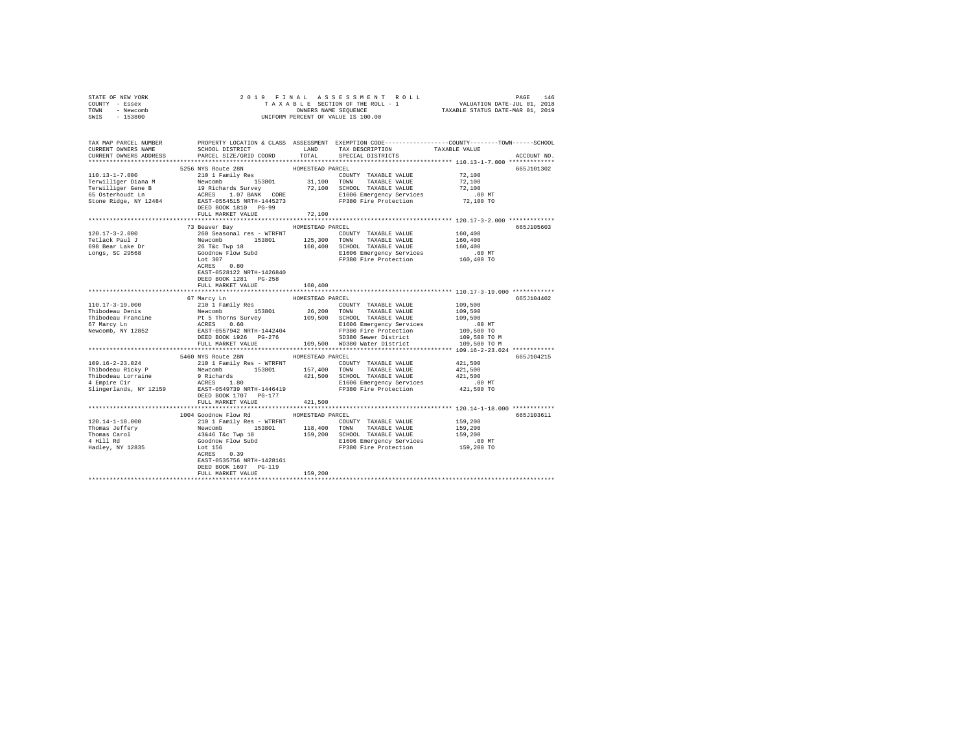| STATE OF NEW YORK      |                                                                                                                                                                                                                                                                                                                                                                                                                                    |                  |                                                                                         |                            |             |  |
|------------------------|------------------------------------------------------------------------------------------------------------------------------------------------------------------------------------------------------------------------------------------------------------------------------------------------------------------------------------------------------------------------------------------------------------------------------------|------------------|-----------------------------------------------------------------------------------------|----------------------------|-------------|--|
| COUNTY - Essex         |                                                                                                                                                                                                                                                                                                                                                                                                                                    |                  |                                                                                         |                            |             |  |
| TOWN - Newcomb         |                                                                                                                                                                                                                                                                                                                                                                                                                                    |                  |                                                                                         |                            |             |  |
| SWIS - 153800          |                                                                                                                                                                                                                                                                                                                                                                                                                                    |                  |                                                                                         |                            |             |  |
|                        |                                                                                                                                                                                                                                                                                                                                                                                                                                    |                  |                                                                                         |                            |             |  |
|                        |                                                                                                                                                                                                                                                                                                                                                                                                                                    |                  |                                                                                         |                            |             |  |
| CURRENT OWNERS NAME    | TAX MAP PARCEL NUMBER PROPERTY LOCATION & CLASS ASSESSMENT EXEMPTION CODE--------------COUNTY-------TOWN------SCHOOL<br>SCHOOL DISTRICT LAND TAX DESCRIPTION                                                                                                                                                                                                                                                                       |                  |                                                                                         | TAXABLE VALUE              |             |  |
| CURRENT OWNERS ADDRESS | PARCEL SIZE/GRID COORD                                                                                                                                                                                                                                                                                                                                                                                                             | TOTAL            | SPECIAL DISTRICTS                                                                       |                            | ACCOUNT NO. |  |
|                        |                                                                                                                                                                                                                                                                                                                                                                                                                                    |                  |                                                                                         |                            |             |  |
|                        |                                                                                                                                                                                                                                                                                                                                                                                                                                    |                  |                                                                                         |                            |             |  |
| $110.13 - 1 - 7.000$   | 5256 NYS Route 28N<br>210 1 Family Res                                                                                                                                                                                                                                                                                                                                                                                             | HOMESTEAD PARCEL |                                                                                         |                            | 665J101302  |  |
|                        |                                                                                                                                                                                                                                                                                                                                                                                                                                    |                  | COUNTY TAXABLE VALUE 72,100                                                             |                            |             |  |
|                        |                                                                                                                                                                                                                                                                                                                                                                                                                                    |                  |                                                                                         | 72,100                     |             |  |
|                        |                                                                                                                                                                                                                                                                                                                                                                                                                                    |                  |                                                                                         | 72,100                     |             |  |
|                        |                                                                                                                                                                                                                                                                                                                                                                                                                                    |                  |                                                                                         | .00 MT.<br>72,100 TO       |             |  |
|                        |                                                                                                                                                                                                                                                                                                                                                                                                                                    |                  |                                                                                         |                            |             |  |
|                        | DEED BOOK 1810 PG-99<br>FULL MARKET VALUE                                                                                                                                                                                                                                                                                                                                                                                          |                  |                                                                                         |                            |             |  |
|                        |                                                                                                                                                                                                                                                                                                                                                                                                                                    | 72,100           |                                                                                         |                            |             |  |
|                        | 73 Beaver Bay MOMESTEAD PARCEL                                                                                                                                                                                                                                                                                                                                                                                                     |                  |                                                                                         |                            | 665J105603  |  |
| 120.17-3-2.000         | 260 Seasonal res - WTRFNT                                                                                                                                                                                                                                                                                                                                                                                                          |                  | COUNTY TAXABLE VALUE                                                                    | 160,400                    |             |  |
|                        |                                                                                                                                                                                                                                                                                                                                                                                                                                    |                  |                                                                                         |                            |             |  |
|                        |                                                                                                                                                                                                                                                                                                                                                                                                                                    |                  |                                                                                         |                            |             |  |
|                        |                                                                                                                                                                                                                                                                                                                                                                                                                                    |                  |                                                                                         | .00 MT                     |             |  |
|                        | 1991 - 1992 - 1993 - 1994 - 1994 - 1994 - 1994 - 1994 - 1994 - 1994 - 1994 - 1994 - 1994 - 1994 - 1994 - 1994 - 1994 - 1994 - 1994 - 1994 - 1994 - 1994 - 1994 - 1994 - 1994 - 1994 - 1994 - 1994 - 1994 - 1994 - 1994 - 1994                                                                                                                                                                                                      |                  |                                                                                         | 160,400 TO                 |             |  |
|                        |                                                                                                                                                                                                                                                                                                                                                                                                                                    |                  |                                                                                         |                            |             |  |
|                        | EAST-0528122 NRTH-1426840                                                                                                                                                                                                                                                                                                                                                                                                          |                  |                                                                                         |                            |             |  |
|                        | DEED BOOK 1281 PG-258                                                                                                                                                                                                                                                                                                                                                                                                              |                  |                                                                                         |                            |             |  |
|                        | FULL MARKET VALUE                                                                                                                                                                                                                                                                                                                                                                                                                  | 160,400          |                                                                                         |                            |             |  |
|                        |                                                                                                                                                                                                                                                                                                                                                                                                                                    |                  |                                                                                         |                            |             |  |
|                        | 67 Marcy Ln                                                                                                                                                                                                                                                                                                                                                                                                                        | HOMESTEAD PARCEL |                                                                                         |                            | 665J104402  |  |
|                        | $\begin{tabular}{l c c c c} \hline 110.17-3-19.000 & 67\ &\text{Meurly En} & \text{HOMESTED PARECE} & \text{PARECE} & \text{PARECE} & \text{VALUE} \\ \hline \text{Thibodeau Denis} & 210 & 1\ &\text{Family Res} & 26,200 & \text{TOMN} & \text{TAXABLE VALUES} \\ \hline \text{Thibodeau Francis} & 150 & 153801 & 26,200 & \text{TOMN} & \text{TAXABLE VALUES} \\ \hline \text{67 Margley Ln} & \text{PES Thores Survey} & 109$ |                  | $\texttt{COUNTY} \quad \texttt{TAXABLE} \quad \texttt{VALUE} \qquad \qquad 109\, , 500$ |                            |             |  |
|                        |                                                                                                                                                                                                                                                                                                                                                                                                                                    |                  |                                                                                         | 109,500                    |             |  |
|                        |                                                                                                                                                                                                                                                                                                                                                                                                                                    |                  |                                                                                         | 109,500                    |             |  |
|                        |                                                                                                                                                                                                                                                                                                                                                                                                                                    |                  |                                                                                         | .00 MT                     |             |  |
|                        |                                                                                                                                                                                                                                                                                                                                                                                                                                    |                  |                                                                                         |                            |             |  |
|                        |                                                                                                                                                                                                                                                                                                                                                                                                                                    |                  |                                                                                         | 109,500 TO<br>109,500 TO M |             |  |
|                        |                                                                                                                                                                                                                                                                                                                                                                                                                                    |                  |                                                                                         | 109,500 TO M               |             |  |
|                        |                                                                                                                                                                                                                                                                                                                                                                                                                                    |                  |                                                                                         |                            |             |  |
|                        | 5460 NYS Route 28N                                                                                                                                                                                                                                                                                                                                                                                                                 | HOMESTEAD PARCEL |                                                                                         |                            | 665J104215  |  |
|                        |                                                                                                                                                                                                                                                                                                                                                                                                                                    |                  |                                                                                         |                            |             |  |
|                        |                                                                                                                                                                                                                                                                                                                                                                                                                                    |                  |                                                                                         |                            |             |  |
|                        |                                                                                                                                                                                                                                                                                                                                                                                                                                    |                  |                                                                                         |                            |             |  |
|                        |                                                                                                                                                                                                                                                                                                                                                                                                                                    |                  |                                                                                         |                            |             |  |
|                        |                                                                                                                                                                                                                                                                                                                                                                                                                                    |                  |                                                                                         |                            |             |  |
|                        | DEED BOOK 1707 PG-177                                                                                                                                                                                                                                                                                                                                                                                                              |                  |                                                                                         |                            |             |  |
|                        | FULL MARKET VALUE                                                                                                                                                                                                                                                                                                                                                                                                                  | 421,500          |                                                                                         |                            |             |  |
|                        |                                                                                                                                                                                                                                                                                                                                                                                                                                    |                  |                                                                                         |                            |             |  |
|                        | 1004 Goodnow Flow Rd MOMESTEAD PARCEL                                                                                                                                                                                                                                                                                                                                                                                              |                  |                                                                                         |                            | 665J103611  |  |
|                        |                                                                                                                                                                                                                                                                                                                                                                                                                                    |                  |                                                                                         |                            |             |  |
|                        |                                                                                                                                                                                                                                                                                                                                                                                                                                    |                  |                                                                                         |                            |             |  |
|                        |                                                                                                                                                                                                                                                                                                                                                                                                                                    |                  |                                                                                         |                            |             |  |
|                        |                                                                                                                                                                                                                                                                                                                                                                                                                                    |                  |                                                                                         |                            |             |  |
|                        |                                                                                                                                                                                                                                                                                                                                                                                                                                    |                  |                                                                                         |                            |             |  |
|                        |                                                                                                                                                                                                                                                                                                                                                                                                                                    |                  |                                                                                         |                            |             |  |
|                        | EAST-0535756 NRTH-1428161                                                                                                                                                                                                                                                                                                                                                                                                          |                  |                                                                                         |                            |             |  |
|                        | DEED BOOK 1697 PG-119                                                                                                                                                                                                                                                                                                                                                                                                              |                  |                                                                                         |                            |             |  |
|                        | FULL MARKET VALUE                                                                                                                                                                                                                                                                                                                                                                                                                  | 159,200          |                                                                                         |                            |             |  |
|                        |                                                                                                                                                                                                                                                                                                                                                                                                                                    |                  |                                                                                         |                            |             |  |
|                        |                                                                                                                                                                                                                                                                                                                                                                                                                                    |                  |                                                                                         |                            |             |  |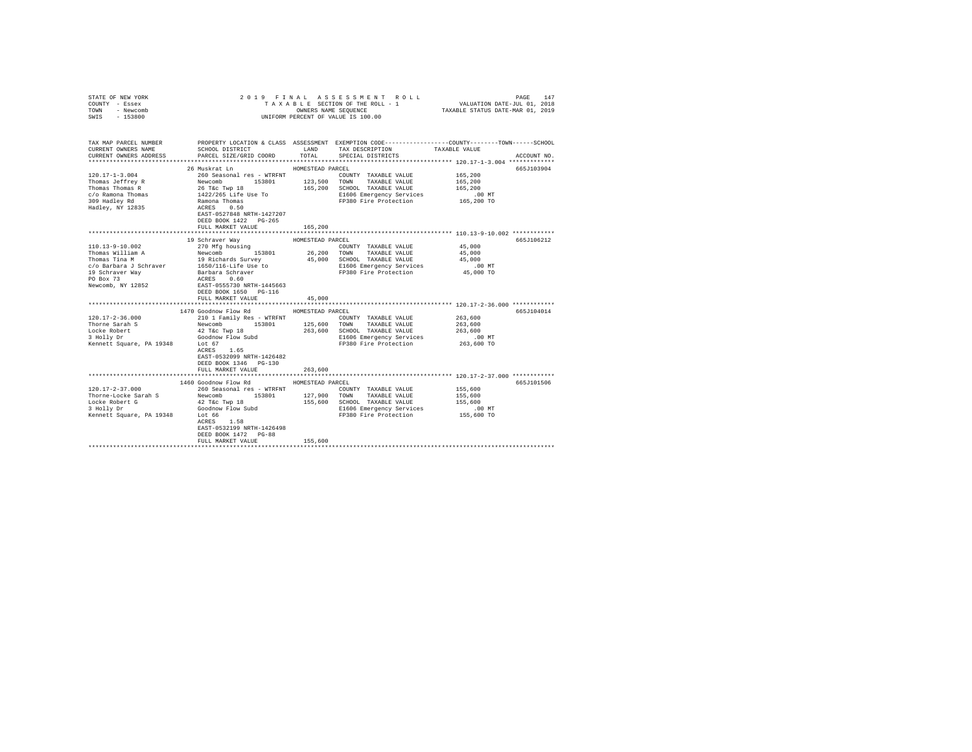| STATE OF NEW YORK        |                                                   |                  |                                                                                                                                                                                    |            |             |
|--------------------------|---------------------------------------------------|------------------|------------------------------------------------------------------------------------------------------------------------------------------------------------------------------------|------------|-------------|
| COUNTY - Essex           |                                                   |                  |                                                                                                                                                                                    |            |             |
| TOWN - Newcomb           |                                                   |                  | PAGE 147 A S S E S S M E N TRO L DATE - PAGE 147<br>T A X A B L E SECTION OF THE ROLL - 1 WALUATION DATE-JUL 01, 2018<br>ONNERS NAME SEQUENCE - 1 TAXABLE STATUS DATE-MAR 01, 2019 |            |             |
| $-153800$<br>SWIS        |                                                   |                  | UNIFORM PERCENT OF VALUE IS 100.00                                                                                                                                                 |            |             |
|                          |                                                   |                  |                                                                                                                                                                                    |            |             |
|                          |                                                   |                  |                                                                                                                                                                                    |            |             |
|                          |                                                   |                  |                                                                                                                                                                                    |            |             |
| TAX MAP PARCEL NUMBER    |                                                   |                  | PROPERTY LOCATION & CLASS ASSESSMENT EXEMPTION CODE---------------COUNTY-------TOWN------SCHOOL                                                                                    |            |             |
| CURRENT OWNERS NAME      |                                                   |                  | SCHOOL DISTRICT LAND TAX DESCRIPTION TAXABLE VALUE                                                                                                                                 |            |             |
| CURRENT OWNERS ADDRESS   | PARCEL SIZE/GRID COORD                            |                  | TOTAL SPECIAL DISTRICTS                                                                                                                                                            |            | ACCOUNT NO. |
|                          |                                                   |                  |                                                                                                                                                                                    |            |             |
|                          | 26 Muskrat Ln                                     | HOMESTEAD PARCEL |                                                                                                                                                                                    |            | 665J103904  |
| $120.17 - 1 - 3.004$     | 260 Seasonal res - WTRFNT                         |                  | COUNTY TAXABLE VALUE                                                                                                                                                               | 165,200    |             |
|                          |                                                   |                  |                                                                                                                                                                                    | 165,200    |             |
|                          |                                                   |                  |                                                                                                                                                                                    | 165,200    |             |
|                          |                                                   |                  | E1606 Emergency Services                                                                                                                                                           | $.00$ MT   |             |
|                          |                                                   |                  | FP380 Fire Protection 165,200 TO                                                                                                                                                   |            |             |
|                          |                                                   |                  |                                                                                                                                                                                    |            |             |
|                          | EAST-0527848 NRTH-1427207                         |                  |                                                                                                                                                                                    |            |             |
|                          | DEED BOOK 1422 PG-265                             |                  |                                                                                                                                                                                    |            |             |
|                          | FULL MARKET VALUE                                 | 165,200          |                                                                                                                                                                                    |            |             |
|                          |                                                   |                  |                                                                                                                                                                                    |            |             |
|                          | 19 Schraver Way                                   | HOMESTEAD PARCEL |                                                                                                                                                                                    |            | 665J106212  |
|                          |                                                   |                  |                                                                                                                                                                                    | 45,000     |             |
|                          |                                                   |                  |                                                                                                                                                                                    | 45,000     |             |
|                          |                                                   |                  |                                                                                                                                                                                    | 45,000     |             |
|                          |                                                   |                  |                                                                                                                                                                                    | $.00$ MT   |             |
|                          |                                                   |                  |                                                                                                                                                                                    | 45,000 TO  |             |
|                          |                                                   |                  |                                                                                                                                                                                    |            |             |
|                          |                                                   |                  |                                                                                                                                                                                    |            |             |
|                          | DEED BOOK 1650 PG-116                             |                  |                                                                                                                                                                                    |            |             |
|                          | FULL MARKET VALUE                                 | 45,000           |                                                                                                                                                                                    |            |             |
|                          |                                                   |                  |                                                                                                                                                                                    |            |             |
|                          | 1470 Goodnow Flow Rd MOMESTEAD PARCEL             |                  |                                                                                                                                                                                    |            | 665J104014  |
| $120.17 - 2 - 36.000$    | 210 1 Family Res - WTRFNT                         |                  | COUNTY TAXABLE VALUE                                                                                                                                                               | 263,600    |             |
| Thorne Sarah S           | Newcomb                                           |                  | 153801 125,600 TOWN TAXABLE VALUE<br>wp 18 263,600 SCHOOL TAXABLE VALUE                                                                                                            | 263,600    |             |
| Locke Robert             | 42 T&c Twp 18                                     |                  |                                                                                                                                                                                    | 263,600    |             |
| 3 Holly Dr               | Goodnow Flow Subd<br>Lot 67                       |                  | E1606 Emergency Services                                                                                                                                                           | $.00$ MT   |             |
| Kennett Square, PA 19348 |                                                   |                  | FP380 Fire Protection                                                                                                                                                              | 263,600 TO |             |
|                          | ACRES 1.65                                        |                  |                                                                                                                                                                                    |            |             |
|                          | EAST-0532099 NRTH-1426482                         |                  |                                                                                                                                                                                    |            |             |
|                          | DEED BOOK 1346 PG-130                             |                  |                                                                                                                                                                                    |            |             |
|                          | FULL MARKET VALUE                                 | 263,600          | **************************** 120.17-2-37.000 ************                                                                                                                          |            |             |
|                          |                                                   |                  |                                                                                                                                                                                    |            |             |
|                          | 1460 Goodnow Flow Rd                              | HOMESTEAD PARCEL |                                                                                                                                                                                    |            | 665J101506  |
| $120.17 - 2 - 37.000$    | 260 Seasonal res - WTRFNT                         |                  | COUNTY TAXABLE VALUE                                                                                                                                                               | 155,600    |             |
| Thorne-Locke Sarah S     | Newcomb 153801 127,900                            |                  | TOWN TAXABLE VALUE                                                                                                                                                                 | 155,600    |             |
|                          |                                                   |                  | 155,600 SCHOOL TAXABLE VALUE                                                                                                                                                       | 155,600    |             |
|                          |                                                   |                  | E1606 Emergency Services 6.00 MT<br>FP380 Fire Protection 155,600 TO                                                                                                               | .00 MT     |             |
|                          |                                                   |                  |                                                                                                                                                                                    |            |             |
|                          |                                                   |                  |                                                                                                                                                                                    |            |             |
|                          | EAST-0532199 NRTH-1426498<br>DEED BOOK 1472 PG-88 |                  |                                                                                                                                                                                    |            |             |
|                          | FULL MARKET VALUE                                 | 155,600          |                                                                                                                                                                                    |            |             |
|                          |                                                   |                  |                                                                                                                                                                                    |            |             |
|                          |                                                   |                  |                                                                                                                                                                                    |            |             |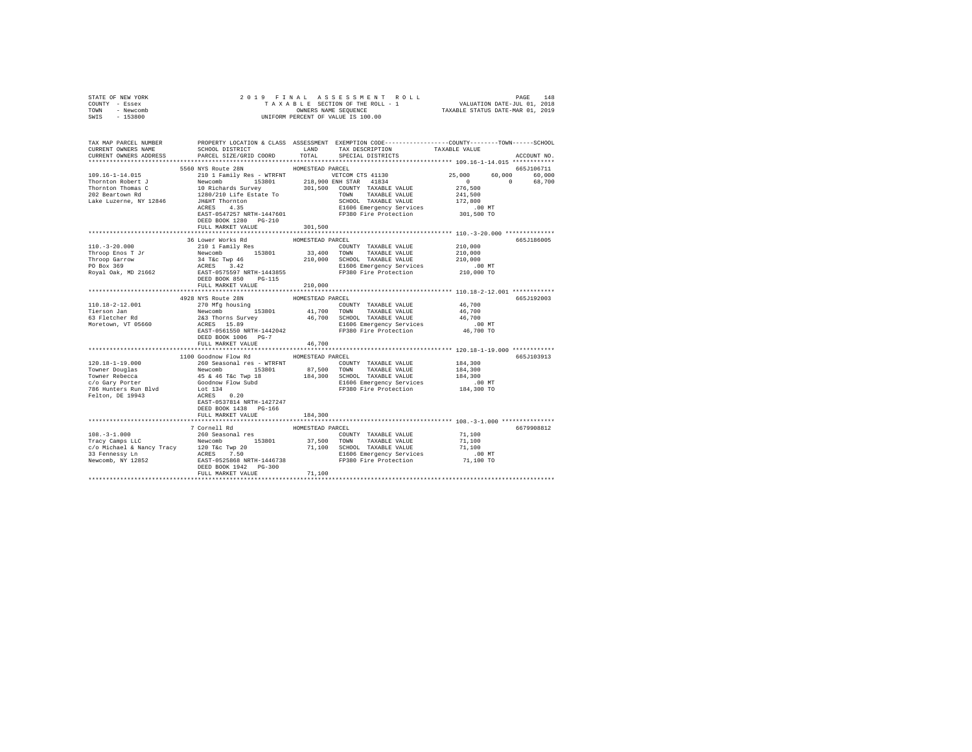| COUNTY - Essex                                      |                                                                                                                                                                                                                                                                                                                                                                                                                                                                           |                  |                                                                                                                                                                                                                                                                                                                                                                                                                                               |                                                        |             |  |  |  |
|-----------------------------------------------------|---------------------------------------------------------------------------------------------------------------------------------------------------------------------------------------------------------------------------------------------------------------------------------------------------------------------------------------------------------------------------------------------------------------------------------------------------------------------------|------------------|-----------------------------------------------------------------------------------------------------------------------------------------------------------------------------------------------------------------------------------------------------------------------------------------------------------------------------------------------------------------------------------------------------------------------------------------------|--------------------------------------------------------|-------------|--|--|--|
| TOWN - Newcomb<br>SWIS - 153800                     |                                                                                                                                                                                                                                                                                                                                                                                                                                                                           |                  |                                                                                                                                                                                                                                                                                                                                                                                                                                               |                                                        |             |  |  |  |
|                                                     |                                                                                                                                                                                                                                                                                                                                                                                                                                                                           |                  |                                                                                                                                                                                                                                                                                                                                                                                                                                               |                                                        |             |  |  |  |
|                                                     |                                                                                                                                                                                                                                                                                                                                                                                                                                                                           |                  |                                                                                                                                                                                                                                                                                                                                                                                                                                               |                                                        |             |  |  |  |
|                                                     | TAX MAP PARCEL NUMBER PROPERTY LOCATION & CLASS ASSESSMENT EXEMPTION CODE---------------COUNTY-------TOWN-----SCHOOL                                                                                                                                                                                                                                                                                                                                                      |                  |                                                                                                                                                                                                                                                                                                                                                                                                                                               |                                                        |             |  |  |  |
| CURRENT OWNERS NAME                                 | SCHOOL DISTRICT<br>LAND TAX DESCRIPTION                                                                                                                                                                                                                                                                                                                                                                                                                                   |                  |                                                                                                                                                                                                                                                                                                                                                                                                                                               | TAXABLE VALUE                                          |             |  |  |  |
| CURRENT OWNERS ADDRESS                              | PARCEL SIZE/GRID COORD                                                                                                                                                                                                                                                                                                                                                                                                                                                    |                  | TOTAL SPECIAL DISTRICTS                                                                                                                                                                                                                                                                                                                                                                                                                       |                                                        | ACCOUNT NO. |  |  |  |
|                                                     |                                                                                                                                                                                                                                                                                                                                                                                                                                                                           |                  |                                                                                                                                                                                                                                                                                                                                                                                                                                               |                                                        |             |  |  |  |
|                                                     | 5560 NYS Route 28N HOMESTEAD PARCEL                                                                                                                                                                                                                                                                                                                                                                                                                                       |                  |                                                                                                                                                                                                                                                                                                                                                                                                                                               |                                                        | 665J106711  |  |  |  |
|                                                     |                                                                                                                                                                                                                                                                                                                                                                                                                                                                           |                  |                                                                                                                                                                                                                                                                                                                                                                                                                                               | 25,000 60,000 60,000                                   |             |  |  |  |
|                                                     |                                                                                                                                                                                                                                                                                                                                                                                                                                                                           |                  |                                                                                                                                                                                                                                                                                                                                                                                                                                               | $0$ 0 68,700<br>276,500<br>241,500<br>172,800<br>00 MT |             |  |  |  |
|                                                     |                                                                                                                                                                                                                                                                                                                                                                                                                                                                           |                  |                                                                                                                                                                                                                                                                                                                                                                                                                                               |                                                        |             |  |  |  |
|                                                     |                                                                                                                                                                                                                                                                                                                                                                                                                                                                           |                  |                                                                                                                                                                                                                                                                                                                                                                                                                                               |                                                        |             |  |  |  |
|                                                     |                                                                                                                                                                                                                                                                                                                                                                                                                                                                           |                  | 1729/7410 and the seate of the SCHOOL TAXABLE VALUE 172,800<br>ACRES 4.35 NET ENDING BI606 Energency Services 100 MT<br>EAST-0547257 NRTH-1447601 PP380 Fire Protection 301,500 TO                                                                                                                                                                                                                                                            |                                                        |             |  |  |  |
|                                                     |                                                                                                                                                                                                                                                                                                                                                                                                                                                                           |                  |                                                                                                                                                                                                                                                                                                                                                                                                                                               |                                                        |             |  |  |  |
|                                                     |                                                                                                                                                                                                                                                                                                                                                                                                                                                                           |                  |                                                                                                                                                                                                                                                                                                                                                                                                                                               |                                                        |             |  |  |  |
|                                                     | DEED BOOK 1280 PG-210                                                                                                                                                                                                                                                                                                                                                                                                                                                     |                  |                                                                                                                                                                                                                                                                                                                                                                                                                                               |                                                        |             |  |  |  |
|                                                     | FULL MARKET VALUE                                                                                                                                                                                                                                                                                                                                                                                                                                                         | 301,500          |                                                                                                                                                                                                                                                                                                                                                                                                                                               |                                                        |             |  |  |  |
|                                                     | 36 Lower Works Rd                                                                                                                                                                                                                                                                                                                                                                                                                                                         | HOMESTEAD PARCEL |                                                                                                                                                                                                                                                                                                                                                                                                                                               |                                                        | 665J186005  |  |  |  |
| $110. - 3 - 20.000$                                 | 210 1 Family Res                                                                                                                                                                                                                                                                                                                                                                                                                                                          |                  | $\begin{tabular}{lllllll} \multicolumn{2}{c}{\textbf{COUNTY}} & \textbf{TAXABLE VALUE} & & & & \multicolumn{2}{c}{\textbf{210,000}}\\ \multicolumn{2}{c}{\textbf{COUNTY}} & \textbf{TAXABLE VALUE} & & & \multicolumn{2}{c}{\textbf{210,000}}\\ \multicolumn{2}{c}{\textbf{12.0,000}} & \multicolumn{2}{c}{\textbf{13.0,000}} & \multicolumn{2}{c}{\textbf{14.0,000}} & \multicolumn{2}{c}{\textbf{15.0,000}} & \multicolumn{2}{c}{\textbf{1$ |                                                        |             |  |  |  |
|                                                     |                                                                                                                                                                                                                                                                                                                                                                                                                                                                           |                  |                                                                                                                                                                                                                                                                                                                                                                                                                                               |                                                        |             |  |  |  |
|                                                     |                                                                                                                                                                                                                                                                                                                                                                                                                                                                           |                  |                                                                                                                                                                                                                                                                                                                                                                                                                                               |                                                        |             |  |  |  |
|                                                     |                                                                                                                                                                                                                                                                                                                                                                                                                                                                           |                  |                                                                                                                                                                                                                                                                                                                                                                                                                                               |                                                        |             |  |  |  |
|                                                     |                                                                                                                                                                                                                                                                                                                                                                                                                                                                           |                  |                                                                                                                                                                                                                                                                                                                                                                                                                                               |                                                        |             |  |  |  |
|                                                     | DEED BOOK 850 PG-115                                                                                                                                                                                                                                                                                                                                                                                                                                                      |                  |                                                                                                                                                                                                                                                                                                                                                                                                                                               |                                                        |             |  |  |  |
|                                                     | FULL MARKET VALUE                                                                                                                                                                                                                                                                                                                                                                                                                                                         | 210,000          |                                                                                                                                                                                                                                                                                                                                                                                                                                               |                                                        |             |  |  |  |
|                                                     |                                                                                                                                                                                                                                                                                                                                                                                                                                                                           |                  |                                                                                                                                                                                                                                                                                                                                                                                                                                               |                                                        |             |  |  |  |
|                                                     | 4928 NYS Route 28N                                                                                                                                                                                                                                                                                                                                                                                                                                                        | HOMESTEAD PARCEL |                                                                                                                                                                                                                                                                                                                                                                                                                                               |                                                        | 665J192003  |  |  |  |
| 110.18-2-12.001                                     | 270 Mfg housing                                                                                                                                                                                                                                                                                                                                                                                                                                                           |                  | COUNTY TAXABLE VALUE                                                                                                                                                                                                                                                                                                                                                                                                                          | 46,700                                                 |             |  |  |  |
|                                                     |                                                                                                                                                                                                                                                                                                                                                                                                                                                                           |                  |                                                                                                                                                                                                                                                                                                                                                                                                                                               |                                                        |             |  |  |  |
|                                                     |                                                                                                                                                                                                                                                                                                                                                                                                                                                                           |                  |                                                                                                                                                                                                                                                                                                                                                                                                                                               |                                                        |             |  |  |  |
| Tierson Jan<br>63 Fletcher Rd<br>Moretown, VT 05660 | Newcomb 153801 41,700 TOWN TAXABLE VALUE 46,700<br>2&3 Thorns Survey 46,700 SCHOOL TAXABLE VALUE 46,700<br>ACRES 15.89 1689 B1606 Emergency Services 46,700 MT                                                                                                                                                                                                                                                                                                            |                  |                                                                                                                                                                                                                                                                                                                                                                                                                                               |                                                        |             |  |  |  |
|                                                     | EAST-0561550 NRTH-1442042                                                                                                                                                                                                                                                                                                                                                                                                                                                 |                  | FP380 Fire Protection                                                                                                                                                                                                                                                                                                                                                                                                                         | 46,700 TO                                              |             |  |  |  |
|                                                     |                                                                                                                                                                                                                                                                                                                                                                                                                                                                           |                  |                                                                                                                                                                                                                                                                                                                                                                                                                                               |                                                        |             |  |  |  |
|                                                     |                                                                                                                                                                                                                                                                                                                                                                                                                                                                           |                  |                                                                                                                                                                                                                                                                                                                                                                                                                                               |                                                        |             |  |  |  |
|                                                     | DEED BOOK 1006 PG-7                                                                                                                                                                                                                                                                                                                                                                                                                                                       |                  |                                                                                                                                                                                                                                                                                                                                                                                                                                               |                                                        |             |  |  |  |
|                                                     | FULL MARKET VALUE 46,700                                                                                                                                                                                                                                                                                                                                                                                                                                                  |                  |                                                                                                                                                                                                                                                                                                                                                                                                                                               |                                                        |             |  |  |  |
|                                                     |                                                                                                                                                                                                                                                                                                                                                                                                                                                                           |                  |                                                                                                                                                                                                                                                                                                                                                                                                                                               |                                                        | 665J103913  |  |  |  |
|                                                     |                                                                                                                                                                                                                                                                                                                                                                                                                                                                           |                  |                                                                                                                                                                                                                                                                                                                                                                                                                                               |                                                        |             |  |  |  |
|                                                     |                                                                                                                                                                                                                                                                                                                                                                                                                                                                           |                  |                                                                                                                                                                                                                                                                                                                                                                                                                                               |                                                        |             |  |  |  |
|                                                     |                                                                                                                                                                                                                                                                                                                                                                                                                                                                           |                  |                                                                                                                                                                                                                                                                                                                                                                                                                                               |                                                        |             |  |  |  |
|                                                     |                                                                                                                                                                                                                                                                                                                                                                                                                                                                           |                  |                                                                                                                                                                                                                                                                                                                                                                                                                                               | 184, 300<br>184, 300<br>184, 300                       |             |  |  |  |
|                                                     |                                                                                                                                                                                                                                                                                                                                                                                                                                                                           |                  | E1606 Emergency Services<br>FI606 Emergency Services<br>FP380 Fire Protection 184,300 TO                                                                                                                                                                                                                                                                                                                                                      |                                                        |             |  |  |  |
|                                                     |                                                                                                                                                                                                                                                                                                                                                                                                                                                                           |                  |                                                                                                                                                                                                                                                                                                                                                                                                                                               |                                                        |             |  |  |  |
|                                                     |                                                                                                                                                                                                                                                                                                                                                                                                                                                                           |                  |                                                                                                                                                                                                                                                                                                                                                                                                                                               |                                                        |             |  |  |  |
|                                                     | $\begin{tabular}{l c c c c c} \multicolumn{3}{c c c} \multicolumn{3}{c c c} \multicolumn{3}{c c c} \multicolumn{3}{c c} \multicolumn{3}{c c} \multicolumn{3}{c c} \multicolumn{3}{c c} \multicolumn{3}{c c} \multicolumn{3}{c} \multicolumn{3}{c} \multicolumn{3}{c} \multicolumn{3}{c} \multicolumn{3}{c} \multicolumn{3}{c} \multicolumn{3}{c} \multicolumn{3}{c} \multicolumn{3}{c} \multicolumn{3}{c} \multicolumn{3}{c} \multicolumn{3}{c}$<br>DEED BOOK 1438 PG-166 |                  |                                                                                                                                                                                                                                                                                                                                                                                                                                               |                                                        |             |  |  |  |
|                                                     | FULL MARKET VALUE                                                                                                                                                                                                                                                                                                                                                                                                                                                         | 184,300          |                                                                                                                                                                                                                                                                                                                                                                                                                                               |                                                        |             |  |  |  |
|                                                     |                                                                                                                                                                                                                                                                                                                                                                                                                                                                           |                  |                                                                                                                                                                                                                                                                                                                                                                                                                                               |                                                        |             |  |  |  |
|                                                     | 7 Cornell Rd                                                                                                                                                                                                                                                                                                                                                                                                                                                              |                  |                                                                                                                                                                                                                                                                                                                                                                                                                                               |                                                        | 6679908812  |  |  |  |
|                                                     |                                                                                                                                                                                                                                                                                                                                                                                                                                                                           |                  |                                                                                                                                                                                                                                                                                                                                                                                                                                               |                                                        |             |  |  |  |
|                                                     |                                                                                                                                                                                                                                                                                                                                                                                                                                                                           |                  |                                                                                                                                                                                                                                                                                                                                                                                                                                               |                                                        |             |  |  |  |
|                                                     |                                                                                                                                                                                                                                                                                                                                                                                                                                                                           |                  |                                                                                                                                                                                                                                                                                                                                                                                                                                               |                                                        |             |  |  |  |
|                                                     |                                                                                                                                                                                                                                                                                                                                                                                                                                                                           |                  |                                                                                                                                                                                                                                                                                                                                                                                                                                               |                                                        |             |  |  |  |
|                                                     |                                                                                                                                                                                                                                                                                                                                                                                                                                                                           |                  |                                                                                                                                                                                                                                                                                                                                                                                                                                               |                                                        |             |  |  |  |
|                                                     |                                                                                                                                                                                                                                                                                                                                                                                                                                                                           |                  |                                                                                                                                                                                                                                                                                                                                                                                                                                               |                                                        |             |  |  |  |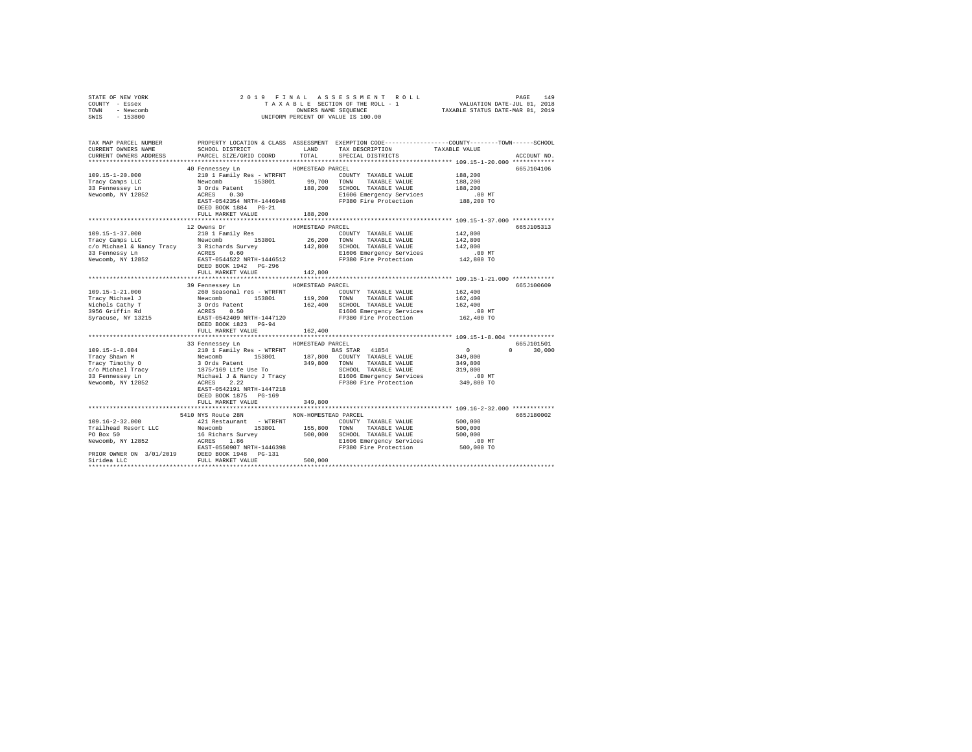| STATE OF NEW YORK<br>COUNTY - Essex                                                                                                                                                                                                                                                                                                                                                                       |                                                                                                                            |                      |                                                                                                                                                                                                                                      |         |               |  |  |
|-----------------------------------------------------------------------------------------------------------------------------------------------------------------------------------------------------------------------------------------------------------------------------------------------------------------------------------------------------------------------------------------------------------|----------------------------------------------------------------------------------------------------------------------------|----------------------|--------------------------------------------------------------------------------------------------------------------------------------------------------------------------------------------------------------------------------------|---------|---------------|--|--|
| TOWN - Newcomb                                                                                                                                                                                                                                                                                                                                                                                            | 2019 FINAL ASSESSMENT ROL<br>TAXABLE SECTION OF THE ROLL - 1<br>ONNERS NAME SEQUENCE<br>UNIFORM PERCENT OF VALUE IS 100.00 |                      |                                                                                                                                                                                                                                      |         |               |  |  |
| SWIS - 153800                                                                                                                                                                                                                                                                                                                                                                                             |                                                                                                                            |                      |                                                                                                                                                                                                                                      |         |               |  |  |
| TAX MAP PARCEL NUMBER PROPERTY LOCATION & CLASS ASSESSMENT EXEMPTION CODE---------------COUNTY-------TOWN------SCHOOL                                                                                                                                                                                                                                                                                     |                                                                                                                            |                      |                                                                                                                                                                                                                                      |         |               |  |  |
| CURRENT OWNERS NAME                                                                                                                                                                                                                                                                                                                                                                                       | SCHOOL DISTRICT LAND                                                                                                       |                      | TAX DESCRIPTION TAXABLE VALUE                                                                                                                                                                                                        |         |               |  |  |
| CURRENT OWNERS ADDRESS                                                                                                                                                                                                                                                                                                                                                                                    | PARCEL SIZE/GRID COORD TOTAL                                                                                               |                      | SPECIAL DISTRICTS                                                                                                                                                                                                                    |         | ACCOUNT NO.   |  |  |
|                                                                                                                                                                                                                                                                                                                                                                                                           |                                                                                                                            |                      |                                                                                                                                                                                                                                      |         |               |  |  |
|                                                                                                                                                                                                                                                                                                                                                                                                           | 40 Fennessey Ln                                                                                                            | HOMESTEAD PARCEL     |                                                                                                                                                                                                                                      |         | 665J104106    |  |  |
| $109.15 - 1 - 20.000$                                                                                                                                                                                                                                                                                                                                                                                     |                                                                                                                            |                      |                                                                                                                                                                                                                                      |         |               |  |  |
| $109.15 - 1.28$<br>Tracy Camps LLC                                                                                                                                                                                                                                                                                                                                                                        |                                                                                                                            |                      |                                                                                                                                                                                                                                      |         |               |  |  |
|                                                                                                                                                                                                                                                                                                                                                                                                           |                                                                                                                            |                      |                                                                                                                                                                                                                                      |         |               |  |  |
| Newcomb, NY 12852                                                                                                                                                                                                                                                                                                                                                                                         |                                                                                                                            |                      | VI PLINESSEY AND RESIGNATION CONTRACT AN ABLE VALUE 188,200<br>Newcomb 153801 99,700 TOWN TAXABLE VALUE 188,200<br>3 Ords Patent 153801 98,200 TOWN TAXABLE VALUE 188,200<br>ACRES 0.30 RESIGNATE-1446948 188,200 EL606 Energency Se |         |               |  |  |
|                                                                                                                                                                                                                                                                                                                                                                                                           | DEED BOOK 1884 PG-21                                                                                                       |                      |                                                                                                                                                                                                                                      |         |               |  |  |
|                                                                                                                                                                                                                                                                                                                                                                                                           | FULL MARKET VALUE                                                                                                          | 188,200              |                                                                                                                                                                                                                                      |         |               |  |  |
|                                                                                                                                                                                                                                                                                                                                                                                                           |                                                                                                                            |                      |                                                                                                                                                                                                                                      |         |               |  |  |
|                                                                                                                                                                                                                                                                                                                                                                                                           | 12 Owens Dr                                                                                                                | HOMESTEAD PARCEL     |                                                                                                                                                                                                                                      |         | 665J105313    |  |  |
|                                                                                                                                                                                                                                                                                                                                                                                                           |                                                                                                                            |                      |                                                                                                                                                                                                                                      |         |               |  |  |
|                                                                                                                                                                                                                                                                                                                                                                                                           |                                                                                                                            |                      |                                                                                                                                                                                                                                      |         |               |  |  |
|                                                                                                                                                                                                                                                                                                                                                                                                           |                                                                                                                            |                      |                                                                                                                                                                                                                                      |         |               |  |  |
|                                                                                                                                                                                                                                                                                                                                                                                                           |                                                                                                                            |                      |                                                                                                                                                                                                                                      |         |               |  |  |
|                                                                                                                                                                                                                                                                                                                                                                                                           |                                                                                                                            |                      |                                                                                                                                                                                                                                      |         |               |  |  |
|                                                                                                                                                                                                                                                                                                                                                                                                           |                                                                                                                            |                      |                                                                                                                                                                                                                                      |         |               |  |  |
|                                                                                                                                                                                                                                                                                                                                                                                                           | FULL MARKET VALUE 142,800                                                                                                  |                      |                                                                                                                                                                                                                                      |         |               |  |  |
|                                                                                                                                                                                                                                                                                                                                                                                                           | 39 Fennessey Ln                                                                                                            | HOMESTEAD PARCEL     |                                                                                                                                                                                                                                      |         | 665J100609    |  |  |
| 109.15-1-21.000                                                                                                                                                                                                                                                                                                                                                                                           | 260 Seasonal res - WTRFNT                                                                                                  |                      | COUNTY TAXABLE VALUE                                                                                                                                                                                                                 | 162,400 |               |  |  |
|                                                                                                                                                                                                                                                                                                                                                                                                           |                                                                                                                            |                      |                                                                                                                                                                                                                                      |         |               |  |  |
|                                                                                                                                                                                                                                                                                                                                                                                                           |                                                                                                                            |                      |                                                                                                                                                                                                                                      |         |               |  |  |
|                                                                                                                                                                                                                                                                                                                                                                                                           |                                                                                                                            |                      |                                                                                                                                                                                                                                      |         |               |  |  |
| $\begin{tabular}{lcccccc} \textsc{trav} .\textsc{1-21} .\textsc{u} & \textsc{20} & \textsc{20} & \textsc{20} & \textsc{20} & \textsc{20} & \textsc{20} & \textsc{20} & \textsc{20} & \textsc{20} & \textsc{20} & \textsc{20} & \textsc{20} & \textsc{20} & \textsc{20} & \textsc{20} & \textsc{20} & \textsc{20} & \textsc{20} & \textsc{20} & \textsc{20} & \textsc{20} & \textsc{20} & \textsc{20} & \$ |                                                                                                                            |                      |                                                                                                                                                                                                                                      |         |               |  |  |
|                                                                                                                                                                                                                                                                                                                                                                                                           |                                                                                                                            |                      |                                                                                                                                                                                                                                      |         |               |  |  |
|                                                                                                                                                                                                                                                                                                                                                                                                           | FULL MARKET VALUE                                                                                                          | 162,400              |                                                                                                                                                                                                                                      |         |               |  |  |
|                                                                                                                                                                                                                                                                                                                                                                                                           |                                                                                                                            |                      |                                                                                                                                                                                                                                      |         |               |  |  |
|                                                                                                                                                                                                                                                                                                                                                                                                           | 33 Fennessey Ln HOMESTEAD PARCEL                                                                                           |                      |                                                                                                                                                                                                                                      |         | 665J101501    |  |  |
|                                                                                                                                                                                                                                                                                                                                                                                                           |                                                                                                                            |                      |                                                                                                                                                                                                                                      |         | $0 \t 30,000$ |  |  |
|                                                                                                                                                                                                                                                                                                                                                                                                           |                                                                                                                            |                      |                                                                                                                                                                                                                                      |         |               |  |  |
|                                                                                                                                                                                                                                                                                                                                                                                                           |                                                                                                                            |                      |                                                                                                                                                                                                                                      |         |               |  |  |
|                                                                                                                                                                                                                                                                                                                                                                                                           |                                                                                                                            |                      |                                                                                                                                                                                                                                      |         |               |  |  |
|                                                                                                                                                                                                                                                                                                                                                                                                           |                                                                                                                            |                      |                                                                                                                                                                                                                                      |         |               |  |  |
|                                                                                                                                                                                                                                                                                                                                                                                                           | EAST-0542191 NRTH-1447218                                                                                                  |                      |                                                                                                                                                                                                                                      |         |               |  |  |
|                                                                                                                                                                                                                                                                                                                                                                                                           | DEED BOOK 1875 PG-169                                                                                                      |                      |                                                                                                                                                                                                                                      |         |               |  |  |
|                                                                                                                                                                                                                                                                                                                                                                                                           | FULL MARKET VALUE                                                                                                          | 349,800              |                                                                                                                                                                                                                                      |         |               |  |  |
|                                                                                                                                                                                                                                                                                                                                                                                                           |                                                                                                                            |                      |                                                                                                                                                                                                                                      |         |               |  |  |
|                                                                                                                                                                                                                                                                                                                                                                                                           | 5410 NYS Route 28N                                                                                                         | NON-HOMESTEAD PARCEL |                                                                                                                                                                                                                                      |         | 665J180002    |  |  |
|                                                                                                                                                                                                                                                                                                                                                                                                           |                                                                                                                            |                      |                                                                                                                                                                                                                                      |         |               |  |  |
|                                                                                                                                                                                                                                                                                                                                                                                                           |                                                                                                                            |                      |                                                                                                                                                                                                                                      |         |               |  |  |
|                                                                                                                                                                                                                                                                                                                                                                                                           |                                                                                                                            |                      |                                                                                                                                                                                                                                      |         |               |  |  |
|                                                                                                                                                                                                                                                                                                                                                                                                           |                                                                                                                            |                      |                                                                                                                                                                                                                                      |         |               |  |  |
|                                                                                                                                                                                                                                                                                                                                                                                                           |                                                                                                                            |                      |                                                                                                                                                                                                                                      |         |               |  |  |
|                                                                                                                                                                                                                                                                                                                                                                                                           |                                                                                                                            |                      |                                                                                                                                                                                                                                      |         |               |  |  |
|                                                                                                                                                                                                                                                                                                                                                                                                           |                                                                                                                            |                      |                                                                                                                                                                                                                                      |         |               |  |  |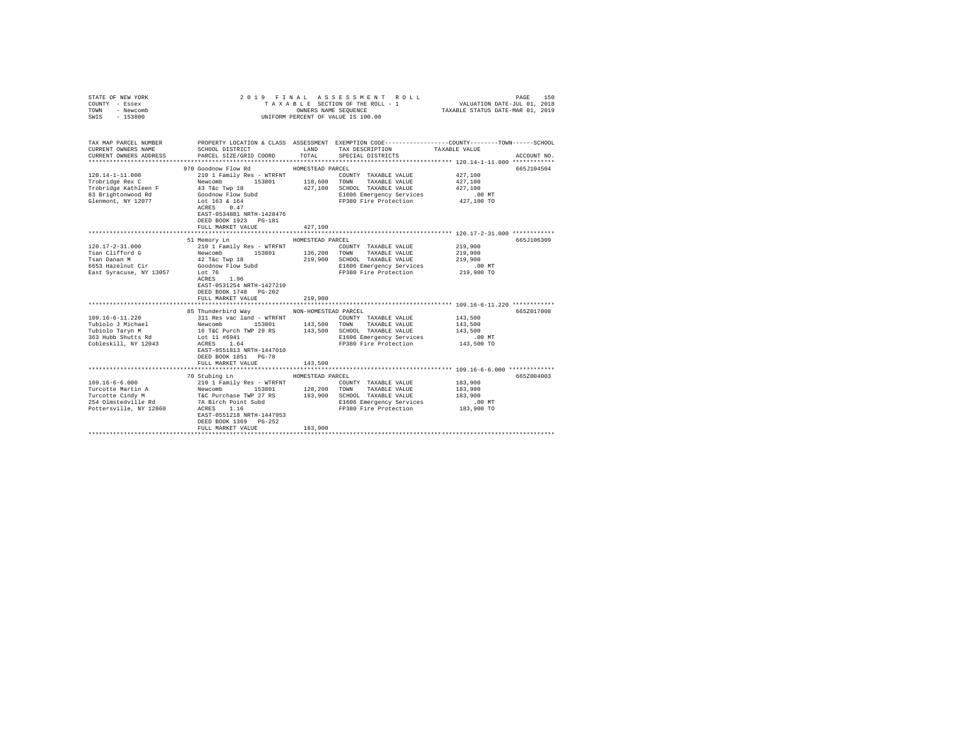| STATE OF NEW YORK<br>COUNTY - Essex<br>TOWN<br>- Newcomb                                                                                                                                                                |                                                                                                                                                                                                                                                                                                                                                                                                             |                                         | 2019 FINAL ASSESSMENT ROLL<br>TAXABLE SECTION OF THE ROLL - 1<br>OWNERS NAME SEQUENCE                                                                                                                                                                                              | 150<br>PAGE<br>VALUATION DATE-JUL 01, 2018<br>TAXABLE STATUS DATE-MAR 01, 2019                                                                 |
|-------------------------------------------------------------------------------------------------------------------------------------------------------------------------------------------------------------------------|-------------------------------------------------------------------------------------------------------------------------------------------------------------------------------------------------------------------------------------------------------------------------------------------------------------------------------------------------------------------------------------------------------------|-----------------------------------------|------------------------------------------------------------------------------------------------------------------------------------------------------------------------------------------------------------------------------------------------------------------------------------|------------------------------------------------------------------------------------------------------------------------------------------------|
| $-153800$<br>SWIS                                                                                                                                                                                                       |                                                                                                                                                                                                                                                                                                                                                                                                             |                                         | UNIFORM PERCENT OF VALUE IS 100.00                                                                                                                                                                                                                                                 |                                                                                                                                                |
| TAX MAP PARCEL NUMBER<br>CURRENT OWNERS NAME                                                                                                                                                                            | SCHOOL DISTRICT TAND TAX DESCRIPTION                                                                                                                                                                                                                                                                                                                                                                        |                                         |                                                                                                                                                                                                                                                                                    | PROPERTY LOCATION & CLASS ASSESSMENT EXEMPTION CODE---------------COUNTY-------TOWN------SCHOOL<br>TAXABLE VALUE                               |
| CURRENT OWNERS ADDRESS                                                                                                                                                                                                  | PARCEL SIZE/GRID COORD                                                                                                                                                                                                                                                                                                                                                                                      | TOTAL                                   | SPECIAL DISTRICTS                                                                                                                                                                                                                                                                  | ACCOUNT NO.                                                                                                                                    |
| $120.14 - 1 - 11.000$<br>Trobridge Rex C<br>Trobridge Kathleen F 43 T&c Twp 18<br>83 Brightonwood Rd<br>Glenmont, NY 12077                                                                                              | 970 Goodnow Flow Rd<br>210 1 Family Res - WTRFNT<br>Newcomb 153801 118,600 TOWN TAXABLE VALUE<br>Goodnow Flow Subd<br>Lot 163 & 164<br>ACRES 0.47                                                                                                                                                                                                                                                           | HOMESTEAD PARCEL                        | COUNTY TAXABLE VALUE<br>427,100 SCHOOL TAXABLE VALUE<br>E1606 Emergency Services<br>FP380 Fire Protection 427,100 TO                                                                                                                                                               | 665J104504<br>427,100<br>427,100<br>427.100<br>.00MT                                                                                           |
|                                                                                                                                                                                                                         | EAST-0534881 NRTH-1428476<br>DEED BOOK 1923 PG-181<br>FULL MARKET VALUE                                                                                                                                                                                                                                                                                                                                     | 427,100                                 |                                                                                                                                                                                                                                                                                    | ***************************** 120.17-2-31.000 ************                                                                                     |
|                                                                                                                                                                                                                         |                                                                                                                                                                                                                                                                                                                                                                                                             |                                         |                                                                                                                                                                                                                                                                                    |                                                                                                                                                |
| $120.17 - 2 - 31.000$<br>Tsan Clifford G<br>Tsan Danan M<br>6653 Hazelnut Cir<br>East Syracuse, NY 13057<br>$109.16 - 6 - 11.220$<br>Tubiolo J Michael<br>Tubiolo Taryn M<br>363 Hubb Shutts Rd<br>Cobleskill, NY 12043 | 51 Memory Ln<br>210 1 Family Res - WTRFNT<br>Newcomb 153801<br>42 T&c Twp 18<br>Goodnow Flow Subd<br>Lot 76<br>ACRES 1.96<br>EAST-0531254 NRTH-1427210<br>DEED BOOK 1748 PG-202<br>FULL MARKET VALUE<br>85 Thunderbird Way MON-HOMESTEAD PARCEL<br>311 Res vac land - WTRFNT<br>Newcomb 153801<br>16 T&C Purch TWP 29 RS<br>Lot 11 #6941<br>ACRES 1.64<br>EAST-0551813 NRTH-1447010<br>DEED BOOK 1851 PG-78 | HOMESTEAD PARCEL<br>219,900             | COUNTY TAXABLE VALUE<br>136,200 TOWN TAXABLE VALUE<br>219,900 SCHOOL TAXABLE VALUE<br>E1606 Emergency Services<br>FP380 Fire Protection<br>COUNTY TAXABLE VALUE<br>143,500 TOWN TAXABLE VALUE<br>143,500 SCHOOL TAXABLE VALUE<br>E1606 Emergency Services<br>FP380 Fire Protection | 665J106309<br>219,900<br>219,900<br>219,900<br>$.00$ MT<br>219,900 TO<br>665Z017008<br>143,500<br>143,500<br>143,500<br>$.00$ MT<br>143,500 TO |
|                                                                                                                                                                                                                         | FULL MARKET VALUE                                                                                                                                                                                                                                                                                                                                                                                           | 143,500                                 |                                                                                                                                                                                                                                                                                    |                                                                                                                                                |
| $109.16 - 6 - 6.000$<br>254 Olmstedville Rd<br>Pottersville, NY 12860                                                                                                                                                   | 70 Stubing Ln<br>210 1 Family Res - WTRFNT<br>7A Birch Point Subd<br>ACRES 1.16<br>EAST-0551218 NRTH-1447953<br>DEED BOOK 1369 PG-252<br>FULL MARKET VALUE                                                                                                                                                                                                                                                  | HOMESTEAD PARCEL<br>128, 200<br>183,900 | COUNTY TAXABLE VALUE<br>TOWN<br>TAXABLE VALUE<br>183,900 SCHOOL TAXABLE VALUE<br>E1606 Emergency Services<br>FP380 Fire Protection                                                                                                                                                 | 665Z004003<br>183,900<br>183,900<br>183,900<br>$.00$ MT<br>183,900 TO                                                                          |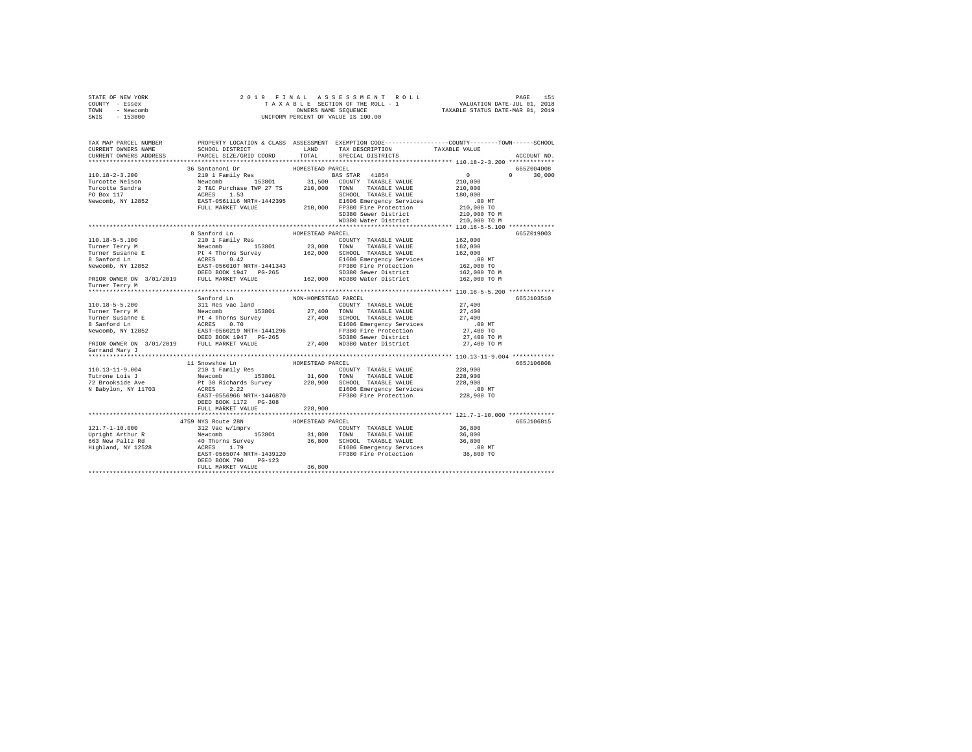| STATE OF NEW YORK |           |  |  |  | 2019 FINAL ASSESSMENT ROLL         |                                  | PAGE                        | 151 |
|-------------------|-----------|--|--|--|------------------------------------|----------------------------------|-----------------------------|-----|
| COUNTY - Essex    |           |  |  |  | TAXABLE SECTION OF THE ROLL - 1    |                                  | VALUATION DATE-JUL 01, 2018 |     |
| TOWN              | - Newcomb |  |  |  | OWNERS NAME SEOUENCE               | TAXABLE STATUS DATE-MAR 01, 2019 |                             |     |
| SWIS              | - 153800  |  |  |  | UNIFORM PERCENT OF VALUE IS 100.00 |                                  |                             |     |

| ACCOUNT NO.<br>36 Santanoni Dr<br>HOMESTEAD PARCEL<br>665Z004008<br>$\sim$ 0<br>$\Omega$<br>30,000<br>210,000<br>210,000<br>180,000<br>$.00$ MT<br>210,000 TO<br>210,000 TO M<br>SD380 Sewer District<br>WD380 Water District 210,000 TO M<br>8 Sanford Ln<br>665Z019003<br>HOMESTEAD PARCEL<br>210 1 Family Res<br>110.18-5-5.100<br>COUNTY TAXABLE VALUE 162,000<br>Turner Survey Mewcomb 153801 23,000 TOWN TAXABLE VALUE 162,000<br>Turner Susanford In Revecomb 153801 23,000 TOWN TAXABLE VALUE 162,000<br>8 Sanford In ACRES 0.42 EL606 Emergency Services 162,000<br>Newcomb, NY 12852 EAST-056010<br>Turner Terry M<br>665J103510<br>Sanford Ln<br>NON-HOMESTEAD PARCEL<br>27,400<br>110.18-5-5.200<br>Turner Terry M<br>Turner Susex and Market and COUNTY TAXABLE VALUE<br>Turner Susex and DE PL 4 Thorns Survey<br>Turner Susex 0.70<br>Turner Susex 0.70<br>Sanford Ln<br>ARRES 0.70<br>SEED BOX 1947<br>ARRES 10.70<br>PRIOR OWN<br>27,400<br>27,400<br>.00 MT.<br>27,400 TO<br>27,400 TO M<br>27,400 TO M<br>11 Snowshoe Ln<br>HOMESTEAD PARCEL<br>665J106808<br>$110.13 - 11 - 9.004$<br>228,900<br>228,900<br>228,900<br>00 MT.<br>228,900 TO<br>DEED BOOK 1172    PG-308<br>FULL MARKET VALUE<br>228,900<br>4759 NYS Route 28N<br>HOMESTEAD PARCEL<br>665J106815<br>DEED BOOK 790<br>$PG-123$<br>36,800<br>FULL MARKET VALUE | TAX MAP PARCEL NUMBER<br>CURRENT OWNERS NAME | SCHOOL DISTRICT        | LAND  | PROPERTY LOCATION & CLASS ASSESSMENT EXEMPTION CODE---------------COUNTY-------TOWN-----SCHOOL<br>TAX DESCRIPTION | TAXABLE VALUE |  |
|-------------------------------------------------------------------------------------------------------------------------------------------------------------------------------------------------------------------------------------------------------------------------------------------------------------------------------------------------------------------------------------------------------------------------------------------------------------------------------------------------------------------------------------------------------------------------------------------------------------------------------------------------------------------------------------------------------------------------------------------------------------------------------------------------------------------------------------------------------------------------------------------------------------------------------------------------------------------------------------------------------------------------------------------------------------------------------------------------------------------------------------------------------------------------------------------------------------------------------------------------------------------------------------------------------------------------------------------------|----------------------------------------------|------------------------|-------|-------------------------------------------------------------------------------------------------------------------|---------------|--|
|                                                                                                                                                                                                                                                                                                                                                                                                                                                                                                                                                                                                                                                                                                                                                                                                                                                                                                                                                                                                                                                                                                                                                                                                                                                                                                                                                 | CURRENT OWNERS ADDRESS                       | PARCEL SIZE/GRID COORD | TOTAL | SPECIAL DISTRICTS                                                                                                 |               |  |
|                                                                                                                                                                                                                                                                                                                                                                                                                                                                                                                                                                                                                                                                                                                                                                                                                                                                                                                                                                                                                                                                                                                                                                                                                                                                                                                                                 |                                              |                        |       |                                                                                                                   |               |  |
|                                                                                                                                                                                                                                                                                                                                                                                                                                                                                                                                                                                                                                                                                                                                                                                                                                                                                                                                                                                                                                                                                                                                                                                                                                                                                                                                                 |                                              |                        |       |                                                                                                                   |               |  |
|                                                                                                                                                                                                                                                                                                                                                                                                                                                                                                                                                                                                                                                                                                                                                                                                                                                                                                                                                                                                                                                                                                                                                                                                                                                                                                                                                 |                                              |                        |       |                                                                                                                   |               |  |
|                                                                                                                                                                                                                                                                                                                                                                                                                                                                                                                                                                                                                                                                                                                                                                                                                                                                                                                                                                                                                                                                                                                                                                                                                                                                                                                                                 |                                              |                        |       |                                                                                                                   |               |  |
|                                                                                                                                                                                                                                                                                                                                                                                                                                                                                                                                                                                                                                                                                                                                                                                                                                                                                                                                                                                                                                                                                                                                                                                                                                                                                                                                                 |                                              |                        |       |                                                                                                                   |               |  |
|                                                                                                                                                                                                                                                                                                                                                                                                                                                                                                                                                                                                                                                                                                                                                                                                                                                                                                                                                                                                                                                                                                                                                                                                                                                                                                                                                 |                                              |                        |       |                                                                                                                   |               |  |
|                                                                                                                                                                                                                                                                                                                                                                                                                                                                                                                                                                                                                                                                                                                                                                                                                                                                                                                                                                                                                                                                                                                                                                                                                                                                                                                                                 |                                              |                        |       |                                                                                                                   |               |  |
|                                                                                                                                                                                                                                                                                                                                                                                                                                                                                                                                                                                                                                                                                                                                                                                                                                                                                                                                                                                                                                                                                                                                                                                                                                                                                                                                                 |                                              |                        |       |                                                                                                                   |               |  |
|                                                                                                                                                                                                                                                                                                                                                                                                                                                                                                                                                                                                                                                                                                                                                                                                                                                                                                                                                                                                                                                                                                                                                                                                                                                                                                                                                 |                                              |                        |       |                                                                                                                   |               |  |
|                                                                                                                                                                                                                                                                                                                                                                                                                                                                                                                                                                                                                                                                                                                                                                                                                                                                                                                                                                                                                                                                                                                                                                                                                                                                                                                                                 |                                              |                        |       |                                                                                                                   |               |  |
|                                                                                                                                                                                                                                                                                                                                                                                                                                                                                                                                                                                                                                                                                                                                                                                                                                                                                                                                                                                                                                                                                                                                                                                                                                                                                                                                                 |                                              |                        |       |                                                                                                                   |               |  |
|                                                                                                                                                                                                                                                                                                                                                                                                                                                                                                                                                                                                                                                                                                                                                                                                                                                                                                                                                                                                                                                                                                                                                                                                                                                                                                                                                 |                                              |                        |       |                                                                                                                   |               |  |
|                                                                                                                                                                                                                                                                                                                                                                                                                                                                                                                                                                                                                                                                                                                                                                                                                                                                                                                                                                                                                                                                                                                                                                                                                                                                                                                                                 |                                              |                        |       |                                                                                                                   |               |  |
|                                                                                                                                                                                                                                                                                                                                                                                                                                                                                                                                                                                                                                                                                                                                                                                                                                                                                                                                                                                                                                                                                                                                                                                                                                                                                                                                                 |                                              |                        |       |                                                                                                                   |               |  |
|                                                                                                                                                                                                                                                                                                                                                                                                                                                                                                                                                                                                                                                                                                                                                                                                                                                                                                                                                                                                                                                                                                                                                                                                                                                                                                                                                 |                                              |                        |       |                                                                                                                   |               |  |
|                                                                                                                                                                                                                                                                                                                                                                                                                                                                                                                                                                                                                                                                                                                                                                                                                                                                                                                                                                                                                                                                                                                                                                                                                                                                                                                                                 |                                              |                        |       |                                                                                                                   |               |  |
|                                                                                                                                                                                                                                                                                                                                                                                                                                                                                                                                                                                                                                                                                                                                                                                                                                                                                                                                                                                                                                                                                                                                                                                                                                                                                                                                                 |                                              |                        |       |                                                                                                                   |               |  |
|                                                                                                                                                                                                                                                                                                                                                                                                                                                                                                                                                                                                                                                                                                                                                                                                                                                                                                                                                                                                                                                                                                                                                                                                                                                                                                                                                 |                                              |                        |       |                                                                                                                   |               |  |
|                                                                                                                                                                                                                                                                                                                                                                                                                                                                                                                                                                                                                                                                                                                                                                                                                                                                                                                                                                                                                                                                                                                                                                                                                                                                                                                                                 |                                              |                        |       |                                                                                                                   |               |  |
|                                                                                                                                                                                                                                                                                                                                                                                                                                                                                                                                                                                                                                                                                                                                                                                                                                                                                                                                                                                                                                                                                                                                                                                                                                                                                                                                                 |                                              |                        |       |                                                                                                                   |               |  |
|                                                                                                                                                                                                                                                                                                                                                                                                                                                                                                                                                                                                                                                                                                                                                                                                                                                                                                                                                                                                                                                                                                                                                                                                                                                                                                                                                 |                                              |                        |       |                                                                                                                   |               |  |
|                                                                                                                                                                                                                                                                                                                                                                                                                                                                                                                                                                                                                                                                                                                                                                                                                                                                                                                                                                                                                                                                                                                                                                                                                                                                                                                                                 |                                              |                        |       |                                                                                                                   |               |  |
|                                                                                                                                                                                                                                                                                                                                                                                                                                                                                                                                                                                                                                                                                                                                                                                                                                                                                                                                                                                                                                                                                                                                                                                                                                                                                                                                                 |                                              |                        |       |                                                                                                                   |               |  |
|                                                                                                                                                                                                                                                                                                                                                                                                                                                                                                                                                                                                                                                                                                                                                                                                                                                                                                                                                                                                                                                                                                                                                                                                                                                                                                                                                 |                                              |                        |       |                                                                                                                   |               |  |
|                                                                                                                                                                                                                                                                                                                                                                                                                                                                                                                                                                                                                                                                                                                                                                                                                                                                                                                                                                                                                                                                                                                                                                                                                                                                                                                                                 |                                              |                        |       |                                                                                                                   |               |  |
|                                                                                                                                                                                                                                                                                                                                                                                                                                                                                                                                                                                                                                                                                                                                                                                                                                                                                                                                                                                                                                                                                                                                                                                                                                                                                                                                                 |                                              |                        |       |                                                                                                                   |               |  |
|                                                                                                                                                                                                                                                                                                                                                                                                                                                                                                                                                                                                                                                                                                                                                                                                                                                                                                                                                                                                                                                                                                                                                                                                                                                                                                                                                 |                                              |                        |       |                                                                                                                   |               |  |
|                                                                                                                                                                                                                                                                                                                                                                                                                                                                                                                                                                                                                                                                                                                                                                                                                                                                                                                                                                                                                                                                                                                                                                                                                                                                                                                                                 | Garrand Mary J                               |                        |       |                                                                                                                   |               |  |
|                                                                                                                                                                                                                                                                                                                                                                                                                                                                                                                                                                                                                                                                                                                                                                                                                                                                                                                                                                                                                                                                                                                                                                                                                                                                                                                                                 |                                              |                        |       |                                                                                                                   |               |  |
|                                                                                                                                                                                                                                                                                                                                                                                                                                                                                                                                                                                                                                                                                                                                                                                                                                                                                                                                                                                                                                                                                                                                                                                                                                                                                                                                                 |                                              |                        |       |                                                                                                                   |               |  |
|                                                                                                                                                                                                                                                                                                                                                                                                                                                                                                                                                                                                                                                                                                                                                                                                                                                                                                                                                                                                                                                                                                                                                                                                                                                                                                                                                 |                                              |                        |       |                                                                                                                   |               |  |
|                                                                                                                                                                                                                                                                                                                                                                                                                                                                                                                                                                                                                                                                                                                                                                                                                                                                                                                                                                                                                                                                                                                                                                                                                                                                                                                                                 |                                              |                        |       |                                                                                                                   |               |  |
|                                                                                                                                                                                                                                                                                                                                                                                                                                                                                                                                                                                                                                                                                                                                                                                                                                                                                                                                                                                                                                                                                                                                                                                                                                                                                                                                                 |                                              |                        |       |                                                                                                                   |               |  |
|                                                                                                                                                                                                                                                                                                                                                                                                                                                                                                                                                                                                                                                                                                                                                                                                                                                                                                                                                                                                                                                                                                                                                                                                                                                                                                                                                 |                                              |                        |       |                                                                                                                   |               |  |
|                                                                                                                                                                                                                                                                                                                                                                                                                                                                                                                                                                                                                                                                                                                                                                                                                                                                                                                                                                                                                                                                                                                                                                                                                                                                                                                                                 |                                              |                        |       |                                                                                                                   |               |  |
|                                                                                                                                                                                                                                                                                                                                                                                                                                                                                                                                                                                                                                                                                                                                                                                                                                                                                                                                                                                                                                                                                                                                                                                                                                                                                                                                                 |                                              |                        |       |                                                                                                                   |               |  |
|                                                                                                                                                                                                                                                                                                                                                                                                                                                                                                                                                                                                                                                                                                                                                                                                                                                                                                                                                                                                                                                                                                                                                                                                                                                                                                                                                 |                                              |                        |       |                                                                                                                   |               |  |
|                                                                                                                                                                                                                                                                                                                                                                                                                                                                                                                                                                                                                                                                                                                                                                                                                                                                                                                                                                                                                                                                                                                                                                                                                                                                                                                                                 |                                              |                        |       |                                                                                                                   |               |  |
|                                                                                                                                                                                                                                                                                                                                                                                                                                                                                                                                                                                                                                                                                                                                                                                                                                                                                                                                                                                                                                                                                                                                                                                                                                                                                                                                                 |                                              |                        |       |                                                                                                                   |               |  |
|                                                                                                                                                                                                                                                                                                                                                                                                                                                                                                                                                                                                                                                                                                                                                                                                                                                                                                                                                                                                                                                                                                                                                                                                                                                                                                                                                 |                                              |                        |       |                                                                                                                   |               |  |
|                                                                                                                                                                                                                                                                                                                                                                                                                                                                                                                                                                                                                                                                                                                                                                                                                                                                                                                                                                                                                                                                                                                                                                                                                                                                                                                                                 |                                              |                        |       |                                                                                                                   |               |  |
|                                                                                                                                                                                                                                                                                                                                                                                                                                                                                                                                                                                                                                                                                                                                                                                                                                                                                                                                                                                                                                                                                                                                                                                                                                                                                                                                                 |                                              |                        |       |                                                                                                                   |               |  |
|                                                                                                                                                                                                                                                                                                                                                                                                                                                                                                                                                                                                                                                                                                                                                                                                                                                                                                                                                                                                                                                                                                                                                                                                                                                                                                                                                 |                                              |                        |       |                                                                                                                   |               |  |
|                                                                                                                                                                                                                                                                                                                                                                                                                                                                                                                                                                                                                                                                                                                                                                                                                                                                                                                                                                                                                                                                                                                                                                                                                                                                                                                                                 |                                              |                        |       |                                                                                                                   |               |  |
|                                                                                                                                                                                                                                                                                                                                                                                                                                                                                                                                                                                                                                                                                                                                                                                                                                                                                                                                                                                                                                                                                                                                                                                                                                                                                                                                                 |                                              |                        |       |                                                                                                                   |               |  |
|                                                                                                                                                                                                                                                                                                                                                                                                                                                                                                                                                                                                                                                                                                                                                                                                                                                                                                                                                                                                                                                                                                                                                                                                                                                                                                                                                 |                                              |                        |       |                                                                                                                   |               |  |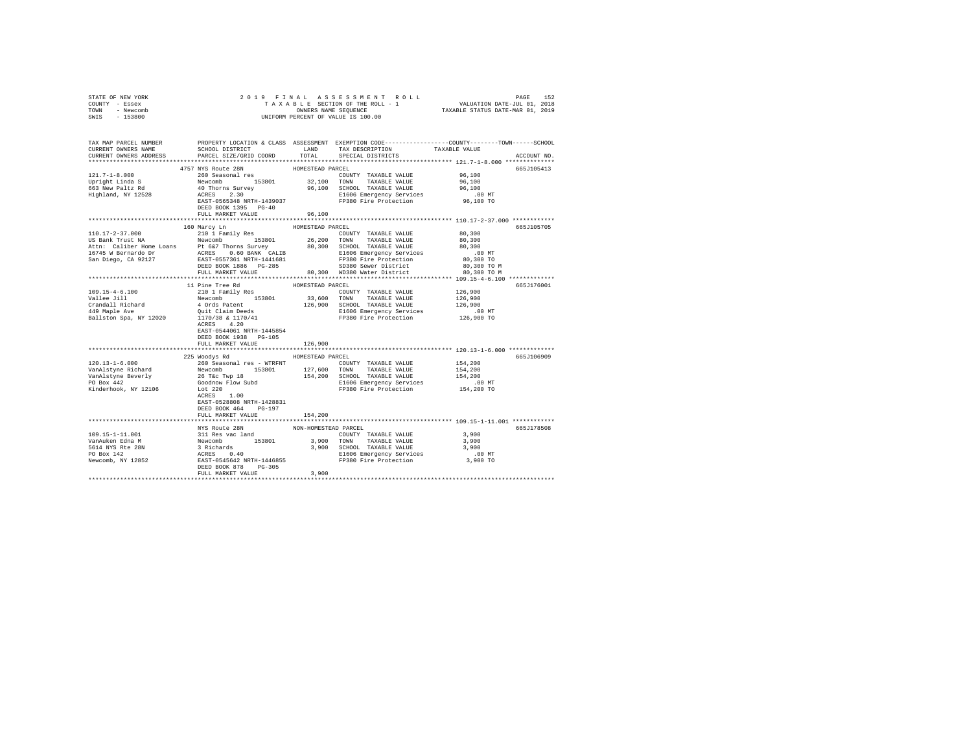| COUNTY - Essex<br>TOWN - Newcomb                                                                                                                                                                                                                               |                                                                                                                                                                                                                                                                                                                                                                                                         |                      |                                                                      |                                                                                                 |  |  |
|----------------------------------------------------------------------------------------------------------------------------------------------------------------------------------------------------------------------------------------------------------------|---------------------------------------------------------------------------------------------------------------------------------------------------------------------------------------------------------------------------------------------------------------------------------------------------------------------------------------------------------------------------------------------------------|----------------------|----------------------------------------------------------------------|-------------------------------------------------------------------------------------------------|--|--|
| SWIS - 153800                                                                                                                                                                                                                                                  |                                                                                                                                                                                                                                                                                                                                                                                                         |                      | UNIFORM PERCENT OF VALUE IS 100.00                                   |                                                                                                 |  |  |
|                                                                                                                                                                                                                                                                |                                                                                                                                                                                                                                                                                                                                                                                                         |                      |                                                                      |                                                                                                 |  |  |
|                                                                                                                                                                                                                                                                |                                                                                                                                                                                                                                                                                                                                                                                                         |                      |                                                                      |                                                                                                 |  |  |
| TAX MAP PARCEL NUMBER                                                                                                                                                                                                                                          |                                                                                                                                                                                                                                                                                                                                                                                                         |                      |                                                                      | PROPERTY LOCATION & CLASS ASSESSMENT EXEMPTION CODE---------------COUNTY-------TOWN------SCHOOL |  |  |
| CURRENT OWNERS NAME                                                                                                                                                                                                                                            | SCHOOL DISTRICT LAND<br>PARCEL SIZE/GRID COORD TOTAL                                                                                                                                                                                                                                                                                                                                                    |                      | TAX DESCRIPTION TAXABLE VALUE                                        |                                                                                                 |  |  |
| CURRENT OWNERS ADDRESS                                                                                                                                                                                                                                         |                                                                                                                                                                                                                                                                                                                                                                                                         |                      | SPECIAL DISTRICTS                                                    | ACCOUNT NO.                                                                                     |  |  |
|                                                                                                                                                                                                                                                                | $\begin{tabular}{lcccc} \texttt{4757} & \texttt{4757} & \texttt{4757} & \texttt{R107} & \texttt{4757} & \texttt{R107} & \texttt{R107} & \texttt{201W} \\ \texttt{4757} & \texttt{NYS} & \texttt{R101} & \texttt{153801} & \texttt{32,100} & \texttt{COMESTRAL} & \texttt{VALUE} & \texttt{96,100} \\ \texttt{Newcomb} & \texttt{163801} & \texttt{32,100} & \texttt{T0NN} & \texttt{TAXABLE VALUE} & \$ |                      |                                                                      |                                                                                                 |  |  |
|                                                                                                                                                                                                                                                                |                                                                                                                                                                                                                                                                                                                                                                                                         |                      |                                                                      | 665J105413                                                                                      |  |  |
| 121.7-1-8.000                                                                                                                                                                                                                                                  |                                                                                                                                                                                                                                                                                                                                                                                                         |                      |                                                                      |                                                                                                 |  |  |
|                                                                                                                                                                                                                                                                |                                                                                                                                                                                                                                                                                                                                                                                                         |                      |                                                                      |                                                                                                 |  |  |
| Upright Linda S<br>663 New Paltz Rd<br>Highland, NY 12528                                                                                                                                                                                                      |                                                                                                                                                                                                                                                                                                                                                                                                         |                      |                                                                      |                                                                                                 |  |  |
|                                                                                                                                                                                                                                                                |                                                                                                                                                                                                                                                                                                                                                                                                         |                      |                                                                      |                                                                                                 |  |  |
|                                                                                                                                                                                                                                                                |                                                                                                                                                                                                                                                                                                                                                                                                         |                      |                                                                      |                                                                                                 |  |  |
|                                                                                                                                                                                                                                                                | FULL MARKET VALUE                                                                                                                                                                                                                                                                                                                                                                                       | 96,100               |                                                                      |                                                                                                 |  |  |
|                                                                                                                                                                                                                                                                |                                                                                                                                                                                                                                                                                                                                                                                                         |                      |                                                                      |                                                                                                 |  |  |
|                                                                                                                                                                                                                                                                | 160 Marcy Ln                                                                                                                                                                                                                                                                                                                                                                                            | HOMESTEAD PARCEL     |                                                                      | 665J105705                                                                                      |  |  |
| 110.17-2-37.000                                                                                                                                                                                                                                                | 210 1 Family Res                                                                                                                                                                                                                                                                                                                                                                                        |                      | COUNTY TAXABLE VALUE                                                 | 80.300                                                                                          |  |  |
|                                                                                                                                                                                                                                                                |                                                                                                                                                                                                                                                                                                                                                                                                         |                      |                                                                      |                                                                                                 |  |  |
|                                                                                                                                                                                                                                                                |                                                                                                                                                                                                                                                                                                                                                                                                         |                      |                                                                      |                                                                                                 |  |  |
|                                                                                                                                                                                                                                                                |                                                                                                                                                                                                                                                                                                                                                                                                         |                      |                                                                      | $.00$ MT                                                                                        |  |  |
|                                                                                                                                                                                                                                                                |                                                                                                                                                                                                                                                                                                                                                                                                         |                      |                                                                      | 80,300 TO                                                                                       |  |  |
| $\begin{tabular}{l c c c c c} \hline 1101.17-2-37.010000 & 260.00000 & 153801 & 260.000000 & 153801 & 260.000000 & 153801 & 260.000000 & 153801 & 260.000000 & 153801 & 260.000000 & 153801 & 260.000000 & 153801 & 260.000000 & 153801 & 260.000000 & 153801$ |                                                                                                                                                                                                                                                                                                                                                                                                         |                      |                                                                      | 80,300 TO M<br>80,300 TO M                                                                      |  |  |
|                                                                                                                                                                                                                                                                |                                                                                                                                                                                                                                                                                                                                                                                                         |                      |                                                                      |                                                                                                 |  |  |
|                                                                                                                                                                                                                                                                | 11 Pine Tree Rd                                                                                                                                                                                                                                                                                                                                                                                         | HOMESTEAD PARCEL     |                                                                      | 665J176001                                                                                      |  |  |
|                                                                                                                                                                                                                                                                |                                                                                                                                                                                                                                                                                                                                                                                                         |                      | COUNTY TAXABLE VALUE 126,900                                         |                                                                                                 |  |  |
| 109.15-4-6.100<br>Vallee Jill                                                                                                                                                                                                                                  |                                                                                                                                                                                                                                                                                                                                                                                                         | 33,600 TOWN          | TAXABLE VALUE                                                        | 126,900                                                                                         |  |  |
|                                                                                                                                                                                                                                                                | 210 1 Family Res<br>Newcomb 153801<br>4 Ords Patent                                                                                                                                                                                                                                                                                                                                                     |                      | 126,900 SCHOOL TAXABLE VALUE                                         | 126,900                                                                                         |  |  |
| Crandall Richard<br>449 Maple Ave                                                                                                                                                                                                                              | Quit Claim Deeds<br>1170/38 & 1170/41                                                                                                                                                                                                                                                                                                                                                                   |                      | E1606 Emergency Services 6.00 MT<br>FP380 Fire Protection 126,900 TO |                                                                                                 |  |  |
| Ballston Spa, NY 12020                                                                                                                                                                                                                                         |                                                                                                                                                                                                                                                                                                                                                                                                         |                      |                                                                      |                                                                                                 |  |  |
|                                                                                                                                                                                                                                                                | ACRES 4.20                                                                                                                                                                                                                                                                                                                                                                                              |                      |                                                                      |                                                                                                 |  |  |
|                                                                                                                                                                                                                                                                | EAST-0544061 NRTH-1445854                                                                                                                                                                                                                                                                                                                                                                               |                      |                                                                      |                                                                                                 |  |  |
|                                                                                                                                                                                                                                                                | DEED BOOK 1938 PG-105                                                                                                                                                                                                                                                                                                                                                                                   |                      |                                                                      |                                                                                                 |  |  |
|                                                                                                                                                                                                                                                                | FULL MARKET VALUE                                                                                                                                                                                                                                                                                                                                                                                       | 126,900              |                                                                      |                                                                                                 |  |  |
|                                                                                                                                                                                                                                                                | 225 Woodys Rd                                                                                                                                                                                                                                                                                                                                                                                           | HOMESTEAD PARCEL     |                                                                      | 665J106909                                                                                      |  |  |
|                                                                                                                                                                                                                                                                |                                                                                                                                                                                                                                                                                                                                                                                                         |                      |                                                                      | 154,200                                                                                         |  |  |
|                                                                                                                                                                                                                                                                |                                                                                                                                                                                                                                                                                                                                                                                                         |                      |                                                                      | 154,200                                                                                         |  |  |
|                                                                                                                                                                                                                                                                |                                                                                                                                                                                                                                                                                                                                                                                                         |                      |                                                                      | 154,200                                                                                         |  |  |
|                                                                                                                                                                                                                                                                |                                                                                                                                                                                                                                                                                                                                                                                                         |                      |                                                                      |                                                                                                 |  |  |
| 120.13-1-6.000<br>NAMAlstyne Richard 260 Seasonal res - WTRFNT<br>Van<br>Alstyne Richard Newomb 153801 127,600 TOWNY TAXABLE VALUE<br>Van<br>Alstyne Beverly 26 Tec Twp 18<br>Van<br>Alstyne Beverly 26 Tec Twp 18<br>Distribution 154,200 SCHOO               |                                                                                                                                                                                                                                                                                                                                                                                                         |                      | E1606 Emergency Services 6.00 MT<br>FP380 Fire Protection 154,200 TO |                                                                                                 |  |  |
|                                                                                                                                                                                                                                                                |                                                                                                                                                                                                                                                                                                                                                                                                         |                      |                                                                      |                                                                                                 |  |  |
|                                                                                                                                                                                                                                                                | EAST-0528808 NRTH-1428831                                                                                                                                                                                                                                                                                                                                                                               |                      |                                                                      |                                                                                                 |  |  |
|                                                                                                                                                                                                                                                                | DEED BOOK 464 PG-197                                                                                                                                                                                                                                                                                                                                                                                    |                      |                                                                      |                                                                                                 |  |  |
|                                                                                                                                                                                                                                                                | FULL MARKET VALUE                                                                                                                                                                                                                                                                                                                                                                                       | 154,200              |                                                                      |                                                                                                 |  |  |
|                                                                                                                                                                                                                                                                |                                                                                                                                                                                                                                                                                                                                                                                                         |                      |                                                                      |                                                                                                 |  |  |
|                                                                                                                                                                                                                                                                | NYS Route 28N                                                                                                                                                                                                                                                                                                                                                                                           | NON-HOMESTEAD PARCEL |                                                                      | 665J178508                                                                                      |  |  |
|                                                                                                                                                                                                                                                                |                                                                                                                                                                                                                                                                                                                                                                                                         |                      |                                                                      |                                                                                                 |  |  |
|                                                                                                                                                                                                                                                                |                                                                                                                                                                                                                                                                                                                                                                                                         |                      |                                                                      |                                                                                                 |  |  |
|                                                                                                                                                                                                                                                                |                                                                                                                                                                                                                                                                                                                                                                                                         |                      |                                                                      |                                                                                                 |  |  |
|                                                                                                                                                                                                                                                                |                                                                                                                                                                                                                                                                                                                                                                                                         |                      |                                                                      |                                                                                                 |  |  |
|                                                                                                                                                                                                                                                                |                                                                                                                                                                                                                                                                                                                                                                                                         |                      |                                                                      |                                                                                                 |  |  |
|                                                                                                                                                                                                                                                                | FULL MARKET VALUE 3,900                                                                                                                                                                                                                                                                                                                                                                                 |                      |                                                                      |                                                                                                 |  |  |
|                                                                                                                                                                                                                                                                |                                                                                                                                                                                                                                                                                                                                                                                                         |                      |                                                                      |                                                                                                 |  |  |

STATE OF NEW YORK 2019 FINAL ASSESSMENT ROLL PAGE 152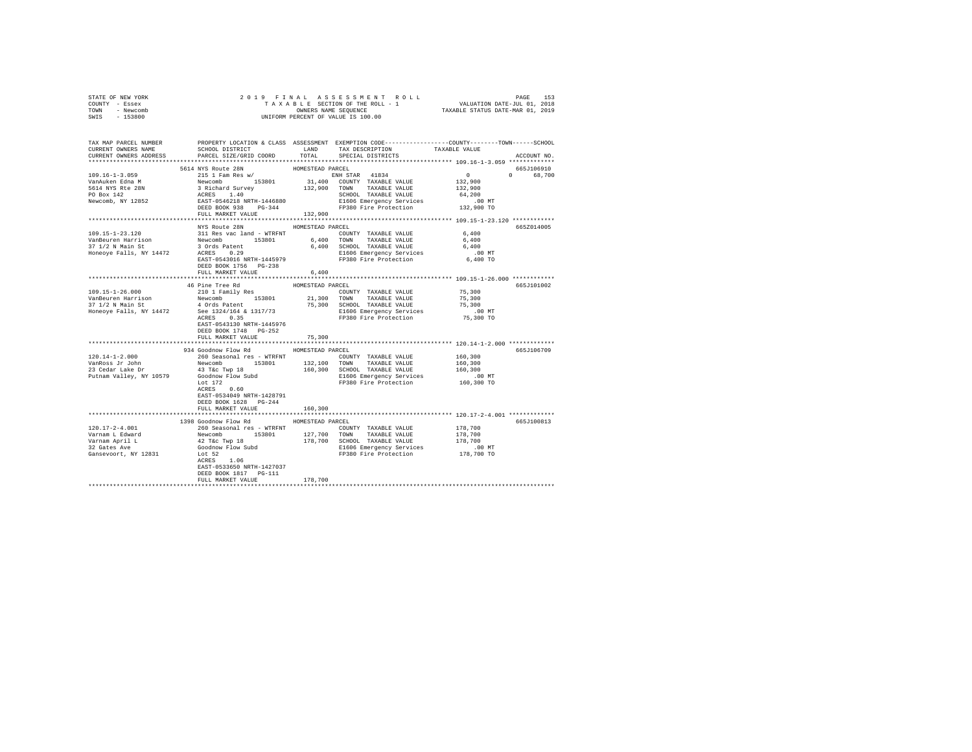| STATE OF NEW YORK                                                                                                                                                                                                                             | 2019 FINAL ASSESSMENT ROLL PAGE 153<br>TAXABLE SECTION OF THE ROLL - 1 VALUATION DATE-JUL 01, 2018<br>ONNERS NAME SEQUENCE<br>UNIFORM PERCENT OF VALUE IS 100.00 |                  |                                                                                                       |                                                    |             |
|-----------------------------------------------------------------------------------------------------------------------------------------------------------------------------------------------------------------------------------------------|------------------------------------------------------------------------------------------------------------------------------------------------------------------|------------------|-------------------------------------------------------------------------------------------------------|----------------------------------------------------|-------------|
| COUNTY - Essex                                                                                                                                                                                                                                |                                                                                                                                                                  |                  |                                                                                                       |                                                    |             |
| TOWN - Newcomb                                                                                                                                                                                                                                |                                                                                                                                                                  |                  |                                                                                                       |                                                    |             |
| SWIS - 153800                                                                                                                                                                                                                                 |                                                                                                                                                                  |                  |                                                                                                       |                                                    |             |
|                                                                                                                                                                                                                                               |                                                                                                                                                                  |                  |                                                                                                       |                                                    |             |
|                                                                                                                                                                                                                                               |                                                                                                                                                                  |                  |                                                                                                       |                                                    |             |
|                                                                                                                                                                                                                                               |                                                                                                                                                                  |                  |                                                                                                       |                                                    |             |
| TAX MAP PARCEL NUMBER PROPERTY LOCATION & CLASS ASSESSMENT EXEMPTION CODE---------------COUNTY-------TOWN------SCHOOL                                                                                                                         |                                                                                                                                                                  |                  |                                                                                                       |                                                    |             |
| CURRENT OWNERS NAME                                                                                                                                                                                                                           |                                                                                                                                                                  |                  | SCHOOL DISTRICT                          LAND         TAX DESCRIPTION                   TAXABLE VALUE |                                                    |             |
| CURRENT OWNERS ADDRESS                                                                                                                                                                                                                        | PARCEL SIZE/GRID COORD                                                                                                                                           |                  | TOTAL SPECIAL DISTRICTS                                                                               |                                                    | ACCOUNT NO. |
|                                                                                                                                                                                                                                               |                                                                                                                                                                  |                  |                                                                                                       |                                                    |             |
|                                                                                                                                                                                                                                               | 5614 NYS Route 28N                                                                                                                                               | HOMESTEAD PARCEL |                                                                                                       |                                                    | 665J106910  |
| $109.16 - 1 - 3.059$                                                                                                                                                                                                                          | 215 1 Fam Res w/                                                                                                                                                 |                  | ENH STAR 41834                                                                                        | $\overline{0}$                                     | 0 68,700    |
| VanAuken Edna M                                                                                                                                                                                                                               |                                                                                                                                                                  |                  |                                                                                                       | $0$<br>132,900                                     |             |
|                                                                                                                                                                                                                                               | 213 I Familyes Wy 153801 11,000 COUNTY TAXABLE VALUE<br>Newcomb 153801 31,400 COUNTY TAXABLE VALUE<br>3 Richard Survey 132,900 TOWN TAXABLE VALUE                |                  |                                                                                                       |                                                    |             |
|                                                                                                                                                                                                                                               |                                                                                                                                                                  |                  |                                                                                                       |                                                    |             |
|                                                                                                                                                                                                                                               |                                                                                                                                                                  |                  |                                                                                                       |                                                    |             |
|                                                                                                                                                                                                                                               |                                                                                                                                                                  |                  |                                                                                                       |                                                    |             |
|                                                                                                                                                                                                                                               |                                                                                                                                                                  |                  |                                                                                                       |                                                    |             |
|                                                                                                                                                                                                                                               |                                                                                                                                                                  |                  |                                                                                                       |                                                    |             |
|                                                                                                                                                                                                                                               | NYS Route 28N                                                                                                                                                    | HOMESTEAD PARCEL |                                                                                                       |                                                    | 665Z014005  |
|                                                                                                                                                                                                                                               |                                                                                                                                                                  |                  |                                                                                                       |                                                    |             |
|                                                                                                                                                                                                                                               |                                                                                                                                                                  |                  |                                                                                                       |                                                    |             |
|                                                                                                                                                                                                                                               |                                                                                                                                                                  |                  |                                                                                                       |                                                    |             |
|                                                                                                                                                                                                                                               |                                                                                                                                                                  |                  |                                                                                                       |                                                    |             |
|                                                                                                                                                                                                                                               |                                                                                                                                                                  |                  |                                                                                                       |                                                    |             |
|                                                                                                                                                                                                                                               |                                                                                                                                                                  |                  |                                                                                                       |                                                    |             |
|                                                                                                                                                                                                                                               | DEED BOOK 1756 PG-238                                                                                                                                            |                  |                                                                                                       |                                                    |             |
|                                                                                                                                                                                                                                               | FULL MARKET VALUE                                                                                                                                                | 6,400            |                                                                                                       |                                                    |             |
|                                                                                                                                                                                                                                               |                                                                                                                                                                  |                  |                                                                                                       |                                                    |             |
|                                                                                                                                                                                                                                               | 46 Pine Tree Rd                                                                                                                                                  | HOMESTEAD PARCEL |                                                                                                       |                                                    | 665J101002  |
|                                                                                                                                                                                                                                               | 210 1 Family Res                                                                                                                                                 |                  | COUNTY TAXABLE VALUE 75,300                                                                           |                                                    |             |
| 109.15-1-26.000<br>VanBeuren Harrison<br>37 1/2 N Main St                                                                                                                                                                                     | Newcomb 153801 21,300 TOWN TAXABLE VALUE                                                                                                                         |                  |                                                                                                       | 75,300                                             |             |
|                                                                                                                                                                                                                                               |                                                                                                                                                                  |                  |                                                                                                       |                                                    |             |
| 37 1/2 N Main St 1974 1 4 4 0 2 0 2 2 2 3 2 3 3 4 4 4 4 4 3 4 3 4 3 4 6 4 5 4 6 4 5 4 6 4 5 4 6 5 4 6 5 4 6 5 4<br>Honeoye Falls, NY 14472 See 1324/164 & 1317/73 5, 300 5 5 6 124 146 8 5 4 6 5 4 6 5 4 6 5 4 6 5 4 6 5 4 6 5 4              |                                                                                                                                                                  |                  |                                                                                                       |                                                    |             |
|                                                                                                                                                                                                                                               |                                                                                                                                                                  |                  |                                                                                                       |                                                    |             |
|                                                                                                                                                                                                                                               | EAST-0543130 NRTH-1445976                                                                                                                                        |                  |                                                                                                       |                                                    |             |
|                                                                                                                                                                                                                                               | DEED BOOK 1748 PG-252                                                                                                                                            |                  |                                                                                                       |                                                    |             |
|                                                                                                                                                                                                                                               | FULL MARKET VALUE                                                                                                                                                | 75,300           |                                                                                                       |                                                    |             |
|                                                                                                                                                                                                                                               |                                                                                                                                                                  | **************** |                                                                                                       | ************ 120.14-1-2.000 *************          |             |
|                                                                                                                                                                                                                                               | 934 Goodnow Flow Rd MOMESTEAD PARCEL                                                                                                                             |                  |                                                                                                       |                                                    | 665J106709  |
|                                                                                                                                                                                                                                               |                                                                                                                                                                  |                  |                                                                                                       | 160,300                                            |             |
|                                                                                                                                                                                                                                               |                                                                                                                                                                  |                  |                                                                                                       |                                                    |             |
|                                                                                                                                                                                                                                               |                                                                                                                                                                  |                  |                                                                                                       |                                                    |             |
|                                                                                                                                                                                                                                               |                                                                                                                                                                  |                  |                                                                                                       |                                                    |             |
| 120.14-1-2.000<br>260 Seasonal res – WTRFNT<br>260 Seasonal res – WTRFNT<br>260 Seasonal res – WTRFNT<br>23 Cedar Lake Dr<br>23 Cedar Lake Dr<br>23 Cedar March 2000 Steroom Party 160,300 SCHOOL TAXABLE VALUE<br>21 Cedar Lake Dr<br>2160 S |                                                                                                                                                                  |                  |                                                                                                       | $160,300$<br>$160,300$<br>$.00$ MT<br>$160,300$ TO |             |
|                                                                                                                                                                                                                                               | Let 172                                                                                                                                                          |                  | FP380 Fire Protection                                                                                 |                                                    |             |
|                                                                                                                                                                                                                                               | ACRES 0.60                                                                                                                                                       |                  |                                                                                                       |                                                    |             |
|                                                                                                                                                                                                                                               | EAST-0534049 NRTH-1428791                                                                                                                                        |                  |                                                                                                       |                                                    |             |
|                                                                                                                                                                                                                                               | DEED BOOK 1628 PG-244                                                                                                                                            |                  |                                                                                                       |                                                    |             |
|                                                                                                                                                                                                                                               | FULL MARKET VALUE                                                                                                                                                | 160,300          |                                                                                                       |                                                    |             |
|                                                                                                                                                                                                                                               |                                                                                                                                                                  |                  |                                                                                                       |                                                    |             |
|                                                                                                                                                                                                                                               | 1398 Goodnow Flow Rd                                                                                                                                             | HOMESTEAD PARCEL |                                                                                                       |                                                    | 665J100813  |
|                                                                                                                                                                                                                                               |                                                                                                                                                                  |                  |                                                                                                       |                                                    |             |
|                                                                                                                                                                                                                                               |                                                                                                                                                                  |                  |                                                                                                       |                                                    |             |
|                                                                                                                                                                                                                                               |                                                                                                                                                                  |                  |                                                                                                       |                                                    |             |
|                                                                                                                                                                                                                                               |                                                                                                                                                                  |                  |                                                                                                       |                                                    |             |
|                                                                                                                                                                                                                                               |                                                                                                                                                                  |                  |                                                                                                       |                                                    |             |
|                                                                                                                                                                                                                                               |                                                                                                                                                                  |                  |                                                                                                       |                                                    |             |
|                                                                                                                                                                                                                                               | EAST-0533650 NRTH-1427037                                                                                                                                        |                  |                                                                                                       |                                                    |             |
|                                                                                                                                                                                                                                               | DEED BOOK 1817 PG-111                                                                                                                                            |                  |                                                                                                       |                                                    |             |
|                                                                                                                                                                                                                                               | FULL MARKET VALUE                                                                                                                                                | 178,700          |                                                                                                       |                                                    |             |
|                                                                                                                                                                                                                                               |                                                                                                                                                                  | *************    |                                                                                                       |                                                    |             |
|                                                                                                                                                                                                                                               |                                                                                                                                                                  |                  |                                                                                                       |                                                    |             |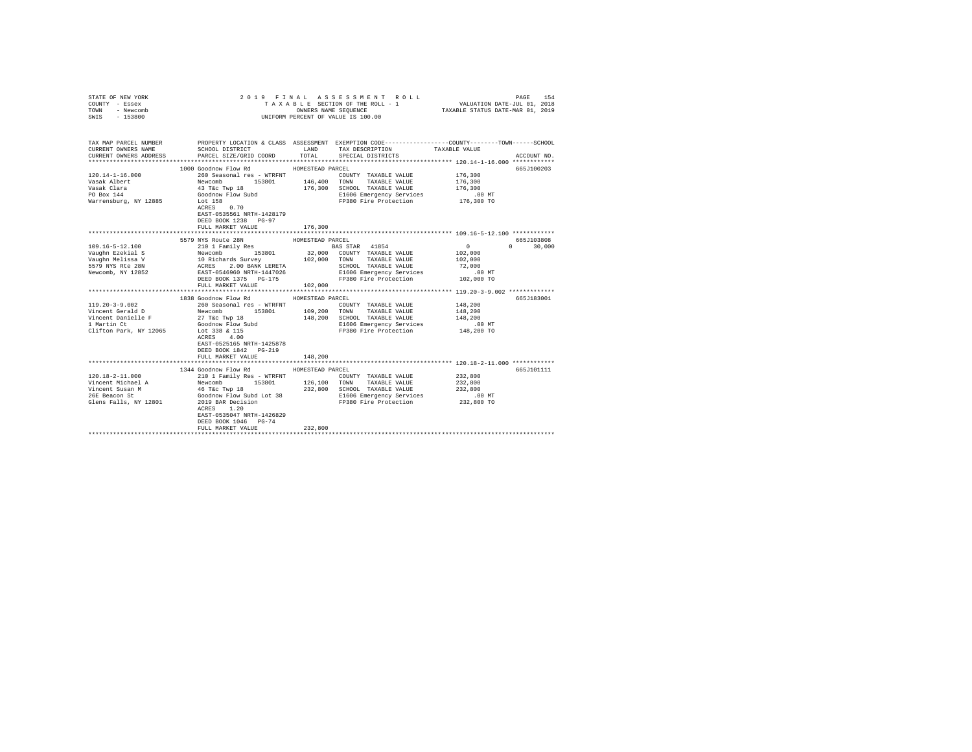| COUNTY - Essex<br>TOWN<br>- Newcomb<br>SWIS - 153800 | UNIFORM PERCENT OF VALUE IS 100.00                                                                                                                                                                                                                                       |                  |                                                                         |                   |                                 |
|------------------------------------------------------|--------------------------------------------------------------------------------------------------------------------------------------------------------------------------------------------------------------------------------------------------------------------------|------------------|-------------------------------------------------------------------------|-------------------|---------------------------------|
| CURRENT OWNERS NAME<br>CURRENT OWNERS ADDRESS        | TAX MAP PARCEL NUMBER PROPERTY LOCATION & CLASS ASSESSMENT EXEMPTION CODE--------------COUNTY-------TOWN------SCHOOL<br>SCHOOL DISTRICT TAND TAX DESCRIPTION<br>PARCEL SIZE/GRID COORD                                                                                   | TOTAL            | SPECIAL DISTRICTS                                                       | TAXABLE VALUE     | ACCOUNT NO.                     |
|                                                      |                                                                                                                                                                                                                                                                          |                  |                                                                         |                   |                                 |
| $120.14 - 1 - 16.000$                                | 1000 Goodnow Flow Rd MOMESTEAD PARCEL                                                                                                                                                                                                                                    |                  |                                                                         |                   | 665J100203                      |
| Vasak Albert                                         |                                                                                                                                                                                                                                                                          |                  | COUNTY TAXABLE VALUE 176,300<br>TAXABLE VALUE                           | 176,300           |                                 |
|                                                      |                                                                                                                                                                                                                                                                          |                  |                                                                         | 176,300           |                                 |
| Vasak Clara<br>PO Box 144                            |                                                                                                                                                                                                                                                                          |                  | 176,300 SCHOOL TAXABLE VALUE<br>E1606 Emergency Services                |                   |                                 |
| Warrensburg, NY 12885 Lot 158                        |                                                                                                                                                                                                                                                                          |                  | E1606 Emergency Services .00 MT<br>FP380 Fire Protection .01 176,300 TO |                   |                                 |
|                                                      | 260 Seasonal res - WTRFNT<br>Newcomb 153801 146,400 TONNY<br>43 Téc Twp 18<br>43 Téc Twp 18<br>45 Téc Twp 18<br>45 Téc Twp 18<br>45 Téc Twp 18<br>176,300 SCHOOL<br>51606 Enct 158<br>17980 Fi<br>EAST-0535561 NRTH-1428179<br>DEED BOOK 1238 PG-97<br>FULL MARKET VALUE | 176,300          |                                                                         |                   |                                 |
|                                                      |                                                                                                                                                                                                                                                                          |                  |                                                                         |                   |                                 |
|                                                      | 5579 NYS Route 28N                                                                                                                                                                                                                                                       | HOMESTEAD PARCEL |                                                                         |                   | 665J103808                      |
|                                                      |                                                                                                                                                                                                                                                                          |                  |                                                                         |                   | $\Omega$ and $\Omega$<br>30,000 |
|                                                      |                                                                                                                                                                                                                                                                          |                  |                                                                         |                   |                                 |
|                                                      |                                                                                                                                                                                                                                                                          |                  |                                                                         |                   |                                 |
|                                                      |                                                                                                                                                                                                                                                                          |                  |                                                                         |                   |                                 |
|                                                      |                                                                                                                                                                                                                                                                          |                  |                                                                         |                   |                                 |
|                                                      |                                                                                                                                                                                                                                                                          |                  |                                                                         |                   |                                 |
|                                                      | FULL MARKET VALUE                                                                                                                                                                                                                                                        | 102,000          |                                                                         |                   |                                 |
|                                                      | 1838 Goodnow Flow Rd HOMESTEAD PARCEL                                                                                                                                                                                                                                    |                  |                                                                         |                   | 665J183001                      |
|                                                      |                                                                                                                                                                                                                                                                          |                  | COUNTY TAXABLE VALUE                                                    | 148,200           |                                 |
|                                                      |                                                                                                                                                                                                                                                                          |                  |                                                                         | 148,200           |                                 |
|                                                      |                                                                                                                                                                                                                                                                          |                  | SCHOOL TAXABLE VALUE                                                    | 148,200           |                                 |
|                                                      |                                                                                                                                                                                                                                                                          |                  | E1606 Emergency Services                                                | $.00$ MT          |                                 |
|                                                      |                                                                                                                                                                                                                                                                          |                  | FP380 Fire Protection 148,200 TO                                        |                   |                                 |
|                                                      | EAST-0525165 NRTH-1425878<br>DEED BOOK 1842 PG-219<br>FULL MARKET VALUE                                                                                                                                                                                                  | 148,200          |                                                                         |                   |                                 |
|                                                      |                                                                                                                                                                                                                                                                          |                  | *********************************** 120.18-2-11.000 ************        |                   |                                 |
|                                                      | 1344 Goodnow Flow Rd MOMESTEAD PARCEL                                                                                                                                                                                                                                    |                  |                                                                         |                   | 665J101111                      |
|                                                      |                                                                                                                                                                                                                                                                          |                  |                                                                         | 232,800           |                                 |
|                                                      |                                                                                                                                                                                                                                                                          |                  |                                                                         | 232,800           |                                 |
|                                                      |                                                                                                                                                                                                                                                                          |                  |                                                                         | 232,800<br>.00 MT |                                 |
|                                                      |                                                                                                                                                                                                                                                                          |                  |                                                                         | 232,800 TO        |                                 |
|                                                      | EAST-0535047 NRTH-1426829                                                                                                                                                                                                                                                |                  |                                                                         |                   |                                 |
|                                                      | DEED BOOK 1046 PG-74                                                                                                                                                                                                                                                     |                  |                                                                         |                   |                                 |
|                                                      | FULL MARKET VALUE<br>****************************                                                                                                                                                                                                                        | 232,800          |                                                                         |                   |                                 |
|                                                      |                                                                                                                                                                                                                                                                          |                  |                                                                         |                   |                                 |

STATE OF NEW YORK 2019 FINAL ASSESSMENT ROLL PAGE 154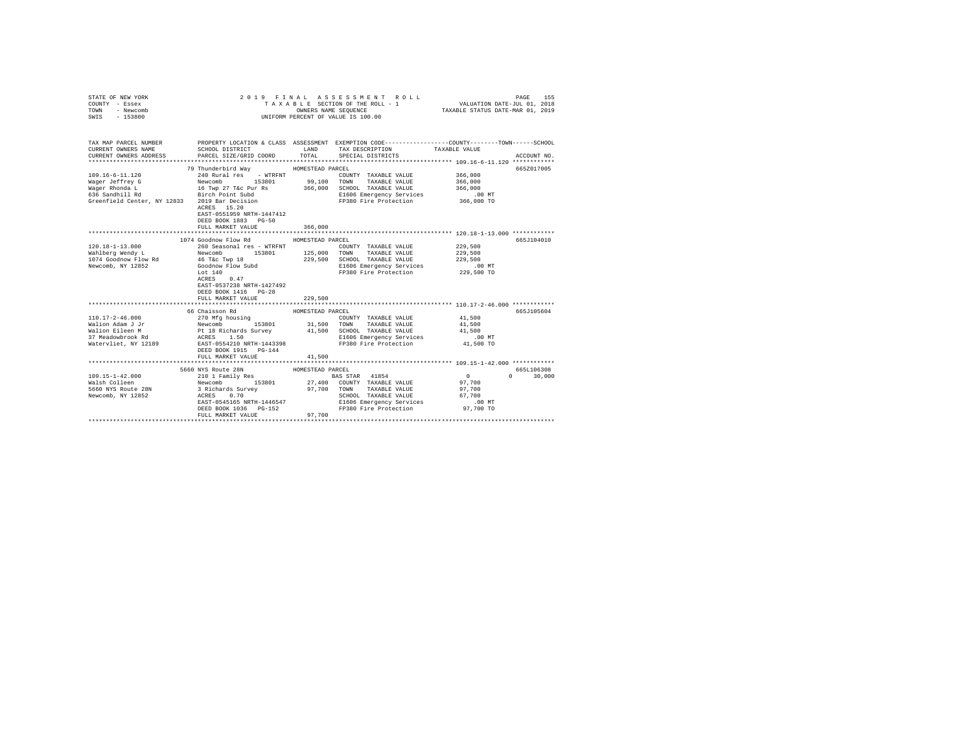| STATE OF NEW YORK<br>COUNTY - Essex<br>TOWN - Newcomb<br>SWIS - 153800                                                                                                                                                                                                                                                                                                                                                                            | 2019 FINAL                                                                     |                  | ASSESSMENT ROLL<br>TAXABLE SECTION OF THE ROLL - 1 VALUATION DATE-JUL 01, 2018<br>OWNERS NAME SEQUENCE TAXABLE STATUS DATE-MAR 01, 2019<br>UNIFORM PERCENT OF VALUE IS 100.00 |               | 155<br>PAGE   |
|---------------------------------------------------------------------------------------------------------------------------------------------------------------------------------------------------------------------------------------------------------------------------------------------------------------------------------------------------------------------------------------------------------------------------------------------------|--------------------------------------------------------------------------------|------------------|-------------------------------------------------------------------------------------------------------------------------------------------------------------------------------|---------------|---------------|
|                                                                                                                                                                                                                                                                                                                                                                                                                                                   |                                                                                |                  |                                                                                                                                                                               |               |               |
| TAX MAP PARCEL NUMBER PROPERTY LOCATION & CLASS ASSESSMENT EXEMPTION CODE--------------COUNTY-------TOWN------SCHOOL                                                                                                                                                                                                                                                                                                                              |                                                                                |                  |                                                                                                                                                                               |               |               |
| CURRENT OWNERS NAME                                                                                                                                                                                                                                                                                                                                                                                                                               | SCHOOL DISTRICT                                                                | LAND <b>LAND</b> | TAX DESCRIPTION                                                                                                                                                               | TAXABLE VALUE |               |
| CURRENT OWNERS ADDRESS                                                                                                                                                                                                                                                                                                                                                                                                                            | PARCEL SIZE/GRID COORD TOTAL                                                   |                  | SPECIAL DISTRICTS                                                                                                                                                             |               | ACCOUNT NO.   |
|                                                                                                                                                                                                                                                                                                                                                                                                                                                   |                                                                                |                  |                                                                                                                                                                               |               |               |
| 109.16-6-11.120                                                                                                                                                                                                                                                                                                                                                                                                                                   | 79 Thunderbird Way                                                             | HOMESTEAD PARCEL |                                                                                                                                                                               | 366,000       | 665Z017005    |
| Wager Jeffrey G                                                                                                                                                                                                                                                                                                                                                                                                                                   |                                                                                |                  | COUNTY TAXABLE VALUE                                                                                                                                                          | 366,000       |               |
|                                                                                                                                                                                                                                                                                                                                                                                                                                                   |                                                                                |                  |                                                                                                                                                                               | 366,000       |               |
|                                                                                                                                                                                                                                                                                                                                                                                                                                                   |                                                                                |                  |                                                                                                                                                                               | .00 MT        |               |
|                                                                                                                                                                                                                                                                                                                                                                                                                                                   |                                                                                |                  | E1606 Emergency Services<br>FP380 Fire Protection 366,000 TO                                                                                                                  |               |               |
| S30 Sanuniii Nu<br>Greenfield Center, NY 12833 2019 Bar Decision                                                                                                                                                                                                                                                                                                                                                                                  | ACRES 15.20                                                                    |                  |                                                                                                                                                                               |               |               |
|                                                                                                                                                                                                                                                                                                                                                                                                                                                   | EAST-0551959 NRTH-1447412                                                      |                  |                                                                                                                                                                               |               |               |
|                                                                                                                                                                                                                                                                                                                                                                                                                                                   | DEED BOOK 1883 PG-50                                                           |                  |                                                                                                                                                                               |               |               |
|                                                                                                                                                                                                                                                                                                                                                                                                                                                   | FULL MARKET VALUE                                                              | 366,000          |                                                                                                                                                                               |               |               |
|                                                                                                                                                                                                                                                                                                                                                                                                                                                   |                                                                                |                  |                                                                                                                                                                               |               |               |
|                                                                                                                                                                                                                                                                                                                                                                                                                                                   | 1074 Goodnow Flow Rd                                                           | HOMESTEAD PARCEL |                                                                                                                                                                               |               | 665J104010    |
|                                                                                                                                                                                                                                                                                                                                                                                                                                                   |                                                                                |                  | COUNTY TAXABLE VALUE 229,500                                                                                                                                                  |               |               |
|                                                                                                                                                                                                                                                                                                                                                                                                                                                   |                                                                                |                  |                                                                                                                                                                               | 229,500       |               |
|                                                                                                                                                                                                                                                                                                                                                                                                                                                   |                                                                                |                  |                                                                                                                                                                               | 229,500       |               |
| $\begin{tabular}{l c c c c c c c c} \hline 120.18-1-13.000 & \multicolumn{3}{c c }{260\text{ Second } 1 \text{ces}} & \multicolumn{3}{c c }{N} & \multicolumn{3}{c }{\text{CODary}} & \multicolumn{3}{c }{\text{COMNT}} & \multicolumn{3}{c }{\text{TAXABLE VALUE}} \\ \hline \text{Wahlberg Med} & \multicolumn{3}{c }{\text{Newcomb}} & \multicolumn{3}{c }{\text{Newcomb}} & \multicolumn{3}{c }{\text{Newcomb}} & \multicolumn{3}{c }{\text{$ |                                                                                |                  | 229,500 SCHOOL TAXABLE VALUE<br>E1606 Emergency Services                                                                                                                      | .00 MT        |               |
|                                                                                                                                                                                                                                                                                                                                                                                                                                                   |                                                                                |                  | FP380 Fire Protection 229,500 TO                                                                                                                                              |               |               |
|                                                                                                                                                                                                                                                                                                                                                                                                                                                   |                                                                                |                  |                                                                                                                                                                               |               |               |
|                                                                                                                                                                                                                                                                                                                                                                                                                                                   | EAST-0537238 NRTH-1427492                                                      |                  |                                                                                                                                                                               |               |               |
|                                                                                                                                                                                                                                                                                                                                                                                                                                                   | DEED BOOK 1416 PG-28                                                           |                  |                                                                                                                                                                               |               |               |
|                                                                                                                                                                                                                                                                                                                                                                                                                                                   | FULL MARKET VALUE                                                              | 229,500          |                                                                                                                                                                               |               |               |
|                                                                                                                                                                                                                                                                                                                                                                                                                                                   |                                                                                |                  |                                                                                                                                                                               |               |               |
|                                                                                                                                                                                                                                                                                                                                                                                                                                                   | 66 Chaisson Rd                                                                 | HOMESTEAD PARCEL |                                                                                                                                                                               |               | 665J105604    |
|                                                                                                                                                                                                                                                                                                                                                                                                                                                   |                                                                                |                  | COUNTY TAXABLE VALUE 41,500                                                                                                                                                   |               |               |
|                                                                                                                                                                                                                                                                                                                                                                                                                                                   |                                                                                |                  | 31,500 TOWN TAXABLE VALUE                                                                                                                                                     | 41,500        |               |
|                                                                                                                                                                                                                                                                                                                                                                                                                                                   |                                                                                |                  | 41,500 SCHOOL TAXABLE VALUE                                                                                                                                                   | 41,500        |               |
|                                                                                                                                                                                                                                                                                                                                                                                                                                                   |                                                                                |                  | E1606 Emergency Services                                                                                                                                                      | $.00$ MT      |               |
|                                                                                                                                                                                                                                                                                                                                                                                                                                                   |                                                                                |                  | FP380 Fire Protection                                                                                                                                                         | 41,500 TO     |               |
|                                                                                                                                                                                                                                                                                                                                                                                                                                                   | DEED BOOK 1915 PG-144                                                          |                  |                                                                                                                                                                               |               |               |
|                                                                                                                                                                                                                                                                                                                                                                                                                                                   | FULL MARKET VALUE                                                              | 41,500           |                                                                                                                                                                               |               |               |
|                                                                                                                                                                                                                                                                                                                                                                                                                                                   | 5660 NYS Route 28N                                                             | HOMESTEAD PARCEL |                                                                                                                                                                               |               | 665L106308    |
| 109.15-1-42.000                                                                                                                                                                                                                                                                                                                                                                                                                                   | 210 1 Family Res BAS STAR 41854                                                |                  |                                                                                                                                                                               | $\sim$ 0      | $0 \t 30,000$ |
|                                                                                                                                                                                                                                                                                                                                                                                                                                                   |                                                                                |                  |                                                                                                                                                                               | 97,700        |               |
|                                                                                                                                                                                                                                                                                                                                                                                                                                                   |                                                                                |                  |                                                                                                                                                                               | 97,700        |               |
| Naish Colleen Mewcomb 153801 27,400 COUNTY TAXABLE VALUE<br>1960 WYS ROUGE 28N 3 Richards Survey 97,700 TOWN TAXABLE VALUE<br>Newcomb, NY 12852 3 ACRES 0.70 NAILLY SCHOOL TAXABLE VALUE                                                                                                                                                                                                                                                          |                                                                                |                  | SCHOOL TAXABLE VALUE                                                                                                                                                          | 67,700        |               |
|                                                                                                                                                                                                                                                                                                                                                                                                                                                   |                                                                                |                  | E1606 Emergency Services                                                                                                                                                      | $.00$ MT      |               |
|                                                                                                                                                                                                                                                                                                                                                                                                                                                   | $0.70$<br>EAST-0545165 NRTH-1446547<br>DEED ROOF 1025<br>DEED BOOK 1036 PG-152 |                  | FP380 Fire Protection 97,700 TO                                                                                                                                               |               |               |
|                                                                                                                                                                                                                                                                                                                                                                                                                                                   | FULL MARKET VALUE                                                              | 97,700           |                                                                                                                                                                               |               |               |
|                                                                                                                                                                                                                                                                                                                                                                                                                                                   |                                                                                |                  |                                                                                                                                                                               |               |               |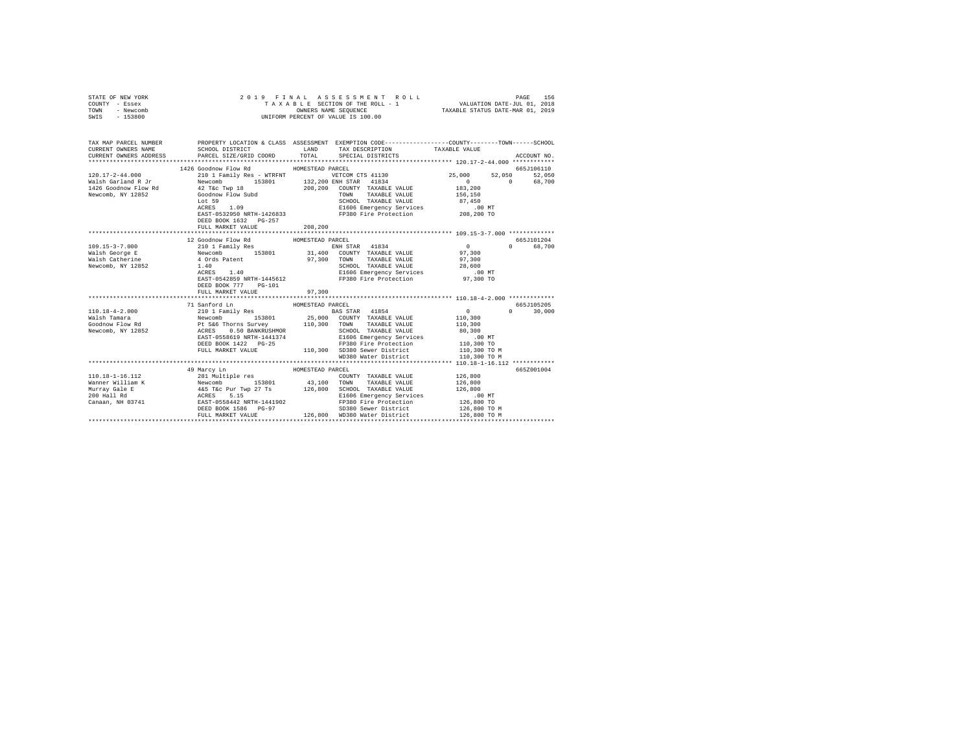|                                           |                                         | ACCOUNT NO.                                                                                                                                                                                                                                                                                                                                                                                                                                                                                                                                                                                                                                                |                                                                                                                                                                                                                                                                                                                                                                                                                                                                                                                                                                                                                                                                                                                                                                                                                                                                                                                                                                                                                                                                                                                                                                                                                                                                                                   |
|-------------------------------------------|-----------------------------------------|------------------------------------------------------------------------------------------------------------------------------------------------------------------------------------------------------------------------------------------------------------------------------------------------------------------------------------------------------------------------------------------------------------------------------------------------------------------------------------------------------------------------------------------------------------------------------------------------------------------------------------------------------------|---------------------------------------------------------------------------------------------------------------------------------------------------------------------------------------------------------------------------------------------------------------------------------------------------------------------------------------------------------------------------------------------------------------------------------------------------------------------------------------------------------------------------------------------------------------------------------------------------------------------------------------------------------------------------------------------------------------------------------------------------------------------------------------------------------------------------------------------------------------------------------------------------------------------------------------------------------------------------------------------------------------------------------------------------------------------------------------------------------------------------------------------------------------------------------------------------------------------------------------------------------------------------------------------------|
| 1426 Goodnow Flow Rd                      |                                         | 665J106110                                                                                                                                                                                                                                                                                                                                                                                                                                                                                                                                                                                                                                                 |                                                                                                                                                                                                                                                                                                                                                                                                                                                                                                                                                                                                                                                                                                                                                                                                                                                                                                                                                                                                                                                                                                                                                                                                                                                                                                   |
|                                           |                                         |                                                                                                                                                                                                                                                                                                                                                                                                                                                                                                                                                                                                                                                            |                                                                                                                                                                                                                                                                                                                                                                                                                                                                                                                                                                                                                                                                                                                                                                                                                                                                                                                                                                                                                                                                                                                                                                                                                                                                                                   |
| DEED BOOK 1632 PG-257                     |                                         |                                                                                                                                                                                                                                                                                                                                                                                                                                                                                                                                                                                                                                                            |                                                                                                                                                                                                                                                                                                                                                                                                                                                                                                                                                                                                                                                                                                                                                                                                                                                                                                                                                                                                                                                                                                                                                                                                                                                                                                   |
|                                           |                                         |                                                                                                                                                                                                                                                                                                                                                                                                                                                                                                                                                                                                                                                            |                                                                                                                                                                                                                                                                                                                                                                                                                                                                                                                                                                                                                                                                                                                                                                                                                                                                                                                                                                                                                                                                                                                                                                                                                                                                                                   |
|                                           |                                         |                                                                                                                                                                                                                                                                                                                                                                                                                                                                                                                                                                                                                                                            |                                                                                                                                                                                                                                                                                                                                                                                                                                                                                                                                                                                                                                                                                                                                                                                                                                                                                                                                                                                                                                                                                                                                                                                                                                                                                                   |
| DEED BOOK 777 PG-101<br>FULL MARKET VALUE | 97,300                                  | $0$ 0 68,700<br>97,300                                                                                                                                                                                                                                                                                                                                                                                                                                                                                                                                                                                                                                     |                                                                                                                                                                                                                                                                                                                                                                                                                                                                                                                                                                                                                                                                                                                                                                                                                                                                                                                                                                                                                                                                                                                                                                                                                                                                                                   |
|                                           |                                         |                                                                                                                                                                                                                                                                                                                                                                                                                                                                                                                                                                                                                                                            |                                                                                                                                                                                                                                                                                                                                                                                                                                                                                                                                                                                                                                                                                                                                                                                                                                                                                                                                                                                                                                                                                                                                                                                                                                                                                                   |
|                                           |                                         | $\mathbf{0}$<br>$0 \t 30,000$<br>110,300<br>110,300<br>110,300 TO M                                                                                                                                                                                                                                                                                                                                                                                                                                                                                                                                                                                        |                                                                                                                                                                                                                                                                                                                                                                                                                                                                                                                                                                                                                                                                                                                                                                                                                                                                                                                                                                                                                                                                                                                                                                                                                                                                                                   |
|                                           |                                         |                                                                                                                                                                                                                                                                                                                                                                                                                                                                                                                                                                                                                                                            |                                                                                                                                                                                                                                                                                                                                                                                                                                                                                                                                                                                                                                                                                                                                                                                                                                                                                                                                                                                                                                                                                                                                                                                                                                                                                                   |
| 49 Marcy Ln                               | 126,800 WD380 Water District            | 665Z001004<br>126,800 TO M                                                                                                                                                                                                                                                                                                                                                                                                                                                                                                                                                                                                                                 |                                                                                                                                                                                                                                                                                                                                                                                                                                                                                                                                                                                                                                                                                                                                                                                                                                                                                                                                                                                                                                                                                                                                                                                                                                                                                                   |
|                                           | FULL MARKET VALUE<br>12 Goodnow Flow Rd | HOMESTEAD PARCEL<br>208,200<br>HOMESTEAD PARCEL<br>$\begin{tabular}{l c c c c c} \multicolumn{1}{c}{\textbf{71} Sanford In}&\multicolumn{1}{c}{\textbf{HOMESTEAD PAREEL}\\ \multicolumn{1}{c}{\textbf{71} Sanford In}&\multicolumn{1}{c}{\textbf{HOMESTEAD PAREEL}\\ \multicolumn{1}{c}{\textbf{N1} SIB in~111} \textbf{Res}}&\multicolumn{1}{c}{\textbf{HOMESTEAD PAREEL}\\ \multicolumn{1}{c}{\textbf{WALBLE VALUE}}&\textbf{BMSITE VALUE}\\ \multicolumn{1}{c}{\textbf{WALBLE VALUE}}&\textbf{HOMENENOR$<br>mily Res 3153801 BAS STAR 41854<br>153801 25,000 COUNTY TAXABLE VALUE<br>FULL MARKET VALUE 110,300 SD380 Sewer District<br>HOMESTEAD PARCEL | 2019 FINAL ASSESSMENT R<br>TAXABLE SECTION OF THE ROLL - 1<br>ONNERS NAME SEQUENCE<br>UNIFORM PERCENT OF VALUE IS 100.00<br>TAX MAP PARCEL NUMBER PROPERTY LOCATION & CLASS ASSESSMENT EXEMPTION CODE--------------COUNTY-------TOWN------SCHOOL<br>CURRENT OWNERS NAME SCHOOL DISTRICT LAND TAX DESCRIPTION TAXABLE VALUE CURRENT OWNERS ADDRESS PARCEL SIZE/GRID COORD TOTAL SPECIAL DISTRICTS<br>$120.17-2-44.000 \begin{array}{l} \text{1426 0000m} & \text{1420 000m} & \text{1420 000m} & \text{1420 000m} \\ \text{Wals} & \text{1420 000m} & \text{1420 000m} & \text{1420 000m} \\ \text{1426 0000m} & \text{E0} & \text{Neu} \\ \text{Meuch, N'} & \text{1420 000m} & \text{Meu} \\ \text{Meuch, N'} & \text{1420 000m} & \text{Meu} \\ \text{$<br>665J101204<br>$\begin{tabular}{cccccc} 109.15-3-7.000 & 120000, and 11000, 15-3-7.000 & 12000, 15-300, 15-300, 15-300, 15-300, 15-300, 15-300, 15-300, 15-300, 15-300, 15-300, 15-300, 15-300, 15-300, 15-300, 15-300, 15-300, 15-300, 15-300, 15-300, 15-300,$<br>665J105205<br>SCHOOL TAXABLE VALUE<br>ACRES 10.50 BANKRUSHMOR (SCHOOL TAXABLE VALUE 80,300<br>EAST-0558619 NRTH-1441374 – E1606 Emergency Services (0.300 MT<br>DEED BOOK 1422 PG-25 – FP380 Fire Protection – 110,300 TO<br>WD380 Water District<br>110,300 TO M |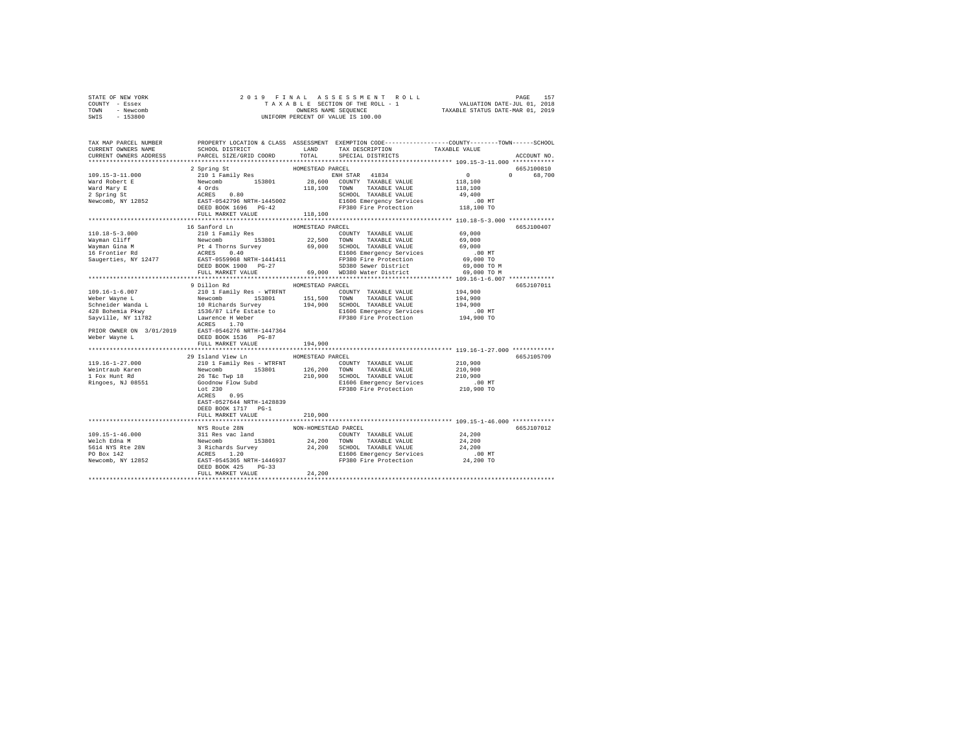| STATE OF NEW YORK | 2019 FINAL ASSESSMENT ROLL         | 157<br>PAGE                      |
|-------------------|------------------------------------|----------------------------------|
| COUNTY - Essex    | TAXABLE SECTION OF THE ROLL - 1    | VALUATION DATE-JUL 01, 2018      |
| TOWN<br>- Newcomb | OWNERS NAME SEOUENCE               | TAXABLE STATUS DATE-MAR 01, 2019 |
| - 153800<br>SWIS  | UNIFORM PERCENT OF VALUE IS 100.00 |                                  |

| TAX MAP PARCEL NUMBER<br>CURRENT OWNERS NAME<br>CURRENT OWNERS ADDRESS                                                                                                                                                                                                                                                                                                                                                                           | SCHOOL DISTRICT<br>PARCEL SIZE/GRID COORD | LAND<br>TOTAL    | TAX DESCRIPTION<br>SPECIAL DISTRICTS                                                      | PROPERTY LOCATION & CLASS ASSESSMENT EXEMPTION CODE---------------COUNTY-------TOWN-----SCHOOL<br>TAXABLE VALUE<br>ACCOUNT NO. |
|--------------------------------------------------------------------------------------------------------------------------------------------------------------------------------------------------------------------------------------------------------------------------------------------------------------------------------------------------------------------------------------------------------------------------------------------------|-------------------------------------------|------------------|-------------------------------------------------------------------------------------------|--------------------------------------------------------------------------------------------------------------------------------|
| **********************                                                                                                                                                                                                                                                                                                                                                                                                                           |                                           |                  |                                                                                           |                                                                                                                                |
| $\begin{tabular}{lllllllllllll} \multicolumn{2}{c}{\text{\small{0.15cm}}}\hspace{1.5cm} & \multicolumn{2}{c}{\text{\small{0.15cm}}}\hspace{1.5cm} & \multicolumn{2}{c}{\text{\small{0.15cm}}}\hspace{1.5cm} & \multicolumn{2}{c}{\text{\small{0.15cm}}}\hspace{1.5cm} & \multicolumn{2}{c}{\text{\small{0.15cm}}}\hspace{1.5cm} & \multicolumn{2}{c}{\text{\small{0.15cm}}}\hspace{1.5cm} & \multicolumn{2}{c}{\text{\small{0.15cm}}}\hspace{1.$ |                                           | HOMESTEAD PARCEL | ENH STAR 41834<br>28,600 COUNTY TAXABLE VALUE                                             | 665J100810<br>$\sim$ 0<br>$\Omega$<br>68,700                                                                                   |
|                                                                                                                                                                                                                                                                                                                                                                                                                                                  |                                           |                  |                                                                                           | 118,100                                                                                                                        |
|                                                                                                                                                                                                                                                                                                                                                                                                                                                  |                                           |                  | 118,100 TOWN TAXABLE VALUE                                                                | 118,100                                                                                                                        |
|                                                                                                                                                                                                                                                                                                                                                                                                                                                  |                                           |                  | SCHOOL TAXABLE VALUE                                                                      | 49,400                                                                                                                         |
|                                                                                                                                                                                                                                                                                                                                                                                                                                                  |                                           |                  |                                                                                           |                                                                                                                                |
|                                                                                                                                                                                                                                                                                                                                                                                                                                                  |                                           |                  | E1606 Emergency Services<br>FP380 Fire Protection 118,100 TO                              |                                                                                                                                |
|                                                                                                                                                                                                                                                                                                                                                                                                                                                  |                                           | 118,100          |                                                                                           |                                                                                                                                |
|                                                                                                                                                                                                                                                                                                                                                                                                                                                  |                                           |                  |                                                                                           |                                                                                                                                |
|                                                                                                                                                                                                                                                                                                                                                                                                                                                  | 16 Sanford Ln                             | HOMESTEAD PARCEL |                                                                                           | 665J100407                                                                                                                     |
| 110.18-5-3.000                                                                                                                                                                                                                                                                                                                                                                                                                                   | 210 1 Family Res                          |                  | COUNTY TAXABLE VALUE                                                                      | 69,000                                                                                                                         |
|                                                                                                                                                                                                                                                                                                                                                                                                                                                  |                                           |                  |                                                                                           |                                                                                                                                |
|                                                                                                                                                                                                                                                                                                                                                                                                                                                  |                                           |                  |                                                                                           |                                                                                                                                |
|                                                                                                                                                                                                                                                                                                                                                                                                                                                  |                                           |                  |                                                                                           |                                                                                                                                |
|                                                                                                                                                                                                                                                                                                                                                                                                                                                  |                                           |                  |                                                                                           |                                                                                                                                |
|                                                                                                                                                                                                                                                                                                                                                                                                                                                  |                                           |                  |                                                                                           |                                                                                                                                |
|                                                                                                                                                                                                                                                                                                                                                                                                                                                  |                                           |                  |                                                                                           |                                                                                                                                |
|                                                                                                                                                                                                                                                                                                                                                                                                                                                  |                                           |                  |                                                                                           |                                                                                                                                |
|                                                                                                                                                                                                                                                                                                                                                                                                                                                  | 9 Dillon Rd                               | HOMESTEAD PARCEL |                                                                                           | 665J107011                                                                                                                     |
|                                                                                                                                                                                                                                                                                                                                                                                                                                                  |                                           |                  |                                                                                           |                                                                                                                                |
|                                                                                                                                                                                                                                                                                                                                                                                                                                                  |                                           |                  |                                                                                           |                                                                                                                                |
|                                                                                                                                                                                                                                                                                                                                                                                                                                                  |                                           |                  |                                                                                           |                                                                                                                                |
|                                                                                                                                                                                                                                                                                                                                                                                                                                                  |                                           |                  |                                                                                           |                                                                                                                                |
| $\begin{tabular}{lllllll} \bf PRIOR & \bf N=114471 & \bf RCRES & 1.70 \\ \bf RCRES & 1.70 \\ \bf RAST-0546276 NRTH-1447364 \\ \bf Reber Wayne & \bf L & \bf DEED BOOK 1536 & \bf NCTH-1447364 \\ \bf DEED BOOK 1536 & \bf N=1147264 \\ \bf LSED BOOK 1536 & \bf N=1147264 \\ \bf LSED. \end{tabular}$                                                                                                                                            |                                           |                  |                                                                                           |                                                                                                                                |
|                                                                                                                                                                                                                                                                                                                                                                                                                                                  |                                           |                  |                                                                                           |                                                                                                                                |
|                                                                                                                                                                                                                                                                                                                                                                                                                                                  |                                           |                  |                                                                                           |                                                                                                                                |
|                                                                                                                                                                                                                                                                                                                                                                                                                                                  |                                           | 194,900          |                                                                                           |                                                                                                                                |
|                                                                                                                                                                                                                                                                                                                                                                                                                                                  |                                           |                  |                                                                                           |                                                                                                                                |
|                                                                                                                                                                                                                                                                                                                                                                                                                                                  | 29 Island View Ln MOMESTEAD PARCEL        |                  |                                                                                           | 665J105709                                                                                                                     |
|                                                                                                                                                                                                                                                                                                                                                                                                                                                  |                                           |                  | COUNTY TAXABLE VALUE                                                                      | 210,900                                                                                                                        |
|                                                                                                                                                                                                                                                                                                                                                                                                                                                  |                                           |                  | $\frac{1253801}{153801}$ 126,200 TOWN TAXABLE VALUE<br>vp 18 210,900 SCHOOL TAXABLE VALUE | 210,900                                                                                                                        |
|                                                                                                                                                                                                                                                                                                                                                                                                                                                  |                                           |                  |                                                                                           | 210,900                                                                                                                        |
|                                                                                                                                                                                                                                                                                                                                                                                                                                                  |                                           |                  |                                                                                           |                                                                                                                                |
|                                                                                                                                                                                                                                                                                                                                                                                                                                                  |                                           |                  | E1606 Emergency Services<br>FP380 Fire Protection                                         | 00 MT.<br>210,900 TO                                                                                                           |
|                                                                                                                                                                                                                                                                                                                                                                                                                                                  | ACRES 0.95                                |                  |                                                                                           |                                                                                                                                |
|                                                                                                                                                                                                                                                                                                                                                                                                                                                  | EAST-0527644 NRTH-1428839                 |                  |                                                                                           |                                                                                                                                |
|                                                                                                                                                                                                                                                                                                                                                                                                                                                  | DEED BOOK 1717 PG-1                       |                  |                                                                                           |                                                                                                                                |
|                                                                                                                                                                                                                                                                                                                                                                                                                                                  | FULL MARKET VALUE                         | 210,900          |                                                                                           |                                                                                                                                |
|                                                                                                                                                                                                                                                                                                                                                                                                                                                  |                                           |                  |                                                                                           |                                                                                                                                |
|                                                                                                                                                                                                                                                                                                                                                                                                                                                  |                                           |                  |                                                                                           | 665J107012                                                                                                                     |
|                                                                                                                                                                                                                                                                                                                                                                                                                                                  |                                           |                  |                                                                                           |                                                                                                                                |
|                                                                                                                                                                                                                                                                                                                                                                                                                                                  |                                           |                  |                                                                                           |                                                                                                                                |
|                                                                                                                                                                                                                                                                                                                                                                                                                                                  |                                           |                  |                                                                                           |                                                                                                                                |
|                                                                                                                                                                                                                                                                                                                                                                                                                                                  |                                           |                  |                                                                                           |                                                                                                                                |
|                                                                                                                                                                                                                                                                                                                                                                                                                                                  |                                           |                  |                                                                                           |                                                                                                                                |
|                                                                                                                                                                                                                                                                                                                                                                                                                                                  | FULL MARKET VALUE                         | 24,200           |                                                                                           |                                                                                                                                |
|                                                                                                                                                                                                                                                                                                                                                                                                                                                  |                                           |                  |                                                                                           |                                                                                                                                |
|                                                                                                                                                                                                                                                                                                                                                                                                                                                  |                                           |                  |                                                                                           |                                                                                                                                |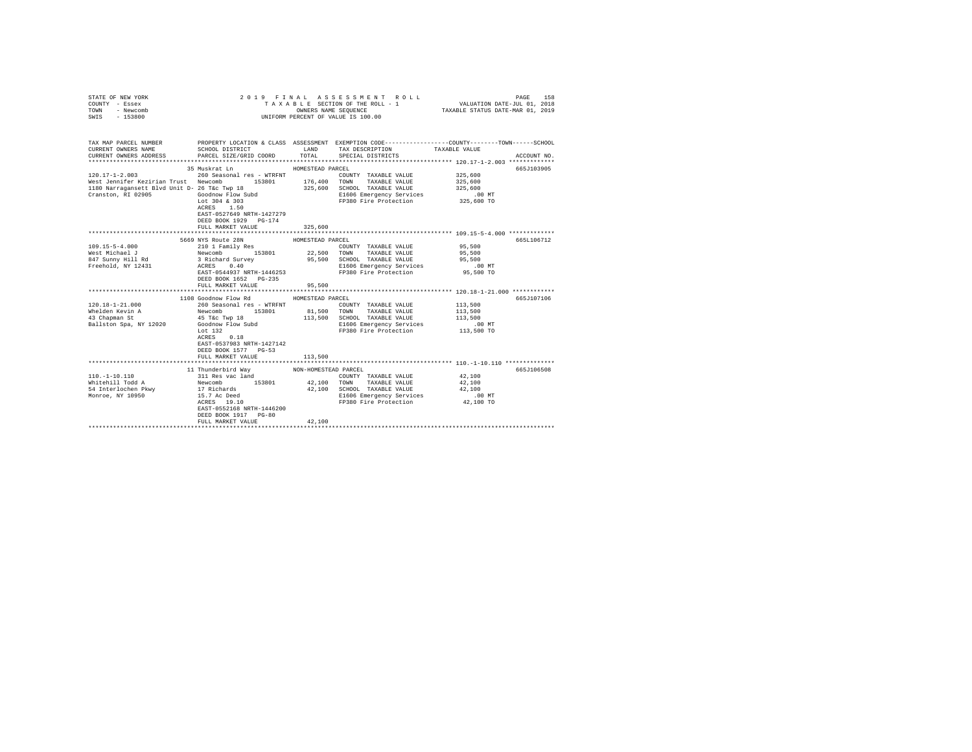| STATE OF NEW YORK<br>COUNTY - Essex<br>TOWN<br>- Newcomb<br>SWIS - 153800 | 2019 FINAL                                                             |                      | ASSESSMENT ROLL<br>TAXABLE SECTION OF THE ROLL - 1<br>OWNERS NAME SEQUENCE<br>UNIFORM PERCENT OF VALUE IS 100.00 | 158<br>PAGE<br>VALUATION DATE-JUL 01, 2018<br>TAXABLE STATUS DATE-MAR 01, 2019                                                                        |
|---------------------------------------------------------------------------|------------------------------------------------------------------------|----------------------|------------------------------------------------------------------------------------------------------------------|-------------------------------------------------------------------------------------------------------------------------------------------------------|
| CURRENT OWNERS NAME<br>CURRENT OWNERS ADDRESS                             | SCHOOL DISTRICT<br>PARCEL SIZE/GRID COORD                              | LAND<br>TOTAL        | TAX DESCRIPTION<br>SPECIAL DISTRICTS                                                                             | TAX MAP PARCEL NUMBER PROPERTY LOCATION & CLASS ASSESSMENT EXEMPTION CODE---------------COUNTY-------TOWN------SCHOOL<br>TAXABLE VALUE<br>ACCOUNT NO. |
|                                                                           |                                                                        |                      |                                                                                                                  |                                                                                                                                                       |
|                                                                           | 35 Muskrat Ln                                                          | HOMESTEAD PARCEL     |                                                                                                                  | 665J103905                                                                                                                                            |
| $120.17 - 1 - 2.003$                                                      | 260 Seasonal res - WTRFNT                                              |                      | COUNTY TAXABLE VALUE                                                                                             | 325,600                                                                                                                                               |
| West Jennifer Kezirian Trust Newcomb 153801 176,400                       |                                                                        |                      | TOWN TAXABLE VALUE                                                                                               | 325,600                                                                                                                                               |
|                                                                           |                                                                        |                      | 325,600 SCHOOL TAXABLE VALUE                                                                                     | 325,600                                                                                                                                               |
|                                                                           |                                                                        |                      | E1606 Emergency Services                                                                                         | $.00$ MT                                                                                                                                              |
|                                                                           | Lot 304 & 303                                                          |                      | FP380 Fire Protection                                                                                            | 325,600 TO                                                                                                                                            |
|                                                                           | ACRES 1.50                                                             |                      |                                                                                                                  |                                                                                                                                                       |
|                                                                           | EAST-0527649 NRTH-1427279                                              |                      |                                                                                                                  |                                                                                                                                                       |
|                                                                           | DEED BOOK 1929 PG-174<br>FULL MARKET VALUE                             | 325,600              |                                                                                                                  |                                                                                                                                                       |
|                                                                           |                                                                        |                      |                                                                                                                  |                                                                                                                                                       |
|                                                                           | 5669 NYS Route 28N                                                     | HOMESTEAD PARCEL     |                                                                                                                  | 665L106712                                                                                                                                            |
| $109.15 - 5 - 4.000$                                                      | 210 1 Family Res                                                       |                      | COUNTY TAXABLE VALUE                                                                                             | 95,500                                                                                                                                                |
| West Michael J                                                            |                                                                        |                      | 22,500 TOWN TAXABLE VALUE                                                                                        | 95,500                                                                                                                                                |
| 847 Sunny Hill Rd                                                         |                                                                        |                      | 95,500 SCHOOL TAXABLE VALUE                                                                                      | 95,500                                                                                                                                                |
| Freehold, NY 12431                                                        | Newcomb<br>3 Richard Survey<br>ACRES 0.40<br>EAST-0544937 NRTH-1446253 |                      | E1606 Emergency Services                                                                                         | $.00$ MT                                                                                                                                              |
|                                                                           | DEED BOOK 1652 PG-235                                                  |                      | FP380 Fire Protection                                                                                            | 95,500 TO                                                                                                                                             |
|                                                                           | FULL MARKET VALUE                                                      | 95,500               |                                                                                                                  |                                                                                                                                                       |
|                                                                           | 1108 Goodnow Flow Rd                                                   | HOMESTEAD PARCEL     |                                                                                                                  | 665J107106                                                                                                                                            |
| 120.18-1-21.000                                                           | 260 Seasonal res - WTRFNT                                              |                      | COUNTY TAXABLE VALUE                                                                                             | 113,500                                                                                                                                               |
|                                                                           | Newcomb $153801$                                                       |                      | 81,500 TOWN TAXABLE VALUE                                                                                        | 113,500                                                                                                                                               |
| Whelden Kevin A<br>43 Chapman St                                          | 45 T&c Twp 18                                                          |                      | 113,500 SCHOOL TAXABLE VALUE                                                                                     | 113,500                                                                                                                                               |
| Ballston Spa, NY 12020                                                    | Goodnow Flow Subd                                                      |                      | E1606 Emergency Services                                                                                         | $.00$ MT                                                                                                                                              |
|                                                                           | Lot $132$                                                              |                      | FP380 Fire Protection                                                                                            | 113,500 TO                                                                                                                                            |
|                                                                           | ACRES 0.18                                                             |                      |                                                                                                                  |                                                                                                                                                       |
|                                                                           | EAST-0537983 NRTH-1427142                                              |                      |                                                                                                                  |                                                                                                                                                       |
|                                                                           | DEED BOOK 1577 PG-53                                                   |                      |                                                                                                                  |                                                                                                                                                       |
|                                                                           | FULL MARKET VALUE                                                      | 113,500              |                                                                                                                  |                                                                                                                                                       |
|                                                                           |                                                                        |                      |                                                                                                                  | 665J106508                                                                                                                                            |
| $110. - 1 - 10.110$                                                       | 11 Thunderbird Wav<br>311 Res vac land                                 | NON-HOMESTEAD PARCEL | COUNTY TAXABLE VALUE                                                                                             | 42.100                                                                                                                                                |
|                                                                           | Newcomb 153801                                                         |                      | 42.100 TOWN TAXABLE VALUE                                                                                        | 42,100                                                                                                                                                |
| Whitehill Todd A<br>54 Interlochen Pkwy                                   | newton<br>17 Richards<br>15.7 Ac Deed<br>ACRES 19.10                   |                      | 42,100 SCHOOL TAXABLE VALUE                                                                                      | 42,100                                                                                                                                                |
| Monroe, NY 10950                                                          |                                                                        |                      | E1606 Emergency Services                                                                                         | $.00$ MT                                                                                                                                              |
|                                                                           |                                                                        |                      | FP380 Fire Protection 42,100 TO                                                                                  |                                                                                                                                                       |
|                                                                           | EAST-0552168 NRTH-1446200                                              |                      |                                                                                                                  |                                                                                                                                                       |
|                                                                           | DEED BOOK 1917 PG-80                                                   |                      |                                                                                                                  |                                                                                                                                                       |
|                                                                           | FULL MARKET VALUE                                                      | 42,100               |                                                                                                                  |                                                                                                                                                       |
|                                                                           | ************************                                               |                      |                                                                                                                  |                                                                                                                                                       |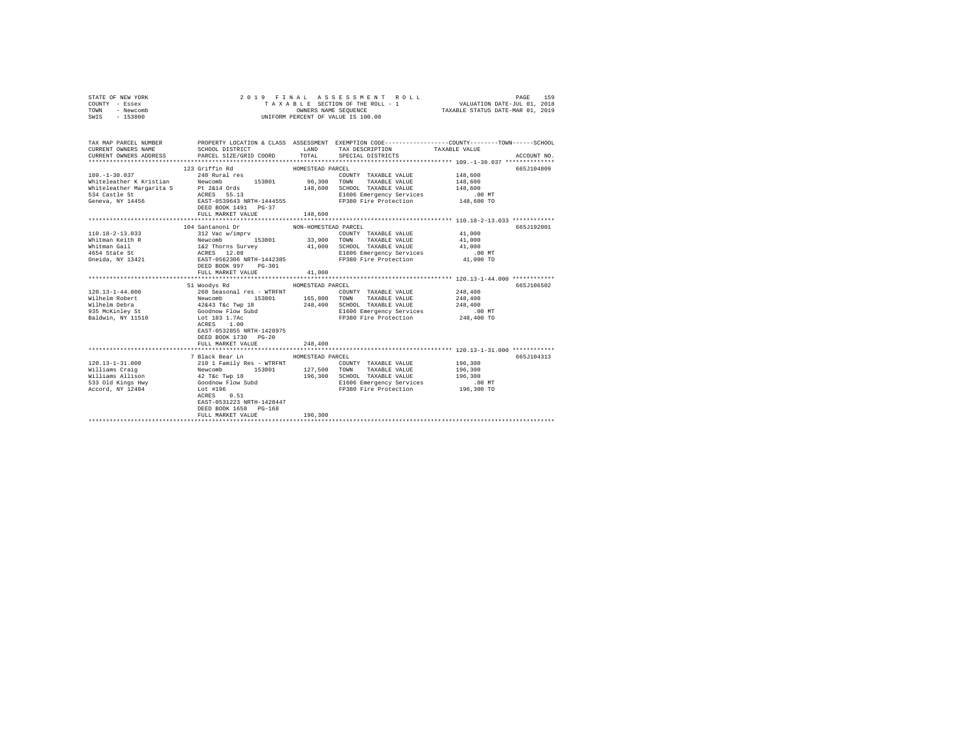| STATE OF NEW YORK<br>COUNTY - Essex<br>TOWN - Newcomb<br>SWIS - 153800 | 2019 FINAL                                                                                                                                                                                                                                               |                      | ASSESSMENT ROLL<br>T A X A B L E SECTION OF THE ROLL - 1<br>OWNERS NAME SEQUENCE<br>UNIFORM PERCENT OF VALUE IS 100.00 | VALUATION DATE-JUL 01, 2018<br>TAXABLE STATUS DATE-MAR 01, 2019 | PAGE<br>159 |
|------------------------------------------------------------------------|----------------------------------------------------------------------------------------------------------------------------------------------------------------------------------------------------------------------------------------------------------|----------------------|------------------------------------------------------------------------------------------------------------------------|-----------------------------------------------------------------|-------------|
| CURRENT OWNERS NAME<br>CURRENT OWNERS ADDRESS                          | TAX MAP PARCEL NUMBER PROPERTY LOCATION & CLASS ASSESSMENT EXEMPTION CODE--------------COUNTY-------TOWN------SCHOOL<br>SCHOOL DISTRICT<br>PARCEL SIZE/GRID COORD                                                                                        | TOTAL                | LAND TAX DESCRIPTION<br>SPECIAL DISTRICTS                                                                              | TAXABLE VALUE                                                   | ACCOUNT NO. |
|                                                                        | 123 Griffin Rd                                                                                                                                                                                                                                           | HOMESTEAD PARCEL     |                                                                                                                        |                                                                 | 665J104809  |
|                                                                        |                                                                                                                                                                                                                                                          |                      |                                                                                                                        |                                                                 |             |
|                                                                        |                                                                                                                                                                                                                                                          |                      |                                                                                                                        |                                                                 |             |
|                                                                        |                                                                                                                                                                                                                                                          |                      |                                                                                                                        |                                                                 |             |
|                                                                        |                                                                                                                                                                                                                                                          |                      |                                                                                                                        |                                                                 |             |
|                                                                        | 109.-1-30.037<br>Mitteleacher Kristian 240 Rural res 153801 96,300 TOWNY TAXABLE VALUE 148,600<br>Whiteleacher Kristian Pewcomb 153801 96,300 TOWNY TAXABLE VALUE 148,600<br>Whiteleacher Margarita S Pt 2614 Ords 148,600 SCHOOL TA                     |                      |                                                                                                                        |                                                                 |             |
|                                                                        | FULL MARKET VALUE                                                                                                                                                                                                                                        | 148,600              |                                                                                                                        |                                                                 |             |
|                                                                        |                                                                                                                                                                                                                                                          |                      |                                                                                                                        |                                                                 |             |
|                                                                        | 104 Santanoni Dr                                                                                                                                                                                                                                         | NON-HOMESTEAD PARCEL |                                                                                                                        |                                                                 | 665J192001  |
| 110.18-2-13.033                                                        | 312 Vac w/imprv                                                                                                                                                                                                                                          |                      | COUNTY TAXABLE VALUE 41,000                                                                                            |                                                                 |             |
| Whitman Keith R                                                        |                                                                                                                                                                                                                                                          |                      |                                                                                                                        | 41,000                                                          |             |
| Whitman Gail                                                           | %<br>/ Maximur> / 153801 / 153901 / 153901 / 153901 / 153901 / 153901 / 153901 / 153901 / 153901 / 153901 / 153901 / 153901 / 153901 / 153901 / 153901 / 153901 / 153901 / 153901 / 153901 / 153901 / 153901 / 15390 / 1539                              |                      |                                                                                                                        | 41,000                                                          |             |
| 4654 State St<br>Oneida, NY 13421                                      |                                                                                                                                                                                                                                                          |                      |                                                                                                                        | $.00$ MT                                                        |             |
|                                                                        | DEED BOOK 997 PG-301                                                                                                                                                                                                                                     |                      |                                                                                                                        | 41,000 TO                                                       |             |
|                                                                        | FULL MARKET VALUE                                                                                                                                                                                                                                        | 41,000               |                                                                                                                        |                                                                 |             |
|                                                                        |                                                                                                                                                                                                                                                          |                      |                                                                                                                        |                                                                 |             |
|                                                                        | 51 Woodys Rd                                                                                                                                                                                                                                             | HOMESTEAD PARCEL     |                                                                                                                        | 248,400                                                         | 665J106502  |
|                                                                        |                                                                                                                                                                                                                                                          |                      | COUNTY TAXABLE VALUE                                                                                                   | 248,400                                                         |             |
|                                                                        |                                                                                                                                                                                                                                                          |                      | 165,800 TOWN TAXABLE VALUE<br>248,400 SCHOOL TAXABLE VALUE                                                             | 248,400                                                         |             |
|                                                                        |                                                                                                                                                                                                                                                          |                      |                                                                                                                        | $.00$ MT                                                        |             |
|                                                                        | ACRES 1.00                                                                                                                                                                                                                                               |                      | E1606 Emergency Serverson<br>FP380 Fire Protection                                                                     | 248,400 TO                                                      |             |
|                                                                        | EAST-0532855 NRTH-1428975<br>DEED BOOK 1730 PG-20                                                                                                                                                                                                        |                      |                                                                                                                        |                                                                 |             |
|                                                                        | FULL MARKET VALUE                                                                                                                                                                                                                                        | 248,400              |                                                                                                                        |                                                                 |             |
|                                                                        |                                                                                                                                                                                                                                                          |                      |                                                                                                                        |                                                                 |             |
|                                                                        | 7 Black Bear Ln                                                                                                                                                                                                                                          | HOMESTEAD PARCEL     |                                                                                                                        |                                                                 | 665J104313  |
| $120.13 - 1 - 31.000$                                                  | 210 1 Family Res - WTRFNT                                                                                                                                                                                                                                |                      | COUNTY TAXABLE VALUE                                                                                                   | 196,300                                                         |             |
|                                                                        | 153801 127,500                                                                                                                                                                                                                                           |                      | TOWN<br>TAXABLE VALUE                                                                                                  | 196,300                                                         |             |
|                                                                        | Nilliams Craig<br>Williams Allison<br>Williams Allison<br>153801<br>Milliams Allison<br>163301<br>Sacord, NY 12404<br>Goodnow Flow Subd<br>Coodnow Flow Subd<br>Coodnow Flow Subd<br>Coodnow Flow Subd<br>Coodnow Flow Subd<br>Coodnow Flow Subd<br>2000 |                      | 196,300 SCHOOL TAXABLE VALUE                                                                                           | 196,300                                                         |             |
|                                                                        |                                                                                                                                                                                                                                                          |                      | E1606 Emergency Services                                                                                               | 00 MT.<br>196,300 TO                                            |             |
|                                                                        | $ACRES$ 0.51                                                                                                                                                                                                                                             |                      | FP380 Fire Protection                                                                                                  |                                                                 |             |
|                                                                        | EAST-0531223 NRTH-1428447                                                                                                                                                                                                                                |                      |                                                                                                                        |                                                                 |             |
|                                                                        | DEED BOOK 1658 PG-168                                                                                                                                                                                                                                    |                      |                                                                                                                        |                                                                 |             |
|                                                                        | FULL MARKET VALUE<br>******************************                                                                                                                                                                                                      | 196,300              |                                                                                                                        |                                                                 |             |
|                                                                        |                                                                                                                                                                                                                                                          |                      |                                                                                                                        |                                                                 |             |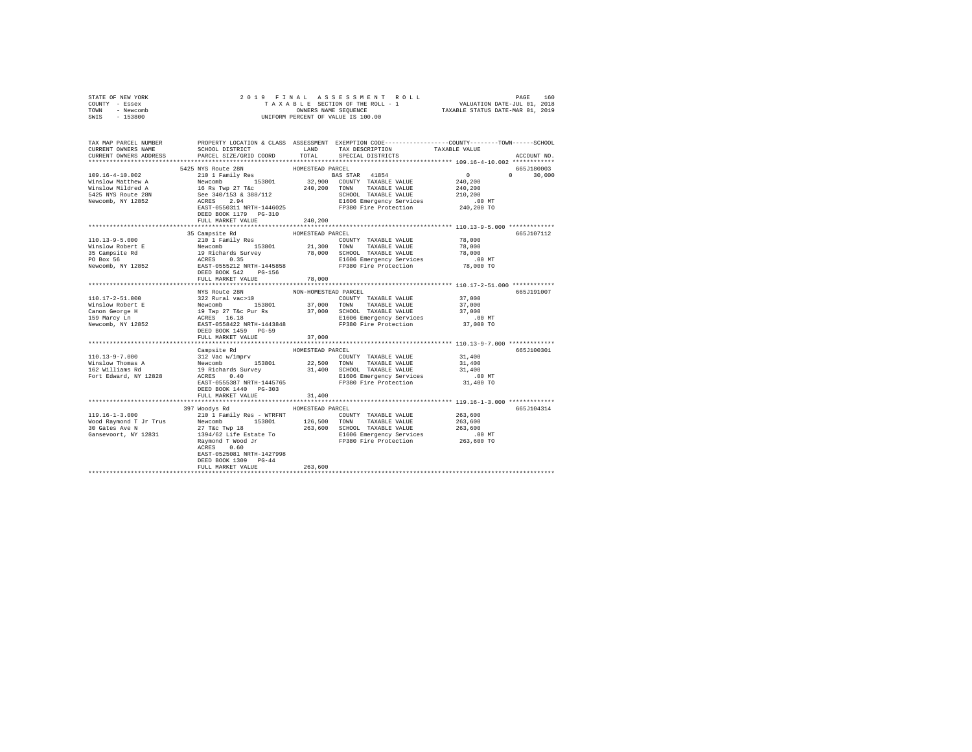| STATE OF NEW YORK                                                                                                                                                                                                                           |                           |                             |                                                                                                       |                                                               |              |
|---------------------------------------------------------------------------------------------------------------------------------------------------------------------------------------------------------------------------------------------|---------------------------|-----------------------------|-------------------------------------------------------------------------------------------------------|---------------------------------------------------------------|--------------|
| COUNTY - Essex<br>TOWN - Newcomb                                                                                                                                                                                                            |                           |                             |                                                                                                       |                                                               |              |
| SWIS - 153800                                                                                                                                                                                                                               |                           |                             | OWNERS NAME SEQUENCE<br>UNIFORM PERCENT OF VALUE IS 100.00                                            |                                                               |              |
|                                                                                                                                                                                                                                             |                           |                             |                                                                                                       |                                                               |              |
|                                                                                                                                                                                                                                             |                           |                             |                                                                                                       |                                                               |              |
|                                                                                                                                                                                                                                             |                           |                             |                                                                                                       |                                                               |              |
| TAX MAP PARCEL NUMBER PROPERTY LOCATION & CLASS ASSESSMENT EXEMPTION CODE--------------COUNTY-------TOWN------SCHOOL                                                                                                                        |                           |                             |                                                                                                       |                                                               |              |
| CURRENT OWNERS NAME                                                                                                                                                                                                                         |                           |                             | SCHOOL DISTRICT                          LAND         TAX DESCRIPTION                   TAXABLE VALUE |                                                               |              |
| CURRENT OWNERS ADDRESS                                                                                                                                                                                                                      | PARCEL SIZE/GRID COORD    | TOTAL                       | SPECIAL DISTRICTS                                                                                     |                                                               | ACCOUNT NO.  |
|                                                                                                                                                                                                                                             |                           |                             |                                                                                                       |                                                               | 665J180003   |
|                                                                                                                                                                                                                                             |                           |                             |                                                                                                       |                                                               | $0 \t30.000$ |
|                                                                                                                                                                                                                                             |                           |                             |                                                                                                       |                                                               |              |
|                                                                                                                                                                                                                                             |                           |                             |                                                                                                       |                                                               |              |
|                                                                                                                                                                                                                                             |                           |                             |                                                                                                       |                                                               |              |
|                                                                                                                                                                                                                                             |                           |                             |                                                                                                       |                                                               |              |
|                                                                                                                                                                                                                                             |                           |                             |                                                                                                       |                                                               |              |
|                                                                                                                                                                                                                                             |                           |                             |                                                                                                       |                                                               |              |
|                                                                                                                                                                                                                                             | FULL MARKET VALUE         | 240,200                     |                                                                                                       |                                                               |              |
|                                                                                                                                                                                                                                             |                           |                             |                                                                                                       |                                                               |              |
| 110.13-9-5.000<br>Minslow Robert E 210.13-9-5.000<br>Minslow Robert E 210.13-9-3-300<br>Minslow Robert E Newcomb 153801<br>21,300 TOWN TAXABLE VALUE 78,000<br>21,300 TOWN TAXABLE VALUE 78,000<br>21,300 TOWN TAXABLE VALUE 78,000<br>21,3 |                           |                             |                                                                                                       |                                                               | 665J107112   |
|                                                                                                                                                                                                                                             |                           |                             |                                                                                                       |                                                               |              |
|                                                                                                                                                                                                                                             |                           |                             |                                                                                                       |                                                               |              |
|                                                                                                                                                                                                                                             |                           |                             |                                                                                                       |                                                               |              |
|                                                                                                                                                                                                                                             |                           |                             |                                                                                                       |                                                               |              |
|                                                                                                                                                                                                                                             |                           |                             |                                                                                                       |                                                               |              |
|                                                                                                                                                                                                                                             |                           |                             |                                                                                                       |                                                               |              |
|                                                                                                                                                                                                                                             | FULL MARKET VALUE         | 78,000                      |                                                                                                       |                                                               |              |
|                                                                                                                                                                                                                                             | NYS Route 28N             | NON-HOMESTEAD PARCEL        |                                                                                                       |                                                               | 665J191007   |
|                                                                                                                                                                                                                                             |                           |                             |                                                                                                       |                                                               |              |
|                                                                                                                                                                                                                                             |                           |                             |                                                                                                       |                                                               |              |
|                                                                                                                                                                                                                                             |                           |                             |                                                                                                       |                                                               |              |
|                                                                                                                                                                                                                                             |                           |                             |                                                                                                       |                                                               |              |
|                                                                                                                                                                                                                                             |                           |                             |                                                                                                       |                                                               |              |
|                                                                                                                                                                                                                                             |                           |                             |                                                                                                       |                                                               |              |
|                                                                                                                                                                                                                                             | FULL MARKET VALUE         | 37,000                      |                                                                                                       |                                                               |              |
|                                                                                                                                                                                                                                             |                           |                             |                                                                                                       |                                                               |              |
|                                                                                                                                                                                                                                             |                           | HOMESTEAD PARCEL            |                                                                                                       |                                                               | 665J100301   |
|                                                                                                                                                                                                                                             |                           |                             | COUNTY TAXABLE VALUE 31,400                                                                           |                                                               |              |
|                                                                                                                                                                                                                                             |                           |                             |                                                                                                       | 31,400                                                        |              |
|                                                                                                                                                                                                                                             |                           |                             |                                                                                                       | 31,400                                                        |              |
|                                                                                                                                                                                                                                             |                           |                             |                                                                                                       | $.00$ MT                                                      |              |
|                                                                                                                                                                                                                                             |                           |                             |                                                                                                       | 31,400 TO                                                     |              |
|                                                                                                                                                                                                                                             | DEED BOOK 1440 PG-303     |                             |                                                                                                       |                                                               |              |
|                                                                                                                                                                                                                                             | FULL MARKET VALUE         | 31,400<br>***************** |                                                                                                       | ******************************** 119.16-1-3.000 ************* |              |
|                                                                                                                                                                                                                                             | 397 Woodys Rd             | HOMESTEAD PARCEL            |                                                                                                       |                                                               | 665J104314   |
|                                                                                                                                                                                                                                             |                           |                             |                                                                                                       |                                                               |              |
|                                                                                                                                                                                                                                             |                           |                             |                                                                                                       |                                                               |              |
|                                                                                                                                                                                                                                             |                           |                             |                                                                                                       |                                                               |              |
|                                                                                                                                                                                                                                             |                           |                             |                                                                                                       |                                                               |              |
|                                                                                                                                                                                                                                             |                           |                             |                                                                                                       |                                                               |              |
|                                                                                                                                                                                                                                             | ACRES 0.60                |                             |                                                                                                       |                                                               |              |
|                                                                                                                                                                                                                                             | EAST-0525081 NRTH-1427998 |                             |                                                                                                       |                                                               |              |
|                                                                                                                                                                                                                                             | DEED BOOK 1309 PG-44      |                             |                                                                                                       |                                                               |              |
|                                                                                                                                                                                                                                             | FULL MARKET VALUE         | 263,600                     |                                                                                                       |                                                               |              |
|                                                                                                                                                                                                                                             |                           |                             |                                                                                                       |                                                               |              |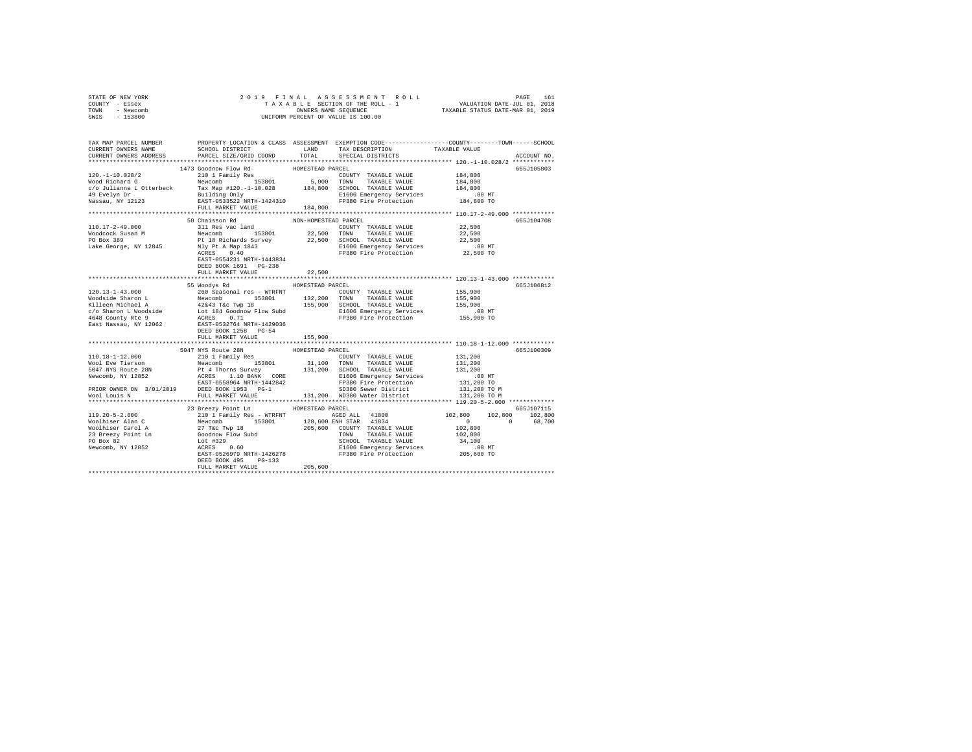| STATE OF NEW YORK                                                                                                                                                                                                                     |                                     |                      |                                                                                                                                                                                                                                                                                                                                                                                                                           |              |             |
|---------------------------------------------------------------------------------------------------------------------------------------------------------------------------------------------------------------------------------------|-------------------------------------|----------------------|---------------------------------------------------------------------------------------------------------------------------------------------------------------------------------------------------------------------------------------------------------------------------------------------------------------------------------------------------------------------------------------------------------------------------|--------------|-------------|
| COUNTY - Essex                                                                                                                                                                                                                        |                                     |                      |                                                                                                                                                                                                                                                                                                                                                                                                                           |              |             |
| TOWN - Newcomb                                                                                                                                                                                                                        |                                     |                      |                                                                                                                                                                                                                                                                                                                                                                                                                           |              |             |
| SWIS - 153800                                                                                                                                                                                                                         |                                     |                      |                                                                                                                                                                                                                                                                                                                                                                                                                           |              |             |
|                                                                                                                                                                                                                                       |                                     |                      |                                                                                                                                                                                                                                                                                                                                                                                                                           |              |             |
|                                                                                                                                                                                                                                       |                                     |                      |                                                                                                                                                                                                                                                                                                                                                                                                                           |              |             |
| TAX MAP PARCEL NUMBER PROPERTY LOCATION & CLASS ASSESSMENT EXEMPTION CODE--------------COUNTY-------TOWN------SCHOOL<br>CURRENT OWNERS NAME SCHOOL DISTRICT LAND TAX DESCRIPTION TAXARLE VALUE                                        |                                     |                      |                                                                                                                                                                                                                                                                                                                                                                                                                           |              |             |
|                                                                                                                                                                                                                                       |                                     |                      |                                                                                                                                                                                                                                                                                                                                                                                                                           |              |             |
| CURRENT OWNERS ADDRESS                                                                                                                                                                                                                | PARCEL SIZE/GRID COORD              | TOTAL                | SPECIAL DISTRICTS                                                                                                                                                                                                                                                                                                                                                                                                         |              | ACCOUNT NO. |
|                                                                                                                                                                                                                                       |                                     |                      |                                                                                                                                                                                                                                                                                                                                                                                                                           |              |             |
|                                                                                                                                                                                                                                       | 1473 Goodnow Flow Rd                | HOMESTEAD PARCEL     |                                                                                                                                                                                                                                                                                                                                                                                                                           |              | 665J105803  |
|                                                                                                                                                                                                                                       |                                     |                      |                                                                                                                                                                                                                                                                                                                                                                                                                           | 184,800      |             |
|                                                                                                                                                                                                                                       |                                     |                      |                                                                                                                                                                                                                                                                                                                                                                                                                           | 184,800      |             |
|                                                                                                                                                                                                                                       |                                     |                      |                                                                                                                                                                                                                                                                                                                                                                                                                           | 184,800      |             |
|                                                                                                                                                                                                                                       |                                     |                      |                                                                                                                                                                                                                                                                                                                                                                                                                           | .00 MT       |             |
|                                                                                                                                                                                                                                       |                                     |                      |                                                                                                                                                                                                                                                                                                                                                                                                                           | 184,800 TO   |             |
|                                                                                                                                                                                                                                       |                                     |                      |                                                                                                                                                                                                                                                                                                                                                                                                                           |              |             |
|                                                                                                                                                                                                                                       |                                     |                      |                                                                                                                                                                                                                                                                                                                                                                                                                           |              |             |
|                                                                                                                                                                                                                                       | 50 Chaisson Rd                      | NON-HOMESTEAD PARCEL |                                                                                                                                                                                                                                                                                                                                                                                                                           |              | 665J104708  |
|                                                                                                                                                                                                                                       |                                     |                      |                                                                                                                                                                                                                                                                                                                                                                                                                           |              |             |
|                                                                                                                                                                                                                                       |                                     |                      |                                                                                                                                                                                                                                                                                                                                                                                                                           |              |             |
|                                                                                                                                                                                                                                       |                                     |                      |                                                                                                                                                                                                                                                                                                                                                                                                                           |              |             |
|                                                                                                                                                                                                                                       |                                     |                      |                                                                                                                                                                                                                                                                                                                                                                                                                           |              |             |
|                                                                                                                                                                                                                                       |                                     |                      |                                                                                                                                                                                                                                                                                                                                                                                                                           |              |             |
|                                                                                                                                                                                                                                       |                                     |                      |                                                                                                                                                                                                                                                                                                                                                                                                                           |              |             |
|                                                                                                                                                                                                                                       | EAST-0554231 NRTH-1443834           |                      |                                                                                                                                                                                                                                                                                                                                                                                                                           |              |             |
|                                                                                                                                                                                                                                       | DEED BOOK 1691 PG-238               |                      |                                                                                                                                                                                                                                                                                                                                                                                                                           |              |             |
|                                                                                                                                                                                                                                       | FULL MARKET VALUE                   | 22,500               |                                                                                                                                                                                                                                                                                                                                                                                                                           |              |             |
|                                                                                                                                                                                                                                       |                                     |                      |                                                                                                                                                                                                                                                                                                                                                                                                                           |              |             |
|                                                                                                                                                                                                                                       | 55 Woodys Rd MOMESTEAD PARCEL       |                      | XCEL<br>RCEL COUNTY TAXABLE VALUE 155,900<br>ALLIE 155,900                                                                                                                                                                                                                                                                                                                                                                |              | 665J106812  |
|                                                                                                                                                                                                                                       |                                     |                      |                                                                                                                                                                                                                                                                                                                                                                                                                           |              |             |
|                                                                                                                                                                                                                                       |                                     |                      |                                                                                                                                                                                                                                                                                                                                                                                                                           |              |             |
|                                                                                                                                                                                                                                       |                                     |                      |                                                                                                                                                                                                                                                                                                                                                                                                                           |              |             |
|                                                                                                                                                                                                                                       |                                     |                      |                                                                                                                                                                                                                                                                                                                                                                                                                           |              |             |
|                                                                                                                                                                                                                                       |                                     |                      |                                                                                                                                                                                                                                                                                                                                                                                                                           |              |             |
|                                                                                                                                                                                                                                       |                                     |                      |                                                                                                                                                                                                                                                                                                                                                                                                                           |              |             |
| 120.13-1-43.000<br>Moodside Sharon L 260 Seasonal res - WTRFNT COUNTY TAXABLE VALUE 155,900<br>Moodside Sharon L 260 Seasonal res - WTRFNT 132,200 TOWN TAXABLE VALUE 155,900<br>Xilleen Michael A 4243 T&c Twp 18 155,900<br>C/O Sha |                                     |                      |                                                                                                                                                                                                                                                                                                                                                                                                                           |              |             |
|                                                                                                                                                                                                                                       | FULL MARKET VALUE                   | 155,900              |                                                                                                                                                                                                                                                                                                                                                                                                                           |              |             |
|                                                                                                                                                                                                                                       |                                     |                      |                                                                                                                                                                                                                                                                                                                                                                                                                           |              |             |
|                                                                                                                                                                                                                                       | 5047 NYS Route 28N                  | HOMESTEAD PARCEL     |                                                                                                                                                                                                                                                                                                                                                                                                                           |              | 665J100309  |
|                                                                                                                                                                                                                                       |                                     |                      | $\begin{tabular}{lllllll} \multicolumn{2}{c}{\textbf{COUNTY}} & \textbf{TAXABLE} & \textbf{VALUE} & & \multicolumn{2}{c}{\textbf{131,200}}\\ \multicolumn{2}{c}{\textbf{131,200}} & \multicolumn{2}{c}{\textbf{131,200}} & \multicolumn{2}{c}{\textbf{131,200}} & \multicolumn{2}{c}{\textbf{131,200}} & \multicolumn{2}{c}{\textbf{131,200}} & \multicolumn{2}{c}{\textbf{131,200}} & \multicolumn{2}{c}{\textbf{131,20$ |              |             |
|                                                                                                                                                                                                                                       |                                     |                      |                                                                                                                                                                                                                                                                                                                                                                                                                           | 131,200      |             |
|                                                                                                                                                                                                                                       |                                     |                      |                                                                                                                                                                                                                                                                                                                                                                                                                           | 131,200      |             |
|                                                                                                                                                                                                                                       |                                     |                      |                                                                                                                                                                                                                                                                                                                                                                                                                           | .00 MT       |             |
|                                                                                                                                                                                                                                       |                                     |                      |                                                                                                                                                                                                                                                                                                                                                                                                                           | 131,200 TO   |             |
|                                                                                                                                                                                                                                       |                                     |                      |                                                                                                                                                                                                                                                                                                                                                                                                                           | 131,200 TO M |             |
|                                                                                                                                                                                                                                       |                                     |                      |                                                                                                                                                                                                                                                                                                                                                                                                                           | 131,200 TO M |             |
|                                                                                                                                                                                                                                       | *****************************       |                      |                                                                                                                                                                                                                                                                                                                                                                                                                           |              |             |
|                                                                                                                                                                                                                                       | 23 Breezy Point Ln MOMESTEAD PARCEL |                      |                                                                                                                                                                                                                                                                                                                                                                                                                           |              | 665J107115  |
|                                                                                                                                                                                                                                       |                                     |                      |                                                                                                                                                                                                                                                                                                                                                                                                                           |              |             |
|                                                                                                                                                                                                                                       |                                     |                      |                                                                                                                                                                                                                                                                                                                                                                                                                           |              |             |
|                                                                                                                                                                                                                                       |                                     |                      |                                                                                                                                                                                                                                                                                                                                                                                                                           |              |             |
|                                                                                                                                                                                                                                       |                                     |                      |                                                                                                                                                                                                                                                                                                                                                                                                                           |              |             |
|                                                                                                                                                                                                                                       |                                     |                      |                                                                                                                                                                                                                                                                                                                                                                                                                           |              |             |
|                                                                                                                                                                                                                                       |                                     |                      |                                                                                                                                                                                                                                                                                                                                                                                                                           |              |             |
|                                                                                                                                                                                                                                       |                                     |                      |                                                                                                                                                                                                                                                                                                                                                                                                                           |              |             |
|                                                                                                                                                                                                                                       | DEED BOOK 495 PG-133                |                      |                                                                                                                                                                                                                                                                                                                                                                                                                           |              |             |
|                                                                                                                                                                                                                                       | FULL MARKET VALUE 205,600           |                      |                                                                                                                                                                                                                                                                                                                                                                                                                           |              |             |
|                                                                                                                                                                                                                                       |                                     |                      |                                                                                                                                                                                                                                                                                                                                                                                                                           |              |             |
|                                                                                                                                                                                                                                       |                                     |                      |                                                                                                                                                                                                                                                                                                                                                                                                                           |              |             |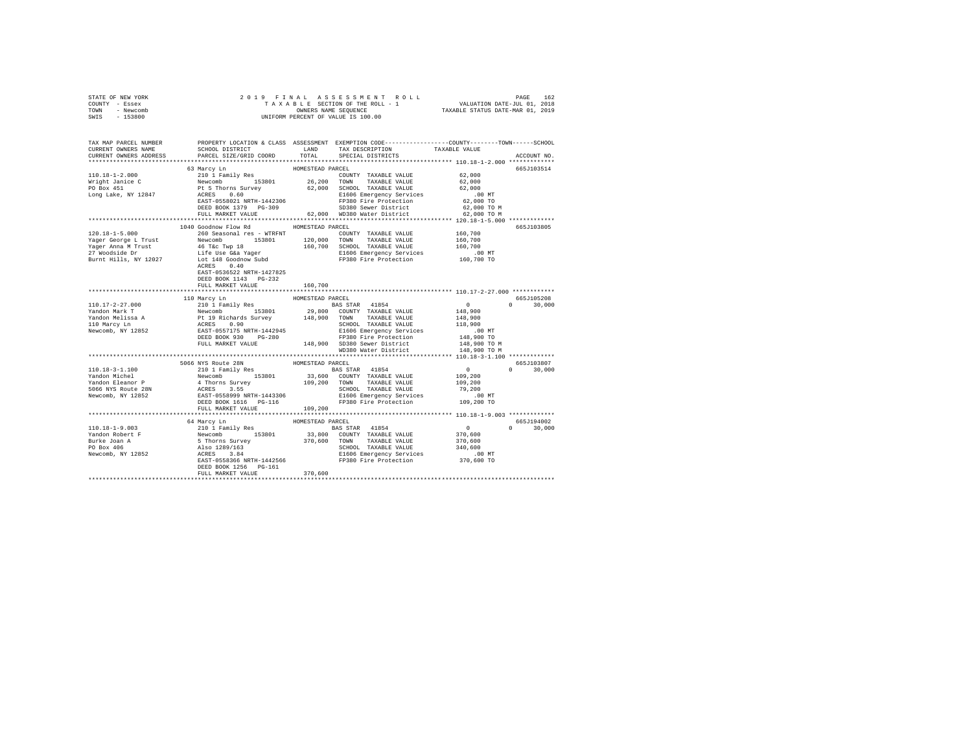| STATE OF NEW YORK |  |  |  | 2019 FINAL ASSESSMENT ROLL         |                                  | PAGE                        | 162 |
|-------------------|--|--|--|------------------------------------|----------------------------------|-----------------------------|-----|
| COUNTY - Essex    |  |  |  | TAXABLE SECTION OF THE ROLL - 1    |                                  | VALUATION DATE-JUL 01, 2018 |     |
| TOWN<br>- Newcomb |  |  |  | OWNERS NAME SEOUENCE               | TAXABLE STATUS DATE-MAR 01, 2019 |                             |     |
| - 153800<br>SWIS  |  |  |  | UNIFORM PERCENT OF VALUE IS 100.00 |                                  |                             |     |

| TAX MAP PARCEL NUMBER<br>CURRENT OWNERS NAME     | SCHOOL DISTRICT                                                                                                                                                                                                             | LAND             | TAX DESCRIPTION                                                            | PROPERTY LOCATION & CLASS ASSESSMENT EXEMPTION CODE---------------COUNTY-------TOWN-----SCHOOL<br>TAXABLE VALUE |
|--------------------------------------------------|-----------------------------------------------------------------------------------------------------------------------------------------------------------------------------------------------------------------------------|------------------|----------------------------------------------------------------------------|-----------------------------------------------------------------------------------------------------------------|
| CURRENT OWNERS ADDRESS<br>********************** | PARCEL SIZE/GRID COORD                                                                                                                                                                                                      | TOTAL            | SPECIAL DISTRICTS                                                          | ACCOUNT NO.                                                                                                     |
|                                                  | 63 Marcy Ln                                                                                                                                                                                                                 | HOMESTEAD PARCEL |                                                                            | 665J103514                                                                                                      |
| 110.18-1-2.000                                   | 210 1 Family Res<br>Newcomb 153801<br>Pt 5 Thorns Survey<br>ACRES 0.60                                                                                                                                                      |                  | COUNTY TAXABLE VALUE                                                       | 62,000                                                                                                          |
| Wright Janice C<br>PO Box 451                    |                                                                                                                                                                                                                             | $26, 200$ TOWN   | TAXABLE VALUE                                                              | 62,000                                                                                                          |
|                                                  |                                                                                                                                                                                                                             |                  | 62,000 SCHOOL TAXABLE VALUE                                                | 62,000                                                                                                          |
| Long Lake, NY 12847                              | ACRES 0.60 E1606 Emergency Services<br>EAST-0558021 NRTH-1442306 FP380 Fire Protection                                                                                                                                      |                  | E1606 Emergency Services                                                   | $.00$ MT                                                                                                        |
|                                                  |                                                                                                                                                                                                                             |                  |                                                                            | 62,000 TO                                                                                                       |
|                                                  | DEED BOOK 1379 PG-309<br>FULL MARKET VALUE 62,000 WD380 Sewer District                                                                                                                                                      |                  |                                                                            | 62,000 TO M                                                                                                     |
|                                                  |                                                                                                                                                                                                                             |                  |                                                                            | 62,000 TO M                                                                                                     |
|                                                  | 1040 Goodnow Flow Rd                                                                                                                                                                                                        | HOMESTEAD PARCEL |                                                                            | 665J103805                                                                                                      |
| 120.18-1-5.000                                   | 260 Seasonal res - WTRFNT                                                                                                                                                                                                   |                  | COUNTY TAXABLE VALUE                                                       | 160,700                                                                                                         |
|                                                  |                                                                                                                                                                                                                             |                  |                                                                            | 160,700                                                                                                         |
|                                                  |                                                                                                                                                                                                                             |                  |                                                                            | 160,700                                                                                                         |
|                                                  |                                                                                                                                                                                                                             |                  |                                                                            |                                                                                                                 |
|                                                  | 1801-1970-000<br>1829<br>r George L Trust - Newcomb - 153801 - 120,000 TOWN TAXABLE VALUE Yager Anna M<br>Trust - 46 T&C TWD - 160,700 STOWN TAXABLE VALUE Yager Anna M<br>The GE of the Second Taxable Value - 27 Woodside |                  |                                                                            | 00 MT.<br>160,700 TO                                                                                            |
|                                                  | ACRES 0.40                                                                                                                                                                                                                  |                  |                                                                            |                                                                                                                 |
|                                                  | EAST-0536522 NRTH-1427825                                                                                                                                                                                                   |                  |                                                                            |                                                                                                                 |
|                                                  | DEED BOOK 1143 PG-232                                                                                                                                                                                                       |                  |                                                                            |                                                                                                                 |
|                                                  | FULL MARKET VALUE                                                                                                                                                                                                           | 160,700          |                                                                            |                                                                                                                 |
|                                                  | *****************************                                                                                                                                                                                               |                  |                                                                            | 665J105208                                                                                                      |
| $110.17 - 2 - 27.000$                            |                                                                                                                                                                                                                             |                  |                                                                            | 30,000<br>$\Omega$                                                                                              |
| Yandon Mark T                                    |                                                                                                                                                                                                                             |                  |                                                                            | $\begin{smallmatrix}&&0\\&&2\\1&4&8\end{smallmatrix},9&0&0\end{smallmatrix}$                                    |
|                                                  |                                                                                                                                                                                                                             |                  |                                                                            |                                                                                                                 |
| Yandon Melissa A<br>110 Marcy Ln                 |                                                                                                                                                                                                                             |                  |                                                                            | 148,900<br>118,900                                                                                              |
| Newcomb, NY 12852                                |                                                                                                                                                                                                                             |                  |                                                                            | $.00$ MT                                                                                                        |
|                                                  |                                                                                                                                                                                                                             |                  |                                                                            | 148,900 TO                                                                                                      |
|                                                  |                                                                                                                                                                                                                             |                  |                                                                            | 148,900 TO M                                                                                                    |
|                                                  |                                                                                                                                                                                                                             |                  | WD380 Water District                                                       | 148,900 TO M                                                                                                    |
|                                                  |                                                                                                                                                                                                                             |                  |                                                                            |                                                                                                                 |
|                                                  |                                                                                                                                                                                                                             |                  |                                                                            | 665J103807<br>$\Omega$                                                                                          |
|                                                  |                                                                                                                                                                                                                             |                  |                                                                            | 30,000                                                                                                          |
|                                                  |                                                                                                                                                                                                                             |                  |                                                                            |                                                                                                                 |
|                                                  |                                                                                                                                                                                                                             |                  |                                                                            |                                                                                                                 |
|                                                  |                                                                                                                                                                                                                             |                  |                                                                            |                                                                                                                 |
|                                                  |                                                                                                                                                                                                                             |                  |                                                                            |                                                                                                                 |
|                                                  | FULL MARKET VALUE                                                                                                                                                                                                           | 109,200          |                                                                            |                                                                                                                 |
|                                                  | ****************************                                                                                                                                                                                                |                  |                                                                            |                                                                                                                 |
|                                                  | 64 Marcy Ln                                                                                                                                                                                                                 | HOMESTEAD PARCEL |                                                                            | 665J194002                                                                                                      |
|                                                  |                                                                                                                                                                                                                             |                  | BAS STAR 41854                                                             | $\sim$ 0<br>$0 \t 30,000$                                                                                       |
|                                                  |                                                                                                                                                                                                                             |                  | 1454 AM 14594<br>33,800 COUNTY TAXABLE VALUE<br>370,600 TOWN TAXABLE VALUE | 370,600                                                                                                         |
|                                                  |                                                                                                                                                                                                                             |                  |                                                                            | 370,600                                                                                                         |
|                                                  |                                                                                                                                                                                                                             |                  | SCHOOL TAXABLE VALUE 340,600<br>E1606 Emergency Services 00 MT             |                                                                                                                 |
|                                                  |                                                                                                                                                                                                                             |                  | FP380 Fire Protection                                                      | 370,600 TO                                                                                                      |
|                                                  | DEED BOOK 1256 PG-161                                                                                                                                                                                                       |                  |                                                                            |                                                                                                                 |
|                                                  | FULL MARKET VALUE                                                                                                                                                                                                           | 370,600          |                                                                            |                                                                                                                 |
|                                                  |                                                                                                                                                                                                                             |                  |                                                                            |                                                                                                                 |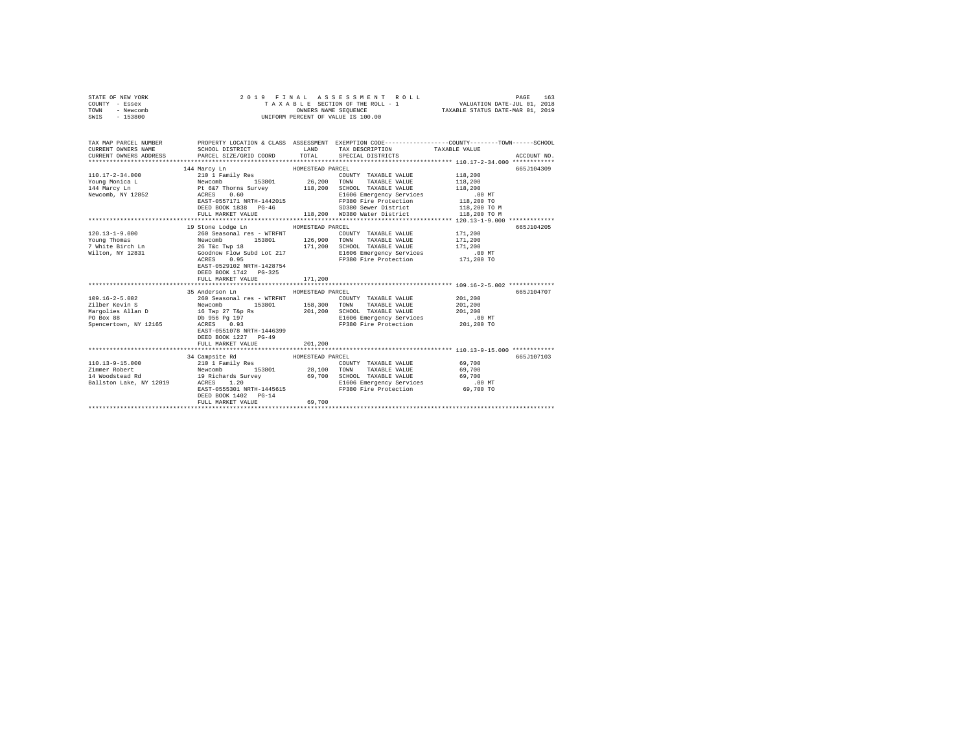| STATE OF NEW YORK<br>COUNTY - Essex<br>TOWN<br>- Newcomb<br>SWIS<br>$-153800$ | 2019 FINAL ASSESSMENT ROLL<br>TAXABLE SECTION OF THE ROLL - 1<br>OWNERS NAME SEQUENCE<br>UNIFORM PERCENT OF VALUE IS 100.00 | 163<br>PAGE<br>VALUATION DATE-JUL 01, 2018<br>TAXABLE STATUS DATE-MAR 01, 2019 |
|-------------------------------------------------------------------------------|-----------------------------------------------------------------------------------------------------------------------------|--------------------------------------------------------------------------------|
| TAY MAD DADOUT MIIMDUD                                                        | DRABBEV LACATION C. CLASS                                                                                                   |                                                                                |

| TAX MAP PARCEL NUMBER<br>CURRENT OWNERS NAME |                                                                                                                                                                                                                                      |         |                                                                                                                                                                                                                             | PROPERTY LOCATION & CLASS ASSESSMENT EXEMPTION CODE----------------COUNTY-------TOWN-----SCHOOL |
|----------------------------------------------|--------------------------------------------------------------------------------------------------------------------------------------------------------------------------------------------------------------------------------------|---------|-----------------------------------------------------------------------------------------------------------------------------------------------------------------------------------------------------------------------------|-------------------------------------------------------------------------------------------------|
|                                              | SCHOOL DISTRICT LAND<br>CURRENT OWNERS ADDRESS PARCEL SIZE/GRID COORD TOTAL SPECIAL DISTRICTS                                                                                                                                        |         | TAX DESCRIPTION TAXABLE VALUE                                                                                                                                                                                               | ACCOUNT NO.                                                                                     |
|                                              |                                                                                                                                                                                                                                      |         |                                                                                                                                                                                                                             |                                                                                                 |
|                                              |                                                                                                                                                                                                                                      |         |                                                                                                                                                                                                                             | 665J104309                                                                                      |
| $110.17 - 2 - 34.000$                        |                                                                                                                                                                                                                                      |         | COUNTY TAXABLE VALUE 118,200                                                                                                                                                                                                |                                                                                                 |
|                                              |                                                                                                                                                                                                                                      |         |                                                                                                                                                                                                                             |                                                                                                 |
|                                              | CONTRACT CONTRACT CONTRACT 26,200 TOWN TAXABLE VALUE 118,200<br>114 Marcy Ln Pt 6&7 Thorns Survey 118,200 SCHOOL TAXABLE VALUE 118,200<br>144 Marcy Ln Pt 6&7 Thorns Survey 118,200 SCHOOL TAXABLE VALUE 118,200<br>1.8,200 Mewcomb, |         |                                                                                                                                                                                                                             |                                                                                                 |
|                                              |                                                                                                                                                                                                                                      |         |                                                                                                                                                                                                                             |                                                                                                 |
|                                              |                                                                                                                                                                                                                                      |         | $\begin{array}{lllllll} \texttt{ACRES} & 0.60 & \texttt{MTH-1442015} & \texttt{E1606 Energy Services} & 0.0 & \texttt{MTBAST-0557171 NRTH-1442015} & \texttt{F9380 Fire Protection} & 118,200 & \texttt{T0} \\ \end{array}$ |                                                                                                 |
|                                              | DEED BOOK 1838 PG-46                                                                                                                                                                                                                 |         | SD380 Sewer District 118,200 TO M                                                                                                                                                                                           |                                                                                                 |
|                                              |                                                                                                                                                                                                                                      |         | FULL MARKET VALUE 118,200 WD380 Water District 118,200 TO M                                                                                                                                                                 |                                                                                                 |
|                                              |                                                                                                                                                                                                                                      |         |                                                                                                                                                                                                                             |                                                                                                 |
|                                              | 19 Stone Lodge Ln MOMESTEAD PARCEL                                                                                                                                                                                                   |         |                                                                                                                                                                                                                             | 665J104205                                                                                      |
| $120.13 - 1 - 9.000$                         | 260 Seasonal res - WTRFNT                                                                                                                                                                                                            |         | COUNTY TAXABLE VALUE 171,200                                                                                                                                                                                                |                                                                                                 |
|                                              | Young Thomas <b>Mewcomb</b> 153801 126,900 TOWN TAXABLE VALUE 171,200                                                                                                                                                                |         |                                                                                                                                                                                                                             |                                                                                                 |
|                                              |                                                                                                                                                                                                                                      |         |                                                                                                                                                                                                                             |                                                                                                 |
|                                              |                                                                                                                                                                                                                                      |         | E1606 Emergency Services .00 MT<br>FP380 Fire Protection  171,200 TO                                                                                                                                                        |                                                                                                 |
|                                              | ACRES 0.95                                                                                                                                                                                                                           |         |                                                                                                                                                                                                                             |                                                                                                 |
|                                              | EAST-0529102 NRTH-1428754                                                                                                                                                                                                            |         |                                                                                                                                                                                                                             |                                                                                                 |
|                                              | DEED BOOK 1742 PG-325                                                                                                                                                                                                                |         |                                                                                                                                                                                                                             |                                                                                                 |
|                                              | FULL MARKET VALUE                                                                                                                                                                                                                    | 171,200 |                                                                                                                                                                                                                             |                                                                                                 |
|                                              |                                                                                                                                                                                                                                      |         |                                                                                                                                                                                                                             |                                                                                                 |
| 109.16-2-5.002                               | 35 Anderson Ln MOMESTEAD PARCEL                                                                                                                                                                                                      |         | COUNTY TAXABLE VALUE 201,200                                                                                                                                                                                                | 665J104707                                                                                      |
|                                              | 260 Seasonal res - WTRFNT                                                                                                                                                                                                            |         |                                                                                                                                                                                                                             |                                                                                                 |
|                                              |                                                                                                                                                                                                                                      |         |                                                                                                                                                                                                                             |                                                                                                 |
|                                              |                                                                                                                                                                                                                                      |         |                                                                                                                                                                                                                             |                                                                                                 |
|                                              |                                                                                                                                                                                                                                      |         |                                                                                                                                                                                                                             |                                                                                                 |
|                                              | EAST-0551078 NRTH-1446399                                                                                                                                                                                                            |         |                                                                                                                                                                                                                             |                                                                                                 |
|                                              | DEED BOOK 1227 PG-49                                                                                                                                                                                                                 |         |                                                                                                                                                                                                                             |                                                                                                 |
|                                              | FULL MARKET VALUE 201,200                                                                                                                                                                                                            |         |                                                                                                                                                                                                                             |                                                                                                 |
|                                              |                                                                                                                                                                                                                                      |         |                                                                                                                                                                                                                             |                                                                                                 |
|                                              | 34 Campsite Rd HOMESTEAD PARCEL                                                                                                                                                                                                      |         |                                                                                                                                                                                                                             | 665J107103                                                                                      |
|                                              | 110.13-9-15.000 210 1 Family Res                                                                                                                                                                                                     |         | COUNTY TAXABLE VALUE 69,700                                                                                                                                                                                                 |                                                                                                 |
|                                              |                                                                                                                                                                                                                                      |         |                                                                                                                                                                                                                             |                                                                                                 |
|                                              |                                                                                                                                                                                                                                      |         |                                                                                                                                                                                                                             |                                                                                                 |
|                                              |                                                                                                                                                                                                                                      |         |                                                                                                                                                                                                                             |                                                                                                 |
|                                              |                                                                                                                                                                                                                                      |         |                                                                                                                                                                                                                             |                                                                                                 |
|                                              | DEED BOOK 1402 PG-14                                                                                                                                                                                                                 |         |                                                                                                                                                                                                                             |                                                                                                 |
|                                              | FULL MARKET VALUE                                                                                                                                                                                                                    | 69,700  |                                                                                                                                                                                                                             |                                                                                                 |
|                                              |                                                                                                                                                                                                                                      |         |                                                                                                                                                                                                                             |                                                                                                 |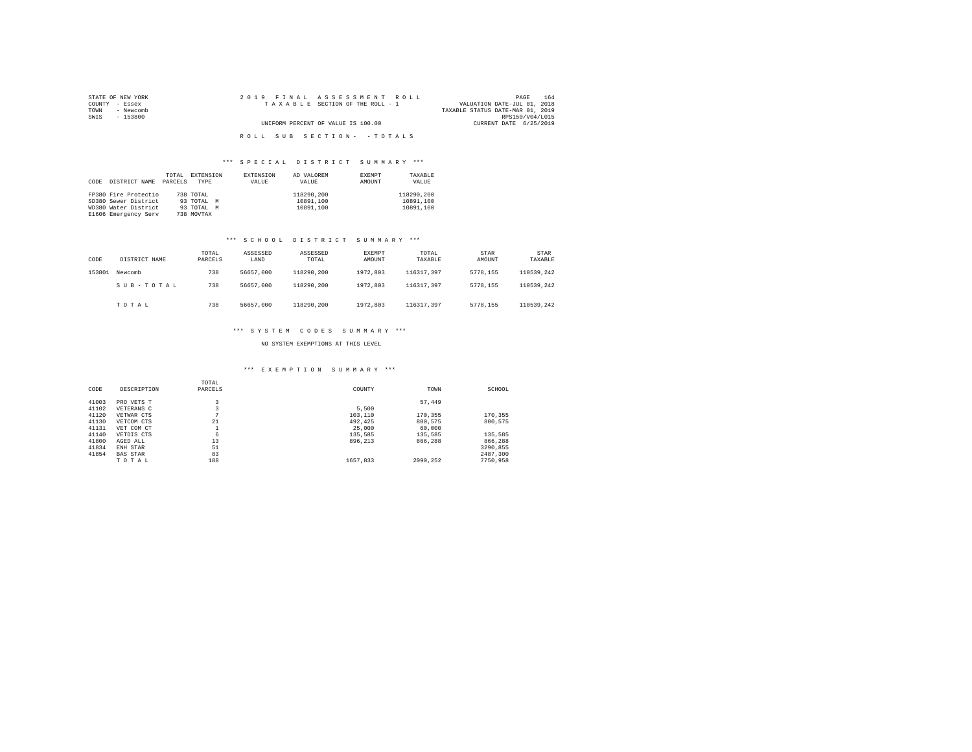| STATE OF NEW YORK | 2019 FINAL ASSESSMENT ROLL         | 164<br>PAGE                      |
|-------------------|------------------------------------|----------------------------------|
| COUNTY - Essex    | TAXABLE SECTION OF THE ROLL - 1    | VALUATION DATE-JUL 01, 2018      |
| TOWN<br>- Newcomb |                                    | TAXABLE STATUS DATE-MAR 01, 2019 |
| SWIS<br>- 153800  |                                    | RPS150/V04/L015                  |
|                   | UNIFORM PERCENT OF VALUE IS 100.00 | CURRENT DATE 6/25/2019           |
|                   |                                    |                                  |
|                   | ROLL SUB SECTION- - TOTALS         |                                  |

# \*\*\* S P E C I A L D I S T R I C T S U M M A R Y \*\*\*

| CODE | DISTRICT NAME        | TOTAL<br>PARCELS | EXTENSION<br>TYPE | <b>EXTENSION</b><br>VALUE | AD VALOREM<br>VALUE | EXEMPT<br>AMOUNT | TAXABLE<br>VALUE |
|------|----------------------|------------------|-------------------|---------------------------|---------------------|------------------|------------------|
|      | FP380 Fire Protectio |                  | 738 TOTAL         |                           | 118290.200          |                  | 118290.200       |
|      | SD380 Sewer District |                  | 93 TOTAL<br>M     |                           | 10891.100           |                  | 10891.100        |
|      | WD380 Water District |                  | 93 TOTAL M        |                           | 10891.100           |                  | 10891.100        |
|      | E1606 Emergency Serv |                  | 738 MOVTAX        |                           |                     |                  |                  |

# \*\*\* S C H O O L D I S T R I C T S U M M A R Y \*\*\*

| CODE   | DISTRICT NAME | TOTAL<br>PARCELS | ASSESSED<br>LAND | ASSESSED<br>TOTAL | EXEMPT<br>AMOUNT | TOTAL<br>TAXABLE | STAR<br>AMOUNT | <b>STAR</b><br>TAXABLE |
|--------|---------------|------------------|------------------|-------------------|------------------|------------------|----------------|------------------------|
| 153801 | Newcomb       | 738              | 56657,000        | 118290.200        | 1972,803         | 116317.397       | 5778.155       | 110539.242             |
|        | SUB-TOTAL     | 738              | 56657,000        | 118290.200        | 1972,803         | 116317.397       | 5778.155       | 110539.242             |
|        | TOTAL         | 738              | 56657,000        | 118290.200        | 1972,803         | 116317.397       | 5778.155       | 110539.242             |

## \*\*\* S Y S T E M C O D E S S U M M A R Y \*\*\*

## NO SYSTEM EXEMPTIONS AT THIS LEVEL

# \*\*\* E X E M P T I O N S U M M A R Y \*\*\*

| CODE  | DESCRIPTION     | TOTAL<br>PARCELS | COUNTY   | TOWN     | SCHOOL   |
|-------|-----------------|------------------|----------|----------|----------|
|       |                 |                  |          |          |          |
| 41003 | PRO VETS T      | 3                |          | 57.449   |          |
| 41102 | VETERANS C      | 3                | 5,500    |          |          |
| 41120 | VETWAR CTS      | n                | 103,110  | 170.355  | 170,355  |
| 41130 | VETCOM CTS      | 21               | 492.425  | 800,575  | 800.575  |
| 41131 | VET COM CT      |                  | 25,000   | 60,000   |          |
| 41140 | VETDIS CTS      | 6                | 135,585  | 135,585  | 135,585  |
| 41800 | AGED ALL        | 13               | 896.213  | 866,288  | 866,288  |
| 41834 | ENH STAR        | 51               |          |          | 3290.855 |
| 41854 | <b>BAS STAR</b> | 83               |          |          | 2487.300 |
|       | TOTAL           | 188              | 1657.833 | 2090.252 | 7750.958 |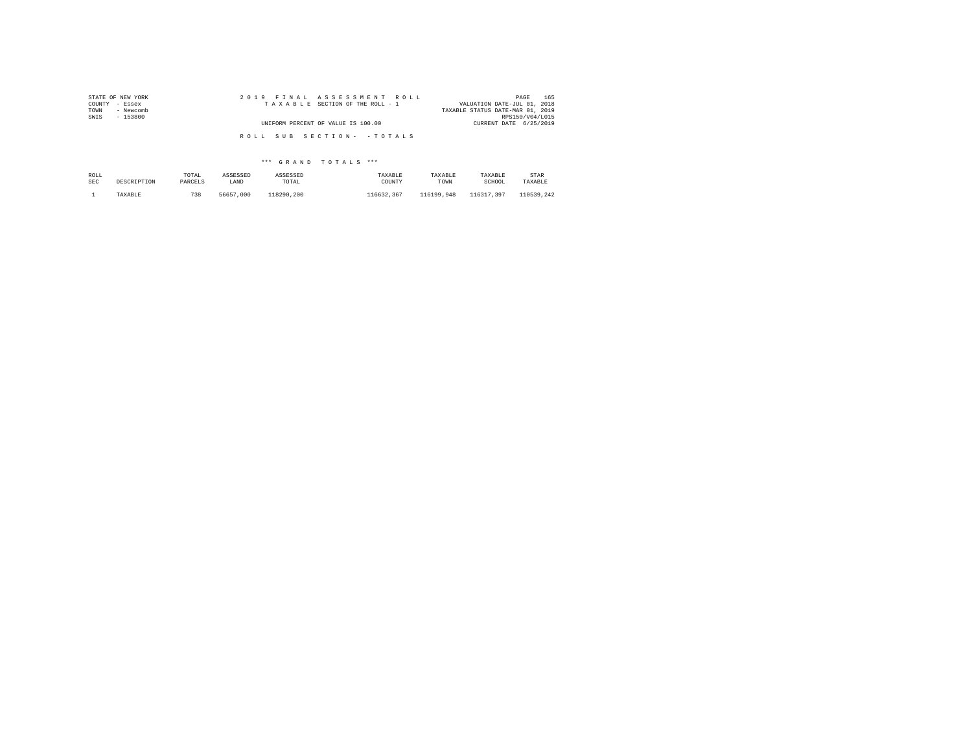| STATE OF NEW YORK | 2019 FINAL ASSESSMENT ROLL         | 165<br>PAGE                      |
|-------------------|------------------------------------|----------------------------------|
| COUNTY - Essex    | TAXABLE SECTION OF THE ROLL - 1    | VALUATION DATE-JUL 01, 2018      |
| - Newcomb<br>TOWN |                                    | TAXABLE STATUS DATE-MAR 01, 2019 |
| SWIS<br>$-153800$ |                                    | RPS150/V04/L015                  |
|                   | UNIFORM PERCENT OF VALUE IS 100.00 | CURRENT DATE 6/25/2019           |
|                   |                                    |                                  |
|                   | ROLL SUB SECTION- - TOTALS         |                                  |

| ROLL       | DESCRIPTION | TOTAL   | ASSESSED  | ASSESSED   | TAXABLE    | TAXABLE    | TAXABLE    | STAR       |
|------------|-------------|---------|-----------|------------|------------|------------|------------|------------|
| <b>SEC</b> |             | PARCELS | LAND      | TOTAL      | COUNTY     | TOWN       | SCHOOL     | TAXABLE    |
|            | TAXABLE     | 738     | 56657.000 | 118290.200 | 116632.367 | 116199.948 | 116317.397 | 110539.242 |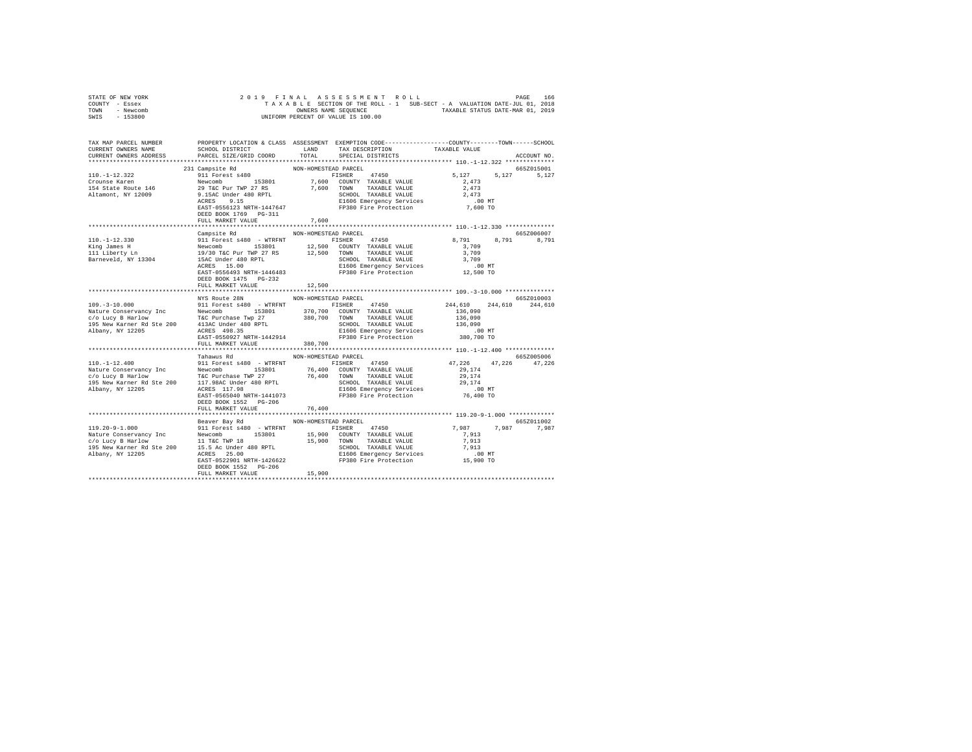| STATE OF NEW YORK | 2019 FINAL ASSESSMENT ROLL                                               | 166<br>PAGE                      |
|-------------------|--------------------------------------------------------------------------|----------------------------------|
| COUNTY - Essex    | TAXABLE SECTION OF THE ROLL - 1 SUB-SECT - A VALUATION DATE-JUL 01, 2018 |                                  |
| TOWN<br>- Newcomb | OWNERS NAME SEOUENCE                                                     | TAXABLE STATUS DATE-MAR 01, 2019 |
| - 153800<br>SWIS  | UNIFORM PERCENT OF VALUE IS 100.00                                       |                                  |

| TAX MAP PARCEL NUMBER<br>CURRENT OWNERS NAME<br>CURRENT OWNERS ADDRESS                                                                                                                                                         | SCHOOL DISTRICT LAND<br>PARCEL SIZE/GRID COORD               | TOTAL<br>SPECIAL DISTRICTS     | PROPERTY LOCATION & CLASS ASSESSMENT EXEMPTION CODE---------------COUNTY-------TOWN-----SCHOOL<br>TAX DESCRIPTION TAXABLE VALUE<br>ACCOUNT NO.                                                                                                                |
|--------------------------------------------------------------------------------------------------------------------------------------------------------------------------------------------------------------------------------|--------------------------------------------------------------|--------------------------------|---------------------------------------------------------------------------------------------------------------------------------------------------------------------------------------------------------------------------------------------------------------|
|                                                                                                                                                                                                                                | DEED BOOK 1769 PG-311<br>FULL MARKET VALUE                   | 7.600                          | 231 Campsite Rd NON-HOMESTEAD PARCEL<br>10.-1-12.322 231 Campsite Rd NON-HOMESTEAD PARCEL<br>2.911 Compare Rate Route 146 November 153801 7,600 COUNTY TAXABLE VALUE<br>2.473<br>154 State Route 146 29 T&C Pur TWP 27 RS 7,600 TOWN T<br>665Z015001<br>5.127 |
|                                                                                                                                                                                                                                | Campsite Rd<br>DEED BOOK 1475    PG-232<br>FULL MARKET VALUE | NON-HOMESTEAD PARCEL<br>12,500 | 665Z006007<br>8,791                                                                                                                                                                                                                                           |
|                                                                                                                                                                                                                                | NYS Route 28N<br>FULL MARKET VALUE 380,700                   | NON-HOMESTEAD PARCEL           | 665Z010003                                                                                                                                                                                                                                                    |
|                                                                                                                                                                                                                                | Tahawus Rd<br>DEED BOOK 1552 PG-206<br>FULL MARKET VALUE     | NON-HOMESTEAD PARCEL<br>76,400 | 665Z005006<br>47, 226 47, 226 47, 226                                                                                                                                                                                                                         |
| $[19.20-9-1.000$ $[10.20-9-1.000$ $[10.20-9-1.000]$ $[10.20-9-1.000]$ $[10.20-9-1.000]$ $[11.20-9-1.000]$ $[11.20-9-1.000]$ $[11.20-9-1.000]$ $[11.20-9-1.000]$ $[11.20-9-1.000]$ $[11.20-9-1.000]$ $[11.20-9-1.000]$ $[11.20$ | Beaver Bay Rd NON-HOMESTEAD PARCEL<br>FULL MARKET VALUE      | 15,900                         | 665Z011002<br>7,987 7,987 7,987                                                                                                                                                                                                                               |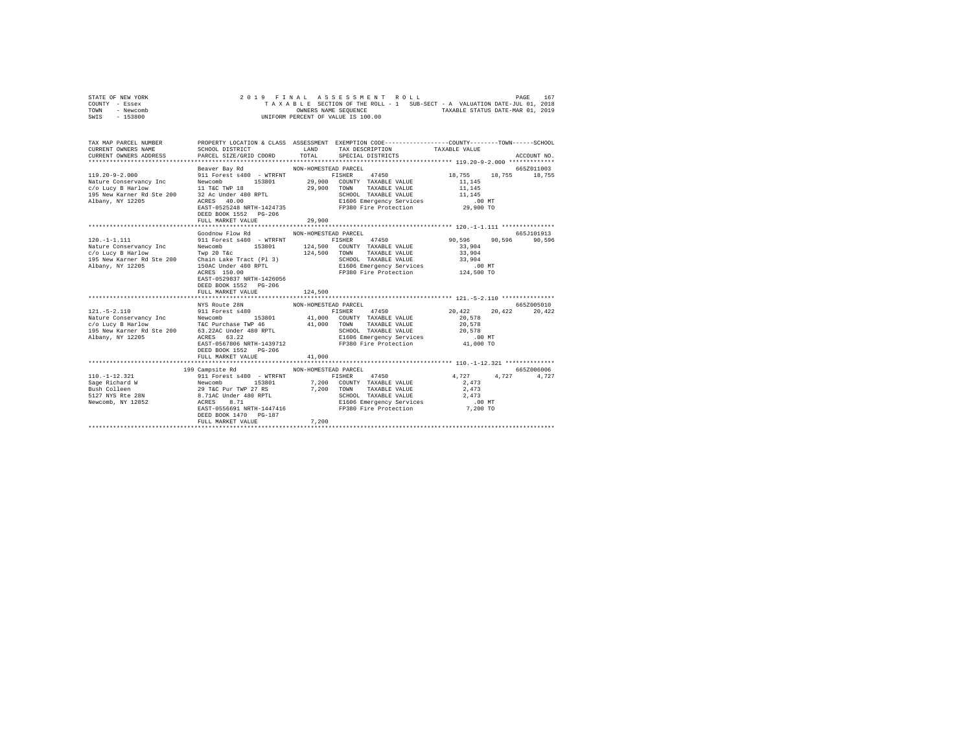| STATE OF NEW YORK | 2019 FINAL ASSESSMENT ROLL |  |  |                                    |  |  |  |  |                                                                          | PAGE | 167 |
|-------------------|----------------------------|--|--|------------------------------------|--|--|--|--|--------------------------------------------------------------------------|------|-----|
| COUNTY - Essex    |                            |  |  |                                    |  |  |  |  | TAXABLE SECTION OF THE ROLL - 1 SUB-SECT - A VALUATION DATE-JUL 01, 2018 |      |     |
| TOWN<br>- Newcomb |                            |  |  | OWNERS NAME SEOUENCE               |  |  |  |  | TAXABLE STATUS DATE-MAR 01, 2019                                         |      |     |
| $-153800$<br>SWIS |                            |  |  | UNIFORM PERCENT OF VALUE IS 100.00 |  |  |  |  |                                                                          |      |     |

| TAX MAP PARCEL NUMBER |                                                                         | PROPERTY LOCATION & CLASS ASSESSMENT EXEMPTION CODE---------------COUNTY-------TOWN------SCHOOL |                                               |             |
|-----------------------|-------------------------------------------------------------------------|-------------------------------------------------------------------------------------------------|-----------------------------------------------|-------------|
|                       |                                                                         |                                                                                                 |                                               |             |
|                       |                                                                         |                                                                                                 |                                               |             |
|                       | DEED BOOK 1552 PG-206<br>FULL MARKET VALUE                              | EAST-0525248 NRTH-1424735 FP380 Fire Protection 29,900 TO<br>29,900                             |                                               |             |
|                       | Goodnow Flow Rd                                                         | NON-HOMESTEAD PARCEL                                                                            |                                               | 665.T101913 |
|                       | EAST-0529837 NRTH-1426056<br>DEED BOOK 1552 PG-206<br>FULL MARKET VALUE | 124,500                                                                                         |                                               |             |
|                       |                                                                         |                                                                                                 |                                               |             |
|                       |                                                                         |                                                                                                 |                                               | 665Z005010  |
|                       | DEED BOOK 1552 PG-206                                                   | FISHER 47450 20,422 20,422                                                                      |                                               | 20,422      |
|                       | FULL MARKET VALUE                                                       | 41,000                                                                                          |                                               |             |
|                       | 199 Campsite Rd                                                         | NON-HOMESTEAD PARCEL                                                                            |                                               | 665Z006006  |
| $110. - 1 - 12.321$   | EAST-0556691 NRTH-1447416<br>DEED BOOK 1470 PG-187                      | 911 Forest s480 - WTRFNT FISHER 47450                                                           | 4,727 4,727<br>FP380 Fire Protection 7,200 TO | 4,727       |
|                       | FULL MARKET VALUE                                                       | 7,200                                                                                           |                                               |             |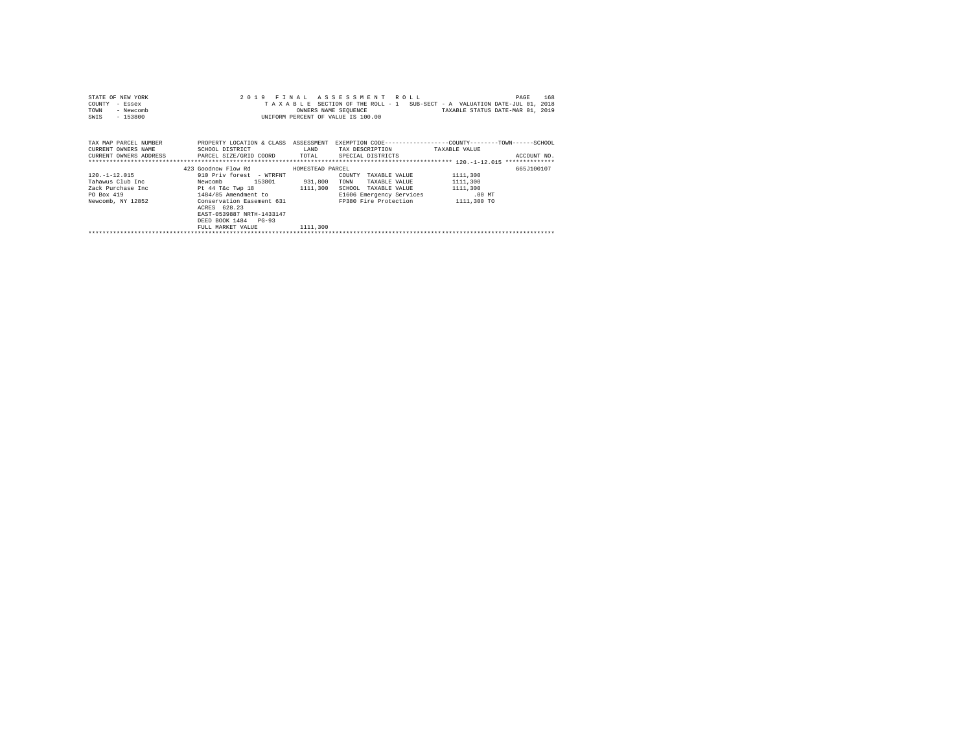| STATE OF NEW YORK                                                                        |                                      | 2019 FINAL ASSESSMENT ROLL         | 168<br>PAGE                                                                                                             |
|------------------------------------------------------------------------------------------|--------------------------------------|------------------------------------|-------------------------------------------------------------------------------------------------------------------------|
| COUNTY<br>- Essex                                                                        |                                      |                                    | TAXABLE SECTION OF THE ROLL - 1 SUB-SECT - A VALUATION DATE-JUL 01, 2018                                                |
| - Newcomb<br>TOWN                                                                        |                                      |                                    | OWNERS NAME SEQUENCE TAXABLE STATUS DATE-MAR 01, 2019                                                                   |
| $-153800$<br>SWIS                                                                        |                                      | UNIFORM PERCENT OF VALUE IS 100.00 |                                                                                                                         |
|                                                                                          |                                      |                                    |                                                                                                                         |
|                                                                                          |                                      |                                    |                                                                                                                         |
|                                                                                          |                                      |                                    |                                                                                                                         |
|                                                                                          |                                      |                                    | TAX MAP PARCEL NUMBER THE PROPERTY LOCATION & CLASS ASSESSMENT EXEMPTION CODE-------------COUNTY-------TOWN------SCHOOL |
|                                                                                          |                                      |                                    |                                                                                                                         |
| CURRENT OWNERS ADDRESS 6 PARCEL SIZE/GRID COORD 60THL SPECIAL DISTRICTS                  |                                      |                                    | ACCOUNT NO.                                                                                                             |
|                                                                                          |                                      |                                    |                                                                                                                         |
|                                                                                          | 423 Goodnow Flow Rd MOMESTEAD PARCEL |                                    | 665J100107                                                                                                              |
| $120. -1 - 12.015$                                                                       | 910 Priv forest - WTRFNT             | COUNTY TAXABLE VALUE               | 1111,300                                                                                                                |
| Tahawus Club Inc                         Newcomb              153801             931,800 |                                      | TOWN<br>TAXABLE VALUE              | 1111,300                                                                                                                |
| Zack Purchase Inc 5 1111,300                                                             |                                      | SCHOOL TAXABLE VALUE               | 1111,300                                                                                                                |
| PO Box 419                                                                               | $1484/85$ Amendment to               | E1606 Emergency Services .00 MT    |                                                                                                                         |
| Newcomb, NY 12852 Conservation Easement 631                                              |                                      | FP380 Fire Protection 1111,300 TO  |                                                                                                                         |
|                                                                                          | ACRES 628.23                         |                                    |                                                                                                                         |
|                                                                                          | EAST-0539887 NRTH-1433147            |                                    |                                                                                                                         |
|                                                                                          | DEED BOOK 1484 PG-93                 |                                    |                                                                                                                         |
|                                                                                          | FULL MARKET VALUE 1111.300           |                                    |                                                                                                                         |
|                                                                                          |                                      |                                    |                                                                                                                         |
|                                                                                          |                                      |                                    |                                                                                                                         |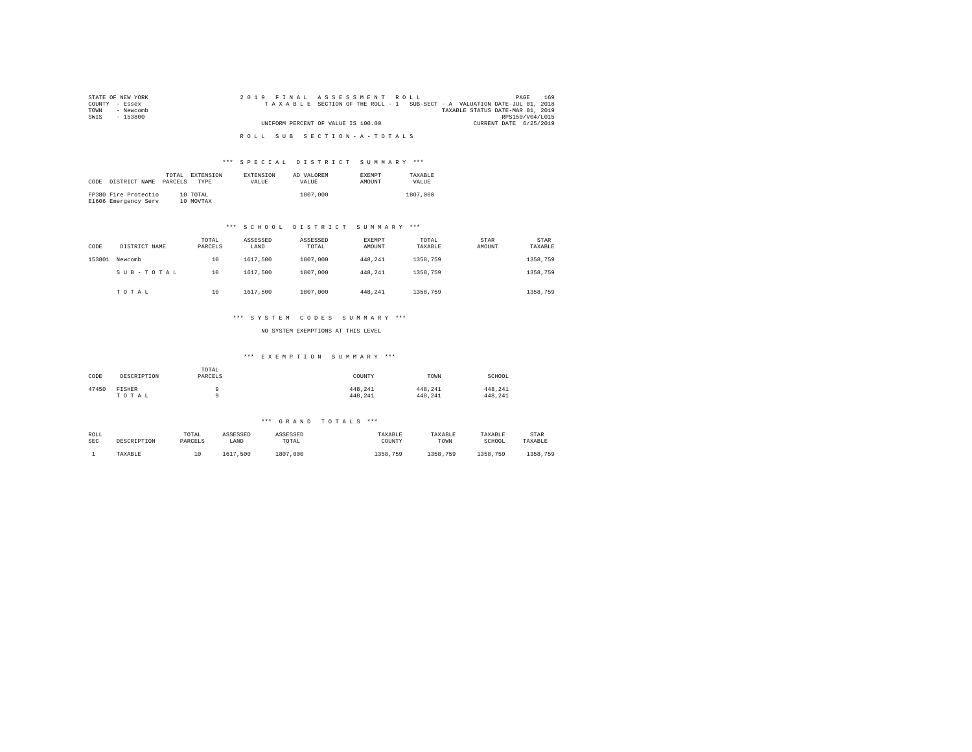| STATE OF NEW YORK | 2019 FINAL ASSESSMENT ROLL                                               | 169<br>PAGE            |
|-------------------|--------------------------------------------------------------------------|------------------------|
| COUNTY - Essex    | TAXABLE SECTION OF THE ROLL - 1 SUB-SECT - A VALUATION DATE-JUL 01, 2018 |                        |
| TOWN<br>- Newcomb | TAXABLE STATUS DATE-MAR 01, 2019                                         |                        |
| SWIS<br>$-153800$ |                                                                          | RPS150/V04/L015        |
|                   | UNIFORM PERCENT OF VALUE IS 100.00                                       | CURRENT DATE 6/25/2019 |
|                   |                                                                          |                        |
|                   | ROLL SUB SECTION-A-TOTALS                                                |                        |

#### \*\*\* S P E C I A L D I S T R I C T S U M M A R Y \*\*\*

|      |                      | TOTAL   | <b>EXTENSION</b> | <b>EXTENSION</b> | AD VALOREM | <b>EXEMPT</b> | TAXARLE  |
|------|----------------------|---------|------------------|------------------|------------|---------------|----------|
| CODE | DISTRICT NAME        | PARCELS | <b>TYPE</b>      | VALUE            | VALUE.     | AMOUNT        | VALUE    |
|      |                      |         |                  |                  |            |               |          |
|      | FP380 Fire Protectio |         | 10 TOTAL         |                  | 1807,000   |               | 1807,000 |
|      | E1606 Emergency Serv |         | 10 MOVTAX        |                  |            |               |          |

#### \*\*\* S C H O O L D I S T R I C T S U M M A R Y \*\*\*

| CODE   | DISTRICT NAME | TOTAL<br>PARCELS | ASSESSED<br>LAND | ASSESSED<br>TOTAL | <b>EXEMPT</b><br>AMOUNT | TOTAL<br>TAXABLE | STAR<br>AMOUNT | <b>STAR</b><br>TAXABLE |
|--------|---------------|------------------|------------------|-------------------|-------------------------|------------------|----------------|------------------------|
| 153801 | Newcomb       | 10               | 1617.500         | 1807.000          | 448.241                 | 1358,759         |                | 1358,759               |
|        | SUB-TOTAL     | 10               | 1617.500         | 1807.000          | 448.241                 | 1358,759         |                | 1358,759               |
|        | TOTAL         | 10               | 1617.500         | 1807.000          | 448.241                 | 1358,759         |                | 1358,759               |

#### \*\*\* S Y S T E M C O D E S S U M M A R Y \*\*\*

NO SYSTEM EXEMPTIONS AT THIS LEVEL

#### \*\*\* E X E M P T I O N S U M M A R Y \*\*\*

| CODE  | DESCRIPTION     | TOTAL<br>PARCELS | COUNTY             | TOWN               | SCHOOL             |
|-------|-----------------|------------------|--------------------|--------------------|--------------------|
| 47450 | FISHER<br>TOTAL |                  | 448.241<br>448.241 | 448.241<br>448.241 | 448.241<br>448.241 |

| ROLL       | DESCRIPTION | TOTAL   | ASSESSED | ASSESSED     | TAXABLE      | TAXABLE  | TAXABLE  | STAR     |
|------------|-------------|---------|----------|--------------|--------------|----------|----------|----------|
| <b>SEC</b> |             | PARCELS | LAND     | TOTAL        | COUNTY       | TOWN     | SCHOOL   | TAXABLE  |
|            | TAXABLE     | ∸       | 1617.500 | 1807<br>,000 | 1358.<br>759 | 1358,759 | 1358,759 | 1358,759 |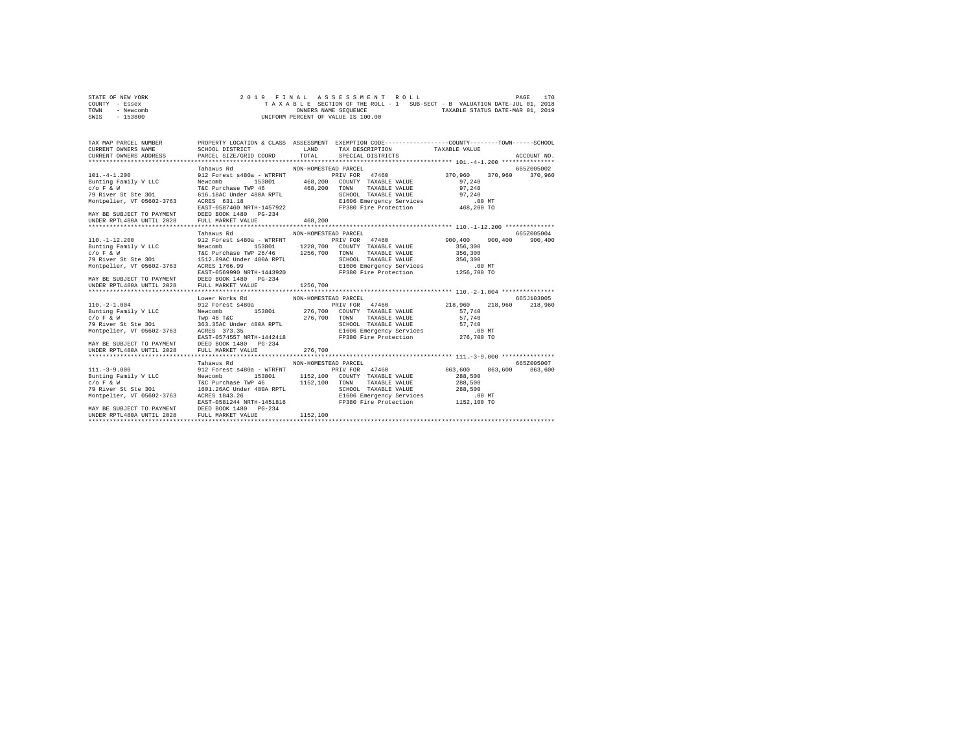| STATE OF NEW YORK |  | 2019 FINAL ASSESSMENT ROLL         | PAGE                                                                     | 170 |
|-------------------|--|------------------------------------|--------------------------------------------------------------------------|-----|
| COUNTY - Essex    |  |                                    | TAXABLE SECTION OF THE ROLL - 1 SUB-SECT - B VALUATION DATE-JUL 01, 2018 |     |
| TOWN<br>- Newcomb |  | OWNERS NAME SEOUENCE               | TAXABLE STATUS DATE-MAR 01, 2019                                         |     |
| $-153800$<br>SWIS |  | UNIFORM PERCENT OF VALUE IS 100.00 |                                                                          |     |

| TAX MAP PARCEL NUMBER<br>CURRENT OWNERS NAME SCHOOL DISTRICT<br>CURRENT OWNERS ADDRESS PARCEL SIZE/GRID COORD                                                                                                                            |                                                                                  | LAND<br>TOTAL        | PROPERTY LOCATION & CLASS ASSESSMENT EXEMPTION CODE---------------COUNTY-------TOWN-----SCHOOL<br>TAX DESCRIPTION TAXABLE VALUE<br>SPECIAL DISTRICTS |                    |         | ACCOUNT NO.     |
|------------------------------------------------------------------------------------------------------------------------------------------------------------------------------------------------------------------------------------------|----------------------------------------------------------------------------------|----------------------|------------------------------------------------------------------------------------------------------------------------------------------------------|--------------------|---------|-----------------|
|                                                                                                                                                                                                                                          | Tahawus Rd                                                                       | NON-HOMESTEAD PARCEL |                                                                                                                                                      |                    |         | 665Z005002      |
| $101. -4 - 1.200$<br>Bunting Family V LLC                                                                                                                                                                                                | Newcomb                                                                          |                      | 912 Forest s480a - WTRFNT PRIV FOR 47460<br>Newcomb 153801 468,200 COUNTY TAXABLE VALUE                                                              | 370,960<br>97.240  |         | 370.960 370.960 |
|                                                                                                                                                                                                                                          |                                                                                  |                      |                                                                                                                                                      |                    |         |                 |
|                                                                                                                                                                                                                                          |                                                                                  |                      |                                                                                                                                                      |                    |         |                 |
| - (1997)<br>TAC Purchase TWP 46 (200 TOWN TAXABLE VALUE 97,240<br>79 River St Ste 301 616.18AC Under 480A RPTL SCHOOL TAXABLE VALUE 97,240<br>Montpelier, VT 05602-3763 ACRES 631.18<br>EAST-0587460 NRTH-1457922 FP380 Fire Protectio   |                                                                                  |                      |                                                                                                                                                      |                    |         |                 |
| MAY BE SUBJECT TO PAYMENT DEED BOOK 1480 PG-234<br>UNDER RPTL480A UNTIL 2028 FULL MARKET VALUE                                                                                                                                           |                                                                                  | 468,200              |                                                                                                                                                      |                    |         |                 |
|                                                                                                                                                                                                                                          |                                                                                  |                      |                                                                                                                                                      |                    |         |                 |
|                                                                                                                                                                                                                                          | Tahawus Rd                                                                       | NON-HOMESTEAD PARCEL |                                                                                                                                                      |                    |         | 6657005004      |
| $110. - 1 - 12.200$                                                                                                                                                                                                                      |                                                                                  |                      | 912 Forest s480a - WTRFNT <b>PRIV FOR 47460</b> 900,400 900,400 900,400                                                                              |                    |         | 900,400         |
| Bunting Family V LLC Mewcomb 153801 1228,700 COUNTY TAXABLE VALUE                                                                                                                                                                        |                                                                                  |                      |                                                                                                                                                      |                    |         |                 |
|                                                                                                                                                                                                                                          |                                                                                  |                      |                                                                                                                                                      | 356,300            |         |                 |
|                                                                                                                                                                                                                                          |                                                                                  |                      |                                                                                                                                                      |                    |         |                 |
| AC PUC PUC PUC PUC PRESS NOTE 1256,700 TOWN TAXABLE VALUE 19 356,300<br>TAXABLE VALUE 356,300<br>19 River St Ste 301 1512.89AC Under 480A RPTL<br>Montpelier, VT 05602-3763 ARES 1766.99<br>ELGO6 Emergency Services<br>Montpelier, VT 0 |                                                                                  |                      |                                                                                                                                                      |                    |         |                 |
|                                                                                                                                                                                                                                          |                                                                                  |                      |                                                                                                                                                      |                    |         |                 |
|                                                                                                                                                                                                                                          |                                                                                  |                      |                                                                                                                                                      |                    |         |                 |
|                                                                                                                                                                                                                                          |                                                                                  |                      |                                                                                                                                                      |                    |         |                 |
|                                                                                                                                                                                                                                          |                                                                                  |                      |                                                                                                                                                      |                    |         |                 |
|                                                                                                                                                                                                                                          |                                                                                  |                      |                                                                                                                                                      |                    |         |                 |
|                                                                                                                                                                                                                                          | Lower Works Rd MON-HOMESTEAD PARCEL                                              |                      |                                                                                                                                                      |                    |         | 665J103005      |
| $110. -2 - 1.004$                                                                                                                                                                                                                        | 912 Forest s480a                                                                 |                      |                                                                                                                                                      |                    |         | 218,960 218,960 |
| Bunting Family V LLC Newcomb                                                                                                                                                                                                             |                                                                                  |                      |                                                                                                                                                      |                    |         |                 |
| $C/O$ $F$ & $W$                                                                                                                                                                                                                          |                                                                                  |                      | TAXABLE VALUE                                                                                                                                        | 57,740             |         |                 |
| 79 River St Ste 301                                                                                                                                                                                                                      | Twp 46 T&C 376,700 TOWN<br>363.35AC Under 480A RPTL 30H00:<br>ACRES 373.35 E1606 |                      | SCHOOL TAXABLE VALUE 57,740<br>E1606 Emergency Services .00 MT                                                                                       |                    |         |                 |
| Montpelier, VT 05602-3763 ACRES 373.35                                                                                                                                                                                                   |                                                                                  |                      |                                                                                                                                                      |                    |         |                 |
|                                                                                                                                                                                                                                          | EAST-0574557 NRTH-1442418                                                        |                      | FP380 Fire Protection 276,700 TO                                                                                                                     |                    |         |                 |
| MAY BE SUBJECT TO PAYMENT DEED BOOK 1480 PG-234<br>UNDER RPTL480A UNTIL 2028                                                                                                                                                             |                                                                                  |                      |                                                                                                                                                      |                    |         |                 |
|                                                                                                                                                                                                                                          |                                                                                  |                      |                                                                                                                                                      |                    |         |                 |
|                                                                                                                                                                                                                                          |                                                                                  |                      |                                                                                                                                                      |                    |         |                 |
|                                                                                                                                                                                                                                          | Tahawus Rd                                                                       | NON-HOMESTEAD PARCEL |                                                                                                                                                      |                    |         | 665Z005007      |
| $111. - 3 - 9.000$                                                                                                                                                                                                                       | 912 Forest s480a - WTRFNT PRIV FOR 47460                                         |                      |                                                                                                                                                      | 863,600            | 863,600 | 863,600         |
| Punting Family V LLC Mewcomb 153801 1152,100 COUNTY<br>C/O F & W TC Purchase TWP 46 1152,100 TOWN<br>79 River St Ste 301 1601.26AC Under 480A RPTL SCHOOL                                                                                |                                                                                  |                      | 153801 1152,100 COUNTY TAXABLE VALUE 288,500                                                                                                         |                    |         |                 |
|                                                                                                                                                                                                                                          |                                                                                  |                      | TAXABLE VALUE<br>SCHOOL TAXABLE VALUE                                                                                                                | 288,500<br>288,500 |         |                 |
|                                                                                                                                                                                                                                          |                                                                                  |                      |                                                                                                                                                      |                    |         |                 |
| Montpelier, VT 05602-3763 ACRES 1843.26                                                                                                                                                                                                  |                                                                                  |                      | E1606 Emergency Services .00 MT<br>FP380 Fire Protection 1152,100 TO                                                                                 |                    |         |                 |
|                                                                                                                                                                                                                                          | EAST-0581244 NRTH-1451816                                                        |                      |                                                                                                                                                      |                    |         |                 |
| MAY BE SUBJECT TO PAYMENT DEED BOOK 1480 PG-234                                                                                                                                                                                          |                                                                                  |                      |                                                                                                                                                      |                    |         |                 |
| UNDER RPTL480A UNTIL 2028                                                                                                                                                                                                                | FULL MARKET VALUE                                                                | 1152,100             |                                                                                                                                                      |                    |         |                 |
|                                                                                                                                                                                                                                          |                                                                                  |                      |                                                                                                                                                      |                    |         |                 |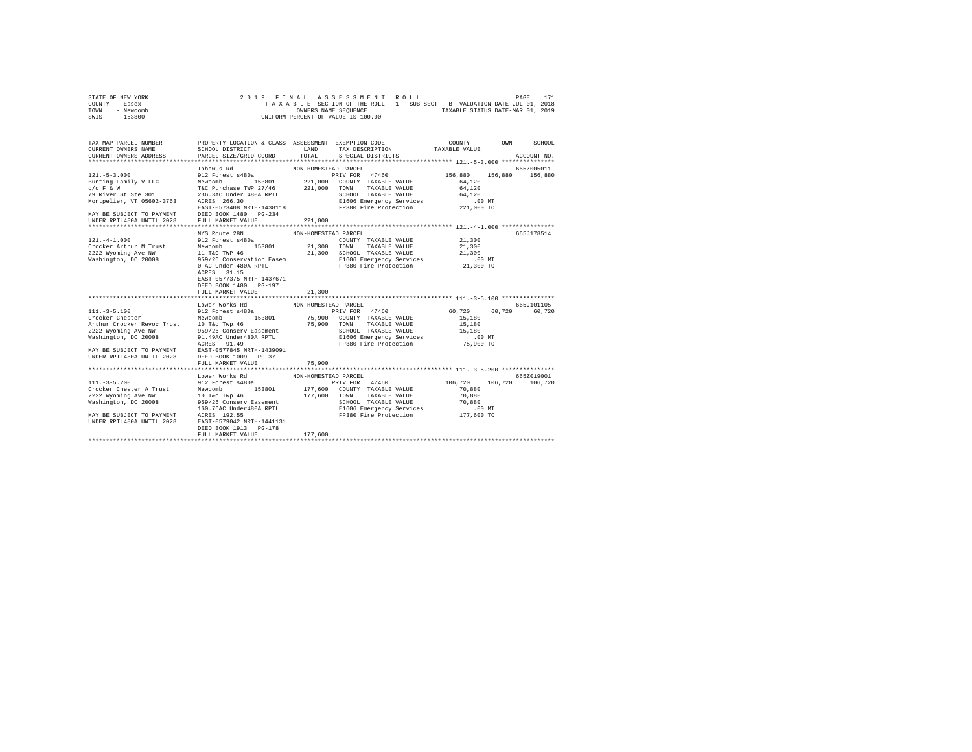| STATE OF NEW YORK |  |  |  | 2019 FINAL ASSESSMENT ROLL         |  |  |  |                                                                          | PAGE | 171 |
|-------------------|--|--|--|------------------------------------|--|--|--|--------------------------------------------------------------------------|------|-----|
| COUNTY - Essex    |  |  |  |                                    |  |  |  | TAXABLE SECTION OF THE ROLL - 1 SUB-SECT - B VALUATION DATE-JUL 01, 2018 |      |     |
| TOWN<br>- Newcomb |  |  |  | OWNERS NAME SEOUENCE               |  |  |  | TAXABLE STATUS DATE-MAR 01, 2019                                         |      |     |
| $-153800$<br>SWIS |  |  |  | UNIFORM PERCENT OF VALUE IS 100.00 |  |  |  |                                                                          |      |     |

| TAX MAP PARCEL NUMBER                                                                                                                                                                                                                |                                                                                                                                                                                                                             |                      | PROPERTY LOCATION & CLASS ASSESSMENT EXEMPTION CODE---------------COUNTY-------TOWN-----SCHOOL   |             |                 |
|--------------------------------------------------------------------------------------------------------------------------------------------------------------------------------------------------------------------------------------|-----------------------------------------------------------------------------------------------------------------------------------------------------------------------------------------------------------------------------|----------------------|--------------------------------------------------------------------------------------------------|-------------|-----------------|
| CURRENT OWNERS NAME                                                                                                                                                                                                                  | SCHOOL DISTRICT<br>PARCEL SIZE/GRID COORD                                                                                                                                                                                   | LAND                 | TAX DESCRIPTION TAXABLE VALUE                                                                    |             |                 |
| CURRENT OWNERS ADDRESS                                                                                                                                                                                                               |                                                                                                                                                                                                                             | TOTAL                | SPECIAL DISTRICTS                                                                                |             | ACCOUNT NO.     |
|                                                                                                                                                                                                                                      |                                                                                                                                                                                                                             |                      |                                                                                                  |             |                 |
|                                                                                                                                                                                                                                      | Tahawus Rd                                                                                                                                                                                                                  | NON-HOMESTEAD PARCEL |                                                                                                  |             | 665Z005011      |
| $121. - 5 - 3.000$                                                                                                                                                                                                                   | 912 Forest s480a                                                                                                                                                                                                            |                      | PRIV FOR 47460 156,880                                                                           | 156,880     | 156,880         |
|                                                                                                                                                                                                                                      |                                                                                                                                                                                                                             |                      |                                                                                                  | 64,120      |                 |
|                                                                                                                                                                                                                                      |                                                                                                                                                                                                                             |                      |                                                                                                  | 64,120      |                 |
| Bunting Family V LLC Mewcomb 153801 221,000 COUNTY TAXABLE VALUE C/O F & W<br>TEC Purchase TWP 27/46 221,000 TOUNTY TAXABLE VALUE<br>79 River St Ste 301 236.3AC Under 480A RPTL SCHOOL TAXABLE VALUE<br>19 Montpelier, VT 05602-376 |                                                                                                                                                                                                                             |                      | SCHOOL TAXABLE VALUE<br>E1606 Emergency Services to 1.00 MT<br>FP380 Fire Protection 1221,000 TO |             |                 |
|                                                                                                                                                                                                                                      |                                                                                                                                                                                                                             |                      |                                                                                                  |             |                 |
|                                                                                                                                                                                                                                      | EAST-0573408 NRTH-1438118                                                                                                                                                                                                   |                      |                                                                                                  |             |                 |
| MAY BE SUBJECT TO PAYMENT DEED BOOK 1480 PG-234<br>UNDER RPTL480A UNTIL 2028 FULL MARKET VALUE                                                                                                                                       |                                                                                                                                                                                                                             |                      |                                                                                                  |             |                 |
|                                                                                                                                                                                                                                      |                                                                                                                                                                                                                             | 221,000              |                                                                                                  |             |                 |
|                                                                                                                                                                                                                                      |                                                                                                                                                                                                                             |                      |                                                                                                  |             |                 |
|                                                                                                                                                                                                                                      | NYS Route 28N                                                                                                                                                                                                               | NON-HOMESTEAD PARCEL |                                                                                                  |             | 665J178514      |
| $121. -4 - 1.000$                                                                                                                                                                                                                    | 912 Forest s480a                                                                                                                                                                                                            |                      | COUNTY TAXABLE VALUE                                                                             | 21,300      |                 |
| Crocker Arthur M Trust                                                                                                                                                                                                               | 914 FORES SPONS 153801 21,300 TOWN TAXABLE VALUE 21,300<br>11 TAC TWP 46 21,300 SCHOOL TAXABLE VALUE 22,300<br>3959/26 Conservation Easem E1606 Emergency Services<br>10 AC Under 480A RPTL PT380 Fire Protection 21,300 TO |                      |                                                                                                  |             |                 |
| 2222 Wyoming Ave NW                                                                                                                                                                                                                  |                                                                                                                                                                                                                             |                      |                                                                                                  |             |                 |
| Washington, DC 20008                                                                                                                                                                                                                 |                                                                                                                                                                                                                             |                      |                                                                                                  |             |                 |
|                                                                                                                                                                                                                                      |                                                                                                                                                                                                                             |                      |                                                                                                  |             |                 |
|                                                                                                                                                                                                                                      | ACRES 31.15                                                                                                                                                                                                                 |                      |                                                                                                  |             |                 |
|                                                                                                                                                                                                                                      | EAST-0577375 NRTH-1437671                                                                                                                                                                                                   |                      |                                                                                                  |             |                 |
|                                                                                                                                                                                                                                      | DEED BOOK 1480 PG-197                                                                                                                                                                                                       |                      |                                                                                                  |             |                 |
|                                                                                                                                                                                                                                      | FULL MARKET VALUE                                                                                                                                                                                                           | 21,300               |                                                                                                  |             |                 |
|                                                                                                                                                                                                                                      |                                                                                                                                                                                                                             |                      |                                                                                                  |             |                 |
|                                                                                                                                                                                                                                      | Lower Works Rd                                                                                                                                                                                                              | NON-HOMESTEAD PARCEL |                                                                                                  |             | 665J101105      |
| $111. - 3 - 5.100$                                                                                                                                                                                                                   | 912 Forest s480a                                                                                                                                                                                                            |                      | PRIV FOR 47460 60,720                                                                            | 60.720      | 60,720          |
|                                                                                                                                                                                                                                      |                                                                                                                                                                                                                             |                      |                                                                                                  | $15\,, 180$ |                 |
|                                                                                                                                                                                                                                      |                                                                                                                                                                                                                             |                      |                                                                                                  | 15,180      |                 |
|                                                                                                                                                                                                                                      |                                                                                                                                                                                                                             |                      | SCHOOL TAXABLE VALUE 15,180<br>E1606 Emergency Services 100                                      |             |                 |
|                                                                                                                                                                                                                                      |                                                                                                                                                                                                                             |                      | E1606 Emergency Services 6.00 MT<br>FP380 Fire Protection 75,900 TO                              | .00 MT      |                 |
|                                                                                                                                                                                                                                      |                                                                                                                                                                                                                             |                      |                                                                                                  |             |                 |
|                                                                                                                                                                                                                                      |                                                                                                                                                                                                                             |                      |                                                                                                  |             |                 |
|                                                                                                                                                                                                                                      |                                                                                                                                                                                                                             |                      |                                                                                                  |             |                 |
|                                                                                                                                                                                                                                      | FULL MARKET VALUE                                                                                                                                                                                                           | 75,900               |                                                                                                  |             |                 |
|                                                                                                                                                                                                                                      |                                                                                                                                                                                                                             |                      |                                                                                                  |             |                 |
|                                                                                                                                                                                                                                      | Lower Works Rd                                                                                                                                                                                                              | NON-HOMESTEAD PARCEL |                                                                                                  |             | 665Z019001      |
|                                                                                                                                                                                                                                      |                                                                                                                                                                                                                             |                      |                                                                                                  | 106,720     | 106,720 106,720 |
|                                                                                                                                                                                                                                      |                                                                                                                                                                                                                             |                      |                                                                                                  | 70,880      |                 |
|                                                                                                                                                                                                                                      |                                                                                                                                                                                                                             |                      |                                                                                                  | 70,880      |                 |
|                                                                                                                                                                                                                                      | 959/26 Conserv Easement و المالكات الالتانية التي يتمسم المسلمين التي يتمسم التي يتمسم التي يتم التي يتم التي<br>160.76AC Under480A RPTL Electron evan rive protection 177,600 TO                                           |                      | SCHOOL TAXABLE VALUE                                                                             |             |                 |
|                                                                                                                                                                                                                                      |                                                                                                                                                                                                                             |                      |                                                                                                  |             |                 |
| 100.76AC UNDER<br>MAY BE SUBJECT TO PAYMENT ACRES 192.55                                                                                                                                                                             |                                                                                                                                                                                                                             |                      |                                                                                                  |             |                 |
| UNDER RPTL480A UNTIL 2028                                                                                                                                                                                                            | EAST-0579042 NRTH-1441131                                                                                                                                                                                                   |                      |                                                                                                  |             |                 |
|                                                                                                                                                                                                                                      | DEED BOOK 1913 PG-178                                                                                                                                                                                                       |                      |                                                                                                  |             |                 |
|                                                                                                                                                                                                                                      | FULL MARKET VALUE                                                                                                                                                                                                           | 177,600              |                                                                                                  |             |                 |
|                                                                                                                                                                                                                                      |                                                                                                                                                                                                                             |                      |                                                                                                  |             |                 |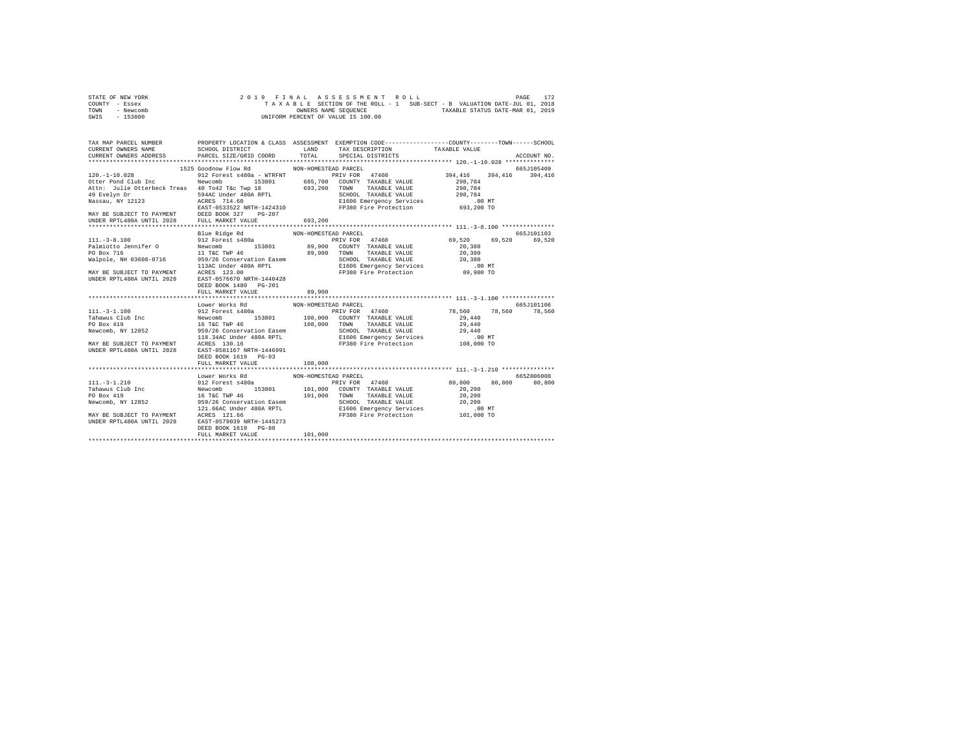| STATE OF NEW YORK | 2019 FINAL ASSESSMENT ROLL                                               | 172<br>PAGE                      |
|-------------------|--------------------------------------------------------------------------|----------------------------------|
| COUNTY - Essex    | TAXABLE SECTION OF THE ROLL - 1 SUB-SECT - B VALUATION DATE-JUL 01, 2018 |                                  |
| TOWN<br>- Newcomb | OWNERS NAME SEOUENCE                                                     | TAXABLE STATUS DATE-MAR 01, 2019 |
| - 153800<br>SWIS  | UNIFORM PERCENT OF VALUE IS 100.00                                       |                                  |

|                                                                                                                                                                                                                                            | 1525 Goodnow Flow Rd NON-HOMESTEAD PARCEL |  | 665J105409 |
|--------------------------------------------------------------------------------------------------------------------------------------------------------------------------------------------------------------------------------------------|-------------------------------------------|--|------------|
|                                                                                                                                                                                                                                            |                                           |  |            |
|                                                                                                                                                                                                                                            |                                           |  |            |
|                                                                                                                                                                                                                                            |                                           |  |            |
|                                                                                                                                                                                                                                            |                                           |  |            |
|                                                                                                                                                                                                                                            |                                           |  |            |
|                                                                                                                                                                                                                                            |                                           |  |            |
|                                                                                                                                                                                                                                            |                                           |  |            |
|                                                                                                                                                                                                                                            |                                           |  |            |
|                                                                                                                                                                                                                                            |                                           |  |            |
|                                                                                                                                                                                                                                            |                                           |  |            |
|                                                                                                                                                                                                                                            |                                           |  |            |
|                                                                                                                                                                                                                                            |                                           |  |            |
|                                                                                                                                                                                                                                            |                                           |  |            |
|                                                                                                                                                                                                                                            |                                           |  |            |
|                                                                                                                                                                                                                                            |                                           |  |            |
|                                                                                                                                                                                                                                            |                                           |  |            |
|                                                                                                                                                                                                                                            | DEED BOOK 1480 PG-201                     |  |            |
|                                                                                                                                                                                                                                            |                                           |  |            |
|                                                                                                                                                                                                                                            |                                           |  |            |
|                                                                                                                                                                                                                                            | Lower Works Rd MON-HOMESTEAD PARCEL       |  | 665J101106 |
|                                                                                                                                                                                                                                            |                                           |  |            |
|                                                                                                                                                                                                                                            |                                           |  |            |
|                                                                                                                                                                                                                                            |                                           |  |            |
|                                                                                                                                                                                                                                            |                                           |  |            |
|                                                                                                                                                                                                                                            |                                           |  |            |
|                                                                                                                                                                                                                                            |                                           |  |            |
|                                                                                                                                                                                                                                            |                                           |  |            |
|                                                                                                                                                                                                                                            |                                           |  |            |
|                                                                                                                                                                                                                                            |                                           |  |            |
|                                                                                                                                                                                                                                            |                                           |  |            |
|                                                                                                                                                                                                                                            |                                           |  |            |
|                                                                                                                                                                                                                                            |                                           |  |            |
|                                                                                                                                                                                                                                            |                                           |  |            |
|                                                                                                                                                                                                                                            |                                           |  |            |
|                                                                                                                                                                                                                                            |                                           |  |            |
|                                                                                                                                                                                                                                            |                                           |  |            |
|                                                                                                                                                                                                                                            |                                           |  |            |
|                                                                                                                                                                                                                                            |                                           |  |            |
|                                                                                                                                                                                                                                            |                                           |  |            |
| 111.-3-1.210<br>111.-3-1.210<br>111.-3-1.210<br>111.-3-1.210<br>111.-3-1.210<br>111.-3-1.210<br>111.-3-1.210<br>111.-3-1.210<br>111.-3-1.210<br>111.-3-1.210<br>112.5-210<br>12.5<br>PODEX APM CONDETE PIV FOR TAXABLE VALUE 80,800 80,800 |                                           |  |            |
|                                                                                                                                                                                                                                            |                                           |  |            |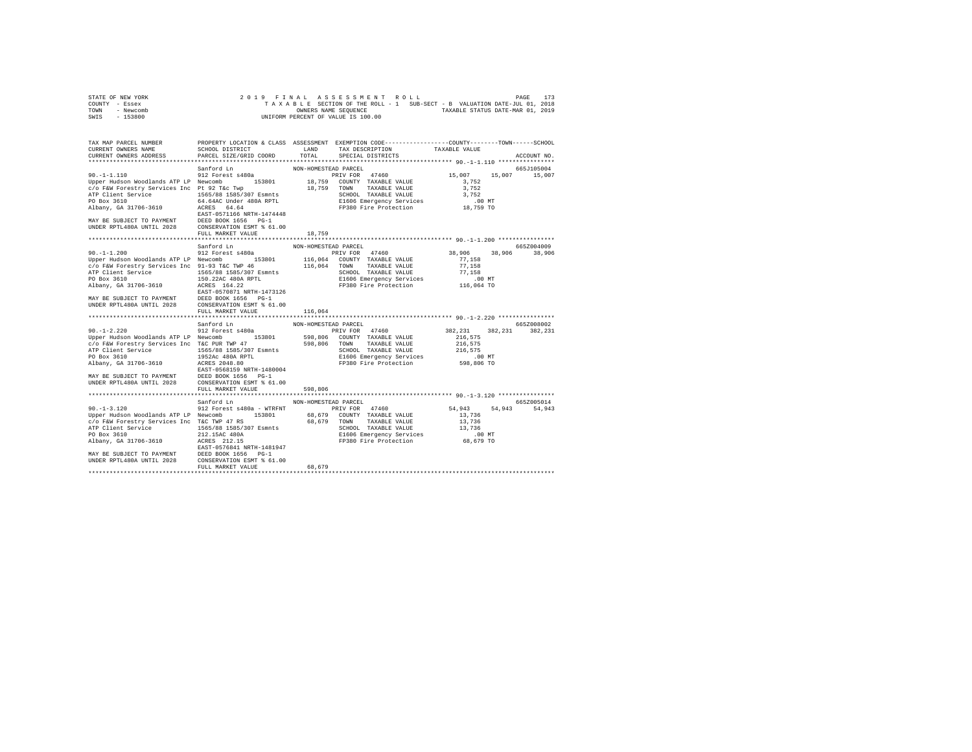| STATE OF NEW YORK | 2019 FINAL ASSESSMENT ROLL                                               | 173<br>PAGE                      |
|-------------------|--------------------------------------------------------------------------|----------------------------------|
| COUNTY - Essex    | TAXABLE SECTION OF THE ROLL - 1 SUB-SECT - B VALUATION DATE-JUL 01, 2018 |                                  |
| TOWN<br>- Newcomb | OWNERS NAME SEOUENCE                                                     | TAXABLE STATUS DATE-MAR 01, 2019 |
| $-153800$<br>SWIS | UNIFORM PERCENT OF VALUE IS 100.00                                       |                                  |

| TAX MAP PARCEL NUMBER<br>CURRENT OWNERS NAME<br>CURRENT OWNERS ADDRESS PARCEL SIZE/GRID COORD TOTAL SPECIAL DISTRICTS                                                                                                                                                                                                                                                                               |            |                      | PROPERTY LOCATION & CLASS ASSESSMENT EXEMPTION CODE----------------COUNTY-------TOWN------SCHOOL<br>SCHOOL DISTRICT                       LAND        TAX DESCRIPTION                  TAXABLE VALUE |                      |             |
|-----------------------------------------------------------------------------------------------------------------------------------------------------------------------------------------------------------------------------------------------------------------------------------------------------------------------------------------------------------------------------------------------------|------------|----------------------|------------------------------------------------------------------------------------------------------------------------------------------------------------------------------------------------------|----------------------|-------------|
|                                                                                                                                                                                                                                                                                                                                                                                                     |            |                      |                                                                                                                                                                                                      |                      | ACCOUNT NO. |
|                                                                                                                                                                                                                                                                                                                                                                                                     |            |                      |                                                                                                                                                                                                      |                      |             |
| ATP Client Services inc. $1565/88$ IS85/307 Esmnts<br>FORD TAXABLE VALUE 3,752<br>PO Box 3610<br>FORD TAXABLE VALUE 3,752<br>PO Box 3610<br>64.64AC Under 480A RPTL<br>ENDATY, GA 31706-3610<br>EXET OSTLE BOX 1664<br>RATE-0571166 RRTH-1474                                                                                                                                                       |            |                      |                                                                                                                                                                                                      |                      |             |
|                                                                                                                                                                                                                                                                                                                                                                                                     |            |                      |                                                                                                                                                                                                      |                      |             |
| 910.-1-1.200 912 Forest 8480a<br>Upper Hudson Woollands ATP LP Newcomb 153801 116,064 COUNTY TAXABLE VALUE 98,906 38,906<br>C/O F&W FOREST SPIN 10,064 COUNTY TAXABLE VALUE 77,158<br>ATP Client Services Inc 191-93 TaC TWP 16064 C                                                                                                                                                                |            |                      |                                                                                                                                                                                                      |                      |             |
|                                                                                                                                                                                                                                                                                                                                                                                                     |            |                      |                                                                                                                                                                                                      |                      |             |
|                                                                                                                                                                                                                                                                                                                                                                                                     |            |                      |                                                                                                                                                                                                      |                      |             |
| 91.-1-2.220<br>Upper Hudson Woodlands ATP LP Forest s480a<br>(o) FRIV FOR 14460<br>Upper Hudson Woodlands ATP LP Forest s480a<br>(o) F&W Forestry Services Inc CUR TWP 47<br>AND 1558010 598,806 CONNTY TAXABLE VALUE 216,575<br>ATP Clien                                                                                                                                                          |            |                      |                                                                                                                                                                                                      |                      |             |
|                                                                                                                                                                                                                                                                                                                                                                                                     |            |                      |                                                                                                                                                                                                      |                      |             |
|                                                                                                                                                                                                                                                                                                                                                                                                     | Sanford Ln | NON-HOMESTEAD PARCEL |                                                                                                                                                                                                      |                      | 665Z005014  |
| $90. -1 - 3.120$ 912 Forest s480a - WTRFNT 9RIV FOR 47460<br>Upper Hudson Woodlands ATP LP Newcomb 153801 68,679 COUNTY TAXABLE VALUE 13,736<br>Upper Huson Woollands ATP LP Newton<br>$\sigma$ ( <i>C</i> F&W Forestry Services Inc TkC TWP 47 RS<br>ATP Client Service is the CHO 12 State of the S6,679 TOWN TAXABLE VALUE 13,736<br>ATP Client Service 212.15<br>PD Box 3610<br>212.15<br>PD Bo |            |                      |                                                                                                                                                                                                      | 54,943 54,943 54,943 |             |
|                                                                                                                                                                                                                                                                                                                                                                                                     |            |                      |                                                                                                                                                                                                      |                      |             |
|                                                                                                                                                                                                                                                                                                                                                                                                     |            |                      |                                                                                                                                                                                                      |                      |             |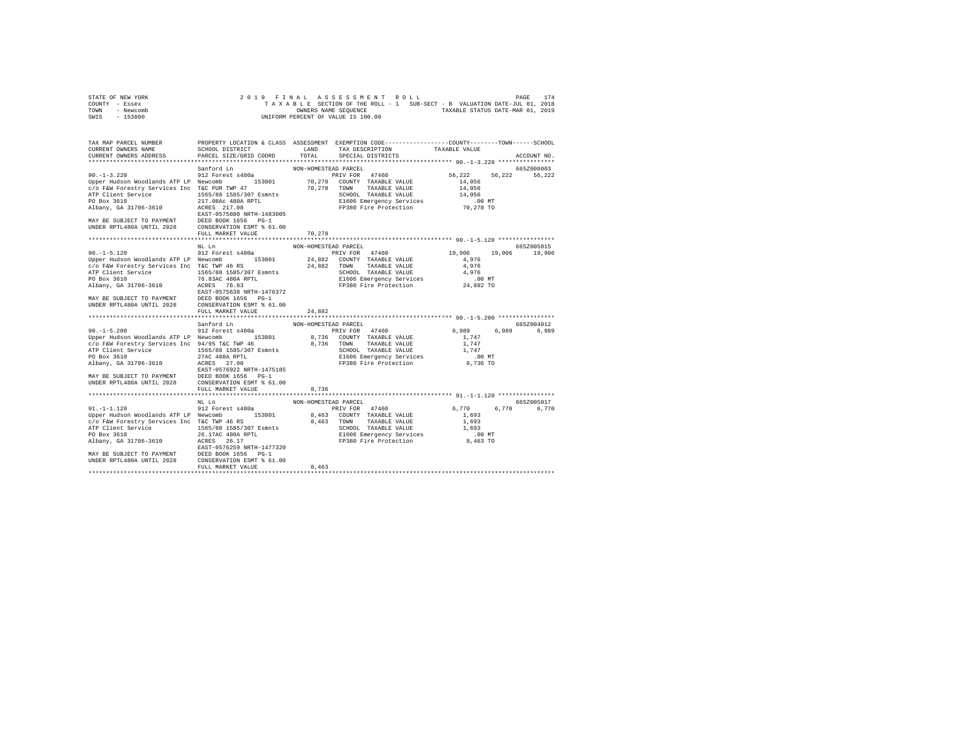| STATE OF NEW YORK | 2019 FINAL ASSESSMENT ROLL                                               | 174<br>PAGE                      |
|-------------------|--------------------------------------------------------------------------|----------------------------------|
| COUNTY - Essex    | TAXABLE SECTION OF THE ROLL - 1 SUB-SECT - B VALUATION DATE-JUL 01, 2018 |                                  |
| TOWN<br>- Newcomb | OWNERS NAME SEOUENCE                                                     | TAXABLE STATUS DATE-MAR 01, 2019 |
| - 153800<br>SWIS  | UNIFORM PERCENT OF VALUE IS 100.00                                       |                                  |

| TAX MAP PARCEL NUMBER<br>CURRENT OWNERS NAME<br>CURRENT OWNERS ADDRESS PARCEL SIZE/GRID COORD                                                                                                                                                                                                                                                                               | SCHOOL DISTRICT TAND TAX DESCRIPTION |                               | PROPERTY LOCATION & CLASS ASSESSMENT EXEMPTION CODE----------------COUNTY--------TOWN------SCHOOL<br>TOTAL SPECIAL DISTRICTS                                       | TAXABLE VALUE                                         |                             |
|-----------------------------------------------------------------------------------------------------------------------------------------------------------------------------------------------------------------------------------------------------------------------------------------------------------------------------------------------------------------------------|--------------------------------------|-------------------------------|--------------------------------------------------------------------------------------------------------------------------------------------------------------------|-------------------------------------------------------|-----------------------------|
|                                                                                                                                                                                                                                                                                                                                                                             |                                      |                               |                                                                                                                                                                    |                                                       | ACCOUNT NO.                 |
| Sanford Ln<br>90.-1-3.220 912 Forest s480a<br>Upper Hudson Woodlands ATP LP Newcomb 153801<br>c/o F&W Forestry Services Inc T&C PUR TWP 47<br>EXP ENFIRE THE SERVICES IN THE SERVICE STATES AND MATCHET SAME PART OF BOX 3610 SERVICE STATES AND ARE ALL ON THE SERVICE STATES AND MANY BE SUBJECT TO PAYMENT RATE STATES AND THE SERVICE STATES AND THE SERVICE STATES AND |                                      | NON-HOMESTEAD PARCEL          | 70,278 TOWN TAXABLE VALUE<br>SCHOOL TAXABLE VALUE<br>E1606 Emergency Services [1606 The Protection 70,278 TO                                                       | 14,056                                                | 665Z008003                  |
|                                                                                                                                                                                                                                                                                                                                                                             |                                      | 70,278                        |                                                                                                                                                                    |                                                       |                             |
| $90. -1 - 5.120$<br>Upper Hudson Woodlands ATP LP Newcomb 153801 24,882 COUNTY TAXABLE VALUE<br>c/o F&W Forestry Services Inc T&C TWP 46 RS 24,882 TOWN TAXABLE VALUE                                                                                                                                                                                                       | NL Ln<br>мь ші<br>912 Forest s480a   | NON-HOMESTEAD PARCEL          | PRIV FOR 47460 19,906                                                                                                                                              | 4,976<br>4,976                                        | 665Z005015<br>19,906 19,906 |
|                                                                                                                                                                                                                                                                                                                                                                             |                                      | NON-HOMESTEAD PARCEL          |                                                                                                                                                                    |                                                       | 665Z004012                  |
| $90. -1 - 5.200$<br>Upper Hudson Woodlands ATP LP Newcomb 153801<br>c/o F&W Forestry Services Inc 94/95 T&C TWP 46<br>NTP Client Services III 1555/88 1585/307 Esmnts<br>27 De Box 3610<br>27 De Box 31706-3610<br>27 De Box 31706-3610<br>27 De Box 327 OD<br>27 DE BOX 1655<br>27 DE BOX 1656 PO-1<br>2028 DE BOX 1656 PO-1<br>2028 DE BOX 1656 PO-1<br>2028 DE BOX       | Sanford Ln<br>912 Forest s480a       |                               | PRIV FOR 47460<br>8,736 COUNTY TAXABLE VALUE<br>8,736 TOWN TAXABLE VALUE<br>SCHOOL TAXABLE VALUE 1,747<br>E1606 Emergency Services .00 MT<br>FP380 Fire Protection | 6,989 6,989 6,989<br>$1\,,\,747$<br>1,747<br>8,736 TO |                             |
|                                                                                                                                                                                                                                                                                                                                                                             | FULL MARKET VALUE                    | 8,736                         |                                                                                                                                                                    |                                                       |                             |
| 91.-1-1.120 912 Forest s480a<br>Upper Hudson Woodlands ATP LP Newcomb 153801 8,463 COUNTY TAXABLE VALUE<br>% when under the services of the CIVE of the Magnus Arizon and the CFA of the Magnus Arizon of the Magnus ( $\sim$ 0 F&W Forestry Services Inc TRC TWP 46 RS<br>ATP Client Service 1565/88 1585/307 Esmmts 3,463 TOWN TAXABLE VALUE                              | NL Ln<br>FULL MARKET VALUE           | NON-HOMESTEAD PARCEL<br>8,463 | PRIV FOR 47460                                                                                                                                                     | 6,770 6,770<br>1,693                                  | 665Z005017<br>6,770         |
|                                                                                                                                                                                                                                                                                                                                                                             |                                      |                               |                                                                                                                                                                    |                                                       |                             |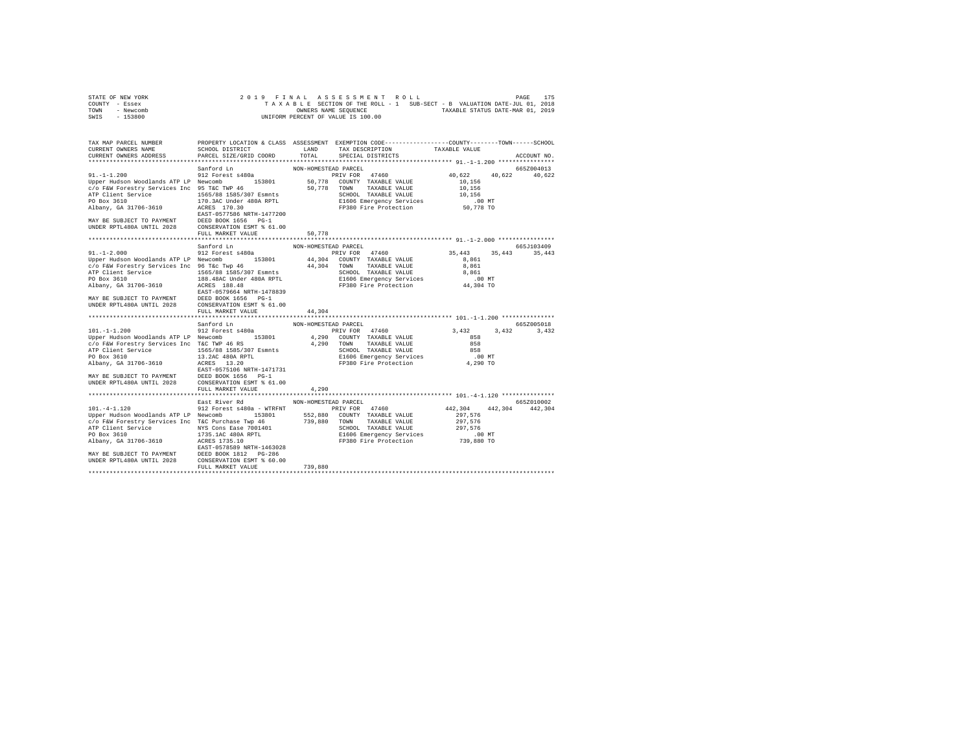| STATE OF NEW YORK |  |  | 2019 FINAL ASSESSMENT ROLL         |  |  |  |                                                                          | PAGE | 175 |
|-------------------|--|--|------------------------------------|--|--|--|--------------------------------------------------------------------------|------|-----|
| COUNTY - Essex    |  |  |                                    |  |  |  | TAXABLE SECTION OF THE ROLL - 1 SUB-SECT - B VALUATION DATE-JUL 01, 2018 |      |     |
| TOWN<br>- Newcomb |  |  | OWNERS NAME SEOUENCE               |  |  |  | TAXABLE STATUS DATE-MAR 01, 2019                                         |      |     |
| $-153800$<br>SWIS |  |  | UNIFORM PERCENT OF VALUE IS 100.00 |  |  |  |                                                                          |      |     |

| 19.1-11.200<br>19.17.000 Sanford In NON-HOMESTERD PRCEL<br>19.17.1200 -1.1.200 -1.1.200 -1.200 -1.200 -1.200 -1.200 -1.200 -1.200 -1.200 -1.200 -1.200 -1.200 -1.200 -1.200 -1.200 -1.200 -1.200 -1.200 -1.200 -1.200 -1.200 -1.2                                                                                                                                                                                                                                          |                                    |       |                         |            |
|----------------------------------------------------------------------------------------------------------------------------------------------------------------------------------------------------------------------------------------------------------------------------------------------------------------------------------------------------------------------------------------------------------------------------------------------------------------------------|------------------------------------|-------|-------------------------|------------|
|                                                                                                                                                                                                                                                                                                                                                                                                                                                                            |                                    |       |                         |            |
| Sanford Ln MON-HOMESTEAD PARCEL 912 Forest s480a<br>912 Forest s480a 912 Forest s480a PETV FOR 47460 921 FOR 912 FOR 47460<br>Upper Hudson Woodlands ATP LP Newcomb 153801 4,290 COUNTY TAXABLE VALUE 858<br>C/O F&W Forestry Servic<br>ATP Client Services inc. 1471731 ATP Client Services inc. 147279 CHOOL TAXABLE VALUE 2028<br>2010 1990 Box 3610<br>2019 1990 Box 313, 2010 12130 E1606 Emergency Services 1698<br>2010 121324 2028 E1606 Emergency Services 10 0 M | FULL MARKET VALUE                  | 4,290 | $3,432$ $3,432$ $3,432$ | 665Z005018 |
| 32 East River Rd = 1012 Forest 480a - WTREWIND PRICEL<br>Upper Hudson Woolands ATP LP Newcomb 153801 552,880 COUNTY TAXABLE VALUE 297,576<br>C/O F&W Forestry Services Inc TkC Purchase Twp 46<br>ATP Client Service To PAYS CONSERV                                                                                                                                                                                                                                       | East River Rd MON-HOMESTEAD PARCEL |       | 442,304 442,304 442,304 | 665Z010002 |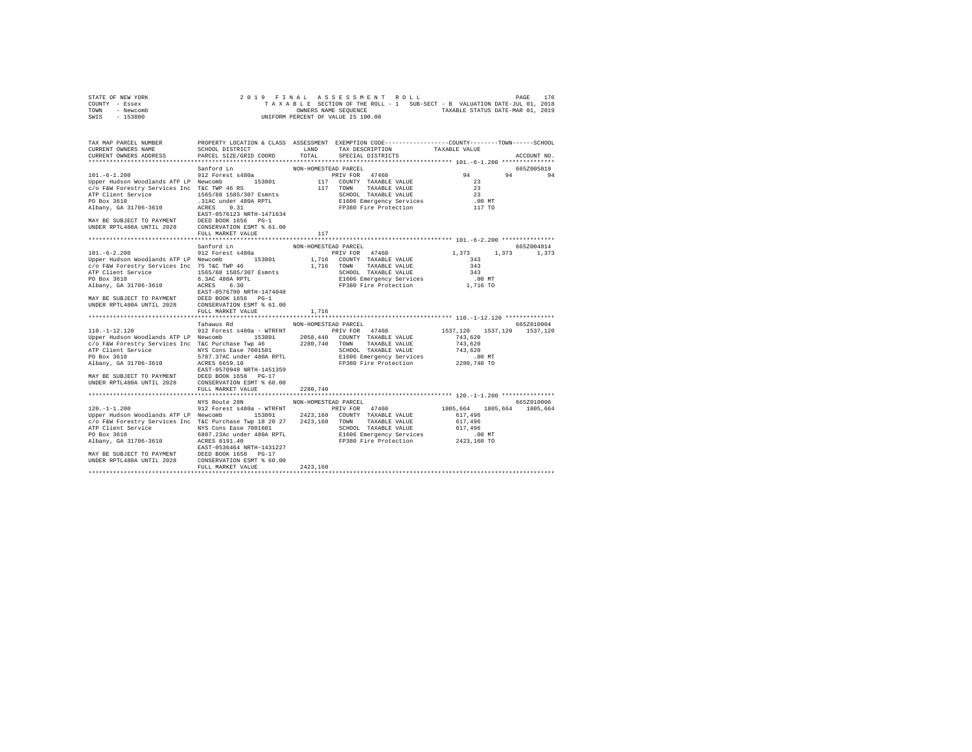| STATE OF NEW YORK |  |  |  |  |                                    |  |  |  | 2019 FINAL ASSESSMENT ROLL |                                                                          | PAGE | 176 |
|-------------------|--|--|--|--|------------------------------------|--|--|--|----------------------------|--------------------------------------------------------------------------|------|-----|
| COUNTY - Essex    |  |  |  |  |                                    |  |  |  |                            | TAXABLE SECTION OF THE ROLL - 1 SUB-SECT - B VALUATION DATE-JUL 01, 2018 |      |     |
| TOWN<br>- Newcomb |  |  |  |  | OWNERS NAME SEOUENCE               |  |  |  |                            | TAXABLE STATUS DATE-MAR 01, 2019                                         |      |     |
| $-153800$<br>SWIS |  |  |  |  | UNIFORM PERCENT OF VALUE IS 100.00 |  |  |  |                            |                                                                          |      |     |

| 101.-6-1.200<br>101.-6-1.200<br>112 Torst S480a<br>12 Torst S480a<br>117 COUNTY TAXABLE VALUE<br>23<br>23 The City Services Inc CWP 46 RS<br>23 The COUNTY TAXABLE VALUE<br>23<br>23 The CHORE SERVICE<br>23 The CHORE SERVICE<br>23<br>23 The CHORE S                                                                                                                                                                                                                          |                                    |                      |                      | $94$ $94$ $94$                        | 665Z005019  |
|---------------------------------------------------------------------------------------------------------------------------------------------------------------------------------------------------------------------------------------------------------------------------------------------------------------------------------------------------------------------------------------------------------------------------------------------------------------------------------|------------------------------------|----------------------|----------------------|---------------------------------------|-------------|
|                                                                                                                                                                                                                                                                                                                                                                                                                                                                                 |                                    |                      |                      |                                       |             |
|                                                                                                                                                                                                                                                                                                                                                                                                                                                                                 |                                    | 117                  |                      |                                       |             |
|                                                                                                                                                                                                                                                                                                                                                                                                                                                                                 |                                    |                      |                      |                                       |             |
| $101. -6 - 2.200$                                                                                                                                                                                                                                                                                                                                                                                                                                                               | Sanford Ln<br>912 Forest s480a     | NON-HOMESTEAD PARCEL | PRIV FOR 47460 1,373 |                                       | 665Z004014  |
|                                                                                                                                                                                                                                                                                                                                                                                                                                                                                 |                                    |                      |                      |                                       | 1,373 1,373 |
|                                                                                                                                                                                                                                                                                                                                                                                                                                                                                 |                                    |                      |                      |                                       |             |
|                                                                                                                                                                                                                                                                                                                                                                                                                                                                                 |                                    |                      |                      |                                       |             |
|                                                                                                                                                                                                                                                                                                                                                                                                                                                                                 |                                    |                      |                      |                                       |             |
| Tahawus Rd<br>912 Forest s480a - WTRFNT PRIV FOR 47460 1537,120 1537,120 1537,120 1537,120                                                                                                                                                                                                                                                                                                                                                                                      |                                    |                      |                      |                                       |             |
|                                                                                                                                                                                                                                                                                                                                                                                                                                                                                 |                                    |                      |                      |                                       |             |
|                                                                                                                                                                                                                                                                                                                                                                                                                                                                                 |                                    |                      |                      |                                       |             |
|                                                                                                                                                                                                                                                                                                                                                                                                                                                                                 |                                    |                      |                      |                                       |             |
|                                                                                                                                                                                                                                                                                                                                                                                                                                                                                 |                                    |                      |                      |                                       |             |
| 10.7-12.1200 MAY BE SUBJECT TO PAYMENT DEED BOOK 1658 POPER IN THE PROPERTY SERVICE OF FRAMELY SUBSEX AND TRANSLE VALUE (1994) 4337<br>APP Client Services Inc CF Curchase Twp 46 2280,740 TOWN TAXABLE VALUE 743,620<br>ATP Client                                                                                                                                                                                                                                             | FULL MARKET VALUE                  | 2280,740             |                      |                                       |             |
|                                                                                                                                                                                                                                                                                                                                                                                                                                                                                 |                                    |                      |                      |                                       |             |
|                                                                                                                                                                                                                                                                                                                                                                                                                                                                                 | NYS Route 28N NON-HOMESTEAD PARCEL |                      |                      |                                       | 665Z010006  |
| $120. -1 - 1.200$ 912 Forest s480a - WTRFNT 9RIV FOR 47460<br>Upper Hudson Woodlands ATP LP Newcomb 153801 2423,160 COUNTY TAXABLE VALUE 617,496<br>c/o F&W Forestry Services Inc T&C Purchase Twp 18 20 27 2423,160 TOWN TAXABLE VALUE<br>ATP Client Services into a material and the services of the service of the service of the SCHOOL TAXABLE VALUE 617,496<br>PO Box 3610 6001 236 under 480A RPTL<br>PO Box 3610 6001.<br>ALBANY, GA 31706-3610 ACRES 8191.40<br>NAY BE |                                    |                      |                      | 1805.664 1805.664 1805.664<br>617,496 |             |
|                                                                                                                                                                                                                                                                                                                                                                                                                                                                                 | FULL MARKET VALUE 2423,160         |                      |                      |                                       |             |
|                                                                                                                                                                                                                                                                                                                                                                                                                                                                                 |                                    |                      |                      |                                       |             |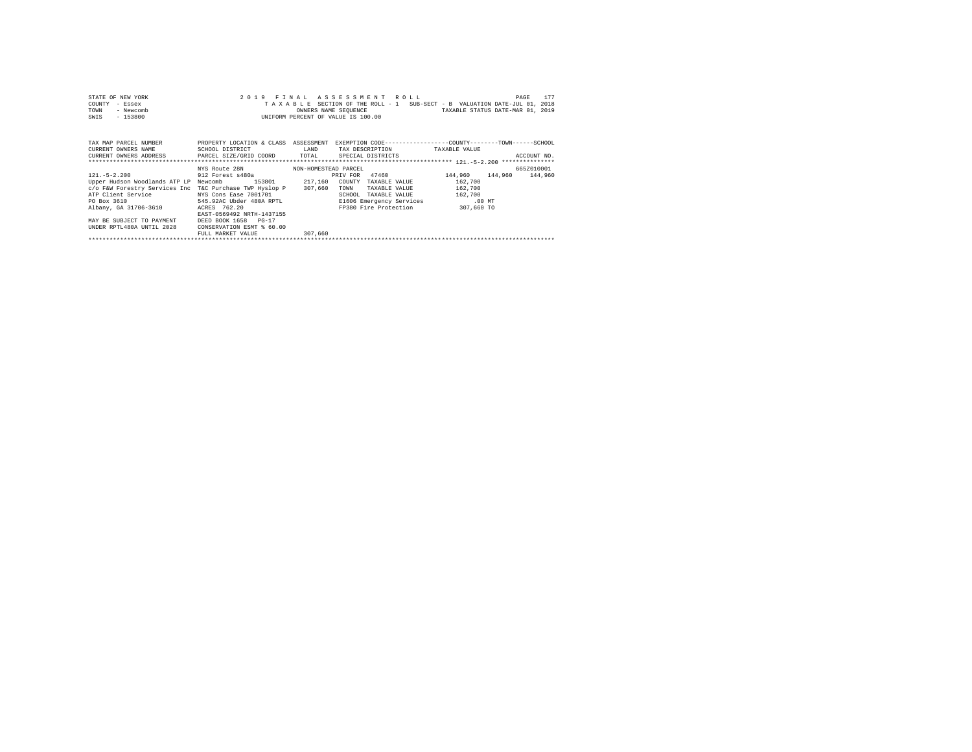| STATE OF NEW YORK<br>COUNTY<br>- Essex<br>- Newcomb<br>TOWN<br>$-153800$<br>SWIS |                                                         |                      | 2019 FINAL ASSESSMENT ROLL<br>TAXABLE SECTION OF THE ROLL - 1 SUB-SECT - B VALUATION DATE-JUL 01, 2018<br>OWNERS NAME SEQUENCE TAND TAXABLE STATUS DATE-MAR 01, 2019<br>UNIFORM PERCENT OF VALUE IS 100.00 |               | 177<br>PAGE             |
|----------------------------------------------------------------------------------|---------------------------------------------------------|----------------------|------------------------------------------------------------------------------------------------------------------------------------------------------------------------------------------------------------|---------------|-------------------------|
| TAX MAP PARCEL NUMBER<br>CURRENT OWNERS NAME                                     | PROPERTY LOCATION & CLASS ASSESSMENT<br>SCHOOL DISTRICT | LAND                 | EXEMPTION CODE-----------------COUNTY-------TOWN------SCHOOL<br>TAX DESCRIPTION                                                                                                                            | TAXABLE VALUE |                         |
| CURRENT OWNERS ADDRESS                                                           | PARCEL SIZE/GRID COORD                                  | TOTAL                | SPECIAL DISTRICTS                                                                                                                                                                                          |               | ACCOUNT NO.             |
|                                                                                  |                                                         |                      |                                                                                                                                                                                                            |               |                         |
|                                                                                  | NYS Route 28N                                           | NON-HOMESTEAD PARCEL |                                                                                                                                                                                                            |               | 665Z010001              |
| $121. -5 - 2.200$                                                                | 912 Forest s480a                                        |                      | 47460<br>PRIV FOR                                                                                                                                                                                          |               | 144,960 144,960 144,960 |
| Upper Hudson Woodlands ATP LP Newcomb                                            | 153801                                                  | 217,160              | COUNTY<br>TAXABLE VALUE                                                                                                                                                                                    | 162,700       |                         |
| c/o F&W Forestry Services Inc T&C Purchase TWP Hyslop P                          |                                                         | 307,660              | TOWN<br>TAXABLE VALUE                                                                                                                                                                                      | 162,700       |                         |
| ATP Client Service                                                               | NYS Cons Ease 7001701                                   |                      | SCHOOL TAXABLE VALUE                                                                                                                                                                                       | 162,700       |                         |
| PO Box 3610 545.92AC Ubder 480A RPTL                                             |                                                         |                      | E1606 Emergency Services .00 MT                                                                                                                                                                            |               |                         |
| $11.1$ , $13.1706.2510$ $10.770$ $10.700$                                        |                                                         |                      | $\frac{1}{2}$                                                                                                                                                                                              |               |                         |

FO Box 3610<br>
Albany, GA 31706-3610<br>
MAN BE SUBJECT TO PAYMENT DESCRIPED BOX 1658 POLICE PRESS 762.20<br>
MAY BE SUBJECT TO PAYMENT DEED BOX 1658 PO-17<br>
MAY BE SUBJECT TO PAYMENT DEED BOX CONSERVATION ESM' \$ 60.00<br>
TUNDER RETL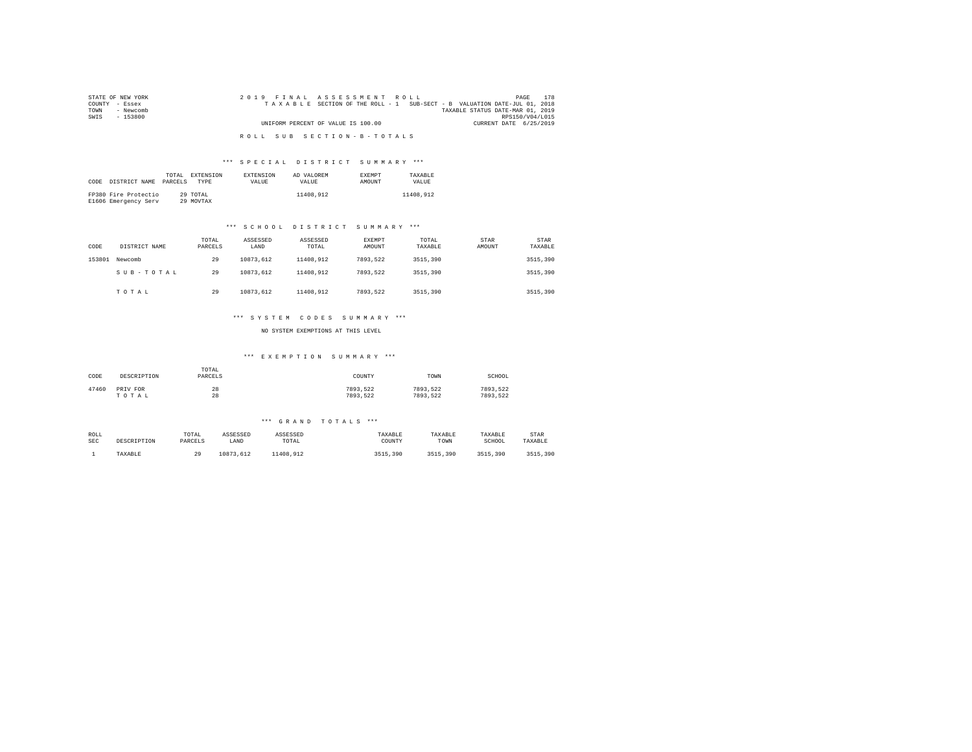| STATE OF NEW YORK | 2019 FINAL ASSESSMENT ROLL                                               | 178<br>PAGE                      |
|-------------------|--------------------------------------------------------------------------|----------------------------------|
| COUNTY - Essex    | TAXABLE SECTION OF THE ROLL - 1 SUB-SECT - B VALUATION DATE-JUL 01, 2018 |                                  |
| TOWN<br>- Newcomb |                                                                          | TAXABLE STATUS DATE-MAR 01, 2019 |
| SWIS<br>- 153800  |                                                                          | RPS150/V04/L015                  |
|                   | UNIFORM PERCENT OF VALUE IS 100.00                                       | CURRENT DATE 6/25/2019           |
|                   |                                                                          |                                  |
|                   | ROLL SUB SECTION-B-TOTALS                                                |                                  |

#### \*\*\* S P E C I A L D I S T R I C T S U M M A R Y \*\*\*

| CODE | DISTRICT NAME                                | TOTAL.<br>PARCELS | EXTENSION<br><b>TYPE</b> | <b>EXTENSION</b><br><b>VALUE</b> | AD VALOREM<br>VALUE. | <b>EXEMPT</b><br>AMOUNT | TAXARLE<br>VALUE |
|------|----------------------------------------------|-------------------|--------------------------|----------------------------------|----------------------|-------------------------|------------------|
|      | FP380 Fire Protectio<br>E1606 Emergency Serv |                   | 29 TOTAL<br>29 MOVTAX    |                                  | 11408.912            |                         | 11408.912        |

#### \*\*\* S C H O O L D I S T R I C T S U M M A R Y \*\*\*

| CODE   | DISTRICT NAME | TOTAL<br>PARCELS | ASSESSED<br>LAND | ASSESSED<br>TOTAL | <b>EXEMPT</b><br>AMOUNT | TOTAL<br>TAXABLE | STAR<br>AMOUNT | <b>STAR</b><br>TAXABLE |
|--------|---------------|------------------|------------------|-------------------|-------------------------|------------------|----------------|------------------------|
| 153801 | Newcomb       | 29               | 10873.612        | 11408.912         | 7893.522                | 3515,390         |                | 3515,390               |
|        | SUB-TOTAL     | 29               | 10873.612        | 11408.912         | 7893.522                | 3515,390         |                | 3515,390               |
|        | TOTAL         | 29               | 10873.612        | 11408.912         | 7893.522                | 3515,390         |                | 3515,390               |

## \*\*\* S Y S T E M C O D E S S U M M A R Y \*\*\*

NO SYSTEM EXEMPTIONS AT THIS LEVEL

#### \*\*\* E X E M P T I O N S U M M A R Y \*\*\*

| CODE  | DESCRIPTION | TOTAL<br>PARCELS | COUNTY   | TOWN     | SCHOOL   |
|-------|-------------|------------------|----------|----------|----------|
| 47460 | PRIV FOR    | 28               | 7893.522 | 7893.522 | 7893.522 |
|       | TOTAL       | 28               | 7893.522 | 7893.522 | 7893.522 |

| ROLL | DESCRIPTION | TOTAL    | ASSESSED  | ASSESSED  | TAXABLE  | TAXABLE  | TAXABLE  | STAR     |
|------|-------------|----------|-----------|-----------|----------|----------|----------|----------|
| SEC  |             | PARCELS  | LAND      | TOTAL     | COUNTY   | TOWN     | SCHOOL   | TAXABLE  |
|      | TAXABLE     | 20<br>45 | 10873.612 | 11408.912 | 3515,390 | 3515,390 | 3515,390 | 3515,390 |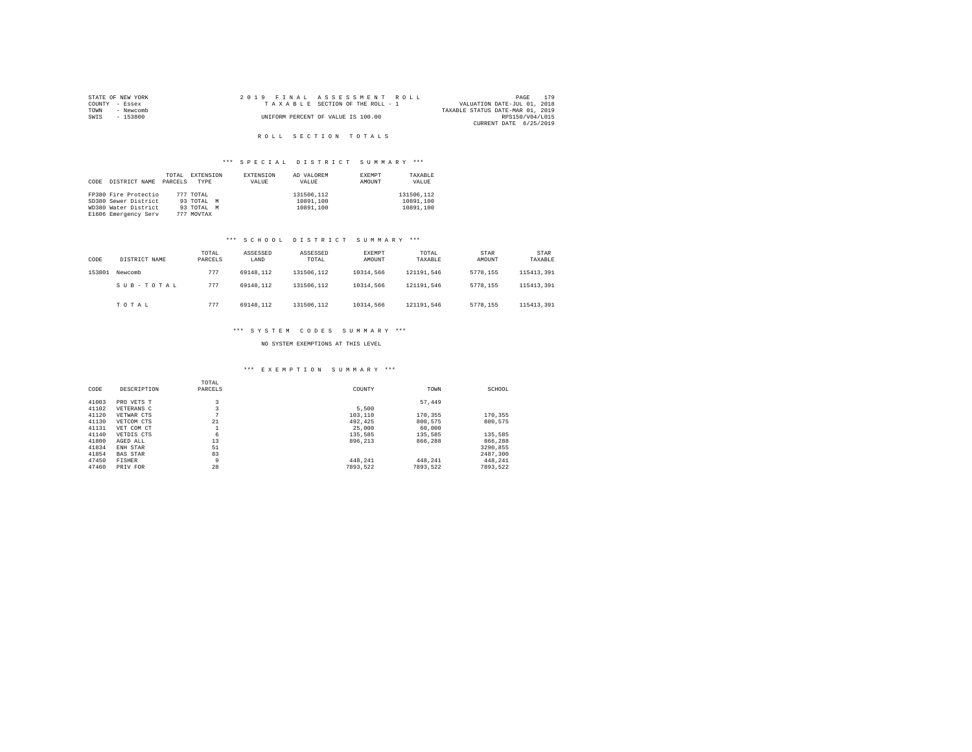|                | STATE OF NEW YORK | 2019 FINAL ASSESSMENT ROLL         |                                  | PAGE 179 |
|----------------|-------------------|------------------------------------|----------------------------------|----------|
| COUNTY - Essex |                   | TAXABLE SECTION OF THE ROLL - 1    | VALUATION DATE-JUL 01, 2018      |          |
| TOWN           | - Newcomb         |                                    | TAXABLE STATUS DATE-MAR 01, 2019 |          |
| SWIS           | $-153800$         | UNIFORM PERCENT OF VALUE IS 100.00 | RPS150/V04/L015                  |          |
|                |                   |                                    | CURRENT DATE 6/25/2019           |          |

## ROLL SECTION TOTALS

# \*\*\* S P E C I A L D I S T R I C T S U M M A R Y \*\*\*

| CODE | DISTRICT NAME        | TOTAL<br>PARCELS | <b>EXTENSION</b><br>TYPE | EXTENSION<br>VALUE | AD VALOREM<br>VALUE | EXEMPT<br>AMOUNT | TAXABLE<br>VALUE |
|------|----------------------|------------------|--------------------------|--------------------|---------------------|------------------|------------------|
|      | FP380 Fire Protectio |                  | 777 TOTAL                |                    | 131506.112          |                  | 131506.112       |
|      | SD380 Sewer District |                  | 93 TOTAL M               |                    | 10891.100           |                  | 10891.100        |
|      | WD380 Water District |                  | 93 TOTAL M               |                    | 10891.100           |                  | 10891.100        |
|      | E1606 Emergency Serv |                  | 777 MOVTAX               |                    |                     |                  |                  |

# \*\*\* S C H O O L D I S T R I C T S U M M A R Y \*\*\*

| CODE   | DISTRICT NAME | TOTAL<br>PARCELS | ASSESSED<br>LAND | ASSESSED<br>TOTAL | EXEMPT<br>AMOUNT | TOTAL<br>TAXABLE | STAR<br>AMOUNT | <b>STAR</b><br>TAXABLE |
|--------|---------------|------------------|------------------|-------------------|------------------|------------------|----------------|------------------------|
| 153801 | Newcomb       | 777              | 69148.112        | 131506.112        | 10314,566        | 121191.546       | 5778.155       | 115413,391             |
|        | SUB-TOTAL     | 777              | 69148.112        | 131506.112        | 10314,566        | 121191.546       | 5778.155       | 115413,391             |
|        | TOTAL         | 777              | 69148.112        | 131506.112        | 10314,566        | 121191.546       | 5778.155       | 115413,391             |

# \*\*\* S Y S T E M C O D E S S U M M A R Y \*\*\*

## NO SYSTEM EXEMPTIONS AT THIS LEVEL

# \*\*\* E X E M P T I O N S U M M A R Y \*\*\*

| CODE  | DESCRIPTION     | TOTAL<br>PARCELS | COUNTY   | TOWN     | SCHOOL   |
|-------|-----------------|------------------|----------|----------|----------|
| 41003 | PRO VETS T      | 3                |          | 57.449   |          |
| 41102 | VETERANS C      | 3                | 5,500    |          |          |
| 41120 | VETWAR CTS      | ÷                | 103,110  | 170.355  | 170.355  |
| 41130 | VETCOM CTS      | 21               | 492.425  | 800,575  | 800.575  |
| 41131 | VET COM CT      |                  | 25,000   | 60,000   |          |
| 41140 | VETDIS CTS      | 6                | 135.585  | 135,585  | 135.585  |
| 41800 | AGED ALL        | 13               | 896.213  | 866,288  | 866.288  |
| 41834 | ENH STAR        | 51               |          |          | 3290.855 |
| 41854 | <b>BAS STAR</b> | 83               |          |          | 2487.300 |
| 47450 | <b>FISHER</b>   | 9                | 448.241  | 448.241  | 448.241  |
| 47460 | PRIV FOR        | 28               | 7893.522 | 7893.522 | 7893.522 |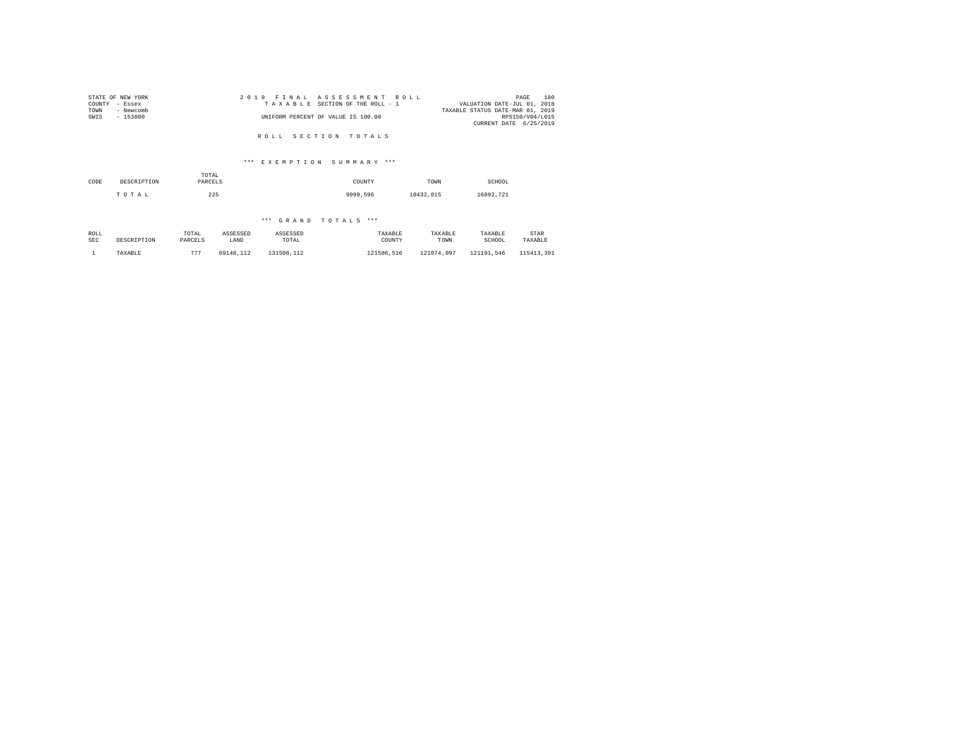|                | STATE OF NEW YORK |  |  | 2019 FINAL ASSESSMENT ROLL         |                                  | PAGE            | 180 |
|----------------|-------------------|--|--|------------------------------------|----------------------------------|-----------------|-----|
| COUNTY - Essex |                   |  |  | TAXABLE SECTION OF THE ROLL - 1    | VALUATION DATE-JUL 01, 2018      |                 |     |
| TOWN           | - Newcomb         |  |  |                                    | TAXABLE STATUS DATE-MAR 01, 2019 |                 |     |
| SWIS           | - 153800          |  |  | UNIFORM PERCENT OF VALUE IS 100.00 |                                  | RPS150/V04/L015 |     |
|                |                   |  |  |                                    | CURRENT DATE 6/25/2019           |                 |     |
|                |                   |  |  |                                    |                                  |                 |     |

R O L L S E C T I O N T O T A L S

# \*\*\* E X E M P T I O N S U M M A R Y \*\*\*

| CODE | DESCRIPTION | TOTAL<br>PARCELS | COUNTY   | TOWN      | SCHOOL    |
|------|-------------|------------------|----------|-----------|-----------|
|      | TOTAL       | 225              | 9999,596 | 10432.015 | 16092.721 |

| ROLL       | DESCRIPTION | TOTAL   | ASSESSED  | ASSESSED   | TAXABLE    | TAXABLE    | TAXABLE    | STAR       |
|------------|-------------|---------|-----------|------------|------------|------------|------------|------------|
| <b>SEC</b> |             | PARCELS | LAND      | TOTAL      | COUNTY     | TOWN       | SCHOOL     | TAXABLE    |
|            | TAXABLE     | 777     | 69148.112 | 131506,112 | 121506.516 | 121074.097 | 121191.546 | 115413.391 |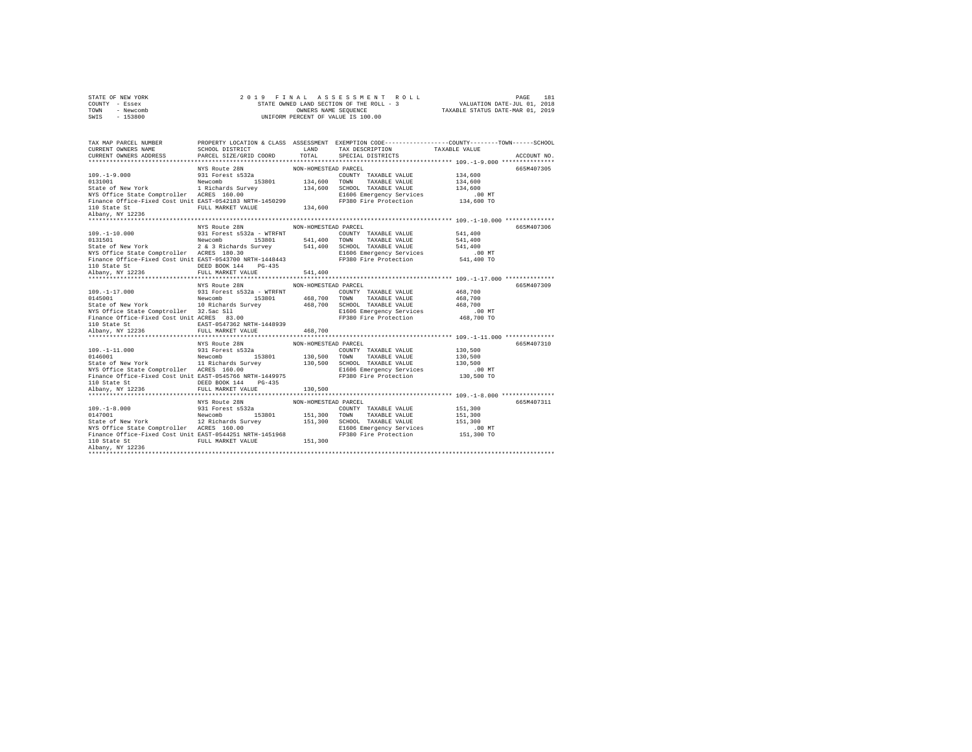| STATE OF NEW YORK |           |  |  | 2019 FINAL ASSESSMENT ROLL               |                                  | PAGE                        | 181 |
|-------------------|-----------|--|--|------------------------------------------|----------------------------------|-----------------------------|-----|
| COUNTY - Essex    |           |  |  | STATE OWNED LAND SECTION OF THE ROLL - 3 |                                  | VALUATION DATE-JUL 01, 2018 |     |
| TOWN              | - Newcomb |  |  | OWNERS NAME SEOUENCE                     | TAXABLE STATUS DATE-MAR 01, 2019 |                             |     |
| SWIS              | $-153800$ |  |  | UNIFORM PERCENT OF VALUE IS 100.00       |                                  |                             |     |

| TAX MAP PARCEL NUMBER<br>CURRENT OWNERS NAME                                                                                                                                                                                                      | SCHOOL DISTRICT                    | LAND                 |                                                                     | PROPERTY LOCATION & CLASS ASSESSMENT EXEMPTION CODE-----------------COUNTY-------TOWN------SCHOOL |  |
|---------------------------------------------------------------------------------------------------------------------------------------------------------------------------------------------------------------------------------------------------|------------------------------------|----------------------|---------------------------------------------------------------------|---------------------------------------------------------------------------------------------------|--|
| CURRENT OWNERS ADDRESS PARCEL SIZE/GRID COORD                                                                                                                                                                                                     |                                    | TOTAL                | TAX DESCRIPTION TAXABLE VALUE<br>SPECIAL DISTRICTS                  | ACCOUNT NO.                                                                                       |  |
|                                                                                                                                                                                                                                                   |                                    |                      |                                                                     |                                                                                                   |  |
|                                                                                                                                                                                                                                                   | NYS Route 28N NON-HOMESTEAD PARCEL |                      |                                                                     | 665M407305                                                                                        |  |
| 109.-1-9.000<br>2019.-1.000<br>2018.000<br>2018.000<br>2018.000<br>2018.000<br>2018.000<br>2018.000<br>2018.000<br>2018.000<br>2018.000<br>2018.000<br>2018.000<br>2018.000<br>2018.000<br>2018.000<br>2018.000<br>2018.000<br>2018.000<br>2018.0 |                                    |                      |                                                                     |                                                                                                   |  |
|                                                                                                                                                                                                                                                   |                                    |                      |                                                                     |                                                                                                   |  |
|                                                                                                                                                                                                                                                   |                                    |                      |                                                                     |                                                                                                   |  |
|                                                                                                                                                                                                                                                   |                                    |                      |                                                                     |                                                                                                   |  |
|                                                                                                                                                                                                                                                   |                                    |                      | E1606 Emergency Services .00 MT<br>FP380 Fire Protection 134,600 TO |                                                                                                   |  |
|                                                                                                                                                                                                                                                   |                                    |                      |                                                                     |                                                                                                   |  |
| Albany, NY 12236                                                                                                                                                                                                                                  |                                    |                      |                                                                     |                                                                                                   |  |
|                                                                                                                                                                                                                                                   |                                    |                      |                                                                     |                                                                                                   |  |
|                                                                                                                                                                                                                                                   | NYS Route 28N MON-HOMESTEAD PARCEL |                      |                                                                     | 665M407306                                                                                        |  |
|                                                                                                                                                                                                                                                   |                                    |                      | COUNTY TAXABLE VALUE 541,400                                        |                                                                                                   |  |
|                                                                                                                                                                                                                                                   |                                    |                      |                                                                     |                                                                                                   |  |
|                                                                                                                                                                                                                                                   |                                    |                      |                                                                     |                                                                                                   |  |
|                                                                                                                                                                                                                                                   |                                    |                      |                                                                     |                                                                                                   |  |
|                                                                                                                                                                                                                                                   |                                    |                      |                                                                     |                                                                                                   |  |
|                                                                                                                                                                                                                                                   |                                    |                      |                                                                     |                                                                                                   |  |
|                                                                                                                                                                                                                                                   |                                    |                      |                                                                     |                                                                                                   |  |
|                                                                                                                                                                                                                                                   |                                    |                      |                                                                     |                                                                                                   |  |
|                                                                                                                                                                                                                                                   |                                    |                      |                                                                     |                                                                                                   |  |
|                                                                                                                                                                                                                                                   | NYS Route 28N                      | NON-HOMESTEAD PARCEL |                                                                     | 665M407309                                                                                        |  |
|                                                                                                                                                                                                                                                   |                                    |                      |                                                                     |                                                                                                   |  |
|                                                                                                                                                                                                                                                   |                                    |                      |                                                                     |                                                                                                   |  |
|                                                                                                                                                                                                                                                   |                                    |                      |                                                                     |                                                                                                   |  |
|                                                                                                                                                                                                                                                   |                                    |                      |                                                                     |                                                                                                   |  |
|                                                                                                                                                                                                                                                   |                                    |                      |                                                                     |                                                                                                   |  |
|                                                                                                                                                                                                                                                   |                                    |                      |                                                                     |                                                                                                   |  |
|                                                                                                                                                                                                                                                   |                                    |                      |                                                                     |                                                                                                   |  |
|                                                                                                                                                                                                                                                   |                                    |                      |                                                                     |                                                                                                   |  |
|                                                                                                                                                                                                                                                   | NYS Route 28N                      | NON-HOMESTEAD PARCEL |                                                                     | 665M407310                                                                                        |  |
|                                                                                                                                                                                                                                                   |                                    |                      |                                                                     |                                                                                                   |  |
|                                                                                                                                                                                                                                                   |                                    |                      |                                                                     |                                                                                                   |  |
|                                                                                                                                                                                                                                                   |                                    |                      |                                                                     |                                                                                                   |  |
|                                                                                                                                                                                                                                                   |                                    |                      |                                                                     |                                                                                                   |  |
|                                                                                                                                                                                                                                                   |                                    |                      |                                                                     |                                                                                                   |  |
|                                                                                                                                                                                                                                                   |                                    |                      |                                                                     |                                                                                                   |  |
|                                                                                                                                                                                                                                                   |                                    |                      |                                                                     |                                                                                                   |  |
|                                                                                                                                                                                                                                                   |                                    |                      |                                                                     |                                                                                                   |  |
|                                                                                                                                                                                                                                                   |                                    |                      |                                                                     | 665M407311                                                                                        |  |
|                                                                                                                                                                                                                                                   |                                    |                      |                                                                     |                                                                                                   |  |
|                                                                                                                                                                                                                                                   |                                    |                      |                                                                     |                                                                                                   |  |
|                                                                                                                                                                                                                                                   |                                    |                      |                                                                     |                                                                                                   |  |
|                                                                                                                                                                                                                                                   |                                    |                      |                                                                     |                                                                                                   |  |
|                                                                                                                                                                                                                                                   |                                    |                      |                                                                     |                                                                                                   |  |
|                                                                                                                                                                                                                                                   |                                    |                      |                                                                     |                                                                                                   |  |
| 1911 - 1920<br>1921 - 1921 Forest S32a<br>1921 Forest S32a<br>1921 - 1921 Forest S32a<br>20147001 - 1921 Forest S32a<br>20147001 - 1921 - 1921 - 1923<br>2014 - 1922 - 1923 - 1924<br>2020 - 1924 - 1924<br>2020 - 1924 - 1924<br>2020 - 1924 -   |                                    |                      |                                                                     |                                                                                                   |  |
|                                                                                                                                                                                                                                                   |                                    |                      |                                                                     |                                                                                                   |  |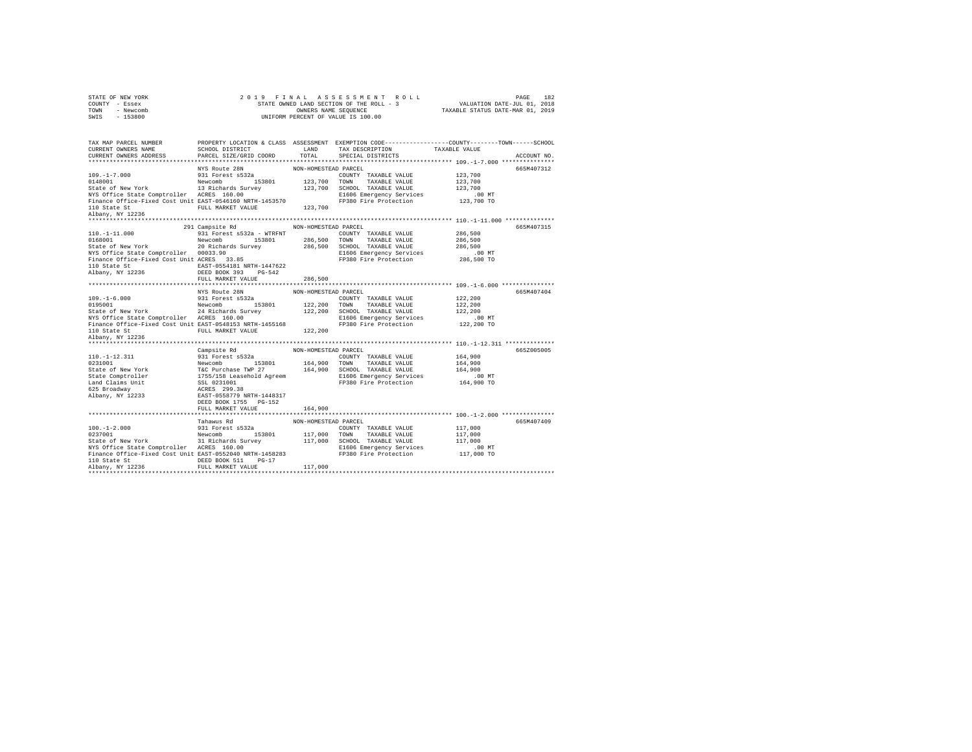|      | STATE OF NEW YORK | 2019 FINAL ASSESSMENT ROLL               | 182<br>PAGE                      |
|------|-------------------|------------------------------------------|----------------------------------|
|      | COUNTY - Essex    | STATE OWNED LAND SECTION OF THE ROLL - 3 | VALUATION DATE-JUL 01, 2018      |
| TOWN | - Newcomb         | OWNERS NAME SEOUENCE                     | TAXABLE STATUS DATE-MAR 01, 2019 |
| SWIS | - 153800          | UNIFORM PERCENT OF VALUE IS 100.00       |                                  |

| TAX MAP PARCEL NUMBER<br>CURRENT OWNERS NAME<br>CURRENT OWNERS ADDRESS                                                                                                                                                                                                                                                                                                                                                                         | SCHOOL DISTRICT<br>PARCEL SIZE/GRID COORD | T.AND<br>TOTAL       | PROPERTY LOCATION & CLASS ASSESSMENT EXEMPTION CODE---------------COUNTY-------TOWN-----SCHOOL<br>TAX DESCRIPTION<br>SPECIAL DISTRICTS | TAXABLE VALUE | ACCOUNT NO. |
|------------------------------------------------------------------------------------------------------------------------------------------------------------------------------------------------------------------------------------------------------------------------------------------------------------------------------------------------------------------------------------------------------------------------------------------------|-------------------------------------------|----------------------|----------------------------------------------------------------------------------------------------------------------------------------|---------------|-------------|
|                                                                                                                                                                                                                                                                                                                                                                                                                                                |                                           |                      |                                                                                                                                        |               |             |
|                                                                                                                                                                                                                                                                                                                                                                                                                                                | NYS Route 28N                             | NON-HOMESTEAD PARCEL |                                                                                                                                        |               | 665M407312  |
| MYS ROLLE 26N<br>109.-1-7.000 931 Forest \$532a<br>931 Forest \$532a<br>8148001 123,700 TOWN<br>State of New York 1.3 Richards Survey 123,700 SCEOOL<br>1.3 The SCEOLO 123,700 SCEOLO                                                                                                                                                                                                                                                          |                                           |                      | COUNTY TAXABLE VALUE                                                                                                                   | 123,700       |             |
|                                                                                                                                                                                                                                                                                                                                                                                                                                                |                                           |                      | TAXABLE VALUE                                                                                                                          | 123,700       |             |
|                                                                                                                                                                                                                                                                                                                                                                                                                                                |                                           |                      | 123,700 SCHOOL TAXABLE VALUE                                                                                                           | 123,700       |             |
| NYS Office State Comptroller ACRES 160.00                                                                                                                                                                                                                                                                                                                                                                                                      |                                           |                      | E1606 Emergency Services                                                                                                               | .00 MT        |             |
| Finance Office-Fixed Cost Unit EAST-0546160 NRTH-1453570                                                                                                                                                                                                                                                                                                                                                                                       |                                           |                      | FP380 Fire Protection                                                                                                                  | 123,700 TO    |             |
|                                                                                                                                                                                                                                                                                                                                                                                                                                                | FULL MARKET VALUE 123,700                 |                      |                                                                                                                                        |               |             |
| 110 State St<br>Albany, NY 12236                                                                                                                                                                                                                                                                                                                                                                                                               |                                           |                      |                                                                                                                                        |               |             |
|                                                                                                                                                                                                                                                                                                                                                                                                                                                |                                           |                      |                                                                                                                                        |               |             |
|                                                                                                                                                                                                                                                                                                                                                                                                                                                | 291 Campsite Rd                           | NON-HOMESTEAD PARCEL |                                                                                                                                        |               | 665M407315  |
| $110. - 1 - 11.000$                                                                                                                                                                                                                                                                                                                                                                                                                            | 931 Forest s532a - WTRFNT                 |                      | COUNTY TAXABLE VALUE                                                                                                                   | 286,500       |             |
| 0168001                                                                                                                                                                                                                                                                                                                                                                                                                                        | Newcomb<br>153801                         | 286,500 TOWN         | TAXABLE VALUE                                                                                                                          | 286,500       |             |
|                                                                                                                                                                                                                                                                                                                                                                                                                                                |                                           |                      |                                                                                                                                        | 286,500       |             |
|                                                                                                                                                                                                                                                                                                                                                                                                                                                |                                           |                      | E1606 Emergency Services                                                                                                               | .00 MT        |             |
| NYS Office State Comptroller 00033.90<br>Finance Office-Fixed Cost Unit ACRES 33.85                                                                                                                                                                                                                                                                                                                                                            |                                           |                      | FP380 Fire Protection                                                                                                                  | 286,500 TO    |             |
|                                                                                                                                                                                                                                                                                                                                                                                                                                                |                                           |                      |                                                                                                                                        |               |             |
|                                                                                                                                                                                                                                                                                                                                                                                                                                                |                                           |                      |                                                                                                                                        |               |             |
|                                                                                                                                                                                                                                                                                                                                                                                                                                                | FULL MARKET VALUE                         | 286,500              |                                                                                                                                        |               |             |
|                                                                                                                                                                                                                                                                                                                                                                                                                                                |                                           |                      |                                                                                                                                        |               |             |
|                                                                                                                                                                                                                                                                                                                                                                                                                                                | NYS Route 28N                             | NON-HOMESTEAD PARCEL |                                                                                                                                        |               | 665M407404  |
|                                                                                                                                                                                                                                                                                                                                                                                                                                                |                                           |                      | COUNTY TAXABLE VALUE                                                                                                                   | 122,200       |             |
|                                                                                                                                                                                                                                                                                                                                                                                                                                                |                                           |                      | 122,200 TOWN TAXABLE VALUE<br>122,200 SCHOOL TAXABLE VALUE                                                                             | 122,200       |             |
|                                                                                                                                                                                                                                                                                                                                                                                                                                                |                                           |                      |                                                                                                                                        | 122,200       |             |
|                                                                                                                                                                                                                                                                                                                                                                                                                                                |                                           |                      | E1606 Emergency Services                                                                                                               | $.00$ MT      |             |
| Finance Office-Fixed Cost Unit EAST-0548153 NRTH-1455168                                                                                                                                                                                                                                                                                                                                                                                       |                                           |                      | FP380 Fire Protection                                                                                                                  | 122,200 TO    |             |
|                                                                                                                                                                                                                                                                                                                                                                                                                                                | FULL MARKET VALUE                         | 122,200              |                                                                                                                                        |               |             |
| 110 State St<br>Albany, NY 12236                                                                                                                                                                                                                                                                                                                                                                                                               |                                           |                      |                                                                                                                                        |               |             |
|                                                                                                                                                                                                                                                                                                                                                                                                                                                |                                           |                      |                                                                                                                                        |               |             |
| $\begin{tabular}{l c c c c} \multicolumn{4}{c}{110,-1-12.311} & \multicolumn{4}{c}{Campsite $\mathsf{Rd}$} & \multicolumn{4}{c}{\textbf{NON-HOMESTRAD RCELL}} & \multicolumn{4}{c}{\textbf{P31}} & \multicolumn{4}{c}{\textbf{P31}} & \multicolumn{4}{c}{\textbf{S32}} & \multicolumn{4}{c}{\textbf{S32}} & \multicolumn{4}{c}{\textbf{P31}} & \multicolumn{4}{c}{\textbf{P31}} & \multicolumn{4}{c}{\textbf{P31}} & \multicolumn{4}{c}{\text$ |                                           |                      |                                                                                                                                        |               | 6652005005  |
|                                                                                                                                                                                                                                                                                                                                                                                                                                                |                                           |                      |                                                                                                                                        | 164,900       |             |
|                                                                                                                                                                                                                                                                                                                                                                                                                                                |                                           |                      |                                                                                                                                        | 164,900       |             |
|                                                                                                                                                                                                                                                                                                                                                                                                                                                |                                           |                      |                                                                                                                                        | 164,900       |             |
|                                                                                                                                                                                                                                                                                                                                                                                                                                                |                                           |                      | FP380 Fire Protection                                                                                                                  | .00 MT        |             |
|                                                                                                                                                                                                                                                                                                                                                                                                                                                |                                           |                      |                                                                                                                                        | 164,900 TO    |             |
|                                                                                                                                                                                                                                                                                                                                                                                                                                                |                                           |                      |                                                                                                                                        |               |             |
|                                                                                                                                                                                                                                                                                                                                                                                                                                                | DEED BOOK 1755 PG-152                     |                      |                                                                                                                                        |               |             |
|                                                                                                                                                                                                                                                                                                                                                                                                                                                | FULL MARKET VALUE                         | 164,900              |                                                                                                                                        |               |             |
|                                                                                                                                                                                                                                                                                                                                                                                                                                                |                                           |                      |                                                                                                                                        |               |             |
|                                                                                                                                                                                                                                                                                                                                                                                                                                                | Tahawus Rd                                | NON-HOMESTEAD PARCEL |                                                                                                                                        |               | 665M407409  |
|                                                                                                                                                                                                                                                                                                                                                                                                                                                |                                           |                      |                                                                                                                                        | 117,000       |             |
|                                                                                                                                                                                                                                                                                                                                                                                                                                                |                                           |                      |                                                                                                                                        | 117,000       |             |
|                                                                                                                                                                                                                                                                                                                                                                                                                                                |                                           |                      |                                                                                                                                        | 117,000       |             |
|                                                                                                                                                                                                                                                                                                                                                                                                                                                |                                           |                      | E1606 Emergency Services                                                                                                               | $.00$ MT      |             |
|                                                                                                                                                                                                                                                                                                                                                                                                                                                |                                           |                      |                                                                                                                                        | 117,000 TO    |             |
| 110 State St                                                                                                                                                                                                                                                                                                                                                                                                                                   | $PG-17$<br>DEED BOOK 511                  |                      |                                                                                                                                        |               |             |
| Albany, NY 12236                                                                                                                                                                                                                                                                                                                                                                                                                               | FULL MARKET VALUE                         | 117,000              |                                                                                                                                        |               |             |
|                                                                                                                                                                                                                                                                                                                                                                                                                                                |                                           |                      |                                                                                                                                        |               |             |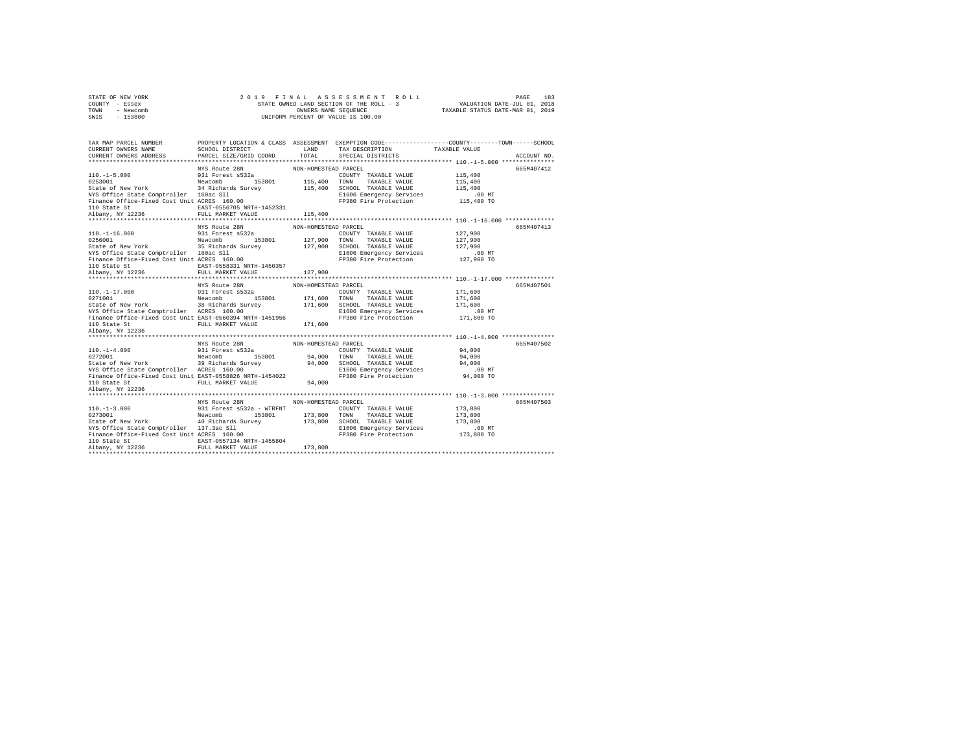| STATE OF NEW YORK | 2019 FINAL ASSESSMENT ROLL               | 183<br>PAGE                      |
|-------------------|------------------------------------------|----------------------------------|
| COUNTY - Essex    | STATE OWNED LAND SECTION OF THE ROLL - 3 | VALUATION DATE-JUL 01, 2018      |
| TOWN<br>- Newcomb | OWNERS NAME SEOUENCE                     | TAXABLE STATUS DATE-MAR 01, 2019 |
| $-153800$<br>SWIS | UNIFORM PERCENT OF VALUE IS 100.00       |                                  |

| TAX MAP PARCEL NUMBER                                                                                                            |                                    |                      | PROPERTY LOCATION & CLASS ASSESSMENT EXEMPTION CODE----------------COUNTY-------TOWN------SCHOOL                                                                                                                                         |                      |             |
|----------------------------------------------------------------------------------------------------------------------------------|------------------------------------|----------------------|------------------------------------------------------------------------------------------------------------------------------------------------------------------------------------------------------------------------------------------|----------------------|-------------|
| CURRENT OWNERS NAME                                                                                                              |                                    |                      |                                                                                                                                                                                                                                          |                      |             |
| CURRENT OWNERS ADDRESS PARCEL SIZE/GRID COORD                                                                                    |                                    |                      |                                                                                                                                                                                                                                          |                      | ACCOUNT NO. |
|                                                                                                                                  | NYS Route 28N NON-HOMESTEAD PARCEL |                      |                                                                                                                                                                                                                                          |                      | 665M407412  |
|                                                                                                                                  |                                    |                      |                                                                                                                                                                                                                                          |                      |             |
| 110.-1-5.000<br>^253001                                                                                                          |                                    |                      |                                                                                                                                                                                                                                          |                      |             |
|                                                                                                                                  |                                    |                      |                                                                                                                                                                                                                                          |                      |             |
|                                                                                                                                  |                                    |                      |                                                                                                                                                                                                                                          | 115,400              |             |
|                                                                                                                                  |                                    |                      | E1606 Emergency Services .00 MT<br>FP380 Fire Protection 115,400 TO                                                                                                                                                                      |                      |             |
|                                                                                                                                  |                                    |                      |                                                                                                                                                                                                                                          |                      |             |
|                                                                                                                                  |                                    | 115,400              |                                                                                                                                                                                                                                          |                      |             |
|                                                                                                                                  |                                    |                      |                                                                                                                                                                                                                                          |                      |             |
|                                                                                                                                  |                                    | NON-HOMESTEAD PARCEL |                                                                                                                                                                                                                                          |                      | 665M407413  |
|                                                                                                                                  | NYS Route 28N<br>931 Forest s532a  |                      | COUNTY TAXABLE VALUE 127,900                                                                                                                                                                                                             |                      |             |
|                                                                                                                                  |                                    |                      |                                                                                                                                                                                                                                          |                      |             |
|                                                                                                                                  |                                    |                      | 110.-1-16.000<br>2016001 127,900<br>20256001 Newcomb 153801 127,900 TOWNTY TAXABLE VALUE 127,900<br>20256001 Newcomb 35 Richards Survey 127,900 TOWN TAXABLE VALUE 127,900<br>2026001 127,900 SCHOOL TAXABLE VALUE 127,900<br>2026001 12 |                      |             |
|                                                                                                                                  |                                    |                      |                                                                                                                                                                                                                                          |                      |             |
|                                                                                                                                  |                                    |                      |                                                                                                                                                                                                                                          | 00 MT.<br>127,900 TO |             |
|                                                                                                                                  |                                    |                      |                                                                                                                                                                                                                                          |                      |             |
|                                                                                                                                  |                                    | 127,900              |                                                                                                                                                                                                                                          |                      |             |
|                                                                                                                                  |                                    |                      |                                                                                                                                                                                                                                          |                      |             |
|                                                                                                                                  |                                    |                      | 110.-1-17.000<br>110.-1-17.000<br>20271001<br>20271001<br>20271001 Newcomb 153801 171,600 TOWN TAXABLE VALUE 171,600<br>State of New York 38 Richards Survey 171,600 TOWN TAXABLE VALUE 171,600<br>2021001 TAXABLE VALUE 171,600<br>2021 |                      | 665M407501  |
|                                                                                                                                  |                                    |                      |                                                                                                                                                                                                                                          |                      |             |
|                                                                                                                                  |                                    |                      |                                                                                                                                                                                                                                          |                      |             |
|                                                                                                                                  |                                    |                      |                                                                                                                                                                                                                                          |                      |             |
|                                                                                                                                  |                                    |                      |                                                                                                                                                                                                                                          |                      |             |
|                                                                                                                                  |                                    |                      |                                                                                                                                                                                                                                          |                      |             |
|                                                                                                                                  |                                    |                      |                                                                                                                                                                                                                                          |                      |             |
| Albany, NY 12236                                                                                                                 |                                    |                      |                                                                                                                                                                                                                                          |                      |             |
|                                                                                                                                  |                                    |                      |                                                                                                                                                                                                                                          |                      |             |
|                                                                                                                                  | NYS Route 28N                      | NON-HOMESTEAD PARCEL |                                                                                                                                                                                                                                          |                      | 665M407502  |
| 110.-1-4.000<br>0272001                                                                                                          |                                    |                      |                                                                                                                                                                                                                                          |                      |             |
|                                                                                                                                  |                                    |                      |                                                                                                                                                                                                                                          |                      |             |
|                                                                                                                                  |                                    |                      |                                                                                                                                                                                                                                          |                      |             |
|                                                                                                                                  |                                    |                      | 110.-1-4.000 931 Forest s532a COUNTY TAXABLE VALUE 94,000<br>0272001 Rew York Hewcomb 153801 94,000 TOWN TAXABLE VALUE 94,000<br>State of New York 39 Richards Survey 94,000 SCHOOL TAXABLE VALUE 94,000<br>NYS Office State Comptrolle  |                      |             |
|                                                                                                                                  |                                    |                      | FP380 Fire Protection 94,000 TO                                                                                                                                                                                                          |                      |             |
|                                                                                                                                  |                                    |                      |                                                                                                                                                                                                                                          |                      |             |
| Finance Office-Fixed Cost Unit EAST-0558826 NRTH-1454022<br>110 State St<br>110 State St<br>Albany, NY 12236<br>Albany, NY 12236 |                                    |                      |                                                                                                                                                                                                                                          |                      |             |
|                                                                                                                                  |                                    |                      |                                                                                                                                                                                                                                          |                      |             |
|                                                                                                                                  | NYS Route 28N MON-HOMESTEAD PARCEL |                      |                                                                                                                                                                                                                                          |                      | 665M407503  |
|                                                                                                                                  |                                    |                      |                                                                                                                                                                                                                                          |                      |             |
|                                                                                                                                  |                                    |                      |                                                                                                                                                                                                                                          |                      |             |
|                                                                                                                                  |                                    |                      |                                                                                                                                                                                                                                          |                      |             |
|                                                                                                                                  |                                    |                      |                                                                                                                                                                                                                                          |                      |             |
|                                                                                                                                  |                                    |                      |                                                                                                                                                                                                                                          |                      |             |
|                                                                                                                                  |                                    |                      |                                                                                                                                                                                                                                          |                      |             |
|                                                                                                                                  |                                    |                      | 110.-1-3.000<br>273001 931 Forest s532a - WTRFNT MOR-HUMESTEM PARABLE VALUE<br>273001 Rewcomb 153801 173,800 TOWN TAXABLE VALUE 173,800<br>State of New York 40 Richards Survey 173,800 TOWN TAXABLE VALUE 173,800<br>ENG OFFICE State   |                      |             |
|                                                                                                                                  |                                    |                      |                                                                                                                                                                                                                                          |                      |             |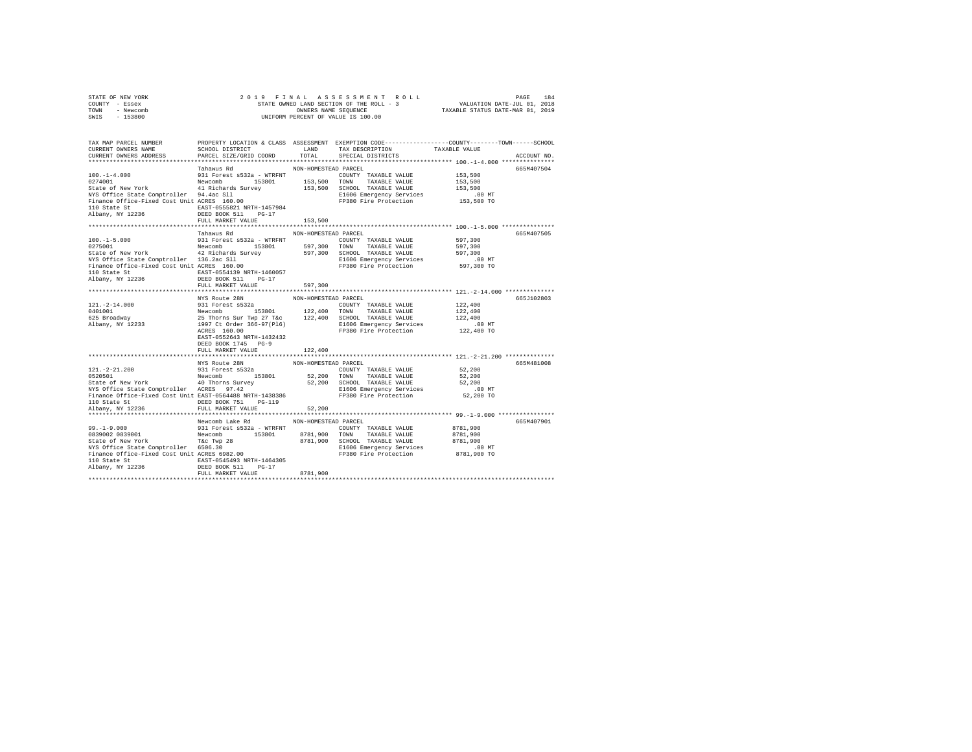| STATE OF NEW YORK | 2019 FINAL ASSESSMENT ROLL               | 184<br>PAGE                      |
|-------------------|------------------------------------------|----------------------------------|
| COUNTY - Essex    | STATE OWNED LAND SECTION OF THE ROLL - 3 | VALUATION DATE-JUL 01, 2018      |
| TOWN<br>- Newcomb | OWNERS NAME SEOUENCE                     | TAXABLE STATUS DATE-MAR 01, 2019 |
| $-153800$<br>SWIS | UNIFORM PERCENT OF VALUE IS 100.00       |                                  |

| TAX MAP PARCEL NUMBER<br>CURRENT OWNERS NAME<br>CURRENT OWNERS ADDRESS                                                                                                                                                                                                                                                                                                     | PROPERTY LOCATION & CLASS ASSESSMENT EXEMPTION CODE---------------COUNTY-------TOWN-----SCHOOL<br>SCHOOL DISTRICT<br>PARCEL SIZE/GRID COORD                                                                                                                                                                                                      | LAND<br>TOTAL                         | TAX DESCRIPTION<br>SPECIAL DISTRICTS                                                                                        | TAXABLE VALUE                                             | ACCOUNT NO. |
|----------------------------------------------------------------------------------------------------------------------------------------------------------------------------------------------------------------------------------------------------------------------------------------------------------------------------------------------------------------------------|--------------------------------------------------------------------------------------------------------------------------------------------------------------------------------------------------------------------------------------------------------------------------------------------------------------------------------------------------|---------------------------------------|-----------------------------------------------------------------------------------------------------------------------------|-----------------------------------------------------------|-------------|
| 100.-1-4.000<br>274001 100.-114.000 931 Forest and 153801 153,500 TOMN TAXABLE VALUE<br>2511 274001 2152,500 201001 153,500 201001 2154081 2152<br>2741 2812 2813 28140 153,500 201001 21540 1545<br>NYS Office State Comptroller 94.4ac Sll<br>NYS Office State Comptroller 94.4ac Sll<br>Finance Office-Fixed Cost Unit ACRES 160.00<br>110 State St<br>Albany, NY 12236 | Tahawus Rd<br>EAST-0555821 NRTH-1457984<br>DEED BOOK 511 PG-17<br>FULL MARKET VALUE                                                                                                                                                                                                                                                              | NON-HOMESTEAD PARCEL<br>153,500       | E1606 Emergency Services<br>FP380 Fire Protection                                                                           | 153,500<br>153,500<br>153,500<br>$.00$ MT<br>153,500 TO   | 665M407504  |
| $[0.00, -1-5.000$ $[0.00, -1-5.000]$ $[0.00, -1-5.000]$ $[0.00, -1-5.000]$ $[0.00, -1-5.000]$ $[0.00, -1-5.000]$ $[0.00, -1-5.000]$ $[0.00, -1-5.000]$ $[0.00, -1-5.000]$ $[0.00, -1-5.000]$ $[0.00, -1-5.000]$ $[0.00, -1-5.000]$ $[0.00$<br>NYS Office State Comptroller 136.2ac Sll<br>Finance Office-Fixed Cost Unit ACRES 160.00<br>110 State St<br>Albany, NY 12236  | Tahawus Rd<br>EAST-0554139 NRTH-1460057<br>DEED BOOK 511 PG-17<br>FULL MARKET VALUE                                                                                                                                                                                                                                                              | NON-HOMESTEAD PARCEL<br>597,300       | FP380 Fire Protection                                                                                                       | 597,300<br>597,300<br>597,300<br>.00 MT<br>597,300 TO     | 665M407505  |
|                                                                                                                                                                                                                                                                                                                                                                            |                                                                                                                                                                                                                                                                                                                                                  |                                       |                                                                                                                             |                                                           |             |
| $121. - 2 - 14.000$<br>0401001<br>sioroor<br>625 Broadway<br>Albany, NY 12233                                                                                                                                                                                                                                                                                              | NYS Route 28N<br>---- ANNE CONTY TRANSPORT CONTY TRANSLE VALUE<br>Newcomb 1530a 15301 122,400 TOWN TRANSLE VALUE<br>25 Thorns Sur Twp 27 T&c 122,400 SCHOOL TRANSLE VALUE<br>25 Thorns Sur Twp 27 T&c 122,400 SCHOOL TRANSLE VALUE<br>1997 Ct Order 366<br>ACRES 160.00<br>EAST-0552643 NRTH-1432432<br>DEED BOOK 1745 PG-9<br>FULL MARKET VALUE | NON-HOMESTEAD PARCEL<br>122,400       | FP380 Fire Protection                                                                                                       | 122,400<br>122,400<br>122,400<br>.00 MT<br>122,400 TO     | 665J102803  |
|                                                                                                                                                                                                                                                                                                                                                                            |                                                                                                                                                                                                                                                                                                                                                  |                                       |                                                                                                                             |                                                           |             |
| Finance Office-Fixed Cost Unit EAST-0564488 NRTH-1438386<br>110 State St                                                                                                                                                                                                                                                                                                   | DEED BOOK 751 PG-119                                                                                                                                                                                                                                                                                                                             |                                       | FP380 Fire Protection                                                                                                       | 52,200<br>52,200<br>52,200<br>$.00$ MT<br>52,200 TO       | 665M481008  |
| Albany, NY 12236                                                                                                                                                                                                                                                                                                                                                           | FULL MARKET VALUE                                                                                                                                                                                                                                                                                                                                | 52,200                                |                                                                                                                             |                                                           |             |
| 99.-1-9.000<br>0839001 9839001 Newcomb 153801<br>State of New York T& Two 28<br>and the mean of the Twp 28<br>NYS Office State Comptroller 6506.30<br>Finance Office-Fixed Cost Unit ACRES 6982.00<br>110 State St<br>Albany, NY 12236                                                                                                                                     | Newcomb Lake Rd<br>DEED BOOK 511 PG-17                                                                                                                                                                                                                                                                                                           | NON-HOMESTEAD PARCEL<br>8781,900 TOWN | COUNTY TAXABLE VALUE<br>TAXABLE VALUE<br>8781.900 SCHOOL TAXABLE VALUE<br>E1606 Emergency Services<br>FP380 Fire Protection | 8781,900<br>8781,900<br>8781,900<br>.00 MT<br>8781,900 TO | 665M407901  |
|                                                                                                                                                                                                                                                                                                                                                                            | FULL MARKET VALUE                                                                                                                                                                                                                                                                                                                                | 8781,900                              |                                                                                                                             |                                                           |             |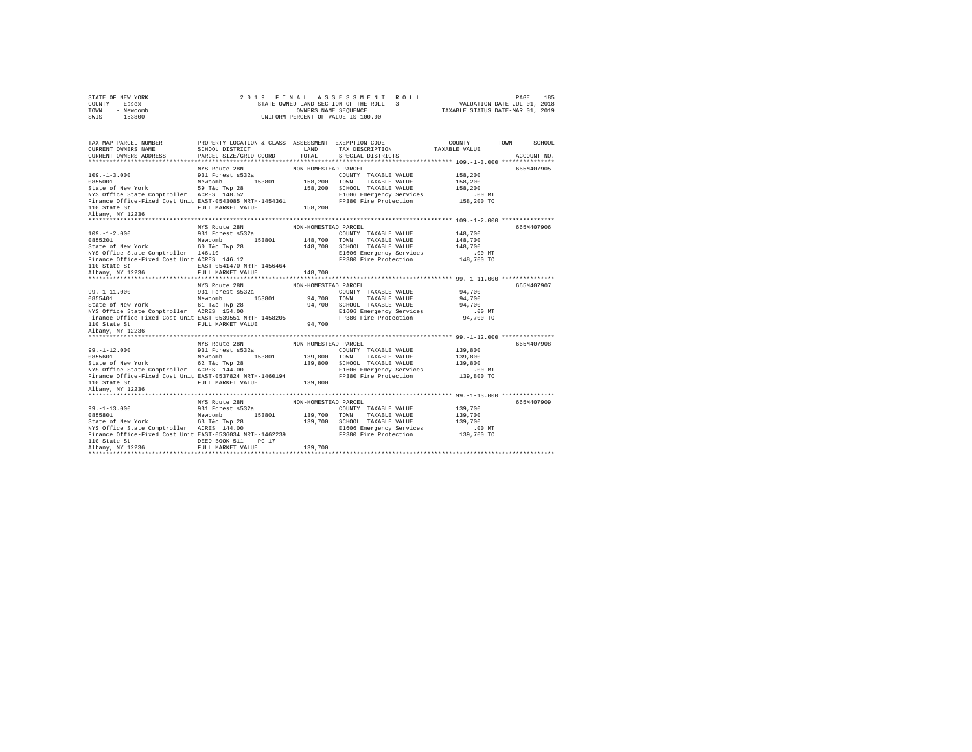| STATE OF NEW YORK | 2019 FINAL ASSESSMENT ROLL               | 185<br>PAGE                      |
|-------------------|------------------------------------------|----------------------------------|
| COUNTY - Essex    | STATE OWNED LAND SECTION OF THE ROLL - 3 | VALUATION DATE-JUL 01, 2018      |
| - Newcomb<br>TOWN | OWNERS NAME SEOUENCE                     | TAXABLE STATUS DATE-MAR 01, 2019 |
| $-153800$<br>SWIS | UNIFORM PERCENT OF VALUE IS 100.00       |                                  |
|                   |                                          |                                  |

| TAX MAP PARCEL NUMBER<br>CURRENT OWNERS NAME<br>CURRENT OWNERS ADDRESS                                                                                                                                                                      | SCHOOL DISTRICT<br>PARCEL SIZE/GRID COORD                                                                         | LAND<br>TOTAL                                                                | PROPERTY LOCATION & CLASS ASSESSMENT EXEMPTION CODE---------------COUNTY-------TOWN-----SCHOOL<br>TAX DESCRIPTION<br>SPECIAL DISTRICTS                                                  | TAXABLE VALUE                                                     | ACCOUNT NO. |
|---------------------------------------------------------------------------------------------------------------------------------------------------------------------------------------------------------------------------------------------|-------------------------------------------------------------------------------------------------------------------|------------------------------------------------------------------------------|-----------------------------------------------------------------------------------------------------------------------------------------------------------------------------------------|-------------------------------------------------------------------|-------------|
| $109. - 1 - 3.000$<br>0855001<br>State of New York 59 T&C Twp 28<br>NYS Office State Comptroller ACRES 148.52<br>Finance Office-Fixed Cost Unit EAST-0543085 NRTH-1454361<br>110 State St<br>Albany, NY 12236<br>************************** | NYS Route 28N<br>931 Forest s532a<br>Newcomb<br>153801 158,200 TOWN<br>FULL MARKET VALUE                          | NON-HOMESTEAD PARCEL<br>158,200                                              | COUNTY TAXABLE VALUE<br>TAXABLE VALUE<br>158,200 SCHOOL TAXABLE VALUE<br>E1606 Emergency Services<br>FP380 Fire Protection                                                              | 158,200<br>158,200<br>158,200<br>$.00$ MT<br>158,200 TO           | 665M407905  |
| 109.-1-2.000<br>20055201 Newcomb 60 Tac Twp 28<br>State of New York 60 Tac Twp 28<br>-- cfice State Comptroller 146.10<br>-- cfice State Comptroller 146.12<br>--- 1456464<br>***********************                                       | NYS Route 28N<br>*************************                                                                        | NON-HOMESTEAD PARCEL<br>148,700 TOWN<br>148,700<br>148,700<br>************** | COUNTY TAXABLE VALUE<br>TAXABLE VALUE<br>SCHOOL TAXABLE VALUE<br>E1606 Emergency Services<br>FP380 Fire Protection<br>*********************************** 99.-1-11.000 **************** | 148,700<br>148,700<br>148,700<br>$.00$ MT<br>00 MT.<br>148,700 TO | 665M407906  |
| $99. -1 - 11.000$<br>NYS Office State Comptroller ACRES 154.00<br>Finance Office-Fixed Cost Unit EAST-0539551 NRTH-1458205<br>110 State St<br>Albany, NY 12236                                                                              | NYS Route 28N<br>931 Forest s532a<br>Newcomb<br>153801<br>FULL MARKET VALUE                                       | NON-HOMESTEAD PARCEL<br>94,700 TOWN<br>94,700                                | COUNTY TAXABLE VALUE<br>TAXABLE VALUE<br>94,700 SCHOOL TAXABLE VALUE $94,700$<br>E1606 Emergency Services<br>FP380 Fire Protection                                                      | 94,700<br>94,700<br>$.00$ MT<br>94,700 TO                         | 665M407907  |
| $99. -1 - 12.000$<br>State of New York<br>NYS Office State Comptroller ACRES 144.00<br>Finance Office-Fixed Cost Unit EAST-0537824 NRTH-1460194<br>110 State St<br>Albany, NY 12236                                                         | NYS Route 28N<br>931 Forest s532a<br>Newcomb<br>62 T&c Twp 28<br>153801 139,800 TOWN<br>FULL MARKET VALUE 139.800 | NON-HOMESTEAD PARCEL                                                         | COUNTY TAXABLE VALUE<br>TAXABLE VALUE<br>139,800 SCHOOL TAXABLE VALUE<br>E1606 Emergency Services<br>FP380 Fire Protection                                                              | 139,800<br>139,800<br>139,800<br>.00 MT<br>139,800 TO             | 665M407908  |
| 110 State St<br>Albany, NY 12236                                                                                                                                                                                                            | FULL MARKET VALUE                                                                                                 | 139,700                                                                      | COUNTY TAXABLE VALUE<br>E1606 Emergency Services<br>FP380 Fire Protection                                                                                                               | 139,700<br>139,700<br>139,700<br>00 MT.<br>139,700 TO             | 665M407909  |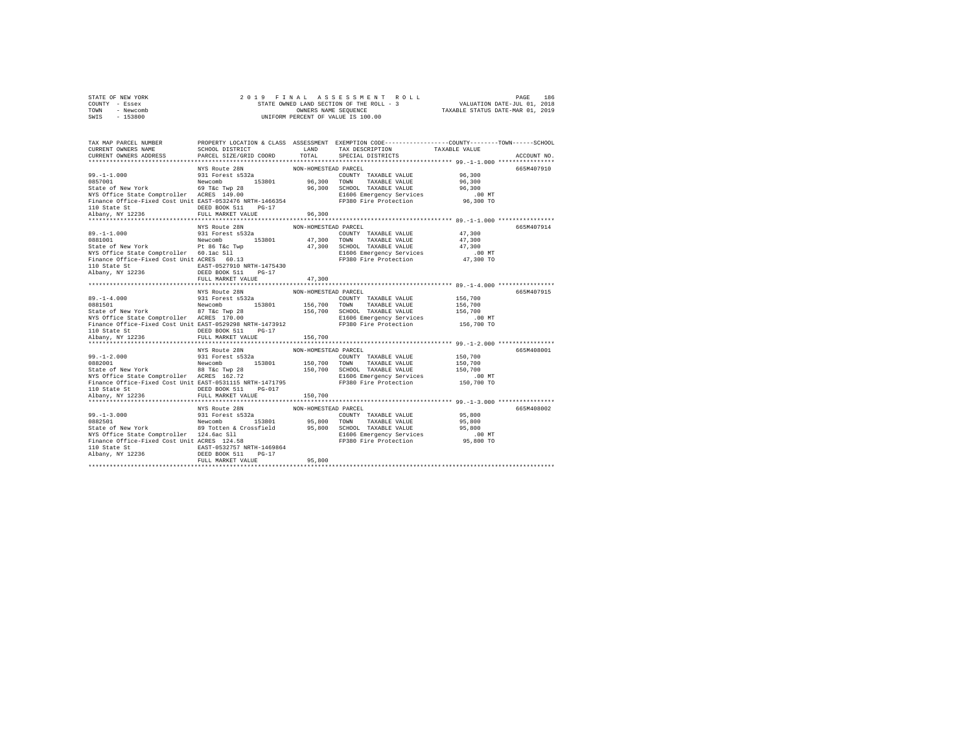| STATE OF NEW YORK | 2019 FINAL ASSESSMENT ROLL               | 186<br>PAGE                      |
|-------------------|------------------------------------------|----------------------------------|
| COUNTY - Essex    | STATE OWNED LAND SECTION OF THE ROLL - 3 | VALUATION DATE-JUL 01, 2018      |
| TOWN<br>- Newcomb | OWNERS NAME SEOUENCE                     | TAXABLE STATUS DATE-MAR 01, 2019 |
| $-153800$<br>SWIS | UNIFORM PERCENT OF VALUE IS 100.00       |                                  |

| TAX MAP PARCEL NUMBER                                                                                                                                                                                                                        | PROPERTY LOCATION & CLASS ASSESSMENT EXEMPTION CODE---------------COUNTY-------TOWN------SCHOOL |                      |  |             |
|----------------------------------------------------------------------------------------------------------------------------------------------------------------------------------------------------------------------------------------------|-------------------------------------------------------------------------------------------------|----------------------|--|-------------|
|                                                                                                                                                                                                                                              |                                                                                                 |                      |  | ACCOUNT NO. |
|                                                                                                                                                                                                                                              |                                                                                                 |                      |  |             |
| 99.-1-1.000 MYS Route 28N NON-HOMESTEAD PARCEL<br>0857001 99.11 Forest s532<br>0857001 Newcomb 153801 96,300 TOWN TAXABLE VALUE 96,300<br>State of New York 69 Tac Twp 28<br>NYS Office State Comptroller ACRES 149.00 96,300 SCHOOL TAXAB   |                                                                                                 |                      |  | 665M407910  |
|                                                                                                                                                                                                                                              |                                                                                                 |                      |  |             |
|                                                                                                                                                                                                                                              |                                                                                                 |                      |  |             |
|                                                                                                                                                                                                                                              |                                                                                                 |                      |  |             |
|                                                                                                                                                                                                                                              |                                                                                                 |                      |  |             |
|                                                                                                                                                                                                                                              |                                                                                                 |                      |  |             |
|                                                                                                                                                                                                                                              |                                                                                                 |                      |  |             |
|                                                                                                                                                                                                                                              |                                                                                                 |                      |  |             |
|                                                                                                                                                                                                                                              |                                                                                                 |                      |  |             |
|                                                                                                                                                                                                                                              | NYS Route 28N                                                                                   | NON-HOMESTEAD PARCEL |  | 665M407914  |
|                                                                                                                                                                                                                                              |                                                                                                 |                      |  |             |
|                                                                                                                                                                                                                                              |                                                                                                 |                      |  |             |
|                                                                                                                                                                                                                                              |                                                                                                 |                      |  |             |
|                                                                                                                                                                                                                                              |                                                                                                 |                      |  |             |
| 99.-1-1.000<br>991 Forest s532a<br>9981001 Newcomb 153801 173,300<br>9981001 Newcomb 153801 47,300 TOWN TAXABLE VALUE 47,300<br>9981 Forest s532a<br>9981001 47,300 TOWN TAXABLE VALUE 47,300<br>9980 Times of New York 174,300<br>9980 Time |                                                                                                 |                      |  |             |
|                                                                                                                                                                                                                                              |                                                                                                 |                      |  |             |
|                                                                                                                                                                                                                                              |                                                                                                 |                      |  |             |
|                                                                                                                                                                                                                                              | FULL MARKET VALUE                                                                               | 47,300               |  |             |
|                                                                                                                                                                                                                                              |                                                                                                 |                      |  |             |
|                                                                                                                                                                                                                                              | NYS Route 28N                                                                                   | NON-HOMESTEAD PARCEL |  | 665M407915  |
| 89.-1-4.000<br>931 Forest s532a<br>9881501 Mewcomb 153601 156,700 TOWNY TAXABLE VALUE 156,700<br>87 TAXABLE VALUE 87 TAXABLE VALUE 156,700<br>87 TAXABLE VALUE 156,700<br>87 TAXABLE VALUE 156,700<br>87 TAXABLE VALUE 156,700<br>87 TAXABLE |                                                                                                 |                      |  |             |
|                                                                                                                                                                                                                                              |                                                                                                 |                      |  |             |
|                                                                                                                                                                                                                                              |                                                                                                 |                      |  |             |
|                                                                                                                                                                                                                                              |                                                                                                 |                      |  |             |
|                                                                                                                                                                                                                                              |                                                                                                 |                      |  |             |
|                                                                                                                                                                                                                                              |                                                                                                 |                      |  |             |
|                                                                                                                                                                                                                                              |                                                                                                 |                      |  |             |
|                                                                                                                                                                                                                                              |                                                                                                 |                      |  |             |
|                                                                                                                                                                                                                                              | NYS Route 28N                                                                                   | NON-HOMESTEAD PARCEL |  | 665M408001  |
|                                                                                                                                                                                                                                              |                                                                                                 |                      |  |             |
|                                                                                                                                                                                                                                              |                                                                                                 |                      |  |             |
|                                                                                                                                                                                                                                              |                                                                                                 |                      |  |             |
| 99.-1-2.000 MMS NON-HUWESTEM MANIFUS (NORTHUNG 2009)<br>2010 State of New York 1980 MMS 198001 153801 150,700<br>2018 State of New York 1980 The Cryp 28 150,700 MMS TAXABLE VALUE 150,700<br>2018 State of New York 1980 The Cryp 28 1      |                                                                                                 |                      |  |             |
|                                                                                                                                                                                                                                              |                                                                                                 |                      |  |             |
| 110 State St                                                                                                                                                                                                                                 | DEED BOOK 511 PG-017                                                                            |                      |  |             |
| Albany, NY 12236 FULL MARKET VALUE                                                                                                                                                                                                           |                                                                                                 | 150,700              |  |             |
|                                                                                                                                                                                                                                              |                                                                                                 |                      |  |             |
|                                                                                                                                                                                                                                              |                                                                                                 |                      |  | 665M408002  |
|                                                                                                                                                                                                                                              |                                                                                                 |                      |  |             |
|                                                                                                                                                                                                                                              |                                                                                                 |                      |  |             |
|                                                                                                                                                                                                                                              |                                                                                                 |                      |  |             |
| 99.-1-3.000<br>MYS Route 2RN MON-HOMESTED TRIXIBLE VALUE 2N<br>08925501 PARCEL 2RN MON-HOMESTED TRIXIBLE VALUE 95,800<br>State of New York Ry Totten & Crossfield<br>NYS Route State Comptroller 124.6ac S11<br>NYS Office State Comptro     |                                                                                                 |                      |  |             |
|                                                                                                                                                                                                                                              |                                                                                                 |                      |  |             |
|                                                                                                                                                                                                                                              |                                                                                                 |                      |  |             |
|                                                                                                                                                                                                                                              |                                                                                                 |                      |  |             |
|                                                                                                                                                                                                                                              | FULL MARKET VALUE                                                                               | 95,800               |  |             |
|                                                                                                                                                                                                                                              |                                                                                                 |                      |  |             |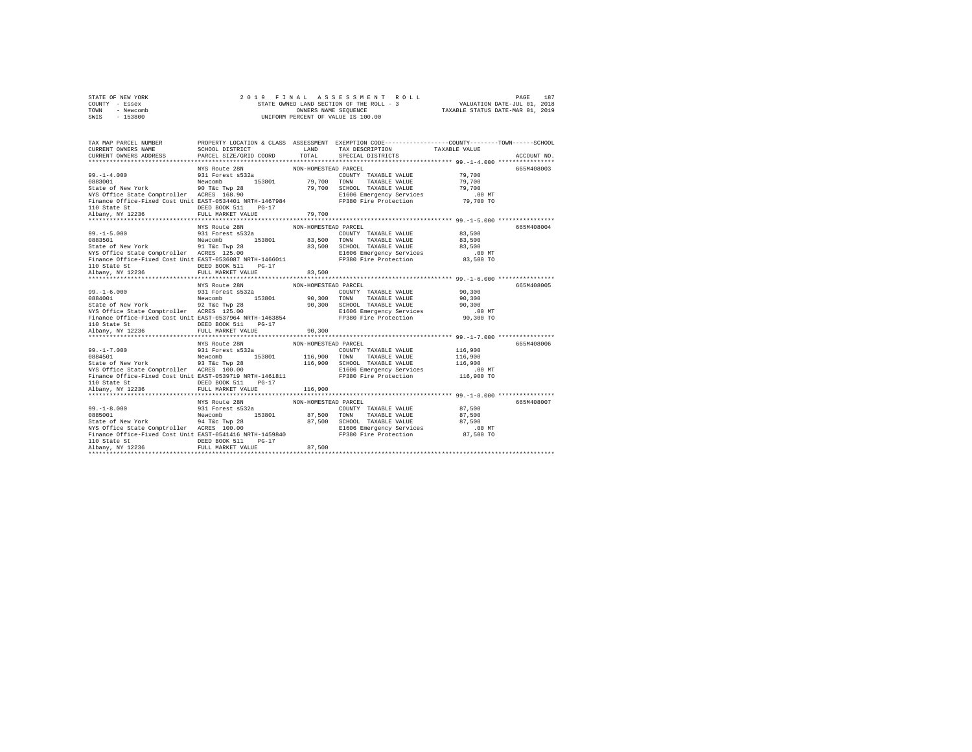| STATE OF NEW YORK | 2019 FINAL ASSESSMENT ROLL               | 187<br>PAGE                      |
|-------------------|------------------------------------------|----------------------------------|
| COUNTY - Essex    | STATE OWNED LAND SECTION OF THE ROLL - 3 | VALUATION DATE-JUL 01, 2018      |
| TOWN<br>- Newcomb | OWNERS NAME SEOUENCE                     | TAXABLE STATUS DATE-MAR 01, 2019 |
| - 153800<br>SWIS  | UNIFORM PERCENT OF VALUE IS 100.00       |                                  |

| TAX MAP PARCEL NUMBER                                                                                                                                                                                                                    |                 |                      | PROPERTY LOCATION & CLASS ASSESSMENT EXEMPTION CODE----------------COUNTY-------TOWN------SCHOOL  |             |
|------------------------------------------------------------------------------------------------------------------------------------------------------------------------------------------------------------------------------------------|-----------------|----------------------|---------------------------------------------------------------------------------------------------|-------------|
| CURRENT OWNERS NAME                                                                                                                                                                                                                      | SCHOOL DISTRICT |                      |                                                                                                   |             |
| CURRENT OWNERS ADDRESS PARCEL SIZE/GRID COORD                                                                                                                                                                                            |                 |                      |                                                                                                   | ACCOUNT NO. |
|                                                                                                                                                                                                                                          |                 |                      |                                                                                                   |             |
|                                                                                                                                                                                                                                          | NYS Route 28N   | NON-HOMESTEAD PARCEL |                                                                                                   | 665M408003  |
| 99.-1-4.000<br>291 Forest s532a<br>2000 - Newcomb 153801 79,700 TOWN TAXABLE VALUE 79,700<br>20083001 Newcomb 90 Taxable 2000 79,700 TOWN TAXABLE VALUE 79,700<br>2000 79,700 TOWN TAXABLE VALUE 79,700<br>2000 79,700 TOWN TAXABLE VALU |                 |                      |                                                                                                   |             |
|                                                                                                                                                                                                                                          |                 |                      |                                                                                                   |             |
|                                                                                                                                                                                                                                          |                 |                      |                                                                                                   |             |
|                                                                                                                                                                                                                                          |                 |                      |                                                                                                   |             |
|                                                                                                                                                                                                                                          |                 |                      |                                                                                                   |             |
|                                                                                                                                                                                                                                          |                 |                      |                                                                                                   |             |
|                                                                                                                                                                                                                                          |                 | 79,700               |                                                                                                   |             |
|                                                                                                                                                                                                                                          |                 |                      |                                                                                                   |             |
|                                                                                                                                                                                                                                          | NYS Route 28N   | NON-HOMESTEAD PARCEL | COUNTY TAXABLE VALUE 83,500                                                                       | 665M408004  |
|                                                                                                                                                                                                                                          |                 |                      |                                                                                                   |             |
|                                                                                                                                                                                                                                          |                 |                      |                                                                                                   |             |
|                                                                                                                                                                                                                                          |                 |                      | SCHOOL TAXABLE VALUE 83,500<br>E1606 Emergency Services .00 MT<br>FP380 Fire Protection 83,500 TO |             |
|                                                                                                                                                                                                                                          |                 |                      |                                                                                                   |             |
|                                                                                                                                                                                                                                          |                 |                      |                                                                                                   |             |
|                                                                                                                                                                                                                                          |                 |                      |                                                                                                   |             |
|                                                                                                                                                                                                                                          |                 | 83,500               |                                                                                                   |             |
|                                                                                                                                                                                                                                          |                 |                      |                                                                                                   |             |
|                                                                                                                                                                                                                                          | NYS Route 28N   | NON-HOMESTEAD PARCEL |                                                                                                   | 665M408005  |
| 99.-1-6.000 MM NORTHUMASSIAN MATHEMATIC 2018<br>2010 March 2011 Material State of New York TAXABLE VALUE 90,300<br>2016 State of New York 1976 MC 2016 1980 MM NAMEL VALUE 90,300<br>2016 MM Softice State Comptroller ACRES 125.00 MM   |                 |                      |                                                                                                   |             |
|                                                                                                                                                                                                                                          |                 |                      |                                                                                                   |             |
|                                                                                                                                                                                                                                          |                 |                      |                                                                                                   |             |
|                                                                                                                                                                                                                                          |                 |                      |                                                                                                   |             |
|                                                                                                                                                                                                                                          |                 |                      |                                                                                                   |             |
|                                                                                                                                                                                                                                          |                 |                      |                                                                                                   |             |
|                                                                                                                                                                                                                                          |                 | 90, 300              |                                                                                                   |             |
|                                                                                                                                                                                                                                          |                 |                      |                                                                                                   | 665M408006  |
|                                                                                                                                                                                                                                          | NYS Route 28N   | NON-HOMESTEAD PARCEL |                                                                                                   |             |
|                                                                                                                                                                                                                                          |                 |                      |                                                                                                   |             |
|                                                                                                                                                                                                                                          |                 |                      |                                                                                                   |             |
|                                                                                                                                                                                                                                          |                 |                      |                                                                                                   |             |
|                                                                                                                                                                                                                                          |                 |                      |                                                                                                   |             |
|                                                                                                                                                                                                                                          |                 |                      |                                                                                                   |             |
|                                                                                                                                                                                                                                          |                 |                      |                                                                                                   |             |
|                                                                                                                                                                                                                                          |                 |                      |                                                                                                   |             |
|                                                                                                                                                                                                                                          | NYS Route 28N   | NON-HOMESTEAD PARCEL |                                                                                                   | 665M408007  |
|                                                                                                                                                                                                                                          |                 |                      |                                                                                                   |             |
|                                                                                                                                                                                                                                          |                 |                      |                                                                                                   |             |
|                                                                                                                                                                                                                                          |                 |                      |                                                                                                   |             |
|                                                                                                                                                                                                                                          |                 |                      |                                                                                                   |             |
|                                                                                                                                                                                                                                          |                 |                      |                                                                                                   |             |
| 99.-1-8.000<br>99.1-2-8.000 931 Forest s532a<br>9885001 931 Forest s532a<br>87,500 70WW TAXABLE VALUE 87,500<br>87,500 87,500 97,500 87,500 87,500 9760 97,500 9760 97,500<br>NYS Office State Comptroller ACRES 100.00 87,500 ECHOL TAX |                 |                      |                                                                                                   |             |
|                                                                                                                                                                                                                                          |                 |                      |                                                                                                   |             |
|                                                                                                                                                                                                                                          |                 |                      |                                                                                                   |             |
|                                                                                                                                                                                                                                          |                 |                      |                                                                                                   |             |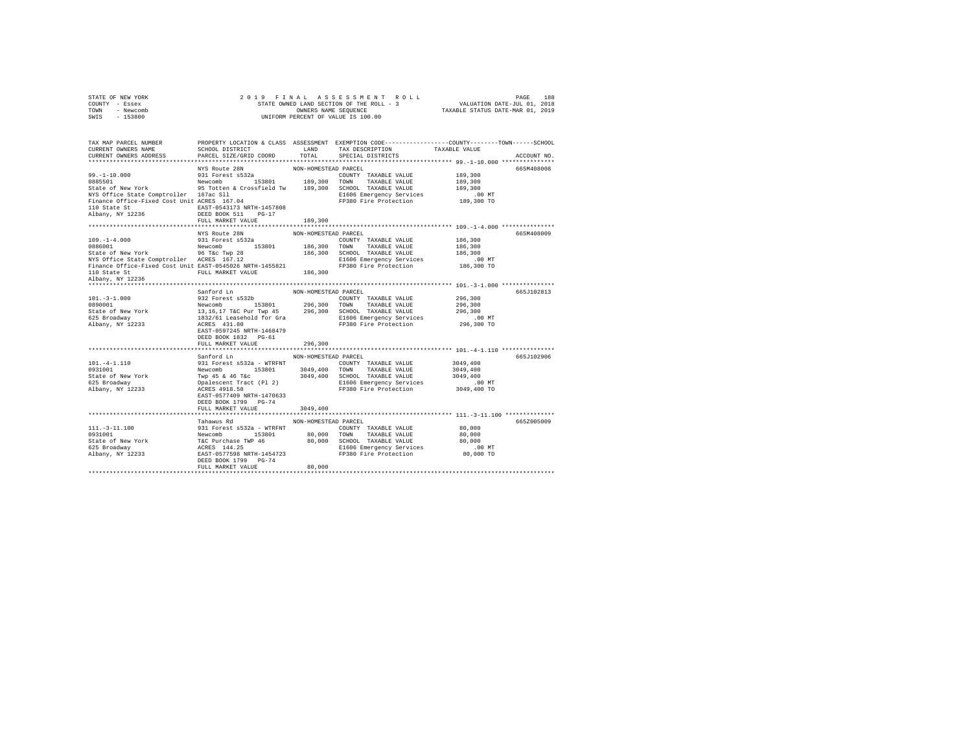| STATE OF NEW YORK<br>COUNTY<br>- Essex<br>- Newcomb<br>TOWN<br>SWIS - 153800          | 2 0 1 9 F I N A L A S S E S S M E N T<br>STATE OWNED LAND SECTION OF THE ROLL -<br>OWNERS NAME SEQUENCE<br>UNIFORM PERCENT OF VALUE IS 100.00 | 2019 FINAL ASSESSMENT ROLL                                          | 188<br>PAGE<br>STATE OWNED LAND SECTION OF THE ROLL - 3 WALUATION DATE-JUL 01, 2018<br>OWNERS NAME SEQUENCE TAXABLE STATUS DATE-MAR 01, 2019                                                                        |
|---------------------------------------------------------------------------------------|-----------------------------------------------------------------------------------------------------------------------------------------------|---------------------------------------------------------------------|---------------------------------------------------------------------------------------------------------------------------------------------------------------------------------------------------------------------|
| CURRENT OWNERS NAME SCHOOL DISTRICT THE LAND                                          |                                                                                                                                               | TAX DESCRIPTION TAXABLE VALUE                                       | TAX MAP PARCEL NUMBER THE PROPERTY LOCATION & CLASS ASSESSMENT EXEMPTION CODE-------------COUNTY-------TOWN------SCHOOL<br>CURRENT OWNERS ADDRESS PARCEL SIZE/GRID COORD TOTAL SPECIAL DISTRICTS TO THE ACCOUNT NO. |
|                                                                                       | NYS Route 28N NON-HOMESTEAD PARCEL                                                                                                            |                                                                     | 665M408008                                                                                                                                                                                                          |
| 99.-1-10.000 931 Forest s532a                                                         |                                                                                                                                               | COUNTY TAXABLE VALUE                                                | 189,300                                                                                                                                                                                                             |
| 0885501 Newcomb 153801 189,300                                                        |                                                                                                                                               | TOWN<br>TAXABLE VALUE                                               | 189,300                                                                                                                                                                                                             |
| State of New York 95 Totten & Crossfield Tw 189,300                                   |                                                                                                                                               | SCHOOL TAXABLE VALUE                                                | 189,300                                                                                                                                                                                                             |
| NYS Office State Comptroller 167ac Sll<br>Finance Office-Fixed Cost Unit ACRES 167.04 |                                                                                                                                               | E1606 Emergency Services .00 MT<br>FP380 Fire Protection 189,300 TO |                                                                                                                                                                                                                     |
| 110 State St 6. EAST-0543173 NRTH-1457808<br>Albany, NY 12236 DEED BOOK 511 PG-17     |                                                                                                                                               |                                                                     |                                                                                                                                                                                                                     |
|                                                                                       | FULL MARKET VALUE 189,300                                                                                                                     |                                                                     |                                                                                                                                                                                                                     |
|                                                                                       |                                                                                                                                               |                                                                     |                                                                                                                                                                                                                     |
|                                                                                       | NYS Route 28N NON-HOMESTEAD PARCEL                                                                                                            |                                                                     | 665M408009                                                                                                                                                                                                          |
| 109.-1-4.000 931 Forest s532a                                                         |                                                                                                                                               | COUNTY TAXABLE VALUE 186,300                                        |                                                                                                                                                                                                                     |
| 0886001                                                                               | Newcomb 153801 186,300                                                                                                                        | TOWN<br>TAXABLE VALUE                                               | 186,300                                                                                                                                                                                                             |
| State of New York                                                                     |                                                                                                                                               | 96 T&C Twp 28 186,300 SCHOOL TAXABLE VALUE                          | 186,300                                                                                                                                                                                                             |

| NYS Office State Comptroller ACRES 167.12<br>Finance Office-Fixed Cost Unit EAST-0545026 NRTH-1455821<br>110 State St<br>Albany, NY 12236 | FULL MARKET VALUE                                                                                                                                                                                      | 186,300                                                  | E1606 Emergency Services<br>FP380 Fire Protection 186,300 TO                                                                           | $.00$ MT                                  |            |
|-------------------------------------------------------------------------------------------------------------------------------------------|--------------------------------------------------------------------------------------------------------------------------------------------------------------------------------------------------------|----------------------------------------------------------|----------------------------------------------------------------------------------------------------------------------------------------|-------------------------------------------|------------|
| $101. - 3 - 1.000$<br>0890001<br>State of New York<br>625 Broadway<br>Albany, NY 12233                                                    | Sanford Ln<br>932 Forest s532b<br>Newcomb<br>13, 16, 17 T&C Pur Twp 45 296, 300<br>1832/61 Leasehold for Gra<br>ACRES 431.80<br>EAST-0597245 NRTH-1468479<br>DEED BOOK 1832 PG-61<br>FULL MARKET VALUE | NON-HOMESTEAD PARCEL<br>153801 296,300<br>296,300        | COUNTY TAXABLE VALUE<br>TOWN<br>TAXABLE VALUE<br>SCHOOL TAXABLE VALUE<br>E1606 Emergency Services<br>FP380 Fire Protection 296,300 TO  | 296,300<br>296,300<br>296,300<br>.00 MT   | 665J102813 |
| $101. - 4 - 1.110$<br>0931001<br>State of New York<br>625 Broadway<br>Albany, NY 12233                                                    | Sanford Ln<br>931 Forest s532a - WTRFNT<br>Newcomb<br>153801<br>Twp 45 & 46 T&c<br>Opalescent Tract (Pl 2)<br>ACRES 4918.58<br>EAST-0577409 NRTH-1470633<br>DEED BOOK 1799 PG-74<br>FULL MARKET VALUE  | NON-HOMESTEAD PARCEL<br>3049,400<br>3049,400<br>3049,400 | COUNTY TAXABLE VALUE<br>TOWN<br>TAXABLE VALUE<br>SCHOOL TAXABLE VALUE<br>E1606 Emergency Services<br>FP380 Fire Protection 3049,400 TO | 3049,400<br>3049,400<br>3049,400<br>.00MT | 665J102906 |
| $111. - 3 - 11.100$<br>0931001<br>State of New York<br>625 Broadway<br>Albany, NY 12233                                                   | Tahawus Rd<br>931 Forest s532a - WTRFNT<br>Newcomb<br>153801<br>T&C Purchase TWP 46<br>ACRES 144.25<br>EAST-0577598 NRTH-1454723<br>DEED BOOK 1799 PG-74<br>FULL MARKET VALUE                          | NON-HOMESTEAD PARCEL<br>80,000<br>80,000<br>80,000       | COUNTY TAXABLE VALUE<br>TOWN<br>TAXABLE VALUE<br>SCHOOL TAXABLE VALUE<br>E1606 Emergency Services<br>FP380 Fire Protection 80,000 TO   | 80,000<br>80,000<br>80,000<br>$.00$ MT    | 6657005009 |
|                                                                                                                                           |                                                                                                                                                                                                        |                                                          |                                                                                                                                        |                                           |            |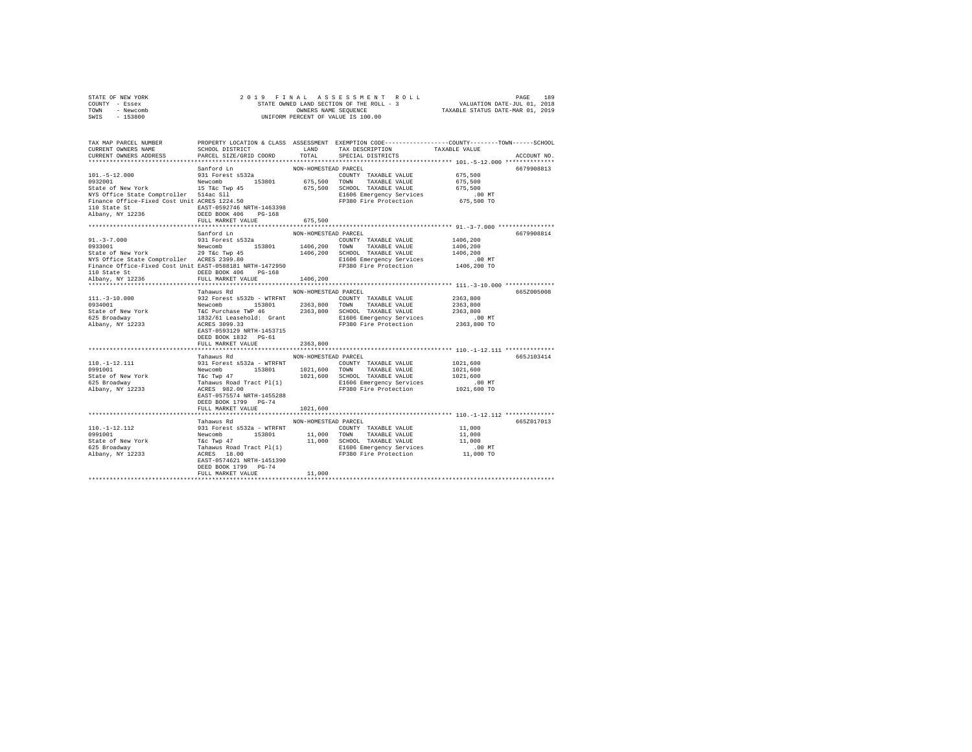|      | STATE OF NEW YORK | 2019 FINAL ASSESSMENT ROLL                               | PAGE                        | 189 |
|------|-------------------|----------------------------------------------------------|-----------------------------|-----|
|      | COUNTY - Essex    | STATE OWNED LAND SECTION OF THE ROLL - 3                 | VALUATION DATE-JUL 01, 2018 |     |
| TOWN | - Newcomb         | TAXABLE STATUS DATE-MAR 01, 2019<br>OWNERS NAME SEOUENCE |                             |     |
| SWIS | $-153800$         | UNIFORM PERCENT OF VALUE IS 100.00                       |                             |     |

| TAX MAP PARCEL NUMBER<br>CURRENT OWNERS NAME<br>CURRENT OWNERS ADDRESS                                                                                                                                                                                                             | SCHOOL DISTRICT<br>PARCEL SIZE/GRID COORD                                                                                                                                                                                                                                                                                | LAND<br>TOTAL                                          | TAX DESCRIPTION<br>SPECIAL DISTRICTS                                                                                                                            | PROPERTY LOCATION & CLASS ASSESSMENT EXEMPTION CODE---------------COUNTY-------TOWN-----SCHOOL<br>TAXABLE VALUE<br>ACCOUNT NO.                  |
|------------------------------------------------------------------------------------------------------------------------------------------------------------------------------------------------------------------------------------------------------------------------------------|--------------------------------------------------------------------------------------------------------------------------------------------------------------------------------------------------------------------------------------------------------------------------------------------------------------------------|--------------------------------------------------------|-----------------------------------------------------------------------------------------------------------------------------------------------------------------|-------------------------------------------------------------------------------------------------------------------------------------------------|
| Sancra Landra and Sancra Landra 2013<br>9311 Forest S532a<br>932801 New York 15 The Crop 153801<br>State of New York 15 Take Super<br>NYS Office State Comptroller 514ac S111<br>Finance Office-Fixed Cost Unit ACRES 1224.50                                                      | Sanford Ln<br>FULL MARKET VALUE                                                                                                                                                                                                                                                                                          | NON-HOMESTEAD PARCEL<br>675,500                        | COUNTY TAXABLE VALUE<br>675,500 TOWN TAXABLE VALUE<br>COUNTY TAXABLE VALUE<br>675,500 SCHOOL TAXABLE VALUE<br>E1606 Emergency Services<br>FP380 Fire Protection | 6679908813<br>675,500<br>675,500<br>675,500<br>.00 MT<br>675,500 TO                                                                             |
| 91.-3-7.000<br>933111 Prest 5532a<br>93411 Prest 5532a<br>93601 1406,200 TONNY TAXABLE VALUE<br>931 Prest 5532a<br>93601 1406,200 TAXABLE VALUE<br>939 PEC Twp 45<br>939.80 1406,200 SLOOL TAXABLE VALUE<br>NYS Office State Comptroller ACRES<br>110 State St<br>Albany, NY 12236 | Sanford Ln<br>DEED BOOK 406 PG-168<br>FULL MARKET VALUE                                                                                                                                                                                                                                                                  | NON-HOMESTEAD PARCEL<br>1406,200                       |                                                                                                                                                                 | 6679908814<br>1406,200<br>1406,200<br>1406,200<br>.00 MT<br>1406,200 TO                                                                         |
| $111. - 3 - 10.000$<br>0.000<br>0934001<br>State of New York<br>625 Broadway<br>Albany, NY 12233                                                                                                                                                                                   | Tahawus Rd<br>932 Forest 9532b - WTRFNT<br>Newcomb 153801 200813 200817 TAXABLE VALUE<br>Newcomb 153801 2363,800 TOWN TAXABLE VALUE<br>1832/61 Leasehold: Grant 2363,800 SCHOOL TAXABLE VALUE<br>ACRES 3099.33 20081201: FD380 Fire Protection<br>EAST-0593129 NRTH-1453715<br>DEED BOOK 1832 PG-61<br>FULL MARKET VALUE | NON-HOMESTEAD PARCEL<br>2363,800                       | FP380 Fire Protection                                                                                                                                           | 665Z005008<br>2363,800<br>2363,800<br>2363,800<br>$.00$ MT<br>2363,800 TO                                                                       |
| 110.-1-12.111<br>0991001<br>0991001<br>State of New York<br>625 Broadway<br>Albany, NY 12233                                                                                                                                                                                       | Tahawus Rd<br>EAST-0575574 NRTH-1455288<br>DEED BOOK 1799 PG-74<br>FULL MARKET VALUE<br>*************************                                                                                                                                                                                                        | NON-HOMESTEAD PARCEL<br>1021,600<br>****************** | 1021,600 TOWN TAXABLE VALUE<br>E1606 Emergency Services<br>FP380 Fire Protection                                                                                | 665J103414<br>1021,600<br>1021,600<br>1021,600<br>$.00 \text{ MT}$<br>1021,600 TO<br>****************************** 110.-1-12.112 ************* |
| $110. - 1 - 12.112$<br>0991001<br>State of New York<br>625 Broadway<br>Albany, NY 12233                                                                                                                                                                                            | Tahawus Rd<br>EAST-0574621 NRTH-1451390<br>DEED BOOK 1799 PG-74<br>FULL MARKET VALUE                                                                                                                                                                                                                                     | NON-HOMESTEAD PARCEL<br>11,000                         |                                                                                                                                                                 | 665Z017013<br>11,000<br>11,000<br>11,000<br>00 MT.<br>11,000 TO                                                                                 |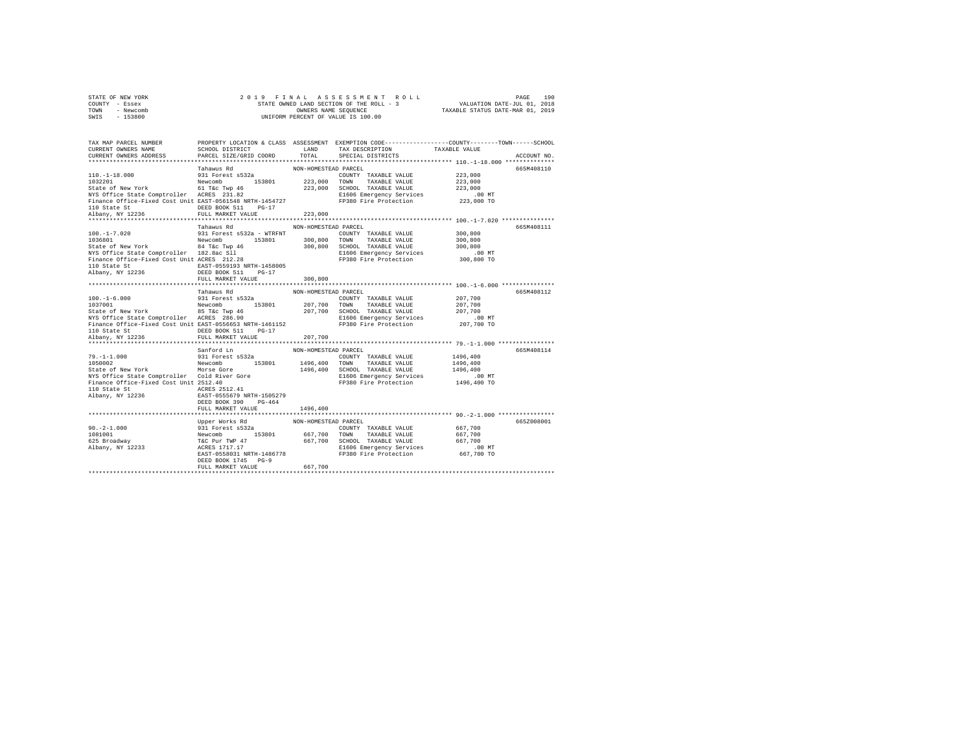| STATE OF NEW YORK |           |  |  | 2019 FINAL ASSESSMENT ROLL               |                                  | PAGE                        | 190 |
|-------------------|-----------|--|--|------------------------------------------|----------------------------------|-----------------------------|-----|
| COUNTY - Essex    |           |  |  | STATE OWNED LAND SECTION OF THE ROLL - 3 |                                  | VALUATION DATE-JUL 01, 2018 |     |
| TOWN              | - Newcomb |  |  | OWNERS NAME SEOUENCE                     | TAXABLE STATUS DATE-MAR 01, 2019 |                             |     |
| SWIS              | $-153800$ |  |  | UNIFORM PERCENT OF VALUE IS 100.00       |                                  |                             |     |

| TAX MAP PARCEL NUMBER<br>CURRENT OWNERS NAME<br>CURRENT OWNERS ADDRESS                                       | SCHOOL DISTRICT<br>PARCEL SIZE/GRID COORD                                                                                                                                                                                                         | LAND<br>TOTAL        | PROPERTY LOCATION & CLASS ASSESSMENT EXEMPTION CODE----------------COUNTY-------TOWN------SCHOOL<br>TAX DESCRIPTION<br>SPECIAL DISTRICTS | TAXABLE VALUE | ACCOUNT NO. |
|--------------------------------------------------------------------------------------------------------------|---------------------------------------------------------------------------------------------------------------------------------------------------------------------------------------------------------------------------------------------------|----------------------|------------------------------------------------------------------------------------------------------------------------------------------|---------------|-------------|
|                                                                                                              |                                                                                                                                                                                                                                                   |                      |                                                                                                                                          |               |             |
|                                                                                                              | Tahawus Rd<br>931 Forest s532a                                                                                                                                                                                                                    | NON-HOMESTEAD PARCEL |                                                                                                                                          |               | 665M408110  |
| $110. - 1 - 18.000$                                                                                          |                                                                                                                                                                                                                                                   |                      | COUNTY TAXABLE VALUE                                                                                                                     | 223,000       |             |
| 1032201 Mewcomb 153801<br>State of New York 61 T&C Twp 46<br>NYS Office State Comptroller ACRES 231.82       |                                                                                                                                                                                                                                                   |                      | 223,000 TOWN TAXABLE VALUE                                                                                                               | 223,000       |             |
|                                                                                                              |                                                                                                                                                                                                                                                   |                      | 223,000 SCHOOL TAXABLE VALUE                                                                                                             | 223,000       |             |
|                                                                                                              |                                                                                                                                                                                                                                                   |                      | E1606 Emergency Services                                                                                                                 | $.00$ MT      |             |
| Finance Office-Fixed Cost Unit EAST-0561548 NRTH-1454727                                                     |                                                                                                                                                                                                                                                   |                      | FP380 Fire Protection                                                                                                                    | 223,000 TO    |             |
| 110 State St                                                                                                 | DEED BOOK 511 PG-17                                                                                                                                                                                                                               |                      |                                                                                                                                          |               |             |
| Albany, NY 12236                                                                                             | FULL MARKET VALUE                                                                                                                                                                                                                                 | 223,000              |                                                                                                                                          |               |             |
|                                                                                                              |                                                                                                                                                                                                                                                   |                      |                                                                                                                                          |               |             |
|                                                                                                              | Tahawus Rd                                                                                                                                                                                                                                        | NON-HOMESTEAD PARCEL |                                                                                                                                          |               | 665M408111  |
| $100. - 1 - 7.020$                                                                                           | 931 Forest s532a - WTRFNT                                                                                                                                                                                                                         |                      | COUNTY TAXABLE VALUE                                                                                                                     | 300,800       |             |
| 1036801                                                                                                      | Newcomb 153801                                                                                                                                                                                                                                    | 300,800 TOWN         | TAXABLE VALUE                                                                                                                            | 300,800       |             |
|                                                                                                              |                                                                                                                                                                                                                                                   |                      | 300,800 SCHOOL TAXABLE VALUE                                                                                                             | 300,800       |             |
| State of New York<br>NYS Office State Comptroller 182.8ac S11<br>Finance Office-Fixed Cost Unit ACRES 212.28 |                                                                                                                                                                                                                                                   |                      | E1606 Emergency Services                                                                                                                 | $.00$ MT      |             |
|                                                                                                              |                                                                                                                                                                                                                                                   |                      | FP380 Fire Protection                                                                                                                    | 300,800 TO    |             |
| 110 State St                                                                                                 | EAST-0559193 NRTH-1458005                                                                                                                                                                                                                         |                      |                                                                                                                                          |               |             |
| Albany, NY 12236                                                                                             | DEED BOOK 511 PG-17                                                                                                                                                                                                                               |                      |                                                                                                                                          |               |             |
|                                                                                                              | FULL MARKET VALUE                                                                                                                                                                                                                                 | 300,800              |                                                                                                                                          |               |             |
|                                                                                                              |                                                                                                                                                                                                                                                   |                      |                                                                                                                                          |               |             |
|                                                                                                              | Tahawus Rd                                                                                                                                                                                                                                        | NON-HOMESTEAD PARCEL |                                                                                                                                          |               | 665M408112  |
| $100. - 1 - 6.000$                                                                                           | 931 Forest s532a                                                                                                                                                                                                                                  |                      | COUNTY TAXABLE VALUE                                                                                                                     | 207,700       |             |
| 1037001                                                                                                      | Newcomb<br>153801                                                                                                                                                                                                                                 | 207,700 TOWN         | TAXABLE VALUE                                                                                                                            | 207,700       |             |
|                                                                                                              |                                                                                                                                                                                                                                                   |                      | 207,700 SCHOOL TAXABLE VALUE                                                                                                             | 207,700       |             |
|                                                                                                              |                                                                                                                                                                                                                                                   |                      | E1606 Emergency Services                                                                                                                 | $.00$ MT      |             |
| Finance Office-Fixed Cost Unit EAST-0556653 NRTH-1461152                                                     |                                                                                                                                                                                                                                                   |                      | FP380 Fire Protection                                                                                                                    | 207,700 TO    |             |
| 110 State St                                                                                                 | DEED BOOK 511<br>$PG-17$                                                                                                                                                                                                                          |                      |                                                                                                                                          |               |             |
| Albany, NY 12236                                                                                             | FULL MARKET VALUE                                                                                                                                                                                                                                 | 207,700              |                                                                                                                                          |               |             |
|                                                                                                              |                                                                                                                                                                                                                                                   |                      |                                                                                                                                          |               |             |
|                                                                                                              | Sanford Ln                                                                                                                                                                                                                                        | NON-HOMESTEAD PARCEL |                                                                                                                                          |               | 665M408114  |
| $79. - 1 - 1.000$                                                                                            | 931 Forest s532a                                                                                                                                                                                                                                  |                      | COUNTY TAXABLE VALUE                                                                                                                     | 1496,400      |             |
| 1050002<br>Morse Gore                                                                                        | Newcomb 153801                                                                                                                                                                                                                                    | 1496,400 TOWN        | TAXABLE VALUE                                                                                                                            | 1496,400      |             |
| State of New York                                                                                            |                                                                                                                                                                                                                                                   |                      | 1496,400 SCHOOL TAXABLE VALUE                                                                                                            | 1496,400      |             |
|                                                                                                              |                                                                                                                                                                                                                                                   |                      | E1606 Emergency Services                                                                                                                 | $.00$ MT      |             |
|                                                                                                              |                                                                                                                                                                                                                                                   |                      | FP380 Fire Protection                                                                                                                    | 1496,400 TO   |             |
| 110 State St                                                                                                 | ACRES 2512.41                                                                                                                                                                                                                                     |                      |                                                                                                                                          |               |             |
| Albany, NY 12236                                                                                             | EAST-0555679 NRTH-1505279                                                                                                                                                                                                                         |                      |                                                                                                                                          |               |             |
|                                                                                                              | DEED BOOK 390<br>$PG-464$                                                                                                                                                                                                                         |                      |                                                                                                                                          |               |             |
|                                                                                                              | FULL MARKET VALUE                                                                                                                                                                                                                                 | 1496,400             |                                                                                                                                          |               |             |
|                                                                                                              |                                                                                                                                                                                                                                                   |                      |                                                                                                                                          |               |             |
|                                                                                                              | Upper Works Rd                                                                                                                                                                                                                                    | NON-HOMESTEAD PARCEL |                                                                                                                                          |               | 665Z008001  |
| $90. -2 - 1.000$                                                                                             |                                                                                                                                                                                                                                                   |                      |                                                                                                                                          | 667,700       |             |
| 1081001                                                                                                      |                                                                                                                                                                                                                                                   |                      |                                                                                                                                          | 667,700       |             |
| 625 Broadway                                                                                                 | 931 Forest as 32<br>Newton COUNTY TAXABLE VALUE<br>Newton TAXABLE VALUE<br>TEC Pur TWP 47<br>ACRES 1717.17<br>ACRES 1717.17<br>ACRES 1717.17<br>ACRES 2010 E100 Energency Services<br>EAST-0558031 NRTH-1486778<br>FP380 Fire Protection<br>FP380 |                      |                                                                                                                                          | 667,700       |             |
| Albany, $NY$ <sup>12233</sup>                                                                                |                                                                                                                                                                                                                                                   |                      |                                                                                                                                          | $.00$ MT      |             |
|                                                                                                              |                                                                                                                                                                                                                                                   |                      |                                                                                                                                          | 667,700 TO    |             |
|                                                                                                              | DEED BOOK 1745 PG-9                                                                                                                                                                                                                               |                      |                                                                                                                                          |               |             |
|                                                                                                              | FULL MARKET VALUE                                                                                                                                                                                                                                 | 667,700              |                                                                                                                                          |               |             |
|                                                                                                              |                                                                                                                                                                                                                                                   |                      |                                                                                                                                          |               |             |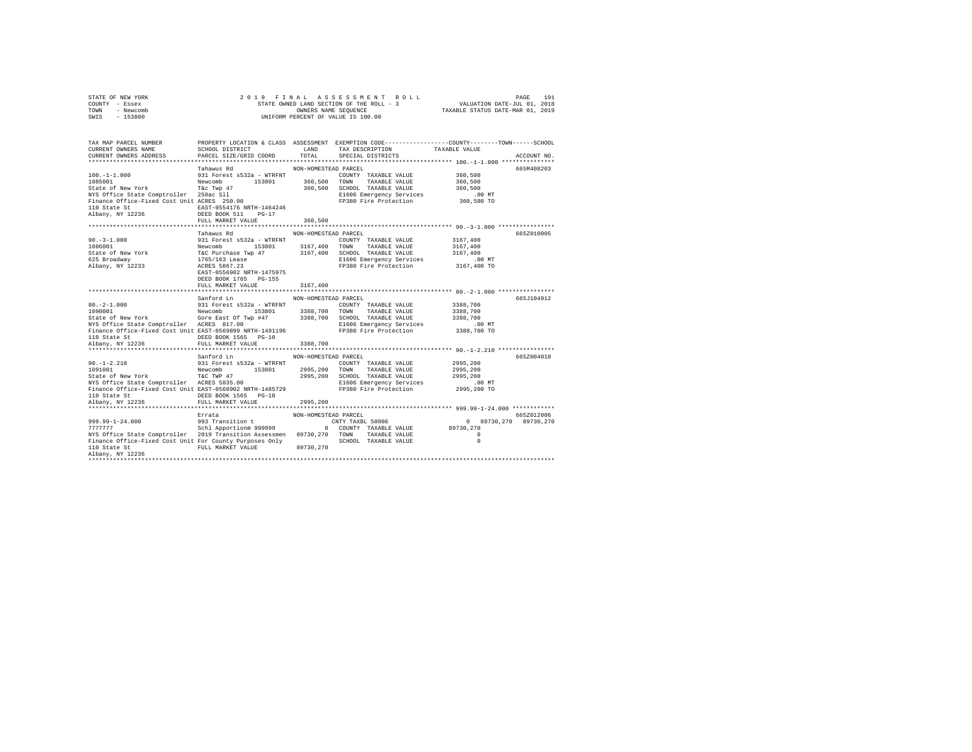| STATE OF NEW YORK |  | 2019 FINAL ASSESSMENT ROLL               |                                  | PAGE                        | 191 |
|-------------------|--|------------------------------------------|----------------------------------|-----------------------------|-----|
| COUNTY - Essex    |  | STATE OWNED LAND SECTION OF THE ROLL - 3 |                                  | VALUATION DATE-JUL 01, 2018 |     |
| TOWN<br>- Newcomb |  | OWNERS NAME SEOUENCE                     | TAXABLE STATUS DATE-MAR 01, 2019 |                             |     |
| $-153800$<br>SWIS |  | UNIFORM PERCENT OF VALUE IS 100.00       |                                  |                             |     |

| TAX MAP PARCEL NUMBER<br>CURRENT OWNERS NAME<br>CURRENT OWNERS ADDRESS                                                                                                                                                                                                                                                                                                                                                      | SCHOOL DISTRICT<br>PARCEL SIZE/GRID COORD                               | LAND<br>TOTAL                        | TAX DESCRIPTION<br>SPECIAL DISTRICTS                                                                                        | PROPERTY LOCATION & CLASS ASSESSMENT EXEMPTION CODE---------------COUNTY-------TOWN------SCHOOL<br>TAXABLE VALUE | ACCOUNT NO. |
|-----------------------------------------------------------------------------------------------------------------------------------------------------------------------------------------------------------------------------------------------------------------------------------------------------------------------------------------------------------------------------------------------------------------------------|-------------------------------------------------------------------------|--------------------------------------|-----------------------------------------------------------------------------------------------------------------------------|------------------------------------------------------------------------------------------------------------------|-------------|
| $100. - 1 - 1.000$<br>1085001<br>1085001 - 11000 - 12000 - 12000 - 153801<br>State of New York - 153602 - 112<br>NYS Office State Comptroller - 250ac S11<br>Finance Office-Fixed Cost Unit ACRES - 250.00                                                                                                                                                                                                                  | Tahawus Rd<br>931 Forest s532a - WTRFNT                                 | NON-HOMESTEAD PARCEL<br>360,500 TOWN | COUNTY TAXABLE VALUE 360.500<br>TAXABLE VALUE 360,500<br>360,500 SCHOOL TAXABLE VALUE                                       | 360,500                                                                                                          | 665M408203  |
| 110 State St<br>Albany, NY 12236                                                                                                                                                                                                                                                                                                                                                                                            | EAST-0554176 NRTH-1464246<br>DEED BOOK 511 PG-17<br>FULL MARKET VALUE   | 360,500                              | E1606 Emergency Services<br>FP380 Fire Protection                                                                           | 00 MT.<br>360,500 TO                                                                                             |             |
|                                                                                                                                                                                                                                                                                                                                                                                                                             |                                                                         |                                      |                                                                                                                             |                                                                                                                  |             |
|                                                                                                                                                                                                                                                                                                                                                                                                                             | Tahawus Rd                                                              | NON-HOMESTEAD PARCEL                 |                                                                                                                             |                                                                                                                  | 665Z010005  |
| $\begin{tabular}{lllllllllllll} \multicolumn{4}{c}{90.}-3-1.000 & 931\text{ Forest } 532a & \text{WTRENT} & 0.08-0.00000 \\ \multicolumn{4}{c}{108.001}& 153801 & 3167,400 \\ \multicolumn{4}{c}{\text{State of New York}} & \multicolumn{4}{c}{\text{KeV}} & \multicolumn{4}{c}{\text{NFC PurChase Two}} & 3167,400 \\ \multicolumn{4}{c}{\text{State of New York}} & \multicolumn{4}{c}{\text{T6C PurChase Two}} & 3167,$ | 153801 3167,400 TOWN                                                    |                                      | COUNTY TAXABLE VALUE<br>TAXABLE VALUE<br>3167,400 SCHOOL TAXABLE VALUE<br>E1606 Emergency Services<br>FP380 Fire Protection | 3167,400<br>3167,400<br>3167,400<br>.00 MT                                                                       |             |
|                                                                                                                                                                                                                                                                                                                                                                                                                             | EAST-0556902 NRTH-1475975<br>DEED BOOK 1765 PG-155<br>FULL MARKET VALUE | 3167.400                             |                                                                                                                             | 3167,400 TO                                                                                                      |             |
|                                                                                                                                                                                                                                                                                                                                                                                                                             |                                                                         |                                      |                                                                                                                             |                                                                                                                  |             |
|                                                                                                                                                                                                                                                                                                                                                                                                                             | Sanford Ln                                                              | NON-HOMESTEAD PARCEL                 |                                                                                                                             |                                                                                                                  | 665.T104912 |
| $80. -2 - 1.000$                                                                                                                                                                                                                                                                                                                                                                                                            | 931 Forest s532a - WTRFNT                                               |                                      | COUNTY TAXABLE VALUE 3388,700                                                                                               |                                                                                                                  |             |
|                                                                                                                                                                                                                                                                                                                                                                                                                             |                                                                         |                                      |                                                                                                                             | 3388,700<br>3388,700                                                                                             |             |
| NYS Office State Comptroller ACRES 817.00                                                                                                                                                                                                                                                                                                                                                                                   |                                                                         |                                      | E1606 Emergency Services                                                                                                    | .00 MT                                                                                                           |             |
| Finance Office-Fixed Cost Unit EAST-0569899 NRTH-1491196 FP380 Fire Protection                                                                                                                                                                                                                                                                                                                                              | DEED BOOK 1565 PG-10                                                    |                                      |                                                                                                                             | 3388,700 TO                                                                                                      |             |
| 110 State St<br>Albany, NY 12236                                                                                                                                                                                                                                                                                                                                                                                            | FULL MARKET VALUE                                                       | 3388,700                             |                                                                                                                             |                                                                                                                  |             |
|                                                                                                                                                                                                                                                                                                                                                                                                                             |                                                                         |                                      |                                                                                                                             |                                                                                                                  |             |
| $90. - 1 - 2.210$                                                                                                                                                                                                                                                                                                                                                                                                           | Sanford Ln                                                              | NON-HOMESTEAD PARCEL                 |                                                                                                                             |                                                                                                                  | 665Z004010  |
| 1091001                                                                                                                                                                                                                                                                                                                                                                                                                     | 931 Forest s532a - WTRFNT<br>Newcomb 153801<br>T&C TWP 47               | 2995,200 TOWN                        | COUNTY TAXABLE VALUE<br>TAXABLE VALUE                                                                                       | 2995,200<br>2995,200                                                                                             |             |
| State of New York                                                                                                                                                                                                                                                                                                                                                                                                           |                                                                         |                                      |                                                                                                                             | 2995,200                                                                                                         |             |
| State of New York (Inc. T&C TWP 47) 72995,200 SCHOOL TAXABLE VALUE<br>NYS Office State Comptroller ACRES 5835.00 181606 Emergency Services<br>Finance Office-Fixed Cost Unit EAST-0568902 NRTH-1485729 FP380 Fire Protection                                                                                                                                                                                                |                                                                         |                                      | E1606 Emergency Services                                                                                                    | .00 MT                                                                                                           |             |
|                                                                                                                                                                                                                                                                                                                                                                                                                             |                                                                         |                                      |                                                                                                                             | 2995,200 TO                                                                                                      |             |
| 110 State St<br>Albany, NY 12236                                                                                                                                                                                                                                                                                                                                                                                            | DEED BOOK 1565 PG-10                                                    |                                      |                                                                                                                             |                                                                                                                  |             |
|                                                                                                                                                                                                                                                                                                                                                                                                                             | FULL MARKET VALUE                                                       | 2995,200                             |                                                                                                                             |                                                                                                                  |             |
|                                                                                                                                                                                                                                                                                                                                                                                                                             |                                                                         |                                      |                                                                                                                             |                                                                                                                  |             |
|                                                                                                                                                                                                                                                                                                                                                                                                                             | Errata                                                                  | NON-HOMESTEAD PARCEL                 |                                                                                                                             | 0 89730, 270 89730, 270                                                                                          | 665Z012006  |
| 299.99-1-24.000<br>299 Transition t 2007 Transition CNTY TAXBL 50006<br>2007/7777 777777 Schl Apportionm 999999 0 COUNTY TAXABLE VALUE                                                                                                                                                                                                                                                                                      |                                                                         |                                      |                                                                                                                             | 89730.270                                                                                                        |             |
| NYS Office State Comptroller 2019 Transition Assessmen 89730,270 TOWN TAXABLE VALUE                                                                                                                                                                                                                                                                                                                                         |                                                                         |                                      |                                                                                                                             | $\Omega$                                                                                                         |             |
| Finance Office-Fixed Cost Unit For County Purposes Only<br>110 State St                                                                                                                                                                                                                                                                                                                                                     | FULL MARKET VALUE 89730, 270                                            |                                      | SCHOOL TAXABLE VALUE                                                                                                        | $\circ$                                                                                                          |             |
| Albany, NY 12236                                                                                                                                                                                                                                                                                                                                                                                                            |                                                                         |                                      |                                                                                                                             |                                                                                                                  |             |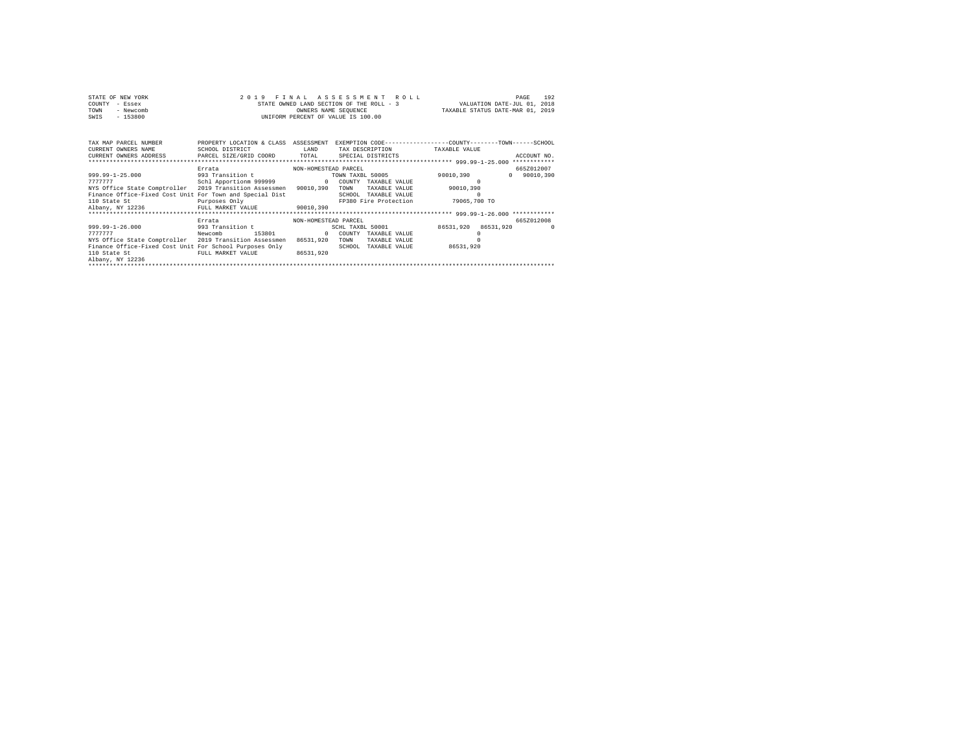|      | STATE OF NEW YORK | 2019 FINAL ASSESSMENT ROLL               |                                  | PAGE                        | 192 |
|------|-------------------|------------------------------------------|----------------------------------|-----------------------------|-----|
|      | COUNTY - Essex    | STATE OWNED LAND SECTION OF THE ROLL - 3 |                                  | VALUATION DATE-JUL 01, 2018 |     |
| TOWN | - Newcomb         | OWNERS NAME SEOUENCE                     | TAXABLE STATUS DATE-MAR 01, 2019 |                             |     |
| SWIS | $-153800$         | UNIFORM PERCENT OF VALUE IS 100.00       |                                  |                             |     |

| TAX MAP PARCEL NUMBER<br>CURRENT OWNERS NAME<br>CURRENT OWNERS ADDRESS . PARCEL SIZE/GRID COORD TOTAL                                                                                                                  | PROPERTY LOCATION & CLASS<br>SCHOOL DISTRICT                          | ASSESSMENT<br>LAND                            | TAX DESCRIPTION TAXABLE VALUE<br>SPECIAL DISTRICTS                                                                    | EXEMPTION CODE-----------------COUNTY-------TOWN------SCHOOL<br>ACCOUNT NO.<br>************   |  |
|------------------------------------------------------------------------------------------------------------------------------------------------------------------------------------------------------------------------|-----------------------------------------------------------------------|-----------------------------------------------|-----------------------------------------------------------------------------------------------------------------------|-----------------------------------------------------------------------------------------------|--|
| $999.99 - 1 - 25.000$<br>7777777<br>NYS Office State Comptroller 2019 Transition Assessmen 90010,390<br>Finance Office-Fixed Cost Unit For Town and Special Dist<br>110 State St<br>Albany, NY 12236 FULL MARKET VALUE | Errata<br>993 Transition t<br>Schl Apportionm 999999<br>Purposes Only | NON-HOMESTEAD PARCEL<br>$\Omega$<br>90010,390 | TOWN TAXBL 50005<br>COUNTY TAXABLE VALUE<br>TOWN<br>TAXABLE VALUE<br>SCHOOL<br>TAXABLE VALUE<br>FP380 Fire Protection | 665Z012007<br>90010,390<br>90010.390<br>$\mathbf{r}$<br>90010,390<br>$\Omega$<br>79065,700 TO |  |
|                                                                                                                                                                                                                        | Errata                                                                | NON-HOMESTEAD PARCEL                          |                                                                                                                       | 665Z012008                                                                                    |  |
| $999.99 - 1 - 26.000$<br>7777777<br>Newcomb<br>NYS Office State Comptroller 2019 Transition Assessmen<br>Finance Office-Fixed Cost Unit For School Purposes Only<br>110 State St<br>Albany, NY 12236                   | 993 Transition t<br>153801<br>FULL MARKET VALUE                       | $\Omega$<br>86531.920<br>86531.920            | SCHL TAXBL 50001<br>COUNTY<br>TAXABLE VALUE<br>TOWN<br>TAXABLE VALUE<br>SCHOOL<br>TAXABLE VALUE                       | 86531,920 86531,920<br>86531,920                                                              |  |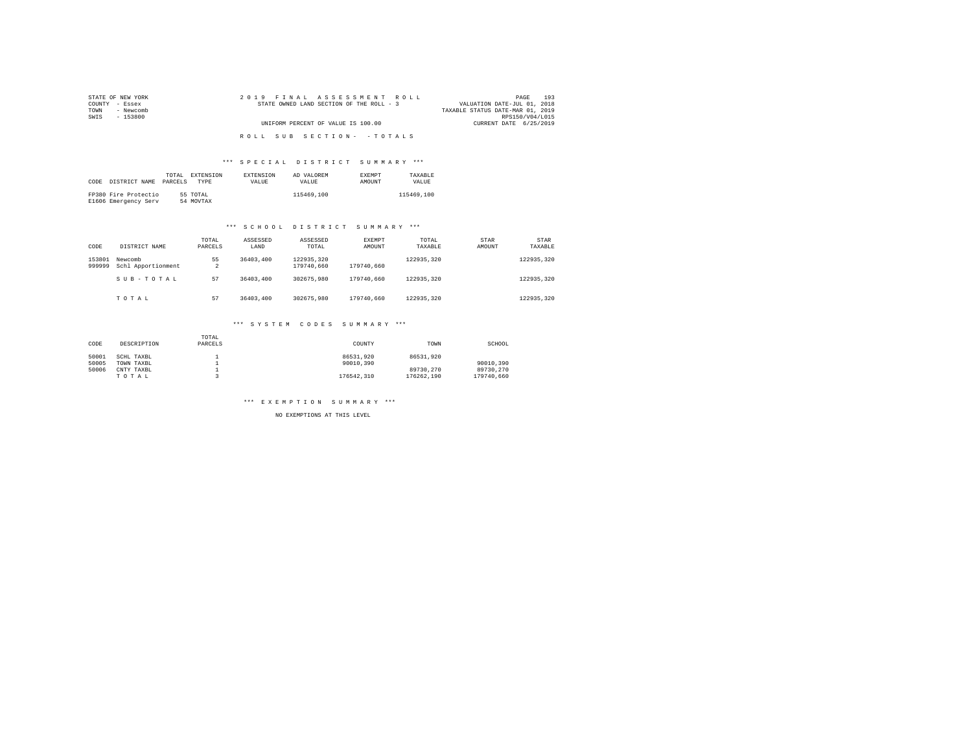| STATE OF NEW YORK | 2019 FINAL ASSESSMENT ROLL               | 193<br>PAGE                      |
|-------------------|------------------------------------------|----------------------------------|
| COUNTY - Essex    | STATE OWNED LAND SECTION OF THE ROLL - 3 | VALUATION DATE-JUL 01, 2018      |
| - Newcomb<br>TOWN |                                          | TAXABLE STATUS DATE-MAR 01, 2019 |
| SWIS<br>- 153800  |                                          | RPS150/V04/L015                  |
|                   | UNIFORM PERCENT OF VALUE IS 100.00       | CURRENT DATE 6/25/2019           |
|                   |                                          |                                  |
|                   | ROLL SUB SECTION- - TOTALS               |                                  |

## \*\*\* S P E C I A L D I S T R I C T S U M M A R Y \*\*\*

| CODE | DISTRICT NAME                                | TOTAL.<br>PARCELS | <b>EXTENSION</b><br><b>TYPE</b> | <b>EXTENSION</b><br>VALUE | AD VALOREM<br>VALUE. | <b>EXEMPT</b><br>AMOUNT | TAXARLE<br>VALUE |
|------|----------------------------------------------|-------------------|---------------------------------|---------------------------|----------------------|-------------------------|------------------|
|      | FP380 Fire Protectio<br>E1606 Emergency Serv |                   | 55 TOTAL<br>54 MOVTAX           |                           | 115469,100           |                         | 115469,100       |

## \*\*\* S C H O O L D I S T R I C T S U M M A R Y \*\*\*

| CODE             | DISTRICT NAME                 | TOTAL<br>PARCELS | ASSESSED<br>LAND | ASSESSED<br>TOTAL        | <b>EXEMPT</b><br>AMOUNT | TOTAL<br>TAXABLE | STAR<br>AMOUNT | STAR<br>TAXABLE |
|------------------|-------------------------------|------------------|------------------|--------------------------|-------------------------|------------------|----------------|-----------------|
| 153801<br>999999 | Newcomb<br>Schl Apportionment | 55<br>2          | 36403,400        | 122935.320<br>179740.660 | 179740.660              | 122935.320       |                | 122935.320      |
|                  | SUB-TOTAL                     | 57               | 36403,400        | 302675.980               | 179740.660              | 122935.320       |                | 122935.320      |
|                  | TOTAL                         | 57               | 36403,400        | 302675.980               | 179740.660              | 122935.320       |                | 122935.320      |

## \*\*\* S Y S T E M C O D E S S U M M A R Y \*\*\*

| CODE  | DESCRIPTION | TOTAL<br>PARCELS | COUNTY     | TOWN       | SCHOOL     |
|-------|-------------|------------------|------------|------------|------------|
| 50001 | SCHL TAXBL  |                  | 86531.920  | 86531.920  |            |
| 50005 | TOWN TAXBL  |                  | 90010.390  |            | 90010.390  |
| 50006 | CNTY TAXBL  |                  |            | 89730.270  | 89730.270  |
|       | TOTAL       |                  | 176542.310 | 176262.190 | 179740.660 |

\*\*\* E X E M P T I O N S U M M A R Y \*\*\*

NO EXEMPTIONS AT THIS LEVEL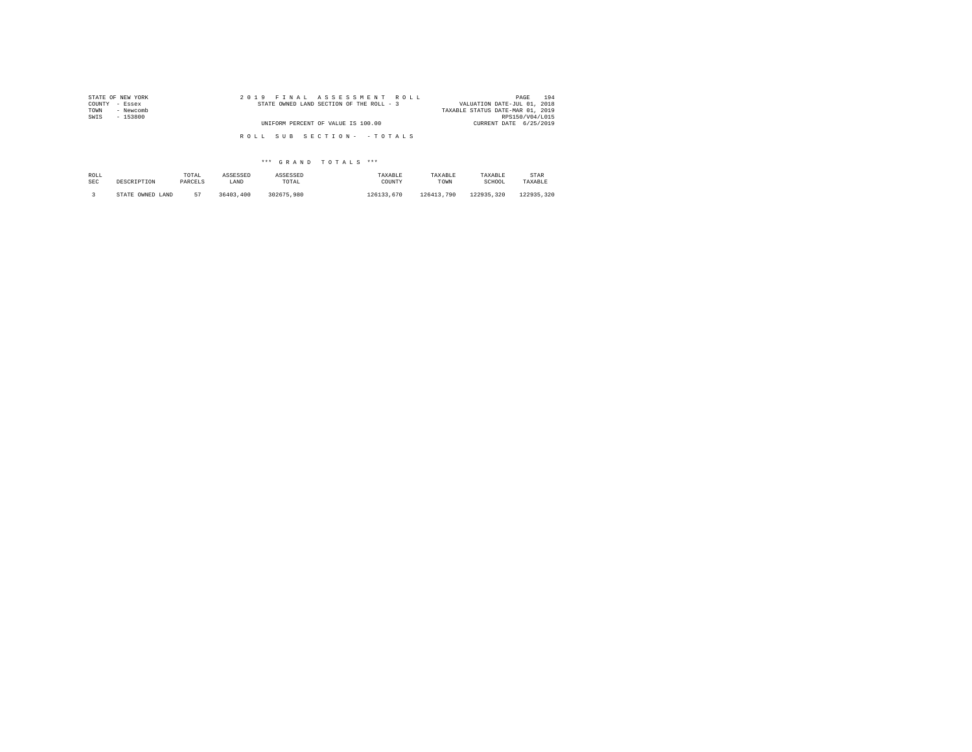| STATE OF NEW YORK | 2019 FINAL ASSESSMENT ROLL               | 194<br>PAGE                      |
|-------------------|------------------------------------------|----------------------------------|
| COUNTY - Essex    | STATE OWNED LAND SECTION OF THE ROLL - 3 | VALUATION DATE-JUL 01, 2018      |
| TOWN<br>- Newcomb |                                          | TAXABLE STATUS DATE-MAR 01, 2019 |
| SWIS<br>- 153800  |                                          | RPS150/V04/L015                  |
|                   | UNIFORM PERCENT OF VALUE IS 100.00       | CURRENT DATE 6/25/2019           |
|                   |                                          |                                  |
|                   | ROLL SUB SECTION- - TOTALS               |                                  |

## \*\*\* G R A N D T O T A L S \*\*\*

| ROLL       | DESCRIPTION      | TOTAL   | ASSESSED  | ASSESSED   | TAXARLE    | TAXABLE    | TAXABLE    | STAR       |
|------------|------------------|---------|-----------|------------|------------|------------|------------|------------|
| <b>SEC</b> |                  | PARCELS | LAND      | TOTAL      | COUNTY     | TOWN       | SCHOOL     | TAXABLE    |
|            | STATE OWNED LAND | 57      | 36403,400 | 302675.980 | 126133.670 | 126413.790 | 122935.320 | 122935.320 |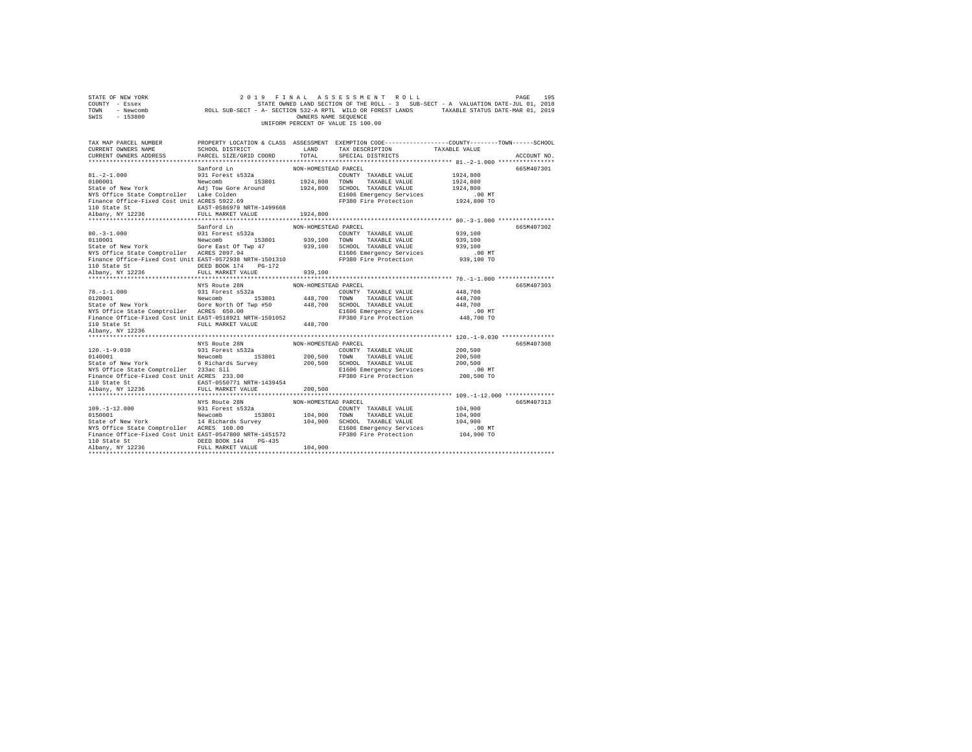| STATE OF NEW YORK<br>COUNTY - Essex<br>TOWN<br>- Newcomb<br>$-153800$<br>SWIS                                                                                                                                                                                               |                                                                                                       | OWNERS NAME SEQUENCE            | 2019 FINAL ASSESSMENT ROLL<br>UNIFORM PERCENT OF VALUE IS 100.00                                                                        | 195<br>PAGE<br>STATE OWNED LAND SECTION OF THE ROLL - 3 SUB-SECT - A VALUATION DATE-JUL 01, 2018<br>ROLL SUB-SECT - A- SECTION 532-A RPTL WILD OR FOREST LANDS TAXABLE STATUS DATE-MAR 01, 2019 |
|-----------------------------------------------------------------------------------------------------------------------------------------------------------------------------------------------------------------------------------------------------------------------------|-------------------------------------------------------------------------------------------------------|---------------------------------|-----------------------------------------------------------------------------------------------------------------------------------------|-------------------------------------------------------------------------------------------------------------------------------------------------------------------------------------------------|
| TAX MAP PARCEL NUMBER<br>CURRENT OWNERS NAME<br>CURRENT OWNERS ADDRESS                                                                                                                                                                                                      | SCHOOL DISTRICT<br>PARCEL SIZE/GRID COORD                                                             | LAND<br>TOTAL                   | TAX DESCRIPTION<br>SPECIAL DISTRICTS                                                                                                    | PROPERTY LOCATION & CLASS ASSESSMENT EXEMPTION CODE---------------COUNTY-------TOWN-----SCHOOL<br>TAXABLE VALUE<br>ACCOUNT NO.                                                                  |
| $81, -2 - 1, 000$<br>0100001<br>State of New York<br>NYS Office State Comptroller Lake Colden<br>Finance Office-Fixed Cost Unit ACRES 5922.69<br>110 State St 60 EAST-0586979 NRTH-1499668                                                                                  | Sanford Ln<br>931 Forest s532a<br>Newcomb 153801<br>Adj Tow Gore Around 1924,800 SCHOOL TAXABLE VALUE | NON-HOMESTEAD PARCEL            | COUNTY TAXABLE VALUE<br>1924,800 TOWN TAXABLE VALUE<br>E1606 Emergency Services<br>FP380 Fire Protection                                | 665M407301<br>1924,800<br>1924,800<br>1924,800<br>.00 MT<br>1924,800 TO                                                                                                                         |
| Albany, NY 12236                                                                                                                                                                                                                                                            | FULL MARKET VALUE                                                                                     | 1924,800                        |                                                                                                                                         |                                                                                                                                                                                                 |
| $80. - 3 - 1.000$<br>0110001<br>State of New York                                                                                                                                                                                                                           | Sanford Ln<br>931 Forest s532a<br>Newcomb 153801<br>Gore East Of Twp 47                               | NON-HOMESTEAD PARCEL            | COUNTY TAXABLE VALUE<br>939,100 TOWN TAXABLE VALUE<br>939,100 SCHOOL TAXABLE VALUE                                                      | 665M407302<br>939,100<br>939,100<br>939,100                                                                                                                                                     |
| NYS Office State Comptroller ACRES 2097.94<br>Finance Office-Fixed Cost Unit EAST-0572938 NRTH-1501310<br>110 State St<br>Albany, NY 12236                                                                                                                                  | DEED BOOK 174 PG-172<br>FULL MARKET VALUE                                                             | 939,100                         | E1606 Emergency Services<br>FP380 Fire Protection                                                                                       | $.00$ MT<br>939,100 TO                                                                                                                                                                          |
| $78. - 1 - 1.000$<br>98.-1-1.000<br>20001 New York Newcomb<br>State of New York Gore North Of Twp #50<br>NYS Office State Comptroller ACRES 650.00<br>Finance Office-Fixed Cost Unit EAST-0518921 NRTH-1501052<br>110 State St<br>Albany, NY 12236                          | NYS Route 28N<br>931 Forest s532a<br>Newcomb 153801<br>FULL MARKET VALUE                              | NON-HOMESTEAD PARCEL<br>448,700 | COUNTY TAXABLE VALUE<br>448,700 TOWN TAXABLE VALUE<br>448.700 SCHOOL TAXABLE VALUE<br>E1606 Emergency Services<br>FP380 Fire Protection | 665M407303<br>448,700<br>448,700<br>448,700<br>$.00$ MT<br>448,700 TO                                                                                                                           |
| $120. -1 - 9.030$<br>120.-1-9.030 931 Forest s532a<br>0140001 953801 Newcomb 153801<br>State of New York 6 Richards Survey<br>NYS Office State Comptroller 233ac Sll<br>Finance Office-Fixed Cost Unit ACRES 233.00<br>110 State St<br>Albany, NY 12236                     | NYS Route 28N<br>931 Forest s532a<br>Newcomb 153801<br>EAST-0550771 NRTH-1439454<br>FULL MARKET VALUE | NON-HOMESTEAD PARCEL<br>200,500 | COUNTY TAXABLE VALUE<br>200,500 TOWN TAXABLE VALUE<br>200,500 SCHOOL TAXABLE VALUE<br>E1606 Emergency Services<br>FP380 Fire Protection | 665M407308<br>200,500<br>200,500<br>200,500<br>.00 MT<br>200,500 TO                                                                                                                             |
|                                                                                                                                                                                                                                                                             |                                                                                                       |                                 |                                                                                                                                         |                                                                                                                                                                                                 |
| $109. - 1 - 12.000$<br>109.-1-12.000 931 Forest s532a<br>0150001 018000 Newcomb 153801<br>State of New York 14 Richards Survey<br>NYS Office State Comptroller ACRES 160.00<br>Finance Office-Fixed Cost Unit EAST-0547800 NRTH-1451572<br>110 State St<br>Albany, NY 12236 | NYS Route 28N<br>931 Forest s532a<br>DEED BOOK 144 PG-435<br>FULL MARKET VALUE                        | NON-HOMESTEAD PARCEL<br>104,900 | COUNTY TAXABLE VALUE<br>104,900 TOWN TAXABLE VALUE<br>104,900 SCHOOL TAXABLE VALUE<br>E1606 Emergency Services<br>FP380 Fire Protection | 665M407313<br>104,900<br>104,900<br>104,900<br>$.00$ MT<br>104,900 TO                                                                                                                           |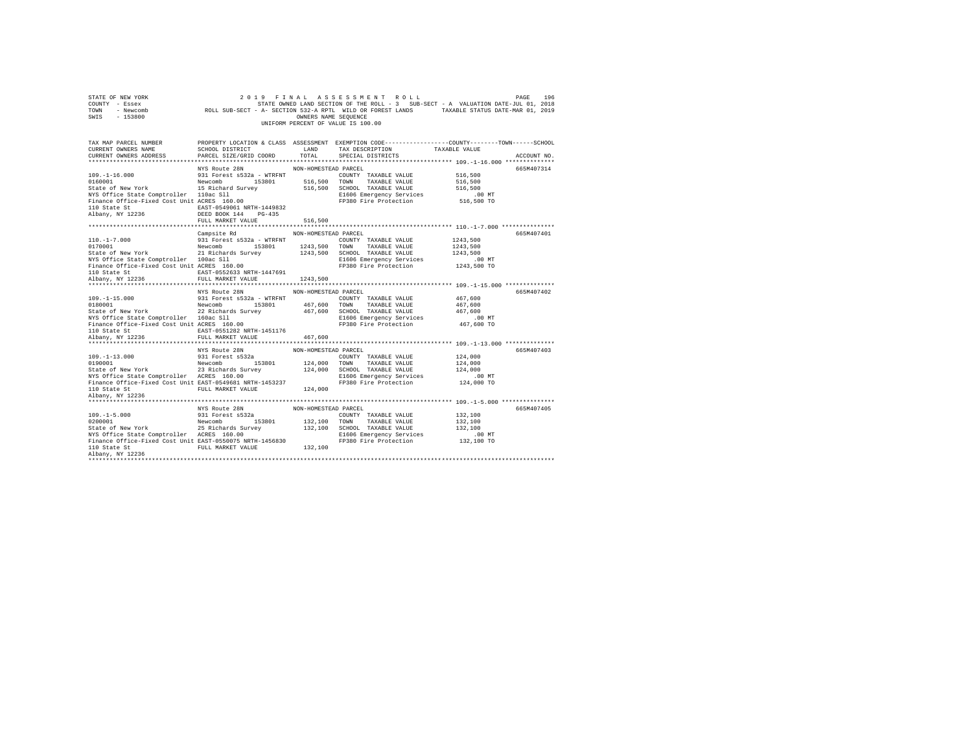| STATE OF NEW YORK<br>COUNTY - Essex<br>TOWN<br>- Newcomb<br>SWIS<br>$-153800$         |                                                | OWNERS NAME SEQUENCE | 2019 FINAL ASSESSMENT ROLL<br>STATE OWNED LAND SECTION OF THE ROLL - 3 SUB-SECT - A VALUATION DATE-JUL 01, 2018<br>STATE OWNED LAND SECTION OF THE ROLL - 3 SUB-SECT - A VALUATION DATE-JUL 01, 2018<br>ROLL SUB-SECT - A- SECTION 532-A RPTL WILD OR FOREST LANDS TAXABLE STATUS DATE-MAR 01, 2019<br>UNIFORM PERCENT OF VALUE IS 100.00 |                    | 196<br>PAGE |
|---------------------------------------------------------------------------------------|------------------------------------------------|----------------------|-------------------------------------------------------------------------------------------------------------------------------------------------------------------------------------------------------------------------------------------------------------------------------------------------------------------------------------------|--------------------|-------------|
| TAX MAP PARCEL NUMBER                                                                 |                                                |                      | PROPERTY LOCATION & CLASS ASSESSMENT EXEMPTION CODE---------------COUNTY-------TOWN------SCHOOL                                                                                                                                                                                                                                           |                    |             |
| CURRENT OWNERS NAME<br>CURRENT OWNERS ADDRESS                                         | SCHOOL DISTRICT                                | LAND<br>TOTAL.       | TAX DESCRIPTION<br>SPECIAL DISTRICTS                                                                                                                                                                                                                                                                                                      | TAXABLE VALUE      | ACCOUNT NO. |
| **************************                                                            | PARCEL SIZE/GRID COORD                         |                      |                                                                                                                                                                                                                                                                                                                                           |                    |             |
|                                                                                       | NYS Route 28N                                  | NON-HOMESTEAD PARCEL |                                                                                                                                                                                                                                                                                                                                           |                    | 665M407314  |
| $109. - 1 - 16.000$                                                                   | 931 Forest s532a - WTRFNT COUNTY TAXABLE VALUE |                      |                                                                                                                                                                                                                                                                                                                                           | 516,500            |             |
| 0160001 153801 Newcomb 153801<br>State of New York 15 Richard Survey                  |                                                |                      | 516,500 TOWN TAXABLE VALUE                                                                                                                                                                                                                                                                                                                | 516,500            |             |
|                                                                                       |                                                |                      | 516,500 SCHOOL TAXABLE VALUE                                                                                                                                                                                                                                                                                                              | 516,500            |             |
| NYS Office State Comptroller 110ac Sll<br>Finance Office-Fixed Cost Unit ACRES 160.00 |                                                |                      | E1606 Emergency Services                                                                                                                                                                                                                                                                                                                  | $.00$ MT           |             |
|                                                                                       |                                                |                      | FP380 Fire Protection                                                                                                                                                                                                                                                                                                                     | 516,500 TO         |             |
| 110 State St                                                                          | EAST-0549061 NRTH-1449832                      |                      |                                                                                                                                                                                                                                                                                                                                           |                    |             |
| Albany, NY 12236                                                                      | DEED BOOK 144 PG-435                           |                      |                                                                                                                                                                                                                                                                                                                                           |                    |             |
|                                                                                       | FULL MARKET VALUE                              | 516,500              |                                                                                                                                                                                                                                                                                                                                           |                    |             |
|                                                                                       | Campsite Rd                                    | NON-HOMESTEAD PARCEL |                                                                                                                                                                                                                                                                                                                                           |                    | 665M407401  |
| $110. -1 - 7.000$                                                                     | 931 Forest s532a - WTRFNT                      |                      | COUNTY TAXABLE VALUE                                                                                                                                                                                                                                                                                                                      | 1243,500           |             |
| 0170001                                                                               | Newcomb 153801                                 |                      | 1243.500 TOWN TAXABLE VALUE                                                                                                                                                                                                                                                                                                               | 1243,500           |             |
| State of New York                                                                     | 21 Richards Survey                             |                      | 1243,500 SCHOOL TAXABLE VALUE                                                                                                                                                                                                                                                                                                             | 1243.500           |             |
| NYS Office State Comptroller 100ac Sll                                                |                                                |                      | E1606 Emergency Services                                                                                                                                                                                                                                                                                                                  | .00 MT             |             |
| Finance Office-Fixed Cost Unit ACRES 160.00                                           |                                                |                      | FP380 Fire Protection                                                                                                                                                                                                                                                                                                                     | 1243,500 TO        |             |
| 110 State St 6.6 EAST-0552633 NRTH-1447691                                            |                                                |                      |                                                                                                                                                                                                                                                                                                                                           |                    |             |
| Albany, NY 12236                                                                      | FULL MARKET VALUE                              | 1243,500             |                                                                                                                                                                                                                                                                                                                                           |                    |             |
| *************************                                                             |                                                |                      |                                                                                                                                                                                                                                                                                                                                           |                    |             |
|                                                                                       | NYS Route 28N                                  | NON-HOMESTEAD PARCEL |                                                                                                                                                                                                                                                                                                                                           |                    | 665M407402  |
| $109. -1 - 15.000$<br>0180001                                                         | 931 Forest s532a - WTRFNT<br>Newcomb 153801    |                      | COUNTY TAXABLE VALUE<br>467,600 TOWN TAXABLE VALUE                                                                                                                                                                                                                                                                                        | 467.600<br>467,600 |             |
| State of New York                                                                     | 22 Richards Survey                             |                      | 467,600 SCHOOL TAXABLE VALUE                                                                                                                                                                                                                                                                                                              | 467.600            |             |
|                                                                                       |                                                |                      | E1606 Emergency Services                                                                                                                                                                                                                                                                                                                  | $.00$ MT           |             |
| NYS Office State Comptroller 160ac Sll<br>Finance Office-Fixed Cost Unit ACRES 160.00 |                                                |                      | FP380 Fire Protection                                                                                                                                                                                                                                                                                                                     | 467.600 TO         |             |
| 110 State St 60 EAST-0551282 NRTH-1451176                                             |                                                |                      |                                                                                                                                                                                                                                                                                                                                           |                    |             |
| Albany, NY 12236                                                                      | FULL MARKET VALUE                              | 467,600              |                                                                                                                                                                                                                                                                                                                                           |                    |             |
|                                                                                       |                                                |                      |                                                                                                                                                                                                                                                                                                                                           |                    |             |
|                                                                                       | NYS Route 28N                                  | NON-HOMESTEAD PARCEL |                                                                                                                                                                                                                                                                                                                                           |                    | 665M407403  |
| $109. - 1 - 13.000$                                                                   | 931 Forest s532a                               |                      | COUNTY TAXABLE VALUE                                                                                                                                                                                                                                                                                                                      | 124,000            |             |
| 0190001                                                                               | Newcomb 153801                                 |                      | 124,000 TOWN TAXABLE VALUE                                                                                                                                                                                                                                                                                                                | 124,000            |             |
| State of New York                                                                     | 23 Richards Survey                             |                      | 124,000 SCHOOL TAXABLE VALUE                                                                                                                                                                                                                                                                                                              | 124,000            |             |
| NYS Office State Comptroller ACRES 160.00                                             |                                                |                      | E1606 Emergency Services<br>FP380 Fire Protection                                                                                                                                                                                                                                                                                         | .00 MT             |             |
| Finance Office-Fixed Cost Unit EAST-0549681 NRTH-1453237<br>110 State St              | FULL MARKET VALUE                              | 124,000              |                                                                                                                                                                                                                                                                                                                                           | 124,000 TO         |             |
| Albany, NY 12236                                                                      |                                                |                      |                                                                                                                                                                                                                                                                                                                                           |                    |             |
|                                                                                       |                                                |                      |                                                                                                                                                                                                                                                                                                                                           |                    |             |
|                                                                                       | NYS Route 28N                                  | NON-HOMESTEAD PARCEL |                                                                                                                                                                                                                                                                                                                                           |                    | 665M407405  |
| $109. -1 - 5.000$                                                                     | 931 Forest s532a                               |                      | COUNTY TAXABLE VALUE                                                                                                                                                                                                                                                                                                                      | 132,100            |             |
| 0200001                                                                               | Newcomb 153801                                 |                      | 132,100 TOWN TAXABLE VALUE                                                                                                                                                                                                                                                                                                                | 132,100            |             |
|                                                                                       |                                                |                      | 132,100 SCHOOL TAXABLE VALUE                                                                                                                                                                                                                                                                                                              | 132,100            |             |
| State of New York 25 Richards Survey<br>NYS Office State Comptroller ACRES 160.00     |                                                |                      | E1606 Emergency Services                                                                                                                                                                                                                                                                                                                  | $.00$ MT           |             |
| Finance Office-Fixed Cost Unit EAST-0550075 NRTH-1456830                              |                                                |                      | FP380 Fire Protection                                                                                                                                                                                                                                                                                                                     | 132,100 TO         |             |
| 110 State St                                                                          | FULL MARKET VALUE                              | 132,100              |                                                                                                                                                                                                                                                                                                                                           |                    |             |
| Albany, NY 12236                                                                      |                                                |                      |                                                                                                                                                                                                                                                                                                                                           |                    |             |
|                                                                                       |                                                |                      |                                                                                                                                                                                                                                                                                                                                           |                    |             |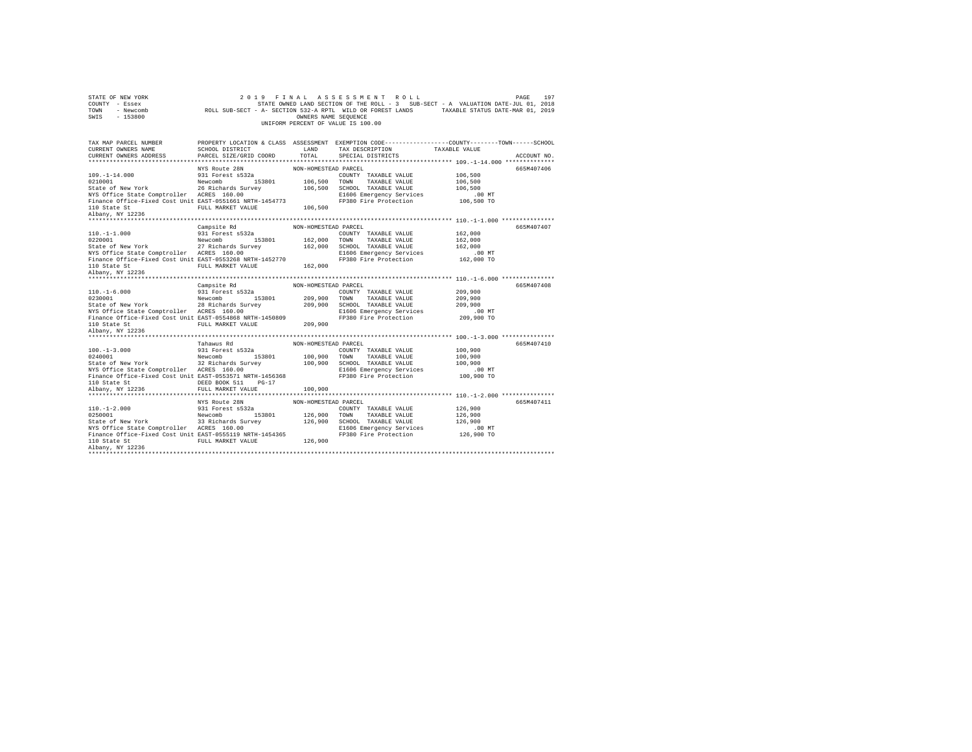| STATE OF NEW YORK                                                                                                         | 2 0 1 9                        | FINAL                | ASSESSMENT ROLL                                                                                                                                                                                                                                                                                                      |                    | 197<br>PAGE |
|---------------------------------------------------------------------------------------------------------------------------|--------------------------------|----------------------|----------------------------------------------------------------------------------------------------------------------------------------------------------------------------------------------------------------------------------------------------------------------------------------------------------------------|--------------------|-------------|
| COUNTY - Essex                                                                                                            |                                |                      | STATE OWNED LAND SECTION OF THE ROLL - 3 SUB-SECT - A VALUATION DATE-JUL 01, 2018<br>ETATE OWNED LAND SECTION OF THE ROLL - 3 SUB-SECT - A VALUATION DATE-JUL 01, 2018 - SUR-SECT - A VALUATION DATE-JUL 01, 2019<br>NOLL SUB-SECT - A- SECTION 532-A RPTL WILD OR FOREST LANDS - TAXABLE STATUS DATE-MAR 01, 2019 - |                    |             |
| TOWN                                                                                                                      |                                |                      |                                                                                                                                                                                                                                                                                                                      |                    |             |
| $-153800$<br>SWIS                                                                                                         |                                | OWNERS NAME SEQUENCE |                                                                                                                                                                                                                                                                                                                      |                    |             |
|                                                                                                                           |                                |                      | UNIFORM PERCENT OF VALUE IS 100.00                                                                                                                                                                                                                                                                                   |                    |             |
|                                                                                                                           |                                |                      |                                                                                                                                                                                                                                                                                                                      |                    |             |
| TAX MAP PARCEL NUMBER<br>CURRENT OWNERS NAME                                                                              | <b>LAND</b><br>SCHOOL DISTRICT |                      | PROPERTY LOCATION & CLASS ASSESSMENT EXEMPTION CODE---------------COUNTY-------TOWN-----SCHOOL<br>TAX DESCRIPTION TAXABLE VALUE                                                                                                                                                                                      |                    |             |
| CURRENT OWNERS ADDRESS                                                                                                    | PARCEL SIZE/GRID COORD         | TOTAL                | SPECIAL DISTRICTS                                                                                                                                                                                                                                                                                                    |                    | ACCOUNT NO. |
|                                                                                                                           |                                |                      |                                                                                                                                                                                                                                                                                                                      |                    |             |
|                                                                                                                           | NYS Route 28N                  | NON-HOMESTEAD PARCEL |                                                                                                                                                                                                                                                                                                                      |                    | 665M407406  |
| $109. - 1 - 14.000$                                                                                                       | 931 Forest s532a               |                      | COUNTY TAXABLE VALUE                                                                                                                                                                                                                                                                                                 | 106,500            |             |
|                                                                                                                           |                                | 106,500 TOWN         | TAXABLE VALUE                                                                                                                                                                                                                                                                                                        | 106,500            |             |
|                                                                                                                           |                                |                      | 106,500 SCHOOL TAXABLE VALUE                                                                                                                                                                                                                                                                                         | 106,500            |             |
| 0211001<br>20210011 Mew York<br>State of New York<br>NYS Office State Comptroller<br>26 Richards Survey<br>26 RESS 160.00 |                                |                      | E1606 Emergency Services                                                                                                                                                                                                                                                                                             | $.00$ MT           |             |
| Finance Office-Fixed Cost Unit EAST-0551661 NRTH-1454773                                                                  |                                |                      | FP380 Fire Protection                                                                                                                                                                                                                                                                                                | 106,500 TO         |             |
|                                                                                                                           | FULL MARKET VALUE 106,500      |                      |                                                                                                                                                                                                                                                                                                                      |                    |             |
| 110 State St<br>Albany, NY 12236                                                                                          |                                |                      |                                                                                                                                                                                                                                                                                                                      |                    |             |
|                                                                                                                           |                                |                      |                                                                                                                                                                                                                                                                                                                      |                    |             |
|                                                                                                                           | Campsite Rd                    | NON-HOMESTEAD PARCEL |                                                                                                                                                                                                                                                                                                                      |                    | 665M407407  |
| $110. -1 - 1.000$                                                                                                         | 931 Forest s532a               |                      | COUNTY TAXABLE VALUE                                                                                                                                                                                                                                                                                                 | 162,000            |             |
|                                                                                                                           |                                | 162,000              | TOWN<br>TAXABLE VALUE                                                                                                                                                                                                                                                                                                | 162,000            |             |
| 153801<br>State of New York<br>State Comptroller ACRES 160.00<br>NYS Office State Comptroller ACRES 160.00                |                                | 162,000              | SCHOOL TAXABLE VALUE                                                                                                                                                                                                                                                                                                 | 162,000            |             |
|                                                                                                                           |                                |                      | E1606 Emergency Services                                                                                                                                                                                                                                                                                             | $.00$ MT           |             |
| Finance Office-Fixed Cost Unit EAST-0553268 NRTH-1452770                                                                  |                                |                      | FP380 Fire Protection                                                                                                                                                                                                                                                                                                | 162,000 TO         |             |
|                                                                                                                           | FULL MARKET VALUE              | 162,000              |                                                                                                                                                                                                                                                                                                                      |                    |             |
| 110 State St<br>Albany, NY 12236                                                                                          |                                |                      |                                                                                                                                                                                                                                                                                                                      |                    |             |
|                                                                                                                           |                                |                      |                                                                                                                                                                                                                                                                                                                      |                    |             |
|                                                                                                                           | Campsite Rd                    | NON-HOMESTEAD PARCEL |                                                                                                                                                                                                                                                                                                                      |                    | 665M407408  |
| $110. - 1 - 6.000$                                                                                                        | 931 Forest s532a               |                      | COUNTY TAXABLE VALUE                                                                                                                                                                                                                                                                                                 | 209,900            |             |
|                                                                                                                           |                                | 209,900              | TOWN<br>TAXABLE VALUE                                                                                                                                                                                                                                                                                                | 209,900            |             |
|                                                                                                                           |                                | 209,900              | SCHOOL TAXABLE VALUE                                                                                                                                                                                                                                                                                                 | 209,900            |             |
|                                                                                                                           |                                |                      | E1606 Emergency Services                                                                                                                                                                                                                                                                                             | $.00$ MT           |             |
| Finance Office-Fixed Cost Unit EAST-0554868 NRTH-1450809                                                                  |                                |                      | FP380 Fire Protection                                                                                                                                                                                                                                                                                                | 209,900 TO         |             |
|                                                                                                                           | FULL MARKET VALUE              | 209,900              |                                                                                                                                                                                                                                                                                                                      |                    |             |
|                                                                                                                           |                                |                      |                                                                                                                                                                                                                                                                                                                      |                    |             |
|                                                                                                                           |                                |                      |                                                                                                                                                                                                                                                                                                                      |                    |             |
|                                                                                                                           | Tahawus Rd                     | NON-HOMESTEAD PARCEL |                                                                                                                                                                                                                                                                                                                      |                    | 665M407410  |
|                                                                                                                           |                                |                      | COUNTY TAXABLE VALUE                                                                                                                                                                                                                                                                                                 | 100,900            |             |
| 100.-1-3.000 931 Forest s532a<br>0240001 915801 Newcomb 153801<br>State of New York 32 Richards Survey                    |                                | 100,900              | TOWN<br>TAXABLE VALUE                                                                                                                                                                                                                                                                                                | 100,900            |             |
|                                                                                                                           |                                | 100,900              | SCHOOL TAXABLE VALUE                                                                                                                                                                                                                                                                                                 | 100,900            |             |
| NYS Office State Comptroller ACRES 160.00                                                                                 |                                |                      | E1606 Emergency Services                                                                                                                                                                                                                                                                                             | $.00$ MT           |             |
| Finance Office-Fixed Cost Unit EAST-0553571 NRTH-1456368                                                                  |                                |                      | FP380 Fire Protection                                                                                                                                                                                                                                                                                                | 100,900 TO         |             |
| 110 State St<br>Albany, NY 12236                                                                                          | DEED BOOK 511 PG-17            |                      |                                                                                                                                                                                                                                                                                                                      |                    |             |
|                                                                                                                           | FULL MARKET VALUE              | 100,900              |                                                                                                                                                                                                                                                                                                                      |                    |             |
|                                                                                                                           | NYS Route 28N                  |                      |                                                                                                                                                                                                                                                                                                                      |                    |             |
|                                                                                                                           |                                | NON-HOMESTEAD PARCEL |                                                                                                                                                                                                                                                                                                                      |                    | 665M407411  |
|                                                                                                                           |                                |                      | COUNTY TAXABLE VALUE                                                                                                                                                                                                                                                                                                 | 126,900            |             |
|                                                                                                                           |                                | 126,900<br>126,900   | TOWN<br>TAXABLE VALUE<br>SCHOOL TAXABLE VALUE                                                                                                                                                                                                                                                                        | 126,900<br>126,900 |             |
|                                                                                                                           |                                |                      | E1606 Emergency Services                                                                                                                                                                                                                                                                                             | $.00$ MT           |             |
| Finance Office-Fixed Cost Unit EAST-0555119 NRTH-1454365                                                                  |                                |                      | FP380 Fire Protection                                                                                                                                                                                                                                                                                                | 126,900 TO         |             |
| 110 State St                                                                                                              | FULL MARKET VALUE              | 126,900              |                                                                                                                                                                                                                                                                                                                      |                    |             |
| Albany, NY 12236                                                                                                          |                                |                      |                                                                                                                                                                                                                                                                                                                      |                    |             |
|                                                                                                                           |                                |                      |                                                                                                                                                                                                                                                                                                                      |                    |             |
|                                                                                                                           |                                |                      |                                                                                                                                                                                                                                                                                                                      |                    |             |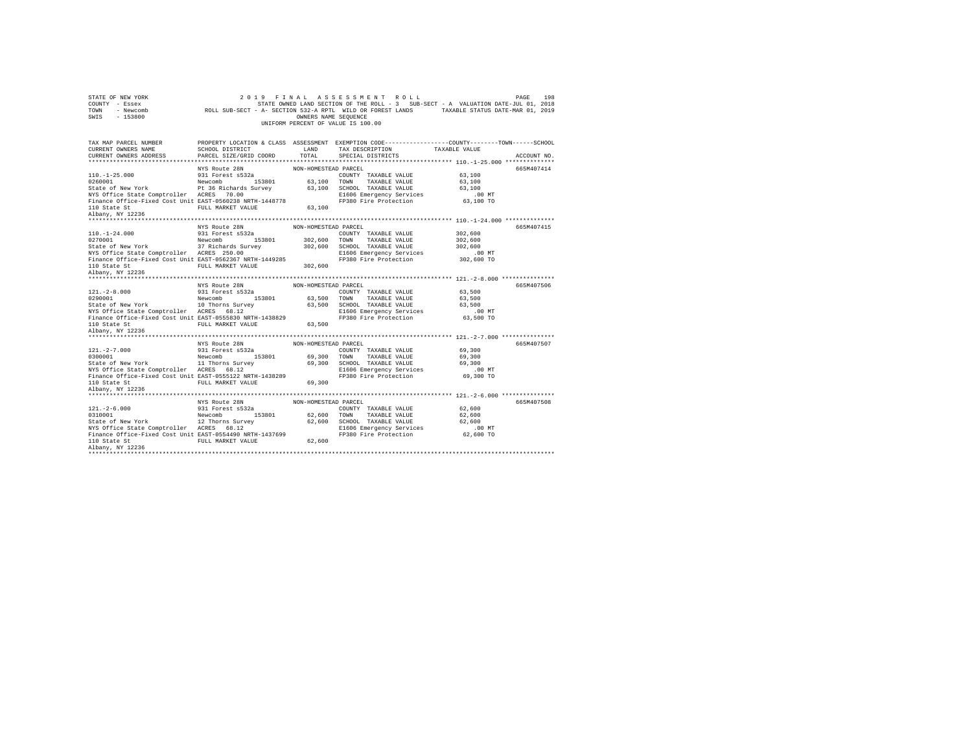| STATE OF NEW YORK<br>COUNTY - Essex<br>TOWN<br>$-153800$<br>SWIS                                                                                                                                                                                                                                 | 2 0 1 9                   | OWNERS NAME SEQUENCE | FINAL ASSESSMENT ROLL<br>STATE OWNED LAND SECTION OF THE ROLL - 3 SUB-SECT - A VALUATION DATE-JUL 01, 2018<br>UNIFORM PERCENT OF VALUE IS 100.00 |                       | 198<br>PAGE |
|--------------------------------------------------------------------------------------------------------------------------------------------------------------------------------------------------------------------------------------------------------------------------------------------------|---------------------------|----------------------|--------------------------------------------------------------------------------------------------------------------------------------------------|-----------------------|-------------|
|                                                                                                                                                                                                                                                                                                  |                           |                      |                                                                                                                                                  |                       |             |
| TAX MAP PARCEL NUMBER<br>CURRENT OWNERS NAME                                                                                                                                                                                                                                                     | LAND<br>SCHOOL DISTRICT   |                      | PROPERTY LOCATION & CLASS ASSESSMENT EXEMPTION CODE---------------COUNTY-------TOWN------SCHOOL<br>TAX DESCRIPTION TAXABLE VALUE                 |                       |             |
| CURRENT OWNERS ADDRESS                                                                                                                                                                                                                                                                           | PARCEL SIZE/GRID COORD    | TOTAL                | SPECIAL DISTRICTS                                                                                                                                |                       | ACCOUNT NO. |
|                                                                                                                                                                                                                                                                                                  |                           |                      |                                                                                                                                                  |                       |             |
|                                                                                                                                                                                                                                                                                                  | NYS Route 28N             | NON-HOMESTEAD PARCEL |                                                                                                                                                  |                       | 665M407414  |
| $110. -1 - 25.000$                                                                                                                                                                                                                                                                               | 931 Forest s532a          |                      | COUNTY TAXABLE VALUE 63,100                                                                                                                      |                       |             |
| 0260001<br>Newcomb 153801 63,100 TOWN TAXABLE VALUE<br>State of New York Prichards Survey 63,100 SCHOOL TAXABLE VALUE<br>NYS Office State Comptroller ACRES 70.00 00 REI606 Emergency Services                                                                                                   |                           |                      |                                                                                                                                                  | 63,100                |             |
|                                                                                                                                                                                                                                                                                                  |                           |                      |                                                                                                                                                  | 63,100                |             |
| NYS Office State Comptroller ACRES 70.00<br>Finance Office-Fixed Cost Unit EAST-0560238 NRTH-1448778                                                                                                                                                                                             |                           |                      | FP380 Fire Protection                                                                                                                            | $.00$ MT<br>63,100 TO |             |
|                                                                                                                                                                                                                                                                                                  | FULL MARKET VALUE 63,100  |                      |                                                                                                                                                  |                       |             |
| 110 State St<br>Albany, NY 12236                                                                                                                                                                                                                                                                 |                           |                      |                                                                                                                                                  |                       |             |
|                                                                                                                                                                                                                                                                                                  |                           |                      |                                                                                                                                                  |                       |             |
|                                                                                                                                                                                                                                                                                                  | NYS Route 28N             | NON-HOMESTEAD PARCEL |                                                                                                                                                  |                       | 665M407415  |
| $110. - 1 - 24.000$                                                                                                                                                                                                                                                                              | 931 Forest s532a          |                      | COUNTY TAXABLE VALUE                                                                                                                             | 302,600               |             |
|                                                                                                                                                                                                                                                                                                  |                           | 302,600 TOWN         | TAXABLE VALUE                                                                                                                                    | 302,600               |             |
|                                                                                                                                                                                                                                                                                                  |                           |                      | 302,600 SCHOOL TAXABLE VALUE                                                                                                                     | 302,600               |             |
|                                                                                                                                                                                                                                                                                                  |                           |                      | E1606 Emergency Services                                                                                                                         | .00 MT                |             |
| Finance Office-Fixed Cost Unit EAST-0562367 NRTH-1449285                                                                                                                                                                                                                                         |                           |                      | FP380 Fire Protection                                                                                                                            | 302,600 TO            |             |
| 110 State St<br>Albany, NY 12236                                                                                                                                                                                                                                                                 | FULL MARKET VALUE 302,600 |                      |                                                                                                                                                  |                       |             |
|                                                                                                                                                                                                                                                                                                  |                           |                      |                                                                                                                                                  |                       |             |
|                                                                                                                                                                                                                                                                                                  |                           |                      |                                                                                                                                                  |                       |             |
|                                                                                                                                                                                                                                                                                                  |                           |                      |                                                                                                                                                  |                       |             |
|                                                                                                                                                                                                                                                                                                  | NYS Route 28N             | NON-HOMESTEAD PARCEL |                                                                                                                                                  |                       | 665M407506  |
|                                                                                                                                                                                                                                                                                                  |                           |                      |                                                                                                                                                  | 63,500<br>63,500      |             |
|                                                                                                                                                                                                                                                                                                  |                           |                      |                                                                                                                                                  | 63,500                |             |
|                                                                                                                                                                                                                                                                                                  |                           |                      |                                                                                                                                                  | $.00$ MT              |             |
| 121.-2-8.000<br>231 Forest s532a<br>231 Forest s532a<br>24 New York 10 Thorns Survey 63,500 SCHOOL TAXABLE VALUE<br>24 STAGES 68.500 SCHOOL TAXABLE VALUE<br>24 NYS Office State Comptroller ACRES 68.12<br>24 NYS Office State Comptr                                                           |                           |                      | FP380 Fire Protection                                                                                                                            | 63,500 TO             |             |
| was office state Comptroller ACRES 68.12<br>Finance Office-Fixed Cost Unit EAST-0555830 NRTH-1438829<br>110 State Ct                                                                                                                                                                             | FULL MARKET VALUE 63,500  |                      |                                                                                                                                                  |                       |             |
| 110 State St<br>Albany, NY 12236                                                                                                                                                                                                                                                                 |                           |                      |                                                                                                                                                  |                       |             |
|                                                                                                                                                                                                                                                                                                  |                           |                      |                                                                                                                                                  |                       |             |
|                                                                                                                                                                                                                                                                                                  | NYS Route 28N             | NON-HOMESTEAD PARCEL |                                                                                                                                                  |                       | 665M407507  |
|                                                                                                                                                                                                                                                                                                  |                           |                      | COUNTY TAXABLE VALUE                                                                                                                             | 69,300                |             |
|                                                                                                                                                                                                                                                                                                  |                           |                      |                                                                                                                                                  | 69,300                |             |
|                                                                                                                                                                                                                                                                                                  |                           |                      | 69,300 TOWN TAXABLE VALUE<br>69,300 SCHOOL TAXABLE VALUE                                                                                         | 69,300                |             |
| $\begin{tabular}{lllllllll} 121.-2-7.000 & 931 Forest 5532a \\ 0300001 & New York & Newcomb & 153801 \\ 513801 & 513801 & 513801 \\ 14500001 & 14500000 & 1450000 \\ 153801 & 153801 & 153801 \\ 153801 & 153801 & 153801 & 153801 \\ 153801 & 153801 & 153801 & 153801 & 153801 \\ 153801 & 15$ |                           |                      | E1606 Emergency Services                                                                                                                         | .00MT                 |             |
|                                                                                                                                                                                                                                                                                                  |                           |                      | FP380 Fire Protection                                                                                                                            | 69,300 TO             |             |
| NYS Office State Comptroller ACRES 68.12<br>Finance Office-Fixed Cost Unit EAST-0555122 NRTH-1438289<br>11 Salvany NY 19994 FULL MARKET VALUE 11 NAV NRTH-168                                                                                                                                    |                           |                      |                                                                                                                                                  |                       |             |
| 110 State St<br>Albany, NY 12236                                                                                                                                                                                                                                                                 |                           |                      |                                                                                                                                                  |                       |             |
|                                                                                                                                                                                                                                                                                                  | NYS Route 28N             | NON-HOMESTEAD PARCEL |                                                                                                                                                  |                       | 665M407508  |
|                                                                                                                                                                                                                                                                                                  |                           |                      | COUNTY TAXABLE VALUE                                                                                                                             | 62,600                |             |
|                                                                                                                                                                                                                                                                                                  |                           |                      |                                                                                                                                                  | 62,600                |             |
|                                                                                                                                                                                                                                                                                                  |                           |                      | 62,600 TOWN TAXABLE VALUE<br>62,600 SCHOOL TAXABLE VALUE                                                                                         | 62,600                |             |
| 121.-2-6.000<br>0311 Forest space of New York (122 Thorns Survey)<br>51.12 Thorns Survey<br>12 Thorns Survey (122 Thorns Survey)                                                                                                                                                                 |                           |                      |                                                                                                                                                  |                       |             |
| Finance Office-Fixed Cost Unit EAST-0554490 NRTH-1437699                                                                                                                                                                                                                                         |                           |                      |                                                                                                                                                  |                       |             |
| 110 State St<br>Albany, NY 12236                                                                                                                                                                                                                                                                 |                           |                      | ACRES 68.12<br>EL606 Emergency Services<br>EAST-0554490 NRTH-1437699 PP380 Fire Protection 62,600 TO<br>FULL MARKET VALUE 62,600 62,600          |                       |             |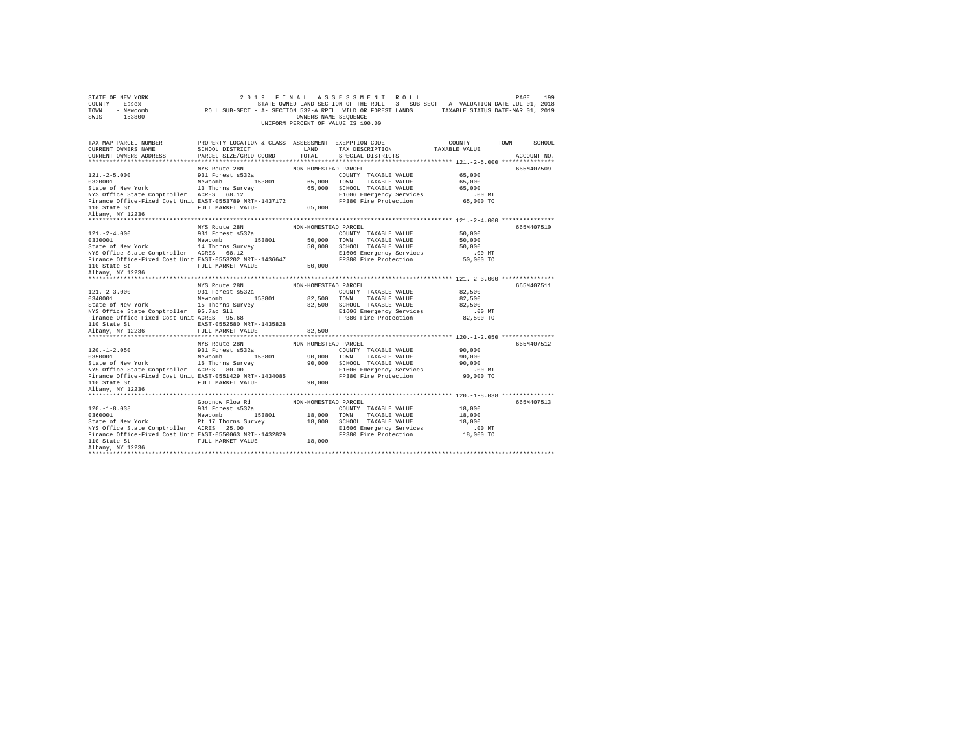| STATE OF NEW YORK<br>COUNTY - Essex<br>TOWN<br>SWIS<br>$-153800$                                                       |                                                   | OWNERS NAME SEQUENCE | 07 NEW YORK 2019 FINAL ASSES SWENT ROLL FOR AN AUSE 1998<br>2019 - ESSEX STATE ONNED LAND SECTION OF THE ROLL - 3 SUB-SECT - A VALUATION DATE-JUL 01, 2018<br>2019 - Newcomb - ROLL SUB-SECT - A- SECTION 532-A RPTL WILD OR FOREST<br>UNIFORM PERCENT OF VALUE IS 100.00 |           |             |
|------------------------------------------------------------------------------------------------------------------------|---------------------------------------------------|----------------------|---------------------------------------------------------------------------------------------------------------------------------------------------------------------------------------------------------------------------------------------------------------------------|-----------|-------------|
| TAX MAP PARCEL NUMBER                                                                                                  |                                                   |                      | PROPERTY LOCATION & CLASS ASSESSMENT EXEMPTION CODE---------------COUNTY-------TOWN-----SCHOOL                                                                                                                                                                            |           |             |
| CURRENT OWNERS NAME<br>CURRENT OWNERS ADDRESS                                                                          | SCHOOL DISTRICT LAND PARCEL SIZE/GRID COORD TOTAL |                      | TAX DESCRIPTION TAXABLE VALUE<br>SPECIAL DISTRICTS                                                                                                                                                                                                                        |           | ACCOUNT NO. |
|                                                                                                                        |                                                   |                      |                                                                                                                                                                                                                                                                           |           |             |
|                                                                                                                        |                                                   |                      |                                                                                                                                                                                                                                                                           |           | 665M407509  |
|                                                                                                                        |                                                   |                      | COUNTY TAXABLE VALUE 65,000                                                                                                                                                                                                                                               |           |             |
|                                                                                                                        |                                                   |                      |                                                                                                                                                                                                                                                                           | 65,000    |             |
|                                                                                                                        |                                                   |                      |                                                                                                                                                                                                                                                                           | 65,000    |             |
| NYS Office State Comptroller ACRES 68.12<br>Finance Office-Fixed Cost Unit EAST-0553789 NRTH-1437172<br>110 Obst: Oter |                                                   |                      |                                                                                                                                                                                                                                                                           | $.00$ MT  |             |
|                                                                                                                        |                                                   |                      | FP380 Fire Protection                                                                                                                                                                                                                                                     | 65,000 TO |             |
| 110 State St<br>Albany, NY 12236                                                                                       | FULL MARKET VALUE 65,000                          |                      |                                                                                                                                                                                                                                                                           |           |             |
|                                                                                                                        |                                                   |                      |                                                                                                                                                                                                                                                                           |           |             |
|                                                                                                                        |                                                   | NON-HOMESTEAD PARCEL |                                                                                                                                                                                                                                                                           |           | 665M407510  |
| $121. -2 - 4.000$                                                                                                      | NYS Route 28N<br>931 Forest s532a                 |                      | COUNTY TAXABLE VALUE 50,000                                                                                                                                                                                                                                               |           |             |
|                                                                                                                        |                                                   |                      |                                                                                                                                                                                                                                                                           |           |             |
|                                                                                                                        |                                                   |                      |                                                                                                                                                                                                                                                                           |           |             |
| ville state comptroller ACRES 68.12<br>Finance Office-Fixed Cost Unit EAST-0553202 NRTH-1436647<br>110 State Of        |                                                   |                      |                                                                                                                                                                                                                                                                           | $.00$ MT  |             |
|                                                                                                                        |                                                   |                      | FP380 Fire Protection                                                                                                                                                                                                                                                     | 50,000 TO |             |
| 110 State St<br>Albany, NY 12236                                                                                       | FULL MARKET VALUE 50,000                          |                      |                                                                                                                                                                                                                                                                           |           |             |
|                                                                                                                        |                                                   |                      |                                                                                                                                                                                                                                                                           |           |             |
|                                                                                                                        |                                                   | NON-HOMESTEAD PARCEL |                                                                                                                                                                                                                                                                           |           | 665M407511  |
|                                                                                                                        | NYS Route 28N<br>931 Forest s532a                 |                      |                                                                                                                                                                                                                                                                           |           |             |
|                                                                                                                        |                                                   |                      |                                                                                                                                                                                                                                                                           |           |             |
|                                                                                                                        |                                                   |                      |                                                                                                                                                                                                                                                                           |           |             |
|                                                                                                                        |                                                   |                      |                                                                                                                                                                                                                                                                           | $.00$ MT  |             |
|                                                                                                                        |                                                   |                      |                                                                                                                                                                                                                                                                           | 82,500 TO |             |
|                                                                                                                        |                                                   |                      |                                                                                                                                                                                                                                                                           |           |             |
|                                                                                                                        |                                                   |                      |                                                                                                                                                                                                                                                                           |           |             |
|                                                                                                                        |                                                   |                      |                                                                                                                                                                                                                                                                           |           |             |
|                                                                                                                        | NYS Route 28N                                     | NON-HOMESTEAD PARCEL |                                                                                                                                                                                                                                                                           |           | 665M407512  |
|                                                                                                                        |                                                   |                      |                                                                                                                                                                                                                                                                           |           |             |
|                                                                                                                        |                                                   |                      |                                                                                                                                                                                                                                                                           |           |             |
|                                                                                                                        |                                                   |                      |                                                                                                                                                                                                                                                                           | $.00$ MT  |             |
|                                                                                                                        |                                                   |                      | FP380 Fire Protection 90,000 TO                                                                                                                                                                                                                                           |           |             |
|                                                                                                                        |                                                   |                      |                                                                                                                                                                                                                                                                           |           |             |
| 110 State St<br>Albany, NY 12236                                                                                       |                                                   |                      |                                                                                                                                                                                                                                                                           |           |             |
|                                                                                                                        |                                                   |                      |                                                                                                                                                                                                                                                                           |           |             |
|                                                                                                                        | Goodnow Flow Rd MON-HOMESTEAD PARCEL              |                      |                                                                                                                                                                                                                                                                           |           | 665M407513  |
|                                                                                                                        |                                                   |                      |                                                                                                                                                                                                                                                                           |           |             |
|                                                                                                                        |                                                   |                      |                                                                                                                                                                                                                                                                           |           |             |
|                                                                                                                        |                                                   |                      |                                                                                                                                                                                                                                                                           |           |             |
|                                                                                                                        |                                                   |                      |                                                                                                                                                                                                                                                                           |           |             |
|                                                                                                                        |                                                   |                      |                                                                                                                                                                                                                                                                           |           |             |
|                                                                                                                        |                                                   |                      |                                                                                                                                                                                                                                                                           |           |             |
|                                                                                                                        |                                                   |                      |                                                                                                                                                                                                                                                                           |           |             |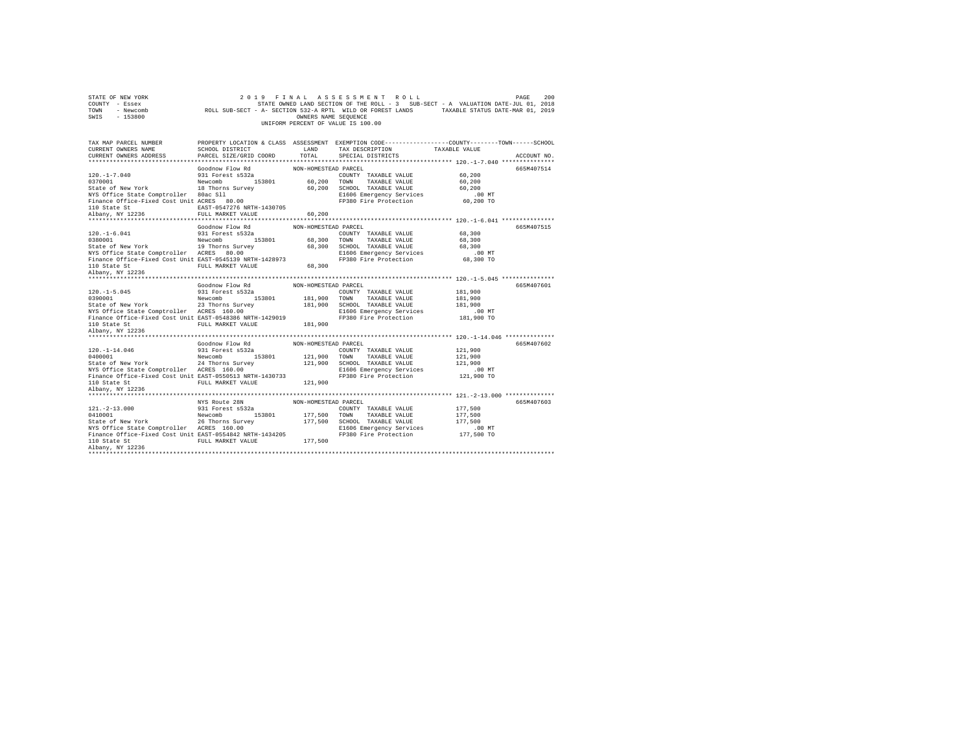| PROPERTY LOCATION & CLASS ASSESSMENT EXEMPTION CODE---------------COUNTY-------TOWN-----SCHOOL<br><b>LAND</b><br>SCHOOL DISTRICT<br>CURRENT OWNERS NAME<br>TAX DESCRIPTION<br>TAXABLE VALUE<br>PARCEL SIZE/GRID COORD TOTAL<br>CURRENT OWNERS ADDRESS<br>SPECIAL DISTRICTS<br>ACCOUNT NO.<br>Goodnow Flow Rd<br>NON-HOMESTEAD PARCEL<br>665M407514<br>60,200<br>931 Forest s532a<br>Newcomb 153801<br>COUNTY TAXABLE VALUE<br>60,200 TOWN TAXABLE VALUE<br>60,200 SCHOOL TAXABLE VALUE<br>60,200<br>State of New York 18 Thorns Survey<br>60,200<br>NYS Office State Comptroller 80ac Sll<br>Finance Office-Fixed Cost Unit ACRES 80.00<br>E1606 Emergency Services<br>.00MT<br>FP380 Fire Protection<br>60,200 TO<br>110 State St<br>Albany, NY 12236<br>EAST-0547276 NRTH-1430705<br>FULL MARKET VALUE<br>60,200<br>NON-HOMESTEAD PARCEL<br>Goodnow Flow Rd<br>665M407515<br>COUNTY TAXABLE VALUE 68,300<br>931 Forest s532a<br>Newcomb 153801 68,300 TOWN<br>TAXABLE VALUE<br>68,300<br>State of New York 19 Thorns Survey 68,300 SCHOOL TAXABLE VALUE<br>NYS Office State Comptroller ACRES 80.00 68,300 SCHOOL TAXABLE VALUE<br>68.300<br>E1606 Emergency Services<br>$.00$ MT<br>68,300 TO<br>FP380 Fire Protection<br>Albany, NY 12236<br>NON-HOMESTEAD PARCEL<br>Goodnow Flow Rd<br>665M407601<br>931 Forest s532a<br>181,900<br>COUNTY TAXABLE VALUE<br>181,900 TOWN TAXABLE VALUE<br>181,900 SCHOOL TAXABLE VALUE<br>E1606 Emergency Services<br>Newcomb 153801<br>181,900<br>23 Thorns Survey<br>181,900<br>NYS Office State Comptroller ACRES 160.00<br>r inance Office-Fixed Cost Unit EACRES 160.00<br>Finance Office-Fixed Cost Unit EAST-0548386 NRTH-1429019<br>110 State St<br>E1606 Emergency Services<br>00 MT.<br>181,900 TO<br>FP380 Fire Protection<br>110 State St<br>FULL MARKET VALUE 181,900<br>Albany, NY 12236<br>Goodnow Flow Rd NON-HOMESTEAD PARCEL<br>665M407602<br>931 Forest s532a<br>Newcomb 153801<br>COUNTY TAXABLE VALUE<br>121,900<br>121,900 TOWN<br>121,900<br>TAXABLE VALUE<br>State of New York 24 Thorns Survey 121,900 SCHOOL TAXABLE VALUE<br>NYS Office State Comptroller ACRES 160.00 E1606 Energency Service<br>Finance Office-Fixed Cost Unit EAST-0550513 NRTH-1430733 F9380 Fire Protection<br>121,900<br>E1606 Emergency Services<br>$.00$ MT<br>121,900 TO<br>FP380 Fire Protection<br>FULL MARKET VALUE 121.900<br>110 State St<br>Albany, NY 12236<br>NYS Route 28N<br>NON-HOMESTEAD PARCEL<br>665M407603<br>$\begin{array}{cccc} 121.-2-13.000 & 931 \mbox{ Forest s532a} & 177,500 & \mbox{COUNTY} \\ 0410001 & 18 \mbox{we work} & 153801 & 177,500 & \mbox{TONN} \\ \mbox{State of New York} & \mbox{New York} & 26 \mbox{Thorms Survey} & 177,500 & \mbox{SCHOL} \end{array}$<br>COUNTY TAXABLE VALUE<br>177,500<br>TAXABLE VALUE<br>177,500<br>177,500 SCHOOL TAXABLE VALUE<br>177,500<br>NYS Office State Comptroller ACRES 160.00 E1606 Emergency Servic<br>Finance Office-Fixed Cost Unit EAST-0554842 NRTH-1434205 FP380 Fire Protection<br>E1606 Emergency Services<br>$.00$ MT<br>177,500 TO<br>FULL MARKET VALUE 177,500 | STATE OF NEW YORK<br>COUNTY - Essex<br>TOWN - Newcomb<br>SWIS - 153800 | OWNERS NAME SEOUENCE | 2019 FINAL ASSESSMENT ROLL<br>STATE OWNED LAND SECTION OF THE ROLL - 3 SUB-SECT - A VALUATION DATE-JUL 01, 2018<br>ROLL SUB-SECT - A- SECTION 532-A RPTL WILD OR FOREST LANDS TAXABLE STATUS DATE-MAR 01, 2019<br>UNIFORM PERCENT OF VALUE IS 100.00 | PAGE<br>200 |
|------------------------------------------------------------------------------------------------------------------------------------------------------------------------------------------------------------------------------------------------------------------------------------------------------------------------------------------------------------------------------------------------------------------------------------------------------------------------------------------------------------------------------------------------------------------------------------------------------------------------------------------------------------------------------------------------------------------------------------------------------------------------------------------------------------------------------------------------------------------------------------------------------------------------------------------------------------------------------------------------------------------------------------------------------------------------------------------------------------------------------------------------------------------------------------------------------------------------------------------------------------------------------------------------------------------------------------------------------------------------------------------------------------------------------------------------------------------------------------------------------------------------------------------------------------------------------------------------------------------------------------------------------------------------------------------------------------------------------------------------------------------------------------------------------------------------------------------------------------------------------------------------------------------------------------------------------------------------------------------------------------------------------------------------------------------------------------------------------------------------------------------------------------------------------------------------------------------------------------------------------------------------------------------------------------------------------------------------------------------------------------------------------------------------------------------------------------------------------------------------------------------------------------------------------------------------------------------------------------------------------------------------------------------------------------------------------------------------------------------------------------------------------------------------------------------------------------------------------------------------------------------------------------------------------------------------------------------------------------------------------------------------------------------------------------------------------------------------|------------------------------------------------------------------------|----------------------|------------------------------------------------------------------------------------------------------------------------------------------------------------------------------------------------------------------------------------------------------|-------------|
|                                                                                                                                                                                                                                                                                                                                                                                                                                                                                                                                                                                                                                                                                                                                                                                                                                                                                                                                                                                                                                                                                                                                                                                                                                                                                                                                                                                                                                                                                                                                                                                                                                                                                                                                                                                                                                                                                                                                                                                                                                                                                                                                                                                                                                                                                                                                                                                                                                                                                                                                                                                                                                                                                                                                                                                                                                                                                                                                                                                                                                                                                                | TAX MAP PARCEL NUMBER                                                  |                      |                                                                                                                                                                                                                                                      |             |
|                                                                                                                                                                                                                                                                                                                                                                                                                                                                                                                                                                                                                                                                                                                                                                                                                                                                                                                                                                                                                                                                                                                                                                                                                                                                                                                                                                                                                                                                                                                                                                                                                                                                                                                                                                                                                                                                                                                                                                                                                                                                                                                                                                                                                                                                                                                                                                                                                                                                                                                                                                                                                                                                                                                                                                                                                                                                                                                                                                                                                                                                                                |                                                                        |                      |                                                                                                                                                                                                                                                      |             |
|                                                                                                                                                                                                                                                                                                                                                                                                                                                                                                                                                                                                                                                                                                                                                                                                                                                                                                                                                                                                                                                                                                                                                                                                                                                                                                                                                                                                                                                                                                                                                                                                                                                                                                                                                                                                                                                                                                                                                                                                                                                                                                                                                                                                                                                                                                                                                                                                                                                                                                                                                                                                                                                                                                                                                                                                                                                                                                                                                                                                                                                                                                |                                                                        |                      |                                                                                                                                                                                                                                                      |             |
|                                                                                                                                                                                                                                                                                                                                                                                                                                                                                                                                                                                                                                                                                                                                                                                                                                                                                                                                                                                                                                                                                                                                                                                                                                                                                                                                                                                                                                                                                                                                                                                                                                                                                                                                                                                                                                                                                                                                                                                                                                                                                                                                                                                                                                                                                                                                                                                                                                                                                                                                                                                                                                                                                                                                                                                                                                                                                                                                                                                                                                                                                                |                                                                        |                      |                                                                                                                                                                                                                                                      |             |
|                                                                                                                                                                                                                                                                                                                                                                                                                                                                                                                                                                                                                                                                                                                                                                                                                                                                                                                                                                                                                                                                                                                                                                                                                                                                                                                                                                                                                                                                                                                                                                                                                                                                                                                                                                                                                                                                                                                                                                                                                                                                                                                                                                                                                                                                                                                                                                                                                                                                                                                                                                                                                                                                                                                                                                                                                                                                                                                                                                                                                                                                                                | $120. - 1 - 7.040$                                                     |                      |                                                                                                                                                                                                                                                      |             |
|                                                                                                                                                                                                                                                                                                                                                                                                                                                                                                                                                                                                                                                                                                                                                                                                                                                                                                                                                                                                                                                                                                                                                                                                                                                                                                                                                                                                                                                                                                                                                                                                                                                                                                                                                                                                                                                                                                                                                                                                                                                                                                                                                                                                                                                                                                                                                                                                                                                                                                                                                                                                                                                                                                                                                                                                                                                                                                                                                                                                                                                                                                | 0370001                                                                |                      |                                                                                                                                                                                                                                                      |             |
|                                                                                                                                                                                                                                                                                                                                                                                                                                                                                                                                                                                                                                                                                                                                                                                                                                                                                                                                                                                                                                                                                                                                                                                                                                                                                                                                                                                                                                                                                                                                                                                                                                                                                                                                                                                                                                                                                                                                                                                                                                                                                                                                                                                                                                                                                                                                                                                                                                                                                                                                                                                                                                                                                                                                                                                                                                                                                                                                                                                                                                                                                                |                                                                        |                      |                                                                                                                                                                                                                                                      |             |
|                                                                                                                                                                                                                                                                                                                                                                                                                                                                                                                                                                                                                                                                                                                                                                                                                                                                                                                                                                                                                                                                                                                                                                                                                                                                                                                                                                                                                                                                                                                                                                                                                                                                                                                                                                                                                                                                                                                                                                                                                                                                                                                                                                                                                                                                                                                                                                                                                                                                                                                                                                                                                                                                                                                                                                                                                                                                                                                                                                                                                                                                                                |                                                                        |                      |                                                                                                                                                                                                                                                      |             |
|                                                                                                                                                                                                                                                                                                                                                                                                                                                                                                                                                                                                                                                                                                                                                                                                                                                                                                                                                                                                                                                                                                                                                                                                                                                                                                                                                                                                                                                                                                                                                                                                                                                                                                                                                                                                                                                                                                                                                                                                                                                                                                                                                                                                                                                                                                                                                                                                                                                                                                                                                                                                                                                                                                                                                                                                                                                                                                                                                                                                                                                                                                |                                                                        |                      |                                                                                                                                                                                                                                                      |             |
|                                                                                                                                                                                                                                                                                                                                                                                                                                                                                                                                                                                                                                                                                                                                                                                                                                                                                                                                                                                                                                                                                                                                                                                                                                                                                                                                                                                                                                                                                                                                                                                                                                                                                                                                                                                                                                                                                                                                                                                                                                                                                                                                                                                                                                                                                                                                                                                                                                                                                                                                                                                                                                                                                                                                                                                                                                                                                                                                                                                                                                                                                                |                                                                        |                      |                                                                                                                                                                                                                                                      |             |
|                                                                                                                                                                                                                                                                                                                                                                                                                                                                                                                                                                                                                                                                                                                                                                                                                                                                                                                                                                                                                                                                                                                                                                                                                                                                                                                                                                                                                                                                                                                                                                                                                                                                                                                                                                                                                                                                                                                                                                                                                                                                                                                                                                                                                                                                                                                                                                                                                                                                                                                                                                                                                                                                                                                                                                                                                                                                                                                                                                                                                                                                                                |                                                                        |                      |                                                                                                                                                                                                                                                      |             |
|                                                                                                                                                                                                                                                                                                                                                                                                                                                                                                                                                                                                                                                                                                                                                                                                                                                                                                                                                                                                                                                                                                                                                                                                                                                                                                                                                                                                                                                                                                                                                                                                                                                                                                                                                                                                                                                                                                                                                                                                                                                                                                                                                                                                                                                                                                                                                                                                                                                                                                                                                                                                                                                                                                                                                                                                                                                                                                                                                                                                                                                                                                |                                                                        |                      |                                                                                                                                                                                                                                                      |             |
|                                                                                                                                                                                                                                                                                                                                                                                                                                                                                                                                                                                                                                                                                                                                                                                                                                                                                                                                                                                                                                                                                                                                                                                                                                                                                                                                                                                                                                                                                                                                                                                                                                                                                                                                                                                                                                                                                                                                                                                                                                                                                                                                                                                                                                                                                                                                                                                                                                                                                                                                                                                                                                                                                                                                                                                                                                                                                                                                                                                                                                                                                                | $120. - 1 - 6.041$                                                     |                      |                                                                                                                                                                                                                                                      |             |
|                                                                                                                                                                                                                                                                                                                                                                                                                                                                                                                                                                                                                                                                                                                                                                                                                                                                                                                                                                                                                                                                                                                                                                                                                                                                                                                                                                                                                                                                                                                                                                                                                                                                                                                                                                                                                                                                                                                                                                                                                                                                                                                                                                                                                                                                                                                                                                                                                                                                                                                                                                                                                                                                                                                                                                                                                                                                                                                                                                                                                                                                                                | 0380001                                                                |                      |                                                                                                                                                                                                                                                      |             |
|                                                                                                                                                                                                                                                                                                                                                                                                                                                                                                                                                                                                                                                                                                                                                                                                                                                                                                                                                                                                                                                                                                                                                                                                                                                                                                                                                                                                                                                                                                                                                                                                                                                                                                                                                                                                                                                                                                                                                                                                                                                                                                                                                                                                                                                                                                                                                                                                                                                                                                                                                                                                                                                                                                                                                                                                                                                                                                                                                                                                                                                                                                |                                                                        |                      |                                                                                                                                                                                                                                                      |             |
|                                                                                                                                                                                                                                                                                                                                                                                                                                                                                                                                                                                                                                                                                                                                                                                                                                                                                                                                                                                                                                                                                                                                                                                                                                                                                                                                                                                                                                                                                                                                                                                                                                                                                                                                                                                                                                                                                                                                                                                                                                                                                                                                                                                                                                                                                                                                                                                                                                                                                                                                                                                                                                                                                                                                                                                                                                                                                                                                                                                                                                                                                                |                                                                        |                      |                                                                                                                                                                                                                                                      |             |
|                                                                                                                                                                                                                                                                                                                                                                                                                                                                                                                                                                                                                                                                                                                                                                                                                                                                                                                                                                                                                                                                                                                                                                                                                                                                                                                                                                                                                                                                                                                                                                                                                                                                                                                                                                                                                                                                                                                                                                                                                                                                                                                                                                                                                                                                                                                                                                                                                                                                                                                                                                                                                                                                                                                                                                                                                                                                                                                                                                                                                                                                                                |                                                                        |                      |                                                                                                                                                                                                                                                      |             |
|                                                                                                                                                                                                                                                                                                                                                                                                                                                                                                                                                                                                                                                                                                                                                                                                                                                                                                                                                                                                                                                                                                                                                                                                                                                                                                                                                                                                                                                                                                                                                                                                                                                                                                                                                                                                                                                                                                                                                                                                                                                                                                                                                                                                                                                                                                                                                                                                                                                                                                                                                                                                                                                                                                                                                                                                                                                                                                                                                                                                                                                                                                |                                                                        |                      |                                                                                                                                                                                                                                                      |             |
|                                                                                                                                                                                                                                                                                                                                                                                                                                                                                                                                                                                                                                                                                                                                                                                                                                                                                                                                                                                                                                                                                                                                                                                                                                                                                                                                                                                                                                                                                                                                                                                                                                                                                                                                                                                                                                                                                                                                                                                                                                                                                                                                                                                                                                                                                                                                                                                                                                                                                                                                                                                                                                                                                                                                                                                                                                                                                                                                                                                                                                                                                                |                                                                        |                      |                                                                                                                                                                                                                                                      |             |
|                                                                                                                                                                                                                                                                                                                                                                                                                                                                                                                                                                                                                                                                                                                                                                                                                                                                                                                                                                                                                                                                                                                                                                                                                                                                                                                                                                                                                                                                                                                                                                                                                                                                                                                                                                                                                                                                                                                                                                                                                                                                                                                                                                                                                                                                                                                                                                                                                                                                                                                                                                                                                                                                                                                                                                                                                                                                                                                                                                                                                                                                                                | $120. -1 - 5.045$                                                      |                      |                                                                                                                                                                                                                                                      |             |
|                                                                                                                                                                                                                                                                                                                                                                                                                                                                                                                                                                                                                                                                                                                                                                                                                                                                                                                                                                                                                                                                                                                                                                                                                                                                                                                                                                                                                                                                                                                                                                                                                                                                                                                                                                                                                                                                                                                                                                                                                                                                                                                                                                                                                                                                                                                                                                                                                                                                                                                                                                                                                                                                                                                                                                                                                                                                                                                                                                                                                                                                                                | 0390001                                                                |                      |                                                                                                                                                                                                                                                      |             |
|                                                                                                                                                                                                                                                                                                                                                                                                                                                                                                                                                                                                                                                                                                                                                                                                                                                                                                                                                                                                                                                                                                                                                                                                                                                                                                                                                                                                                                                                                                                                                                                                                                                                                                                                                                                                                                                                                                                                                                                                                                                                                                                                                                                                                                                                                                                                                                                                                                                                                                                                                                                                                                                                                                                                                                                                                                                                                                                                                                                                                                                                                                | State of New York                                                      |                      |                                                                                                                                                                                                                                                      |             |
|                                                                                                                                                                                                                                                                                                                                                                                                                                                                                                                                                                                                                                                                                                                                                                                                                                                                                                                                                                                                                                                                                                                                                                                                                                                                                                                                                                                                                                                                                                                                                                                                                                                                                                                                                                                                                                                                                                                                                                                                                                                                                                                                                                                                                                                                                                                                                                                                                                                                                                                                                                                                                                                                                                                                                                                                                                                                                                                                                                                                                                                                                                |                                                                        |                      |                                                                                                                                                                                                                                                      |             |
|                                                                                                                                                                                                                                                                                                                                                                                                                                                                                                                                                                                                                                                                                                                                                                                                                                                                                                                                                                                                                                                                                                                                                                                                                                                                                                                                                                                                                                                                                                                                                                                                                                                                                                                                                                                                                                                                                                                                                                                                                                                                                                                                                                                                                                                                                                                                                                                                                                                                                                                                                                                                                                                                                                                                                                                                                                                                                                                                                                                                                                                                                                |                                                                        |                      |                                                                                                                                                                                                                                                      |             |
|                                                                                                                                                                                                                                                                                                                                                                                                                                                                                                                                                                                                                                                                                                                                                                                                                                                                                                                                                                                                                                                                                                                                                                                                                                                                                                                                                                                                                                                                                                                                                                                                                                                                                                                                                                                                                                                                                                                                                                                                                                                                                                                                                                                                                                                                                                                                                                                                                                                                                                                                                                                                                                                                                                                                                                                                                                                                                                                                                                                                                                                                                                |                                                                        |                      |                                                                                                                                                                                                                                                      |             |
|                                                                                                                                                                                                                                                                                                                                                                                                                                                                                                                                                                                                                                                                                                                                                                                                                                                                                                                                                                                                                                                                                                                                                                                                                                                                                                                                                                                                                                                                                                                                                                                                                                                                                                                                                                                                                                                                                                                                                                                                                                                                                                                                                                                                                                                                                                                                                                                                                                                                                                                                                                                                                                                                                                                                                                                                                                                                                                                                                                                                                                                                                                |                                                                        |                      |                                                                                                                                                                                                                                                      |             |
|                                                                                                                                                                                                                                                                                                                                                                                                                                                                                                                                                                                                                                                                                                                                                                                                                                                                                                                                                                                                                                                                                                                                                                                                                                                                                                                                                                                                                                                                                                                                                                                                                                                                                                                                                                                                                                                                                                                                                                                                                                                                                                                                                                                                                                                                                                                                                                                                                                                                                                                                                                                                                                                                                                                                                                                                                                                                                                                                                                                                                                                                                                |                                                                        |                      |                                                                                                                                                                                                                                                      |             |
|                                                                                                                                                                                                                                                                                                                                                                                                                                                                                                                                                                                                                                                                                                                                                                                                                                                                                                                                                                                                                                                                                                                                                                                                                                                                                                                                                                                                                                                                                                                                                                                                                                                                                                                                                                                                                                                                                                                                                                                                                                                                                                                                                                                                                                                                                                                                                                                                                                                                                                                                                                                                                                                                                                                                                                                                                                                                                                                                                                                                                                                                                                | $120. - 1 - 14.046$                                                    |                      |                                                                                                                                                                                                                                                      |             |
|                                                                                                                                                                                                                                                                                                                                                                                                                                                                                                                                                                                                                                                                                                                                                                                                                                                                                                                                                                                                                                                                                                                                                                                                                                                                                                                                                                                                                                                                                                                                                                                                                                                                                                                                                                                                                                                                                                                                                                                                                                                                                                                                                                                                                                                                                                                                                                                                                                                                                                                                                                                                                                                                                                                                                                                                                                                                                                                                                                                                                                                                                                | 0400001                                                                |                      |                                                                                                                                                                                                                                                      |             |
|                                                                                                                                                                                                                                                                                                                                                                                                                                                                                                                                                                                                                                                                                                                                                                                                                                                                                                                                                                                                                                                                                                                                                                                                                                                                                                                                                                                                                                                                                                                                                                                                                                                                                                                                                                                                                                                                                                                                                                                                                                                                                                                                                                                                                                                                                                                                                                                                                                                                                                                                                                                                                                                                                                                                                                                                                                                                                                                                                                                                                                                                                                |                                                                        |                      |                                                                                                                                                                                                                                                      |             |
|                                                                                                                                                                                                                                                                                                                                                                                                                                                                                                                                                                                                                                                                                                                                                                                                                                                                                                                                                                                                                                                                                                                                                                                                                                                                                                                                                                                                                                                                                                                                                                                                                                                                                                                                                                                                                                                                                                                                                                                                                                                                                                                                                                                                                                                                                                                                                                                                                                                                                                                                                                                                                                                                                                                                                                                                                                                                                                                                                                                                                                                                                                |                                                                        |                      |                                                                                                                                                                                                                                                      |             |
|                                                                                                                                                                                                                                                                                                                                                                                                                                                                                                                                                                                                                                                                                                                                                                                                                                                                                                                                                                                                                                                                                                                                                                                                                                                                                                                                                                                                                                                                                                                                                                                                                                                                                                                                                                                                                                                                                                                                                                                                                                                                                                                                                                                                                                                                                                                                                                                                                                                                                                                                                                                                                                                                                                                                                                                                                                                                                                                                                                                                                                                                                                |                                                                        |                      |                                                                                                                                                                                                                                                      |             |
|                                                                                                                                                                                                                                                                                                                                                                                                                                                                                                                                                                                                                                                                                                                                                                                                                                                                                                                                                                                                                                                                                                                                                                                                                                                                                                                                                                                                                                                                                                                                                                                                                                                                                                                                                                                                                                                                                                                                                                                                                                                                                                                                                                                                                                                                                                                                                                                                                                                                                                                                                                                                                                                                                                                                                                                                                                                                                                                                                                                                                                                                                                |                                                                        |                      |                                                                                                                                                                                                                                                      |             |
|                                                                                                                                                                                                                                                                                                                                                                                                                                                                                                                                                                                                                                                                                                                                                                                                                                                                                                                                                                                                                                                                                                                                                                                                                                                                                                                                                                                                                                                                                                                                                                                                                                                                                                                                                                                                                                                                                                                                                                                                                                                                                                                                                                                                                                                                                                                                                                                                                                                                                                                                                                                                                                                                                                                                                                                                                                                                                                                                                                                                                                                                                                |                                                                        |                      |                                                                                                                                                                                                                                                      |             |
|                                                                                                                                                                                                                                                                                                                                                                                                                                                                                                                                                                                                                                                                                                                                                                                                                                                                                                                                                                                                                                                                                                                                                                                                                                                                                                                                                                                                                                                                                                                                                                                                                                                                                                                                                                                                                                                                                                                                                                                                                                                                                                                                                                                                                                                                                                                                                                                                                                                                                                                                                                                                                                                                                                                                                                                                                                                                                                                                                                                                                                                                                                |                                                                        |                      |                                                                                                                                                                                                                                                      |             |
|                                                                                                                                                                                                                                                                                                                                                                                                                                                                                                                                                                                                                                                                                                                                                                                                                                                                                                                                                                                                                                                                                                                                                                                                                                                                                                                                                                                                                                                                                                                                                                                                                                                                                                                                                                                                                                                                                                                                                                                                                                                                                                                                                                                                                                                                                                                                                                                                                                                                                                                                                                                                                                                                                                                                                                                                                                                                                                                                                                                                                                                                                                |                                                                        |                      |                                                                                                                                                                                                                                                      |             |
|                                                                                                                                                                                                                                                                                                                                                                                                                                                                                                                                                                                                                                                                                                                                                                                                                                                                                                                                                                                                                                                                                                                                                                                                                                                                                                                                                                                                                                                                                                                                                                                                                                                                                                                                                                                                                                                                                                                                                                                                                                                                                                                                                                                                                                                                                                                                                                                                                                                                                                                                                                                                                                                                                                                                                                                                                                                                                                                                                                                                                                                                                                |                                                                        |                      |                                                                                                                                                                                                                                                      |             |
|                                                                                                                                                                                                                                                                                                                                                                                                                                                                                                                                                                                                                                                                                                                                                                                                                                                                                                                                                                                                                                                                                                                                                                                                                                                                                                                                                                                                                                                                                                                                                                                                                                                                                                                                                                                                                                                                                                                                                                                                                                                                                                                                                                                                                                                                                                                                                                                                                                                                                                                                                                                                                                                                                                                                                                                                                                                                                                                                                                                                                                                                                                |                                                                        |                      |                                                                                                                                                                                                                                                      |             |
|                                                                                                                                                                                                                                                                                                                                                                                                                                                                                                                                                                                                                                                                                                                                                                                                                                                                                                                                                                                                                                                                                                                                                                                                                                                                                                                                                                                                                                                                                                                                                                                                                                                                                                                                                                                                                                                                                                                                                                                                                                                                                                                                                                                                                                                                                                                                                                                                                                                                                                                                                                                                                                                                                                                                                                                                                                                                                                                                                                                                                                                                                                |                                                                        |                      |                                                                                                                                                                                                                                                      |             |
|                                                                                                                                                                                                                                                                                                                                                                                                                                                                                                                                                                                                                                                                                                                                                                                                                                                                                                                                                                                                                                                                                                                                                                                                                                                                                                                                                                                                                                                                                                                                                                                                                                                                                                                                                                                                                                                                                                                                                                                                                                                                                                                                                                                                                                                                                                                                                                                                                                                                                                                                                                                                                                                                                                                                                                                                                                                                                                                                                                                                                                                                                                |                                                                        |                      |                                                                                                                                                                                                                                                      |             |
|                                                                                                                                                                                                                                                                                                                                                                                                                                                                                                                                                                                                                                                                                                                                                                                                                                                                                                                                                                                                                                                                                                                                                                                                                                                                                                                                                                                                                                                                                                                                                                                                                                                                                                                                                                                                                                                                                                                                                                                                                                                                                                                                                                                                                                                                                                                                                                                                                                                                                                                                                                                                                                                                                                                                                                                                                                                                                                                                                                                                                                                                                                | 110 State St                                                           |                      |                                                                                                                                                                                                                                                      |             |
|                                                                                                                                                                                                                                                                                                                                                                                                                                                                                                                                                                                                                                                                                                                                                                                                                                                                                                                                                                                                                                                                                                                                                                                                                                                                                                                                                                                                                                                                                                                                                                                                                                                                                                                                                                                                                                                                                                                                                                                                                                                                                                                                                                                                                                                                                                                                                                                                                                                                                                                                                                                                                                                                                                                                                                                                                                                                                                                                                                                                                                                                                                | Albany, NY 12236                                                       |                      |                                                                                                                                                                                                                                                      |             |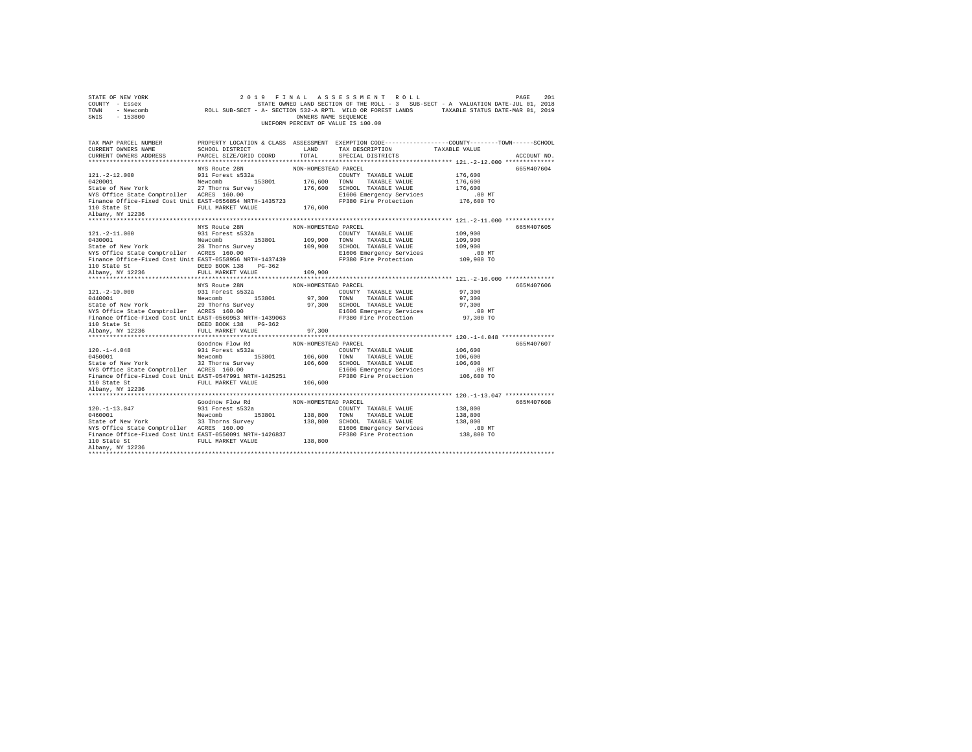| STATE OF NEW YORK<br>COUNTY - Essex<br>TOWN - Newcomb<br>SWIS<br>$-153800$ |                           | OWNERS NAME SEQUENCE<br>UNIFORM PERCENT OF VALUE IS 100.00 | 2019 FINAL ASSESSMENT ROLL<br>STATE OWNED LAND SECTION OF THE ROLL - 3 SUB-SECT - A VALUATION DATE-JUL 01, 2018<br>ROLL SUB-SECT - A- SECTION 532-A RPTL WILD OR FOREST LANDS TAXABLE STATUS DATE-MAR 01, 2019 |                     | 201<br>PAGE |
|----------------------------------------------------------------------------|---------------------------|------------------------------------------------------------|----------------------------------------------------------------------------------------------------------------------------------------------------------------------------------------------------------------|---------------------|-------------|
| TAX MAP PARCEL NUMBER                                                      |                           |                                                            | PROPERTY LOCATION & CLASS ASSESSMENT EXEMPTION CODE----------------COUNTY-------TOWN------SCHOOL                                                                                                               |                     |             |
| CURRENT OWNERS NAME                                                        | SCHOOL DISTRICT           | LAND                                                       | TAX DESCRIPTION                                                                                                                                                                                                | TAXABLE VALUE       |             |
| CURRENT OWNERS ADDRESS                                                     | PARCEL SIZE/GRID COORD    | TOTAL.                                                     | SPECIAL DISTRICTS                                                                                                                                                                                              |                     | ACCOUNT NO. |
|                                                                            | NYS Route 28N             | NON-HOMESTEAD PARCEL                                       |                                                                                                                                                                                                                |                     | 665M407604  |
| $121. -2 - 12.000$                                                         | 931 Forest s532a          |                                                            | COUNTY TAXABLE VALUE                                                                                                                                                                                           | 176,600             |             |
| 0420001                                                                    | Newcomb 153801            |                                                            | 176,600 TOWN TAXABLE VALUE                                                                                                                                                                                     | 176,600             |             |
| State of New York 27 Thorns Survey                                         |                           |                                                            | 176,600 SCHOOL TAXABLE VALUE                                                                                                                                                                                   | 176,600             |             |
| NYS Office State Comptroller ACRES 160.00                                  |                           |                                                            | E1606 Emergency Services                                                                                                                                                                                       | $.00$ MT            |             |
| Finance Office-Fixed Cost Unit EAST-0556854 NRTH-1435723                   |                           |                                                            | FP380 Fire Protection                                                                                                                                                                                          | 176,600 TO          |             |
| 110 State St FULL MARKET VALUE                                             |                           | 176,600                                                    |                                                                                                                                                                                                                |                     |             |
| Albany, NY 12236                                                           |                           |                                                            |                                                                                                                                                                                                                |                     |             |
|                                                                            |                           |                                                            |                                                                                                                                                                                                                |                     |             |
|                                                                            | NYS Route 28N             | NON-HOMESTEAD PARCEL                                       |                                                                                                                                                                                                                |                     | 665M407605  |
| $121. - 2 - 11.000$                                                        | 931 Forest s532a          |                                                            | COUNTY TAXABLE VALUE                                                                                                                                                                                           | 109,900             |             |
| 0430001                                                                    | Newcomb 153801            |                                                            | 109,900 TOWN TAXABLE VALUE                                                                                                                                                                                     | 109,900             |             |
| State of New York<br>NYS Office State Comptroller ACRES 160.00             | 28 Thorns Survey          |                                                            | 109,900 SCHOOL TAXABLE VALUE<br>E1606 Emergency Services                                                                                                                                                       | 109,900<br>$.00$ MT |             |
| Finance Office-Fixed Cost Unit EAST-0558956 NRTH-1437439                   |                           |                                                            | FP380 Fire Protection                                                                                                                                                                                          | 109,900 TO          |             |
| 110 State St 6. DEED BOOK 138 PG-362                                       |                           |                                                            |                                                                                                                                                                                                                |                     |             |
| Albany, NY 12236                                                           | FULL MARKET VALUE         | 109,900                                                    |                                                                                                                                                                                                                |                     |             |
|                                                                            |                           |                                                            |                                                                                                                                                                                                                |                     |             |
|                                                                            | NYS Route 28N             | NON-HOMESTEAD PARCEL                                       |                                                                                                                                                                                                                |                     | 665M407606  |
| $121. -2 - 10.000$                                                         | 931 Forest s532a          |                                                            | COUNTY TAXABLE VALUE                                                                                                                                                                                           | 97,300              |             |
| 0440001                                                                    | Newcomb 153801            |                                                            | 97,300 TOWN TAXABLE VALUE                                                                                                                                                                                      | 97,300              |             |
| State of New York                                                          | 29 Thorns Survey          |                                                            | 97.300 SCHOOL TAXABLE VALUE                                                                                                                                                                                    | 97,300              |             |
| NYS Office State Comptroller ACRES 160.00                                  |                           |                                                            | E1606 Emergency Services                                                                                                                                                                                       | .00 MT<br>97,300 TO |             |
| Finance Office-Fixed Cost Unit EAST-0560953 NRTH-1439063<br>110 State St   | DEED BOOK 138 PG-362      |                                                            | FP380 Fire Protection                                                                                                                                                                                          |                     |             |
| Albany, NY 12236                                                           | FULL MARKET VALUE         | 97,300                                                     |                                                                                                                                                                                                                |                     |             |
|                                                                            |                           |                                                            |                                                                                                                                                                                                                |                     |             |
|                                                                            | Goodnow Flow Rd           | NON-HOMESTEAD PARCEL                                       |                                                                                                                                                                                                                |                     | 665M407607  |
| $120. - 1 - 4.048$                                                         | 931 Forest s532a          |                                                            | COUNTY TAXABLE VALUE                                                                                                                                                                                           | 106,600             |             |
| 0450001                                                                    | Newcomb 153801            |                                                            | 106,600 TOWN TAXABLE VALUE                                                                                                                                                                                     | 106,600             |             |
| State of New York                                                          | 32 Thorns Survey          |                                                            | 106,600 SCHOOL TAXABLE VALUE                                                                                                                                                                                   | 106,600             |             |
| NYS Office State Comptroller ACRES 160.00                                  |                           |                                                            | E1606 Emergency Services                                                                                                                                                                                       | $.00$ MT            |             |
| Finance Office-Fixed Cost Unit EAST-0547991 NRTH-1425251                   |                           |                                                            | FP380 Fire Protection                                                                                                                                                                                          | 106,600 TO          |             |
| 110 State St                                                               | FULL MARKET VALUE 106.600 |                                                            |                                                                                                                                                                                                                |                     |             |
| Albany, NY 12236                                                           |                           |                                                            |                                                                                                                                                                                                                |                     |             |
|                                                                            | Goodnow Flow Rd           | NON-HOMESTEAD PARCEL                                       |                                                                                                                                                                                                                |                     | 665M407608  |
| $120. - 1 - 13.047$                                                        | 931 Forest s532a          |                                                            | COUNTY TAXABLE VALUE                                                                                                                                                                                           | 138,800             |             |
| 0460001                                                                    | Newcomb<br>153801         |                                                            | 138,800 TOWN TAXABLE VALUE                                                                                                                                                                                     | 138,800             |             |
| State of New York 33 Thorns Survey                                         |                           |                                                            | 138,800 SCHOOL TAXABLE VALUE                                                                                                                                                                                   | 138,800             |             |
| NYS Office State Comptroller ACRES 160.00                                  |                           |                                                            | E1606 Emergency Services                                                                                                                                                                                       | $.00$ MT            |             |
| Finance Office-Fixed Cost Unit EAST-0550091 NRTH-1426837                   |                           |                                                            | FP380 Fire Protection                                                                                                                                                                                          | 138,800 TO          |             |
| 110 State St                                                               |                           |                                                            |                                                                                                                                                                                                                |                     |             |
|                                                                            | FULL MARKET VALUE         | 138,800                                                    |                                                                                                                                                                                                                |                     |             |
| Albany, NY 12236                                                           |                           |                                                            |                                                                                                                                                                                                                |                     |             |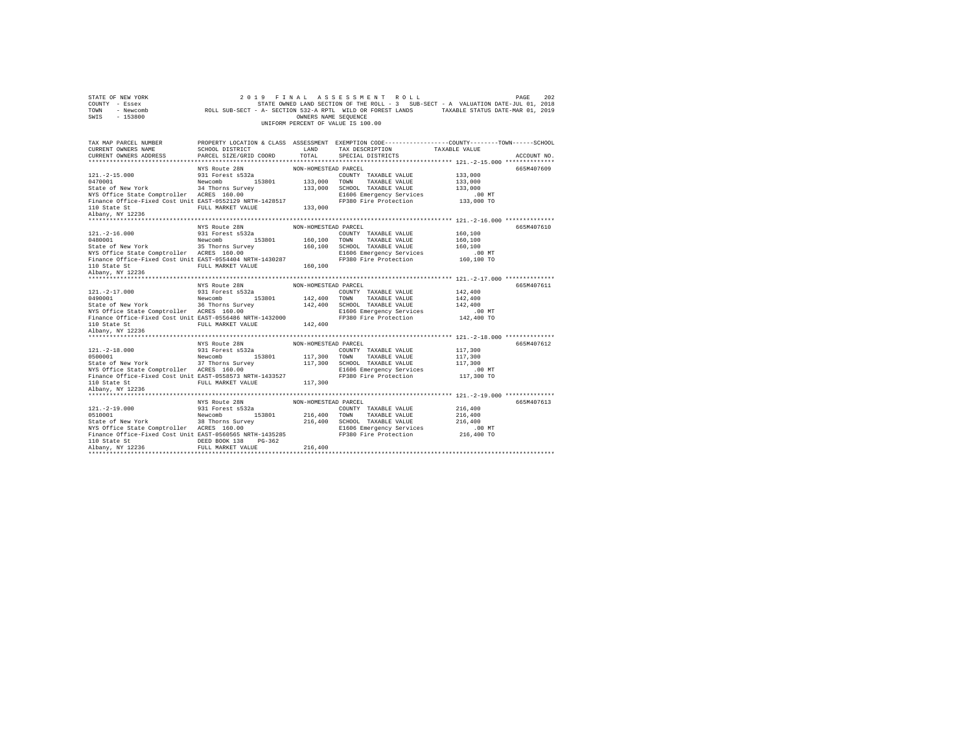| STATE OF NEW YORK<br>COUNTY - Essex                                                                                                                                                                                                                                       |                                                                        |                      |                                                            |                                                                                                 |  |
|---------------------------------------------------------------------------------------------------------------------------------------------------------------------------------------------------------------------------------------------------------------------------|------------------------------------------------------------------------|----------------------|------------------------------------------------------------|-------------------------------------------------------------------------------------------------|--|
| TOWN<br>SWIS                                                                                                                                                                                                                                                              |                                                                        |                      | UNIFORM PERCENT OF VALUE IS 100.00                         |                                                                                                 |  |
|                                                                                                                                                                                                                                                                           |                                                                        |                      |                                                            |                                                                                                 |  |
| TAX MAP PARCEL NUMBER                                                                                                                                                                                                                                                     |                                                                        |                      |                                                            | PROPERTY LOCATION & CLASS ASSESSMENT EXEMPTION CODE---------------COUNTY-------TOWN------SCHOOL |  |
| CURRENT OWNERS NAME                                                                                                                                                                                                                                                       | SCHOOL DISTRICT LAND PARCEL SIZE/GRID COORD TOTAL                      |                      | TAX DESCRIPTION TAXABLE VALUE                              |                                                                                                 |  |
| CURRENT OWNERS ADDRESS                                                                                                                                                                                                                                                    |                                                                        | TOTAL                | SPECIAL DISTRICTS                                          | ACCOUNT NO.                                                                                     |  |
|                                                                                                                                                                                                                                                                           |                                                                        |                      |                                                            |                                                                                                 |  |
| $121. -2 - 15.000$                                                                                                                                                                                                                                                        | NYS Route 28N<br>931 Forest s532a                                      | NON-HOMESTEAD PARCEL | COUNTY TAXABLE VALUE                                       | 665M407609<br>133,000                                                                           |  |
|                                                                                                                                                                                                                                                                           |                                                                        | 133,000 TOWN         | TAXABLE VALUE                                              | 133,000                                                                                         |  |
|                                                                                                                                                                                                                                                                           |                                                                        |                      | 133,000 SCHOOL TAXABLE VALUE                               | 133,000                                                                                         |  |
| 153801<br>State of New York<br>State Comptroller<br>23801<br>NYS Office State Comptroller<br>24 Thorns Survey<br>26 NYS Office State Comptroller<br>26 NYS Office State Comptroller                                                                                       |                                                                        |                      | E1606 Emergency Services                                   | .00 MT                                                                                          |  |
| Finance Office-Fixed Cost Unit EAST-0552129 NRTH-1428517                                                                                                                                                                                                                  |                                                                        |                      | FP380 Fire Protection                                      | 133,000 TO                                                                                      |  |
|                                                                                                                                                                                                                                                                           | FULL MARKET VALUE 133,000                                              |                      |                                                            |                                                                                                 |  |
| 110 State St<br>Albany, NY 12236                                                                                                                                                                                                                                          |                                                                        |                      |                                                            |                                                                                                 |  |
|                                                                                                                                                                                                                                                                           |                                                                        |                      |                                                            |                                                                                                 |  |
|                                                                                                                                                                                                                                                                           |                                                                        |                      |                                                            | 665M407610                                                                                      |  |
| $121. - 2 - 16.000$                                                                                                                                                                                                                                                       |                                                                        |                      | COUNTY TAXABLE VALUE                                       | 160,100                                                                                         |  |
|                                                                                                                                                                                                                                                                           |                                                                        | 160,100 TOWN         | TAXABLE VALUE                                              | 160,100                                                                                         |  |
| 0480001<br>Newcomb<br>State of New York<br>NYS Office State Comptroller<br>25 Thorns Survey<br>26 Thorns Survey<br>26 Thorns Survey                                                                                                                                       |                                                                        |                      | 160,100 SCHOOL TAXABLE VALUE<br>E1606 Emergency Services   | 160,100<br>.00 MT                                                                               |  |
| Finance Office-Fixed Cost Unit EAST-0554404 NRTH-1430287                                                                                                                                                                                                                  |                                                                        |                      | FP380 Fire Protection                                      | 160,100 TO                                                                                      |  |
|                                                                                                                                                                                                                                                                           | FULL MARKET VALUE 160,100                                              |                      |                                                            |                                                                                                 |  |
| 110 State St<br>Albany, NY 12236                                                                                                                                                                                                                                          |                                                                        |                      |                                                            |                                                                                                 |  |
|                                                                                                                                                                                                                                                                           |                                                                        |                      |                                                            |                                                                                                 |  |
|                                                                                                                                                                                                                                                                           |                                                                        |                      |                                                            |                                                                                                 |  |
|                                                                                                                                                                                                                                                                           |                                                                        | NON-HOMESTEAD PARCEL |                                                            | 665M407611                                                                                      |  |
|                                                                                                                                                                                                                                                                           |                                                                        |                      | COUNTY TAXABLE VALUE                                       | 142,400                                                                                         |  |
|                                                                                                                                                                                                                                                                           | NYS Route 28N<br>931 Forest s532a                                      | 142,400 TOWN         | TAXABLE VALUE                                              | 142,400                                                                                         |  |
|                                                                                                                                                                                                                                                                           |                                                                        |                      | 142,400 SCHOOL TAXABLE VALUE                               | 142,400                                                                                         |  |
| $[0.121,-2-17.000] \noalign{\n    931 Forest $532a\n    544e of New York\n    36 Thomas Survey\n    WTS Office State Computer\n    ACRES 160.00\n    153801\n    WTS Office State Computer\n    ACRES 160.00$                                                             |                                                                        |                      | E1606 Emergency Services                                   | .00 MT                                                                                          |  |
|                                                                                                                                                                                                                                                                           |                                                                        |                      | FP380 Fire Protection                                      | 142,400 TO                                                                                      |  |
|                                                                                                                                                                                                                                                                           |                                                                        |                      |                                                            |                                                                                                 |  |
| NYS Office State Comptroller ACRES 160.00<br>Finance Office-Fixed Cost Unit EAST-0556486 NRTH-1432000<br>110 State Staat<br>110 State St<br>Albany, NY 12236                                                                                                              |                                                                        |                      |                                                            |                                                                                                 |  |
|                                                                                                                                                                                                                                                                           |                                                                        |                      |                                                            |                                                                                                 |  |
|                                                                                                                                                                                                                                                                           | NYS Route 28N NON-HOMESTEAD PARCEL                                     |                      |                                                            | 665M407612                                                                                      |  |
|                                                                                                                                                                                                                                                                           |                                                                        |                      | COUNTY TAXABLE VALUE                                       | 117,300<br>117,300                                                                              |  |
|                                                                                                                                                                                                                                                                           |                                                                        |                      | 117,300 TOWN TAXABLE VALUE<br>117,300 SCHOOL TAXABLE VALUE | 117,300                                                                                         |  |
|                                                                                                                                                                                                                                                                           |                                                                        |                      | E1606 Emergency Services                                   | $.00$ MT                                                                                        |  |
| $\begin{tabular}{lllllllllll} 121.-2-18.000 & 931 Forest \texttt{s}532a \\ 0500001 & 8000101 & 153801 \\ 5144e of New York & 37 Thorms Survey \\ NTS Office State Computer & 20000 & 153801 \\ \end{tabular}$<br>Finance Office-Fixed Cost Unit EAST-0558573 NRTH-1433527 |                                                                        |                      | FP380 Fire Protection                                      | 117,300 TO                                                                                      |  |
|                                                                                                                                                                                                                                                                           |                                                                        |                      |                                                            |                                                                                                 |  |
| 110 State St<br>Albany, NY 12236                                                                                                                                                                                                                                          | ACRES 160.00<br>EAST-0558573 NRTH-1433527<br>FULL MARKET VALUE 117,300 |                      |                                                            |                                                                                                 |  |
|                                                                                                                                                                                                                                                                           |                                                                        |                      |                                                            |                                                                                                 |  |
|                                                                                                                                                                                                                                                                           | NYS Route 28N                                                          | NON-HOMESTEAD PARCEL |                                                            | 665M407613                                                                                      |  |
|                                                                                                                                                                                                                                                                           |                                                                        |                      |                                                            | 216,400                                                                                         |  |
|                                                                                                                                                                                                                                                                           |                                                                        |                      |                                                            | 216,400                                                                                         |  |
|                                                                                                                                                                                                                                                                           |                                                                        |                      |                                                            | 216,400                                                                                         |  |
|                                                                                                                                                                                                                                                                           |                                                                        |                      |                                                            | $.00$ MT<br>216,400 TO                                                                          |  |
| 121.-2-19.000<br>331 Forest 8532a<br>34 Forest 8532a<br>216,400 TONN TAXABLE VALUE<br>State of New York<br>34 Forest 8532a<br>216,400 TONN TAXABLE VALUE<br>36 The SCROOL TAXABLE VALUE<br>216,400 TONN TAXABLE VALUE<br>SCROOL 216,400 TONN TAX<br>110 State St          | DEED BOOK 138 PG-362                                                   |                      |                                                            |                                                                                                 |  |
| Albany, NY 12236                                                                                                                                                                                                                                                          | FULL MARKET VALUE                                                      | 216,400              |                                                            |                                                                                                 |  |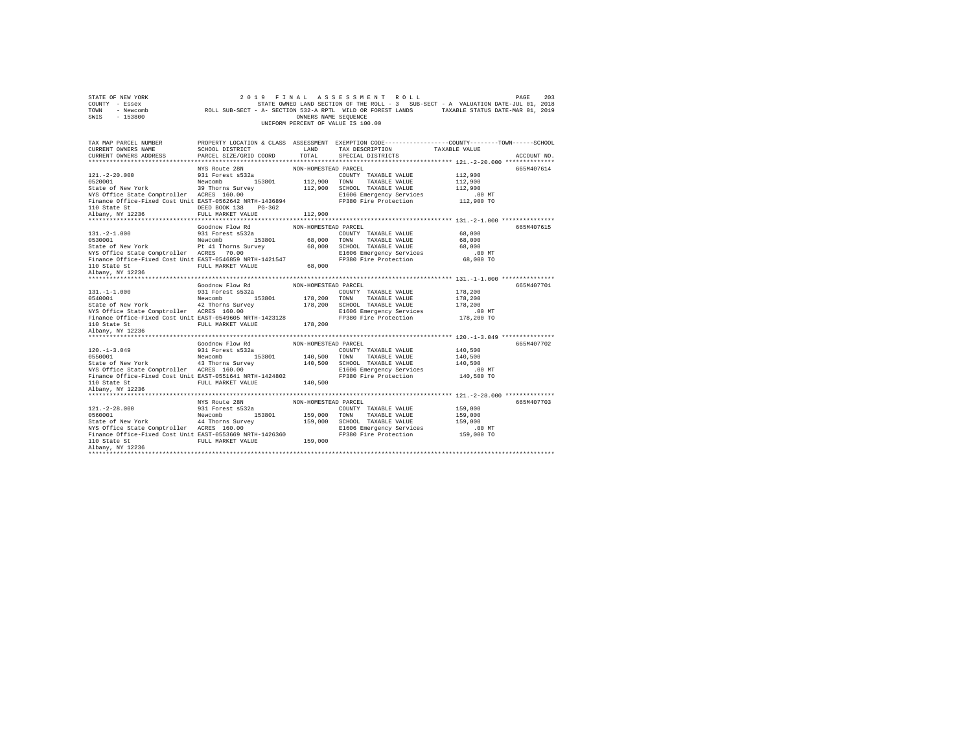| STATE OF NEW YORK<br>COUNTY - Essex<br>TOWN<br>- Newcomb<br>$-153800$<br>SWIS                        |                                   | OWNERS NAME SEQUENCE | 2019 FINAL ASSESSMENT ROLL<br>STATE OWNED LAND SECTION OF THE ROLL - 3 SUB-SECT - A VALUATION DATE-JUL 01, 2018<br>ROLL SUB-SECT - A- SECTION 532-A RPTL WILD OR FOREST LANDS TAXABLE STATUS DATE-MAR 01, 2019<br>UNIFORM PERCENT OF VALUE IS 100.00 |                       | 203<br>PAGE |
|------------------------------------------------------------------------------------------------------|-----------------------------------|----------------------|------------------------------------------------------------------------------------------------------------------------------------------------------------------------------------------------------------------------------------------------------|-----------------------|-------------|
| TAX MAP PARCEL NUMBER                                                                                |                                   |                      | PROPERTY LOCATION & CLASS ASSESSMENT EXEMPTION CODE---------------COUNTY-------TOWN-----SCHOOL                                                                                                                                                       |                       |             |
| CURRENT OWNERS NAME                                                                                  | SCHOOL DISTRICT                   | LAND                 | TAX DESCRIPTION                                                                                                                                                                                                                                      | TAXABLE VALUE         |             |
| CURRENT OWNERS ADDRESS                                                                               | PARCEL SIZE/GRID COORD            | TOTAL.               | SPECIAL DISTRICTS                                                                                                                                                                                                                                    |                       | ACCOUNT NO. |
|                                                                                                      |                                   |                      |                                                                                                                                                                                                                                                      |                       |             |
| $121. - 2 - 20.000$                                                                                  | NYS Route 28N<br>931 Forest s532a | NON-HOMESTEAD PARCEL | COUNTY TAXABLE VALUE                                                                                                                                                                                                                                 | 112,900               | 665M407614  |
| 0520001                                                                                              | Newcomb 153801                    |                      | 112,900 TOWN TAXABLE VALUE                                                                                                                                                                                                                           | 112,900               |             |
| State of New York                                                                                    | 39 Thorns Survey                  |                      | 112,900 SCHOOL TAXABLE VALUE                                                                                                                                                                                                                         | 112,900               |             |
| NYS Office State Comptroller ACRES 160.00                                                            |                                   |                      | E1606 Emergency Services                                                                                                                                                                                                                             | $.00$ MT              |             |
| Finance Office-Fixed Cost Unit EAST-0562642 NRTH-1436894<br>110 State St                             | DEED BOOK 138 PG-362              |                      | FP380 Fire Protection                                                                                                                                                                                                                                | 112,900 TO            |             |
| Albany, NY 12236                                                                                     | FULL MARKET VALUE                 | 112,900              |                                                                                                                                                                                                                                                      |                       |             |
|                                                                                                      |                                   |                      |                                                                                                                                                                                                                                                      |                       |             |
|                                                                                                      | Goodnow Flow Rd                   | NON-HOMESTEAD PARCEL |                                                                                                                                                                                                                                                      |                       | 665M407615  |
| $131. -2 - 1.000$                                                                                    | 931 Forest s532a                  |                      | COUNTY TAXABLE VALUE                                                                                                                                                                                                                                 | 68,000                |             |
| 0530001                                                                                              | Newcomb 153801                    | 68,000 TOWN          | TAXABLE VALUE                                                                                                                                                                                                                                        | 68,000                |             |
| State of New York                                                                                    | Pt 41 Thorns Survey               |                      | 68,000 SCHOOL TAXABLE VALUE                                                                                                                                                                                                                          | 68,000                |             |
| NYS Office State Comptroller ACRES 70.00<br>Finance Office-Fixed Cost Unit EAST-0546859 NRTH-1421547 |                                   |                      | E1606 Emergency Services<br>FP380 Fire Protection                                                                                                                                                                                                    | $.00$ MT<br>68,000 TO |             |
| 110 State St                                                                                         | FULL MARKET VALUE                 | 68,000               |                                                                                                                                                                                                                                                      |                       |             |
| Albany, NY 12236                                                                                     |                                   |                      |                                                                                                                                                                                                                                                      |                       |             |
|                                                                                                      |                                   |                      |                                                                                                                                                                                                                                                      |                       |             |
|                                                                                                      | Goodnow Flow Rd                   | NON-HOMESTEAD PARCEL |                                                                                                                                                                                                                                                      |                       | 665M407701  |
| $131. -1 -1.000$                                                                                     | 931 Forest s532a                  |                      | COUNTY TAXABLE VALUE                                                                                                                                                                                                                                 | 178,200               |             |
| 0540001                                                                                              | Newcomb 153801                    | 178,200 TOWN         | TAXABLE VALUE                                                                                                                                                                                                                                        | 178,200               |             |
| State of New York                                                                                    | 42 Thorns Survey                  |                      | 178,200 SCHOOL TAXABLE VALUE                                                                                                                                                                                                                         | 178,200               |             |
| NYS Office State Comptroller ACRES 160.00                                                            |                                   |                      | E1606 Emergency Services                                                                                                                                                                                                                             | .00 MT                |             |
| Finance Office-Fixed Cost Unit EAST-0549605 NRTH-1423128<br>110 State St                             | FULL MARKET VALUE                 | 178,200              | FP380 Fire Protection                                                                                                                                                                                                                                | 178,200 TO            |             |
| Albany, NY 12236                                                                                     |                                   |                      |                                                                                                                                                                                                                                                      |                       |             |
| **********************                                                                               |                                   |                      |                                                                                                                                                                                                                                                      |                       |             |
|                                                                                                      | Goodnow Flow Rd                   | NON-HOMESTEAD PARCEL |                                                                                                                                                                                                                                                      |                       | 665M407702  |
| $120. -1 - 3.049$                                                                                    | 931 Forest s532a                  |                      | COUNTY TAXABLE VALUE                                                                                                                                                                                                                                 | 140,500               |             |
| 0550001                                                                                              | Newcomb 153801                    |                      | 140,500 TOWN TAXABLE VALUE                                                                                                                                                                                                                           | 140,500               |             |
| State of New York                                                                                    | 43 Thorns Survey                  |                      | 140,500 SCHOOL TAXABLE VALUE                                                                                                                                                                                                                         | 140,500               |             |
| NYS Office State Comptroller ACRES 160.00                                                            |                                   |                      | E1606 Emergency Services                                                                                                                                                                                                                             | $.00$ MT              |             |
| Finance Office-Fixed Cost Unit EAST-0551641 NRTH-1424802                                             |                                   |                      | FP380 Fire Protection                                                                                                                                                                                                                                | 140,500 TO            |             |
| 110 State St                                                                                         | FULL MARKET VALUE                 | 140,500              |                                                                                                                                                                                                                                                      |                       |             |
| Albany, NY 12236                                                                                     |                                   |                      |                                                                                                                                                                                                                                                      |                       |             |
|                                                                                                      | NYS Route 28N                     | NON-HOMESTEAD PARCEL |                                                                                                                                                                                                                                                      |                       | 665M407703  |
| $121. - 2 - 28.000$                                                                                  | 931 Forest s532a                  |                      | COUNTY TAXABLE VALUE                                                                                                                                                                                                                                 | 159,000               |             |
| 0560001                                                                                              | Newcomb<br>153801                 | 159,000 TOWN         | TAXABLE VALUE                                                                                                                                                                                                                                        | 159,000               |             |
| State of New York                                                                                    | 44 Thorns Survey                  |                      | 159,000 SCHOOL TAXABLE VALUE                                                                                                                                                                                                                         | 159,000               |             |
| NYS Office State Comptroller ACRES 160.00                                                            |                                   |                      | E1606 Emergency Services                                                                                                                                                                                                                             | $.00$ MT              |             |
| Finance Office-Fixed Cost Unit EAST-0553669 NRTH-1426360                                             |                                   |                      | FP380 Fire Protection                                                                                                                                                                                                                                | 159,000 TO            |             |
| 110 State St                                                                                         | FULL MARKET VALUE                 | 159,000              |                                                                                                                                                                                                                                                      |                       |             |
| Albany, NY 12236                                                                                     |                                   |                      |                                                                                                                                                                                                                                                      |                       |             |
|                                                                                                      |                                   |                      |                                                                                                                                                                                                                                                      |                       |             |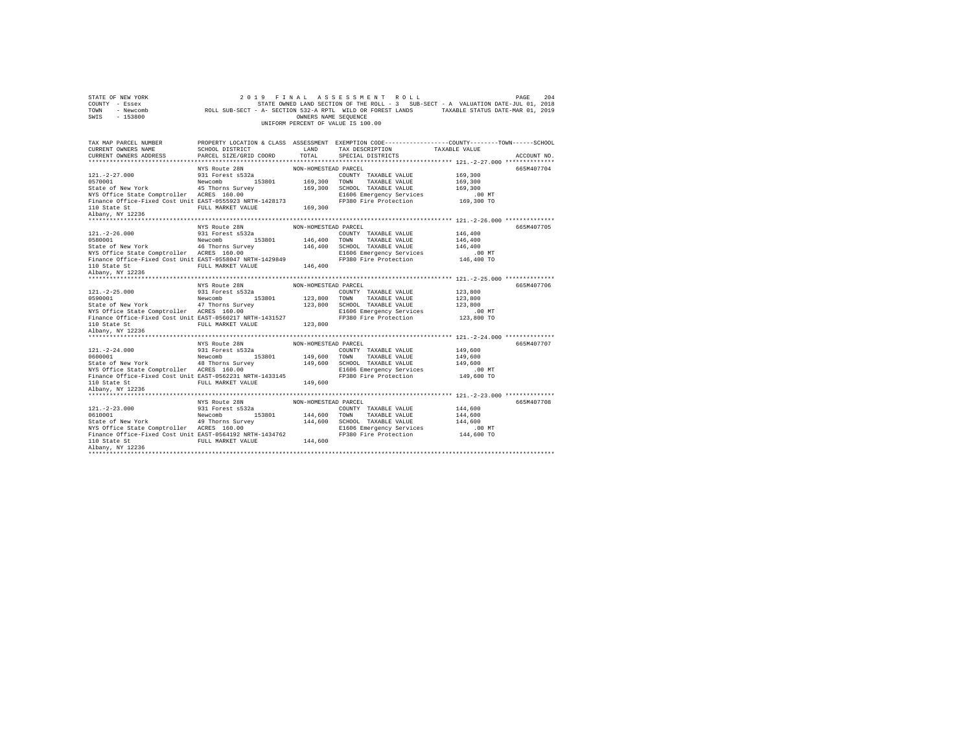| STATE OF NEW YORK<br>COUNTY - Essex<br>TOWN<br>SWIS                                                                                                                                                                                                                                                                                                                                   | 2 0 1 9                                                                |                      | FINAL ASSESSMENT ROLL                                      | PAGE<br>UP HOT THE ROLL - 3 SUB-SECT - A VALUATION OF THE ROLL - 3 SUB-SECT - A VALUATION COLL - SESEX<br>- Rewcomb ROLL SUB-SECT - A- SECTION S32-A RPTL WILD OR POREST LANDS<br>- 153800 - 153800 - TREASURE TRANS SEQUENCE | 204 |
|---------------------------------------------------------------------------------------------------------------------------------------------------------------------------------------------------------------------------------------------------------------------------------------------------------------------------------------------------------------------------------------|------------------------------------------------------------------------|----------------------|------------------------------------------------------------|-------------------------------------------------------------------------------------------------------------------------------------------------------------------------------------------------------------------------------|-----|
|                                                                                                                                                                                                                                                                                                                                                                                       |                                                                        |                      |                                                            |                                                                                                                                                                                                                               |     |
| TAX MAP PARCEL NUMBER                                                                                                                                                                                                                                                                                                                                                                 |                                                                        |                      |                                                            | PROPERTY LOCATION & CLASS ASSESSMENT EXEMPTION CODE---------------COUNTY-------TOWN------SCHOOL                                                                                                                               |     |
| CURRENT OWNERS NAME                                                                                                                                                                                                                                                                                                                                                                   | LAND<br>SCHOOL DISTRICT                                                |                      | TAX DESCRIPTION TAXABLE VALUE                              |                                                                                                                                                                                                                               |     |
| CURRENT OWNERS ADDRESS                                                                                                                                                                                                                                                                                                                                                                | PARCEL SIZE/GRID COORD                                                 | TOTAL                | SPECIAL DISTRICTS                                          | ACCOUNT NO.                                                                                                                                                                                                                   |     |
|                                                                                                                                                                                                                                                                                                                                                                                       |                                                                        |                      |                                                            |                                                                                                                                                                                                                               |     |
|                                                                                                                                                                                                                                                                                                                                                                                       | NYS Route 28N                                                          | NON-HOMESTEAD PARCEL |                                                            | 665M407704                                                                                                                                                                                                                    |     |
| $121. - 2 - 27.000$                                                                                                                                                                                                                                                                                                                                                                   | 931 Forest s532a                                                       | 169,300 TOWN         | COUNTY TAXABLE VALUE<br>TAXABLE VALUE                      | 169,300<br>169,300                                                                                                                                                                                                            |     |
| 153801<br>State of New York<br>State Comptroller<br>153801<br>NYS Office State Comptroller<br>145 Thomas Survey<br>16.00<br>NYS Office State Comptroller<br>16.00                                                                                                                                                                                                                     |                                                                        |                      | 169,300 SCHOOL TAXABLE VALUE                               | 169,300                                                                                                                                                                                                                       |     |
|                                                                                                                                                                                                                                                                                                                                                                                       |                                                                        |                      | E1606 Emergency Services                                   | $.00$ MT                                                                                                                                                                                                                      |     |
| Finance Office-Fixed Cost Unit EAST-0555923 NRTH-1428173                                                                                                                                                                                                                                                                                                                              | ACRES 160.00<br>EAST-0555923 NRTH-1428173<br>FULL MARKET VALUE 169,300 |                      | FP380 Fire Protection                                      | 169,300 TO                                                                                                                                                                                                                    |     |
|                                                                                                                                                                                                                                                                                                                                                                                       |                                                                        |                      |                                                            |                                                                                                                                                                                                                               |     |
| 110 State St<br>Albany, NY 12236                                                                                                                                                                                                                                                                                                                                                      |                                                                        |                      |                                                            |                                                                                                                                                                                                                               |     |
|                                                                                                                                                                                                                                                                                                                                                                                       |                                                                        |                      |                                                            |                                                                                                                                                                                                                               |     |
|                                                                                                                                                                                                                                                                                                                                                                                       | $NYS$ Route $28N$                                                      | NON-HOMESTEAD PARCEL |                                                            | 665M407705                                                                                                                                                                                                                    |     |
| $121. -2 - 26.000$                                                                                                                                                                                                                                                                                                                                                                    | 931 Forest s532a                                                       |                      | COUNTY TAXABLE VALUE                                       | 146,400                                                                                                                                                                                                                       |     |
|                                                                                                                                                                                                                                                                                                                                                                                       |                                                                        | 146,400 TOWN         | TAXABLE VALUE                                              | 146,400                                                                                                                                                                                                                       |     |
| 0580001 Newcomb 153801<br>State of New York 46 Thorns Survey<br>NYS Office State Comptroller ACRES 160.00                                                                                                                                                                                                                                                                             |                                                                        |                      | 146,400 SCHOOL TAXABLE VALUE                               | 146,400                                                                                                                                                                                                                       |     |
|                                                                                                                                                                                                                                                                                                                                                                                       |                                                                        |                      | E1606 Emergency Services                                   | .00 MT                                                                                                                                                                                                                        |     |
| Finance Office-Fixed Cost Unit EAST-0558047 NRTH-1429849                                                                                                                                                                                                                                                                                                                              |                                                                        |                      | FP380 Fire Protection                                      | 146,400 TO                                                                                                                                                                                                                    |     |
| 110 State St<br>Albany, NY 12236                                                                                                                                                                                                                                                                                                                                                      | FULL MARKET VALUE 146,400                                              |                      |                                                            |                                                                                                                                                                                                                               |     |
|                                                                                                                                                                                                                                                                                                                                                                                       |                                                                        |                      |                                                            |                                                                                                                                                                                                                               |     |
|                                                                                                                                                                                                                                                                                                                                                                                       |                                                                        |                      |                                                            |                                                                                                                                                                                                                               |     |
|                                                                                                                                                                                                                                                                                                                                                                                       |                                                                        |                      |                                                            |                                                                                                                                                                                                                               |     |
|                                                                                                                                                                                                                                                                                                                                                                                       | NYS Route 28N                                                          | NON-HOMESTEAD PARCEL |                                                            | 665M407706                                                                                                                                                                                                                    |     |
|                                                                                                                                                                                                                                                                                                                                                                                       |                                                                        |                      | COUNTY TAXABLE VALUE                                       | 123,800                                                                                                                                                                                                                       |     |
|                                                                                                                                                                                                                                                                                                                                                                                       |                                                                        | 123,800 TOWN         | TAXABLE VALUE                                              | 123,800<br>123,800                                                                                                                                                                                                            |     |
|                                                                                                                                                                                                                                                                                                                                                                                       |                                                                        |                      | 123,800 SCHOOL TAXABLE VALUE<br>E1606 Emergency Services   | .00 MT                                                                                                                                                                                                                        |     |
| 121.-2-25.000 931 Forest $s532a$<br>0590001<br>State of New York 47 Thorns Survey<br>NYS Office State Comptroller 4CRES 160.00                                                                                                                                                                                                                                                        |                                                                        |                      | FP380 Fire Protection                                      | 123,800 TO                                                                                                                                                                                                                    |     |
| Finance Office-Fixed Cost Unit EAST-0560217 NRTH-1431527<br>110 State St (State State State State State St                                                                                                                                                                                                                                                                            | FULL MARKET VALUE 123,800                                              |                      |                                                            |                                                                                                                                                                                                                               |     |
|                                                                                                                                                                                                                                                                                                                                                                                       |                                                                        |                      |                                                            |                                                                                                                                                                                                                               |     |
| 110 State St<br>Albany, NY 12236                                                                                                                                                                                                                                                                                                                                                      |                                                                        |                      |                                                            |                                                                                                                                                                                                                               |     |
|                                                                                                                                                                                                                                                                                                                                                                                       | NYS Route 28N                                                          | NON-HOMESTEAD PARCEL |                                                            | 665M407707                                                                                                                                                                                                                    |     |
|                                                                                                                                                                                                                                                                                                                                                                                       |                                                                        |                      | COUNTY TAXABLE VALUE                                       | 149,600                                                                                                                                                                                                                       |     |
|                                                                                                                                                                                                                                                                                                                                                                                       |                                                                        |                      |                                                            | 149,600                                                                                                                                                                                                                       |     |
|                                                                                                                                                                                                                                                                                                                                                                                       |                                                                        |                      | 149,600 TOWN TAXABLE VALUE<br>149,600 SCHOOL TAXABLE VALUE | 149,600                                                                                                                                                                                                                       |     |
| $\begin{tabular}{lllllllllll} 121.-2-24.000 & 931 Forest s532a & 0600001 & 050001 & 153801 & 0600001 & 0600000 & 0600000 & 0600000 & 0600000 & 060000 & 060000 & 060000 & 060000 & 06000 & 06000 & 06000 & 06000 & 06000 & 06000 & 06000 & 06000 & 06000 & 06000 & 06000 & 06$                                                                                                        |                                                                        |                      | E1606 Emergency Services                                   | $.00$ MT                                                                                                                                                                                                                      |     |
|                                                                                                                                                                                                                                                                                                                                                                                       |                                                                        |                      | FP380 Fire Protection                                      | 149,600 TO                                                                                                                                                                                                                    |     |
|                                                                                                                                                                                                                                                                                                                                                                                       |                                                                        |                      |                                                            |                                                                                                                                                                                                                               |     |
| sys UTILE State Comptroller ACRES 160.00<br>Finance Office-Fixed Cost Unit EAST-0562231 NRTH-1433145<br>110 State St<br>Albany, NY 12236<br>110 State St<br>Albany, NY 12236                                                                                                                                                                                                          |                                                                        |                      |                                                            |                                                                                                                                                                                                                               |     |
|                                                                                                                                                                                                                                                                                                                                                                                       | NYS Route 28N                                                          | NON-HOMESTEAD PARCEL |                                                            | 665M407708                                                                                                                                                                                                                    |     |
|                                                                                                                                                                                                                                                                                                                                                                                       |                                                                        |                      | COUNTY TAXABLE VALUE                                       | 144,600                                                                                                                                                                                                                       |     |
|                                                                                                                                                                                                                                                                                                                                                                                       |                                                                        |                      | TOWN                                                       | 144,600                                                                                                                                                                                                                       |     |
|                                                                                                                                                                                                                                                                                                                                                                                       |                                                                        | 144,600              | TAXABLE VALUE<br>144,600 SCHOOL TAXABLE VALUE              | 144,600                                                                                                                                                                                                                       |     |
|                                                                                                                                                                                                                                                                                                                                                                                       |                                                                        |                      | E1606 Emergency Services                                   | $.00$ MT                                                                                                                                                                                                                      |     |
| $\begin{tabular}{lllllllllll} \bf 1211.-2-23.000 & \tt 931 Forest & s532a \\ \bf 0510001 & \tt 103801 & \tt 153801 \\ \bf 52301 & \tt 153801 & \tt 153801 \\ \bf 05100 & \tt 153801 & \tt 153801 & \tt 153801 \\ \bf 0520 & \tt 15200 & \tt 15200 & \tt 15200 & \tt 15200 \\ \bf 0530 & \tt 153801 & \tt 153801 & \tt 15$<br>Finance Office-Fixed Cost Unit EAST-0564192 NRTH-1434762 |                                                                        |                      | FP380 Fire Protection                                      | 144,600 TO                                                                                                                                                                                                                    |     |
| 110 State St                                                                                                                                                                                                                                                                                                                                                                          | it EAST-0564192 NRTH-1434762<br>FULL MARKET VALUE 144,600              |                      |                                                            |                                                                                                                                                                                                                               |     |
| Albany, NY 12236                                                                                                                                                                                                                                                                                                                                                                      |                                                                        |                      |                                                            |                                                                                                                                                                                                                               |     |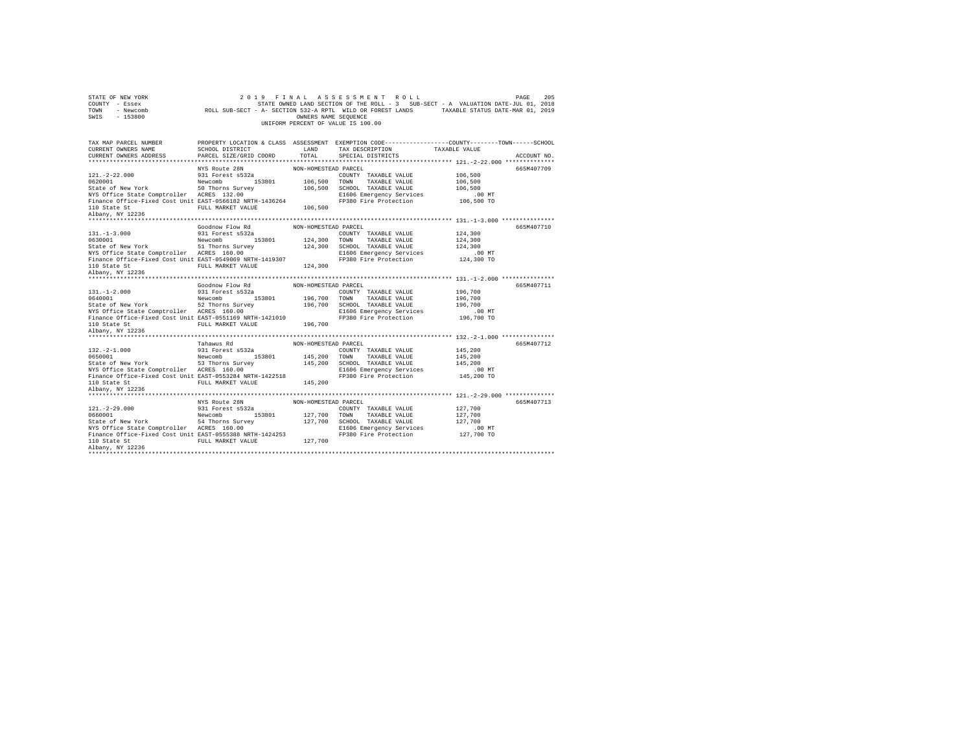| STATE OF NEW YORK<br>COUNTY - Essex                                                                                                                                                                         | 2019                                                                   |                      | FINAL ASSESSMENT ROLL                                                                           |                    | 205<br>PAGE |
|-------------------------------------------------------------------------------------------------------------------------------------------------------------------------------------------------------------|------------------------------------------------------------------------|----------------------|-------------------------------------------------------------------------------------------------|--------------------|-------------|
| TOWN                                                                                                                                                                                                        |                                                                        |                      | STATE OWNED LAND SECTION OF THE ROLL - 3 SUB-SECT - A VALUATION DATE-JUL 01, 2018               |                    |             |
| SWIS<br>$-153800$                                                                                                                                                                                           |                                                                        | OWNERS NAME SEQUENCE |                                                                                                 |                    |             |
|                                                                                                                                                                                                             |                                                                        |                      | UNIFORM PERCENT OF VALUE IS 100.00                                                              |                    |             |
|                                                                                                                                                                                                             |                                                                        |                      |                                                                                                 |                    |             |
|                                                                                                                                                                                                             |                                                                        |                      |                                                                                                 |                    |             |
| TAX MAP PARCEL NUMBER                                                                                                                                                                                       | <b>LAND</b>                                                            |                      | PROPERTY LOCATION & CLASS ASSESSMENT EXEMPTION CODE---------------COUNTY-------TOWN------SCHOOL |                    |             |
| CURRENT OWNERS NAME<br>CURRENT OWNERS ADDRESS                                                                                                                                                               | SCHOOL DISTRICT<br>PARCEL SIZE/GRID COORD                              | TOTAL                | TAX DESCRIPTION TAXABLE VALUE<br>SPECIAL DISTRICTS                                              |                    | ACCOUNT NO. |
|                                                                                                                                                                                                             |                                                                        |                      |                                                                                                 |                    |             |
|                                                                                                                                                                                                             | NYS Route 28N                                                          | NON-HOMESTEAD PARCEL |                                                                                                 |                    |             |
| $121. - 2 - 22.000$                                                                                                                                                                                         | 931 Forest s532a                                                       |                      |                                                                                                 |                    | 665M407709  |
|                                                                                                                                                                                                             |                                                                        | 106,500 TOWN         | COUNTY TAXABLE VALUE<br>TAXABLE VALUE                                                           | 106,500<br>106,500 |             |
|                                                                                                                                                                                                             |                                                                        |                      | 106,500 SCHOOL TAXABLE VALUE                                                                    | 106,500            |             |
| 0620001<br>State of New York<br>State Comptroller<br>NYS Office State Comptroller<br>20 Thorns Survey<br>20 NYS Office State Comptroller<br>20 REES 132.00                                                  |                                                                        |                      | E1606 Emergency Services                                                                        | $.00$ MT           |             |
| Finance Office-Fixed Cost Unit EAST-0566182 NRTH-1436264                                                                                                                                                    |                                                                        |                      | FP380 Fire Protection                                                                           | 106,500 TO         |             |
|                                                                                                                                                                                                             | FULL MARKET VALUE 106,500                                              |                      |                                                                                                 |                    |             |
| 110 State St<br>Albany, NY 12236                                                                                                                                                                            |                                                                        |                      |                                                                                                 |                    |             |
|                                                                                                                                                                                                             |                                                                        |                      |                                                                                                 |                    |             |
|                                                                                                                                                                                                             |                                                                        |                      |                                                                                                 |                    | 665M407710  |
| $131. -1 - 3.000$                                                                                                                                                                                           |                                                                        |                      | COUNTY TAXABLE VALUE                                                                            | 124,300            |             |
|                                                                                                                                                                                                             |                                                                        | 124,300 TOWN         | TAXABLE VALUE                                                                                   | 124,300            |             |
|                                                                                                                                                                                                             |                                                                        |                      | 124,300 SCHOOL TAXABLE VALUE                                                                    | 124,300            |             |
| 0630001   Newcomb   153801<br>State of New York   51 Thorns Survey<br>NYS Office State Comptroller   ACRES   160.00                                                                                         |                                                                        |                      | E1606 Emergency Services                                                                        | .00MT              |             |
| Finance Office-Fixed Cost Unit EAST-0549069 NRTH-1419307                                                                                                                                                    |                                                                        |                      | FP380 Fire Protection                                                                           | 124,300 TO         |             |
|                                                                                                                                                                                                             | FULL MARKET VALUE 124,300                                              |                      |                                                                                                 |                    |             |
|                                                                                                                                                                                                             |                                                                        |                      |                                                                                                 |                    |             |
|                                                                                                                                                                                                             |                                                                        |                      |                                                                                                 |                    |             |
|                                                                                                                                                                                                             |                                                                        |                      |                                                                                                 |                    |             |
|                                                                                                                                                                                                             |                                                                        |                      |                                                                                                 |                    |             |
|                                                                                                                                                                                                             | $\texttt{Goodnow Flow Rd} \qquad \qquad \texttt{NON-HOMESTEAD PARCEL}$ |                      |                                                                                                 |                    | 665M407711  |
|                                                                                                                                                                                                             |                                                                        |                      | COUNTY TAXABLE VALUE                                                                            | 196,700            |             |
|                                                                                                                                                                                                             |                                                                        | 196,700 TOWN         | TAXABLE VALUE                                                                                   | 196,700            |             |
|                                                                                                                                                                                                             |                                                                        |                      | 196,700 SCHOOL TAXABLE VALUE                                                                    | 196,700            |             |
| 931 Forest 8934<br>0640001 131.-1-2.000 153801<br>54 State of New York 52 Thorns Survey<br>22 Thorns Survey 1944<br>22 Thorns Survey 1944<br>2006 1944                                                      |                                                                        |                      | E1606 Emergency Services                                                                        | .00 MT             |             |
|                                                                                                                                                                                                             |                                                                        |                      | FP380 Fire Protection                                                                           | 196,700 TO         |             |
| Finance Office-Fixed Cost Unit EAST 160.00<br>110 State St Graphy Cost Unit EAST-0551169 NRTH-1421010<br>110 State St                                                                                       |                                                                        | 196,700              |                                                                                                 |                    |             |
| 110 State St<br>Albany, NY 12236                                                                                                                                                                            |                                                                        |                      |                                                                                                 |                    |             |
|                                                                                                                                                                                                             |                                                                        | NON-HOMESTEAD PARCEL |                                                                                                 |                    | 665M407712  |
|                                                                                                                                                                                                             | Tahawus Rd                                                             |                      |                                                                                                 |                    |             |
|                                                                                                                                                                                                             |                                                                        |                      | COUNTY TAXABLE VALUE                                                                            | 145,200<br>145,200 |             |
|                                                                                                                                                                                                             |                                                                        |                      |                                                                                                 | 145,200            |             |
|                                                                                                                                                                                                             |                                                                        |                      | 145,200 TOWN TAXABLE VALUE<br>145,200 SCHOOL TAXABLE VALUE<br>E1606 Emergency Services          | $.00$ MT           |             |
| 132.-2-1.000 931 Forest s532a<br>0650001 9930 Newcomb<br>State of New York 53 Thorns Survey<br>NYS Office State Comptroller ACRES 160.00                                                                    |                                                                        |                      | FP380 Fire Protection                                                                           | 145,200 TO         |             |
|                                                                                                                                                                                                             |                                                                        | 145,200              |                                                                                                 |                    |             |
|                                                                                                                                                                                                             |                                                                        |                      |                                                                                                 |                    |             |
| Finance Office-Pixed Cost Unit EAST-0553284 NRTH-1422518<br>110 State St (Cost Unit EAST-0553284 NRTH-1422518<br>110 State St<br>145,200 FULL MARKET VALUE<br>145,200<br>110 State St<br>Albany, NY 12236   |                                                                        |                      |                                                                                                 |                    |             |
|                                                                                                                                                                                                             | NYS Route 28N                                                          | NON-HOMESTEAD PARCEL |                                                                                                 |                    | 665M407713  |
|                                                                                                                                                                                                             |                                                                        |                      | COUNTY TAXABLE VALUE                                                                            | 127,700            |             |
|                                                                                                                                                                                                             |                                                                        |                      | TOWN<br>TAXABLE VALUE                                                                           | 127,700            |             |
|                                                                                                                                                                                                             |                                                                        | 127,700              | 127,700 SCHOOL TAXABLE VALUE                                                                    | 127,700            |             |
|                                                                                                                                                                                                             |                                                                        |                      | E1606 Emergency Services                                                                        | $.00$ MT           |             |
| 121.-2-29.000 931 Forest space<br>0660001 153801 New York 54 Thorns Survey<br>State of New York 54 Thorns Survey<br>2011 12000 1000 10000 10000<br>Finance Office-Fixed Cost Unit EAST-0555388 NRTH-1424253 |                                                                        |                      | FP380 Fire Protection                                                                           | 127,700 TO         |             |
| 110 State St                                                                                                                                                                                                | FULL MARKET VALUE                                                      | 127,700              |                                                                                                 |                    |             |
| Albany, NY 12236                                                                                                                                                                                            |                                                                        |                      |                                                                                                 |                    |             |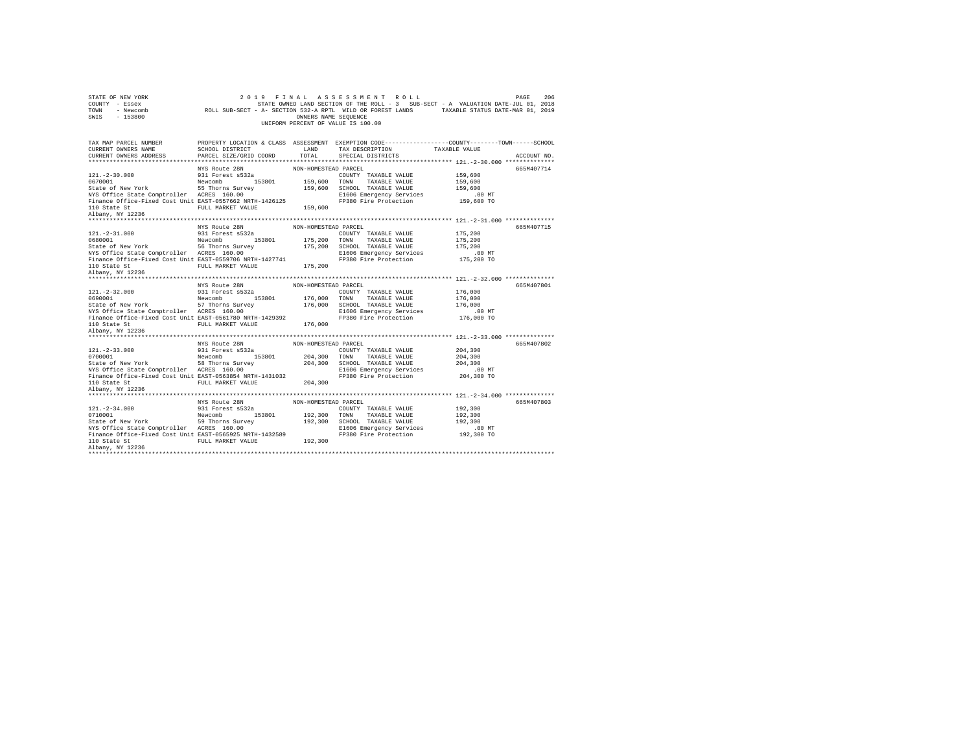| STATE OF NEW YORK<br>COUNTY - Essex<br>TOWN<br>SWIS<br>$-153800$                                                                                                            | 2 0 1 9                                                                                                                                                                                                                                                                                                                                  | OWNERS NAME SEQUENCE | FINAL ASSESSMENT ROLL<br>STATE OWNED LAND SECTION OF THE ROLL - 3 SUB-SECT - A VALUATION DATE-JUL 01, 2018<br>FRATE OWNED LAND SECTION OF THE ROLL - 3 SUB-SECT - A VALUATION DATE-JUL 01, 2018 - 2019<br>- Newcomb               ROLL SUB-SECT - A- SECTION 532-A RPTL WILD OR FOREST LANDS       TAXABLE STATUS DATE-MAR 01, 2019<br>UNIFORM PERCENT OF VALUE IS 100.00 |                        | 206<br>PAGE |
|-----------------------------------------------------------------------------------------------------------------------------------------------------------------------------|------------------------------------------------------------------------------------------------------------------------------------------------------------------------------------------------------------------------------------------------------------------------------------------------------------------------------------------|----------------------|---------------------------------------------------------------------------------------------------------------------------------------------------------------------------------------------------------------------------------------------------------------------------------------------------------------------------------------------------------------------------|------------------------|-------------|
|                                                                                                                                                                             |                                                                                                                                                                                                                                                                                                                                          |                      |                                                                                                                                                                                                                                                                                                                                                                           |                        |             |
| TAX MAP PARCEL NUMBER<br>CURRENT OWNERS NAME<br>CURRENT OWNERS ADDRESS                                                                                                      | LAND<br>SCHOOL DISTRICT<br>PARCEL SIZE/GRID COORD                                                                                                                                                                                                                                                                                        | TOTAL                | PROPERTY LOCATION & CLASS ASSESSMENT EXEMPTION CODE---------------COUNTY-------TOWN------SCHOOL<br>TAX DESCRIPTION TAXABLE VALUE                                                                                                                                                                                                                                          |                        |             |
|                                                                                                                                                                             |                                                                                                                                                                                                                                                                                                                                          |                      | SPECIAL DISTRICTS                                                                                                                                                                                                                                                                                                                                                         |                        | ACCOUNT NO. |
|                                                                                                                                                                             | NYS Route 28N                                                                                                                                                                                                                                                                                                                            | NON-HOMESTEAD PARCEL |                                                                                                                                                                                                                                                                                                                                                                           |                        | 665M407714  |
| $121. - 2 - 30.000$                                                                                                                                                         | 931 Forest s532a                                                                                                                                                                                                                                                                                                                         |                      | COUNTY TAXABLE VALUE                                                                                                                                                                                                                                                                                                                                                      | 159,600                |             |
| 0670001<br>Newcomb<br>State of New York<br>NYS Office State Comptroller<br>ACRES 160.00<br>NYS Office State Comptroller<br>ACRES 160.00                                     |                                                                                                                                                                                                                                                                                                                                          | 159,600              | TOWN<br>TAXABLE VALUE                                                                                                                                                                                                                                                                                                                                                     | 159,600                |             |
|                                                                                                                                                                             |                                                                                                                                                                                                                                                                                                                                          |                      | 159,600 SCHOOL TAXABLE VALUE                                                                                                                                                                                                                                                                                                                                              | 159,600                |             |
|                                                                                                                                                                             |                                                                                                                                                                                                                                                                                                                                          |                      | E1606 Emergency Services                                                                                                                                                                                                                                                                                                                                                  | $.00$ MT               |             |
| Finance Office-Fixed Cost Unit EAST-0557662 NRTH-1426125                                                                                                                    |                                                                                                                                                                                                                                                                                                                                          |                      | FP380 Fire Protection                                                                                                                                                                                                                                                                                                                                                     | 159,600 TO             |             |
| 110 State St<br>Albany, NY 12236                                                                                                                                            | FULL MARKET VALUE 159,600                                                                                                                                                                                                                                                                                                                |                      |                                                                                                                                                                                                                                                                                                                                                                           |                        |             |
|                                                                                                                                                                             |                                                                                                                                                                                                                                                                                                                                          |                      |                                                                                                                                                                                                                                                                                                                                                                           |                        |             |
|                                                                                                                                                                             |                                                                                                                                                                                                                                                                                                                                          |                      |                                                                                                                                                                                                                                                                                                                                                                           |                        |             |
|                                                                                                                                                                             | NYS Route 28N                                                                                                                                                                                                                                                                                                                            | NON-HOMESTEAD PARCEL |                                                                                                                                                                                                                                                                                                                                                                           |                        | 665M407715  |
| $121. - 2 - 31.000$                                                                                                                                                         | 931 Forest s532a                                                                                                                                                                                                                                                                                                                         |                      | COUNTY TAXABLE VALUE                                                                                                                                                                                                                                                                                                                                                      | 175,200                |             |
|                                                                                                                                                                             |                                                                                                                                                                                                                                                                                                                                          | 175,200 TOWN         | TAXABLE VALUE                                                                                                                                                                                                                                                                                                                                                             | 175,200                |             |
| 0680001 Newcomb 153801<br>State of New York 16 Thorns Survey<br>NYS Office State Comptroller ACRES 160.00                                                                   |                                                                                                                                                                                                                                                                                                                                          |                      | 175,200 SCHOOL TAXABLE VALUE                                                                                                                                                                                                                                                                                                                                              | 175,200                |             |
| Finance Office-Fixed Cost Unit EAST-0559706 NRTH-1427741                                                                                                                    |                                                                                                                                                                                                                                                                                                                                          |                      | E1606 Emergency Services<br>FP380 Fire Protection                                                                                                                                                                                                                                                                                                                         | $.00$ MT<br>175,200 TO |             |
|                                                                                                                                                                             | FULL MARKET VALUE                                                                                                                                                                                                                                                                                                                        | 175,200              |                                                                                                                                                                                                                                                                                                                                                                           |                        |             |
|                                                                                                                                                                             |                                                                                                                                                                                                                                                                                                                                          |                      |                                                                                                                                                                                                                                                                                                                                                                           |                        |             |
|                                                                                                                                                                             |                                                                                                                                                                                                                                                                                                                                          |                      |                                                                                                                                                                                                                                                                                                                                                                           |                        |             |
|                                                                                                                                                                             | NYS Route 28N                                                                                                                                                                                                                                                                                                                            | NON-HOMESTEAD PARCEL |                                                                                                                                                                                                                                                                                                                                                                           |                        | 665M407801  |
|                                                                                                                                                                             |                                                                                                                                                                                                                                                                                                                                          |                      | COUNTY TAXABLE VALUE                                                                                                                                                                                                                                                                                                                                                      | 176,000                |             |
|                                                                                                                                                                             |                                                                                                                                                                                                                                                                                                                                          | 176,000              | TOWN<br>TAXABLE VALUE                                                                                                                                                                                                                                                                                                                                                     | 176,000                |             |
|                                                                                                                                                                             |                                                                                                                                                                                                                                                                                                                                          |                      | 176,000 SCHOOL TAXABLE VALUE                                                                                                                                                                                                                                                                                                                                              | 176,000                |             |
| $\begin{tabular}{lllllllllll} 121.-2-32.000 & 931 Forest 5532a \\ 0690001 & 153801 \\ Steate of New York & 57 Thorns Survey \\ NYS Office State Computer \\ \end{tabular}.$ |                                                                                                                                                                                                                                                                                                                                          |                      | E1606 Emergency Services                                                                                                                                                                                                                                                                                                                                                  | .00 MT                 |             |
| Finance Office-Fixed Cost Unit EAST-0561780 NRTH-1429392                                                                                                                    |                                                                                                                                                                                                                                                                                                                                          |                      | FP380 Fire Protection                                                                                                                                                                                                                                                                                                                                                     | 176,000 TO             |             |
| 110 State St<br>Albany, NY 12236                                                                                                                                            | FULL MARKET VALUE                                                                                                                                                                                                                                                                                                                        | 176,000              |                                                                                                                                                                                                                                                                                                                                                                           |                        |             |
|                                                                                                                                                                             |                                                                                                                                                                                                                                                                                                                                          |                      |                                                                                                                                                                                                                                                                                                                                                                           |                        |             |
|                                                                                                                                                                             |                                                                                                                                                                                                                                                                                                                                          |                      |                                                                                                                                                                                                                                                                                                                                                                           |                        |             |
|                                                                                                                                                                             | NYS Route 28N                                                                                                                                                                                                                                                                                                                            | NON-HOMESTEAD PARCEL |                                                                                                                                                                                                                                                                                                                                                                           |                        | 665M407802  |
|                                                                                                                                                                             |                                                                                                                                                                                                                                                                                                                                          |                      | COUNTY TAXABLE VALUE                                                                                                                                                                                                                                                                                                                                                      | 204,300<br>204,300     |             |
| $[121.-2-33.000] \t 931 Forest s532a0700001State of New York \t 58 Theorems SurveyNTS Office State ComputerACRES 160.00$                                                    |                                                                                                                                                                                                                                                                                                                                          |                      | 204,300 TOWN TAXABLE VALUE<br>204,300 SCHOOL TAXABLE VALUE                                                                                                                                                                                                                                                                                                                | 204,300                |             |
|                                                                                                                                                                             |                                                                                                                                                                                                                                                                                                                                          |                      | E1606 Emergency Services                                                                                                                                                                                                                                                                                                                                                  | $.00$ MT               |             |
| Finance Office-Fixed Cost Unit EAST-0563854 NRTH-1431032                                                                                                                    | ACRES 160.00<br>EAST-0563854 NRTH-1431032<br>FULL MARKET VALUE 204,300                                                                                                                                                                                                                                                                   |                      | FP380 Fire Protection                                                                                                                                                                                                                                                                                                                                                     | 204,300 TO             |             |
|                                                                                                                                                                             |                                                                                                                                                                                                                                                                                                                                          | 204,300              |                                                                                                                                                                                                                                                                                                                                                                           |                        |             |
| 110 State St<br>Albany, NY 12236                                                                                                                                            |                                                                                                                                                                                                                                                                                                                                          |                      |                                                                                                                                                                                                                                                                                                                                                                           |                        |             |
|                                                                                                                                                                             |                                                                                                                                                                                                                                                                                                                                          |                      |                                                                                                                                                                                                                                                                                                                                                                           |                        |             |
|                                                                                                                                                                             | NYS Route 28N                                                                                                                                                                                                                                                                                                                            | NON-HOMESTEAD PARCEL |                                                                                                                                                                                                                                                                                                                                                                           |                        | 665M407803  |
|                                                                                                                                                                             |                                                                                                                                                                                                                                                                                                                                          |                      | COUNTY TAXABLE VALUE                                                                                                                                                                                                                                                                                                                                                      | 192,300                |             |
|                                                                                                                                                                             |                                                                                                                                                                                                                                                                                                                                          | 192,300              | TOWN<br>TAXABLE VALUE                                                                                                                                                                                                                                                                                                                                                     | 192,300                |             |
|                                                                                                                                                                             |                                                                                                                                                                                                                                                                                                                                          |                      | 192.300 SCHOOL TAXABLE VALUE                                                                                                                                                                                                                                                                                                                                              | 192,300                |             |
|                                                                                                                                                                             |                                                                                                                                                                                                                                                                                                                                          |                      |                                                                                                                                                                                                                                                                                                                                                                           |                        |             |
|                                                                                                                                                                             | $\begin{tabular}{lllllllllll} \bf 121.-2-34.000 & \tt 931 Forest & a532a \\ \bf 9710001 & \tt 108201 & \tt 153801 \\ \bf 521001 & \tt 153801 & \tt 153801 \\ \bf 88100 & \tt 153801 & \tt 153801 & \tt 153801 \\ \bf 99 The ones Survey & \tt 100.00 & \tt 1001 & \tt 1001 & \tt 1011 & \tt 1011 & \tt 1011 & \tt 1011 & \tt 1011 & \tt$ |                      | E1606 Emergency Services                                                                                                                                                                                                                                                                                                                                                  | $.00$ MT               |             |
| Finance Office-Fixed Cost Unit EAST-0565925 NRTH-1432589                                                                                                                    |                                                                                                                                                                                                                                                                                                                                          |                      | FP380 Fire Protection                                                                                                                                                                                                                                                                                                                                                     | 192,300 TO             |             |
| 110 State St                                                                                                                                                                | FULL MARKET VALUE 192.300                                                                                                                                                                                                                                                                                                                |                      |                                                                                                                                                                                                                                                                                                                                                                           |                        |             |
| Albany, NY 12236                                                                                                                                                            |                                                                                                                                                                                                                                                                                                                                          |                      |                                                                                                                                                                                                                                                                                                                                                                           |                        |             |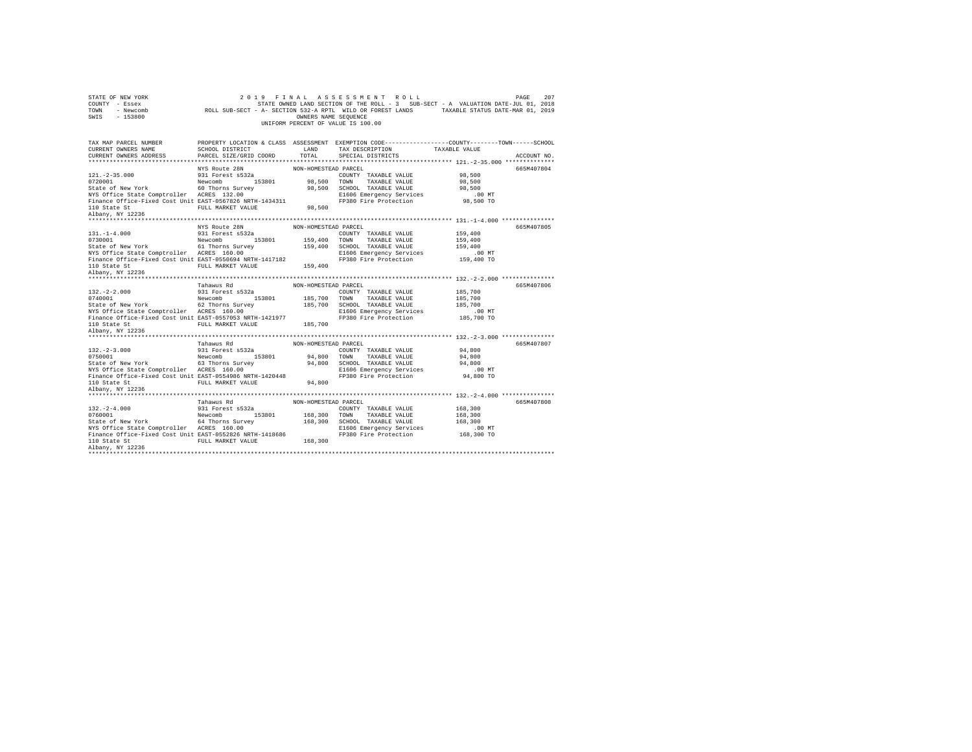| STATE OF NEW YORK<br>COUNTY - Essex<br>TOWN<br>$-153800$<br>SWIS                                                                                                                                                                   | 2 0 1 9                                                | OWNERS NAME SEQUENCE | FINAL ASSESSMENT ROLL<br>UNIFORM PERCENT OF VALUE IS 100.00                                                                      |                    | 207<br>PAGE |
|------------------------------------------------------------------------------------------------------------------------------------------------------------------------------------------------------------------------------------|--------------------------------------------------------|----------------------|----------------------------------------------------------------------------------------------------------------------------------|--------------------|-------------|
|                                                                                                                                                                                                                                    |                                                        |                      |                                                                                                                                  |                    |             |
| TAX MAP PARCEL NUMBER<br>CURRENT OWNERS NAME                                                                                                                                                                                       | LAND<br>SCHOOL DISTRICT                                |                      | PROPERTY LOCATION & CLASS ASSESSMENT EXEMPTION CODE---------------COUNTY-------TOWN------SCHOOL<br>TAX DESCRIPTION TAXABLE VALUE |                    |             |
| CURRENT OWNERS ADDRESS                                                                                                                                                                                                             | PARCEL SIZE/GRID COORD                                 | TOTAL                | SPECIAL DISTRICTS                                                                                                                |                    | ACCOUNT NO. |
|                                                                                                                                                                                                                                    |                                                        |                      |                                                                                                                                  |                    |             |
| $121. -2 - 35.000$                                                                                                                                                                                                                 | NYS Route 28N<br>931 Forest s532a                      | NON-HOMESTEAD PARCEL | COUNTY TAXABLE VALUE                                                                                                             | 98,500             | 665M407804  |
|                                                                                                                                                                                                                                    |                                                        | 98,500               | TOWN<br>TAXABLE VALUE                                                                                                            | 98,500             |             |
|                                                                                                                                                                                                                                    |                                                        |                      | 98,500 SCHOOL TAXABLE VALUE                                                                                                      | 98,500             |             |
| 153801<br>202001 - Mew York Mewcomb 153801<br>State of New York 16 Thorns Survey<br>NYS Office State Comptroller ACRES 132.00                                                                                                      |                                                        |                      | E1606 Emergency Services                                                                                                         | .00 MT             |             |
| Finance Office-Fixed Cost Unit EAST-0567826 NRTH-1434311                                                                                                                                                                           |                                                        |                      | FP380 Fire Protection                                                                                                            | 98,500 TO          |             |
| 110 State St<br>Albany, NY 12236                                                                                                                                                                                                   | FULL MARKET VALUE 98,500                               |                      |                                                                                                                                  |                    |             |
|                                                                                                                                                                                                                                    |                                                        |                      |                                                                                                                                  |                    |             |
|                                                                                                                                                                                                                                    |                                                        |                      |                                                                                                                                  |                    |             |
|                                                                                                                                                                                                                                    | NYS Route 28N                                          | NON-HOMESTEAD PARCEL |                                                                                                                                  |                    | 665M407805  |
| $131. -1 - 4.000$                                                                                                                                                                                                                  | 931 Forest s532a                                       | 159,400 TOWN         | COUNTY TAXABLE VALUE<br>TAXABLE VALUE                                                                                            | 159,400<br>159,400 |             |
|                                                                                                                                                                                                                                    |                                                        |                      | 159,400 SCHOOL TAXABLE VALUE                                                                                                     | 159,400            |             |
| 0731001<br>253801<br>State of New York<br>NYS Office State Comptroller<br>ACRES 160.00<br>NYS Office State Comptroller<br>ACRES 160.00                                                                                             |                                                        |                      | E1606 Emergency Services                                                                                                         | $.00$ MT           |             |
| Finance Office-Fixed Cost Unit EAST-0550694 NRTH-1417182                                                                                                                                                                           |                                                        |                      | FP380 Fire Protection                                                                                                            | 159,400 TO         |             |
| 110 State St<br>Albany, NY 12236                                                                                                                                                                                                   | FULL MARKET VALUE                                      | 159,400              |                                                                                                                                  |                    |             |
|                                                                                                                                                                                                                                    |                                                        |                      |                                                                                                                                  |                    |             |
|                                                                                                                                                                                                                                    |                                                        |                      |                                                                                                                                  |                    |             |
|                                                                                                                                                                                                                                    |                                                        |                      |                                                                                                                                  |                    |             |
|                                                                                                                                                                                                                                    | Tahawus Rd                                             | NON-HOMESTEAD PARCEL |                                                                                                                                  |                    | 665M407806  |
|                                                                                                                                                                                                                                    |                                                        |                      | COUNTY TAXABLE VALUE                                                                                                             | 185,700            |             |
|                                                                                                                                                                                                                                    |                                                        | 185,700 TOWN         | TAXABLE VALUE                                                                                                                    | 185,700            |             |
|                                                                                                                                                                                                                                    |                                                        |                      | 185,700 SCHOOL TAXABLE VALUE                                                                                                     | 185,700            |             |
| $\begin{tabular}{lllllllll} 132.-2-2.000 & 931 Forest 5532a \\ 0740001 & Newwork \\ 54x4e of New York & 62 Thorms Survey \\ \tt NTS Office State Comptroller & ACRES & 160.00 \\ \end{tabular}$                                    |                                                        |                      | E1606 Emergency Services                                                                                                         | .00 MT             |             |
| Finance Office-Fixed Cost Unit EAST-0557053 NRTH-1421977                                                                                                                                                                           |                                                        |                      | FP380 Fire Protection                                                                                                            | 185,700 TO         |             |
|                                                                                                                                                                                                                                    | FULL MARKET VALUE                                      | 185,700              |                                                                                                                                  |                    |             |
| 110 State St<br>Albany, NY 12236                                                                                                                                                                                                   |                                                        |                      |                                                                                                                                  |                    |             |
|                                                                                                                                                                                                                                    | Tahawus Rd                                             | NON-HOMESTEAD PARCEL |                                                                                                                                  |                    | 665M407807  |
|                                                                                                                                                                                                                                    |                                                        |                      | COUNTY TAXABLE VALUE                                                                                                             | 94,800             |             |
|                                                                                                                                                                                                                                    |                                                        |                      |                                                                                                                                  | 94,800             |             |
|                                                                                                                                                                                                                                    |                                                        |                      | 94,800 TOWN TAXABLE VALUE<br>94,800 SCHOOL TAXABLE VALUE                                                                         | 94,800             |             |
|                                                                                                                                                                                                                                    |                                                        |                      | E1606 Emergency Services                                                                                                         | $.00$ MT           |             |
| Finance Office-Fixed Cost Unit EAST-0554986 NRTH-1420448                                                                                                                                                                           |                                                        |                      | FP380 Fire Protection                                                                                                            | 94,800 TO          |             |
|                                                                                                                                                                                                                                    | FULL MARKET VALUE 94,800                               |                      |                                                                                                                                  |                    |             |
| 110 State St<br>Albany, NY 12236                                                                                                                                                                                                   |                                                        |                      |                                                                                                                                  |                    |             |
|                                                                                                                                                                                                                                    | Tahawus Rd                                             | NON-HOMESTEAD PARCEL |                                                                                                                                  |                    | 665M407808  |
|                                                                                                                                                                                                                                    |                                                        |                      | COUNTY TAXABLE VALUE                                                                                                             | 168,300            |             |
|                                                                                                                                                                                                                                    |                                                        |                      | TOWN<br>TAXABLE VALUE                                                                                                            | 168,300            |             |
|                                                                                                                                                                                                                                    |                                                        | 168, 300             | 168,300 SCHOOL TAXABLE VALUE                                                                                                     | 168,300            |             |
| $\begin{tabular}{lllllllll} 132.-2-4.000 & 931 Forest 5532a \\ 0760001 & {\small 153801} \\ 5144e & {\small 160}m \end{tabular} \begin{tabular}{lllllllll} 153801 & 153801 \\ 153801 & 153801 \\ 153801 & 153801 \\ \end{tabular}$ |                                                        |                      | E1606 Emergency Services                                                                                                         | $.00$ MT           |             |
| Finance Office-Fixed Cost Unit EAST-0552826 NRTH-1418686                                                                                                                                                                           |                                                        |                      | FP380 Fire Protection                                                                                                            | 168,300 TO         |             |
| 110 State St<br>Albany, NY 12236                                                                                                                                                                                                   | EAST-0552826 NRTH-1418686<br>FULL MARKET VALUE 168,300 |                      |                                                                                                                                  |                    |             |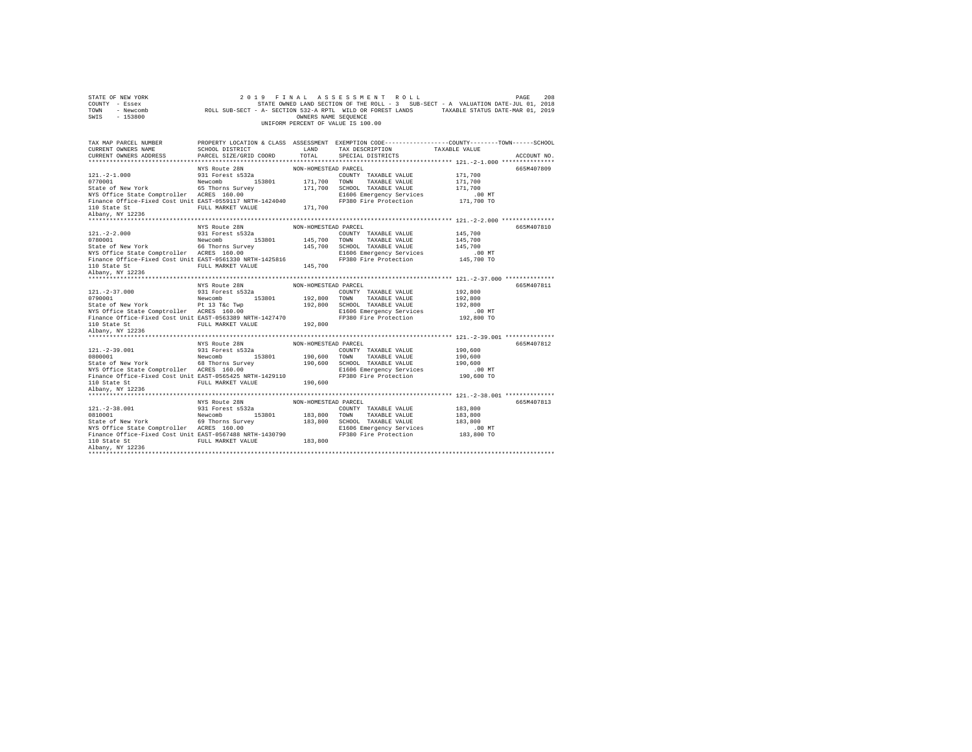| STATE OF NEW YORK<br>COUNTY - Essex<br>TOWN<br>$-153800$<br>SWIS                                                                                                                                                                                                                                               | 2 0 1 9                                           | OWNERS NAME SEQUENCE | FINAL ASSESSMENT ROLL<br>UNIFORM PERCENT OF VALUE IS 100.00 | PAGE<br>STATE OWNED LAND SECTION OF THE ROLL - 3 SUB-SECT - A VALUATION DATE-JUL 01, 2018                      | 208 |
|----------------------------------------------------------------------------------------------------------------------------------------------------------------------------------------------------------------------------------------------------------------------------------------------------------------|---------------------------------------------------|----------------------|-------------------------------------------------------------|----------------------------------------------------------------------------------------------------------------|-----|
|                                                                                                                                                                                                                                                                                                                |                                                   |                      |                                                             |                                                                                                                |     |
| TAX MAP PARCEL NUMBER<br>CURRENT OWNERS NAME<br>CURRENT OWNERS ADDRESS                                                                                                                                                                                                                                         | LAND<br>SCHOOL DISTRICT<br>PARCEL SIZE/GRID COORD | TOTAL                | TAX DESCRIPTION TAXABLE VALUE<br>SPECIAL DISTRICTS          | PROPERTY LOCATION & CLASS ASSESSMENT EXEMPTION CODE---------------COUNTY-------TOWN------SCHOOL<br>ACCOUNT NO. |     |
|                                                                                                                                                                                                                                                                                                                |                                                   |                      |                                                             |                                                                                                                |     |
|                                                                                                                                                                                                                                                                                                                | NYS Route 28N                                     | NON-HOMESTEAD PARCEL |                                                             | 665M407809                                                                                                     |     |
| $\begin{tabular}{lllllllllll} 121.-2-1.000 & 931 Forest \texttt{s532a} \\ 0770001 & {\texttt{Newton}} & 153801 \\ \texttt{State of New York} & 65 Thomas Survey \\ \texttt{NTS Office State Comptroller} & 6570018 Survey \\ \texttt{NTS Office State Comptroller} & \texttt{ACRES} & 160.00 \\ \end{tabular}$ |                                                   |                      | COUNTY TAXABLE VALUE                                        | 171,700                                                                                                        |     |
|                                                                                                                                                                                                                                                                                                                |                                                   | 171,700 TOWN         | TAXABLE VALUE                                               | 171,700                                                                                                        |     |
|                                                                                                                                                                                                                                                                                                                |                                                   |                      | 171,700 SCHOOL TAXABLE VALUE                                | 171,700                                                                                                        |     |
|                                                                                                                                                                                                                                                                                                                |                                                   |                      | E1606 Emergency Services                                    | .00 MT                                                                                                         |     |
| Finance Office-Fixed Cost Unit EAST-0559117 NRTH-1424040                                                                                                                                                                                                                                                       |                                                   |                      | FP380 Fire Protection                                       | 171,700 TO                                                                                                     |     |
| 110 State St<br>Albany, NY 12236                                                                                                                                                                                                                                                                               | FULL MARKET VALUE 171,700                         |                      |                                                             |                                                                                                                |     |
|                                                                                                                                                                                                                                                                                                                |                                                   |                      |                                                             |                                                                                                                |     |
|                                                                                                                                                                                                                                                                                                                |                                                   |                      |                                                             |                                                                                                                |     |
|                                                                                                                                                                                                                                                                                                                | NYS Route 28N<br>001 Forcet 05329                 | NON-HOMESTEAD PARCEL |                                                             | 665M407810                                                                                                     |     |
| $121. -2 - 2.000$                                                                                                                                                                                                                                                                                              | 931 Forest s532a                                  |                      | COUNTY TAXABLE VALUE                                        | 145,700                                                                                                        |     |
| 9781001<br>State of New York<br>State Comptroller<br>MERS 160.00<br>NYS Office State Comptroller<br>ACRES 160.00                                                                                                                                                                                               |                                                   | 145,700 TOWN         | TAXABLE VALUE                                               | 145,700                                                                                                        |     |
|                                                                                                                                                                                                                                                                                                                |                                                   |                      | 145,700 SCHOOL TAXABLE VALUE                                | 145,700                                                                                                        |     |
|                                                                                                                                                                                                                                                                                                                |                                                   |                      | E1606 Emergency Services                                    | .00 MT                                                                                                         |     |
| Finance Office-Fixed Cost Unit EAST-0561330 NRTH-1425816                                                                                                                                                                                                                                                       |                                                   |                      | FP380 Fire Protection                                       | 145,700 TO                                                                                                     |     |
| 110 State St<br>Albany, NY 12236                                                                                                                                                                                                                                                                               | FULL MARKET VALUE 145,700                         |                      |                                                             |                                                                                                                |     |
|                                                                                                                                                                                                                                                                                                                |                                                   |                      |                                                             |                                                                                                                |     |
|                                                                                                                                                                                                                                                                                                                |                                                   |                      |                                                             |                                                                                                                |     |
|                                                                                                                                                                                                                                                                                                                |                                                   |                      |                                                             |                                                                                                                |     |
|                                                                                                                                                                                                                                                                                                                | NYS Route 28N                                     | NON-HOMESTEAD PARCEL |                                                             | 665M407811                                                                                                     |     |
|                                                                                                                                                                                                                                                                                                                | 931 Forest s532a                                  |                      | COUNTY TAXABLE VALUE                                        | 192,800                                                                                                        |     |
| $121. -2 - 37.000$                                                                                                                                                                                                                                                                                             |                                                   | 192,800 TOWN         | TAXABLE VALUE                                               | 192,800                                                                                                        |     |
|                                                                                                                                                                                                                                                                                                                |                                                   |                      | 192,800 SCHOOL TAXABLE VALUE                                | 192,800                                                                                                        |     |
|                                                                                                                                                                                                                                                                                                                |                                                   |                      | E1606 Emergency Services                                    | .00 MT                                                                                                         |     |
| Finance Office-Fixed Cost Unit EAST-0563389 NRTH-1427470                                                                                                                                                                                                                                                       |                                                   |                      | FP380 Fire Protection                                       | 192,800 TO                                                                                                     |     |
|                                                                                                                                                                                                                                                                                                                | FULL MARKET VALUE 192,800                         |                      |                                                             |                                                                                                                |     |
|                                                                                                                                                                                                                                                                                                                |                                                   |                      |                                                             |                                                                                                                |     |
|                                                                                                                                                                                                                                                                                                                |                                                   |                      |                                                             |                                                                                                                |     |
|                                                                                                                                                                                                                                                                                                                | NYS Route 28N                                     | NON-HOMESTEAD PARCEL |                                                             | 665M407812                                                                                                     |     |
|                                                                                                                                                                                                                                                                                                                |                                                   |                      | COUNTY TAXABLE VALUE                                        | 190,600                                                                                                        |     |
|                                                                                                                                                                                                                                                                                                                |                                                   |                      |                                                             | 190,600                                                                                                        |     |
|                                                                                                                                                                                                                                                                                                                |                                                   |                      | 190,600 TOWN TAXABLE VALUE<br>190,600 SCHOOL TAXABLE VALUE  | 190,600                                                                                                        |     |
|                                                                                                                                                                                                                                                                                                                |                                                   |                      | E1606 Emergency Services                                    | $.00$ MT                                                                                                       |     |
|                                                                                                                                                                                                                                                                                                                |                                                   |                      | FP380 Fire Protection                                       | 190,600 TO                                                                                                     |     |
| NYS Office State Comptroller ACRES 160.00<br>Finance Office-Fixed Cost Unit EAST-0565425 NRTH-1429110<br>11b State Stromer PULL MARKET VALUE 190,600<br>11b State V19996                                                                                                                                       |                                                   |                      |                                                             |                                                                                                                |     |
| 110 State St<br>Albany, NY 12236                                                                                                                                                                                                                                                                               |                                                   |                      |                                                             |                                                                                                                |     |
|                                                                                                                                                                                                                                                                                                                |                                                   | NON-HOMESTEAD PARCEL |                                                             | 665M407813                                                                                                     |     |
|                                                                                                                                                                                                                                                                                                                | NYS Route 28N                                     |                      | COUNTY TAXABLE VALUE                                        | 183,800                                                                                                        |     |
|                                                                                                                                                                                                                                                                                                                |                                                   |                      | TOWN                                                        |                                                                                                                |     |
|                                                                                                                                                                                                                                                                                                                |                                                   | 183,800              | TAXABLE VALUE<br>183,800 SCHOOL TAXABLE VALUE               | 183,800<br>183,800                                                                                             |     |
|                                                                                                                                                                                                                                                                                                                |                                                   |                      | E1606 Emergency Services                                    | $.00$ MT                                                                                                       |     |
| 121.-2-38.001 931 Forest space<br>0810001 153801 New York 69 Thorns Survey<br>5tate of New York 69 Thorns Survey<br>081 Compared ACRES 160.00<br>Finance Office-Fixed Cost Unit EAST-0567488 NRTH-1430790                                                                                                      |                                                   |                      | FP380 Fire Protection                                       | 183,800 TO                                                                                                     |     |
| 110 State St                                                                                                                                                                                                                                                                                                   | FULL MARKET VALUE 183.800                         |                      |                                                             |                                                                                                                |     |
| Albany, NY 12236                                                                                                                                                                                                                                                                                               |                                                   |                      |                                                             |                                                                                                                |     |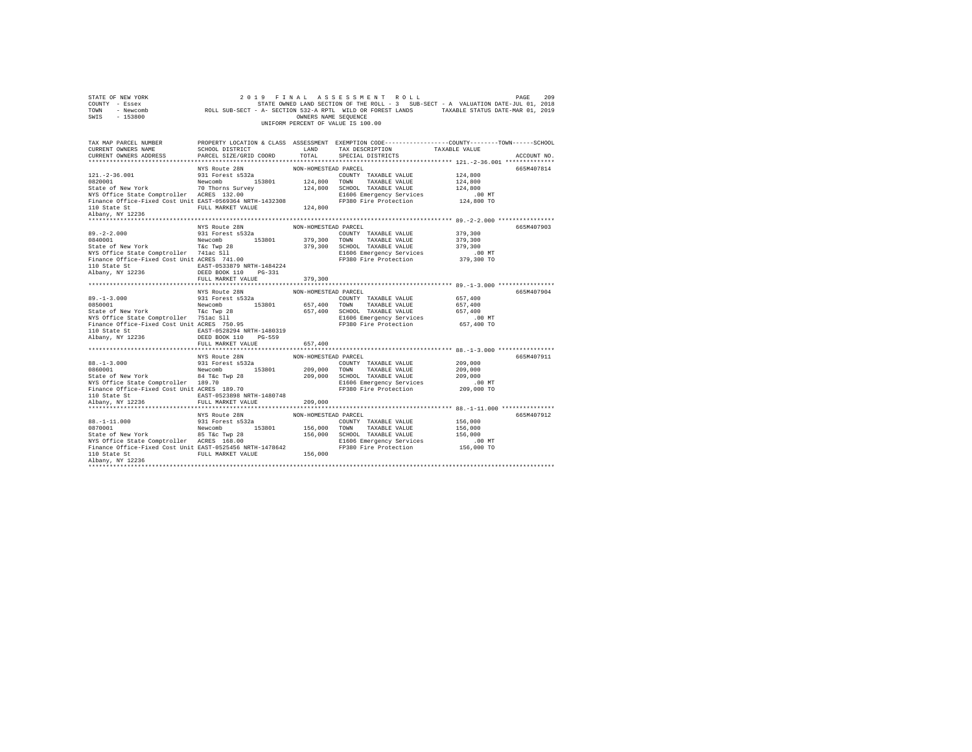| STATE OF NEW YORK<br>COUNTY - Essex<br>TOWN - Newcomb<br>SWIS - 153800                                                                                                                                                                                                                                                                                                                           |                                         | OWNERS NAME SEOUENCE            | 2019 FINAL ASSESSMENT ROLL<br>209 PAGE 209 PINAL ASSESSMENT ROLL EXECTION OF PAGE 209<br>STATE OWNED LAND SECTION OF THE ROLL - 3 SUB-SECT - A VALUATION DATE-JUL 01, 2018<br>ROLL SUB-SECT - A- SECTION 532-A RPTL WILD OR FOREST LANDS TAXABLE STATUS DATE-MAR 0<br>UNIFORM PERCENT OF VALUE IS 100.00 |               | 209<br>PAGE |
|--------------------------------------------------------------------------------------------------------------------------------------------------------------------------------------------------------------------------------------------------------------------------------------------------------------------------------------------------------------------------------------------------|-----------------------------------------|---------------------------------|----------------------------------------------------------------------------------------------------------------------------------------------------------------------------------------------------------------------------------------------------------------------------------------------------------|---------------|-------------|
| TAX MAP PARCEL NUMBER PROPERTY LOCATION & CLASS ASSESSMENT EXEMPTION CODE--------------COUNTY-------TOWN-----SCHOOL<br>CURRENT OWNERS NAME<br>CURRENT OWNERS ADDRESS PARCEL SIZE/GRID COORD                                                                                                                                                                                                      | SCHOOL DISTRICT<br>LAND TAX DESCRIPTION | TOTAL                           | SPECIAL DISTRICTS                                                                                                                                                                                                                                                                                        | TAXABLE VALUE | ACCOUNT NO. |
|                                                                                                                                                                                                                                                                                                                                                                                                  | NYS Route 28N                           | NON-HOMESTEAD PARCEL            |                                                                                                                                                                                                                                                                                                          |               | 665M407814  |
| $89. -2 - 2.000$<br>0840001<br>State of New York Tac Twp 28<br>The The Tac Twp 28 279,300 SCHOOL TAXABLE VALUE 379,300<br>NTS Office State Comptroller 741ac S11 200 2010 21606 Energency Services 379,300 PU<br>Tinance Office-Fixed Cost Unit ACRES 741.00 200 PP<br>110 State St 2006 110 SEAST-0533879 NRTH-1484224<br>Albany, NY 12236 2006 110 POS 33879 NRTH-1484224<br>FULL MARKET VALUE | FULL MARKET VALUE 379,300               |                                 | FRINGER VALUE 379,300<br>TOWN TAXABLE VALUE 379,300                                                                                                                                                                                                                                                      |               | 665M407903  |
| ${\small \begin{tabular}{lcccccc} 110 State St & & & \texttt{EAST-0528294 NRTH-1480319} \\ Albany, NY & 12236 & & & \texttt{DEED BOOK 110} & PG-559 \end{tabular}} \label{tab:23B}$                                                                                                                                                                                                              | NYS Route 28N<br>FULL MARKET VALUE      | NON-HOMESTEAD PARCEL<br>657,400 |                                                                                                                                                                                                                                                                                                          |               | 665M407904  |
| ${\tt BAST-0523898\; NRT1-1480748}\\ {\tt RIST-0523898\; NRTH-1480748}$ Albany, NY 12236<br>FULL MARKET VALUE                                                                                                                                                                                                                                                                                    |                                         | 209,000                         |                                                                                                                                                                                                                                                                                                          |               | 665M407911  |
| Albany, NY 12236                                                                                                                                                                                                                                                                                                                                                                                 | NYS Route 28N                           | NON-HOMESTEAD PARCEL            |                                                                                                                                                                                                                                                                                                          |               | 665M407912  |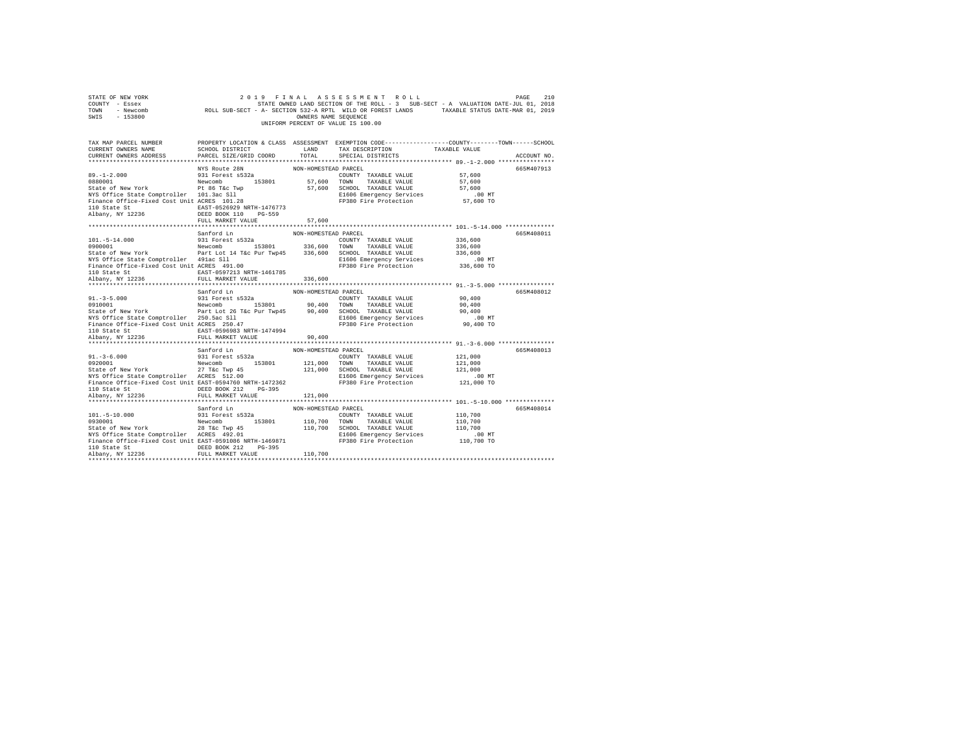| STATE OF NEW YORK<br>COUNTY - Essex<br>TOWN - Newcomb<br>SWIS - 153800                                                                                                                                                                                                                                                                                    |                                                                                               | OWNERS NAME SEQUENCE            | 2019 FINAL ASSESSMENT ROLL<br>STATE OWNED LAND SECTION OF THE ROLL - 3 SUB-SECT - A VALUATION DATE-JUL 01, 2018<br>ROLL SUB-SECT - A- SECTION 532-A RPTL WILD OR FOREST LANDS TAXABLE STATUS DATE-MAR 01, 2019<br>UNIFORM PERCENT OF VALUE IS 100.00 |                                                         | 210<br>PAGE |
|-----------------------------------------------------------------------------------------------------------------------------------------------------------------------------------------------------------------------------------------------------------------------------------------------------------------------------------------------------------|-----------------------------------------------------------------------------------------------|---------------------------------|------------------------------------------------------------------------------------------------------------------------------------------------------------------------------------------------------------------------------------------------------|---------------------------------------------------------|-------------|
| TAX MAP PARCEL NUMBER<br>CURRENT OWNERS NAME<br>CURRENT OWNERS ADDRESS                                                                                                                                                                                                                                                                                    | SCHOOL DISTRICT<br>PARCEL SIZE/GRID COORD                                                     | LAND<br>TOTAL                   | PROPERTY LOCATION & CLASS ASSESSMENT EXEMPTION CODE----------------COUNTY-------TOWN------SCHOOL<br>TAX DESCRIPTION<br>SPECIAL DISTRICTS                                                                                                             | TAXABLE VALUE                                           | ACCOUNT NO. |
|                                                                                                                                                                                                                                                                                                                                                           |                                                                                               |                                 |                                                                                                                                                                                                                                                      |                                                         |             |
| $89. -1 - 2.000$<br>NYS Office State Comptroller 101.3ac Sll<br>Finance Office-Fixed Cost Unit ACRES 101.28<br>110 State St                                                                                                                                                                                                                               | NYS Route 28N<br>931 Forest s532a<br>EAST-0526929 NRTH-1476773                                | NON-HOMESTEAD PARCEL            | COUNTY TAXABLE VALUE<br>57,600 TOWN TAXABLE VALUE<br>57,600 SCHOOL TAXABLE VALUE<br>E1606 Emergency Services<br>FP380 Fire Protection                                                                                                                | 57,600<br>57,600<br>57,600<br>$.00$ MT<br>57,600 TO     | 665M407913  |
| Albany, NY 12236                                                                                                                                                                                                                                                                                                                                          | DEED BOOK 110 PG-559                                                                          |                                 |                                                                                                                                                                                                                                                      |                                                         |             |
|                                                                                                                                                                                                                                                                                                                                                           | FULL MARKET VALUE                                                                             | 57,600                          |                                                                                                                                                                                                                                                      |                                                         |             |
| $101. - 5 - 14.000$                                                                                                                                                                                                                                                                                                                                       | Sanford Ln<br>931 Forest s532a                                                                | NON-HOMESTEAD PARCEL            | COUNTY TAXABLE VALUE                                                                                                                                                                                                                                 | 336,600                                                 | 665M408011  |
| 0900001<br>State of New York Part Lot 14 T&c Pur Twp45 336,600 SCHOOL TAXABLE VALUE                                                                                                                                                                                                                                                                       | Newcomb 153801 336,600 TOWN TAXABLE VALUE                                                     |                                 | E1606 Emergency Services                                                                                                                                                                                                                             | 336,600<br>336,600<br>$.00$ MT                          |             |
| NYS Office State Comptroller 491ac Sll<br>Finance Office-Fixed Cost Unit ACRES 491.00<br>110 State St<br>Albany, NY 12236                                                                                                                                                                                                                                 | EAST-0597213 NRTH-1461785<br>FULL MARKET VALUE                                                | 336,600                         | FP380 Fire Protection                                                                                                                                                                                                                                | 336,600 TO                                              |             |
| **********************                                                                                                                                                                                                                                                                                                                                    |                                                                                               |                                 |                                                                                                                                                                                                                                                      |                                                         |             |
|                                                                                                                                                                                                                                                                                                                                                           | Sanford Ln                                                                                    | NON-HOMESTEAD PARCEL            |                                                                                                                                                                                                                                                      |                                                         | 665M408012  |
| $91. - 3 - 5.000$<br>$\begin{array}{cccccc} 0910001 & & & & \text{Newcomb} & & 153801 & & 90,400 & \text{TOWN} & \text{TAXABLE VALUE} \\ \text{State of New York} & & & & \text{Part Lot 26 Tkc Pur Two45} & 90,400 & \text{SCHOOL TAXABLE VALUE} \end{array}$<br>NYS Office State Comptroller 250.5ac Sll<br>Finance Office-Fixed Cost Unit ACRES 250.47 | 931 Forest s532a<br>EAST-0596983 NRTH-1474994                                                 |                                 | COUNTY TAXABLE VALUE<br>E1606 Emergency Services<br>FP380 Fire Protection                                                                                                                                                                            | 90,400<br>90,400<br>90,400<br>$.00$ MT<br>90,400 TO     |             |
| 110 State St<br>Albany, NY 12236                                                                                                                                                                                                                                                                                                                          | FULL MARKET VALUE                                                                             | 90,400                          |                                                                                                                                                                                                                                                      |                                                         |             |
|                                                                                                                                                                                                                                                                                                                                                           |                                                                                               |                                 |                                                                                                                                                                                                                                                      |                                                         |             |
| $91. - 3 - 6.000$<br>0920001<br>State of New York 27 T&C Twp 45<br>NYS Office State Comptroller ACRES 512.00<br>Finance Office-Fixed Cost Unit EAST-0594760 NRTH-1472362<br>110 State St<br>Albany, NY 12236                                                                                                                                              | Sanford Ln<br>931 Forest s532a<br>Newcomb 153801<br>DEED BOOK 212 PG-395<br>FULL MARKET VALUE | NON-HOMESTEAD PARCEL<br>121,000 | COUNTY TAXABLE VALUE<br>121,000 TOWN TAXABLE VALUE<br>121,000 SCHOOL TAXABLE VALUE<br>E1606 Emergency Services<br>FP380 Fire Protection                                                                                                              | 121,000<br>121,000<br>121,000<br>$.00$ MT<br>121,000 TO | 665M408013  |
|                                                                                                                                                                                                                                                                                                                                                           |                                                                                               |                                 |                                                                                                                                                                                                                                                      |                                                         |             |
| $101.-5-10.000$<br>0930001<br>State of New York<br>NYS Office State Comptroller ACRES 492.01<br>Finance Office-Fixed Cost Unit EAST-0591086 NRTH-1469871                                                                                                                                                                                                  | Sanford Ln<br>931 Forest s532a<br>Newcomb 153801 110,700 TOWN TAXABLE VALUE<br>28 T&C Twp 45  | NON-HOMESTEAD PARCEL            | COUNTY TAXABLE VALUE<br>110,700 SCHOOL TAXABLE VALUE<br>E1606 Emergency Services<br>FP380 Fire Protection                                                                                                                                            | 110,700<br>110,700<br>110,700<br>$.00$ MT<br>110,700 TO | 665M408014  |
| 110 State St<br>Albany, NY 12236                                                                                                                                                                                                                                                                                                                          | DEED BOOK 212 PG-395<br>FULL MARKET VALUE                                                     | 110,700                         |                                                                                                                                                                                                                                                      |                                                         |             |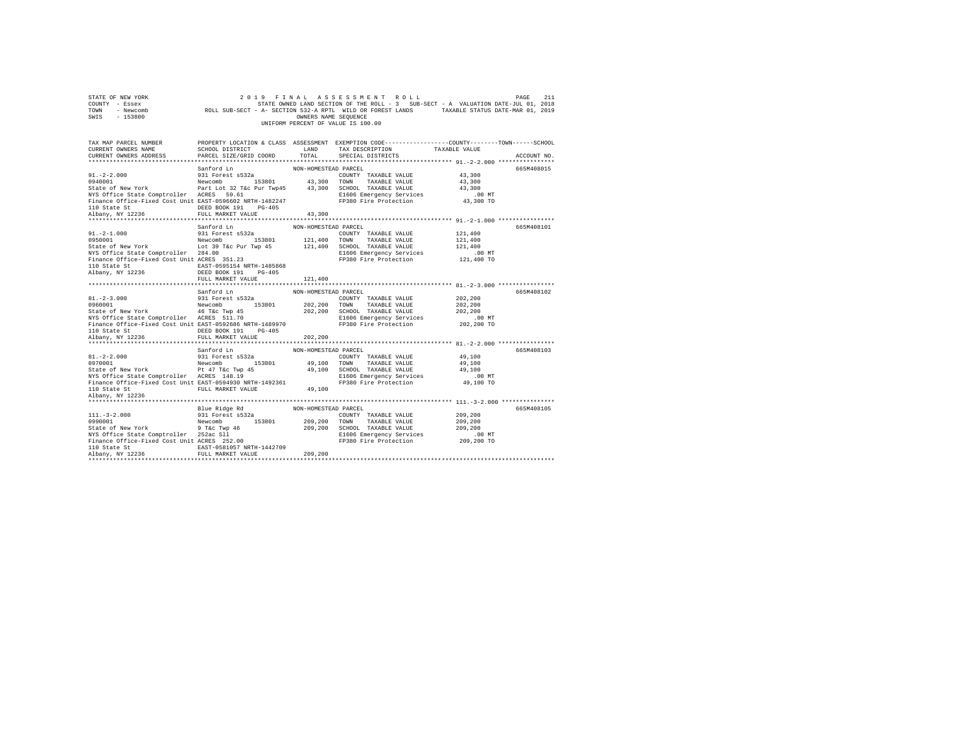| STATE OF NEW YORK<br>COUNTY - Essex<br>TOWN<br>- Newcomb<br>SWIS - 153800                            |                                                       | OWNERS NAME SEOUENCE | 2019 FINAL ASSESSMENT ROLL<br>STATE OWNED LAND SECTION OF THE ROLL - 3 SUB-SECT - A VALUATION DATE-JUL 01, 2018<br>ROLL SUB-SECT - A- SECTION 532-A RPTL WILD OR FOREST LANDS TAXABLE STATUS DATE-MAR 01, 2019<br>UNIFORM PERCENT OF VALUE IS 100.00 |                    | 211<br>PAGE |
|------------------------------------------------------------------------------------------------------|-------------------------------------------------------|----------------------|------------------------------------------------------------------------------------------------------------------------------------------------------------------------------------------------------------------------------------------------------|--------------------|-------------|
| TAX MAP PARCEL NUMBER                                                                                |                                                       |                      | PROPERTY LOCATION & CLASS ASSESSMENT EXEMPTION CODE----------------COUNTY-------TOWN------SCHOOL                                                                                                                                                     |                    |             |
| CURRENT OWNERS NAME                                                                                  | SCHOOL DISTRICT                                       | LAND                 | TAX DESCRIPTION                                                                                                                                                                                                                                      | TAXABLE VALUE      |             |
| CURRENT OWNERS ADDRESS                                                                               | PARCEL SIZE/GRID COORD                                | TOTAL                | SPECIAL DISTRICTS                                                                                                                                                                                                                                    |                    | ACCOUNT NO. |
|                                                                                                      |                                                       |                      |                                                                                                                                                                                                                                                      |                    |             |
|                                                                                                      | Sanford Ln                                            | NON-HOMESTEAD PARCEL |                                                                                                                                                                                                                                                      |                    | 665M408015  |
| $91. -2 - 2.000$                                                                                     | 931 Forest s532a                                      |                      | COUNTY TAXABLE VALUE                                                                                                                                                                                                                                 | 43,300             |             |
| 0940001                                                                                              | Newcomb 153801 43,300 TOWN TAXABLE VALUE              |                      |                                                                                                                                                                                                                                                      | 43,300             |             |
| State of New York                                                                                    | Part Lot 32 T&c Pur Twp45 43,300 SCHOOL TAXABLE VALUE |                      |                                                                                                                                                                                                                                                      | 43,300<br>$.00$ MT |             |
| NYS Office State Comptroller ACRES 59.61<br>Finance Office-Fixed Cost Unit EAST-0596602 NRTH-1482247 |                                                       |                      | E1606 Emergency Services<br>FP380 Fire Protection                                                                                                                                                                                                    | 43,300 TO          |             |
| 110 State St                                                                                         | DEED BOOK 191 PG-405                                  |                      |                                                                                                                                                                                                                                                      |                    |             |
| Albany, NY 12236                                                                                     | FULL MARKET VALUE                                     | 43,300               |                                                                                                                                                                                                                                                      |                    |             |
|                                                                                                      |                                                       |                      |                                                                                                                                                                                                                                                      |                    |             |
|                                                                                                      | Sanford Ln                                            | NON-HOMESTEAD PARCEL |                                                                                                                                                                                                                                                      |                    | 665M408101  |
| $91. -2 - 1.000$                                                                                     | 931 Forest s532a                                      |                      | COUNTY TAXABLE VALUE                                                                                                                                                                                                                                 | 121,400            |             |
| 0950001                                                                                              | Newcomb 153801                                        |                      | 121,400 TOWN TAXABLE VALUE                                                                                                                                                                                                                           | 121,400            |             |
| State of New York Lot 39 T&c Pur Twp 45                                                              |                                                       |                      | 121,400 SCHOOL TAXABLE VALUE                                                                                                                                                                                                                         | 121,400            |             |
| NYS Office State Comptroller 284.00<br>Finance Office-Fixed Cost Unit ACRES 351.23                   |                                                       |                      | E1606 Emergency Services                                                                                                                                                                                                                             | $.00$ MT           |             |
| 110 State St                                                                                         | EAST-0595154 NRTH-1485868                             |                      | FP380 Fire Protection                                                                                                                                                                                                                                | 121,400 TO         |             |
| Albany, NY 12236                                                                                     | DEED BOOK 191 PG-405                                  |                      |                                                                                                                                                                                                                                                      |                    |             |
|                                                                                                      | FULL MARKET VALUE                                     | 121,400              |                                                                                                                                                                                                                                                      |                    |             |
|                                                                                                      |                                                       | **************       |                                                                                                                                                                                                                                                      |                    |             |
|                                                                                                      | Sanford Ln                                            | NON-HOMESTEAD PARCEL |                                                                                                                                                                                                                                                      |                    | 665M408102  |
| $81. -2 - 3.000$                                                                                     | 931 Forest s532a                                      |                      | COUNTY TAXABLE VALUE                                                                                                                                                                                                                                 | 202,200            |             |
| 0960001                                                                                              | Newcomb 153801                                        |                      | 202,200 TOWN TAXABLE VALUE<br>202,200 SCHOOL TAXABLE VALUE                                                                                                                                                                                           | 202,200            |             |
| State of New York 46 T&c Twp 45<br>NYS Office State Comptroller ACRES 511.70                         |                                                       |                      |                                                                                                                                                                                                                                                      | 202.200            |             |
|                                                                                                      |                                                       |                      | E1606 Emergency Services                                                                                                                                                                                                                             | $.00$ MT           |             |
| Finance Office-Fixed Cost Unit EAST-0592686 NRTH-1489970<br>110 State St                             | DEED BOOK 191 PG-405                                  |                      | FP380 Fire Protection                                                                                                                                                                                                                                | 202,200 TO         |             |
| Albany, NY 12236                                                                                     | FULL MARKET VALUE                                     | 202,200              |                                                                                                                                                                                                                                                      |                    |             |
|                                                                                                      |                                                       |                      |                                                                                                                                                                                                                                                      |                    |             |
|                                                                                                      | Sanford Ln                                            | NON-HOMESTEAD PARCEL |                                                                                                                                                                                                                                                      |                    | 665M408103  |
| $81. -2 - 2.000$                                                                                     | 931 Forest s532a                                      |                      | COUNTY TAXABLE VALUE                                                                                                                                                                                                                                 | 49,100             |             |
| 0970001                                                                                              | Newcomb 153801                                        |                      | 49,100 TOWN TAXABLE VALUE                                                                                                                                                                                                                            | 49,100             |             |
| State of New York Pt 47 T&C Twp 45<br>NYS Office State Comptroller ACRES 148.19                      |                                                       |                      | 49,100 SCHOOL TAXABLE VALUE                                                                                                                                                                                                                          | 49,100             |             |
|                                                                                                      |                                                       |                      | E1606 Emergency Services<br>FP380 Fire Protection                                                                                                                                                                                                    | .00MT              |             |
| Finance Office-Fixed Cost Unit EAST-0594930 NRTH-1492361                                             |                                                       |                      |                                                                                                                                                                                                                                                      | 49,100 TO          |             |
| 110 State St FULL MARKET VALUE                                                                       |                                                       | 49,100               |                                                                                                                                                                                                                                                      |                    |             |
| Albany, NY 12236                                                                                     |                                                       |                      |                                                                                                                                                                                                                                                      |                    |             |
|                                                                                                      | Blue Ridge Rd                                         | NON-HOMESTEAD PARCEL |                                                                                                                                                                                                                                                      |                    | 665M408105  |
| $111. - 3 - 2.000$                                                                                   | 931 Forest s532a                                      |                      | COUNTY TAXABLE VALUE                                                                                                                                                                                                                                 | 209,200            |             |
| 0990001                                                                                              | Newcomb 153801                                        |                      | 209.200 TOWN TAXABLE VALUE                                                                                                                                                                                                                           | 209,200            |             |
| State of New York                                                                                    | 9 T&c Twp 46                                          |                      | 209,200 SCHOOL TAXABLE VALUE                                                                                                                                                                                                                         | 209,200            |             |
| NYS Office State Comptroller 252ac Sll                                                               |                                                       |                      | E1606 Emergency Services                                                                                                                                                                                                                             | $.00$ MT           |             |
| Finance Office-Fixed Cost Unit ACRES 252.00                                                          |                                                       |                      | FP380 Fire Protection                                                                                                                                                                                                                                | 209,200 TO         |             |
| 110 State St                                                                                         | EAST-0581057 NRTH-1442709                             |                      |                                                                                                                                                                                                                                                      |                    |             |
| Albany, NY 12236                                                                                     | FULL MARKET VALUE                                     | 209,200              |                                                                                                                                                                                                                                                      |                    |             |
|                                                                                                      |                                                       |                      |                                                                                                                                                                                                                                                      |                    |             |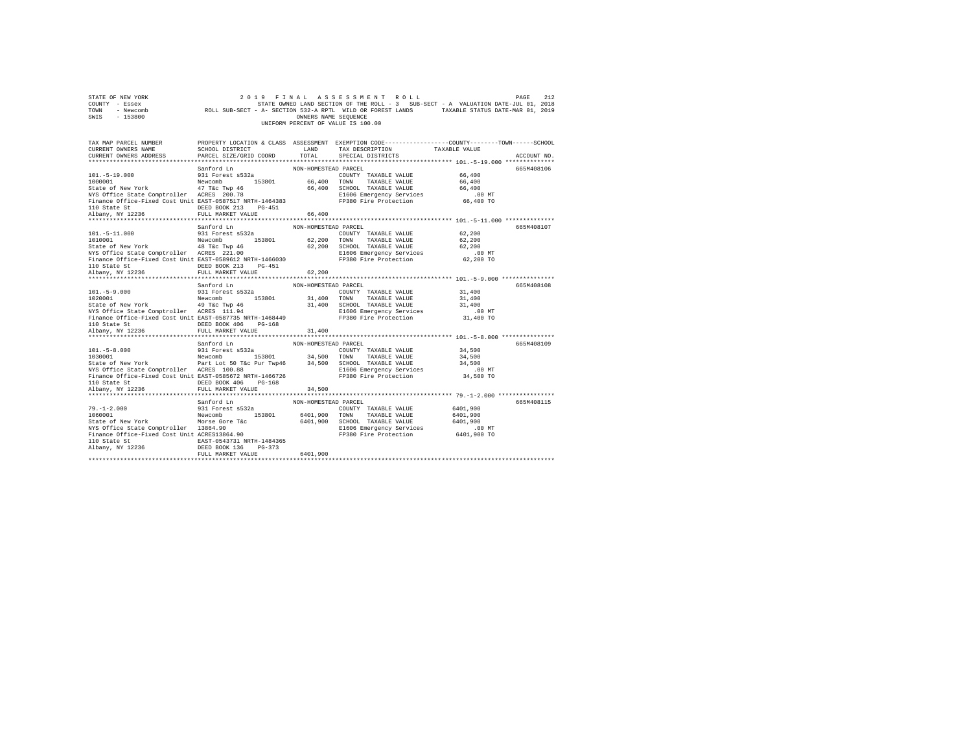| STATE OF NEW YORK<br>COUNTY - Essex<br>TOWN<br>- Newcomb<br>SWIS - 153800                                                                                                                               |                                                                                                                                                             | OWNERS NAME SEOUENCE                     | 2019 FINAL ASSESSMENT ROLL<br>STATE OWNED LAND SECTION OF THE ROLL - 3 SUB-SECT - A VALUATION DATE-JUL 01, 2018<br>ROLL SUB-SECT - A- SECTION 532-A RPTL WILD OR FOREST LANDS TAXABLE STATUS DATE-MAR 01, 2019<br>UNIFORM PERCENT OF VALUE IS 100.00 |                                                             | PAGE<br>212 |
|---------------------------------------------------------------------------------------------------------------------------------------------------------------------------------------------------------|-------------------------------------------------------------------------------------------------------------------------------------------------------------|------------------------------------------|------------------------------------------------------------------------------------------------------------------------------------------------------------------------------------------------------------------------------------------------------|-------------------------------------------------------------|-------------|
| TAX MAP PARCEL NUMBER<br>CURRENT OWNERS NAME<br>CURRENT OWNERS ADDRESS                                                                                                                                  | SCHOOL DISTRICT<br>PARCEL SIZE/GRID COORD                                                                                                                   | LAND<br>TOTAL                            | PROPERTY LOCATION & CLASS ASSESSMENT EXEMPTION CODE---------------COUNTY-------TOWN------SCHOOL<br>TAX DESCRIPTION<br>SPECIAL DISTRICTS                                                                                                              | TAXABLE VALUE                                               | ACCOUNT NO. |
| $101. - 5 - 19.000$<br>1000001<br>State of New York                                                                                                                                                     | Sanford Ln<br>931 Forest s532a<br>Newcomb 153801<br>47 T&c Twp 46                                                                                           | NON-HOMESTEAD PARCEL                     | COUNTY TAXABLE VALUE<br>66,400 TOWN TAXABLE VALUE<br>66,400 SCHOOL TAXABLE VALUE                                                                                                                                                                     | 66,400<br>66,400<br>66,400<br>$.00$ MT                      | 665M408106  |
| NYS Office State Comptroller ACRES 200.78<br>Finance Office-Fixed Cost Unit EAST-0587517 NRTH-1464383<br>110 State St<br>Albany, NY 12236                                                               | DEED BOOK 213 PG-451<br>FULL MARKET VALUE                                                                                                                   | 66,400                                   | E1606 Emergency Services<br>FP380 Fire Protection                                                                                                                                                                                                    | 66,400 TO                                                   |             |
| $101. - 5 - 11.000$<br>1010001<br>State of New York 48 T&C Twp 46<br>NYS Office State Comptroller ACRES 221.00<br>Finance Office-Fixed Cost Unit EAST-0589612 NRTH-1466030                              | Sanford Ln<br>931 Forest s532a<br>Newcomb 153801<br>DEED BOOK 213 PG-451                                                                                    | NON-HOMESTEAD PARCEL                     | COUNTY TAXABLE VALUE<br>62,200 TOWN TAXABLE VALUE<br>62,200 SCHOOL TAXABLE VALUE<br>E1606 Emergency Services<br>FP380 Fire Protection                                                                                                                | 62,200<br>62,200<br>62.200<br>$.00$ MT<br>62,200 TO         | 665M408107  |
| 110 State St<br>Albany, NY 12236<br>$101. - 5 - 9.000$<br>1020001                                                                                                                                       | FULL MARKET VALUE<br>Sanford Ln<br>931 Forest s532a<br>Newcomb 153801                                                                                       | 62,200<br>NON-HOMESTEAD PARCEL<br>31,400 | COUNTY TAXABLE VALUE<br>TOWN TAXABLE VALUE                                                                                                                                                                                                           | 31,400<br>31,400                                            | 665M408108  |
| State of New York 49 T&c Twp 46<br>NYS Office State Comptroller ACRES 111.94<br>Finance Office-Fixed Cost Unit EAST-0587735 NRTH-1468449<br>110 State St                                                | DEED BOOK 406 PG-168                                                                                                                                        |                                          | 31,400 SCHOOL TAXABLE VALUE<br>E1606 Emergency Services<br>FP380 Fire Protection                                                                                                                                                                     | 31,400<br>.00MT<br>31,400 TO                                |             |
| Albany, NY 12236<br>************************                                                                                                                                                            | FULL MARKET VALUE                                                                                                                                           | 31,400                                   |                                                                                                                                                                                                                                                      |                                                             |             |
| $101. - 5 - 8.000$<br>1030001<br>State of New York<br>NYS Office State Comptroller ACRES 100.88<br>Finance Office-Fixed Cost Unit EAST-0585672 NRTH-1466726<br>110 State St                             | Sanford Ln<br>931 Forest s532a<br>Newcomb 153801 34,500 TOWN TAXABLE VALUE<br>Part Lot 50 T&c Pur Twp46 34,500 SCHOOL TAXABLE VALUE<br>DEED BOOK 406 PG-168 | NON-HOMESTEAD PARCEL                     | COUNTY TAXABLE VALUE<br>E1606 Emergency Services<br>FP380 Fire Protection                                                                                                                                                                            | 34,500<br>34,500<br>34,500<br>$.00$ MT<br>34,500 TO         | 665M408109  |
| Albany, NY 12236                                                                                                                                                                                        | FULL MARKET VALUE                                                                                                                                           | 34,500                                   |                                                                                                                                                                                                                                                      |                                                             |             |
| *********************<br>$79. - 1 - 2.000$<br>1060001<br>State of New York<br>NYS Office State Comptroller 13864.90<br>Finance Office-Fixed Cost Unit ACRES13864.90<br>110 State St<br>Albany, NY 12236 | ***********************<br>Sanford Ln<br>931 Forest s532a<br>Newcomb 153801<br>Morse Gore T&c<br>EAST-0543731 NRTH-1484365<br>DEED BOOK 136 PG-373          | ************<br>NON-HOMESTEAD PARCEL     | COUNTY TAXABLE VALUE<br>6401,900 TOWN TAXABLE VALUE<br>6401.900 SCHOOL TAXABLE VALUE<br>E1606 Emergency Services<br>FP380 Fire Protection                                                                                                            | 6401,900<br>6401,900<br>6401,900<br>$.00$ MT<br>6401,900 TO | 665M408115  |
|                                                                                                                                                                                                         | FULL MARKET VALUE                                                                                                                                           | 6401,900                                 |                                                                                                                                                                                                                                                      |                                                             |             |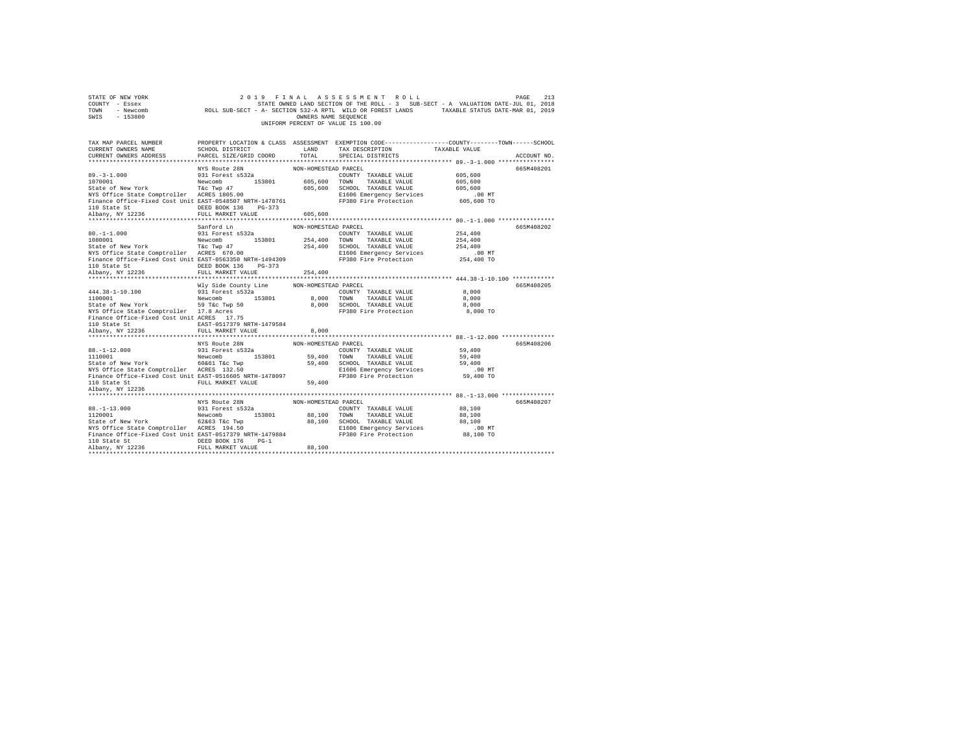| 2019 FINAL ASSESSMENT ROLL<br>213<br>STATE OF NEW YORK<br>PAGE<br>COUNTY - Essex<br>TOWN<br>- Newcomb<br>SWIS<br>$-153800$<br>UNIFORM PERCENT OF VALUE IS 100.00 |                                |                      |                                                                                                                   |                    |             |
|------------------------------------------------------------------------------------------------------------------------------------------------------------------|--------------------------------|----------------------|-------------------------------------------------------------------------------------------------------------------|--------------------|-------------|
| TAX MAP PARCEL NUMBER<br>CURRENT OWNERS NAME                                                                                                                     | SCHOOL DISTRICT                | LAND                 | PROPERTY LOCATION & CLASS ASSESSMENT EXEMPTION CODE---------------COUNTY-------TOWN-----SCHOOL<br>TAX DESCRIPTION | TAXABLE VALUE      |             |
| CURRENT OWNERS ADDRESS                                                                                                                                           | PARCEL SIZE/GRID COORD         | TOTAL                | SPECIAL DISTRICTS                                                                                                 |                    | ACCOUNT NO. |
|                                                                                                                                                                  | NYS Route 28N                  | NON-HOMESTEAD PARCEL |                                                                                                                   |                    | 665M408201  |
| $89. -3 - 1.000$                                                                                                                                                 | 931 Forest s532a               |                      | COUNTY TAXABLE VALUE                                                                                              | 605,600            |             |
| 1070001                                                                                                                                                          | Newcomb 153801                 | 605,600 TOWN         | TAXABLE VALUE                                                                                                     | 605,600            |             |
| State of New York                                                                                                                                                | T&C Twp 47                     | 605,600              | SCHOOL TAXABLE VALUE                                                                                              | 605,600            |             |
| NYS Office State Comptroller ACRES 1805.00                                                                                                                       |                                |                      | E1606 Emergency Services                                                                                          | .00 MT             |             |
| Finance Office-Fixed Cost Unit EAST-0548507 NRTH-1478761<br>110 State St                                                                                         | DEED BOOK 136 PG-373           |                      | FP380 Fire Protection                                                                                             | 605,600 TO         |             |
| Albany, NY 12236                                                                                                                                                 | FULL MARKET VALUE              | 605,600              |                                                                                                                   |                    |             |
|                                                                                                                                                                  |                                |                      |                                                                                                                   |                    |             |
| $80. -1 - 1.000$                                                                                                                                                 | Sanford Ln<br>931 Forest s532a | NON-HOMESTEAD PARCEL | COUNTY TAXABLE VALUE                                                                                              |                    | 665M408202  |
| 1080001                                                                                                                                                          | Newcomb 153801                 |                      | 254,400 TOWN TAXABLE VALUE                                                                                        | 254,400<br>254,400 |             |
|                                                                                                                                                                  |                                |                      | 254,400 SCHOOL TAXABLE VALUE                                                                                      | 254,400            |             |
| State of New York T&C Twp 47<br>NYS Office State Comptroller ACRES 670.00                                                                                        |                                |                      | E1606 Emergency Services                                                                                          | $.00$ MT           |             |
| Finance Office-Fixed Cost Unit EAST-0563350 NRTH-1494309                                                                                                         |                                |                      | FP380 Fire Protection                                                                                             | 254,400 TO         |             |
| 110 State St                                                                                                                                                     | DEED BOOK 136 PG-373           |                      |                                                                                                                   |                    |             |
| Albany, NY 12236                                                                                                                                                 | FULL MARKET VALUE              | 254,400              |                                                                                                                   |                    |             |
|                                                                                                                                                                  |                                |                      |                                                                                                                   |                    |             |
|                                                                                                                                                                  | Wly Side County Line           | NON-HOMESTEAD PARCEL |                                                                                                                   |                    | 665M408205  |
| 444.38-1-10.100                                                                                                                                                  | 931 Forest s532a               |                      | COUNTY TAXABLE VALUE                                                                                              | 8,000              |             |
| 1100001<br>State of New York 59 T&C Twp 50                                                                                                                       | Newcomb 153801                 |                      | 8,000 TOWN TAXABLE VALUE                                                                                          | 8,000              |             |
|                                                                                                                                                                  |                                |                      | 8,000 SCHOOL TAXABLE VALUE                                                                                        | 8,000              |             |
| NYS Office State Comptroller 17.8 Acres<br>Finance Office-Fixed Cost Unit ACRES 17.75                                                                            |                                |                      | FP380 Fire Protection                                                                                             | 8,000 TO           |             |
| 110 State St                                                                                                                                                     | EAST-0517379 NRTH-1479584      |                      |                                                                                                                   |                    |             |
| Albany, NY 12236                                                                                                                                                 | FULL MARKET VALUE              | 8,000                |                                                                                                                   |                    |             |
|                                                                                                                                                                  |                                |                      |                                                                                                                   |                    |             |
|                                                                                                                                                                  | NYS Route 28N                  | NON-HOMESTEAD PARCEL |                                                                                                                   |                    | 665M408206  |
|                                                                                                                                                                  |                                |                      | COUNTY TAXABLE VALUE                                                                                              | 59,400             |             |
|                                                                                                                                                                  | Newcomb 153801                 | 59,400 TOWN          | TAXABLE VALUE                                                                                                     | 59,400             |             |
|                                                                                                                                                                  |                                |                      | 59,400 SCHOOL TAXABLE VALUE                                                                                       | 59,400             |             |
| NYS Office State Comptroller ACRES 132.50                                                                                                                        |                                |                      | E1606 Emergency Services<br>FP380 Fire Protection                                                                 | .00 MT             |             |
| Finance Office-Fixed Cost Unit EAST-0516605 NRTH-1478097                                                                                                         |                                |                      |                                                                                                                   | 59,400 TO          |             |
| 110 State St                                                                                                                                                     | FULL MARKET VALUE              | 59,400               |                                                                                                                   |                    |             |
| Albany, NY 12236                                                                                                                                                 |                                |                      |                                                                                                                   |                    |             |
|                                                                                                                                                                  | NYS Route 28N                  | NON-HOMESTEAD PARCEL |                                                                                                                   |                    | 665M408207  |
| $88. - 1 - 13.000$                                                                                                                                               | 931 Forest s532a               |                      | COUNTY TAXABLE VALUE                                                                                              | 88,100             |             |
|                                                                                                                                                                  | Newcomb 153801                 | 88,100 TOWN          | TAXABLE VALUE                                                                                                     | 88,100             |             |
| 88.-1-13.000 931 Forest s532a<br>1120001 988 Newcomb 16206<br>State of New York 62663 T&c Twp<br>NYS Office State Comptroller ACRES 194.50                       |                                |                      | 88,100 SCHOOL TAXABLE VALUE                                                                                       | 88,100             |             |
|                                                                                                                                                                  |                                |                      | E1606 Emergency Services                                                                                          | $.00$ MT           |             |
| Finance Office-Fixed Cost Unit EAST-0517379 NRTH-1479884                                                                                                         |                                |                      | FP380 Fire Protection                                                                                             | 88,100 TO          |             |
| 110 State St                                                                                                                                                     | DEED BOOK 176 PG-1             |                      |                                                                                                                   |                    |             |
| Albany, NY 12236                                                                                                                                                 | FULL MARKET VALUE              | 88,100               |                                                                                                                   |                    |             |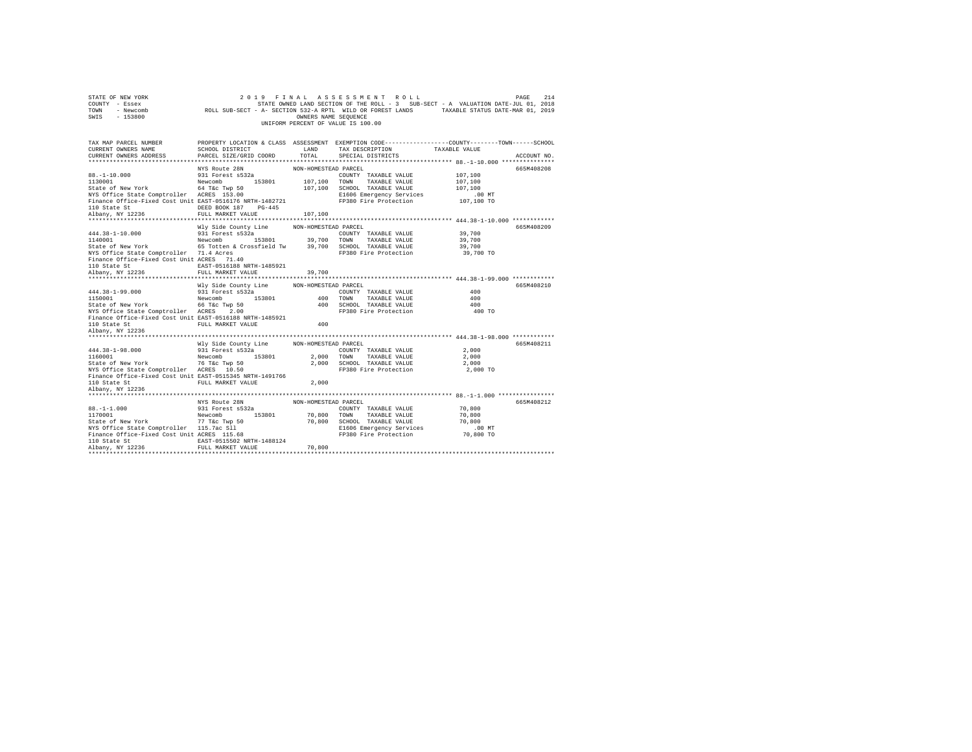| 2019 FINAL ASSESSMENT ROLL<br>214<br>STATE OF NEW YORK<br>PAGE<br>STATE OWNED LAND SECTION OF THE ROLL - 3 SUB-SECT - A VALUATION DATE-JUL 01, 2018<br>COUNTY - Essex<br>ROLL SUB-SECT - A- SECTION 532-A RPTL WILD OR FOREST LANDS TAXABLE STATUS DATE-MAR 01, 2019<br>TOWN<br>- Newcomb<br>$-153800$<br>OWNERS NAME SEQUENCE<br>SWIS<br>UNIFORM PERCENT OF VALUE IS 100.00 |                                                       |                      |                                                                                                                   |               |             |
|------------------------------------------------------------------------------------------------------------------------------------------------------------------------------------------------------------------------------------------------------------------------------------------------------------------------------------------------------------------------------|-------------------------------------------------------|----------------------|-------------------------------------------------------------------------------------------------------------------|---------------|-------------|
| TAX MAP PARCEL NUMBER<br>CURRENT OWNERS NAME                                                                                                                                                                                                                                                                                                                                 | SCHOOL DISTRICT                                       | LAND                 | PROPERTY LOCATION & CLASS ASSESSMENT EXEMPTION CODE---------------COUNTY-------TOWN-----SCHOOL<br>TAX DESCRIPTION | TAXABLE VALUE |             |
| CURRENT OWNERS ADDRESS                                                                                                                                                                                                                                                                                                                                                       | PARCEL SIZE/GRID COORD                                | TOTAL                | SPECIAL DISTRICTS                                                                                                 |               | ACCOUNT NO. |
|                                                                                                                                                                                                                                                                                                                                                                              | NYS Route 28N                                         |                      |                                                                                                                   |               | 665M408208  |
| $88. - 1 - 10.000$                                                                                                                                                                                                                                                                                                                                                           | 931 Forest s532a                                      | NON-HOMESTEAD PARCEL | COUNTY TAXABLE VALUE                                                                                              | 107,100       |             |
| 1130001                                                                                                                                                                                                                                                                                                                                                                      | Newcomb 153801                                        | 107,100 TOWN         | TAXABLE VALUE                                                                                                     | 107,100       |             |
| State of New York                                                                                                                                                                                                                                                                                                                                                            | 64 T&c Twp 50                                         |                      | 107,100 SCHOOL TAXABLE VALUE                                                                                      | 107,100       |             |
| NYS Office State Comptroller ACRES 153.00                                                                                                                                                                                                                                                                                                                                    |                                                       |                      | E1606 Emergency Services                                                                                          | $.00$ MT      |             |
| Finance Office-Fixed Cost Unit EAST-0516176 NRTH-1482721                                                                                                                                                                                                                                                                                                                     |                                                       |                      | FP380 Fire Protection                                                                                             | 107,100 TO    |             |
| 110 State St                                                                                                                                                                                                                                                                                                                                                                 | DEED BOOK 187 PG-445                                  |                      |                                                                                                                   |               |             |
| Albany, NY 12236                                                                                                                                                                                                                                                                                                                                                             | FULL MARKET VALUE                                     | 107,100              |                                                                                                                   |               |             |
|                                                                                                                                                                                                                                                                                                                                                                              |                                                       |                      |                                                                                                                   |               |             |
|                                                                                                                                                                                                                                                                                                                                                                              | Wly Side County Line                                  | NON-HOMESTEAD PARCEL |                                                                                                                   |               | 665M408209  |
| $444.38 - 1 - 10.000$                                                                                                                                                                                                                                                                                                                                                        | 931 Forest s532a                                      |                      | COUNTY TAXABLE VALUE                                                                                              | 39,700        |             |
| 1140001                                                                                                                                                                                                                                                                                                                                                                      | Newcomb 153801                                        | 39,700 TOWN          | TAXABLE VALUE                                                                                                     | 39,700        |             |
| State of New York                                                                                                                                                                                                                                                                                                                                                            | 65 Totten & Crossfield Tw 39,700 SCHOOL TAXABLE VALUE |                      |                                                                                                                   | 39,700        |             |
| NYS Office State Comptroller 71.4 Acres                                                                                                                                                                                                                                                                                                                                      |                                                       |                      | FP380 Fire Protection                                                                                             | 39,700 TO     |             |
| Finance Office-Fixed Cost Unit ACRES 71.40                                                                                                                                                                                                                                                                                                                                   |                                                       |                      |                                                                                                                   |               |             |
| 110 State St                                                                                                                                                                                                                                                                                                                                                                 | EAST-0516188 NRTH-1485921                             |                      |                                                                                                                   |               |             |
| Albany, NY 12236                                                                                                                                                                                                                                                                                                                                                             | FULL MARKET VALUE                                     | 39,700               |                                                                                                                   |               |             |
|                                                                                                                                                                                                                                                                                                                                                                              |                                                       |                      |                                                                                                                   |               |             |
|                                                                                                                                                                                                                                                                                                                                                                              | Wly Side County Line                                  | NON-HOMESTEAD PARCEL |                                                                                                                   |               | 665M408210  |
| 444.38-1-99.000                                                                                                                                                                                                                                                                                                                                                              | 931 Forest s532a                                      |                      | COUNTY TAXABLE VALUE                                                                                              | 400           |             |
| 1150001                                                                                                                                                                                                                                                                                                                                                                      | Newcomb 153801                                        | 400                  | TOWN<br>TAXABLE VALUE                                                                                             | 400           |             |
| State of New York                                                                                                                                                                                                                                                                                                                                                            | 66 T&c Twp 50                                         |                      | 400 SCHOOL TAXABLE VALUE                                                                                          | 400           |             |
| NYS Office State Comptroller ACRES 2.00                                                                                                                                                                                                                                                                                                                                      |                                                       |                      | FP380 Fire Protection                                                                                             | 400 TO        |             |
| Finance Office-Fixed Cost Unit EAST-0516188 NRTH-1485921                                                                                                                                                                                                                                                                                                                     |                                                       |                      |                                                                                                                   |               |             |
| 110 State St                                                                                                                                                                                                                                                                                                                                                                 | FULL MARKET VALUE                                     | 400                  |                                                                                                                   |               |             |
| Albany, NY 12236<br>***********************                                                                                                                                                                                                                                                                                                                                  |                                                       |                      |                                                                                                                   |               |             |
|                                                                                                                                                                                                                                                                                                                                                                              |                                                       |                      |                                                                                                                   |               |             |
| 444.38-1-98.000                                                                                                                                                                                                                                                                                                                                                              | Wly Side County Line<br>931 Forest s532a              | NON-HOMESTEAD PARCEL |                                                                                                                   | 2,000         | 665M408211  |
| 1160001                                                                                                                                                                                                                                                                                                                                                                      | Newcomb 153801                                        | 2.000 TOWN           | COUNTY TAXABLE VALUE<br>TAXABLE VALUE                                                                             | 2,000         |             |
| State of New York                                                                                                                                                                                                                                                                                                                                                            | 76 T&c Twp 50                                         |                      | 2,000 SCHOOL TAXABLE VALUE                                                                                        | 2,000         |             |
| NYS Office State Comptroller ACRES 10.50                                                                                                                                                                                                                                                                                                                                     |                                                       |                      | FP380 Fire Protection                                                                                             | 2,000 TO      |             |
| Finance Office-Fixed Cost Unit EAST-0515345 NRTH-1491766                                                                                                                                                                                                                                                                                                                     |                                                       |                      |                                                                                                                   |               |             |
| 110 State St                                                                                                                                                                                                                                                                                                                                                                 | FULL MARKET VALUE                                     | 2,000                |                                                                                                                   |               |             |
| Albany, NY 12236                                                                                                                                                                                                                                                                                                                                                             |                                                       |                      |                                                                                                                   |               |             |
|                                                                                                                                                                                                                                                                                                                                                                              |                                                       |                      |                                                                                                                   |               |             |
|                                                                                                                                                                                                                                                                                                                                                                              | NYS Route 28N                                         | NON-HOMESTEAD PARCEL |                                                                                                                   |               | 665M408212  |
| $88. - 1 - 1.000$                                                                                                                                                                                                                                                                                                                                                            | 931 Forest s532a                                      |                      | COUNTY TAXABLE VALUE                                                                                              | 70,800        |             |
| 1170001                                                                                                                                                                                                                                                                                                                                                                      | Newcomb<br>153801                                     | 70,800               | TOWN<br>TAXABLE VALUE                                                                                             | 70,800        |             |
| State of New York                                                                                                                                                                                                                                                                                                                                                            | 77 T&c Twp 50                                         |                      | 70,800 SCHOOL TAXABLE VALUE                                                                                       | 70,800        |             |
| NYS Office State Comptroller 115.7ac Sll                                                                                                                                                                                                                                                                                                                                     |                                                       |                      | E1606 Emergency Services                                                                                          | .00MT         |             |
| Finance Office-Fixed Cost Unit ACRES 115.68                                                                                                                                                                                                                                                                                                                                  |                                                       |                      | FP380 Fire Protection                                                                                             | 70,800 TO     |             |
| 110 State St                                                                                                                                                                                                                                                                                                                                                                 | EAST-0515502 NRTH-1488124                             |                      |                                                                                                                   |               |             |
| Albany, NY 12236                                                                                                                                                                                                                                                                                                                                                             | FULL MARKET VALUE                                     | 70,800               |                                                                                                                   |               |             |
|                                                                                                                                                                                                                                                                                                                                                                              |                                                       |                      |                                                                                                                   |               |             |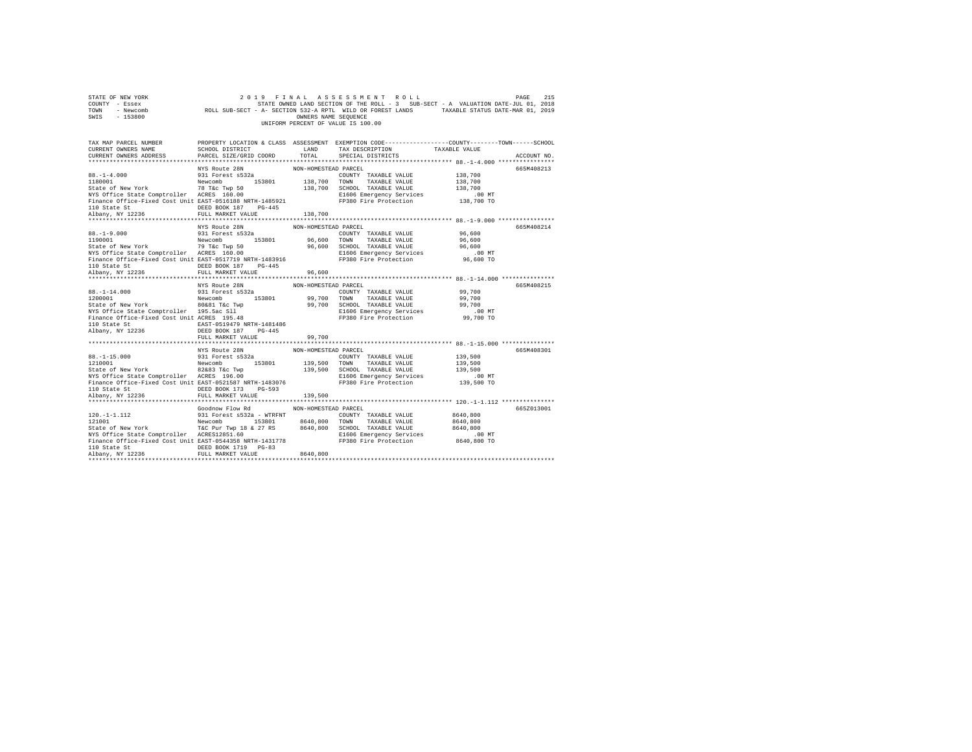| 2019 FINAL ASSESSMENT ROLL<br>215<br>STATE OF NEW YORK<br>PAGE<br>215 ב-1948 ב-1948 ב-1948 ב-2015 ה-1948 ב-2018 ב-2018 ב-2018 ב-2018 ב-2018 ב-2018<br>STATE SOMED LAND SECTION OF THE ROLL -3 SUB-SECT - A VALUATION DATE<br>ROLL SUB-SECT - A- SECTION 532-A RPTL WILD OR FOREST LANDS TAXABLE STATU<br>COUNTY - Essex<br>TOWN - Newcomb<br>SWIS - 153800<br>OWNERS NAME SEQUENCE<br>UNIFORM PERCENT OF VALUE IS 100.00 |                                                                                                                                                                                              |                                 |                                                                                                                                         |                                                           |             |
|--------------------------------------------------------------------------------------------------------------------------------------------------------------------------------------------------------------------------------------------------------------------------------------------------------------------------------------------------------------------------------------------------------------------------|----------------------------------------------------------------------------------------------------------------------------------------------------------------------------------------------|---------------------------------|-----------------------------------------------------------------------------------------------------------------------------------------|-----------------------------------------------------------|-------------|
| TAX MAP PARCEL NUMBER<br>CURRENT OWNERS NAME<br>CURRENT OWNERS ADDRESS                                                                                                                                                                                                                                                                                                                                                   | SCHOOL DISTRICT<br>PARCEL SIZE/GRID COORD                                                                                                                                                    | LAND<br>TOTAL                   | PROPERTY LOCATION & CLASS ASSESSMENT EXEMPTION CODE---------------COUNTY-------TOWN------SCHOOL<br>TAX DESCRIPTION<br>SPECIAL DISTRICTS | TAXABLE VALUE                                             | ACCOUNT NO. |
| $88. - 1 - 4.000$<br>1180001<br>Finance Office-Fixed Cost Unit EAST-0516188 NRTH-1485921<br>110 State St<br>Albany, NY 12236                                                                                                                                                                                                                                                                                             | NYS Route 28N<br>931 Forest s532a<br>DEED BOOK 187 PG-445<br>FULL MARKET VALUE                                                                                                               | NON-HOMESTEAD PARCEL<br>138,700 | COUNTY TAXABLE VALUE<br>138,700 SCHOOL TAXABLE VALUE<br>E1606 Emergency Services<br>FP380 Fire Protection                               | 138,700<br>138,700<br>138,700<br>.00 MT<br>138,700 TO     | 665M408213  |
| $88. - 1 - 9.000$<br>1190001<br>State of New York<br>The Twp 50<br>NYS Office State Comptroller<br>ACRES 160.00<br>Finance Office-Fixed Cost Unit EAST-0517719 NRTH-1483916<br>110 State St<br>Albany, NY 12236                                                                                                                                                                                                          | NYS Route 28N<br>931 Forest s532a<br>Newcomb 153801<br>DEED BOOK 187 PG-445<br>FULL MARKET VALUE                                                                                             | NON-HOMESTEAD PARCEL<br>96,600  | COUNTY TAXABLE VALUE<br>96.600 TOWN TAXABLE VALUE<br>96,600 SCHOOL TAXABLE VALUE<br>E1606 Emergency Services<br>FP380 Fire Protection   | 96,600<br>96,600<br>96,600<br>$.00$ MT<br>96,600 TO       | 665M408214  |
| $88. - 1 - 14.000$<br>1200001<br>State of New York<br>NYS Office State Comptroller 195.5ac S11<br>Finance Office-Fixed Cost Unit ACRES 195.48<br>110 State St 648T-0519479 NRTH-1481486<br>Albany, NY 12236                                                                                                                                                                                                              | NYS Route 28N<br>931 Forest s532a<br>Newcomb 153801<br>DEED BOOK 187 PG-445<br>FULL MARKET VALUE                                                                                             | NON-HOMESTEAD PARCEL<br>99,700  | COUNTY TAXABLE VALUE<br>99,700 TOWN TAXABLE VALUE<br>99,700 SCHOOL TAXABLE VALUE<br>E1606 Emergency Services<br>FP380 Fire Protection   | 99,700<br>99,700<br>99,700<br>.00 MT<br>99,700 TO         | 665M408215  |
| $88. -1 - 15.000$<br>1210001<br>State of New York 82&83 T&C Twp<br>NYS Office State Comptroller ACRES 196.00<br>Finance Office-Fixed Cost Unit EAST-0521587 NRTH-1483076<br>110 State St                                                                                                                                                                                                                                 | NYS Route 28N<br>931 Forest s532a<br>Newcomb 153801<br>DEED BOOK 173 PG-593                                                                                                                  | NON-HOMESTEAD PARCEL            | COUNTY TAXABLE VALUE<br>139,500 TOWN TAXABLE VALUE<br>139,500 SCHOOL TAXABLE VALUE<br>E1606 Emergency Services<br>FP380 Fire Protection | 139,500<br>139,500<br>139,500<br>00 MT.<br>139,500 TO     | 665M408301  |
| Albany, NY 12236<br>$120. -1 - 1.112$<br>$121001$<br>State of New York<br>T&C Pur Twp 18 & 27 RS 8640,800 SCHOOL TAXABLE VALUE<br>NYS Office Character Armstroller acresizes and RISS Residence Services<br>NYS Office State Comptroller ACRES12851.60<br>Finance Office-Fixed Cost Unit EAST-0544358 NRTH-1431778<br>110 State St CDEED BOOK 1719 PG-83<br>Albany, NY 12236                                             | FULL MARKET VALUE<br>Goodnow Flow Rd MON-HOMESTEAD PARCEL<br>931 Forest s532a - WTRFNT               COUNTY TAXABLE VALUE<br>Newcomb 153801 8640,800 TOWN TAXABLE VALUE<br>FULL MARKET VALUE | 139,500<br>8640,800             | E1606 Emergency Services<br>FP380 Fire Protection                                                                                       | 8640,800<br>8640,800<br>8640.800<br>.00 MT<br>8640,800 TO | 6652013001  |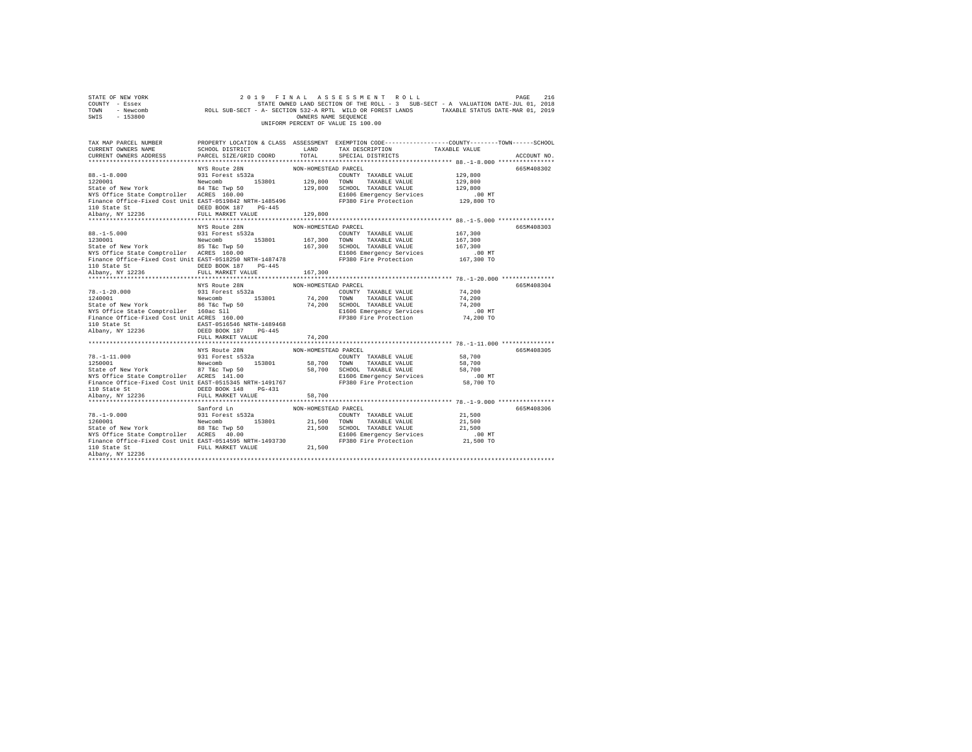| STATE OF NEW YORK<br>COUNTY - Essex<br>TOWN - Newcomb<br>SWIS - 153800                                                                                                                                                                                                                                                                                                                                                                                                                                                                                                                                     |                                                                   | OWNERS NAME SEOUENCE | 2019 FINAL ASSESSMENT ROLL<br>216 PAGE 216 PINAL ASSESSMENT ROLL<br>STATE OWNED LAND SECTION OF THE ROLL - 3 SUB-SECT - A VALUATION DATE-JUL 01, 2018<br>ROLL SUB-SECT - A- SECTION 532-A RPTL WILD OR FOREST LANDS TAXABLE STATUS DATE-MAR 01, 2019<br>UNIFORM PERCENT OF VALUE IS 100.00 |                                                     | PAGE<br>216 |
|------------------------------------------------------------------------------------------------------------------------------------------------------------------------------------------------------------------------------------------------------------------------------------------------------------------------------------------------------------------------------------------------------------------------------------------------------------------------------------------------------------------------------------------------------------------------------------------------------------|-------------------------------------------------------------------|----------------------|--------------------------------------------------------------------------------------------------------------------------------------------------------------------------------------------------------------------------------------------------------------------------------------------|-----------------------------------------------------|-------------|
| TAX MAP PARCEL NUMBER PROPERTY LOCATION & CLASS ASSESSMENT EXEMPTION CODE--------------COUNTY-------TOWN------SCHOOL<br>CURRENT OWNERS NAME<br>CURRENT OWNERS ADDRESS                                                                                                                                                                                                                                                                                                                                                                                                                                      | SCHOOL DISTRICT<br>LAND TAX DESCRIPTION<br>PARCEL SIZE/GRID COORD | TOTAL                | SPECIAL DISTRICTS                                                                                                                                                                                                                                                                          | TAXABLE VALUE                                       | ACCOUNT NO. |
|                                                                                                                                                                                                                                                                                                                                                                                                                                                                                                                                                                                                            | NYS Route 28N                                                     | NON-HOMESTEAD PARCEL |                                                                                                                                                                                                                                                                                            |                                                     | 665M408302  |
|                                                                                                                                                                                                                                                                                                                                                                                                                                                                                                                                                                                                            |                                                                   |                      |                                                                                                                                                                                                                                                                                            |                                                     |             |
|                                                                                                                                                                                                                                                                                                                                                                                                                                                                                                                                                                                                            |                                                                   |                      |                                                                                                                                                                                                                                                                                            | 167,300<br>.00 MT<br>167,300 TO                     | 665M408303  |
|                                                                                                                                                                                                                                                                                                                                                                                                                                                                                                                                                                                                            |                                                                   |                      |                                                                                                                                                                                                                                                                                            |                                                     |             |
|                                                                                                                                                                                                                                                                                                                                                                                                                                                                                                                                                                                                            |                                                                   |                      |                                                                                                                                                                                                                                                                                            |                                                     |             |
| $\begin{array}{cccc} 78. -1-20.000 & 931\;{\rm Forest~ss12a} & 74.200\;{\rm TeV} {\rm C} \end{array} \qquad \begin{array}{cccc} 74. & 200\;{\rm GeV} {\rm F} {\rm C} \end{array} \qquad \begin{array}{cccc} 74. & 200\;{\rm GeV} {\rm F} {\rm C} \end{array} \qquad \begin{array}{cccc} 74. & 200\;{\rm GeV} {\rm F} {\rm C} \end{array} \qquad \begin{array}{cccc} 74. & 200\;{\rm GeV} {\rm F} {\rm C} \end{array} \q$<br>110 State St $\begin{tabular}{l} \texttt{BAST-0516546 NRTH-1489468} \\ \texttt{Albany, NY 12236} \\ \texttt{DESD BOK 187} \\ \texttt{DEST-0516546 NRTH-1489468} \end{tabular}$ | NYS Route 28N<br>931 Forest s532a                                 | NON-HOMESTEAD PARCEL |                                                                                                                                                                                                                                                                                            | 74,200 TO                                           | 665M408304  |
|                                                                                                                                                                                                                                                                                                                                                                                                                                                                                                                                                                                                            | FULL MARKET VALUE                                                 | 74,200               |                                                                                                                                                                                                                                                                                            |                                                     |             |
| $78. -1 - 11.000$<br>NYS Office State Comptroller ACRES 141.00<br>Finance Office-Fixed Cost Unit EAST-0515345 NRTH-1491767<br>110 State St CONTROLL DEED BOOK 148 PG-431                                                                                                                                                                                                                                                                                                                                                                                                                                   | NYS Route 28N                                                     | NON-HOMESTEAD PARCEL | COUNTY TAXABLE VALUE 58,700<br>FP380 Fire Protection                                                                                                                                                                                                                                       | 58,700<br>58,700<br>00 MT.<br>58,700 TO             | 665M408305  |
| Albany, NY 12236 FULL MARKET VALUE                                                                                                                                                                                                                                                                                                                                                                                                                                                                                                                                                                         |                                                                   | 58,700               |                                                                                                                                                                                                                                                                                            |                                                     |             |
| NYS Office State Comptroller ACRES 40.00<br>FISO6 Emergency Services<br>Finance Office-Fixed Cost Unit EAST-0514595 NRTH-1493730<br>110 State St<br>110 State St                                                                                                                                                                                                                                                                                                                                                                                                                                           | Sanford Ln                                                        | NON-HOMESTEAD PARCEL |                                                                                                                                                                                                                                                                                            | 21,500<br>21,500<br>21,500<br>$.00$ MT<br>21,500 TO | 665M408306  |
| Albany, NY 12236                                                                                                                                                                                                                                                                                                                                                                                                                                                                                                                                                                                           |                                                                   |                      |                                                                                                                                                                                                                                                                                            |                                                     |             |
|                                                                                                                                                                                                                                                                                                                                                                                                                                                                                                                                                                                                            |                                                                   |                      |                                                                                                                                                                                                                                                                                            |                                                     |             |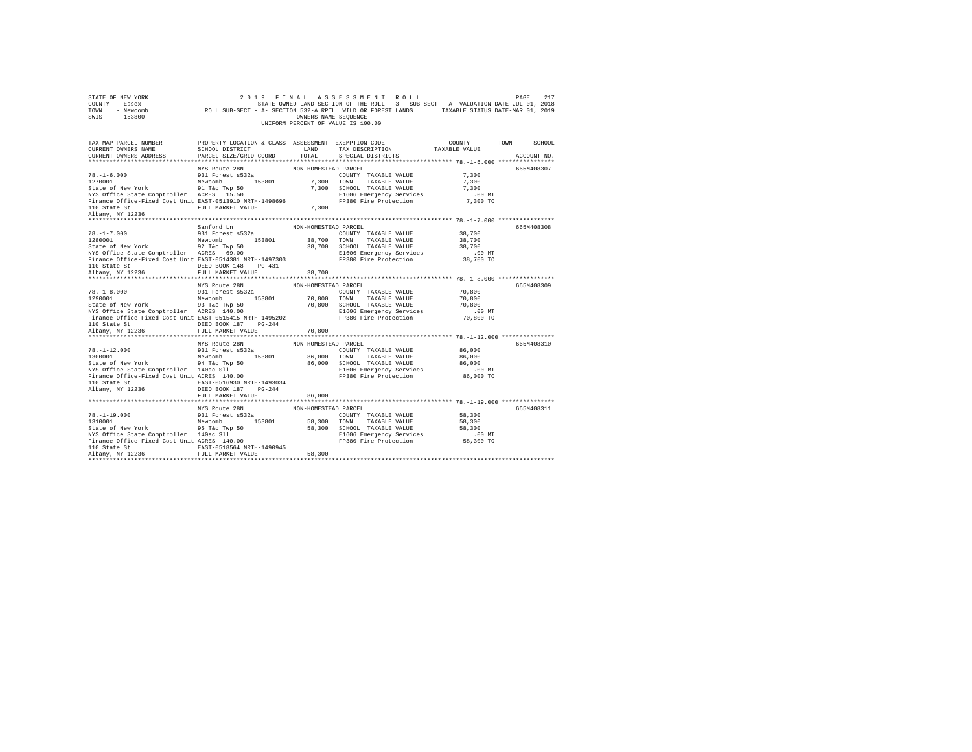| STATE OF NEW YORK<br>COUNTY - Essex<br>TOWN<br>- Newcomb<br>SWIS<br>$-153800$                        | 2019<br>FINAL                                               | OWNERS NAME SEQUENCE | ASSESSMENT<br>ROLL<br>UNIFORM PERCENT OF VALUE IS 100.00 | PAGE<br>STATE OWNED LAND SECTION OF THE ROLL - 3 SUB-SECT - A VALUATION DATE-JUL 01, 2018<br>ROLL SUB-SECT - A- SECTION 532-A RPTL WILD OR FOREST LANDS TAXABLE STATUS DATE-MAR 01, 2019 | 217         |
|------------------------------------------------------------------------------------------------------|-------------------------------------------------------------|----------------------|----------------------------------------------------------|------------------------------------------------------------------------------------------------------------------------------------------------------------------------------------------|-------------|
| TAX MAP PARCEL NUMBER<br>CURRENT OWNERS NAME<br>CURRENT OWNERS ADDRESS                               | SCHOOL DISTRICT<br>PARCEL SIZE/GRID COORD                   | LAND<br>TOTAL        | TAX DESCRIPTION<br>SPECIAL DISTRICTS                     | PROPERTY LOCATION & CLASS ASSESSMENT EXEMPTION CODE---------------COUNTY-------TOWN-----SCHOOL<br>TAXABLE VALUE                                                                          | ACCOUNT NO. |
|                                                                                                      | NYS Route 28N                                               | NON-HOMESTEAD PARCEL |                                                          |                                                                                                                                                                                          | 665M408307  |
| $78. - 1 - 6.000$                                                                                    | 931 Forest s532a                                            |                      | COUNTY TAXABLE VALUE                                     | 7,300                                                                                                                                                                                    |             |
| 1270001                                                                                              | 153801<br>Newcomb                                           | 7.300                | TOWN<br>TAXABLE VALUE                                    | 7,300                                                                                                                                                                                    |             |
| State of New York                                                                                    | 91 T&c Twp 50                                               | 7,300                | SCHOOL TAXABLE VALUE                                     | 7.300                                                                                                                                                                                    |             |
| NYS Office State Comptroller ACRES 15.50<br>Finance Office-Fixed Cost Unit EAST-0513910 NRTH-1498696 |                                                             |                      | E1606 Emergency Services<br>FP380 Fire Protection        | $.00$ MT<br>7,300 TO                                                                                                                                                                     |             |
| 110 State St                                                                                         | FULL MARKET VALUE                                           | 7,300                |                                                          |                                                                                                                                                                                          |             |
| Albany, NY 12236                                                                                     |                                                             |                      |                                                          |                                                                                                                                                                                          |             |
|                                                                                                      |                                                             |                      |                                                          |                                                                                                                                                                                          |             |
|                                                                                                      | Sanford Ln                                                  | NON-HOMESTEAD PARCEL |                                                          |                                                                                                                                                                                          | 665M408308  |
| $78. - 1 - 7.000$                                                                                    | 931 Forest s532a                                            |                      | COUNTY TAXABLE VALUE                                     | 38,700                                                                                                                                                                                   |             |
| 1280001                                                                                              | Newcomb<br>153801                                           | 38,700               | TOWN<br>TAXABLE VALUE                                    | 38,700                                                                                                                                                                                   |             |
| State of New York                                                                                    | 92 T&c Twp 50                                               |                      | 38,700 SCHOOL TAXABLE VALUE                              | 38,700                                                                                                                                                                                   |             |
| NYS Office State Comptroller ACRES 69.00<br>Finance Office-Fixed Cost Unit EAST-0514381 NRTH-1497303 |                                                             |                      | E1606 Emergency Services<br>FP380 Fire Protection        | .00 MT<br>38,700 TO                                                                                                                                                                      |             |
| 110 State St                                                                                         | DEED BOOK 148<br>$PG-431$                                   |                      |                                                          |                                                                                                                                                                                          |             |
| Albany, NY 12236                                                                                     | FULL MARKET VALUE                                           | 38,700               |                                                          |                                                                                                                                                                                          |             |
|                                                                                                      |                                                             |                      |                                                          |                                                                                                                                                                                          |             |
|                                                                                                      |                                                             |                      |                                                          |                                                                                                                                                                                          |             |
|                                                                                                      | NYS Route 28N                                               | NON-HOMESTEAD PARCEL |                                                          |                                                                                                                                                                                          | 665M408309  |
| $78. - 1 - 8.000$                                                                                    | 931 Forest s532a                                            |                      | COUNTY TAXABLE VALUE                                     | 70,800                                                                                                                                                                                   |             |
| 1290001                                                                                              | Newcomb<br>153801                                           | 70,800               | TAXABLE VALUE<br>TOWN                                    | 70,800                                                                                                                                                                                   |             |
| State of New York                                                                                    | 93 T&c Twp 50                                               | 70,800               | SCHOOL TAXABLE VALUE                                     | 70,800                                                                                                                                                                                   |             |
| NYS Office State Comptroller ACRES 140.00                                                            |                                                             |                      | E1606 Emergency Services                                 | .00MT                                                                                                                                                                                    |             |
| Finance Office-Fixed Cost Unit EAST-0515415 NRTH-1495202                                             |                                                             |                      | FP380 Fire Protection                                    | 70,800 TO                                                                                                                                                                                |             |
| 110 State St                                                                                         | DEED BOOK 187<br>$PG-244$<br>FULL MARKET VALUE              | 70,800               |                                                          |                                                                                                                                                                                          |             |
| Albany, NY 12236<br>**********************                                                           |                                                             | .                    |                                                          | ************** 78.-1-12.000 ***************                                                                                                                                              |             |
|                                                                                                      | NYS Route 28N                                               | NON-HOMESTEAD PARCEL |                                                          |                                                                                                                                                                                          | 665M408310  |
| $78. - 1 - 12.000$                                                                                   | 931 Forest s532a                                            |                      | COUNTY TAXABLE VALUE                                     | 86,000                                                                                                                                                                                   |             |
| 1300001                                                                                              | Newcomb<br>153801                                           | 86,000               | TOWN<br>TAXABLE VALUE                                    | 86,000                                                                                                                                                                                   |             |
| State of New York                                                                                    |                                                             | 86,000               | SCHOOL TAXABLE VALUE                                     | 86,000                                                                                                                                                                                   |             |
| NYS Office State Comptroller 140ac Sll                                                               |                                                             |                      | E1606 Emergency Services                                 | $.00$ MT                                                                                                                                                                                 |             |
| Finance Office-Fixed Cost Unit ACRES 140.00                                                          | Newcomment<br>94 Take Twp 50<br>140ac S11<br>∴ ACDEC 140 00 |                      | FP380 Fire Protection                                    | 86,000 TO                                                                                                                                                                                |             |
| 110 State St                                                                                         | EAST-0516930 NRTH-1493034                                   |                      |                                                          |                                                                                                                                                                                          |             |
| Albany, NY 12236                                                                                     | DEED BOOK 187 PG-244<br>FULL MARKET VALUE                   | 86,000               |                                                          |                                                                                                                                                                                          |             |
|                                                                                                      |                                                             |                      |                                                          |                                                                                                                                                                                          |             |
|                                                                                                      | NYS Route 28N                                               | NON-HOMESTEAD PARCEL |                                                          |                                                                                                                                                                                          | 665M408311  |
| $78. - 1 - 19.000$                                                                                   | 931 Forest s532a                                            |                      | COUNTY TAXABLE VALUE                                     | 58,300                                                                                                                                                                                   |             |
| 1310001                                                                                              | 153801<br>Newcomb                                           | 58,300 TOWN          | TAXABLE VALUE                                            | 58,300                                                                                                                                                                                   |             |
| State of New York 55 76c Twp 50                                                                      |                                                             |                      | 58,300 SCHOOL TAXABLE VALUE                              | 58,300                                                                                                                                                                                   |             |
| NYS Office State Comptroller 140ac Sll                                                               |                                                             |                      | E1606 Emergency Services                                 | .00 MT                                                                                                                                                                                   |             |
| Finance Office-Fixed Cost Unit ACRES 140.00                                                          |                                                             |                      | FP380 Fire Protection                                    | 58,300 TO                                                                                                                                                                                |             |
| 110 State St<br>Albany, NY 12236                                                                     | EAST-0518564 NRTH-1490945<br>FULL MARKET VALUE              | 58,300               |                                                          |                                                                                                                                                                                          |             |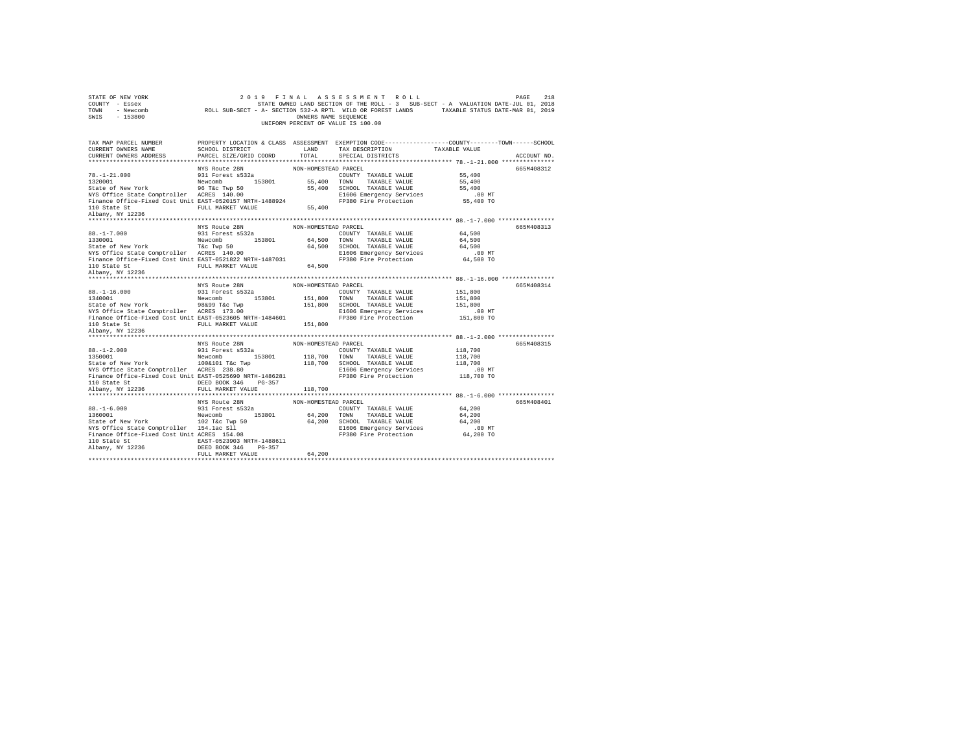| STATE OF NEW YORK                                                         | 2019                                          | FINAL                | ASSESSMENT ROLL                                                                                |                                                | PAGE<br>218 |
|---------------------------------------------------------------------------|-----------------------------------------------|----------------------|------------------------------------------------------------------------------------------------|------------------------------------------------|-------------|
| COUNTY - Essex                                                            |                                               |                      | STATE OWNED LAND SECTION OF THE ROLL - 3 SUB-SECT - A VALUATION DATE-JUL 01, 2018              |                                                |             |
| TOWN<br>- Newcomb                                                         |                                               |                      | ROLL SUB-SECT - A- SECTION 532-A RPTL WILD OR FOREST LANDS TAXABLE STATUS DATE-MAR 01, 2019    |                                                |             |
| SWIS<br>$-153800$                                                         |                                               | OWNERS NAME SEQUENCE |                                                                                                |                                                |             |
|                                                                           |                                               |                      | UNIFORM PERCENT OF VALUE IS 100.00                                                             |                                                |             |
|                                                                           |                                               |                      |                                                                                                |                                                |             |
|                                                                           |                                               |                      |                                                                                                |                                                |             |
| TAX MAP PARCEL NUMBER                                                     |                                               |                      | PROPERTY LOCATION & CLASS ASSESSMENT EXEMPTION CODE---------------COUNTY-------TOWN-----SCHOOL |                                                |             |
| CURRENT OWNERS NAME                                                       | SCHOOL DISTRICT                               | LAND                 | TAX DESCRIPTION                                                                                | TAXABLE VALUE                                  |             |
| CURRENT OWNERS ADDRESS                                                    | PARCEL SIZE/GRID COORD                        | TOTAL                | SPECIAL DISTRICTS                                                                              |                                                | ACCOUNT NO. |
|                                                                           |                                               |                      |                                                                                                |                                                |             |
|                                                                           | NYS Route 28N                                 | NON-HOMESTEAD PARCEL |                                                                                                |                                                | 665M408312  |
| $78. - 1 - 21.000$                                                        | 931 Forest s532a                              |                      | COUNTY TAXABLE VALUE                                                                           | 55,400                                         |             |
| 1320001                                                                   | 153801<br>Newcomb                             | 55,400               | TOWN<br>TAXABLE VALUE                                                                          | 55,400                                         |             |
| State of New York                                                         | 96 T&c Twp 50                                 | 55,400               | SCHOOL TAXABLE VALUE                                                                           | 55,400                                         |             |
| NYS Office State Comptroller ACRES 140.00                                 |                                               |                      | E1606 Emergency Services                                                                       | .00MT                                          |             |
| Finance Office-Fixed Cost Unit EAST-0520157 NRTH-1488924                  |                                               |                      | FP380 Fire Protection                                                                          | 55,400 TO                                      |             |
| 110 State St                                                              | FULL MARKET VALUE                             | 55,400               |                                                                                                |                                                |             |
| Albany, NY 12236                                                          |                                               |                      |                                                                                                |                                                |             |
| ***************************                                               |                                               |                      |                                                                                                |                                                |             |
|                                                                           | NYS Route 28N                                 | NON-HOMESTEAD PARCEL |                                                                                                |                                                | 665M408313  |
| $88. - 1 - 7.000$                                                         | 931 Forest s532a                              |                      | COUNTY TAXABLE VALUE                                                                           | 64,500                                         |             |
| 1330001                                                                   | Newcomb<br>153801                             | 64,500               | TOWN<br>TAXABLE VALUE                                                                          | 64,500                                         |             |
|                                                                           |                                               | 64,500               | SCHOOL TAXABLE VALUE                                                                           | 64,500                                         |             |
| State of New York T&C Twp 50<br>NYS Office State Comptroller ACRES 140.00 |                                               |                      |                                                                                                |                                                |             |
|                                                                           |                                               |                      | E1606 Emergency Services                                                                       | .00 MT                                         |             |
| Finance Office-Fixed Cost Unit EAST-0521822 NRTH-1487031                  |                                               |                      | FP380 Fire Protection                                                                          | 64,500 TO                                      |             |
| 110 State St                                                              | FULL MARKET VALUE                             | 64,500               |                                                                                                |                                                |             |
| Albany, NY 12236                                                          |                                               |                      |                                                                                                |                                                |             |
|                                                                           |                                               |                      |                                                                                                |                                                |             |
|                                                                           | NYS Route 28N                                 | NON-HOMESTEAD PARCEL |                                                                                                |                                                | 665M408314  |
| $88. - 1 - 16.000$                                                        | 931 Forest s532a                              |                      | COUNTY TAXABLE VALUE                                                                           | 151,800                                        |             |
| 1340001                                                                   | 153801<br>Newcomb                             | 151,800              | TOWN<br>TAXABLE VALUE                                                                          | 151,800                                        |             |
| State of New York                                                         | 98&99 T&c Twp                                 | 151,800              | SCHOOL TAXABLE VALUE                                                                           | 151,800                                        |             |
| NYS Office State Comptroller ACRES 173.00                                 |                                               |                      | E1606 Emergency Services                                                                       | $.00$ MT                                       |             |
| Finance Office-Fixed Cost Unit EAST-0523605 NRTH-1484601                  |                                               |                      | FP380 Fire Protection                                                                          | 151,800 TO                                     |             |
| 110 State St                                                              | FULL MARKET VALUE                             | 151,800              |                                                                                                |                                                |             |
| Albany, NY 12236                                                          |                                               |                      |                                                                                                |                                                |             |
|                                                                           |                                               |                      |                                                                                                |                                                |             |
| **********************                                                    |                                               |                      |                                                                                                | ***************** 88.-1-2.000 **************** |             |
|                                                                           | NYS Route 28N                                 | NON-HOMESTEAD PARCEL |                                                                                                |                                                | 665M408315  |
| $88. - 1 - 2.000$                                                         | 931 Forest s532a                              |                      |                                                                                                |                                                |             |
|                                                                           |                                               |                      | COUNTY TAXABLE VALUE                                                                           | 118,700                                        |             |
| 1350001                                                                   | Newcomb<br>153801                             | 118,700              | TOWN<br>TAXABLE VALUE                                                                          | 118,700                                        |             |
| State of New York                                                         |                                               | 118,700              | SCHOOL TAXABLE VALUE                                                                           | 118,700                                        |             |
| NYS Office State Comptroller ACRES 238.80                                 | 100&101 T&c Twp<br>ACRES 238.80               |                      | E1606 Emergency Services                                                                       | .00MT                                          |             |
| Finance Office-Fixed Cost Unit EAST-0525690 NRTH-1486281                  |                                               |                      | FP380 Fire Protection                                                                          | 118,700 TO                                     |             |
| 110 State St                                                              | DEED BOOK 346<br>PG-357                       |                      |                                                                                                |                                                |             |
| Albany, NY 12236                                                          | FULL MARKET VALUE                             | 118,700              |                                                                                                |                                                |             |
|                                                                           |                                               |                      |                                                                                                |                                                |             |
|                                                                           | NYS Route 28N                                 | NON-HOMESTEAD PARCEL |                                                                                                |                                                | 665M408401  |
| $88. - 1 - 6.000$                                                         | 931 Forest s532a                              |                      | COUNTY TAXABLE VALUE                                                                           | 64,200                                         |             |
| 1360001                                                                   | Newcomb 153801                                | 64,200               | TOWN<br>TAXABLE VALUE                                                                          | 64,200                                         |             |
| State of New York                                                         |                                               | 64,200               | SCHOOL TAXABLE VALUE                                                                           | 64,200                                         |             |
| NYS Office State Comptroller 154.1ac Sll                                  |                                               |                      | E1606 Emergency Services                                                                       | $.00$ MT                                       |             |
| Finance Office-Fixed Cost Unit ACRES 154.08                               | 102 T&C Twp 50<br>154.1ac S11<br>ACPES 154.00 |                      | FP380 Fire Protection                                                                          | 64,200 TO                                      |             |
| 110 State St                                                              | EAST-0523903 NRTH-1488611                     |                      |                                                                                                |                                                |             |
| Albany, NY 12236                                                          | DEED BOOK 346<br>PG-357                       |                      |                                                                                                |                                                |             |
|                                                                           | FULL MARKET VALUE                             | 64,200               |                                                                                                |                                                |             |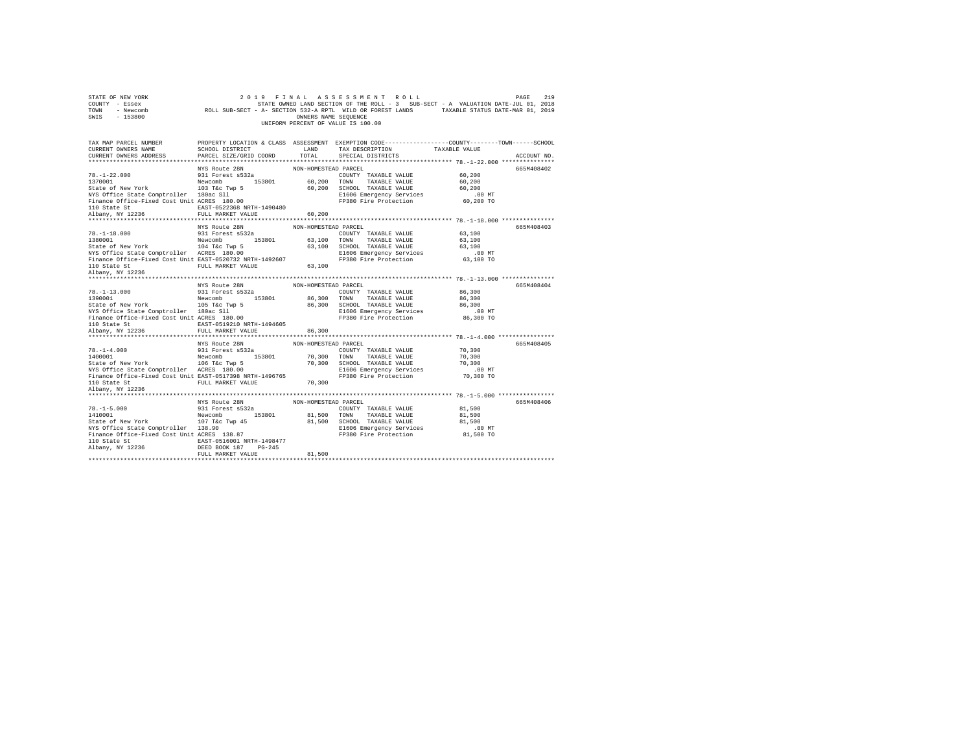| STATE OF NEW YORK<br>COUNTY - Essex<br>TOWN - Newcomb<br>SWIS - 153800                                                                                                                                                                                                                                                                                                  |                           | OWNERS NAME SEQUENCE | 2019 FINAL ASSESSMENT ROLL<br>UNIFORM PERCENT OF VALUE IS 100.00 | PAGE<br>219<br>219 PAGE 219 PINAL ASSESSMENT ROLL<br>STRIED LANGED LAND SECTION OF THE ROLL - 3 SUB-SECT - A VALUATION DATE-JUL 01, 2018<br>ROLL SUB-SECT - A- SECTION 532-A RPTL WILD OR FOREST LANDS TAXABLE STATUS DATE-MAR 01, 2019 |  |
|-------------------------------------------------------------------------------------------------------------------------------------------------------------------------------------------------------------------------------------------------------------------------------------------------------------------------------------------------------------------------|---------------------------|----------------------|------------------------------------------------------------------|-----------------------------------------------------------------------------------------------------------------------------------------------------------------------------------------------------------------------------------------|--|
| TAX MAP PARCEL NUMBER                                                                                                                                                                                                                                                                                                                                                   |                           |                      |                                                                  | PROPERTY LOCATION & CLASS ASSESSMENT EXEMPTION CODE---------------COUNTY-------TOWN------SCHOOL                                                                                                                                         |  |
| CURRENT OWNERS NAME                                                                                                                                                                                                                                                                                                                                                     |                           |                      |                                                                  |                                                                                                                                                                                                                                         |  |
| CURRENT OWNERS ADDRESS                                                                                                                                                                                                                                                                                                                                                  |                           |                      |                                                                  | ACCOUNT NO.                                                                                                                                                                                                                             |  |
|                                                                                                                                                                                                                                                                                                                                                                         | NYS Route 28N             | NON-HOMESTEAD PARCEL |                                                                  | 665M408402                                                                                                                                                                                                                              |  |
|                                                                                                                                                                                                                                                                                                                                                                         |                           |                      |                                                                  |                                                                                                                                                                                                                                         |  |
|                                                                                                                                                                                                                                                                                                                                                                         |                           |                      |                                                                  |                                                                                                                                                                                                                                         |  |
|                                                                                                                                                                                                                                                                                                                                                                         |                           |                      |                                                                  |                                                                                                                                                                                                                                         |  |
|                                                                                                                                                                                                                                                                                                                                                                         |                           |                      |                                                                  |                                                                                                                                                                                                                                         |  |
|                                                                                                                                                                                                                                                                                                                                                                         |                           |                      |                                                                  |                                                                                                                                                                                                                                         |  |
|                                                                                                                                                                                                                                                                                                                                                                         |                           |                      |                                                                  |                                                                                                                                                                                                                                         |  |
|                                                                                                                                                                                                                                                                                                                                                                         |                           |                      |                                                                  |                                                                                                                                                                                                                                         |  |
|                                                                                                                                                                                                                                                                                                                                                                         |                           |                      |                                                                  |                                                                                                                                                                                                                                         |  |
| MYS ROLE 2R NON-HOMESTEAD PARCEL<br>78. -1-18.000<br>1338001 931 Forest 6532a<br>138001 63,100 COUNTY TAXABLE VALUE 63,100<br>State of New York 104 Tac Twp 5<br>NON-HOMESTEAD PARCEL<br>163,100 TAXABLE VALUE 63,100<br>STAGE STAGE COUNTY                                                                                                                             |                           |                      |                                                                  | 665M408403                                                                                                                                                                                                                              |  |
|                                                                                                                                                                                                                                                                                                                                                                         |                           |                      |                                                                  |                                                                                                                                                                                                                                         |  |
|                                                                                                                                                                                                                                                                                                                                                                         |                           |                      |                                                                  |                                                                                                                                                                                                                                         |  |
|                                                                                                                                                                                                                                                                                                                                                                         |                           |                      |                                                                  |                                                                                                                                                                                                                                         |  |
|                                                                                                                                                                                                                                                                                                                                                                         |                           |                      |                                                                  |                                                                                                                                                                                                                                         |  |
|                                                                                                                                                                                                                                                                                                                                                                         |                           |                      |                                                                  |                                                                                                                                                                                                                                         |  |
| 110 State St<br>Albany, NY 12236                                                                                                                                                                                                                                                                                                                                        |                           |                      |                                                                  |                                                                                                                                                                                                                                         |  |
|                                                                                                                                                                                                                                                                                                                                                                         |                           |                      |                                                                  |                                                                                                                                                                                                                                         |  |
|                                                                                                                                                                                                                                                                                                                                                                         |                           |                      |                                                                  | 665M408404                                                                                                                                                                                                                              |  |
|                                                                                                                                                                                                                                                                                                                                                                         |                           |                      |                                                                  |                                                                                                                                                                                                                                         |  |
|                                                                                                                                                                                                                                                                                                                                                                         |                           |                      |                                                                  |                                                                                                                                                                                                                                         |  |
|                                                                                                                                                                                                                                                                                                                                                                         |                           |                      |                                                                  |                                                                                                                                                                                                                                         |  |
|                                                                                                                                                                                                                                                                                                                                                                         |                           |                      |                                                                  |                                                                                                                                                                                                                                         |  |
|                                                                                                                                                                                                                                                                                                                                                                         |                           |                      |                                                                  |                                                                                                                                                                                                                                         |  |
| MYS ROLE 28N NON-HOMESTEAD PARCEL (1917) ON THE VALUE OF 1130001 NYS ROLE 28N NON-HOMESTEAD PARCEL (1917) TAXABLE VALUE (1918) 20101<br>1930001 Newcomb Newcomb 153801 86,300 TOWNY TAXABLE VALUE 86,300<br>31 State of New York New                                                                                                                                    |                           |                      |                                                                  |                                                                                                                                                                                                                                         |  |
| 110 State St                                                                                                                                                                                                                                                                                                                                                            | EAST-0519210 NRTH-1494605 |                      |                                                                  |                                                                                                                                                                                                                                         |  |
| $\frac{1}{2}$ albany, NY 12236                                                                                                                                                                                                                                                                                                                                          | FULL MARKET VALUE 86,300  |                      |                                                                  |                                                                                                                                                                                                                                         |  |
|                                                                                                                                                                                                                                                                                                                                                                         |                           |                      |                                                                  |                                                                                                                                                                                                                                         |  |
|                                                                                                                                                                                                                                                                                                                                                                         |                           |                      |                                                                  | 665M408405                                                                                                                                                                                                                              |  |
|                                                                                                                                                                                                                                                                                                                                                                         |                           |                      |                                                                  |                                                                                                                                                                                                                                         |  |
|                                                                                                                                                                                                                                                                                                                                                                         |                           |                      |                                                                  |                                                                                                                                                                                                                                         |  |
|                                                                                                                                                                                                                                                                                                                                                                         |                           |                      |                                                                  |                                                                                                                                                                                                                                         |  |
|                                                                                                                                                                                                                                                                                                                                                                         |                           |                      |                                                                  |                                                                                                                                                                                                                                         |  |
| MYS ROLE 28N NON-HOMESTEAD PARCEL (1.1.4.000)<br>1931 Forest 5532a<br>1400001 WESTEAD ISSOCI TAXABLE VALUE 70,300<br>160001 Newcomb 153801 70,300 TOWNY TAXABLE VALUE 70,300<br>SCHOOL TAXABLE VALUE 70,300<br>NEW YORK Newcomb 153801 7<br>110 State St               FULL MARKET VALUE             70,300                                                             |                           |                      |                                                                  |                                                                                                                                                                                                                                         |  |
| Albany, NY 12236                                                                                                                                                                                                                                                                                                                                                        |                           |                      |                                                                  |                                                                                                                                                                                                                                         |  |
|                                                                                                                                                                                                                                                                                                                                                                         |                           |                      |                                                                  |                                                                                                                                                                                                                                         |  |
|                                                                                                                                                                                                                                                                                                                                                                         |                           |                      |                                                                  | 665M408406                                                                                                                                                                                                                              |  |
|                                                                                                                                                                                                                                                                                                                                                                         |                           |                      |                                                                  |                                                                                                                                                                                                                                         |  |
|                                                                                                                                                                                                                                                                                                                                                                         |                           |                      |                                                                  |                                                                                                                                                                                                                                         |  |
|                                                                                                                                                                                                                                                                                                                                                                         |                           |                      |                                                                  |                                                                                                                                                                                                                                         |  |
|                                                                                                                                                                                                                                                                                                                                                                         |                           |                      |                                                                  |                                                                                                                                                                                                                                         |  |
| $\begin{tabular}{l c c c c c} \hline $\gamma$8.-1-5.000 & \hline $\gamma$8.50ute 28N & \hline $\gamma$0N-NMESTERD PARCHCEI & $\cdots$--3.000 \\ & $91$ Forest $532a$ & $1001$ WWY TAXABLE VALUB & $1,500$ \\ & $1410001 & \hline $\gamma$6-45.000 & \hline $\gamma$8-1000 & $101001$ & $1,500$ \\ & $140001 & \hline $\gamma$8-454 & 101001 & $13801 & $81,500$ & $100$ |                           |                      |                                                                  |                                                                                                                                                                                                                                         |  |
|                                                                                                                                                                                                                                                                                                                                                                         |                           |                      |                                                                  |                                                                                                                                                                                                                                         |  |
| ${\small \begin{tabular}{lcccccc} 110 & State & Ste & & & \multicolumn{2}{c}{EAST-0516001 NRTH-1498477} \\ Albany, & NY & 12236 & & & DEED BOOK & 187 & & PG-245 \end{tabular}}$                                                                                                                                                                                        | FULL MARKET VALUE         | 81,500               |                                                                  |                                                                                                                                                                                                                                         |  |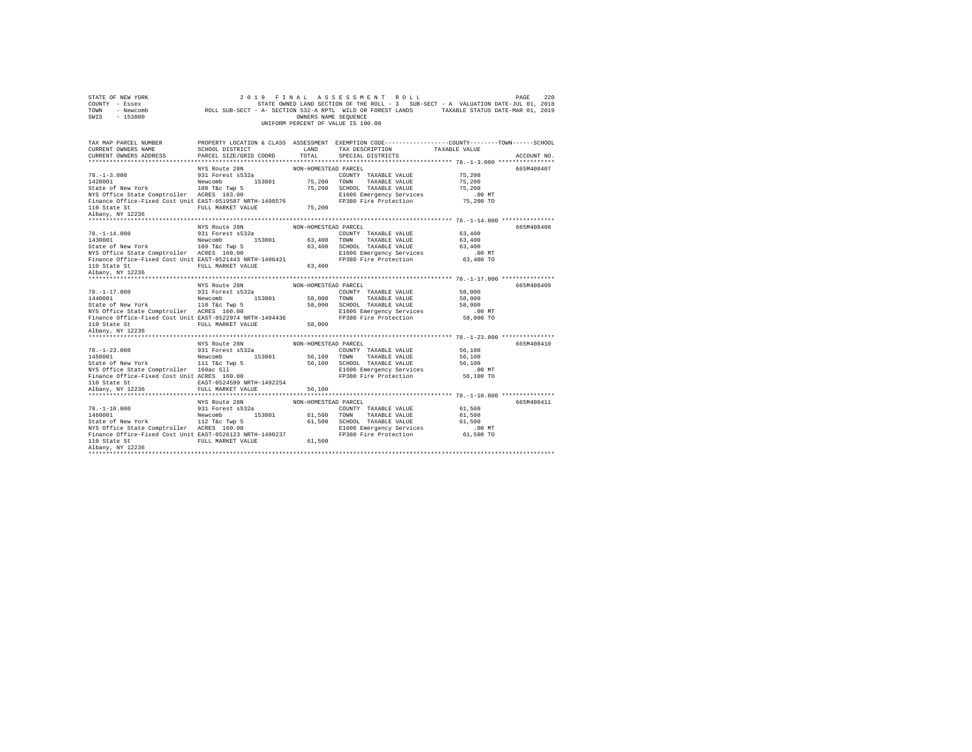| STATE OF NEW YORK<br>COUNTY - Essex<br>TOWN<br>$-153800$<br>SWIS                                                                                                                                                                                      |                                                   | OWNERS NAME SEQUENCE | OF NEW YORK<br>7 - ESSEX (2019 - FRINAL AS SES SWE RY ROLL -3 SUB-SECT - A VALUATION DATE-JUL 01, 2018<br>7 - RESECT - A SUB-SECT - A SECTION 532-A ROLL SUB-SECT - A VALUATION DATE-JUL 01, 2018<br>7 - IESQOA<br>UNIFORM PERCENT OF VALUE IS 100.00 |           |             |
|-------------------------------------------------------------------------------------------------------------------------------------------------------------------------------------------------------------------------------------------------------|---------------------------------------------------|----------------------|-------------------------------------------------------------------------------------------------------------------------------------------------------------------------------------------------------------------------------------------------------|-----------|-------------|
|                                                                                                                                                                                                                                                       |                                                   |                      |                                                                                                                                                                                                                                                       |           |             |
| TAX MAP PARCEL NUMBER<br>CURRENT OWNERS NAME                                                                                                                                                                                                          |                                                   |                      | PROPERTY LOCATION & CLASS ASSESSMENT EXEMPTION CODE---------------COUNTY-------TOWN------SCHOOL<br>TAX DESCRIPTION TAXABLE VALUE                                                                                                                      |           |             |
| CURRENT OWNERS ADDRESS                                                                                                                                                                                                                                | SCHOOL DISTRICT LAND PARCEL SIZE/GRID COORD TOTAL |                      | SPECIAL DISTRICTS                                                                                                                                                                                                                                     |           | ACCOUNT NO. |
|                                                                                                                                                                                                                                                       |                                                   |                      |                                                                                                                                                                                                                                                       |           |             |
|                                                                                                                                                                                                                                                       |                                                   |                      |                                                                                                                                                                                                                                                       |           | 665M408407  |
|                                                                                                                                                                                                                                                       |                                                   |                      | COUNTY TAXABLE VALUE 75,200                                                                                                                                                                                                                           |           |             |
|                                                                                                                                                                                                                                                       |                                                   |                      |                                                                                                                                                                                                                                                       | 75,200    |             |
|                                                                                                                                                                                                                                                       |                                                   |                      |                                                                                                                                                                                                                                                       | 75,200    |             |
|                                                                                                                                                                                                                                                       |                                                   |                      |                                                                                                                                                                                                                                                       | $.00$ MT  |             |
| NYS Office State Comptroller ACRES 183.00<br>Finance Office-Fixed Cost Unit EAST-0519587 NRTH-1498576<br>110 Obst: Oter                                                                                                                               |                                                   |                      | FP380 Fire Protection                                                                                                                                                                                                                                 | 75,200 TO |             |
| $110\text{ State St}$ $75,200$ $\texttt{RUE}$ $75,200$ $\texttt{Albany}$ , $\texttt{NY}$ $12236$                                                                                                                                                      |                                                   |                      |                                                                                                                                                                                                                                                       |           |             |
|                                                                                                                                                                                                                                                       |                                                   |                      |                                                                                                                                                                                                                                                       |           |             |
|                                                                                                                                                                                                                                                       |                                                   | NON-HOMESTEAD PARCEL |                                                                                                                                                                                                                                                       |           | 665M408408  |
| $78. - 1 - 14.000$                                                                                                                                                                                                                                    | NYS Route 28N<br>931 Forest s532a                 |                      | COUNTY TAXABLE VALUE 63,400                                                                                                                                                                                                                           |           |             |
|                                                                                                                                                                                                                                                       |                                                   |                      |                                                                                                                                                                                                                                                       |           |             |
| 1430001 Mewcomb 153801 63,400 TOWN TAXABLE VALUE 63,400<br>State of New York 1997 1997 63,400 SCHOOL TAXABLE VALUE 63,400<br>NYS Office State Comptroller ACRES 160.00 63,400 E1606 Emergency Services                                                |                                                   |                      |                                                                                                                                                                                                                                                       |           |             |
|                                                                                                                                                                                                                                                       |                                                   |                      |                                                                                                                                                                                                                                                       | $.00$ MT  |             |
| NIS UIIICE STATE COmptroller ACRES 160.00<br>Finance Office-Fixed Cost Unit EAST-0521443 NRTH-1496421                                                                                                                                                 |                                                   |                      | FP380 Fire Protection                                                                                                                                                                                                                                 | 63,400 TO |             |
|                                                                                                                                                                                                                                                       | FULL MARKET VALUE 63,400                          |                      |                                                                                                                                                                                                                                                       |           |             |
| 110 State St<br>Albany, NY 12236                                                                                                                                                                                                                      |                                                   |                      |                                                                                                                                                                                                                                                       |           |             |
|                                                                                                                                                                                                                                                       |                                                   |                      |                                                                                                                                                                                                                                                       |           |             |
|                                                                                                                                                                                                                                                       | NYS Route 28N<br>931 Forest s532a                 | NON-HOMESTEAD PARCEL |                                                                                                                                                                                                                                                       |           | 665M408409  |
| 78.-1-17.000<br>1440001                                                                                                                                                                                                                               |                                                   |                      | COUNTY TAXABLE VALUE                                                                                                                                                                                                                                  | 58,000    |             |
|                                                                                                                                                                                                                                                       |                                                   |                      |                                                                                                                                                                                                                                                       |           |             |
|                                                                                                                                                                                                                                                       |                                                   |                      |                                                                                                                                                                                                                                                       | $.00$ MT  |             |
| 19.1-11.0000 Mewcomb 20.1 CHERN 20001 10 MANDE VALUE 140001<br>State of New York 110 T&C TWD 58,000 10000 TOWN TAXABLE VALUE 58,000<br>State of New York 110 T&C TWD 58,000 SCHOOL TAXABLE VALUE 58,000<br>NEW ORTICE STATE 16REST 1                  |                                                   |                      |                                                                                                                                                                                                                                                       | 58,000 TO |             |
|                                                                                                                                                                                                                                                       | FULL MARKET VALUE 58,000                          |                      |                                                                                                                                                                                                                                                       |           |             |
| 110 State St<br>Albany, NY 12236                                                                                                                                                                                                                      |                                                   |                      |                                                                                                                                                                                                                                                       |           |             |
|                                                                                                                                                                                                                                                       |                                                   |                      |                                                                                                                                                                                                                                                       |           |             |
|                                                                                                                                                                                                                                                       |                                                   |                      |                                                                                                                                                                                                                                                       |           |             |
|                                                                                                                                                                                                                                                       |                                                   |                      | NON-HOMESTEAD PARCEL                                                                                                                                                                                                                                  |           | 665M408410  |
|                                                                                                                                                                                                                                                       | NYS Route 28N                                     |                      |                                                                                                                                                                                                                                                       | 56,100    |             |
|                                                                                                                                                                                                                                                       |                                                   |                      |                                                                                                                                                                                                                                                       | 56,100    |             |
|                                                                                                                                                                                                                                                       |                                                   |                      |                                                                                                                                                                                                                                                       | 56,100    |             |
|                                                                                                                                                                                                                                                       |                                                   |                      |                                                                                                                                                                                                                                                       | $.00$ MT  |             |
|                                                                                                                                                                                                                                                       |                                                   |                      | FP380 Fire Protection 56,100 TO                                                                                                                                                                                                                       |           |             |
|                                                                                                                                                                                                                                                       |                                                   |                      |                                                                                                                                                                                                                                                       |           |             |
|                                                                                                                                                                                                                                                       |                                                   |                      |                                                                                                                                                                                                                                                       |           |             |
|                                                                                                                                                                                                                                                       |                                                   |                      |                                                                                                                                                                                                                                                       |           |             |
|                                                                                                                                                                                                                                                       | NYS Route 28N                                     | NON-HOMESTEAD PARCEL |                                                                                                                                                                                                                                                       |           | 665M408411  |
|                                                                                                                                                                                                                                                       |                                                   |                      | COUNTY TAXABLE VALUE                                                                                                                                                                                                                                  | 61,500    |             |
|                                                                                                                                                                                                                                                       |                                                   |                      |                                                                                                                                                                                                                                                       | 61,500    |             |
|                                                                                                                                                                                                                                                       |                                                   |                      | 61,500 TOWN TAXABLE VALUE<br>61,500 SCHOOL TAXABLE VALUE                                                                                                                                                                                              | 61,500    |             |
| 78.-1-10.000 931 Forest s532a<br>1460001 12 Tec Twp 5 53801 61,500<br>State of New York 112 Tec Twp 5 61,500<br>NYS Office State Comptroller ACRES 160.00                                                                                             |                                                   |                      |                                                                                                                                                                                                                                                       |           |             |
|                                                                                                                                                                                                                                                       |                                                   |                      |                                                                                                                                                                                                                                                       |           |             |
| NYS Office State Comptroller ACRES 160.00 E1606 Emergency Services<br>Finance Office-Fixed Cost Unit EAST-0526123 NRTH-1490237 PP380 Fire Protection 61,500 TO<br>110 State St  FULL MARKET VALUE 61,500 61,500 PP380 Fire Protec<br>Albany, NY 12236 |                                                   |                      |                                                                                                                                                                                                                                                       |           |             |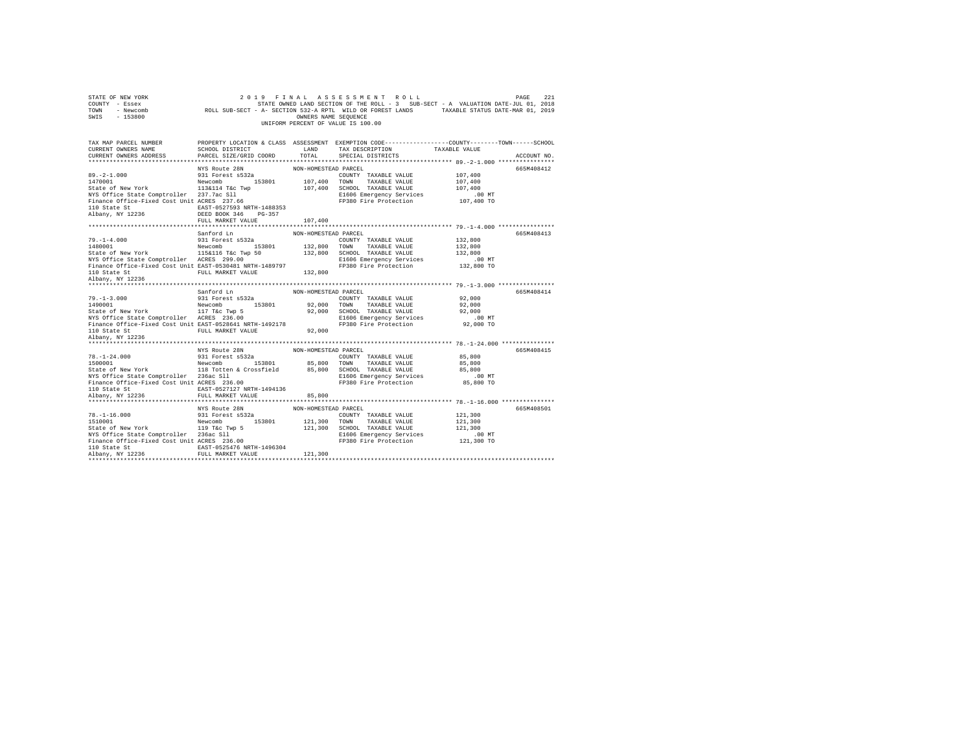| STATE OF NEW YORK<br>COUNTY - Essex<br>TOWN - Newcomb<br>SWIS - 153800<br>TAX MAP PARCEL NUMBER                                                                                                                                                                                                                                                                                                                                                                                                                                                                                                                                                  |                                | OWNERS NAME SEQUENCE | 2019 FINAL ASSESSMENT ROLL<br>UNIFORM PERCENT OF VALUE IS 100.00 | PAGE<br>STATE OWNED LAND SECTION OF THE ROLL - 3 SUB-SECT - A VALUATION DATE-JUL 01, 2018<br>ROLL SUB-SECT - A- SECTION 532-A RPTL WILD OR FOREST LANDS TAXABLE STATUS DATE-MAR 01, 2019<br>PROPERTY LOCATION & CLASS ASSESSMENT EXEMPTION CODE---------------COUNTY-------TOWN------SCHOOL | 2.21 |
|--------------------------------------------------------------------------------------------------------------------------------------------------------------------------------------------------------------------------------------------------------------------------------------------------------------------------------------------------------------------------------------------------------------------------------------------------------------------------------------------------------------------------------------------------------------------------------------------------------------------------------------------------|--------------------------------|----------------------|------------------------------------------------------------------|---------------------------------------------------------------------------------------------------------------------------------------------------------------------------------------------------------------------------------------------------------------------------------------------|------|
| CURRENT OWNERS NAME                                                                                                                                                                                                                                                                                                                                                                                                                                                                                                                                                                                                                              | LAND<br>SCHOOL DISTRICT        |                      | TAX DESCRIPTION                                                  | TAXABLE VALUE                                                                                                                                                                                                                                                                               |      |
| CURRENT OWNERS ADDRESS                                                                                                                                                                                                                                                                                                                                                                                                                                                                                                                                                                                                                           | PARCEL SIZE/GRID COORD TOTAL   |                      | SPECIAL DISTRICTS                                                | ACCOUNT NO.                                                                                                                                                                                                                                                                                 |      |
|                                                                                                                                                                                                                                                                                                                                                                                                                                                                                                                                                                                                                                                  |                                |                      |                                                                  |                                                                                                                                                                                                                                                                                             |      |
|                                                                                                                                                                                                                                                                                                                                                                                                                                                                                                                                                                                                                                                  | NYS Route 28N                  | NON-HOMESTEAD PARCEL |                                                                  | 665M408412                                                                                                                                                                                                                                                                                  |      |
| $1000 \begin{array}{l} \texttt{89,-2-1.000} \\ 107,400 \end{array} \begin{array}{l} \texttt{931 Forest s532a} \\ \texttt{107,400 T001} \\ \texttt{107,400 T001} \end{array} \begin{array}{l} \texttt{COMNY} \\ \texttt{EXADISE VALUE} \\ \texttt{113a114 Tac} \\ \texttt{113a114 Tac Twp} \end{array} \begin{array}{l} \texttt{107,400 T001} \\ \texttt{107,400 SCHOOL TAXABLE VALUE} \end{array}$                                                                                                                                                                                                                                               |                                |                      | COUNTY TAXABLE VALUE                                             | 107,400                                                                                                                                                                                                                                                                                     |      |
|                                                                                                                                                                                                                                                                                                                                                                                                                                                                                                                                                                                                                                                  |                                |                      |                                                                  | 107,400                                                                                                                                                                                                                                                                                     |      |
|                                                                                                                                                                                                                                                                                                                                                                                                                                                                                                                                                                                                                                                  |                                |                      |                                                                  | 107,400                                                                                                                                                                                                                                                                                     |      |
| NYS Office State Comptroller 237.7ac Sll<br>Finance Office-Fixed Cost Unit ACRES 237.66                                                                                                                                                                                                                                                                                                                                                                                                                                                                                                                                                          |                                |                      | E1606 Emergency Services<br>FP380 Fire Protection                | $.00$ MT<br>00 MT.<br>107,400 TO                                                                                                                                                                                                                                                            |      |
|                                                                                                                                                                                                                                                                                                                                                                                                                                                                                                                                                                                                                                                  |                                |                      |                                                                  |                                                                                                                                                                                                                                                                                             |      |
| 110 State St                                                                                                                                                                                                                                                                                                                                                                                                                                                                                                                                                                                                                                     | EAST-0527593 NRTH-1488353      |                      |                                                                  |                                                                                                                                                                                                                                                                                             |      |
| Albany, NY 12236                                                                                                                                                                                                                                                                                                                                                                                                                                                                                                                                                                                                                                 | DEED BOOK 346 PG-357           |                      |                                                                  |                                                                                                                                                                                                                                                                                             |      |
|                                                                                                                                                                                                                                                                                                                                                                                                                                                                                                                                                                                                                                                  | FULL MARKET VALUE              | 107,400              |                                                                  |                                                                                                                                                                                                                                                                                             |      |
|                                                                                                                                                                                                                                                                                                                                                                                                                                                                                                                                                                                                                                                  | Sanford Ln                     | NON-HOMESTEAD PARCEL |                                                                  | 665M408413                                                                                                                                                                                                                                                                                  |      |
|                                                                                                                                                                                                                                                                                                                                                                                                                                                                                                                                                                                                                                                  |                                |                      |                                                                  | 132,800                                                                                                                                                                                                                                                                                     |      |
|                                                                                                                                                                                                                                                                                                                                                                                                                                                                                                                                                                                                                                                  |                                |                      |                                                                  | 132,800                                                                                                                                                                                                                                                                                     |      |
|                                                                                                                                                                                                                                                                                                                                                                                                                                                                                                                                                                                                                                                  |                                |                      |                                                                  | 132,800                                                                                                                                                                                                                                                                                     |      |
|                                                                                                                                                                                                                                                                                                                                                                                                                                                                                                                                                                                                                                                  |                                |                      |                                                                  | .00 MT                                                                                                                                                                                                                                                                                      |      |
|                                                                                                                                                                                                                                                                                                                                                                                                                                                                                                                                                                                                                                                  |                                |                      |                                                                  | 132,800 TO                                                                                                                                                                                                                                                                                  |      |
| 110 State St               FULL MARKET VALUE               132,800                                                                                                                                                                                                                                                                                                                                                                                                                                                                                                                                                                               |                                |                      |                                                                  |                                                                                                                                                                                                                                                                                             |      |
| Albany, NY 12236                                                                                                                                                                                                                                                                                                                                                                                                                                                                                                                                                                                                                                 |                                |                      |                                                                  |                                                                                                                                                                                                                                                                                             |      |
|                                                                                                                                                                                                                                                                                                                                                                                                                                                                                                                                                                                                                                                  |                                |                      |                                                                  |                                                                                                                                                                                                                                                                                             |      |
|                                                                                                                                                                                                                                                                                                                                                                                                                                                                                                                                                                                                                                                  | Sanford Ln<br>931 Forest s532a | NON-HOMESTEAD PARCEL |                                                                  | 665M408414                                                                                                                                                                                                                                                                                  |      |
| $79. - 1 - 3.000$                                                                                                                                                                                                                                                                                                                                                                                                                                                                                                                                                                                                                                |                                |                      | COUNTY TAXABLE VALUE                                             | 92,000                                                                                                                                                                                                                                                                                      |      |
|                                                                                                                                                                                                                                                                                                                                                                                                                                                                                                                                                                                                                                                  |                                |                      |                                                                  | 92,000                                                                                                                                                                                                                                                                                      |      |
|                                                                                                                                                                                                                                                                                                                                                                                                                                                                                                                                                                                                                                                  |                                |                      |                                                                  | 92,000                                                                                                                                                                                                                                                                                      |      |
| $\begin{array}{l} \texttt{1490001} \begin{array}{l} \texttt{Newcomb} \end{array} & \begin{array}{l} \texttt{15301} \end{array} & \begin{array}{l} \texttt{92,000} \end{array} & \begin{array}{l} \texttt{T0NN} \end{array} & \begin{array}{l} \texttt{TAXABLE} \texttt{ VAUIE} \end{array} \\ \texttt{State of New York} & \begin{array}{l} \texttt{11} \end{array} & \begin{array}{l} \texttt{12} \end{array} & \begin{array}{l} \texttt{13801} \end{array} & \begin{array}{l} \texttt$<br>NYS Office State Comptroller ACRES 236.00 B1606 Emergency Services<br>Finance Office-Fixed Cost Unit EAST-0528641 NRTH-1492178 FP380 Fire Protection |                                |                      |                                                                  | $.00$ MT                                                                                                                                                                                                                                                                                    |      |
|                                                                                                                                                                                                                                                                                                                                                                                                                                                                                                                                                                                                                                                  |                                |                      |                                                                  | 92,000 TO                                                                                                                                                                                                                                                                                   |      |
| 110 State St                                                                                                                                                                                                                                                                                                                                                                                                                                                                                                                                                                                                                                     | FULL MARKET VALUE 92,000       |                      |                                                                  |                                                                                                                                                                                                                                                                                             |      |
| Albany, NY 12236                                                                                                                                                                                                                                                                                                                                                                                                                                                                                                                                                                                                                                 |                                |                      |                                                                  |                                                                                                                                                                                                                                                                                             |      |
|                                                                                                                                                                                                                                                                                                                                                                                                                                                                                                                                                                                                                                                  |                                |                      |                                                                  |                                                                                                                                                                                                                                                                                             |      |
| MYS Route 28N MON-HOMESTEAD PARCEL<br>1500001 1500001 Mewcomb 153801 85,800 TOUNTY TAXABLE VALUE<br>1500001 Newcomb 153801 85,800 TOWN TAXABLE VALUE<br>118 Totten & Crossfield 85,800 SCHOOL TAXABLE VALUE                                                                                                                                                                                                                                                                                                                                                                                                                                      |                                |                      |                                                                  | 665M408415                                                                                                                                                                                                                                                                                  |      |
|                                                                                                                                                                                                                                                                                                                                                                                                                                                                                                                                                                                                                                                  |                                |                      |                                                                  | 85,800                                                                                                                                                                                                                                                                                      |      |
|                                                                                                                                                                                                                                                                                                                                                                                                                                                                                                                                                                                                                                                  |                                |                      |                                                                  | 85,800                                                                                                                                                                                                                                                                                      |      |
|                                                                                                                                                                                                                                                                                                                                                                                                                                                                                                                                                                                                                                                  |                                |                      |                                                                  | 85,800                                                                                                                                                                                                                                                                                      |      |
| NYS Office State Comptroller 236ac Sll<br>Finance Office-Fixed Cost Unit ACRES 236.00                                                                                                                                                                                                                                                                                                                                                                                                                                                                                                                                                            |                                |                      | E1606 Emergency Services                                         | .00 MT<br>85,800 TO                                                                                                                                                                                                                                                                         |      |
| 110 State St                                                                                                                                                                                                                                                                                                                                                                                                                                                                                                                                                                                                                                     | EAST-0527127 NRTH-1494136      |                      | FP380 Fire Protection                                            |                                                                                                                                                                                                                                                                                             |      |
| Albany, NY 12236                                                                                                                                                                                                                                                                                                                                                                                                                                                                                                                                                                                                                                 | FULL MARKET VALUE 85,800       |                      |                                                                  |                                                                                                                                                                                                                                                                                             |      |
|                                                                                                                                                                                                                                                                                                                                                                                                                                                                                                                                                                                                                                                  |                                |                      |                                                                  |                                                                                                                                                                                                                                                                                             |      |
|                                                                                                                                                                                                                                                                                                                                                                                                                                                                                                                                                                                                                                                  | NYS Route 28N                  | NON-HOMESTEAD PARCEL |                                                                  | 665M408501                                                                                                                                                                                                                                                                                  |      |
|                                                                                                                                                                                                                                                                                                                                                                                                                                                                                                                                                                                                                                                  |                                |                      | COUNTY TAXABLE VALUE                                             | 121,300                                                                                                                                                                                                                                                                                     |      |
| 78.-1-16.000 931 Forest s532a<br>1510001 Newcomb 153801<br>State of New York 119 T&c Twp 5<br>2010 119 T&c Twp 5                                                                                                                                                                                                                                                                                                                                                                                                                                                                                                                                 |                                |                      | 121,300 TOWN TAXABLE VALUE                                       | 121,300                                                                                                                                                                                                                                                                                     |      |
|                                                                                                                                                                                                                                                                                                                                                                                                                                                                                                                                                                                                                                                  |                                |                      | 121,300 SCHOOL TAXABLE VALUE                                     | 121,300                                                                                                                                                                                                                                                                                     |      |
|                                                                                                                                                                                                                                                                                                                                                                                                                                                                                                                                                                                                                                                  |                                |                      |                                                                  | $.00$ MT                                                                                                                                                                                                                                                                                    |      |
| NIS Office State Comptroller 236ac Sll<br>Finance Office-Fixed Cost Unit ACRES 236.00                                                                                                                                                                                                                                                                                                                                                                                                                                                                                                                                                            |                                |                      | E1606 Emergency Services<br>FP380 Fire Protection                | 121,300 TO                                                                                                                                                                                                                                                                                  |      |
| 110 State St                                                                                                                                                                                                                                                                                                                                                                                                                                                                                                                                                                                                                                     | EAST-0525476 NRTH-1496304      |                      |                                                                  |                                                                                                                                                                                                                                                                                             |      |
| Albany, NY 12236                                                                                                                                                                                                                                                                                                                                                                                                                                                                                                                                                                                                                                 | FULL MARKET VALUE              | 121,300              |                                                                  |                                                                                                                                                                                                                                                                                             |      |
|                                                                                                                                                                                                                                                                                                                                                                                                                                                                                                                                                                                                                                                  |                                |                      |                                                                  |                                                                                                                                                                                                                                                                                             |      |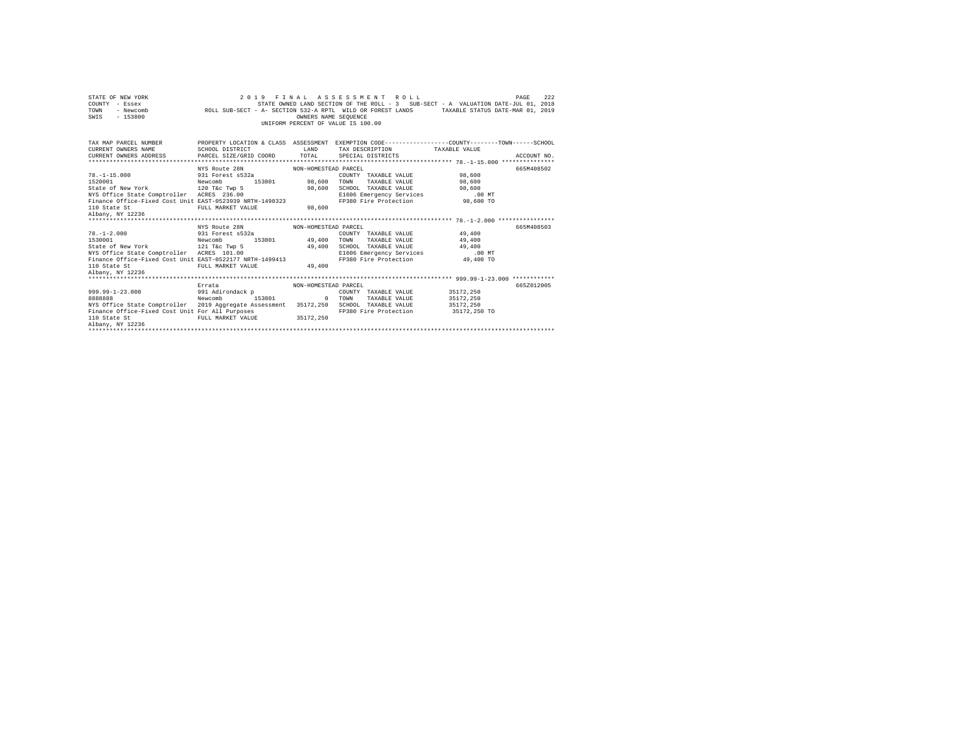| STATE OF NEW YORK<br>COUNTY - Essex - COUNTY - STATE OWNED LAND SECTION OF THE ROLL - 3 SUB-SECT - A VALUATION DATE-JUL 01, 2018<br>TOWN - Newcomb - ROLL SUB-SECT - A- SECTION 532-A RPTL WILD OR FOREST LANDS - TAXABLE STATUS DATE-MAR 01, 2019<br>SWIS - 153800 |                                    | OWNERS NAME SEOUENCE | 2019 FINAL ASSESSMENT ROLL<br>STATE OWNED LAND SECTION OF THE ROLL - 3 SUB-SECT - A VALUATION DATE-JUL 01, 2018<br>UNIFORM PERCENT OF VALUE IS 100.00 |                        | PAGE<br>222 |
|---------------------------------------------------------------------------------------------------------------------------------------------------------------------------------------------------------------------------------------------------------------------|------------------------------------|----------------------|-------------------------------------------------------------------------------------------------------------------------------------------------------|------------------------|-------------|
| TAX MAP PARCEL NUMBER THE PROPERTY LOCATION & CLASS ASSESSMENT EXEMPTION CODE-------------COUNTY-------TOWN-----SCHOOL                                                                                                                                              |                                    |                      |                                                                                                                                                       |                        |             |
| CURRENT OWNERS NAME SCHOOL DISTRICT                                                                                                                                                                                                                                 |                                    |                      | LAND TAX DESCRIPTION TAXABLE VALUE                                                                                                                    |                        |             |
| CURRENT OWNERS ADDRESS PARCEL SIZE/GRID COORD TOTAL SPECIAL DISTRICTS                                                                                                                                                                                               |                                    |                      |                                                                                                                                                       |                        | ACCOUNT NO. |
|                                                                                                                                                                                                                                                                     | NYS Route 28N                      | NON-HOMESTEAD PARCEL |                                                                                                                                                       |                        | 665M408502  |
| $78. -1 - 15.000$                                                                                                                                                                                                                                                   | 931 Forest s532a                   |                      | COUNTY TAXABLE VALUE 98.600                                                                                                                           |                        |             |
| 1520001                                                                                                                                                                                                                                                             | 153801 98,600 TOWN<br>Newcomb      |                      | TAXABLE VALUE 98,600                                                                                                                                  |                        |             |
| State of New York 600 CHOOL TAXABLE VALUE 98,600 CHOOL TAXABLE VALUE 98,600 SCHOOL TAXABLE VALUE                                                                                                                                                                    |                                    |                      |                                                                                                                                                       |                        |             |
| NYS Office State Comptroller ACRES 236.00                                                                                                                                                                                                                           |                                    |                      | E1606 Emergency Services .00 MT                                                                                                                       |                        |             |
| Finance Office-Fixed Cost Unit EAST-0523939 NRTH-1498323 FP380 Fire Protection 98,600 TO                                                                                                                                                                            |                                    |                      |                                                                                                                                                       |                        |             |
| 110 State St                                                                                                                                                                                                                                                        | FULL MARKET VALUE                  | 98,600               |                                                                                                                                                       |                        |             |
| Albany, NY 12236                                                                                                                                                                                                                                                    |                                    |                      |                                                                                                                                                       |                        |             |
|                                                                                                                                                                                                                                                                     |                                    |                      |                                                                                                                                                       |                        |             |
|                                                                                                                                                                                                                                                                     | NYS Route 28N MON-HOMESTEAD PARCEL |                      |                                                                                                                                                       |                        | 665M408503  |
| $78. - 1 - 2.000$                                                                                                                                                                                                                                                   | 931 Forest s532a                   |                      | COUNTY TAXABLE VALUE 49.400                                                                                                                           |                        |             |
| 1530001                                                                                                                                                                                                                                                             | 153801 49,400 TOWN<br>Newcomb      |                      | TAXABLE VALUE                                                                                                                                         | 49,400                 |             |
| State of New York 121 T&C Twp 5                                                                                                                                                                                                                                     |                                    |                      | 49.400 SCHOOL TAXABLE VALUE 49.400                                                                                                                    |                        |             |
| NYS Office State Comptroller ACRES 101.00                                                                                                                                                                                                                           |                                    |                      | E1606 Emergency Services .00 MT                                                                                                                       |                        |             |
| Finance Office-Fixed Cost Unit EAST-0522177 NRTH-1499413 FP380 Fire Protection                                                                                                                                                                                      |                                    |                      |                                                                                                                                                       | 49,400 TO              |             |
| 110 State St<br>Albany, NY 12236                                                                                                                                                                                                                                    | FULL MARKET VALUE                  | 49,400               |                                                                                                                                                       |                        |             |
|                                                                                                                                                                                                                                                                     |                                    |                      |                                                                                                                                                       |                        |             |
|                                                                                                                                                                                                                                                                     | Errata                             | NON-HOMESTEAD PARCEL |                                                                                                                                                       |                        | 6652012005  |
| 999.99-1-23.000                                                                                                                                                                                                                                                     | 991 Adirondack p                   |                      | COUNTY TAXABLE VALUE 35172, 250                                                                                                                       |                        |             |
| 8888888                                                                                                                                                                                                                                                             | Newcomb 153801 0 TOWN              |                      | TAXABLE VALUE                                                                                                                                         |                        |             |
| NYS Office State Comptroller 2019 Aggregate Assessment 35172,250 SCHOOL TAXABLE VALUE                                                                                                                                                                               |                                    |                      |                                                                                                                                                       | 35172,250<br>35172,250 |             |
| Finance Office-Fixed Cost Unit For All Purposes FREE REE REE REE REE REE REE PROTOCOL TO STATE PROTOCOL PULL MARKET VALUE 35172,250                                                                                                                                 |                                    |                      |                                                                                                                                                       | 35172,250 TO           |             |
|                                                                                                                                                                                                                                                                     |                                    |                      |                                                                                                                                                       |                        |             |
| Albany, NY 12236                                                                                                                                                                                                                                                    |                                    |                      |                                                                                                                                                       |                        |             |
|                                                                                                                                                                                                                                                                     |                                    |                      |                                                                                                                                                       |                        |             |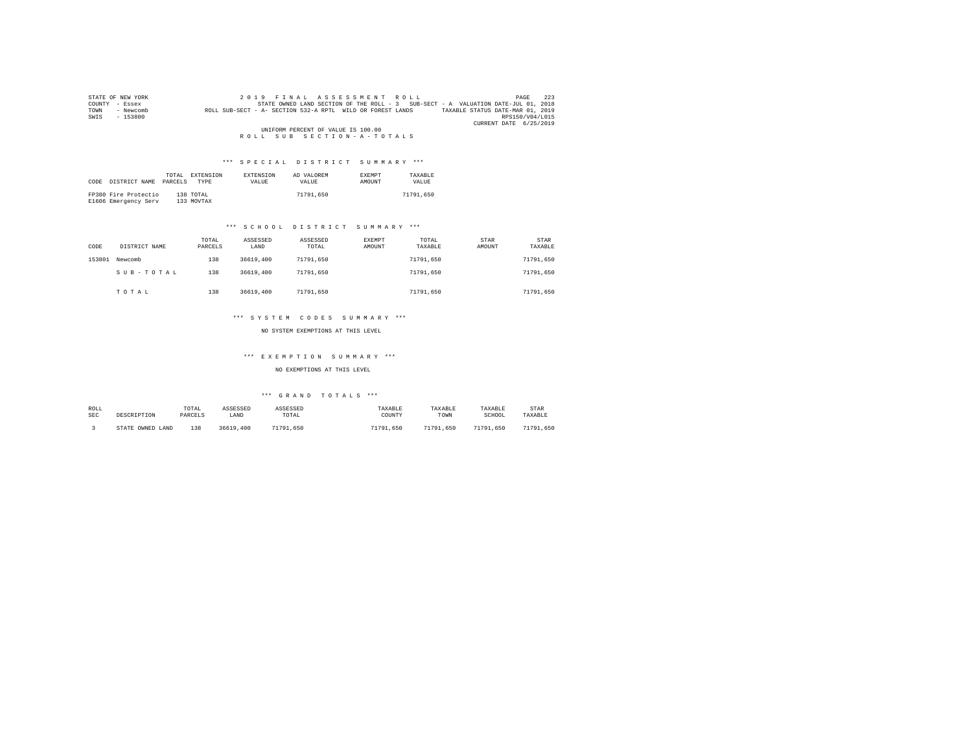|      | STATE OF NEW YORK | 2019 FINAL ASSESSMENT ROLL                                                                     | 223<br>PAGE     |
|------|-------------------|------------------------------------------------------------------------------------------------|-----------------|
|      | COUNTY - Essex    | STATE OWNED LAND SECTION OF THE ROLL - 3 SUB-SECT - A VALUATION DATE-JUL 01, 2018              |                 |
| TOWN | - Newcomb         | ROLL SUB-SECT - A- SECTION 532-A RPTL WILD OR FOREST LANDS<br>TAXABLE STATUS DATE-MAR 01, 2019 |                 |
| SWIS | $-153800$         |                                                                                                | RPS150/V04/L015 |
|      |                   | CURRENT DATE 6/25/2019                                                                         |                 |
|      |                   | UNIFORM PERCENT OF VALUE IS 100.00                                                             |                 |
|      |                   | ROLL SUB SECTION-A-TOTALS                                                                      |                 |

| CODE | DISTRICT NAME        | TOTAL<br>PARCELS | EXTENSION<br>TYPE | <b>EXTENSION</b><br><b>VALUE</b> | AD VALOREM<br>VALUE. | <b>EXEMPT</b><br>AMOUNT | TAXARLE<br><b>VALUE</b> |
|------|----------------------|------------------|-------------------|----------------------------------|----------------------|-------------------------|-------------------------|
|      |                      |                  |                   |                                  |                      |                         |                         |
|      | FP380 Fire Protectio |                  | 138 TOTAL         |                                  | 71791.650            |                         | 71791.650               |
|      | E1606 Emergency Serv |                  | 133 MOVTAX        |                                  |                      |                         |                         |

## \*\*\* S C H O O L D I S T R I C T S U M M A R Y \*\*\*

| CODE   | DISTRICT NAME | TOTAL<br>PARCELS | ASSESSED<br>LAND | ASSESSED<br>TOTAL | EXEMPT<br>AMOUNT | TOTAL<br>TAXABLE | STAR<br>AMOUNT | <b>STAR</b><br>TAXABLE |
|--------|---------------|------------------|------------------|-------------------|------------------|------------------|----------------|------------------------|
| 153801 | Newcomb       | 138              | 36619,400        | 71791.650         |                  | 71791.650        |                | 71791.650              |
|        | SUB-TOTAL     | 138              | 36619,400        | 71791.650         |                  | 71791.650        |                | 71791.650              |
|        | TOTAL         | 138              | 36619,400        | 71791.650         |                  | 71791.650        |                | 71791.650              |

## \*\*\* S Y S T E M C O D E S S U M M A R Y \*\*\*

NO SYSTEM EXEMPTIONS AT THIS LEVEL

## \*\*\* E X E M P T I O N S U M M A R Y \*\*\*

NO EXEMPTIONS AT THIS LEVEL

| ROLL       | DESCRIPTION      | TOTAL   | ASSESSED  | ASSESSED  | TAXABLE   | TAXABLE   | TAXABLE   | STAR          |
|------------|------------------|---------|-----------|-----------|-----------|-----------|-----------|---------------|
| <b>SEC</b> |                  | PARCELS | LAND      | TOTAL     | COUNTY    | TOWN      | SCHOOL    | TAXABLE       |
|            | STATE OWNED LAND | 138     | 36619,400 | 71791.650 | 71791.650 | 71791.650 | 71791.650 | 71791<br>.650 |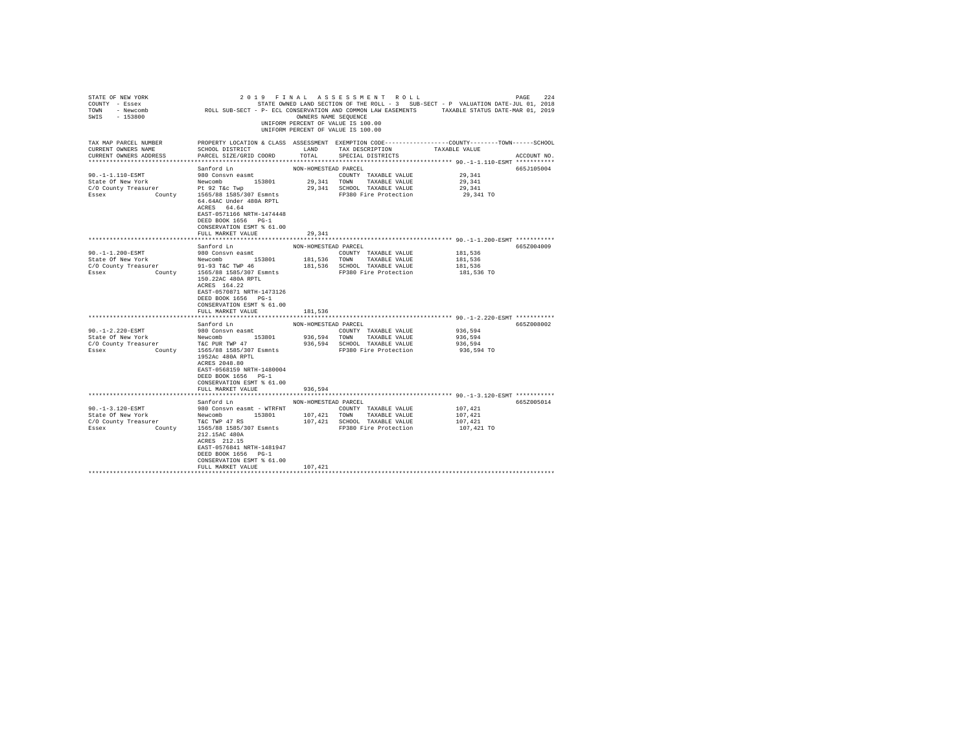| STATE OF NEW YORK<br>COUNTY - Essex<br>TOWN<br>- Newcomb<br>$-153800$<br>SWIS | ROLL SUB-SECT - P- ECL CONSERVATION AND COMMON LAW EASEMENTS                                                                                                       | OWNERS NAME SEOUENCE | 2019 FINAL ASSESSMENT ROLL<br>STATE OWNED LAND SECTION OF THE ROLL - 3 SUB-SECT - P VALUATION DATE-JUL 01, 2018<br>UNIFORM PERCENT OF VALUE IS 100.00<br>UNIFORM PERCENT OF VALUE IS 100.00 | TAXABLE STATUS DATE-MAR 01, 2019 | 224<br>PAGE |
|-------------------------------------------------------------------------------|--------------------------------------------------------------------------------------------------------------------------------------------------------------------|----------------------|---------------------------------------------------------------------------------------------------------------------------------------------------------------------------------------------|----------------------------------|-------------|
| TAX MAP PARCEL NUMBER<br>CURRENT OWNERS NAME<br>CURRENT OWNERS ADDRESS        | PROPERTY LOCATION & CLASS ASSESSMENT EXEMPTION CODE---------------COUNTY------TOWN-----SCHOOL<br>SCHOOL DISTRICT<br>PARCEL SIZE/GRID COORD                         | LAND<br>TOTAL        | TAX DESCRIPTION<br>SPECIAL DISTRICTS                                                                                                                                                        | TAXABLE VALUE                    | ACCOUNT NO. |
| *************************                                                     |                                                                                                                                                                    |                      |                                                                                                                                                                                             |                                  |             |
|                                                                               | Sanford Ln                                                                                                                                                         | NON-HOMESTEAD PARCEL |                                                                                                                                                                                             |                                  | 665J105004  |
| $90. -1 - 1.110 - ESMT$                                                       | 980 Consyn easmt                                                                                                                                                   |                      | COUNTY TAXABLE VALUE                                                                                                                                                                        | 29,341                           |             |
| State Of New York                                                             | 153801<br>Newcomb                                                                                                                                                  | 29,341               | TOWN<br>TAXABLE VALUE                                                                                                                                                                       | 29,341                           |             |
| C/O County Treasurer                                                          | Pt 92 T&c Twp                                                                                                                                                      |                      | 29,341 SCHOOL TAXABLE VALUE                                                                                                                                                                 | 29,341                           |             |
| Essex<br>County                                                               | 1565/88 1585/307 Esmnts<br>64.64AC Under 480A RPTL<br>ACRES 64.64<br>EAST-0571166 NRTH-1474448<br>DEED BOOK 1656 PG-1<br>CONSERVATION ESMT % 61.00                 |                      | FP380 Fire Protection                                                                                                                                                                       | 29,341 TO                        |             |
|                                                                               | FULL MARKET VALUE                                                                                                                                                  | 29.341               |                                                                                                                                                                                             |                                  |             |
|                                                                               |                                                                                                                                                                    |                      |                                                                                                                                                                                             |                                  |             |
|                                                                               | Sanford Ln                                                                                                                                                         | NON-HOMESTEAD PARCEL |                                                                                                                                                                                             |                                  | 665Z004009  |
| $90. -1 - 1.200 - ESMT$                                                       | 980 Consvn easmt                                                                                                                                                   |                      | COUNTY TAXABLE VALUE                                                                                                                                                                        | 181,536                          |             |
| State Of New York                                                             | Newcomb 153801                                                                                                                                                     | 181,536 TOWN         | TAXABLE VALUE                                                                                                                                                                               | 181,536                          |             |
| C/O County Treasurer<br>County<br>Essex                                       | 91-93 T&C TWP 46<br>1565/88 1585/307 Esmnts                                                                                                                        |                      | 181,536 SCHOOL TAXABLE VALUE<br>FP380 Fire Protection                                                                                                                                       | 181,536<br>181,536 TO            |             |
|                                                                               | 150.22AC 480A RPTL<br>ACRES 164.22<br>EAST-0570871 NRTH-1473126<br>DEED BOOK 1656 PG-1<br>CONSERVATION ESMT % 61.00                                                |                      |                                                                                                                                                                                             |                                  |             |
|                                                                               | FULL MARKET VALUE                                                                                                                                                  | 181.536              |                                                                                                                                                                                             |                                  |             |
|                                                                               | Sanford Ln                                                                                                                                                         | NON-HOMESTEAD PARCEL |                                                                                                                                                                                             |                                  | 665Z008002  |
| $90. -1 - 2.220 - ESMT$                                                       | 980 Consyn easmt                                                                                                                                                   |                      | COUNTY TAXABLE VALUE                                                                                                                                                                        | 936,594                          |             |
| State Of New York                                                             | Newcomb<br>153801                                                                                                                                                  | 936,594 TOWN         | TAXABLE VALUE                                                                                                                                                                               | 936.594                          |             |
| C/O County Treasurer                                                          | T&C PUR TWP 47                                                                                                                                                     |                      | 936,594 SCHOOL TAXABLE VALUE                                                                                                                                                                | 936,594                          |             |
| Essex<br>County                                                               | 1565/88 1585/307 Esmnts<br>1952Ac 480A RPTL<br>ACRES 2048.80<br>EAST-0568159 NRTH-1480004<br>DEED BOOK 1656 PG-1<br>CONSERVATION ESMT % 61.00<br>FULL MARKET VALUE | 936.594              | FP380 Fire Protection                                                                                                                                                                       | 936,594 TO                       |             |
|                                                                               |                                                                                                                                                                    |                      |                                                                                                                                                                                             |                                  |             |
|                                                                               | Sanford Ln                                                                                                                                                         | NON-HOMESTEAD PARCEL |                                                                                                                                                                                             |                                  | 665Z005014  |
| $90. -1 - 3.120 - ESMT$                                                       | 980 Consyn easmt - WTRFNT                                                                                                                                          |                      | COUNTY TAXABLE VALUE                                                                                                                                                                        | 107,421                          |             |
| State Of New York                                                             | Newcomb 153801                                                                                                                                                     | 107,421              | TOWN<br>TAXABLE VALUE                                                                                                                                                                       | 107,421                          |             |
| C/O County Treasurer                                                          | T&C TWP 47 RS                                                                                                                                                      |                      | 107,421 SCHOOL TAXABLE VALUE                                                                                                                                                                | 107,421                          |             |
| Essex<br>County                                                               | 1565/88 1585/307 Esmnts<br>212.15AC 480A<br>ACRES 212.15<br>EAST-0576841 NRTH-1481947<br>DEED BOOK 1656 PG-1<br>CONSERVATION ESMT % 61.00                          |                      | FP380 Fire Protection                                                                                                                                                                       | 107,421 TO                       |             |
|                                                                               | FULL MARKET VALUE                                                                                                                                                  | 107,421              |                                                                                                                                                                                             |                                  |             |
|                                                                               |                                                                                                                                                                    |                      |                                                                                                                                                                                             |                                  |             |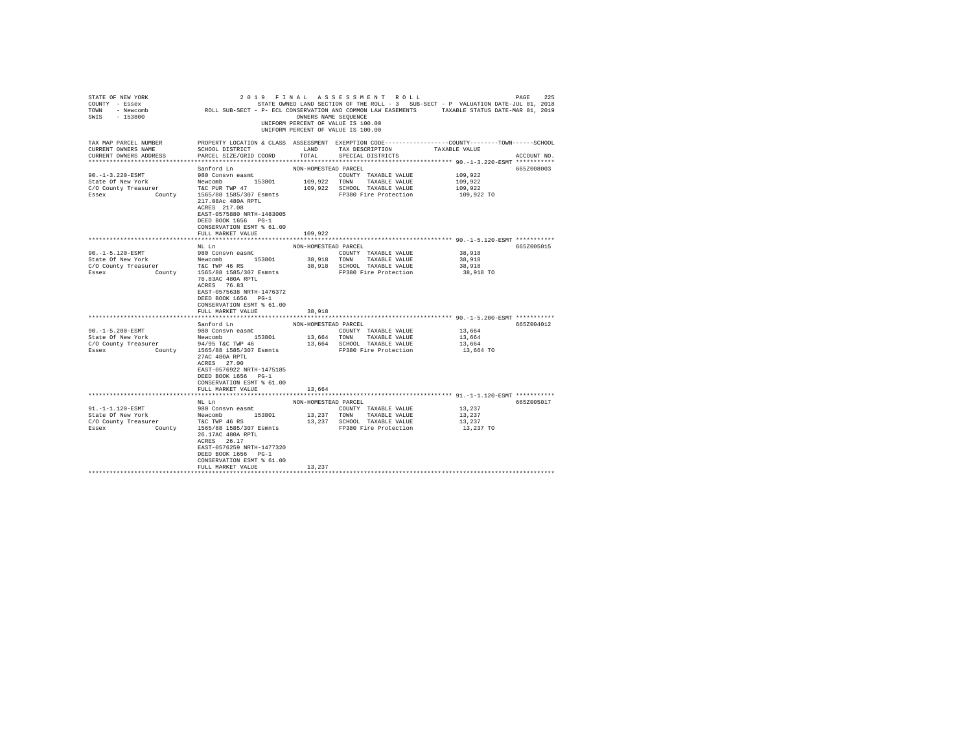| STATE OF NEW YORK<br>COUNTY - Essex<br>TOWN<br>- Newcomb<br>$-153800$<br>SWIS | ROLL SUB-SECT - P- ECL CONSERVATION AND COMMON LAW EASEMENTS TAXABLE STATUS DATE-MAR 01, 2019                                                                     | OWNERS NAME SEOUENCE | 2019 FINAL ASSESSMENT ROLL<br>STATE OWNED LAND SECTION OF THE ROLL - 3 SUB-SECT - P VALUATION DATE-JUL 01, 2018<br>UNIFORM PERCENT OF VALUE IS 100.00<br>UNIFORM PERCENT OF VALUE IS 100.00 |                     | 225<br>PAGE |
|-------------------------------------------------------------------------------|-------------------------------------------------------------------------------------------------------------------------------------------------------------------|----------------------|---------------------------------------------------------------------------------------------------------------------------------------------------------------------------------------------|---------------------|-------------|
| TAX MAP PARCEL NUMBER<br>CURRENT OWNERS NAME<br>CURRENT OWNERS ADDRESS        | PROPERTY LOCATION & CLASS ASSESSMENT EXEMPTION CODE----------------COUNTY-------TOWN------SCHOOL<br>SCHOOL DISTRICT<br>PARCEL SIZE/GRID COORD                     | LAND<br>TOTAL        | TAX DESCRIPTION<br>SPECIAL DISTRICTS                                                                                                                                                        | TAXABLE VALUE       | ACCOUNT NO. |
|                                                                               |                                                                                                                                                                   |                      |                                                                                                                                                                                             |                     |             |
|                                                                               | Sanford Ln                                                                                                                                                        | NON-HOMESTEAD PARCEL |                                                                                                                                                                                             |                     | 665Z008003  |
| $90. -1 - 3.220 - ESMT$                                                       | 980 Consvn easmt                                                                                                                                                  |                      | COUNTY TAXABLE VALUE                                                                                                                                                                        | 109,922             |             |
| State Of New York                                                             | 153801<br>Newcomb                                                                                                                                                 | 109,922              | TOWN<br>TAXABLE VALUE                                                                                                                                                                       | 109,922             |             |
| C/O County Treasurer                                                          | T&C PUR TWP 47                                                                                                                                                    |                      | 109,922 SCHOOL TAXABLE VALUE                                                                                                                                                                | 109,922             |             |
| Essex<br>County                                                               | 1565/88 1585/307 Esmnts<br>217.08Ac 480A RPTL<br>ACRES 217.08<br>EAST-0575880 NRTH-1483005<br>DEED BOOK 1656 PG-1<br>CONSERVATION ESMT % 61.00                    |                      | FP380 Fire Protection                                                                                                                                                                       | 109,922 TO          |             |
|                                                                               | FULL MARKET VALUE                                                                                                                                                 | 109,922              |                                                                                                                                                                                             |                     |             |
|                                                                               |                                                                                                                                                                   |                      |                                                                                                                                                                                             |                     |             |
|                                                                               | NL Ln                                                                                                                                                             | NON-HOMESTEAD PARCEL |                                                                                                                                                                                             |                     | 665Z005015  |
| 90. -1-5.120-ESMT                                                             | 980 Consvn easmt                                                                                                                                                  |                      | COUNTY TAXABLE VALUE                                                                                                                                                                        | 38,918              |             |
| State Of New York                                                             | Newcomb 153801                                                                                                                                                    | 38,918 TOWN          | TAXABLE VALUE                                                                                                                                                                               | 38,918              |             |
| C/O County Treasurer<br>County<br>Essex                                       | T&C TWP 46 RS<br>1565/88 1585/307 Esmnts                                                                                                                          |                      | 38,918 SCHOOL TAXABLE VALUE<br>FP380 Fire Protection                                                                                                                                        | 38,918<br>38,918 TO |             |
|                                                                               | 76.83AC 480A RPTL<br>ACRES 76.83<br>EAST-0575638 NRTH-1476372<br>DEED BOOK 1656 PG-1<br>CONSERVATION ESMT % 61.00                                                 | 38,918               |                                                                                                                                                                                             |                     |             |
|                                                                               | FULL MARKET VALUE                                                                                                                                                 |                      |                                                                                                                                                                                             |                     |             |
|                                                                               | Sanford Ln                                                                                                                                                        | NON-HOMESTEAD PARCEL |                                                                                                                                                                                             |                     | 665Z004012  |
| 90. -1-5.200-ESMT                                                             | 980 Consvn easmt                                                                                                                                                  |                      | COUNTY TAXABLE VALUE                                                                                                                                                                        | 13,664              |             |
| State Of New York                                                             | Newcomb<br>153801                                                                                                                                                 |                      | 13,664 TOWN TAXABLE VALUE                                                                                                                                                                   | 13,664              |             |
| C/O County Treasurer                                                          | 94/95 T&C TWP 46                                                                                                                                                  |                      | 13,664 SCHOOL TAXABLE VALUE                                                                                                                                                                 | 13,664              |             |
| County<br>Essex                                                               | 1565/88 1585/307 Esmnts<br>27AC 480A RPTL<br>ACRES 27.00<br>EAST-0576922 NRTH-1475185<br>DEED BOOK 1656 PG-1<br>CONSERVATION ESMT % 61.00                         |                      | FP380 Fire Protection                                                                                                                                                                       | 13,664 TO           |             |
|                                                                               | FULL MARKET VALUE                                                                                                                                                 | 13,664               |                                                                                                                                                                                             |                     |             |
|                                                                               | NL Ln                                                                                                                                                             | NON-HOMESTEAD PARCEL |                                                                                                                                                                                             |                     | 665Z005017  |
| 91.-1-1.120-ESMT                                                              | 980 Consvn easmt                                                                                                                                                  |                      | COUNTY TAXABLE VALUE                                                                                                                                                                        | 13,237              |             |
| State Of New York                                                             | Newcomb 153801                                                                                                                                                    | 13,237               | TOWN<br>TAXABLE VALUE                                                                                                                                                                       | 13,237              |             |
| C/O County Treasurer                                                          | T&C TWP 46 RS                                                                                                                                                     |                      | 13,237 SCHOOL TAXABLE VALUE                                                                                                                                                                 | 13,237              |             |
| Essex<br>County                                                               | 1565/88 1585/307 Esmnts<br>26.17AC 480A RPTL<br>ACRES 26.17<br>EAST-0576259 NRTH-1477320<br>DEED BOOK 1656 PG-1<br>CONSERVATION ESMT % 61.00<br>FULL MARKET VALUE | 13,237               | FP380 Fire Protection                                                                                                                                                                       | 13,237 TO           |             |
|                                                                               |                                                                                                                                                                   |                      |                                                                                                                                                                                             |                     |             |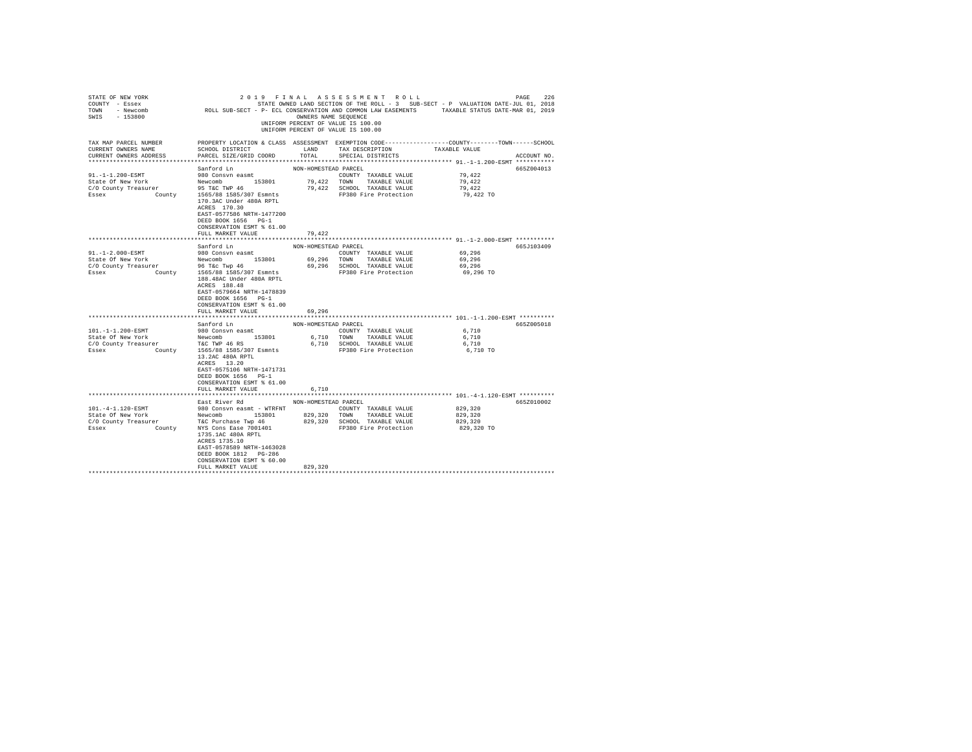| STATE OF NEW YORK<br>COUNTY - Essex<br>TOWN<br>- Newcomb<br>$-153800$<br>SWIS | ROLL SUB-SECT - P- ECL CONSERVATION AND COMMON LAW EASEMENTS TAXABLE STATUS DATE-MAR 01, 2019                                                                          | OWNERS NAME SEOUENCE                | 2019 FINAL ASSESSMENT ROLL<br>UNIFORM PERCENT OF VALUE IS 100.00<br>UNIFORM PERCENT OF VALUE IS 100.00 | STATE OWNED LAND SECTION OF THE ROLL - 3 SUB-SECT - P VALUATION DATE-JUL 01, 2018 | 226<br>PAGE |
|-------------------------------------------------------------------------------|------------------------------------------------------------------------------------------------------------------------------------------------------------------------|-------------------------------------|--------------------------------------------------------------------------------------------------------|-----------------------------------------------------------------------------------|-------------|
| TAX MAP PARCEL NUMBER<br>CURRENT OWNERS NAME<br>CURRENT OWNERS ADDRESS        | PROPERTY LOCATION & CLASS ASSESSMENT EXEMPTION CODE----------------COUNTY-------TOWN------SCHOOL<br>SCHOOL DISTRICT<br>PARCEL SIZE/GRID COORD                          | LAND<br>TOTAL                       | TAX DESCRIPTION<br>SPECIAL DISTRICTS                                                                   | TAXABLE VALUE                                                                     | ACCOUNT NO. |
|                                                                               |                                                                                                                                                                        |                                     |                                                                                                        |                                                                                   |             |
| $91. -1 - 1.200 - ESMT$<br>State Of New York<br>C/O County Treasurer          | Sanford Ln<br>980 Consvn easmt<br>153801<br>Newcomb<br>95 T&C TWP 46                                                                                                   | NON-HOMESTEAD PARCEL<br>79,422 TOWN | COUNTY TAXABLE VALUE<br>TAXABLE VALUE<br>79,422 SCHOOL TAXABLE VALUE                                   | 79.422<br>79.422<br>79.422                                                        | 665Z004013  |
| Essex<br>County                                                               | 1565/88 1585/307 Esmnts<br>170.3AC Under 480A RPTL<br>ACRES 170.30<br>EAST-0577586 NRTH-1477200<br>DEED BOOK 1656 PG-1<br>CONSERVATION ESMT % 61.00                    |                                     | FP380 Fire Protection                                                                                  | 79,422 TO                                                                         |             |
|                                                                               | FULL MARKET VALUE                                                                                                                                                      | 79.422                              |                                                                                                        |                                                                                   |             |
|                                                                               | Sanford Ln                                                                                                                                                             | NON-HOMESTEAD PARCEL                |                                                                                                        |                                                                                   | 665J103409  |
| 91. -1-2.000-ESMT                                                             | 980 Consvn easmt                                                                                                                                                       |                                     | COUNTY TAXABLE VALUE                                                                                   | 69,296                                                                            |             |
| State Of New York                                                             | Newcomb 153801                                                                                                                                                         | 69,296 TOWN                         | TAXABLE VALUE                                                                                          | 69,296                                                                            |             |
| C/O County Treasurer                                                          | 96 T&c Twp 46                                                                                                                                                          |                                     | 69,296 SCHOOL TAXABLE VALUE                                                                            | 69,296                                                                            |             |
| County<br>Essex                                                               | 1565/88 1585/307 Esmnts<br>188.48AC Under 480A RPTL<br>ACRES 188.48<br>EAST-0579664 NRTH-1478839<br>DEED BOOK 1656 PG-1<br>CONSERVATION ESMT % 61.00                   |                                     | FP380 Fire Protection                                                                                  | 69,296 TO                                                                         |             |
|                                                                               | FULL MARKET VALUE                                                                                                                                                      | 69.296                              |                                                                                                        |                                                                                   |             |
|                                                                               |                                                                                                                                                                        |                                     |                                                                                                        |                                                                                   |             |
|                                                                               | Sanford Ln                                                                                                                                                             | NON-HOMESTEAD PARCEL                |                                                                                                        |                                                                                   | 665Z005018  |
| 101.-1-1.200-ESMT<br>State Of New York                                        | 980 Consvn easmt<br>Newcomb 153801                                                                                                                                     |                                     | COUNTY TAXABLE VALUE                                                                                   | 6,710<br>6,710                                                                    |             |
| C/O County Treasurer                                                          | T&C TWP 46 RS                                                                                                                                                          |                                     | 6,710 TOWN<br>TAXABLE VALUE<br>6,710 SCHOOL TAXABLE VALUE                                              | 6,710                                                                             |             |
| Essex<br>County                                                               | 1565/88 1585/307 Esmnts<br>13.2AC 480A RPTL<br>ACRES 13.20<br>EAST-0575106 NRTH-1471731<br>DEED BOOK 1656 PG-1<br>CONSERVATION ESMT % 61.00<br>FULL MARKET VALUE       | 6,710                               | FP380 Fire Protection                                                                                  | 6,710 TO                                                                          |             |
|                                                                               |                                                                                                                                                                        |                                     |                                                                                                        |                                                                                   |             |
|                                                                               | East River Rd                                                                                                                                                          | NON-HOMESTEAD PARCEL                |                                                                                                        |                                                                                   | 665Z010002  |
| $101. -4 - 1.120 - ESMT$                                                      | 980 Consyn easmt - WTRFNT                                                                                                                                              |                                     | COUNTY TAXABLE VALUE                                                                                   | 829,320                                                                           |             |
| State Of New York                                                             | Newcomb 153801                                                                                                                                                         | 829,320                             | TOWN<br>TAXABLE VALUE                                                                                  | 829,320                                                                           |             |
| C/O County Treasurer<br>Essex<br>County                                       | T&C Purchase Twp 46<br>NYS Cons Ease 7001401<br>1735.1AC 480A RPTL<br>ACRES 1735.10<br>EAST-0578589 NRTH-1463028<br>DEED BOOK 1812 PG-286<br>CONSERVATION ESMT % 60.00 |                                     | 829,320 SCHOOL TAXABLE VALUE<br>FP380 Fire Protection                                                  | 829,320<br>829,320 TO                                                             |             |
|                                                                               | FULL MARKET VALUE                                                                                                                                                      | 829,320                             |                                                                                                        |                                                                                   |             |
|                                                                               |                                                                                                                                                                        |                                     |                                                                                                        |                                                                                   |             |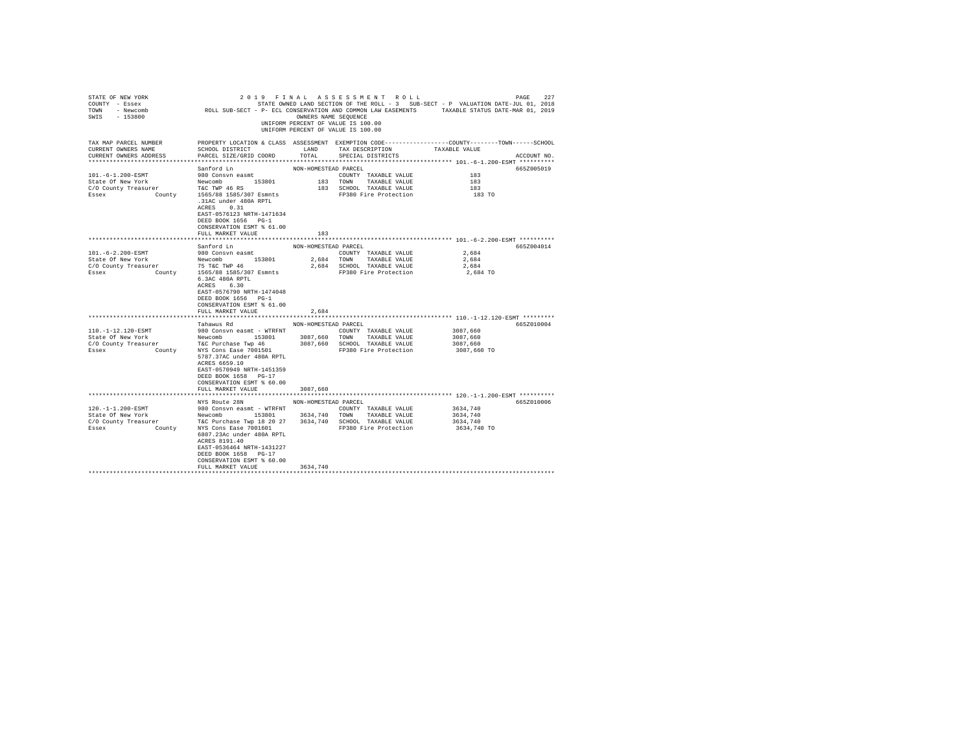| STATE OF NEW YORK<br>COUNTY - Essex<br>TOWN<br>- Newcomb<br>$-153800$<br>SWIS                       | ROLL SUB-SECT - P- ECL CONSERVATION AND COMMON LAW EASEMENTS                                                                                                                                      | OWNERS NAME SEOUENCE | 2019 FINAL ASSESSMENT ROLL<br>STATE OWNED LAND SECTION OF THE ROLL - 3 SUB-SECT - P VALUATION DATE-JUL 01, 2018<br>UNIFORM PERCENT OF VALUE IS 100.00<br>UNIFORM PERCENT OF VALUE IS 100.00 | TAXABLE STATUS DATE-MAR 01, 2019 | 227<br>PAGE |
|-----------------------------------------------------------------------------------------------------|---------------------------------------------------------------------------------------------------------------------------------------------------------------------------------------------------|----------------------|---------------------------------------------------------------------------------------------------------------------------------------------------------------------------------------------|----------------------------------|-------------|
| TAX MAP PARCEL NUMBER<br>CURRENT OWNERS NAME<br>CURRENT OWNERS ADDRESS<br>************************* | PROPERTY LOCATION & CLASS ASSESSMENT EXEMPTION CODE---------------COUNTY-------TOWN------SCHOOL<br>SCHOOL DISTRICT<br>PARCEL SIZE/GRID COORD                                                      | LAND<br>TOTAL        | TAX DESCRIPTION<br>SPECIAL DISTRICTS                                                                                                                                                        | TAXABLE VALUE                    | ACCOUNT NO. |
|                                                                                                     |                                                                                                                                                                                                   |                      |                                                                                                                                                                                             |                                  | 665Z005019  |
| 101. -6-1.200-ESMT                                                                                  | Sanford Ln<br>980 Consyn easmt                                                                                                                                                                    | NON-HOMESTEAD PARCEL | COUNTY TAXABLE VALUE                                                                                                                                                                        | 183                              |             |
| State Of New York                                                                                   | 153801<br>Newcomb                                                                                                                                                                                 | 183 TOWN             | TAXABLE VALUE                                                                                                                                                                               | 183                              |             |
| C/O County Treasurer                                                                                | T&C TWP 46 RS                                                                                                                                                                                     |                      | 183 SCHOOL TAXABLE VALUE                                                                                                                                                                    | 183                              |             |
| Essex<br>County                                                                                     | 1565/88 1585/307 Esmnts<br>.31AC under 480A RPTL<br>0.31<br>ACRES<br>EAST-0576123 NRTH-1471634<br>DEED BOOK 1656 PG-1<br>CONSERVATION ESMT % 61.00                                                |                      | FP380 Fire Protection                                                                                                                                                                       | 183 TO                           |             |
|                                                                                                     | FULL MARKET VALUE                                                                                                                                                                                 | 183                  |                                                                                                                                                                                             |                                  |             |
|                                                                                                     |                                                                                                                                                                                                   |                      |                                                                                                                                                                                             |                                  |             |
|                                                                                                     | Sanford Ln                                                                                                                                                                                        | NON-HOMESTEAD PARCEL |                                                                                                                                                                                             |                                  | 665Z004014  |
| $101. - 6 - 2.200 - ESMT$                                                                           | 980 Consvn easmt                                                                                                                                                                                  |                      | COUNTY TAXABLE VALUE                                                                                                                                                                        | 2,684                            |             |
| State Of New York                                                                                   | Newcomb 153801                                                                                                                                                                                    | 2,684 TOWN           | TAXABLE VALUE                                                                                                                                                                               | 2,684                            |             |
| C/O County Treasurer                                                                                | 75 T&C TWP 46                                                                                                                                                                                     |                      | 2,684 SCHOOL TAXABLE VALUE                                                                                                                                                                  | 2,684                            |             |
| Essex<br>County                                                                                     | 1565/88 1585/307 Esmnts<br>6.3AC 480A RPTL<br>ACRES 6.30<br>EAST-0576790 NRTH-1474048<br>DEED BOOK 1656 PG-1<br>CONSERVATION ESMT % 61.00                                                         |                      | FP380 Fire Protection                                                                                                                                                                       | 2,684 TO                         |             |
|                                                                                                     | FULL MARKET VALUE                                                                                                                                                                                 | 2.684                |                                                                                                                                                                                             |                                  |             |
|                                                                                                     |                                                                                                                                                                                                   |                      |                                                                                                                                                                                             |                                  |             |
|                                                                                                     | Tahawus Rd                                                                                                                                                                                        | NON-HOMESTEAD PARCEL |                                                                                                                                                                                             |                                  | 665Z010004  |
| 110. -1-12.120-ESMT                                                                                 | 980 Consvn easmt - WTRFNT                                                                                                                                                                         |                      | COUNTY TAXABLE VALUE                                                                                                                                                                        | 3087,660                         |             |
| State Of New York                                                                                   | Newcomb<br>153801                                                                                                                                                                                 | 3087,660 TOWN        | TAXABLE VALUE                                                                                                                                                                               | 3087.660                         |             |
| C/O County Treasurer<br>Essex<br>County                                                             | T&C Purchase Twp 46<br>NYS Cons Ease 7001501<br>5787.37AC under 480A RPTL<br>ACRES 6659.10<br>EAST-0570949 NRTH-1451359<br>DEED BOOK 1658 PG-17<br>CONSERVATION ESMT % 60.00<br>FULL MARKET VALUE | 3087.660             | 3087,660 SCHOOL TAXABLE VALUE<br>FP380 Fire Protection                                                                                                                                      | 3087,660<br>3087,660 TO          |             |
|                                                                                                     |                                                                                                                                                                                                   |                      |                                                                                                                                                                                             |                                  |             |
|                                                                                                     | NYS Route 28N                                                                                                                                                                                     | NON-HOMESTEAD PARCEL |                                                                                                                                                                                             |                                  | 665Z010006  |
| 120. -1-1.200-ESMT                                                                                  | 980 Consyn easmt - WTRFNT                                                                                                                                                                         |                      | COUNTY TAXABLE VALUE                                                                                                                                                                        | 3634,740                         |             |
| State Of New York                                                                                   | Newcomb<br>153801                                                                                                                                                                                 | 3634,740             | TOWN<br>TAXABLE VALUE                                                                                                                                                                       | 3634,740                         |             |
| C/O County Treasurer<br>Essex<br>County                                                             | T&C Purchase Twp 18 20 27<br>NYS Cons Ease 7001601<br>6807.23Ac under 480A RPTL<br>ACRES 8191.40<br>EAST-0536464 NRTH-1431227<br>DEED BOOK 1658 PG-17<br>CONSERVATION ESMT % 60.00                |                      | 3634,740 SCHOOL TAXABLE VALUE<br>FP380 Fire Protection                                                                                                                                      | 3634,740<br>3634,740 TO          |             |
|                                                                                                     | FULL MARKET VALUE                                                                                                                                                                                 | 3634,740             |                                                                                                                                                                                             |                                  |             |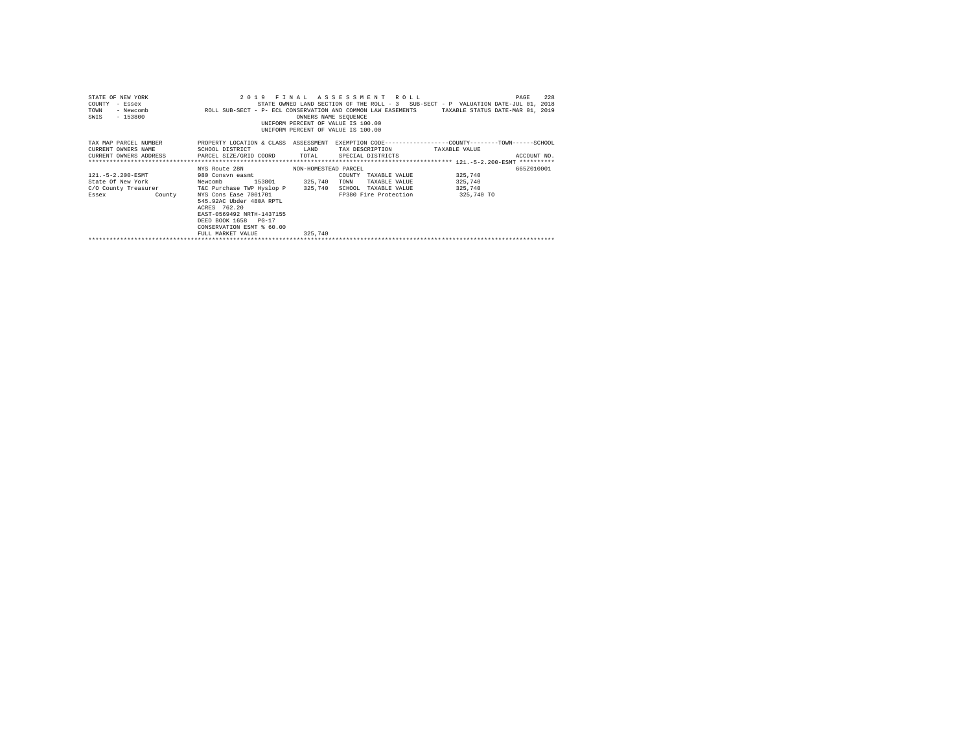| STATE OF NEW YORK<br>COUNTY<br>- Essex<br>TOWN<br>- Newcomb<br>$-153800$<br>SWIS | 2019 FINAL ASSESSMENT ROLL<br>ROLL SUB-SECT - P- ECL CONSERVATION AND COMMON LAW EASEMENTS TAXABLE STATUS DATE-MAR 01, 2019                                              | OWNERS NAME SEQUENCE<br>UNIFORM PERCENT OF VALUE IS 100.00<br>UNIFORM PERCENT OF VALUE IS 100.00 |                                  | 228<br>PAGE<br>STATE OWNED LAND SECTION OF THE ROLL - 3 SUB-SECT - P VALUATION DATE-JUL 01, 2018 |
|----------------------------------------------------------------------------------|--------------------------------------------------------------------------------------------------------------------------------------------------------------------------|--------------------------------------------------------------------------------------------------|----------------------------------|--------------------------------------------------------------------------------------------------|
| TAX MAP PARCEL NUMBER                                                            | PROPERTY LOCATION & CLASS ASSESSMENT EXEMPTION CODE----------------COUNTY-------TOWN------SCHOOL                                                                         |                                                                                                  |                                  |                                                                                                  |
| CURRENT OWNERS NAME                                                              | SCHOOL DISTRICT                                                                                                                                                          | LAND                                                                                             | TAX DESCRIPTION TAXABLE VALUE    |                                                                                                  |
|                                                                                  | CURRENT OWNERS ADDRESS PARCEL SIZE/GRID COORD TOTAL                                                                                                                      |                                                                                                  | SPECIAL DISTRICTS                | ACCOUNT NO.                                                                                      |
|                                                                                  |                                                                                                                                                                          |                                                                                                  |                                  |                                                                                                  |
|                                                                                  | NYS Route 28N                                                                                                                                                            | NON-HOMESTEAD PARCEL                                                                             |                                  | 665Z010001                                                                                       |
| 121. - 5 - 2.200 - ESMT                                                          | 980 Consvn easmt                                                                                                                                                         | COUNTY                                                                                           | TAXABLE VALUE                    | 325,740                                                                                          |
| State Of New York                                                                | 153801<br>Newcomb                                                                                                                                                        | 325,740<br>TOWN                                                                                  | TAXABLE VALUE                    | 325,740                                                                                          |
| C/O County Treasurer T&C Purchase TWP Hyslop P 325,740                           |                                                                                                                                                                          |                                                                                                  | SCHOOL TAXABLE VALUE             | 325,740                                                                                          |
| Essex<br><b>County</b>                                                           | NYS Cons Ease 7001701<br>545.92AC Ubder 480A RPTL<br>ACRES 762.20<br>EAST-0569492 NRTH-1437155<br>DEED BOOK 1658 PG-17<br>CONSERVATION ESMT % 60.00<br>FULL MARKET VALUE | 325,740                                                                                          | FP380 Fire Protection 325,740 TO |                                                                                                  |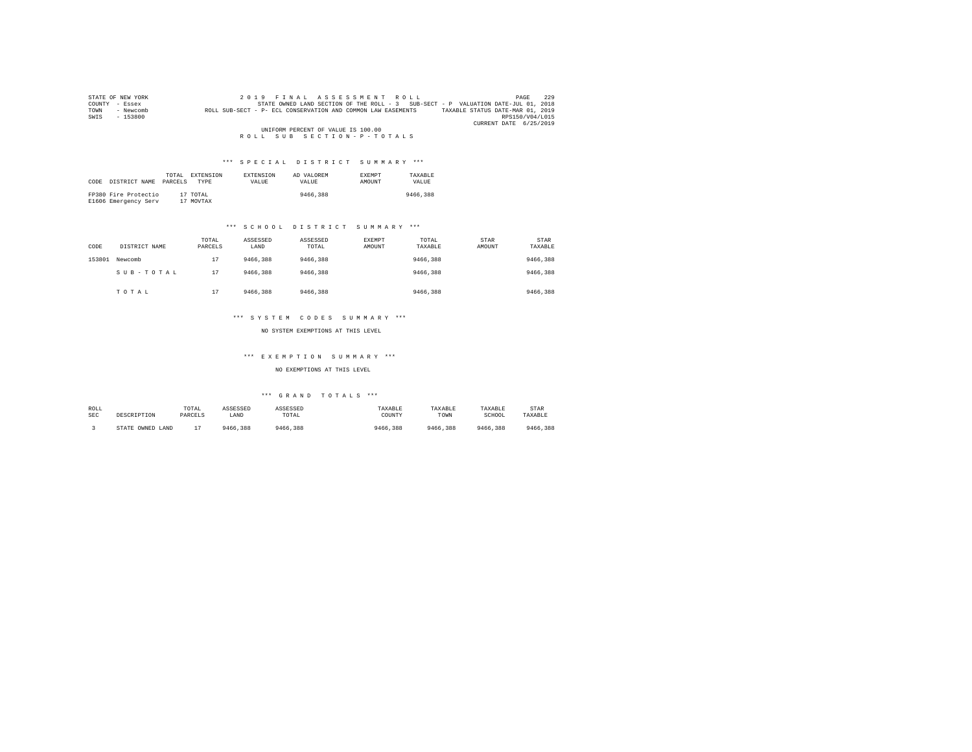| STATE OF NEW YORK |           |                                                              |  |                                    | 2019 FINAL ASSESSMENT ROLL |                                                                                   | PAGE                   | 229 |
|-------------------|-----------|--------------------------------------------------------------|--|------------------------------------|----------------------------|-----------------------------------------------------------------------------------|------------------------|-----|
| COUNTY - Essex    |           |                                                              |  |                                    |                            | STATE OWNED LAND SECTION OF THE ROLL - 3 SUB-SECT - P VALUATION DATE-JUL 01, 2018 |                        |     |
| TOWN              | - Newcomb | ROLL SUB-SECT - P- ECL CONSERVATION AND COMMON LAW EASEMENTS |  |                                    |                            | TAXABLE STATUS DATE-MAR 01, 2019                                                  |                        |     |
| SWIS              | $-153800$ |                                                              |  |                                    |                            |                                                                                   | RPS150/V04/L015        |     |
|                   |           |                                                              |  |                                    |                            |                                                                                   | CURRENT DATE 6/25/2019 |     |
|                   |           |                                                              |  | UNIFORM PERCENT OF VALUE IS 100.00 |                            |                                                                                   |                        |     |
|                   |           |                                                              |  |                                    | ROLL SUB SECTION-P-TOTALS  |                                                                                   |                        |     |

| CODE | DISTRICT NAME                                | TOTAL.<br>PARCELS | EXTENSION<br><b>TYPE</b> | <b>EXTENSION</b><br>VALUE | AD VALOREM<br>VALUE | <b>EXEMPT</b><br><b>AMOUNT</b> | TAXARLE<br>VALUE |
|------|----------------------------------------------|-------------------|--------------------------|---------------------------|---------------------|--------------------------------|------------------|
|      | FP380 Fire Protectio<br>E1606 Emergency Serv |                   | 17 TOTAL<br>17 MOVTAX    |                           | 9466,388            |                                | 9466,388         |

## \*\*\* S C H O O L D I S T R I C T S U M M A R Y \*\*\*

| CODE   | DISTRICT NAME | TOTAL<br>PARCELS | ASSESSED<br>LAND | ASSESSED<br>TOTAL | <b>EXEMPT</b><br>AMOUNT | TOTAL<br>TAXABLE | STAR<br>AMOUNT | STAR<br>TAXABLE |
|--------|---------------|------------------|------------------|-------------------|-------------------------|------------------|----------------|-----------------|
| 153801 | Newcomb       | 17               | 9466,388         | 9466,388          |                         | 9466.388         |                | 9466,388        |
|        | SUB-TOTAL     | 17               | 9466,388         | 9466,388          |                         | 9466,388         |                | 9466,388        |
|        | TOTAL         | 17               | 9466.388         | 9466,388          |                         | 9466,388         |                | 9466,388        |

## \*\*\* S Y S T E M C O D E S S U M M A R Y \*\*\*

NO SYSTEM EXEMPTIONS AT THIS LEVEL

#### \*\*\* E X E M P T I O N S U M M A R Y \*\*\*

NO EXEMPTIONS AT THIS LEVEL

| ROLL       | DESCRIPTION      | TOTAL   | ASSESSED | ASSESSED | TAXABLE  | TAXABLE  | TAXABLE  | STAR     |
|------------|------------------|---------|----------|----------|----------|----------|----------|----------|
| <b>SEC</b> |                  | PARCELS | LAND     | TOTAL    | COUNTY   | TOWN     | SCHOOL   | TAXABLE  |
|            | STATE OWNED LAND |         | 9466.388 | 9466,388 | 9466.388 | 9466.388 | 9466.388 | 9466,388 |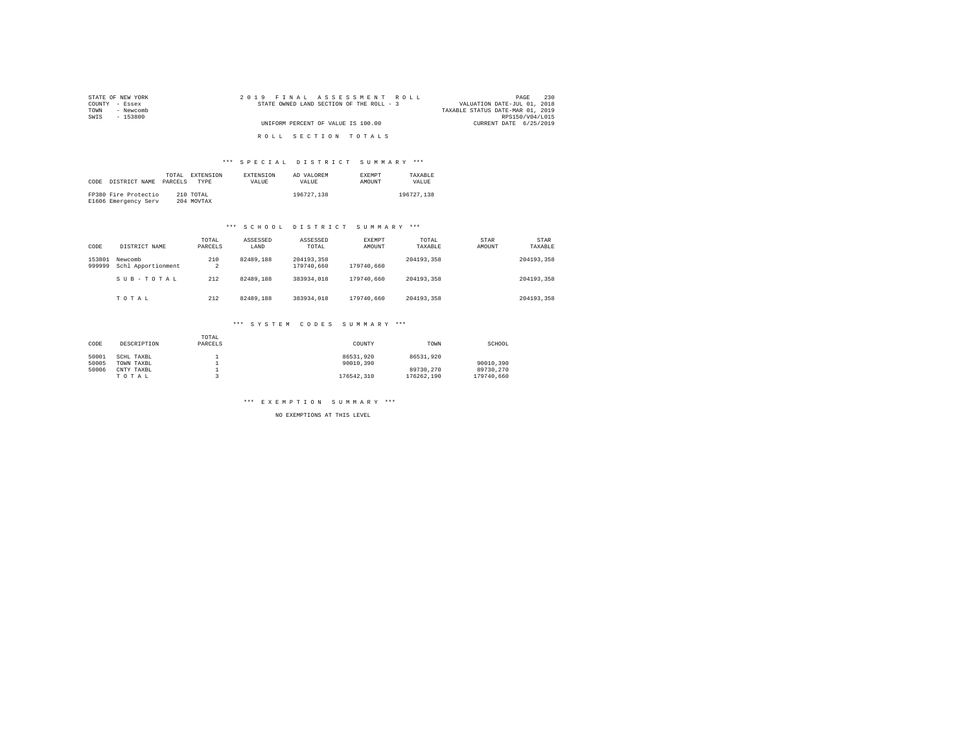| STATE OF NEW YORK | 2019 FINAL ASSESSMENT ROLL               | 230<br>PAGE                      |
|-------------------|------------------------------------------|----------------------------------|
| COUNTY - Essex    | STATE OWNED LAND SECTION OF THE ROLL - 3 | VALUATION DATE-JUL 01, 2018      |
| TOWN<br>- Newcomb |                                          | TAXABLE STATUS DATE-MAR 01, 2019 |
| SWIS<br>- 153800  |                                          | RPS150/V04/L015                  |
|                   | UNIFORM PERCENT OF VALUE IS 100.00       | CURRENT DATE 6/25/2019           |
|                   | ROLL SECTION TOTALS                      |                                  |

|      |                      | TOTAL   | EXTENSION   | <b>EXTENSION</b> | AD VALOREM | <b>EXEMPT</b> | TAXARLE    |
|------|----------------------|---------|-------------|------------------|------------|---------------|------------|
| CODE | DISTRICT NAME        | PARCELS | <b>TYPE</b> | <b>VALUE</b>     | VALUE.     | AMOUNT        | VALUE.     |
|      |                      |         |             |                  |            |               |            |
|      | FP380 Fire Protectio |         | 210 TOTAL   |                  | 196727.138 |               | 196727.138 |
|      | E1606 Emergency Serv |         | 204 MOVTAX  |                  |            |               |            |

## \*\*\* S C H O O L D I S T R I C T S U M M A R Y \*\*\*

| CODE             | DISTRICT NAME                 | TOTAL<br>PARCELS | ASSESSED<br>LAND | ASSESSED<br>TOTAL        | <b>EXEMPT</b><br>AMOUNT | TOTAL<br>TAXABLE | STAR<br>AMOUNT | <b>STAR</b><br>TAXABLE |
|------------------|-------------------------------|------------------|------------------|--------------------------|-------------------------|------------------|----------------|------------------------|
| 153801<br>999999 | Newcomb<br>Schl Apportionment | 210<br>2         | 82489.188        | 204193.358<br>179740.660 | 179740.660              | 204193.358       |                | 204193.358             |
|                  | SUB-TOTAL                     | 212              | 82489.188        | 383934,018               | 179740.660              | 204193.358       |                | 204193.358             |
|                  | TOTAL                         | 212              | 82489.188        | 383934,018               | 179740.660              | 204193.358       |                | 204193.358             |

#### \*\*\* S Y S T E M C O D E S S U M M A R Y \*\*\*

| CODE  | DESCRIPTION | TOTAL<br>PARCELS | COUNTY     | TOWN       | SCHOOL     |
|-------|-------------|------------------|------------|------------|------------|
| 50001 | SCHL TAXBL  |                  | 86531.920  | 86531.920  |            |
| 50005 | TOWN TAXBL  |                  | 90010.390  |            | 90010.390  |
| 50006 | CNTY TAXBL  |                  |            | 89730.270  | 89730.270  |
|       | TOTAL       |                  | 176542.310 | 176262.190 | 179740.660 |

\*\*\* E X E M P T I O N S U M M A R Y \*\*\*

NO EXEMPTIONS AT THIS LEVEL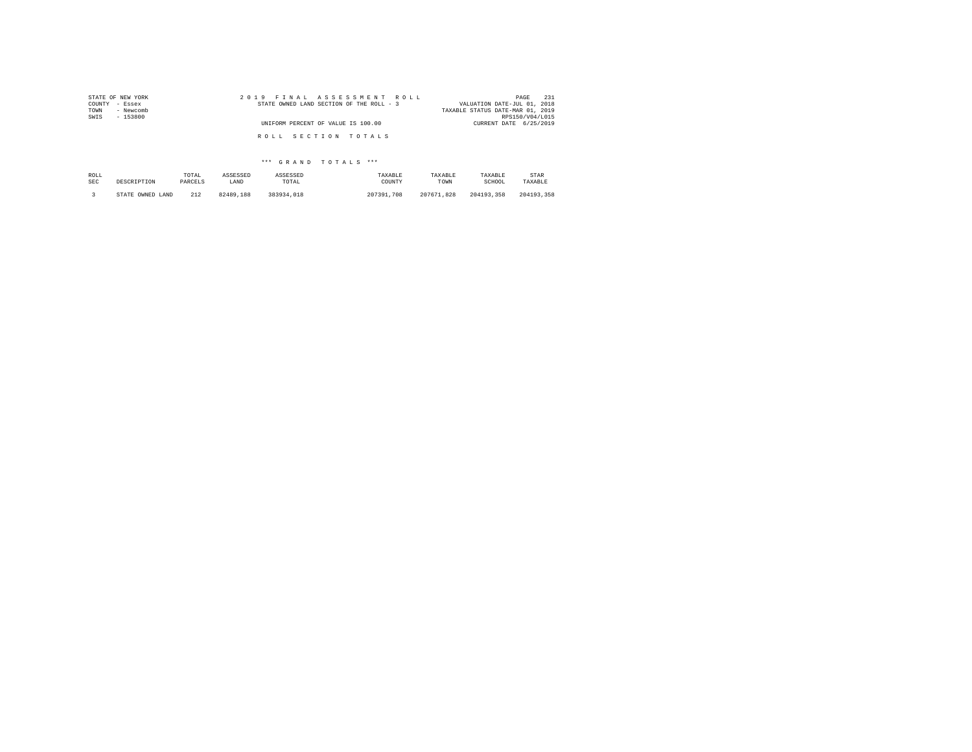| STATE OF NEW YORK | 2019 FINAL ASSESSMENT ROLL               | 231<br>PAGE                      |
|-------------------|------------------------------------------|----------------------------------|
| COUNTY - Essex    | STATE OWNED LAND SECTION OF THE ROLL - 3 | VALUATION DATE-JUL 01, 2018      |
| - Newcomb<br>TOWN |                                          | TAXABLE STATUS DATE-MAR 01, 2019 |
| SWIS<br>- 153800  |                                          | RPS150/V04/L015                  |
|                   | UNIFORM PERCENT OF VALUE IS 100.00       | CURRENT DATE 6/25/2019           |
|                   |                                          |                                  |
|                   | ROLL SECTION TOTALS                      |                                  |
|                   |                                          |                                  |

| ROLL       | DESCRIPTION      | TOTAL   | ASSESSED  | ASSESSED   | TAXABLE    | TAXARLE    | TAXABLE    | STAR       |
|------------|------------------|---------|-----------|------------|------------|------------|------------|------------|
| <b>SEC</b> |                  | PARCELS | LAND      | TOTAL      | COUNTY     | TOWN       | SCHOOL     | TAXABLE    |
|            | STATE OWNED LAND | 212     | 82489.188 | 383934,018 | 207391.708 | 207671.828 | 204193.358 | 204193.358 |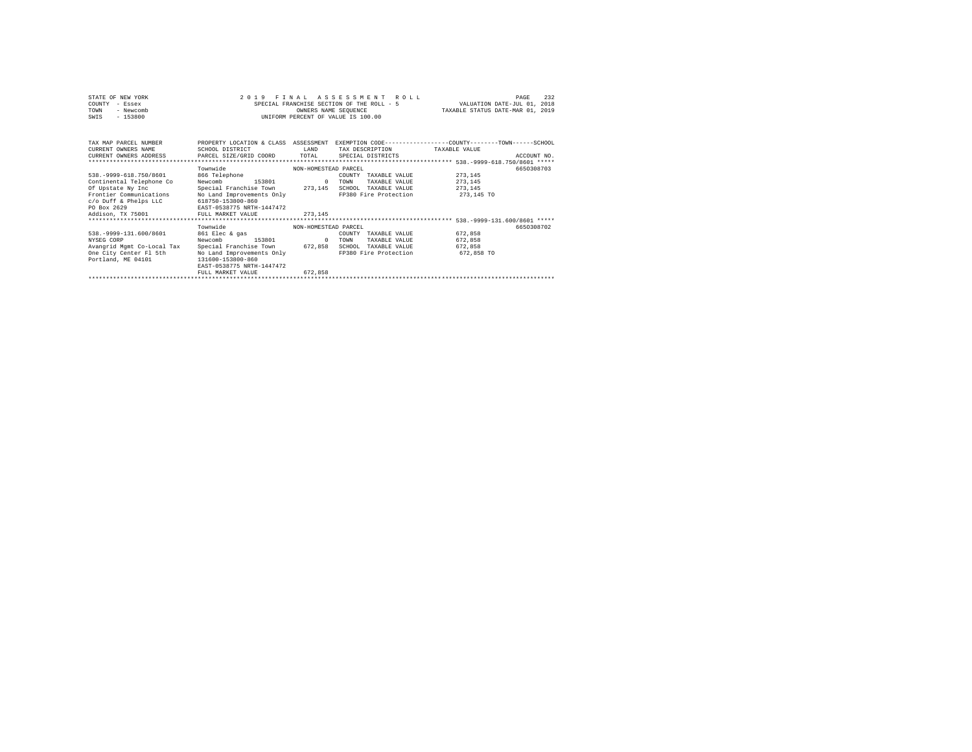| STATE OF NEW YORK | 2019 FINAL ASSESSMENT ROLL                | 232<br>PAGE                      |
|-------------------|-------------------------------------------|----------------------------------|
| COUNTY - Essex    | SPECIAL FRANCHISE SECTION OF THE ROLL - 5 | VALUATION DATE-JUL 01, 2018      |
| TOWN<br>- Newcomb | OWNERS NAME SEOUENCE                      | TAXABLE STATUS DATE-MAR 01, 2019 |
| $-153800$<br>SWIS | UNIFORM PERCENT OF VALUE IS 100.00        |                                  |

| TAX MAP PARCEL NUMBER<br>CURRENT OWNERS NAME<br>CURRENT OWNERS ADDRESS PARCEL SIZE/GRID COORD TOTAL | PROPERTY LOCATION & CLASS<br>SCHOOL DISTRICT | ASSESSMENT<br>LAND   | TAX DESCRIPTION<br>SPECIAL DISTRICTS | EXEMPTION CODE-----------------COUNTY-------TOWN-----SCHOOL<br>TAXABLE VALUE<br>ACCOUNT NO. |  |
|-----------------------------------------------------------------------------------------------------|----------------------------------------------|----------------------|--------------------------------------|---------------------------------------------------------------------------------------------|--|
|                                                                                                     | Townwide                                     | NON-HOMESTEAD PARCEL |                                      | 6650308703                                                                                  |  |
| 538. - 9999-618.750/8601                                                                            | 866 Telephone                                |                      | COUNTY<br>TAXABLE VALUE              | 273.145                                                                                     |  |
| Continental Telephone Co                                                                            | 153801<br>Newcomb                            | $^{\circ}$           | TOWN<br>TAXABLE VALUE                | 273.145                                                                                     |  |
| Of Upstate Ny Inc                                                                                   | Special Franchise Town 273,145               |                      | SCHOOL<br>TAXABLE VALUE              | 273.145                                                                                     |  |
| Frontier Communications                                                                             | No Land Improvements Only                    |                      | FP380 Fire Protection                | 273,145 TO                                                                                  |  |
| c/o Duff & Phelps LLC                                                                               | 618750-153800-860                            |                      |                                      |                                                                                             |  |
| PO Box 2629                                                                                         | EAST-0538775 NRTH-1447472                    |                      |                                      |                                                                                             |  |
| Addison, TX 75001                                                                                   | FULL MARKET VALUE                            | 273.145              |                                      |                                                                                             |  |
|                                                                                                     |                                              |                      |                                      |                                                                                             |  |
|                                                                                                     | Townwide                                     | NON-HOMESTEAD PARCEL |                                      | 6650308702                                                                                  |  |
| 538. - 9999-131.600/8601                                                                            | 861 Elec & gas                               |                      | COUNTY<br>TAXABLE VALUE              | 672.858                                                                                     |  |
| NYSEG CORP                                                                                          | 153801<br>Newcomb                            | $^{\circ}$           | TOWN<br>TAXABLE VALUE                | 672.858                                                                                     |  |
| Avangrid Mgmt Co-Local Tax                                                                          | Special Franchise Town 672,858               |                      | SCHOOL<br>TAXABLE VALUE              | 672.858                                                                                     |  |
| One City Center Fl 5th                                                                              | No Land Improvements Only                    |                      | FP380 Fire Protection                | 672,858 TO                                                                                  |  |
| Portland, ME 04101                                                                                  | 131600-153800-860                            |                      |                                      |                                                                                             |  |
|                                                                                                     | EAST-0538775 NRTH-1447472                    |                      |                                      |                                                                                             |  |
|                                                                                                     | FULL MARKET VALUE                            | 672.858              |                                      |                                                                                             |  |
|                                                                                                     |                                              |                      |                                      |                                                                                             |  |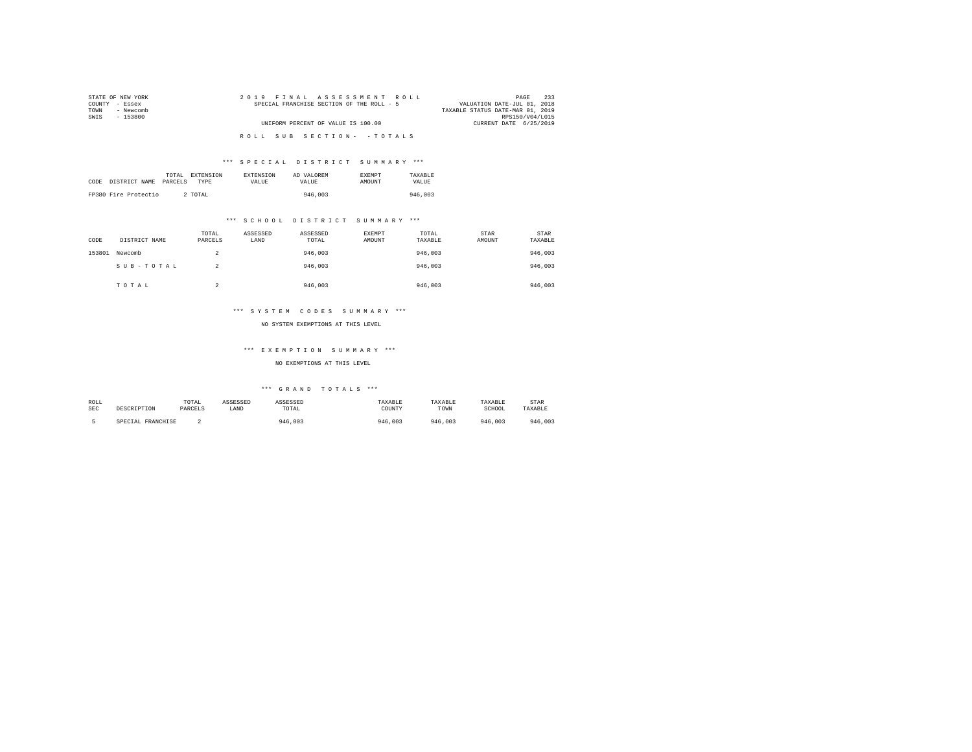| STATE OF NEW YORK | 2019 FINAL ASSESSMENT ROLL                | 233<br>PAGE                      |
|-------------------|-------------------------------------------|----------------------------------|
| COUNTY - Essex    | SPECIAL FRANCHISE SECTION OF THE ROLL - 5 | VALUATION DATE-JUL 01, 2018      |
| TOWN<br>- Newcomb |                                           | TAXABLE STATUS DATE-MAR 01, 2019 |
| SWTS<br>- 153800  |                                           | RPS150/V04/L015                  |
|                   | UNIFORM PERCENT OF VALUE IS 100.00        | CURRENT DATE 6/25/2019           |
|                   |                                           |                                  |
|                   | ROLL SUB SECTION- - TOTALS                |                                  |

|      |                      | TOTAL   | <b>EXTENSION</b> | <b>EXTENSION</b> | AD VALOREM | <b>EXEMPT</b> | TAXARLE |
|------|----------------------|---------|------------------|------------------|------------|---------------|---------|
| CODE | DISTRICT NAME        | PARCELS | TYPE             | VALUE            | VALUE.     | <b>AMOUNT</b> | VALUE   |
|      |                      |         |                  |                  |            |               |         |
|      | FP380 Fire Protectio |         | 2 TOTAL          |                  | 946,003    |               | 946.003 |

## \*\*\* S C H O O L D I S T R I C T S U M M A R Y \*\*\*

| CODE   | DISTRICT NAME | TOTAL<br>PARCELS | ASSESSED<br>LAND | ASSESSED<br>TOTAL | EXEMPT<br>AMOUNT | TOTAL<br>TAXABLE | STAR<br>AMOUNT | <b>STAR</b><br>TAXABLE |
|--------|---------------|------------------|------------------|-------------------|------------------|------------------|----------------|------------------------|
| 153801 | Newcomb       | 2                |                  | 946,003           |                  | 946,003          |                | 946,003                |
|        | SUB-TOTAL     | 2                |                  | 946,003           |                  | 946,003          |                | 946,003                |
|        | TOTAL         | ∽<br>∡           |                  | 946,003           |                  | 946,003          |                | 946,003                |

## \*\*\* S Y S T E M C O D E S S U M M A R Y \*\*\*

#### NO SYSTEM EXEMPTIONS AT THIS LEVEL

## \*\*\* E X E M P T I O N S U M M A R Y \*\*\*

## NO EXEMPTIONS AT THIS LEVEL

| ROLL       |                   | TOTAL   | ASSESSED | ASSESSED | TAXABLE | TAXABLE | TAXABLE | STAR    |
|------------|-------------------|---------|----------|----------|---------|---------|---------|---------|
| <b>SEC</b> | DESCRIPTION       | PARCELS | LAND     | TOTAL    | COUNTY  | TOWN    | SCHOOL  | TAXABLE |
|            | SPECIAL FRANCHISE |         |          | 946,003  | 946.003 | 946,003 | 946,003 | 946.003 |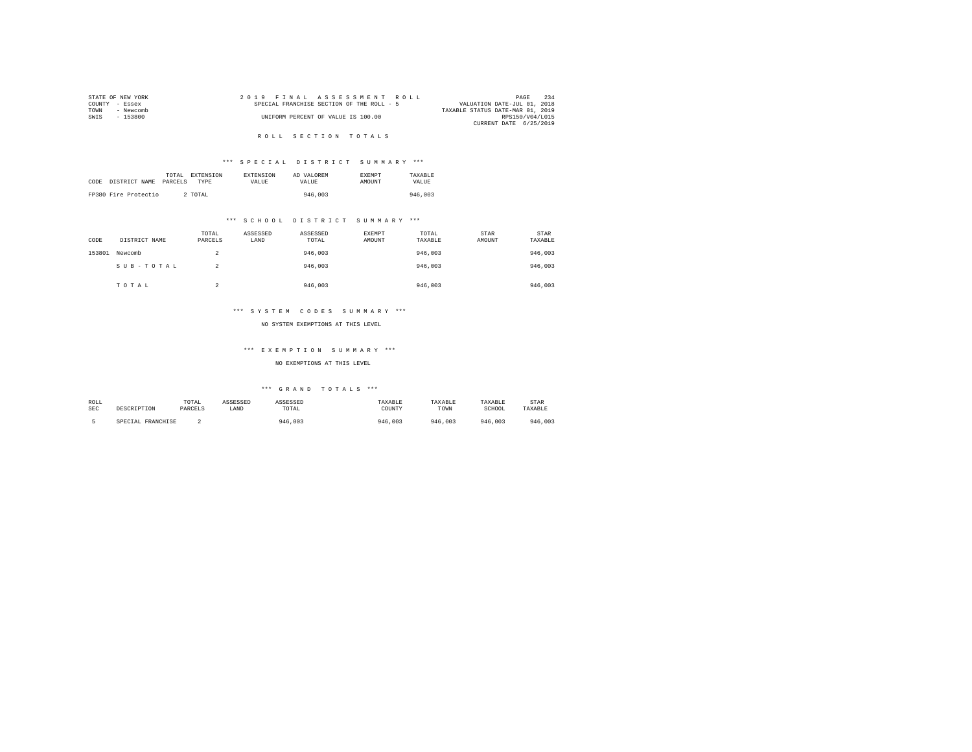| STATE OF NEW YORK | 2019 FINAL ASSESSMENT ROLL                | 234<br>PAGE                      |
|-------------------|-------------------------------------------|----------------------------------|
| COUNTY - Essex    | SPECIAL FRANCHISE SECTION OF THE ROLL - 5 | VALUATION DATE-JUL 01, 2018      |
| TOWN<br>- Newcomb |                                           | TAXABLE STATUS DATE-MAR 01, 2019 |
| SWTS<br>- 153800  | UNIFORM PERCENT OF VALUE IS 100.00        | RPS150/V04/L015                  |
|                   |                                           | CURRENT DATE 6/25/2019           |
|                   |                                           |                                  |

## R O L L S E C T I O N T O T A L S

## \*\*\* S P E C I A L D I S T R I C T S U M M A R Y \*\*\*

|      |                      | TOTAL   | EXTENSION | <b>EXTENSION</b> | AD VALOREM | <b>EXEMPT</b> | TAXARLE |
|------|----------------------|---------|-----------|------------------|------------|---------------|---------|
| CODE | DISTRICT NAME        | PARCELS | TYPR      | VALUE            | VALUE.     | AMOUNT        | VALUE   |
|      |                      |         |           |                  |            |               |         |
|      | FP380 Fire Protectio |         | 2 TOTAL   |                  | 946,003    |               | 946,003 |

## \*\*\* S C H O O L D I S T R I C T S U M M A R Y \*\*\*

| CODE   | DISTRICT NAME | TOTAL<br>PARCELS | ASSESSED<br>LAND | ASSESSED<br>TOTAL | EXEMPT<br>AMOUNT | TOTAL<br>TAXABLE | STAR<br>AMOUNT | STAR<br>TAXABLE |
|--------|---------------|------------------|------------------|-------------------|------------------|------------------|----------------|-----------------|
| 153801 | Newcomb       | $\hat{ }$<br>۷   |                  | 946,003           |                  | 946,003          |                | 946,003         |
|        | SUB-TOTAL     | 2                |                  | 946,003           |                  | 946,003          |                | 946,003         |
|        | TOTAL         | $\sim$<br>∠      |                  | 946.003           |                  | 946,003          |                | 946,003         |

## \*\*\* S Y S T E M C O D E S S U M M A R Y \*\*\*

#### NO SYSTEM EXEMPTIONS AT THIS LEVEL

## \*\*\* E X E M P T I O N S U M M A R Y \*\*\*

## NO EXEMPTIONS AT THIS LEVEL

| ROLL       |                   | TOTAL   | ASSESSED | ASSESSED | TAXABLE | <b><i>FAXARLE</i></b> | TAXABLE | STAR    |
|------------|-------------------|---------|----------|----------|---------|-----------------------|---------|---------|
| <b>SEC</b> | DESCRIPTION       | PARCELS | LAND     | TOTAL    | COUNTY  | TOWN                  | SCHOOL  | TAXABLE |
|            | SPECIAL FRANCHISE |         |          | 946,003  | 946,003 | 946,003               | 946,003 | 946.003 |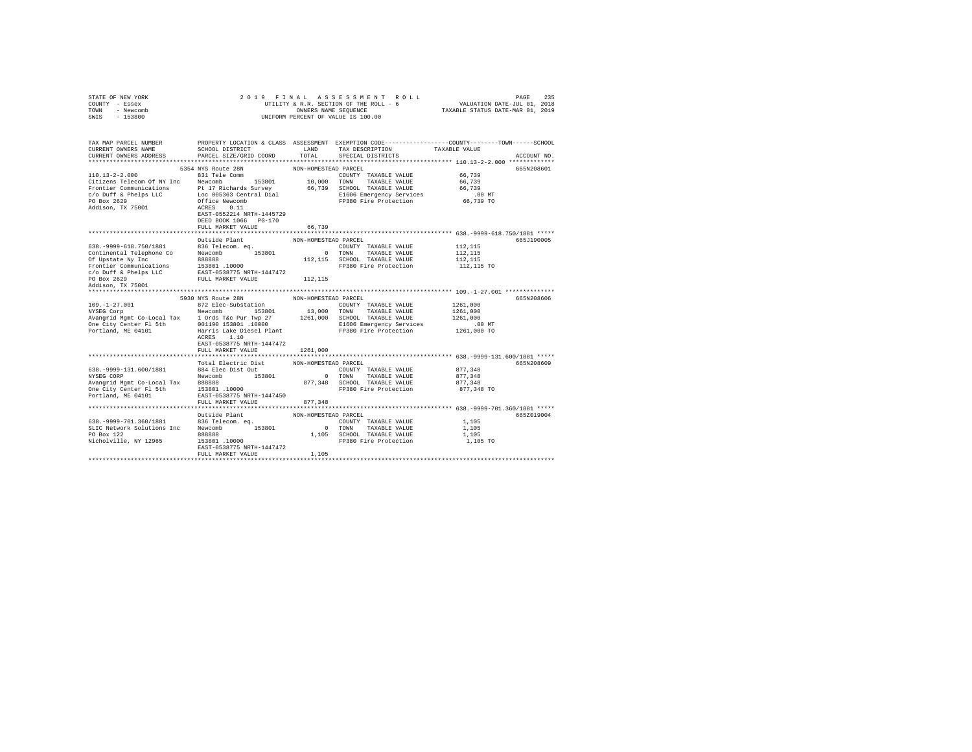| STATE OF NEW YORK<br>COUNTY - Essex<br>TOWN - Newcomb<br>SWIS - 153800                                                                                      |                                                                                                                                                                                         | 2019 FINAL ASSESSMENT ROLL<br>UTILITY & R.R. SECTION OF THE ROLL - 6<br>OWNERS NAME SEQUENCE<br>UNIFORM PERCENT OF VALUE IS 100.00 | PAGE<br>VALUATION DATE-JUL 01, 2018<br>TAXABLE STATUS DATE-MAR 01, 2019                                                                                          | 235                                                                                                                             |  |
|-------------------------------------------------------------------------------------------------------------------------------------------------------------|-----------------------------------------------------------------------------------------------------------------------------------------------------------------------------------------|------------------------------------------------------------------------------------------------------------------------------------|------------------------------------------------------------------------------------------------------------------------------------------------------------------|---------------------------------------------------------------------------------------------------------------------------------|--|
| TAX MAP PARCEL NUMBER<br>CURRENT OWNERS NAME<br>CURRENT OWNERS ADDRESS                                                                                      | SCHOOL DISTRICT<br>PARCEL SIZE/GRID COORD                                                                                                                                               | LAND<br>TOTAL                                                                                                                      | TAX DESCRIPTION<br>SPECIAL DISTRICTS                                                                                                                             | PROPERTY LOCATION & CLASS ASSESSMENT EXEMPTION CODE---------------COUNTY-------TOWN------SCHOOL<br>TAXABLE VALUE<br>ACCOUNT NO. |  |
| $110.13 - 2 - 2.000$<br>Citizens Telecom Of NY Inc Newcomb<br>Frontier Communications<br>c/o Duff & Phelps LLC<br>PO Box 2629<br>Addison, TX 75001          | 5354 NYS Route 28N<br>831 Tele Comm<br>153801<br>Pt 17 Richards Survey<br>Loc 005363 Central Dial<br>Office Newcomb<br>ACRES 0.11<br>EAST-0552214 NRTH-1445729<br>DEED BOOK 1066 PG-170 | NON-HOMESTEAD PARCEL                                                                                                               | COUNTY TAXABLE VALUE<br>10,000 TOWN TAXABLE VALUE<br>66,739 SCHOOL TAXABLE VALUE<br>E1606 Emergency Services<br>FP380 Fire Protection                            | 665N208601<br>66,739<br>66.739<br>66,739<br>$.00$ MT<br>66,739 TO                                                               |  |
|                                                                                                                                                             | FULL MARKET VALUE                                                                                                                                                                       | 66.739                                                                                                                             |                                                                                                                                                                  |                                                                                                                                 |  |
|                                                                                                                                                             | Outside Plant                                                                                                                                                                           | NON-HOMESTEAD PARCEL                                                                                                               |                                                                                                                                                                  | 665J190005                                                                                                                      |  |
| 638. - 9999-618. 750/1881<br>Continental Telephone Co<br>Of Upstate Ny Inc<br>Frontier Communications 153801 .10000<br>c/o Duff & Phelps LLC<br>PO Box 2629 | 836 Telecom, eq.<br>Newcomb 153801<br>888888<br>EAST-0538775 NRTH-1447472<br>FULL MARKET VALUE                                                                                          | 112,115                                                                                                                            | COUNTY TAXABLE VALUE<br>0 TOWN TAXABLE VALUE<br>112,115 SCHOOL TAXABLE VALUE<br>FP380 Fire Protection                                                            | 112,115<br>112,115<br>112,115<br>112,115 TO                                                                                     |  |
| Addison, TX 75001                                                                                                                                           |                                                                                                                                                                                         |                                                                                                                                    |                                                                                                                                                                  |                                                                                                                                 |  |
| $109. - 1 - 27.001$<br>NYSEG Corp<br>Avangrid Mgmt Co-Local Tax 1 Ords T&c Pur Twp 27<br>One City Center Fl 5th<br>Portland, ME 04101                       | 5930 NYS Route 28N<br>872 Elec-Substation<br>Newcomb 153801<br>001190 153801 .10000<br>ACRES 1.10<br>EAST-0538775 NRTH-1447472                                                          | NON-HOMESTEAD PARCEL                                                                                                               | COUNTY TAXABLE VALUE<br>13,000 TOWN TAXABLE VALUE<br>1261,000 SCHOOL TAXABLE VALUE<br>E1606 Emergency Services<br>Harris Lake Diesel Plant TP380 Fire Protection | 665N208606<br>1261,000<br>1261,000<br>1261,000<br>$.00$ MT<br>1261,000 TO                                                       |  |
|                                                                                                                                                             | FULL MARKET VALUE                                                                                                                                                                       | 1261,000                                                                                                                           |                                                                                                                                                                  |                                                                                                                                 |  |
| 638. - 9999-131. 600/1881<br>NYSEG CORP<br>Avangrid Mgmt Co-Local Tax                                                                                       | Total Electric Dist<br>884 Elec Dist Out<br>Newcomb 153801                                                                                                                              | NON-HOMESTEAD PARCEL<br>$\sim$ 0                                                                                                   | COUNTY TAXABLE VALUE<br>TOWN TAXABLE VALUE<br>877,348 SCHOOL TAXABLE VALUE                                                                                       | 665N208609<br>877,348<br>877.348<br>877,348                                                                                     |  |
| One City Center Fl 5th<br>Portland, ME 04101                                                                                                                | 888888<br>153801 .10000<br>EAST-0538775 NRTH-1447450<br>FULL MARKET VALUE                                                                                                               | 877,348                                                                                                                            | FP380 Fire Protection                                                                                                                                            | 877,348 TO                                                                                                                      |  |
|                                                                                                                                                             |                                                                                                                                                                                         |                                                                                                                                    |                                                                                                                                                                  |                                                                                                                                 |  |
| 638. - 9999 - 701. 360/1881<br>SLIC Network Solutions Inc Newcomb 153801<br>PO Box 122<br>Nicholville, NY 12965                                             | Outside Plant<br>836 Telecom. eq.<br>888888<br>153801 .10000<br>EAST-0538775 NRTH-1447472<br>FULL MARKET VALUE                                                                          | NON-HOMESTEAD PARCEL<br>1,105                                                                                                      | COUNTY TAXABLE VALUE<br>0 TOWN TAXABLE VALUE<br>1,105 SCHOOL TAXABLE VALUE<br>FP380 Fire Protection                                                              | 665Z019004<br>1,105<br>1,105<br>1,105<br>1,105 TO                                                                               |  |
|                                                                                                                                                             |                                                                                                                                                                                         |                                                                                                                                    |                                                                                                                                                                  |                                                                                                                                 |  |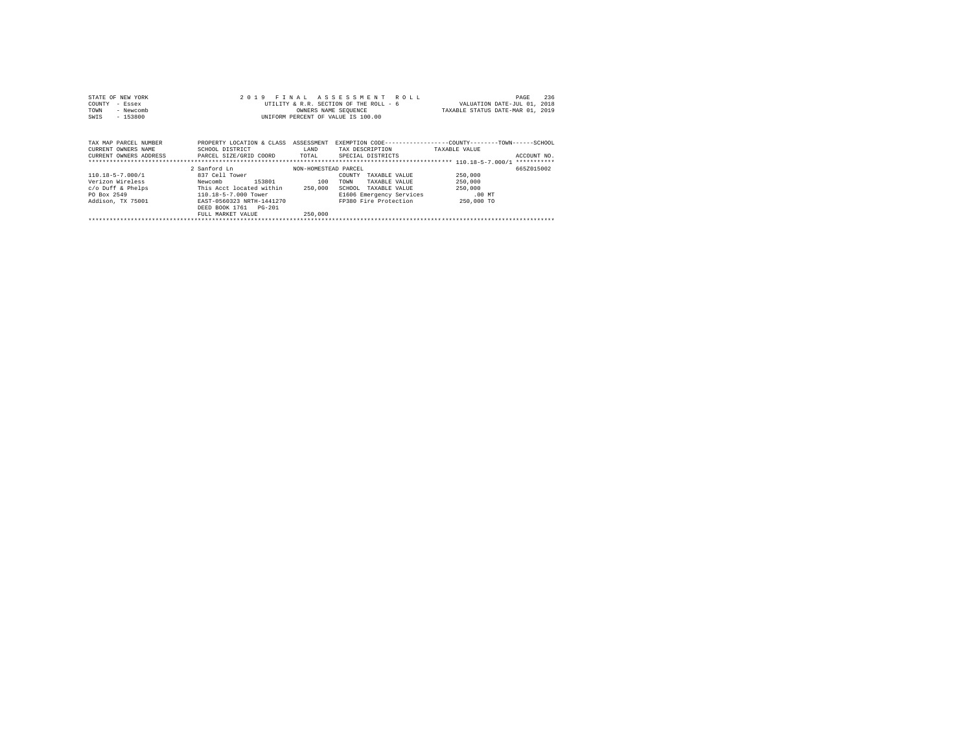| STATE OF NEW YORK<br>COUNTY<br>- Essex<br>- Newcomb<br>TOWN<br>- 153800<br>SWIS                                                                                     | UNIFORM PERCENT OF VALUE IS 100.00                                                                             | OWNERS NAME SEQUENCE                              | 2019 FINAL ASSESSMENT ROLL<br>UTILITY & R.R. SECTION OF THE ROLL - 6                                                             | VALUATION DATE-JUL 01, 2018<br>TAXABLE STATUS DATE-MAR 01, 2019 | 236<br>PAGE |
|---------------------------------------------------------------------------------------------------------------------------------------------------------------------|----------------------------------------------------------------------------------------------------------------|---------------------------------------------------|----------------------------------------------------------------------------------------------------------------------------------|-----------------------------------------------------------------|-------------|
| TAX MAP PARCEL NUMBER<br>CURRENT OWNERS NAME<br>CURRENT OWNERS ADDRESS 6 PARCEL SIZE/GRID COORD TOTAL SPECIAL DISTRICTS                                             | PROPERTY LOCATION & CLASS ASSESSMENT<br>SCHOOL DISTRICT                                                        | LAND                                              | EXEMPTION CODE-----------------COUNTY-------TOWN------SCHOOL<br>TAX DESCRIPTION                                                  | TAXABLE VALUE                                                   | ACCOUNT NO. |
| $110.18 - 5 - 7.000 / 1$<br>Verizon Wireless<br>Newcomb<br>c/o Duff & Phelps This Acct located within<br>PO Box 2549<br>Addison, TX 75001 EAST-0560323 NRTH-1441270 | 2 Sanford Ln<br>837 Cell Tower<br>153801<br>110.18-5-7.000 Tower<br>DEED BOOK 1761 PG-201<br>FULL MARKET VALUE | NON-HOMESTEAD PARCEL<br>100<br>250.000<br>250,000 | COUNTY<br>TAXABLE VALUE<br>TOWN<br>TAXABLE VALUE<br>SCHOOL<br>TAXABLE VALUE<br>E1606 Emergency Services<br>FP380 Fire Protection | 250,000<br>250,000<br>250,000<br>$.00$ MT<br>250,000 TO         | 6657015002  |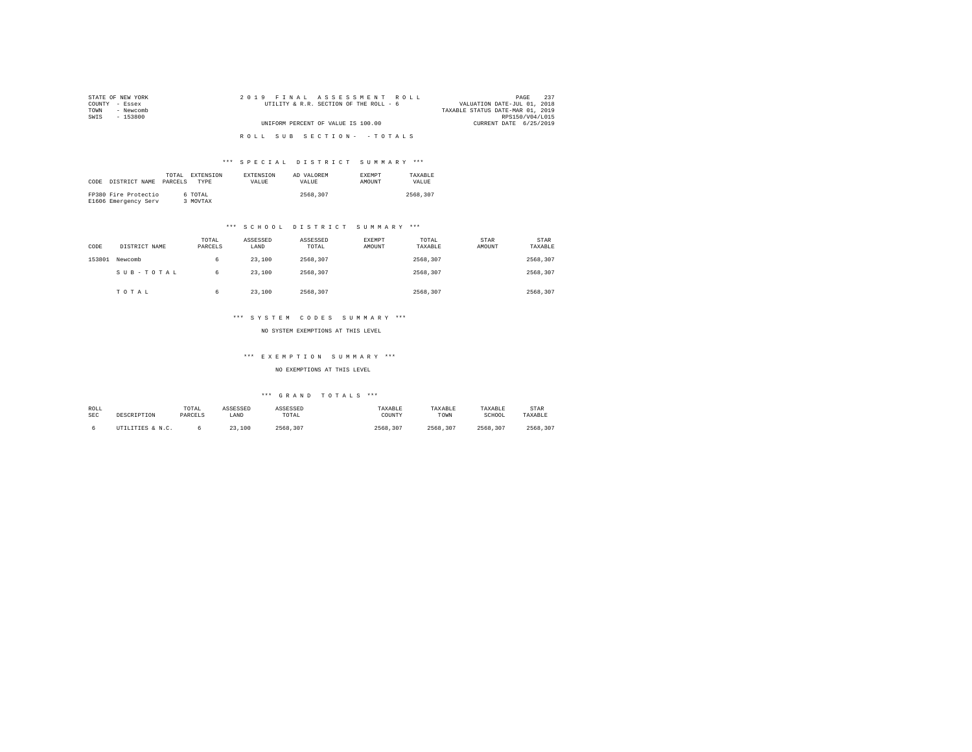| STATE OF NEW YORK | 2019 FINAL ASSESSMENT ROLL             | 237<br>PAGE                      |
|-------------------|----------------------------------------|----------------------------------|
| COUNTY - Essex    | UTILITY & R.R. SECTION OF THE ROLL - 6 | VALUATION DATE-JUL 01, 2018      |
| - Newcomb<br>TOWN |                                        | TAXABLE STATUS DATE-MAR 01, 2019 |
| SWIS<br>- 153800  |                                        | RPS150/V04/L015                  |
|                   | UNIFORM PERCENT OF VALUE IS 100.00     | CURRENT DATE 6/25/2019           |
|                   |                                        |                                  |
|                   | ROLL SUB SECTION- - TOTALS             |                                  |
|                   |                                        |                                  |

|      |                      | TOTAL   | <b>EXTENSION</b> | EXTENSION    | AD VALOREM   | <b>EXEMPT</b> | TAXARLE      |
|------|----------------------|---------|------------------|--------------|--------------|---------------|--------------|
| CODE | DISTRICT NAME        | PARCELS | <b>TYPE</b>      | <b>VALUE</b> | <b>VALUE</b> | <b>AMOUNT</b> | <b>VALUE</b> |
|      |                      |         |                  |              |              |               |              |
|      | FP380 Fire Protectio |         | 6 TOTAL          |              | 2568,307     |               | 2568.307     |
|      | E1606 Emergency Serv |         | 3 MOVTAX         |              |              |               |              |

## \*\*\* S C H O O L D I S T R I C T S U M M A R Y \*\*\*

| CODE   | DISTRICT NAME | TOTAL<br>PARCELS | ASSESSED<br>LAND | ASSESSED<br>TOTAL | EXEMPT<br>AMOUNT | TOTAL<br>TAXABLE | STAR<br>AMOUNT | <b>STAR</b><br>TAXABLE |
|--------|---------------|------------------|------------------|-------------------|------------------|------------------|----------------|------------------------|
| 153801 | Newcomb       | 6                | 23,100           | 2568.307          |                  | 2568.307         |                | 2568.307               |
|        | SUB-TOTAL     | 6                | 23,100           | 2568.307          |                  | 2568.307         |                | 2568.307               |
|        | TOTAL         | 6                | 23,100           | 2568.307          |                  | 2568.307         |                | 2568.307               |

## \*\*\* S Y S T E M C O D E S S U M M A R Y \*\*\*

NO SYSTEM EXEMPTIONS AT THIS LEVEL

#### \*\*\* E X E M P T I O N S U M M A R Y \*\*\*

NO EXEMPTIONS AT THIS LEVEL

| ROLL | DESCRIPTION      | TOTAL   | ASSESSED | ASSESSED | TAXABLE  | TAXABLE  | TAXABLE  | STAR     |
|------|------------------|---------|----------|----------|----------|----------|----------|----------|
| SEC  |                  | PARCELS | LAND     | TOTAL    | COUNTY   | TOWN     | SCHOOL   | TAXABLE  |
|      | UTILITIES & N.C. |         | 23,100   | 2568.307 | 2568.307 | 2568.307 | 2568.307 | 2568.307 |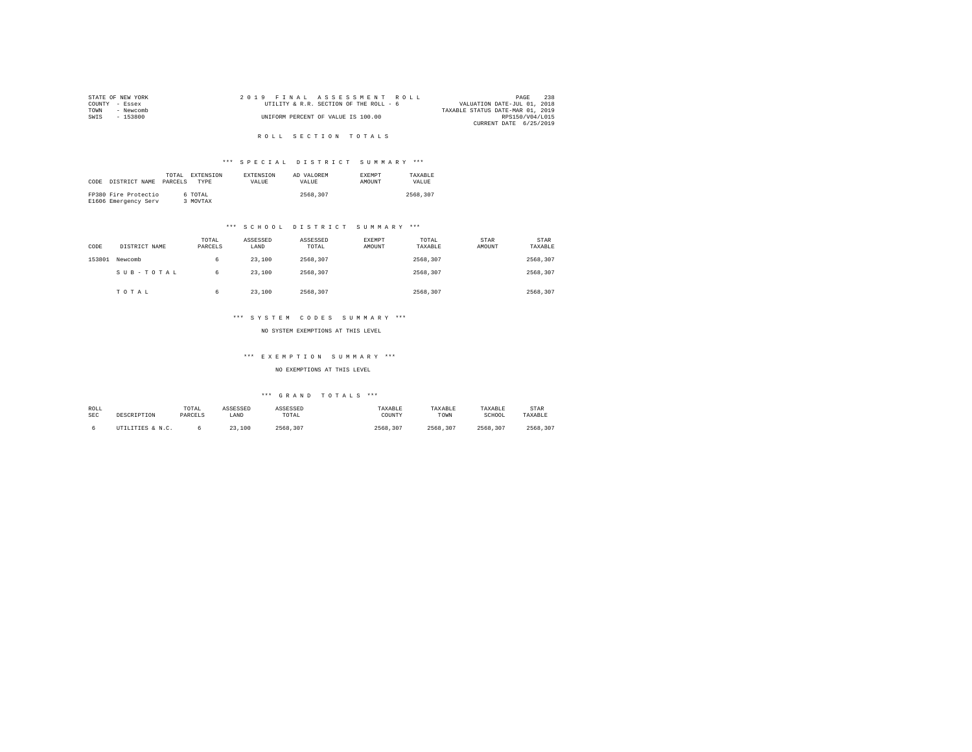|                | STATE OF NEW YORK |  |  |  | 2019 FINAL ASSESSMENT ROLL             |  |                                  | PAGE            | 238 |
|----------------|-------------------|--|--|--|----------------------------------------|--|----------------------------------|-----------------|-----|
| COUNTY - Essex |                   |  |  |  | UTILITY & R.R. SECTION OF THE ROLL - 6 |  | VALUATION DATE-JUL 01, 2018      |                 |     |
| TOWN           | - Newcomb         |  |  |  |                                        |  | TAXABLE STATUS DATE-MAR 01, 2019 |                 |     |
| SWTS           | $-153800$         |  |  |  | UNIFORM PERCENT OF VALUE IS 100.00     |  |                                  | RPS150/V04/L015 |     |
|                |                   |  |  |  |                                        |  | CURRENT DATE 6/25/2019           |                 |     |

## R O L L S E C T I O N T O T A L S

## \*\*\* S P E C I A L D I S T R I C T S U M M A R Y \*\*\*

|      |                      | TOTAL   | EXTENSION | <b>EXTENSION</b> | AD VALOREM | <b>EXEMPT</b> | TAXARLE  |
|------|----------------------|---------|-----------|------------------|------------|---------------|----------|
| CODE | DISTRICT NAME        | PARCELS | TYPE      | <b>VALUE</b>     | VALUE.     | AMOUNT        | VALUE.   |
|      |                      |         |           |                  |            |               |          |
|      | FP380 Fire Protectio |         | 6 TOTAL   |                  | 2568,307   |               | 2568.307 |
|      | E1606 Emergency Serv |         | MOVTAX    |                  |            |               |          |

## \*\*\* S C H O O L D I S T R I C T S U M M A R Y \*\*\*

| CODE   | DISTRICT NAME | TOTAL<br>PARCELS | ASSESSED<br>LAND | ASSESSED<br>TOTAL | EXEMPT<br>AMOUNT | TOTAL<br>TAXABLE | STAR<br>AMOUNT | <b>STAR</b><br>TAXABLE |
|--------|---------------|------------------|------------------|-------------------|------------------|------------------|----------------|------------------------|
| 153801 | Newcomb       | 6                | 23,100           | 2568.307          |                  | 2568.307         |                | 2568.307               |
|        | SUB-TOTAL     | 6                | 23,100           | 2568.307          |                  | 2568.307         |                | 2568.307               |
|        | TOTAL         | 6                | 23,100           | 2568.307          |                  | 2568.307         |                | 2568.307               |

## \*\*\* S Y S T E M C O D E S S U M M A R Y \*\*\*

NO SYSTEM EXEMPTIONS AT THIS LEVEL

#### \*\*\* E X E M P T I O N S U M M A R Y \*\*\*

NO EXEMPTIONS AT THIS LEVEL

| ROLL | DESCRIPTION      | TOTAL   | ASSESSED | ASSESSED | TAXABLE  | TAXABLE  | TAXABLE  | STAR     |
|------|------------------|---------|----------|----------|----------|----------|----------|----------|
| SEC  |                  | PARCELS | LAND     | TOTAL    | COUNTY   | TOWN     | SCHOOL   | TAXABLE  |
|      | UTILITIES & N.C. |         | 23,100   | 2568.307 | 2568.307 | 2568.307 | 2568.307 | 2568.307 |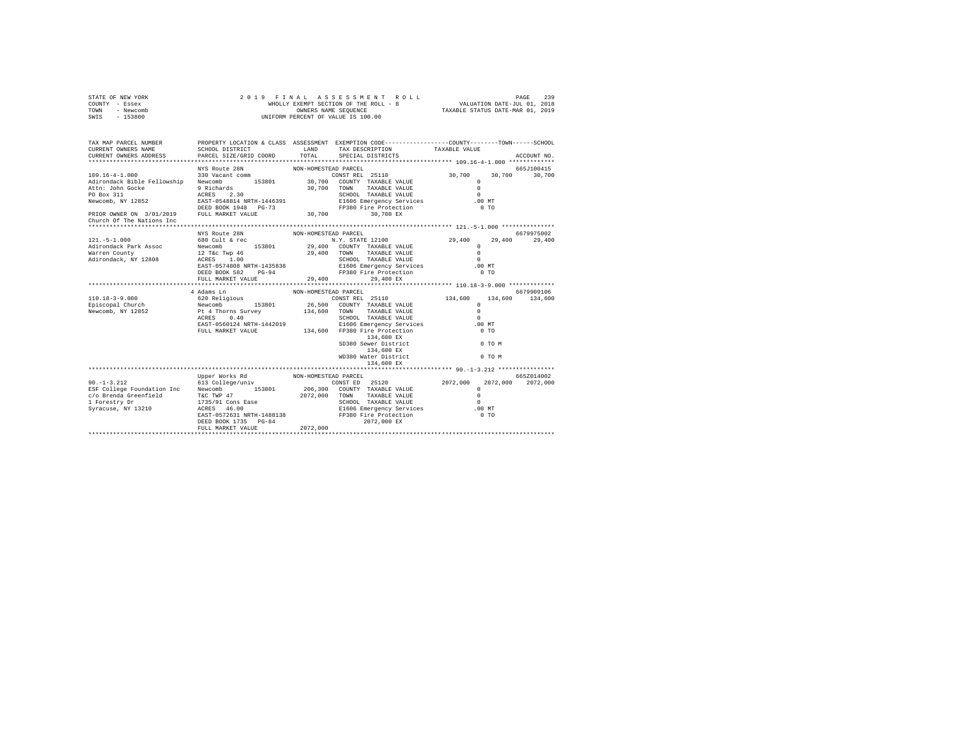|                                                                                                         |                                                                                                    |                                                                                                                                                                     | PAGE<br>239                                                                                                                                                                                                                                                                                                                                                                                                                                                                                                         |                                                                                                                                                                                                                                                                                                                                                                                                                                                                                                                                                                                             |  |  |
|---------------------------------------------------------------------------------------------------------|----------------------------------------------------------------------------------------------------|---------------------------------------------------------------------------------------------------------------------------------------------------------------------|---------------------------------------------------------------------------------------------------------------------------------------------------------------------------------------------------------------------------------------------------------------------------------------------------------------------------------------------------------------------------------------------------------------------------------------------------------------------------------------------------------------------|---------------------------------------------------------------------------------------------------------------------------------------------------------------------------------------------------------------------------------------------------------------------------------------------------------------------------------------------------------------------------------------------------------------------------------------------------------------------------------------------------------------------------------------------------------------------------------------------|--|--|
| CURRENT OWNERS ADDRESS                                                                                  |                                                                                                    | TAX DESCRIPTION<br>SPECIAL DISTRICTS                                                                                                                                | TAXABLE VALUE                                                                                                                                                                                                                                                                                                                                                                                                                                                                                                       | ACCOUNT NO.                                                                                                                                                                                                                                                                                                                                                                                                                                                                                                                                                                                 |  |  |
|                                                                                                         |                                                                                                    |                                                                                                                                                                     |                                                                                                                                                                                                                                                                                                                                                                                                                                                                                                                     |                                                                                                                                                                                                                                                                                                                                                                                                                                                                                                                                                                                             |  |  |
|                                                                                                         |                                                                                                    |                                                                                                                                                                     |                                                                                                                                                                                                                                                                                                                                                                                                                                                                                                                     | 665J100415                                                                                                                                                                                                                                                                                                                                                                                                                                                                                                                                                                                  |  |  |
|                                                                                                         |                                                                                                    | TAXABLE VALUE<br>SCHOOL TAXABLE VALUE                                                                                                                               | $\mathbf{r}$<br>$\Omega$<br>$\Omega$<br>$.00$ MT                                                                                                                                                                                                                                                                                                                                                                                                                                                                    | 30,700                                                                                                                                                                                                                                                                                                                                                                                                                                                                                                                                                                                      |  |  |
| PRIOR OWNER ON 3/01/2019 FULL MARKET VALUE                                                              |                                                                                                    | 30,700 EX                                                                                                                                                           |                                                                                                                                                                                                                                                                                                                                                                                                                                                                                                                     |                                                                                                                                                                                                                                                                                                                                                                                                                                                                                                                                                                                             |  |  |
|                                                                                                         |                                                                                                    |                                                                                                                                                                     |                                                                                                                                                                                                                                                                                                                                                                                                                                                                                                                     | 6679975002                                                                                                                                                                                                                                                                                                                                                                                                                                                                                                                                                                                  |  |  |
| 680 Cult & rec                                                                                          |                                                                                                    |                                                                                                                                                                     | 29,400                                                                                                                                                                                                                                                                                                                                                                                                                                                                                                              | 29,400                                                                                                                                                                                                                                                                                                                                                                                                                                                                                                                                                                                      |  |  |
| Newcomb 153801<br>$12$ T&C Twp $46$<br>ACRES $1.00$<br>EAST-0574808 NRTH-1435838<br>DEED BOOK 582 PG-94 |                                                                                                    | TAXABLE VALUE<br>SCHOOL TAXABLE VALUE                                                                                                                               | $^{\circ}$<br>$\Omega$<br>$\Omega$<br>$.00$ MT<br>0 <sub>T</sub>                                                                                                                                                                                                                                                                                                                                                                                                                                                    |                                                                                                                                                                                                                                                                                                                                                                                                                                                                                                                                                                                             |  |  |
| FULL MARKET VALUE                                                                                       |                                                                                                    | 29,400 EX                                                                                                                                                           |                                                                                                                                                                                                                                                                                                                                                                                                                                                                                                                     |                                                                                                                                                                                                                                                                                                                                                                                                                                                                                                                                                                                             |  |  |
|                                                                                                         |                                                                                                    |                                                                                                                                                                     |                                                                                                                                                                                                                                                                                                                                                                                                                                                                                                                     |                                                                                                                                                                                                                                                                                                                                                                                                                                                                                                                                                                                             |  |  |
|                                                                                                         |                                                                                                    |                                                                                                                                                                     |                                                                                                                                                                                                                                                                                                                                                                                                                                                                                                                     | 6679909106<br>134,600                                                                                                                                                                                                                                                                                                                                                                                                                                                                                                                                                                       |  |  |
| ACRES<br>0.40                                                                                           |                                                                                                    | TAXABLE VALUE<br>SCHOOL TAXABLE VALUE<br>134,600 EX<br>134,600 EX<br>WD380 Water District<br>134,600 EX                                                             | $\Omega$<br>$\Omega$<br>$\bigcap$<br>$.00$ MT<br>0 <sub>T</sub><br>$0$ TO M<br>0 TO M                                                                                                                                                                                                                                                                                                                                                                                                                               |                                                                                                                                                                                                                                                                                                                                                                                                                                                                                                                                                                                             |  |  |
|                                                                                                         |                                                                                                    |                                                                                                                                                                     |                                                                                                                                                                                                                                                                                                                                                                                                                                                                                                                     |                                                                                                                                                                                                                                                                                                                                                                                                                                                                                                                                                                                             |  |  |
| 613 College/univ<br>DEED BOOK 1735 PG-84<br>FULL MARKET VALUE                                           | 2072.000                                                                                           | SCHOOL TAXABLE VALUE<br>2072,000 EX                                                                                                                                 | 2072,000<br>$\Omega$<br>$\Omega$<br>$\Omega$<br>$.00$ MT<br>0 <sub>T</sub>                                                                                                                                                                                                                                                                                                                                                                                                                                          | 665Z014002<br>2072,000                                                                                                                                                                                                                                                                                                                                                                                                                                                                                                                                                                      |  |  |
|                                                                                                         | NYS Route 28N<br>330 Vacant comm<br>NYS Route 28N<br>4 Adams Ln<br>620 Religious<br>Upper Works Rd | SCHOOL DISTRICT<br>PARCEL SIZE/GRID COORD<br>EAST-0548814 NRTH-1446391<br>DEED BOOK 1948 PG-73<br>Newcomb 153801<br>Pt 4 Thorns Survey<br>EAST-0560124 NRTH-1442019 | 2019 FINAL ASSESSMENT ROLL<br>UNIFORM PERCENT OF VALUE IS 100.00<br>LAND<br>TOTAL<br>NON-HOMESTEAD PARCEL<br>Adirondack Bible Fellowship Newcomb 153801 30,700 COUNTY TAXABLE VALUE<br>30,700 TOWN<br>30,700<br>NON-HOMESTEAD PARCEL<br>N.Y. STATE 12100<br>29,400 COUNTY TAXABLE VALUE<br>29,400 TOWN<br>29,400<br>NON-HOMESTEAD PARCEL<br>CONST REL 25110<br>26,500 COUNTY TAXABLE VALUE<br>134,600 TOWN<br>NON-HOMESTEAD PARCEL<br>CONST ED 25120<br>206,300 COUNTY TAXABLE VALUE<br>2072,000 TOWN TAXABLE VALUE | WHOLLY EXEMPT SECTION OF THE ROLL - 8 VALUATION DATE-JUL 01, 2018<br>OWNERS NAME SEQUENCE TAXABLE STATUS DATE-MAR 01, 2019<br>PROPERTY LOCATION & CLASS ASSESSMENT EXEMPTION CODE---------------COUNTY-------TOWN------SCHOOL<br>CONST REL 25110<br>30,700<br>30,700<br>E1606 Emergency Services<br>FP380 Fire Protection<br>0.70<br>29,400<br>E1606 Emergency Services<br>FP380 Fire Protection<br>134,600 134,600<br>E1606 Emergency Services<br>FULL MARKET VALUE 134,600 FP380 Fire Protection<br>SD380 Sewer District<br>2072.000<br>E1606 Emergency Services<br>FP380 Fire Protection |  |  |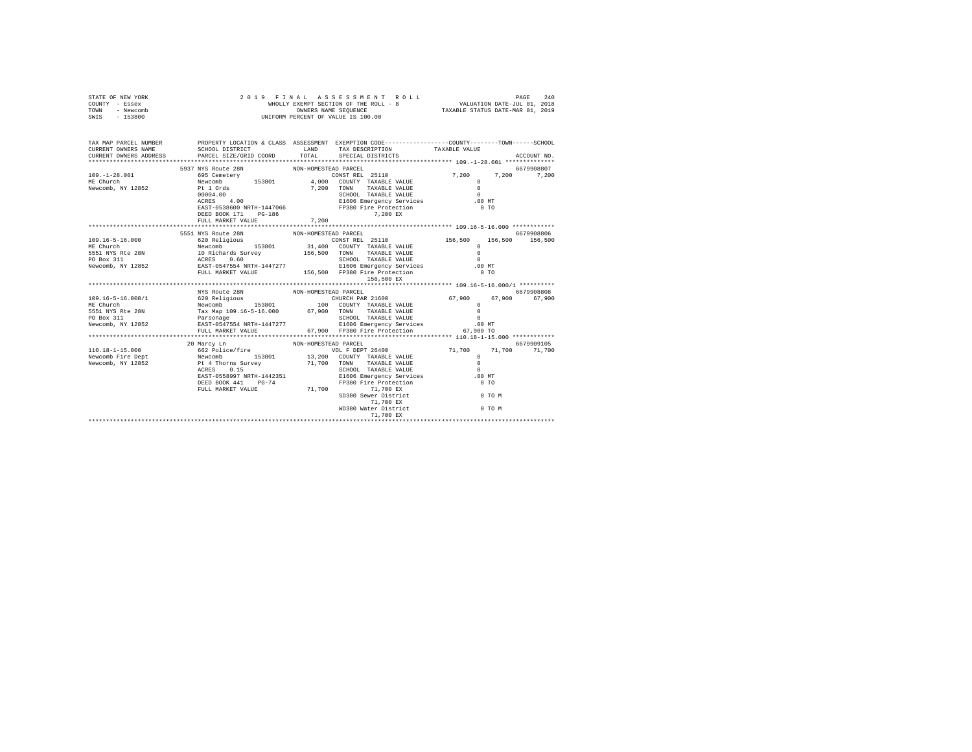| STATE OF NEW YORK<br>COUNTY - Essex<br>TOWN - Newcomb<br>SWIS - 153800                                                                                                                                                                          | 2019 FINAL ASSESSMENT R<br>WHOLLY EXEMPT SECTION OF THE ROLL - 8<br>ONNERS NAME SEQUENCE<br>UNIFORM PERCENT OF VALUE IS 100.00                                                                                                                                                                                                                                                                                            |                      | 2019 FINAL ASSESSMENT ROLL                                                                          |                      |             |
|-------------------------------------------------------------------------------------------------------------------------------------------------------------------------------------------------------------------------------------------------|---------------------------------------------------------------------------------------------------------------------------------------------------------------------------------------------------------------------------------------------------------------------------------------------------------------------------------------------------------------------------------------------------------------------------|----------------------|-----------------------------------------------------------------------------------------------------|----------------------|-------------|
| TAX MAP PARCEL NUMBER PROPERTY LOCATION & CLASS ASSESSMENT EXEMPTION CODE--------------COUNTY-------TOWN-----SCHOOL<br>CURRENT OWNERS NAME                                                                                                      |                                                                                                                                                                                                                                                                                                                                                                                                                           |                      | SCHOOL DISTRICT                        LAND         TAX DESCRIPTION                   TAXABLE VALUE |                      |             |
| CURRENT OWNERS ADDRESS                                                                                                                                                                                                                          | PARCEL SIZE/GRID COORD TOTAL SPECIAL DISTRICTS                                                                                                                                                                                                                                                                                                                                                                            |                      |                                                                                                     |                      | ACCOUNT NO. |
|                                                                                                                                                                                                                                                 |                                                                                                                                                                                                                                                                                                                                                                                                                           |                      |                                                                                                     |                      |             |
|                                                                                                                                                                                                                                                 | 5937 NYS Route 28N                                                                                                                                                                                                                                                                                                                                                                                                        | NON-HOMESTEAD PARCEL |                                                                                                     |                      | 6679908807  |
| $109. - 1 - 28.001$                                                                                                                                                                                                                             | CONSTREL 25110<br>New CONSTREL 25110<br>Newcomb 153801 4,000 CONTY TAXABLE VALUE<br>PE 1 Ords<br>00004.000 4,200 CONTY TAXABLE VALUE<br>2CHOOL 7,200 SCHOOL TAXABLE VALUE<br>2CHOOL 10004.00<br>2CHOOL TAXABLE VALUE<br>2CHOOL 7000 E1606 Emer                                                                                                                                                                            |                      |                                                                                                     | $7,200$ $7,200$      | 7.200       |
| ME Church                                                                                                                                                                                                                                       |                                                                                                                                                                                                                                                                                                                                                                                                                           |                      |                                                                                                     | $\Omega$             |             |
| Newcomb, NY 12852                                                                                                                                                                                                                               |                                                                                                                                                                                                                                                                                                                                                                                                                           |                      |                                                                                                     |                      |             |
|                                                                                                                                                                                                                                                 |                                                                                                                                                                                                                                                                                                                                                                                                                           |                      |                                                                                                     | .00 MT               |             |
|                                                                                                                                                                                                                                                 |                                                                                                                                                                                                                                                                                                                                                                                                                           |                      | ACRES 4.00 E1606 Emergency Services<br>EAST-0538600 NRTH-1447066 FP380 Fire Protection              | $0$ TO               |             |
|                                                                                                                                                                                                                                                 | DEED BOOK 171 PG-186                                                                                                                                                                                                                                                                                                                                                                                                      |                      | 7,200 EX                                                                                            |                      |             |
|                                                                                                                                                                                                                                                 | FULL MARKET VALUE                                                                                                                                                                                                                                                                                                                                                                                                         | 7,200                |                                                                                                     |                      |             |
|                                                                                                                                                                                                                                                 |                                                                                                                                                                                                                                                                                                                                                                                                                           |                      |                                                                                                     |                      |             |
|                                                                                                                                                                                                                                                 | 5551 NYS Route 28N                                                                                                                                                                                                                                                                                                                                                                                                        | NON-HOMESTEAD PARCEL |                                                                                                     |                      | 6679908806  |
| $109.16 - 5 - 16.000$                                                                                                                                                                                                                           | 620 Religious                                                                                                                                                                                                                                                                                                                                                                                                             |                      | CONST REL 25110 156,500 156,500 156,500                                                             |                      |             |
|                                                                                                                                                                                                                                                 |                                                                                                                                                                                                                                                                                                                                                                                                                           |                      |                                                                                                     | $\sim$ 0             |             |
|                                                                                                                                                                                                                                                 |                                                                                                                                                                                                                                                                                                                                                                                                                           |                      |                                                                                                     | $\Omega$             |             |
|                                                                                                                                                                                                                                                 |                                                                                                                                                                                                                                                                                                                                                                                                                           |                      |                                                                                                     | $\cap$               |             |
|                                                                                                                                                                                                                                                 |                                                                                                                                                                                                                                                                                                                                                                                                                           |                      |                                                                                                     | .00 MT               |             |
|                                                                                                                                                                                                                                                 |                                                                                                                                                                                                                                                                                                                                                                                                                           |                      |                                                                                                     | 0 <sub>T</sub>       |             |
|                                                                                                                                                                                                                                                 |                                                                                                                                                                                                                                                                                                                                                                                                                           |                      | 156,500 EX                                                                                          |                      |             |
|                                                                                                                                                                                                                                                 |                                                                                                                                                                                                                                                                                                                                                                                                                           |                      |                                                                                                     |                      |             |
|                                                                                                                                                                                                                                                 | NYS Route 28N                                                                                                                                                                                                                                                                                                                                                                                                             | NON-HOMESTEAD PARCEL |                                                                                                     |                      | 6679908808  |
| 109.16-5-16.000/1                                                                                                                                                                                                                               |                                                                                                                                                                                                                                                                                                                                                                                                                           |                      |                                                                                                     |                      |             |
| ME Church<br>5551 NYS Rte 28N                                                                                                                                                                                                                   |                                                                                                                                                                                                                                                                                                                                                                                                                           |                      |                                                                                                     |                      |             |
| PO Box 311                                                                                                                                                                                                                                      |                                                                                                                                                                                                                                                                                                                                                                                                                           |                      |                                                                                                     |                      |             |
| Newcomb, NY 12852                                                                                                                                                                                                                               | $\begin{tabular}{l c c c c c} \hline \texttt{NCB-SUe2} & \texttt{RON-HOMESTEL} & \texttt{PAKCLI} & \texttt{OSE} & \texttt{OSE} & \texttt{OSE} & \texttt{OSE} & \texttt{OSE} & \texttt{OSE} & \texttt{OSE} & \texttt{OSE} & \texttt{OSE} & \texttt{OSE} & \texttt{OSE} & \texttt{OSE} & \texttt{OSE} & \texttt{OSE} & \texttt{OSE} & \texttt{OSE} & \texttt{OSE} & \texttt{OSE} & \texttt{OSE} & \texttt{OSE} & \texttt{O$ |                      |                                                                                                     |                      |             |
|                                                                                                                                                                                                                                                 |                                                                                                                                                                                                                                                                                                                                                                                                                           |                      |                                                                                                     |                      |             |
|                                                                                                                                                                                                                                                 |                                                                                                                                                                                                                                                                                                                                                                                                                           |                      |                                                                                                     |                      |             |
|                                                                                                                                                                                                                                                 | 20 Marcy Ln                                                                                                                                                                                                                                                                                                                                                                                                               | NON-HOMESTEAD PARCEL |                                                                                                     |                      | 6679909105  |
|                                                                                                                                                                                                                                                 |                                                                                                                                                                                                                                                                                                                                                                                                                           |                      |                                                                                                     | 71,700 71,700 71,700 |             |
|                                                                                                                                                                                                                                                 |                                                                                                                                                                                                                                                                                                                                                                                                                           |                      |                                                                                                     |                      |             |
|                                                                                                                                                                                                                                                 |                                                                                                                                                                                                                                                                                                                                                                                                                           |                      |                                                                                                     |                      |             |
|                                                                                                                                                                                                                                                 |                                                                                                                                                                                                                                                                                                                                                                                                                           |                      |                                                                                                     |                      |             |
|                                                                                                                                                                                                                                                 |                                                                                                                                                                                                                                                                                                                                                                                                                           |                      |                                                                                                     |                      |             |
|                                                                                                                                                                                                                                                 |                                                                                                                                                                                                                                                                                                                                                                                                                           |                      |                                                                                                     |                      |             |
| 110.18-1-15.000<br>Newcomb Fire Dept<br>Newcomb Fire Dept<br>Newcomb Fire Dept<br>Newcomb Fire Dept<br>Newcomb, NY 12852<br>Newcomb, NY 12852<br>20 PERS8997 Newcomb, NY 12852<br>20 PERS897 Newcomb, NY 12852<br>20 PERS897 New COL TAXABLE VA |                                                                                                                                                                                                                                                                                                                                                                                                                           |                      |                                                                                                     |                      |             |
|                                                                                                                                                                                                                                                 |                                                                                                                                                                                                                                                                                                                                                                                                                           |                      | SD380 Sewer District 0 TO M                                                                         |                      |             |
|                                                                                                                                                                                                                                                 |                                                                                                                                                                                                                                                                                                                                                                                                                           |                      | 71,700 EX                                                                                           |                      |             |
|                                                                                                                                                                                                                                                 |                                                                                                                                                                                                                                                                                                                                                                                                                           |                      | WD380 Water District 0 TO M                                                                         |                      |             |
|                                                                                                                                                                                                                                                 |                                                                                                                                                                                                                                                                                                                                                                                                                           |                      | 71,700 EX                                                                                           |                      |             |
|                                                                                                                                                                                                                                                 |                                                                                                                                                                                                                                                                                                                                                                                                                           |                      |                                                                                                     |                      |             |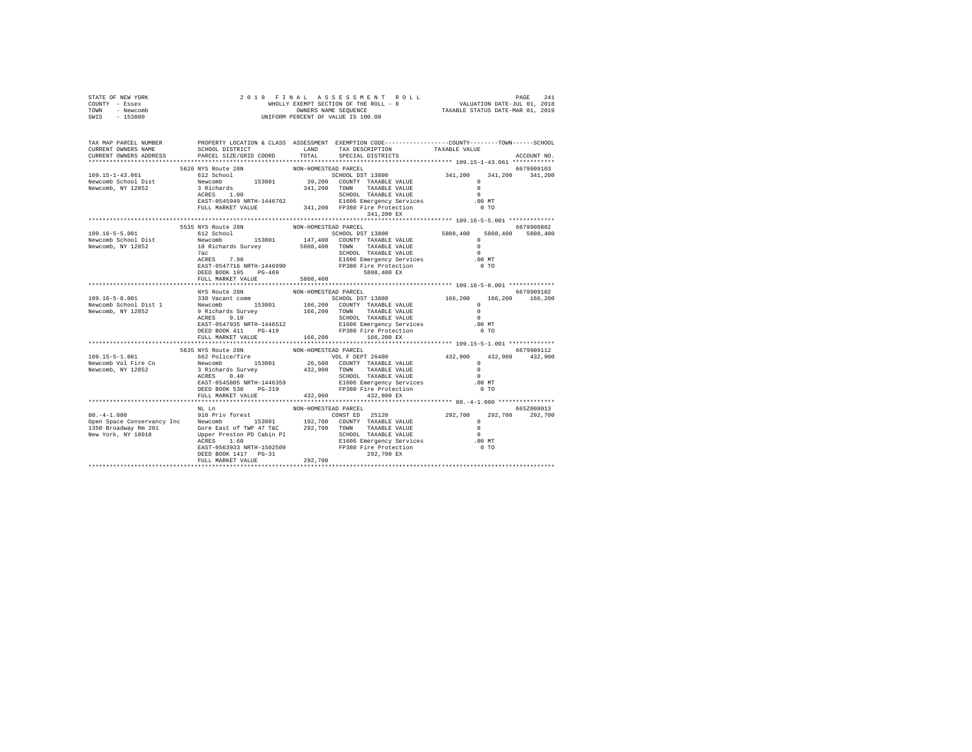| STATE OF NEW YORK<br>COUNTY - Essex<br>TOWN - Newcomb<br>$-153800$<br>SWIS                                           | 2019 FINAL                            |                      | $\verb WHOLLY EXEMPT SECTION OF THE ROLL = 241 14.5 SE S IS IS IS THE ROLL = 8 WHOLLY EXEMPT SECTION OF THE ROLL = 8 VALUATION DATE-TUL 01, 2019 VALTORW PERCENT OF VALUE IS 100.00 UNITORM PERCENT OF VALUE IS 100.00$                          |                                    |                      |
|----------------------------------------------------------------------------------------------------------------------|---------------------------------------|----------------------|--------------------------------------------------------------------------------------------------------------------------------------------------------------------------------------------------------------------------------------------------|------------------------------------|----------------------|
| TAX MAP PARCEL NUMBER PROPERTY LOCATION & CLASS ASSESSMENT EXEMPTION CODE---------------COUNTY-------TOWN-----SCHOOL |                                       |                      |                                                                                                                                                                                                                                                  |                                    |                      |
| CURRENT OWNERS NAME                                                                                                  | SCHOOL DISTRICT LAND                  |                      | TAX DESCRIPTION                                                                                                                                                                                                                                  | TAXABLE VALUE                      |                      |
| CURRENT OWNERS ADDRESS                                                                                               | PARCEL SIZE/GRID COORD                | TOTAL                | SPECIAL DISTRICTS                                                                                                                                                                                                                                |                                    | ACCOUNT NO.          |
|                                                                                                                      | 5626 NYS Route 28N                    | NON-HOMESTEAD PARCEL |                                                                                                                                                                                                                                                  |                                    | 6679909103           |
| 109.15-1-43.061                                                                                                      | 612 School                            |                      | SCHOOL DST 13800 341,200                                                                                                                                                                                                                         |                                    | 341,200 341,200      |
| Newcomb School Dist                                                                                                  |                                       |                      | Newcomb 153801 39,200 COUNTY TAXABLE VALUE<br>3 Richards 341,200 TOWN TAXABLE VALUE                                                                                                                                                              | $\Omega$                           |                      |
| Newcomb, NY 12852                                                                                                    |                                       |                      |                                                                                                                                                                                                                                                  |                                    |                      |
|                                                                                                                      |                                       |                      |                                                                                                                                                                                                                                                  |                                    |                      |
|                                                                                                                      |                                       |                      |                                                                                                                                                                                                                                                  |                                    |                      |
|                                                                                                                      |                                       |                      |                                                                                                                                                                                                                                                  |                                    |                      |
|                                                                                                                      | 5535 NYS Route 28N                    | NON-HOMESTEAD PARCEL |                                                                                                                                                                                                                                                  |                                    | 6679908802           |
| 109.16-5-5.001                                                                                                       | 612 School                            |                      |                                                                                                                                                                                                                                                  | 5808,400                           | 5808,400<br>5808,400 |
| Newcomb School Dist                                                                                                  |                                       |                      |                                                                                                                                                                                                                                                  | $\Omega$                           |                      |
| Newcomb, NY 12852                                                                                                    |                                       |                      |                                                                                                                                                                                                                                                  | $\sim$                             |                      |
|                                                                                                                      | 7ac                                   |                      |                                                                                                                                                                                                                                                  | $\sim$ 0                           |                      |
|                                                                                                                      |                                       |                      |                                                                                                                                                                                                                                                  | .00 MT                             |                      |
|                                                                                                                      |                                       |                      |                                                                                                                                                                                                                                                  | $0$ TO                             |                      |
|                                                                                                                      | FULL MARKET VALUE                     | 5808,400             |                                                                                                                                                                                                                                                  |                                    |                      |
|                                                                                                                      |                                       |                      |                                                                                                                                                                                                                                                  |                                    |                      |
|                                                                                                                      | NYS Route 28N<br>330 Vacant comm      | NON-HOMESTEAD PARCEL |                                                                                                                                                                                                                                                  |                                    | 6679909102           |
|                                                                                                                      |                                       |                      |                                                                                                                                                                                                                                                  |                                    |                      |
|                                                                                                                      |                                       |                      |                                                                                                                                                                                                                                                  |                                    |                      |
|                                                                                                                      |                                       |                      |                                                                                                                                                                                                                                                  |                                    |                      |
|                                                                                                                      |                                       |                      |                                                                                                                                                                                                                                                  |                                    |                      |
|                                                                                                                      |                                       |                      |                                                                                                                                                                                                                                                  |                                    |                      |
|                                                                                                                      | FULL MARKET VALUE 166,200             |                      | 166,200 EX                                                                                                                                                                                                                                       |                                    |                      |
|                                                                                                                      | 5635 NYS Route 28N                    | NON-HOMESTEAD PARCEL |                                                                                                                                                                                                                                                  |                                    | 6679909112           |
|                                                                                                                      | 3033 NiS Route Zon<br>662 Police/fire |                      |                                                                                                                                                                                                                                                  |                                    |                      |
|                                                                                                                      |                                       |                      | VOL F DEPT 26400<br>26,500 COUNTY TAXABLE VALUE                                                                                                                                                                                                  |                                    |                      |
| 109.15-5-1.001<br>Newcomb Vol Fire Co<br>Newcomb, NY 12852                                                           |                                       |                      | 012/901102/1112<br>Newcomb 153801 26,500 COUNTY TAXABLE VALUE 3<br>3 Richards Survey 432,900 TOWN TAXABLE VALUE 0<br>ACRES 0.40 2013<br>ACRES 0.40 2013<br>26.1000 2010 2014<br>26.1000 2014<br>26.1000 2014<br>26.1000 2014<br>27380 Pire Prote | $432,900$ $432,900$ $432,900$<br>0 |                      |
|                                                                                                                      |                                       |                      |                                                                                                                                                                                                                                                  |                                    |                      |
|                                                                                                                      |                                       |                      |                                                                                                                                                                                                                                                  |                                    |                      |
|                                                                                                                      | FULL MARKET VALUE                     |                      | 432,900 432,900 EX                                                                                                                                                                                                                               |                                    |                      |
|                                                                                                                      | **************************            |                      |                                                                                                                                                                                                                                                  |                                    |                      |
|                                                                                                                      | $NL$ Ln                               | NON-HOMESTEAD PARCEL |                                                                                                                                                                                                                                                  |                                    | 665Z008013           |
|                                                                                                                      |                                       |                      |                                                                                                                                                                                                                                                  |                                    | 292.700 292.700      |
|                                                                                                                      |                                       |                      |                                                                                                                                                                                                                                                  |                                    |                      |
|                                                                                                                      |                                       |                      |                                                                                                                                                                                                                                                  |                                    |                      |
|                                                                                                                      |                                       |                      |                                                                                                                                                                                                                                                  |                                    |                      |
|                                                                                                                      |                                       |                      |                                                                                                                                                                                                                                                  |                                    |                      |
|                                                                                                                      |                                       | 292,700              |                                                                                                                                                                                                                                                  |                                    |                      |
|                                                                                                                      | FULL MARKET VALUE                     |                      |                                                                                                                                                                                                                                                  |                                    |                      |
|                                                                                                                      |                                       |                      |                                                                                                                                                                                                                                                  |                                    |                      |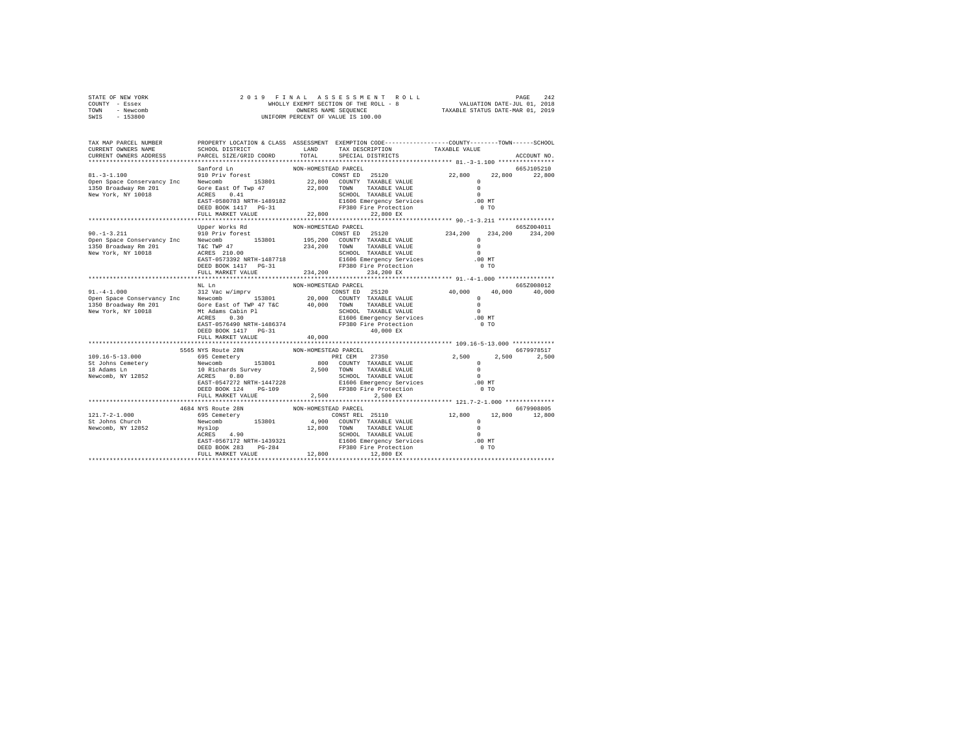| STATE OF NEW YORK | 2019 FINAL ASSESSMENT ROLL            | 242<br>PAGE                      |
|-------------------|---------------------------------------|----------------------------------|
| COUNTY - Essex    | WHOLLY EXEMPT SECTION OF THE ROLL - 8 | VALUATION DATE-JUL 01, 2018      |
| TOWN<br>- Newcomb | OWNERS NAME SEOUENCE                  | TAXABLE STATUS DATE-MAR 01, 2019 |
| - 153800<br>SWIS  | UNIFORM PERCENT OF VALUE IS 100.00    |                                  |

| TAX MAP PARCEL NUMBER<br>CURRENT OWNERS NAME                                                                                                                                                                                                                                                                                                                                               | SCHOOL DISTRICT                           | LAND                 | PROPERTY LOCATION & CLASS ASSESSMENT EXEMPTION CODE---------------COUNTY-------TOWN-----SCHOOL<br>TAX DESCRIPTION                                                                                                                                                                                                                                                                 | TAXABLE VALUE        |                   |
|--------------------------------------------------------------------------------------------------------------------------------------------------------------------------------------------------------------------------------------------------------------------------------------------------------------------------------------------------------------------------------------------|-------------------------------------------|----------------------|-----------------------------------------------------------------------------------------------------------------------------------------------------------------------------------------------------------------------------------------------------------------------------------------------------------------------------------------------------------------------------------|----------------------|-------------------|
| CURRENT OWNERS ADDRESS                                                                                                                                                                                                                                                                                                                                                                     | PARCEL SIZE/GRID COORD                    | TOTAL                | SPECIAL DISTRICTS                                                                                                                                                                                                                                                                                                                                                                 |                      | ACCOUNT NO.       |
|                                                                                                                                                                                                                                                                                                                                                                                            | Sanford Ln                                | NON-HOMESTEAD PARCEL |                                                                                                                                                                                                                                                                                                                                                                                   |                      | 665J105210        |
| $81. - 3 - 1.100$                                                                                                                                                                                                                                                                                                                                                                          | santord Ln<br>910 Priv forest             |                      | ${\begin{minipage}{0.93\textwidth} \begin{tabular}{@{}c@{}} \textbf{1.63\textwidth} & \textbf{2.600} & \textbf{2.600} & \textbf{2.600} & \textbf{2.600} & \textbf{2.600} \\ \textbf{2.600} & \textbf{2.600} & \textbf{2.600} & \textbf{2.600} & \textbf{2.600} \\ \textbf{2.600} & \textbf{2.600} & \textbf{2.600} & \textbf{2.600} & \textbf{2.600} & \textbf{2.600} & \textbf{$ |                      |                   |
|                                                                                                                                                                                                                                                                                                                                                                                            |                                           |                      |                                                                                                                                                                                                                                                                                                                                                                                   |                      |                   |
|                                                                                                                                                                                                                                                                                                                                                                                            |                                           |                      |                                                                                                                                                                                                                                                                                                                                                                                   |                      |                   |
|                                                                                                                                                                                                                                                                                                                                                                                            |                                           |                      |                                                                                                                                                                                                                                                                                                                                                                                   |                      |                   |
|                                                                                                                                                                                                                                                                                                                                                                                            |                                           |                      |                                                                                                                                                                                                                                                                                                                                                                                   |                      |                   |
|                                                                                                                                                                                                                                                                                                                                                                                            | DEED BOOK 1417 PG-31                      |                      | FP380 Fire Protection                                                                                                                                                                                                                                                                                                                                                             | $0$ TO               |                   |
|                                                                                                                                                                                                                                                                                                                                                                                            | FULL MARKET VALUE                         | 22,800               | 22.800 EX                                                                                                                                                                                                                                                                                                                                                                         |                      |                   |
|                                                                                                                                                                                                                                                                                                                                                                                            |                                           |                      |                                                                                                                                                                                                                                                                                                                                                                                   |                      |                   |
|                                                                                                                                                                                                                                                                                                                                                                                            | Upper Works Rd                            | NON-HOMESTEAD PARCEL |                                                                                                                                                                                                                                                                                                                                                                                   |                      | 665Z004011        |
| $90. -1 - 3.211$                                                                                                                                                                                                                                                                                                                                                                           | 910 Priv forest                           |                      | NON-HOWELLEN PARKLEL (234,200<br>234,200 COUNTY TAXABLE VALUE (234,200 TOWN TAXABLE VALUE (234,200 TOWN TAXABLE VALUE (24)<br>234,200 TOWN TAXABLE VALUE (25)                                                                                                                                                                                                                     |                      | 234, 200 234, 200 |
|                                                                                                                                                                                                                                                                                                                                                                                            |                                           |                      |                                                                                                                                                                                                                                                                                                                                                                                   |                      |                   |
|                                                                                                                                                                                                                                                                                                                                                                                            |                                           |                      |                                                                                                                                                                                                                                                                                                                                                                                   |                      |                   |
|                                                                                                                                                                                                                                                                                                                                                                                            |                                           |                      |                                                                                                                                                                                                                                                                                                                                                                                   | $\Omega$<br>$.00$ MT |                   |
| 90.-1-5.211 $\sigma$ PH $\sigma$ 210 $\sigma$<br>Personal Distribution of the state of the state of the state of the state of the state of the state of the state of the state of the state of the state of the state of the state of the st                                                                                                                                               |                                           |                      |                                                                                                                                                                                                                                                                                                                                                                                   | 0 <sub>T</sub>       |                   |
|                                                                                                                                                                                                                                                                                                                                                                                            | FULL MARKET VALUE                         |                      | 234,200 234,200 EX                                                                                                                                                                                                                                                                                                                                                                |                      |                   |
|                                                                                                                                                                                                                                                                                                                                                                                            |                                           |                      |                                                                                                                                                                                                                                                                                                                                                                                   |                      |                   |
|                                                                                                                                                                                                                                                                                                                                                                                            | NL Ln                                     | NON-HOMESTEAD PARCEL |                                                                                                                                                                                                                                                                                                                                                                                   |                      | 665Z008012        |
|                                                                                                                                                                                                                                                                                                                                                                                            |                                           |                      |                                                                                                                                                                                                                                                                                                                                                                                   |                      | 40,000 40,000     |
| $\begin{tabular}{l cccc} 91.-4-1.000 & 312 \text{Vac} \times 1000 \times 1000 \times 1000 \times 1000 \times 1000 \times 1000 \times 1000 \times 1000 \times 1000 \times 1000 \times 1000 \times 1000 \times 1000 \times 1000 \times 1000 \times 1000 \times 1000 \times 1000 \times 1000 \times 1000 \times 1000 \times 1000 \times 1000 \times 1000 \times 1000 \times 1000 \times 1000$ |                                           |                      |                                                                                                                                                                                                                                                                                                                                                                                   |                      |                   |
|                                                                                                                                                                                                                                                                                                                                                                                            |                                           |                      |                                                                                                                                                                                                                                                                                                                                                                                   |                      |                   |
|                                                                                                                                                                                                                                                                                                                                                                                            |                                           |                      |                                                                                                                                                                                                                                                                                                                                                                                   |                      |                   |
|                                                                                                                                                                                                                                                                                                                                                                                            |                                           |                      |                                                                                                                                                                                                                                                                                                                                                                                   |                      |                   |
|                                                                                                                                                                                                                                                                                                                                                                                            | EAST-0576490 NRTH-1486374                 |                      | FP380 Fire Protection                                                                                                                                                                                                                                                                                                                                                             | $0$ TO               |                   |
|                                                                                                                                                                                                                                                                                                                                                                                            | DEED BOOK 1417 PG-31                      |                      | 40,000 EX                                                                                                                                                                                                                                                                                                                                                                         |                      |                   |
|                                                                                                                                                                                                                                                                                                                                                                                            | FULL MARKET VALUE                         | 40,000               |                                                                                                                                                                                                                                                                                                                                                                                   |                      |                   |
|                                                                                                                                                                                                                                                                                                                                                                                            |                                           |                      |                                                                                                                                                                                                                                                                                                                                                                                   |                      |                   |
|                                                                                                                                                                                                                                                                                                                                                                                            | 5565 NYS Route 28N                        | NON-HOMESTEAD PARCEL |                                                                                                                                                                                                                                                                                                                                                                                   |                      | 6679978517        |
|                                                                                                                                                                                                                                                                                                                                                                                            |                                           |                      |                                                                                                                                                                                                                                                                                                                                                                                   |                      | 2,500             |
|                                                                                                                                                                                                                                                                                                                                                                                            |                                           |                      |                                                                                                                                                                                                                                                                                                                                                                                   |                      |                   |
|                                                                                                                                                                                                                                                                                                                                                                                            |                                           |                      |                                                                                                                                                                                                                                                                                                                                                                                   |                      |                   |
| $109.16-5-13.000$ 2019.16-5-13.000<br>SPS Cemetery<br>SPS Cemetery<br>Newcomb, NY 12852<br>Newcomb, NY 12852<br>Newcomb, NY 12852<br>Newcomb, NY 12852<br>2020<br>2.500<br>2.500<br>2.500<br>2.500<br>2.500<br>2.500<br>2.500<br>2.500<br>2.500<br>2.500<br>2.500                                                                                                                          |                                           |                      |                                                                                                                                                                                                                                                                                                                                                                                   |                      |                   |
|                                                                                                                                                                                                                                                                                                                                                                                            |                                           |                      |                                                                                                                                                                                                                                                                                                                                                                                   |                      |                   |
|                                                                                                                                                                                                                                                                                                                                                                                            | DEED BOOK 124 PG-109<br>FULL MARKET VALUE | 2,500                | 2,500 EX                                                                                                                                                                                                                                                                                                                                                                          |                      |                   |
|                                                                                                                                                                                                                                                                                                                                                                                            |                                           |                      |                                                                                                                                                                                                                                                                                                                                                                                   |                      |                   |
|                                                                                                                                                                                                                                                                                                                                                                                            | 4684 NYS Route 28N                        | NON-HOMESTEAD PARCEL |                                                                                                                                                                                                                                                                                                                                                                                   |                      | 6679908805        |
|                                                                                                                                                                                                                                                                                                                                                                                            |                                           |                      |                                                                                                                                                                                                                                                                                                                                                                                   |                      | 12,800 12,800     |
|                                                                                                                                                                                                                                                                                                                                                                                            |                                           |                      |                                                                                                                                                                                                                                                                                                                                                                                   |                      |                   |
|                                                                                                                                                                                                                                                                                                                                                                                            |                                           |                      |                                                                                                                                                                                                                                                                                                                                                                                   |                      |                   |
|                                                                                                                                                                                                                                                                                                                                                                                            |                                           |                      |                                                                                                                                                                                                                                                                                                                                                                                   |                      |                   |
|                                                                                                                                                                                                                                                                                                                                                                                            |                                           |                      |                                                                                                                                                                                                                                                                                                                                                                                   | .00MT                |                   |
|                                                                                                                                                                                                                                                                                                                                                                                            |                                           |                      |                                                                                                                                                                                                                                                                                                                                                                                   | $0$ TO               |                   |
|                                                                                                                                                                                                                                                                                                                                                                                            |                                           |                      |                                                                                                                                                                                                                                                                                                                                                                                   |                      |                   |
|                                                                                                                                                                                                                                                                                                                                                                                            |                                           |                      |                                                                                                                                                                                                                                                                                                                                                                                   |                      |                   |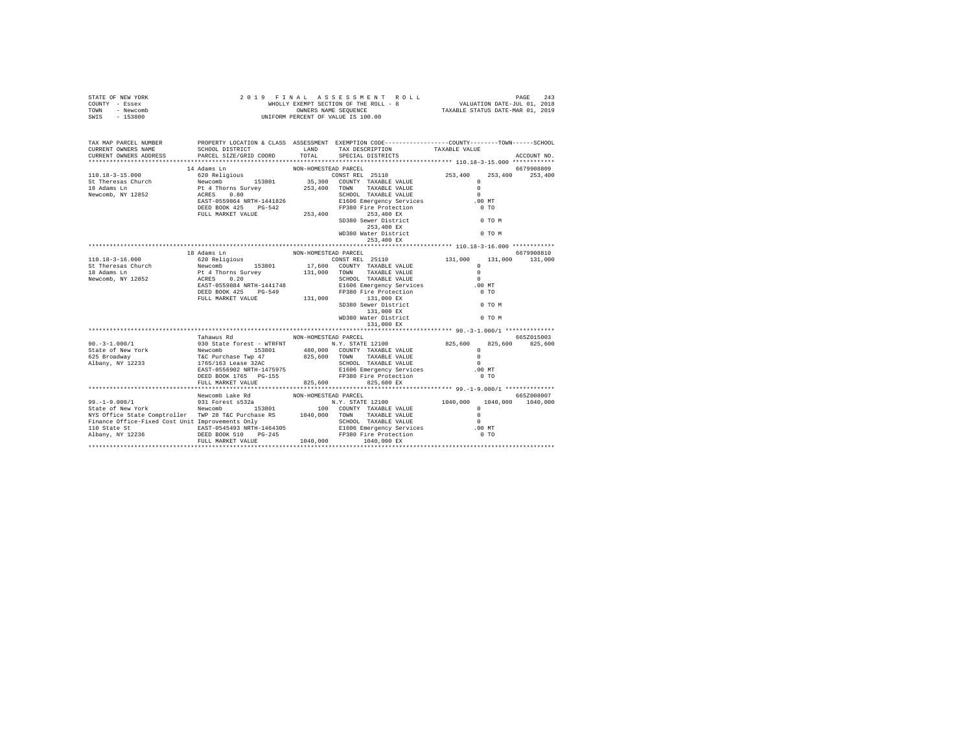| STATE OF NEW YORK<br>COUNTY - Essex<br>TOWN - Newcomb<br>SWIS - 153800                                                                                                                                                                                                                                                                                                                                                     |                                 |                                                                                                                                                                                                                                                   |  |             |
|----------------------------------------------------------------------------------------------------------------------------------------------------------------------------------------------------------------------------------------------------------------------------------------------------------------------------------------------------------------------------------------------------------------------------|---------------------------------|---------------------------------------------------------------------------------------------------------------------------------------------------------------------------------------------------------------------------------------------------|--|-------------|
| TAX MAP PARCEL NUMBER                                                                                                                                                                                                                                                                                                                                                                                                      |                                 | PROPERTY LOCATION & CLASS ASSESSMENT EXEMPTION CODE---------------COUNTY-------TOWN-----SCHOOL                                                                                                                                                    |  |             |
|                                                                                                                                                                                                                                                                                                                                                                                                                            |                                 |                                                                                                                                                                                                                                                   |  | ACCOUNT NO. |
|                                                                                                                                                                                                                                                                                                                                                                                                                            |                                 |                                                                                                                                                                                                                                                   |  |             |
|                                                                                                                                                                                                                                                                                                                                                                                                                            |                                 |                                                                                                                                                                                                                                                   |  |             |
|                                                                                                                                                                                                                                                                                                                                                                                                                            |                                 |                                                                                                                                                                                                                                                   |  |             |
|                                                                                                                                                                                                                                                                                                                                                                                                                            |                                 |                                                                                                                                                                                                                                                   |  |             |
|                                                                                                                                                                                                                                                                                                                                                                                                                            |                                 |                                                                                                                                                                                                                                                   |  |             |
|                                                                                                                                                                                                                                                                                                                                                                                                                            |                                 |                                                                                                                                                                                                                                                   |  |             |
|                                                                                                                                                                                                                                                                                                                                                                                                                            |                                 |                                                                                                                                                                                                                                                   |  |             |
|                                                                                                                                                                                                                                                                                                                                                                                                                            |                                 |                                                                                                                                                                                                                                                   |  |             |
|                                                                                                                                                                                                                                                                                                                                                                                                                            |                                 |                                                                                                                                                                                                                                                   |  |             |
|                                                                                                                                                                                                                                                                                                                                                                                                                            |                                 | $\begin{tabular}{lllllllll} & \multicolumn{3}{l}{{253,400\text{ EX}}} \\ \multicolumn{3}{l}{\text{WD380 Water District}} & \multicolumn{3}{l}{253,400\text{ EX}} \\ \multicolumn{3}{l}{253,400\text{ EX}} & & & & 0\text{ TO M} \\ \end{tabular}$ |  |             |
|                                                                                                                                                                                                                                                                                                                                                                                                                            |                                 |                                                                                                                                                                                                                                                   |  |             |
|                                                                                                                                                                                                                                                                                                                                                                                                                            |                                 |                                                                                                                                                                                                                                                   |  |             |
|                                                                                                                                                                                                                                                                                                                                                                                                                            |                                 |                                                                                                                                                                                                                                                   |  |             |
|                                                                                                                                                                                                                                                                                                                                                                                                                            |                                 |                                                                                                                                                                                                                                                   |  |             |
|                                                                                                                                                                                                                                                                                                                                                                                                                            |                                 |                                                                                                                                                                                                                                                   |  |             |
|                                                                                                                                                                                                                                                                                                                                                                                                                            |                                 |                                                                                                                                                                                                                                                   |  |             |
|                                                                                                                                                                                                                                                                                                                                                                                                                            |                                 |                                                                                                                                                                                                                                                   |  |             |
|                                                                                                                                                                                                                                                                                                                                                                                                                            |                                 |                                                                                                                                                                                                                                                   |  |             |
|                                                                                                                                                                                                                                                                                                                                                                                                                            |                                 |                                                                                                                                                                                                                                                   |  |             |
|                                                                                                                                                                                                                                                                                                                                                                                                                            |                                 |                                                                                                                                                                                                                                                   |  |             |
|                                                                                                                                                                                                                                                                                                                                                                                                                            |                                 |                                                                                                                                                                                                                                                   |  |             |
|                                                                                                                                                                                                                                                                                                                                                                                                                            |                                 |                                                                                                                                                                                                                                                   |  |             |
| $\begin{tabular}{lcccc} 90,-3-1.000/1 & \text{Tahawus Rd} & \text{NON-HOMESTEAD PARCEL} & 6652015003 \\ \text{State of New York} & 930 State forest = 60001 & 153801 & 140,000 & \text{CONTY TAXABLE VALUE} & 825,600 & 825,600 & 825,600 \\ \text{State of New York} & {\text{New comb}} & \text{New comb} & 153801 & 480,000 & \text{CONTY TAXABLE VALUE} & 0 \\ \text{625 Broadcasting WQ1 XRAELE VALUE} & 0 & 825,600$ | Tahawus Rd MON-HOMESTEAD PARCEL |                                                                                                                                                                                                                                                   |  |             |
|                                                                                                                                                                                                                                                                                                                                                                                                                            |                                 |                                                                                                                                                                                                                                                   |  |             |
|                                                                                                                                                                                                                                                                                                                                                                                                                            |                                 |                                                                                                                                                                                                                                                   |  |             |
|                                                                                                                                                                                                                                                                                                                                                                                                                            |                                 |                                                                                                                                                                                                                                                   |  |             |
|                                                                                                                                                                                                                                                                                                                                                                                                                            |                                 |                                                                                                                                                                                                                                                   |  |             |
|                                                                                                                                                                                                                                                                                                                                                                                                                            |                                 |                                                                                                                                                                                                                                                   |  |             |
|                                                                                                                                                                                                                                                                                                                                                                                                                            |                                 |                                                                                                                                                                                                                                                   |  |             |
|                                                                                                                                                                                                                                                                                                                                                                                                                            |                                 |                                                                                                                                                                                                                                                   |  |             |
|                                                                                                                                                                                                                                                                                                                                                                                                                            |                                 |                                                                                                                                                                                                                                                   |  |             |
|                                                                                                                                                                                                                                                                                                                                                                                                                            |                                 |                                                                                                                                                                                                                                                   |  |             |
|                                                                                                                                                                                                                                                                                                                                                                                                                            |                                 |                                                                                                                                                                                                                                                   |  |             |
|                                                                                                                                                                                                                                                                                                                                                                                                                            |                                 |                                                                                                                                                                                                                                                   |  |             |
|                                                                                                                                                                                                                                                                                                                                                                                                                            |                                 |                                                                                                                                                                                                                                                   |  |             |
|                                                                                                                                                                                                                                                                                                                                                                                                                            |                                 |                                                                                                                                                                                                                                                   |  |             |
|                                                                                                                                                                                                                                                                                                                                                                                                                            |                                 |                                                                                                                                                                                                                                                   |  |             |
|                                                                                                                                                                                                                                                                                                                                                                                                                            |                                 |                                                                                                                                                                                                                                                   |  |             |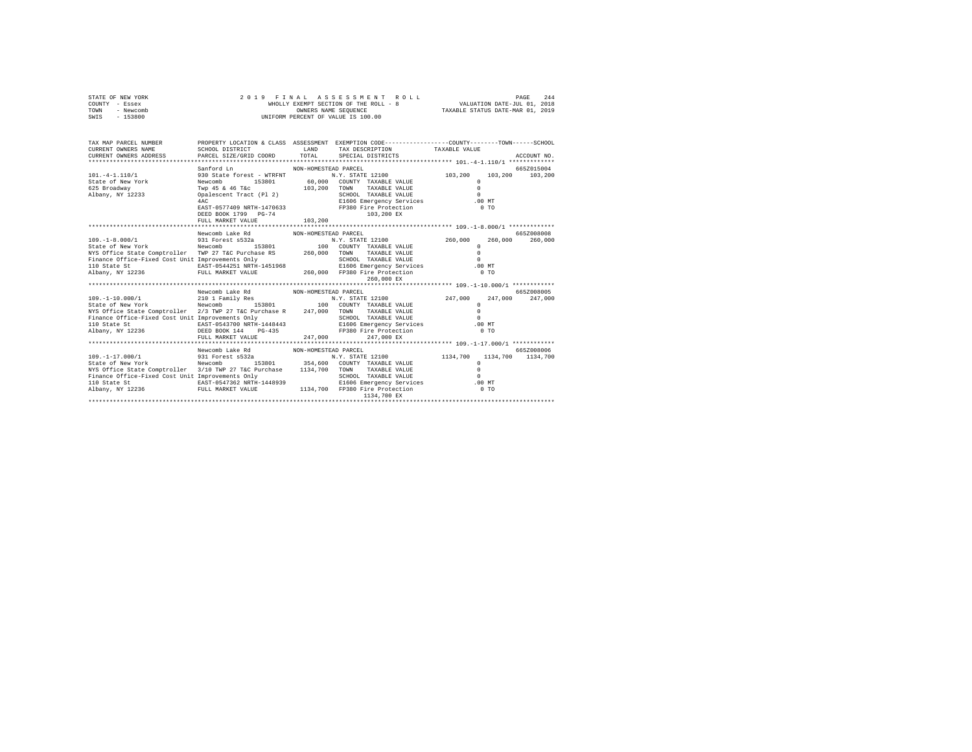| STATE OF NEW YORK | 2019 FINAL ASSESSMENT ROLL            | 244<br>PAGE                      |
|-------------------|---------------------------------------|----------------------------------|
| COUNTY - Essex    | WHOLLY EXEMPT SECTION OF THE ROLL - 8 | VALUATION DATE-JUL 01, 2018      |
| TOWN<br>- Newcomb | OWNERS NAME SEOUENCE                  | TAXABLE STATUS DATE-MAR 01, 2019 |
| - 153800<br>SWIS  | UNIFORM PERCENT OF VALUE IS 100.00    |                                  |

| TAX MAP PARCEL NUMBER<br>CURRENT OWNERS NAME<br>CURRENT OWNERS ADDRESS                                                                                                                                                            | SCHOOL DISTRICT<br>PARCEL SIZE/GRID COORD TOTAL SPECIAL DISTRICTS | <b>EXAMPLE AND</b>   | TAX DESCRIPTION TAXABLE VALUE                                                              | PROPERTY LOCATION & CLASS ASSESSMENT EXEMPTION CODE---------------COUNTY-------TOWN------SCHOOL                            | ACCOUNT NO. |
|-----------------------------------------------------------------------------------------------------------------------------------------------------------------------------------------------------------------------------------|-------------------------------------------------------------------|----------------------|--------------------------------------------------------------------------------------------|----------------------------------------------------------------------------------------------------------------------------|-------------|
|                                                                                                                                                                                                                                   |                                                                   |                      |                                                                                            |                                                                                                                            |             |
|                                                                                                                                                                                                                                   | Sanford Ln                                                        | NON-HOMESTEAD PARCEL |                                                                                            |                                                                                                                            | 6652015004  |
| 101. - 4 - 1.110/1                                                                                                                                                                                                                |                                                                   |                      |                                                                                            | 930 State forest - WTRFNT M.Y. STATE 12100 103,200 103,200 103,200                                                         |             |
| State of New York                                                                                                                                                                                                                 | Newcomb<br>153801                                                 |                      | 60,000 COUNTY TAXABLE VALUE                                                                | $\Omega$                                                                                                                   |             |
| 625 Broadway                                                                                                                                                                                                                      | Twp 45 & 46 T&c 103,200 TOWN                                      |                      | TAXABLE VALUE                                                                              | $\Omega$                                                                                                                   |             |
| Albany, NY 12233 (palescent Tract (Pl 2)                                                                                                                                                                                          |                                                                   |                      |                                                                                            | $\Omega$                                                                                                                   |             |
|                                                                                                                                                                                                                                   | 4AC                                                               |                      | C = 2.000 CHALL CHARGE = 0<br>E1606 Energency Services = 0.00 MT<br>FP380 Fire Protoctic = |                                                                                                                            |             |
|                                                                                                                                                                                                                                   | EAST-0577409 NRTH-1470633 FP380 Fire Protection                   |                      |                                                                                            | $0$ TO                                                                                                                     |             |
|                                                                                                                                                                                                                                   | DEED BOOK 1799 PG-74                                              |                      | 103,200 EX                                                                                 |                                                                                                                            |             |
|                                                                                                                                                                                                                                   | FULL MARKET VALUE                                                 | 103,200              |                                                                                            |                                                                                                                            |             |
|                                                                                                                                                                                                                                   |                                                                   |                      |                                                                                            |                                                                                                                            |             |
|                                                                                                                                                                                                                                   | Newcomb Lake Rd                                                   | NON-HOMESTEAD PARCEL |                                                                                            |                                                                                                                            | 665Z008008  |
|                                                                                                                                                                                                                                   |                                                                   |                      |                                                                                            | 260,000                                                                                                                    | 260,000     |
|                                                                                                                                                                                                                                   |                                                                   |                      |                                                                                            |                                                                                                                            |             |
| NYS Office State Comptroller TWP 27 T&C Purchase RS 260,000 TOWN                                                                                                                                                                  |                                                                   |                      | TAXARLE VALUE                                                                              | $\cap$                                                                                                                     |             |
|                                                                                                                                                                                                                                   |                                                                   |                      |                                                                                            |                                                                                                                            |             |
|                                                                                                                                                                                                                                   |                                                                   |                      |                                                                                            |                                                                                                                            |             |
| Finance Office-Fixed Cost Unit Improvements Only SCHOOL TAXABLE VALUE 0<br>110 State St 08 BAST-0544251 NRTH-1451968 260 E1606 Energency Services .00 MT<br>Albany, NY 12236 FULL MARKET VALUE 260,000 FP380 Fire Protection 0 TO |                                                                   |                      |                                                                                            |                                                                                                                            |             |
|                                                                                                                                                                                                                                   |                                                                   |                      | 260,000 EX                                                                                 |                                                                                                                            |             |
|                                                                                                                                                                                                                                   |                                                                   |                      |                                                                                            |                                                                                                                            |             |
|                                                                                                                                                                                                                                   | Newcomb Lake Rd MON-HOMESTEAD PARCEL                              |                      |                                                                                            |                                                                                                                            | 665Z008005  |
|                                                                                                                                                                                                                                   |                                                                   |                      |                                                                                            | ${\tt N.Y. \mbox{\hspace{0.5cm}STATE \hspace{0.1cm}12100}} \hspace{5mm} 247,000 \hspace{5mm} 247,000 \hspace{5mm} 247,000$ |             |
|                                                                                                                                                                                                                                   |                                                                   |                      |                                                                                            | $\Omega$                                                                                                                   |             |
|                                                                                                                                                                                                                                   |                                                                   |                      |                                                                                            | $\Omega$                                                                                                                   |             |
| Finance Office-Fixed Cost Unit Improvements Only                                                                                                                                                                                  |                                                                   |                      | SCHOOL TAXABLE VALUE                                                                       | $\Omega$                                                                                                                   |             |
| 110 State St                                                                                                                                                                                                                      | EAST-0543700 NRTH-1448443 E1606 Emergency Services .00 MT         |                      |                                                                                            |                                                                                                                            |             |
| Albany, NY 12236 DEED BOOK 144 PG-435                                                                                                                                                                                             |                                                                   |                      | FP380 Fire Protection                                                                      | $0$ TO                                                                                                                     |             |
|                                                                                                                                                                                                                                   | FULL MARKET VALUE                                                 | 247.000              | 247,000 EX                                                                                 |                                                                                                                            |             |
|                                                                                                                                                                                                                                   |                                                                   |                      |                                                                                            |                                                                                                                            |             |
|                                                                                                                                                                                                                                   | Newcomb Lake Rd MON-HOMESTEAD PARCEL                              |                      |                                                                                            |                                                                                                                            | 665Z008006  |
| $\begin{array}{cccccc} 109.-1-17.000/1 & 931 & \text{Forest s532a} & \text{N.Y. STATE } 12100 \\ \text{State of New York} & \text{Newton} & 153801 & 354,600 & \text{COUNTY} & \text{TAXABLE VALUE} \end{array}$                  |                                                                   |                      |                                                                                            | N.Y. STATE 12100 1134,700 1134,700 1134,700                                                                                |             |
|                                                                                                                                                                                                                                   |                                                                   |                      |                                                                                            | $\mathbf{r}$                                                                                                               |             |
| NYS Office State Comptroller 3/10 TWP 27 T&C Purchase 1134,700 TOWN                                                                                                                                                               |                                                                   |                      | TAXABLE VALUE                                                                              | $\Omega$                                                                                                                   |             |
| Finance Office-Fixed Cost Unit Improvements Only 1990 1991 10 SCHOOL TAXABLE VALUE 0<br>110 State St 10 MT EAST-0547362 NRTH-1448939 1606 Emergency Services 100 MT                                                               |                                                                   |                      |                                                                                            |                                                                                                                            |             |
|                                                                                                                                                                                                                                   |                                                                   |                      |                                                                                            |                                                                                                                            |             |
| Albany, NY 12236 FULL MARKET VALUE 1134,700 FP380 Fire Protection                                                                                                                                                                 |                                                                   |                      |                                                                                            | $0$ TO                                                                                                                     |             |
|                                                                                                                                                                                                                                   |                                                                   |                      | 1134,700 EX                                                                                |                                                                                                                            |             |
|                                                                                                                                                                                                                                   |                                                                   |                      |                                                                                            |                                                                                                                            |             |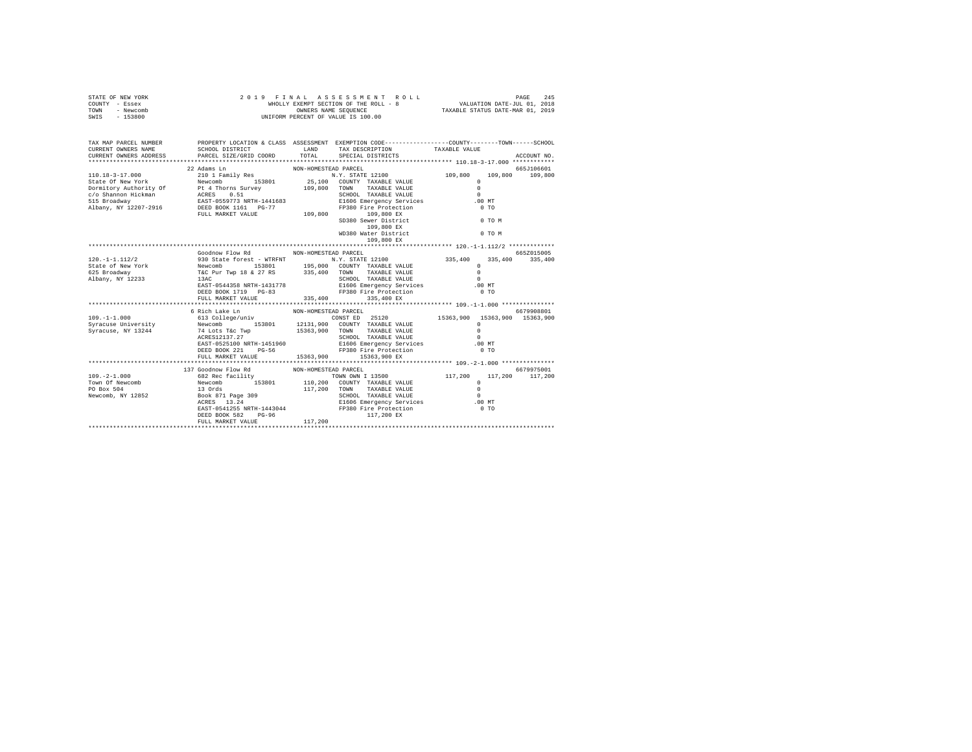| STATE OF NEW YORK<br>COUNTY - Essex<br>TOWN - Newcomb<br>SWIS - 153800                                              | 2019 FINAL ASSESSMENT F<br>WHOLLY EXEMPT SECTION OF THE ROLL - 8<br>ONNERS NAME SEQUENCE<br>UNIFORM PERCENT OF VALUE IS 100.00 |                      | $\begin{tabular}{lcccccc} $\texttt{F} \texttt{I} \texttt{N} \texttt{A} \texttt{L} & \texttt{A} \texttt{S} \texttt{S} \texttt{B} \texttt{S} \texttt{S} & \texttt{S} \texttt{S} \texttt{M} \texttt{E} \texttt{N} \texttt{T} & \texttt{R} \texttt{O} \texttt{L} \texttt{I} & \texttt{A} \texttt{I} & \texttt{24} \texttt{S} \\ \texttt{WHOLLY EXMPT SEVIN OF THE ROLJ} & & & & & & \texttt{VALUATION DATE-JUL} & 01, 2019 \\ & & &$ |               |                      |             |
|---------------------------------------------------------------------------------------------------------------------|--------------------------------------------------------------------------------------------------------------------------------|----------------------|----------------------------------------------------------------------------------------------------------------------------------------------------------------------------------------------------------------------------------------------------------------------------------------------------------------------------------------------------------------------------------------------------------------------------------|---------------|----------------------|-------------|
| TAX MAP PARCEL NUMBER PROPERTY LOCATION & CLASS ASSESSMENT EXEMPTION CODE--------------COUNTY-------TOWN-----SCHOOL | SCHOOL DISTRICT TAND TAX DESCRIPTION                                                                                           |                      |                                                                                                                                                                                                                                                                                                                                                                                                                                  | TAXABLE VALUE |                      | ACCOUNT NO. |
|                                                                                                                     |                                                                                                                                |                      |                                                                                                                                                                                                                                                                                                                                                                                                                                  |               |                      |             |
|                                                                                                                     | 22 Adams Ln                                                                                                                    | NON-HOMESTEAD PARCEL |                                                                                                                                                                                                                                                                                                                                                                                                                                  |               |                      | 665J106601  |
|                                                                                                                     |                                                                                                                                |                      | SD380 Sewer District<br>109,800 EX<br>WD380 Water District<br>109,800 EX                                                                                                                                                                                                                                                                                                                                                         |               | $0$ TO $M$<br>0 TO M |             |
|                                                                                                                     |                                                                                                                                |                      |                                                                                                                                                                                                                                                                                                                                                                                                                                  |               |                      |             |
|                                                                                                                     | Goodnow Flow Rd MON-HOMESTEAD PARCEL                                                                                           |                      |                                                                                                                                                                                                                                                                                                                                                                                                                                  |               |                      | 665Z015005  |
|                                                                                                                     | FULL MARKET VALUE 335, 400 335, 400 EX                                                                                         |                      |                                                                                                                                                                                                                                                                                                                                                                                                                                  |               |                      |             |
|                                                                                                                     |                                                                                                                                |                      |                                                                                                                                                                                                                                                                                                                                                                                                                                  |               |                      |             |
|                                                                                                                     | 6 Rich Lake Ln<br>FULL MARKET VALUE 45363.900 15363.900 EX                                                                     | NON-HOMESTEAD PARCEL |                                                                                                                                                                                                                                                                                                                                                                                                                                  |               |                      | 6679908801  |
|                                                                                                                     |                                                                                                                                |                      |                                                                                                                                                                                                                                                                                                                                                                                                                                  |               |                      |             |
|                                                                                                                     | DEED BOOK 582 PG-96<br>FULL MARKET VALUE 117,200                                                                               |                      | 117,200 EX                                                                                                                                                                                                                                                                                                                                                                                                                       |               |                      |             |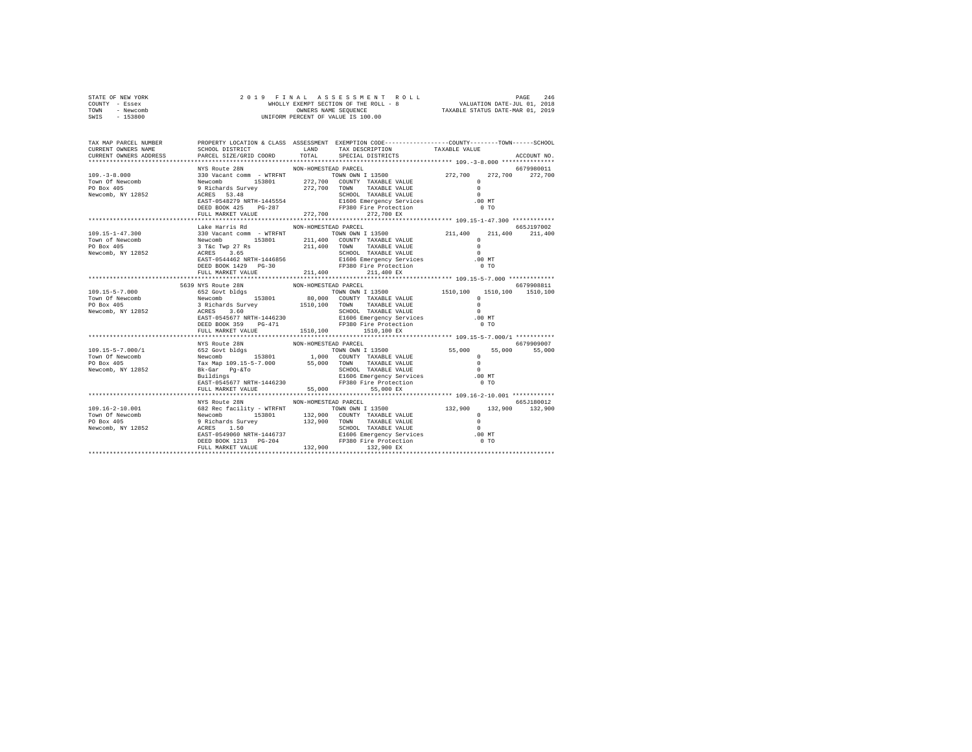| STATE OF NEW YORK | 2019 FINAL ASSESSMENT ROLL            | 246<br>PAGE                      |
|-------------------|---------------------------------------|----------------------------------|
| COUNTY - Essex    | WHOLLY EXEMPT SECTION OF THE ROLL - 8 | VALUATION DATE-JUL 01, 2018      |
| TOWN<br>- Newcomb | OWNERS NAME SEOUENCE                  | TAXABLE STATUS DATE-MAR 01, 2019 |
| $-153800$<br>SWIS | UNIFORM PERCENT OF VALUE IS 100.00    |                                  |

| TAX MAP PARCEL NUMBER<br>CURRENT OWNERS NAME<br>CURRENT OWNERS ADDRESS | SCHOOL DISTRICT LAND<br>PARCEL SIZE/GRID COORD TOTAL |                      | PROPERTY LOCATION & CLASS ASSESSMENT EXEMPTION CODE---------------COUNTY-------TOWN-----SCHOOL<br>TAX DESCRIPTION<br>SPECIAL DISTRICTS | TAXABLE VALUE  | ACCOUNT NO. |
|------------------------------------------------------------------------|------------------------------------------------------|----------------------|----------------------------------------------------------------------------------------------------------------------------------------|----------------|-------------|
|                                                                        |                                                      |                      |                                                                                                                                        |                |             |
|                                                                        | FULL MARKET VALUE                                    | 272,700              | 272,700 EX                                                                                                                             |                |             |
|                                                                        |                                                      |                      |                                                                                                                                        |                |             |
|                                                                        | Lake Harris Rd                                       | NON-HOMESTEAD PARCEL | DEED BOOK 1429 PG-30<br>FULL MARKET VALUE 211,400 PP380 Fire Protection                                                                | 0 <sub>T</sub> | 665J197002  |
|                                                                        |                                                      |                      |                                                                                                                                        |                |             |
|                                                                        | 5639 NYS Route 28N                                   | NON-HOMESTEAD PARCEL |                                                                                                                                        |                | 6679908811  |
|                                                                        | FULL MARKET VALUE 1510,100 1510,100 EX               |                      |                                                                                                                                        |                |             |
|                                                                        | NYS Route 28N<br>FULL MARKET VALUE 55,000 55,000 EX  | NON-HOMESTEAD PARCEL |                                                                                                                                        |                | 6679909007  |
|                                                                        |                                                      |                      |                                                                                                                                        |                |             |
|                                                                        | NYS Route 28N                                        | NON-HOMESTEAD PARCEL |                                                                                                                                        |                | 665J180012  |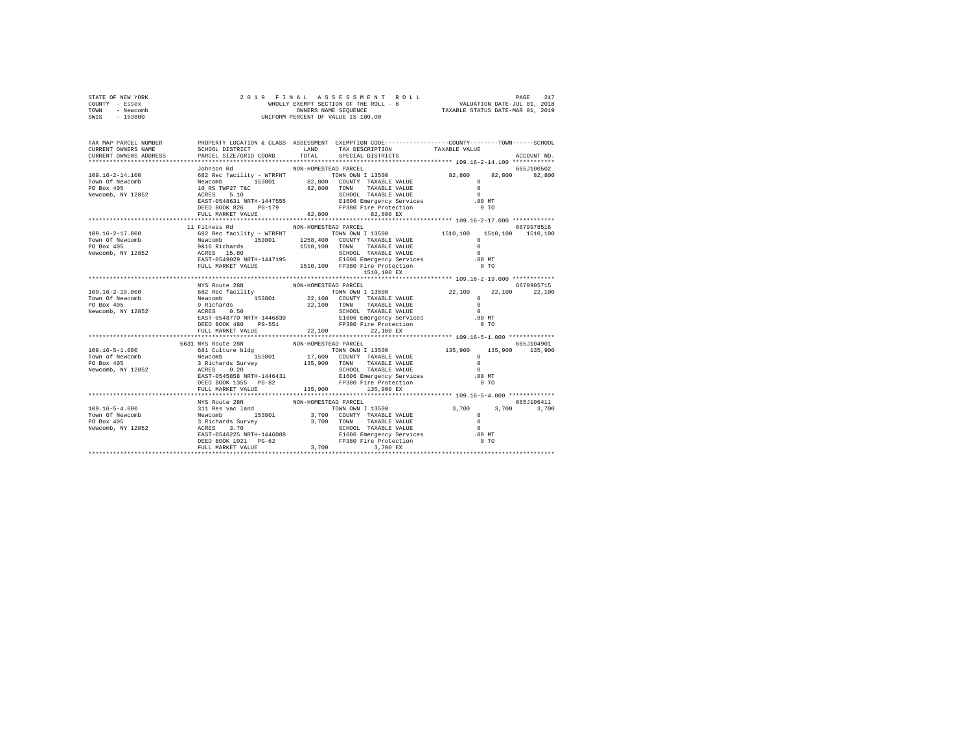| STATE OF NEW YORK<br>COUNTY - Essex<br>TOWN - Newcomb | $\texttt{WEDLLY EXREWFT SECITON OF THE ROLL} \begin{tabular}{p{0.85\textwidth}}p{0.85\textwidth}}p{0.85\textwidth}p{0.85\textwidth}p{0.85\textwidth}p{0.85\textwidth}p{0.85\textwidth}p{0.85\textwidth}p{0.85\textwidth}p{0.85\textwidth}p{0.85\textwidth}p{0.85\textwidth}p{0.85\textwidth}p{0.85\textwidth}p{0.85\textwidth}p{0.85\textwidth}p{0.85\textwidth}p{0.85\textwidth}p{0.85\textwidth}p{$        |             |  |
|-------------------------------------------------------|--------------------------------------------------------------------------------------------------------------------------------------------------------------------------------------------------------------------------------------------------------------------------------------------------------------------------------------------------------------------------------------------------------------|-------------|--|
| SWIS - 153800                                         |                                                                                                                                                                                                                                                                                                                                                                                                              |             |  |
| TAX MAP PARCEL NUMBER                                 | PROPERTY LOCATION & CLASS ASSESSMENT EXEMPTION CODE-----------------COUNTY-------TOWN-----SCHOOL                                                                                                                                                                                                                                                                                                             |             |  |
|                                                       |                                                                                                                                                                                                                                                                                                                                                                                                              | ACCOUNT NO. |  |
|                                                       | $\begin{tabular}{c cccc} \multicolumn{1}{c}{\textbf{300}}{\textbf{101}}{\textbf{101}}{\textbf{102}}{\textbf{103}}{\textbf{102}}{\textbf{103}}{\textbf{103}}{\textbf{103}}{\textbf{104}}{\textbf{104}}{\textbf{104}}{\textbf{104}}{\textbf{104}}{\textbf{104}}{\textbf{104}}{\textbf{104}}{\textbf{104}}{\textbf{104}}{\textbf{104}}{\textbf{104}}{\textbf{104}}{\textbf{104}}{\textbf{104}}{\textbf{104}}{\$ |             |  |
|                                                       |                                                                                                                                                                                                                                                                                                                                                                                                              |             |  |
|                                                       |                                                                                                                                                                                                                                                                                                                                                                                                              |             |  |
|                                                       |                                                                                                                                                                                                                                                                                                                                                                                                              |             |  |
|                                                       |                                                                                                                                                                                                                                                                                                                                                                                                              |             |  |
|                                                       |                                                                                                                                                                                                                                                                                                                                                                                                              |             |  |
|                                                       |                                                                                                                                                                                                                                                                                                                                                                                                              |             |  |
|                                                       |                                                                                                                                                                                                                                                                                                                                                                                                              |             |  |
|                                                       |                                                                                                                                                                                                                                                                                                                                                                                                              |             |  |
|                                                       |                                                                                                                                                                                                                                                                                                                                                                                                              | 6679978516  |  |
|                                                       |                                                                                                                                                                                                                                                                                                                                                                                                              |             |  |
|                                                       |                                                                                                                                                                                                                                                                                                                                                                                                              |             |  |
|                                                       |                                                                                                                                                                                                                                                                                                                                                                                                              |             |  |
|                                                       |                                                                                                                                                                                                                                                                                                                                                                                                              |             |  |
|                                                       |                                                                                                                                                                                                                                                                                                                                                                                                              |             |  |
|                                                       |                                                                                                                                                                                                                                                                                                                                                                                                              |             |  |
|                                                       | $\begin{tabular}{cccccc} 109.16-2-17.000 & 11\t% 108.84 & 1000\times 1000\times 1510, 100 & 1510, 100 & 1510, 100 & 1510, 100 & 1510, 100 & 1510, 100 & 1510, 100 & 1510, 100 & 1510, 100 & 1510, 100 & 1510, 100 & 1510, 100 & 1510, 100 & 1510, 100 & 1510, 100 & 1$                                                                                                                                       |             |  |
|                                                       |                                                                                                                                                                                                                                                                                                                                                                                                              |             |  |
|                                                       |                                                                                                                                                                                                                                                                                                                                                                                                              |             |  |
|                                                       |                                                                                                                                                                                                                                                                                                                                                                                                              |             |  |
|                                                       |                                                                                                                                                                                                                                                                                                                                                                                                              |             |  |
|                                                       |                                                                                                                                                                                                                                                                                                                                                                                                              |             |  |
|                                                       |                                                                                                                                                                                                                                                                                                                                                                                                              |             |  |
|                                                       |                                                                                                                                                                                                                                                                                                                                                                                                              |             |  |
|                                                       | 113501 12352<br>12362 12362 12362 1247<br>12362 12362 12362 12362 12362 12362 12362 12362 12362 12362 12362 12362 12362 12362 12362 12362 12362 12362 12362 12362 12362 12362 12362 12362 12362 12362 12362 12362 12362 12362 1236                                                                                                                                                                           |             |  |
|                                                       |                                                                                                                                                                                                                                                                                                                                                                                                              |             |  |
|                                                       | 199.16-5-1.000<br>199.16-5-1.000 5631 NYS Route 28N NON-HOMESTEAD PACCEL<br>199.16-5-1.000 681 Culture bldg<br>199.16-5-1.000 681 Culture bldg<br>199.16-5-1.000 135,900 500 135,900 135,900 135,900 135,900 135,900<br>199.000 135,900                                                                                                                                                                      |             |  |
|                                                       |                                                                                                                                                                                                                                                                                                                                                                                                              |             |  |
|                                                       |                                                                                                                                                                                                                                                                                                                                                                                                              |             |  |
|                                                       |                                                                                                                                                                                                                                                                                                                                                                                                              |             |  |
|                                                       |                                                                                                                                                                                                                                                                                                                                                                                                              |             |  |
|                                                       |                                                                                                                                                                                                                                                                                                                                                                                                              |             |  |
|                                                       |                                                                                                                                                                                                                                                                                                                                                                                                              |             |  |
|                                                       |                                                                                                                                                                                                                                                                                                                                                                                                              |             |  |
|                                                       |                                                                                                                                                                                                                                                                                                                                                                                                              |             |  |
|                                                       |                                                                                                                                                                                                                                                                                                                                                                                                              |             |  |
|                                                       |                                                                                                                                                                                                                                                                                                                                                                                                              |             |  |
|                                                       |                                                                                                                                                                                                                                                                                                                                                                                                              |             |  |
|                                                       |                                                                                                                                                                                                                                                                                                                                                                                                              |             |  |
|                                                       |                                                                                                                                                                                                                                                                                                                                                                                                              |             |  |
|                                                       |                                                                                                                                                                                                                                                                                                                                                                                                              |             |  |
|                                                       |                                                                                                                                                                                                                                                                                                                                                                                                              |             |  |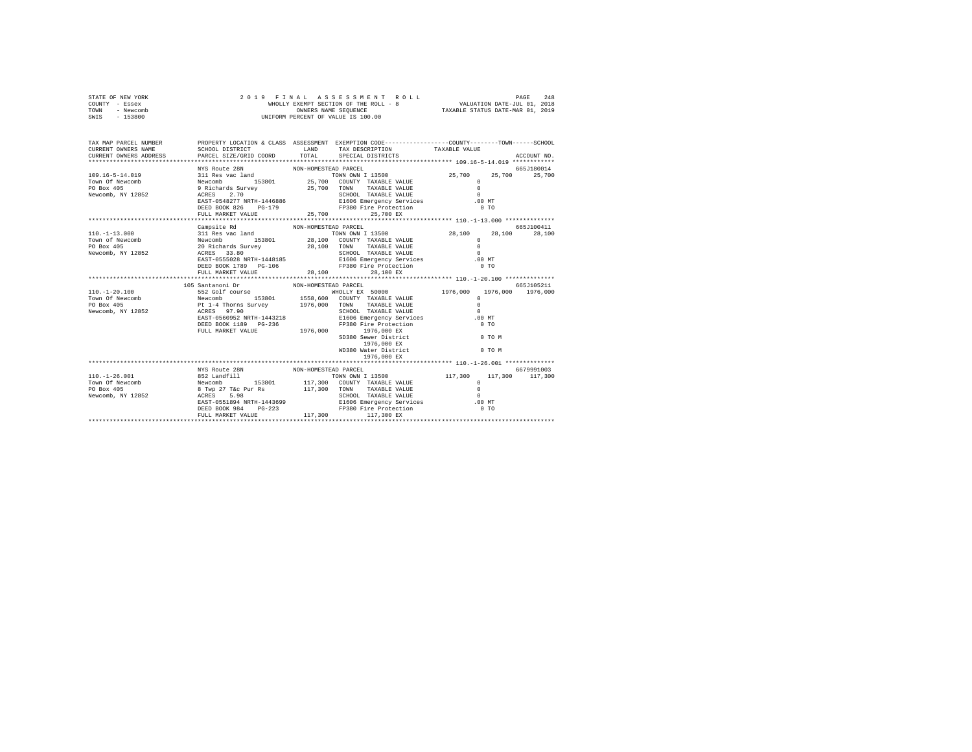| STATE OF NEW YORK<br>COUNTY - Essex<br>TOWN - Newcomb<br>SWIS - 153800                                                                                                                                                                                                                                                                                                                                                       | 2019 FINAL ASSESSMENT R<br>WHOLLY EXEMPT SECTION OF THE ROLL - 8<br>ONNERS NAME SEQUENCE<br>UNIFORM PERCENT OF VALUE IS 100.00 |                      | $\begin{tabular}{lcccccc} $\texttt{F} \texttt{I} \texttt{N} \texttt{A} \texttt{L} & \texttt{A} \texttt{S} \texttt{S} \texttt{B} \texttt{S} \texttt{S} & \texttt{S} \texttt{B} \texttt{N} \texttt{T} & \texttt{R} \texttt{O} \texttt{L} \texttt{L} & \texttt{A} \texttt{I} & \texttt{24} \texttt{B} \texttt{S} \\ \texttt{WHOLLY EXMPT SEVIN OF THE ROLJ} & & & & & & \texttt{VALUATION DATE-JUL} & 01, 2018 \\ & & & & & & & \text$ |  |                             |
|------------------------------------------------------------------------------------------------------------------------------------------------------------------------------------------------------------------------------------------------------------------------------------------------------------------------------------------------------------------------------------------------------------------------------|--------------------------------------------------------------------------------------------------------------------------------|----------------------|-------------------------------------------------------------------------------------------------------------------------------------------------------------------------------------------------------------------------------------------------------------------------------------------------------------------------------------------------------------------------------------------------------------------------------------|--|-----------------------------|
| TAX MAP PARCEL NUMBER PROPERTY LOCATION & CLASS ASSESSMENT EXEMPTION CODE--------------COUNTY-------TOWN-----SCHOOL<br>CURRENT OWNERS NAME<br>CURRENT OWNERS ADDRESS                                                                                                                                                                                                                                                         | PARCEL SIZE/GRID COORD TOTAL SPECIAL DISTRICTS                                                                                 |                      | SCHOOL DISTRICT                    LAND       TAX DESCRIPTION                TAXABLE VALUE                                                                                                                                                                                                                                                                                                                                          |  | ACCOUNT NO.                 |
|                                                                                                                                                                                                                                                                                                                                                                                                                              | NYS Route 28N<br>FULL MARKET VALUE 25,700 25,700 EX                                                                            | NON-HOMESTEAD PARCEL |                                                                                                                                                                                                                                                                                                                                                                                                                                     |  | 665J180014                  |
| $\begin{tabular}{l c c c c c} \hline 110.-1-13.000 & \hline \multicolumn{3}{c}{311~Res} & \hline \multicolumn{3}{c}{110--13.000} & \hline \multicolumn{3}{c}{211~Res} & \hline \multicolumn{3}{c}{121~Res} & \hline \multicolumn{3}{c}{121~Res} & \hline \multicolumn{3}{c}{121~Res} & \hline \multicolumn{3}{c}{121~Res} & \hline \multicolumn{3}{c}{121~Res} & \hline \multicolumn{3}{c}{121~Res} & \hline \multicolumn{3$ | Campsite Rd<br>FULL MARKET VALUE $28,100$ 28,100 EX                                                                            | NON-HOMESTEAD PARCEL |                                                                                                                                                                                                                                                                                                                                                                                                                                     |  | 665J100411<br>28.100 28.100 |
|                                                                                                                                                                                                                                                                                                                                                                                                                              |                                                                                                                                |                      |                                                                                                                                                                                                                                                                                                                                                                                                                                     |  |                             |
|                                                                                                                                                                                                                                                                                                                                                                                                                              | NYS Route 28N NON-HOMESTEAD PARCEL                                                                                             |                      |                                                                                                                                                                                                                                                                                                                                                                                                                                     |  | 6679991003                  |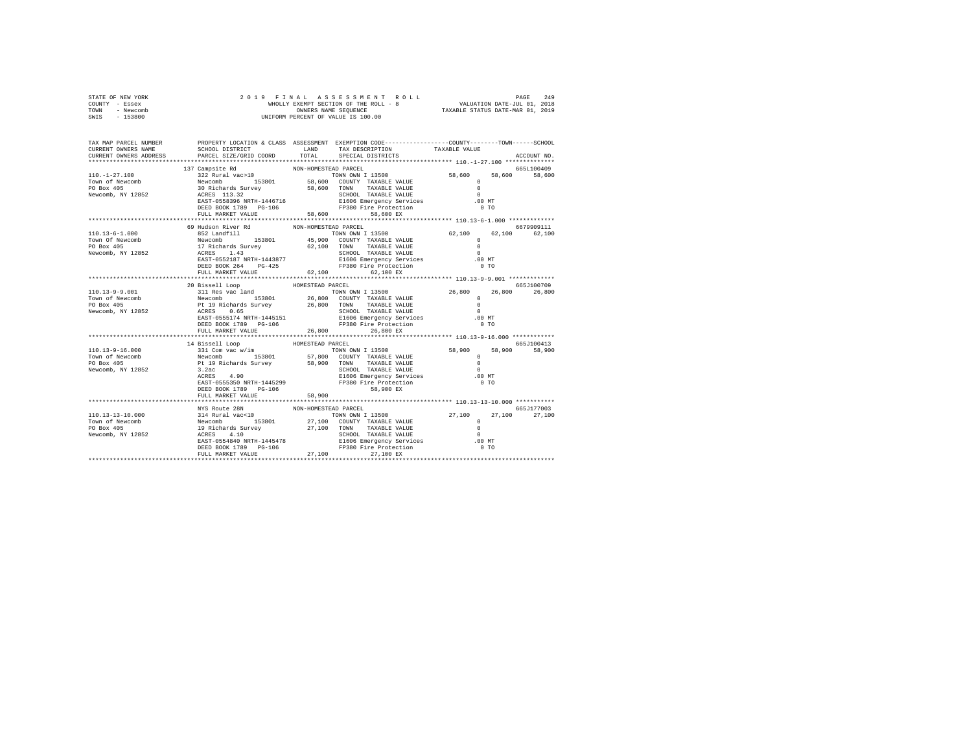| STATE OF NEW YORK | 2019 FINAL ASSESSMENT ROLL            | 249<br>PAGE                      |
|-------------------|---------------------------------------|----------------------------------|
| COUNTY - Essex    | WHOLLY EXEMPT SECTION OF THE ROLL - 8 | VALUATION DATE-JUL 01, 2018      |
| TOWN<br>- Newcomb | OWNERS NAME SEOUENCE                  | TAXABLE STATUS DATE-MAR 01, 2019 |
| - 153800<br>SWIS  | UNIFORM PERCENT OF VALUE IS 100.00    |                                  |

| TAX MAP PARCEL NUMBER<br>CURRENT OWNERS NAME<br>CURRENT OWNERS ADDRESS                                                                                                                                                                                                                                                                                                  | PARCEL SIZE/GRID COORD TOTAL |                      | PROPERTY LOCATION & CLASS ASSESSMENT EXEMPTION CODE----------------COUNTY-------TOWN-----SCHOOL<br>SCHOOL DISTRICT                    LAND        TAX DESCRIPTION                  TAXABLE VALUE<br>SPECIAL DISTRICTS                                                                                                                                                                                        |        | ACCOUNT NO.   |
|-------------------------------------------------------------------------------------------------------------------------------------------------------------------------------------------------------------------------------------------------------------------------------------------------------------------------------------------------------------------------|------------------------------|----------------------|--------------------------------------------------------------------------------------------------------------------------------------------------------------------------------------------------------------------------------------------------------------------------------------------------------------------------------------------------------------------------------------------------------------|--------|---------------|
|                                                                                                                                                                                                                                                                                                                                                                         |                              |                      |                                                                                                                                                                                                                                                                                                                                                                                                              |        |               |
| $\begin{tabular}{cccc} 110.-1-27.100 & 137  Campset {\texttt{A}} & 10N-N-HOMESTELP PARCEL & 665L100409 \\ & 322  Ruzna1 vac & 103.2 \\ \hline \texttt{Tom} of Newton & 153.2 & 113.32 \\ \texttt{Newcomb} & 30. Richard & 30.2 & 133.2 \\ \texttt{Newcomb} & 30.2 & 133.2 & 58,600 \\ \texttt{Newcomb} & 30.2 & 133.2 & 58.600 \\ \texttt{Newcomb} & 30.2 & 133.2 & 58$ |                              |                      | FP380 Fire Protection<br>58,600 EX                                                                                                                                                                                                                                                                                                                                                                           | $0$ TO |               |
|                                                                                                                                                                                                                                                                                                                                                                         |                              |                      |                                                                                                                                                                                                                                                                                                                                                                                                              |        |               |
|                                                                                                                                                                                                                                                                                                                                                                         | 69 Hudson River Rd           | NON-HOMESTEAD PARCEL | $\begin{tabular}{lllllllllll} \multicolumn{2}{c c c c c} \multicolumn{2}{c c c c} \multicolumn{2}{c c c} \multicolumn{2}{c c c} \multicolumn{2}{c c c} \multicolumn{2}{c c c} \multicolumn{2}{c c c} \multicolumn{2}{c c c} \multicolumn{2}{c c c} \multicolumn{2}{c c c} \multicolumn{2}{c c c} \multicolumn{2}{c c c} \multicolumn{2}{c c c} \multicolumn{2}{c c c} \multicolumn{2}{c c c} \multicolumn{2$ |        | 6679909111    |
|                                                                                                                                                                                                                                                                                                                                                                         | 20 Bissell Loop              | HOMESTEAD PARCEL     |                                                                                                                                                                                                                                                                                                                                                                                                              |        | 665J100709    |
|                                                                                                                                                                                                                                                                                                                                                                         | FULL MARKET VALUE            |                      | 26,800 26,800 EX                                                                                                                                                                                                                                                                                                                                                                                             |        | 26,800 26,800 |
|                                                                                                                                                                                                                                                                                                                                                                         |                              |                      |                                                                                                                                                                                                                                                                                                                                                                                                              |        |               |
| 14 Bissell Loop<br>14 Bissell Loop<br>153801 COUNTY TAXABLE VALUE 58,900 58,900 58,900<br>1653100413<br>16653100413<br>16653100413<br>1696 Enterprise Sales (1990 COUNTY TAXABLE VALUE 20<br>20 Box 405<br>2.2 3.2 3.2 SCHOOL TAXABLE VALUE 20                                                                                                                          |                              |                      |                                                                                                                                                                                                                                                                                                                                                                                                              |        |               |
|                                                                                                                                                                                                                                                                                                                                                                         |                              |                      |                                                                                                                                                                                                                                                                                                                                                                                                              |        |               |
|                                                                                                                                                                                                                                                                                                                                                                         | NYS Route 28N                | NON-HOMESTEAD PARCEL |                                                                                                                                                                                                                                                                                                                                                                                                              |        | 665J177003    |
|                                                                                                                                                                                                                                                                                                                                                                         |                              |                      |                                                                                                                                                                                                                                                                                                                                                                                                              |        |               |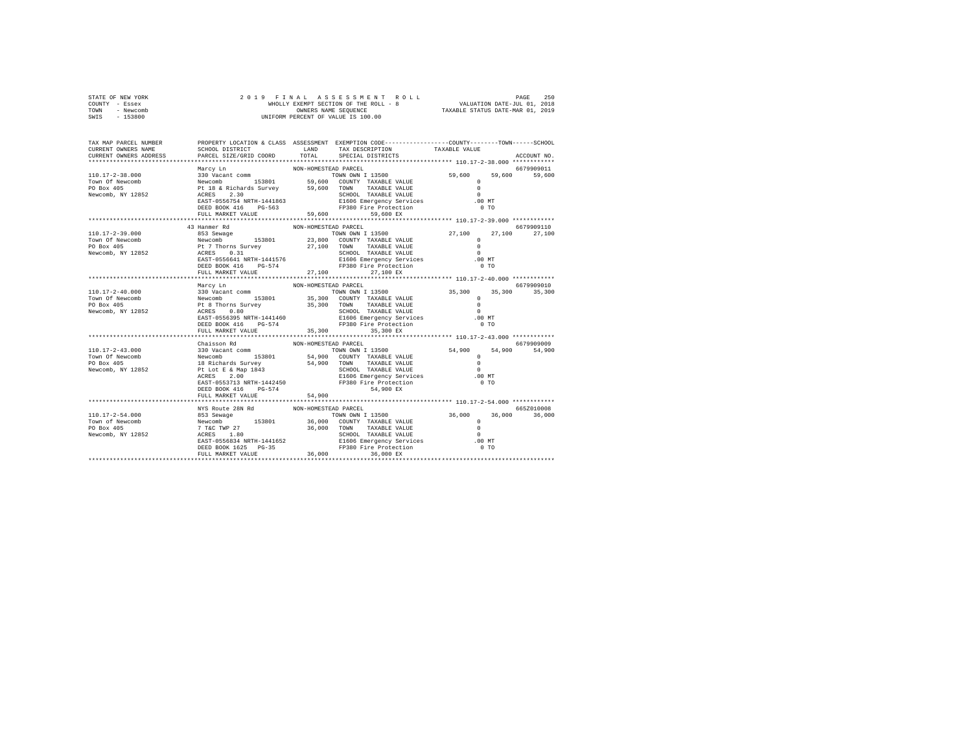| STATE OF NEW YORK | 2019 FINAL ASSESSMENT ROLL            | 250<br>PAGE                      |
|-------------------|---------------------------------------|----------------------------------|
| COUNTY - Essex    | WHOLLY EXEMPT SECTION OF THE ROLL - 8 | VALUATION DATE-JUL 01, 2018      |
| TOWN<br>- Newcomb | OWNERS NAME SEOUENCE                  | TAXABLE STATUS DATE-MAR 01, 2019 |
| - 153800<br>SWIS  | UNIFORM PERCENT OF VALUE IS 100.00    |                                  |

| TAX MAP PARCEL NUMBER<br>CURRENT OWNERS NAME<br>CURRENT OWNERS ADDRESS                                                                                                                                                         | SCHOOL DISTRICT TAND TAX DESCRIPTION<br>PARCEL SIZE/GRID COORD | TOTAL                | PROPERTY LOCATION & CLASS ASSESSMENT EXEMPTION CODE---------------COUNTY-------TOWN-----SCHOOL<br>SPECIAL DISTRICTS | TAXABLE VALUE | ACCOUNT NO.   |
|--------------------------------------------------------------------------------------------------------------------------------------------------------------------------------------------------------------------------------|----------------------------------------------------------------|----------------------|---------------------------------------------------------------------------------------------------------------------|---------------|---------------|
|                                                                                                                                                                                                                                |                                                                |                      |                                                                                                                     |               |               |
|                                                                                                                                                                                                                                |                                                                |                      |                                                                                                                     |               |               |
| Marcy Lm NON-HOMESTEAD PARCEL 59,600 59,600 59,600 59,600 59,600 59,600 59,600 59,600 59,600 59,600 59,600 59,600 59,600 59,600 59,600 59,600 59,600 59,600 59,600 59,600 59,600 59,600 59,600 59,600 70 PU 18 & Richards Surv |                                                                |                      |                                                                                                                     |               |               |
|                                                                                                                                                                                                                                |                                                                |                      |                                                                                                                     |               |               |
|                                                                                                                                                                                                                                | 43 Hanmer Rd                                                   | NON-HOMESTEAD PARCEL |                                                                                                                     |               | 6679909110    |
|                                                                                                                                                                                                                                | FULL MARKET VALUE $27,100$ 27,100 EX                           |                      |                                                                                                                     |               | 27,100        |
|                                                                                                                                                                                                                                | Marcy Ln                                                       | NON-HOMESTEAD PARCEL |                                                                                                                     |               | 6679909010    |
|                                                                                                                                                                                                                                | DEED BOOK 416 PG-574<br>FULL MARKET VALUE                      |                      | FP380 Fire Protection<br>35,300<br>35,300 EX                                                                        | $0$ TO        | 35,300 35,300 |
|                                                                                                                                                                                                                                |                                                                |                      |                                                                                                                     |               |               |
|                                                                                                                                                                                                                                |                                                                |                      |                                                                                                                     |               |               |
|                                                                                                                                                                                                                                |                                                                |                      |                                                                                                                     |               |               |
|                                                                                                                                                                                                                                | NYS Route 28N Rd MON-HOMESTEAD PARCEL                          |                      |                                                                                                                     |               | 665Z010008    |
|                                                                                                                                                                                                                                |                                                                |                      |                                                                                                                     |               |               |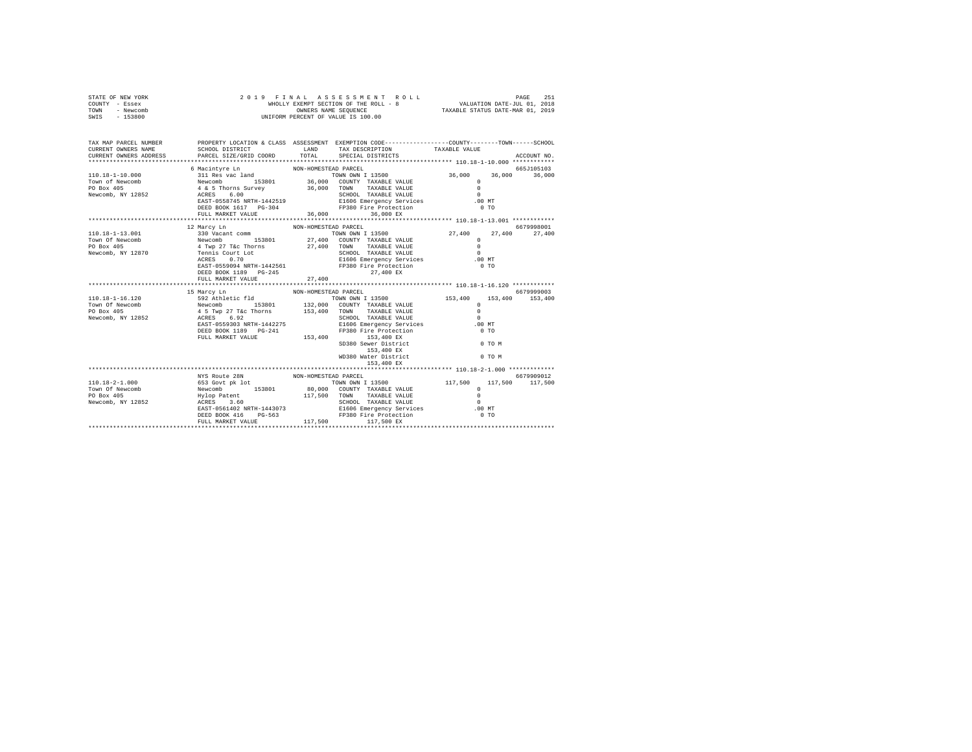| STATE OF NEW YORK<br>COUNTY - Essex<br>TOWN - Newcomb<br>SWIS - 153800                                                                                                                                                                                                                                                                                                                                             | 2019 FINAL ASSESSMENT F<br>WHOLLY EXEMPT SECTION OF THE ROLL - 8<br>ONNERS NAME SEQUENCE<br>UNIFORM PERCENT OF VALUE IS 100.00 |                      | $\begin{tabular}{lcccccc} $\texttt{F} \texttt{I} \texttt{N} \texttt{A} \texttt{L} & \texttt{A} \texttt{S} \texttt{S} \texttt{B} \texttt{S} \texttt{S} \texttt{S} \texttt{M} \texttt{E} \texttt{N} \texttt{T} & \texttt{R} \texttt{O} \texttt{L} \texttt{L} & & & & \\ \texttt{WHOLLY EXMPT SE-TISC TION OF THE ROLJ} & & & & & & \texttt{VALUATION DATE-JUL 01, 2019} \\ & & & & & & & \texttt{VALUATION DATE-ML P. 01, 2019} \\$<br>2019 FINAL ASSESSMENT ROLL |               |             |
|--------------------------------------------------------------------------------------------------------------------------------------------------------------------------------------------------------------------------------------------------------------------------------------------------------------------------------------------------------------------------------------------------------------------|--------------------------------------------------------------------------------------------------------------------------------|----------------------|-----------------------------------------------------------------------------------------------------------------------------------------------------------------------------------------------------------------------------------------------------------------------------------------------------------------------------------------------------------------------------------------------------------------------------------------------------------------|---------------|-------------|
| TAX MAP PARCEL NUMBER PROPERTY LOCATION & CLASS ASSESSMENT EXEMPTION CODE--------------COUNTY-------TOWN------SCHOOL<br>CURRENT OWNERS NAME<br>CURRENT OWNERS ADDRESS                                                                                                                                                                                                                                              | SCHOOL DISTRICT TAND TAX DESCRIPTION<br>PARCEL SIZE/GRID COORD TOTAL SPECIAL DISTRICTS                                         |                      |                                                                                                                                                                                                                                                                                                                                                                                                                                                                 | TAXABLE VALUE | ACCOUNT NO. |
|                                                                                                                                                                                                                                                                                                                                                                                                                    |                                                                                                                                |                      |                                                                                                                                                                                                                                                                                                                                                                                                                                                                 |               |             |
|                                                                                                                                                                                                                                                                                                                                                                                                                    | 6 Macintyre Ln                                                                                                                 | NON-HOMESTEAD PARCEL |                                                                                                                                                                                                                                                                                                                                                                                                                                                                 |               | 665J105103  |
| $\begin{tabular}{c c c c} \multicolumn{1}{c}{\textbf{10.18--1--10.000}} & \multicolumn{1}{c}{\textbf{5.000}} & \multicolumn{1}{c}{\textbf{5.000}} & \multicolumn{1}{c}{\textbf{5.000}} & \multicolumn{1}{c}{\textbf{5.000}} & \multicolumn{1}{c}{\textbf{5.000}} & \multicolumn{1}{c}{\textbf{5.000}} & \multicolumn{1}{c}{\textbf{5.000}} & \multicolumn{1}{c}{\textbf{5.000}} & \multicolumn{1}{c}{\textbf{5.00$ |                                                                                                                                |                      | TOWN OWN I 13500 36,000 36,000 36,000                                                                                                                                                                                                                                                                                                                                                                                                                           |               |             |
|                                                                                                                                                                                                                                                                                                                                                                                                                    |                                                                                                                                |                      |                                                                                                                                                                                                                                                                                                                                                                                                                                                                 |               |             |
|                                                                                                                                                                                                                                                                                                                                                                                                                    |                                                                                                                                |                      |                                                                                                                                                                                                                                                                                                                                                                                                                                                                 |               |             |
|                                                                                                                                                                                                                                                                                                                                                                                                                    |                                                                                                                                |                      |                                                                                                                                                                                                                                                                                                                                                                                                                                                                 |               |             |
|                                                                                                                                                                                                                                                                                                                                                                                                                    |                                                                                                                                |                      |                                                                                                                                                                                                                                                                                                                                                                                                                                                                 |               |             |
|                                                                                                                                                                                                                                                                                                                                                                                                                    | FULL MARKET VALUE 36,000 36,000 EX                                                                                             |                      |                                                                                                                                                                                                                                                                                                                                                                                                                                                                 |               |             |
|                                                                                                                                                                                                                                                                                                                                                                                                                    |                                                                                                                                |                      |                                                                                                                                                                                                                                                                                                                                                                                                                                                                 |               |             |
|                                                                                                                                                                                                                                                                                                                                                                                                                    | 12 Marcy Ln                                                                                                                    | NON-HOMESTEAD PARCEL |                                                                                                                                                                                                                                                                                                                                                                                                                                                                 |               | 6679998001  |
|                                                                                                                                                                                                                                                                                                                                                                                                                    |                                                                                                                                |                      |                                                                                                                                                                                                                                                                                                                                                                                                                                                                 |               |             |
|                                                                                                                                                                                                                                                                                                                                                                                                                    |                                                                                                                                |                      |                                                                                                                                                                                                                                                                                                                                                                                                                                                                 |               |             |
|                                                                                                                                                                                                                                                                                                                                                                                                                    |                                                                                                                                |                      |                                                                                                                                                                                                                                                                                                                                                                                                                                                                 |               |             |
|                                                                                                                                                                                                                                                                                                                                                                                                                    |                                                                                                                                |                      |                                                                                                                                                                                                                                                                                                                                                                                                                                                                 |               |             |
|                                                                                                                                                                                                                                                                                                                                                                                                                    |                                                                                                                                |                      |                                                                                                                                                                                                                                                                                                                                                                                                                                                                 |               |             |
|                                                                                                                                                                                                                                                                                                                                                                                                                    |                                                                                                                                |                      |                                                                                                                                                                                                                                                                                                                                                                                                                                                                 |               |             |
|                                                                                                                                                                                                                                                                                                                                                                                                                    | DEED BOOK 1189 PG-245                                                                                                          |                      | 27,400 EX                                                                                                                                                                                                                                                                                                                                                                                                                                                       |               |             |
|                                                                                                                                                                                                                                                                                                                                                                                                                    | FULL MARKET VALUE                                                                                                              | 27,400               |                                                                                                                                                                                                                                                                                                                                                                                                                                                                 |               |             |
|                                                                                                                                                                                                                                                                                                                                                                                                                    | 15 Marcy Ln                                                                                                                    | NON-HOMESTEAD PARCEL |                                                                                                                                                                                                                                                                                                                                                                                                                                                                 |               | 6679999003  |
| 110.18-1-16.120                                                                                                                                                                                                                                                                                                                                                                                                    |                                                                                                                                |                      |                                                                                                                                                                                                                                                                                                                                                                                                                                                                 |               |             |
| Town Of Newcomb                                                                                                                                                                                                                                                                                                                                                                                                    |                                                                                                                                |                      |                                                                                                                                                                                                                                                                                                                                                                                                                                                                 |               |             |
|                                                                                                                                                                                                                                                                                                                                                                                                                    |                                                                                                                                |                      |                                                                                                                                                                                                                                                                                                                                                                                                                                                                 |               |             |
| PO Box 405<br>Newcomb, NY 12852                                                                                                                                                                                                                                                                                                                                                                                    |                                                                                                                                |                      |                                                                                                                                                                                                                                                                                                                                                                                                                                                                 |               |             |
|                                                                                                                                                                                                                                                                                                                                                                                                                    |                                                                                                                                |                      |                                                                                                                                                                                                                                                                                                                                                                                                                                                                 |               |             |
|                                                                                                                                                                                                                                                                                                                                                                                                                    |                                                                                                                                |                      |                                                                                                                                                                                                                                                                                                                                                                                                                                                                 |               |             |
|                                                                                                                                                                                                                                                                                                                                                                                                                    |                                                                                                                                |                      |                                                                                                                                                                                                                                                                                                                                                                                                                                                                 |               |             |
|                                                                                                                                                                                                                                                                                                                                                                                                                    |                                                                                                                                |                      |                                                                                                                                                                                                                                                                                                                                                                                                                                                                 |               |             |
|                                                                                                                                                                                                                                                                                                                                                                                                                    |                                                                                                                                |                      |                                                                                                                                                                                                                                                                                                                                                                                                                                                                 |               |             |
|                                                                                                                                                                                                                                                                                                                                                                                                                    |                                                                                                                                |                      |                                                                                                                                                                                                                                                                                                                                                                                                                                                                 |               |             |
|                                                                                                                                                                                                                                                                                                                                                                                                                    |                                                                                                                                |                      | 153,400 EX                                                                                                                                                                                                                                                                                                                                                                                                                                                      |               |             |
|                                                                                                                                                                                                                                                                                                                                                                                                                    |                                                                                                                                |                      |                                                                                                                                                                                                                                                                                                                                                                                                                                                                 |               |             |
|                                                                                                                                                                                                                                                                                                                                                                                                                    |                                                                                                                                |                      |                                                                                                                                                                                                                                                                                                                                                                                                                                                                 |               |             |
|                                                                                                                                                                                                                                                                                                                                                                                                                    |                                                                                                                                |                      |                                                                                                                                                                                                                                                                                                                                                                                                                                                                 |               |             |
|                                                                                                                                                                                                                                                                                                                                                                                                                    |                                                                                                                                |                      |                                                                                                                                                                                                                                                                                                                                                                                                                                                                 |               |             |
|                                                                                                                                                                                                                                                                                                                                                                                                                    |                                                                                                                                |                      |                                                                                                                                                                                                                                                                                                                                                                                                                                                                 |               |             |
|                                                                                                                                                                                                                                                                                                                                                                                                                    |                                                                                                                                |                      |                                                                                                                                                                                                                                                                                                                                                                                                                                                                 |               |             |
|                                                                                                                                                                                                                                                                                                                                                                                                                    |                                                                                                                                |                      |                                                                                                                                                                                                                                                                                                                                                                                                                                                                 |               |             |
|                                                                                                                                                                                                                                                                                                                                                                                                                    |                                                                                                                                |                      |                                                                                                                                                                                                                                                                                                                                                                                                                                                                 |               |             |
|                                                                                                                                                                                                                                                                                                                                                                                                                    |                                                                                                                                |                      |                                                                                                                                                                                                                                                                                                                                                                                                                                                                 |               |             |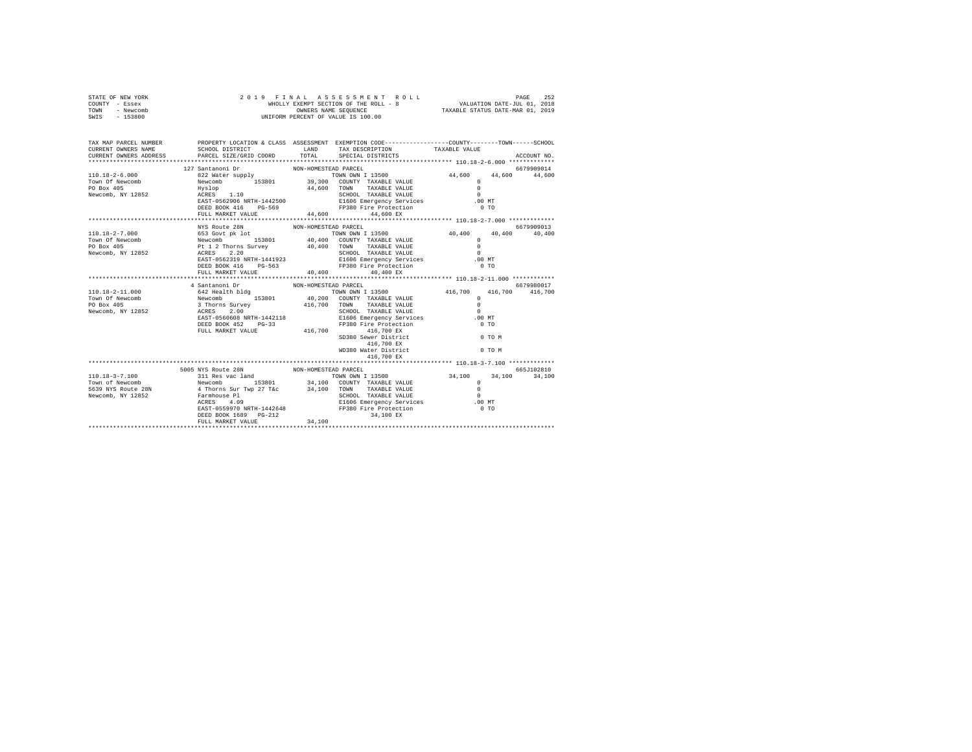| STATE OF NEW YORK<br>COUNTY - Essex<br>TOWN - Newcomb<br>SWIS - 153800 | 2019 FINAL ASSESSMENT R<br>WHOLLY EXEMPT SECTION OF THE ROLL - 8<br>OWNERS NAME SEQUENCE<br>UNIFORM PERCENT OF VALUE IS 100.00                                                                                                                                        |                      | FINAL ASSES MENT ROLL<br>WHOLLY EXEMPT SECTION OF THE ROLL - 8<br>WHOLLY EXEMPT SECTION OF THE ROLL - 8<br>WALUATION DATE-MAR 01, 2019 |                  |             |
|------------------------------------------------------------------------|-----------------------------------------------------------------------------------------------------------------------------------------------------------------------------------------------------------------------------------------------------------------------|----------------------|----------------------------------------------------------------------------------------------------------------------------------------|------------------|-------------|
|                                                                        | TAX MAP PARCEL NUMBER PROPERTY LOCATION & CLASS ASSESSMENT EXEMPTION CODE--------------COUNTY-------TOWN-----SCHOOL<br>SCHOOL DISTRICT TAND TAX DESCRIPTION                                                                                                           |                      | TOTAL SPECIAL DISTRICTS                                                                                                                | TAXABLE VALUE    | ACCOUNT NO. |
|                                                                        |                                                                                                                                                                                                                                                                       |                      |                                                                                                                                        |                  |             |
|                                                                        | 127 Santanoni Dr                                                                                                                                                                                                                                                      | NON-HOMESTEAD PARCEL |                                                                                                                                        |                  | 6679909014  |
|                                                                        | $\begin{tabular}{cccccc} 110.18-2-6.000 & 44.600 & 44.600 & 44.600 & 44.600 & 44.600 & 44.600 & 44.600 & 44.600 & 44.600 & 44.600 & 44.600 & 44.600 & 44.600 & 44.600 & 44.600 & 44.600 & 44.600 & 44.600 & 44.600 & 44.600 & 44.600 & 44.600 & 44.600 & 44.600 & 44$ |                      |                                                                                                                                        |                  |             |
|                                                                        |                                                                                                                                                                                                                                                                       |                      |                                                                                                                                        |                  |             |
|                                                                        |                                                                                                                                                                                                                                                                       |                      |                                                                                                                                        |                  |             |
|                                                                        | 4 Santanoni Dr                                                                                                                                                                                                                                                        | NON-HOMESTEAD PARCEL |                                                                                                                                        |                  | 6679980017  |
|                                                                        |                                                                                                                                                                                                                                                                       |                      | SD380 Sewer District<br>416,700 EX<br>WD380 Water District<br>416,700 EX                                                               | O TO M<br>0 TO M |             |
|                                                                        |                                                                                                                                                                                                                                                                       |                      |                                                                                                                                        |                  |             |
|                                                                        | 110.18-3-7.100<br>18005 NYS Route 28N<br>18005 NYS Route 28N<br>18005 NYS Route 28N<br>18006 NYS Route 28N<br>18006 NYS Route 28N<br>18006 NYS Route 28N<br>18000 NYS TAXABLE VALUE<br>1900 NOWNY 113500<br>1911 Rewcomb, NY 12852<br>18006 NYS Ro                    |                      |                                                                                                                                        |                  |             |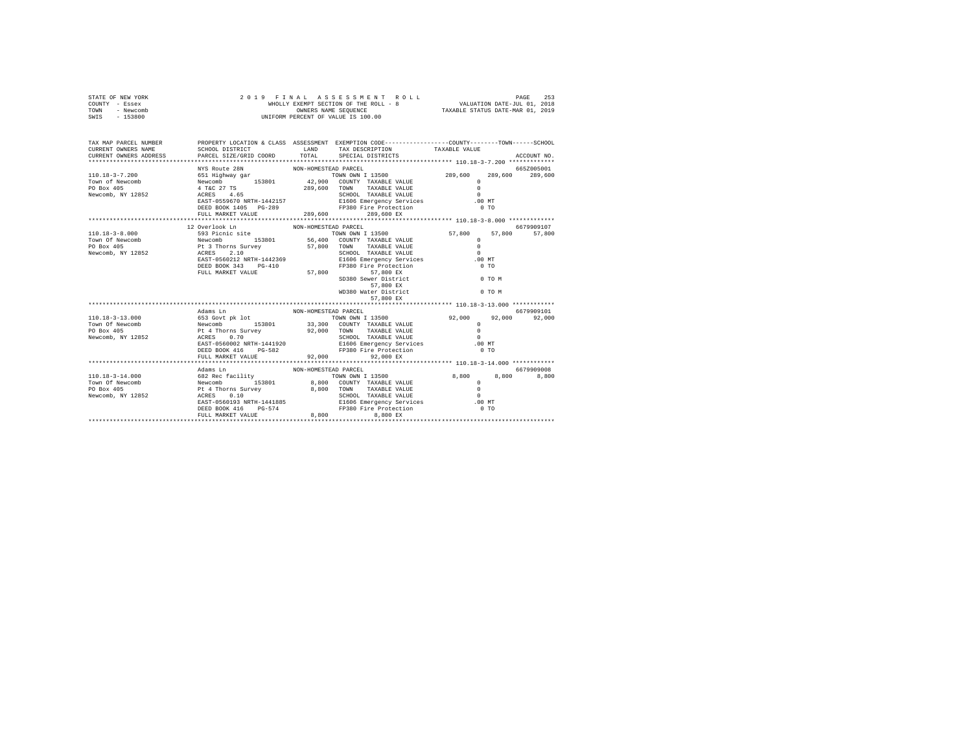| STATE OF NEW YORK | 2019 FINAL ASSESSMENT ROLL            | 253<br>PAGE                      |
|-------------------|---------------------------------------|----------------------------------|
| COUNTY - Essex    | WHOLLY EXEMPT SECTION OF THE ROLL - 8 | VALUATION DATE-JUL 01, 2018      |
| TOWN<br>- Newcomb | OWNERS NAME SEOUENCE                  | TAXABLE STATUS DATE-MAR 01, 2019 |
| - 153800<br>SWIS  | UNIFORM PERCENT OF VALUE IS 100.00    |                                  |

| TAX MAP PARCEL NUMBER                                                                                                                                                                                                                                                                                                                                      |                                        |                      | PROPERTY LOCATION & CLASS ASSESSMENT EXEMPTION CODE---------------COUNTY-------TOWN------SCHOOL                                                                         |        |                 |
|------------------------------------------------------------------------------------------------------------------------------------------------------------------------------------------------------------------------------------------------------------------------------------------------------------------------------------------------------------|----------------------------------------|----------------------|-------------------------------------------------------------------------------------------------------------------------------------------------------------------------|--------|-----------------|
|                                                                                                                                                                                                                                                                                                                                                            |                                        |                      |                                                                                                                                                                         |        |                 |
|                                                                                                                                                                                                                                                                                                                                                            | NYS Route 28N                          | NON-HOMESTEAD PARCEL |                                                                                                                                                                         |        | 665Z005001      |
|                                                                                                                                                                                                                                                                                                                                                            |                                        |                      |                                                                                                                                                                         |        | 289,600 289,600 |
|                                                                                                                                                                                                                                                                                                                                                            |                                        |                      |                                                                                                                                                                         |        |                 |
|                                                                                                                                                                                                                                                                                                                                                            |                                        |                      |                                                                                                                                                                         |        |                 |
|                                                                                                                                                                                                                                                                                                                                                            |                                        |                      |                                                                                                                                                                         |        |                 |
| $\begin{tabular}{l c c c c c} \hline 110.18-3-7.200 & 651 Highway gar & {\small{nu-vw--convES1EM UNN IN 13500}} & 289,600 & 285 & 289,600 & 285 & 289,600 & 285 & 289,600 & 285 & 289,600 & 285 & 289,600 & 285 & 289,600 & 285 & 289,600 & 285 & 289,600 & 285 & 289,600 & 285 & 289,600 & 2$                                                             |                                        |                      |                                                                                                                                                                         |        |                 |
|                                                                                                                                                                                                                                                                                                                                                            |                                        |                      | DEED BOOK 1405 PG-289 PS380 Fire Protection                                                                                                                             | $0$ TO |                 |
|                                                                                                                                                                                                                                                                                                                                                            |                                        |                      |                                                                                                                                                                         |        |                 |
|                                                                                                                                                                                                                                                                                                                                                            |                                        |                      |                                                                                                                                                                         |        |                 |
|                                                                                                                                                                                                                                                                                                                                                            | 12 Overlook Ln<br>NON-HOMESTEAD PARCEL |                      |                                                                                                                                                                         |        | 6679909107      |
|                                                                                                                                                                                                                                                                                                                                                            |                                        |                      |                                                                                                                                                                         |        |                 |
|                                                                                                                                                                                                                                                                                                                                                            |                                        |                      |                                                                                                                                                                         |        |                 |
|                                                                                                                                                                                                                                                                                                                                                            |                                        |                      |                                                                                                                                                                         |        |                 |
|                                                                                                                                                                                                                                                                                                                                                            |                                        |                      |                                                                                                                                                                         |        |                 |
|                                                                                                                                                                                                                                                                                                                                                            |                                        |                      | ACRES 2.10<br>EAST-0560212RRTH-1442369 - SCHOOL TAXABLE VALUE<br>DEED BOOK 343 PG-410 - FISO6 Emergency Services<br>DEED BOOK 343 PG-410 - PP380 Fire Protection - 0 TO |        |                 |
|                                                                                                                                                                                                                                                                                                                                                            |                                        |                      |                                                                                                                                                                         |        |                 |
|                                                                                                                                                                                                                                                                                                                                                            | FULL MARKET VALUE 57,800               |                      | 57,800 EX                                                                                                                                                               |        |                 |
|                                                                                                                                                                                                                                                                                                                                                            |                                        |                      | SD380 Sewer District<br>57,800 EX                                                                                                                                       | 0 TO M |                 |
|                                                                                                                                                                                                                                                                                                                                                            |                                        |                      |                                                                                                                                                                         |        |                 |
|                                                                                                                                                                                                                                                                                                                                                            |                                        |                      | WD380 Water District 0 TO M                                                                                                                                             |        |                 |
|                                                                                                                                                                                                                                                                                                                                                            |                                        |                      | 57,800 EX                                                                                                                                                               |        |                 |
|                                                                                                                                                                                                                                                                                                                                                            |                                        |                      |                                                                                                                                                                         |        | 6679909101      |
|                                                                                                                                                                                                                                                                                                                                                            | Adams Ln                               | NON-HOMESTEAD PARCEL |                                                                                                                                                                         |        |                 |
|                                                                                                                                                                                                                                                                                                                                                            |                                        |                      |                                                                                                                                                                         |        |                 |
|                                                                                                                                                                                                                                                                                                                                                            |                                        |                      |                                                                                                                                                                         |        |                 |
|                                                                                                                                                                                                                                                                                                                                                            |                                        |                      |                                                                                                                                                                         |        |                 |
|                                                                                                                                                                                                                                                                                                                                                            |                                        |                      |                                                                                                                                                                         |        |                 |
|                                                                                                                                                                                                                                                                                                                                                            |                                        |                      |                                                                                                                                                                         |        |                 |
|                                                                                                                                                                                                                                                                                                                                                            |                                        |                      |                                                                                                                                                                         |        |                 |
|                                                                                                                                                                                                                                                                                                                                                            |                                        |                      |                                                                                                                                                                         |        |                 |
|                                                                                                                                                                                                                                                                                                                                                            | Adams Ln                               |                      | NON-HOMESTEAD PARCEL                                                                                                                                                    |        | 6679909008      |
|                                                                                                                                                                                                                                                                                                                                                            |                                        |                      |                                                                                                                                                                         |        | 8,800           |
| 110.18–3–14.000 $\begin{array}{cccccccccccc} \text{10.18--3--14.000} & \text{10.8} & \text{10.9} & \text{10.9} & \text{10.9} & \text{10.9} & \text{10.9} & \text{10.9} & \text{10.9} & \text{10.9} & \text{10.9} & \text{10.9} & \text{10.9} & \text{10.9} & \text{10.9} & \text{10.9} & \text{10.9} & \text{10.9} & \text{10.9} & \text{10.9} & \text{10$ |                                        |                      |                                                                                                                                                                         |        |                 |
|                                                                                                                                                                                                                                                                                                                                                            |                                        |                      |                                                                                                                                                                         |        |                 |
|                                                                                                                                                                                                                                                                                                                                                            |                                        |                      |                                                                                                                                                                         |        |                 |
|                                                                                                                                                                                                                                                                                                                                                            |                                        |                      |                                                                                                                                                                         |        |                 |
|                                                                                                                                                                                                                                                                                                                                                            |                                        |                      |                                                                                                                                                                         |        |                 |
|                                                                                                                                                                                                                                                                                                                                                            | FULL MARKET VALUE                      |                      | 8,800<br>8,800 EX                                                                                                                                                       |        |                 |
|                                                                                                                                                                                                                                                                                                                                                            |                                        |                      |                                                                                                                                                                         |        |                 |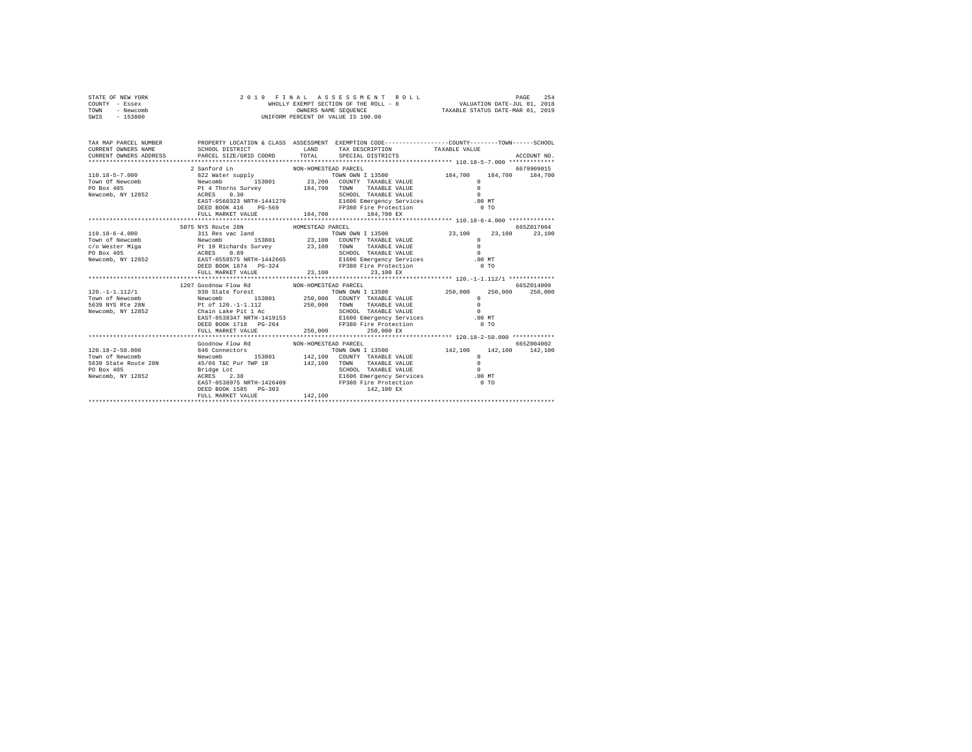| STATE OF NEW YORK | 2019 FINAL ASSESSMENT ROLL            | 254<br>PAGE                      |
|-------------------|---------------------------------------|----------------------------------|
| COUNTY - Essex    | WHOLLY EXEMPT SECTION OF THE ROLL - 8 | VALUATION DATE-JUL 01, 2018      |
| - Newcomb<br>TOWN | OWNERS NAME SEOUENCE                  | TAXABLE STATUS DATE-MAR 01, 2019 |
| $-153800$<br>SWIS | UNIFORM PERCENT OF VALUE IS 100.00    |                                  |
|                   |                                       |                                  |

| TAX MAP PARCEL NUMBER                              |                                                                                                                                                                                       | PROPERTY LOCATION & CLASS ASSESSMENT EXEMPTION CODE----------------COUNTY-------TOWN------SCHOOL                                                                                                                                                                                                                                                                                                                                                                                                                                             |                                                 |
|----------------------------------------------------|---------------------------------------------------------------------------------------------------------------------------------------------------------------------------------------|----------------------------------------------------------------------------------------------------------------------------------------------------------------------------------------------------------------------------------------------------------------------------------------------------------------------------------------------------------------------------------------------------------------------------------------------------------------------------------------------------------------------------------------------|-------------------------------------------------|
|                                                    | 2 Sanford Ln                                                                                                                                                                          | NON-HOMESTEAD PARCEL<br>DEED BOOK 416 PG-569 FP380 Fire Protection<br>FULL MARKET VALUE 184,700 184,700 EX                                                                                                                                                                                                                                                                                                                                                                                                                                   | 6679909015<br>184,700 184,700<br>0.70           |
|                                                    | 5075 NYS Route 28N                                                                                                                                                                    |                                                                                                                                                                                                                                                                                                                                                                                                                                                                                                                                              | 665Z017004                                      |
|                                                    |                                                                                                                                                                                       | HOMESTEAD PARCEL<br>AND THE PRODUCT 1874 PG-324<br>FRAME PRODUCT 1874 PG-324 PP380 Fire Protecti<br>PRIME 23,100 EX<br>FP380 Fire Protection                                                                                                                                                                                                                                                                                                                                                                                                 | TOWN OWN I 13500 23,100 23,100 23,100<br>$0$ TO |
|                                                    | 1207 Goodnow Flow Rd MON-HOMESTEAD PARCEL                                                                                                                                             |                                                                                                                                                                                                                                                                                                                                                                                                                                                                                                                                              | 6657014009                                      |
|                                                    |                                                                                                                                                                                       | $\begin{tabular}{l cccc} 120,-1-1.112/1 & -1.112/1 & -1.112/1 & -1.112/1 & -1.112/1 & -1.112/1 & -1.112/1 & -1.112/1 & -1.112/1 & -1.112/1 & -1.112/1 & -1.112/1 & -1.112/1 & -1.112/1 & -1.112/1 & -1.112/1 & -1.112/1 & -1.112/1 & -1.112/1 & -1.112/1 & -1.112/1 & -1.112/1 & -1.112$<br>EAST-0538347 NRTH-1419153 E1606 Emergency Services .00 MT<br>DEED BOOK 1718 PG-264 FP380 Fire Protection                                                                                                                                         | 0 <sub>T</sub>                                  |
|                                                    |                                                                                                                                                                                       |                                                                                                                                                                                                                                                                                                                                                                                                                                                                                                                                              |                                                 |
| Town of Newcomb<br>PO Box 405<br>Newcomb, NY 12852 | Goodnow Flow Rd NON-HOMESTEAD PARCEL<br>120.18-2-50.000 846 Connectors<br>5639 State Route 28N 45/66 T&C Pur TWP 18 142,100 TOWN<br>Bridge Lot<br>ACRES 2.38<br>DEED BOOK 1585 PG-303 | ${\small \begin{tabular}{lcccccc} 846 \textbf{ Connectors} & \textbf{T} & \textbf{T} & \textbf{N} & \textbf{N} & \textbf{N} & \textbf{N} & \textbf{N} & \textbf{N} & \textbf{N} & \textbf{N} & \textbf{N} & \textbf{N} & \textbf{N} & \textbf{N} & \textbf{N} & \textbf{N} & \textbf{N} & \textbf{N} & \textbf{N} & \textbf{N} & \textbf{N} & \textbf{N} & \textbf{N} & \textbf{N} & \textbf{N} & \textbf{N} & \textbf{N} & \textbf{N} &$<br>TAXABLE VALUE<br>TAXABLE VALUE<br>EAST-0538975 NRTH-1426409 PP380 Fire Protection<br>142,100 EX | 665Z004002<br>$\overline{0}$                    |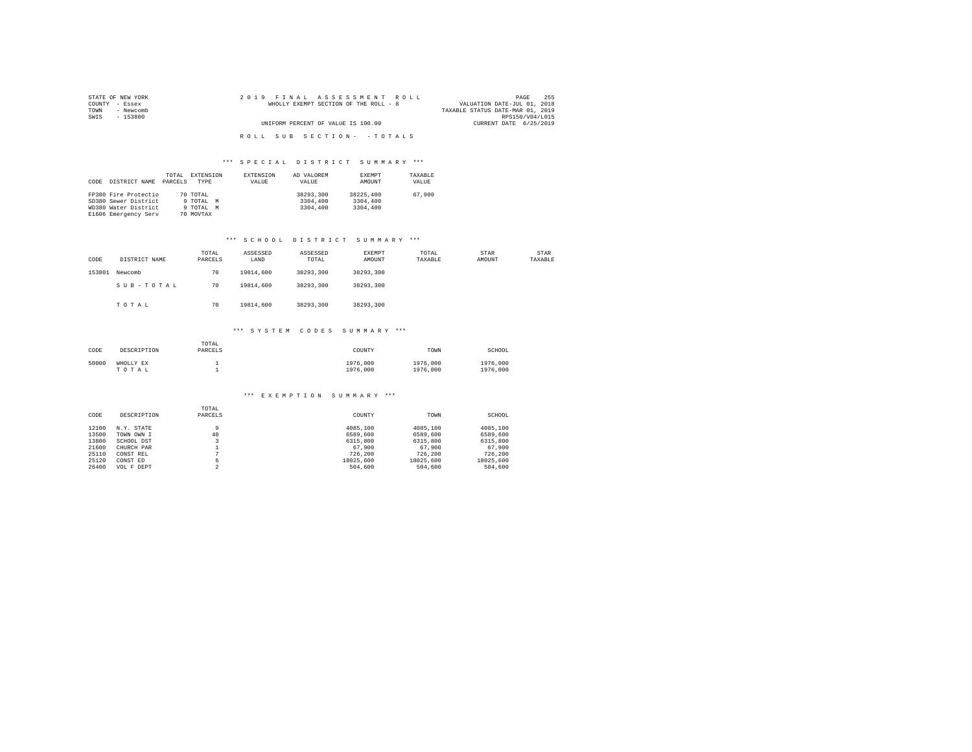| STATE OF NEW YORK | 2019 FINAL ASSESSMENT ROLL            | 255<br>PAGE                      |
|-------------------|---------------------------------------|----------------------------------|
| COUNTY - Essex    | WHOLLY EXEMPT SECTION OF THE ROLL - 8 | VALUATION DATE-JUL 01, 2018      |
| TOWN<br>- Newcomb |                                       | TAXABLE STATUS DATE-MAR 01, 2019 |
| SWIS<br>- 153800  |                                       | RPS150/V04/L015                  |
|                   | UNIFORM PERCENT OF VALUE IS 100.00    | CURRENT DATE 6/25/2019           |
|                   |                                       |                                  |
|                   | ROLL SUB SECTION- - TOTALS            |                                  |

| CODE | DISTRICT NAME        | TOTAL<br>PARCELS | EXTENSION<br><b>TYPE</b> | <b>EXTENSION</b><br>VALUE | AD VALOREM<br>VALUE | EXEMPT<br>AMOUNT | TAXABLE<br>VALUE |
|------|----------------------|------------------|--------------------------|---------------------------|---------------------|------------------|------------------|
|      | FP380 Fire Protectio |                  | 70 TOTAL                 |                           | 38293,300           | 38225,400        | 67.900           |
|      | SD380 Sewer District |                  | 9 TOTAL M                |                           | 3304,400            | 3304,400         |                  |
|      | WD380 Water District |                  | 9 TOTAL M                |                           | 3304,400            | 3304,400         |                  |
|      | E1606 Emergency Serv |                  | 70 MOVTAX                |                           |                     |                  |                  |

### \*\*\* S C H O O L D I S T R I C T S U M M A R Y \*\*\*

| CODE   | DISTRICT NAME | TOTAL<br>PARCELS | ASSESSED<br>LAND | ASSESSED<br>TOTAL | EXEMPT<br>AMOUNT | TOTAL<br>TAXABLE | STAR<br>AMOUNT | <b>STAR</b><br>TAXABLE |
|--------|---------------|------------------|------------------|-------------------|------------------|------------------|----------------|------------------------|
| 153801 | Newcomb       | 70               | 19814,600        | 38293.300         | 38293.300        |                  |                |                        |
|        | SUB-TOTAL     | 70               | 19814,600        | 38293.300         | 38293.300        |                  |                |                        |
|        | TOTAL         | 70               | 19814,600        | 38293.300         | 38293.300        |                  |                |                        |

## \*\*\* S Y S T E M C O D E S S U M M A R Y \*\*\*

| CODE  | DESCRIPTION        | TOTAL<br>PARCELS | COUNTY               | TOWN                 | SCHOOL               |
|-------|--------------------|------------------|----------------------|----------------------|----------------------|
| 50000 | WHOLLY EX<br>TOTAL |                  | 1976,000<br>1976,000 | 1976,000<br>1976,000 | 1976,000<br>1976,000 |

#### \*\*\* E X E M P T I O N S U M M A R Y \*\*\*

|       |             | TOTAL   |           |           |           |
|-------|-------------|---------|-----------|-----------|-----------|
| CODE  | DESCRIPTION | PARCELS | COUNTY    | TOWN      | SCHOOL    |
| 12100 | N.Y. STATE  | ۵       | 4085,100  | 4085,100  | 4085,100  |
| 13500 | TOWN OWN I  | 40      | 6589,600  | 6589,600  | 6589.600  |
| 13800 | SCHOOL DST  |         | 6315,800  | 6315,800  | 6315,800  |
| 21600 | CHURCH PAR  |         | 67.900    | 67,900    | 67,900    |
| 25110 | CONST REL   |         | 726.200   | 726,200   | 726.200   |
| 25120 | CONST ED    | 6       | 18025,600 | 18025,600 | 18025.600 |
| 26400 | VOL F DEPT  | $\sim$  | 504,600   | 504,600   | 504,600   |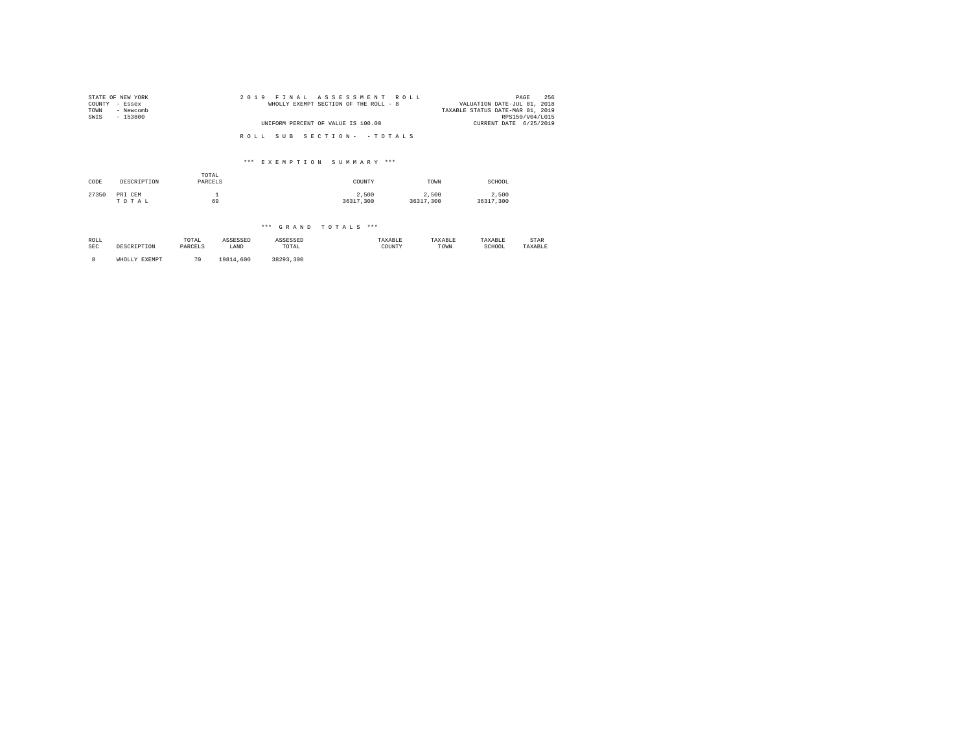| STATE OF NEW YORK<br>COUNTY - Essex<br>TOWN<br>- Newcomb<br>SWIS<br>- 153800 | 2019 FINAL ASSESSMENT ROLL<br>WHOLLY EXEMPT SECTION OF THE ROLL - 8 | 256<br>PAGE<br>VALUATION DATE-JUL 01, 2018<br>TAXABLE STATUS DATE-MAR 01, 2019<br>RPS150/V04/L015 |
|------------------------------------------------------------------------------|---------------------------------------------------------------------|---------------------------------------------------------------------------------------------------|
|                                                                              | UNIFORM PERCENT OF VALUE IS 100.00                                  | CURRENT DATE 6/25/2019                                                                            |
|                                                                              | ROLL SUB SECTION- - TOTALS                                          |                                                                                                   |

### \*\*\* E X E M P T I O N S U M M A R Y \*\*\*

| CODE  | DESCRIPTION      | TOTAL<br>PARCELS | COUNTY             | TOWN               | SCHOOL             |
|-------|------------------|------------------|--------------------|--------------------|--------------------|
| 27350 | PRI CEM<br>TOTAL | 69               | 2.500<br>36317.300 | 2,500<br>36317.300 | 2.500<br>36317,300 |

## \*\*\* G R A N D T O T A L S \*\*\*

| ROLL<br>SEC | DESCRIPTION   | TOTAL<br>PARCELS | ASSESSED<br>LAND | ASSESSED<br>TOTAL | TAXABLE<br>COUNTY | TAXABLE<br>TOWN | TAXABLE<br>SCHOOL | STAR<br>TAXABLE |
|-------------|---------------|------------------|------------------|-------------------|-------------------|-----------------|-------------------|-----------------|
|             | WHOLLY EXEMPT | 70               | 19814,600        | 38293.300         |                   |                 |                   |                 |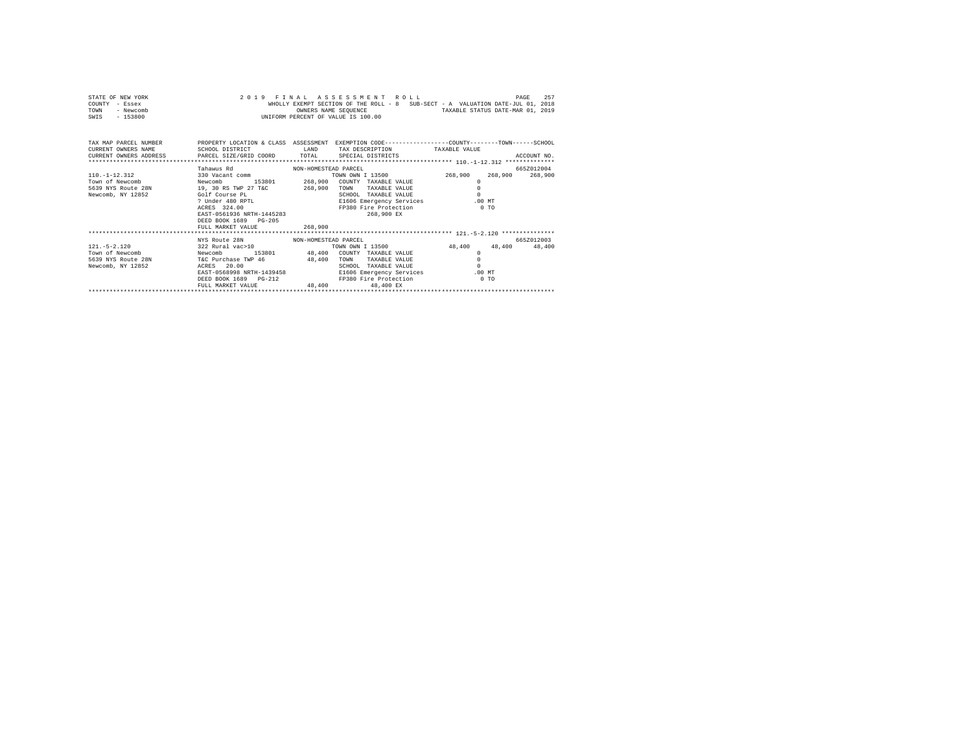|                | STATE OF NEW YORK |  |  | 2019 FINAL ASSESSMENT ROLL         |  |  |  |                                                                                | PAGE | 257 |
|----------------|-------------------|--|--|------------------------------------|--|--|--|--------------------------------------------------------------------------------|------|-----|
| COUNTY - Essex |                   |  |  |                                    |  |  |  | WHOLLY EXEMPT SECTION OF THE ROLL - 8 SUB-SECT - A VALUATION DATE-JUL 01, 2018 |      |     |
| TOWN           | - Newcomb         |  |  | OWNERS NAME SEOUENCE               |  |  |  | TAXABLE STATUS DATE-MAR 01, 2019                                               |      |     |
| SWIS           | $-153800$         |  |  | UNIFORM PERCENT OF VALUE IS 100.00 |  |  |  |                                                                                |      |     |

| TAX MAP PARCEL NUMBER<br>CURRENT OWNERS NAME<br>CURRENT OWNERS ADDRESS PARCEL SIZE/GRID COORD TOTAL | PROPERTY LOCATION & CLASS ASSESSMENT<br>SCHOOL DISTRICT                                                                                                                                                                             | LAND                              | EXEMPTION CODE-----------------COUNTY-------TOWN------SCHOOL<br>TAX DESCRIPTION<br>SPECIAL DISTRICTS                                                            | TAXABLE VALUE                                                                | ACCOUNT NO.           |
|-----------------------------------------------------------------------------------------------------|-------------------------------------------------------------------------------------------------------------------------------------------------------------------------------------------------------------------------------------|-----------------------------------|-----------------------------------------------------------------------------------------------------------------------------------------------------------------|------------------------------------------------------------------------------|-----------------------|
| $110. - 1 - 12.312$<br>Town of Newcomb<br>5639 NYS Route 28N<br>Newcomb, NY 12852                   | Tahawus Rd<br>NON-HOMESTEAD PARCEL<br>330 Vacant comm<br>153801<br>Newcomb<br>19, 30 RS TWP 27 T&C<br>Golf Course PL<br>? Under 480 RPTL<br>ACRES 324.00<br>EAST-0561936 NRTH-1445283<br>DEED BOOK 1689 PG-205<br>FULL MARKET VALUE | 268,900<br>268,900<br>268,900     | TOWN OWN I 13500<br>COUNTY TAXABLE VALUE<br>TOWN<br>TAXABLE VALUE<br>SCHOOL<br>TAXABLE VALUE<br>E1606 Emergency Services<br>FP380 Fire Protection<br>268,900 EX | 268,900<br>268,900<br>$\Omega$<br>$\Omega$<br>$\Omega$<br>$.00$ MT<br>$0$ TO | 665Z012004<br>268,900 |
| $121. - 5 - 2.120$                                                                                  | NYS Route 28N<br>NON-HOMESTEAD PARCEL<br>322 Rural vac>10                                                                                                                                                                           |                                   | TOWN OWN I 13500                                                                                                                                                | 48,400<br>48,400                                                             | 665Z012003<br>48,400  |
| Town of Newcomb<br>Newcomb<br>5639 NYS Route 28N<br>Newcomb, NY 12852                               | T&C Purchase TWP 46<br>20.00<br>ACRES<br>EAST-0568998 NRTH-1439458<br>DEED BOOK 1689 PG-212<br>FULL MARKET VALUE                                                                                                                    | 153801 48,400<br>48,400<br>48.400 | COUNTY TAXABLE VALUE<br>TAXABLE VALUE<br>TOWN<br>SCHOOL<br>TAXABLE VALUE<br>E1606 Emergency Services<br>FP380 Fire Protection<br>48,400 EX                      | $\Omega$<br>$\Omega$<br>$\Omega$<br>$.00$ MT<br>$0$ TO                       |                       |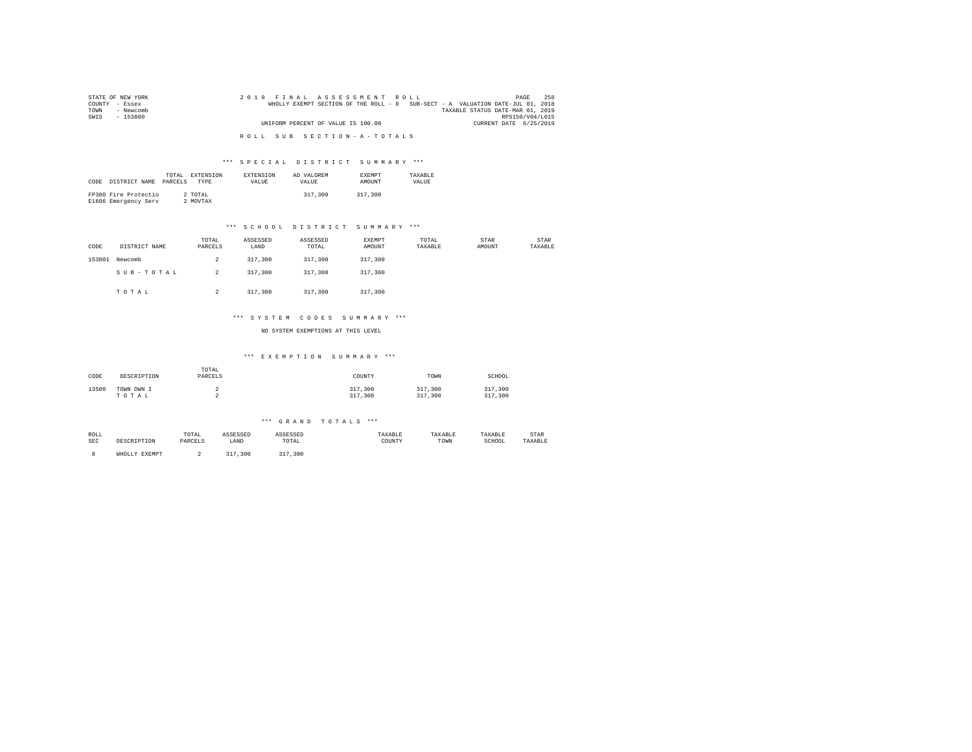| STATE OF NEW YORK | 2019 FINAL ASSESSMENT ROLL                                                     | 258<br>PAGE                      |
|-------------------|--------------------------------------------------------------------------------|----------------------------------|
| COUNTY - Essex    | WHOLLY EXEMPT SECTION OF THE ROLL - 8 SUB-SECT - A VALUATION DATE-JUL 01, 2018 |                                  |
| TOWN<br>- Newcomb |                                                                                | TAXABLE STATUS DATE-MAR 01, 2019 |
| SWIS<br>- 153800  |                                                                                | RPS150/V04/L015                  |
|                   | UNIFORM PERCENT OF VALUE IS 100.00                                             | CURRENT DATE 6/25/2019           |
|                   |                                                                                |                                  |
|                   | ROLL SUB SECTION-A-TOTALS                                                      |                                  |

| CODE | DISTRICT NAME                                | TOTAL.<br>PARCELS | EXTENSION<br><b>TYPE</b> | <b>EXTENSION</b><br>VALUE | AD VALOREM<br>VALUE. | <b>EXEMPT</b><br><b>AMOUNT</b> | TAXARLE<br>VALUE |
|------|----------------------------------------------|-------------------|--------------------------|---------------------------|----------------------|--------------------------------|------------------|
|      | FP380 Fire Protectio<br>E1606 Emergency Serv |                   | 2 TOTAL<br>2 MOVTAX      |                           | 317,300              | 317,300                        |                  |

### \*\*\* S C H O O L D I S T R I C T S U M M A R Y \*\*\*

| CODE   | DISTRICT NAME | TOTAL<br>PARCELS | ASSESSED<br>LAND | ASSESSED<br>TOTAL | EXEMPT<br>AMOUNT | TOTAL<br>TAXABLE | STAR<br>AMOUNT | STAR<br>TAXABLE |
|--------|---------------|------------------|------------------|-------------------|------------------|------------------|----------------|-----------------|
| 153801 | Newcomb       | $\overline{2}$   | 317,300          | 317,300           | 317,300          |                  |                |                 |
|        | SUB-TOTAL     | $\overline{2}$   | 317,300          | 317,300           | 317,300          |                  |                |                 |
|        | TOTAL         | $\overline{a}$   | 317,300          | 317,300           | 317,300          |                  |                |                 |

### \*\*\* S Y S T E M C O D E S S U M M A R Y \*\*\*

NO SYSTEM EXEMPTIONS AT THIS LEVEL

#### \*\*\* E X E M P T I O N S U M M A R Y \*\*\*

| CODE  | DESCRIPTION | TOTAL<br>PARCELS | COUNTY  | TOWN    | SCHOOL  |
|-------|-------------|------------------|---------|---------|---------|
| 13500 | TOWN OWN I  | ∼                | 317,300 | 317,300 | 317,300 |
|       | TOTAL       | ∼                | 317,300 | 317,300 | 317,300 |

#### \*\*\* G R A N D T O T A L S \*\*\*

| ROLL         | TOTAL            | .    |                                                          | TAXABLE     | AAADLA | TAXABLF     | STAR    |  |
|--------------|------------------|------|----------------------------------------------------------|-------------|--------|-------------|---------|--|
| SEC<br>י קדו | DADCET C<br>TION | LAND | TOTAL<br>the contract of the contract of the contract of | COUNTY<br>. | TOWN   | SCHOOL<br>. | 'AXABLE |  |

8 WHOLLY EXEMPT 2 317,300 317,300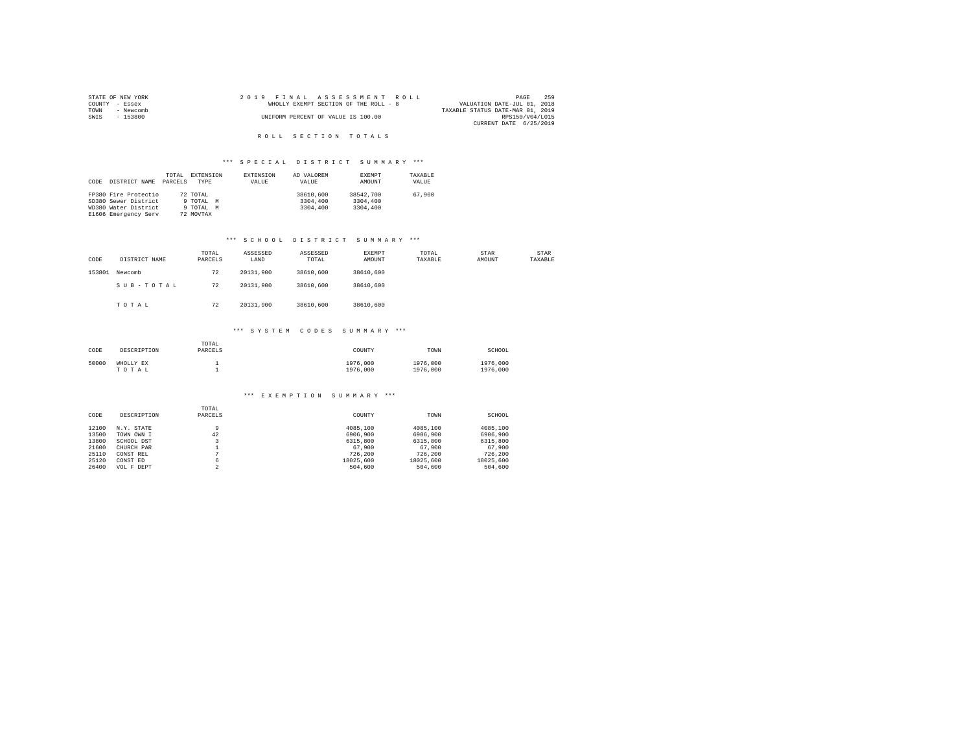|                | STATE OF NEW YORK |  | 2019 FINAL ASSESSMENT ROLL            |  |  |                                  | PAGE            | 259 |
|----------------|-------------------|--|---------------------------------------|--|--|----------------------------------|-----------------|-----|
| COUNTY - Essex |                   |  | WHOLLY EXEMPT SECTION OF THE ROLL - 8 |  |  | VALUATION DATE-JUL 01, 2018      |                 |     |
| TOWN           | - Newcomb         |  |                                       |  |  | TAXABLE STATUS DATE-MAR 01, 2019 |                 |     |
| SWIS           | - 153800          |  | UNIFORM PERCENT OF VALUE IS 100.00    |  |  |                                  | RPS150/V04/L015 |     |
|                |                   |  |                                       |  |  | CURRENT DATE 6/25/2019           |                 |     |

### ROLL SECTION TOTALS

# \*\*\* S P E C I A L D I S T R I C T S U M M A R Y \*\*\*

| CODE | DISTRICT NAME        | TOTAL<br>PARCELS | EXTENSION<br><b>TYPE</b> | <b>EXTENSION</b><br>VALUE | AD VALOREM<br>VALUE | EXEMPT<br>AMOUNT | TAXABLE<br>VALUE |
|------|----------------------|------------------|--------------------------|---------------------------|---------------------|------------------|------------------|
|      | FP380 Fire Protectio |                  | 72 TOTAL                 |                           | 38610,600           | 38542,700        | 67,900           |
|      | SD380 Sewer District |                  | 9 TOTAL                  | M                         | 3304,400            | 3304,400         |                  |
|      | WD380 Water District |                  | 9 TOTAL<br>M             |                           | 3304,400            | 3304,400         |                  |
|      | E1606 Emergency Serv |                  | 72 MOVTAX                |                           |                     |                  |                  |

### \*\*\* S C H O O L D I S T R I C T S U M M A R Y \*\*\*

| CODE   | DISTRICT NAME | TOTAL<br>PARCELS | ASSESSED<br>LAND | ASSESSED<br>TOTAL | EXEMPT<br>AMOUNT | TOTAL<br>TAXABLE | STAR<br>AMOUNT | STAR<br>TAXABLE |
|--------|---------------|------------------|------------------|-------------------|------------------|------------------|----------------|-----------------|
| 153801 | Newcomb       | 72               | 20131.900        | 38610,600         | 38610,600        |                  |                |                 |
|        | SUB-TOTAL     | 72               | 20131.900        | 38610,600         | 38610,600        |                  |                |                 |
|        | TOTAL         | 72               | 20131.900        | 38610,600         | 38610,600        |                  |                |                 |

#### \*\*\* S Y S T E M C O D E S S U M M A R Y \*\*\*

| CODE  | DESCRIPTION        | TOTAL<br>PARCELS | COUNTY               | TOWN                 | SCHOOL               |
|-------|--------------------|------------------|----------------------|----------------------|----------------------|
| 50000 | WHOLLY EX<br>TOTAL |                  | 1976,000<br>1976,000 | 1976,000<br>1976,000 | 1976,000<br>1976,000 |

#### \*\*\* E X E M P T I O N S U M M A R Y \*\*\*

|       |             | TOTAL   |           |           |           |
|-------|-------------|---------|-----------|-----------|-----------|
| CODE  | DESCRIPTION | PARCELS | COUNTY    | TOWN      | SCHOOL    |
| 12100 | N.Y. STATE  |         | 4085,100  | 4085,100  | 4085,100  |
| 13500 | TOWN OWN I  | 42      | 6906,900  | 6906,900  | 6906.900  |
| 13800 | SCHOOL DST  |         | 6315,800  | 6315,800  | 6315,800  |
| 21600 | CHURCH PAR  |         | 67,900    | 67,900    | 67,900    |
| 25110 | CONST REL   |         | 726.200   | 726.200   | 726.200   |
| 25120 | CONST ED    | 6       | 18025.600 | 18025,600 | 18025.600 |
| 26400 | VOL F DEPT  | $\sim$  | 504,600   | 504,600   | 504,600   |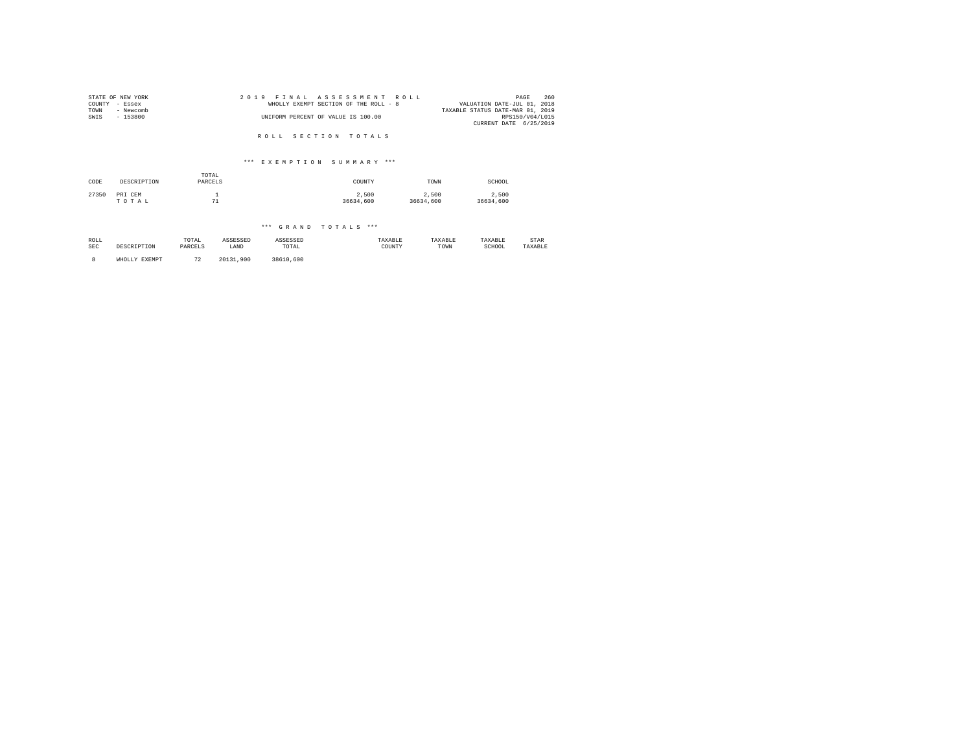| STATE OF NEW YORK<br>COUNTY<br>TOWN | - Essex<br>- Newcomb |                  | 2 0 1 9                   |  | FINAL |  | ASSESSMENT<br>WHOLLY EXEMPT SECTION OF THE ROLL - 8 |           |  | ROLL |           | TAXABLE STATUS DATE-MAR 01, 2019 | VALUATION DATE-JUL 01, 2018 | PAGE | 260             |
|-------------------------------------|----------------------|------------------|---------------------------|--|-------|--|-----------------------------------------------------|-----------|--|------|-----------|----------------------------------|-----------------------------|------|-----------------|
| SWIS                                | $-153800$            |                  |                           |  |       |  | UNIFORM PERCENT OF VALUE IS 100.00                  |           |  |      |           |                                  | CURRENT DATE 6/25/2019      |      | RPS150/V04/L015 |
|                                     |                      |                  |                           |  |       |  | ROLL SECTION TOTALS                                 |           |  |      |           |                                  |                             |      |                 |
|                                     |                      |                  | *** EXEMPTION SUMMARY *** |  |       |  |                                                     |           |  |      |           |                                  |                             |      |                 |
| CODE                                | DESCRIPTION          | TOTAL<br>PARCELS |                           |  |       |  |                                                     | COUNTY    |  |      | TOWN      |                                  | SCHOOL                      |      |                 |
|                                     |                      |                  |                           |  |       |  |                                                     |           |  |      |           |                                  |                             |      |                 |
| 27350                               | PRI CEM              | $\mathbf{1}$     |                           |  |       |  |                                                     | 2,500     |  |      | 2,500     |                                  | 2,500                       |      |                 |
|                                     | TOTAL                | 71               |                           |  |       |  |                                                     | 36634,600 |  |      | 36634,600 |                                  | 36634,600                   |      |                 |
|                                     |                      |                  |                           |  |       |  |                                                     |           |  |      |           |                                  |                             |      |                 |
|                                     |                      |                  |                           |  |       |  | *** GRAND TOTALS ***                                |           |  |      |           |                                  |                             |      |                 |

| ROLL<br>the contract of the contract of the |         | TOTAL         | لمتدنات |                                                          | АХАНЫ       | TAXABLE | .           | STAR |
|---------------------------------------------|---------|---------------|---------|----------------------------------------------------------|-------------|---------|-------------|------|
| SEC                                         | RIPTION | <b>DADCET</b> | LAND    | TOTAL<br>the contract of the contract of the contract of | COUNT)<br>. | TOWN    | SCHOOL<br>. |      |
|                                             |         |               |         |                                                          |             |         |             |      |

8 WHOLLY EXEMPT 72 20131,900 38610,600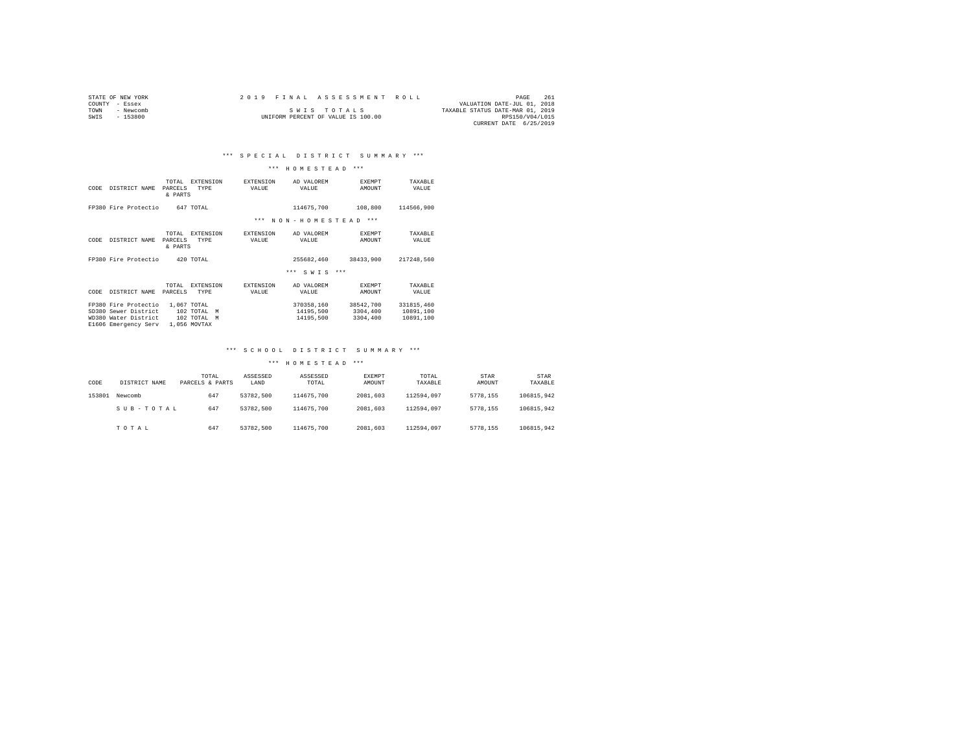| STATE OF NEW YORK |           |  |  |                                    |  |  | 2019 FINAL ASSESSMENT ROLL |                                  | PAGE            | 261 |
|-------------------|-----------|--|--|------------------------------------|--|--|----------------------------|----------------------------------|-----------------|-----|
| COUNTY - Essex    |           |  |  |                                    |  |  |                            | VALUATION DATE-JUL 01, 2018      |                 |     |
| TOWN              | - Newcomb |  |  | SWIS TOTALS                        |  |  |                            | TAXABLE STATUS DATE-MAR 01, 2019 |                 |     |
| SWTS              | $-153800$ |  |  | UNIFORM PERCENT OF VALUE IS 100.00 |  |  |                            |                                  | RPS150/V04/L015 |     |
|                   |           |  |  |                                    |  |  |                            | CURRENT DATE 6/25/2019           |                 |     |

### \*\*\* H O M E S T E A D \*\*\*

| CODE | DISTRICT NAME                                                                                | TOTAL.<br>PARCELS<br>& PARTS | <b>EXTENSION</b><br><b>TYPE</b>                                 | <b>EXTENSION</b><br>VALUE | AD VALOREM<br>VALUE                  | <b>EXEMPT</b><br>AMOUNT           | TAXARLE<br>VALUE                     |
|------|----------------------------------------------------------------------------------------------|------------------------------|-----------------------------------------------------------------|---------------------------|--------------------------------------|-----------------------------------|--------------------------------------|
|      | FP380 Fire Protectio                                                                         |                              | 647 TOTAL                                                       |                           | 114675.700                           | 108,800                           | 114566,900                           |
|      |                                                                                              |                              |                                                                 | ***                       | NON-HOMESTEAD                        | $***$                             |                                      |
| CODE | DISTRICT NAME                                                                                | TOTAL.<br>PARCELS<br>& PARTS | <b>EXTENSION</b><br><b>TYPE</b>                                 | <b>EXTENSION</b><br>VALUE | AD VALOREM<br>VALUE                  | <b>EXEMPT</b><br>AMOUNT           | TAXARLE<br>VALUE                     |
|      | FP380 Fire Protectio                                                                         |                              | 420 TOTAL                                                       |                           | 255682.460                           | 38433.900                         | 217248.560                           |
|      |                                                                                              |                              |                                                                 |                           | $***$<br>SWIS<br>$***$               |                                   |                                      |
| CODE | DISTRICT NAME                                                                                | TOTAL.<br>PARCELS            | <b>EXTENSION</b><br><b>TYPE</b>                                 | <b>EXTENSION</b><br>VALUE | AD VALOREM<br>VALUE                  | <b>EXEMPT</b><br>AMOUNT           | TAXARLE<br>VALUE                     |
|      | FP380 Fire Protectio<br>SD380 Sewer District<br>WD380 Water District<br>E1606 Emergency Serv |                              | 1,067 TOTAL<br>102 TOTAL<br>M<br>102 TOTAL<br>M<br>1,056 MOVTAX |                           | 370358.160<br>14195,500<br>14195,500 | 38542,700<br>3304,400<br>3304,400 | 331815,460<br>10891,100<br>10891,100 |

### \*\*\* S C H O O L D I S T R I C T S U M M A R Y \*\*\*

| CODE   | DISTRICT NAME | TOTAL<br>PARCELS & PARTS | ASSESSED<br>LAND | ASSESSED<br>TOTAL | <b>EXEMPT</b><br>AMOUNT | TOTAL<br>TAXABLE | STAR<br>AMOUNT | STAR<br>TAXABLE |
|--------|---------------|--------------------------|------------------|-------------------|-------------------------|------------------|----------------|-----------------|
| 153801 | Newcomb       | 647                      | 53782.500        | 114675,700        | 2081.603                | 112594.097       | 5778.155       | 106815.942      |
|        | SUB-TOTAL     | 647                      | 53782.500        | 114675,700        | 2081.603                | 112594.097       | 5778.155       | 106815.942      |
|        | TOTAL         | 647                      | 53782.500        | 114675,700        | 2081.603                | 112594.097       | 5778.155       | 106815.942      |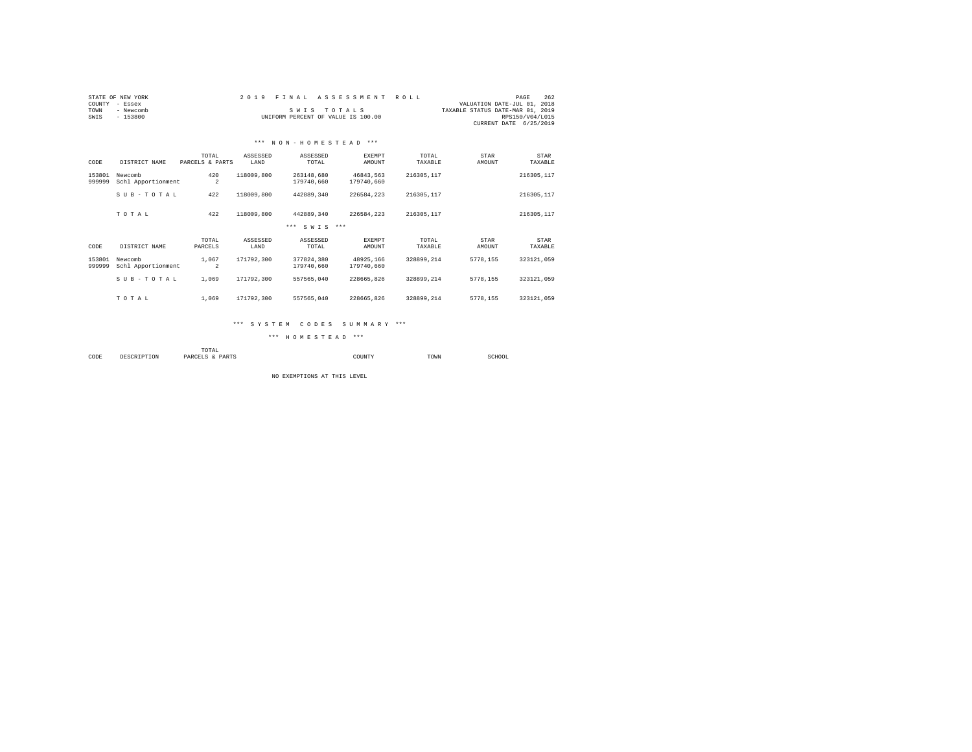| COUNTY<br>TOWN<br>SWIS | STATE OF NEW YORK<br>- Essex<br>- Newcomb<br>$-153800$ |                          | 2019             | FINAL<br>SWIS TOTALS<br>UNIFORM PERCENT OF VALUE IS 100.00 | ASSESSMENT              | <b>ROLL</b>      | VALUATION DATE-JUL 01, 2018<br>TAXABLE STATUS DATE-MAR 01, 2019 | 262<br>PAGE<br>RPS150/V04/L015<br>CURRENT DATE 6/25/2019 |  |
|------------------------|--------------------------------------------------------|--------------------------|------------------|------------------------------------------------------------|-------------------------|------------------|-----------------------------------------------------------------|----------------------------------------------------------|--|
|                        |                                                        |                          |                  | *** NON-HOMESTEAD ***                                      |                         |                  |                                                                 |                                                          |  |
| CODE                   | DISTRICT NAME                                          | TOTAL<br>PARCELS & PARTS | ASSESSED<br>LAND | ASSESSED<br>TOTAL                                          | <b>EXEMPT</b><br>AMOUNT | TOTAL<br>TAXABLE | STAR<br>AMOUNT                                                  | STAR<br>TAXABLE                                          |  |
| 153801<br>999999       | Newcomb<br>Schl Apportionment                          | 420<br>$\overline{a}$    | 118009,800       | 263148.680<br>179740.660                                   | 46843.563<br>179740,660 | 216305.117       |                                                                 | 216305, 117                                              |  |
|                        | SUB-TOTAL                                              | 422                      | 118009,800       | 442889.340                                                 | 226584.223              | 216305.117       |                                                                 | 216305, 117                                              |  |
|                        | TOTAL                                                  | 422                      | 118009,800       | 442889.340                                                 | 226584.223              | 216305.117       |                                                                 | 216305, 117                                              |  |
|                        |                                                        |                          |                  | *** SWTS ***                                               |                         |                  |                                                                 |                                                          |  |
| CODE                   | DISTRICT NAME                                          | TOTAL<br>PARCELS         | ASSESSED<br>LAND | ASSESSED<br>TOTAL                                          | <b>EXEMPT</b><br>AMOUNT | TOTAL<br>TAXABLE | STAR<br>AMOUNT                                                  | STAR<br>TAXABLE                                          |  |
| 153801<br>999999       | Newcomb<br>Schl Apportionment                          | 1,067<br>$\overline{2}$  | 171792.300       | 377824.380<br>179740.660                                   | 48925.166<br>179740.660 | 328899.214       | 5778.155                                                        | 323121.059                                               |  |
|                        | SUB-TOTAL                                              | 1,069                    | 171792.300       | 557565.040                                                 | 228665.826              | 328899.214       | 5778.155                                                        | 323121.059                                               |  |
|                        | TOTAL                                                  | 1,069                    | 171792.300       | 557565.040                                                 | 228665.826              | 328899.214       | 5778.155                                                        | 323121.059                                               |  |

#### \*\*\* S Y S T E M C O D E S S U M M A R Y \*\*\*

\*\*\* H O M E S T E A D \*\*\*

 TOTAL COUNTY TOWN TOWN SCHOOL

NO EXEMPTIONS AT THIS LEVEL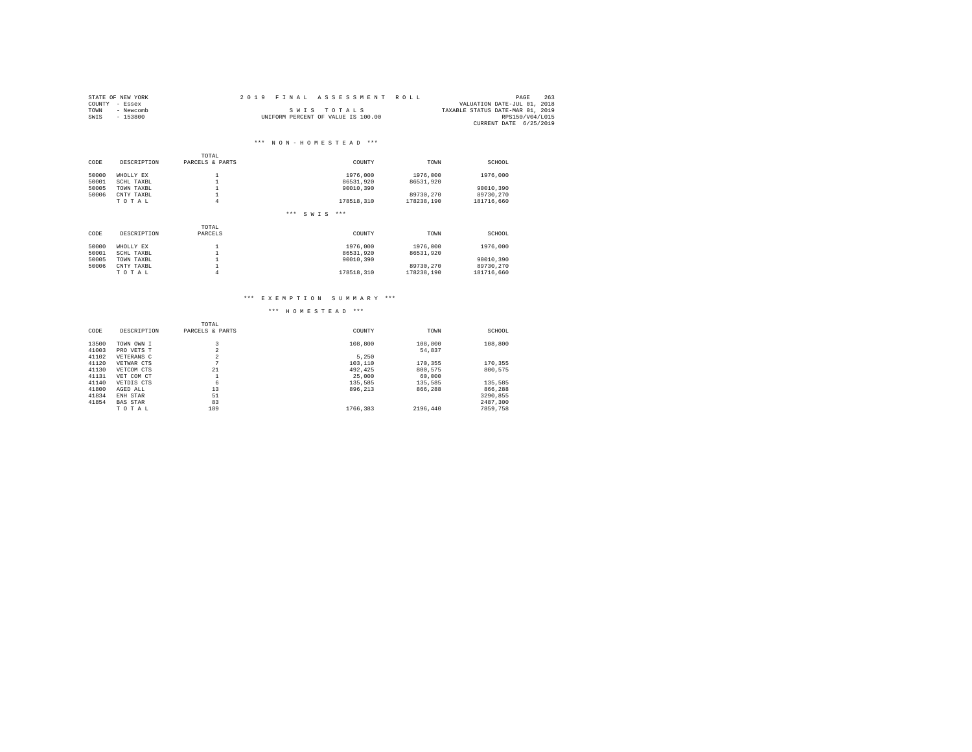|                | STATE OF NEW YORK | 2019 FINAL ASSESSMENT ROLL |                                    |                                  | PAGE            | 263 |
|----------------|-------------------|----------------------------|------------------------------------|----------------------------------|-----------------|-----|
| COUNTY - Essex |                   |                            |                                    | VALUATION DATE-JUL 01, 2018      |                 |     |
| TOWN           | - Newcomb         |                            | SWIS TOTALS                        | TAXABLE STATUS DATE-MAR 01, 2019 |                 |     |
| SWIS           | $-153800$         |                            | UNIFORM PERCENT OF VALUE IS 100.00 |                                  | RPS150/V04/L015 |     |
|                |                   |                            |                                    | CURRENT DATE 6/25/2019           |                 |     |

### \*\*\* N O N - H O M E S T E A D \*\*\*

|       |             | TOTAL             |                        |            |            |  |
|-------|-------------|-------------------|------------------------|------------|------------|--|
| CODE  | DESCRIPTION | PARCELS & PARTS   | COUNTY                 | TOWN       | SCHOOL     |  |
| 50000 | WHOLLY EX   | $\mathbf{A}$<br>÷ | 1976,000               | 1976,000   | 1976,000   |  |
| 50001 | SCHL TAXBL  |                   | 86531.920              | 86531,920  |            |  |
| 50005 | TOWN TAXBL  |                   | 90010.390              |            | 90010.390  |  |
| 50006 | CNTY TAXBL  |                   |                        | 89730.270  | 89730.270  |  |
|       | TOTAL       | 4                 | 178518,310             | 178238.190 | 181716.660 |  |
|       |             |                   | $***$<br>$***$<br>SWIS |            |            |  |
|       |             | TOTAL             |                        |            |            |  |
| CODE  | DESCRIPTION | PARCELS           | COUNTY                 | TOWN       | SCHOOL     |  |
| 50000 | WHOLLY EX   | $\sim$            | 1976,000               | 1976,000   | 1976,000   |  |
| 50001 | SCHL TAXBL  |                   | 86531.920              | 86531.920  |            |  |
| 50005 | TOWN TAXBL  |                   | 90010.390              |            | 90010.390  |  |
| 50006 | CNTY TAXBL  |                   |                        | 89730.270  | 89730.270  |  |
|       | TOTAL       | 4                 | 178518.310             | 178238.190 | 181716.660 |  |

### \*\*\* E X E M P T I O N S U M M A R Y \*\*\*

|       |                 | TOTAL                         |          |          |          |
|-------|-----------------|-------------------------------|----------|----------|----------|
| CODE  | DESCRIPTION     | PARCELS & PARTS               | COUNTY   | TOWN     | SCHOOL   |
| 13500 | TOWN OWN I      | 3                             | 108,800  | 108,800  | 108,800  |
| 41003 | PRO VETS T      | $\overline{\phantom{a}}$<br>× |          | 54.837   |          |
| 41102 | VETERANS C      | $\overline{2}$                | 5.250    |          |          |
| 41120 | VETWAR CTS      | n                             | 103,110  | 170.355  | 170.355  |
| 41130 | VETCOM CTS      | 21                            | 492.425  | 800.575  | 800.575  |
| 41131 | VET COM CT      |                               | 25,000   | 60,000   |          |
| 41140 | VETDIS CTS      | 6                             | 135,585  | 135,585  | 135,585  |
| 41800 | AGED ALL        | 13                            | 896.213  | 866,288  | 866,288  |
| 41834 | ENH STAR        | 51                            |          |          | 3290.855 |
| 41854 | <b>BAS STAR</b> | 83                            |          |          | 2487.300 |
|       | TOTAL           | 189                           | 1766.383 | 2196.440 | 7859,758 |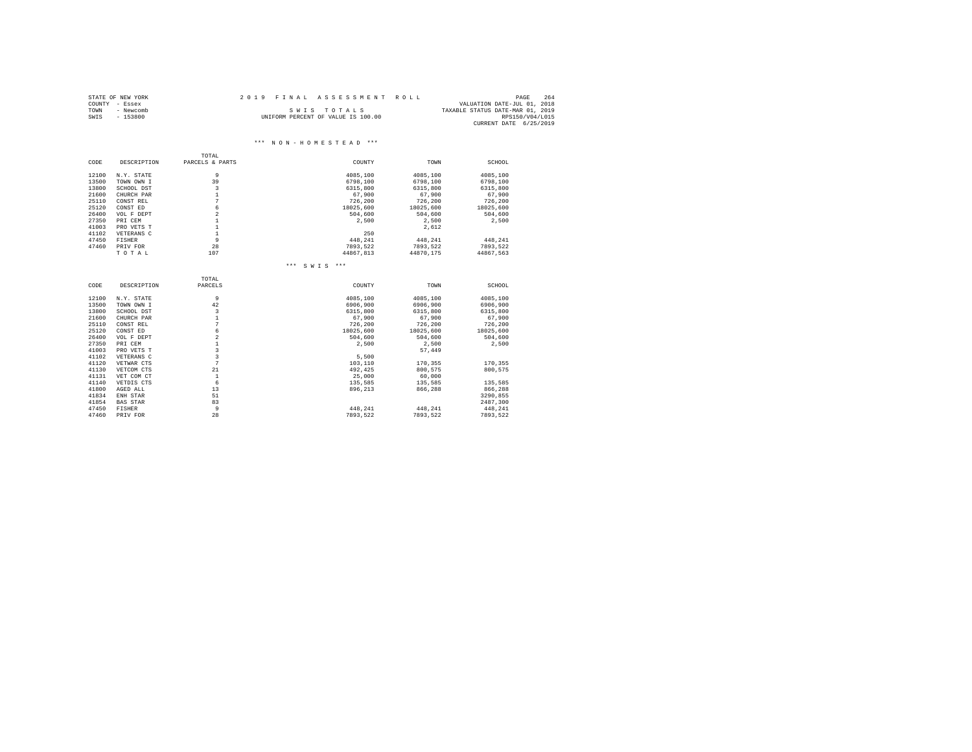|      | STATE OF NEW YORK | 2019 FINAL ASSESSMENT ROLL                      | PAGE                   | 264 |
|------|-------------------|-------------------------------------------------|------------------------|-----|
|      | COUNTY - Essex    | VALUATION DATE-JUL 01, 2018                     |                        |     |
| TOWN | - Newcomb         | TAXABLE STATUS DATE-MAR 01, 2019<br>SWIS TOTALS |                        |     |
| SWIS | - 153800          | UNIFORM PERCENT OF VALUE IS 100.00              | RPS150/V04/L015        |     |
|      |                   |                                                 | CURRENT DATE 6/25/2019 |     |

#### $\hspace{0.1cm}***\hspace{0.1cm}$  N O N - H O M E S T E A D  $\hspace{0.1cm}***\hspace{0.1cm}$ TOTAL<br>CODE DESCRIPTION PARCELS & P PARCELS & PARTS COUNTY COUNTY TOWN SCHOOL 12100 N.Y. STATE 9 4085,100 4085,100 4085,100 13500 TOWN OWN I 39 6798,100 6798,100 6798,100 13800 SCHOOL DST 3 6315,800 6315,800 6315,800 21600 CHURCH PAR 1 67,900 67,900 67,900 25110 CONST REL 7 726,200 726,200 726,200 25120 CONST ED 6 18025,600 18025,600 18025,600 26400 VOL F DEPT 2 504,600 504,600 504,600 27350 PRI CEM 1 2,500 2,500 2,500 41003 PRO VETS T 1 2,612 41102 VETERANS C 1 250 47450 FISHER 9 9 448,241 448,241 448,241 47460 PRIV FOR 28 7893,522 7893,522 7893,522 T O T A L 107 44867,813 44870,175 44867,563 \*\*\* S W I S \*\*\* TOTAL  $\begin{tabular}{ll} \tt TODE \end{tabular} \begin{tabular}{ll} \tt TODE \end{tabular} \begin{tabular}{ll} \tt TOTE \end{tabular} \begin{tabular}{ll} \tt TOFAL \end{tabular}$  ${\tt DSCRIPTION} \hspace{1.5cm} {\tt PARCELS} \hspace{3.5cm} {\tt CONITY} \hspace{1.5cm} {\tt TOWN} \hspace{1.5cm} {\tt SCHOOL}$ 12100 N.Y. STATE 9 4085,100 4085,100 4085,100 13500 TOWN OWN I 42 6906,900 6906,900 6906,900 13800 SCHOOL DST 3 6315,800 6315,800 6315,800 21600 CHURCH PAR 1 67,900 67,900 67,900 25110 CONST REL 7 726,200 726,200 726,200 25120 CONST ED 6 18025,600 18025,600 18025,600 26400 VOL F DEPT 2 504,600 504,600 504,600 27350 PRI CEM 1 2,500 2,500 2,500 41003 PRO VETS T 3 57,449 41102 VETERANS C 3 5,500 41120 VETWAR CTS 7 7 7 103,110 170,355 170,355 41130 VETCOM CTS 21 492,425 800,575 800,575 41131 VET COM CT 1 25,000 60,000 41140 VETDIS CTS 6 135,585 135,585 135,585 41800 AGED ALL 13 896,213 866,288 866,288 41834 ENH STAR 51 51 51 51 5290,855 41854 BAS STAR 83 2487,300 47450 FISHER 9 9 448,241 448,241 448,241 47460 PRIV FOR 28 7893,522 7893,522 7893,522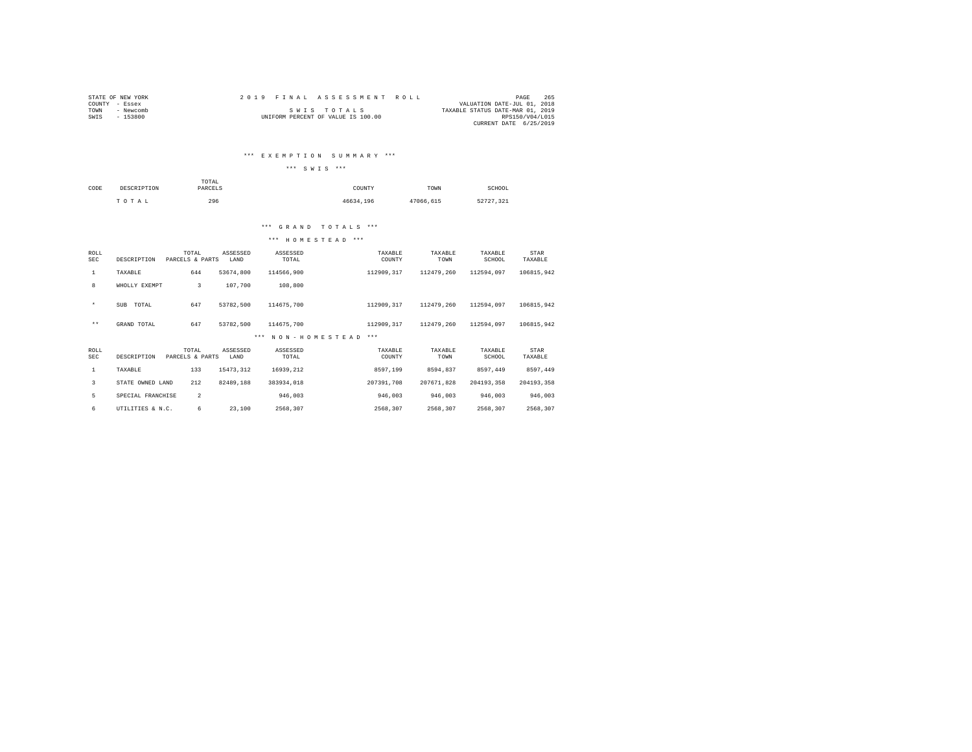| STATE OF NEW YORK |           |  |  | 2019 FINAL ASSESSMENT ROLL         |                                  | PAGE            | 265 |
|-------------------|-----------|--|--|------------------------------------|----------------------------------|-----------------|-----|
| COUNTY - Essex    |           |  |  |                                    | VALUATION DATE-JUL 01, 2018      |                 |     |
| TOWN              | - Newcomb |  |  | SWIS TOTALS                        | TAXABLE STATUS DATE-MAR 01, 2019 |                 |     |
| SWIS              | $-153800$ |  |  | UNIFORM PERCENT OF VALUE IS 100.00 |                                  | RPS150/V04/L015 |     |
|                   |           |  |  |                                    | CURRENT DATE 6/25/2019           |                 |     |

### \*\*\* E X E M P T I O N S U M M A R Y \*\*\*

\*\*\* S W I S \*\*\*

| CODE | DESCRIPTION | TOTAL<br>PARCELS | COUNTY    | TOWN      | SCHOOL    |
|------|-------------|------------------|-----------|-----------|-----------|
|      | TOTAL       | 296              | 46634.196 | 47066.615 | 52727,321 |

### \*\*\* G R A N D T O T A L S \*\*\*

| ROLL<br>SEC        | DESCRIPTION       | TOTAL<br>PARCELS & PARTS | ASSESSED<br>LAND | ASSESSED<br>TOTAL        | TAXABLE<br>COUNTY | TAXABLE<br>TOWN | TAXABLE<br>SCHOOL | STAR<br>TAXABLE |
|--------------------|-------------------|--------------------------|------------------|--------------------------|-------------------|-----------------|-------------------|-----------------|
| $\mathbf{1}$       | TAXABLE           | 644                      | 53674,800        | 114566,900               | 112909,317        | 112479,260      | 112594.097        | 106815,942      |
| 8                  | WHOLLY EXEMPT     | 3                        | 107,700          | 108,800                  |                   |                 |                   |                 |
| $\star$            | TOTAL<br>SUB      | 647                      | 53782.500        | 114675,700               | 112909.317        | 112479.260      | 112594.097        | 106815.942      |
| $***$              | GRAND TOTAL       | 647                      | 53782.500        | 114675.700               | 112909.317        | 112479.260      | 112594.097        | 106815.942      |
|                    |                   |                          |                  | NON-HOMESTEAD<br>$* * *$ | $***$             |                 |                   |                 |
| ROLL<br><b>SEC</b> | DESCRIPTION       | TOTAL<br>PARCELS & PARTS | ASSESSED<br>LAND | ASSESSED<br>TOTAL        | TAXABLE<br>COUNTY | TAXABLE<br>TOWN | TAXABLE<br>SCHOOL | STAR<br>TAXABLE |
| 1                  | TAXABLE           | 133                      | 15473.312        | 16939.212                | 8597.199          | 8594.837        | 8597.449          | 8597.449        |
| 3                  | STATE OWNED LAND  | 212                      | 82489.188        | 383934.018               | 207391,708        | 207671.828      | 204193.358        | 204193.358      |
| 5                  | SPECIAL FRANCHISE | $\overline{2}$           |                  | 946.003                  | 946,003           | 946,003         | 946,003           | 946,003         |
|                    |                   |                          |                  |                          |                   |                 |                   |                 |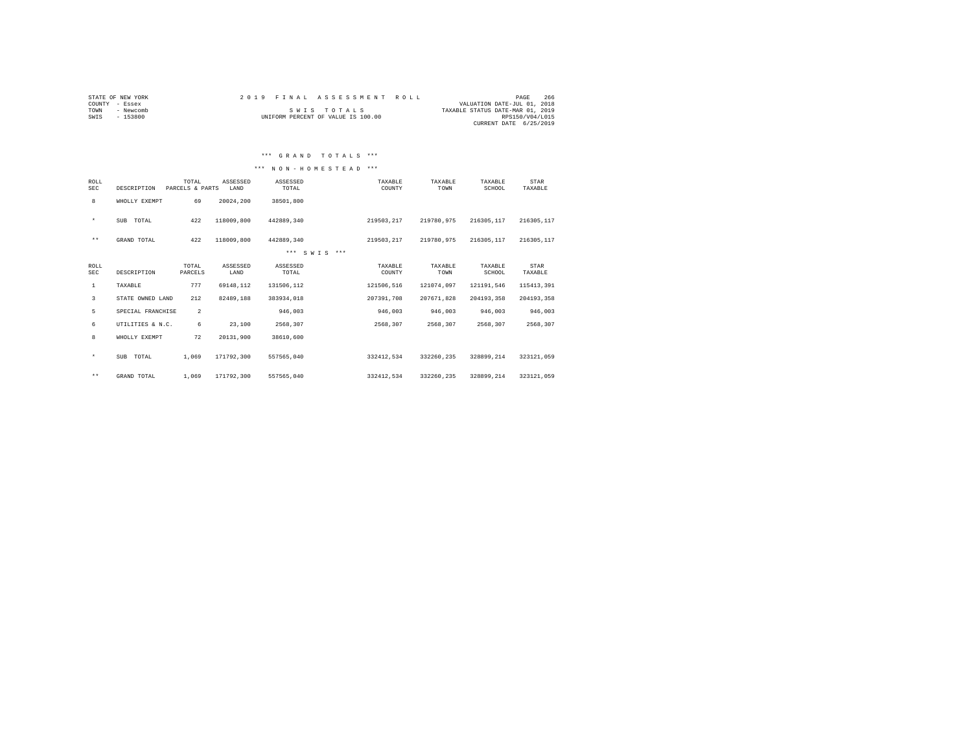| STATE OF NEW YORK | 2019 FINAL ASSESSMENT ROLL         | 266<br>PAGE                      |
|-------------------|------------------------------------|----------------------------------|
| - Essex<br>COUNTY |                                    | VALUATION DATE-JUL 01, 2018      |
| - Newcomb<br>TOWN | SWIS TOTALS                        | TAXABLE STATUS DATE-MAR 01, 2019 |
| $-153800$<br>SWIS | UNIFORM PERCENT OF VALUE IS 100.00 | RPS150/V04/L015                  |
|                   |                                    | CURRENT DATE 6/25/2019           |

### \*\*\* G R A N D T O T A L S \*\*\*

### \*\*\* N O N - H O M E S T E A D \*\*\*

| ROLL<br><b>SEC</b>        | DESCRIPTION       | TOTAL<br>PARCELS & PARTS | ASSESSED<br>LAND | ASSESSED<br>TOTAL | TAXABLE<br>COUNTY | TAXABLE<br>TOWN | TAXABLE<br>SCHOOL | STAR<br>TAXABLE |
|---------------------------|-------------------|--------------------------|------------------|-------------------|-------------------|-----------------|-------------------|-----------------|
| 8                         | WHOLLY EXEMPT     | 69                       | 20024.200        | 38501,800         |                   |                 |                   |                 |
| $\star$                   | SUB TOTAL         | 422                      | 118009,800       | 442889.340        | 219503.217        | 219780.975      | 216305.117        | 216305, 117     |
| $\star\star$              | GRAND TOTAL       | 422                      | 118009,800       | 442889.340        | 219503.217        | 219780.975      | 216305.117        | 216305, 117     |
|                           |                   |                          |                  | *** SWTS ***      |                   |                 |                   |                 |
| <b>ROLL</b><br><b>SEC</b> | DESCRIPTION       | TOTAL<br>PARCELS         | ASSESSED<br>LAND | ASSESSED<br>TOTAL | TAXABLE<br>COUNTY | TAXABLE<br>TOWN | TAXABLE<br>SCHOOL | STAR<br>TAXABLE |
| $\mathbf{1}$              | TAXABLE           | 777                      | 69148.112        | 131506.112        | 121506.516        | 121074.097      | 121191.546        | 115413,391      |
| 3                         | STATE OWNED LAND  | 212                      | 82489.188        | 383934.018        | 207391,708        | 207671.828      | 204193.358        | 204193.358      |
| 5                         | SPECIAL FRANCHISE | $\overline{2}$           |                  | 946,003           | 946,003           | 946,003         | 946,003           | 946.003         |
| 6                         | UTILITIES & N.C.  | 6                        | 23,100           | 2568.307          | 2568.307          | 2568.307        | 2568.307          | 2568.307        |
| 8                         | WHOLLY EXEMPT     | 72                       | 20131.900        | 38610,600         |                   |                 |                   |                 |
| $\star$                   | SUB TOTAL         | 1,069                    | 171792.300       | 557565.040        | 332412.534        | 332260.235      | 328899.214        | 323121.059      |
| $\star\star$              | GRAND TOTAL       | 1,069                    | 171792.300       | 557565.040        | 332412.534        | 332260.235      | 328899.214        | 323121.059      |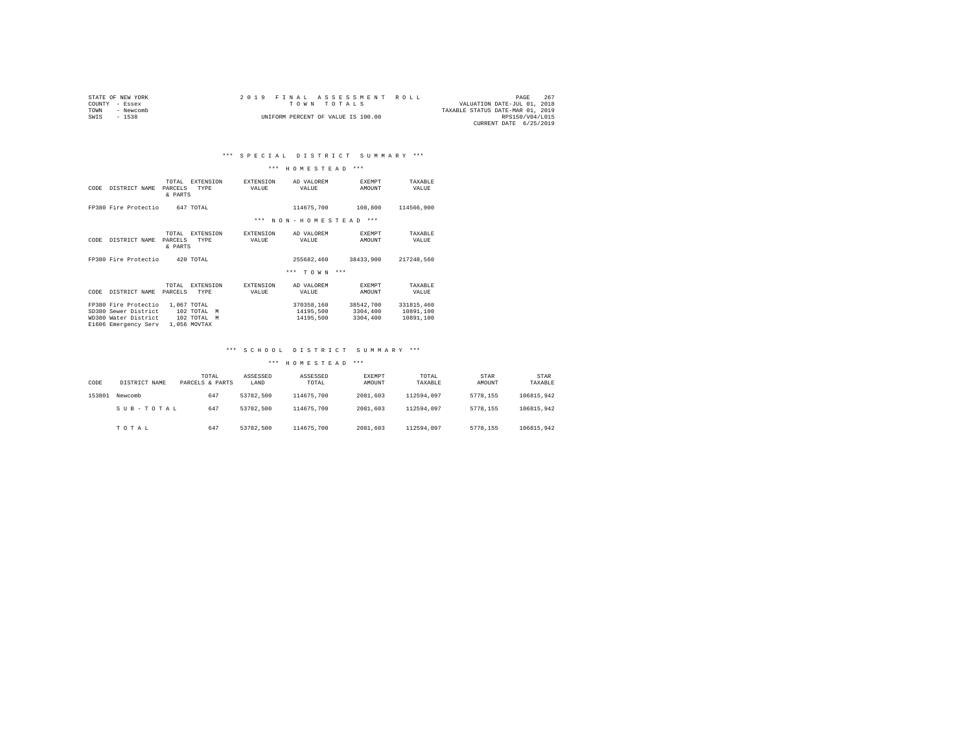| STATE OF NEW YORK |           |  |  |  | 2019 FINAL ASSESSMENT ROLL         |  |  |                                  | PAGE            | 267 |  |
|-------------------|-----------|--|--|--|------------------------------------|--|--|----------------------------------|-----------------|-----|--|
| COUNTY - Essex    |           |  |  |  | TOWN TOTALS                        |  |  | VALUATION DATE-JUL 01, 2018      |                 |     |  |
| TOWN              | - Newcomb |  |  |  |                                    |  |  | TAXABLE STATUS DATE-MAR 01, 2019 |                 |     |  |
| SWIS              | $-1538$   |  |  |  | UNIFORM PERCENT OF VALUE IS 100.00 |  |  |                                  | RPS150/V04/L015 |     |  |
|                   |           |  |  |  |                                    |  |  | CURRENT DATE 6/25/2019           |                 |     |  |

### \*\*\* H O M E S T E A D \*\*\*

| CODE | DISTRICT NAME                                                                                | <b>EXTENSION</b><br>TOTAL<br>PARCELS<br><b>TYPE</b><br>& PARTS  | <b>EXTENSION</b><br>VALUE | AD VALOREM<br>VALUE                  | <b>EXEMPT</b><br>AMOUNT           | TAXABLE<br>VALUE                     |
|------|----------------------------------------------------------------------------------------------|-----------------------------------------------------------------|---------------------------|--------------------------------------|-----------------------------------|--------------------------------------|
|      | FP380 Fire Protectio                                                                         | 647 TOTAL                                                       |                           | 114675,700                           | 108,800                           | 114566.900                           |
|      |                                                                                              |                                                                 | $***$                     | NON-HOMESTEAD                        | $***$                             |                                      |
| CODE | DISTRICT NAME                                                                                | TOTAL<br><b>EXTENSION</b><br>PARCELS<br>TYPE<br>& PARTS         | <b>EXTENSION</b><br>VALUE | AD VALOREM<br>VALUE                  | <b>EXEMPT</b><br>AMOUNT           | TAXABLE<br>VALUE                     |
|      | FP380 Fire Protectio                                                                         | 420 TOTAL                                                       |                           | 255682.460                           | 38433,900                         | 217248,560                           |
|      |                                                                                              |                                                                 |                           | $***$<br>T O W N                     | $***$                             |                                      |
| CODE | DISTRICT NAME                                                                                | TOTAL.<br><b>EXTENSION</b><br><b>TYPE</b><br>PARCELS            | <b>EXTENSION</b><br>VALUE | AD VALOREM<br>VALUE                  | <b>EXEMPT</b><br>AMOUNT           | TAXARLE<br>VALUE                     |
|      | FP380 Fire Protectio<br>SD380 Sewer District<br>WD380 Water District<br>E1606 Emergency Serv | 1,067 TOTAL<br>102 TOTAL<br>M<br>102 TOTAL<br>M<br>1,056 MOVTAX |                           | 370358.160<br>14195,500<br>14195,500 | 38542,700<br>3304,400<br>3304,400 | 331815,460<br>10891,100<br>10891,100 |

### \*\*\* S C H O O L D I S T R I C T S U M M A R Y \*\*\*

| CODE   | DISTRICT NAME | TOTAL<br>PARCELS & PARTS | ASSESSED<br>LAND | ASSESSED<br>TOTAL | <b>EXEMPT</b><br>AMOUNT | TOTAL<br>TAXABLE | STAR<br>AMOUNT | STAR<br>TAXABLE |
|--------|---------------|--------------------------|------------------|-------------------|-------------------------|------------------|----------------|-----------------|
| 153801 | Newcomb       | 647                      | 53782.500        | 114675,700        | 2081.603                | 112594.097       | 5778.155       | 106815.942      |
|        | SUB-TOTAL     | 647                      | 53782.500        | 114675,700        | 2081.603                | 112594.097       | 5778.155       | 106815.942      |
|        | TOTAL         | 647                      | 53782.500        | 114675,700        | 2081.603                | 112594.097       | 5778.155       | 106815.942      |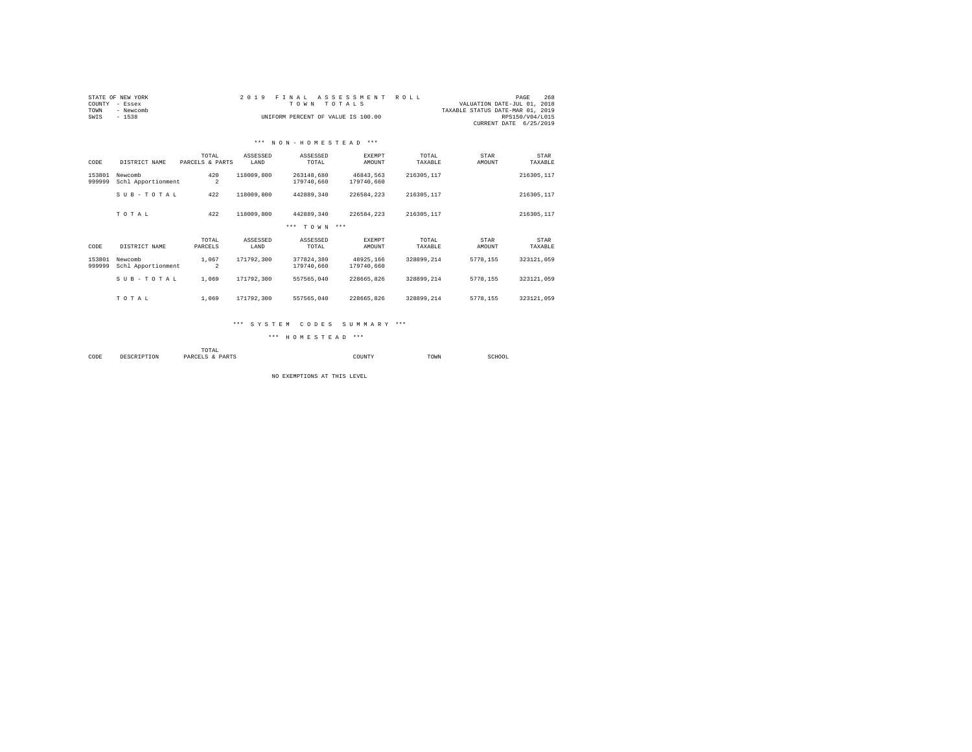| COUNTY<br>TOWN<br>SWIS | STATE OF NEW YORK<br>- Essex<br>- Newcomb<br>$-1538$ |                          | 2019             | FINAL<br>TO WN<br>INIFORM PERCENT OF VALUE IS 100.00 | ASSESSMENT<br>TOTALS    | ROLL             | VALUATION DATE-JUL 01, 2018<br>TAXABLE STATUS DATE-MAR 01, 2019 | 268<br>PAGE<br>RPS150/V04/L015<br>CURRENT DATE 6/25/2019 |  |
|------------------------|------------------------------------------------------|--------------------------|------------------|------------------------------------------------------|-------------------------|------------------|-----------------------------------------------------------------|----------------------------------------------------------|--|
|                        |                                                      |                          |                  | *** NON-HOMESTEAD ***                                |                         |                  |                                                                 |                                                          |  |
| CODE                   | DISTRICT NAME                                        | TOTAL<br>PARCELS & PARTS | ASSESSED<br>LAND | ASSESSED<br>TOTAL                                    | EXEMPT<br>AMOUNT        | TOTAL<br>TAXABLE | STAR<br>AMOUNT                                                  | STAR<br>TAXABLE                                          |  |
| 153801<br>999999       | Newcomb<br>Schl Apportionment                        | 420<br>$\overline{2}$    | 118009,800       | 263148.680<br>179740.660                             | 46843.563<br>179740.660 | 216305,117       |                                                                 | 216305, 117                                              |  |
|                        | SUB-TOTAL                                            | 422                      | 118009,800       | 442889.340                                           | 226584.223              | 216305,117       |                                                                 | 216305, 117                                              |  |
|                        | TOTAL                                                | 422                      | 118009,800       | 442889.340                                           | 226584.223              | 216305,117       |                                                                 | 216305, 117                                              |  |
|                        |                                                      |                          |                  | *** TOWN ***                                         |                         |                  |                                                                 |                                                          |  |
| CODE                   | DISTRICT NAME                                        | TOTAL<br>PARCELS         | ASSESSED<br>LAND | ASSESSED<br>TOTAL                                    | <b>EXEMPT</b><br>AMOUNT | TOTAL<br>TAXABLE | STAR<br>AMOUNT                                                  | STAR<br>TAXABLE                                          |  |
| 153801<br>999999       | Newcomb<br>Schl Apportionment                        | 1,067<br>$\overline{2}$  | 171792.300       | 377824.380<br>179740.660                             | 48925.166<br>179740.660 | 328899.214       | 5778.155                                                        | 323121.059                                               |  |
|                        | SUB-TOTAL                                            | 1,069                    | 171792.300       | 557565.040                                           | 228665.826              | 328899.214       | 5778.155                                                        | 323121.059                                               |  |

### \*\*\* S Y S T E M C O D E S S U M M A R Y \*\*\*

T O T A L 1,069 171792,300 557565,040 228665,826 328899,214 5778,155 323121,059

\*\*\* H O M E S T E A D \*\*\*

 $\begin{tabular}{lllllll} \multicolumn{2}{l} \multicolumn{2}{l} \multicolumn{2}{l} \multicolumn{2}{l} \multicolumn{2}{l} \multicolumn{2}{l} \multicolumn{2}{l} \multicolumn{2}{l} \multicolumn{2}{l} \multicolumn{2}{l} \multicolumn{2}{l} \multicolumn{2}{l} \multicolumn{2}{l} \multicolumn{2}{l} \multicolumn{2}{l} \multicolumn{2}{l} \multicolumn{2}{l} \multicolumn{2}{l} \multicolumn{2}{l} \multicolumn{2}{l} \multicolumn{2}{l} \multicolumn{2}{l} \multicolumn{2}{l} \mult$ COUNTY TOWN TOWN SCHOOL

NO EXEMPTIONS AT THIS LEVEL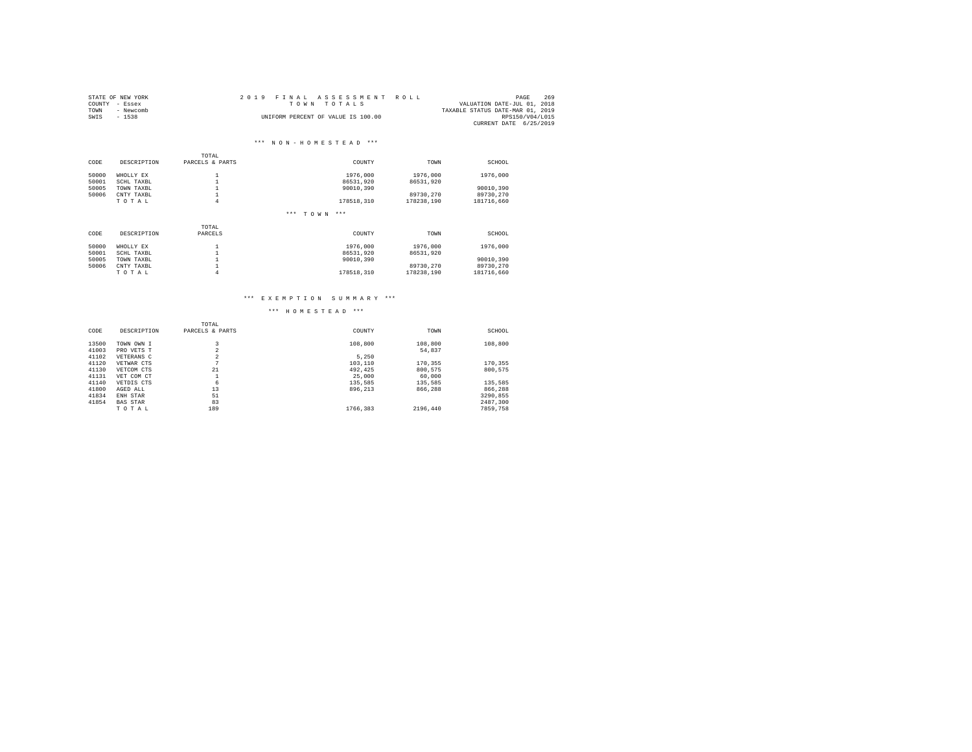|                | STATE OF NEW YORK | 2019 FINAL ASSESSMENT ROLL                 | PAGE                   | 269 |
|----------------|-------------------|--------------------------------------------|------------------------|-----|
| COUNTY - Essex |                   | VALUATION DATE-JUL 01, 2018<br>TOWN TOTALS |                        |     |
| TOWN           | - Newcomb         | TAXABLE STATUS DATE-MAR 01, 2019           |                        |     |
| SWIS           | $-1538$           | UNIFORM PERCENT OF VALUE IS 100.00         | RPS150/V04/L015        |     |
|                |                   |                                            | CURRENT DATE 6/25/2019 |     |

### \*\*\* N O N - H O M E S T E A D \*\*\*

|       |             | TOTAL           |                      |            |            |
|-------|-------------|-----------------|----------------------|------------|------------|
| CODE  | DESCRIPTION | PARCELS & PARTS | COUNTY               | TOWN       | SCHOOL     |
| 50000 | WHOLLY EX   |                 | 1976,000             | 1976,000   | 1976,000   |
| 50001 | SCHL TAXBL  |                 | 86531,920            | 86531,920  |            |
| 50005 | TOWN TAXBL  |                 | 90010.390            |            | 90010.390  |
| 50006 | CNTY TAXBL  |                 |                      | 89730.270  | 89730.270  |
|       | TOTAL       | $\overline{4}$  | 178518,310           | 178238.190 | 181716.660 |
|       |             |                 | $***$<br>***<br>TOWN |            |            |
|       |             | TOTAL           |                      |            |            |
| CODE  | DESCRIPTION | PARCELS         | COUNTY               | TOWN       | SCHOOL     |
| 50000 | WHOLLY EX   |                 | 1976,000             | 1976,000   | 1976,000   |
| 50001 | SCHL TAXBL  |                 | 86531.920            | 86531.920  |            |
| 50005 | TOWN TAXBL  |                 | 90010.390            |            | 90010.390  |
| 50006 | CNTY TAXBL  |                 |                      | 89730.270  | 89730,270  |
|       | TOTAL       | 4               | 178518.310           | 178238.190 | 181716,660 |

### \*\*\* E X E M P T I O N S U M M A R Y \*\*\*

|       |                 | TOTAL                         |          |          |          |
|-------|-----------------|-------------------------------|----------|----------|----------|
| CODE  | DESCRIPTION     | PARCELS & PARTS               | COUNTY   | TOWN     | SCHOOL   |
| 13500 | TOWN OWN I      | 3                             | 108,800  | 108,800  | 108,800  |
| 41003 | PRO VETS T      | $\overline{\phantom{a}}$<br>× |          | 54.837   |          |
| 41102 | VETERANS C      | $\overline{2}$                | 5.250    |          |          |
| 41120 | VETWAR CTS      | n                             | 103,110  | 170.355  | 170.355  |
| 41130 | VETCOM CTS      | 21                            | 492.425  | 800.575  | 800.575  |
| 41131 | VET COM CT      |                               | 25,000   | 60,000   |          |
| 41140 | VETDIS CTS      | 6                             | 135,585  | 135,585  | 135,585  |
| 41800 | AGED ALL        | 13                            | 896.213  | 866,288  | 866,288  |
| 41834 | ENH STAR        | 51                            |          |          | 3290.855 |
| 41854 | <b>BAS STAR</b> | 83                            |          |          | 2487.300 |
|       | TOTAL           | 189                           | 1766.383 | 2196.440 | 7859,758 |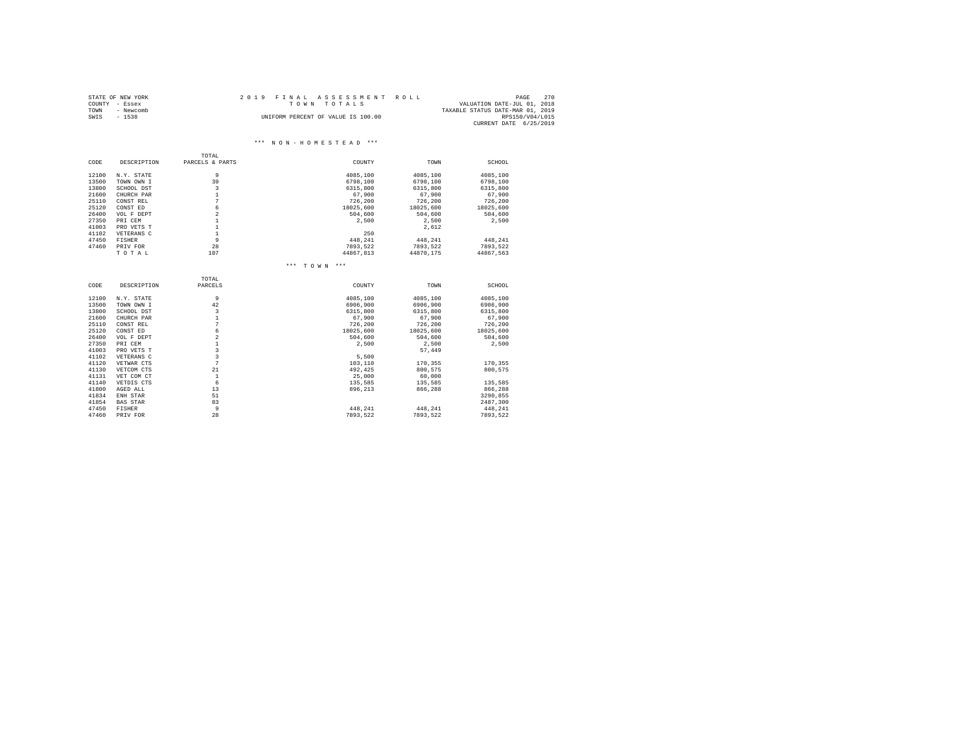|      | STATE OF NEW YORK | 2019 FINAL ASSESSMENT ROLL                 | PAGE                   | 270 |
|------|-------------------|--------------------------------------------|------------------------|-----|
|      | COUNTY - Essex    | VALUATION DATE-JUL 01, 2018<br>TOWN TOTALS |                        |     |
| TOWN | - Newcomb         | TAXABLE STATUS DATE-MAR 01, 2019           |                        |     |
| SWIS | $-1538$           | UNIFORM PERCENT OF VALUE IS 100.00         | RPS150/V04/L015        |     |
|      |                   |                                            | CURRENT DATE 6/25/2019 |     |

#### \*\*\* N O N - H O M E S T E A D \*\*\*

|               | TOTAL                                                                                                                                                                        |                                                                                                                                                                                                                                    |                                                                                                                                                      |                                                                                                                                             |
|---------------|------------------------------------------------------------------------------------------------------------------------------------------------------------------------------|------------------------------------------------------------------------------------------------------------------------------------------------------------------------------------------------------------------------------------|------------------------------------------------------------------------------------------------------------------------------------------------------|---------------------------------------------------------------------------------------------------------------------------------------------|
| DESCRIPTION   | PARCELS & PARTS                                                                                                                                                              | COUNTY                                                                                                                                                                                                                             | TOWN                                                                                                                                                 | SCHOOL                                                                                                                                      |
| N.Y. STATE    | 9                                                                                                                                                                            | 4085,100                                                                                                                                                                                                                           | 4085,100                                                                                                                                             | 4085,100                                                                                                                                    |
| TOWN OWN I    | 39                                                                                                                                                                           | 6798,100                                                                                                                                                                                                                           | 6798,100                                                                                                                                             | 6798,100                                                                                                                                    |
| SCHOOL DST    | 3                                                                                                                                                                            | 6315,800                                                                                                                                                                                                                           | 6315,800                                                                                                                                             | 6315,800                                                                                                                                    |
| CHURCH PAR    |                                                                                                                                                                              |                                                                                                                                                                                                                                    |                                                                                                                                                      | 67,900                                                                                                                                      |
| CONST REL     |                                                                                                                                                                              |                                                                                                                                                                                                                                    |                                                                                                                                                      | 726,200                                                                                                                                     |
|               |                                                                                                                                                                              |                                                                                                                                                                                                                                    |                                                                                                                                                      | 18025,600                                                                                                                                   |
|               |                                                                                                                                                                              |                                                                                                                                                                                                                                    |                                                                                                                                                      | 504,600                                                                                                                                     |
|               |                                                                                                                                                                              |                                                                                                                                                                                                                                    |                                                                                                                                                      | 2,500                                                                                                                                       |
|               |                                                                                                                                                                              |                                                                                                                                                                                                                                    |                                                                                                                                                      |                                                                                                                                             |
|               |                                                                                                                                                                              |                                                                                                                                                                                                                                    |                                                                                                                                                      |                                                                                                                                             |
|               |                                                                                                                                                                              |                                                                                                                                                                                                                                    |                                                                                                                                                      | 448,241                                                                                                                                     |
|               |                                                                                                                                                                              |                                                                                                                                                                                                                                    |                                                                                                                                                      | 7893.522                                                                                                                                    |
|               |                                                                                                                                                                              |                                                                                                                                                                                                                                    |                                                                                                                                                      | 44867.563                                                                                                                                   |
|               |                                                                                                                                                                              | *** TOWN ***                                                                                                                                                                                                                       |                                                                                                                                                      |                                                                                                                                             |
|               | TOTAL.                                                                                                                                                                       |                                                                                                                                                                                                                                    |                                                                                                                                                      |                                                                                                                                             |
| DESCRIPTION   | PARCELS                                                                                                                                                                      | COUNTY                                                                                                                                                                                                                             | TOWN                                                                                                                                                 | SCHOOL                                                                                                                                      |
| N.Y. STATE    | 9                                                                                                                                                                            | 4085,100                                                                                                                                                                                                                           | 4085,100                                                                                                                                             | 4085,100                                                                                                                                    |
| TOWN OWN I    | 42                                                                                                                                                                           | 6906,900                                                                                                                                                                                                                           | 6906,900                                                                                                                                             | 6906.900                                                                                                                                    |
| SCHOOL DST    | $\mathbf{3}$                                                                                                                                                                 | 6315,800                                                                                                                                                                                                                           | 6315,800                                                                                                                                             | 6315,800                                                                                                                                    |
| CHURCH PAR    | $\mathbf{1}$                                                                                                                                                                 | 67,900                                                                                                                                                                                                                             | 67,900                                                                                                                                               | 67.900                                                                                                                                      |
| CONST REL     |                                                                                                                                                                              | 726,200                                                                                                                                                                                                                            | 726,200                                                                                                                                              | 726,200                                                                                                                                     |
| CONST ED      | 6                                                                                                                                                                            | 18025,600                                                                                                                                                                                                                          | 18025,600                                                                                                                                            | 18025,600                                                                                                                                   |
| VOL F DEPT    | $\overline{a}$                                                                                                                                                               | 504,600                                                                                                                                                                                                                            | 504,600                                                                                                                                              | 504,600                                                                                                                                     |
| PRI CEM       | $\mathbf{1}$                                                                                                                                                                 | 2,500                                                                                                                                                                                                                              | 2,500                                                                                                                                                | 2,500                                                                                                                                       |
| PRO VETS T    |                                                                                                                                                                              |                                                                                                                                                                                                                                    | 57,449                                                                                                                                               |                                                                                                                                             |
| VETERANS C    |                                                                                                                                                                              | 5.500                                                                                                                                                                                                                              |                                                                                                                                                      |                                                                                                                                             |
| VETWAR CTS    |                                                                                                                                                                              |                                                                                                                                                                                                                                    | 170,355                                                                                                                                              | 170,355                                                                                                                                     |
|               |                                                                                                                                                                              |                                                                                                                                                                                                                                    |                                                                                                                                                      | 800.575                                                                                                                                     |
|               |                                                                                                                                                                              |                                                                                                                                                                                                                                    |                                                                                                                                                      |                                                                                                                                             |
|               |                                                                                                                                                                              |                                                                                                                                                                                                                                    |                                                                                                                                                      | 135,585                                                                                                                                     |
| AGED ALL      | 13                                                                                                                                                                           | 896.213                                                                                                                                                                                                                            | 866.288                                                                                                                                              | 866,288                                                                                                                                     |
|               |                                                                                                                                                                              |                                                                                                                                                                                                                                    |                                                                                                                                                      | 3290,855                                                                                                                                    |
|               |                                                                                                                                                                              |                                                                                                                                                                                                                                    |                                                                                                                                                      | 2487,300                                                                                                                                    |
| <b>FISHER</b> | 9                                                                                                                                                                            | 448.241                                                                                                                                                                                                                            | 448.241                                                                                                                                              | 448.241                                                                                                                                     |
| PRIV FOR      |                                                                                                                                                                              |                                                                                                                                                                                                                                    |                                                                                                                                                      | 7893,522                                                                                                                                    |
|               | CONST ED<br>VOL F DEPT<br>PRI CEM<br>PRO VETS T<br>VETERANS C<br><b>FISHER</b><br>PRIV FOR<br>TOTAL<br>VETCOM CTS<br>VET COM CT<br>VETDIS CTS<br>ENH STAR<br><b>BAS STAR</b> | $\mathbf{1}$<br>7<br>$\epsilon$<br>$\overline{a}$<br>$\mathbf{1}$<br>$\mathbf{1}$<br>$\mathbf{1}$<br>9<br>28<br>107<br>$\overline{7}$<br>$\mathbf{a}$<br>$\overline{\mathbf{3}}$<br>7<br>21<br>$\mathbf{1}$<br>6<br>51<br>83<br>28 | 67,900<br>726,200<br>18025,600<br>504,600<br>2,500<br>250<br>448,241<br>7893.522<br>44867.813<br>103,110<br>492.425<br>25,000<br>135,585<br>7893.522 | 67,900<br>726,200<br>18025,600<br>504,600<br>2,500<br>2,612<br>448,241<br>7893.522<br>44870.175<br>800.575<br>60,000<br>135,585<br>7893.522 |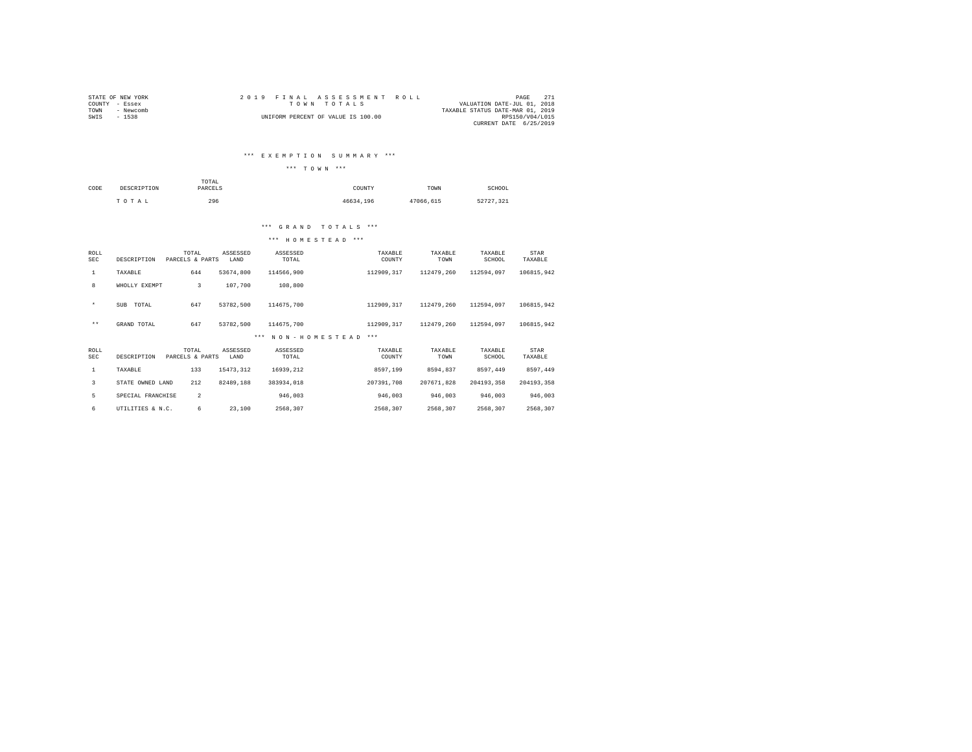|                | STATE OF NEW YORK |  | 2019 FINAL ASSESSMENT ROLL         |                                  | PAGE            | 2.71 |
|----------------|-------------------|--|------------------------------------|----------------------------------|-----------------|------|
| COUNTY - Essex |                   |  | TOWN TOTALS                        | VALUATION DATE-JUL 01, 2018      |                 |      |
| TOWN           | - Newcomb         |  |                                    | TAXABLE STATUS DATE-MAR 01, 2019 |                 |      |
| SWIS           | $-1538$           |  | UNIFORM PERCENT OF VALUE IS 100.00 |                                  | RPS150/V04/L015 |      |
|                |                   |  |                                    | CURRENT DATE 6/25/2019           |                 |      |

### \*\*\* E X E M P T I O N S U M M A R Y \*\*\*

|              | *** TOWN *** |  |
|--------------|--------------|--|
| <b>MOMST</b> |              |  |

| CODE | DESCRIPTION | TOTAL<br>the contract of the contract of the contract of<br>PARCELS | COUNTY    | TOWN      | SCHOOL    |
|------|-------------|---------------------------------------------------------------------|-----------|-----------|-----------|
|      | TOTAL       | 296                                                                 | 46634.196 | 47066.615 | 52727.321 |

### \*\*\* G R A N D T O T A L S \*\*\*

| ROLL<br>SEC        | DESCRIPTION       | TOTAL<br>PARCELS & PARTS | ASSESSED<br>LAND | ASSESSED<br>TOTAL | TAXABLE<br>COUNTY | TAXABLE<br>TOWN | TAXABLE<br>SCHOOL | STAR<br>TAXABLE |
|--------------------|-------------------|--------------------------|------------------|-------------------|-------------------|-----------------|-------------------|-----------------|
| $\mathbf{1}$       | TAXABLE           | 644                      | 53674,800        | 114566,900        | 112909,317        | 112479,260      | 112594.097        | 106815,942      |
| 8                  | WHOLLY EXEMPT     | 3                        | 107,700          | 108,800           |                   |                 |                   |                 |
| $\star$            | SUB<br>TOTAL      | 647                      | 53782,500        | 114675,700        | 112909,317        | 112479,260      | 112594,097        | 106815,942      |
| $\star\star$       | GRAND TOTAL       | 647                      | 53782.500        | 114675,700        | 112909.317        | 112479.260      | 112594.097        | 106815.942      |
|                    |                   |                          |                  | *** NON-HOMESTEAD | $***$             |                 |                   |                 |
| ROLL<br><b>SEC</b> | DESCRIPTION       | TOTAL<br>PARCELS & PARTS | ASSESSED<br>LAND | ASSESSED<br>TOTAL | TAXABLE<br>COUNTY | TAXABLE<br>TOWN | TAXABLE<br>SCHOOL | STAR<br>TAXABLE |
| 1                  | TAXABLE           | 133                      | 15473.312        | 16939.212         | 8597.199          | 8594.837        | 8597.449          | 8597.449        |
| 3                  | STATE OWNED LAND  | 212                      | 82489.188        | 383934.018        | 207391,708        | 207671.828      | 204193.358        | 204193.358      |
| 5                  | SPECIAL FRANCHISE | $\overline{2}$           |                  | 946,003           | 946,003           | 946,003         | 946,003           | 946,003         |
| 6                  | UTILITIES & N.C.  | 6                        | 23,100           | 2568.307          | 2568.307          | 2568.307        | 2568.307          | 2568.307        |